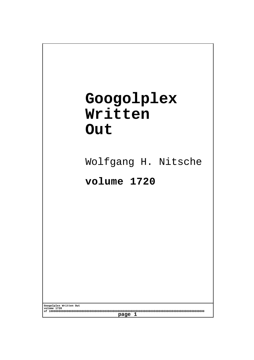## **Googolplex Written Out**

Wolfgang H. Nitsche

**volume 1720**

**Googolplex Written Out volume 1720 of 10000000000000000000000000000000000000000000000000000000000000000000000000000000000000000000000 page 1**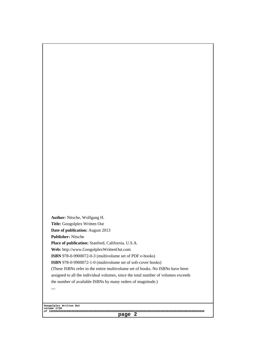Author: Nitsche, Wolfgang H. Title: Googolplex Written Out Date of publication: August 2013 Publisher: Nitsche Place of publication: Stanford, California, U.S.A. Web: http://www.GoogolplexWrittenOut.com ISBN 978-0-9900072-0-3 (multivolume set of PDF e-books) ISBN 978-0-9900072-1-0 (multivolume set of soft-cover books) [\(These ISBNs refer to the entire multivolume set of books. No IS](http://www.GoogolplexWrittenOut.com)BNs have been assigned to all the individual volumes, since the total number of volumes exceeds the number of available ISBNs by many orders of magnitude.) 1.0.1

Googolplex Written Out volume 1720 of 10000000000000000000000000000000000000000000000000000000000000000000000000000000000000000000000 page 2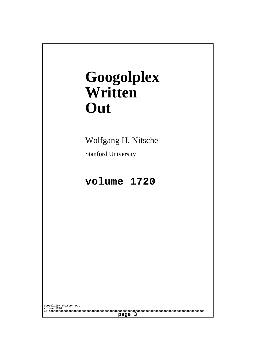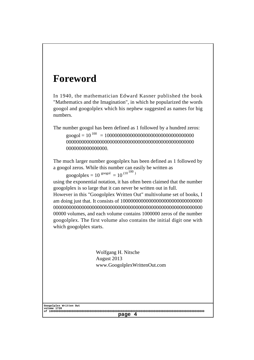## Foreword

In 1940, the mathematician Edward Kasner published the book "Mathematics and the Imagination", in which he popularized the words googol and googolplex which his nephew suggested as names for big numbers.

The number googol has been defined as 1 followed by a hundred zeros: googol = 10<sup>100</sup> = 10000000000000000000000000000000000 00000000000000000000000000000000000000000000000000 0000000000000000.

The much larger number googolplex has been defined as 1 followed by a googol zeros. While this number can easily be written as

googolplex =  $10^{90090}$  =  $10^{(10^{100})}$ 

using the exponential notation, it has often been claimed that the number googolplex is so large that it can never be written out in full.

However in this "Googolplex Written Out" multivolume set of books, I am doing just that. It consists of 10000000000000000000000000000000 0000000000000000000000000000000000000000000000000000000000 00000 volumes, and each volume contains 1000000 zeros of the number googolplex. The first volume also contains the initial digit one with which googolplex starts.

> Wolfgang H. Nitsche August 2013 www.GoogolplexWrittenOut.com

Googolplex Written Out volume 1720 of 10000000000000000000000000000000000000000000000000000000000000000000000000000000000000000000000 page 4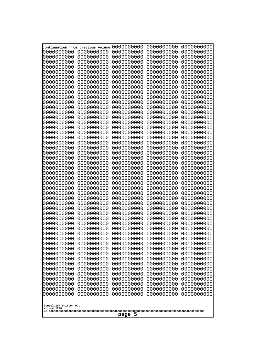| continuation from previous volume     |                          | 0000000000               | 0000000000               | 0000000000               |  |
|---------------------------------------|--------------------------|--------------------------|--------------------------|--------------------------|--|
| 0000000000                            | 0000000000               | 0000000000               | 0000000000               | 0000000000               |  |
| 000000000                             | 0000000000               | 0000000000               | 0000000000               | 0000000000               |  |
| 0000000000                            | 0000000000               | 0000000000               | 0000000000               | 0000000000               |  |
| 0000000000                            | 0000000000               | 0000000000               | 0000000000               | 0000000000               |  |
| 0000000000                            | 0000000000               | 0000000000               | 0000000000               | 0000000000               |  |
| 0000000000                            | 0000000000               | 0000000000               | 0000000000               | 0000000000               |  |
| 0000000000                            | 0000000000               | 0000000000               | 0000000000               | 0000000000               |  |
| 0000000000                            | 0000000000               | 0000000000               | 0000000000               | 0000000000               |  |
| 0000000000                            | 0000000000               | 0000000000               | 0000000000               | 0000000000               |  |
| 0000000000                            | 0000000000               | 0000000000               | 0000000000               | 0000000000               |  |
| 0000000000                            | 0000000000               | 0000000000               | 0000000000               | 0000000000               |  |
| 0000000000<br>0000000000              | 0000000000<br>0000000000 | 0000000000<br>0000000000 | 0000000000<br>0000000000 | 0000000000<br>0000000000 |  |
| 0000000000                            | 0000000000               | 0000000000               | 0000000000               | 0000000000               |  |
| 0000000000                            | 0000000000               | 0000000000               | 0000000000               | 0000000000               |  |
| 0000000000                            | 0000000000               | 0000000000               | 0000000000               | 0000000000               |  |
| 0000000000                            | 0000000000               | 0000000000               | 0000000000               | 0000000000               |  |
| 0000000000                            | 0000000000               | 0000000000               | 0000000000               | 0000000000               |  |
| 0000000000                            | 0000000000               | 0000000000               | 0000000000               | 0000000000               |  |
| 0000000000                            | 0000000000               | 0000000000               | 0000000000               | 0000000000               |  |
| 0000000000                            | 0000000000               | 0000000000               | 0000000000               | 0000000000               |  |
| 0000000000                            | 0000000000               | 0000000000               | 0000000000               | 0000000000               |  |
| 0000000000                            | 0000000000               | 0000000000               | 0000000000               | 0000000000               |  |
| 0000000000                            | 0000000000               | 0000000000               | 0000000000               | 0000000000               |  |
| 0000000000                            | 0000000000               | 0000000000               | 0000000000               | 0000000000               |  |
| 0000000000                            | 0000000000               | 0000000000               | 0000000000               | 0000000000               |  |
| 0000000000<br>0000000000              | 0000000000<br>0000000000 | 0000000000<br>0000000000 | 0000000000<br>0000000000 | 0000000000<br>0000000000 |  |
| 0000000000                            | 0000000000               | 0000000000               | 0000000000               | 0000000000               |  |
| 0000000000                            | 0000000000               | 0000000000               | 0000000000               | 0000000000               |  |
| 0000000000                            | 0000000000               | 0000000000               | 0000000000               | 0000000000               |  |
| 0000000000                            | 0000000000               | 0000000000               | 0000000000               | 0000000000               |  |
| 0000000000                            | 0000000000               | 0000000000               | 0000000000               | 0000000000               |  |
| 0000000000                            | 0000000000               | 0000000000               | 0000000000               | 0000000000               |  |
| 0000000000                            | 0000000000               | 0000000000               | 0000000000               | 0000000000               |  |
| 0000000000                            | 0000000000               | 0000000000               | 0000000000               | 0000000000               |  |
| 0000000000                            | 0000000000               | 0000000000               | 0000000000               | 0000000000               |  |
| 0000000000                            | 0000000000               | 0000000000               | 0000000000               | 0000000000               |  |
| 0000000000                            | 0000000000               | 0000000000               | 0000000000               | 0000000000               |  |
| 0000000000<br>0000000000              | 0000000000<br>0000000000 | 0000000000<br>0000000000 | 0000000000<br>0000000000 | 0000000000<br>0000000000 |  |
| 0000000000                            | 0000000000               | 0000000000               | 0000000000               | 0000000000               |  |
| 0000000000                            | 0000000000               | 0000000000               | 0000000000               | 0000000000               |  |
| 0000000000                            | 0000000000               | 0000000000               | 0000000000               | 0000000000               |  |
| 0000000000                            | 0000000000               | 0000000000               | 0000000000               | 0000000000               |  |
| 0000000000                            | 0000000000               | 0000000000               | 0000000000               | 0000000000               |  |
| 0000000000                            | 0000000000               | 0000000000               | 0000000000               | 0000000000               |  |
| 0000000000                            | 0000000000               | 0000000000               | 0000000000               | 0000000000               |  |
| 0000000000                            | 0000000000               | 0000000000               | 0000000000               | 0000000000               |  |
|                                       |                          |                          |                          |                          |  |
| Googolplex Written Out<br>volume 1720 |                          |                          |                          |                          |  |
|                                       |                          | 5<br>page                |                          |                          |  |
|                                       |                          |                          |                          |                          |  |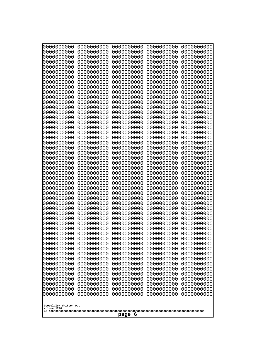| 0000000000<br>0000000000<br>0000000000<br>0000000000<br>0000000000<br>0000000000<br>0000000000<br>0000000000<br>0000000000<br>0000000000<br>0000000000<br>0000000000<br>0000000000<br>0000000000<br>0000000000                                                                                                                                                                                                                                                                                                                    | 0000000000<br>0000000000<br>0000000000<br>0000000000<br>0000000000<br>0000000000<br>0000000000<br>0000000000<br>0000000000<br>0000000000<br>0000000000<br>0000000000<br>0000000000<br>0000000000<br>0000000000                                                                                                                                                                                                                                                                           | 0000000000<br>0000000000<br>0000000000<br>0000000000<br>0000000000<br>0000000000<br>0000000000<br>0000000000<br>0000000000<br>0000000000<br>0000000000<br>0000000000<br>0000000000<br>0000000000<br>0000000000                                                                                                                                                                                                                                                                           | 0000000000<br>0000000000<br>0000000000<br>0000000000<br>0000000000<br>0000000000<br>0000000000<br>0000000000<br>0000000000<br>0000000000<br>0000000000<br>0000000000<br>0000000000<br>0000000000<br>0000000000                                                                                                                                                                                                                                                                           | 0000000000<br>0000000000<br>0000000000<br>0000000000<br>0000000000<br>0000000000<br>0000000000<br>0000000000<br>0000000000<br>0000000000<br>0000000000<br>0000000000<br>0000000000<br>0000000000<br>0000000000                                                                                                                                                                                                                                                                           |
|-----------------------------------------------------------------------------------------------------------------------------------------------------------------------------------------------------------------------------------------------------------------------------------------------------------------------------------------------------------------------------------------------------------------------------------------------------------------------------------------------------------------------------------|------------------------------------------------------------------------------------------------------------------------------------------------------------------------------------------------------------------------------------------------------------------------------------------------------------------------------------------------------------------------------------------------------------------------------------------------------------------------------------------|------------------------------------------------------------------------------------------------------------------------------------------------------------------------------------------------------------------------------------------------------------------------------------------------------------------------------------------------------------------------------------------------------------------------------------------------------------------------------------------|------------------------------------------------------------------------------------------------------------------------------------------------------------------------------------------------------------------------------------------------------------------------------------------------------------------------------------------------------------------------------------------------------------------------------------------------------------------------------------------|------------------------------------------------------------------------------------------------------------------------------------------------------------------------------------------------------------------------------------------------------------------------------------------------------------------------------------------------------------------------------------------------------------------------------------------------------------------------------------------|
| 0000000000<br>0000000000<br>0000000000<br>0000000000<br>0000000000<br>0000000000<br>0000000000<br>0000000000<br>0000000000<br>0000000000<br>0000000000<br>0000000000<br>0000000000<br>0000000000<br>0000000000<br>0000000000<br>0000000000<br>0000000000<br>0000000000<br>0000000000<br>0000000000<br>0000000000<br>0000000000<br>0000000000<br>0000000000<br>0000000000<br>0000000000<br>0000000000<br>0000000000<br>0000000000<br>0000000000<br>0000000000<br>0000000000<br>0000000000<br>Googolplex Written Out<br>volume 1720 | 0000000000<br>0000000000<br>0000000000<br>0000000000<br>0000000000<br>0000000000<br>0000000000<br>0000000000<br>0000000000<br>0000000000<br>0000000000<br>0000000000<br>0000000000<br>0000000000<br>0000000000<br>0000000000<br>0000000000<br>0000000000<br>0000000000<br>0000000000<br>0000000000<br>0000000000<br>0000000000<br>0000000000<br>0000000000<br>0000000000<br>0000000000<br>0000000000<br>0000000000<br>0000000000<br>0000000000<br>0000000000<br>0000000000<br>0000000000 | 0000000000<br>0000000000<br>0000000000<br>0000000000<br>0000000000<br>0000000000<br>0000000000<br>0000000000<br>0000000000<br>0000000000<br>0000000000<br>0000000000<br>0000000000<br>0000000000<br>0000000000<br>0000000000<br>0000000000<br>0000000000<br>0000000000<br>0000000000<br>0000000000<br>0000000000<br>0000000000<br>0000000000<br>0000000000<br>0000000000<br>0000000000<br>0000000000<br>0000000000<br>0000000000<br>0000000000<br>0000000000<br>0000000000<br>0000000000 | 0000000000<br>0000000000<br>0000000000<br>0000000000<br>0000000000<br>0000000000<br>0000000000<br>0000000000<br>0000000000<br>0000000000<br>0000000000<br>0000000000<br>0000000000<br>0000000000<br>0000000000<br>0000000000<br>0000000000<br>0000000000<br>0000000000<br>0000000000<br>0000000000<br>0000000000<br>0000000000<br>0000000000<br>0000000000<br>0000000000<br>0000000000<br>0000000000<br>0000000000<br>0000000000<br>0000000000<br>0000000000<br>0000000000<br>0000000000 | 0000000000<br>0000000000<br>0000000000<br>0000000000<br>0000000000<br>0000000000<br>0000000000<br>0000000000<br>0000000000<br>0000000000<br>0000000000<br>0000000000<br>0000000000<br>0000000000<br>0000000000<br>0000000000<br>0000000000<br>0000000000<br>0000000000<br>0000000000<br>0000000000<br>0000000000<br>0000000000<br>0000000000<br>0000000000<br>0000000000<br>0000000000<br>0000000000<br>0000000000<br>0000000000<br>0000000000<br>0000000000<br>0000000000<br>0000000000 |
| page<br>6                                                                                                                                                                                                                                                                                                                                                                                                                                                                                                                         |                                                                                                                                                                                                                                                                                                                                                                                                                                                                                          |                                                                                                                                                                                                                                                                                                                                                                                                                                                                                          |                                                                                                                                                                                                                                                                                                                                                                                                                                                                                          |                                                                                                                                                                                                                                                                                                                                                                                                                                                                                          |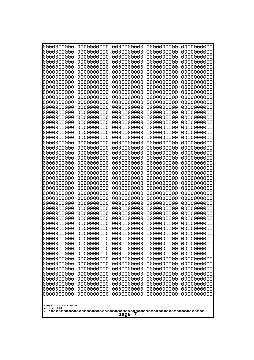| 0000000000<br>1000000000              | 0000000000               | 0000000000               | 0000000000               | 0000000000<br>0000000000 |
|---------------------------------------|--------------------------|--------------------------|--------------------------|--------------------------|
| 1000000000                            | 0000000000<br>0000000000 | 0000000000<br>0000000000 | 0000000000<br>0000000000 | 0000000000               |
| 0000000000                            | 0000000000               | 0000000000               | 0000000000               | 0000000000               |
| 0000000000<br>0000000000              | 0000000000<br>0000000000 | 0000000000<br>0000000000 | 0000000000<br>0000000000 | 0000000000<br>0000000000 |
| 0000000000                            | 0000000000               | 0000000000               | 0000000000               | 0000000000               |
| 0000000000                            | 0000000000               | 0000000000               | 0000000000               | 0000000000               |
| 0000000000<br>0000000000              | 0000000000<br>0000000000 | 0000000000<br>0000000000 | 0000000000<br>0000000000 | 0000000000<br>0000000000 |
| 0000000000                            | 0000000000               | 0000000000               | 0000000000               | 0000000000               |
| 0000000000                            | 0000000000               | 0000000000               | 0000000000               | 0000000000               |
| 0000000000<br>0000000000              | 0000000000<br>0000000000 | 0000000000<br>0000000000 | 0000000000<br>0000000000 | 0000000000<br>0000000000 |
| 0000000000                            | 0000000000               | 0000000000               | 0000000000               | 0000000000               |
| 0000000000                            | 0000000000               | 0000000000               | 0000000000               | 0000000000               |
| 0000000000<br>0000000000              | 0000000000<br>0000000000 | 0000000000<br>0000000000 | 0000000000<br>0000000000 | 0000000000<br>0000000000 |
| looooooooo                            | 0000000000               | 0000000000               | 0000000000               | 0000000000               |
| 0000000000                            | 0000000000               | 0000000000               | 0000000000               | 0000000000               |
| 0000000000<br>0000000000              | 0000000000<br>0000000000 | 0000000000<br>0000000000 | 0000000000<br>0000000000 | 0000000000<br>0000000000 |
| 0000000000                            | 0000000000               | 0000000000               | 0000000000               | 0000000000               |
| 0000000000                            | 0000000000               | 0000000000               | 0000000000               | 0000000000               |
| 0000000000<br>0000000000              | 0000000000<br>0000000000 | 0000000000<br>0000000000 | 0000000000<br>0000000000 | 0000000000<br>0000000000 |
| 0000000000                            | 0000000000               | 0000000000               | 0000000000               | 0000000000               |
| 0000000000<br>0000000000              | 0000000000<br>0000000000 | 0000000000<br>0000000000 | 0000000000<br>0000000000 | 0000000000<br>0000000000 |
| 0000000000                            | 0000000000               | 0000000000               | 0000000000               | 0000000000               |
| 0000000000                            | 0000000000               | 0000000000               | 0000000000               | 0000000000               |
| 0000000000<br>0000000000              | 0000000000<br>0000000000 | 0000000000<br>0000000000 | 0000000000<br>0000000000 | 0000000000<br>0000000000 |
| 0000000000                            | 0000000000               | 0000000000               | 0000000000               | 0000000000               |
| 0000000000                            | 0000000000               | 0000000000               | 0000000000               | 0000000000               |
| 0000000000<br>0000000000              | 0000000000<br>0000000000 | 0000000000<br>0000000000 | 0000000000<br>0000000000 | 0000000000<br>0000000000 |
| 0000000000                            | 0000000000               | 0000000000               | 0000000000               | 0000000000               |
| 0000000000                            | 0000000000               | 0000000000               | 0000000000               | 0000000000               |
| 0000000000<br>0000000000              | 0000000000<br>0000000000 | 0000000000<br>0000000000 | 0000000000<br>0000000000 | 0000000000<br>0000000000 |
| 0000000000                            | 0000000000               | 0000000000               | 0000000000               | 0000000000               |
| 0000000000                            | 0000000000               | 0000000000               | 0000000000               | 0000000000               |
| 0000000000<br>0000000000              | 0000000000<br>0000000000 | 0000000000<br>0000000000 | 0000000000<br>0000000000 | 0000000000<br>0000000000 |
| 0000000000                            | 0000000000               | 0000000000               | 0000000000               | 0000000000               |
| 0000000000                            | 0000000000               | 0000000000               | 0000000000               | 0000000000               |
| 0000000000<br>0000000000              | 0000000000<br>0000000000 | 0000000000<br>0000000000 | 0000000000<br>0000000000 | 0000000000<br>0000000000 |
| 0000000000                            | 0000000000               | 0000000000               | 0000000000               | 0000000000               |
|                                       |                          |                          |                          |                          |
| Googolplex Written Out<br>volume 1720 |                          |                          |                          |                          |
| 7<br>page                             |                          |                          |                          |                          |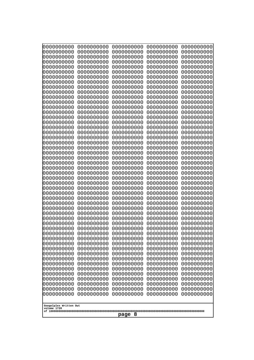| 0000000000<br>1000000000              | 0000000000               | 0000000000               | 0000000000               | 0000000000<br>0000000000 |
|---------------------------------------|--------------------------|--------------------------|--------------------------|--------------------------|
| 1000000000                            | 0000000000<br>0000000000 | 0000000000<br>0000000000 | 0000000000<br>0000000000 | 0000000000               |
| 0000000000                            | 0000000000               | 0000000000               | 0000000000               | 0000000000               |
| 0000000000<br>0000000000              | 0000000000<br>0000000000 | 0000000000<br>0000000000 | 0000000000<br>0000000000 | 0000000000<br>0000000000 |
| 0000000000                            | 0000000000               | 0000000000               | 0000000000               | 0000000000               |
| 0000000000                            | 0000000000               | 0000000000               | 0000000000               | 0000000000               |
| 0000000000<br>0000000000              | 0000000000<br>0000000000 | 0000000000<br>0000000000 | 0000000000<br>0000000000 | 0000000000<br>0000000000 |
| 0000000000                            | 0000000000               | 0000000000               | 0000000000               | 0000000000               |
| 0000000000                            | 0000000000               | 0000000000               | 0000000000               | 0000000000               |
| 0000000000<br>0000000000              | 0000000000<br>0000000000 | 0000000000<br>0000000000 | 0000000000<br>0000000000 | 0000000000<br>0000000000 |
| 0000000000                            | 0000000000               | 0000000000               | 0000000000               | 0000000000               |
| 0000000000                            | 0000000000               | 0000000000               | 0000000000               | 0000000000               |
| 0000000000<br>0000000000              | 0000000000<br>0000000000 | 0000000000<br>0000000000 | 0000000000<br>0000000000 | 0000000000<br>0000000000 |
| looooooooo                            | 0000000000               | 0000000000               | 0000000000               | 0000000000               |
| 0000000000                            | 0000000000               | 0000000000               | 0000000000               | 0000000000               |
| 0000000000<br>0000000000              | 0000000000<br>0000000000 | 0000000000<br>0000000000 | 0000000000<br>0000000000 | 0000000000<br>0000000000 |
| 0000000000                            | 0000000000               | 0000000000               | 0000000000               | 0000000000               |
| 0000000000                            | 0000000000               | 0000000000               | 0000000000               | 0000000000               |
| 0000000000<br>0000000000              | 0000000000<br>0000000000 | 0000000000<br>0000000000 | 0000000000<br>0000000000 | 0000000000<br>0000000000 |
| 0000000000                            | 0000000000               | 0000000000               | 0000000000               | 0000000000               |
| 0000000000                            | 0000000000               | 0000000000               | 0000000000               | 0000000000               |
| 0000000000<br>0000000000              | 0000000000<br>0000000000 | 0000000000<br>0000000000 | 0000000000<br>0000000000 | 0000000000<br>0000000000 |
| 0000000000                            | 0000000000               | 0000000000               | 0000000000               | 0000000000               |
| 0000000000                            | 0000000000               | 0000000000               | 0000000000               | 0000000000               |
| 0000000000<br>0000000000              | 0000000000<br>0000000000 | 0000000000<br>0000000000 | 0000000000<br>0000000000 | 0000000000<br>0000000000 |
| 0000000000                            | 0000000000               | 0000000000               | 0000000000               | 0000000000               |
| 0000000000<br>0000000000              | 0000000000               | 0000000000<br>0000000000 | 0000000000<br>0000000000 | 0000000000               |
| 0000000000                            | 0000000000<br>0000000000 | 0000000000               | 0000000000               | 0000000000<br>0000000000 |
| 0000000000                            | 0000000000               | 0000000000               | 0000000000               | 0000000000               |
| 0000000000                            | 0000000000               | 0000000000               | 0000000000               | 0000000000               |
| 0000000000<br>0000000000              | 0000000000<br>0000000000 | 0000000000<br>0000000000 | 0000000000<br>0000000000 | 0000000000<br>0000000000 |
| 0000000000                            | 0000000000               | 0000000000               | 0000000000               | 0000000000               |
| 0000000000                            | 0000000000<br>0000000000 | 0000000000               | 0000000000               | 0000000000<br>0000000000 |
| 0000000000<br>0000000000              | 0000000000               | 0000000000<br>0000000000 | 0000000000<br>0000000000 | 0000000000               |
| 0000000000                            | 0000000000               | 0000000000               | 0000000000               | 0000000000               |
| 0000000000<br>0000000000              | 0000000000<br>0000000000 | 0000000000<br>0000000000 | 0000000000               | 0000000000<br>0000000000 |
| 0000000000                            | 0000000000               | 0000000000               | 0000000000<br>0000000000 | 0000000000               |
|                                       |                          |                          |                          |                          |
| Googolplex Written Out<br>volume 1720 |                          |                          |                          |                          |
| 8<br>page                             |                          |                          |                          |                          |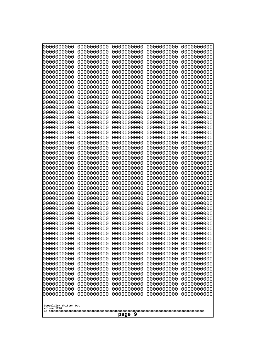| 0000000000<br>1000000000              | 0000000000<br>0000000000 | 0000000000<br>0000000000 | 0000000000<br>0000000000 | 0000000000<br>0000000000 |
|---------------------------------------|--------------------------|--------------------------|--------------------------|--------------------------|
| 1000000000                            | 0000000000               | 0000000000               | 0000000000               | 0000000000               |
| 0000000000                            | 0000000000               | 0000000000               | 0000000000               | 0000000000               |
| 0000000000<br>0000000000              | 0000000000<br>0000000000 | 0000000000<br>0000000000 | 0000000000<br>0000000000 | 0000000000<br>0000000000 |
| 0000000000                            | 0000000000               | 0000000000               | 0000000000               | 0000000000               |
| 0000000000                            | 0000000000               | 0000000000               | 0000000000               | 0000000000               |
| 0000000000<br>0000000000              | 0000000000<br>0000000000 | 0000000000<br>0000000000 | 0000000000<br>0000000000 | 0000000000<br>0000000000 |
| 0000000000                            | 0000000000               | 0000000000               | 0000000000               | 0000000000               |
| 0000000000                            | 0000000000               | 0000000000               | 0000000000               | 0000000000               |
| 0000000000<br>0000000000              | 0000000000<br>0000000000 | 0000000000<br>0000000000 | 0000000000<br>0000000000 | 0000000000<br>0000000000 |
| 0000000000                            | 0000000000               | 0000000000               | 0000000000               | 0000000000               |
| 0000000000                            | 0000000000               | 0000000000               | 0000000000               | 0000000000               |
| 0000000000<br>0000000000              | 0000000000<br>0000000000 | 0000000000<br>0000000000 | 0000000000<br>0000000000 | 0000000000<br>0000000000 |
| looooooooo                            | 0000000000               | 0000000000               | 0000000000               | 0000000000               |
| 0000000000                            | 0000000000               | 0000000000               | 0000000000               | 0000000000               |
| 0000000000<br>0000000000              | 0000000000<br>0000000000 | 0000000000<br>0000000000 | 0000000000<br>0000000000 | 0000000000<br>0000000000 |
| 0000000000                            | 0000000000               | 0000000000               | 0000000000               | 0000000000               |
| 0000000000                            | 0000000000               | 0000000000               | 0000000000               | 0000000000               |
| 0000000000<br>0000000000              | 0000000000<br>0000000000 | 0000000000<br>0000000000 | 0000000000<br>0000000000 | 0000000000<br>0000000000 |
| 0000000000                            | 0000000000               | 0000000000               | 0000000000               | 0000000000               |
| 0000000000                            | 0000000000               | 0000000000               | 0000000000               | 0000000000               |
| 0000000000<br>0000000000              | 0000000000<br>0000000000 | 0000000000<br>0000000000 | 0000000000<br>0000000000 | 0000000000<br>0000000000 |
| 0000000000                            | 0000000000               | 0000000000               | 0000000000               | 0000000000               |
| 0000000000                            | 0000000000               | 0000000000               | 0000000000               | 0000000000               |
| 0000000000<br>0000000000              | 0000000000<br>0000000000 | 0000000000<br>0000000000 | 0000000000<br>0000000000 | 0000000000<br>0000000000 |
| 0000000000                            | 0000000000               | 0000000000               | 0000000000               | 0000000000               |
| 0000000000<br>0000000000              | 0000000000               | 0000000000<br>0000000000 | 0000000000<br>0000000000 | 0000000000               |
| 0000000000                            | 0000000000<br>0000000000 | 0000000000               | 0000000000               | 0000000000<br>0000000000 |
| 0000000000                            | 0000000000               | 0000000000               | 0000000000               | 0000000000               |
| 0000000000<br>0000000000              | 0000000000<br>0000000000 | 0000000000<br>0000000000 | 0000000000<br>0000000000 | 0000000000<br>0000000000 |
| 0000000000                            | 0000000000               | 0000000000               | 0000000000               | 0000000000               |
| 0000000000                            | 0000000000               | 0000000000               | 0000000000               | 0000000000               |
| 0000000000<br>0000000000              | 0000000000<br>0000000000 | 0000000000<br>0000000000 | 0000000000<br>0000000000 | 0000000000<br>0000000000 |
| 0000000000                            | 0000000000               | 0000000000               | 0000000000               | 0000000000               |
| 0000000000                            | 0000000000               | 0000000000               | 0000000000               | 0000000000               |
| 0000000000<br>0000000000              | 0000000000<br>0000000000 | 0000000000<br>0000000000 | 0000000000<br>0000000000 | 0000000000<br>0000000000 |
| 0000000000                            | 0000000000               | 0000000000               | 0000000000               | 0000000000               |
|                                       |                          |                          |                          |                          |
| Googolplex Written Out<br>volume 1720 |                          |                          |                          |                          |
| 9<br>page                             |                          |                          |                          |                          |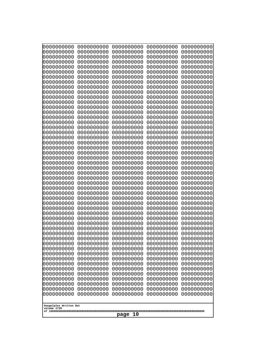| 000000000                              | 0000000000                             | 0000000000                                           | 0000000000                                           | 0000000000                                           |  |
|----------------------------------------|----------------------------------------|------------------------------------------------------|------------------------------------------------------|------------------------------------------------------|--|
| 0000000000                             | 0000000000                             | 0000000000                                           | 0000000000                                           | 0000000000                                           |  |
| 0000000000                             | 0000000000                             | 0000000000                                           | 0000000000                                           | 0000000000                                           |  |
| 0000000000                             | 0000000000                             | 0000000000                                           | 0000000000                                           | 0000000000                                           |  |
| 0000000000                             | 0000000000                             | 0000000000                                           | 0000000000                                           | 0000000000                                           |  |
| 0000000000                             | 0000000000                             | 0000000000                                           | 0000000000                                           | 0000000000                                           |  |
| 0000000000                             | 0000000000                             | 0000000000                                           | 0000000000                                           | 0000000000                                           |  |
| 0000000000                             | 0000000000                             | 0000000000                                           | 0000000000                                           | 0000000000                                           |  |
| 0000000000                             | 0000000000                             | 0000000000                                           | 0000000000                                           | 0000000000                                           |  |
| 0000000000                             | 0000000000                             | 0000000000                                           | 0000000000                                           | 0000000000                                           |  |
| 0000000000                             | 0000000000                             | 0000000000                                           | 0000000000                                           | 0000000000                                           |  |
| 0000000000                             | 0000000000                             | 0000000000                                           | 0000000000                                           | 0000000000                                           |  |
| 0000000000                             | 0000000000                             | 0000000000                                           | 0000000000                                           | 0000000000                                           |  |
| 0000000000                             | 0000000000                             | 0000000000                                           | 0000000000                                           | 0000000000                                           |  |
| 0000000000                             | 0000000000                             | 0000000000                                           | 0000000000                                           | 0000000000                                           |  |
| 0000000000                             | 0000000000                             | 0000000000                                           | 0000000000                                           | 0000000000                                           |  |
| 0000000000                             | 0000000000                             | 0000000000                                           | 0000000000                                           | 0000000000                                           |  |
| 0000000000                             | 0000000000                             | 0000000000                                           | 0000000000                                           | 0000000000                                           |  |
| 0000000000<br>0000000000<br>0000000000 | 0000000000<br>0000000000<br>0000000000 | 0000000000<br>0000000000                             | 0000000000<br>0000000000                             | 0000000000<br>0000000000                             |  |
| 0000000000<br>0000000000<br>0000000000 | 0000000000<br>0000000000<br>0000000000 | 0000000000<br>0000000000<br>0000000000<br>0000000000 | 0000000000<br>0000000000<br>0000000000<br>0000000000 | 0000000000<br>0000000000<br>0000000000<br>0000000000 |  |
| 0000000000                             | 0000000000                             | 0000000000                                           | 0000000000                                           | 0000000000                                           |  |
| 0000000000                             | 0000000000                             | 0000000000                                           | 0000000000                                           | 0000000000                                           |  |
| 0000000000                             | 0000000000                             | 0000000000                                           | 0000000000                                           | 0000000000                                           |  |
| 0000000000                             | 0000000000                             | 0000000000                                           | 0000000000                                           | 0000000000                                           |  |
| 0000000000                             | 0000000000                             | 0000000000                                           | 0000000000                                           | 0000000000                                           |  |
| 0000000000                             | 0000000000                             | 0000000000                                           | 0000000000                                           | 0000000000                                           |  |
| 0000000000                             | 0000000000                             | 0000000000                                           | 0000000000                                           | 0000000000                                           |  |
| 0000000000                             | 0000000000                             | 0000000000                                           | 0000000000                                           | 0000000000                                           |  |
| 0000000000                             | 0000000000                             | 0000000000                                           | 0000000000                                           | 0000000000                                           |  |
| 0000000000                             | 0000000000                             | 0000000000                                           | 0000000000                                           | 0000000000                                           |  |
| 0000000000                             | 0000000000                             | 0000000000                                           | 0000000000                                           | 0000000000                                           |  |
| 0000000000                             | 0000000000                             | 0000000000                                           | 0000000000                                           | 0000000000                                           |  |
| 0000000000                             | 0000000000                             | 0000000000                                           | 0000000000                                           | 0000000000                                           |  |
| 0000000000                             | 0000000000                             | 0000000000                                           | 0000000000                                           | 0000000000                                           |  |
| 0000000000                             | 0000000000                             | 0000000000                                           | 0000000000                                           | 0000000000                                           |  |
| 0000000000                             | 0000000000                             | 0000000000                                           | 0000000000                                           | 0000000000                                           |  |
| 0000000000                             | 0000000000                             | 0000000000                                           | 0000000000                                           | 0000000000                                           |  |
| 0000000000                             | 0000000000                             | 0000000000                                           | 0000000000                                           | 0000000000                                           |  |
| 0000000000                             | 0000000000                             | 0000000000                                           | 0000000000                                           | 0000000000                                           |  |
| 0000000000                             | 0000000000                             | 0000000000                                           | 0000000000                                           | 0000000000                                           |  |
| 0000000000                             | 0000000000                             | 0000000000                                           | 0000000000                                           | 0000000000                                           |  |
| 0000000000                             | 0000000000                             | 0000000000                                           | 0000000000                                           | 0000000000                                           |  |
| 0000000000                             | 0000000000                             | 0000000000                                           | 0000000000                                           | 0000000000                                           |  |
| 0000000000                             | 0000000000                             | 0000000000                                           | 0000000000                                           | 0000000000                                           |  |
| 0000000000                             | 0000000000                             | 0000000000                                           | 0000000000                                           | 0000000000                                           |  |
| 0000000000                             | 0000000000                             | 0000000000                                           | 0000000000                                           | 0000000000                                           |  |
| volume 1720                            | Googolplex Written Out<br>10<br>page   |                                                      |                                                      |                                                      |  |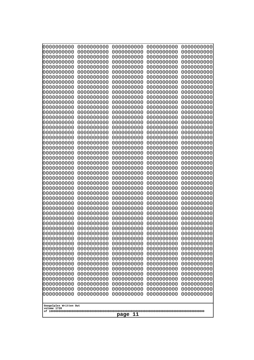| 000000000                             | 0000000000 | 0000000000 | 0000000000 | 0000000000 |
|---------------------------------------|------------|------------|------------|------------|
| 0000000000                            | 0000000000 | 0000000000 | 0000000000 | 0000000000 |
| 0000000000                            | 0000000000 | 0000000000 | 0000000000 | 0000000000 |
| 0000000000                            | 0000000000 | 0000000000 | 0000000000 | 0000000000 |
| 0000000000                            | 0000000000 | 0000000000 | 0000000000 | 0000000000 |
| 0000000000                            | 0000000000 | 0000000000 | 0000000000 | 0000000000 |
| 0000000000                            | 0000000000 | 0000000000 | 0000000000 | 0000000000 |
| 0000000000                            | 0000000000 | 0000000000 | 0000000000 | 0000000000 |
| 0000000000                            | 0000000000 | 0000000000 | 0000000000 | 0000000000 |
| 0000000000                            | 0000000000 | 0000000000 | 0000000000 | 0000000000 |
| 0000000000                            | 0000000000 | 0000000000 | 0000000000 | 0000000000 |
| 0000000000                            | 0000000000 | 0000000000 | 0000000000 | 0000000000 |
| 0000000000                            | 0000000000 | 0000000000 | 0000000000 | 0000000000 |
| 0000000000                            | 0000000000 | 0000000000 | 0000000000 | 0000000000 |
| 0000000000                            | 0000000000 | 0000000000 | 0000000000 | 0000000000 |
| 0000000000                            | 0000000000 | 0000000000 | 0000000000 | 0000000000 |
| 0000000000                            | 0000000000 | 0000000000 | 0000000000 | 0000000000 |
| 0000000000                            | 0000000000 | 0000000000 | 0000000000 | 0000000000 |
| 0000000000                            | 0000000000 | 0000000000 | 0000000000 | 0000000000 |
| 0000000000                            | 0000000000 | 0000000000 | 0000000000 | 0000000000 |
| 0000000000                            | 0000000000 | 0000000000 | 0000000000 | 0000000000 |
| 0000000000                            | 0000000000 | 0000000000 | 0000000000 | 0000000000 |
| 0000000000                            | 0000000000 | 0000000000 | 0000000000 | 0000000000 |
| 0000000000                            | 0000000000 | 0000000000 | 0000000000 | 0000000000 |
| 0000000000                            | 0000000000 | 0000000000 | 0000000000 | 0000000000 |
| 0000000000                            | 0000000000 | 0000000000 | 0000000000 | 0000000000 |
| 0000000000                            | 0000000000 | 0000000000 | 0000000000 | 0000000000 |
| 0000000000                            | 0000000000 | 0000000000 | 0000000000 | 0000000000 |
| 0000000000                            | 0000000000 | 0000000000 | 0000000000 | 0000000000 |
| 0000000000                            | 0000000000 | 0000000000 | 0000000000 | 0000000000 |
| 0000000000                            | 0000000000 | 0000000000 | 0000000000 | 0000000000 |
| 0000000000                            | 0000000000 | 0000000000 | 0000000000 | 0000000000 |
| 0000000000                            | 0000000000 | 0000000000 | 0000000000 | 0000000000 |
| 0000000000                            | 0000000000 | 0000000000 | 0000000000 | 0000000000 |
| 0000000000                            | 0000000000 | 0000000000 | 0000000000 | 0000000000 |
| 0000000000                            | 0000000000 | 0000000000 | 0000000000 | 0000000000 |
| 0000000000                            | 0000000000 | 0000000000 | 0000000000 | 0000000000 |
| 0000000000                            | 0000000000 | 0000000000 | 0000000000 | 0000000000 |
| 0000000000                            | 0000000000 | 0000000000 | 0000000000 | 0000000000 |
| 0000000000                            | 0000000000 | 0000000000 | 0000000000 | 0000000000 |
| 0000000000                            | 0000000000 | 0000000000 | 0000000000 | 0000000000 |
| 0000000000                            | 0000000000 | 0000000000 | 0000000000 | 0000000000 |
| 0000000000                            | 0000000000 | 0000000000 | 0000000000 | 0000000000 |
| 0000000000                            | 0000000000 | 0000000000 | 0000000000 | 0000000000 |
| 0000000000                            | 0000000000 | 0000000000 | 0000000000 | 0000000000 |
| 0000000000                            | 0000000000 | 0000000000 | 0000000000 | 0000000000 |
| 0000000000                            | 0000000000 | 0000000000 | 0000000000 | 0000000000 |
| 0000000000                            | 0000000000 | 0000000000 | 0000000000 | 0000000000 |
| 0000000000                            | 0000000000 | 0000000000 | 0000000000 | 0000000000 |
| 0000000000                            | 0000000000 | 0000000000 | 0000000000 | 0000000000 |
| Googolplex Written Out<br>volume 1720 |            |            |            |            |
| 11<br>page                            |            |            |            |            |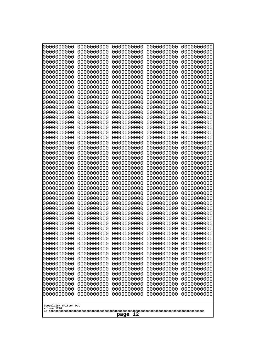| 000000000                             | 0000000000 | 0000000000 | 0000000000 | 0000000000 |
|---------------------------------------|------------|------------|------------|------------|
| 0000000000                            | 0000000000 | 0000000000 | 0000000000 | 0000000000 |
| 0000000000                            | 0000000000 | 0000000000 | 0000000000 | 0000000000 |
| 0000000000                            | 0000000000 | 0000000000 | 0000000000 | 0000000000 |
| 0000000000                            | 0000000000 | 0000000000 | 0000000000 | 0000000000 |
| 0000000000                            | 0000000000 | 0000000000 | 0000000000 | 0000000000 |
| 0000000000                            | 0000000000 | 0000000000 | 0000000000 | 0000000000 |
| 0000000000                            | 0000000000 | 0000000000 | 0000000000 | 0000000000 |
| 0000000000                            | 0000000000 | 0000000000 | 0000000000 | 0000000000 |
| 0000000000                            | 0000000000 | 0000000000 | 0000000000 | 0000000000 |
| 0000000000                            | 0000000000 | 0000000000 | 0000000000 | 0000000000 |
| 0000000000                            | 0000000000 | 0000000000 | 0000000000 | 0000000000 |
| 0000000000                            | 0000000000 | 0000000000 | 0000000000 | 0000000000 |
| 0000000000                            | 0000000000 | 0000000000 | 0000000000 | 0000000000 |
| 0000000000                            | 0000000000 | 0000000000 | 0000000000 | 0000000000 |
| 0000000000                            | 0000000000 | 0000000000 | 0000000000 | 0000000000 |
| 0000000000                            | 0000000000 | 0000000000 | 0000000000 | 0000000000 |
| 0000000000                            | 0000000000 | 0000000000 | 0000000000 | 0000000000 |
| 0000000000                            | 0000000000 | 0000000000 | 0000000000 | 0000000000 |
| 0000000000                            | 0000000000 | 0000000000 | 0000000000 | 0000000000 |
| 0000000000                            | 0000000000 | 0000000000 | 0000000000 | 0000000000 |
| 0000000000                            | 0000000000 | 0000000000 | 0000000000 | 0000000000 |
| 0000000000                            | 0000000000 | 0000000000 | 0000000000 | 0000000000 |
| 0000000000                            | 0000000000 | 0000000000 | 0000000000 | 0000000000 |
| 0000000000                            | 0000000000 | 0000000000 | 0000000000 | 0000000000 |
| 0000000000                            | 0000000000 | 0000000000 | 0000000000 | 0000000000 |
| 0000000000                            | 0000000000 | 0000000000 | 0000000000 | 0000000000 |
| 0000000000                            | 0000000000 | 0000000000 | 0000000000 | 0000000000 |
| 0000000000                            | 0000000000 | 0000000000 | 0000000000 | 0000000000 |
| 0000000000                            | 0000000000 | 0000000000 | 0000000000 | 0000000000 |
| 0000000000                            | 0000000000 | 0000000000 | 0000000000 | 0000000000 |
| 0000000000                            | 0000000000 | 0000000000 | 0000000000 | 0000000000 |
| 0000000000                            | 0000000000 | 0000000000 | 0000000000 | 0000000000 |
| 0000000000                            | 0000000000 | 0000000000 | 0000000000 | 0000000000 |
| 0000000000                            | 0000000000 | 0000000000 | 0000000000 | 0000000000 |
| 0000000000                            | 0000000000 | 0000000000 | 0000000000 | 0000000000 |
| 0000000000                            | 0000000000 | 0000000000 | 0000000000 | 0000000000 |
| 0000000000                            | 0000000000 | 0000000000 | 0000000000 | 0000000000 |
| 0000000000                            | 0000000000 | 0000000000 | 0000000000 | 0000000000 |
| 0000000000                            | 0000000000 | 0000000000 | 0000000000 | 0000000000 |
| 0000000000                            | 0000000000 | 0000000000 | 0000000000 | 0000000000 |
| 0000000000                            | 0000000000 | 0000000000 | 0000000000 | 0000000000 |
| 0000000000                            | 0000000000 | 0000000000 | 0000000000 | 0000000000 |
| 0000000000                            | 0000000000 | 0000000000 | 0000000000 | 0000000000 |
| 0000000000                            | 0000000000 | 0000000000 | 0000000000 | 0000000000 |
| 0000000000                            | 0000000000 | 0000000000 | 0000000000 | 0000000000 |
| 0000000000                            | 0000000000 | 0000000000 | 0000000000 | 0000000000 |
| 0000000000                            | 0000000000 | 0000000000 | 0000000000 | 0000000000 |
| 0000000000                            | 0000000000 | 0000000000 | 0000000000 | 0000000000 |
| 0000000000                            | 0000000000 | 0000000000 | 0000000000 | 0000000000 |
| Googolplex Written Out<br>volume 1720 |            |            |            |            |
| page<br>12                            |            |            |            |            |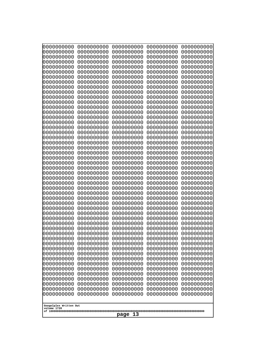| 000000000                             | 0000000000 | 0000000000 | 0000000000 | 0000000000 |
|---------------------------------------|------------|------------|------------|------------|
| 0000000000                            | 0000000000 | 0000000000 | 0000000000 | 0000000000 |
| 0000000000                            | 0000000000 | 0000000000 | 0000000000 | 0000000000 |
| 0000000000                            | 0000000000 | 0000000000 | 0000000000 | 0000000000 |
| 0000000000                            | 0000000000 | 0000000000 | 0000000000 | 0000000000 |
| 0000000000                            | 0000000000 | 0000000000 | 0000000000 | 0000000000 |
| 0000000000                            | 0000000000 | 0000000000 | 0000000000 | 0000000000 |
| 0000000000                            | 0000000000 | 0000000000 | 0000000000 | 0000000000 |
| 0000000000                            | 0000000000 | 0000000000 | 0000000000 | 0000000000 |
| 0000000000                            | 0000000000 | 0000000000 | 0000000000 | 0000000000 |
| 0000000000                            | 0000000000 | 0000000000 | 0000000000 | 0000000000 |
| 0000000000                            | 0000000000 | 0000000000 | 0000000000 | 0000000000 |
| 0000000000                            | 0000000000 | 0000000000 | 0000000000 | 0000000000 |
| 0000000000                            | 0000000000 | 0000000000 | 0000000000 | 0000000000 |
| 0000000000                            | 0000000000 | 0000000000 | 0000000000 | 0000000000 |
| 0000000000                            | 0000000000 | 0000000000 | 0000000000 | 0000000000 |
| 0000000000                            | 0000000000 | 0000000000 | 0000000000 | 0000000000 |
| 0000000000                            | 0000000000 | 0000000000 | 0000000000 | 0000000000 |
| 0000000000                            | 0000000000 | 0000000000 | 0000000000 | 0000000000 |
| 0000000000                            | 0000000000 | 0000000000 | 0000000000 | 0000000000 |
| 0000000000                            | 0000000000 | 0000000000 | 0000000000 | 0000000000 |
| 0000000000                            | 0000000000 | 0000000000 | 0000000000 | 0000000000 |
| 0000000000                            | 0000000000 | 0000000000 | 0000000000 | 0000000000 |
| 0000000000                            | 0000000000 | 0000000000 | 0000000000 | 0000000000 |
| 0000000000                            | 0000000000 | 0000000000 | 0000000000 | 0000000000 |
| 0000000000                            | 0000000000 | 0000000000 | 0000000000 | 0000000000 |
| 0000000000                            | 0000000000 | 0000000000 | 0000000000 | 0000000000 |
| 0000000000                            | 0000000000 | 0000000000 | 0000000000 | 0000000000 |
| 0000000000                            | 0000000000 | 0000000000 | 0000000000 | 0000000000 |
| 0000000000                            | 0000000000 | 0000000000 | 0000000000 | 0000000000 |
| 0000000000                            | 0000000000 | 0000000000 | 0000000000 | 0000000000 |
| 0000000000                            | 0000000000 | 0000000000 | 0000000000 | 0000000000 |
| 0000000000                            | 0000000000 | 0000000000 | 0000000000 | 0000000000 |
| 0000000000                            | 0000000000 | 0000000000 | 0000000000 | 0000000000 |
| 0000000000                            | 0000000000 | 0000000000 | 0000000000 | 0000000000 |
| 0000000000                            | 0000000000 | 0000000000 | 0000000000 | 0000000000 |
| 0000000000                            | 0000000000 | 0000000000 | 0000000000 | 0000000000 |
| 0000000000                            | 0000000000 | 0000000000 | 0000000000 | 0000000000 |
| 0000000000                            | 0000000000 | 0000000000 | 0000000000 | 0000000000 |
| 0000000000                            | 0000000000 | 0000000000 | 0000000000 | 0000000000 |
| 0000000000                            | 0000000000 | 0000000000 | 0000000000 | 0000000000 |
| 0000000000                            | 0000000000 | 0000000000 | 0000000000 | 0000000000 |
| 0000000000                            | 0000000000 | 0000000000 | 0000000000 | 0000000000 |
| 0000000000                            | 0000000000 | 0000000000 | 0000000000 | 0000000000 |
| 0000000000                            | 0000000000 | 0000000000 | 0000000000 | 0000000000 |
| 0000000000                            | 0000000000 | 0000000000 | 0000000000 | 0000000000 |
| 0000000000                            | 0000000000 | 0000000000 | 0000000000 | 0000000000 |
| 0000000000                            | 0000000000 | 0000000000 | 0000000000 | 0000000000 |
| 0000000000                            | 0000000000 | 0000000000 | 0000000000 | 0000000000 |
| 0000000000                            | 0000000000 | 0000000000 | 0000000000 | 0000000000 |
| Googolplex Written Out<br>volume 1720 |            |            |            |            |
| page<br>13                            |            |            |            |            |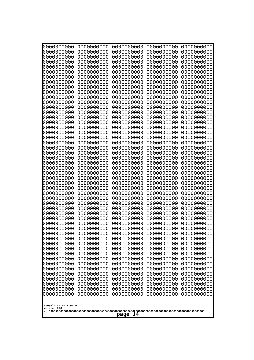| 000000000<br>0000000000               | 0000000000<br>0000000000 | 0000000000<br>0000000000 | 0000000000<br>0000000000 | 0000000000<br>0000000000 |
|---------------------------------------|--------------------------|--------------------------|--------------------------|--------------------------|
| 0000000000<br>0000000000              | 0000000000<br>0000000000 | 0000000000<br>0000000000 | 0000000000<br>0000000000 | 0000000000<br>0000000000 |
| 0000000000                            | 0000000000               | 0000000000               | 0000000000               | 0000000000               |
| 0000000000<br>0000000000              | 0000000000<br>0000000000 | 0000000000<br>0000000000 | 0000000000<br>0000000000 | 0000000000<br>0000000000 |
| 0000000000                            | 0000000000               | 0000000000               | 0000000000               | 0000000000               |
| 0000000000<br>0000000000              | 0000000000<br>0000000000 | 0000000000<br>0000000000 | 0000000000<br>0000000000 | 0000000000<br>0000000000 |
| 0000000000                            | 0000000000               | 0000000000               | 0000000000               | 0000000000               |
| 0000000000<br>0000000000              | 0000000000<br>0000000000 | 0000000000<br>0000000000 | 0000000000<br>0000000000 | 0000000000<br>0000000000 |
| 0000000000                            | 0000000000               | 0000000000               | 0000000000               | 0000000000               |
| 0000000000<br>0000000000              | 0000000000<br>0000000000 | 0000000000<br>0000000000 | 0000000000<br>0000000000 | 0000000000<br>0000000000 |
| 0000000000                            | 0000000000               | 0000000000               | 0000000000               | 0000000000               |
| 0000000000<br>0000000000              | 0000000000<br>0000000000 | 0000000000<br>0000000000 | 0000000000<br>0000000000 | 0000000000<br>0000000000 |
| 0000000000                            | 0000000000               | 0000000000               | 0000000000               | 0000000000               |
| 0000000000<br>0000000000              | 0000000000<br>0000000000 | 0000000000<br>0000000000 | 0000000000<br>0000000000 | 0000000000<br>0000000000 |
| 0000000000                            | 0000000000               | 0000000000               | 0000000000               | 0000000000               |
| 0000000000                            | 0000000000               | 0000000000               | 0000000000               | 0000000000               |
| 0000000000<br>0000000000              | 0000000000<br>0000000000 | 0000000000<br>0000000000 | 0000000000<br>0000000000 | 0000000000<br>0000000000 |
| 0000000000<br>0000000000              | 0000000000<br>0000000000 | 0000000000<br>0000000000 | 0000000000<br>0000000000 | 0000000000<br>0000000000 |
| 0000000000                            | 0000000000               | 0000000000               | 0000000000               | 0000000000               |
| 0000000000<br>0000000000              | 0000000000<br>0000000000 | 0000000000<br>0000000000 | 0000000000<br>0000000000 | 0000000000<br>0000000000 |
| 0000000000                            | 0000000000               | 0000000000               | 0000000000               | 0000000000               |
| 0000000000<br>0000000000              | 0000000000<br>0000000000 | 0000000000<br>0000000000 | 0000000000<br>0000000000 | 0000000000<br>0000000000 |
| 0000000000                            | 0000000000               | 0000000000               | 0000000000               | 0000000000               |
| 0000000000<br>0000000000              | 0000000000<br>0000000000 | 0000000000<br>0000000000 | 0000000000<br>0000000000 | 0000000000<br>0000000000 |
| 0000000000                            | 0000000000               | 0000000000               | 0000000000               | 0000000000               |
| 0000000000<br>0000000000              | 0000000000<br>0000000000 | 0000000000<br>0000000000 | 0000000000<br>0000000000 | 0000000000<br>0000000000 |
| 0000000000                            | 0000000000               | 0000000000               | 0000000000               | 0000000000               |
| 0000000000<br>0000000000              | 0000000000<br>0000000000 | 0000000000<br>0000000000 | 0000000000<br>0000000000 | 0000000000<br>0000000000 |
| 0000000000                            | 0000000000               | 0000000000               | 0000000000               | 0000000000               |
| 0000000000<br>0000000000              | 0000000000<br>0000000000 | 0000000000<br>0000000000 | 0000000000<br>0000000000 | 0000000000<br>0000000000 |
| 0000000000                            | 0000000000               | 0000000000               | 0000000000               | 0000000000               |
| 0000000000<br>0000000000              | 0000000000<br>0000000000 | 0000000000<br>0000000000 | 0000000000<br>0000000000 | 0000000000<br>0000000000 |
| 0000000000                            | 0000000000               | 0000000000               | 0000000000               | 0000000000               |
|                                       |                          |                          |                          |                          |
| Googolplex Written Out<br>volume 1720 |                          |                          |                          |                          |
| page<br>14                            |                          |                          |                          |                          |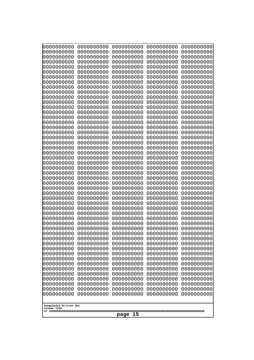| 0000000000                                           | 0000000000                                           | 0000000000                                           | 0000000000                                           | 0000000000                                           |
|------------------------------------------------------|------------------------------------------------------|------------------------------------------------------|------------------------------------------------------|------------------------------------------------------|
| 0000000000                                           | 0000000000                                           | 0000000000                                           | 0000000000                                           | 0000000000                                           |
| 0000000000                                           | 0000000000                                           | 0000000000                                           | 0000000000                                           | 0000000000                                           |
| 0000000000                                           | 0000000000                                           | 0000000000                                           | 0000000000                                           | 0000000000                                           |
| 0000000000                                           | 0000000000                                           | 0000000000                                           | 0000000000                                           | 0000000000                                           |
| 0000000000                                           | 0000000000                                           | 0000000000                                           | 0000000000                                           | 0000000000                                           |
| 0000000000                                           | 0000000000                                           | 0000000000                                           | 0000000000                                           | 0000000000                                           |
| 0000000000                                           | 0000000000                                           | 0000000000                                           | 0000000000                                           | 0000000000                                           |
| 0000000000                                           | 0000000000                                           | 0000000000                                           | 0000000000                                           | 0000000000                                           |
| 0000000000                                           | 0000000000                                           | 0000000000                                           | 0000000000                                           | 0000000000                                           |
| 0000000000                                           | 0000000000                                           | 0000000000                                           | 0000000000                                           | 0000000000                                           |
| 0000000000                                           | 0000000000                                           | 0000000000                                           | 0000000000                                           | 0000000000                                           |
| 0000000000                                           | 0000000000                                           | 0000000000                                           | 0000000000                                           | 0000000000                                           |
| 0000000000                                           | 0000000000                                           | 0000000000                                           | 0000000000                                           | 0000000000                                           |
| 0000000000                                           | 0000000000                                           | 0000000000                                           | 0000000000                                           | 0000000000                                           |
| 0000000000                                           | 0000000000                                           | 0000000000                                           | 0000000000                                           | 0000000000                                           |
| 0000000000                                           | 0000000000                                           | 0000000000                                           | 0000000000                                           | 0000000000                                           |
| 0000000000                                           | 0000000000                                           | 0000000000                                           | 0000000000                                           | 0000000000                                           |
| 0000000000                                           | 0000000000                                           | 0000000000                                           | 0000000000                                           | 0000000000                                           |
| 0000000000                                           | 0000000000                                           | 0000000000                                           | 0000000000                                           | 0000000000                                           |
| 0000000000                                           | 0000000000                                           | 0000000000                                           | 0000000000                                           | 0000000000                                           |
| 0000000000                                           | 0000000000                                           | 0000000000                                           | 0000000000                                           | 0000000000                                           |
| 0000000000                                           | 0000000000                                           | 0000000000                                           | 0000000000                                           | 0000000000                                           |
| 0000000000                                           | 0000000000                                           | 0000000000                                           | 0000000000                                           | 0000000000                                           |
| 0000000000                                           | 0000000000                                           | 0000000000                                           | 0000000000                                           | 0000000000                                           |
| 0000000000                                           | 0000000000                                           | 0000000000                                           | 0000000000                                           | 0000000000                                           |
| 0000000000                                           | 0000000000                                           | 0000000000                                           | 0000000000                                           | 0000000000                                           |
| 0000000000                                           | 0000000000                                           | 0000000000                                           | 0000000000                                           | 0000000000                                           |
| 0000000000                                           | 0000000000                                           | 0000000000                                           | 0000000000                                           | 0000000000                                           |
| 0000000000                                           | 0000000000                                           | 0000000000                                           | 0000000000                                           | 0000000000                                           |
| 0000000000                                           | 0000000000                                           | 0000000000                                           | 0000000000                                           | 0000000000                                           |
| 0000000000                                           | 0000000000                                           | 0000000000                                           | 0000000000                                           | 0000000000                                           |
| 0000000000<br>0000000000<br>0000000000               | 0000000000<br>0000000000<br>0000000000               | 0000000000<br>0000000000<br>0000000000<br>0000000000 | 0000000000<br>0000000000<br>0000000000               | 0000000000<br>0000000000<br>0000000000<br>0000000000 |
| 0000000000<br>0000000000<br>0000000000<br>0000000000 | 0000000000<br>0000000000<br>0000000000<br>0000000000 | 0000000000<br>0000000000<br>0000000000               | 0000000000<br>0000000000<br>0000000000<br>0000000000 | 0000000000<br>0000000000<br>0000000000               |
| 0000000000                                           | 0000000000                                           | 0000000000                                           | 0000000000                                           | 0000000000                                           |
| 0000000000                                           | 0000000000                                           | 0000000000                                           | 0000000000                                           | 0000000000                                           |
| 0000000000                                           | 0000000000                                           | 0000000000                                           | 0000000000                                           | 0000000000                                           |
| 0000000000                                           | 0000000000                                           | 0000000000                                           | 0000000000                                           | 0000000000                                           |
| 0000000000                                           | 0000000000                                           | 0000000000                                           | 0000000000                                           | 0000000000                                           |
| 0000000000                                           | 0000000000                                           | 0000000000                                           | 0000000000                                           | 0000000000                                           |
| 0000000000                                           | 0000000000                                           | 0000000000                                           | 0000000000                                           | 0000000000                                           |
| 0000000000                                           | 0000000000                                           | 0000000000                                           | 0000000000                                           | 0000000000                                           |
| 0000000000                                           | 0000000000                                           | 0000000000                                           | 0000000000                                           | 0000000000                                           |
| 0000000000                                           | 0000000000                                           | 0000000000                                           | 0000000000                                           | 0000000000                                           |
| 0000000000                                           | 0000000000                                           | 0000000000                                           | 0000000000                                           | 0000000000                                           |
| Googolplex Written Out<br>volume 1720<br>page 15     |                                                      |                                                      |                                                      |                                                      |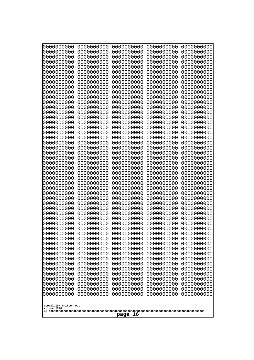| 000000000                             | 0000000000 | 0000000000 | 0000000000 | 0000000000 |
|---------------------------------------|------------|------------|------------|------------|
| 0000000000                            | 0000000000 | 0000000000 | 0000000000 | 0000000000 |
| 0000000000                            | 0000000000 | 0000000000 | 0000000000 | 0000000000 |
| 0000000000                            | 0000000000 | 0000000000 | 0000000000 | 0000000000 |
| 0000000000                            | 0000000000 | 0000000000 | 0000000000 | 0000000000 |
| 0000000000                            | 0000000000 | 0000000000 | 0000000000 | 0000000000 |
| 0000000000                            | 0000000000 | 0000000000 | 0000000000 | 0000000000 |
| 0000000000                            | 0000000000 | 0000000000 | 0000000000 | 0000000000 |
| 0000000000                            | 0000000000 | 0000000000 | 0000000000 | 0000000000 |
| 0000000000                            | 0000000000 | 0000000000 | 0000000000 | 0000000000 |
| 0000000000                            | 0000000000 | 0000000000 | 0000000000 | 0000000000 |
| 0000000000                            | 0000000000 | 0000000000 | 0000000000 | 0000000000 |
| 0000000000                            | 0000000000 | 0000000000 | 0000000000 | 0000000000 |
| 0000000000                            | 0000000000 | 0000000000 | 0000000000 | 0000000000 |
| 0000000000                            | 0000000000 | 0000000000 | 0000000000 | 0000000000 |
| 0000000000                            | 0000000000 | 0000000000 | 0000000000 | 0000000000 |
| 0000000000                            | 0000000000 | 0000000000 | 0000000000 | 0000000000 |
| 0000000000                            | 0000000000 | 0000000000 | 0000000000 | 0000000000 |
| 0000000000                            | 0000000000 | 0000000000 | 0000000000 | 0000000000 |
| 0000000000                            | 0000000000 | 0000000000 | 0000000000 | 0000000000 |
| 0000000000                            | 0000000000 | 0000000000 | 0000000000 | 0000000000 |
| 0000000000                            | 0000000000 | 0000000000 | 0000000000 | 0000000000 |
| 0000000000                            | 0000000000 | 0000000000 | 0000000000 | 0000000000 |
| 0000000000                            | 0000000000 | 0000000000 | 0000000000 | 0000000000 |
| 0000000000                            | 0000000000 | 0000000000 | 0000000000 | 0000000000 |
| 0000000000                            | 0000000000 | 0000000000 | 0000000000 | 0000000000 |
| 0000000000                            | 0000000000 | 0000000000 | 0000000000 | 0000000000 |
| 0000000000                            | 0000000000 | 0000000000 | 0000000000 | 0000000000 |
| 0000000000                            | 0000000000 | 0000000000 | 0000000000 | 0000000000 |
| 0000000000                            | 0000000000 | 0000000000 | 0000000000 | 0000000000 |
| 0000000000                            | 0000000000 | 0000000000 | 0000000000 | 0000000000 |
| 0000000000                            | 0000000000 | 0000000000 | 0000000000 | 0000000000 |
| 0000000000                            | 0000000000 | 0000000000 | 0000000000 | 0000000000 |
| 0000000000                            | 0000000000 | 0000000000 | 0000000000 | 0000000000 |
| 0000000000                            | 0000000000 | 0000000000 | 0000000000 | 0000000000 |
| 0000000000                            | 0000000000 | 0000000000 | 0000000000 | 0000000000 |
| 0000000000                            | 0000000000 | 0000000000 | 0000000000 | 0000000000 |
| 0000000000                            | 0000000000 | 0000000000 | 0000000000 | 0000000000 |
| 0000000000                            | 0000000000 | 0000000000 | 0000000000 | 0000000000 |
| 0000000000                            | 0000000000 | 0000000000 | 0000000000 | 0000000000 |
| 0000000000                            | 0000000000 | 0000000000 | 0000000000 | 0000000000 |
| 0000000000                            | 0000000000 | 0000000000 | 0000000000 | 0000000000 |
| 0000000000                            | 0000000000 | 0000000000 | 0000000000 | 0000000000 |
| 0000000000                            | 0000000000 | 0000000000 | 0000000000 | 0000000000 |
| 0000000000                            | 0000000000 | 0000000000 | 0000000000 | 0000000000 |
| 0000000000                            | 0000000000 | 0000000000 | 0000000000 | 0000000000 |
| 0000000000                            | 0000000000 | 0000000000 | 0000000000 | 0000000000 |
| 0000000000                            | 0000000000 | 0000000000 | 0000000000 | 0000000000 |
| 0000000000                            | 0000000000 | 0000000000 | 0000000000 | 0000000000 |
| 0000000000                            | 0000000000 | 0000000000 | 0000000000 | 0000000000 |
| Googolplex Written Out<br>volume 1720 |            |            |            |            |
| 16<br>page                            |            |            |            |            |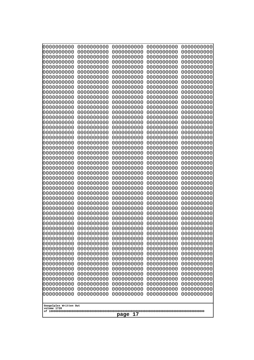| 0000000000                                          | 0000000000 | 0000000000 | 0000000000 | 0000000000 |
|-----------------------------------------------------|------------|------------|------------|------------|
| 0000000000                                          | 0000000000 | 0000000000 | 0000000000 | 0000000000 |
| 0000000000                                          | 0000000000 | 0000000000 | 0000000000 | 0000000000 |
| 0000000000                                          | 0000000000 | 0000000000 | 0000000000 | 0000000000 |
| 0000000000                                          | 0000000000 | 0000000000 | 0000000000 | 0000000000 |
| 0000000000                                          | 0000000000 | 0000000000 | 0000000000 | 0000000000 |
| 0000000000                                          | 0000000000 | 0000000000 | 0000000000 | 0000000000 |
| 0000000000                                          | 0000000000 | 0000000000 | 0000000000 | 0000000000 |
| 0000000000                                          | 0000000000 | 0000000000 | 0000000000 | 0000000000 |
| 0000000000                                          | 0000000000 | 0000000000 | 0000000000 | 0000000000 |
| 0000000000                                          | 0000000000 | 0000000000 | 0000000000 | 0000000000 |
| 0000000000                                          | 0000000000 | 0000000000 | 0000000000 | 0000000000 |
| 0000000000                                          | 0000000000 | 0000000000 | 0000000000 | 0000000000 |
| 0000000000                                          | 0000000000 | 0000000000 | 0000000000 | 0000000000 |
| 0000000000                                          | 0000000000 | 0000000000 | 0000000000 | 0000000000 |
| 0000000000                                          | 0000000000 | 0000000000 | 0000000000 | 0000000000 |
| 0000000000                                          | 0000000000 | 0000000000 | 0000000000 | 0000000000 |
| 0000000000                                          | 0000000000 | 0000000000 | 0000000000 | 0000000000 |
| 0000000000                                          | 0000000000 | 0000000000 | 0000000000 | 0000000000 |
| 0000000000                                          | 0000000000 | 0000000000 | 0000000000 | 0000000000 |
| 0000000000                                          | 0000000000 | 0000000000 | 0000000000 | 0000000000 |
| 0000000000                                          | 0000000000 | 0000000000 | 0000000000 | 0000000000 |
| 0000000000                                          | 0000000000 | 0000000000 | 0000000000 | 0000000000 |
| 0000000000                                          | 0000000000 | 0000000000 | 0000000000 | 0000000000 |
| 0000000000                                          | 0000000000 | 0000000000 | 0000000000 | 0000000000 |
| 0000000000                                          | 0000000000 | 0000000000 | 0000000000 | 0000000000 |
| 0000000000                                          | 0000000000 | 0000000000 | 0000000000 | 0000000000 |
| 0000000000                                          | 0000000000 | 0000000000 | 0000000000 | 0000000000 |
| 0000000000                                          | 0000000000 | 0000000000 | 0000000000 | 0000000000 |
| 0000000000                                          | 0000000000 | 0000000000 | 0000000000 | 0000000000 |
| 0000000000                                          | 0000000000 | 0000000000 | 0000000000 | 0000000000 |
| 0000000000                                          | 0000000000 | 0000000000 | 0000000000 | 0000000000 |
| 0000000000                                          | 0000000000 | 0000000000 | 0000000000 | 0000000000 |
| 0000000000                                          | 0000000000 | 0000000000 | 0000000000 | 0000000000 |
| 0000000000                                          | 0000000000 | 0000000000 | 0000000000 | 0000000000 |
| 0000000000                                          | 0000000000 | 0000000000 | 0000000000 | 0000000000 |
| 0000000000                                          | 0000000000 | 0000000000 | 0000000000 | 0000000000 |
| 0000000000                                          | 0000000000 | 0000000000 | 0000000000 | 0000000000 |
| 0000000000                                          | 0000000000 | 0000000000 | 0000000000 | 0000000000 |
| 0000000000                                          | 0000000000 | 0000000000 | 0000000000 | 0000000000 |
| 0000000000                                          | 0000000000 | 0000000000 | 0000000000 | 0000000000 |
| 0000000000                                          | 0000000000 | 0000000000 | 0000000000 | 0000000000 |
| 0000000000                                          | 0000000000 | 0000000000 | 0000000000 | 0000000000 |
| 0000000000                                          | 0000000000 | 0000000000 | 0000000000 | 0000000000 |
|                                                     |            |            |            |            |
| 0000000000                                          | 0000000000 | 0000000000 | 0000000000 | 0000000000 |
| 0000000000                                          | 0000000000 | 0000000000 | 0000000000 | 0000000000 |
| 0000000000                                          | 0000000000 | 0000000000 | 0000000000 | 0000000000 |
| 0000000000                                          | 0000000000 | 0000000000 | 0000000000 | 0000000000 |
| 0000000000                                          | 0000000000 | 0000000000 | 0000000000 | 0000000000 |
| 0000000000                                          | 0000000000 | 0000000000 | 0000000000 | 0000000000 |
| Googolplex Written Out<br>volume 1720<br>17<br>page |            |            |            |            |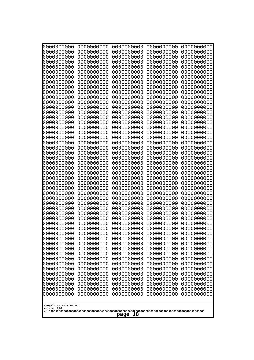| 0000000000                                       | 0000000000 | 0000000000 | 0000000000 | 0000000000 |
|--------------------------------------------------|------------|------------|------------|------------|
| 0000000000                                       | 0000000000 | 0000000000 | 0000000000 | 0000000000 |
| 0000000000                                       | 0000000000 | 0000000000 | 0000000000 | 0000000000 |
| 0000000000                                       | 0000000000 | 0000000000 | 0000000000 | 0000000000 |
| 0000000000                                       | 0000000000 | 0000000000 | 0000000000 | 0000000000 |
| 0000000000                                       | 0000000000 | 0000000000 | 0000000000 | 0000000000 |
| 0000000000                                       | 0000000000 | 0000000000 | 0000000000 | 0000000000 |
| 0000000000                                       | 0000000000 | 0000000000 | 0000000000 | 0000000000 |
| 0000000000                                       | 0000000000 | 0000000000 | 0000000000 | 0000000000 |
| 0000000000                                       | 0000000000 | 0000000000 | 0000000000 | 0000000000 |
| 0000000000                                       | 0000000000 | 0000000000 | 0000000000 | 0000000000 |
| 0000000000                                       | 0000000000 | 0000000000 | 0000000000 | 0000000000 |
| 0000000000                                       | 0000000000 | 0000000000 | 0000000000 | 0000000000 |
| 0000000000                                       | 0000000000 | 0000000000 | 0000000000 | 0000000000 |
| 0000000000                                       | 0000000000 | 0000000000 | 0000000000 | 0000000000 |
| 0000000000                                       | 0000000000 | 0000000000 | 0000000000 | 0000000000 |
| 0000000000                                       | 0000000000 | 0000000000 | 0000000000 | 0000000000 |
| 0000000000                                       | 0000000000 | 0000000000 | 0000000000 | 0000000000 |
| 0000000000                                       | 0000000000 | 0000000000 | 0000000000 | 0000000000 |
| 0000000000                                       | 0000000000 | 0000000000 | 0000000000 | 0000000000 |
| 0000000000                                       | 0000000000 | 0000000000 | 0000000000 | 0000000000 |
| 0000000000                                       | 0000000000 | 0000000000 | 0000000000 | 0000000000 |
| 0000000000                                       | 0000000000 | 0000000000 | 0000000000 | 0000000000 |
| 0000000000                                       | 0000000000 | 0000000000 | 0000000000 | 0000000000 |
| 0000000000                                       | 0000000000 | 0000000000 | 0000000000 | 0000000000 |
| 0000000000                                       | 0000000000 | 0000000000 | 0000000000 | 0000000000 |
| 0000000000                                       | 0000000000 | 0000000000 | 0000000000 | 0000000000 |
| 0000000000                                       | 0000000000 | 0000000000 | 0000000000 | 0000000000 |
| 0000000000                                       | 0000000000 | 0000000000 | 0000000000 | 0000000000 |
| 0000000000                                       | 0000000000 | 0000000000 | 0000000000 | 0000000000 |
| 0000000000                                       | 0000000000 | 0000000000 | 0000000000 | 0000000000 |
| 0000000000                                       | 0000000000 | 0000000000 | 0000000000 | 0000000000 |
| 0000000000                                       | 0000000000 | 0000000000 | 0000000000 | 0000000000 |
| 0000000000                                       | 0000000000 | 0000000000 | 0000000000 | 0000000000 |
| 0000000000                                       | 0000000000 | 0000000000 | 0000000000 | 0000000000 |
| 0000000000                                       | 0000000000 | 0000000000 | 0000000000 | 0000000000 |
| 0000000000                                       | 0000000000 | 0000000000 | 0000000000 | 0000000000 |
| 0000000000                                       | 0000000000 | 0000000000 | 0000000000 | 0000000000 |
| 0000000000                                       | 0000000000 | 0000000000 | 0000000000 | 0000000000 |
| 0000000000                                       | 0000000000 | 0000000000 | 0000000000 | 0000000000 |
| 0000000000                                       | 0000000000 | 0000000000 | 0000000000 | 0000000000 |
| 0000000000                                       | 0000000000 | 0000000000 | 0000000000 | 0000000000 |
| 0000000000                                       | 0000000000 | 0000000000 | 0000000000 | 0000000000 |
| 0000000000                                       | 0000000000 | 0000000000 | 0000000000 | 0000000000 |
| 0000000000                                       | 0000000000 | 0000000000 | 0000000000 | 0000000000 |
| 0000000000                                       | 0000000000 | 0000000000 | 0000000000 | 0000000000 |
| 0000000000                                       | 0000000000 | 0000000000 | 0000000000 | 0000000000 |
| 0000000000                                       | 0000000000 | 0000000000 | 0000000000 | 0000000000 |
| 0000000000                                       | 0000000000 | 0000000000 | 0000000000 | 0000000000 |
| 0000000000                                       | 0000000000 | 0000000000 | 0000000000 | 0000000000 |
| Googolplex Written Out<br>volume 1720<br>page 18 |            |            |            |            |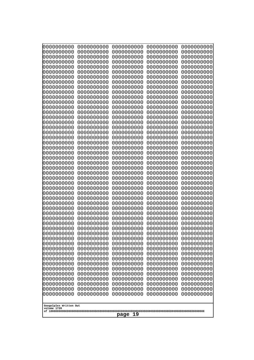| 0000000000                                                                                                  | 0000000000 | 0000000000 | 0000000000 | 0000000000 |
|-------------------------------------------------------------------------------------------------------------|------------|------------|------------|------------|
| 0000000000                                                                                                  | 0000000000 | 0000000000 | 0000000000 | 0000000000 |
| 0000000000                                                                                                  | 0000000000 | 0000000000 | 0000000000 | 0000000000 |
| 0000000000                                                                                                  | 0000000000 | 0000000000 | 0000000000 | 0000000000 |
| 0000000000                                                                                                  | 0000000000 | 0000000000 | 0000000000 | 0000000000 |
| 0000000000                                                                                                  | 0000000000 | 0000000000 | 0000000000 | 0000000000 |
| 0000000000                                                                                                  | 0000000000 | 0000000000 | 0000000000 | 0000000000 |
| 0000000000                                                                                                  | 0000000000 | 0000000000 | 0000000000 | 0000000000 |
| 0000000000                                                                                                  | 0000000000 | 0000000000 | 0000000000 | 0000000000 |
| 0000000000                                                                                                  | 0000000000 | 0000000000 | 0000000000 | 0000000000 |
| 0000000000                                                                                                  | 0000000000 | 0000000000 | 0000000000 | 0000000000 |
| 0000000000                                                                                                  | 0000000000 | 0000000000 | 0000000000 | 0000000000 |
| 0000000000                                                                                                  | 0000000000 | 0000000000 | 0000000000 | 0000000000 |
| 0000000000                                                                                                  | 0000000000 | 0000000000 | 0000000000 | 0000000000 |
| 0000000000                                                                                                  | 0000000000 | 0000000000 | 0000000000 | 0000000000 |
| 0000000000                                                                                                  | 0000000000 | 0000000000 | 0000000000 | 0000000000 |
| 0000000000                                                                                                  | 0000000000 | 0000000000 | 0000000000 | 0000000000 |
| 0000000000                                                                                                  | 0000000000 | 0000000000 | 0000000000 | 0000000000 |
| 0000000000                                                                                                  | 0000000000 | 0000000000 | 0000000000 | 0000000000 |
| 0000000000                                                                                                  | 0000000000 | 0000000000 | 0000000000 | 0000000000 |
| 0000000000                                                                                                  | 0000000000 | 0000000000 | 0000000000 | 0000000000 |
| 0000000000                                                                                                  | 0000000000 | 0000000000 | 0000000000 | 0000000000 |
| 0000000000                                                                                                  | 0000000000 | 0000000000 | 0000000000 | 0000000000 |
| 0000000000                                                                                                  | 0000000000 | 0000000000 | 0000000000 | 0000000000 |
| 0000000000                                                                                                  | 0000000000 | 0000000000 | 0000000000 | 0000000000 |
| 0000000000                                                                                                  | 0000000000 | 0000000000 | 0000000000 | 0000000000 |
| 0000000000                                                                                                  | 0000000000 | 0000000000 | 0000000000 | 0000000000 |
| 0000000000                                                                                                  | 0000000000 | 0000000000 | 0000000000 | 0000000000 |
| 0000000000                                                                                                  | 0000000000 | 0000000000 | 0000000000 | 0000000000 |
| 0000000000                                                                                                  | 0000000000 | 0000000000 | 0000000000 | 0000000000 |
| 0000000000                                                                                                  | 0000000000 | 0000000000 | 0000000000 | 0000000000 |
| 0000000000                                                                                                  | 0000000000 | 0000000000 | 0000000000 | 0000000000 |
| 0000000000                                                                                                  | 0000000000 | 0000000000 | 0000000000 | 0000000000 |
| 0000000000                                                                                                  | 0000000000 | 0000000000 | 0000000000 | 0000000000 |
| 0000000000                                                                                                  | 0000000000 | 0000000000 | 0000000000 | 0000000000 |
| 0000000000                                                                                                  | 0000000000 | 0000000000 | 0000000000 | 0000000000 |
| 0000000000                                                                                                  | 0000000000 | 0000000000 | 0000000000 | 0000000000 |
| 0000000000                                                                                                  | 0000000000 | 0000000000 | 0000000000 | 0000000000 |
| 0000000000                                                                                                  | 0000000000 | 0000000000 | 0000000000 | 0000000000 |
| 0000000000                                                                                                  | 0000000000 | 0000000000 | 0000000000 | 0000000000 |
| 0000000000                                                                                                  | 0000000000 | 0000000000 | 0000000000 | 0000000000 |
| 0000000000                                                                                                  | 0000000000 | 0000000000 | 0000000000 | 0000000000 |
| 0000000000                                                                                                  | 0000000000 | 0000000000 | 0000000000 | 0000000000 |
| 0000000000                                                                                                  | 0000000000 | 0000000000 | 0000000000 | 0000000000 |
| 0000000000                                                                                                  | 0000000000 | 0000000000 | 0000000000 | 0000000000 |
| 0000000000                                                                                                  | 0000000000 | 0000000000 | 0000000000 | 0000000000 |
| 0000000000                                                                                                  | 0000000000 | 0000000000 | 0000000000 | 0000000000 |
| 0000000000                                                                                                  | 0000000000 | 0000000000 | 0000000000 | 0000000000 |
| 0000000000                                                                                                  | 0000000000 | 0000000000 | 0000000000 | 0000000000 |
| 0000000000<br>0000000000<br>0000000000<br>0000000000<br>0000000000<br>Googolplex Written Out<br>volume 1720 |            |            |            |            |
| page 19                                                                                                     |            |            |            |            |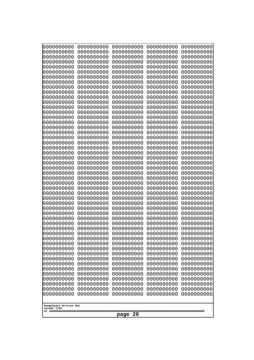| 0000000000                                                                                     | 0000000000                                                                                     | 0000000000                                                                                     | 0000000000                                                                                     | 0000000000                                                                                                   |
|------------------------------------------------------------------------------------------------|------------------------------------------------------------------------------------------------|------------------------------------------------------------------------------------------------|------------------------------------------------------------------------------------------------|--------------------------------------------------------------------------------------------------------------|
| 1000000000                                                                                     | 0000000000                                                                                     | 0000000000                                                                                     | 0000000000                                                                                     | 0000000000                                                                                                   |
| 1000000000                                                                                     | 0000000000                                                                                     | 0000000000                                                                                     | 0000000000                                                                                     | 0000000000                                                                                                   |
| 0000000000                                                                                     | 0000000000                                                                                     | 0000000000                                                                                     | 0000000000                                                                                     | 0000000000                                                                                                   |
| 0000000000                                                                                     | 0000000000                                                                                     | 0000000000                                                                                     | 0000000000                                                                                     | 0000000000                                                                                                   |
| 0000000000                                                                                     | 0000000000                                                                                     | 0000000000                                                                                     | 0000000000                                                                                     | 0000000000                                                                                                   |
| 0000000000                                                                                     | 0000000000                                                                                     | 0000000000                                                                                     | 0000000000                                                                                     | 0000000000                                                                                                   |
| 0000000000                                                                                     | 0000000000                                                                                     | 0000000000                                                                                     | 0000000000                                                                                     | 0000000000                                                                                                   |
| 0000000000                                                                                     | 0000000000                                                                                     | 0000000000                                                                                     | 0000000000                                                                                     | 0000000000                                                                                                   |
| 0000000000                                                                                     | 0000000000                                                                                     | 0000000000                                                                                     | 0000000000                                                                                     | 0000000000                                                                                                   |
| 0000000000                                                                                     | 0000000000                                                                                     | 0000000000                                                                                     | 0000000000                                                                                     | 0000000000                                                                                                   |
| 0000000000                                                                                     | 0000000000                                                                                     | 0000000000                                                                                     | 0000000000                                                                                     | 0000000000                                                                                                   |
| 0000000000                                                                                     | 0000000000                                                                                     | 0000000000                                                                                     | 0000000000                                                                                     | 0000000000                                                                                                   |
| 0000000000                                                                                     | 0000000000                                                                                     | 0000000000                                                                                     | 0000000000                                                                                     | 0000000000                                                                                                   |
| 0000000000                                                                                     | 0000000000                                                                                     | 0000000000                                                                                     | 0000000000                                                                                     | 0000000000                                                                                                   |
| 0000000000                                                                                     | 0000000000                                                                                     | 0000000000                                                                                     | 0000000000                                                                                     | 0000000000                                                                                                   |
| 0000000000                                                                                     | 0000000000                                                                                     | 0000000000                                                                                     | 0000000000                                                                                     | 0000000000                                                                                                   |
| 0000000000                                                                                     | 0000000000                                                                                     | 0000000000                                                                                     | 0000000000                                                                                     | 0000000000                                                                                                   |
| looooooooo                                                                                     | 0000000000                                                                                     | 0000000000                                                                                     | 0000000000                                                                                     | 0000000000                                                                                                   |
| 0000000000                                                                                     | 0000000000                                                                                     | 0000000000                                                                                     | 0000000000                                                                                     | 0000000000                                                                                                   |
| 0000000000                                                                                     | 0000000000                                                                                     | 0000000000                                                                                     | 0000000000                                                                                     | 0000000000                                                                                                   |
| 0000000000                                                                                     | 0000000000                                                                                     | 0000000000                                                                                     | 0000000000                                                                                     | 0000000000                                                                                                   |
| 0000000000                                                                                     | 0000000000                                                                                     | 0000000000                                                                                     | 0000000000                                                                                     | 0000000000                                                                                                   |
| 0000000000                                                                                     | 0000000000                                                                                     | 0000000000                                                                                     | 0000000000                                                                                     | 0000000000                                                                                                   |
| 0000000000                                                                                     | 0000000000                                                                                     | 0000000000                                                                                     | 0000000000                                                                                     | 0000000000                                                                                                   |
| 0000000000                                                                                     | 0000000000                                                                                     | 0000000000                                                                                     | 0000000000                                                                                     | 0000000000                                                                                                   |
| 0000000000                                                                                     | 0000000000                                                                                     | 0000000000                                                                                     | 0000000000                                                                                     | 0000000000                                                                                                   |
| 0000000000                                                                                     | 0000000000                                                                                     | 0000000000                                                                                     | 0000000000                                                                                     | 0000000000                                                                                                   |
| 0000000000                                                                                     | 0000000000                                                                                     | 0000000000                                                                                     | 0000000000                                                                                     | 0000000000                                                                                                   |
| 0000000000                                                                                     | 0000000000                                                                                     | 0000000000                                                                                     | 0000000000                                                                                     | 0000000000                                                                                                   |
| 0000000000                                                                                     | 0000000000                                                                                     | 0000000000                                                                                     | 0000000000                                                                                     | 0000000000                                                                                                   |
| 0000000000                                                                                     | 0000000000                                                                                     | 0000000000                                                                                     | 0000000000                                                                                     | 0000000000                                                                                                   |
| 0000000000                                                                                     | 0000000000                                                                                     | 0000000000                                                                                     | 0000000000                                                                                     | 0000000000                                                                                                   |
| 0000000000                                                                                     | 0000000000                                                                                     | 0000000000                                                                                     | 0000000000                                                                                     | 0000000000                                                                                                   |
| 0000000000                                                                                     | 0000000000                                                                                     | 0000000000                                                                                     | 0000000000                                                                                     | 0000000000                                                                                                   |
| 0000000000                                                                                     | 0000000000                                                                                     | 0000000000                                                                                     | 0000000000                                                                                     | 0000000000                                                                                                   |
| 0000000000<br>0000000000<br>0000000000<br>0000000000<br>0000000000<br>0000000000<br>0000000000 | 0000000000<br>0000000000<br>0000000000<br>0000000000<br>0000000000<br>0000000000<br>0000000000 | 0000000000<br>0000000000<br>0000000000<br>0000000000<br>0000000000<br>0000000000<br>0000000000 | 0000000000<br>0000000000<br>0000000000<br>0000000000<br>0000000000<br>0000000000<br>0000000000 | 0000000000<br>0000000000<br>0000000000<br>0000000000<br>0000000000<br>0000000000<br>0000000000<br>0000000000 |
| 0000000000<br>0000000000<br>0000000000<br>0000000000<br>0000000000<br>0000000000<br>0000000000 | 0000000000<br>0000000000<br>0000000000<br>0000000000<br>0000000000<br>0000000000<br>0000000000 | 0000000000<br>0000000000<br>0000000000<br>0000000000<br>0000000000<br>0000000000<br>0000000000 | 0000000000<br>0000000000<br>0000000000<br>0000000000<br>0000000000<br>0000000000<br>0000000000 | 0000000000<br>0000000000<br>0000000000<br>0000000000<br>0000000000<br>0000000000                             |
| Googolplex Written Out<br>volume 1720<br>page<br>20                                            |                                                                                                |                                                                                                |                                                                                                |                                                                                                              |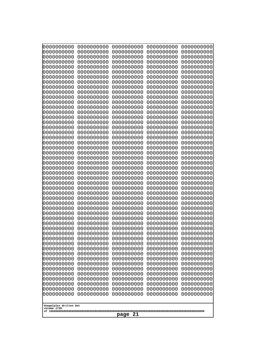| 000000000                 | 0000000000 | 0000000000 | 0000000000 | 0000000000 |
|---------------------------|------------|------------|------------|------------|
| 0000000000                | 0000000000 | 0000000000 | 0000000000 | 0000000000 |
| 0000000000                | 0000000000 | 0000000000 | 0000000000 | 0000000000 |
| 0000000000                | 0000000000 | 0000000000 | 0000000000 | 0000000000 |
| 0000000000                | 0000000000 | 0000000000 | 0000000000 | 0000000000 |
| 0000000000                | 0000000000 | 0000000000 | 0000000000 | 0000000000 |
| 0000000000                | 0000000000 | 0000000000 | 0000000000 | 0000000000 |
| 0000000000                | 0000000000 | 0000000000 | 0000000000 | 0000000000 |
| 0000000000                | 0000000000 | 0000000000 | 0000000000 | 0000000000 |
| 0000000000                | 0000000000 | 0000000000 | 0000000000 | 0000000000 |
| 0000000000                | 0000000000 | 0000000000 | 0000000000 | 0000000000 |
| 0000000000                | 0000000000 | 0000000000 | 0000000000 | 0000000000 |
| 0000000000                | 0000000000 | 0000000000 | 0000000000 | 0000000000 |
| 0000000000                | 0000000000 | 0000000000 | 0000000000 | 0000000000 |
| 0000000000                | 0000000000 | 0000000000 | 0000000000 | 0000000000 |
| 0000000000                | 0000000000 | 0000000000 | 0000000000 | 0000000000 |
| 0000000000                | 0000000000 | 0000000000 | 0000000000 | 0000000000 |
| 0000000000                | 0000000000 | 0000000000 | 0000000000 | 0000000000 |
| 0000000000                | 0000000000 | 0000000000 | 0000000000 | 0000000000 |
| 0000000000                | 0000000000 | 0000000000 | 0000000000 | 0000000000 |
| 0000000000                | 0000000000 | 0000000000 | 0000000000 | 0000000000 |
| 0000000000                | 0000000000 | 0000000000 | 0000000000 | 0000000000 |
| 0000000000                | 0000000000 | 0000000000 | 0000000000 | 0000000000 |
| 0000000000                | 0000000000 | 0000000000 | 0000000000 | 0000000000 |
| 0000000000                | 0000000000 | 0000000000 | 0000000000 | 0000000000 |
| 0000000000                | 0000000000 | 0000000000 | 0000000000 | 0000000000 |
| 0000000000                | 0000000000 | 0000000000 | 0000000000 | 0000000000 |
| 0000000000                | 0000000000 | 0000000000 | 0000000000 | 0000000000 |
| 0000000000                | 0000000000 | 0000000000 | 0000000000 | 0000000000 |
| 0000000000                | 0000000000 | 0000000000 | 0000000000 | 0000000000 |
| 0000000000                | 0000000000 | 0000000000 | 0000000000 | 0000000000 |
| 0000000000                | 0000000000 | 0000000000 | 0000000000 | 0000000000 |
| 0000000000                | 0000000000 | 0000000000 | 0000000000 | 0000000000 |
| 0000000000                | 0000000000 | 0000000000 | 0000000000 | 0000000000 |
| 0000000000                | 0000000000 | 0000000000 | 0000000000 | 0000000000 |
| 0000000000                | 0000000000 | 0000000000 | 0000000000 | 0000000000 |
| 0000000000                | 0000000000 | 0000000000 | 0000000000 | 0000000000 |
| 0000000000                | 0000000000 | 0000000000 | 0000000000 | 0000000000 |
| 0000000000                | 0000000000 | 0000000000 | 0000000000 | 0000000000 |
| 0000000000                | 0000000000 | 0000000000 | 0000000000 | 0000000000 |
| 0000000000                | 0000000000 | 0000000000 | 0000000000 | 0000000000 |
| 0000000000                | 0000000000 | 0000000000 | 0000000000 | 0000000000 |
| 0000000000                | 0000000000 | 0000000000 | 0000000000 | 0000000000 |
| 0000000000                | 0000000000 | 0000000000 | 0000000000 | 0000000000 |
| 0000000000                | 0000000000 | 0000000000 | 0000000000 | 0000000000 |
| 0000000000                | 0000000000 | 0000000000 | 0000000000 | 0000000000 |
| 0000000000                | 0000000000 | 0000000000 | 0000000000 | 0000000000 |
| 0000000000                | 0000000000 | 0000000000 | 0000000000 | 0000000000 |
| 0000000000                | 0000000000 | 0000000000 | 0000000000 | 0000000000 |
| 0000000000                | 0000000000 | 0000000000 | 0000000000 | 0000000000 |
| Googolplex Written Out    |            |            |            |            |
| volume 1720<br>21<br>page |            |            |            |            |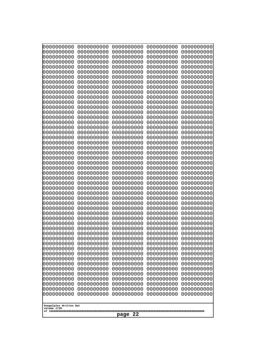| 000000000                             | 0000000000 | 0000000000 | 0000000000 | 0000000000 |
|---------------------------------------|------------|------------|------------|------------|
| 0000000000                            | 0000000000 | 0000000000 | 0000000000 | 0000000000 |
| 0000000000                            | 0000000000 | 0000000000 | 0000000000 | 0000000000 |
| 0000000000                            | 0000000000 | 0000000000 | 0000000000 | 0000000000 |
| 0000000000                            | 0000000000 | 0000000000 | 0000000000 | 0000000000 |
| 0000000000                            | 0000000000 | 0000000000 | 0000000000 | 0000000000 |
| 0000000000                            | 0000000000 | 0000000000 | 0000000000 | 0000000000 |
| 0000000000                            | 0000000000 | 0000000000 | 0000000000 | 0000000000 |
| 0000000000                            | 0000000000 | 0000000000 | 0000000000 | 0000000000 |
| 0000000000                            | 0000000000 | 0000000000 | 0000000000 | 0000000000 |
| 0000000000                            | 0000000000 | 0000000000 | 0000000000 | 0000000000 |
| 0000000000                            | 0000000000 | 0000000000 | 0000000000 | 0000000000 |
| 0000000000                            | 0000000000 | 0000000000 | 0000000000 | 0000000000 |
| 0000000000                            | 0000000000 | 0000000000 | 0000000000 | 0000000000 |
| 0000000000                            | 0000000000 | 0000000000 | 0000000000 | 0000000000 |
| 0000000000                            | 0000000000 | 0000000000 | 0000000000 | 0000000000 |
| 0000000000                            | 0000000000 | 0000000000 | 0000000000 | 0000000000 |
| 0000000000                            | 0000000000 | 0000000000 | 0000000000 | 0000000000 |
| 0000000000                            | 0000000000 | 0000000000 | 0000000000 | 0000000000 |
| 0000000000                            | 0000000000 | 0000000000 | 0000000000 | 0000000000 |
| 0000000000                            | 0000000000 | 0000000000 | 0000000000 | 0000000000 |
| 0000000000                            | 0000000000 | 0000000000 | 0000000000 | 0000000000 |
| 0000000000                            | 0000000000 | 0000000000 | 0000000000 | 0000000000 |
| 0000000000                            | 0000000000 | 0000000000 | 0000000000 | 0000000000 |
| 0000000000                            | 0000000000 | 0000000000 | 0000000000 | 0000000000 |
| 0000000000                            | 0000000000 | 0000000000 | 0000000000 | 0000000000 |
| 0000000000                            | 0000000000 | 0000000000 | 0000000000 | 0000000000 |
| 0000000000                            | 0000000000 | 0000000000 | 0000000000 | 0000000000 |
| 0000000000                            | 0000000000 | 0000000000 | 0000000000 | 0000000000 |
| 0000000000                            | 0000000000 | 0000000000 | 0000000000 | 0000000000 |
| 0000000000                            | 0000000000 | 0000000000 | 0000000000 | 0000000000 |
| 0000000000                            | 0000000000 | 0000000000 | 0000000000 | 0000000000 |
| 0000000000                            | 0000000000 | 0000000000 | 0000000000 | 0000000000 |
| 0000000000                            | 0000000000 | 0000000000 | 0000000000 | 0000000000 |
| 0000000000                            | 0000000000 | 0000000000 | 0000000000 | 0000000000 |
| 0000000000                            | 0000000000 | 0000000000 | 0000000000 | 0000000000 |
| 0000000000                            | 0000000000 | 0000000000 | 0000000000 | 0000000000 |
| 0000000000                            | 0000000000 | 0000000000 | 0000000000 | 0000000000 |
| 0000000000                            | 0000000000 | 0000000000 | 0000000000 | 0000000000 |
| 0000000000                            | 0000000000 | 0000000000 | 0000000000 | 0000000000 |
| 0000000000                            | 0000000000 | 0000000000 | 0000000000 | 0000000000 |
| 0000000000                            | 0000000000 | 0000000000 | 0000000000 | 0000000000 |
| 0000000000                            | 0000000000 | 0000000000 | 0000000000 | 0000000000 |
| 0000000000                            | 0000000000 | 0000000000 | 0000000000 | 0000000000 |
| 0000000000                            | 0000000000 | 0000000000 | 0000000000 | 0000000000 |
| 0000000000                            | 0000000000 | 0000000000 | 0000000000 | 0000000000 |
| 0000000000                            | 0000000000 | 0000000000 | 0000000000 | 0000000000 |
| 0000000000                            | 0000000000 | 0000000000 | 0000000000 | 0000000000 |
| 0000000000                            | 0000000000 | 0000000000 | 0000000000 | 0000000000 |
| 0000000000                            | 0000000000 | 0000000000 | 0000000000 | 0000000000 |
| Googolplex Written Out<br>volume 1720 |            |            |            |            |
| 22<br>page                            |            |            |            |            |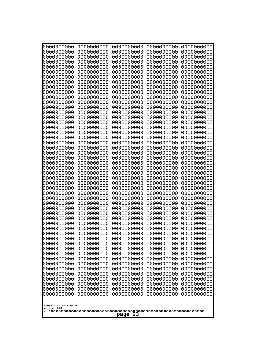| 000000000                                           | 0000000000                             | 0000000000                             | 0000000000                             | 0000000000                             |
|-----------------------------------------------------|----------------------------------------|----------------------------------------|----------------------------------------|----------------------------------------|
| 0000000000                                          | 0000000000                             | 0000000000                             | 0000000000                             | 0000000000                             |
| 0000000000                                          | 0000000000                             | 0000000000                             | 0000000000                             | 0000000000                             |
| 0000000000                                          | 0000000000                             | 0000000000                             | 0000000000                             | 0000000000                             |
| 0000000000                                          | 0000000000                             | 0000000000                             | 0000000000                             | 0000000000                             |
| 0000000000                                          | 0000000000                             | 0000000000                             | 0000000000                             | 0000000000                             |
| 0000000000                                          | 0000000000                             | 0000000000                             | 0000000000                             | 0000000000                             |
| 0000000000                                          | 0000000000                             | 0000000000                             | 0000000000                             | 0000000000                             |
| 0000000000                                          | 0000000000                             | 0000000000                             | 0000000000                             | 0000000000                             |
| 0000000000                                          | 0000000000                             | 0000000000                             | 0000000000                             | 0000000000                             |
| 0000000000                                          | 0000000000                             | 0000000000                             | 0000000000                             | 0000000000                             |
| 0000000000                                          | 0000000000                             | 0000000000                             | 0000000000                             | 0000000000                             |
| 0000000000                                          | 0000000000                             | 0000000000                             | 0000000000                             | 0000000000                             |
| 0000000000                                          | 0000000000                             | 0000000000                             | 0000000000                             | 0000000000                             |
| 0000000000                                          | 0000000000                             | 0000000000                             | 0000000000                             | 0000000000                             |
| 0000000000<br>0000000000                            | 0000000000<br>0000000000               | 0000000000<br>0000000000               | 0000000000<br>0000000000               | 0000000000<br>0000000000<br>0000000000 |
| 0000000000<br>0000000000<br>0000000000              | 0000000000<br>0000000000<br>0000000000 | 0000000000<br>0000000000<br>0000000000 | 0000000000<br>0000000000<br>0000000000 | 0000000000<br>0000000000               |
| 0000000000                                          | 0000000000                             | 0000000000                             | 0000000000                             | 0000000000                             |
| 0000000000                                          | 0000000000                             | 0000000000                             | 0000000000                             | 0000000000                             |
| 0000000000                                          | 0000000000                             | 0000000000                             | 0000000000                             | 0000000000                             |
| 0000000000                                          | 0000000000                             | 0000000000                             | 0000000000                             | 0000000000                             |
| 0000000000                                          | 0000000000                             | 0000000000                             | 0000000000                             | 0000000000                             |
| 0000000000                                          | 0000000000                             | 0000000000                             | 0000000000                             | 0000000000                             |
| 0000000000                                          | 0000000000                             | 0000000000                             | 0000000000                             | 0000000000                             |
| 0000000000                                          | 0000000000                             | 0000000000                             | 0000000000                             | 0000000000                             |
| 0000000000                                          | 0000000000                             | 0000000000                             | 0000000000                             | 0000000000                             |
| 0000000000                                          | 0000000000                             | 0000000000                             | 0000000000                             | 0000000000                             |
| 0000000000                                          | 0000000000                             | 0000000000                             | 0000000000                             | 0000000000                             |
| 0000000000                                          | 0000000000                             | 0000000000                             | 0000000000                             | 0000000000                             |
| 0000000000                                          | 0000000000                             | 0000000000                             | 0000000000                             | 0000000000                             |
| 0000000000                                          | 0000000000                             | 0000000000                             | 0000000000                             | 0000000000                             |
| 0000000000                                          | 0000000000                             | 0000000000                             | 0000000000                             | 0000000000                             |
| 0000000000                                          | 0000000000                             | 0000000000                             | 0000000000                             | 0000000000                             |
| 0000000000                                          | 0000000000                             | 0000000000                             | 0000000000                             | 0000000000                             |
| 0000000000                                          | 0000000000                             | 0000000000                             | 0000000000                             | 0000000000                             |
| 0000000000                                          | 0000000000                             | 0000000000                             | 0000000000                             | 0000000000                             |
| 0000000000                                          | 0000000000                             | 0000000000                             | 0000000000                             | 0000000000                             |
| 0000000000                                          | 0000000000                             | 0000000000                             | 0000000000                             | 0000000000                             |
| 0000000000                                          | 0000000000                             | 0000000000                             | 0000000000                             | 0000000000                             |
| 0000000000                                          | 0000000000                             | 0000000000                             | 0000000000                             | 0000000000                             |
| 0000000000                                          | 0000000000                             | 0000000000                             | 0000000000                             | 0000000000                             |
| 0000000000                                          | 0000000000                             | 0000000000                             | 0000000000                             | 0000000000                             |
| 0000000000                                          | 0000000000                             | 0000000000                             | 0000000000                             | 0000000000                             |
| 0000000000                                          | 0000000000                             | 0000000000                             | 0000000000                             | 0000000000                             |
| 0000000000                                          | 0000000000                             | 0000000000                             | 0000000000                             | 0000000000                             |
| 0000000000                                          | 0000000000                             | 0000000000                             | 0000000000                             | 0000000000                             |
| 0000000000                                          | 0000000000                             | 0000000000                             | 0000000000                             | 0000000000                             |
| Googolplex Written Out<br>volume 1720<br>23<br>page |                                        |                                        |                                        |                                        |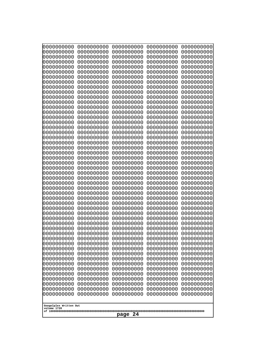| 000000000                             | 0000000000 | 0000000000 | 0000000000 | 0000000000 |
|---------------------------------------|------------|------------|------------|------------|
| 0000000000                            | 0000000000 | 0000000000 | 0000000000 | 0000000000 |
| 0000000000                            | 0000000000 | 0000000000 | 0000000000 | 0000000000 |
| 0000000000                            | 0000000000 | 0000000000 | 0000000000 | 0000000000 |
| 0000000000                            | 0000000000 | 0000000000 | 0000000000 | 0000000000 |
| 0000000000                            | 0000000000 | 0000000000 | 0000000000 | 0000000000 |
| 0000000000                            | 0000000000 | 0000000000 | 0000000000 | 0000000000 |
| 0000000000                            | 0000000000 | 0000000000 | 0000000000 | 0000000000 |
| 0000000000                            | 0000000000 | 0000000000 | 0000000000 | 0000000000 |
| 0000000000                            | 0000000000 | 0000000000 | 0000000000 | 0000000000 |
| 0000000000                            | 0000000000 | 0000000000 | 0000000000 | 0000000000 |
| 0000000000                            | 0000000000 | 0000000000 | 0000000000 | 0000000000 |
| 0000000000                            | 0000000000 | 0000000000 | 0000000000 | 0000000000 |
| 0000000000                            | 0000000000 | 0000000000 | 0000000000 | 0000000000 |
| 0000000000                            | 0000000000 | 0000000000 | 0000000000 | 0000000000 |
| 0000000000                            | 0000000000 | 0000000000 | 0000000000 | 0000000000 |
| 0000000000                            | 0000000000 | 0000000000 | 0000000000 | 0000000000 |
| 0000000000                            | 0000000000 | 0000000000 | 0000000000 | 0000000000 |
| 0000000000                            | 0000000000 | 0000000000 | 0000000000 | 0000000000 |
| 0000000000                            | 0000000000 | 0000000000 | 0000000000 | 0000000000 |
| 0000000000                            | 0000000000 | 0000000000 | 0000000000 | 0000000000 |
| 0000000000                            | 0000000000 | 0000000000 | 0000000000 | 0000000000 |
| 0000000000                            | 0000000000 | 0000000000 | 0000000000 | 0000000000 |
| 0000000000                            | 0000000000 | 0000000000 | 0000000000 | 0000000000 |
| 0000000000                            | 0000000000 | 0000000000 | 0000000000 | 0000000000 |
| 0000000000                            | 0000000000 | 0000000000 | 0000000000 | 0000000000 |
| 0000000000                            | 0000000000 | 0000000000 | 0000000000 | 0000000000 |
| 0000000000                            | 0000000000 | 0000000000 | 0000000000 | 0000000000 |
| 0000000000                            | 0000000000 | 0000000000 | 0000000000 | 0000000000 |
| 0000000000                            | 0000000000 | 0000000000 | 0000000000 | 0000000000 |
| 0000000000                            | 0000000000 | 0000000000 | 0000000000 | 0000000000 |
| 0000000000                            | 0000000000 | 0000000000 | 0000000000 | 0000000000 |
| 0000000000                            | 0000000000 | 0000000000 | 0000000000 | 0000000000 |
| 0000000000                            | 0000000000 | 0000000000 | 0000000000 | 0000000000 |
| 0000000000                            | 0000000000 | 0000000000 | 0000000000 | 0000000000 |
| 0000000000                            | 0000000000 | 0000000000 | 0000000000 | 0000000000 |
| 0000000000                            | 0000000000 | 0000000000 | 0000000000 | 0000000000 |
| 0000000000                            | 0000000000 | 0000000000 | 0000000000 | 0000000000 |
| 0000000000                            | 0000000000 | 0000000000 | 0000000000 | 0000000000 |
| 0000000000                            | 0000000000 | 0000000000 | 0000000000 | 0000000000 |
| 0000000000                            | 0000000000 | 0000000000 | 0000000000 | 0000000000 |
| 0000000000                            | 0000000000 | 0000000000 | 0000000000 | 0000000000 |
| 0000000000                            | 0000000000 | 0000000000 | 0000000000 | 0000000000 |
| 0000000000                            | 0000000000 | 0000000000 | 0000000000 | 0000000000 |
| 0000000000                            | 0000000000 | 0000000000 | 0000000000 | 0000000000 |
| 0000000000                            | 0000000000 | 0000000000 | 0000000000 | 0000000000 |
| 0000000000                            | 0000000000 | 0000000000 | 0000000000 | 0000000000 |
| 0000000000                            | 0000000000 | 0000000000 | 0000000000 | 0000000000 |
| 0000000000                            | 0000000000 | 0000000000 | 0000000000 | 0000000000 |
| 0000000000                            | 0000000000 | 0000000000 | 0000000000 | 0000000000 |
| Googolplex Written Out<br>volume 1720 |            |            |            |            |
| 24<br>page                            |            |            |            |            |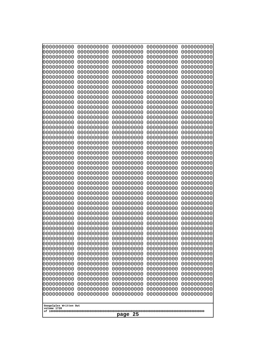| 0000000000                                       | 0000000000 | 0000000000 | 0000000000 | 0000000000 |
|--------------------------------------------------|------------|------------|------------|------------|
| 1000000000                                       | 0000000000 | 0000000000 | 0000000000 | 0000000000 |
| 0000000000                                       | 0000000000 | 0000000000 | 0000000000 | 0000000000 |
| 0000000000                                       | 0000000000 | 0000000000 | 0000000000 | 0000000000 |
| 0000000000                                       | 0000000000 | 0000000000 | 0000000000 | 0000000000 |
| 0000000000                                       | 0000000000 | 0000000000 | 0000000000 | 0000000000 |
| 0000000000                                       | 0000000000 | 0000000000 | 0000000000 | 0000000000 |
| 0000000000                                       | 0000000000 | 0000000000 | 0000000000 | 0000000000 |
| 0000000000                                       | 0000000000 | 0000000000 | 0000000000 | 0000000000 |
| 0000000000                                       | 0000000000 | 0000000000 | 0000000000 | 0000000000 |
| 0000000000                                       | 0000000000 | 0000000000 | 0000000000 | 0000000000 |
| 0000000000                                       | 0000000000 | 0000000000 | 0000000000 | 0000000000 |
| 0000000000                                       | 0000000000 | 0000000000 | 0000000000 | 0000000000 |
| 0000000000                                       | 0000000000 | 0000000000 | 0000000000 | 0000000000 |
| 0000000000                                       | 0000000000 | 0000000000 | 0000000000 | 0000000000 |
| 0000000000                                       | 0000000000 | 0000000000 | 0000000000 | 0000000000 |
| 0000000000                                       | 0000000000 | 0000000000 | 0000000000 | 0000000000 |
| 0000000000                                       | 0000000000 | 0000000000 | 0000000000 | 0000000000 |
| 0000000000                                       | 0000000000 | 0000000000 | 0000000000 | 0000000000 |
| 0000000000                                       | 0000000000 | 0000000000 | 0000000000 | 0000000000 |
| 0000000000                                       | 0000000000 | 0000000000 | 0000000000 | 0000000000 |
| 0000000000                                       | 0000000000 | 0000000000 | 0000000000 | 0000000000 |
| 0000000000                                       | 0000000000 | 0000000000 | 0000000000 | 0000000000 |
| 0000000000                                       | 0000000000 | 0000000000 | 0000000000 | 0000000000 |
| 0000000000                                       | 0000000000 | 0000000000 | 0000000000 | 0000000000 |
| 0000000000                                       | 0000000000 | 0000000000 | 0000000000 | 0000000000 |
| 0000000000                                       | 0000000000 | 0000000000 | 0000000000 | 0000000000 |
| 0000000000                                       | 0000000000 | 0000000000 | 0000000000 | 0000000000 |
| 0000000000                                       | 0000000000 | 0000000000 | 0000000000 | 0000000000 |
| 0000000000                                       | 0000000000 | 0000000000 | 0000000000 | 0000000000 |
| 0000000000                                       | 0000000000 | 0000000000 | 0000000000 | 0000000000 |
| 0000000000                                       | 0000000000 | 0000000000 | 0000000000 | 0000000000 |
| 0000000000                                       | 0000000000 | 0000000000 | 0000000000 | 0000000000 |
| 1000000000                                       | 0000000000 | 0000000000 | 0000000000 | 0000000000 |
| 0000000000                                       | 0000000000 | 0000000000 | 0000000000 | 0000000000 |
| 0000000000                                       | 0000000000 | 0000000000 | 0000000000 | 0000000000 |
| 0000000000                                       | 0000000000 | 0000000000 | 0000000000 | 0000000000 |
| 0000000000                                       | 0000000000 | 0000000000 | 0000000000 | 0000000000 |
| 0000000000                                       | 0000000000 | 0000000000 | 0000000000 | 0000000000 |
| 0000000000                                       | 0000000000 | 0000000000 | 0000000000 | 0000000000 |
| 0000000000                                       | 0000000000 | 0000000000 | 0000000000 | 0000000000 |
| 0000000000                                       | 0000000000 | 0000000000 | 0000000000 | 0000000000 |
| 0000000000                                       | 0000000000 | 0000000000 | 0000000000 | 0000000000 |
| 0000000000                                       | 0000000000 | 0000000000 | 0000000000 | 0000000000 |
| 0000000000                                       | 0000000000 | 0000000000 | 0000000000 | 0000000000 |
| 0000000000                                       | 0000000000 | 0000000000 | 0000000000 | 0000000000 |
| 0000000000                                       | 0000000000 | 0000000000 | 0000000000 | 0000000000 |
| 0000000000                                       | 0000000000 | 0000000000 | 0000000000 | 0000000000 |
| Googolplex Written Out<br>volume 1720<br>page 25 |            |            |            |            |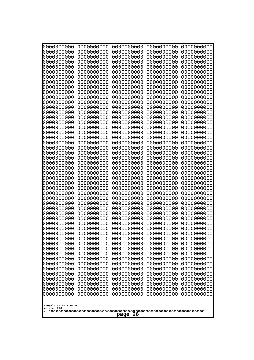| 0000000000                                                                                                                                                                                      | 0000000000 | 0000000000 | 0000000000 | 0000000000 |
|-------------------------------------------------------------------------------------------------------------------------------------------------------------------------------------------------|------------|------------|------------|------------|
| 1000000000                                                                                                                                                                                      | 0000000000 | 0000000000 | 0000000000 | 0000000000 |
| 1000000000                                                                                                                                                                                      | 0000000000 | 0000000000 | 0000000000 | 0000000000 |
| 0000000000                                                                                                                                                                                      | 0000000000 | 0000000000 | 0000000000 | 0000000000 |
| 0000000000                                                                                                                                                                                      | 0000000000 | 0000000000 | 0000000000 | 0000000000 |
| 0000000000                                                                                                                                                                                      | 0000000000 | 0000000000 | 0000000000 | 0000000000 |
| 0000000000                                                                                                                                                                                      | 0000000000 | 0000000000 | 0000000000 | 0000000000 |
| 0000000000                                                                                                                                                                                      | 0000000000 | 0000000000 | 0000000000 | 0000000000 |
| 0000000000                                                                                                                                                                                      | 0000000000 | 0000000000 | 0000000000 | 0000000000 |
| 0000000000                                                                                                                                                                                      | 0000000000 | 0000000000 | 0000000000 | 0000000000 |
| 0000000000                                                                                                                                                                                      | 0000000000 | 0000000000 | 0000000000 | 0000000000 |
| 0000000000                                                                                                                                                                                      | 0000000000 | 0000000000 | 0000000000 | 0000000000 |
| 0000000000                                                                                                                                                                                      | 0000000000 | 0000000000 | 0000000000 | 0000000000 |
| 0000000000                                                                                                                                                                                      | 0000000000 | 0000000000 | 0000000000 | 0000000000 |
| 0000000000                                                                                                                                                                                      | 0000000000 | 0000000000 | 0000000000 | 0000000000 |
| 0000000000                                                                                                                                                                                      | 0000000000 | 0000000000 | 0000000000 | 0000000000 |
| 0000000000                                                                                                                                                                                      | 0000000000 | 0000000000 | 0000000000 | 0000000000 |
| 0000000000                                                                                                                                                                                      | 0000000000 | 0000000000 | 0000000000 | 0000000000 |
| looooooooo                                                                                                                                                                                      | 0000000000 | 0000000000 | 0000000000 | 0000000000 |
| 0000000000                                                                                                                                                                                      | 0000000000 | 0000000000 | 0000000000 | 0000000000 |
| 0000000000                                                                                                                                                                                      | 0000000000 | 0000000000 | 0000000000 | 0000000000 |
| 0000000000                                                                                                                                                                                      | 0000000000 | 0000000000 | 0000000000 | 0000000000 |
| 0000000000                                                                                                                                                                                      | 0000000000 | 0000000000 | 0000000000 | 0000000000 |
| 0000000000                                                                                                                                                                                      | 0000000000 | 0000000000 | 0000000000 | 0000000000 |
| 0000000000                                                                                                                                                                                      | 0000000000 | 0000000000 | 0000000000 | 0000000000 |
| 0000000000                                                                                                                                                                                      | 0000000000 | 0000000000 | 0000000000 | 0000000000 |
| 0000000000                                                                                                                                                                                      | 0000000000 | 0000000000 | 0000000000 | 0000000000 |
| 0000000000                                                                                                                                                                                      | 0000000000 | 0000000000 | 0000000000 | 0000000000 |
| 0000000000                                                                                                                                                                                      | 0000000000 | 0000000000 | 0000000000 | 0000000000 |
| 0000000000                                                                                                                                                                                      | 0000000000 | 0000000000 | 0000000000 | 0000000000 |
| 0000000000                                                                                                                                                                                      | 0000000000 | 0000000000 | 0000000000 | 0000000000 |
| 0000000000                                                                                                                                                                                      | 0000000000 | 0000000000 | 0000000000 | 0000000000 |
| 0000000000                                                                                                                                                                                      | 0000000000 | 0000000000 | 0000000000 | 0000000000 |
| 0000000000                                                                                                                                                                                      | 0000000000 | 0000000000 | 0000000000 | 0000000000 |
| 0000000000                                                                                                                                                                                      | 0000000000 | 0000000000 | 0000000000 | 0000000000 |
| 0000000000                                                                                                                                                                                      | 0000000000 | 0000000000 | 0000000000 | 0000000000 |
| 0000000000                                                                                                                                                                                      | 0000000000 | 0000000000 | 0000000000 | 0000000000 |
| 0000000000                                                                                                                                                                                      | 0000000000 | 0000000000 | 0000000000 | 0000000000 |
| 0000000000                                                                                                                                                                                      | 0000000000 | 0000000000 | 0000000000 | 0000000000 |
| 0000000000                                                                                                                                                                                      | 0000000000 | 0000000000 | 0000000000 | 0000000000 |
| 0000000000                                                                                                                                                                                      | 0000000000 | 0000000000 | 0000000000 | 0000000000 |
| 0000000000                                                                                                                                                                                      | 0000000000 | 0000000000 | 0000000000 | 0000000000 |
| 0000000000                                                                                                                                                                                      | 0000000000 | 0000000000 | 0000000000 | 0000000000 |
| 0000000000                                                                                                                                                                                      | 0000000000 | 0000000000 | 0000000000 | 0000000000 |
| 0000000000                                                                                                                                                                                      | 0000000000 | 0000000000 | 0000000000 | 0000000000 |
| 0000000000                                                                                                                                                                                      | 0000000000 | 0000000000 | 0000000000 | 0000000000 |
| 0000000000                                                                                                                                                                                      | 0000000000 | 0000000000 | 0000000000 | 0000000000 |
| 0000000000                                                                                                                                                                                      | 0000000000 | 0000000000 | 0000000000 | 0000000000 |
| 0000000000<br>0000000000<br>0000000000<br>0000000000<br>0000000000<br>0000000000<br>0000000000<br>0000000000<br>0000000000<br>0000000000<br>Googolplex Written Out<br>volume 1720<br>page<br>26 |            |            |            |            |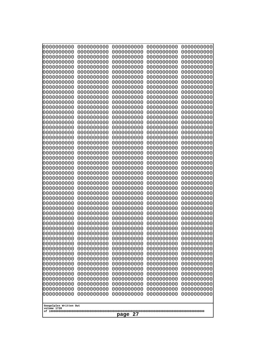| 000000000                                           | 0000000000 | 0000000000 | 0000000000 | 0000000000 |
|-----------------------------------------------------|------------|------------|------------|------------|
| 0000000000                                          | 0000000000 | 0000000000 | 0000000000 | 0000000000 |
| 0000000000                                          | 0000000000 | 0000000000 | 0000000000 | 0000000000 |
| 0000000000                                          | 0000000000 | 0000000000 | 0000000000 | 0000000000 |
| 0000000000                                          | 0000000000 | 0000000000 | 0000000000 | 0000000000 |
| 0000000000                                          | 0000000000 | 0000000000 | 0000000000 | 0000000000 |
| 0000000000                                          | 0000000000 | 0000000000 | 0000000000 | 0000000000 |
| 0000000000                                          | 0000000000 | 0000000000 | 0000000000 | 0000000000 |
| 0000000000                                          | 0000000000 | 0000000000 | 0000000000 | 0000000000 |
| 0000000000                                          | 0000000000 | 0000000000 | 0000000000 | 0000000000 |
| 0000000000                                          | 0000000000 | 0000000000 | 0000000000 | 0000000000 |
| 0000000000                                          | 0000000000 | 0000000000 | 0000000000 | 0000000000 |
| 0000000000                                          | 0000000000 | 0000000000 | 0000000000 | 0000000000 |
| 0000000000                                          | 0000000000 | 0000000000 | 0000000000 | 0000000000 |
| 0000000000                                          | 0000000000 | 0000000000 | 0000000000 | 0000000000 |
| 0000000000                                          | 0000000000 | 0000000000 | 0000000000 | 0000000000 |
| 0000000000                                          | 0000000000 | 0000000000 | 0000000000 | 0000000000 |
| 0000000000                                          | 0000000000 | 0000000000 | 0000000000 | 0000000000 |
| 0000000000                                          | 0000000000 | 0000000000 | 0000000000 | 0000000000 |
| 0000000000                                          | 0000000000 | 0000000000 | 0000000000 | 0000000000 |
| 0000000000                                          | 0000000000 | 0000000000 | 0000000000 | 0000000000 |
| 0000000000                                          | 0000000000 | 0000000000 | 0000000000 | 0000000000 |
| 0000000000                                          | 0000000000 | 0000000000 | 0000000000 | 0000000000 |
| 0000000000                                          | 0000000000 | 0000000000 | 0000000000 | 0000000000 |
| 0000000000                                          | 0000000000 | 0000000000 | 0000000000 | 0000000000 |
| 0000000000                                          | 0000000000 | 0000000000 | 0000000000 | 0000000000 |
| 0000000000                                          | 0000000000 | 0000000000 | 0000000000 | 0000000000 |
| 0000000000                                          | 0000000000 | 0000000000 | 0000000000 | 0000000000 |
| 0000000000                                          | 0000000000 | 0000000000 | 0000000000 | 0000000000 |
| 0000000000                                          | 0000000000 | 0000000000 | 0000000000 | 0000000000 |
| 0000000000                                          | 0000000000 | 0000000000 | 0000000000 | 0000000000 |
| 0000000000                                          | 0000000000 | 0000000000 | 0000000000 | 0000000000 |
| 0000000000                                          | 0000000000 | 0000000000 | 0000000000 | 0000000000 |
| 0000000000                                          | 0000000000 | 0000000000 | 0000000000 | 0000000000 |
| 0000000000                                          | 0000000000 | 0000000000 | 0000000000 | 0000000000 |
| 0000000000                                          | 0000000000 | 0000000000 | 0000000000 | 0000000000 |
| 0000000000                                          | 0000000000 | 0000000000 | 0000000000 | 0000000000 |
| 0000000000                                          | 0000000000 | 0000000000 | 0000000000 | 0000000000 |
| 0000000000                                          | 0000000000 | 0000000000 | 0000000000 | 0000000000 |
| 0000000000                                          | 0000000000 | 0000000000 | 0000000000 | 0000000000 |
| 0000000000                                          | 0000000000 | 0000000000 | 0000000000 | 0000000000 |
| 0000000000                                          | 0000000000 | 0000000000 | 0000000000 | 0000000000 |
| 0000000000                                          | 0000000000 | 0000000000 | 0000000000 | 0000000000 |
| 0000000000                                          | 0000000000 | 0000000000 | 0000000000 | 0000000000 |
| 0000000000                                          | 0000000000 | 0000000000 | 0000000000 | 0000000000 |
| 0000000000                                          | 0000000000 | 0000000000 | 0000000000 | 0000000000 |
| 0000000000                                          | 0000000000 | 0000000000 | 0000000000 | 0000000000 |
| 0000000000                                          | 0000000000 | 0000000000 | 0000000000 | 0000000000 |
| 0000000000                                          | 0000000000 | 0000000000 | 0000000000 | 0000000000 |
| 0000000000                                          | 0000000000 | 0000000000 | 0000000000 | 0000000000 |
| Googolplex Written Out<br>volume 1720<br>27<br>page |            |            |            |            |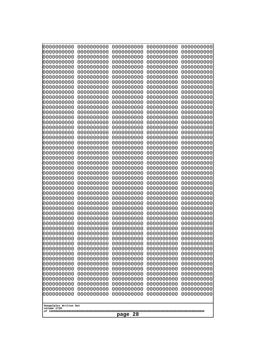| 0000000000<br>0000000000<br>0000000000<br>0000000000<br>0000000000<br>0000000000<br>0000000000<br>0000000000<br>0000000000<br>0000000000<br>0000000000<br>0000000000<br>0000000000<br>0000000000<br>0000000000<br>0000000000<br>0000000000<br>0000000000<br>0000000000<br>0000000000<br>0000000000<br>0000000000<br>0000000000<br>0000000000<br>0000000000<br>0000000000<br>0000000000<br>0000000000<br>0000000000<br>0000000000<br>0000000000<br>0000000000<br>0000000000<br>0000000000<br>0000000000<br>0000000000<br>0000000000<br>0000000000<br>0000000000<br>0000000000<br>0000000000<br>0000000000<br>0000000000<br>0000000000<br>0000000000<br>0000000000<br>0000000000<br>0000000000<br>0000000000<br>0000000000<br>0000000000<br>0000000000<br>0000000000<br>0000000000<br>0000000000<br>0000000000<br>0000000000<br>0000000000<br>0000000000<br>0000000000<br>0000000000<br>0000000000<br>0000000000<br>0000000000<br>0000000000<br>0000000000<br>0000000000<br>0000000000<br>0000000000<br>0000000000<br>0000000000<br>0000000000<br>0000000000<br>0000000000<br>0000000000<br>0000000000<br>0000000000<br>0000000000<br>0000000000<br>0000000000<br>0000000000<br>0000000000<br>0000000000<br>0000000000<br>0000000000<br>0000000000<br>0000000000<br>0000000000<br>0000000000<br>0000000000<br>0000000000<br>0000000000<br>0000000000<br>0000000000<br>0000000000<br>0000000000<br>0000000000<br>0000000000<br>0000000000<br>0000000000<br>0000000000<br>0000000000<br>0000000000<br>0000000000<br>0000000000<br>0000000000<br>0000000000<br>0000000000<br>0000000000<br>0000000000<br>0000000000<br>0000000000<br>0000000000<br>0000000000<br>0000000000<br>0000000000<br>0000000000<br>0000000000<br>0000000000<br>0000000000<br>0000000000<br>0000000000<br>0000000000<br>0000000000<br>0000000000<br>0000000000<br>0000000000<br>0000000000<br>0000000000<br>0000000000<br>0000000000<br>0000000000<br>0000000000<br>0000000000<br>0000000000<br>0000000000<br>0000000000<br>0000000000<br>0000000000<br>0000000000<br>0000000000<br>0000000000<br>0000000000<br>0000000000<br>0000000000<br>0000000000<br>0000000000<br>0000000000<br>0000000000<br>0000000000<br>0000000000<br>0000000000<br>0000000000<br>0000000000<br>0000000000<br>0000000000<br>0000000000<br>0000000000<br>0000000000<br>0000000000<br>0000000000<br>0000000000<br>0000000000<br>0000000000<br>0000000000<br>0000000000<br>0000000000<br>0000000000<br>0000000000<br>0000000000<br>0000000000<br>0000000000<br>0000000000<br>0000000000<br>0000000000<br>0000000000<br>0000000000<br>0000000000<br>0000000000<br>0000000000<br>0000000000<br>0000000000<br>0000000000<br>0000000000<br>0000000000<br>0000000000<br>0000000000<br>0000000000<br>0000000000<br>0000000000<br>0000000000<br>0000000000<br>0000000000<br>0000000000<br>0000000000<br>0000000000<br>0000000000<br>0000000000<br>0000000000<br>0000000000<br>0000000000<br>0000000000<br>0000000000<br>0000000000<br>0000000000<br>0000000000<br>0000000000<br>0000000000<br>0000000000<br>0000000000<br>0000000000<br>0000000000<br>0000000000<br>0000000000<br>0000000000<br>0000000000<br>0000000000<br>0000000000<br>0000000000<br>0000000000<br>0000000000<br>0000000000<br>0000000000<br>0000000000<br>0000000000<br>0000000000<br>0000000000<br>0000000000<br>0000000000<br>0000000000<br>0000000000<br>0000000000<br>0000000000<br>0000000000<br>0000000000<br>0000000000<br>0000000000<br>Googolplex Written Out<br>volume 1720 | 000000000<br>0000000000 | 0000000000<br>0000000000 | 0000000000<br>0000000000 | 0000000000<br>0000000000 | 0000000000<br>0000000000 |
|---------------------------------------------------------------------------------------------------------------------------------------------------------------------------------------------------------------------------------------------------------------------------------------------------------------------------------------------------------------------------------------------------------------------------------------------------------------------------------------------------------------------------------------------------------------------------------------------------------------------------------------------------------------------------------------------------------------------------------------------------------------------------------------------------------------------------------------------------------------------------------------------------------------------------------------------------------------------------------------------------------------------------------------------------------------------------------------------------------------------------------------------------------------------------------------------------------------------------------------------------------------------------------------------------------------------------------------------------------------------------------------------------------------------------------------------------------------------------------------------------------------------------------------------------------------------------------------------------------------------------------------------------------------------------------------------------------------------------------------------------------------------------------------------------------------------------------------------------------------------------------------------------------------------------------------------------------------------------------------------------------------------------------------------------------------------------------------------------------------------------------------------------------------------------------------------------------------------------------------------------------------------------------------------------------------------------------------------------------------------------------------------------------------------------------------------------------------------------------------------------------------------------------------------------------------------------------------------------------------------------------------------------------------------------------------------------------------------------------------------------------------------------------------------------------------------------------------------------------------------------------------------------------------------------------------------------------------------------------------------------------------------------------------------------------------------------------------------------------------------------------------------------------------------------------------------------------------------------------------------------------------------------------------------------------------------------------------------------------------------------------------------------------------------------------------------------------------------------------------------|-------------------------|--------------------------|--------------------------|--------------------------|--------------------------|
|                                                                                                                                                                                                                                                                                                                                                                                                                                                                                                                                                                                                                                                                                                                                                                                                                                                                                                                                                                                                                                                                                                                                                                                                                                                                                                                                                                                                                                                                                                                                                                                                                                                                                                                                                                                                                                                                                                                                                                                                                                                                                                                                                                                                                                                                                                                                                                                                                                                                                                                                                                                                                                                                                                                                                                                                                                                                                                                                                                                                                                                                                                                                                                                                                                                                                                                                                                                                                                                                                             |                         |                          |                          |                          |                          |
|                                                                                                                                                                                                                                                                                                                                                                                                                                                                                                                                                                                                                                                                                                                                                                                                                                                                                                                                                                                                                                                                                                                                                                                                                                                                                                                                                                                                                                                                                                                                                                                                                                                                                                                                                                                                                                                                                                                                                                                                                                                                                                                                                                                                                                                                                                                                                                                                                                                                                                                                                                                                                                                                                                                                                                                                                                                                                                                                                                                                                                                                                                                                                                                                                                                                                                                                                                                                                                                                                             |                         |                          |                          |                          |                          |
|                                                                                                                                                                                                                                                                                                                                                                                                                                                                                                                                                                                                                                                                                                                                                                                                                                                                                                                                                                                                                                                                                                                                                                                                                                                                                                                                                                                                                                                                                                                                                                                                                                                                                                                                                                                                                                                                                                                                                                                                                                                                                                                                                                                                                                                                                                                                                                                                                                                                                                                                                                                                                                                                                                                                                                                                                                                                                                                                                                                                                                                                                                                                                                                                                                                                                                                                                                                                                                                                                             |                         |                          |                          |                          |                          |
|                                                                                                                                                                                                                                                                                                                                                                                                                                                                                                                                                                                                                                                                                                                                                                                                                                                                                                                                                                                                                                                                                                                                                                                                                                                                                                                                                                                                                                                                                                                                                                                                                                                                                                                                                                                                                                                                                                                                                                                                                                                                                                                                                                                                                                                                                                                                                                                                                                                                                                                                                                                                                                                                                                                                                                                                                                                                                                                                                                                                                                                                                                                                                                                                                                                                                                                                                                                                                                                                                             |                         |                          |                          |                          |                          |
|                                                                                                                                                                                                                                                                                                                                                                                                                                                                                                                                                                                                                                                                                                                                                                                                                                                                                                                                                                                                                                                                                                                                                                                                                                                                                                                                                                                                                                                                                                                                                                                                                                                                                                                                                                                                                                                                                                                                                                                                                                                                                                                                                                                                                                                                                                                                                                                                                                                                                                                                                                                                                                                                                                                                                                                                                                                                                                                                                                                                                                                                                                                                                                                                                                                                                                                                                                                                                                                                                             |                         |                          |                          |                          |                          |
|                                                                                                                                                                                                                                                                                                                                                                                                                                                                                                                                                                                                                                                                                                                                                                                                                                                                                                                                                                                                                                                                                                                                                                                                                                                                                                                                                                                                                                                                                                                                                                                                                                                                                                                                                                                                                                                                                                                                                                                                                                                                                                                                                                                                                                                                                                                                                                                                                                                                                                                                                                                                                                                                                                                                                                                                                                                                                                                                                                                                                                                                                                                                                                                                                                                                                                                                                                                                                                                                                             |                         |                          |                          |                          |                          |
|                                                                                                                                                                                                                                                                                                                                                                                                                                                                                                                                                                                                                                                                                                                                                                                                                                                                                                                                                                                                                                                                                                                                                                                                                                                                                                                                                                                                                                                                                                                                                                                                                                                                                                                                                                                                                                                                                                                                                                                                                                                                                                                                                                                                                                                                                                                                                                                                                                                                                                                                                                                                                                                                                                                                                                                                                                                                                                                                                                                                                                                                                                                                                                                                                                                                                                                                                                                                                                                                                             |                         |                          |                          |                          |                          |
|                                                                                                                                                                                                                                                                                                                                                                                                                                                                                                                                                                                                                                                                                                                                                                                                                                                                                                                                                                                                                                                                                                                                                                                                                                                                                                                                                                                                                                                                                                                                                                                                                                                                                                                                                                                                                                                                                                                                                                                                                                                                                                                                                                                                                                                                                                                                                                                                                                                                                                                                                                                                                                                                                                                                                                                                                                                                                                                                                                                                                                                                                                                                                                                                                                                                                                                                                                                                                                                                                             |                         |                          |                          |                          |                          |
|                                                                                                                                                                                                                                                                                                                                                                                                                                                                                                                                                                                                                                                                                                                                                                                                                                                                                                                                                                                                                                                                                                                                                                                                                                                                                                                                                                                                                                                                                                                                                                                                                                                                                                                                                                                                                                                                                                                                                                                                                                                                                                                                                                                                                                                                                                                                                                                                                                                                                                                                                                                                                                                                                                                                                                                                                                                                                                                                                                                                                                                                                                                                                                                                                                                                                                                                                                                                                                                                                             |                         |                          |                          |                          |                          |
|                                                                                                                                                                                                                                                                                                                                                                                                                                                                                                                                                                                                                                                                                                                                                                                                                                                                                                                                                                                                                                                                                                                                                                                                                                                                                                                                                                                                                                                                                                                                                                                                                                                                                                                                                                                                                                                                                                                                                                                                                                                                                                                                                                                                                                                                                                                                                                                                                                                                                                                                                                                                                                                                                                                                                                                                                                                                                                                                                                                                                                                                                                                                                                                                                                                                                                                                                                                                                                                                                             |                         |                          |                          |                          |                          |
|                                                                                                                                                                                                                                                                                                                                                                                                                                                                                                                                                                                                                                                                                                                                                                                                                                                                                                                                                                                                                                                                                                                                                                                                                                                                                                                                                                                                                                                                                                                                                                                                                                                                                                                                                                                                                                                                                                                                                                                                                                                                                                                                                                                                                                                                                                                                                                                                                                                                                                                                                                                                                                                                                                                                                                                                                                                                                                                                                                                                                                                                                                                                                                                                                                                                                                                                                                                                                                                                                             |                         |                          |                          |                          |                          |
|                                                                                                                                                                                                                                                                                                                                                                                                                                                                                                                                                                                                                                                                                                                                                                                                                                                                                                                                                                                                                                                                                                                                                                                                                                                                                                                                                                                                                                                                                                                                                                                                                                                                                                                                                                                                                                                                                                                                                                                                                                                                                                                                                                                                                                                                                                                                                                                                                                                                                                                                                                                                                                                                                                                                                                                                                                                                                                                                                                                                                                                                                                                                                                                                                                                                                                                                                                                                                                                                                             |                         |                          |                          |                          |                          |
|                                                                                                                                                                                                                                                                                                                                                                                                                                                                                                                                                                                                                                                                                                                                                                                                                                                                                                                                                                                                                                                                                                                                                                                                                                                                                                                                                                                                                                                                                                                                                                                                                                                                                                                                                                                                                                                                                                                                                                                                                                                                                                                                                                                                                                                                                                                                                                                                                                                                                                                                                                                                                                                                                                                                                                                                                                                                                                                                                                                                                                                                                                                                                                                                                                                                                                                                                                                                                                                                                             |                         |                          |                          |                          |                          |
|                                                                                                                                                                                                                                                                                                                                                                                                                                                                                                                                                                                                                                                                                                                                                                                                                                                                                                                                                                                                                                                                                                                                                                                                                                                                                                                                                                                                                                                                                                                                                                                                                                                                                                                                                                                                                                                                                                                                                                                                                                                                                                                                                                                                                                                                                                                                                                                                                                                                                                                                                                                                                                                                                                                                                                                                                                                                                                                                                                                                                                                                                                                                                                                                                                                                                                                                                                                                                                                                                             |                         |                          |                          |                          |                          |
|                                                                                                                                                                                                                                                                                                                                                                                                                                                                                                                                                                                                                                                                                                                                                                                                                                                                                                                                                                                                                                                                                                                                                                                                                                                                                                                                                                                                                                                                                                                                                                                                                                                                                                                                                                                                                                                                                                                                                                                                                                                                                                                                                                                                                                                                                                                                                                                                                                                                                                                                                                                                                                                                                                                                                                                                                                                                                                                                                                                                                                                                                                                                                                                                                                                                                                                                                                                                                                                                                             |                         |                          |                          |                          |                          |
|                                                                                                                                                                                                                                                                                                                                                                                                                                                                                                                                                                                                                                                                                                                                                                                                                                                                                                                                                                                                                                                                                                                                                                                                                                                                                                                                                                                                                                                                                                                                                                                                                                                                                                                                                                                                                                                                                                                                                                                                                                                                                                                                                                                                                                                                                                                                                                                                                                                                                                                                                                                                                                                                                                                                                                                                                                                                                                                                                                                                                                                                                                                                                                                                                                                                                                                                                                                                                                                                                             |                         |                          |                          |                          |                          |
|                                                                                                                                                                                                                                                                                                                                                                                                                                                                                                                                                                                                                                                                                                                                                                                                                                                                                                                                                                                                                                                                                                                                                                                                                                                                                                                                                                                                                                                                                                                                                                                                                                                                                                                                                                                                                                                                                                                                                                                                                                                                                                                                                                                                                                                                                                                                                                                                                                                                                                                                                                                                                                                                                                                                                                                                                                                                                                                                                                                                                                                                                                                                                                                                                                                                                                                                                                                                                                                                                             |                         |                          |                          |                          |                          |
|                                                                                                                                                                                                                                                                                                                                                                                                                                                                                                                                                                                                                                                                                                                                                                                                                                                                                                                                                                                                                                                                                                                                                                                                                                                                                                                                                                                                                                                                                                                                                                                                                                                                                                                                                                                                                                                                                                                                                                                                                                                                                                                                                                                                                                                                                                                                                                                                                                                                                                                                                                                                                                                                                                                                                                                                                                                                                                                                                                                                                                                                                                                                                                                                                                                                                                                                                                                                                                                                                             |                         |                          |                          |                          |                          |
|                                                                                                                                                                                                                                                                                                                                                                                                                                                                                                                                                                                                                                                                                                                                                                                                                                                                                                                                                                                                                                                                                                                                                                                                                                                                                                                                                                                                                                                                                                                                                                                                                                                                                                                                                                                                                                                                                                                                                                                                                                                                                                                                                                                                                                                                                                                                                                                                                                                                                                                                                                                                                                                                                                                                                                                                                                                                                                                                                                                                                                                                                                                                                                                                                                                                                                                                                                                                                                                                                             |                         |                          |                          |                          |                          |
|                                                                                                                                                                                                                                                                                                                                                                                                                                                                                                                                                                                                                                                                                                                                                                                                                                                                                                                                                                                                                                                                                                                                                                                                                                                                                                                                                                                                                                                                                                                                                                                                                                                                                                                                                                                                                                                                                                                                                                                                                                                                                                                                                                                                                                                                                                                                                                                                                                                                                                                                                                                                                                                                                                                                                                                                                                                                                                                                                                                                                                                                                                                                                                                                                                                                                                                                                                                                                                                                                             |                         |                          |                          |                          |                          |
|                                                                                                                                                                                                                                                                                                                                                                                                                                                                                                                                                                                                                                                                                                                                                                                                                                                                                                                                                                                                                                                                                                                                                                                                                                                                                                                                                                                                                                                                                                                                                                                                                                                                                                                                                                                                                                                                                                                                                                                                                                                                                                                                                                                                                                                                                                                                                                                                                                                                                                                                                                                                                                                                                                                                                                                                                                                                                                                                                                                                                                                                                                                                                                                                                                                                                                                                                                                                                                                                                             |                         |                          |                          |                          |                          |
|                                                                                                                                                                                                                                                                                                                                                                                                                                                                                                                                                                                                                                                                                                                                                                                                                                                                                                                                                                                                                                                                                                                                                                                                                                                                                                                                                                                                                                                                                                                                                                                                                                                                                                                                                                                                                                                                                                                                                                                                                                                                                                                                                                                                                                                                                                                                                                                                                                                                                                                                                                                                                                                                                                                                                                                                                                                                                                                                                                                                                                                                                                                                                                                                                                                                                                                                                                                                                                                                                             |                         |                          |                          |                          |                          |
|                                                                                                                                                                                                                                                                                                                                                                                                                                                                                                                                                                                                                                                                                                                                                                                                                                                                                                                                                                                                                                                                                                                                                                                                                                                                                                                                                                                                                                                                                                                                                                                                                                                                                                                                                                                                                                                                                                                                                                                                                                                                                                                                                                                                                                                                                                                                                                                                                                                                                                                                                                                                                                                                                                                                                                                                                                                                                                                                                                                                                                                                                                                                                                                                                                                                                                                                                                                                                                                                                             |                         |                          |                          |                          |                          |
|                                                                                                                                                                                                                                                                                                                                                                                                                                                                                                                                                                                                                                                                                                                                                                                                                                                                                                                                                                                                                                                                                                                                                                                                                                                                                                                                                                                                                                                                                                                                                                                                                                                                                                                                                                                                                                                                                                                                                                                                                                                                                                                                                                                                                                                                                                                                                                                                                                                                                                                                                                                                                                                                                                                                                                                                                                                                                                                                                                                                                                                                                                                                                                                                                                                                                                                                                                                                                                                                                             |                         |                          |                          |                          |                          |
|                                                                                                                                                                                                                                                                                                                                                                                                                                                                                                                                                                                                                                                                                                                                                                                                                                                                                                                                                                                                                                                                                                                                                                                                                                                                                                                                                                                                                                                                                                                                                                                                                                                                                                                                                                                                                                                                                                                                                                                                                                                                                                                                                                                                                                                                                                                                                                                                                                                                                                                                                                                                                                                                                                                                                                                                                                                                                                                                                                                                                                                                                                                                                                                                                                                                                                                                                                                                                                                                                             |                         |                          |                          |                          |                          |
|                                                                                                                                                                                                                                                                                                                                                                                                                                                                                                                                                                                                                                                                                                                                                                                                                                                                                                                                                                                                                                                                                                                                                                                                                                                                                                                                                                                                                                                                                                                                                                                                                                                                                                                                                                                                                                                                                                                                                                                                                                                                                                                                                                                                                                                                                                                                                                                                                                                                                                                                                                                                                                                                                                                                                                                                                                                                                                                                                                                                                                                                                                                                                                                                                                                                                                                                                                                                                                                                                             |                         |                          |                          |                          | 0000000000               |
|                                                                                                                                                                                                                                                                                                                                                                                                                                                                                                                                                                                                                                                                                                                                                                                                                                                                                                                                                                                                                                                                                                                                                                                                                                                                                                                                                                                                                                                                                                                                                                                                                                                                                                                                                                                                                                                                                                                                                                                                                                                                                                                                                                                                                                                                                                                                                                                                                                                                                                                                                                                                                                                                                                                                                                                                                                                                                                                                                                                                                                                                                                                                                                                                                                                                                                                                                                                                                                                                                             |                         |                          |                          |                          |                          |
|                                                                                                                                                                                                                                                                                                                                                                                                                                                                                                                                                                                                                                                                                                                                                                                                                                                                                                                                                                                                                                                                                                                                                                                                                                                                                                                                                                                                                                                                                                                                                                                                                                                                                                                                                                                                                                                                                                                                                                                                                                                                                                                                                                                                                                                                                                                                                                                                                                                                                                                                                                                                                                                                                                                                                                                                                                                                                                                                                                                                                                                                                                                                                                                                                                                                                                                                                                                                                                                                                             |                         |                          |                          |                          |                          |
|                                                                                                                                                                                                                                                                                                                                                                                                                                                                                                                                                                                                                                                                                                                                                                                                                                                                                                                                                                                                                                                                                                                                                                                                                                                                                                                                                                                                                                                                                                                                                                                                                                                                                                                                                                                                                                                                                                                                                                                                                                                                                                                                                                                                                                                                                                                                                                                                                                                                                                                                                                                                                                                                                                                                                                                                                                                                                                                                                                                                                                                                                                                                                                                                                                                                                                                                                                                                                                                                                             |                         |                          |                          |                          |                          |
|                                                                                                                                                                                                                                                                                                                                                                                                                                                                                                                                                                                                                                                                                                                                                                                                                                                                                                                                                                                                                                                                                                                                                                                                                                                                                                                                                                                                                                                                                                                                                                                                                                                                                                                                                                                                                                                                                                                                                                                                                                                                                                                                                                                                                                                                                                                                                                                                                                                                                                                                                                                                                                                                                                                                                                                                                                                                                                                                                                                                                                                                                                                                                                                                                                                                                                                                                                                                                                                                                             |                         |                          |                          |                          |                          |
|                                                                                                                                                                                                                                                                                                                                                                                                                                                                                                                                                                                                                                                                                                                                                                                                                                                                                                                                                                                                                                                                                                                                                                                                                                                                                                                                                                                                                                                                                                                                                                                                                                                                                                                                                                                                                                                                                                                                                                                                                                                                                                                                                                                                                                                                                                                                                                                                                                                                                                                                                                                                                                                                                                                                                                                                                                                                                                                                                                                                                                                                                                                                                                                                                                                                                                                                                                                                                                                                                             |                         |                          |                          |                          | 0000000000               |
|                                                                                                                                                                                                                                                                                                                                                                                                                                                                                                                                                                                                                                                                                                                                                                                                                                                                                                                                                                                                                                                                                                                                                                                                                                                                                                                                                                                                                                                                                                                                                                                                                                                                                                                                                                                                                                                                                                                                                                                                                                                                                                                                                                                                                                                                                                                                                                                                                                                                                                                                                                                                                                                                                                                                                                                                                                                                                                                                                                                                                                                                                                                                                                                                                                                                                                                                                                                                                                                                                             |                         |                          |                          |                          |                          |
|                                                                                                                                                                                                                                                                                                                                                                                                                                                                                                                                                                                                                                                                                                                                                                                                                                                                                                                                                                                                                                                                                                                                                                                                                                                                                                                                                                                                                                                                                                                                                                                                                                                                                                                                                                                                                                                                                                                                                                                                                                                                                                                                                                                                                                                                                                                                                                                                                                                                                                                                                                                                                                                                                                                                                                                                                                                                                                                                                                                                                                                                                                                                                                                                                                                                                                                                                                                                                                                                                             |                         |                          |                          |                          |                          |
|                                                                                                                                                                                                                                                                                                                                                                                                                                                                                                                                                                                                                                                                                                                                                                                                                                                                                                                                                                                                                                                                                                                                                                                                                                                                                                                                                                                                                                                                                                                                                                                                                                                                                                                                                                                                                                                                                                                                                                                                                                                                                                                                                                                                                                                                                                                                                                                                                                                                                                                                                                                                                                                                                                                                                                                                                                                                                                                                                                                                                                                                                                                                                                                                                                                                                                                                                                                                                                                                                             |                         |                          |                          |                          | 0000000000               |
|                                                                                                                                                                                                                                                                                                                                                                                                                                                                                                                                                                                                                                                                                                                                                                                                                                                                                                                                                                                                                                                                                                                                                                                                                                                                                                                                                                                                                                                                                                                                                                                                                                                                                                                                                                                                                                                                                                                                                                                                                                                                                                                                                                                                                                                                                                                                                                                                                                                                                                                                                                                                                                                                                                                                                                                                                                                                                                                                                                                                                                                                                                                                                                                                                                                                                                                                                                                                                                                                                             |                         |                          |                          |                          |                          |
|                                                                                                                                                                                                                                                                                                                                                                                                                                                                                                                                                                                                                                                                                                                                                                                                                                                                                                                                                                                                                                                                                                                                                                                                                                                                                                                                                                                                                                                                                                                                                                                                                                                                                                                                                                                                                                                                                                                                                                                                                                                                                                                                                                                                                                                                                                                                                                                                                                                                                                                                                                                                                                                                                                                                                                                                                                                                                                                                                                                                                                                                                                                                                                                                                                                                                                                                                                                                                                                                                             |                         |                          |                          |                          |                          |
|                                                                                                                                                                                                                                                                                                                                                                                                                                                                                                                                                                                                                                                                                                                                                                                                                                                                                                                                                                                                                                                                                                                                                                                                                                                                                                                                                                                                                                                                                                                                                                                                                                                                                                                                                                                                                                                                                                                                                                                                                                                                                                                                                                                                                                                                                                                                                                                                                                                                                                                                                                                                                                                                                                                                                                                                                                                                                                                                                                                                                                                                                                                                                                                                                                                                                                                                                                                                                                                                                             |                         |                          | 28<br>page               |                          |                          |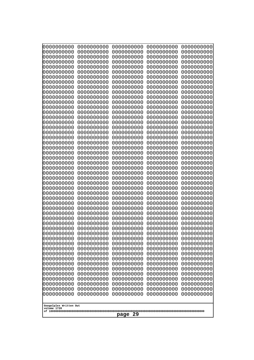| 000000000<br>0000000000               | 0000000000<br>0000000000 | 0000000000<br>0000000000 | 0000000000<br>0000000000 | 0000000000<br>0000000000 |
|---------------------------------------|--------------------------|--------------------------|--------------------------|--------------------------|
| 0000000000                            | 0000000000               | 0000000000               | 0000000000               | 0000000000               |
| 0000000000<br>0000000000              | 0000000000<br>0000000000 | 0000000000<br>0000000000 | 0000000000<br>0000000000 | 0000000000<br>0000000000 |
| 0000000000                            | 0000000000               | 0000000000               | 0000000000               | 0000000000               |
| 0000000000                            | 0000000000               | 0000000000               | 0000000000               | 0000000000               |
| 0000000000<br>0000000000              | 0000000000<br>0000000000 | 0000000000<br>0000000000 | 0000000000<br>0000000000 | 0000000000<br>0000000000 |
| 0000000000                            | 0000000000               | 0000000000               | 0000000000               | 0000000000               |
| 0000000000                            | 0000000000               | 0000000000               | 0000000000               | 0000000000               |
| 0000000000<br>0000000000              | 0000000000<br>0000000000 | 0000000000<br>0000000000 | 0000000000<br>0000000000 | 0000000000<br>0000000000 |
| 0000000000                            | 0000000000               | 0000000000               | 0000000000               | 0000000000               |
| 0000000000<br>0000000000              | 0000000000<br>0000000000 | 0000000000<br>0000000000 | 0000000000<br>0000000000 | 0000000000<br>0000000000 |
| 0000000000                            | 0000000000               | 0000000000               | 0000000000               | 0000000000               |
| 0000000000                            | 0000000000               | 0000000000               | 0000000000               | 0000000000               |
| 0000000000<br>0000000000              | 0000000000<br>0000000000 | 0000000000<br>0000000000 | 0000000000<br>0000000000 | 0000000000<br>0000000000 |
| 0000000000                            | 0000000000               | 0000000000               | 0000000000               | 0000000000               |
| 0000000000<br>0000000000              | 0000000000<br>0000000000 | 0000000000<br>0000000000 | 0000000000<br>0000000000 | 0000000000<br>0000000000 |
| 0000000000                            | 0000000000               | 0000000000               | 0000000000               | 0000000000               |
| 0000000000                            | 0000000000               | 0000000000               | 0000000000               | 0000000000               |
| 0000000000<br>0000000000              | 0000000000<br>0000000000 | 0000000000<br>0000000000 | 0000000000<br>0000000000 | 0000000000<br>0000000000 |
| 0000000000                            | 0000000000               | 0000000000               | 0000000000               | 0000000000               |
| 0000000000<br>0000000000              | 0000000000<br>0000000000 | 0000000000<br>0000000000 | 0000000000<br>0000000000 | 0000000000<br>0000000000 |
| 0000000000                            | 0000000000               | 0000000000               | 0000000000               | 0000000000               |
| 0000000000                            | 0000000000               | 0000000000               | 0000000000               | 0000000000               |
| 0000000000<br>0000000000              | 0000000000<br>0000000000 | 0000000000<br>0000000000 | 0000000000<br>0000000000 | 0000000000<br>0000000000 |
| 0000000000                            | 0000000000               | 0000000000               | 0000000000               | 0000000000               |
| 0000000000<br>0000000000              | 0000000000<br>0000000000 | 0000000000<br>0000000000 | 0000000000<br>0000000000 | 0000000000<br>0000000000 |
| 0000000000                            | 0000000000               | 0000000000               | 0000000000               | 0000000000               |
| 0000000000                            | 0000000000               | 0000000000               | 0000000000               | 0000000000               |
| 0000000000<br>0000000000              | 0000000000<br>0000000000 | 0000000000<br>0000000000 | 0000000000<br>0000000000 | 0000000000<br>0000000000 |
| 0000000000                            | 0000000000               | 0000000000               | 0000000000               | 0000000000               |
| 0000000000<br>0000000000              | 0000000000<br>0000000000 | 0000000000<br>0000000000 | 0000000000<br>0000000000 | 0000000000<br>0000000000 |
| 0000000000                            | 0000000000               | 0000000000               | 0000000000               | 0000000000               |
| 0000000000<br>0000000000              | 0000000000<br>0000000000 | 0000000000<br>0000000000 | 0000000000<br>0000000000 | 0000000000<br>0000000000 |
| 0000000000                            | 0000000000               | 0000000000               | 0000000000               | 0000000000               |
| 0000000000                            | 0000000000               | 0000000000               | 0000000000               | 0000000000               |
| 0000000000                            | 0000000000               | 0000000000               | 0000000000               | 0000000000               |
| Googolplex Written Out<br>volume 1720 |                          |                          |                          |                          |
| 29<br>page                            |                          |                          |                          |                          |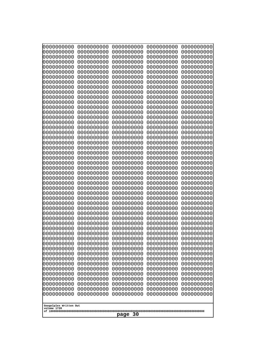| 000000000                             | 0000000000 | 0000000000 | 0000000000 | 0000000000 |  |
|---------------------------------------|------------|------------|------------|------------|--|
| 0000000000                            | 0000000000 | 0000000000 | 0000000000 | 0000000000 |  |
| 0000000000                            | 0000000000 | 0000000000 | 0000000000 | 0000000000 |  |
| 0000000000                            | 0000000000 | 0000000000 | 0000000000 | 0000000000 |  |
| 0000000000                            | 0000000000 | 0000000000 | 0000000000 | 0000000000 |  |
| 0000000000                            | 0000000000 | 0000000000 | 0000000000 | 0000000000 |  |
| 0000000000                            | 0000000000 | 0000000000 | 0000000000 | 0000000000 |  |
| 0000000000                            | 0000000000 | 0000000000 | 0000000000 | 0000000000 |  |
| 0000000000                            | 0000000000 | 0000000000 | 0000000000 | 0000000000 |  |
| 0000000000                            | 0000000000 | 0000000000 | 0000000000 | 0000000000 |  |
| 0000000000                            | 0000000000 | 0000000000 | 0000000000 | 0000000000 |  |
| 0000000000                            | 0000000000 | 0000000000 | 0000000000 | 0000000000 |  |
| 0000000000                            | 0000000000 | 0000000000 | 0000000000 | 0000000000 |  |
| 0000000000                            | 0000000000 | 0000000000 | 0000000000 | 0000000000 |  |
| 0000000000                            | 0000000000 | 0000000000 | 0000000000 | 0000000000 |  |
| 0000000000                            | 0000000000 | 0000000000 | 0000000000 | 0000000000 |  |
| 0000000000                            | 0000000000 | 0000000000 | 0000000000 | 0000000000 |  |
| 0000000000                            | 0000000000 | 0000000000 | 0000000000 | 0000000000 |  |
| 0000000000                            | 0000000000 | 0000000000 | 0000000000 | 0000000000 |  |
| 0000000000                            | 0000000000 | 0000000000 | 0000000000 | 0000000000 |  |
| 0000000000                            | 0000000000 | 0000000000 | 0000000000 | 0000000000 |  |
| 0000000000                            | 0000000000 | 0000000000 | 0000000000 | 0000000000 |  |
| 0000000000                            | 0000000000 | 0000000000 | 0000000000 | 0000000000 |  |
| 0000000000                            | 0000000000 | 0000000000 | 0000000000 | 0000000000 |  |
| 0000000000                            | 0000000000 | 0000000000 | 0000000000 | 0000000000 |  |
| 0000000000                            | 0000000000 | 0000000000 | 0000000000 | 0000000000 |  |
| 0000000000                            | 0000000000 | 0000000000 | 0000000000 | 0000000000 |  |
| 0000000000                            | 0000000000 | 0000000000 | 0000000000 | 0000000000 |  |
| 0000000000                            | 0000000000 | 0000000000 | 0000000000 | 0000000000 |  |
| 0000000000                            | 0000000000 | 0000000000 | 0000000000 | 0000000000 |  |
| 0000000000                            | 0000000000 | 0000000000 | 0000000000 | 0000000000 |  |
| 0000000000                            | 0000000000 | 0000000000 | 0000000000 | 0000000000 |  |
| 0000000000                            | 0000000000 | 0000000000 | 0000000000 | 0000000000 |  |
| 0000000000                            | 0000000000 | 0000000000 | 0000000000 | 0000000000 |  |
| 0000000000                            | 0000000000 | 0000000000 | 0000000000 | 0000000000 |  |
| 0000000000                            | 0000000000 | 0000000000 | 0000000000 | 0000000000 |  |
| 0000000000                            | 0000000000 | 0000000000 | 0000000000 | 0000000000 |  |
| 0000000000                            | 0000000000 | 0000000000 | 0000000000 | 0000000000 |  |
| 0000000000                            | 0000000000 | 0000000000 | 0000000000 | 0000000000 |  |
| 0000000000                            | 0000000000 | 0000000000 | 0000000000 | 0000000000 |  |
| 0000000000                            | 0000000000 | 0000000000 | 0000000000 | 0000000000 |  |
| 0000000000                            | 0000000000 | 0000000000 | 0000000000 | 0000000000 |  |
| 0000000000                            | 0000000000 | 0000000000 | 0000000000 | 0000000000 |  |
| 0000000000                            | 0000000000 | 0000000000 | 0000000000 | 0000000000 |  |
| 0000000000                            | 0000000000 | 0000000000 | 0000000000 | 0000000000 |  |
| 0000000000                            | 0000000000 | 0000000000 | 0000000000 | 0000000000 |  |
| 0000000000                            | 0000000000 | 0000000000 | 0000000000 | 0000000000 |  |
| 0000000000                            | 0000000000 | 0000000000 | 0000000000 | 0000000000 |  |
| 0000000000                            | 0000000000 | 0000000000 | 0000000000 | 0000000000 |  |
| 0000000000                            | 0000000000 | 0000000000 | 0000000000 | 0000000000 |  |
| Googolplex Written Out<br>volume 1720 |            |            |            |            |  |
|                                       | 30<br>page |            |            |            |  |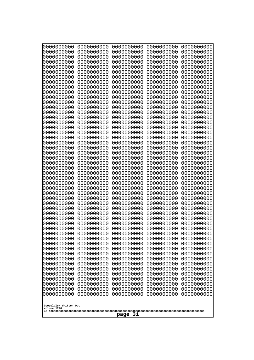| 000000000                                                          | 0000000000 | 0000000000 | 0000000000 | 0000000000 |  |
|--------------------------------------------------------------------|------------|------------|------------|------------|--|
| 0000000000                                                         | 0000000000 | 0000000000 | 0000000000 | 0000000000 |  |
| 0000000000                                                         | 0000000000 | 0000000000 | 0000000000 | 0000000000 |  |
| 0000000000                                                         | 0000000000 | 0000000000 | 0000000000 | 0000000000 |  |
| 0000000000                                                         | 0000000000 | 0000000000 | 0000000000 | 0000000000 |  |
| 0000000000                                                         | 0000000000 | 0000000000 | 0000000000 | 0000000000 |  |
| 0000000000                                                         | 0000000000 | 0000000000 | 0000000000 | 0000000000 |  |
| 0000000000                                                         | 0000000000 | 0000000000 | 0000000000 | 0000000000 |  |
| 0000000000                                                         | 0000000000 | 0000000000 | 0000000000 | 0000000000 |  |
| 0000000000                                                         | 0000000000 | 0000000000 | 0000000000 | 0000000000 |  |
| 0000000000                                                         | 0000000000 | 0000000000 | 0000000000 | 0000000000 |  |
| 0000000000                                                         | 0000000000 | 0000000000 | 0000000000 | 0000000000 |  |
| 0000000000                                                         | 0000000000 | 0000000000 | 0000000000 | 0000000000 |  |
| 0000000000                                                         | 0000000000 | 0000000000 | 0000000000 | 0000000000 |  |
| 0000000000                                                         | 0000000000 | 0000000000 | 0000000000 | 0000000000 |  |
| 0000000000                                                         | 0000000000 | 0000000000 | 0000000000 | 0000000000 |  |
| 0000000000                                                         | 0000000000 | 0000000000 | 0000000000 | 0000000000 |  |
| 0000000000                                                         | 0000000000 | 0000000000 | 0000000000 | 0000000000 |  |
| 0000000000                                                         | 0000000000 | 0000000000 | 0000000000 | 0000000000 |  |
| 0000000000                                                         | 0000000000 | 0000000000 | 0000000000 | 0000000000 |  |
| 0000000000                                                         | 0000000000 | 0000000000 | 0000000000 | 0000000000 |  |
| 0000000000                                                         | 0000000000 | 0000000000 | 0000000000 | 0000000000 |  |
| 0000000000                                                         | 0000000000 | 0000000000 | 0000000000 | 0000000000 |  |
| 0000000000                                                         | 0000000000 | 0000000000 | 0000000000 | 0000000000 |  |
| 0000000000                                                         | 0000000000 | 0000000000 | 0000000000 | 0000000000 |  |
| 0000000000                                                         | 0000000000 | 0000000000 | 0000000000 | 0000000000 |  |
| 0000000000                                                         | 0000000000 | 0000000000 | 0000000000 | 0000000000 |  |
| 0000000000                                                         | 0000000000 | 0000000000 | 0000000000 | 0000000000 |  |
| 0000000000                                                         | 0000000000 | 0000000000 | 0000000000 | 0000000000 |  |
| 0000000000                                                         | 0000000000 | 0000000000 | 0000000000 | 0000000000 |  |
| 0000000000                                                         | 0000000000 | 0000000000 | 0000000000 | 0000000000 |  |
| 0000000000                                                         | 0000000000 | 0000000000 | 0000000000 | 0000000000 |  |
| 0000000000                                                         | 0000000000 | 0000000000 | 0000000000 | 0000000000 |  |
| 0000000000                                                         | 0000000000 | 0000000000 | 0000000000 | 0000000000 |  |
| 0000000000                                                         | 0000000000 | 0000000000 | 0000000000 | 0000000000 |  |
| 0000000000                                                         | 0000000000 | 0000000000 | 0000000000 | 0000000000 |  |
| 0000000000                                                         | 0000000000 | 0000000000 | 0000000000 | 0000000000 |  |
| 0000000000                                                         | 0000000000 | 0000000000 | 0000000000 | 0000000000 |  |
| 0000000000                                                         | 0000000000 | 0000000000 | 0000000000 | 0000000000 |  |
| 0000000000                                                         | 0000000000 | 0000000000 | 0000000000 | 0000000000 |  |
| 0000000000                                                         | 0000000000 | 0000000000 | 0000000000 | 0000000000 |  |
| 0000000000                                                         | 0000000000 | 0000000000 | 0000000000 | 0000000000 |  |
| 0000000000                                                         | 0000000000 | 0000000000 | 0000000000 | 0000000000 |  |
| 0000000000                                                         | 0000000000 | 0000000000 | 0000000000 | 0000000000 |  |
| 0000000000                                                         | 0000000000 | 0000000000 | 0000000000 | 0000000000 |  |
| 0000000000                                                         | 0000000000 | 0000000000 | 0000000000 | 0000000000 |  |
| 0000000000                                                         | 0000000000 | 0000000000 | 0000000000 | 0000000000 |  |
| 0000000000                                                         | 0000000000 | 0000000000 | 0000000000 | 0000000000 |  |
| 0000000000                                                         | 0000000000 | 0000000000 | 0000000000 | 0000000000 |  |
| 0000000000<br>0000000000<br>0000000000<br>0000000000<br>0000000000 |            |            |            |            |  |
| Googolplex Written Out<br>volume 1720<br>-31<br>page               |            |            |            |            |  |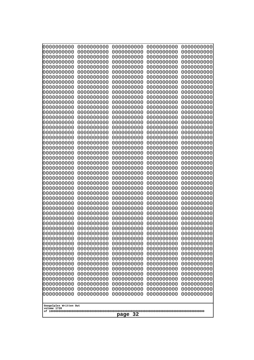| 000000000                                            | 0000000000 | 0000000000 | 0000000000 | 0000000000 |
|------------------------------------------------------|------------|------------|------------|------------|
| 0000000000                                           | 0000000000 | 0000000000 | 0000000000 | 0000000000 |
| 0000000000                                           | 0000000000 | 0000000000 | 0000000000 | 0000000000 |
| 0000000000                                           | 0000000000 | 0000000000 | 0000000000 | 0000000000 |
| 0000000000                                           | 0000000000 | 0000000000 | 0000000000 | 0000000000 |
| 0000000000                                           | 0000000000 | 0000000000 | 0000000000 | 0000000000 |
| 0000000000                                           | 0000000000 | 0000000000 | 0000000000 | 0000000000 |
| 0000000000                                           | 0000000000 | 0000000000 | 0000000000 | 0000000000 |
| 0000000000                                           | 0000000000 | 0000000000 | 0000000000 | 0000000000 |
| 0000000000                                           | 0000000000 | 0000000000 | 0000000000 | 0000000000 |
| 0000000000                                           | 0000000000 | 0000000000 | 0000000000 | 0000000000 |
| 0000000000                                           | 0000000000 | 0000000000 | 0000000000 | 0000000000 |
| 0000000000                                           | 0000000000 | 0000000000 | 0000000000 | 0000000000 |
| 0000000000                                           | 0000000000 | 0000000000 | 0000000000 | 0000000000 |
| 0000000000                                           | 0000000000 | 0000000000 | 0000000000 | 0000000000 |
| 0000000000                                           | 0000000000 | 0000000000 | 0000000000 | 0000000000 |
| 0000000000                                           | 0000000000 | 0000000000 | 0000000000 | 0000000000 |
| 0000000000                                           | 0000000000 | 0000000000 | 0000000000 | 0000000000 |
| 0000000000                                           | 0000000000 | 0000000000 | 0000000000 | 0000000000 |
| 0000000000                                           | 0000000000 | 0000000000 | 0000000000 | 0000000000 |
| 0000000000                                           | 0000000000 | 0000000000 | 0000000000 | 0000000000 |
| 0000000000                                           | 0000000000 | 0000000000 | 0000000000 | 0000000000 |
| 0000000000                                           | 0000000000 | 0000000000 | 0000000000 | 0000000000 |
| 0000000000                                           | 0000000000 | 0000000000 | 0000000000 | 0000000000 |
| 0000000000                                           | 0000000000 | 0000000000 | 0000000000 | 0000000000 |
| 0000000000                                           | 0000000000 | 0000000000 | 0000000000 | 0000000000 |
| 0000000000                                           | 0000000000 | 0000000000 | 0000000000 | 0000000000 |
| 0000000000                                           | 0000000000 | 0000000000 | 0000000000 | 0000000000 |
| 0000000000                                           | 0000000000 | 0000000000 | 0000000000 | 0000000000 |
| 0000000000                                           | 0000000000 | 0000000000 | 0000000000 | 0000000000 |
| 0000000000                                           | 0000000000 | 0000000000 | 0000000000 | 0000000000 |
| 0000000000                                           | 0000000000 | 0000000000 | 0000000000 | 0000000000 |
| 0000000000                                           | 0000000000 | 0000000000 | 0000000000 | 0000000000 |
| 0000000000                                           | 0000000000 | 0000000000 | 0000000000 | 0000000000 |
| 0000000000                                           | 0000000000 | 0000000000 | 0000000000 | 0000000000 |
| 0000000000                                           | 0000000000 | 0000000000 | 0000000000 | 0000000000 |
| 0000000000                                           | 0000000000 | 0000000000 | 0000000000 | 0000000000 |
| 0000000000                                           | 0000000000 | 0000000000 | 0000000000 | 0000000000 |
| 0000000000                                           | 0000000000 | 0000000000 | 0000000000 | 0000000000 |
| 0000000000                                           | 0000000000 | 0000000000 | 0000000000 | 0000000000 |
| 0000000000                                           | 0000000000 | 0000000000 | 0000000000 | 0000000000 |
| 0000000000                                           | 0000000000 | 0000000000 | 0000000000 | 0000000000 |
| 0000000000                                           | 0000000000 | 0000000000 | 0000000000 | 0000000000 |
| 0000000000                                           | 0000000000 | 0000000000 | 0000000000 | 0000000000 |
| 0000000000                                           | 0000000000 | 0000000000 | 0000000000 | 0000000000 |
| 0000000000                                           | 0000000000 | 0000000000 | 0000000000 | 0000000000 |
| 0000000000                                           | 0000000000 | 0000000000 | 0000000000 | 0000000000 |
| 0000000000                                           | 0000000000 | 0000000000 | 0000000000 | 0000000000 |
| 0000000000                                           | 0000000000 | 0000000000 | 0000000000 | 0000000000 |
| 0000000000                                           | 0000000000 | 0000000000 | 0000000000 | 0000000000 |
| Googolplex Written Out<br>volume 1720<br>-32<br>page |            |            |            |            |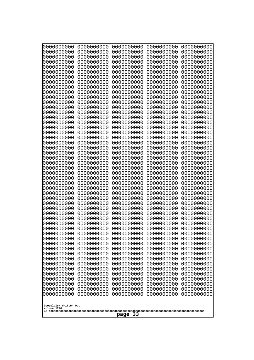| Googolplex Written Out<br>volume 1720 | 0000000000<br>0000000000<br>0000000000<br>0000000000<br>0000000000<br>0000000000<br>0000000000<br>0000000000<br>0000000000<br>0000000000<br>0000000000<br>0000000000<br>0000000000<br>0000000000<br>0000000000<br>0000000000<br>0000000000<br>0000000000<br>0000000000<br>0000000000<br>0000000000<br>0000000000<br>0000000000<br>0000000000<br>0000000000<br>0000000000<br>0000000000<br>0000000000<br>0000000000<br>0000000000<br>0000000000<br>0000000000<br>0000000000<br>0000000000<br>0000000000<br>0000000000<br>0000000000<br>10000000000<br>0000000000<br>0000000000<br>0000000000<br>0000000000<br>0000000000<br>0000000000<br>0000000000<br>0000000000<br>0000000000<br>0000000000<br>0000000000<br>0000000000 | 0000000000<br>0000000000<br>0000000000<br>0000000000<br>0000000000<br>0000000000<br>0000000000<br>0000000000<br>0000000000<br>0000000000<br>0000000000<br>0000000000<br>0000000000<br>0000000000<br>0000000000<br>0000000000<br>0000000000<br>0000000000<br>0000000000<br>0000000000<br>0000000000<br>0000000000<br>0000000000<br>0000000000<br>0000000000<br>0000000000<br>0000000000<br>0000000000<br>0000000000<br>0000000000<br>0000000000<br>0000000000<br>0000000000<br>0000000000<br>0000000000<br>0000000000<br>0000000000<br>0000000000<br>0000000000<br>0000000000<br>0000000000<br>0000000000<br>0000000000<br>0000000000<br>0000000000<br>0000000000<br>0000000000<br>0000000000<br>0000000000<br>0000000000 | 0000000000<br>0000000000<br>0000000000<br>0000000000<br>0000000000<br>0000000000<br>0000000000<br>0000000000<br>0000000000<br>0000000000<br>0000000000<br>0000000000<br>0000000000<br>0000000000<br>0000000000<br>0000000000<br>0000000000<br>0000000000<br>0000000000<br>0000000000<br>0000000000<br>0000000000<br>0000000000<br>0000000000<br>0000000000<br>0000000000<br>0000000000<br>0000000000<br>0000000000<br>0000000000<br>0000000000<br>0000000000<br>0000000000<br>0000000000<br>0000000000<br>0000000000<br>0000000000<br>0000000000<br>0000000000<br>0000000000<br>0000000000<br>0000000000<br>0000000000<br>0000000000<br>0000000000<br>0000000000<br>0000000000<br>0000000000<br>0000000000<br>0000000000 | 0000000000<br>0000000000<br>0000000000<br>0000000000<br>0000000000<br>0000000000<br>0000000000<br>0000000000<br>0000000000<br>0000000000<br>0000000000<br>0000000000<br>0000000000<br>0000000000<br>0000000000<br>0000000000<br>0000000000<br>0000000000<br>0000000000<br>0000000000<br>0000000000<br>0000000000<br>0000000000<br>0000000000<br>0000000000<br>0000000000<br>0000000000<br>0000000000<br>0000000000<br>0000000000<br>0000000000<br>0000000000<br>0000000000<br>0000000000<br>0000000000<br>0000000000<br>0000000000<br>0000000000<br>0000000000<br>0000000000<br>0000000000<br>0000000000<br>0000000000<br>0000000000<br>0000000000<br>0000000000<br>0000000000<br>0000000000<br>0000000000<br>0000000000 | 0000000000<br>0000000000<br>0000000000<br>0000000000<br>0000000000<br>0000000000<br>0000000000<br>0000000000<br>0000000000<br>0000000000<br>0000000000<br>0000000000<br>0000000000<br>0000000000<br>0000000000<br>0000000000<br>0000000000<br>0000000000<br>0000000000<br>0000000000<br>0000000000<br>0000000000<br>0000000000<br>0000000000<br>0000000000<br>0000000000<br>0000000000<br>0000000000<br>0000000000<br>0000000000<br>0000000000<br>0000000000<br>0000000000<br>0000000000<br>0000000000<br>0000000000<br>0000000000<br>0000000000<br>0000000000<br>0000000000<br>0000000000<br>0000000000<br>0000000000<br>0000000000<br>0000000000<br>0000000000<br>0000000000<br>0000000000<br>0000000000<br>0000000000 |
|---------------------------------------|---------------------------------------------------------------------------------------------------------------------------------------------------------------------------------------------------------------------------------------------------------------------------------------------------------------------------------------------------------------------------------------------------------------------------------------------------------------------------------------------------------------------------------------------------------------------------------------------------------------------------------------------------------------------------------------------------------------------------|--------------------------------------------------------------------------------------------------------------------------------------------------------------------------------------------------------------------------------------------------------------------------------------------------------------------------------------------------------------------------------------------------------------------------------------------------------------------------------------------------------------------------------------------------------------------------------------------------------------------------------------------------------------------------------------------------------------------------|--------------------------------------------------------------------------------------------------------------------------------------------------------------------------------------------------------------------------------------------------------------------------------------------------------------------------------------------------------------------------------------------------------------------------------------------------------------------------------------------------------------------------------------------------------------------------------------------------------------------------------------------------------------------------------------------------------------------------|--------------------------------------------------------------------------------------------------------------------------------------------------------------------------------------------------------------------------------------------------------------------------------------------------------------------------------------------------------------------------------------------------------------------------------------------------------------------------------------------------------------------------------------------------------------------------------------------------------------------------------------------------------------------------------------------------------------------------|--------------------------------------------------------------------------------------------------------------------------------------------------------------------------------------------------------------------------------------------------------------------------------------------------------------------------------------------------------------------------------------------------------------------------------------------------------------------------------------------------------------------------------------------------------------------------------------------------------------------------------------------------------------------------------------------------------------------------|
| 33<br>page                            |                                                                                                                                                                                                                                                                                                                                                                                                                                                                                                                                                                                                                                                                                                                           |                                                                                                                                                                                                                                                                                                                                                                                                                                                                                                                                                                                                                                                                                                                          |                                                                                                                                                                                                                                                                                                                                                                                                                                                                                                                                                                                                                                                                                                                          |                                                                                                                                                                                                                                                                                                                                                                                                                                                                                                                                                                                                                                                                                                                          |                                                                                                                                                                                                                                                                                                                                                                                                                                                                                                                                                                                                                                                                                                                          |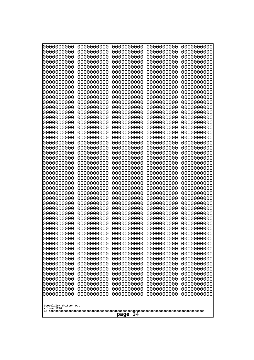| 0000000000<br>0000000000<br>0000000000<br>0000000000<br>0000000000<br>0000000000<br>0000000000<br>0000000000<br>0000000000<br>0000000000<br>0000000000<br>0000000000<br>0000000000<br>0000000000<br>0000000000<br>0000000000<br>0000000000<br>0000000000<br>0000000000<br>0000000000<br>0000000000<br>0000000000<br>0000000000<br>0000000000<br>0000000000<br>0000000000<br>0000000000<br>0000000000<br>0000000000<br>0000000000<br>0000000000<br>0000000000<br>0000000000<br>0000000000<br>0000000000<br>0000000000<br>0000000000<br>10000000000<br>0000000000<br>0000000000<br>0000000000<br>0000000000<br>0000000000<br>0000000000<br>0000000000<br>0000000000<br>0000000000<br>0000000000<br>0000000000<br>0000000000 | 0000000000<br>0000000000<br>0000000000<br>0000000000<br>0000000000<br>0000000000<br>0000000000<br>0000000000<br>0000000000<br>0000000000<br>0000000000<br>0000000000<br>0000000000<br>0000000000<br>0000000000<br>0000000000<br>0000000000<br>0000000000<br>0000000000<br>0000000000<br>0000000000<br>0000000000<br>0000000000<br>0000000000<br>0000000000<br>0000000000<br>0000000000<br>0000000000<br>0000000000<br>0000000000<br>0000000000<br>0000000000<br>0000000000<br>0000000000<br>0000000000<br>0000000000<br>0000000000<br>0000000000<br>0000000000<br>0000000000<br>0000000000<br>0000000000<br>0000000000<br>0000000000<br>0000000000<br>0000000000<br>0000000000<br>0000000000<br>0000000000<br>0000000000 | 0000000000<br>0000000000<br>0000000000<br>0000000000<br>0000000000<br>0000000000<br>0000000000<br>0000000000<br>0000000000<br>0000000000<br>0000000000<br>0000000000<br>0000000000<br>0000000000<br>0000000000<br>0000000000<br>0000000000<br>0000000000<br>0000000000<br>0000000000<br>0000000000<br>0000000000<br>0000000000<br>0000000000<br>0000000000<br>0000000000<br>0000000000<br>0000000000<br>0000000000<br>0000000000<br>0000000000<br>0000000000<br>0000000000<br>0000000000<br>0000000000<br>0000000000<br>0000000000<br>0000000000<br>0000000000<br>0000000000<br>0000000000<br>0000000000<br>0000000000<br>0000000000<br>0000000000<br>0000000000<br>0000000000<br>0000000000<br>0000000000<br>0000000000 | 0000000000<br>0000000000<br>0000000000<br>0000000000<br>0000000000<br>0000000000<br>0000000000<br>0000000000<br>0000000000<br>0000000000<br>0000000000<br>0000000000<br>0000000000<br>0000000000<br>0000000000<br>0000000000<br>0000000000<br>0000000000<br>0000000000<br>0000000000<br>0000000000<br>0000000000<br>0000000000<br>0000000000<br>0000000000<br>0000000000<br>0000000000<br>0000000000<br>0000000000<br>0000000000<br>0000000000<br>0000000000<br>0000000000<br>0000000000<br>0000000000<br>0000000000<br>0000000000<br>0000000000<br>0000000000<br>0000000000<br>0000000000<br>0000000000<br>0000000000<br>0000000000<br>0000000000<br>0000000000<br>0000000000<br>0000000000<br>0000000000<br>0000000000 | 0000000000<br>0000000000<br>0000000000<br>0000000000<br>0000000000<br>0000000000<br>0000000000<br>0000000000<br>0000000000<br>0000000000<br>0000000000<br>0000000000<br>0000000000<br>0000000000<br>0000000000<br>0000000000<br>0000000000<br>0000000000<br>0000000000<br>0000000000<br>0000000000<br>0000000000<br>0000000000<br>0000000000<br>0000000000<br>0000000000<br>0000000000<br>0000000000<br>0000000000<br>0000000000<br>0000000000<br>0000000000<br>0000000000<br>0000000000<br>0000000000<br>0000000000<br>0000000000<br>0000000000<br>0000000000<br>0000000000<br>0000000000<br>0000000000<br>0000000000<br>0000000000<br>0000000000<br>0000000000<br>0000000000<br>0000000000<br>0000000000<br>0000000000 |
|---------------------------------------------------------------------------------------------------------------------------------------------------------------------------------------------------------------------------------------------------------------------------------------------------------------------------------------------------------------------------------------------------------------------------------------------------------------------------------------------------------------------------------------------------------------------------------------------------------------------------------------------------------------------------------------------------------------------------|--------------------------------------------------------------------------------------------------------------------------------------------------------------------------------------------------------------------------------------------------------------------------------------------------------------------------------------------------------------------------------------------------------------------------------------------------------------------------------------------------------------------------------------------------------------------------------------------------------------------------------------------------------------------------------------------------------------------------|--------------------------------------------------------------------------------------------------------------------------------------------------------------------------------------------------------------------------------------------------------------------------------------------------------------------------------------------------------------------------------------------------------------------------------------------------------------------------------------------------------------------------------------------------------------------------------------------------------------------------------------------------------------------------------------------------------------------------|--------------------------------------------------------------------------------------------------------------------------------------------------------------------------------------------------------------------------------------------------------------------------------------------------------------------------------------------------------------------------------------------------------------------------------------------------------------------------------------------------------------------------------------------------------------------------------------------------------------------------------------------------------------------------------------------------------------------------|--------------------------------------------------------------------------------------------------------------------------------------------------------------------------------------------------------------------------------------------------------------------------------------------------------------------------------------------------------------------------------------------------------------------------------------------------------------------------------------------------------------------------------------------------------------------------------------------------------------------------------------------------------------------------------------------------------------------------|
| Googolplex Written Out<br>volume 1720                                                                                                                                                                                                                                                                                                                                                                                                                                                                                                                                                                                                                                                                                     |                                                                                                                                                                                                                                                                                                                                                                                                                                                                                                                                                                                                                                                                                                                          |                                                                                                                                                                                                                                                                                                                                                                                                                                                                                                                                                                                                                                                                                                                          |                                                                                                                                                                                                                                                                                                                                                                                                                                                                                                                                                                                                                                                                                                                          |                                                                                                                                                                                                                                                                                                                                                                                                                                                                                                                                                                                                                                                                                                                          |
| 34<br>page                                                                                                                                                                                                                                                                                                                                                                                                                                                                                                                                                                                                                                                                                                                |                                                                                                                                                                                                                                                                                                                                                                                                                                                                                                                                                                                                                                                                                                                          |                                                                                                                                                                                                                                                                                                                                                                                                                                                                                                                                                                                                                                                                                                                          |                                                                                                                                                                                                                                                                                                                                                                                                                                                                                                                                                                                                                                                                                                                          |                                                                                                                                                                                                                                                                                                                                                                                                                                                                                                                                                                                                                                                                                                                          |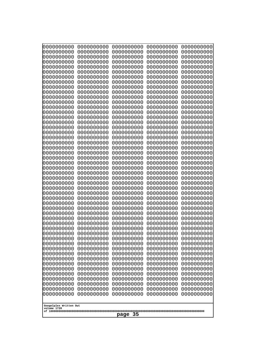| 0000000000                                                                                                             | 0000000000                                                         | 0000000000                                                         | 0000000000                                                         | 0000000000                                                         |
|------------------------------------------------------------------------------------------------------------------------|--------------------------------------------------------------------|--------------------------------------------------------------------|--------------------------------------------------------------------|--------------------------------------------------------------------|
| 0000000000                                                                                                             | 0000000000                                                         | 0000000000                                                         | 0000000000                                                         | 0000000000                                                         |
| 0000000000                                                                                                             | 0000000000                                                         | 0000000000                                                         | 0000000000                                                         | 0000000000                                                         |
| 0000000000                                                                                                             | 0000000000                                                         | 0000000000                                                         | 0000000000                                                         | 0000000000                                                         |
| 0000000000<br>0000000000<br>0000000000<br>0000000000<br>0000000000                                                     | 0000000000<br>0000000000<br>0000000000<br>0000000000               | 0000000000<br>0000000000<br>0000000000<br>0000000000               | 0000000000<br>0000000000<br>0000000000<br>0000000000               | 0000000000<br>0000000000<br>0000000000<br>0000000000               |
| 0000000000<br>0000000000<br>0000000000<br>0000000000                                                                   | 0000000000<br>0000000000<br>0000000000<br>0000000000<br>0000000000 | 0000000000<br>0000000000<br>0000000000<br>0000000000<br>0000000000 | 0000000000<br>0000000000<br>0000000000<br>0000000000<br>0000000000 | 0000000000<br>0000000000<br>0000000000<br>0000000000<br>0000000000 |
| 0000000000                                                                                                             | 0000000000                                                         | 0000000000                                                         | 0000000000                                                         | 0000000000                                                         |
| 0000000000                                                                                                             | 0000000000                                                         | 0000000000                                                         | 0000000000                                                         | 0000000000                                                         |
| 0000000000                                                                                                             | 0000000000                                                         | 0000000000                                                         | 0000000000                                                         | 0000000000                                                         |
| 0000000000                                                                                                             | 0000000000                                                         | 0000000000                                                         | 0000000000                                                         | 0000000000                                                         |
| 0000000000                                                                                                             | 0000000000                                                         | 0000000000                                                         | 0000000000                                                         | 0000000000                                                         |
| 0000000000                                                                                                             | 0000000000                                                         | 0000000000                                                         | 0000000000                                                         | 0000000000                                                         |
| 0000000000                                                                                                             | 0000000000                                                         | 0000000000                                                         | 0000000000                                                         | 0000000000                                                         |
| 0000000000                                                                                                             | 0000000000                                                         | 0000000000                                                         | 0000000000                                                         | 0000000000                                                         |
| 0000000000                                                                                                             | 0000000000                                                         | 0000000000                                                         | 0000000000                                                         | 0000000000                                                         |
| 0000000000                                                                                                             | 0000000000                                                         | 0000000000                                                         | 0000000000                                                         | 0000000000                                                         |
| 0000000000                                                                                                             | 0000000000                                                         | 0000000000                                                         | 0000000000                                                         | 0000000000                                                         |
| 0000000000                                                                                                             | 0000000000                                                         | 0000000000                                                         | 0000000000                                                         | 0000000000                                                         |
| 0000000000                                                                                                             | 0000000000                                                         | 0000000000                                                         | 0000000000                                                         | 0000000000                                                         |
| 0000000000                                                                                                             | 0000000000                                                         | 0000000000                                                         | 0000000000                                                         | 0000000000                                                         |
| 0000000000                                                                                                             | 0000000000                                                         | 0000000000                                                         | 0000000000                                                         | 0000000000                                                         |
| 0000000000                                                                                                             | 0000000000                                                         | 0000000000                                                         | 0000000000                                                         | 0000000000                                                         |
| 0000000000                                                                                                             | 0000000000                                                         | 0000000000                                                         | 0000000000                                                         | 0000000000                                                         |
| 0000000000                                                                                                             | 0000000000                                                         | 0000000000                                                         | 0000000000                                                         | 0000000000                                                         |
| 0000000000                                                                                                             | 0000000000                                                         | 0000000000                                                         | 0000000000                                                         | 0000000000                                                         |
| 0000000000                                                                                                             | 0000000000                                                         | 0000000000                                                         | 0000000000                                                         | 0000000000                                                         |
| 0000000000                                                                                                             | 0000000000                                                         | 0000000000                                                         | 0000000000                                                         | 0000000000                                                         |
| 0000000000                                                                                                             | 0000000000                                                         | 0000000000                                                         | 0000000000                                                         | 0000000000                                                         |
| 0000000000                                                                                                             | 0000000000                                                         | 0000000000                                                         | 0000000000                                                         | 0000000000                                                         |
| 0000000000                                                                                                             | 0000000000                                                         | 0000000000                                                         | 0000000000                                                         | 0000000000                                                         |
| 0000000000                                                                                                             | 0000000000                                                         | 0000000000                                                         | 0000000000                                                         | 0000000000                                                         |
| 0000000000                                                                                                             | 0000000000                                                         | 0000000000                                                         | 0000000000                                                         | 0000000000                                                         |
| 0000000000                                                                                                             | 0000000000                                                         | 0000000000                                                         | 0000000000                                                         | 0000000000                                                         |
| 0000000000                                                                                                             | 0000000000                                                         | 0000000000                                                         | 0000000000                                                         | 0000000000                                                         |
| 0000000000                                                                                                             | 0000000000                                                         | 0000000000                                                         | 0000000000                                                         | 0000000000                                                         |
| 0000000000                                                                                                             | 0000000000                                                         | 0000000000                                                         | 0000000000                                                         | 0000000000                                                         |
| 0000000000                                                                                                             | 0000000000                                                         | 0000000000                                                         | 0000000000                                                         | 0000000000                                                         |
| 0000000000                                                                                                             | 0000000000                                                         | 0000000000                                                         | 0000000000                                                         | 0000000000                                                         |
| 0000000000                                                                                                             | 0000000000                                                         | 0000000000                                                         | 0000000000                                                         | 0000000000                                                         |
| 0000000000                                                                                                             | 0000000000                                                         | 0000000000                                                         | 0000000000                                                         | 0000000000                                                         |
| 0000000000                                                                                                             | 0000000000                                                         | 0000000000                                                         | 0000000000                                                         | 0000000000                                                         |
| 0000000000                                                                                                             | 0000000000                                                         | 0000000000                                                         | 0000000000                                                         | 0000000000                                                         |
| 0000000000<br>0000000000<br>0000000000<br>0000000000<br>0000000000<br>Googolplex Written Out<br>volume 1720<br>page 35 |                                                                    |                                                                    |                                                                    |                                                                    |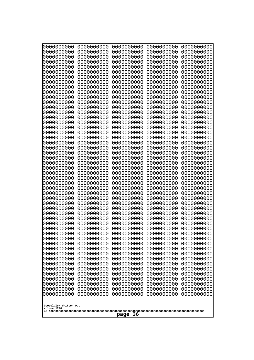| 000000000                                            | 0000000000                             | 0000000000                             | 0000000000                             | 0000000000                             |
|------------------------------------------------------|----------------------------------------|----------------------------------------|----------------------------------------|----------------------------------------|
| 0000000000                                           | 0000000000                             | 0000000000                             | 0000000000                             | 0000000000                             |
| 0000000000                                           | 0000000000                             | 0000000000                             | 0000000000                             | 0000000000                             |
| 0000000000                                           | 0000000000                             | 0000000000                             | 0000000000                             | 0000000000                             |
| 0000000000                                           | 0000000000                             | 0000000000                             | 0000000000                             | 0000000000                             |
| 0000000000                                           | 0000000000                             | 0000000000                             | 0000000000                             | 0000000000                             |
| 0000000000                                           | 0000000000                             | 0000000000                             | 0000000000                             | 0000000000                             |
| 0000000000                                           | 0000000000                             | 0000000000                             | 0000000000                             | 0000000000                             |
| 0000000000                                           | 0000000000                             | 0000000000                             | 0000000000                             | 0000000000                             |
| 0000000000                                           | 0000000000                             | 0000000000                             | 0000000000                             | 0000000000                             |
| 0000000000                                           | 0000000000                             | 0000000000                             | 0000000000                             | 0000000000                             |
| 0000000000                                           | 0000000000                             | 0000000000                             | 0000000000                             | 0000000000                             |
| 0000000000                                           | 0000000000                             | 0000000000                             | 0000000000                             | 0000000000                             |
| 0000000000                                           | 0000000000                             | 0000000000                             | 0000000000                             | 0000000000                             |
| 0000000000                                           | 0000000000                             | 0000000000                             | 0000000000                             | 0000000000                             |
| 0000000000<br>0000000000                             | 0000000000<br>0000000000               | 0000000000<br>0000000000               | 0000000000<br>0000000000               | 0000000000<br>0000000000<br>0000000000 |
| 0000000000<br>0000000000<br>0000000000               | 0000000000<br>0000000000<br>0000000000 | 0000000000<br>0000000000<br>0000000000 | 0000000000<br>0000000000<br>0000000000 | 0000000000<br>0000000000               |
| 0000000000                                           | 0000000000                             | 0000000000                             | 0000000000                             | 0000000000                             |
| 0000000000                                           | 0000000000                             | 0000000000                             | 0000000000                             | 0000000000                             |
| 0000000000                                           | 0000000000                             | 0000000000                             | 0000000000                             | 0000000000                             |
| 0000000000                                           | 0000000000                             | 0000000000                             | 0000000000                             | 0000000000                             |
| 0000000000                                           | 0000000000                             | 0000000000                             | 0000000000                             | 0000000000                             |
| 0000000000                                           | 0000000000                             | 0000000000                             | 0000000000                             | 0000000000                             |
| 0000000000                                           | 0000000000                             | 0000000000                             | 0000000000                             | 0000000000                             |
| 0000000000                                           | 0000000000                             | 0000000000                             | 0000000000                             | 0000000000                             |
| 0000000000                                           | 0000000000                             | 0000000000                             | 0000000000                             | 0000000000                             |
| 0000000000                                           | 0000000000                             | 0000000000                             | 0000000000                             | 0000000000                             |
| 0000000000                                           | 0000000000                             | 0000000000                             | 0000000000                             | 0000000000                             |
| 0000000000                                           | 0000000000                             | 0000000000                             | 0000000000                             | 0000000000                             |
| 0000000000                                           | 0000000000                             | 0000000000                             | 0000000000                             | 0000000000                             |
| 0000000000                                           | 0000000000                             | 0000000000                             | 0000000000                             | 0000000000                             |
| 0000000000                                           | 0000000000                             | 0000000000                             | 0000000000                             | 0000000000                             |
| 0000000000                                           | 0000000000                             | 0000000000                             | 0000000000                             | 0000000000                             |
| 0000000000                                           | 0000000000                             | 0000000000                             | 0000000000                             | 0000000000                             |
| 0000000000                                           | 0000000000                             | 0000000000                             | 0000000000                             | 0000000000                             |
| 0000000000                                           | 0000000000                             | 0000000000                             | 0000000000                             | 0000000000                             |
| 0000000000                                           | 0000000000                             | 0000000000                             | 0000000000                             | 0000000000                             |
| 0000000000                                           | 0000000000                             | 0000000000                             | 0000000000                             | 0000000000                             |
| 0000000000                                           | 0000000000                             | 0000000000                             | 0000000000                             | 0000000000                             |
| 0000000000                                           | 0000000000                             | 0000000000                             | 0000000000                             | 0000000000                             |
| 0000000000                                           | 0000000000                             | 0000000000                             | 0000000000                             | 0000000000                             |
| 0000000000                                           | 0000000000                             | 0000000000                             | 0000000000                             | 0000000000                             |
| 0000000000                                           | 0000000000                             | 0000000000                             | 0000000000                             | 0000000000                             |
| 0000000000                                           | 0000000000                             | 0000000000                             | 0000000000                             | 0000000000                             |
| 0000000000                                           | 0000000000                             | 0000000000                             | 0000000000                             | 0000000000                             |
| 0000000000                                           | 0000000000                             | 0000000000                             | 0000000000                             | 0000000000                             |
| 0000000000                                           | 0000000000                             | 0000000000                             | 0000000000                             | 0000000000                             |
| Googolplex Written Out<br>volume 1720<br>-36<br>page |                                        |                                        |                                        |                                        |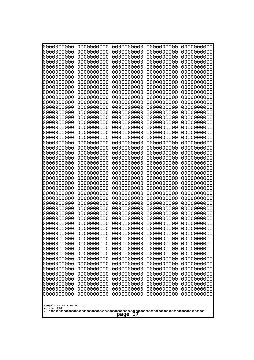| 0000000000                                                                                                                                                                                       | 0000000000 | 0000000000 | 0000000000 | 0000000000 |
|--------------------------------------------------------------------------------------------------------------------------------------------------------------------------------------------------|------------|------------|------------|------------|
| 0000000000                                                                                                                                                                                       | 0000000000 | 0000000000 | 0000000000 | 0000000000 |
| 0000000000                                                                                                                                                                                       | 0000000000 | 0000000000 | 0000000000 | 0000000000 |
| 0000000000                                                                                                                                                                                       | 0000000000 | 0000000000 | 0000000000 | 0000000000 |
| 1000000000                                                                                                                                                                                       | 0000000000 | 0000000000 | 0000000000 | 0000000000 |
| 0000000000                                                                                                                                                                                       | 0000000000 | 0000000000 | 0000000000 | 0000000000 |
| 0000000000                                                                                                                                                                                       | 0000000000 | 0000000000 | 0000000000 | 0000000000 |
| 0000000000                                                                                                                                                                                       | 0000000000 | 0000000000 | 0000000000 | 0000000000 |
| 0000000000                                                                                                                                                                                       | 0000000000 | 0000000000 | 0000000000 | 0000000000 |
| 0000000000                                                                                                                                                                                       | 0000000000 | 0000000000 | 0000000000 | 0000000000 |
| 0000000000                                                                                                                                                                                       | 0000000000 | 0000000000 | 0000000000 | 0000000000 |
| 0000000000                                                                                                                                                                                       | 0000000000 | 0000000000 | 0000000000 | 0000000000 |
| 0000000000                                                                                                                                                                                       | 0000000000 | 0000000000 | 0000000000 | 0000000000 |
| 0000000000                                                                                                                                                                                       | 0000000000 | 0000000000 | 0000000000 | 0000000000 |
| 0000000000                                                                                                                                                                                       | 0000000000 | 0000000000 | 0000000000 | 0000000000 |
| 0000000000                                                                                                                                                                                       | 0000000000 | 0000000000 | 0000000000 | 0000000000 |
| 0000000000                                                                                                                                                                                       | 0000000000 | 0000000000 | 0000000000 | 0000000000 |
| 0000000000                                                                                                                                                                                       | 0000000000 | 0000000000 | 0000000000 | 0000000000 |
| 0000000000                                                                                                                                                                                       | 0000000000 | 0000000000 | 0000000000 | 0000000000 |
| 0000000000                                                                                                                                                                                       | 0000000000 | 0000000000 | 0000000000 | 0000000000 |
| 0000000000                                                                                                                                                                                       | 0000000000 | 0000000000 | 0000000000 | 0000000000 |
| 0000000000                                                                                                                                                                                       | 0000000000 | 0000000000 | 0000000000 | 0000000000 |
| 0000000000                                                                                                                                                                                       | 0000000000 | 0000000000 | 0000000000 | 0000000000 |
| 0000000000                                                                                                                                                                                       | 0000000000 | 0000000000 | 0000000000 | 0000000000 |
| 0000000000                                                                                                                                                                                       | 0000000000 | 0000000000 | 0000000000 | 0000000000 |
| 0000000000                                                                                                                                                                                       | 0000000000 | 0000000000 | 0000000000 | 0000000000 |
| 0000000000                                                                                                                                                                                       | 0000000000 | 0000000000 | 0000000000 | 0000000000 |
| 0000000000                                                                                                                                                                                       | 0000000000 | 0000000000 | 0000000000 | 0000000000 |
| 0000000000                                                                                                                                                                                       | 0000000000 | 0000000000 | 0000000000 | 0000000000 |
| 0000000000                                                                                                                                                                                       | 0000000000 | 0000000000 | 0000000000 | 0000000000 |
| 0000000000                                                                                                                                                                                       | 0000000000 | 0000000000 | 0000000000 | 0000000000 |
| 0000000000                                                                                                                                                                                       | 0000000000 | 0000000000 | 0000000000 | 0000000000 |
| 0000000000                                                                                                                                                                                       | 0000000000 | 0000000000 | 0000000000 | 0000000000 |
| 0000000000                                                                                                                                                                                       | 0000000000 | 0000000000 | 0000000000 | 0000000000 |
| 0000000000                                                                                                                                                                                       | 0000000000 | 0000000000 | 0000000000 | 0000000000 |
| 0000000000                                                                                                                                                                                       | 0000000000 | 0000000000 | 0000000000 | 0000000000 |
| 0000000000                                                                                                                                                                                       | 0000000000 | 0000000000 | 0000000000 | 0000000000 |
| 0000000000                                                                                                                                                                                       | 0000000000 | 0000000000 | 0000000000 | 0000000000 |
| 0000000000                                                                                                                                                                                       | 0000000000 | 0000000000 | 0000000000 | 0000000000 |
| 0000000000                                                                                                                                                                                       | 0000000000 | 0000000000 | 0000000000 | 0000000000 |
| 0000000000                                                                                                                                                                                       | 0000000000 | 0000000000 | 0000000000 | 0000000000 |
| 0000000000                                                                                                                                                                                       | 0000000000 | 0000000000 | 0000000000 | 0000000000 |
| 0000000000                                                                                                                                                                                       | 0000000000 | 0000000000 | 0000000000 | 0000000000 |
| 0000000000                                                                                                                                                                                       | 0000000000 | 0000000000 | 0000000000 | 0000000000 |
| 0000000000                                                                                                                                                                                       | 0000000000 | 0000000000 | 0000000000 | 0000000000 |
| 0000000000                                                                                                                                                                                       | 0000000000 | 0000000000 | 0000000000 | 0000000000 |
| 0000000000                                                                                                                                                                                       | 0000000000 | 0000000000 | 0000000000 | 0000000000 |
| 0000000000                                                                                                                                                                                       | 0000000000 | 0000000000 | 0000000000 | 0000000000 |
| 0000000000<br>0000000000<br>0000000000<br>0000000000<br>0000000000<br>0000000000<br>0000000000<br>0000000000<br>0000000000<br>0000000000<br>Googolplex Written Out<br>volume 1720<br>-37<br>page |            |            |            |            |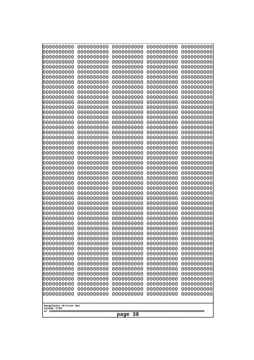| 0000000000                                           | 0000000000                                           | 0000000000                                           | 0000000000                                           | 0000000000                                           |
|------------------------------------------------------|------------------------------------------------------|------------------------------------------------------|------------------------------------------------------|------------------------------------------------------|
| 0000000000                                           | 0000000000                                           | 0000000000                                           | 0000000000                                           | 0000000000                                           |
| 0000000000                                           | 0000000000                                           | 0000000000                                           | 0000000000                                           | 0000000000                                           |
| 0000000000                                           | 0000000000                                           | 0000000000                                           | 0000000000                                           | 0000000000                                           |
| 0000000000                                           | 0000000000                                           | 0000000000                                           | 0000000000                                           | 0000000000                                           |
| 0000000000                                           | 0000000000                                           | 0000000000                                           | 0000000000                                           | 0000000000                                           |
| 0000000000                                           | 0000000000                                           | 0000000000                                           | 0000000000                                           | 0000000000                                           |
| 0000000000                                           | 0000000000                                           | 0000000000                                           | 0000000000                                           | 0000000000                                           |
| 0000000000                                           | 0000000000                                           | 0000000000                                           | 0000000000                                           | 0000000000                                           |
| 0000000000                                           | 0000000000                                           | 0000000000                                           | 0000000000                                           | 0000000000                                           |
| 0000000000                                           | 0000000000                                           | 0000000000                                           | 0000000000                                           | 0000000000                                           |
| 0000000000                                           | 0000000000                                           | 0000000000                                           | 0000000000                                           | 0000000000                                           |
| 0000000000                                           | 0000000000                                           | 0000000000                                           | 0000000000                                           | 0000000000                                           |
| 0000000000                                           | 0000000000                                           | 0000000000                                           | 0000000000                                           | 0000000000                                           |
| 0000000000                                           | 0000000000                                           | 0000000000                                           | 0000000000                                           | 0000000000                                           |
| 0000000000                                           | 0000000000                                           | 0000000000                                           | 0000000000                                           | 0000000000                                           |
| 0000000000                                           | 0000000000                                           | 0000000000                                           | 0000000000                                           | 0000000000                                           |
| 0000000000                                           | 0000000000                                           | 0000000000                                           | 0000000000                                           | 0000000000                                           |
| 0000000000                                           | 0000000000                                           | 0000000000                                           | 0000000000                                           | 0000000000                                           |
| 0000000000                                           | 0000000000                                           | 0000000000                                           | 0000000000                                           | 0000000000                                           |
| 0000000000                                           | 0000000000                                           | 0000000000                                           | 0000000000                                           | 0000000000                                           |
| 0000000000                                           | 0000000000                                           | 0000000000                                           | 0000000000                                           | 0000000000                                           |
| 0000000000                                           | 0000000000                                           | 0000000000                                           | 0000000000                                           | 0000000000                                           |
| 0000000000                                           | 0000000000                                           | 0000000000                                           | 0000000000                                           | 0000000000                                           |
| 0000000000                                           | 0000000000                                           | 0000000000                                           | 0000000000                                           | 0000000000                                           |
| 0000000000                                           | 0000000000                                           | 0000000000                                           | 0000000000                                           | 0000000000                                           |
| 0000000000                                           | 0000000000                                           | 0000000000                                           | 0000000000                                           | 0000000000                                           |
| 0000000000                                           | 0000000000                                           | 0000000000                                           | 0000000000                                           | 0000000000                                           |
| 0000000000                                           | 0000000000                                           | 0000000000                                           | 0000000000                                           | 0000000000                                           |
| 0000000000                                           | 0000000000                                           | 0000000000                                           | 0000000000                                           | 0000000000                                           |
| 0000000000<br>0000000000<br>0000000000               | 0000000000<br>0000000000<br>0000000000               | 0000000000<br>0000000000<br>0000000000               | 0000000000<br>0000000000<br>0000000000               | 0000000000<br>0000000000<br>0000000000<br>0000000000 |
| 0000000000<br>0000000000<br>0000000000<br>0000000000 | 0000000000<br>0000000000<br>0000000000<br>0000000000 | 0000000000<br>0000000000<br>0000000000<br>0000000000 | 0000000000<br>0000000000<br>0000000000<br>0000000000 | 0000000000<br>0000000000<br>0000000000               |
| 0000000000                                           | 0000000000                                           | 0000000000                                           | 0000000000                                           | 0000000000                                           |
| 0000000000                                           | 0000000000                                           | 0000000000                                           | 0000000000                                           | 0000000000                                           |
| 0000000000                                           | 0000000000                                           | 0000000000                                           | 0000000000                                           | 0000000000                                           |
| 0000000000                                           | 0000000000                                           | 0000000000                                           | 0000000000                                           | 0000000000                                           |
| 0000000000                                           | 0000000000                                           | 0000000000                                           | 0000000000                                           | 0000000000                                           |
| 0000000000                                           | 0000000000                                           | 0000000000                                           | 0000000000                                           | 0000000000                                           |
| 0000000000                                           | 0000000000                                           | 0000000000                                           | 0000000000                                           | 0000000000                                           |
| 0000000000                                           | 0000000000                                           | 0000000000                                           | 0000000000                                           | 0000000000                                           |
| 0000000000                                           | 0000000000                                           | 0000000000                                           | 0000000000                                           | 0000000000                                           |
| 0000000000                                           | 0000000000                                           | 0000000000                                           | 0000000000                                           | 0000000000                                           |
| 0000000000                                           | 0000000000                                           | 0000000000                                           | 0000000000                                           | 0000000000                                           |
| 0000000000                                           | 0000000000                                           | 0000000000                                           | 0000000000                                           | 0000000000                                           |
| 0000000000                                           | 0000000000                                           | 0000000000                                           | 0000000000                                           | 0000000000                                           |
| Googolplex Written Out<br>volume 1720<br>page 38     |                                                      |                                                      |                                                      |                                                      |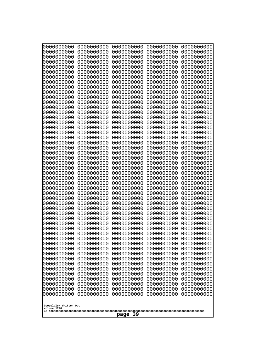| 0000000000<br>0000000000<br>0000000000<br>0000000000<br>0000000000<br>0000000000<br>0000000000<br>0000000000<br>0000000000<br>0000000000<br>0000000000<br>0000000000<br>0000000000<br>0000000000<br>0000000000<br>0000000000<br>0000000000<br>0000000000<br>0000000000<br>0000000000<br>0000000000<br>0000000000<br>0000000000<br>0000000000<br>0000000000<br>0000000000<br>0000000000<br>0000000000<br>0000000000<br>0000000000<br>0000000000<br>0000000000<br>0000000000<br>0000000000<br>0000000000<br>0000000000<br>0000000000<br>10000000000<br>0000000000<br>0000000000<br>0000000000<br>0000000000<br>0000000000<br>0000000000<br>0000000000<br>0000000000<br>0000000000<br>0000000000<br>0000000000<br>0000000000 | 0000000000<br>0000000000<br>0000000000<br>0000000000<br>0000000000<br>0000000000<br>0000000000<br>0000000000<br>0000000000<br>0000000000<br>0000000000<br>0000000000<br>0000000000<br>0000000000<br>0000000000<br>0000000000<br>0000000000<br>0000000000<br>0000000000<br>0000000000<br>0000000000<br>0000000000<br>0000000000<br>0000000000<br>0000000000<br>0000000000<br>0000000000<br>0000000000<br>0000000000<br>0000000000<br>0000000000<br>0000000000<br>0000000000<br>0000000000<br>0000000000<br>0000000000<br>0000000000<br>0000000000<br>0000000000<br>0000000000<br>0000000000<br>0000000000<br>0000000000<br>0000000000<br>0000000000<br>0000000000<br>0000000000<br>0000000000<br>0000000000<br>0000000000 | 0000000000<br>0000000000<br>0000000000<br>0000000000<br>0000000000<br>0000000000<br>0000000000<br>0000000000<br>0000000000<br>0000000000<br>0000000000<br>0000000000<br>0000000000<br>0000000000<br>0000000000<br>0000000000<br>0000000000<br>0000000000<br>0000000000<br>0000000000<br>0000000000<br>0000000000<br>0000000000<br>0000000000<br>0000000000<br>0000000000<br>0000000000<br>0000000000<br>0000000000<br>0000000000<br>0000000000<br>0000000000<br>0000000000<br>0000000000<br>0000000000<br>0000000000<br>0000000000<br>0000000000<br>0000000000<br>0000000000<br>0000000000<br>0000000000<br>0000000000<br>0000000000<br>0000000000<br>0000000000<br>0000000000<br>0000000000<br>0000000000<br>0000000000 | 0000000000<br>0000000000<br>0000000000<br>0000000000<br>0000000000<br>0000000000<br>0000000000<br>0000000000<br>0000000000<br>0000000000<br>0000000000<br>0000000000<br>0000000000<br>0000000000<br>0000000000<br>0000000000<br>0000000000<br>0000000000<br>0000000000<br>0000000000<br>0000000000<br>0000000000<br>0000000000<br>0000000000<br>0000000000<br>0000000000<br>0000000000<br>0000000000<br>0000000000<br>0000000000<br>0000000000<br>0000000000<br>0000000000<br>0000000000<br>0000000000<br>0000000000<br>0000000000<br>0000000000<br>0000000000<br>0000000000<br>0000000000<br>0000000000<br>0000000000<br>0000000000<br>0000000000<br>0000000000<br>0000000000<br>0000000000<br>0000000000<br>0000000000 | 0000000000<br>0000000000<br>0000000000<br>0000000000<br>0000000000<br>0000000000<br>0000000000<br>0000000000<br>0000000000<br>0000000000<br>0000000000<br>0000000000<br>0000000000<br>0000000000<br>0000000000<br>0000000000<br>0000000000<br>0000000000<br>0000000000<br>0000000000<br>0000000000<br>0000000000<br>0000000000<br>0000000000<br>0000000000<br>0000000000<br>0000000000<br>0000000000<br>0000000000<br>0000000000<br>0000000000<br>0000000000<br>0000000000<br>0000000000<br>0000000000<br>0000000000<br>0000000000<br>0000000000<br>0000000000<br>0000000000<br>0000000000<br>0000000000<br>0000000000<br>0000000000<br>0000000000<br>0000000000<br>0000000000<br>0000000000<br>0000000000<br>0000000000 |
|---------------------------------------------------------------------------------------------------------------------------------------------------------------------------------------------------------------------------------------------------------------------------------------------------------------------------------------------------------------------------------------------------------------------------------------------------------------------------------------------------------------------------------------------------------------------------------------------------------------------------------------------------------------------------------------------------------------------------|--------------------------------------------------------------------------------------------------------------------------------------------------------------------------------------------------------------------------------------------------------------------------------------------------------------------------------------------------------------------------------------------------------------------------------------------------------------------------------------------------------------------------------------------------------------------------------------------------------------------------------------------------------------------------------------------------------------------------|--------------------------------------------------------------------------------------------------------------------------------------------------------------------------------------------------------------------------------------------------------------------------------------------------------------------------------------------------------------------------------------------------------------------------------------------------------------------------------------------------------------------------------------------------------------------------------------------------------------------------------------------------------------------------------------------------------------------------|--------------------------------------------------------------------------------------------------------------------------------------------------------------------------------------------------------------------------------------------------------------------------------------------------------------------------------------------------------------------------------------------------------------------------------------------------------------------------------------------------------------------------------------------------------------------------------------------------------------------------------------------------------------------------------------------------------------------------|--------------------------------------------------------------------------------------------------------------------------------------------------------------------------------------------------------------------------------------------------------------------------------------------------------------------------------------------------------------------------------------------------------------------------------------------------------------------------------------------------------------------------------------------------------------------------------------------------------------------------------------------------------------------------------------------------------------------------|
| Googolplex Written Out<br>volume 1720                                                                                                                                                                                                                                                                                                                                                                                                                                                                                                                                                                                                                                                                                     |                                                                                                                                                                                                                                                                                                                                                                                                                                                                                                                                                                                                                                                                                                                          |                                                                                                                                                                                                                                                                                                                                                                                                                                                                                                                                                                                                                                                                                                                          |                                                                                                                                                                                                                                                                                                                                                                                                                                                                                                                                                                                                                                                                                                                          |                                                                                                                                                                                                                                                                                                                                                                                                                                                                                                                                                                                                                                                                                                                          |
| -39<br>page                                                                                                                                                                                                                                                                                                                                                                                                                                                                                                                                                                                                                                                                                                               |                                                                                                                                                                                                                                                                                                                                                                                                                                                                                                                                                                                                                                                                                                                          |                                                                                                                                                                                                                                                                                                                                                                                                                                                                                                                                                                                                                                                                                                                          |                                                                                                                                                                                                                                                                                                                                                                                                                                                                                                                                                                                                                                                                                                                          |                                                                                                                                                                                                                                                                                                                                                                                                                                                                                                                                                                                                                                                                                                                          |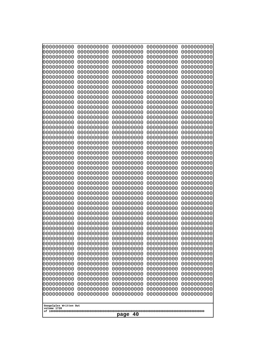| 000000000<br>0000000000  | 0000000000<br>0000000000 | 0000000000<br>0000000000 | 0000000000<br>0000000000 | 0000000000<br>0000000000 |
|--------------------------|--------------------------|--------------------------|--------------------------|--------------------------|
| 0000000000               | 0000000000               | 0000000000               | 0000000000               | 0000000000               |
| 0000000000               | 0000000000               | 0000000000               | 0000000000               | 0000000000               |
| 0000000000<br>0000000000 | 0000000000<br>0000000000 | 0000000000<br>0000000000 | 0000000000<br>0000000000 | 0000000000<br>0000000000 |
| 0000000000               | 0000000000               | 0000000000               | 0000000000               | 0000000000               |
| 0000000000               | 0000000000               | 0000000000               | 0000000000               | 0000000000               |
| 0000000000<br>0000000000 | 0000000000<br>0000000000 | 0000000000<br>0000000000 | 0000000000<br>0000000000 | 0000000000<br>0000000000 |
| 0000000000               | 0000000000               | 0000000000               | 0000000000               | 0000000000               |
| 0000000000               | 0000000000               | 0000000000               | 0000000000               | 0000000000               |
| 0000000000<br>0000000000 | 0000000000<br>0000000000 | 0000000000<br>0000000000 | 0000000000<br>0000000000 | 0000000000<br>0000000000 |
| 0000000000               | 0000000000               | 0000000000               | 0000000000               | 0000000000               |
| 0000000000               | 0000000000               | 0000000000               | 0000000000               | 0000000000               |
| 0000000000<br>0000000000 | 0000000000<br>0000000000 | 0000000000<br>0000000000 | 0000000000<br>0000000000 | 0000000000<br>0000000000 |
| 0000000000               | 0000000000               | 0000000000               | 0000000000               | 0000000000               |
| 0000000000<br>0000000000 | 0000000000<br>0000000000 | 0000000000<br>0000000000 | 0000000000<br>0000000000 | 0000000000<br>0000000000 |
| 0000000000               | 0000000000               | 0000000000               | 0000000000               | 0000000000               |
| 0000000000               | 0000000000               | 0000000000               | 0000000000               | 0000000000               |
| 0000000000<br>0000000000 | 0000000000<br>0000000000 | 0000000000<br>0000000000 | 0000000000<br>0000000000 | 0000000000<br>0000000000 |
| 0000000000               | 0000000000               | 0000000000               | 0000000000               | 0000000000               |
| 0000000000               | 0000000000               | 0000000000               | 0000000000               | 0000000000               |
| 0000000000<br>0000000000 | 0000000000<br>0000000000 | 0000000000<br>0000000000 | 0000000000<br>0000000000 | 0000000000<br>0000000000 |
| 0000000000               | 0000000000               | 0000000000               | 0000000000               | 0000000000               |
| 0000000000               | 0000000000               | 0000000000               | 0000000000               | 0000000000               |
| 0000000000<br>0000000000 | 0000000000<br>0000000000 | 0000000000<br>0000000000 | 0000000000<br>0000000000 | 0000000000<br>0000000000 |
| 0000000000               | 0000000000               | 0000000000               | 0000000000               | 0000000000               |
| 0000000000               | 0000000000               | 0000000000               | 0000000000               | 0000000000               |
| 0000000000<br>0000000000 | 0000000000<br>0000000000 | 0000000000<br>0000000000 | 0000000000<br>0000000000 | 0000000000<br>0000000000 |
| 0000000000               | 0000000000               | 0000000000               | 0000000000               | 0000000000               |
| 0000000000<br>0000000000 | 0000000000               | 0000000000               | 0000000000               | 0000000000               |
| 0000000000               | 0000000000<br>0000000000 | 0000000000<br>0000000000 | 0000000000<br>0000000000 | 0000000000<br>0000000000 |
| 0000000000               | 0000000000               | 0000000000               | 0000000000               | 0000000000               |
| 0000000000<br>0000000000 | 0000000000<br>0000000000 | 0000000000<br>0000000000 | 0000000000<br>0000000000 | 0000000000<br>0000000000 |
| 0000000000               | 0000000000               | 0000000000               | 0000000000               | 0000000000               |
| 0000000000               | 0000000000               | 0000000000               | 0000000000               | 0000000000               |
| 0000000000<br>0000000000 | 0000000000<br>0000000000 | 0000000000<br>0000000000 | 0000000000<br>0000000000 | 0000000000<br>0000000000 |
| 0000000000               | 0000000000               | 0000000000               | 0000000000               | 0000000000               |
| 0000000000               | 0000000000               | 0000000000               | 0000000000               | 0000000000               |
| Googolplex Written Out   |                          |                          |                          |                          |
| volume 1720              |                          |                          |                          |                          |
| 40<br>page               |                          |                          |                          |                          |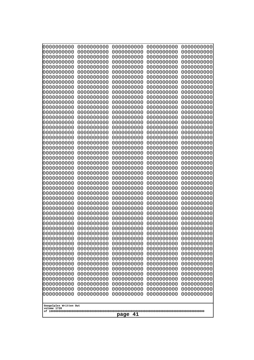| 000000000<br>0000000000               | 0000000000<br>0000000000 | 0000000000<br>0000000000 | 0000000000<br>0000000000 | 0000000000<br>0000000000 |
|---------------------------------------|--------------------------|--------------------------|--------------------------|--------------------------|
| 0000000000<br>0000000000              | 0000000000<br>0000000000 | 0000000000<br>0000000000 | 0000000000<br>0000000000 | 0000000000<br>0000000000 |
| 0000000000                            | 0000000000               | 0000000000               | 0000000000               | 0000000000               |
| 0000000000<br>0000000000              | 0000000000<br>0000000000 | 0000000000<br>0000000000 | 0000000000<br>0000000000 | 0000000000<br>0000000000 |
| 0000000000                            | 0000000000               | 0000000000               | 0000000000               | 0000000000               |
| 0000000000                            | 0000000000               | 0000000000               | 0000000000               | 0000000000               |
| 0000000000<br>0000000000              | 0000000000<br>0000000000 | 0000000000<br>0000000000 | 0000000000<br>0000000000 | 0000000000<br>0000000000 |
| 0000000000                            | 0000000000               | 0000000000               | 0000000000               | 0000000000               |
| 0000000000<br>0000000000              | 0000000000<br>0000000000 | 0000000000<br>0000000000 | 0000000000<br>0000000000 | 0000000000<br>0000000000 |
| 0000000000                            | 0000000000               | 0000000000               | 0000000000               | 0000000000               |
| 0000000000<br>0000000000              | 0000000000<br>0000000000 | 0000000000<br>0000000000 | 0000000000<br>0000000000 | 0000000000<br>0000000000 |
| 0000000000                            | 0000000000               | 0000000000               | 0000000000               | 0000000000               |
| 0000000000<br>0000000000              | 0000000000<br>0000000000 | 0000000000<br>0000000000 | 0000000000<br>0000000000 | 0000000000<br>0000000000 |
| 0000000000                            | 0000000000               | 0000000000               | 0000000000               | 0000000000               |
| 0000000000<br>0000000000              | 0000000000<br>0000000000 | 0000000000<br>0000000000 | 0000000000<br>0000000000 | 0000000000<br>0000000000 |
| 0000000000                            | 0000000000               | 0000000000               | 0000000000               | 0000000000               |
| 0000000000<br>0000000000              | 0000000000<br>0000000000 | 0000000000<br>0000000000 | 0000000000<br>0000000000 | 0000000000<br>0000000000 |
| 0000000000                            | 0000000000               | 0000000000               | 0000000000               | 0000000000               |
| 0000000000<br>0000000000              | 0000000000<br>0000000000 | 0000000000<br>0000000000 | 0000000000<br>0000000000 | 0000000000<br>0000000000 |
| 0000000000                            | 0000000000               | 0000000000               | 0000000000               | 0000000000               |
| 0000000000<br>0000000000              | 0000000000<br>0000000000 | 0000000000<br>0000000000 | 0000000000<br>0000000000 | 0000000000<br>0000000000 |
| 0000000000                            | 0000000000               | 0000000000               | 0000000000               | 0000000000               |
| 0000000000<br>0000000000              | 0000000000<br>0000000000 | 0000000000<br>0000000000 | 0000000000<br>0000000000 | 0000000000<br>0000000000 |
| 0000000000                            | 0000000000               | 0000000000               | 0000000000               | 0000000000               |
| 0000000000<br>0000000000              | 0000000000               | 0000000000               | 0000000000               | 0000000000               |
| 0000000000                            | 0000000000<br>0000000000 | 0000000000<br>0000000000 | 0000000000<br>0000000000 | 0000000000<br>0000000000 |
| 0000000000                            | 0000000000               | 0000000000               | 0000000000               | 0000000000               |
| 0000000000<br>0000000000              | 0000000000<br>0000000000 | 0000000000<br>0000000000 | 0000000000<br>0000000000 | 0000000000<br>0000000000 |
| 0000000000                            | 0000000000               | 0000000000               | 0000000000               | 0000000000               |
| 0000000000<br>0000000000              | 0000000000<br>0000000000 | 0000000000<br>0000000000 | 0000000000<br>0000000000 | 0000000000<br>0000000000 |
| 0000000000                            | 0000000000               | 0000000000               | 0000000000               | 0000000000               |
| 0000000000<br>0000000000              | 0000000000<br>0000000000 | 0000000000<br>0000000000 | 0000000000<br>0000000000 | 0000000000<br>0000000000 |
| 0000000000                            | 0000000000               | 0000000000               | 0000000000               | 0000000000               |
| 0000000000                            | 0000000000               | 0000000000               | 0000000000               | 0000000000               |
| Googolplex Written Out<br>volume 1720 |                          |                          |                          |                          |
| 41<br>page                            |                          |                          |                          |                          |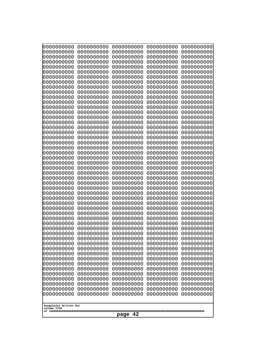| 000000000                                           | 0000000000 | 0000000000 | 0000000000 | 0000000000 |
|-----------------------------------------------------|------------|------------|------------|------------|
| 0000000000                                          | 0000000000 | 0000000000 | 0000000000 | 0000000000 |
| 0000000000                                          | 0000000000 | 0000000000 | 0000000000 | 0000000000 |
| 0000000000                                          | 0000000000 | 0000000000 | 0000000000 | 0000000000 |
| 0000000000                                          | 0000000000 | 0000000000 | 0000000000 | 0000000000 |
| 0000000000                                          | 0000000000 | 0000000000 | 0000000000 | 0000000000 |
| 0000000000                                          | 0000000000 | 0000000000 | 0000000000 | 0000000000 |
| 0000000000                                          | 0000000000 | 0000000000 | 0000000000 | 0000000000 |
| 0000000000                                          | 0000000000 | 0000000000 | 0000000000 | 0000000000 |
| 0000000000                                          | 0000000000 | 0000000000 | 0000000000 | 0000000000 |
| 0000000000                                          | 0000000000 | 0000000000 | 0000000000 | 0000000000 |
| 0000000000                                          | 0000000000 | 0000000000 | 0000000000 | 0000000000 |
| 0000000000                                          | 0000000000 | 0000000000 | 0000000000 | 0000000000 |
| 0000000000                                          | 0000000000 | 0000000000 | 0000000000 | 0000000000 |
| 0000000000                                          | 0000000000 | 0000000000 | 0000000000 | 0000000000 |
| 0000000000                                          | 0000000000 | 0000000000 | 0000000000 | 0000000000 |
| 0000000000                                          | 0000000000 | 0000000000 | 0000000000 | 0000000000 |
| 0000000000                                          | 0000000000 | 0000000000 | 0000000000 | 0000000000 |
| 0000000000                                          | 0000000000 | 0000000000 | 0000000000 | 0000000000 |
| 0000000000                                          | 0000000000 | 0000000000 | 0000000000 | 0000000000 |
| 0000000000                                          | 0000000000 | 0000000000 | 0000000000 | 0000000000 |
| 0000000000                                          | 0000000000 | 0000000000 | 0000000000 | 0000000000 |
| 0000000000                                          | 0000000000 | 0000000000 | 0000000000 | 0000000000 |
| 0000000000                                          | 0000000000 | 0000000000 | 0000000000 | 0000000000 |
| 0000000000                                          | 0000000000 | 0000000000 | 0000000000 | 0000000000 |
| 0000000000                                          | 0000000000 | 0000000000 | 0000000000 | 0000000000 |
| 0000000000                                          | 0000000000 | 0000000000 | 0000000000 | 0000000000 |
| 0000000000                                          | 0000000000 | 0000000000 | 0000000000 | 0000000000 |
| 0000000000                                          | 0000000000 | 0000000000 | 0000000000 | 0000000000 |
| 0000000000                                          | 0000000000 | 0000000000 | 0000000000 | 0000000000 |
| 0000000000                                          | 0000000000 | 0000000000 | 0000000000 | 0000000000 |
| 0000000000                                          | 0000000000 | 0000000000 | 0000000000 | 0000000000 |
| 0000000000                                          | 0000000000 | 0000000000 | 0000000000 | 0000000000 |
| 0000000000                                          | 0000000000 | 0000000000 | 0000000000 | 0000000000 |
| 0000000000                                          | 0000000000 | 0000000000 | 0000000000 | 0000000000 |
| 0000000000                                          | 0000000000 | 0000000000 | 0000000000 | 0000000000 |
| 0000000000                                          | 0000000000 | 0000000000 | 0000000000 | 0000000000 |
| 0000000000                                          | 0000000000 | 0000000000 | 0000000000 | 0000000000 |
| 0000000000                                          | 0000000000 | 0000000000 | 0000000000 | 0000000000 |
| 0000000000                                          | 0000000000 | 0000000000 | 0000000000 | 0000000000 |
| 0000000000                                          | 0000000000 | 0000000000 | 0000000000 | 0000000000 |
| 0000000000                                          | 0000000000 | 0000000000 | 0000000000 | 0000000000 |
| 0000000000                                          | 0000000000 | 0000000000 | 0000000000 | 0000000000 |
| 0000000000                                          | 0000000000 | 0000000000 | 0000000000 | 0000000000 |
| 0000000000                                          | 0000000000 | 0000000000 | 0000000000 | 0000000000 |
| 0000000000                                          | 0000000000 | 0000000000 | 0000000000 | 0000000000 |
| 0000000000                                          | 0000000000 | 0000000000 | 0000000000 | 0000000000 |
| 0000000000                                          | 0000000000 | 0000000000 | 0000000000 | 0000000000 |
| 0000000000                                          | 0000000000 | 0000000000 | 0000000000 | 0000000000 |
| 0000000000                                          | 0000000000 | 0000000000 | 0000000000 | 0000000000 |
| Googolplex Written Out<br>volume 1720<br>42<br>page |            |            |            |            |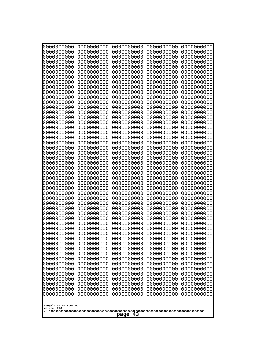| 000000000<br>0000000000               | 0000000000<br>0000000000 | 0000000000<br>0000000000 | 0000000000<br>0000000000 | 0000000000<br>0000000000 |
|---------------------------------------|--------------------------|--------------------------|--------------------------|--------------------------|
| 0000000000<br>0000000000              | 0000000000<br>0000000000 | 0000000000<br>0000000000 | 0000000000<br>0000000000 | 0000000000<br>0000000000 |
| 0000000000                            | 0000000000               | 0000000000               | 0000000000               | 0000000000               |
| 0000000000<br>0000000000              | 0000000000<br>0000000000 | 0000000000<br>0000000000 | 0000000000<br>0000000000 | 0000000000<br>0000000000 |
| 0000000000                            | 0000000000               | 0000000000               | 0000000000               | 0000000000               |
| 0000000000<br>0000000000              | 0000000000<br>0000000000 | 0000000000<br>0000000000 | 0000000000<br>0000000000 | 0000000000<br>0000000000 |
| 0000000000                            | 0000000000               | 0000000000               | 0000000000               | 0000000000               |
| 0000000000                            | 0000000000               | 0000000000               | 0000000000               | 0000000000               |
| 0000000000<br>0000000000              | 0000000000<br>0000000000 | 0000000000<br>0000000000 | 0000000000<br>0000000000 | 0000000000<br>0000000000 |
| 0000000000                            | 0000000000               | 0000000000               | 0000000000               | 0000000000               |
| 0000000000<br>0000000000              | 0000000000<br>0000000000 | 0000000000<br>0000000000 | 0000000000<br>0000000000 | 0000000000<br>0000000000 |
| 0000000000                            | 0000000000               | 0000000000               | 0000000000               | 0000000000               |
| 0000000000<br>0000000000              | 0000000000<br>0000000000 | 0000000000<br>0000000000 | 0000000000<br>0000000000 | 0000000000<br>0000000000 |
| 0000000000                            | 0000000000               | 0000000000               | 0000000000               | 0000000000               |
| 0000000000                            | 0000000000               | 0000000000               | 0000000000               | 0000000000               |
| 0000000000<br>0000000000              | 0000000000<br>0000000000 | 0000000000<br>0000000000 | 0000000000<br>0000000000 | 0000000000<br>0000000000 |
| 0000000000                            | 0000000000               | 0000000000               | 0000000000               | 0000000000               |
| 0000000000<br>0000000000              | 0000000000<br>0000000000 | 0000000000<br>0000000000 | 0000000000<br>0000000000 | 0000000000<br>0000000000 |
| 0000000000                            | 0000000000               | 0000000000               | 0000000000               | 0000000000               |
| 0000000000<br>0000000000              | 0000000000<br>0000000000 | 0000000000<br>0000000000 | 0000000000<br>0000000000 | 0000000000<br>0000000000 |
| 0000000000                            | 0000000000               | 0000000000               | 0000000000               | 0000000000               |
| 0000000000                            | 0000000000               | 0000000000               | 0000000000               | 0000000000               |
| 0000000000<br>0000000000              | 0000000000<br>0000000000 | 0000000000<br>0000000000 | 0000000000<br>0000000000 | 0000000000<br>0000000000 |
| 0000000000                            | 0000000000               | 0000000000               | 0000000000               | 0000000000               |
| 0000000000<br>0000000000              | 0000000000<br>0000000000 | 0000000000<br>0000000000 | 0000000000<br>0000000000 | 0000000000<br>0000000000 |
| 0000000000                            | 0000000000               | 0000000000               | 0000000000               | 0000000000               |
| 0000000000<br>0000000000              | 0000000000<br>0000000000 | 0000000000<br>0000000000 | 0000000000<br>0000000000 | 0000000000<br>0000000000 |
| 0000000000                            | 0000000000               | 0000000000               | 0000000000               | 0000000000               |
| 0000000000<br>0000000000              | 0000000000<br>0000000000 | 0000000000<br>0000000000 | 0000000000<br>0000000000 | 0000000000<br>0000000000 |
| 0000000000                            | 0000000000               | 0000000000               | 0000000000               | 0000000000               |
| 0000000000                            | 0000000000               | 0000000000               | 0000000000               | 0000000000               |
| 0000000000<br>0000000000              | 0000000000<br>0000000000 | 0000000000<br>0000000000 | 0000000000<br>0000000000 | 0000000000<br>0000000000 |
| 0000000000                            | 0000000000               | 0000000000               | 0000000000               | 0000000000               |
| 0000000000<br>0000000000              | 0000000000<br>0000000000 | 0000000000<br>0000000000 | 0000000000<br>0000000000 | 0000000000<br>0000000000 |
|                                       |                          |                          |                          |                          |
| Googolplex Written Out<br>volume 1720 |                          |                          |                          |                          |
| 43<br>page                            |                          |                          |                          |                          |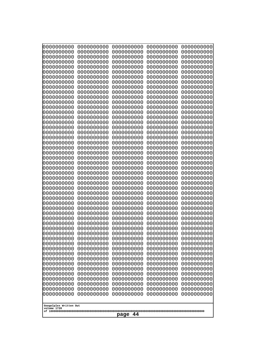| 0000000000                                                                                                                                                                                                                  | 0000000000                                                                                                                                                                         | 0000000000                                                                                                                                                                                       | 0000000000                                                                                                                                                                         | 0000000000                                                                                                                                                                         |
|-----------------------------------------------------------------------------------------------------------------------------------------------------------------------------------------------------------------------------|------------------------------------------------------------------------------------------------------------------------------------------------------------------------------------|--------------------------------------------------------------------------------------------------------------------------------------------------------------------------------------------------|------------------------------------------------------------------------------------------------------------------------------------------------------------------------------------|------------------------------------------------------------------------------------------------------------------------------------------------------------------------------------|
| 0000000000                                                                                                                                                                                                                  | 0000000000                                                                                                                                                                         | 0000000000                                                                                                                                                                                       | 0000000000                                                                                                                                                                         | 0000000000                                                                                                                                                                         |
| 1000000000                                                                                                                                                                                                                  | 0000000000                                                                                                                                                                         | 0000000000                                                                                                                                                                                       | 0000000000                                                                                                                                                                         | 0000000000                                                                                                                                                                         |
| 0000000000                                                                                                                                                                                                                  | 0000000000                                                                                                                                                                         | 0000000000                                                                                                                                                                                       | 0000000000                                                                                                                                                                         | 0000000000                                                                                                                                                                         |
| 0000000000                                                                                                                                                                                                                  | 0000000000                                                                                                                                                                         | 0000000000                                                                                                                                                                                       | 0000000000                                                                                                                                                                         | 0000000000                                                                                                                                                                         |
| 1000000000                                                                                                                                                                                                                  | 0000000000                                                                                                                                                                         | 0000000000                                                                                                                                                                                       | 0000000000                                                                                                                                                                         | 0000000000                                                                                                                                                                         |
| 0000000000                                                                                                                                                                                                                  | 0000000000                                                                                                                                                                         | 0000000000                                                                                                                                                                                       | 0000000000                                                                                                                                                                         | 0000000000                                                                                                                                                                         |
| 0000000000                                                                                                                                                                                                                  | 0000000000                                                                                                                                                                         | 0000000000                                                                                                                                                                                       | 0000000000                                                                                                                                                                         | 0000000000                                                                                                                                                                         |
| 0000000000                                                                                                                                                                                                                  | 0000000000                                                                                                                                                                         | 0000000000                                                                                                                                                                                       | 0000000000                                                                                                                                                                         | 0000000000                                                                                                                                                                         |
| 1000000000                                                                                                                                                                                                                  | 0000000000                                                                                                                                                                         | 0000000000                                                                                                                                                                                       | 0000000000                                                                                                                                                                         | 0000000000                                                                                                                                                                         |
| 0000000000                                                                                                                                                                                                                  | 0000000000                                                                                                                                                                         | 0000000000                                                                                                                                                                                       | 0000000000                                                                                                                                                                         | 0000000000                                                                                                                                                                         |
| 0000000000                                                                                                                                                                                                                  | 0000000000                                                                                                                                                                         | 0000000000                                                                                                                                                                                       | 0000000000                                                                                                                                                                         | 0000000000                                                                                                                                                                         |
| 0000000000                                                                                                                                                                                                                  | 0000000000                                                                                                                                                                         | 0000000000                                                                                                                                                                                       | 0000000000                                                                                                                                                                         | 0000000000                                                                                                                                                                         |
| 0000000000                                                                                                                                                                                                                  | 0000000000                                                                                                                                                                         | 0000000000                                                                                                                                                                                       | 0000000000                                                                                                                                                                         | 0000000000                                                                                                                                                                         |
| 0000000000                                                                                                                                                                                                                  | 0000000000                                                                                                                                                                         | 0000000000                                                                                                                                                                                       | 0000000000                                                                                                                                                                         | 0000000000                                                                                                                                                                         |
| 0000000000                                                                                                                                                                                                                  | 0000000000                                                                                                                                                                         | 0000000000                                                                                                                                                                                       | 0000000000                                                                                                                                                                         | 0000000000                                                                                                                                                                         |
| 0000000000                                                                                                                                                                                                                  | 0000000000                                                                                                                                                                         | 0000000000                                                                                                                                                                                       | 0000000000                                                                                                                                                                         | 0000000000                                                                                                                                                                         |
| 0000000000                                                                                                                                                                                                                  | 0000000000                                                                                                                                                                         | 0000000000                                                                                                                                                                                       | 0000000000                                                                                                                                                                         | 0000000000                                                                                                                                                                         |
| 0000000000                                                                                                                                                                                                                  | 0000000000                                                                                                                                                                         | 0000000000                                                                                                                                                                                       | 0000000000                                                                                                                                                                         | 0000000000                                                                                                                                                                         |
| 0000000000                                                                                                                                                                                                                  | 0000000000                                                                                                                                                                         | 0000000000                                                                                                                                                                                       | 0000000000                                                                                                                                                                         | 0000000000                                                                                                                                                                         |
| 0000000000                                                                                                                                                                                                                  | 0000000000                                                                                                                                                                         | 0000000000                                                                                                                                                                                       | 0000000000                                                                                                                                                                         | 0000000000                                                                                                                                                                         |
| 0000000000                                                                                                                                                                                                                  | 0000000000                                                                                                                                                                         | 0000000000                                                                                                                                                                                       | 0000000000                                                                                                                                                                         | 0000000000                                                                                                                                                                         |
| 0000000000                                                                                                                                                                                                                  | 0000000000                                                                                                                                                                         | 0000000000                                                                                                                                                                                       | 0000000000                                                                                                                                                                         | 0000000000                                                                                                                                                                         |
| 0000000000                                                                                                                                                                                                                  | 0000000000                                                                                                                                                                         | 0000000000                                                                                                                                                                                       | 0000000000                                                                                                                                                                         | 0000000000                                                                                                                                                                         |
| 0000000000                                                                                                                                                                                                                  | 0000000000                                                                                                                                                                         | 0000000000                                                                                                                                                                                       | 0000000000                                                                                                                                                                         | 0000000000                                                                                                                                                                         |
| 0000000000                                                                                                                                                                                                                  | 0000000000                                                                                                                                                                         | 0000000000                                                                                                                                                                                       | 0000000000                                                                                                                                                                         | 0000000000                                                                                                                                                                         |
| 0000000000                                                                                                                                                                                                                  | 0000000000                                                                                                                                                                         | 0000000000                                                                                                                                                                                       | 0000000000                                                                                                                                                                         | 0000000000                                                                                                                                                                         |
| 0000000000                                                                                                                                                                                                                  | 0000000000                                                                                                                                                                         | 0000000000                                                                                                                                                                                       | 0000000000                                                                                                                                                                         | 0000000000                                                                                                                                                                         |
| 0000000000                                                                                                                                                                                                                  | 0000000000                                                                                                                                                                         | 0000000000                                                                                                                                                                                       | 0000000000                                                                                                                                                                         | 0000000000                                                                                                                                                                         |
| 0000000000                                                                                                                                                                                                                  | 0000000000                                                                                                                                                                         | 0000000000                                                                                                                                                                                       | 0000000000                                                                                                                                                                         | 0000000000                                                                                                                                                                         |
| 0000000000                                                                                                                                                                                                                  | 0000000000                                                                                                                                                                         | 0000000000                                                                                                                                                                                       | 0000000000                                                                                                                                                                         | 0000000000                                                                                                                                                                         |
| 0000000000                                                                                                                                                                                                                  | 0000000000                                                                                                                                                                         | 0000000000                                                                                                                                                                                       | 0000000000                                                                                                                                                                         | 0000000000                                                                                                                                                                         |
| 0000000000                                                                                                                                                                                                                  | 0000000000                                                                                                                                                                         | 0000000000                                                                                                                                                                                       | 0000000000                                                                                                                                                                         | 0000000000                                                                                                                                                                         |
| 0000000000                                                                                                                                                                                                                  | 0000000000                                                                                                                                                                         | 0000000000                                                                                                                                                                                       | 0000000000                                                                                                                                                                         | 0000000000                                                                                                                                                                         |
| 0000000000                                                                                                                                                                                                                  | 0000000000                                                                                                                                                                         | 0000000000                                                                                                                                                                                       | 0000000000                                                                                                                                                                         | 0000000000                                                                                                                                                                         |
| 0000000000<br>0000000000<br>0000000000<br>0000000000<br>0000000000<br>0000000000<br>0000000000<br>0000000000<br>0000000000<br>0000000000<br>0000000000<br>0000000000<br>0000000000<br>Googolplex Written Out<br>volume 1720 | 0000000000<br>0000000000<br>0000000000<br>0000000000<br>0000000000<br>0000000000<br>0000000000<br>0000000000<br>0000000000<br>0000000000<br>0000000000<br>0000000000<br>0000000000 | 0000000000<br>0000000000<br>0000000000<br>0000000000<br>0000000000<br>0000000000<br>0000000000<br>0000000000<br>0000000000<br>0000000000<br>0000000000<br>0000000000<br>0000000000<br>44<br>page | 0000000000<br>0000000000<br>0000000000<br>0000000000<br>0000000000<br>0000000000<br>0000000000<br>0000000000<br>0000000000<br>0000000000<br>0000000000<br>0000000000<br>0000000000 | 0000000000<br>0000000000<br>0000000000<br>0000000000<br>0000000000<br>0000000000<br>0000000000<br>0000000000<br>0000000000<br>0000000000<br>0000000000<br>0000000000<br>0000000000 |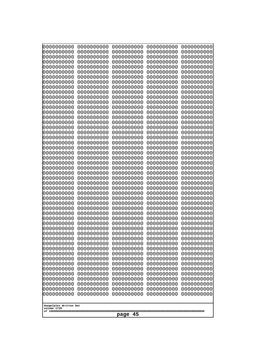| 0000000000<br>0000000000<br>0000000000<br>0000000000<br>0000000000<br>0000000000<br>0000000000<br>0000000000<br>0000000000<br>0000000000<br>0000000000<br>0000000000<br>0000000000<br>0000000000<br>0000000000<br>0000000000<br>0000000000<br>0000000000<br>0000000000<br>0000000000<br>0000000000<br>0000000000<br>0000000000<br>0000000000<br>0000000000<br>0000000000<br>0000000000<br>0000000000<br>0000000000<br>0000000000<br>0000000000<br>0000000000<br>0000000000<br>0000000000<br>0000000000<br>0000000000<br>0000000000<br>10000000000<br>0000000000<br>0000000000<br>0000000000<br>0000000000<br>0000000000<br>0000000000<br>0000000000<br>0000000000<br>0000000000<br>0000000000<br>0000000000<br>0000000000 | 0000000000<br>0000000000<br>0000000000<br>0000000000<br>0000000000<br>0000000000<br>0000000000<br>0000000000<br>0000000000<br>0000000000<br>0000000000<br>0000000000<br>0000000000<br>0000000000<br>0000000000<br>0000000000<br>0000000000<br>0000000000<br>0000000000<br>0000000000<br>0000000000<br>0000000000<br>0000000000<br>0000000000<br>0000000000<br>0000000000<br>0000000000<br>0000000000<br>0000000000<br>0000000000<br>0000000000<br>0000000000<br>0000000000<br>0000000000<br>0000000000<br>0000000000<br>0000000000<br>0000000000<br>0000000000<br>0000000000<br>0000000000<br>0000000000<br>0000000000<br>0000000000<br>0000000000<br>0000000000<br>0000000000<br>0000000000<br>0000000000<br>0000000000 | 0000000000<br>0000000000<br>0000000000<br>0000000000<br>0000000000<br>0000000000<br>0000000000<br>0000000000<br>0000000000<br>0000000000<br>0000000000<br>0000000000<br>0000000000<br>0000000000<br>0000000000<br>0000000000<br>0000000000<br>0000000000<br>0000000000<br>0000000000<br>0000000000<br>0000000000<br>0000000000<br>0000000000<br>0000000000<br>0000000000<br>0000000000<br>0000000000<br>0000000000<br>0000000000<br>0000000000<br>0000000000<br>0000000000<br>0000000000<br>0000000000<br>0000000000<br>0000000000<br>0000000000<br>0000000000<br>0000000000<br>0000000000<br>0000000000<br>0000000000<br>0000000000<br>0000000000<br>0000000000<br>0000000000<br>0000000000<br>0000000000<br>0000000000 | 0000000000<br>0000000000<br>0000000000<br>0000000000<br>0000000000<br>0000000000<br>0000000000<br>0000000000<br>0000000000<br>0000000000<br>0000000000<br>0000000000<br>0000000000<br>0000000000<br>0000000000<br>0000000000<br>0000000000<br>0000000000<br>0000000000<br>0000000000<br>0000000000<br>0000000000<br>0000000000<br>0000000000<br>0000000000<br>0000000000<br>0000000000<br>0000000000<br>0000000000<br>0000000000<br>0000000000<br>0000000000<br>0000000000<br>0000000000<br>0000000000<br>0000000000<br>0000000000<br>0000000000<br>0000000000<br>0000000000<br>0000000000<br>0000000000<br>0000000000<br>0000000000<br>0000000000<br>0000000000<br>0000000000<br>0000000000<br>0000000000<br>0000000000 | 0000000000<br>0000000000<br>0000000000<br>0000000000<br>0000000000<br>0000000000<br>0000000000<br>0000000000<br>0000000000<br>0000000000<br>0000000000<br>0000000000<br>0000000000<br>0000000000<br>0000000000<br>0000000000<br>0000000000<br>0000000000<br>0000000000<br>0000000000<br>0000000000<br>0000000000<br>0000000000<br>0000000000<br>0000000000<br>0000000000<br>0000000000<br>0000000000<br>0000000000<br>0000000000<br>0000000000<br>0000000000<br>0000000000<br>0000000000<br>0000000000<br>0000000000<br>0000000000<br>0000000000<br>0000000000<br>0000000000<br>0000000000<br>0000000000<br>0000000000<br>0000000000<br>0000000000<br>0000000000<br>0000000000<br>0000000000<br>0000000000<br>0000000000 |
|---------------------------------------------------------------------------------------------------------------------------------------------------------------------------------------------------------------------------------------------------------------------------------------------------------------------------------------------------------------------------------------------------------------------------------------------------------------------------------------------------------------------------------------------------------------------------------------------------------------------------------------------------------------------------------------------------------------------------|--------------------------------------------------------------------------------------------------------------------------------------------------------------------------------------------------------------------------------------------------------------------------------------------------------------------------------------------------------------------------------------------------------------------------------------------------------------------------------------------------------------------------------------------------------------------------------------------------------------------------------------------------------------------------------------------------------------------------|--------------------------------------------------------------------------------------------------------------------------------------------------------------------------------------------------------------------------------------------------------------------------------------------------------------------------------------------------------------------------------------------------------------------------------------------------------------------------------------------------------------------------------------------------------------------------------------------------------------------------------------------------------------------------------------------------------------------------|--------------------------------------------------------------------------------------------------------------------------------------------------------------------------------------------------------------------------------------------------------------------------------------------------------------------------------------------------------------------------------------------------------------------------------------------------------------------------------------------------------------------------------------------------------------------------------------------------------------------------------------------------------------------------------------------------------------------------|--------------------------------------------------------------------------------------------------------------------------------------------------------------------------------------------------------------------------------------------------------------------------------------------------------------------------------------------------------------------------------------------------------------------------------------------------------------------------------------------------------------------------------------------------------------------------------------------------------------------------------------------------------------------------------------------------------------------------|
| Googolplex Written Out<br>volume 1720                                                                                                                                                                                                                                                                                                                                                                                                                                                                                                                                                                                                                                                                                     |                                                                                                                                                                                                                                                                                                                                                                                                                                                                                                                                                                                                                                                                                                                          |                                                                                                                                                                                                                                                                                                                                                                                                                                                                                                                                                                                                                                                                                                                          |                                                                                                                                                                                                                                                                                                                                                                                                                                                                                                                                                                                                                                                                                                                          |                                                                                                                                                                                                                                                                                                                                                                                                                                                                                                                                                                                                                                                                                                                          |
| 45<br>page                                                                                                                                                                                                                                                                                                                                                                                                                                                                                                                                                                                                                                                                                                                |                                                                                                                                                                                                                                                                                                                                                                                                                                                                                                                                                                                                                                                                                                                          |                                                                                                                                                                                                                                                                                                                                                                                                                                                                                                                                                                                                                                                                                                                          |                                                                                                                                                                                                                                                                                                                                                                                                                                                                                                                                                                                                                                                                                                                          |                                                                                                                                                                                                                                                                                                                                                                                                                                                                                                                                                                                                                                                                                                                          |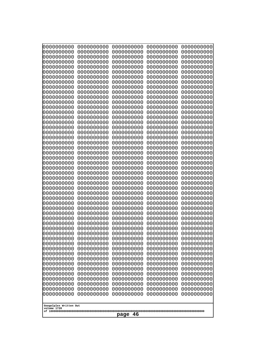| 000000000<br>0000000000  | 0000000000<br>0000000000 | 0000000000<br>0000000000 | 0000000000<br>0000000000 | 0000000000<br>0000000000 |
|--------------------------|--------------------------|--------------------------|--------------------------|--------------------------|
| 0000000000<br>0000000000 | 0000000000<br>0000000000 | 0000000000<br>0000000000 | 0000000000<br>0000000000 | 0000000000<br>0000000000 |
| 0000000000               | 0000000000               | 0000000000               | 0000000000               | 0000000000               |
| 0000000000<br>0000000000 | 0000000000<br>0000000000 | 0000000000<br>0000000000 | 0000000000<br>0000000000 | 0000000000<br>0000000000 |
| 0000000000               | 0000000000               | 0000000000               | 0000000000               | 0000000000               |
| 0000000000<br>0000000000 | 0000000000<br>0000000000 | 0000000000<br>0000000000 | 0000000000<br>0000000000 | 0000000000<br>0000000000 |
| 0000000000               | 0000000000               | 0000000000               | 0000000000               | 0000000000               |
| 0000000000               | 0000000000               | 0000000000               | 0000000000               | 0000000000               |
| 0000000000<br>0000000000 | 0000000000<br>0000000000 | 0000000000<br>0000000000 | 0000000000<br>0000000000 | 0000000000<br>0000000000 |
| 0000000000               | 0000000000               | 0000000000               | 0000000000               | 0000000000               |
| 0000000000<br>0000000000 | 0000000000<br>0000000000 | 0000000000<br>0000000000 | 0000000000<br>0000000000 | 0000000000<br>0000000000 |
| 0000000000               | 0000000000               | 0000000000               | 0000000000               | 0000000000               |
| 0000000000<br>0000000000 | 0000000000<br>0000000000 | 0000000000<br>0000000000 | 0000000000<br>0000000000 | 0000000000<br>0000000000 |
| 0000000000               | 0000000000               | 0000000000               | 0000000000               | 0000000000               |
| 0000000000<br>0000000000 | 0000000000<br>0000000000 | 0000000000<br>0000000000 | 0000000000<br>0000000000 | 0000000000<br>0000000000 |
| 0000000000               | 0000000000               | 0000000000               | 0000000000               | 0000000000               |
| 0000000000<br>0000000000 | 0000000000<br>0000000000 | 0000000000<br>0000000000 | 0000000000<br>0000000000 | 0000000000<br>0000000000 |
| 0000000000               | 0000000000               | 0000000000               | 0000000000               | 0000000000               |
| 0000000000               | 0000000000               | 0000000000               | 0000000000               | 0000000000               |
| 0000000000<br>0000000000 | 0000000000<br>0000000000 | 0000000000<br>0000000000 | 0000000000<br>0000000000 | 0000000000<br>0000000000 |
| 0000000000               | 0000000000               | 0000000000               | 0000000000               | 0000000000               |
| 0000000000<br>0000000000 | 0000000000<br>0000000000 | 0000000000<br>0000000000 | 0000000000<br>0000000000 | 0000000000<br>0000000000 |
| 0000000000               | 0000000000               | 0000000000               | 0000000000               | 0000000000               |
| 0000000000<br>0000000000 | 0000000000<br>0000000000 | 0000000000<br>0000000000 | 0000000000<br>0000000000 | 0000000000<br>0000000000 |
| 0000000000               | 0000000000               | 0000000000               | 0000000000               | 0000000000               |
| 0000000000<br>0000000000 | 0000000000<br>0000000000 | 0000000000<br>0000000000 | 0000000000<br>0000000000 | 0000000000<br>0000000000 |
| 0000000000               | 0000000000               | 0000000000               | 0000000000               | 0000000000               |
| 0000000000               | 0000000000               | 0000000000               | 0000000000<br>0000000000 | 0000000000               |
| 0000000000<br>0000000000 | 0000000000<br>0000000000 | 0000000000<br>0000000000 | 0000000000               | 0000000000<br>0000000000 |
| 0000000000               | 0000000000               | 0000000000               | 0000000000               | 0000000000               |
| 0000000000<br>0000000000 | 0000000000<br>0000000000 | 0000000000<br>0000000000 | 0000000000<br>0000000000 | 0000000000<br>0000000000 |
| 0000000000               | 0000000000               | 0000000000               | 0000000000               | 0000000000               |
| 0000000000<br>0000000000 | 0000000000<br>0000000000 | 0000000000<br>0000000000 | 0000000000<br>0000000000 | 0000000000<br>0000000000 |
| 0000000000               | 0000000000               | 0000000000               | 0000000000               | 0000000000               |
| Googolplex Written Out   |                          |                          |                          |                          |
| volume 1720              |                          |                          |                          |                          |
| 46<br>page               |                          |                          |                          |                          |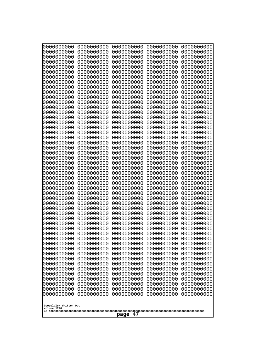| 0000000000                                          | 0000000000 | 0000000000 | 0000000000 | 0000000000 |
|-----------------------------------------------------|------------|------------|------------|------------|
| 0000000000                                          | 0000000000 | 0000000000 | 0000000000 | 0000000000 |
| 0000000000                                          | 0000000000 | 0000000000 | 0000000000 | 0000000000 |
| 0000000000                                          | 0000000000 | 0000000000 | 0000000000 | 0000000000 |
| 0000000000                                          | 0000000000 | 0000000000 | 0000000000 | 0000000000 |
| 0000000000                                          | 0000000000 | 0000000000 | 0000000000 | 0000000000 |
| 0000000000                                          | 0000000000 | 0000000000 | 0000000000 | 0000000000 |
| 0000000000                                          | 0000000000 | 0000000000 | 0000000000 | 0000000000 |
| 0000000000                                          | 0000000000 | 0000000000 | 0000000000 | 0000000000 |
| 0000000000                                          | 0000000000 | 0000000000 | 0000000000 | 0000000000 |
| 0000000000                                          | 0000000000 | 0000000000 | 0000000000 | 0000000000 |
| 0000000000                                          | 0000000000 | 0000000000 | 0000000000 | 0000000000 |
| 0000000000                                          | 0000000000 | 0000000000 | 0000000000 | 0000000000 |
| 0000000000                                          | 0000000000 | 0000000000 | 0000000000 | 0000000000 |
| 0000000000                                          | 0000000000 | 0000000000 | 0000000000 | 0000000000 |
| 0000000000                                          | 0000000000 | 0000000000 | 0000000000 | 0000000000 |
| 0000000000                                          | 0000000000 | 0000000000 | 0000000000 | 0000000000 |
| 0000000000                                          | 0000000000 | 0000000000 | 0000000000 | 0000000000 |
| 0000000000                                          | 0000000000 | 0000000000 | 0000000000 | 0000000000 |
| 0000000000                                          | 0000000000 | 0000000000 | 0000000000 | 0000000000 |
| 0000000000                                          | 0000000000 | 0000000000 | 0000000000 | 0000000000 |
| 0000000000                                          | 0000000000 | 0000000000 | 0000000000 | 0000000000 |
| 0000000000                                          | 0000000000 | 0000000000 | 0000000000 | 0000000000 |
| 0000000000                                          | 0000000000 | 0000000000 | 0000000000 | 0000000000 |
| 0000000000                                          | 0000000000 | 0000000000 | 0000000000 | 0000000000 |
| 0000000000                                          | 0000000000 | 0000000000 | 0000000000 | 0000000000 |
| 0000000000                                          | 0000000000 | 0000000000 | 0000000000 | 0000000000 |
| 0000000000                                          | 0000000000 | 0000000000 | 0000000000 | 0000000000 |
| 0000000000                                          | 0000000000 | 0000000000 | 0000000000 | 0000000000 |
| 0000000000                                          | 0000000000 | 0000000000 | 0000000000 | 0000000000 |
| 0000000000                                          | 0000000000 | 0000000000 | 0000000000 | 0000000000 |
| 0000000000                                          | 0000000000 | 0000000000 | 0000000000 | 0000000000 |
| 0000000000                                          | 0000000000 | 0000000000 | 0000000000 | 0000000000 |
| 0000000000                                          | 0000000000 | 0000000000 | 0000000000 | 0000000000 |
| 0000000000                                          | 0000000000 | 0000000000 | 0000000000 | 0000000000 |
| 0000000000                                          | 0000000000 | 0000000000 | 0000000000 | 0000000000 |
| 0000000000                                          | 0000000000 | 0000000000 | 0000000000 | 0000000000 |
| 0000000000                                          | 0000000000 | 0000000000 | 0000000000 | 0000000000 |
| 0000000000                                          | 0000000000 | 0000000000 | 0000000000 | 0000000000 |
| 0000000000                                          | 0000000000 | 0000000000 | 0000000000 | 0000000000 |
| 0000000000                                          | 0000000000 | 0000000000 | 0000000000 | 0000000000 |
| 0000000000                                          | 0000000000 | 0000000000 | 0000000000 | 0000000000 |
| 0000000000                                          | 0000000000 | 0000000000 | 0000000000 | 0000000000 |
| 0000000000                                          | 0000000000 | 0000000000 | 0000000000 | 0000000000 |
| 0000000000                                          | 0000000000 | 0000000000 | 0000000000 | 0000000000 |
|                                                     |            |            |            |            |
| 0000000000                                          | 0000000000 | 0000000000 | 0000000000 | 0000000000 |
| 0000000000                                          | 0000000000 | 0000000000 | 0000000000 | 0000000000 |
| 0000000000                                          | 0000000000 | 0000000000 | 0000000000 | 0000000000 |
| 0000000000                                          | 0000000000 | 0000000000 | 0000000000 | 0000000000 |
| 0000000000                                          | 0000000000 | 0000000000 | 0000000000 | 0000000000 |
| Googolplex Written Out<br>volume 1720<br>47<br>page |            |            |            |            |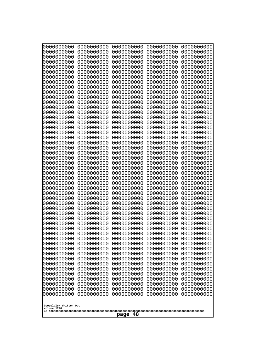| 0000000000                                           | 0000000000 | 0000000000 | 0000000000 | 0000000000 |
|------------------------------------------------------|------------|------------|------------|------------|
| 0000000000                                           | 0000000000 | 0000000000 | 0000000000 | 0000000000 |
| 0000000000                                           | 0000000000 | 0000000000 | 0000000000 | 0000000000 |
| 0000000000                                           | 0000000000 | 0000000000 | 0000000000 | 0000000000 |
| 0000000000                                           | 0000000000 | 0000000000 | 0000000000 | 0000000000 |
| 0000000000                                           | 0000000000 | 0000000000 | 0000000000 | 0000000000 |
| 0000000000                                           | 0000000000 | 0000000000 | 0000000000 | 0000000000 |
| 0000000000                                           | 0000000000 | 0000000000 | 0000000000 | 0000000000 |
| 0000000000                                           | 0000000000 | 0000000000 | 0000000000 | 0000000000 |
| 0000000000                                           | 0000000000 | 0000000000 | 0000000000 | 0000000000 |
| 0000000000                                           | 0000000000 | 0000000000 | 0000000000 | 0000000000 |
| 0000000000                                           | 0000000000 | 0000000000 | 0000000000 | 0000000000 |
| 0000000000                                           | 0000000000 | 0000000000 | 0000000000 | 0000000000 |
| 0000000000                                           | 0000000000 | 0000000000 | 0000000000 | 0000000000 |
| 0000000000                                           | 0000000000 | 0000000000 | 0000000000 | 0000000000 |
| 0000000000                                           | 0000000000 | 0000000000 | 0000000000 | 0000000000 |
| 0000000000                                           | 0000000000 | 0000000000 | 0000000000 | 0000000000 |
| 0000000000                                           | 0000000000 | 0000000000 | 0000000000 | 0000000000 |
| 0000000000                                           | 0000000000 | 0000000000 | 0000000000 | 0000000000 |
| 0000000000                                           | 0000000000 | 0000000000 | 0000000000 | 0000000000 |
| 0000000000                                           | 0000000000 | 0000000000 | 0000000000 | 0000000000 |
| 0000000000                                           | 0000000000 | 0000000000 | 0000000000 | 0000000000 |
| 0000000000                                           | 0000000000 | 0000000000 | 0000000000 | 0000000000 |
| 0000000000                                           | 0000000000 | 0000000000 | 0000000000 | 0000000000 |
| 0000000000                                           | 0000000000 | 0000000000 | 0000000000 | 0000000000 |
| 0000000000                                           | 0000000000 | 0000000000 | 0000000000 | 0000000000 |
| 0000000000                                           | 0000000000 | 0000000000 | 0000000000 | 0000000000 |
| 0000000000                                           | 0000000000 | 0000000000 | 0000000000 | 0000000000 |
| 0000000000                                           | 0000000000 | 0000000000 | 0000000000 | 0000000000 |
| 0000000000                                           | 0000000000 | 0000000000 | 0000000000 | 0000000000 |
| 0000000000                                           | 0000000000 | 0000000000 | 0000000000 | 0000000000 |
| 0000000000                                           | 0000000000 | 0000000000 | 0000000000 | 0000000000 |
| 0000000000                                           | 0000000000 | 0000000000 | 0000000000 | 0000000000 |
| 0000000000                                           | 0000000000 | 0000000000 | 0000000000 | 0000000000 |
| 0000000000                                           | 0000000000 | 0000000000 | 0000000000 | 0000000000 |
| 0000000000                                           | 0000000000 | 0000000000 | 0000000000 | 0000000000 |
| 0000000000                                           | 0000000000 | 0000000000 | 0000000000 | 0000000000 |
| 0000000000                                           | 0000000000 | 0000000000 | 0000000000 | 0000000000 |
| 0000000000                                           | 0000000000 | 0000000000 | 0000000000 | 0000000000 |
| 0000000000                                           | 0000000000 | 0000000000 | 0000000000 | 0000000000 |
| 0000000000                                           | 0000000000 | 0000000000 | 0000000000 | 0000000000 |
| 0000000000                                           | 0000000000 | 0000000000 | 0000000000 | 0000000000 |
| 0000000000                                           | 0000000000 | 0000000000 | 0000000000 | 0000000000 |
| 0000000000                                           | 0000000000 | 0000000000 | 0000000000 | 0000000000 |
| 0000000000                                           | 0000000000 | 0000000000 | 0000000000 | 0000000000 |
| 0000000000                                           | 0000000000 | 0000000000 | 0000000000 | 0000000000 |
| 0000000000                                           | 0000000000 | 0000000000 | 0000000000 | 0000000000 |
| 0000000000                                           | 0000000000 | 0000000000 | 0000000000 | 0000000000 |
| 0000000000                                           | 0000000000 | 0000000000 | 0000000000 | 0000000000 |
| 0000000000                                           | 0000000000 | 0000000000 | 0000000000 | 0000000000 |
| Googolplex Written Out<br>volume 1720<br>-48<br>page |            |            |            |            |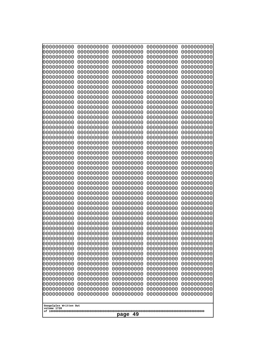| 0000000000<br>0000000000<br>0000000000<br>0000000000<br>0000000000<br>0000000000<br>0000000000<br>0000000000<br>0000000000<br>0000000000<br>0000000000<br>0000000000<br>0000000000<br>0000000000<br>0000000000<br>0000000000<br>0000000000<br>0000000000<br>0000000000<br>0000000000<br>0000000000<br>0000000000<br>0000000000<br>0000000000<br>0000000000<br>0000000000<br>0000000000<br>0000000000<br>0000000000<br>0000000000<br>0000000000<br>0000000000<br>0000000000<br>0000000000<br>0000000000<br>0000000000<br>0000000000<br>10000000000<br>0000000000<br>0000000000<br>0000000000<br>0000000000<br>0000000000<br>0000000000<br>0000000000<br>0000000000<br>0000000000<br>0000000000<br>0000000000<br>0000000000 | 0000000000<br>0000000000<br>0000000000<br>0000000000<br>0000000000<br>0000000000<br>0000000000<br>0000000000<br>0000000000<br>0000000000<br>0000000000<br>0000000000<br>0000000000<br>0000000000<br>0000000000<br>0000000000<br>0000000000<br>0000000000<br>0000000000<br>0000000000<br>0000000000<br>0000000000<br>0000000000<br>0000000000<br>0000000000<br>0000000000<br>0000000000<br>0000000000<br>0000000000<br>0000000000<br>0000000000<br>0000000000<br>0000000000<br>0000000000<br>0000000000<br>0000000000<br>0000000000<br>0000000000<br>0000000000<br>0000000000<br>0000000000<br>0000000000<br>0000000000<br>0000000000<br>0000000000<br>0000000000<br>0000000000<br>0000000000<br>0000000000<br>0000000000 | 0000000000<br>0000000000<br>0000000000<br>0000000000<br>0000000000<br>0000000000<br>0000000000<br>0000000000<br>0000000000<br>0000000000<br>0000000000<br>0000000000<br>0000000000<br>0000000000<br>0000000000<br>0000000000<br>0000000000<br>0000000000<br>0000000000<br>0000000000<br>0000000000<br>0000000000<br>0000000000<br>0000000000<br>0000000000<br>0000000000<br>0000000000<br>0000000000<br>0000000000<br>0000000000<br>0000000000<br>0000000000<br>0000000000<br>0000000000<br>0000000000<br>0000000000<br>0000000000<br>0000000000<br>0000000000<br>0000000000<br>0000000000<br>0000000000<br>0000000000<br>0000000000<br>0000000000<br>0000000000<br>0000000000<br>0000000000<br>0000000000<br>0000000000 | 0000000000<br>0000000000<br>0000000000<br>0000000000<br>0000000000<br>0000000000<br>0000000000<br>0000000000<br>0000000000<br>0000000000<br>0000000000<br>0000000000<br>0000000000<br>0000000000<br>0000000000<br>0000000000<br>0000000000<br>0000000000<br>0000000000<br>0000000000<br>0000000000<br>0000000000<br>0000000000<br>0000000000<br>0000000000<br>0000000000<br>0000000000<br>0000000000<br>0000000000<br>0000000000<br>0000000000<br>0000000000<br>0000000000<br>0000000000<br>0000000000<br>0000000000<br>0000000000<br>0000000000<br>0000000000<br>0000000000<br>0000000000<br>0000000000<br>0000000000<br>0000000000<br>0000000000<br>0000000000<br>0000000000<br>0000000000<br>0000000000<br>0000000000 | 0000000000<br>0000000000<br>0000000000<br>0000000000<br>0000000000<br>0000000000<br>0000000000<br>0000000000<br>0000000000<br>0000000000<br>0000000000<br>0000000000<br>0000000000<br>0000000000<br>0000000000<br>0000000000<br>0000000000<br>0000000000<br>0000000000<br>0000000000<br>0000000000<br>0000000000<br>0000000000<br>0000000000<br>0000000000<br>0000000000<br>0000000000<br>0000000000<br>0000000000<br>0000000000<br>0000000000<br>0000000000<br>0000000000<br>0000000000<br>0000000000<br>0000000000<br>0000000000<br>0000000000<br>0000000000<br>0000000000<br>0000000000<br>0000000000<br>0000000000<br>0000000000<br>0000000000<br>0000000000<br>0000000000<br>0000000000<br>0000000000<br>0000000000 |
|---------------------------------------------------------------------------------------------------------------------------------------------------------------------------------------------------------------------------------------------------------------------------------------------------------------------------------------------------------------------------------------------------------------------------------------------------------------------------------------------------------------------------------------------------------------------------------------------------------------------------------------------------------------------------------------------------------------------------|--------------------------------------------------------------------------------------------------------------------------------------------------------------------------------------------------------------------------------------------------------------------------------------------------------------------------------------------------------------------------------------------------------------------------------------------------------------------------------------------------------------------------------------------------------------------------------------------------------------------------------------------------------------------------------------------------------------------------|--------------------------------------------------------------------------------------------------------------------------------------------------------------------------------------------------------------------------------------------------------------------------------------------------------------------------------------------------------------------------------------------------------------------------------------------------------------------------------------------------------------------------------------------------------------------------------------------------------------------------------------------------------------------------------------------------------------------------|--------------------------------------------------------------------------------------------------------------------------------------------------------------------------------------------------------------------------------------------------------------------------------------------------------------------------------------------------------------------------------------------------------------------------------------------------------------------------------------------------------------------------------------------------------------------------------------------------------------------------------------------------------------------------------------------------------------------------|--------------------------------------------------------------------------------------------------------------------------------------------------------------------------------------------------------------------------------------------------------------------------------------------------------------------------------------------------------------------------------------------------------------------------------------------------------------------------------------------------------------------------------------------------------------------------------------------------------------------------------------------------------------------------------------------------------------------------|
| Googolplex Written Out<br>volume 1720                                                                                                                                                                                                                                                                                                                                                                                                                                                                                                                                                                                                                                                                                     |                                                                                                                                                                                                                                                                                                                                                                                                                                                                                                                                                                                                                                                                                                                          |                                                                                                                                                                                                                                                                                                                                                                                                                                                                                                                                                                                                                                                                                                                          |                                                                                                                                                                                                                                                                                                                                                                                                                                                                                                                                                                                                                                                                                                                          |                                                                                                                                                                                                                                                                                                                                                                                                                                                                                                                                                                                                                                                                                                                          |
| 49<br>page                                                                                                                                                                                                                                                                                                                                                                                                                                                                                                                                                                                                                                                                                                                |                                                                                                                                                                                                                                                                                                                                                                                                                                                                                                                                                                                                                                                                                                                          |                                                                                                                                                                                                                                                                                                                                                                                                                                                                                                                                                                                                                                                                                                                          |                                                                                                                                                                                                                                                                                                                                                                                                                                                                                                                                                                                                                                                                                                                          |                                                                                                                                                                                                                                                                                                                                                                                                                                                                                                                                                                                                                                                                                                                          |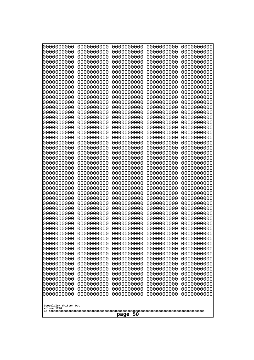| 000000000<br>0000000000  | 0000000000<br>0000000000 | 0000000000<br>0000000000 | 0000000000<br>0000000000 | 0000000000<br>0000000000 |
|--------------------------|--------------------------|--------------------------|--------------------------|--------------------------|
| 0000000000               | 0000000000               | 0000000000               | 0000000000               | 0000000000               |
| 0000000000<br>0000000000 | 0000000000<br>0000000000 | 0000000000<br>0000000000 | 0000000000<br>0000000000 | 0000000000<br>0000000000 |
| 0000000000               | 0000000000               | 0000000000               | 0000000000               | 0000000000               |
| 0000000000               | 0000000000               | 0000000000               | 0000000000               | 0000000000               |
| 0000000000<br>0000000000 | 0000000000<br>0000000000 | 0000000000<br>0000000000 | 0000000000<br>0000000000 | 0000000000<br>0000000000 |
| 0000000000               | 0000000000               | 0000000000               | 0000000000               | 0000000000               |
| 0000000000               | 0000000000               | 0000000000               | 0000000000               | 0000000000               |
| 0000000000<br>0000000000 | 0000000000<br>0000000000 | 0000000000<br>0000000000 | 0000000000<br>0000000000 | 0000000000<br>0000000000 |
| 0000000000               | 0000000000               | 0000000000               | 0000000000               | 0000000000               |
| 0000000000<br>0000000000 | 0000000000<br>0000000000 | 0000000000<br>0000000000 | 0000000000<br>0000000000 | 0000000000<br>0000000000 |
| 0000000000               | 0000000000               | 0000000000               | 0000000000               | 0000000000               |
| 0000000000               | 0000000000               | 0000000000               | 0000000000               | 0000000000               |
| 0000000000<br>0000000000 | 0000000000<br>0000000000 | 0000000000<br>0000000000 | 0000000000<br>0000000000 | 0000000000<br>0000000000 |
| 0000000000               | 0000000000               | 0000000000               | 0000000000               | 0000000000               |
| 0000000000<br>0000000000 | 0000000000<br>0000000000 | 0000000000<br>0000000000 | 0000000000<br>0000000000 | 0000000000<br>0000000000 |
| 0000000000               | 0000000000               | 0000000000               | 0000000000               | 0000000000               |
| 0000000000               | 0000000000               | 0000000000               | 0000000000               | 0000000000               |
| 0000000000<br>0000000000 | 0000000000<br>0000000000 | 0000000000<br>0000000000 | 0000000000<br>0000000000 | 0000000000<br>0000000000 |
| 0000000000               | 0000000000               | 0000000000               | 0000000000               | 0000000000               |
| 0000000000<br>0000000000 | 0000000000<br>0000000000 | 0000000000<br>0000000000 | 0000000000<br>0000000000 | 0000000000<br>0000000000 |
| 0000000000               | 0000000000               | 0000000000               | 0000000000               | 0000000000               |
| 0000000000               | 0000000000               | 0000000000               | 0000000000               | 0000000000               |
| 0000000000<br>0000000000 | 0000000000<br>0000000000 | 0000000000<br>0000000000 | 0000000000<br>0000000000 | 0000000000<br>0000000000 |
| 0000000000               | 0000000000               | 0000000000               | 0000000000               | 0000000000               |
| 0000000000<br>0000000000 | 0000000000<br>0000000000 | 0000000000<br>0000000000 | 0000000000<br>0000000000 | 0000000000<br>0000000000 |
| 0000000000               | 0000000000               | 0000000000               | 0000000000               | 0000000000               |
| 0000000000               | 0000000000               | 0000000000               | 0000000000               | 0000000000               |
| 0000000000<br>0000000000 | 0000000000<br>0000000000 | 0000000000<br>0000000000 | 0000000000<br>0000000000 | 0000000000<br>0000000000 |
| 0000000000               | 0000000000               | 0000000000               | 0000000000               | 0000000000               |
| 0000000000<br>0000000000 | 0000000000<br>0000000000 | 0000000000<br>0000000000 | 0000000000<br>0000000000 | 0000000000<br>0000000000 |
| 0000000000               | 0000000000               | 0000000000               | 0000000000               | 0000000000               |
| 0000000000<br>0000000000 | 0000000000<br>0000000000 | 0000000000<br>0000000000 | 0000000000<br>0000000000 | 0000000000<br>0000000000 |
| 0000000000               | 0000000000               | 0000000000               | 0000000000               | 0000000000               |
| 0000000000               | 0000000000               | 0000000000               | 0000000000               | 0000000000               |
| 0000000000               | 0000000000               | 0000000000               | 0000000000               | 0000000000               |
| Googolplex Written Out   |                          |                          |                          |                          |
| volume 1720              |                          | page<br>-50              |                          |                          |
|                          |                          |                          |                          |                          |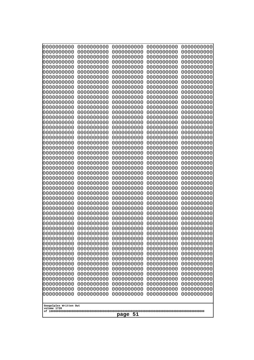| 000000000<br>0000000000  | 0000000000<br>0000000000 | 0000000000<br>0000000000 | 0000000000<br>0000000000 | 0000000000<br>0000000000 |
|--------------------------|--------------------------|--------------------------|--------------------------|--------------------------|
| 0000000000<br>0000000000 | 0000000000<br>0000000000 | 0000000000<br>0000000000 | 0000000000<br>0000000000 | 0000000000<br>0000000000 |
| 0000000000               | 0000000000               | 0000000000               | 0000000000               | 0000000000               |
| 0000000000<br>0000000000 | 0000000000<br>0000000000 | 0000000000<br>0000000000 | 0000000000<br>0000000000 | 0000000000<br>0000000000 |
| 0000000000               | 0000000000               | 0000000000               | 0000000000               | 0000000000               |
| 0000000000<br>0000000000 | 0000000000<br>0000000000 | 0000000000<br>0000000000 | 0000000000<br>0000000000 | 0000000000<br>0000000000 |
| 0000000000               | 0000000000               | 0000000000               | 0000000000               | 0000000000               |
| 0000000000<br>0000000000 | 0000000000<br>0000000000 | 0000000000<br>0000000000 | 0000000000<br>0000000000 | 0000000000<br>0000000000 |
| 0000000000               | 0000000000               | 0000000000               | 0000000000               | 0000000000               |
| 0000000000<br>0000000000 | 0000000000<br>0000000000 | 0000000000<br>0000000000 | 0000000000<br>0000000000 | 0000000000<br>0000000000 |
| 0000000000               | 0000000000               | 0000000000               | 0000000000               | 0000000000               |
| 0000000000<br>0000000000 | 0000000000<br>0000000000 | 0000000000<br>0000000000 | 0000000000<br>0000000000 | 0000000000<br>0000000000 |
| 0000000000               | 0000000000               | 0000000000               | 0000000000               | 0000000000               |
| 0000000000<br>0000000000 | 0000000000<br>0000000000 | 0000000000<br>0000000000 | 0000000000<br>0000000000 | 0000000000<br>0000000000 |
| 0000000000               | 0000000000               | 0000000000               | 0000000000               | 0000000000               |
| 0000000000<br>0000000000 | 0000000000<br>0000000000 | 0000000000<br>0000000000 | 0000000000<br>0000000000 | 0000000000<br>0000000000 |
| 0000000000               | 0000000000               | 0000000000               | 0000000000               | 0000000000               |
| 0000000000<br>0000000000 | 0000000000<br>0000000000 | 0000000000<br>0000000000 | 0000000000<br>0000000000 | 0000000000<br>0000000000 |
| 0000000000               | 0000000000               | 0000000000               | 0000000000               | 0000000000               |
| 0000000000<br>0000000000 | 0000000000<br>0000000000 | 0000000000<br>0000000000 | 0000000000<br>0000000000 | 0000000000<br>0000000000 |
| 0000000000               | 0000000000               | 0000000000               | 0000000000               | 0000000000               |
| 0000000000<br>0000000000 | 0000000000<br>0000000000 | 0000000000<br>0000000000 | 0000000000<br>0000000000 | 0000000000<br>0000000000 |
| 0000000000               | 0000000000               | 0000000000               | 0000000000               | 0000000000               |
| 0000000000<br>0000000000 | 0000000000<br>0000000000 | 0000000000<br>0000000000 | 0000000000<br>0000000000 | 0000000000<br>0000000000 |
| 0000000000               | 0000000000               | 0000000000               | 0000000000               | 0000000000               |
| 0000000000<br>0000000000 | 0000000000<br>0000000000 | 0000000000<br>0000000000 | 0000000000<br>0000000000 | 0000000000<br>0000000000 |
| 0000000000               | 0000000000               | 0000000000               | 0000000000               | 0000000000               |
| 0000000000<br>0000000000 | 0000000000<br>0000000000 | 0000000000<br>0000000000 | 0000000000<br>0000000000 | 0000000000<br>0000000000 |
| 0000000000               | 0000000000               | 0000000000               | 0000000000               | 0000000000               |
| 0000000000<br>0000000000 | 0000000000<br>0000000000 | 0000000000<br>0000000000 | 0000000000<br>0000000000 | 0000000000<br>0000000000 |
| 0000000000               | 0000000000               | 0000000000               | 0000000000               | 0000000000               |
| 0000000000<br>0000000000 | 0000000000<br>0000000000 | 0000000000<br>0000000000 | 0000000000<br>0000000000 | 0000000000<br>0000000000 |
| 0000000000               | 0000000000               | 0000000000               | 0000000000               | 0000000000               |
| Googolplex Written Out   |                          |                          |                          |                          |
| volume 1720              |                          | page 51                  |                          |                          |
|                          |                          |                          |                          |                          |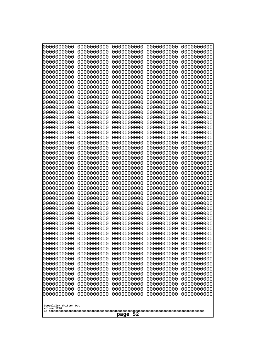| 0000000000<br>0000000000<br>0000000000<br>0000000000<br>0000000000<br>0000000000<br>0000000000<br>0000000000<br>0000000000<br>0000000000<br>0000000000<br>0000000000<br>0000000000<br>0000000000<br>0000000000<br>0000000000<br>0000000000<br>0000000000<br>0000000000<br>0000000000<br>0000000000<br>0000000000<br>0000000000<br>0000000000<br>0000000000<br>0000000000<br>0000000000<br>0000000000<br>0000000000<br>0000000000<br>0000000000<br>0000000000<br>0000000000<br>0000000000<br>0000000000<br>0000000000<br>0000000000<br>10000000000<br>0000000000<br>0000000000<br>0000000000<br>0000000000<br>0000000000<br>0000000000<br>0000000000<br>0000000000<br>0000000000<br>0000000000<br>0000000000<br>0000000000 | 0000000000<br>0000000000<br>0000000000<br>0000000000<br>0000000000<br>0000000000<br>0000000000<br>0000000000<br>0000000000<br>0000000000<br>0000000000<br>0000000000<br>0000000000<br>0000000000<br>0000000000<br>0000000000<br>0000000000<br>0000000000<br>0000000000<br>0000000000<br>0000000000<br>0000000000<br>0000000000<br>0000000000<br>0000000000<br>0000000000<br>0000000000<br>0000000000<br>0000000000<br>0000000000<br>0000000000<br>0000000000<br>0000000000<br>0000000000<br>0000000000<br>0000000000<br>0000000000<br>0000000000<br>0000000000<br>0000000000<br>0000000000<br>0000000000<br>0000000000<br>0000000000<br>0000000000<br>0000000000<br>0000000000<br>0000000000<br>0000000000<br>0000000000 | 0000000000<br>0000000000<br>0000000000<br>0000000000<br>0000000000<br>0000000000<br>0000000000<br>0000000000<br>0000000000<br>0000000000<br>0000000000<br>0000000000<br>0000000000<br>0000000000<br>0000000000<br>0000000000<br>0000000000<br>0000000000<br>0000000000<br>0000000000<br>0000000000<br>0000000000<br>0000000000<br>0000000000<br>0000000000<br>0000000000<br>0000000000<br>0000000000<br>0000000000<br>0000000000<br>0000000000<br>0000000000<br>0000000000<br>0000000000<br>0000000000<br>0000000000<br>0000000000<br>0000000000<br>0000000000<br>0000000000<br>0000000000<br>0000000000<br>0000000000<br>0000000000<br>0000000000<br>0000000000<br>0000000000<br>0000000000<br>0000000000<br>0000000000 | 0000000000<br>0000000000<br>0000000000<br>0000000000<br>0000000000<br>0000000000<br>0000000000<br>0000000000<br>0000000000<br>0000000000<br>0000000000<br>0000000000<br>0000000000<br>0000000000<br>0000000000<br>0000000000<br>0000000000<br>0000000000<br>0000000000<br>0000000000<br>0000000000<br>0000000000<br>0000000000<br>0000000000<br>0000000000<br>0000000000<br>0000000000<br>0000000000<br>0000000000<br>0000000000<br>0000000000<br>0000000000<br>0000000000<br>0000000000<br>0000000000<br>0000000000<br>0000000000<br>0000000000<br>0000000000<br>0000000000<br>0000000000<br>0000000000<br>0000000000<br>0000000000<br>0000000000<br>0000000000<br>0000000000<br>0000000000<br>0000000000<br>0000000000 | 0000000000<br>0000000000<br>0000000000<br>0000000000<br>0000000000<br>0000000000<br>0000000000<br>0000000000<br>0000000000<br>0000000000<br>0000000000<br>0000000000<br>0000000000<br>0000000000<br>0000000000<br>0000000000<br>0000000000<br>0000000000<br>0000000000<br>0000000000<br>0000000000<br>0000000000<br>0000000000<br>0000000000<br>0000000000<br>0000000000<br>0000000000<br>0000000000<br>0000000000<br>0000000000<br>0000000000<br>0000000000<br>0000000000<br>0000000000<br>0000000000<br>0000000000<br>0000000000<br>0000000000<br>0000000000<br>0000000000<br>0000000000<br>0000000000<br>0000000000<br>0000000000<br>0000000000<br>0000000000<br>0000000000<br>0000000000<br>0000000000<br>0000000000 |
|---------------------------------------------------------------------------------------------------------------------------------------------------------------------------------------------------------------------------------------------------------------------------------------------------------------------------------------------------------------------------------------------------------------------------------------------------------------------------------------------------------------------------------------------------------------------------------------------------------------------------------------------------------------------------------------------------------------------------|--------------------------------------------------------------------------------------------------------------------------------------------------------------------------------------------------------------------------------------------------------------------------------------------------------------------------------------------------------------------------------------------------------------------------------------------------------------------------------------------------------------------------------------------------------------------------------------------------------------------------------------------------------------------------------------------------------------------------|--------------------------------------------------------------------------------------------------------------------------------------------------------------------------------------------------------------------------------------------------------------------------------------------------------------------------------------------------------------------------------------------------------------------------------------------------------------------------------------------------------------------------------------------------------------------------------------------------------------------------------------------------------------------------------------------------------------------------|--------------------------------------------------------------------------------------------------------------------------------------------------------------------------------------------------------------------------------------------------------------------------------------------------------------------------------------------------------------------------------------------------------------------------------------------------------------------------------------------------------------------------------------------------------------------------------------------------------------------------------------------------------------------------------------------------------------------------|--------------------------------------------------------------------------------------------------------------------------------------------------------------------------------------------------------------------------------------------------------------------------------------------------------------------------------------------------------------------------------------------------------------------------------------------------------------------------------------------------------------------------------------------------------------------------------------------------------------------------------------------------------------------------------------------------------------------------|
| Googolplex Written Out<br>volume 1720                                                                                                                                                                                                                                                                                                                                                                                                                                                                                                                                                                                                                                                                                     |                                                                                                                                                                                                                                                                                                                                                                                                                                                                                                                                                                                                                                                                                                                          |                                                                                                                                                                                                                                                                                                                                                                                                                                                                                                                                                                                                                                                                                                                          |                                                                                                                                                                                                                                                                                                                                                                                                                                                                                                                                                                                                                                                                                                                          |                                                                                                                                                                                                                                                                                                                                                                                                                                                                                                                                                                                                                                                                                                                          |
| 52<br>page                                                                                                                                                                                                                                                                                                                                                                                                                                                                                                                                                                                                                                                                                                                |                                                                                                                                                                                                                                                                                                                                                                                                                                                                                                                                                                                                                                                                                                                          |                                                                                                                                                                                                                                                                                                                                                                                                                                                                                                                                                                                                                                                                                                                          |                                                                                                                                                                                                                                                                                                                                                                                                                                                                                                                                                                                                                                                                                                                          |                                                                                                                                                                                                                                                                                                                                                                                                                                                                                                                                                                                                                                                                                                                          |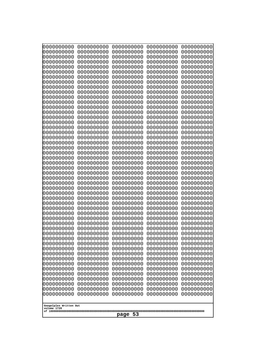| 0000000000<br>0000000000<br>0000000000<br>0000000000<br>0000000000<br>0000000000<br>0000000000<br>0000000000<br>0000000000<br>0000000000<br>0000000000<br>0000000000<br>0000000000<br>0000000000<br>0000000000<br>0000000000<br>0000000000<br>0000000000<br>0000000000<br>0000000000<br>0000000000<br>0000000000<br>0000000000<br>0000000000<br>0000000000<br>0000000000<br>0000000000<br>0000000000<br>0000000000<br>0000000000<br>0000000000<br>0000000000<br>0000000000<br>0000000000<br>0000000000<br>0000000000<br>0000000000<br>10000000000<br>0000000000<br>0000000000<br>0000000000<br>0000000000<br>0000000000<br>0000000000<br>0000000000<br>0000000000<br>0000000000<br>0000000000<br>0000000000<br>0000000000 | 0000000000<br>0000000000<br>0000000000<br>0000000000<br>0000000000<br>0000000000<br>0000000000<br>0000000000<br>0000000000<br>0000000000<br>0000000000<br>0000000000<br>0000000000<br>0000000000<br>0000000000<br>0000000000<br>0000000000<br>0000000000<br>0000000000<br>0000000000<br>0000000000<br>0000000000<br>0000000000<br>0000000000<br>0000000000<br>0000000000<br>0000000000<br>0000000000<br>0000000000<br>0000000000<br>0000000000<br>0000000000<br>0000000000<br>0000000000<br>0000000000<br>0000000000<br>0000000000<br>0000000000<br>0000000000<br>0000000000<br>0000000000<br>0000000000<br>0000000000<br>0000000000<br>0000000000<br>0000000000<br>0000000000<br>0000000000<br>0000000000<br>0000000000 | 0000000000<br>0000000000<br>0000000000<br>0000000000<br>0000000000<br>0000000000<br>0000000000<br>0000000000<br>0000000000<br>0000000000<br>0000000000<br>0000000000<br>0000000000<br>0000000000<br>0000000000<br>0000000000<br>0000000000<br>0000000000<br>0000000000<br>0000000000<br>0000000000<br>0000000000<br>0000000000<br>0000000000<br>0000000000<br>0000000000<br>0000000000<br>0000000000<br>0000000000<br>0000000000<br>0000000000<br>0000000000<br>0000000000<br>0000000000<br>0000000000<br>0000000000<br>0000000000<br>0000000000<br>0000000000<br>0000000000<br>0000000000<br>0000000000<br>0000000000<br>0000000000<br>0000000000<br>0000000000<br>0000000000<br>0000000000<br>0000000000<br>0000000000 | 0000000000<br>0000000000<br>0000000000<br>0000000000<br>0000000000<br>0000000000<br>0000000000<br>0000000000<br>0000000000<br>0000000000<br>0000000000<br>0000000000<br>0000000000<br>0000000000<br>0000000000<br>0000000000<br>0000000000<br>0000000000<br>0000000000<br>0000000000<br>0000000000<br>0000000000<br>0000000000<br>0000000000<br>0000000000<br>0000000000<br>0000000000<br>0000000000<br>0000000000<br>0000000000<br>0000000000<br>0000000000<br>0000000000<br>0000000000<br>0000000000<br>0000000000<br>0000000000<br>0000000000<br>0000000000<br>0000000000<br>0000000000<br>0000000000<br>0000000000<br>0000000000<br>0000000000<br>0000000000<br>0000000000<br>0000000000<br>0000000000<br>0000000000 | 0000000000<br>0000000000<br>0000000000<br>0000000000<br>0000000000<br>0000000000<br>0000000000<br>0000000000<br>0000000000<br>0000000000<br>0000000000<br>0000000000<br>0000000000<br>0000000000<br>0000000000<br>0000000000<br>0000000000<br>0000000000<br>0000000000<br>0000000000<br>0000000000<br>0000000000<br>0000000000<br>0000000000<br>0000000000<br>0000000000<br>0000000000<br>0000000000<br>0000000000<br>0000000000<br>0000000000<br>0000000000<br>0000000000<br>0000000000<br>0000000000<br>0000000000<br>0000000000<br>0000000000<br>0000000000<br>0000000000<br>0000000000<br>0000000000<br>0000000000<br>0000000000<br>0000000000<br>0000000000<br>0000000000<br>0000000000<br>0000000000<br>0000000000 |
|---------------------------------------------------------------------------------------------------------------------------------------------------------------------------------------------------------------------------------------------------------------------------------------------------------------------------------------------------------------------------------------------------------------------------------------------------------------------------------------------------------------------------------------------------------------------------------------------------------------------------------------------------------------------------------------------------------------------------|--------------------------------------------------------------------------------------------------------------------------------------------------------------------------------------------------------------------------------------------------------------------------------------------------------------------------------------------------------------------------------------------------------------------------------------------------------------------------------------------------------------------------------------------------------------------------------------------------------------------------------------------------------------------------------------------------------------------------|--------------------------------------------------------------------------------------------------------------------------------------------------------------------------------------------------------------------------------------------------------------------------------------------------------------------------------------------------------------------------------------------------------------------------------------------------------------------------------------------------------------------------------------------------------------------------------------------------------------------------------------------------------------------------------------------------------------------------|--------------------------------------------------------------------------------------------------------------------------------------------------------------------------------------------------------------------------------------------------------------------------------------------------------------------------------------------------------------------------------------------------------------------------------------------------------------------------------------------------------------------------------------------------------------------------------------------------------------------------------------------------------------------------------------------------------------------------|--------------------------------------------------------------------------------------------------------------------------------------------------------------------------------------------------------------------------------------------------------------------------------------------------------------------------------------------------------------------------------------------------------------------------------------------------------------------------------------------------------------------------------------------------------------------------------------------------------------------------------------------------------------------------------------------------------------------------|
| Googolplex Written Out<br>volume 1720                                                                                                                                                                                                                                                                                                                                                                                                                                                                                                                                                                                                                                                                                     |                                                                                                                                                                                                                                                                                                                                                                                                                                                                                                                                                                                                                                                                                                                          |                                                                                                                                                                                                                                                                                                                                                                                                                                                                                                                                                                                                                                                                                                                          |                                                                                                                                                                                                                                                                                                                                                                                                                                                                                                                                                                                                                                                                                                                          |                                                                                                                                                                                                                                                                                                                                                                                                                                                                                                                                                                                                                                                                                                                          |
| 53<br>page                                                                                                                                                                                                                                                                                                                                                                                                                                                                                                                                                                                                                                                                                                                |                                                                                                                                                                                                                                                                                                                                                                                                                                                                                                                                                                                                                                                                                                                          |                                                                                                                                                                                                                                                                                                                                                                                                                                                                                                                                                                                                                                                                                                                          |                                                                                                                                                                                                                                                                                                                                                                                                                                                                                                                                                                                                                                                                                                                          |                                                                                                                                                                                                                                                                                                                                                                                                                                                                                                                                                                                                                                                                                                                          |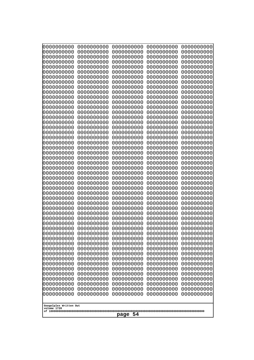| 0000000000                                       | 0000000000 | 0000000000 | 0000000000 | 0000000000 |
|--------------------------------------------------|------------|------------|------------|------------|
| 0000000000                                       | 0000000000 | 0000000000 | 0000000000 | 0000000000 |
| 0000000000                                       | 0000000000 | 0000000000 | 0000000000 | 0000000000 |
| 0000000000                                       | 0000000000 | 0000000000 | 0000000000 | 0000000000 |
| 0000000000                                       | 0000000000 | 0000000000 | 0000000000 | 0000000000 |
| 0000000000                                       | 0000000000 | 0000000000 | 0000000000 | 0000000000 |
| 0000000000                                       | 0000000000 | 0000000000 | 0000000000 | 0000000000 |
| 0000000000                                       | 0000000000 | 0000000000 | 0000000000 | 0000000000 |
| 0000000000                                       | 0000000000 | 0000000000 | 0000000000 | 0000000000 |
| 0000000000                                       | 0000000000 | 0000000000 | 0000000000 | 0000000000 |
| 0000000000                                       | 0000000000 | 0000000000 | 0000000000 | 0000000000 |
| 0000000000                                       | 0000000000 | 0000000000 | 0000000000 | 0000000000 |
| 0000000000                                       | 0000000000 | 0000000000 | 0000000000 | 0000000000 |
| 0000000000                                       | 0000000000 | 0000000000 | 0000000000 | 0000000000 |
| 0000000000                                       | 0000000000 | 0000000000 | 0000000000 | 0000000000 |
| 0000000000                                       | 0000000000 | 0000000000 | 0000000000 | 0000000000 |
| 0000000000                                       | 0000000000 | 0000000000 | 0000000000 | 0000000000 |
| 0000000000                                       | 0000000000 | 0000000000 | 0000000000 | 0000000000 |
| 0000000000                                       | 0000000000 | 0000000000 | 0000000000 | 0000000000 |
| 0000000000                                       | 0000000000 | 0000000000 | 0000000000 | 0000000000 |
| 0000000000                                       | 0000000000 | 0000000000 | 0000000000 | 0000000000 |
| 0000000000                                       | 0000000000 | 0000000000 | 0000000000 | 0000000000 |
| 0000000000                                       | 0000000000 | 0000000000 | 0000000000 | 0000000000 |
| 0000000000                                       | 0000000000 | 0000000000 | 0000000000 | 0000000000 |
| 0000000000                                       | 0000000000 | 0000000000 | 0000000000 | 0000000000 |
| 0000000000                                       | 0000000000 | 0000000000 | 0000000000 | 0000000000 |
| 0000000000                                       | 0000000000 | 0000000000 | 0000000000 | 0000000000 |
| 0000000000                                       | 0000000000 | 0000000000 | 0000000000 | 0000000000 |
| 0000000000                                       | 0000000000 | 0000000000 | 0000000000 | 0000000000 |
| 0000000000                                       | 0000000000 | 0000000000 | 0000000000 | 0000000000 |
| 0000000000                                       | 0000000000 | 0000000000 | 0000000000 | 0000000000 |
| 0000000000                                       | 0000000000 | 0000000000 | 0000000000 | 0000000000 |
| 0000000000                                       | 0000000000 | 0000000000 | 0000000000 | 0000000000 |
| 0000000000                                       | 0000000000 | 0000000000 | 0000000000 | 0000000000 |
| 0000000000                                       | 0000000000 | 0000000000 | 0000000000 | 0000000000 |
| 0000000000                                       | 0000000000 | 0000000000 | 0000000000 | 0000000000 |
| 0000000000                                       | 0000000000 | 0000000000 | 0000000000 | 0000000000 |
| 0000000000                                       | 0000000000 | 0000000000 | 0000000000 | 0000000000 |
| 0000000000                                       | 0000000000 | 0000000000 | 0000000000 | 0000000000 |
| 0000000000                                       | 0000000000 | 0000000000 | 0000000000 | 0000000000 |
| 0000000000                                       | 0000000000 | 0000000000 | 0000000000 | 0000000000 |
| 0000000000                                       | 0000000000 | 0000000000 | 0000000000 | 0000000000 |
| 0000000000                                       | 0000000000 | 0000000000 | 0000000000 | 0000000000 |
| 0000000000                                       | 0000000000 | 0000000000 | 0000000000 | 0000000000 |
| 0000000000                                       | 0000000000 | 0000000000 | 0000000000 | 0000000000 |
| 0000000000                                       | 0000000000 | 0000000000 | 0000000000 | 0000000000 |
| 0000000000                                       | 0000000000 | 0000000000 | 0000000000 | 0000000000 |
| 0000000000                                       | 0000000000 | 0000000000 | 0000000000 | 0000000000 |
| 0000000000                                       | 0000000000 | 0000000000 | 0000000000 | 0000000000 |
| 0000000000                                       | 0000000000 | 0000000000 | 0000000000 | 0000000000 |
| Googolplex Written Out<br>volume 1720<br>page 54 |            |            |            |            |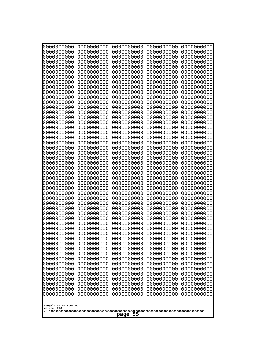| 0000000000                                       | 0000000000 | 0000000000 | 0000000000 | 0000000000 |
|--------------------------------------------------|------------|------------|------------|------------|
| 0000000000                                       | 0000000000 | 0000000000 | 0000000000 | 0000000000 |
| 0000000000                                       | 0000000000 | 0000000000 | 0000000000 | 0000000000 |
| 0000000000                                       | 0000000000 | 0000000000 | 0000000000 | 0000000000 |
| 0000000000                                       | 0000000000 | 0000000000 | 0000000000 | 0000000000 |
| 0000000000                                       | 0000000000 | 0000000000 | 0000000000 | 0000000000 |
| 0000000000                                       | 0000000000 | 0000000000 | 0000000000 | 0000000000 |
| 0000000000                                       | 0000000000 | 0000000000 | 0000000000 | 0000000000 |
| 0000000000                                       | 0000000000 | 0000000000 | 0000000000 | 0000000000 |
| 0000000000                                       | 0000000000 | 0000000000 | 0000000000 | 0000000000 |
| 0000000000                                       | 0000000000 | 0000000000 | 0000000000 | 0000000000 |
| 0000000000                                       | 0000000000 | 0000000000 | 0000000000 | 0000000000 |
| 0000000000                                       | 0000000000 | 0000000000 | 0000000000 | 0000000000 |
| 0000000000                                       | 0000000000 | 0000000000 | 0000000000 | 0000000000 |
| 0000000000                                       | 0000000000 | 0000000000 | 0000000000 | 0000000000 |
| 0000000000                                       | 0000000000 | 0000000000 | 0000000000 | 0000000000 |
| 0000000000                                       | 0000000000 | 0000000000 | 0000000000 | 0000000000 |
| 0000000000                                       | 0000000000 | 0000000000 | 0000000000 | 0000000000 |
| 0000000000                                       | 0000000000 | 0000000000 | 0000000000 | 0000000000 |
| 0000000000                                       | 0000000000 | 0000000000 | 0000000000 | 0000000000 |
| 0000000000                                       | 0000000000 | 0000000000 | 0000000000 | 0000000000 |
| 0000000000                                       | 0000000000 | 0000000000 | 0000000000 | 0000000000 |
| 0000000000                                       | 0000000000 | 0000000000 | 0000000000 | 0000000000 |
| 0000000000                                       | 0000000000 | 0000000000 | 0000000000 | 0000000000 |
| 0000000000                                       | 0000000000 | 0000000000 | 0000000000 | 0000000000 |
| 0000000000                                       | 0000000000 | 0000000000 | 0000000000 | 0000000000 |
| 0000000000                                       | 0000000000 | 0000000000 | 0000000000 | 0000000000 |
| 0000000000                                       | 0000000000 | 0000000000 | 0000000000 | 0000000000 |
| 0000000000                                       | 0000000000 | 0000000000 | 0000000000 | 0000000000 |
| 0000000000                                       | 0000000000 | 0000000000 | 0000000000 | 0000000000 |
| 0000000000                                       | 0000000000 | 0000000000 | 0000000000 | 0000000000 |
| 0000000000                                       | 0000000000 | 0000000000 | 0000000000 | 0000000000 |
| 0000000000                                       | 0000000000 | 0000000000 | 0000000000 | 0000000000 |
| 0000000000                                       | 0000000000 | 0000000000 | 0000000000 | 0000000000 |
| 0000000000                                       | 0000000000 | 0000000000 | 0000000000 | 0000000000 |
| 0000000000                                       | 0000000000 | 0000000000 | 0000000000 | 0000000000 |
| 0000000000                                       | 0000000000 | 0000000000 | 0000000000 | 0000000000 |
| 0000000000                                       | 0000000000 | 0000000000 | 0000000000 | 0000000000 |
| 0000000000                                       | 0000000000 | 0000000000 | 0000000000 | 0000000000 |
| 0000000000                                       | 0000000000 | 0000000000 | 0000000000 | 0000000000 |
| 0000000000                                       | 0000000000 | 0000000000 | 0000000000 | 0000000000 |
| 0000000000                                       | 0000000000 | 0000000000 | 0000000000 | 0000000000 |
| 0000000000                                       | 0000000000 | 0000000000 | 0000000000 | 0000000000 |
| 0000000000                                       | 0000000000 | 0000000000 | 0000000000 | 0000000000 |
| 0000000000                                       | 0000000000 | 0000000000 | 0000000000 | 0000000000 |
| 0000000000                                       | 0000000000 | 0000000000 | 0000000000 | 0000000000 |
| 0000000000                                       | 0000000000 | 0000000000 | 0000000000 | 0000000000 |
| 0000000000                                       | 0000000000 | 0000000000 | 0000000000 | 0000000000 |
| 0000000000                                       | 0000000000 | 0000000000 | 0000000000 | 0000000000 |
| 0000000000                                       | 0000000000 | 0000000000 | 0000000000 | 0000000000 |
| Googolplex Written Out<br>volume 1720<br>page 55 |            |            |            |            |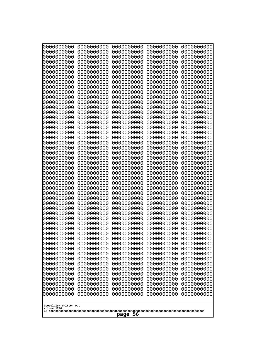| 0000000000<br>0000000000<br>0000000000<br>0000000000<br>0000000000<br>0000000000<br>0000000000<br>0000000000<br>0000000000<br>0000000000<br>0000000000<br>0000000000<br>0000000000<br>0000000000<br>0000000000<br>0000000000<br>0000000000<br>0000000000<br>0000000000<br>0000000000<br>0000000000<br>0000000000<br>0000000000<br>0000000000<br>0000000000<br>0000000000<br>0000000000<br>0000000000<br>0000000000<br>0000000000<br>0000000000<br>0000000000<br>0000000000<br>0000000000<br>0000000000<br>0000000000<br>0000000000<br>10000000000<br>0000000000<br>0000000000<br>0000000000<br>0000000000<br>0000000000<br>0000000000<br>0000000000<br>0000000000<br>0000000000<br>0000000000<br>0000000000<br>0000000000 | 0000000000<br>0000000000<br>0000000000<br>0000000000<br>0000000000<br>0000000000<br>0000000000<br>0000000000<br>0000000000<br>0000000000<br>0000000000<br>0000000000<br>0000000000<br>0000000000<br>0000000000<br>0000000000<br>0000000000<br>0000000000<br>0000000000<br>0000000000<br>0000000000<br>0000000000<br>0000000000<br>0000000000<br>0000000000<br>0000000000<br>0000000000<br>0000000000<br>0000000000<br>0000000000<br>0000000000<br>0000000000<br>0000000000<br>0000000000<br>0000000000<br>0000000000<br>0000000000<br>0000000000<br>0000000000<br>0000000000<br>0000000000<br>0000000000<br>0000000000<br>0000000000<br>0000000000<br>0000000000<br>0000000000<br>0000000000<br>0000000000<br>0000000000 | 0000000000<br>0000000000<br>0000000000<br>0000000000<br>0000000000<br>0000000000<br>0000000000<br>0000000000<br>0000000000<br>0000000000<br>0000000000<br>0000000000<br>0000000000<br>0000000000<br>0000000000<br>0000000000<br>0000000000<br>0000000000<br>0000000000<br>0000000000<br>0000000000<br>0000000000<br>0000000000<br>0000000000<br>0000000000<br>0000000000<br>0000000000<br>0000000000<br>0000000000<br>0000000000<br>0000000000<br>0000000000<br>0000000000<br>0000000000<br>0000000000<br>0000000000<br>0000000000<br>0000000000<br>0000000000<br>0000000000<br>0000000000<br>0000000000<br>0000000000<br>0000000000<br>0000000000<br>0000000000<br>0000000000<br>0000000000<br>0000000000<br>0000000000 | 0000000000<br>0000000000<br>0000000000<br>0000000000<br>0000000000<br>0000000000<br>0000000000<br>0000000000<br>0000000000<br>0000000000<br>0000000000<br>0000000000<br>0000000000<br>0000000000<br>0000000000<br>0000000000<br>0000000000<br>0000000000<br>0000000000<br>0000000000<br>0000000000<br>0000000000<br>0000000000<br>0000000000<br>0000000000<br>0000000000<br>0000000000<br>0000000000<br>0000000000<br>0000000000<br>0000000000<br>0000000000<br>0000000000<br>0000000000<br>0000000000<br>0000000000<br>0000000000<br>0000000000<br>0000000000<br>0000000000<br>0000000000<br>0000000000<br>0000000000<br>0000000000<br>0000000000<br>0000000000<br>0000000000<br>0000000000<br>0000000000<br>0000000000 | 0000000000<br>0000000000<br>0000000000<br>0000000000<br>0000000000<br>0000000000<br>0000000000<br>0000000000<br>0000000000<br>0000000000<br>0000000000<br>0000000000<br>0000000000<br>0000000000<br>0000000000<br>0000000000<br>0000000000<br>0000000000<br>0000000000<br>0000000000<br>0000000000<br>0000000000<br>0000000000<br>0000000000<br>0000000000<br>0000000000<br>0000000000<br>0000000000<br>0000000000<br>0000000000<br>0000000000<br>0000000000<br>0000000000<br>0000000000<br>0000000000<br>0000000000<br>0000000000<br>0000000000<br>0000000000<br>0000000000<br>0000000000<br>0000000000<br>0000000000<br>0000000000<br>0000000000<br>0000000000<br>0000000000<br>0000000000<br>0000000000<br>0000000000 |  |
|---------------------------------------------------------------------------------------------------------------------------------------------------------------------------------------------------------------------------------------------------------------------------------------------------------------------------------------------------------------------------------------------------------------------------------------------------------------------------------------------------------------------------------------------------------------------------------------------------------------------------------------------------------------------------------------------------------------------------|--------------------------------------------------------------------------------------------------------------------------------------------------------------------------------------------------------------------------------------------------------------------------------------------------------------------------------------------------------------------------------------------------------------------------------------------------------------------------------------------------------------------------------------------------------------------------------------------------------------------------------------------------------------------------------------------------------------------------|--------------------------------------------------------------------------------------------------------------------------------------------------------------------------------------------------------------------------------------------------------------------------------------------------------------------------------------------------------------------------------------------------------------------------------------------------------------------------------------------------------------------------------------------------------------------------------------------------------------------------------------------------------------------------------------------------------------------------|--------------------------------------------------------------------------------------------------------------------------------------------------------------------------------------------------------------------------------------------------------------------------------------------------------------------------------------------------------------------------------------------------------------------------------------------------------------------------------------------------------------------------------------------------------------------------------------------------------------------------------------------------------------------------------------------------------------------------|--------------------------------------------------------------------------------------------------------------------------------------------------------------------------------------------------------------------------------------------------------------------------------------------------------------------------------------------------------------------------------------------------------------------------------------------------------------------------------------------------------------------------------------------------------------------------------------------------------------------------------------------------------------------------------------------------------------------------|--|
| Googolplex Written Out                                                                                                                                                                                                                                                                                                                                                                                                                                                                                                                                                                                                                                                                                                    |                                                                                                                                                                                                                                                                                                                                                                                                                                                                                                                                                                                                                                                                                                                          |                                                                                                                                                                                                                                                                                                                                                                                                                                                                                                                                                                                                                                                                                                                          |                                                                                                                                                                                                                                                                                                                                                                                                                                                                                                                                                                                                                                                                                                                          |                                                                                                                                                                                                                                                                                                                                                                                                                                                                                                                                                                                                                                                                                                                          |  |
| volume 1720                                                                                                                                                                                                                                                                                                                                                                                                                                                                                                                                                                                                                                                                                                               | 56<br>page                                                                                                                                                                                                                                                                                                                                                                                                                                                                                                                                                                                                                                                                                                               |                                                                                                                                                                                                                                                                                                                                                                                                                                                                                                                                                                                                                                                                                                                          |                                                                                                                                                                                                                                                                                                                                                                                                                                                                                                                                                                                                                                                                                                                          |                                                                                                                                                                                                                                                                                                                                                                                                                                                                                                                                                                                                                                                                                                                          |  |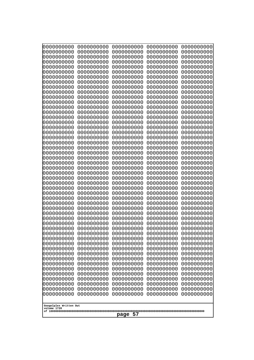| 0000000000                                          | 0000000000 | 0000000000 | 0000000000 | 0000000000 |
|-----------------------------------------------------|------------|------------|------------|------------|
| 0000000000                                          | 0000000000 | 0000000000 | 0000000000 | 0000000000 |
| 0000000000                                          | 0000000000 | 0000000000 | 0000000000 | 0000000000 |
| 0000000000                                          | 0000000000 | 0000000000 | 0000000000 | 0000000000 |
| 0000000000                                          | 0000000000 | 0000000000 | 0000000000 | 0000000000 |
| 0000000000                                          | 0000000000 | 0000000000 | 0000000000 | 0000000000 |
| 0000000000                                          | 0000000000 | 0000000000 | 0000000000 | 0000000000 |
| 0000000000                                          | 0000000000 | 0000000000 | 0000000000 | 0000000000 |
| 0000000000                                          | 0000000000 | 0000000000 | 0000000000 | 0000000000 |
| 0000000000                                          | 0000000000 | 0000000000 | 0000000000 | 0000000000 |
| 0000000000                                          | 0000000000 | 0000000000 | 0000000000 | 0000000000 |
| 0000000000                                          | 0000000000 | 0000000000 | 0000000000 | 0000000000 |
| 0000000000                                          | 0000000000 | 0000000000 | 0000000000 | 0000000000 |
| 0000000000                                          | 0000000000 | 0000000000 | 0000000000 | 0000000000 |
| 0000000000                                          | 0000000000 | 0000000000 | 0000000000 | 0000000000 |
| 0000000000                                          | 0000000000 | 0000000000 | 0000000000 | 0000000000 |
| 0000000000                                          | 0000000000 | 0000000000 | 0000000000 | 0000000000 |
| 0000000000                                          | 0000000000 | 0000000000 | 0000000000 | 0000000000 |
| 0000000000                                          | 0000000000 | 0000000000 | 0000000000 | 0000000000 |
| 0000000000                                          | 0000000000 | 0000000000 | 0000000000 | 0000000000 |
| 0000000000                                          | 0000000000 | 0000000000 | 0000000000 | 0000000000 |
| 0000000000                                          | 0000000000 | 0000000000 | 0000000000 | 0000000000 |
| 0000000000                                          | 0000000000 | 0000000000 | 0000000000 | 0000000000 |
| 0000000000                                          | 0000000000 | 0000000000 | 0000000000 | 0000000000 |
| 0000000000                                          | 0000000000 | 0000000000 | 0000000000 | 0000000000 |
| 0000000000                                          | 0000000000 | 0000000000 | 0000000000 | 0000000000 |
| 0000000000                                          | 0000000000 | 0000000000 | 0000000000 | 0000000000 |
| 0000000000                                          | 0000000000 | 0000000000 | 0000000000 | 0000000000 |
| 0000000000                                          | 0000000000 | 0000000000 | 0000000000 | 0000000000 |
| 0000000000                                          | 0000000000 | 0000000000 | 0000000000 | 0000000000 |
| 0000000000                                          | 0000000000 | 0000000000 | 0000000000 | 0000000000 |
| 0000000000                                          | 0000000000 | 0000000000 | 0000000000 | 0000000000 |
| 0000000000                                          | 0000000000 | 0000000000 | 0000000000 | 0000000000 |
| 0000000000                                          | 0000000000 | 0000000000 | 0000000000 | 0000000000 |
| 0000000000                                          | 0000000000 | 0000000000 | 0000000000 | 0000000000 |
| 0000000000                                          | 0000000000 | 0000000000 | 0000000000 | 0000000000 |
| 0000000000                                          | 0000000000 | 0000000000 | 0000000000 | 0000000000 |
| 0000000000                                          | 0000000000 | 0000000000 | 0000000000 | 0000000000 |
| 0000000000                                          | 0000000000 | 0000000000 | 0000000000 | 0000000000 |
| 0000000000                                          | 0000000000 | 0000000000 | 0000000000 | 0000000000 |
| 0000000000                                          | 0000000000 | 0000000000 | 0000000000 | 0000000000 |
| 0000000000                                          | 0000000000 | 0000000000 | 0000000000 | 0000000000 |
| 0000000000                                          | 0000000000 | 0000000000 | 0000000000 | 0000000000 |
| 0000000000                                          | 0000000000 | 0000000000 | 0000000000 | 0000000000 |
|                                                     |            |            |            |            |
| 0000000000                                          | 0000000000 | 0000000000 | 0000000000 | 0000000000 |
| 0000000000                                          | 0000000000 | 0000000000 | 0000000000 | 0000000000 |
| 0000000000                                          | 0000000000 | 0000000000 | 0000000000 | 0000000000 |
| 0000000000                                          | 0000000000 | 0000000000 | 0000000000 | 0000000000 |
| 0000000000                                          | 0000000000 | 0000000000 | 0000000000 | 0000000000 |
| 0000000000                                          | 0000000000 | 0000000000 | 0000000000 | 0000000000 |
| Googolplex Written Out<br>volume 1720<br>57<br>page |            |            |            |            |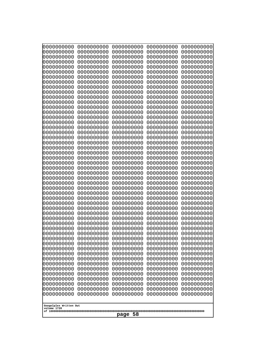| 0000000000                                           | 0000000000                                           | 0000000000                                           | 0000000000                                           | 0000000000                                           |
|------------------------------------------------------|------------------------------------------------------|------------------------------------------------------|------------------------------------------------------|------------------------------------------------------|
| 0000000000                                           | 0000000000                                           | 0000000000                                           | 0000000000                                           | 0000000000                                           |
| 0000000000                                           | 0000000000                                           | 0000000000                                           | 0000000000                                           | 0000000000                                           |
| 0000000000                                           | 0000000000                                           | 0000000000                                           | 0000000000                                           | 0000000000                                           |
| 0000000000                                           | 0000000000                                           | 0000000000                                           | 0000000000                                           | 0000000000                                           |
| 0000000000                                           | 0000000000                                           | 0000000000                                           | 0000000000                                           | 0000000000                                           |
| 0000000000                                           | 0000000000                                           | 0000000000                                           | 0000000000                                           | 0000000000                                           |
| 0000000000                                           | 0000000000                                           | 0000000000                                           | 0000000000                                           | 0000000000                                           |
| 0000000000                                           | 0000000000                                           | 0000000000                                           | 0000000000                                           | 0000000000                                           |
| 0000000000                                           | 0000000000                                           | 0000000000                                           | 0000000000                                           | 0000000000                                           |
| 0000000000                                           | 0000000000                                           | 0000000000                                           | 0000000000                                           | 0000000000                                           |
| 0000000000                                           | 0000000000                                           | 0000000000                                           | 0000000000                                           | 0000000000                                           |
| 0000000000                                           | 0000000000                                           | 0000000000                                           | 0000000000                                           | 0000000000                                           |
| 0000000000                                           | 0000000000                                           | 0000000000                                           | 0000000000                                           | 0000000000                                           |
| 0000000000                                           | 0000000000                                           | 0000000000                                           | 0000000000                                           | 0000000000                                           |
| 0000000000                                           | 0000000000                                           | 0000000000                                           | 0000000000                                           | 0000000000                                           |
| 0000000000                                           | 0000000000                                           | 0000000000                                           | 0000000000                                           | 0000000000                                           |
| 0000000000                                           | 0000000000                                           | 0000000000                                           | 0000000000                                           | 0000000000                                           |
| 0000000000                                           | 0000000000                                           | 0000000000                                           | 0000000000                                           | 0000000000                                           |
| 0000000000                                           | 0000000000                                           | 0000000000                                           | 0000000000                                           | 0000000000                                           |
| 0000000000                                           | 0000000000                                           | 0000000000                                           | 0000000000                                           | 0000000000                                           |
| 0000000000                                           | 0000000000                                           | 0000000000                                           | 0000000000                                           | 0000000000                                           |
| 0000000000                                           | 0000000000                                           | 0000000000                                           | 0000000000                                           | 0000000000                                           |
| 0000000000                                           | 0000000000                                           | 0000000000                                           | 0000000000                                           | 0000000000                                           |
| 0000000000                                           | 0000000000                                           | 0000000000                                           | 0000000000                                           | 0000000000                                           |
| 0000000000                                           | 0000000000                                           | 0000000000                                           | 0000000000                                           | 0000000000                                           |
| 0000000000                                           | 0000000000                                           | 0000000000                                           | 0000000000                                           | 0000000000                                           |
| 0000000000                                           | 0000000000                                           | 0000000000                                           | 0000000000                                           | 0000000000                                           |
| 0000000000                                           | 0000000000                                           | 0000000000                                           | 0000000000                                           | 0000000000                                           |
| 0000000000                                           | 0000000000                                           | 0000000000                                           | 0000000000                                           | 0000000000                                           |
| 0000000000                                           | 0000000000                                           | 0000000000                                           | 0000000000                                           | 0000000000                                           |
| 0000000000                                           | 0000000000                                           | 0000000000                                           | 0000000000                                           | 0000000000                                           |
| 0000000000<br>0000000000<br>0000000000               | 0000000000<br>0000000000<br>0000000000               | 0000000000<br>0000000000<br>0000000000<br>0000000000 | 0000000000<br>0000000000<br>0000000000               | 0000000000<br>0000000000<br>0000000000<br>0000000000 |
| 0000000000<br>0000000000<br>0000000000<br>0000000000 | 0000000000<br>0000000000<br>0000000000<br>0000000000 | 0000000000<br>0000000000<br>0000000000               | 0000000000<br>0000000000<br>0000000000<br>0000000000 | 0000000000<br>0000000000<br>0000000000               |
| 0000000000                                           | 0000000000                                           | 0000000000                                           | 0000000000                                           | 0000000000                                           |
| 0000000000                                           | 0000000000                                           | 0000000000                                           | 0000000000                                           | 0000000000                                           |
| 0000000000                                           | 0000000000                                           | 0000000000                                           | 0000000000                                           | 0000000000                                           |
| 0000000000                                           | 0000000000                                           | 0000000000                                           | 0000000000                                           | 0000000000                                           |
| 0000000000                                           | 0000000000                                           | 0000000000                                           | 0000000000                                           | 0000000000                                           |
| 0000000000                                           | 0000000000                                           | 0000000000                                           | 0000000000                                           | 0000000000                                           |
| 0000000000<br>0000000000<br>0000000000               | 0000000000<br>0000000000<br>0000000000               | 0000000000<br>0000000000<br>0000000000<br>0000000000 | 0000000000<br>0000000000<br>0000000000               | 0000000000<br>0000000000<br>0000000000               |
| 0000000000                                           | 0000000000                                           | 0000000000                                           | 0000000000                                           | 0000000000                                           |
| 0000000000                                           | 0000000000                                           |                                                      | 0000000000                                           | 0000000000                                           |
| Googolplex Written Out<br>volume 1720<br>page 58     |                                                      |                                                      |                                                      |                                                      |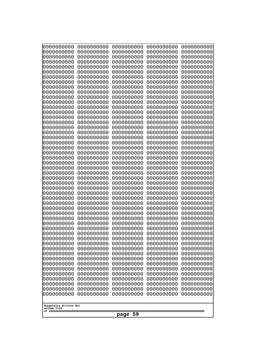| 0000000000<br>0000000000<br>0000000000<br>0000000000<br>0000000000<br>0000000000<br>0000000000<br>0000000000<br>0000000000<br>0000000000<br>0000000000<br>0000000000<br>0000000000<br>0000000000<br>0000000000<br>0000000000<br>0000000000<br>0000000000<br>0000000000<br>0000000000<br>0000000000<br>0000000000<br>0000000000<br>0000000000<br>0000000000<br>0000000000<br>0000000000<br>0000000000<br>0000000000<br>0000000000<br>0000000000<br>0000000000<br>0000000000<br>0000000000<br>0000000000<br>0000000000<br>0000000000<br>10000000000<br>0000000000<br>0000000000<br>0000000000<br>0000000000<br>0000000000<br>0000000000<br>0000000000<br>0000000000<br>0000000000<br>0000000000<br>0000000000<br>0000000000 | 0000000000<br>0000000000<br>0000000000<br>0000000000<br>0000000000<br>0000000000<br>0000000000<br>0000000000<br>0000000000<br>0000000000<br>0000000000<br>0000000000<br>0000000000<br>0000000000<br>0000000000<br>0000000000<br>0000000000<br>0000000000<br>0000000000<br>0000000000<br>0000000000<br>0000000000<br>0000000000<br>0000000000<br>0000000000<br>0000000000<br>0000000000<br>0000000000<br>0000000000<br>0000000000<br>0000000000<br>0000000000<br>0000000000<br>0000000000<br>0000000000<br>0000000000<br>0000000000<br>0000000000<br>0000000000<br>0000000000<br>0000000000<br>0000000000<br>0000000000<br>0000000000<br>0000000000<br>0000000000<br>0000000000<br>0000000000<br>0000000000<br>0000000000 | 0000000000<br>0000000000<br>0000000000<br>0000000000<br>0000000000<br>0000000000<br>0000000000<br>0000000000<br>0000000000<br>0000000000<br>0000000000<br>0000000000<br>0000000000<br>0000000000<br>0000000000<br>0000000000<br>0000000000<br>0000000000<br>0000000000<br>0000000000<br>0000000000<br>0000000000<br>0000000000<br>0000000000<br>0000000000<br>0000000000<br>0000000000<br>0000000000<br>0000000000<br>0000000000<br>0000000000<br>0000000000<br>0000000000<br>0000000000<br>0000000000<br>0000000000<br>0000000000<br>0000000000<br>0000000000<br>0000000000<br>0000000000<br>0000000000<br>0000000000<br>0000000000<br>0000000000<br>0000000000<br>0000000000<br>0000000000<br>0000000000<br>0000000000 | 0000000000<br>0000000000<br>0000000000<br>0000000000<br>0000000000<br>0000000000<br>0000000000<br>0000000000<br>0000000000<br>0000000000<br>0000000000<br>0000000000<br>0000000000<br>0000000000<br>0000000000<br>0000000000<br>0000000000<br>0000000000<br>0000000000<br>0000000000<br>0000000000<br>0000000000<br>0000000000<br>0000000000<br>0000000000<br>0000000000<br>0000000000<br>0000000000<br>0000000000<br>0000000000<br>0000000000<br>0000000000<br>0000000000<br>0000000000<br>0000000000<br>0000000000<br>0000000000<br>0000000000<br>0000000000<br>0000000000<br>0000000000<br>0000000000<br>0000000000<br>0000000000<br>0000000000<br>0000000000<br>0000000000<br>0000000000<br>0000000000<br>0000000000 | 0000000000<br>0000000000<br>0000000000<br>0000000000<br>0000000000<br>0000000000<br>0000000000<br>0000000000<br>0000000000<br>0000000000<br>0000000000<br>0000000000<br>0000000000<br>0000000000<br>0000000000<br>0000000000<br>0000000000<br>0000000000<br>0000000000<br>0000000000<br>0000000000<br>0000000000<br>0000000000<br>0000000000<br>0000000000<br>0000000000<br>0000000000<br>0000000000<br>0000000000<br>0000000000<br>0000000000<br>0000000000<br>0000000000<br>0000000000<br>0000000000<br>0000000000<br>0000000000<br>0000000000<br>0000000000<br>0000000000<br>0000000000<br>0000000000<br>0000000000<br>0000000000<br>0000000000<br>0000000000<br>0000000000<br>0000000000<br>0000000000<br>0000000000 |
|---------------------------------------------------------------------------------------------------------------------------------------------------------------------------------------------------------------------------------------------------------------------------------------------------------------------------------------------------------------------------------------------------------------------------------------------------------------------------------------------------------------------------------------------------------------------------------------------------------------------------------------------------------------------------------------------------------------------------|--------------------------------------------------------------------------------------------------------------------------------------------------------------------------------------------------------------------------------------------------------------------------------------------------------------------------------------------------------------------------------------------------------------------------------------------------------------------------------------------------------------------------------------------------------------------------------------------------------------------------------------------------------------------------------------------------------------------------|--------------------------------------------------------------------------------------------------------------------------------------------------------------------------------------------------------------------------------------------------------------------------------------------------------------------------------------------------------------------------------------------------------------------------------------------------------------------------------------------------------------------------------------------------------------------------------------------------------------------------------------------------------------------------------------------------------------------------|--------------------------------------------------------------------------------------------------------------------------------------------------------------------------------------------------------------------------------------------------------------------------------------------------------------------------------------------------------------------------------------------------------------------------------------------------------------------------------------------------------------------------------------------------------------------------------------------------------------------------------------------------------------------------------------------------------------------------|--------------------------------------------------------------------------------------------------------------------------------------------------------------------------------------------------------------------------------------------------------------------------------------------------------------------------------------------------------------------------------------------------------------------------------------------------------------------------------------------------------------------------------------------------------------------------------------------------------------------------------------------------------------------------------------------------------------------------|
| Googolplex Written Out<br>volume 1720                                                                                                                                                                                                                                                                                                                                                                                                                                                                                                                                                                                                                                                                                     |                                                                                                                                                                                                                                                                                                                                                                                                                                                                                                                                                                                                                                                                                                                          |                                                                                                                                                                                                                                                                                                                                                                                                                                                                                                                                                                                                                                                                                                                          |                                                                                                                                                                                                                                                                                                                                                                                                                                                                                                                                                                                                                                                                                                                          |                                                                                                                                                                                                                                                                                                                                                                                                                                                                                                                                                                                                                                                                                                                          |
| -59<br>page                                                                                                                                                                                                                                                                                                                                                                                                                                                                                                                                                                                                                                                                                                               |                                                                                                                                                                                                                                                                                                                                                                                                                                                                                                                                                                                                                                                                                                                          |                                                                                                                                                                                                                                                                                                                                                                                                                                                                                                                                                                                                                                                                                                                          |                                                                                                                                                                                                                                                                                                                                                                                                                                                                                                                                                                                                                                                                                                                          |                                                                                                                                                                                                                                                                                                                                                                                                                                                                                                                                                                                                                                                                                                                          |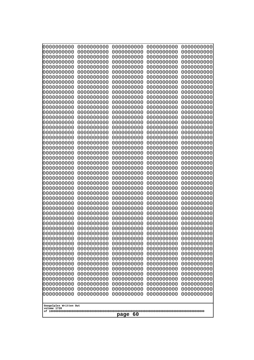| 000000000<br>0000000000               | 0000000000<br>0000000000 | 0000000000<br>0000000000 | 0000000000<br>0000000000 | 0000000000<br>0000000000 |
|---------------------------------------|--------------------------|--------------------------|--------------------------|--------------------------|
| 0000000000                            | 0000000000               | 0000000000               | 0000000000               | 0000000000               |
| 0000000000<br>0000000000              | 0000000000<br>0000000000 | 0000000000<br>0000000000 | 0000000000<br>0000000000 | 0000000000<br>0000000000 |
| 0000000000                            | 0000000000               | 0000000000               | 0000000000               | 0000000000               |
| 0000000000<br>0000000000              | 0000000000<br>0000000000 | 0000000000<br>0000000000 | 0000000000<br>0000000000 | 0000000000<br>0000000000 |
| 0000000000                            | 0000000000               | 0000000000               | 0000000000               | 0000000000               |
| 0000000000<br>0000000000              | 0000000000<br>0000000000 | 0000000000<br>0000000000 | 0000000000<br>0000000000 | 0000000000<br>0000000000 |
| 0000000000                            | 0000000000               | 0000000000               | 0000000000               | 0000000000               |
| 0000000000                            | 0000000000               | 0000000000               | 0000000000               | 0000000000               |
| 0000000000<br>0000000000              | 0000000000<br>0000000000 | 0000000000<br>0000000000 | 0000000000<br>0000000000 | 0000000000<br>0000000000 |
| 0000000000                            | 0000000000               | 0000000000               | 0000000000               | 0000000000               |
| 0000000000<br>0000000000              | 0000000000<br>0000000000 | 0000000000<br>0000000000 | 0000000000<br>0000000000 | 0000000000<br>0000000000 |
| 0000000000                            | 0000000000               | 0000000000               | 0000000000               | 0000000000               |
| 0000000000<br>0000000000              | 0000000000<br>0000000000 | 0000000000<br>0000000000 | 0000000000<br>0000000000 | 0000000000<br>0000000000 |
| 0000000000                            | 0000000000               | 0000000000               | 0000000000               | 0000000000               |
| 0000000000<br>0000000000              | 0000000000<br>0000000000 | 0000000000<br>0000000000 | 0000000000<br>0000000000 | 0000000000<br>0000000000 |
| 0000000000                            | 0000000000               | 0000000000               | 0000000000               | 0000000000               |
| 0000000000                            | 0000000000               | 0000000000               | 0000000000               | 0000000000               |
| 0000000000<br>0000000000              | 0000000000<br>0000000000 | 0000000000<br>0000000000 | 0000000000<br>0000000000 | 0000000000<br>0000000000 |
| 0000000000                            | 0000000000               | 0000000000               | 0000000000               | 0000000000               |
| 0000000000<br>0000000000              | 0000000000<br>0000000000 | 0000000000<br>0000000000 | 0000000000<br>0000000000 | 0000000000<br>0000000000 |
| 0000000000                            | 0000000000               | 0000000000               | 0000000000               | 0000000000               |
| 0000000000<br>0000000000              | 0000000000<br>0000000000 | 0000000000<br>0000000000 | 0000000000<br>0000000000 | 0000000000<br>0000000000 |
| 0000000000                            | 0000000000               | 0000000000               | 0000000000               | 0000000000               |
| 0000000000<br>0000000000              | 0000000000<br>0000000000 | 0000000000<br>0000000000 | 0000000000<br>0000000000 | 0000000000<br>0000000000 |
| 0000000000                            | 0000000000               | 0000000000               | 0000000000               | 0000000000               |
| 0000000000<br>0000000000              | 0000000000<br>0000000000 | 0000000000<br>0000000000 | 0000000000<br>0000000000 | 0000000000<br>0000000000 |
| 0000000000                            | 0000000000               | 0000000000               | 0000000000               | 0000000000               |
| 0000000000                            | 0000000000               | 0000000000<br>0000000000 | 0000000000               | 0000000000               |
| 0000000000<br>0000000000              | 0000000000<br>0000000000 | 0000000000               | 0000000000<br>0000000000 | 0000000000<br>0000000000 |
| 0000000000                            | 0000000000               | 0000000000               | 0000000000               | 0000000000               |
| 0000000000<br>0000000000              | 0000000000<br>0000000000 | 0000000000<br>0000000000 | 0000000000<br>0000000000 | 0000000000<br>0000000000 |
| 0000000000                            | 0000000000               | 0000000000               | 0000000000               | 0000000000               |
| 0000000000<br>0000000000              | 0000000000<br>0000000000 | 0000000000<br>0000000000 | 0000000000<br>0000000000 | 0000000000<br>0000000000 |
|                                       |                          |                          |                          |                          |
| Googolplex Written Out<br>volume 1720 |                          |                          |                          |                          |
| -60<br>page                           |                          |                          |                          |                          |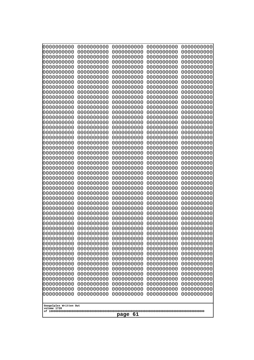| 000000000<br>0000000000  | 0000000000<br>0000000000   | 0000000000<br>0000000000 | 0000000000<br>0000000000 | 0000000000<br>0000000000 |  |
|--------------------------|----------------------------|--------------------------|--------------------------|--------------------------|--|
| 0000000000<br>0000000000 | 0000000000<br>0000000000   | 0000000000<br>0000000000 | 0000000000<br>0000000000 | 0000000000<br>0000000000 |  |
| 0000000000               | 0000000000                 | 0000000000               | 0000000000               | 0000000000               |  |
| 0000000000<br>0000000000 | 0000000000<br>0000000000   | 0000000000<br>0000000000 | 0000000000<br>0000000000 | 0000000000<br>0000000000 |  |
| 0000000000               | 0000000000                 | 0000000000               | 0000000000               | 0000000000               |  |
| 0000000000<br>0000000000 | 0000000000<br>0000000000   | 0000000000<br>0000000000 | 0000000000<br>0000000000 | 0000000000<br>0000000000 |  |
| 0000000000               | 0000000000                 | 0000000000               | 0000000000               | 0000000000               |  |
| 0000000000<br>0000000000 | 0000000000<br>0000000000   | 0000000000<br>0000000000 | 0000000000<br>0000000000 | 0000000000<br>0000000000 |  |
| 0000000000               | 0000000000                 | 0000000000               | 0000000000               | 0000000000               |  |
| 0000000000               | 0000000000                 | 0000000000               | 0000000000               | 0000000000               |  |
| 0000000000<br>0000000000 | 0000000000<br>0000000000   | 0000000000<br>0000000000 | 0000000000<br>0000000000 | 0000000000<br>0000000000 |  |
| 0000000000               | 0000000000                 | 0000000000               | 0000000000               | 0000000000               |  |
| 0000000000<br>0000000000 | 0000000000<br>0000000000   | 0000000000<br>0000000000 | 0000000000<br>0000000000 | 0000000000<br>0000000000 |  |
| 0000000000               | 0000000000                 | 0000000000               | 0000000000               | 0000000000               |  |
| 0000000000<br>0000000000 | 0000000000<br>0000000000   | 0000000000<br>0000000000 | 0000000000<br>0000000000 | 0000000000<br>0000000000 |  |
| 0000000000               | 0000000000                 | 0000000000               | 0000000000               | 0000000000               |  |
| 0000000000<br>0000000000 | 0000000000<br>0000000000   | 0000000000<br>0000000000 | 0000000000<br>0000000000 | 0000000000<br>0000000000 |  |
| 0000000000               | 0000000000                 | 0000000000               | 0000000000               | 0000000000               |  |
| 0000000000<br>0000000000 | 0000000000<br>0000000000   | 0000000000<br>0000000000 | 0000000000<br>0000000000 | 0000000000<br>0000000000 |  |
| 0000000000               | 0000000000                 | 0000000000               | 0000000000               | 0000000000               |  |
| 0000000000<br>0000000000 | 0000000000<br>0000000000   | 0000000000<br>0000000000 | 0000000000<br>0000000000 | 0000000000<br>0000000000 |  |
| 0000000000               | 0000000000                 | 0000000000               | 0000000000               | 0000000000               |  |
| 0000000000<br>0000000000 | 0000000000<br>0000000000   | 0000000000<br>0000000000 | 0000000000<br>0000000000 | 0000000000<br>0000000000 |  |
| 0000000000               | 0000000000                 | 0000000000               | 0000000000               | 0000000000               |  |
| 0000000000<br>0000000000 | 0000000000                 | 0000000000               | 0000000000               | 0000000000               |  |
| 0000000000               | 0000000000<br>0000000000   | 0000000000<br>0000000000 | 0000000000<br>0000000000 | 0000000000<br>0000000000 |  |
| 0000000000               | 0000000000                 | 0000000000               | 0000000000               | 0000000000               |  |
| 0000000000<br>0000000000 | 0000000000<br>0000000000   | 0000000000<br>0000000000 | 0000000000<br>0000000000 | 0000000000<br>0000000000 |  |
| 0000000000               | 0000000000                 | 0000000000               | 0000000000               | 0000000000               |  |
| 0000000000<br>0000000000 | 0000000000<br>0000000000   | 0000000000<br>0000000000 | 0000000000<br>0000000000 | 0000000000<br>0000000000 |  |
| 0000000000               | 0000000000                 | 0000000000               | 0000000000               | 0000000000               |  |
| 0000000000<br>0000000000 | 0000000000<br>0000000000   | 0000000000<br>0000000000 | 0000000000<br>0000000000 | 0000000000<br>0000000000 |  |
| 0000000000               | 0000000000                 | 0000000000               | 0000000000               | 0000000000               |  |
| 0000000000               | 0000000000                 | 0000000000               | 0000000000               | 0000000000               |  |
| Googolplex Written Out   |                            |                          |                          |                          |  |
|                          | volume 1720<br>-61<br>page |                          |                          |                          |  |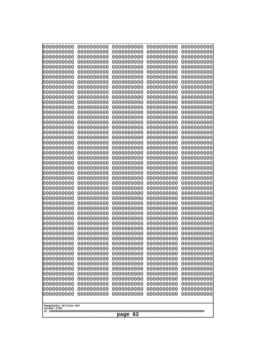| 000000000<br>0000000000    | 0000000000<br>0000000000 | 0000000000<br>0000000000 | 0000000000<br>0000000000 | 0000000000<br>0000000000 |
|----------------------------|--------------------------|--------------------------|--------------------------|--------------------------|
| 0000000000<br>0000000000   | 0000000000<br>0000000000 | 0000000000<br>0000000000 | 0000000000<br>0000000000 | 0000000000<br>0000000000 |
| 0000000000                 | 0000000000               | 0000000000               | 0000000000               | 0000000000               |
| 0000000000<br>0000000000   | 0000000000<br>0000000000 | 0000000000<br>0000000000 | 0000000000<br>0000000000 | 0000000000<br>0000000000 |
| 0000000000                 | 0000000000               | 0000000000               | 0000000000               | 0000000000               |
| 0000000000<br>0000000000   | 0000000000<br>0000000000 | 0000000000<br>0000000000 | 0000000000<br>0000000000 | 0000000000<br>0000000000 |
| 0000000000                 | 0000000000               | 0000000000               | 0000000000               | 0000000000               |
| 0000000000<br>0000000000   | 0000000000<br>0000000000 | 0000000000<br>0000000000 | 0000000000<br>0000000000 | 0000000000<br>0000000000 |
| 0000000000                 | 0000000000               | 0000000000               | 0000000000               | 0000000000               |
| 0000000000<br>0000000000   | 0000000000<br>0000000000 | 0000000000<br>0000000000 | 0000000000<br>0000000000 | 0000000000<br>0000000000 |
| 0000000000                 | 0000000000               | 0000000000               | 0000000000               | 0000000000               |
| 0000000000<br>0000000000   | 0000000000<br>0000000000 | 0000000000<br>0000000000 | 0000000000<br>0000000000 | 0000000000<br>0000000000 |
| 0000000000                 | 0000000000               | 0000000000               | 0000000000               | 0000000000               |
| 0000000000<br>0000000000   | 0000000000<br>0000000000 | 0000000000<br>0000000000 | 0000000000<br>0000000000 | 0000000000<br>0000000000 |
| 0000000000                 | 0000000000               | 0000000000               | 0000000000               | 0000000000               |
| 0000000000<br>0000000000   | 0000000000<br>0000000000 | 0000000000<br>0000000000 | 0000000000<br>0000000000 | 0000000000<br>0000000000 |
| 0000000000                 | 0000000000               | 0000000000               | 0000000000               | 0000000000               |
| 0000000000<br>0000000000   | 0000000000<br>0000000000 | 0000000000<br>0000000000 | 0000000000<br>0000000000 | 0000000000<br>0000000000 |
| 0000000000                 | 0000000000               | 0000000000               | 0000000000               | 0000000000               |
| 0000000000<br>0000000000   | 0000000000<br>0000000000 | 0000000000<br>0000000000 | 0000000000<br>0000000000 | 0000000000<br>0000000000 |
| 0000000000                 | 0000000000               | 0000000000               | 0000000000               | 0000000000               |
| 0000000000<br>0000000000   | 0000000000<br>0000000000 | 0000000000<br>0000000000 | 0000000000<br>0000000000 | 0000000000<br>0000000000 |
| 0000000000                 | 0000000000               | 0000000000               | 0000000000               | 0000000000               |
| 0000000000<br>0000000000   | 0000000000<br>0000000000 | 0000000000<br>0000000000 | 0000000000<br>0000000000 | 0000000000<br>0000000000 |
| 0000000000                 | 0000000000               | 0000000000               | 0000000000               | 0000000000               |
| 0000000000<br>0000000000   | 0000000000<br>0000000000 | 0000000000<br>0000000000 | 0000000000<br>0000000000 | 0000000000<br>0000000000 |
| 0000000000<br>0000000000   | 0000000000               | 0000000000               | 0000000000               | 0000000000<br>0000000000 |
| 0000000000                 | 0000000000<br>0000000000 | 0000000000<br>0000000000 | 0000000000<br>0000000000 | 0000000000               |
| 0000000000<br>0000000000   | 0000000000<br>0000000000 | 0000000000<br>0000000000 | 0000000000<br>0000000000 | 0000000000<br>0000000000 |
| 0000000000                 | 0000000000               | 0000000000               | 0000000000               | 0000000000               |
| 0000000000<br>0000000000   | 0000000000<br>0000000000 | 0000000000<br>0000000000 | 0000000000<br>0000000000 | 0000000000<br>0000000000 |
| 0000000000                 | 0000000000               | 0000000000               | 0000000000               | 0000000000               |
| 0000000000                 | 0000000000               | 0000000000               | 0000000000               | 0000000000               |
| Googolplex Written Out     |                          |                          |                          |                          |
| volume 1720<br>-62<br>page |                          |                          |                          |                          |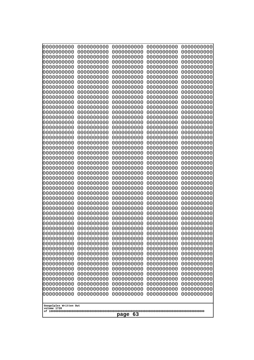| 000000000<br>0000000000  | 0000000000<br>0000000000  | 0000000000<br>0000000000 | 0000000000<br>0000000000 | 0000000000<br>0000000000 |  |
|--------------------------|---------------------------|--------------------------|--------------------------|--------------------------|--|
| 0000000000<br>0000000000 | 0000000000<br>0000000000  | 0000000000<br>0000000000 | 0000000000<br>0000000000 | 0000000000<br>0000000000 |  |
| 0000000000               | 0000000000                | 0000000000               | 0000000000               | 0000000000               |  |
| 0000000000<br>0000000000 | 0000000000<br>0000000000  | 0000000000<br>0000000000 | 0000000000<br>0000000000 | 0000000000<br>0000000000 |  |
| 0000000000               | 0000000000                | 0000000000               | 0000000000               | 0000000000               |  |
| 0000000000<br>0000000000 | 0000000000<br>0000000000  | 0000000000<br>0000000000 | 0000000000<br>0000000000 | 0000000000<br>0000000000 |  |
| 0000000000               | 0000000000                | 0000000000               | 0000000000               | 0000000000               |  |
| 0000000000<br>0000000000 | 0000000000<br>0000000000  | 0000000000<br>0000000000 | 0000000000<br>0000000000 | 0000000000<br>0000000000 |  |
| 0000000000               | 0000000000                | 0000000000               | 0000000000               | 0000000000               |  |
| 0000000000<br>0000000000 | 0000000000<br>0000000000  | 0000000000<br>0000000000 | 0000000000<br>0000000000 | 0000000000<br>0000000000 |  |
| 0000000000               | 0000000000                | 0000000000               | 0000000000               | 0000000000               |  |
| 0000000000<br>0000000000 | 0000000000<br>0000000000  | 0000000000<br>0000000000 | 0000000000<br>0000000000 | 0000000000<br>0000000000 |  |
| 0000000000               | 0000000000                | 0000000000               | 0000000000               | 0000000000               |  |
| 0000000000<br>0000000000 | 0000000000<br>0000000000  | 0000000000<br>0000000000 | 0000000000<br>0000000000 | 0000000000<br>0000000000 |  |
| 0000000000               | 0000000000                | 0000000000               | 0000000000               | 0000000000               |  |
| 0000000000<br>0000000000 | 0000000000<br>0000000000  | 0000000000<br>0000000000 | 0000000000<br>0000000000 | 0000000000<br>0000000000 |  |
| 0000000000               | 0000000000                | 0000000000               | 0000000000               | 0000000000               |  |
| 0000000000<br>0000000000 | 0000000000<br>0000000000  | 0000000000<br>0000000000 | 0000000000<br>0000000000 | 0000000000<br>0000000000 |  |
| 0000000000               | 0000000000                | 0000000000               | 0000000000               | 0000000000               |  |
| 0000000000<br>0000000000 | 0000000000<br>0000000000  | 0000000000<br>0000000000 | 0000000000<br>0000000000 | 0000000000<br>0000000000 |  |
| 0000000000               | 0000000000                | 0000000000               | 0000000000               | 0000000000               |  |
| 0000000000<br>0000000000 | 0000000000<br>0000000000  | 0000000000<br>0000000000 | 0000000000<br>0000000000 | 0000000000<br>0000000000 |  |
| 0000000000               | 0000000000                | 0000000000               | 0000000000               | 0000000000               |  |
| 0000000000<br>0000000000 | 0000000000<br>0000000000  | 0000000000<br>0000000000 | 0000000000<br>0000000000 | 0000000000<br>0000000000 |  |
| 0000000000               | 0000000000                | 0000000000               | 0000000000               | 0000000000               |  |
| 0000000000<br>0000000000 | 0000000000<br>0000000000  | 0000000000<br>0000000000 | 0000000000<br>0000000000 | 0000000000<br>0000000000 |  |
| 0000000000               | 0000000000                | 0000000000               | 0000000000               | 0000000000               |  |
| 0000000000<br>0000000000 | 0000000000<br>0000000000  | 0000000000<br>0000000000 | 0000000000<br>0000000000 | 0000000000<br>0000000000 |  |
| 0000000000               | 0000000000                | 0000000000               | 0000000000               | 0000000000               |  |
| 0000000000<br>0000000000 | 0000000000<br>0000000000  | 0000000000<br>0000000000 | 0000000000<br>0000000000 | 0000000000<br>0000000000 |  |
| 0000000000               | 0000000000                | 0000000000               | 0000000000               | 0000000000               |  |
| 0000000000<br>0000000000 | 0000000000<br>0000000000  | 0000000000<br>0000000000 | 0000000000<br>0000000000 | 0000000000<br>0000000000 |  |
| 0000000000               | 0000000000                | 0000000000               | 0000000000               | 0000000000               |  |
| Googolplex Written Out   |                           |                          |                          |                          |  |
|                          | volume 1720<br>63<br>page |                          |                          |                          |  |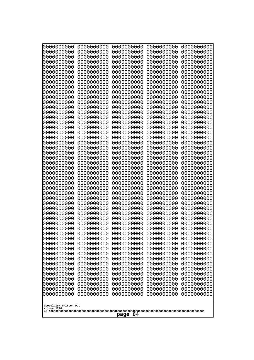| 000000000<br>0000000000               | 0000000000<br>0000000000 | 0000000000<br>0000000000 | 0000000000<br>0000000000 | 0000000000<br>0000000000 |
|---------------------------------------|--------------------------|--------------------------|--------------------------|--------------------------|
| 0000000000<br>0000000000              | 0000000000<br>0000000000 | 0000000000<br>0000000000 | 0000000000<br>0000000000 | 0000000000<br>0000000000 |
| 0000000000                            | 0000000000               | 0000000000               | 0000000000               | 0000000000               |
| 0000000000<br>0000000000              | 0000000000<br>0000000000 | 0000000000<br>0000000000 | 0000000000<br>0000000000 | 0000000000<br>0000000000 |
| 0000000000                            | 0000000000               | 0000000000               | 0000000000               | 0000000000               |
| 0000000000<br>0000000000              | 0000000000<br>0000000000 | 0000000000<br>0000000000 | 0000000000<br>0000000000 | 0000000000<br>0000000000 |
| 0000000000                            | 0000000000               | 0000000000               | 0000000000               | 0000000000               |
| 0000000000<br>0000000000              | 0000000000<br>0000000000 | 0000000000<br>0000000000 | 0000000000<br>0000000000 | 0000000000<br>0000000000 |
| 0000000000                            | 0000000000               | 0000000000               | 0000000000               | 0000000000               |
| 0000000000<br>0000000000              | 0000000000<br>0000000000 | 0000000000<br>0000000000 | 0000000000<br>0000000000 | 0000000000<br>0000000000 |
| 0000000000                            | 0000000000               | 0000000000               | 0000000000               | 0000000000               |
| 0000000000<br>0000000000              | 0000000000<br>0000000000 | 0000000000<br>0000000000 | 0000000000<br>0000000000 | 0000000000<br>0000000000 |
| 0000000000                            | 0000000000               | 0000000000               | 0000000000               | 0000000000               |
| 0000000000<br>0000000000              | 0000000000<br>0000000000 | 0000000000<br>0000000000 | 0000000000<br>0000000000 | 0000000000<br>0000000000 |
| 0000000000                            | 0000000000               | 0000000000               | 0000000000               | 0000000000               |
| 0000000000<br>0000000000              | 0000000000<br>0000000000 | 0000000000<br>0000000000 | 0000000000<br>0000000000 | 0000000000<br>0000000000 |
| 0000000000                            | 0000000000               | 0000000000               | 0000000000               | 0000000000               |
| 0000000000<br>0000000000              | 0000000000<br>0000000000 | 0000000000<br>0000000000 | 0000000000<br>0000000000 | 0000000000<br>0000000000 |
| 0000000000                            | 0000000000               | 0000000000               | 0000000000               | 0000000000               |
| 0000000000<br>0000000000              | 0000000000<br>0000000000 | 0000000000<br>0000000000 | 0000000000<br>0000000000 | 0000000000<br>0000000000 |
| 0000000000                            | 0000000000               | 0000000000               | 0000000000               | 0000000000               |
| 0000000000<br>0000000000              | 0000000000<br>0000000000 | 0000000000<br>0000000000 | 0000000000<br>0000000000 | 0000000000<br>0000000000 |
| 0000000000                            | 0000000000               | 0000000000               | 0000000000               | 0000000000               |
| 0000000000<br>0000000000              | 0000000000<br>0000000000 | 0000000000<br>0000000000 | 0000000000<br>0000000000 | 0000000000<br>0000000000 |
| 0000000000                            | 0000000000               | 0000000000               | 0000000000               | 0000000000               |
| 0000000000<br>0000000000              | 0000000000<br>0000000000 | 0000000000<br>0000000000 | 0000000000<br>0000000000 | 0000000000<br>0000000000 |
| 0000000000<br>0000000000              | 0000000000               | 0000000000               | 0000000000<br>0000000000 | 0000000000<br>0000000000 |
| 0000000000                            | 0000000000<br>0000000000 | 0000000000<br>0000000000 | 0000000000               | 0000000000               |
| 0000000000<br>0000000000              | 0000000000<br>0000000000 | 0000000000<br>0000000000 | 0000000000<br>0000000000 | 0000000000<br>0000000000 |
| 0000000000                            | 0000000000               | 0000000000               | 0000000000               | 0000000000               |
| 0000000000<br>0000000000              | 0000000000<br>0000000000 | 0000000000<br>0000000000 | 0000000000<br>0000000000 | 0000000000<br>0000000000 |
| 0000000000                            | 0000000000               | 0000000000               | 0000000000               | 0000000000               |
| 0000000000                            | 0000000000               | 0000000000               | 0000000000               | 0000000000               |
| Googolplex Written Out<br>volume 1720 |                          |                          |                          |                          |
| -64<br>page                           |                          |                          |                          |                          |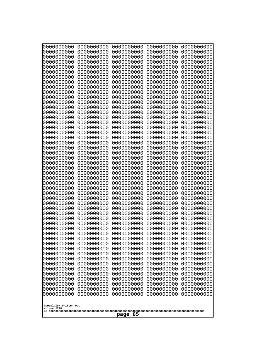| 0000000000                                           | 0000000000 | 0000000000 | 0000000000 | 0000000000 |
|------------------------------------------------------|------------|------------|------------|------------|
| 0000000000                                           | 0000000000 | 0000000000 | 0000000000 | 0000000000 |
| 0000000000                                           | 0000000000 | 0000000000 | 0000000000 | 0000000000 |
| 0000000000                                           | 0000000000 | 0000000000 | 0000000000 | 0000000000 |
| 0000000000                                           | 0000000000 | 0000000000 | 0000000000 | 0000000000 |
| 0000000000                                           | 0000000000 | 0000000000 | 0000000000 | 0000000000 |
| 0000000000                                           | 0000000000 | 0000000000 | 0000000000 | 0000000000 |
| 0000000000                                           | 0000000000 | 0000000000 | 0000000000 | 0000000000 |
| 0000000000                                           | 0000000000 | 0000000000 | 0000000000 | 0000000000 |
| 0000000000                                           | 0000000000 | 0000000000 | 0000000000 | 0000000000 |
| 0000000000                                           | 0000000000 | 0000000000 | 0000000000 | 0000000000 |
| 0000000000                                           | 0000000000 | 0000000000 | 0000000000 | 0000000000 |
| 0000000000                                           | 0000000000 | 0000000000 | 0000000000 | 0000000000 |
| 0000000000                                           | 0000000000 | 0000000000 | 0000000000 | 0000000000 |
| 0000000000                                           | 0000000000 | 0000000000 | 0000000000 | 0000000000 |
| 0000000000                                           | 0000000000 | 0000000000 | 0000000000 | 0000000000 |
| 0000000000                                           | 0000000000 | 0000000000 | 0000000000 | 0000000000 |
| 0000000000                                           | 0000000000 | 0000000000 | 0000000000 | 0000000000 |
| 0000000000                                           | 0000000000 | 0000000000 | 0000000000 | 0000000000 |
| 0000000000                                           | 0000000000 | 0000000000 | 0000000000 | 0000000000 |
| 0000000000                                           | 0000000000 | 0000000000 | 0000000000 | 0000000000 |
| 0000000000                                           | 0000000000 | 0000000000 | 0000000000 | 0000000000 |
| 0000000000                                           | 0000000000 | 0000000000 | 0000000000 | 0000000000 |
| 0000000000                                           | 0000000000 | 0000000000 | 0000000000 | 0000000000 |
| 0000000000                                           | 0000000000 | 0000000000 | 0000000000 | 0000000000 |
| 0000000000                                           | 0000000000 | 0000000000 | 0000000000 | 0000000000 |
| 0000000000                                           | 0000000000 | 0000000000 | 0000000000 | 0000000000 |
| 0000000000                                           | 0000000000 | 0000000000 | 0000000000 | 0000000000 |
| 0000000000                                           | 0000000000 | 0000000000 | 0000000000 | 0000000000 |
| 0000000000                                           | 0000000000 | 0000000000 | 0000000000 | 0000000000 |
| 0000000000                                           | 0000000000 | 0000000000 | 0000000000 | 0000000000 |
| 0000000000                                           | 0000000000 | 0000000000 | 0000000000 | 0000000000 |
| 0000000000                                           | 0000000000 | 0000000000 | 0000000000 | 0000000000 |
| 0000000000                                           | 0000000000 | 0000000000 | 0000000000 | 0000000000 |
| 0000000000                                           | 0000000000 | 0000000000 | 0000000000 | 0000000000 |
| 0000000000                                           | 0000000000 | 0000000000 | 0000000000 | 0000000000 |
| 0000000000                                           | 0000000000 | 0000000000 | 0000000000 | 0000000000 |
| 0000000000                                           | 0000000000 | 0000000000 | 0000000000 | 0000000000 |
| 0000000000                                           | 0000000000 | 0000000000 | 0000000000 | 0000000000 |
| 0000000000                                           | 0000000000 | 0000000000 | 0000000000 | 0000000000 |
| 0000000000                                           | 0000000000 | 0000000000 | 0000000000 | 0000000000 |
| 0000000000                                           | 0000000000 | 0000000000 | 0000000000 | 0000000000 |
| 0000000000                                           | 0000000000 | 0000000000 | 0000000000 | 0000000000 |
| 0000000000                                           | 0000000000 | 0000000000 | 0000000000 | 0000000000 |
| 0000000000                                           | 0000000000 | 0000000000 | 0000000000 | 0000000000 |
| 0000000000                                           | 0000000000 | 0000000000 | 0000000000 | 0000000000 |
| 0000000000                                           | 0000000000 | 0000000000 | 0000000000 | 0000000000 |
| 0000000000                                           | 0000000000 | 0000000000 | 0000000000 | 0000000000 |
| 0000000000                                           | 0000000000 | 0000000000 | 0000000000 | 0000000000 |
| 0000000000                                           | 0000000000 | 0000000000 | 0000000000 | 0000000000 |
| Googolplex Written Out<br>volume 1720<br>-65<br>page |            |            |            |            |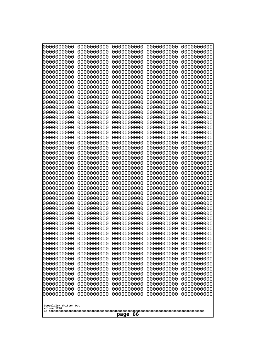| 000000000<br>0000000000               | 0000000000<br>0000000000 | 0000000000<br>0000000000 | 0000000000<br>0000000000 | 0000000000<br>0000000000 |
|---------------------------------------|--------------------------|--------------------------|--------------------------|--------------------------|
| 0000000000                            | 0000000000               | 0000000000               | 0000000000               | 0000000000               |
| 0000000000<br>0000000000              | 0000000000<br>0000000000 | 0000000000<br>0000000000 | 0000000000<br>0000000000 | 0000000000<br>0000000000 |
| 0000000000                            | 0000000000               | 0000000000               | 0000000000               | 0000000000               |
| 0000000000                            | 0000000000               | 0000000000               | 0000000000               | 0000000000               |
| 0000000000<br>0000000000              | 0000000000<br>0000000000 | 0000000000<br>0000000000 | 0000000000<br>0000000000 | 0000000000<br>0000000000 |
| 0000000000                            | 0000000000               | 0000000000               | 0000000000               | 0000000000               |
| 0000000000                            | 0000000000               | 0000000000               | 0000000000               | 0000000000               |
| 0000000000<br>0000000000              | 0000000000<br>0000000000 | 0000000000<br>0000000000 | 0000000000<br>0000000000 | 0000000000<br>0000000000 |
| 0000000000                            | 0000000000               | 0000000000               | 0000000000               | 0000000000               |
| 0000000000<br>0000000000              | 0000000000<br>0000000000 | 0000000000<br>0000000000 | 0000000000<br>0000000000 | 0000000000<br>0000000000 |
| 0000000000                            | 0000000000               | 0000000000               | 0000000000               | 0000000000               |
| 0000000000                            | 0000000000               | 0000000000               | 0000000000               | 0000000000               |
| 0000000000<br>0000000000              | 0000000000<br>0000000000 | 0000000000<br>0000000000 | 0000000000<br>0000000000 | 0000000000<br>0000000000 |
| 0000000000                            | 0000000000               | 0000000000               | 0000000000               | 0000000000               |
| 0000000000<br>0000000000              | 0000000000<br>0000000000 | 0000000000<br>0000000000 | 0000000000<br>0000000000 | 0000000000<br>0000000000 |
| 0000000000                            | 0000000000               | 0000000000               | 0000000000               | 0000000000               |
| 0000000000                            | 0000000000               | 0000000000               | 0000000000               | 0000000000               |
| 0000000000<br>0000000000              | 0000000000<br>0000000000 | 0000000000<br>0000000000 | 0000000000<br>0000000000 | 0000000000<br>0000000000 |
| 0000000000                            | 0000000000               | 0000000000               | 0000000000               | 0000000000               |
| 0000000000<br>0000000000              | 0000000000<br>0000000000 | 0000000000<br>0000000000 | 0000000000<br>0000000000 | 0000000000<br>0000000000 |
| 0000000000                            | 0000000000               | 0000000000               | 0000000000               | 0000000000               |
| 0000000000                            | 0000000000               | 0000000000               | 0000000000               | 0000000000               |
| 0000000000<br>0000000000              | 0000000000<br>0000000000 | 0000000000<br>0000000000 | 0000000000<br>0000000000 | 0000000000<br>0000000000 |
| 0000000000                            | 0000000000               | 0000000000               | 0000000000               | 0000000000               |
| 0000000000<br>0000000000              | 0000000000<br>0000000000 | 0000000000<br>0000000000 | 0000000000<br>0000000000 | 0000000000<br>0000000000 |
| 0000000000                            | 0000000000               | 0000000000               | 0000000000               | 0000000000               |
| 0000000000                            | 0000000000               | 0000000000               | 0000000000               | 0000000000               |
| 0000000000<br>0000000000              | 0000000000<br>0000000000 | 0000000000<br>0000000000 | 0000000000<br>0000000000 | 0000000000<br>0000000000 |
| 0000000000                            | 0000000000               | 0000000000               | 0000000000               | 0000000000               |
| 0000000000<br>0000000000              | 0000000000<br>0000000000 | 0000000000<br>0000000000 | 0000000000<br>0000000000 | 0000000000<br>0000000000 |
| 0000000000                            | 0000000000               | 0000000000               | 0000000000               | 0000000000               |
| 0000000000<br>0000000000              | 0000000000<br>0000000000 | 0000000000<br>0000000000 | 0000000000<br>0000000000 | 0000000000<br>0000000000 |
| 0000000000                            | 0000000000               | 0000000000               | 0000000000               | 0000000000               |
| 0000000000                            | 0000000000               | 0000000000               | 0000000000               | 0000000000               |
| 0000000000                            | 0000000000               | 0000000000               | 0000000000               | 0000000000               |
| Googolplex Written Out<br>volume 1720 |                          |                          |                          |                          |
|                                       |                          | -66<br>page              |                          |                          |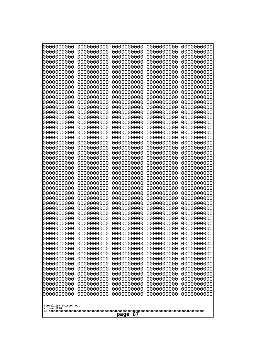| 000000000<br>0000000000               | 0000000000<br>0000000000 | 0000000000<br>0000000000 | 0000000000<br>0000000000 | 0000000000<br>0000000000 |  |  |
|---------------------------------------|--------------------------|--------------------------|--------------------------|--------------------------|--|--|
| 0000000000                            | 0000000000               | 0000000000               | 0000000000               | 0000000000               |  |  |
| 0000000000<br>0000000000              | 0000000000<br>0000000000 | 0000000000<br>0000000000 | 0000000000<br>0000000000 | 0000000000<br>0000000000 |  |  |
| 0000000000                            | 0000000000               | 0000000000               | 0000000000               | 0000000000               |  |  |
| 0000000000                            | 0000000000               | 0000000000               | 0000000000               | 0000000000               |  |  |
| 0000000000                            | 0000000000               | 0000000000               | 0000000000               | 0000000000               |  |  |
| 0000000000<br>0000000000              | 0000000000<br>0000000000 | 0000000000<br>0000000000 | 0000000000<br>0000000000 | 0000000000<br>0000000000 |  |  |
| 0000000000                            | 0000000000               | 0000000000               | 0000000000               | 0000000000               |  |  |
| 0000000000                            | 0000000000               | 0000000000               | 0000000000               | 0000000000               |  |  |
| 0000000000<br>0000000000              | 0000000000<br>0000000000 | 0000000000<br>0000000000 | 0000000000<br>0000000000 | 0000000000<br>0000000000 |  |  |
| 0000000000                            | 0000000000               | 0000000000               | 0000000000               | 0000000000               |  |  |
| 0000000000                            | 0000000000               | 0000000000               | 0000000000               | 0000000000               |  |  |
| 0000000000<br>0000000000              | 0000000000<br>0000000000 | 0000000000<br>0000000000 | 0000000000<br>0000000000 | 0000000000<br>0000000000 |  |  |
| 0000000000                            | 0000000000               | 0000000000               | 0000000000               | 0000000000               |  |  |
| 0000000000                            | 0000000000               | 0000000000               | 0000000000               | 0000000000               |  |  |
| 0000000000<br>0000000000              | 0000000000<br>0000000000 | 0000000000<br>0000000000 | 0000000000<br>0000000000 | 0000000000<br>0000000000 |  |  |
| 0000000000                            | 0000000000               | 0000000000               | 0000000000               | 0000000000               |  |  |
| 0000000000                            | 0000000000               | 0000000000               | 0000000000               | 0000000000               |  |  |
| 0000000000<br>0000000000              | 0000000000<br>0000000000 | 0000000000<br>0000000000 | 0000000000<br>0000000000 | 0000000000<br>0000000000 |  |  |
| 0000000000                            | 0000000000               | 0000000000               | 0000000000               | 0000000000               |  |  |
| 0000000000                            | 0000000000               | 0000000000               | 0000000000               | 0000000000               |  |  |
| 0000000000<br>0000000000              | 0000000000<br>0000000000 | 0000000000<br>0000000000 | 0000000000<br>0000000000 | 0000000000<br>0000000000 |  |  |
| 0000000000                            | 0000000000               | 0000000000               | 0000000000               | 0000000000               |  |  |
| 0000000000                            | 0000000000               | 0000000000               | 0000000000               | 0000000000               |  |  |
| 0000000000<br>0000000000              | 0000000000<br>0000000000 | 0000000000<br>0000000000 | 0000000000<br>0000000000 | 0000000000<br>0000000000 |  |  |
| 0000000000                            | 0000000000               | 0000000000               | 0000000000               | 0000000000               |  |  |
| 0000000000                            | 0000000000               | 0000000000               | 0000000000               | 0000000000               |  |  |
| 0000000000<br>0000000000              | 0000000000<br>0000000000 | 0000000000<br>0000000000 | 0000000000<br>0000000000 | 0000000000<br>0000000000 |  |  |
| 0000000000                            | 0000000000               | 0000000000               | 0000000000               | 0000000000               |  |  |
| 0000000000                            | 0000000000               | 0000000000               | 0000000000               | 0000000000               |  |  |
| 0000000000<br>0000000000              | 0000000000<br>0000000000 | 0000000000<br>0000000000 | 0000000000<br>0000000000 | 0000000000<br>0000000000 |  |  |
| 0000000000                            | 0000000000               | 0000000000               | 0000000000               | 0000000000               |  |  |
| 0000000000                            | 0000000000               | 0000000000               | 0000000000               | 0000000000               |  |  |
| 0000000000<br>0000000000              | 0000000000<br>0000000000 | 0000000000<br>0000000000 | 0000000000<br>0000000000 | 0000000000<br>0000000000 |  |  |
| 0000000000                            | 0000000000               | 0000000000               | 0000000000               | 0000000000               |  |  |
| 0000000000                            | 0000000000               | 0000000000               | 0000000000               | 0000000000               |  |  |
| 0000000000<br>0000000000              | 0000000000<br>0000000000 | 0000000000<br>0000000000 | 0000000000<br>0000000000 | 0000000000<br>0000000000 |  |  |
|                                       |                          |                          |                          |                          |  |  |
| Googolplex Written Out<br>volume 1720 |                          |                          |                          |                          |  |  |
|                                       |                          | -67<br>page              |                          |                          |  |  |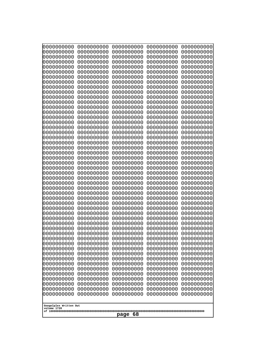| 000000000<br>0000000000  | 0000000000<br>0000000000 | 0000000000<br>0000000000 | 0000000000<br>0000000000 | 0000000000<br>0000000000 |  |
|--------------------------|--------------------------|--------------------------|--------------------------|--------------------------|--|
| 0000000000               | 0000000000               | 0000000000               | 0000000000               | 0000000000               |  |
| 0000000000               | 0000000000               | 0000000000               | 0000000000               | 0000000000               |  |
| 0000000000<br>0000000000 | 0000000000<br>0000000000 | 0000000000<br>0000000000 | 0000000000<br>0000000000 | 0000000000<br>0000000000 |  |
| 0000000000               | 0000000000               | 0000000000               | 0000000000               | 0000000000               |  |
| 0000000000               | 0000000000               | 0000000000               | 0000000000               | 0000000000               |  |
| 0000000000<br>0000000000 | 0000000000<br>0000000000 | 0000000000<br>0000000000 | 0000000000<br>0000000000 | 0000000000<br>0000000000 |  |
| 0000000000               | 0000000000               | 0000000000               | 0000000000               | 0000000000               |  |
| 0000000000               | 0000000000               | 0000000000               | 0000000000               | 0000000000               |  |
| 0000000000<br>0000000000 | 0000000000<br>0000000000 | 0000000000<br>0000000000 | 0000000000<br>0000000000 | 0000000000<br>0000000000 |  |
| 0000000000               | 0000000000               | 0000000000               | 0000000000               | 0000000000               |  |
| 0000000000               | 0000000000               | 0000000000               | 0000000000               | 0000000000               |  |
| 0000000000<br>0000000000 | 0000000000<br>0000000000 | 0000000000<br>0000000000 | 0000000000<br>0000000000 | 0000000000<br>0000000000 |  |
| 0000000000               | 0000000000               | 0000000000               | 0000000000               | 0000000000               |  |
| 0000000000               | 0000000000               | 0000000000               | 0000000000               | 0000000000               |  |
| 0000000000<br>0000000000 | 0000000000<br>0000000000 | 0000000000<br>0000000000 | 0000000000<br>0000000000 | 0000000000<br>0000000000 |  |
| 0000000000               | 0000000000               | 0000000000               | 0000000000               | 0000000000               |  |
| 0000000000               | 0000000000               | 0000000000               | 0000000000               | 0000000000               |  |
| 0000000000               | 0000000000               | 0000000000               | 0000000000               | 0000000000               |  |
| 0000000000<br>0000000000 | 0000000000<br>0000000000 | 0000000000<br>0000000000 | 0000000000<br>0000000000 | 0000000000<br>0000000000 |  |
| 0000000000               | 0000000000               | 0000000000               | 0000000000               | 0000000000               |  |
| 0000000000               | 0000000000               | 0000000000               | 0000000000               | 0000000000               |  |
| 0000000000<br>0000000000 | 0000000000<br>0000000000 | 0000000000<br>0000000000 | 0000000000<br>0000000000 | 0000000000<br>0000000000 |  |
| 0000000000               | 0000000000               | 0000000000               | 0000000000               | 0000000000               |  |
| 0000000000<br>0000000000 | 0000000000               | 0000000000               | 0000000000<br>0000000000 | 0000000000               |  |
| 0000000000               | 0000000000<br>0000000000 | 0000000000<br>0000000000 | 0000000000               | 0000000000<br>0000000000 |  |
| 0000000000               | 0000000000               | 0000000000               | 0000000000               | 0000000000               |  |
| 0000000000               | 0000000000               | 0000000000               | 0000000000               | 0000000000               |  |
| 0000000000<br>0000000000 | 0000000000<br>0000000000 | 0000000000<br>0000000000 | 0000000000<br>0000000000 | 0000000000<br>0000000000 |  |
| 0000000000               | 0000000000               | 0000000000               | 0000000000               | 0000000000               |  |
| 0000000000<br>0000000000 | 0000000000               | 0000000000<br>0000000000 | 0000000000               | 0000000000<br>0000000000 |  |
| 0000000000               | 0000000000<br>0000000000 | 0000000000               | 0000000000<br>0000000000 | 0000000000               |  |
| 0000000000               | 0000000000               | 0000000000               | 0000000000               | 0000000000               |  |
| 0000000000               | 0000000000               | 0000000000               | 0000000000               | 0000000000               |  |
| 0000000000<br>0000000000 | 0000000000<br>0000000000 | 0000000000<br>0000000000 | 0000000000<br>0000000000 | 0000000000<br>0000000000 |  |
| 0000000000               | 0000000000               | 0000000000               | 0000000000               | 0000000000               |  |
| 0000000000               | 0000000000               | 0000000000               | 0000000000               | 0000000000               |  |
| 0000000000               | 0000000000               | 0000000000               | 0000000000               | 0000000000               |  |
| Googolplex Written Out   |                          |                          |                          |                          |  |
| volume 1720              |                          | 68                       |                          |                          |  |
|                          | page                     |                          |                          |                          |  |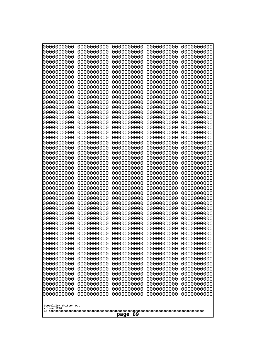| 0000000000<br>0000000000<br>0000000000<br>0000000000<br>0000000000<br>0000000000<br>0000000000<br>0000000000<br>0000000000<br>0000000000<br>0000000000<br>0000000000<br>0000000000<br>0000000000<br>0000000000<br>0000000000<br>0000000000<br>0000000000<br>0000000000<br>0000000000<br>0000000000<br>0000000000<br>0000000000<br>0000000000<br>0000000000<br>0000000000<br>0000000000<br>0000000000<br>0000000000<br>0000000000<br>0000000000<br>0000000000<br>0000000000<br>0000000000<br>0000000000<br>0000000000<br>0000000000<br>10000000000<br>0000000000<br>0000000000<br>0000000000<br>0000000000<br>0000000000<br>0000000000<br>0000000000<br>0000000000<br>0000000000<br>0000000000<br>0000000000<br>0000000000 | 0000000000<br>0000000000<br>0000000000<br>0000000000<br>0000000000<br>0000000000<br>0000000000<br>0000000000<br>0000000000<br>0000000000<br>0000000000<br>0000000000<br>0000000000<br>0000000000<br>0000000000<br>0000000000<br>0000000000<br>0000000000<br>0000000000<br>0000000000<br>0000000000<br>0000000000<br>0000000000<br>0000000000<br>0000000000<br>0000000000<br>0000000000<br>0000000000<br>0000000000<br>0000000000<br>0000000000<br>0000000000<br>0000000000<br>0000000000<br>0000000000<br>0000000000<br>0000000000<br>0000000000<br>0000000000<br>0000000000<br>0000000000<br>0000000000<br>0000000000<br>0000000000<br>0000000000<br>0000000000<br>0000000000<br>0000000000<br>0000000000<br>0000000000 | 0000000000<br>0000000000<br>0000000000<br>0000000000<br>0000000000<br>0000000000<br>0000000000<br>0000000000<br>0000000000<br>0000000000<br>0000000000<br>0000000000<br>0000000000<br>0000000000<br>0000000000<br>0000000000<br>0000000000<br>0000000000<br>0000000000<br>0000000000<br>0000000000<br>0000000000<br>0000000000<br>0000000000<br>0000000000<br>0000000000<br>0000000000<br>0000000000<br>0000000000<br>0000000000<br>0000000000<br>0000000000<br>0000000000<br>0000000000<br>0000000000<br>0000000000<br>0000000000<br>0000000000<br>0000000000<br>0000000000<br>0000000000<br>0000000000<br>0000000000<br>0000000000<br>0000000000<br>0000000000<br>0000000000<br>0000000000<br>0000000000<br>0000000000 | 0000000000<br>0000000000<br>0000000000<br>0000000000<br>0000000000<br>0000000000<br>0000000000<br>0000000000<br>0000000000<br>0000000000<br>0000000000<br>0000000000<br>0000000000<br>0000000000<br>0000000000<br>0000000000<br>0000000000<br>0000000000<br>0000000000<br>0000000000<br>0000000000<br>0000000000<br>0000000000<br>0000000000<br>0000000000<br>0000000000<br>0000000000<br>0000000000<br>0000000000<br>0000000000<br>0000000000<br>0000000000<br>0000000000<br>0000000000<br>0000000000<br>0000000000<br>0000000000<br>0000000000<br>0000000000<br>0000000000<br>0000000000<br>0000000000<br>0000000000<br>0000000000<br>0000000000<br>0000000000<br>0000000000<br>0000000000<br>0000000000<br>0000000000 | 0000000000<br>0000000000<br>0000000000<br>0000000000<br>0000000000<br>0000000000<br>0000000000<br>0000000000<br>0000000000<br>0000000000<br>0000000000<br>0000000000<br>0000000000<br>0000000000<br>0000000000<br>0000000000<br>0000000000<br>0000000000<br>0000000000<br>0000000000<br>0000000000<br>0000000000<br>0000000000<br>0000000000<br>0000000000<br>0000000000<br>0000000000<br>0000000000<br>0000000000<br>0000000000<br>0000000000<br>0000000000<br>0000000000<br>0000000000<br>0000000000<br>0000000000<br>0000000000<br>0000000000<br>0000000000<br>0000000000<br>0000000000<br>0000000000<br>0000000000<br>0000000000<br>0000000000<br>0000000000<br>0000000000<br>0000000000<br>0000000000<br>0000000000 |
|---------------------------------------------------------------------------------------------------------------------------------------------------------------------------------------------------------------------------------------------------------------------------------------------------------------------------------------------------------------------------------------------------------------------------------------------------------------------------------------------------------------------------------------------------------------------------------------------------------------------------------------------------------------------------------------------------------------------------|--------------------------------------------------------------------------------------------------------------------------------------------------------------------------------------------------------------------------------------------------------------------------------------------------------------------------------------------------------------------------------------------------------------------------------------------------------------------------------------------------------------------------------------------------------------------------------------------------------------------------------------------------------------------------------------------------------------------------|--------------------------------------------------------------------------------------------------------------------------------------------------------------------------------------------------------------------------------------------------------------------------------------------------------------------------------------------------------------------------------------------------------------------------------------------------------------------------------------------------------------------------------------------------------------------------------------------------------------------------------------------------------------------------------------------------------------------------|--------------------------------------------------------------------------------------------------------------------------------------------------------------------------------------------------------------------------------------------------------------------------------------------------------------------------------------------------------------------------------------------------------------------------------------------------------------------------------------------------------------------------------------------------------------------------------------------------------------------------------------------------------------------------------------------------------------------------|--------------------------------------------------------------------------------------------------------------------------------------------------------------------------------------------------------------------------------------------------------------------------------------------------------------------------------------------------------------------------------------------------------------------------------------------------------------------------------------------------------------------------------------------------------------------------------------------------------------------------------------------------------------------------------------------------------------------------|
| Googolplex Written Out                                                                                                                                                                                                                                                                                                                                                                                                                                                                                                                                                                                                                                                                                                    |                                                                                                                                                                                                                                                                                                                                                                                                                                                                                                                                                                                                                                                                                                                          |                                                                                                                                                                                                                                                                                                                                                                                                                                                                                                                                                                                                                                                                                                                          |                                                                                                                                                                                                                                                                                                                                                                                                                                                                                                                                                                                                                                                                                                                          |                                                                                                                                                                                                                                                                                                                                                                                                                                                                                                                                                                                                                                                                                                                          |
| volume 1720<br>69<br>page                                                                                                                                                                                                                                                                                                                                                                                                                                                                                                                                                                                                                                                                                                 |                                                                                                                                                                                                                                                                                                                                                                                                                                                                                                                                                                                                                                                                                                                          |                                                                                                                                                                                                                                                                                                                                                                                                                                                                                                                                                                                                                                                                                                                          |                                                                                                                                                                                                                                                                                                                                                                                                                                                                                                                                                                                                                                                                                                                          |                                                                                                                                                                                                                                                                                                                                                                                                                                                                                                                                                                                                                                                                                                                          |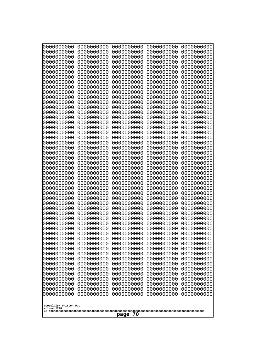| 0000000000<br>0000000000<br>0000000000<br>0000000000<br>0000000000<br>0000000000<br>0000000000<br>1000000000<br>0000000000<br>0000000000<br>0000000000<br>0000000000<br>0000000000<br>0000000000<br>0000000000<br>0000000000<br>0000000000<br>0000000000<br>0000000000<br>0000000000<br>0000000000<br>0000000000<br>0000000000<br>0000000000<br>0000000000<br>0000000000<br>0000000000<br>0000000000<br>0000000000<br>0000000000<br>0000000000<br>0000000000<br>0000000000<br>10000000000<br>0000000000<br>0000000000<br>0000000000<br>0000000000<br>0000000000<br>0000000000<br>0000000000<br>0000000000<br>0000000000<br>0000000000<br>0000000000<br>0000000000 | 0000000000<br>0000000000<br>0000000000<br>0000000000<br>0000000000<br>0000000000<br>0000000000<br>0000000000<br>0000000000<br>0000000000<br>0000000000<br>0000000000<br>0000000000<br>0000000000<br>0000000000<br>0000000000<br>0000000000<br>0000000000<br>0000000000<br>0000000000<br>0000000000<br>0000000000<br>0000000000<br>0000000000<br>0000000000<br>0000000000<br>0000000000<br>0000000000<br>0000000000<br>0000000000<br>0000000000<br>0000000000<br>0000000000<br>0000000000<br>0000000000<br>0000000000<br>0000000000<br>0000000000<br>0000000000<br>0000000000<br>0000000000<br>0000000000<br>0000000000<br>0000000000 | 0000000000<br>0000000000<br>0000000000<br>0000000000<br>0000000000<br>0000000000<br>0000000000<br>0000000000<br>0000000000<br>0000000000<br>0000000000<br>0000000000<br>0000000000<br>0000000000<br>0000000000<br>0000000000<br>0000000000<br>0000000000<br>0000000000<br>0000000000<br>0000000000<br>0000000000<br>0000000000<br>0000000000<br>0000000000<br>0000000000<br>0000000000<br>0000000000<br>0000000000<br>0000000000<br>0000000000<br>0000000000<br>0000000000<br>0000000000<br>0000000000<br>0000000000<br>0000000000<br>0000000000<br>0000000000<br>0000000000<br>0000000000<br>0000000000<br>0000000000<br>0000000000 | 0000000000<br>0000000000<br>0000000000<br>0000000000<br>0000000000<br>0000000000<br>0000000000<br>0000000000<br>0000000000<br>0000000000<br>0000000000<br>0000000000<br>0000000000<br>0000000000<br>0000000000<br>0000000000<br>0000000000<br>0000000000<br>0000000000<br>0000000000<br>0000000000<br>0000000000<br>0000000000<br>0000000000<br>0000000000<br>0000000000<br>0000000000<br>0000000000<br>0000000000<br>0000000000<br>0000000000<br>0000000000<br>0000000000<br>0000000000<br>0000000000<br>0000000000<br>0000000000<br>0000000000<br>0000000000<br>0000000000<br>0000000000<br>0000000000<br>0000000000<br>0000000000 | 0000000000<br>0000000000<br>0000000000<br>0000000000<br>0000000000<br>0000000000<br>0000000000<br>0000000000<br>0000000000<br>0000000000<br>0000000000<br>0000000000<br>0000000000<br>0000000000<br>0000000000<br>0000000000<br>0000000000<br>0000000000<br>0000000000<br>0000000000<br>0000000000<br>0000000000<br>0000000000<br>0000000000<br>0000000000<br>0000000000<br>0000000000<br>0000000000<br>0000000000<br>0000000000<br>0000000000<br>0000000000<br>0000000000<br>0000000000<br>0000000000<br>0000000000<br>0000000000<br>0000000000<br>0000000000<br>0000000000<br>0000000000<br>0000000000<br>0000000000<br>0000000000 |
|-------------------------------------------------------------------------------------------------------------------------------------------------------------------------------------------------------------------------------------------------------------------------------------------------------------------------------------------------------------------------------------------------------------------------------------------------------------------------------------------------------------------------------------------------------------------------------------------------------------------------------------------------------------------|--------------------------------------------------------------------------------------------------------------------------------------------------------------------------------------------------------------------------------------------------------------------------------------------------------------------------------------------------------------------------------------------------------------------------------------------------------------------------------------------------------------------------------------------------------------------------------------------------------------------------------------|--------------------------------------------------------------------------------------------------------------------------------------------------------------------------------------------------------------------------------------------------------------------------------------------------------------------------------------------------------------------------------------------------------------------------------------------------------------------------------------------------------------------------------------------------------------------------------------------------------------------------------------|--------------------------------------------------------------------------------------------------------------------------------------------------------------------------------------------------------------------------------------------------------------------------------------------------------------------------------------------------------------------------------------------------------------------------------------------------------------------------------------------------------------------------------------------------------------------------------------------------------------------------------------|--------------------------------------------------------------------------------------------------------------------------------------------------------------------------------------------------------------------------------------------------------------------------------------------------------------------------------------------------------------------------------------------------------------------------------------------------------------------------------------------------------------------------------------------------------------------------------------------------------------------------------------|
| Googolplex Written Out<br>volume 1720<br>70<br>page                                                                                                                                                                                                                                                                                                                                                                                                                                                                                                                                                                                                               |                                                                                                                                                                                                                                                                                                                                                                                                                                                                                                                                                                                                                                      |                                                                                                                                                                                                                                                                                                                                                                                                                                                                                                                                                                                                                                      |                                                                                                                                                                                                                                                                                                                                                                                                                                                                                                                                                                                                                                      |                                                                                                                                                                                                                                                                                                                                                                                                                                                                                                                                                                                                                                      |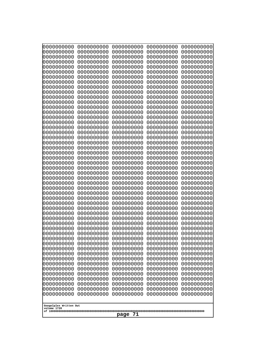| 0000000000<br>0000000000<br>0000000000<br>0000000000<br>0000000000<br>0000000000<br>0000000000<br>0000000000<br>0000000000<br>0000000000<br>0000000000<br>0000000000<br>0000000000<br>0000000000<br>0000000000<br>0000000000<br>0000000000<br>0000000000<br>0000000000<br>0000000000<br>0000000000<br>0000000000<br>0000000000<br>0000000000<br>0000000000<br>0000000000<br>0000000000<br>0000000000<br>0000000000<br>0000000000<br>0000000000<br>0000000000<br>0000000000<br>0000000000<br>0000000000<br>0000000000<br>0000000000<br>0000000000<br>0000000000<br>0000000000<br>0000000000<br>0000000000<br>0000000000<br>0000000000 | 0000000000<br>0000000000<br>0000000000<br>0000000000<br>0000000000<br>0000000000<br>0000000000<br>0000000000<br>0000000000<br>0000000000<br>0000000000<br>0000000000<br>0000000000<br>0000000000<br>0000000000<br>0000000000<br>0000000000<br>0000000000<br>0000000000<br>0000000000<br>0000000000<br>0000000000<br>0000000000<br>0000000000<br>0000000000<br>0000000000<br>0000000000<br>0000000000<br>0000000000<br>0000000000<br>0000000000<br>0000000000<br>0000000000<br>0000000000<br>0000000000<br>0000000000<br>0000000000<br>0000000000<br>0000000000<br>0000000000<br>0000000000<br>0000000000<br>0000000000<br>0000000000 | 0000000000<br>0000000000<br>0000000000<br>0000000000<br>0000000000<br>0000000000<br>0000000000<br>0000000000<br>0000000000<br>0000000000<br>0000000000<br>0000000000<br>0000000000<br>0000000000<br>0000000000<br>0000000000<br>0000000000<br>0000000000<br>0000000000<br>0000000000<br>0000000000<br>0000000000<br>0000000000<br>0000000000<br>0000000000<br>0000000000<br>0000000000<br>0000000000<br>0000000000<br>0000000000<br>0000000000<br>0000000000<br>0000000000<br>0000000000<br>0000000000<br>0000000000<br>0000000000<br>0000000000<br>0000000000<br>0000000000<br>0000000000<br>0000000000<br>0000000000<br>0000000000 | 0000000000<br>0000000000<br>0000000000<br>0000000000<br>0000000000<br>0000000000<br>0000000000<br>0000000000<br>0000000000<br>0000000000<br>0000000000<br>0000000000<br>0000000000<br>0000000000<br>0000000000<br>0000000000<br>0000000000<br>0000000000<br>0000000000<br>0000000000<br>0000000000<br>0000000000<br>0000000000<br>0000000000<br>0000000000<br>0000000000<br>0000000000<br>0000000000<br>0000000000<br>0000000000<br>0000000000<br>0000000000<br>0000000000<br>0000000000<br>0000000000<br>0000000000<br>0000000000<br>0000000000<br>0000000000<br>0000000000<br>0000000000<br>0000000000<br>0000000000<br>0000000000 | 0000000000<br>0000000000<br>0000000000<br>0000000000<br>0000000000<br>0000000000<br>0000000000<br>0000000000<br>0000000000<br>0000000000<br>0000000000<br>0000000000<br>0000000000<br>0000000000<br>0000000000<br>0000000000<br>0000000000<br>0000000000<br>0000000000<br>0000000000<br>0000000000<br>0000000000<br>0000000000<br>0000000000<br>0000000000<br>0000000000<br>0000000000<br>0000000000<br>0000000000<br>0000000000<br>0000000000<br>0000000000<br>0000000000<br>0000000000<br>0000000000<br>0000000000<br>0000000000<br>0000000000<br>0000000000<br>0000000000<br>0000000000<br>0000000000<br>0000000000<br>0000000000 |
|--------------------------------------------------------------------------------------------------------------------------------------------------------------------------------------------------------------------------------------------------------------------------------------------------------------------------------------------------------------------------------------------------------------------------------------------------------------------------------------------------------------------------------------------------------------------------------------------------------------------------------------|--------------------------------------------------------------------------------------------------------------------------------------------------------------------------------------------------------------------------------------------------------------------------------------------------------------------------------------------------------------------------------------------------------------------------------------------------------------------------------------------------------------------------------------------------------------------------------------------------------------------------------------|--------------------------------------------------------------------------------------------------------------------------------------------------------------------------------------------------------------------------------------------------------------------------------------------------------------------------------------------------------------------------------------------------------------------------------------------------------------------------------------------------------------------------------------------------------------------------------------------------------------------------------------|--------------------------------------------------------------------------------------------------------------------------------------------------------------------------------------------------------------------------------------------------------------------------------------------------------------------------------------------------------------------------------------------------------------------------------------------------------------------------------------------------------------------------------------------------------------------------------------------------------------------------------------|--------------------------------------------------------------------------------------------------------------------------------------------------------------------------------------------------------------------------------------------------------------------------------------------------------------------------------------------------------------------------------------------------------------------------------------------------------------------------------------------------------------------------------------------------------------------------------------------------------------------------------------|
|                                                                                                                                                                                                                                                                                                                                                                                                                                                                                                                                                                                                                                      |                                                                                                                                                                                                                                                                                                                                                                                                                                                                                                                                                                                                                                      | 0000000000                                                                                                                                                                                                                                                                                                                                                                                                                                                                                                                                                                                                                           |                                                                                                                                                                                                                                                                                                                                                                                                                                                                                                                                                                                                                                      |                                                                                                                                                                                                                                                                                                                                                                                                                                                                                                                                                                                                                                      |
| 0000000000<br>0000000000<br>0000000000<br>0000000000<br>0000000000<br>0000000000                                                                                                                                                                                                                                                                                                                                                                                                                                                                                                                                                     | 0000000000<br>0000000000<br>0000000000<br>0000000000<br>0000000000<br>0000000000                                                                                                                                                                                                                                                                                                                                                                                                                                                                                                                                                     | 0000000000<br>0000000000<br>0000000000<br>0000000000<br>0000000000                                                                                                                                                                                                                                                                                                                                                                                                                                                                                                                                                                   | 0000000000<br>0000000000<br>0000000000<br>0000000000<br>0000000000<br>0000000000                                                                                                                                                                                                                                                                                                                                                                                                                                                                                                                                                     | 0000000000<br>0000000000<br>0000000000<br>0000000000<br>0000000000<br>0000000000                                                                                                                                                                                                                                                                                                                                                                                                                                                                                                                                                     |
| Googolplex Written Out<br>volume 1720<br>71<br>page                                                                                                                                                                                                                                                                                                                                                                                                                                                                                                                                                                                  |                                                                                                                                                                                                                                                                                                                                                                                                                                                                                                                                                                                                                                      |                                                                                                                                                                                                                                                                                                                                                                                                                                                                                                                                                                                                                                      |                                                                                                                                                                                                                                                                                                                                                                                                                                                                                                                                                                                                                                      |                                                                                                                                                                                                                                                                                                                                                                                                                                                                                                                                                                                                                                      |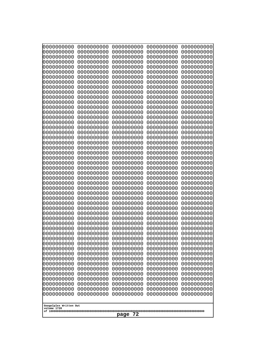| 000000000                              | 0000000000                             | 0000000000                             | 0000000000                             | 0000000000                             |
|----------------------------------------|----------------------------------------|----------------------------------------|----------------------------------------|----------------------------------------|
| 0000000000                             | 0000000000                             | 0000000000                             | 0000000000                             | 0000000000                             |
| 0000000000                             | 0000000000                             | 0000000000                             | 0000000000                             | 0000000000                             |
| 0000000000                             | 0000000000                             | 0000000000                             | 0000000000                             | 0000000000                             |
| 0000000000                             | 0000000000                             | 0000000000                             | 0000000000                             | 0000000000                             |
| 0000000000                             | 0000000000                             | 0000000000                             | 0000000000                             | 0000000000                             |
| 0000000000                             | 0000000000                             | 0000000000                             | 0000000000                             | 0000000000                             |
| 0000000000                             | 0000000000                             | 0000000000                             | 0000000000                             | 0000000000                             |
| 0000000000                             | 0000000000                             | 0000000000                             | 0000000000                             | 0000000000                             |
| 0000000000                             | 0000000000                             | 0000000000                             | 0000000000                             | 0000000000                             |
| 0000000000                             | 0000000000                             | 0000000000                             | 0000000000                             | 0000000000                             |
| 0000000000                             | 0000000000                             | 0000000000                             | 0000000000                             | 0000000000                             |
| 0000000000                             | 0000000000                             | 0000000000                             | 0000000000                             | 0000000000                             |
| 0000000000                             | 0000000000                             | 0000000000                             | 0000000000                             | 0000000000                             |
| 0000000000                             | 0000000000                             | 0000000000                             | 0000000000                             | 0000000000                             |
| 0000000000                             | 0000000000                             | 0000000000                             | 0000000000                             | 0000000000                             |
| 0000000000                             | 0000000000                             | 0000000000                             | 0000000000                             | 0000000000                             |
| 0000000000                             | 0000000000                             | 0000000000                             | 0000000000                             | 0000000000                             |
| 0000000000                             | 0000000000                             | 0000000000                             | 0000000000                             | 0000000000                             |
| 0000000000                             | 0000000000                             | 0000000000                             | 0000000000                             | 0000000000                             |
| 0000000000                             | 0000000000                             | 0000000000                             | 0000000000                             | 0000000000                             |
| 0000000000                             | 0000000000                             | 0000000000                             | 0000000000                             | 0000000000                             |
| 0000000000                             | 0000000000                             | 0000000000                             | 0000000000                             | 0000000000                             |
| 0000000000                             | 0000000000                             | 0000000000                             | 0000000000                             | 0000000000                             |
| 0000000000                             | 0000000000                             | 0000000000                             | 0000000000                             | 0000000000                             |
| 0000000000                             | 0000000000                             | 0000000000                             | 0000000000                             | 0000000000                             |
| 0000000000                             | 0000000000                             | 0000000000                             | 0000000000                             | 0000000000                             |
| 0000000000                             | 0000000000                             | 0000000000                             | 0000000000                             | 0000000000                             |
| 0000000000                             | 0000000000                             | 0000000000                             | 0000000000                             | 0000000000                             |
| 0000000000                             | 0000000000                             | 0000000000                             | 0000000000                             | 0000000000                             |
| 0000000000                             | 0000000000                             | 0000000000                             | 0000000000                             | 0000000000                             |
| 0000000000<br>0000000000<br>0000000000 | 0000000000<br>0000000000               | 0000000000<br>0000000000               | 0000000000<br>0000000000<br>0000000000 | 0000000000<br>0000000000               |
| 0000000000<br>0000000000               | 0000000000<br>0000000000<br>0000000000 | 0000000000<br>0000000000<br>0000000000 | 0000000000<br>0000000000               | 0000000000<br>0000000000<br>0000000000 |
| 0000000000                             | 0000000000                             | 0000000000                             | 0000000000                             | 0000000000                             |
| 0000000000                             | 0000000000                             | 0000000000                             | 0000000000                             | 0000000000                             |
| 0000000000                             | 0000000000                             | 0000000000                             | 0000000000                             | 0000000000                             |
| 0000000000                             | 0000000000                             | 0000000000                             | 0000000000                             | 0000000000                             |
| 0000000000                             | 0000000000                             | 0000000000                             | 0000000000                             | 0000000000                             |
| 0000000000                             | 0000000000                             | 0000000000                             | 0000000000                             | 0000000000                             |
| 0000000000                             | 0000000000                             | 0000000000                             | 0000000000                             | 0000000000                             |
| 0000000000                             | 0000000000                             | 0000000000                             | 0000000000                             | 0000000000                             |
| 0000000000                             | 0000000000                             | 0000000000                             | 0000000000                             | 0000000000                             |
| 0000000000<br>0000000000               | 0000000000<br>0000000000               | 0000000000<br>0000000000               | 0000000000<br>0000000000               | 0000000000<br>0000000000<br>0000000000 |
| 0000000000<br>0000000000<br>0000000000 | 0000000000<br>0000000000<br>0000000000 | 0000000000<br>0000000000<br>0000000000 | 0000000000<br>0000000000<br>0000000000 | 0000000000<br>0000000000               |
| Googolplex Written Out<br>volume 1720  |                                        |                                        |                                        |                                        |
| 72<br>page                             |                                        |                                        |                                        |                                        |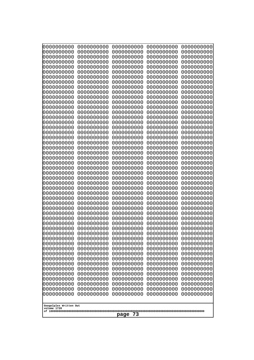| 0000000000<br>0000000000<br>0000000000<br>0000000000<br>0000000000<br>0000000000<br>0000000000<br>1000000000<br>0000000000<br>0000000000<br>0000000000<br>0000000000<br>0000000000<br>0000000000<br>0000000000<br>0000000000<br>0000000000<br>0000000000<br>0000000000<br>0000000000<br>0000000000<br>0000000000<br>0000000000<br>0000000000<br>0000000000<br>0000000000<br>0000000000<br>0000000000<br>0000000000<br>0000000000<br>0000000000<br>0000000000<br>0000000000<br>10000000000<br>0000000000<br>0000000000<br>0000000000<br>0000000000<br>0000000000<br>0000000000<br>0000000000<br>0000000000<br>0000000000<br>0000000000<br>0000000000<br>0000000000 | 0000000000<br>0000000000<br>0000000000<br>0000000000<br>0000000000<br>0000000000<br>0000000000<br>0000000000<br>0000000000<br>0000000000<br>0000000000<br>0000000000<br>0000000000<br>0000000000<br>0000000000<br>0000000000<br>0000000000<br>0000000000<br>0000000000<br>0000000000<br>0000000000<br>0000000000<br>0000000000<br>0000000000<br>0000000000<br>0000000000<br>0000000000<br>0000000000<br>0000000000<br>0000000000<br>0000000000<br>0000000000<br>0000000000<br>0000000000<br>0000000000<br>0000000000<br>0000000000<br>0000000000<br>0000000000<br>0000000000<br>0000000000<br>0000000000 | 0000000000<br>0000000000<br>0000000000<br>0000000000<br>0000000000<br>0000000000<br>0000000000<br>0000000000<br>0000000000<br>0000000000<br>0000000000<br>0000000000<br>0000000000<br>0000000000<br>0000000000<br>0000000000<br>0000000000<br>0000000000<br>0000000000<br>0000000000<br>0000000000<br>0000000000<br>0000000000<br>0000000000<br>0000000000<br>0000000000<br>0000000000<br>0000000000<br>0000000000<br>0000000000<br>0000000000<br>0000000000<br>0000000000<br>0000000000<br>0000000000<br>0000000000<br>0000000000<br>0000000000<br>0000000000<br>0000000000<br>0000000000<br>0000000000<br>0000000000 | 0000000000<br>0000000000<br>0000000000<br>0000000000<br>0000000000<br>0000000000<br>0000000000<br>0000000000<br>0000000000<br>0000000000<br>0000000000<br>0000000000<br>0000000000<br>0000000000<br>0000000000<br>0000000000<br>0000000000<br>0000000000<br>0000000000<br>0000000000<br>0000000000<br>0000000000<br>0000000000<br>0000000000<br>0000000000<br>0000000000<br>0000000000<br>0000000000<br>0000000000<br>0000000000<br>0000000000<br>0000000000<br>0000000000<br>0000000000<br>0000000000<br>0000000000<br>0000000000<br>0000000000<br>0000000000<br>0000000000<br>0000000000<br>0000000000<br>0000000000 | 0000000000<br>0000000000<br>0000000000<br>0000000000<br>0000000000<br>0000000000<br>0000000000<br>0000000000<br>0000000000<br>0000000000<br>0000000000<br>0000000000<br>0000000000<br>0000000000<br>0000000000<br>0000000000<br>0000000000<br>0000000000<br>0000000000<br>0000000000<br>0000000000<br>0000000000<br>0000000000<br>0000000000<br>0000000000<br>0000000000<br>0000000000<br>0000000000<br>0000000000<br>0000000000<br>0000000000<br>0000000000<br>0000000000<br>0000000000<br>0000000000<br>0000000000<br>0000000000<br>0000000000<br>0000000000<br>0000000000<br>0000000000<br>0000000000<br>0000000000 |
|-------------------------------------------------------------------------------------------------------------------------------------------------------------------------------------------------------------------------------------------------------------------------------------------------------------------------------------------------------------------------------------------------------------------------------------------------------------------------------------------------------------------------------------------------------------------------------------------------------------------------------------------------------------------|----------------------------------------------------------------------------------------------------------------------------------------------------------------------------------------------------------------------------------------------------------------------------------------------------------------------------------------------------------------------------------------------------------------------------------------------------------------------------------------------------------------------------------------------------------------------------------------------------------|------------------------------------------------------------------------------------------------------------------------------------------------------------------------------------------------------------------------------------------------------------------------------------------------------------------------------------------------------------------------------------------------------------------------------------------------------------------------------------------------------------------------------------------------------------------------------------------------------------------------|------------------------------------------------------------------------------------------------------------------------------------------------------------------------------------------------------------------------------------------------------------------------------------------------------------------------------------------------------------------------------------------------------------------------------------------------------------------------------------------------------------------------------------------------------------------------------------------------------------------------|------------------------------------------------------------------------------------------------------------------------------------------------------------------------------------------------------------------------------------------------------------------------------------------------------------------------------------------------------------------------------------------------------------------------------------------------------------------------------------------------------------------------------------------------------------------------------------------------------------------------|
| Googolplex Written Out<br>volume 1720<br>73<br>page                                                                                                                                                                                                                                                                                                                                                                                                                                                                                                                                                                                                               |                                                                                                                                                                                                                                                                                                                                                                                                                                                                                                                                                                                                          |                                                                                                                                                                                                                                                                                                                                                                                                                                                                                                                                                                                                                        |                                                                                                                                                                                                                                                                                                                                                                                                                                                                                                                                                                                                                        |                                                                                                                                                                                                                                                                                                                                                                                                                                                                                                                                                                                                                        |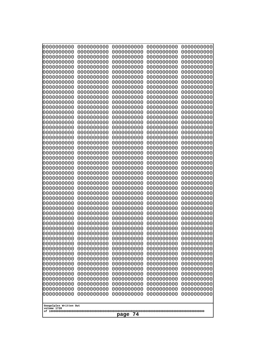| 0000000000<br>0000000000<br>0000000000<br>0000000000<br>0000000000<br>0000000000<br>1000000000<br>0000000000<br>0000000000<br>0000000000<br>0000000000<br>0000000000<br>0000000000<br>0000000000<br>0000000000<br>0000000000<br>0000000000<br>0000000000<br>0000000000<br>0000000000<br>0000000000<br>0000000000<br>0000000000<br>0000000000<br>0000000000<br>0000000000<br>0000000000<br>0000000000<br>0000000000<br>0000000000<br>0000000000<br>0000000000<br>10000000000<br>0000000000<br>0000000000<br>0000000000<br>0000000000<br>0000000000<br>0000000000<br>0000000000<br>0000000000<br>0000000000<br>0000000000<br>0000000000<br>0000000000 | 0000000000<br>0000000000<br>0000000000<br>0000000000<br>0000000000<br>0000000000<br>0000000000<br>0000000000<br>0000000000<br>0000000000<br>0000000000<br>0000000000<br>0000000000<br>0000000000<br>0000000000<br>0000000000<br>0000000000<br>0000000000<br>0000000000<br>0000000000<br>0000000000<br>0000000000<br>0000000000<br>0000000000<br>0000000000<br>0000000000<br>0000000000<br>0000000000<br>0000000000<br>0000000000<br>0000000000<br>0000000000<br>0000000000<br>0000000000<br>0000000000<br>0000000000<br>0000000000<br>0000000000<br>0000000000<br>0000000000<br>0000000000 | 0000000000<br>0000000000<br>0000000000<br>0000000000<br>0000000000<br>0000000000<br>0000000000<br>0000000000<br>0000000000<br>0000000000<br>0000000000<br>0000000000<br>0000000000<br>0000000000<br>0000000000<br>0000000000<br>0000000000<br>0000000000<br>0000000000<br>0000000000<br>0000000000<br>0000000000<br>0000000000<br>0000000000<br>0000000000<br>0000000000<br>0000000000<br>0000000000<br>0000000000<br>0000000000<br>0000000000<br>0000000000<br>0000000000<br>0000000000<br>0000000000<br>0000000000<br>0000000000<br>0000000000<br>0000000000<br>0000000000<br>0000000000<br>0000000000 | 0000000000<br>0000000000<br>0000000000<br>0000000000<br>0000000000<br>0000000000<br>0000000000<br>0000000000<br>0000000000<br>0000000000<br>0000000000<br>0000000000<br>0000000000<br>0000000000<br>0000000000<br>0000000000<br>0000000000<br>0000000000<br>0000000000<br>0000000000<br>0000000000<br>0000000000<br>0000000000<br>0000000000<br>0000000000<br>0000000000<br>0000000000<br>0000000000<br>0000000000<br>0000000000<br>0000000000<br>0000000000<br>0000000000<br>0000000000<br>0000000000<br>0000000000<br>0000000000<br>0000000000<br>0000000000<br>0000000000<br>0000000000<br>0000000000 | 0000000000<br>0000000000<br>0000000000<br>0000000000<br>0000000000<br>0000000000<br>0000000000<br>0000000000<br>0000000000<br>0000000000<br>0000000000<br>0000000000<br>0000000000<br>0000000000<br>0000000000<br>0000000000<br>0000000000<br>0000000000<br>0000000000<br>0000000000<br>0000000000<br>0000000000<br>0000000000<br>0000000000<br>0000000000<br>0000000000<br>0000000000<br>0000000000<br>0000000000<br>0000000000<br>0000000000<br>0000000000<br>0000000000<br>0000000000<br>0000000000<br>0000000000<br>0000000000<br>0000000000<br>0000000000<br>0000000000<br>0000000000<br>0000000000 |
|-----------------------------------------------------------------------------------------------------------------------------------------------------------------------------------------------------------------------------------------------------------------------------------------------------------------------------------------------------------------------------------------------------------------------------------------------------------------------------------------------------------------------------------------------------------------------------------------------------------------------------------------------------|--------------------------------------------------------------------------------------------------------------------------------------------------------------------------------------------------------------------------------------------------------------------------------------------------------------------------------------------------------------------------------------------------------------------------------------------------------------------------------------------------------------------------------------------------------------------------------------------|----------------------------------------------------------------------------------------------------------------------------------------------------------------------------------------------------------------------------------------------------------------------------------------------------------------------------------------------------------------------------------------------------------------------------------------------------------------------------------------------------------------------------------------------------------------------------------------------------------|----------------------------------------------------------------------------------------------------------------------------------------------------------------------------------------------------------------------------------------------------------------------------------------------------------------------------------------------------------------------------------------------------------------------------------------------------------------------------------------------------------------------------------------------------------------------------------------------------------|----------------------------------------------------------------------------------------------------------------------------------------------------------------------------------------------------------------------------------------------------------------------------------------------------------------------------------------------------------------------------------------------------------------------------------------------------------------------------------------------------------------------------------------------------------------------------------------------------------|
| Googolplex Written Out<br>volume 1720<br>74<br>page                                                                                                                                                                                                                                                                                                                                                                                                                                                                                                                                                                                                 |                                                                                                                                                                                                                                                                                                                                                                                                                                                                                                                                                                                            |                                                                                                                                                                                                                                                                                                                                                                                                                                                                                                                                                                                                          |                                                                                                                                                                                                                                                                                                                                                                                                                                                                                                                                                                                                          |                                                                                                                                                                                                                                                                                                                                                                                                                                                                                                                                                                                                          |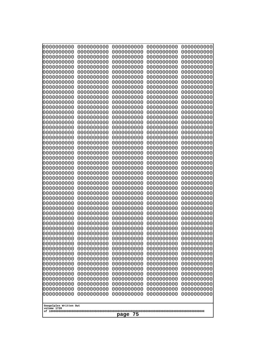| Googolplex Written Out<br>volume 1720 | 0000000000<br>0000000000<br>0000000000<br>0000000000<br>0000000000<br>0000000000<br>0000000000<br>0000000000<br>0000000000<br>0000000000<br>0000000000<br>0000000000<br>0000000000<br>0000000000<br>0000000000<br>0000000000<br>0000000000<br>0000000000<br>0000000000<br>0000000000<br>0000000000<br>0000000000<br>0000000000<br>0000000000<br>0000000000<br>0000000000<br>0000000000<br>0000000000<br>0000000000<br>0000000000<br>0000000000<br>0000000000<br>0000000000<br>0000000000<br>0000000000<br>0000000000<br>0000000000<br>10000000000<br>0000000000<br>0000000000<br>0000000000<br>0000000000<br>0000000000<br>0000000000<br>0000000000<br>0000000000<br>0000000000<br>0000000000<br>0000000000<br>0000000000 | 0000000000<br>0000000000<br>0000000000<br>0000000000<br>0000000000<br>0000000000<br>0000000000<br>0000000000<br>0000000000<br>0000000000<br>0000000000<br>0000000000<br>0000000000<br>0000000000<br>0000000000<br>0000000000<br>0000000000<br>0000000000<br>0000000000<br>0000000000<br>0000000000<br>0000000000<br>0000000000<br>0000000000<br>0000000000<br>0000000000<br>0000000000<br>0000000000<br>0000000000<br>0000000000<br>0000000000<br>0000000000<br>0000000000<br>0000000000<br>0000000000<br>0000000000<br>0000000000<br>0000000000<br>0000000000<br>0000000000<br>0000000000<br>0000000000<br>0000000000<br>0000000000<br>0000000000<br>0000000000<br>0000000000<br>0000000000<br>0000000000<br>0000000000 | 0000000000<br>0000000000<br>0000000000<br>0000000000<br>0000000000<br>0000000000<br>0000000000<br>0000000000<br>0000000000<br>0000000000<br>0000000000<br>0000000000<br>0000000000<br>0000000000<br>0000000000<br>0000000000<br>0000000000<br>0000000000<br>0000000000<br>0000000000<br>0000000000<br>0000000000<br>0000000000<br>0000000000<br>0000000000<br>0000000000<br>0000000000<br>0000000000<br>0000000000<br>0000000000<br>0000000000<br>0000000000<br>0000000000<br>0000000000<br>0000000000<br>0000000000<br>0000000000<br>0000000000<br>0000000000<br>0000000000<br>0000000000<br>0000000000<br>0000000000<br>0000000000<br>0000000000<br>0000000000<br>0000000000<br>0000000000<br>0000000000<br>0000000000 | 0000000000<br>0000000000<br>0000000000<br>0000000000<br>0000000000<br>0000000000<br>0000000000<br>0000000000<br>0000000000<br>0000000000<br>0000000000<br>0000000000<br>0000000000<br>0000000000<br>0000000000<br>0000000000<br>0000000000<br>0000000000<br>0000000000<br>0000000000<br>0000000000<br>0000000000<br>0000000000<br>0000000000<br>0000000000<br>0000000000<br>0000000000<br>0000000000<br>0000000000<br>0000000000<br>0000000000<br>0000000000<br>0000000000<br>0000000000<br>0000000000<br>0000000000<br>0000000000<br>0000000000<br>0000000000<br>0000000000<br>0000000000<br>0000000000<br>0000000000<br>0000000000<br>0000000000<br>0000000000<br>0000000000<br>0000000000<br>0000000000<br>0000000000 | 0000000000<br>0000000000<br>0000000000<br>0000000000<br>0000000000<br>0000000000<br>0000000000<br>0000000000<br>0000000000<br>0000000000<br>0000000000<br>0000000000<br>0000000000<br>0000000000<br>0000000000<br>0000000000<br>0000000000<br>0000000000<br>0000000000<br>0000000000<br>0000000000<br>0000000000<br>0000000000<br>0000000000<br>0000000000<br>0000000000<br>0000000000<br>0000000000<br>0000000000<br>0000000000<br>0000000000<br>0000000000<br>0000000000<br>0000000000<br>0000000000<br>0000000000<br>0000000000<br>0000000000<br>0000000000<br>0000000000<br>0000000000<br>0000000000<br>0000000000<br>0000000000<br>0000000000<br>0000000000<br>0000000000<br>0000000000<br>0000000000<br>0000000000 |
|---------------------------------------|---------------------------------------------------------------------------------------------------------------------------------------------------------------------------------------------------------------------------------------------------------------------------------------------------------------------------------------------------------------------------------------------------------------------------------------------------------------------------------------------------------------------------------------------------------------------------------------------------------------------------------------------------------------------------------------------------------------------------|--------------------------------------------------------------------------------------------------------------------------------------------------------------------------------------------------------------------------------------------------------------------------------------------------------------------------------------------------------------------------------------------------------------------------------------------------------------------------------------------------------------------------------------------------------------------------------------------------------------------------------------------------------------------------------------------------------------------------|--------------------------------------------------------------------------------------------------------------------------------------------------------------------------------------------------------------------------------------------------------------------------------------------------------------------------------------------------------------------------------------------------------------------------------------------------------------------------------------------------------------------------------------------------------------------------------------------------------------------------------------------------------------------------------------------------------------------------|--------------------------------------------------------------------------------------------------------------------------------------------------------------------------------------------------------------------------------------------------------------------------------------------------------------------------------------------------------------------------------------------------------------------------------------------------------------------------------------------------------------------------------------------------------------------------------------------------------------------------------------------------------------------------------------------------------------------------|--------------------------------------------------------------------------------------------------------------------------------------------------------------------------------------------------------------------------------------------------------------------------------------------------------------------------------------------------------------------------------------------------------------------------------------------------------------------------------------------------------------------------------------------------------------------------------------------------------------------------------------------------------------------------------------------------------------------------|
| 75<br>page                            |                                                                                                                                                                                                                                                                                                                                                                                                                                                                                                                                                                                                                                                                                                                           |                                                                                                                                                                                                                                                                                                                                                                                                                                                                                                                                                                                                                                                                                                                          |                                                                                                                                                                                                                                                                                                                                                                                                                                                                                                                                                                                                                                                                                                                          |                                                                                                                                                                                                                                                                                                                                                                                                                                                                                                                                                                                                                                                                                                                          |                                                                                                                                                                                                                                                                                                                                                                                                                                                                                                                                                                                                                                                                                                                          |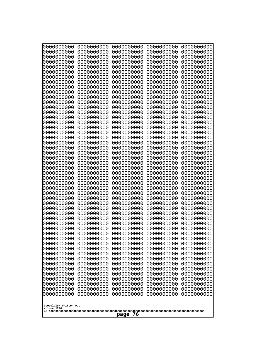| 0000000000                                          | 0000000000 | 0000000000 | 0000000000 | 0000000000 |
|-----------------------------------------------------|------------|------------|------------|------------|
| 0000000000                                          | 0000000000 | 0000000000 | 0000000000 | 0000000000 |
| 0000000000                                          | 0000000000 | 0000000000 | 0000000000 | 0000000000 |
| 0000000000                                          | 0000000000 | 0000000000 | 0000000000 | 0000000000 |
| 1000000000                                          | 0000000000 | 0000000000 | 0000000000 | 0000000000 |
| 0000000000                                          | 0000000000 | 0000000000 | 0000000000 | 0000000000 |
| 0000000000                                          | 0000000000 | 0000000000 | 0000000000 | 0000000000 |
| 0000000000                                          | 0000000000 | 0000000000 | 0000000000 | 0000000000 |
| 0000000000                                          | 0000000000 | 0000000000 | 0000000000 | 0000000000 |
| 0000000000                                          | 0000000000 | 0000000000 | 0000000000 | 0000000000 |
| 0000000000                                          | 0000000000 | 0000000000 | 0000000000 | 0000000000 |
| 0000000000                                          | 0000000000 | 0000000000 | 0000000000 | 0000000000 |
| 0000000000                                          | 0000000000 | 0000000000 | 0000000000 | 0000000000 |
| 0000000000                                          | 0000000000 | 0000000000 | 0000000000 | 0000000000 |
| 0000000000                                          | 0000000000 | 0000000000 | 0000000000 | 0000000000 |
| 0000000000                                          | 0000000000 | 0000000000 | 0000000000 | 0000000000 |
| 0000000000                                          | 0000000000 | 0000000000 | 0000000000 | 0000000000 |
| 0000000000                                          | 0000000000 | 0000000000 | 0000000000 | 0000000000 |
| 0000000000                                          | 0000000000 | 0000000000 | 0000000000 | 0000000000 |
| 0000000000                                          | 0000000000 | 0000000000 | 0000000000 | 0000000000 |
| 0000000000                                          | 0000000000 | 0000000000 | 0000000000 | 0000000000 |
| 0000000000                                          | 0000000000 | 0000000000 | 0000000000 | 0000000000 |
| 0000000000                                          | 0000000000 | 0000000000 | 0000000000 | 0000000000 |
| 0000000000                                          | 0000000000 | 0000000000 | 0000000000 | 0000000000 |
| 0000000000                                          | 0000000000 | 0000000000 | 0000000000 | 0000000000 |
| 0000000000                                          | 0000000000 | 0000000000 | 0000000000 | 0000000000 |
| 0000000000                                          | 0000000000 | 0000000000 | 0000000000 | 0000000000 |
| 0000000000                                          | 0000000000 | 0000000000 | 0000000000 | 0000000000 |
| 0000000000                                          | 0000000000 | 0000000000 | 0000000000 | 0000000000 |
| 0000000000                                          | 0000000000 | 0000000000 | 0000000000 | 0000000000 |
| 0000000000                                          | 0000000000 | 0000000000 | 0000000000 | 0000000000 |
| 0000000000                                          | 0000000000 | 0000000000 | 0000000000 | 0000000000 |
| 0000000000                                          | 0000000000 | 0000000000 | 0000000000 | 0000000000 |
| 0000000000                                          | 0000000000 | 0000000000 | 0000000000 | 0000000000 |
| 0000000000                                          | 0000000000 | 0000000000 | 0000000000 | 0000000000 |
| 0000000000                                          | 0000000000 | 0000000000 | 0000000000 | 0000000000 |
| 0000000000                                          | 0000000000 | 0000000000 | 0000000000 | 0000000000 |
| 0000000000                                          | 0000000000 | 0000000000 | 0000000000 | 0000000000 |
| 0000000000                                          | 0000000000 | 0000000000 | 0000000000 | 0000000000 |
| 0000000000                                          | 0000000000 | 0000000000 | 0000000000 | 0000000000 |
| 0000000000                                          | 0000000000 | 0000000000 | 0000000000 | 0000000000 |
| 0000000000                                          | 0000000000 | 0000000000 | 0000000000 | 0000000000 |
| 0000000000                                          | 0000000000 | 0000000000 | 0000000000 | 0000000000 |
| 0000000000                                          | 0000000000 | 0000000000 | 0000000000 | 0000000000 |
| 0000000000                                          | 0000000000 | 0000000000 | 0000000000 | 0000000000 |
|                                                     |            |            |            |            |
| 0000000000                                          | 0000000000 | 0000000000 | 0000000000 | 0000000000 |
| 0000000000                                          | 0000000000 | 0000000000 | 0000000000 | 0000000000 |
| 0000000000                                          | 0000000000 | 0000000000 | 0000000000 | 0000000000 |
| 0000000000                                          | 0000000000 | 0000000000 | 0000000000 | 0000000000 |
| 0000000000                                          | 0000000000 | 0000000000 | 0000000000 | 0000000000 |
| Googolplex Written Out<br>volume 1720<br>76<br>page |            |            |            |            |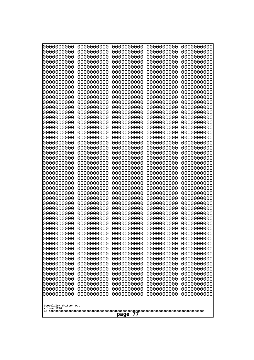| 0000000000<br>0000000000<br>0000000000<br>0000000000<br>0000000000<br>0000000000<br>1000000000<br>0000000000<br>0000000000<br>0000000000<br>0000000000<br>0000000000<br>0000000000<br>0000000000<br>0000000000<br>0000000000<br>0000000000<br>0000000000<br>0000000000<br>0000000000<br>0000000000<br>0000000000<br>0000000000<br>0000000000<br>0000000000<br>0000000000<br>0000000000<br>0000000000<br>0000000000<br>0000000000<br>0000000000<br>0000000000<br>0000000000<br>0000000000<br>0000000000<br>10000000000<br>0000000000<br>0000000000<br>0000000000<br>0000000000<br>0000000000<br>0000000000<br>0000000000<br>0000000000<br>0000000000<br>0000000000<br>0000000000<br>0000000000<br>Googolplex Written Out | 0000000000<br>0000000000<br>0000000000<br>0000000000<br>0000000000<br>0000000000<br>0000000000<br>0000000000<br>0000000000<br>0000000000<br>0000000000<br>0000000000<br>0000000000<br>0000000000<br>0000000000<br>0000000000<br>0000000000<br>0000000000<br>0000000000<br>0000000000<br>0000000000<br>0000000000<br>0000000000<br>0000000000<br>0000000000<br>0000000000<br>0000000000<br>0000000000<br>0000000000<br>0000000000<br>0000000000<br>0000000000<br>0000000000<br>0000000000<br>0000000000<br>0000000000 | 0000000000<br>0000000000<br>0000000000<br>0000000000<br>0000000000<br>0000000000<br>0000000000<br>0000000000<br>0000000000<br>0000000000<br>0000000000<br>0000000000<br>0000000000<br>0000000000<br>0000000000<br>0000000000<br>0000000000<br>0000000000<br>0000000000<br>0000000000<br>0000000000<br>0000000000<br>0000000000<br>0000000000<br>0000000000<br>0000000000<br>0000000000<br>0000000000<br>0000000000<br>0000000000<br>0000000000<br>0000000000<br>0000000000<br>0000000000<br>0000000000<br>0000000000 | 0000000000<br>0000000000<br>0000000000<br>0000000000<br>0000000000<br>0000000000<br>0000000000<br>0000000000<br>0000000000<br>0000000000<br>0000000000<br>0000000000<br>0000000000<br>0000000000<br>0000000000<br>0000000000<br>0000000000<br>0000000000<br>0000000000<br>0000000000<br>0000000000<br>0000000000<br>0000000000<br>0000000000<br>0000000000<br>0000000000<br>0000000000<br>0000000000<br>0000000000<br>0000000000<br>0000000000<br>0000000000<br>0000000000<br>0000000000<br>0000000000<br>0000000000<br>0000000000 | 0000000000<br>0000000000<br>0000000000<br>0000000000<br>0000000000<br>0000000000<br>0000000000<br>0000000000<br>0000000000<br>0000000000<br>0000000000<br>0000000000<br>0000000000<br>0000000000<br>0000000000<br>0000000000<br>0000000000<br>0000000000<br>0000000000<br>0000000000<br>0000000000<br>0000000000<br>0000000000<br>0000000000<br>0000000000<br>0000000000<br>0000000000<br>0000000000<br>0000000000<br>0000000000<br>0000000000<br>0000000000<br>0000000000<br>0000000000<br>0000000000<br>0000000000 |
|-------------------------------------------------------------------------------------------------------------------------------------------------------------------------------------------------------------------------------------------------------------------------------------------------------------------------------------------------------------------------------------------------------------------------------------------------------------------------------------------------------------------------------------------------------------------------------------------------------------------------------------------------------------------------------------------------------------------------|----------------------------------------------------------------------------------------------------------------------------------------------------------------------------------------------------------------------------------------------------------------------------------------------------------------------------------------------------------------------------------------------------------------------------------------------------------------------------------------------------------------------|----------------------------------------------------------------------------------------------------------------------------------------------------------------------------------------------------------------------------------------------------------------------------------------------------------------------------------------------------------------------------------------------------------------------------------------------------------------------------------------------------------------------|------------------------------------------------------------------------------------------------------------------------------------------------------------------------------------------------------------------------------------------------------------------------------------------------------------------------------------------------------------------------------------------------------------------------------------------------------------------------------------------------------------------------------------|----------------------------------------------------------------------------------------------------------------------------------------------------------------------------------------------------------------------------------------------------------------------------------------------------------------------------------------------------------------------------------------------------------------------------------------------------------------------------------------------------------------------|
| volume 1720<br>77<br>page                                                                                                                                                                                                                                                                                                                                                                                                                                                                                                                                                                                                                                                                                               |                                                                                                                                                                                                                                                                                                                                                                                                                                                                                                                      |                                                                                                                                                                                                                                                                                                                                                                                                                                                                                                                      |                                                                                                                                                                                                                                                                                                                                                                                                                                                                                                                                    |                                                                                                                                                                                                                                                                                                                                                                                                                                                                                                                      |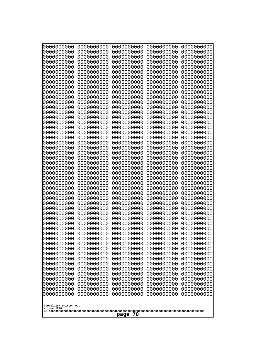| 0000000000                                          | 0000000000 | 0000000000 | 0000000000 | 0000000000 |
|-----------------------------------------------------|------------|------------|------------|------------|
| 1000000000                                          | 0000000000 | 0000000000 | 0000000000 | 0000000000 |
| 1000000000                                          | 0000000000 | 0000000000 | 0000000000 | 0000000000 |
| 0000000000                                          | 0000000000 | 0000000000 | 0000000000 | 0000000000 |
| 0000000000                                          | 0000000000 | 0000000000 | 0000000000 | 0000000000 |
| 0000000000                                          | 0000000000 | 0000000000 | 0000000000 | 0000000000 |
| 0000000000                                          | 0000000000 | 0000000000 | 0000000000 | 0000000000 |
| 0000000000                                          | 0000000000 | 0000000000 | 0000000000 | 0000000000 |
| 0000000000                                          | 0000000000 | 0000000000 | 0000000000 | 0000000000 |
| 0000000000                                          | 0000000000 | 0000000000 | 0000000000 | 0000000000 |
| 0000000000                                          | 0000000000 | 0000000000 | 0000000000 | 0000000000 |
| 0000000000                                          | 0000000000 | 0000000000 | 0000000000 | 0000000000 |
| 0000000000                                          | 0000000000 | 0000000000 | 0000000000 | 0000000000 |
| 0000000000                                          | 0000000000 | 0000000000 | 0000000000 | 0000000000 |
| 0000000000                                          | 0000000000 | 0000000000 | 0000000000 | 0000000000 |
| 0000000000                                          | 0000000000 | 0000000000 | 0000000000 | 0000000000 |
| 0000000000                                          | 0000000000 | 0000000000 | 0000000000 | 0000000000 |
| looooooooo                                          | 0000000000 | 0000000000 | 0000000000 | 0000000000 |
| 0000000000                                          | 0000000000 | 0000000000 | 0000000000 | 0000000000 |
| 0000000000                                          | 0000000000 | 0000000000 | 0000000000 | 0000000000 |
| 0000000000                                          | 0000000000 | 0000000000 | 0000000000 | 0000000000 |
| 0000000000                                          | 0000000000 | 0000000000 | 0000000000 | 0000000000 |
| 0000000000                                          | 0000000000 | 0000000000 | 0000000000 | 0000000000 |
| 0000000000                                          | 0000000000 | 0000000000 | 0000000000 | 0000000000 |
| 0000000000                                          | 0000000000 | 0000000000 | 0000000000 | 0000000000 |
| 0000000000                                          | 0000000000 | 0000000000 | 0000000000 | 0000000000 |
| 0000000000                                          | 0000000000 | 0000000000 | 0000000000 | 0000000000 |
| 0000000000                                          | 0000000000 | 0000000000 | 0000000000 | 0000000000 |
| 0000000000                                          | 0000000000 | 0000000000 | 0000000000 | 0000000000 |
| 0000000000                                          | 0000000000 | 0000000000 | 0000000000 | 0000000000 |
| 0000000000                                          | 0000000000 | 0000000000 | 0000000000 | 0000000000 |
| 0000000000                                          | 0000000000 | 0000000000 | 0000000000 | 0000000000 |
| 0000000000                                          | 0000000000 | 0000000000 | 0000000000 | 0000000000 |
| 0000000000                                          | 0000000000 | 0000000000 | 0000000000 | 0000000000 |
| 0000000000                                          | 0000000000 | 0000000000 | 0000000000 | 0000000000 |
| 0000000000                                          | 0000000000 | 0000000000 | 0000000000 | 0000000000 |
| 0000000000                                          | 0000000000 | 0000000000 | 0000000000 | 0000000000 |
| 0000000000                                          | 0000000000 | 0000000000 | 0000000000 | 0000000000 |
| 0000000000                                          | 0000000000 | 0000000000 | 0000000000 | 0000000000 |
| 0000000000                                          | 0000000000 | 0000000000 | 0000000000 | 0000000000 |
| 0000000000                                          | 0000000000 | 0000000000 | 0000000000 | 0000000000 |
| 0000000000                                          | 0000000000 | 0000000000 | 0000000000 | 0000000000 |
| 0000000000                                          | 0000000000 | 0000000000 | 0000000000 | 0000000000 |
| 0000000000                                          | 0000000000 | 0000000000 | 0000000000 | 0000000000 |
| 0000000000                                          | 0000000000 | 0000000000 | 0000000000 | 0000000000 |
| 0000000000                                          | 0000000000 | 0000000000 | 0000000000 | 0000000000 |
| 0000000000                                          | 0000000000 | 0000000000 | 0000000000 | 0000000000 |
| 0000000000                                          | 0000000000 | 0000000000 | 0000000000 | 0000000000 |
| 0000000000                                          | 0000000000 | 0000000000 | 0000000000 | 0000000000 |
| Googolplex Written Out<br>volume 1720<br>78<br>page |            |            |            |            |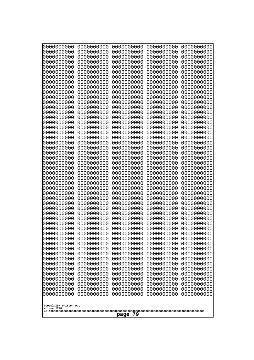| 0000000000                                          | 0000000000 | 0000000000 | 0000000000 | 0000000000 |
|-----------------------------------------------------|------------|------------|------------|------------|
| 0000000000                                          | 0000000000 | 0000000000 | 0000000000 | 0000000000 |
| 0000000000                                          | 0000000000 | 0000000000 | 0000000000 | 0000000000 |
| 0000000000                                          | 0000000000 | 0000000000 | 0000000000 | 0000000000 |
| 0000000000                                          | 0000000000 | 0000000000 | 0000000000 | 0000000000 |
| 0000000000                                          | 0000000000 | 0000000000 | 0000000000 | 0000000000 |
| 0000000000                                          | 0000000000 | 0000000000 | 0000000000 | 0000000000 |
| 0000000000                                          | 0000000000 | 0000000000 | 0000000000 | 0000000000 |
| 0000000000                                          | 0000000000 | 0000000000 | 0000000000 | 0000000000 |
| 0000000000                                          | 0000000000 | 0000000000 | 0000000000 | 0000000000 |
| 0000000000                                          | 0000000000 | 0000000000 | 0000000000 | 0000000000 |
| 0000000000                                          | 0000000000 | 0000000000 | 0000000000 | 0000000000 |
| 0000000000                                          | 0000000000 | 0000000000 | 0000000000 | 0000000000 |
| 0000000000                                          | 0000000000 | 0000000000 | 0000000000 | 0000000000 |
| 0000000000                                          | 0000000000 | 0000000000 | 0000000000 | 0000000000 |
| 0000000000                                          | 0000000000 | 0000000000 | 0000000000 | 0000000000 |
| 0000000000                                          | 0000000000 | 0000000000 | 0000000000 | 0000000000 |
| 0000000000                                          | 0000000000 | 0000000000 | 0000000000 | 0000000000 |
| 0000000000                                          | 0000000000 | 0000000000 | 0000000000 | 0000000000 |
| 0000000000                                          | 0000000000 | 0000000000 | 0000000000 | 0000000000 |
| 0000000000                                          | 0000000000 | 0000000000 | 0000000000 | 0000000000 |
| 0000000000                                          | 0000000000 | 0000000000 | 0000000000 | 0000000000 |
| 0000000000                                          | 0000000000 | 0000000000 | 0000000000 | 0000000000 |
| 0000000000                                          | 0000000000 | 0000000000 | 0000000000 | 0000000000 |
| 0000000000                                          | 0000000000 | 0000000000 | 0000000000 | 0000000000 |
| 0000000000                                          | 0000000000 | 0000000000 | 0000000000 | 0000000000 |
| 0000000000                                          | 0000000000 | 0000000000 | 0000000000 | 0000000000 |
| 0000000000                                          | 0000000000 | 0000000000 | 0000000000 | 0000000000 |
| 0000000000                                          | 0000000000 | 0000000000 | 0000000000 | 0000000000 |
| 0000000000                                          | 0000000000 | 0000000000 | 0000000000 | 0000000000 |
| 0000000000                                          | 0000000000 | 0000000000 | 0000000000 | 0000000000 |
| 0000000000                                          | 0000000000 | 0000000000 | 0000000000 | 0000000000 |
| 0000000000                                          | 0000000000 | 0000000000 | 0000000000 | 0000000000 |
| 0000000000                                          | 0000000000 | 0000000000 | 0000000000 | 0000000000 |
| 0000000000                                          | 0000000000 | 0000000000 | 0000000000 | 0000000000 |
| 0000000000                                          | 0000000000 | 0000000000 | 0000000000 | 0000000000 |
| 0000000000                                          | 0000000000 | 0000000000 | 0000000000 | 0000000000 |
| 0000000000                                          | 0000000000 | 0000000000 | 0000000000 | 0000000000 |
| 0000000000                                          | 0000000000 | 0000000000 | 0000000000 | 0000000000 |
| 0000000000                                          | 0000000000 | 0000000000 | 0000000000 | 0000000000 |
| 0000000000                                          | 0000000000 | 0000000000 | 0000000000 | 0000000000 |
| 0000000000                                          | 0000000000 | 0000000000 | 0000000000 | 0000000000 |
| 0000000000                                          | 0000000000 | 0000000000 | 0000000000 | 0000000000 |
| 0000000000                                          | 0000000000 | 0000000000 | 0000000000 | 0000000000 |
| 0000000000                                          | 0000000000 | 0000000000 | 0000000000 | 0000000000 |
|                                                     |            |            |            |            |
| 0000000000                                          | 0000000000 | 0000000000 | 0000000000 | 0000000000 |
| 0000000000                                          | 0000000000 | 0000000000 | 0000000000 | 0000000000 |
| 0000000000                                          | 0000000000 | 0000000000 | 0000000000 | 0000000000 |
| 0000000000                                          | 0000000000 | 0000000000 | 0000000000 | 0000000000 |
| 0000000000                                          | 0000000000 | 0000000000 | 0000000000 | 0000000000 |
| Googolplex Written Out<br>volume 1720<br>79<br>page |            |            |            |            |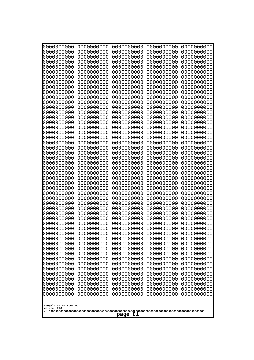| 0000000000                                                                                                                               | 0000000000                                           | 0000000000                                           | 0000000000                                           | 0000000000                                           |  |
|------------------------------------------------------------------------------------------------------------------------------------------|------------------------------------------------------|------------------------------------------------------|------------------------------------------------------|------------------------------------------------------|--|
| 0000000000                                                                                                                               | 0000000000                                           | 0000000000                                           | 0000000000                                           | 0000000000                                           |  |
| 0000000000                                                                                                                               | 0000000000                                           | 0000000000                                           | 0000000000                                           | 0000000000                                           |  |
| 0000000000                                                                                                                               | 0000000000                                           | 0000000000                                           | 0000000000                                           | 0000000000                                           |  |
| 0000000000                                                                                                                               | 0000000000                                           | 0000000000                                           | 0000000000                                           | 0000000000                                           |  |
| 0000000000                                                                                                                               | 0000000000                                           | 0000000000                                           | 0000000000                                           | 0000000000                                           |  |
| 0000000000                                                                                                                               | 0000000000                                           | 0000000000                                           | 0000000000                                           | 0000000000                                           |  |
| 0000000000                                                                                                                               | 0000000000                                           | 0000000000                                           | 0000000000                                           | 0000000000                                           |  |
| 0000000000                                                                                                                               | 0000000000                                           | 0000000000                                           | 0000000000                                           | 0000000000                                           |  |
| 0000000000                                                                                                                               | 0000000000                                           | 0000000000                                           | 0000000000                                           | 0000000000                                           |  |
| 0000000000                                                                                                                               | 0000000000                                           | 0000000000                                           | 0000000000                                           | 0000000000                                           |  |
| 0000000000                                                                                                                               | 0000000000                                           | 0000000000                                           | 0000000000                                           | 0000000000                                           |  |
| 0000000000                                                                                                                               | 0000000000                                           | 0000000000                                           | 0000000000                                           | 0000000000                                           |  |
| 0000000000                                                                                                                               | 0000000000                                           | 0000000000                                           | 0000000000                                           | 0000000000                                           |  |
| 0000000000                                                                                                                               | 0000000000                                           | 0000000000                                           | 0000000000                                           | 0000000000                                           |  |
| 0000000000                                                                                                                               | 0000000000                                           | 0000000000                                           | 0000000000                                           | 0000000000                                           |  |
| 0000000000                                                                                                                               | 0000000000                                           | 0000000000                                           | 0000000000                                           | 0000000000                                           |  |
| 0000000000                                                                                                                               | 0000000000                                           | 0000000000                                           | 0000000000                                           | 0000000000                                           |  |
| 0000000000                                                                                                                               | 0000000000                                           | 0000000000                                           | 0000000000                                           | 0000000000                                           |  |
| 0000000000                                                                                                                               | 0000000000                                           | 0000000000                                           | 0000000000                                           | 0000000000                                           |  |
| 0000000000                                                                                                                               | 0000000000                                           | 0000000000                                           | 0000000000                                           | 0000000000                                           |  |
| 0000000000                                                                                                                               | 0000000000                                           | 0000000000                                           | 0000000000                                           | 0000000000                                           |  |
| 0000000000                                                                                                                               | 0000000000                                           | 0000000000                                           | 0000000000                                           | 0000000000                                           |  |
| 0000000000                                                                                                                               | 0000000000                                           | 0000000000                                           | 0000000000                                           | 0000000000                                           |  |
| 0000000000                                                                                                                               | 0000000000                                           | 0000000000                                           | 0000000000                                           | 0000000000                                           |  |
| 0000000000                                                                                                                               | 0000000000                                           | 0000000000                                           | 0000000000                                           | 0000000000                                           |  |
| 0000000000                                                                                                                               | 0000000000                                           | 0000000000                                           | 0000000000                                           | 0000000000                                           |  |
| 0000000000                                                                                                                               | 0000000000                                           | 0000000000                                           | 0000000000                                           | 0000000000                                           |  |
| 0000000000                                                                                                                               | 0000000000                                           | 0000000000                                           | 0000000000                                           | 0000000000                                           |  |
| 0000000000                                                                                                                               | 0000000000                                           | 0000000000                                           | 0000000000                                           | 0000000000                                           |  |
| 0000000000                                                                                                                               | 0000000000                                           | 0000000000                                           | 0000000000                                           | 0000000000                                           |  |
| 0000000000                                                                                                                               | 0000000000                                           | 0000000000                                           | 0000000000                                           | 0000000000                                           |  |
| 0000000000<br>0000000000<br>0000000000                                                                                                   | 0000000000<br>0000000000<br>0000000000               | 0000000000<br>0000000000<br>0000000000<br>0000000000 | 0000000000<br>0000000000<br>0000000000               | 0000000000<br>0000000000<br>0000000000<br>0000000000 |  |
| 0000000000<br>0000000000<br>0000000000<br>0000000000                                                                                     | 0000000000<br>0000000000<br>0000000000<br>0000000000 | 0000000000<br>0000000000<br>0000000000               | 0000000000<br>0000000000<br>0000000000<br>0000000000 | 0000000000<br>0000000000<br>0000000000               |  |
| 0000000000                                                                                                                               | 0000000000                                           | 0000000000                                           | 0000000000                                           | 0000000000                                           |  |
| 0000000000                                                                                                                               | 0000000000                                           | 0000000000                                           | 0000000000                                           | 0000000000                                           |  |
| 0000000000                                                                                                                               | 0000000000                                           | 0000000000                                           | 0000000000                                           | 0000000000                                           |  |
| 0000000000                                                                                                                               | 0000000000                                           | 0000000000                                           | 0000000000                                           | 0000000000                                           |  |
| 0000000000                                                                                                                               | 0000000000                                           | 0000000000                                           | 0000000000                                           | 0000000000                                           |  |
| 0000000000                                                                                                                               | 0000000000                                           | 0000000000                                           | 0000000000                                           | 0000000000                                           |  |
| 0000000000                                                                                                                               | 0000000000                                           | 0000000000                                           | 0000000000                                           | 0000000000                                           |  |
| 0000000000                                                                                                                               | 0000000000                                           | 0000000000                                           | 0000000000                                           | 0000000000                                           |  |
| 0000000000                                                                                                                               | 0000000000                                           | 0000000000                                           | 0000000000                                           | 0000000000                                           |  |
| 0000000000<br>0000000000<br>0000000000<br>0000000000<br>0000000000<br>0000000000<br>0000000000<br>0000000000<br>0000000000<br>0000000000 |                                                      |                                                      |                                                      |                                                      |  |
| Googolplex Written Out<br>volume 1720<br>page 81                                                                                         |                                                      |                                                      |                                                      |                                                      |  |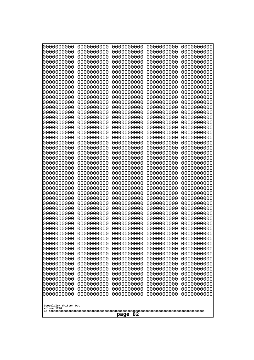| Googolplex Written Out<br>volume 1720 | 0000000000<br>0000000000<br>0000000000<br>0000000000<br>0000000000<br>0000000000<br>0000000000<br>0000000000<br>0000000000<br>0000000000<br>0000000000<br>0000000000<br>0000000000<br>0000000000<br>0000000000<br>0000000000<br>0000000000<br>0000000000<br>0000000000<br>0000000000<br>0000000000<br>0000000000<br>0000000000<br>0000000000<br>0000000000<br>0000000000<br>0000000000<br>0000000000<br>0000000000<br>0000000000<br>0000000000<br>0000000000<br>0000000000<br>0000000000<br>0000000000<br>0000000000<br>10000000000<br>0000000000<br>0000000000<br>0000000000<br>0000000000<br>0000000000<br>0000000000<br>0000000000<br>0000000000<br>0000000000<br>0000000000<br>0000000000<br>0000000000 | 0000000000<br>0000000000<br>0000000000<br>0000000000<br>0000000000<br>0000000000<br>0000000000<br>0000000000<br>0000000000<br>0000000000<br>0000000000<br>0000000000<br>0000000000<br>0000000000<br>0000000000<br>0000000000<br>0000000000<br>0000000000<br>0000000000<br>0000000000<br>0000000000<br>0000000000<br>0000000000<br>0000000000<br>0000000000<br>0000000000<br>0000000000<br>0000000000<br>0000000000<br>0000000000<br>0000000000<br>0000000000<br>0000000000<br>0000000000<br>0000000000<br>0000000000<br>0000000000<br>0000000000<br>0000000000<br>0000000000<br>0000000000<br>0000000000<br>0000000000<br>0000000000<br>0000000000<br>0000000000<br>0000000000<br>0000000000 | 0000000000<br>0000000000<br>0000000000<br>0000000000<br>0000000000<br>0000000000<br>0000000000<br>0000000000<br>0000000000<br>0000000000<br>0000000000<br>0000000000<br>0000000000<br>0000000000<br>0000000000<br>0000000000<br>0000000000<br>0000000000<br>0000000000<br>0000000000<br>0000000000<br>0000000000<br>0000000000<br>0000000000<br>0000000000<br>0000000000<br>0000000000<br>0000000000<br>0000000000<br>0000000000<br>0000000000<br>0000000000<br>0000000000<br>0000000000<br>0000000000<br>0000000000<br>0000000000<br>0000000000<br>0000000000<br>0000000000<br>0000000000<br>0000000000<br>0000000000<br>0000000000<br>0000000000<br>0000000000<br>0000000000<br>0000000000 | 0000000000<br>0000000000<br>0000000000<br>0000000000<br>0000000000<br>0000000000<br>0000000000<br>0000000000<br>0000000000<br>0000000000<br>0000000000<br>0000000000<br>0000000000<br>0000000000<br>0000000000<br>0000000000<br>0000000000<br>0000000000<br>0000000000<br>0000000000<br>0000000000<br>0000000000<br>0000000000<br>0000000000<br>0000000000<br>0000000000<br>0000000000<br>0000000000<br>0000000000<br>0000000000<br>0000000000<br>0000000000<br>0000000000<br>0000000000<br>0000000000<br>0000000000<br>0000000000<br>0000000000<br>0000000000<br>0000000000<br>0000000000<br>0000000000<br>0000000000<br>0000000000<br>0000000000<br>0000000000<br>0000000000<br>0000000000 | 0000000000<br>0000000000<br>0000000000<br>0000000000<br>0000000000<br>0000000000<br>0000000000<br>0000000000<br>0000000000<br>0000000000<br>0000000000<br>0000000000<br>0000000000<br>0000000000<br>0000000000<br>0000000000<br>0000000000<br>0000000000<br>0000000000<br>0000000000<br>0000000000<br>0000000000<br>0000000000<br>0000000000<br>0000000000<br>0000000000<br>0000000000<br>0000000000<br>0000000000<br>0000000000<br>0000000000<br>0000000000<br>0000000000<br>0000000000<br>0000000000<br>0000000000<br>0000000000<br>0000000000<br>0000000000<br>0000000000<br>0000000000<br>0000000000<br>0000000000<br>0000000000<br>0000000000<br>0000000000<br>0000000000<br>0000000000 |
|---------------------------------------|-------------------------------------------------------------------------------------------------------------------------------------------------------------------------------------------------------------------------------------------------------------------------------------------------------------------------------------------------------------------------------------------------------------------------------------------------------------------------------------------------------------------------------------------------------------------------------------------------------------------------------------------------------------------------------------------------------------|----------------------------------------------------------------------------------------------------------------------------------------------------------------------------------------------------------------------------------------------------------------------------------------------------------------------------------------------------------------------------------------------------------------------------------------------------------------------------------------------------------------------------------------------------------------------------------------------------------------------------------------------------------------------------------------------|----------------------------------------------------------------------------------------------------------------------------------------------------------------------------------------------------------------------------------------------------------------------------------------------------------------------------------------------------------------------------------------------------------------------------------------------------------------------------------------------------------------------------------------------------------------------------------------------------------------------------------------------------------------------------------------------|----------------------------------------------------------------------------------------------------------------------------------------------------------------------------------------------------------------------------------------------------------------------------------------------------------------------------------------------------------------------------------------------------------------------------------------------------------------------------------------------------------------------------------------------------------------------------------------------------------------------------------------------------------------------------------------------|----------------------------------------------------------------------------------------------------------------------------------------------------------------------------------------------------------------------------------------------------------------------------------------------------------------------------------------------------------------------------------------------------------------------------------------------------------------------------------------------------------------------------------------------------------------------------------------------------------------------------------------------------------------------------------------------|
| 82<br>page                            |                                                                                                                                                                                                                                                                                                                                                                                                                                                                                                                                                                                                                                                                                                             |                                                                                                                                                                                                                                                                                                                                                                                                                                                                                                                                                                                                                                                                                              |                                                                                                                                                                                                                                                                                                                                                                                                                                                                                                                                                                                                                                                                                              |                                                                                                                                                                                                                                                                                                                                                                                                                                                                                                                                                                                                                                                                                              |                                                                                                                                                                                                                                                                                                                                                                                                                                                                                                                                                                                                                                                                                              |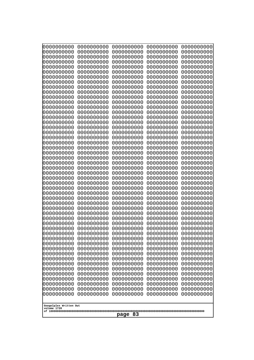| 0000000000                                       | 0000000000 | 0000000000 | 0000000000 | 0000000000 |
|--------------------------------------------------|------------|------------|------------|------------|
| 0000000000                                       | 0000000000 | 0000000000 | 0000000000 | 0000000000 |
| 0000000000                                       | 0000000000 | 0000000000 | 0000000000 | 0000000000 |
| 0000000000                                       | 0000000000 | 0000000000 | 0000000000 | 0000000000 |
| 0000000000                                       | 0000000000 | 0000000000 | 0000000000 | 0000000000 |
| 0000000000                                       | 0000000000 | 0000000000 | 0000000000 | 0000000000 |
| 0000000000                                       | 0000000000 | 0000000000 | 0000000000 | 0000000000 |
| 0000000000                                       | 0000000000 | 0000000000 | 0000000000 | 0000000000 |
| 0000000000                                       | 0000000000 | 0000000000 | 0000000000 | 0000000000 |
| 0000000000                                       | 0000000000 | 0000000000 | 0000000000 | 0000000000 |
| 0000000000                                       | 0000000000 | 0000000000 | 0000000000 | 0000000000 |
| 0000000000                                       | 0000000000 | 0000000000 | 0000000000 | 0000000000 |
| 0000000000                                       | 0000000000 | 0000000000 | 0000000000 | 0000000000 |
| 0000000000                                       | 0000000000 | 0000000000 | 0000000000 | 0000000000 |
| 0000000000                                       | 0000000000 | 0000000000 | 0000000000 | 0000000000 |
| 0000000000                                       | 0000000000 | 0000000000 | 0000000000 | 0000000000 |
| 0000000000                                       | 0000000000 | 0000000000 | 0000000000 | 0000000000 |
| 0000000000                                       | 0000000000 | 0000000000 | 0000000000 | 0000000000 |
| 0000000000                                       | 0000000000 | 0000000000 | 0000000000 | 0000000000 |
| 0000000000                                       | 0000000000 | 0000000000 | 0000000000 | 0000000000 |
| 0000000000                                       | 0000000000 | 0000000000 | 0000000000 | 0000000000 |
| 0000000000                                       | 0000000000 | 0000000000 | 0000000000 | 0000000000 |
| 0000000000                                       | 0000000000 | 0000000000 | 0000000000 | 0000000000 |
| 0000000000                                       | 0000000000 | 0000000000 | 0000000000 | 0000000000 |
| 0000000000                                       | 0000000000 | 0000000000 | 0000000000 | 0000000000 |
| 0000000000                                       | 0000000000 | 0000000000 | 0000000000 | 0000000000 |
| 0000000000                                       | 0000000000 | 0000000000 | 0000000000 | 0000000000 |
| 0000000000                                       | 0000000000 | 0000000000 | 0000000000 | 0000000000 |
| 0000000000                                       | 0000000000 | 0000000000 | 0000000000 | 0000000000 |
| 0000000000                                       | 0000000000 | 0000000000 | 0000000000 | 0000000000 |
| 0000000000                                       | 0000000000 | 0000000000 | 0000000000 | 0000000000 |
| 0000000000                                       | 0000000000 | 0000000000 | 0000000000 | 0000000000 |
| 0000000000                                       | 0000000000 | 0000000000 | 0000000000 | 0000000000 |
| 0000000000                                       | 0000000000 | 0000000000 | 0000000000 | 0000000000 |
| 0000000000                                       | 0000000000 | 0000000000 | 0000000000 | 0000000000 |
| 0000000000                                       | 0000000000 | 0000000000 | 0000000000 | 0000000000 |
| 0000000000                                       | 0000000000 | 0000000000 | 0000000000 | 0000000000 |
| 0000000000                                       | 0000000000 | 0000000000 | 0000000000 | 0000000000 |
| 0000000000                                       | 0000000000 | 0000000000 | 0000000000 | 0000000000 |
| 0000000000                                       | 0000000000 | 0000000000 | 0000000000 | 0000000000 |
| 0000000000                                       | 0000000000 | 0000000000 | 0000000000 | 0000000000 |
| 0000000000                                       | 0000000000 | 0000000000 | 0000000000 | 0000000000 |
| 0000000000                                       | 0000000000 | 0000000000 | 0000000000 | 0000000000 |
| 0000000000                                       | 0000000000 | 0000000000 | 0000000000 | 0000000000 |
| 0000000000                                       | 0000000000 | 0000000000 | 0000000000 | 0000000000 |
| 0000000000                                       | 0000000000 | 0000000000 | 0000000000 | 0000000000 |
| 0000000000                                       | 0000000000 | 0000000000 | 0000000000 | 0000000000 |
| 0000000000                                       | 0000000000 | 0000000000 | 0000000000 | 0000000000 |
| 0000000000                                       | 0000000000 | 0000000000 | 0000000000 | 0000000000 |
| 0000000000                                       | 0000000000 | 0000000000 | 0000000000 | 0000000000 |
| Googolplex Written Out<br>volume 1720<br>page 83 |            |            |            |            |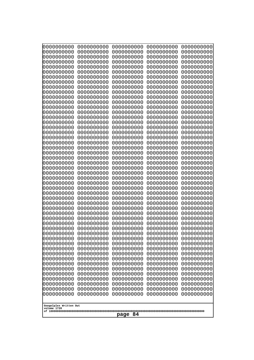| 0000000000<br>0000000000<br>0000000000<br>0000000000<br>0000000000<br>0000000000<br>0000000000<br>0000000000<br>0000000000<br>0000000000<br>0000000000<br>0000000000<br>0000000000<br>0000000000<br>0000000000 |            |            |            |            |  |
|----------------------------------------------------------------------------------------------------------------------------------------------------------------------------------------------------------------|------------|------------|------------|------------|--|
| 0000000000                                                                                                                                                                                                     | 0000000000 | 0000000000 | 0000000000 | 0000000000 |  |
| 0000000000                                                                                                                                                                                                     | 0000000000 | 0000000000 | 0000000000 | 0000000000 |  |
| 0000000000                                                                                                                                                                                                     | 0000000000 | 0000000000 | 0000000000 | 0000000000 |  |
| 0000000000                                                                                                                                                                                                     | 0000000000 | 0000000000 | 0000000000 | 0000000000 |  |
| 0000000000                                                                                                                                                                                                     | 0000000000 | 0000000000 | 0000000000 | 0000000000 |  |
| 0000000000                                                                                                                                                                                                     | 0000000000 | 0000000000 | 0000000000 | 0000000000 |  |
| 0000000000                                                                                                                                                                                                     | 0000000000 | 0000000000 | 0000000000 | 0000000000 |  |
| 0000000000                                                                                                                                                                                                     | 0000000000 | 0000000000 | 0000000000 | 0000000000 |  |
| 0000000000                                                                                                                                                                                                     | 0000000000 | 0000000000 | 0000000000 | 0000000000 |  |
| 0000000000                                                                                                                                                                                                     | 0000000000 | 0000000000 | 0000000000 | 0000000000 |  |
| 0000000000                                                                                                                                                                                                     | 0000000000 | 0000000000 | 0000000000 | 0000000000 |  |
| 0000000000                                                                                                                                                                                                     | 0000000000 | 0000000000 | 0000000000 | 0000000000 |  |
| 0000000000                                                                                                                                                                                                     | 0000000000 | 0000000000 | 0000000000 | 0000000000 |  |
| 0000000000                                                                                                                                                                                                     | 0000000000 | 0000000000 | 0000000000 | 0000000000 |  |
| 0000000000                                                                                                                                                                                                     | 0000000000 | 0000000000 | 0000000000 | 0000000000 |  |
| 0000000000                                                                                                                                                                                                     | 0000000000 | 0000000000 | 0000000000 | 0000000000 |  |
| 0000000000                                                                                                                                                                                                     | 0000000000 | 0000000000 | 0000000000 | 0000000000 |  |
| 0000000000                                                                                                                                                                                                     | 0000000000 | 0000000000 | 0000000000 | 0000000000 |  |
| 0000000000                                                                                                                                                                                                     | 0000000000 | 0000000000 | 0000000000 | 0000000000 |  |
| 0000000000                                                                                                                                                                                                     | 0000000000 | 0000000000 | 0000000000 | 0000000000 |  |
| 0000000000                                                                                                                                                                                                     | 0000000000 | 0000000000 | 0000000000 | 0000000000 |  |
| 0000000000                                                                                                                                                                                                     | 0000000000 | 0000000000 | 0000000000 | 0000000000 |  |
| 0000000000                                                                                                                                                                                                     | 0000000000 | 0000000000 | 0000000000 | 0000000000 |  |
| 0000000000                                                                                                                                                                                                     | 0000000000 | 0000000000 | 0000000000 | 0000000000 |  |
| 0000000000                                                                                                                                                                                                     | 0000000000 | 0000000000 | 0000000000 | 0000000000 |  |
| 0000000000                                                                                                                                                                                                     | 0000000000 | 0000000000 | 0000000000 | 0000000000 |  |
| 0000000000                                                                                                                                                                                                     | 0000000000 | 0000000000 | 0000000000 | 0000000000 |  |
| 0000000000                                                                                                                                                                                                     | 0000000000 | 0000000000 | 0000000000 | 0000000000 |  |
| 0000000000                                                                                                                                                                                                     | 0000000000 | 0000000000 | 0000000000 | 0000000000 |  |
| 0000000000                                                                                                                                                                                                     | 0000000000 | 0000000000 | 0000000000 | 0000000000 |  |
| 0000000000                                                                                                                                                                                                     | 0000000000 | 0000000000 | 0000000000 | 0000000000 |  |
| 0000000000                                                                                                                                                                                                     | 0000000000 | 0000000000 | 0000000000 | 0000000000 |  |
| 0000000000                                                                                                                                                                                                     | 0000000000 | 0000000000 | 0000000000 | 0000000000 |  |
| 0000000000                                                                                                                                                                                                     | 0000000000 | 0000000000 | 0000000000 | 0000000000 |  |
| 0000000000                                                                                                                                                                                                     | 0000000000 | 0000000000 | 0000000000 | 0000000000 |  |
| 0000000000                                                                                                                                                                                                     | 0000000000 | 0000000000 | 0000000000 | 0000000000 |  |
| 0000000000                                                                                                                                                                                                     | 0000000000 | 0000000000 | 0000000000 | 0000000000 |  |
| 0000000000                                                                                                                                                                                                     | 0000000000 | 0000000000 | 0000000000 | 0000000000 |  |
| 0000000000                                                                                                                                                                                                     | 0000000000 | 0000000000 | 0000000000 | 0000000000 |  |
| 0000000000                                                                                                                                                                                                     | 0000000000 | 0000000000 | 0000000000 | 0000000000 |  |
| 0000000000                                                                                                                                                                                                     | 0000000000 | 0000000000 | 0000000000 | 0000000000 |  |
| 0000000000                                                                                                                                                                                                     | 0000000000 | 0000000000 | 0000000000 | 0000000000 |  |
| 0000000000                                                                                                                                                                                                     | 0000000000 | 0000000000 | 0000000000 | 0000000000 |  |
| 0000000000                                                                                                                                                                                                     | 0000000000 | 0000000000 | 0000000000 | 0000000000 |  |
| 0000000000                                                                                                                                                                                                     | 0000000000 | 0000000000 | 0000000000 | 0000000000 |  |
| 0000000000                                                                                                                                                                                                     | 0000000000 | 0000000000 | 0000000000 | 0000000000 |  |
| 0000000000<br>Googolplex Written Out<br>volume 1720                                                                                                                                                            | 0000000000 | 0000000000 | 0000000000 | 0000000000 |  |
| page 84                                                                                                                                                                                                        |            |            |            |            |  |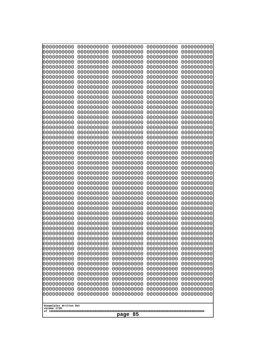| 0000000000<br>1000000000              | 0000000000<br>0000000000 | 0000000000<br>0000000000 | 0000000000<br>0000000000 | 0000000000<br>0000000000 |
|---------------------------------------|--------------------------|--------------------------|--------------------------|--------------------------|
| 1000000000                            | 0000000000               | 0000000000               | 0000000000               | 0000000000               |
| 0000000000                            | 0000000000               | 0000000000               | 0000000000               | 0000000000               |
| 0000000000<br>0000000000              | 0000000000<br>0000000000 | 0000000000<br>0000000000 | 0000000000<br>0000000000 | 0000000000<br>0000000000 |
| 0000000000                            | 0000000000               | 0000000000               | 0000000000               | 0000000000               |
| 0000000000                            | 0000000000               | 0000000000               | 0000000000               | 0000000000               |
| 0000000000<br>0000000000              | 0000000000<br>0000000000 | 0000000000<br>0000000000 | 0000000000<br>0000000000 | 0000000000<br>0000000000 |
| 0000000000                            | 0000000000               | 0000000000               | 0000000000               | 0000000000               |
| 0000000000<br>0000000000              | 0000000000<br>0000000000 | 0000000000<br>0000000000 | 0000000000<br>0000000000 | 0000000000<br>0000000000 |
| 0000000000                            | 0000000000               | 0000000000               | 0000000000               | 0000000000               |
| 0000000000                            | 0000000000               | 0000000000               | 0000000000               | 0000000000               |
| 0000000000<br>0000000000              | 0000000000<br>0000000000 | 0000000000<br>0000000000 | 0000000000<br>0000000000 | 0000000000<br>0000000000 |
| 0000000000                            | 0000000000               | 0000000000               | 0000000000               | 0000000000               |
| looooooooo                            | 0000000000               | 0000000000               | 0000000000               | 0000000000               |
| 0000000000<br>0000000000              | 0000000000<br>0000000000 | 0000000000<br>0000000000 | 0000000000<br>0000000000 | 0000000000<br>0000000000 |
| 0000000000                            | 0000000000               | 0000000000               | 0000000000               | 0000000000               |
| 0000000000<br>0000000000              | 0000000000<br>0000000000 | 0000000000<br>0000000000 | 0000000000<br>0000000000 | 0000000000<br>0000000000 |
| 0000000000                            | 0000000000               | 0000000000               | 0000000000               | 0000000000               |
| 0000000000                            | 0000000000               | 0000000000               | 0000000000               | 0000000000               |
| 0000000000<br>0000000000              | 0000000000<br>0000000000 | 0000000000<br>0000000000 | 0000000000<br>0000000000 | 0000000000<br>0000000000 |
| 0000000000                            | 0000000000               | 0000000000               | 0000000000               | 0000000000               |
| 0000000000<br>0000000000              | 0000000000<br>0000000000 | 0000000000<br>0000000000 | 0000000000<br>0000000000 | 0000000000<br>0000000000 |
| 0000000000                            | 0000000000               | 0000000000               | 0000000000               | 0000000000               |
| 0000000000                            | 0000000000               | 0000000000               | 0000000000               | 0000000000               |
| 0000000000<br>0000000000              | 0000000000<br>0000000000 | 0000000000<br>0000000000 | 0000000000<br>0000000000 | 0000000000<br>0000000000 |
| 0000000000                            | 0000000000               | 0000000000               | 0000000000               | 0000000000               |
| 0000000000<br>0000000000              | 0000000000<br>0000000000 | 0000000000<br>0000000000 | 0000000000<br>0000000000 | 0000000000<br>0000000000 |
| 0000000000                            | 0000000000               | 0000000000               | 0000000000               | 0000000000               |
| 0000000000                            | 0000000000               | 0000000000               | 0000000000               | 0000000000               |
| 0000000000<br>0000000000              | 0000000000<br>0000000000 | 0000000000<br>0000000000 | 0000000000<br>0000000000 | 0000000000<br>0000000000 |
| 0000000000                            | 0000000000               | 0000000000               | 0000000000               | 0000000000               |
| 0000000000<br>0000000000              | 0000000000<br>0000000000 | 0000000000<br>0000000000 | 0000000000<br>0000000000 | 0000000000<br>0000000000 |
| 0000000000                            | 0000000000               | 0000000000               | 0000000000               | 0000000000               |
| 0000000000                            | 0000000000               | 0000000000               | 0000000000               | 0000000000               |
| 0000000000<br>0000000000              | 0000000000<br>0000000000 | 0000000000<br>0000000000 | 0000000000<br>0000000000 | 0000000000<br>0000000000 |
| 0000000000                            | 0000000000               | 0000000000               | 0000000000               | 0000000000               |
|                                       |                          |                          |                          |                          |
| Googolplex Written Out<br>volume 1720 |                          |                          |                          |                          |
| 85<br>page                            |                          |                          |                          |                          |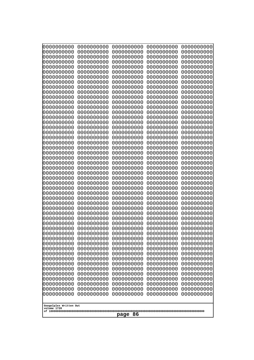| 0000000000                                          | 0000000000 | 0000000000 | 0000000000 | 0000000000 |
|-----------------------------------------------------|------------|------------|------------|------------|
| 0000000000                                          | 0000000000 | 0000000000 | 0000000000 | 0000000000 |
| 0000000000                                          | 0000000000 | 0000000000 | 0000000000 | 0000000000 |
| 0000000000                                          | 0000000000 | 0000000000 | 0000000000 | 0000000000 |
| 0000000000                                          | 0000000000 | 0000000000 | 0000000000 | 0000000000 |
| 0000000000                                          | 0000000000 | 0000000000 | 0000000000 | 0000000000 |
| 0000000000                                          | 0000000000 | 0000000000 | 0000000000 | 0000000000 |
| 0000000000                                          | 0000000000 | 0000000000 | 0000000000 | 0000000000 |
| 0000000000                                          | 0000000000 | 0000000000 | 0000000000 | 0000000000 |
| 0000000000                                          | 0000000000 | 0000000000 | 0000000000 | 0000000000 |
| 0000000000                                          | 0000000000 | 0000000000 | 0000000000 | 0000000000 |
| 0000000000                                          | 0000000000 | 0000000000 | 0000000000 | 0000000000 |
| 0000000000                                          | 0000000000 | 0000000000 | 0000000000 | 0000000000 |
| 0000000000                                          | 0000000000 | 0000000000 | 0000000000 | 0000000000 |
| 0000000000                                          | 0000000000 | 0000000000 | 0000000000 | 0000000000 |
| 0000000000                                          | 0000000000 | 0000000000 | 0000000000 | 0000000000 |
| 0000000000                                          | 0000000000 | 0000000000 | 0000000000 | 0000000000 |
| 0000000000                                          | 0000000000 | 0000000000 | 0000000000 | 0000000000 |
| 0000000000                                          | 0000000000 | 0000000000 | 0000000000 | 0000000000 |
| 0000000000                                          | 0000000000 | 0000000000 | 0000000000 | 0000000000 |
| 0000000000                                          | 0000000000 | 0000000000 | 0000000000 | 0000000000 |
| 0000000000                                          | 0000000000 | 0000000000 | 0000000000 | 0000000000 |
| 0000000000                                          | 0000000000 | 0000000000 | 0000000000 | 0000000000 |
| 0000000000                                          | 0000000000 | 0000000000 | 0000000000 | 0000000000 |
| 0000000000                                          | 0000000000 | 0000000000 | 0000000000 | 0000000000 |
| 0000000000                                          | 0000000000 | 0000000000 | 0000000000 | 0000000000 |
| 0000000000                                          | 0000000000 | 0000000000 | 0000000000 | 0000000000 |
| 0000000000                                          | 0000000000 | 0000000000 | 0000000000 | 0000000000 |
| 0000000000                                          | 0000000000 | 0000000000 | 0000000000 | 0000000000 |
| 0000000000                                          | 0000000000 | 0000000000 | 0000000000 | 0000000000 |
| 0000000000                                          | 0000000000 | 0000000000 | 0000000000 | 0000000000 |
| 0000000000                                          | 0000000000 | 0000000000 | 0000000000 | 0000000000 |
| 0000000000                                          | 0000000000 | 0000000000 | 0000000000 | 0000000000 |
| 0000000000                                          | 0000000000 | 0000000000 | 0000000000 | 0000000000 |
| 0000000000                                          | 0000000000 | 0000000000 | 0000000000 | 0000000000 |
| 0000000000                                          | 0000000000 | 0000000000 | 0000000000 | 0000000000 |
| 0000000000                                          | 0000000000 | 0000000000 | 0000000000 | 0000000000 |
| 0000000000                                          | 0000000000 | 0000000000 | 0000000000 | 0000000000 |
| 0000000000                                          | 0000000000 | 0000000000 | 0000000000 | 0000000000 |
| 0000000000                                          | 0000000000 | 0000000000 | 0000000000 | 0000000000 |
| 0000000000                                          | 0000000000 | 0000000000 | 0000000000 | 0000000000 |
| 0000000000                                          | 0000000000 | 0000000000 | 0000000000 | 0000000000 |
| 0000000000                                          | 0000000000 | 0000000000 | 0000000000 | 0000000000 |
| 0000000000                                          | 0000000000 | 0000000000 | 0000000000 | 0000000000 |
| 0000000000                                          | 0000000000 | 0000000000 | 0000000000 | 0000000000 |
| 0000000000                                          | 0000000000 | 0000000000 | 0000000000 | 0000000000 |
| 0000000000                                          | 0000000000 | 0000000000 | 0000000000 | 0000000000 |
| 0000000000                                          | 0000000000 | 0000000000 | 0000000000 | 0000000000 |
| 0000000000                                          | 0000000000 | 0000000000 | 0000000000 | 0000000000 |
| 0000000000<br>Googolplex Written Out<br>volume 1720 | 0000000000 | 0000000000 | 0000000000 | 0000000000 |
| page 86                                             |            |            |            |            |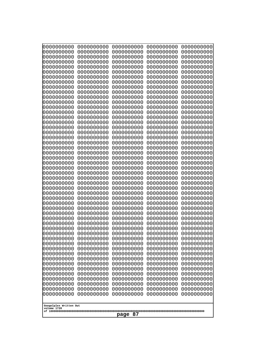| 000000000<br>0000000000               | 0000000000<br>0000000000 | 0000000000<br>0000000000 | 0000000000<br>0000000000 | 0000000000<br>0000000000 |
|---------------------------------------|--------------------------|--------------------------|--------------------------|--------------------------|
| 0000000000<br>0000000000              | 0000000000<br>0000000000 | 0000000000<br>0000000000 | 0000000000<br>0000000000 | 0000000000<br>0000000000 |
| 0000000000                            | 0000000000               | 0000000000               | 0000000000               | 0000000000               |
| 0000000000<br>0000000000              | 0000000000<br>0000000000 | 0000000000<br>0000000000 | 0000000000<br>0000000000 | 0000000000<br>0000000000 |
| 0000000000                            | 0000000000               | 0000000000               | 0000000000               | 0000000000               |
| 0000000000<br>0000000000              | 0000000000<br>0000000000 | 0000000000<br>0000000000 | 0000000000<br>0000000000 | 0000000000<br>0000000000 |
| 0000000000                            | 0000000000               | 0000000000               | 0000000000               | 0000000000               |
| 0000000000<br>0000000000              | 0000000000<br>0000000000 | 0000000000<br>0000000000 | 0000000000<br>0000000000 | 0000000000<br>0000000000 |
| 0000000000                            | 0000000000               | 0000000000               | 0000000000               | 0000000000               |
| 0000000000<br>0000000000              | 0000000000<br>0000000000 | 0000000000<br>0000000000 | 0000000000<br>0000000000 | 0000000000<br>0000000000 |
| 0000000000                            | 0000000000               | 0000000000               | 0000000000               | 0000000000               |
| 0000000000<br>0000000000              | 0000000000<br>0000000000 | 0000000000<br>0000000000 | 0000000000<br>0000000000 | 0000000000<br>0000000000 |
| 0000000000                            | 0000000000               | 0000000000               | 0000000000               | 0000000000               |
| 0000000000<br>0000000000              | 0000000000<br>0000000000 | 0000000000<br>0000000000 | 0000000000<br>0000000000 | 0000000000<br>0000000000 |
| 0000000000                            | 0000000000               | 0000000000               | 0000000000               | 0000000000               |
| 0000000000<br>0000000000              | 0000000000<br>0000000000 | 0000000000<br>0000000000 | 0000000000<br>0000000000 | 0000000000<br>0000000000 |
| 0000000000                            | 0000000000               | 0000000000               | 0000000000               | 0000000000               |
| 0000000000<br>0000000000              | 0000000000<br>0000000000 | 0000000000<br>0000000000 | 0000000000<br>0000000000 | 0000000000<br>0000000000 |
| 0000000000                            | 0000000000               | 0000000000               | 0000000000               | 0000000000               |
| 0000000000<br>0000000000              | 0000000000<br>0000000000 | 0000000000<br>0000000000 | 0000000000<br>0000000000 | 0000000000<br>0000000000 |
| 0000000000                            | 0000000000               | 0000000000               | 0000000000               | 0000000000               |
| 0000000000<br>0000000000              | 0000000000<br>0000000000 | 0000000000<br>0000000000 | 0000000000<br>0000000000 | 0000000000<br>0000000000 |
| 0000000000                            | 0000000000               | 0000000000               | 0000000000               | 0000000000               |
| 0000000000<br>0000000000              | 0000000000<br>0000000000 | 0000000000<br>0000000000 | 0000000000<br>0000000000 | 0000000000<br>0000000000 |
| 0000000000                            | 0000000000               | 0000000000               | 0000000000               | 0000000000               |
| 0000000000<br>0000000000              | 0000000000<br>0000000000 | 0000000000<br>0000000000 | 0000000000<br>0000000000 | 0000000000<br>0000000000 |
| 0000000000<br>0000000000              | 0000000000<br>0000000000 | 0000000000<br>0000000000 | 0000000000<br>0000000000 | 0000000000<br>0000000000 |
| 0000000000                            | 0000000000               | 0000000000               | 0000000000               | 0000000000               |
| 0000000000<br>0000000000              | 0000000000<br>0000000000 | 0000000000<br>0000000000 | 0000000000<br>0000000000 | 0000000000<br>0000000000 |
| 0000000000                            | 0000000000               | 0000000000               | 0000000000               | 0000000000               |
| 0000000000<br>0000000000              | 0000000000<br>0000000000 | 0000000000<br>0000000000 | 0000000000<br>0000000000 | 0000000000<br>0000000000 |
| 0000000000                            | 0000000000               | 0000000000               | 0000000000               | 0000000000               |
| 0000000000                            | 0000000000               | 0000000000               | 0000000000               | 0000000000               |
| Googolplex Written Out<br>volume 1720 |                          |                          |                          |                          |
| 87<br>page                            |                          |                          |                          |                          |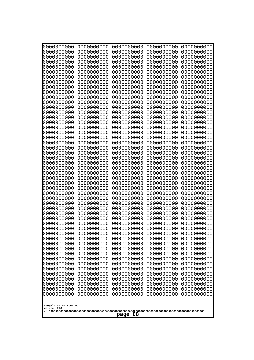| 0000000000<br>0000000000<br>0000000000<br>0000000000<br>0000000000<br>0000000000<br>0000000000<br>0000000000<br>0000000000<br>0000000000<br>0000000000<br>0000000000<br>0000000000<br>0000000000<br>0000000000<br>0000000000<br>0000000000<br>0000000000<br>0000000000<br>0000000000<br>0000000000<br>0000000000<br>0000000000<br>0000000000<br>0000000000<br>0000000000<br>0000000000<br>0000000000<br>0000000000<br>0000000000<br>0000000000<br>0000000000<br>0000000000<br>0000000000<br>0000000000<br>0000000000<br>0000000000<br>10000000000<br>0000000000<br>0000000000<br>0000000000<br>0000000000<br>0000000000<br>0000000000<br>0000000000<br>0000000000<br>0000000000<br>0000000000<br>0000000000<br>0000000000 | 0000000000<br>0000000000<br>0000000000<br>0000000000<br>0000000000<br>0000000000<br>0000000000<br>0000000000<br>0000000000<br>0000000000<br>0000000000<br>0000000000<br>0000000000<br>0000000000<br>0000000000<br>0000000000<br>0000000000<br>0000000000<br>0000000000<br>0000000000<br>0000000000<br>0000000000<br>0000000000<br>0000000000<br>0000000000<br>0000000000<br>0000000000<br>0000000000<br>0000000000<br>0000000000<br>0000000000<br>0000000000<br>0000000000<br>0000000000<br>0000000000<br>0000000000<br>0000000000<br>0000000000<br>0000000000<br>0000000000<br>0000000000<br>0000000000<br>0000000000<br>0000000000<br>0000000000<br>0000000000<br>0000000000<br>0000000000<br>0000000000<br>0000000000 | 0000000000<br>0000000000<br>0000000000<br>0000000000<br>0000000000<br>0000000000<br>0000000000<br>0000000000<br>0000000000<br>0000000000<br>0000000000<br>0000000000<br>0000000000<br>0000000000<br>0000000000<br>0000000000<br>0000000000<br>0000000000<br>0000000000<br>0000000000<br>0000000000<br>0000000000<br>0000000000<br>0000000000<br>0000000000<br>0000000000<br>0000000000<br>0000000000<br>0000000000<br>0000000000<br>0000000000<br>0000000000<br>0000000000<br>0000000000<br>0000000000<br>0000000000<br>0000000000<br>0000000000<br>0000000000<br>0000000000<br>0000000000<br>0000000000<br>0000000000<br>0000000000<br>0000000000<br>0000000000<br>0000000000<br>0000000000<br>0000000000<br>0000000000 | 0000000000<br>0000000000<br>0000000000<br>0000000000<br>0000000000<br>0000000000<br>0000000000<br>0000000000<br>0000000000<br>0000000000<br>0000000000<br>0000000000<br>0000000000<br>0000000000<br>0000000000<br>0000000000<br>0000000000<br>0000000000<br>0000000000<br>0000000000<br>0000000000<br>0000000000<br>0000000000<br>0000000000<br>0000000000<br>0000000000<br>0000000000<br>0000000000<br>0000000000<br>0000000000<br>0000000000<br>0000000000<br>0000000000<br>0000000000<br>0000000000<br>0000000000<br>0000000000<br>0000000000<br>0000000000<br>0000000000<br>0000000000<br>0000000000<br>0000000000<br>0000000000<br>0000000000<br>0000000000<br>0000000000<br>0000000000<br>0000000000<br>0000000000 | 0000000000<br>0000000000<br>0000000000<br>0000000000<br>0000000000<br>0000000000<br>0000000000<br>0000000000<br>0000000000<br>0000000000<br>0000000000<br>0000000000<br>0000000000<br>0000000000<br>0000000000<br>0000000000<br>0000000000<br>0000000000<br>0000000000<br>0000000000<br>0000000000<br>0000000000<br>0000000000<br>0000000000<br>0000000000<br>0000000000<br>0000000000<br>0000000000<br>0000000000<br>0000000000<br>0000000000<br>0000000000<br>0000000000<br>0000000000<br>0000000000<br>0000000000<br>0000000000<br>0000000000<br>0000000000<br>0000000000<br>0000000000<br>0000000000<br>0000000000<br>0000000000<br>0000000000<br>0000000000<br>0000000000<br>0000000000<br>0000000000<br>0000000000 |
|---------------------------------------------------------------------------------------------------------------------------------------------------------------------------------------------------------------------------------------------------------------------------------------------------------------------------------------------------------------------------------------------------------------------------------------------------------------------------------------------------------------------------------------------------------------------------------------------------------------------------------------------------------------------------------------------------------------------------|--------------------------------------------------------------------------------------------------------------------------------------------------------------------------------------------------------------------------------------------------------------------------------------------------------------------------------------------------------------------------------------------------------------------------------------------------------------------------------------------------------------------------------------------------------------------------------------------------------------------------------------------------------------------------------------------------------------------------|--------------------------------------------------------------------------------------------------------------------------------------------------------------------------------------------------------------------------------------------------------------------------------------------------------------------------------------------------------------------------------------------------------------------------------------------------------------------------------------------------------------------------------------------------------------------------------------------------------------------------------------------------------------------------------------------------------------------------|--------------------------------------------------------------------------------------------------------------------------------------------------------------------------------------------------------------------------------------------------------------------------------------------------------------------------------------------------------------------------------------------------------------------------------------------------------------------------------------------------------------------------------------------------------------------------------------------------------------------------------------------------------------------------------------------------------------------------|--------------------------------------------------------------------------------------------------------------------------------------------------------------------------------------------------------------------------------------------------------------------------------------------------------------------------------------------------------------------------------------------------------------------------------------------------------------------------------------------------------------------------------------------------------------------------------------------------------------------------------------------------------------------------------------------------------------------------|
| Googolplex Written Out<br>volume 1720                                                                                                                                                                                                                                                                                                                                                                                                                                                                                                                                                                                                                                                                                     |                                                                                                                                                                                                                                                                                                                                                                                                                                                                                                                                                                                                                                                                                                                          |                                                                                                                                                                                                                                                                                                                                                                                                                                                                                                                                                                                                                                                                                                                          |                                                                                                                                                                                                                                                                                                                                                                                                                                                                                                                                                                                                                                                                                                                          |                                                                                                                                                                                                                                                                                                                                                                                                                                                                                                                                                                                                                                                                                                                          |
| 88<br>page                                                                                                                                                                                                                                                                                                                                                                                                                                                                                                                                                                                                                                                                                                                |                                                                                                                                                                                                                                                                                                                                                                                                                                                                                                                                                                                                                                                                                                                          |                                                                                                                                                                                                                                                                                                                                                                                                                                                                                                                                                                                                                                                                                                                          |                                                                                                                                                                                                                                                                                                                                                                                                                                                                                                                                                                                                                                                                                                                          |                                                                                                                                                                                                                                                                                                                                                                                                                                                                                                                                                                                                                                                                                                                          |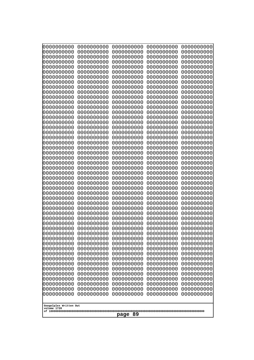| 0000000000                                                                                                                                                                                                                                                         | 0000000000 | 0000000000 | 0000000000 | 0000000000 |
|--------------------------------------------------------------------------------------------------------------------------------------------------------------------------------------------------------------------------------------------------------------------|------------|------------|------------|------------|
| 0000000000                                                                                                                                                                                                                                                         | 0000000000 | 0000000000 | 0000000000 | 0000000000 |
| 0000000000                                                                                                                                                                                                                                                         | 0000000000 | 0000000000 | 0000000000 | 0000000000 |
| 0000000000                                                                                                                                                                                                                                                         | 0000000000 | 0000000000 | 0000000000 | 0000000000 |
| 1000000000                                                                                                                                                                                                                                                         | 0000000000 | 0000000000 | 0000000000 | 0000000000 |
| 0000000000                                                                                                                                                                                                                                                         | 0000000000 | 0000000000 | 0000000000 | 0000000000 |
| 0000000000                                                                                                                                                                                                                                                         | 0000000000 | 0000000000 | 0000000000 | 0000000000 |
| 0000000000                                                                                                                                                                                                                                                         | 0000000000 | 0000000000 | 0000000000 | 0000000000 |
| 0000000000                                                                                                                                                                                                                                                         | 0000000000 | 0000000000 | 0000000000 | 0000000000 |
| 0000000000                                                                                                                                                                                                                                                         | 0000000000 | 0000000000 | 0000000000 | 0000000000 |
| 0000000000                                                                                                                                                                                                                                                         | 0000000000 | 0000000000 | 0000000000 | 0000000000 |
| 0000000000                                                                                                                                                                                                                                                         | 0000000000 | 0000000000 | 0000000000 | 0000000000 |
| 0000000000                                                                                                                                                                                                                                                         | 0000000000 | 0000000000 | 0000000000 | 0000000000 |
| 0000000000                                                                                                                                                                                                                                                         | 0000000000 | 0000000000 | 0000000000 | 0000000000 |
| 0000000000                                                                                                                                                                                                                                                         | 0000000000 | 0000000000 | 0000000000 | 0000000000 |
| 0000000000                                                                                                                                                                                                                                                         | 0000000000 | 0000000000 | 0000000000 | 0000000000 |
| 0000000000                                                                                                                                                                                                                                                         | 0000000000 | 0000000000 | 0000000000 | 0000000000 |
| 0000000000                                                                                                                                                                                                                                                         | 0000000000 | 0000000000 | 0000000000 | 0000000000 |
| 0000000000                                                                                                                                                                                                                                                         | 0000000000 | 0000000000 | 0000000000 | 0000000000 |
| 0000000000                                                                                                                                                                                                                                                         | 0000000000 | 0000000000 | 0000000000 | 0000000000 |
| 0000000000                                                                                                                                                                                                                                                         | 0000000000 | 0000000000 | 0000000000 | 0000000000 |
| 0000000000                                                                                                                                                                                                                                                         | 0000000000 | 0000000000 | 0000000000 | 0000000000 |
| 0000000000                                                                                                                                                                                                                                                         | 0000000000 | 0000000000 | 0000000000 | 0000000000 |
| 0000000000                                                                                                                                                                                                                                                         | 0000000000 | 0000000000 | 0000000000 | 0000000000 |
| 0000000000                                                                                                                                                                                                                                                         | 0000000000 | 0000000000 | 0000000000 | 0000000000 |
| 0000000000                                                                                                                                                                                                                                                         | 0000000000 | 0000000000 | 0000000000 | 0000000000 |
| 0000000000                                                                                                                                                                                                                                                         | 0000000000 | 0000000000 | 0000000000 | 0000000000 |
| 0000000000                                                                                                                                                                                                                                                         | 0000000000 | 0000000000 | 0000000000 | 0000000000 |
| 0000000000                                                                                                                                                                                                                                                         | 0000000000 | 0000000000 | 0000000000 | 0000000000 |
| 0000000000                                                                                                                                                                                                                                                         | 0000000000 | 0000000000 | 0000000000 | 0000000000 |
| 0000000000                                                                                                                                                                                                                                                         | 0000000000 | 0000000000 | 0000000000 | 0000000000 |
| 0000000000                                                                                                                                                                                                                                                         | 0000000000 | 0000000000 | 0000000000 | 0000000000 |
| 0000000000                                                                                                                                                                                                                                                         | 0000000000 | 0000000000 | 0000000000 | 0000000000 |
| 0000000000                                                                                                                                                                                                                                                         | 0000000000 | 0000000000 | 0000000000 | 0000000000 |
| 0000000000                                                                                                                                                                                                                                                         | 0000000000 | 0000000000 | 0000000000 | 0000000000 |
| 0000000000                                                                                                                                                                                                                                                         | 0000000000 | 0000000000 | 0000000000 | 0000000000 |
| 0000000000                                                                                                                                                                                                                                                         | 0000000000 | 0000000000 | 0000000000 | 0000000000 |
| 0000000000                                                                                                                                                                                                                                                         | 0000000000 | 0000000000 | 0000000000 | 0000000000 |
| 0000000000                                                                                                                                                                                                                                                         | 0000000000 | 0000000000 | 0000000000 | 0000000000 |
| 0000000000                                                                                                                                                                                                                                                         | 0000000000 | 0000000000 | 0000000000 | 0000000000 |
| 0000000000                                                                                                                                                                                                                                                         | 0000000000 | 0000000000 | 0000000000 | 0000000000 |
| 0000000000                                                                                                                                                                                                                                                         | 0000000000 | 0000000000 | 0000000000 | 0000000000 |
| 0000000000                                                                                                                                                                                                                                                         | 0000000000 | 0000000000 | 0000000000 | 0000000000 |
| 0000000000                                                                                                                                                                                                                                                         | 0000000000 | 0000000000 | 0000000000 | 0000000000 |
| 0000000000                                                                                                                                                                                                                                                         | 0000000000 | 0000000000 | 0000000000 | 0000000000 |
| 0000000000<br>0000000000<br>0000000000<br>0000000000<br>0000000000<br>0000000000<br>0000000000<br>0000000000<br>0000000000<br>0000000000<br>0000000000<br>0000000000<br>0000000000<br>0000000000<br>0000000000<br>Googolplex Written Out<br>volume 1720<br>page 89 |            |            |            |            |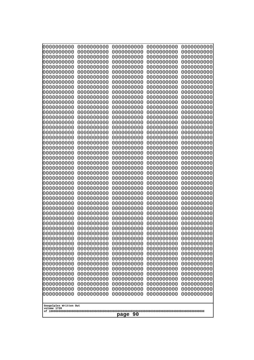| 0000000000                                                                                                                                                                       | 0000000000                                                                                                                                             | 0000000000                                                                                                                                             | 0000000000                                                                                                                                             | 0000000000                                                                                                                                             |
|----------------------------------------------------------------------------------------------------------------------------------------------------------------------------------|--------------------------------------------------------------------------------------------------------------------------------------------------------|--------------------------------------------------------------------------------------------------------------------------------------------------------|--------------------------------------------------------------------------------------------------------------------------------------------------------|--------------------------------------------------------------------------------------------------------------------------------------------------------|
| 0000000000                                                                                                                                                                       | 0000000000                                                                                                                                             | 0000000000                                                                                                                                             | 0000000000                                                                                                                                             | 0000000000                                                                                                                                             |
| 1000000000                                                                                                                                                                       | 0000000000                                                                                                                                             | 0000000000                                                                                                                                             | 0000000000                                                                                                                                             | 0000000000                                                                                                                                             |
| 0000000000                                                                                                                                                                       | 0000000000                                                                                                                                             | 0000000000                                                                                                                                             | 0000000000                                                                                                                                             | 0000000000                                                                                                                                             |
| 0000000000                                                                                                                                                                       | 0000000000                                                                                                                                             | 0000000000                                                                                                                                             | 0000000000                                                                                                                                             | 0000000000                                                                                                                                             |
| 1000000000                                                                                                                                                                       | 0000000000                                                                                                                                             | 0000000000                                                                                                                                             | 0000000000                                                                                                                                             | 0000000000                                                                                                                                             |
| 0000000000                                                                                                                                                                       | 0000000000                                                                                                                                             | 0000000000                                                                                                                                             | 0000000000                                                                                                                                             | 0000000000                                                                                                                                             |
| 0000000000                                                                                                                                                                       | 0000000000                                                                                                                                             | 0000000000                                                                                                                                             | 0000000000                                                                                                                                             | 0000000000                                                                                                                                             |
| 0000000000                                                                                                                                                                       | 0000000000                                                                                                                                             | 0000000000                                                                                                                                             | 0000000000                                                                                                                                             | 0000000000                                                                                                                                             |
| 1000000000                                                                                                                                                                       | 0000000000                                                                                                                                             | 0000000000                                                                                                                                             | 0000000000                                                                                                                                             | 0000000000                                                                                                                                             |
| 0000000000                                                                                                                                                                       | 0000000000                                                                                                                                             | 0000000000                                                                                                                                             | 0000000000                                                                                                                                             | 0000000000                                                                                                                                             |
| 0000000000                                                                                                                                                                       | 0000000000                                                                                                                                             | 0000000000                                                                                                                                             | 0000000000                                                                                                                                             | 0000000000                                                                                                                                             |
| 0000000000                                                                                                                                                                       | 0000000000                                                                                                                                             | 0000000000                                                                                                                                             | 0000000000                                                                                                                                             | 0000000000                                                                                                                                             |
| 0000000000                                                                                                                                                                       | 0000000000                                                                                                                                             | 0000000000                                                                                                                                             | 0000000000                                                                                                                                             | 0000000000                                                                                                                                             |
| 0000000000                                                                                                                                                                       | 0000000000                                                                                                                                             | 0000000000                                                                                                                                             | 0000000000                                                                                                                                             | 0000000000                                                                                                                                             |
| 0000000000                                                                                                                                                                       | 0000000000                                                                                                                                             | 0000000000                                                                                                                                             | 0000000000                                                                                                                                             | 0000000000                                                                                                                                             |
| 0000000000                                                                                                                                                                       | 0000000000                                                                                                                                             | 0000000000                                                                                                                                             | 0000000000                                                                                                                                             | 0000000000                                                                                                                                             |
| 0000000000                                                                                                                                                                       | 0000000000                                                                                                                                             | 0000000000                                                                                                                                             | 0000000000                                                                                                                                             | 0000000000                                                                                                                                             |
| 0000000000                                                                                                                                                                       | 0000000000                                                                                                                                             | 0000000000                                                                                                                                             | 0000000000                                                                                                                                             | 0000000000                                                                                                                                             |
| 0000000000                                                                                                                                                                       | 0000000000                                                                                                                                             | 0000000000                                                                                                                                             | 0000000000                                                                                                                                             | 0000000000                                                                                                                                             |
| 0000000000                                                                                                                                                                       | 0000000000                                                                                                                                             | 0000000000                                                                                                                                             | 0000000000                                                                                                                                             | 0000000000                                                                                                                                             |
| 0000000000                                                                                                                                                                       | 0000000000                                                                                                                                             | 0000000000                                                                                                                                             | 0000000000                                                                                                                                             | 0000000000                                                                                                                                             |
| 0000000000                                                                                                                                                                       | 0000000000                                                                                                                                             | 0000000000                                                                                                                                             | 0000000000                                                                                                                                             | 0000000000                                                                                                                                             |
| 0000000000                                                                                                                                                                       | 0000000000                                                                                                                                             | 0000000000                                                                                                                                             | 0000000000                                                                                                                                             | 0000000000                                                                                                                                             |
| 0000000000                                                                                                                                                                       | 0000000000                                                                                                                                             | 0000000000                                                                                                                                             | 0000000000                                                                                                                                             | 0000000000                                                                                                                                             |
| 0000000000                                                                                                                                                                       | 0000000000                                                                                                                                             | 0000000000                                                                                                                                             | 0000000000                                                                                                                                             | 0000000000                                                                                                                                             |
| 0000000000                                                                                                                                                                       | 0000000000                                                                                                                                             | 0000000000                                                                                                                                             | 0000000000                                                                                                                                             | 0000000000                                                                                                                                             |
| 0000000000                                                                                                                                                                       | 0000000000                                                                                                                                             | 0000000000                                                                                                                                             | 0000000000                                                                                                                                             | 0000000000                                                                                                                                             |
| 0000000000                                                                                                                                                                       | 0000000000                                                                                                                                             | 0000000000                                                                                                                                             | 0000000000                                                                                                                                             | 0000000000                                                                                                                                             |
| 0000000000                                                                                                                                                                       | 0000000000                                                                                                                                             | 0000000000                                                                                                                                             | 0000000000                                                                                                                                             | 0000000000                                                                                                                                             |
| 0000000000                                                                                                                                                                       | 0000000000                                                                                                                                             | 0000000000                                                                                                                                             | 0000000000                                                                                                                                             | 0000000000                                                                                                                                             |
| 0000000000                                                                                                                                                                       | 0000000000                                                                                                                                             | 0000000000                                                                                                                                             | 0000000000                                                                                                                                             | 0000000000                                                                                                                                             |
| 0000000000                                                                                                                                                                       | 0000000000                                                                                                                                             | 0000000000                                                                                                                                             | 0000000000                                                                                                                                             | 0000000000                                                                                                                                             |
| 0000000000                                                                                                                                                                       | 0000000000                                                                                                                                             | 0000000000                                                                                                                                             | 0000000000                                                                                                                                             | 0000000000                                                                                                                                             |
| 0000000000                                                                                                                                                                       | 0000000000                                                                                                                                             | 0000000000                                                                                                                                             | 0000000000                                                                                                                                             | 0000000000                                                                                                                                             |
| 0000000000                                                                                                                                                                       | 0000000000                                                                                                                                             | 0000000000                                                                                                                                             | 0000000000                                                                                                                                             | 0000000000                                                                                                                                             |
| 0000000000                                                                                                                                                                       | 0000000000                                                                                                                                             | 0000000000                                                                                                                                             | 0000000000                                                                                                                                             | 0000000000                                                                                                                                             |
| 0000000000                                                                                                                                                                       | 0000000000                                                                                                                                             | 0000000000                                                                                                                                             | 0000000000                                                                                                                                             | 0000000000                                                                                                                                             |
| 0000000000                                                                                                                                                                       | 0000000000                                                                                                                                             | 0000000000                                                                                                                                             | 0000000000                                                                                                                                             | 0000000000                                                                                                                                             |
| 0000000000<br>0000000000<br>0000000000<br>0000000000<br>0000000000<br>0000000000<br>0000000000<br>0000000000<br>0000000000<br>0000000000<br>0000000000<br>Googolplex Written Out | 0000000000<br>0000000000<br>0000000000<br>0000000000<br>0000000000<br>0000000000<br>0000000000<br>0000000000<br>0000000000<br>0000000000<br>0000000000 | 0000000000<br>0000000000<br>0000000000<br>0000000000<br>0000000000<br>0000000000<br>0000000000<br>0000000000<br>0000000000<br>0000000000<br>0000000000 | 0000000000<br>0000000000<br>0000000000<br>0000000000<br>0000000000<br>0000000000<br>0000000000<br>0000000000<br>0000000000<br>0000000000<br>0000000000 | 0000000000<br>0000000000<br>0000000000<br>0000000000<br>0000000000<br>0000000000<br>0000000000<br>0000000000<br>0000000000<br>0000000000<br>0000000000 |
| volume 1720<br>page<br>90                                                                                                                                                        |                                                                                                                                                        |                                                                                                                                                        |                                                                                                                                                        |                                                                                                                                                        |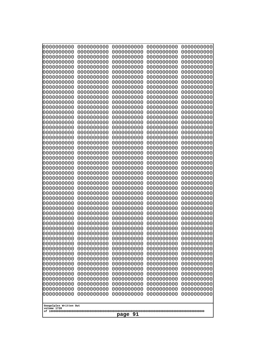| 0000000000                                                                                                                                                                                   | 0000000000 | 0000000000 | 0000000000 | 0000000000 |
|----------------------------------------------------------------------------------------------------------------------------------------------------------------------------------------------|------------|------------|------------|------------|
| 0000000000                                                                                                                                                                                   | 0000000000 | 0000000000 | 0000000000 | 0000000000 |
| 0000000000                                                                                                                                                                                   | 0000000000 | 0000000000 | 0000000000 | 0000000000 |
| 0000000000                                                                                                                                                                                   | 0000000000 | 0000000000 | 0000000000 | 0000000000 |
| 1000000000                                                                                                                                                                                   | 0000000000 | 0000000000 | 0000000000 | 0000000000 |
| 0000000000                                                                                                                                                                                   | 0000000000 | 0000000000 | 0000000000 | 0000000000 |
| 0000000000                                                                                                                                                                                   | 0000000000 | 0000000000 | 0000000000 | 0000000000 |
| 0000000000                                                                                                                                                                                   | 0000000000 | 0000000000 | 0000000000 | 0000000000 |
| 0000000000                                                                                                                                                                                   | 0000000000 | 0000000000 | 0000000000 | 0000000000 |
| 0000000000                                                                                                                                                                                   | 0000000000 | 0000000000 | 0000000000 | 0000000000 |
| 0000000000                                                                                                                                                                                   | 0000000000 | 0000000000 | 0000000000 | 0000000000 |
| 0000000000                                                                                                                                                                                   | 0000000000 | 0000000000 | 0000000000 | 0000000000 |
| 0000000000                                                                                                                                                                                   | 0000000000 | 0000000000 | 0000000000 | 0000000000 |
| 0000000000                                                                                                                                                                                   | 0000000000 | 0000000000 | 0000000000 | 0000000000 |
| 0000000000                                                                                                                                                                                   | 0000000000 | 0000000000 | 0000000000 | 0000000000 |
| 0000000000                                                                                                                                                                                   | 0000000000 | 0000000000 | 0000000000 | 0000000000 |
| 0000000000                                                                                                                                                                                   | 0000000000 | 0000000000 | 0000000000 | 0000000000 |
| 0000000000                                                                                                                                                                                   | 0000000000 | 0000000000 | 0000000000 | 0000000000 |
| 0000000000                                                                                                                                                                                   | 0000000000 | 0000000000 | 0000000000 | 0000000000 |
| 0000000000                                                                                                                                                                                   | 0000000000 | 0000000000 | 0000000000 | 0000000000 |
| 0000000000                                                                                                                                                                                   | 0000000000 | 0000000000 | 0000000000 | 0000000000 |
| 0000000000                                                                                                                                                                                   | 0000000000 | 0000000000 | 0000000000 | 0000000000 |
| 0000000000                                                                                                                                                                                   | 0000000000 | 0000000000 | 0000000000 | 0000000000 |
| 0000000000                                                                                                                                                                                   | 0000000000 | 0000000000 | 0000000000 | 0000000000 |
| 0000000000                                                                                                                                                                                   | 0000000000 | 0000000000 | 0000000000 | 0000000000 |
| 0000000000                                                                                                                                                                                   | 0000000000 | 0000000000 | 0000000000 | 0000000000 |
| 0000000000                                                                                                                                                                                   | 0000000000 | 0000000000 | 0000000000 | 0000000000 |
| 0000000000                                                                                                                                                                                   | 0000000000 | 0000000000 | 0000000000 | 0000000000 |
| 0000000000                                                                                                                                                                                   | 0000000000 | 0000000000 | 0000000000 | 0000000000 |
| 0000000000                                                                                                                                                                                   | 0000000000 | 0000000000 | 0000000000 | 0000000000 |
| 0000000000                                                                                                                                                                                   | 0000000000 | 0000000000 | 0000000000 | 0000000000 |
| 0000000000                                                                                                                                                                                   | 0000000000 | 0000000000 | 0000000000 | 0000000000 |
| 0000000000                                                                                                                                                                                   | 0000000000 | 0000000000 | 0000000000 | 0000000000 |
| 0000000000                                                                                                                                                                                   | 0000000000 | 0000000000 | 0000000000 | 0000000000 |
| 0000000000                                                                                                                                                                                   | 0000000000 | 0000000000 | 0000000000 | 0000000000 |
| 0000000000                                                                                                                                                                                   | 0000000000 | 0000000000 | 0000000000 | 0000000000 |
| 0000000000                                                                                                                                                                                   | 0000000000 | 0000000000 | 0000000000 | 0000000000 |
| 0000000000                                                                                                                                                                                   | 0000000000 | 0000000000 | 0000000000 | 0000000000 |
| 0000000000                                                                                                                                                                                   | 0000000000 | 0000000000 | 0000000000 | 0000000000 |
| 0000000000                                                                                                                                                                                   | 0000000000 | 0000000000 | 0000000000 | 0000000000 |
| 0000000000                                                                                                                                                                                   | 0000000000 | 0000000000 | 0000000000 | 0000000000 |
| 0000000000                                                                                                                                                                                   | 0000000000 | 0000000000 | 0000000000 | 0000000000 |
| 0000000000                                                                                                                                                                                   | 0000000000 | 0000000000 | 0000000000 | 0000000000 |
| 0000000000                                                                                                                                                                                   | 0000000000 | 0000000000 | 0000000000 | 0000000000 |
| 0000000000                                                                                                                                                                                   | 0000000000 | 0000000000 | 0000000000 | 0000000000 |
| 0000000000                                                                                                                                                                                   | 0000000000 | 0000000000 | 0000000000 | 0000000000 |
| 0000000000                                                                                                                                                                                   | 0000000000 | 0000000000 | 0000000000 | 0000000000 |
| 0000000000                                                                                                                                                                                   | 0000000000 | 0000000000 | 0000000000 | 0000000000 |
| 0000000000<br>0000000000<br>0000000000<br>0000000000<br>0000000000<br>0000000000<br>0000000000<br>0000000000<br>0000000000<br>0000000000<br>Googolplex Written Out<br>volume 1720<br>page 91 |            |            |            |            |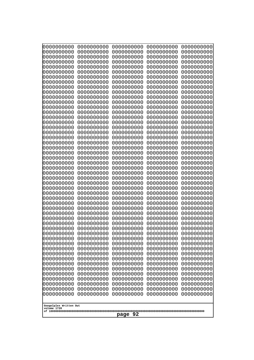| 0000000000                                       | 0000000000 | 0000000000 | 0000000000 | 0000000000 |
|--------------------------------------------------|------------|------------|------------|------------|
| 0000000000                                       | 0000000000 | 0000000000 | 0000000000 | 0000000000 |
| 0000000000                                       | 0000000000 | 0000000000 | 0000000000 | 0000000000 |
| 0000000000                                       | 0000000000 | 0000000000 | 0000000000 | 0000000000 |
| 1000000000                                       | 0000000000 | 0000000000 | 0000000000 | 0000000000 |
| 0000000000                                       | 0000000000 | 0000000000 | 0000000000 | 0000000000 |
| 0000000000                                       | 0000000000 | 0000000000 | 0000000000 | 0000000000 |
| 0000000000                                       | 0000000000 | 0000000000 | 0000000000 | 0000000000 |
| 0000000000                                       | 0000000000 | 0000000000 | 0000000000 | 0000000000 |
| 0000000000                                       | 0000000000 | 0000000000 | 0000000000 | 0000000000 |
| 0000000000                                       | 0000000000 | 0000000000 | 0000000000 | 0000000000 |
| 0000000000                                       | 0000000000 | 0000000000 | 0000000000 | 0000000000 |
| 0000000000                                       | 0000000000 | 0000000000 | 0000000000 | 0000000000 |
| 0000000000                                       | 0000000000 | 0000000000 | 0000000000 | 0000000000 |
| 0000000000                                       | 0000000000 | 0000000000 | 0000000000 | 0000000000 |
| 0000000000                                       | 0000000000 | 0000000000 | 0000000000 | 0000000000 |
| 0000000000                                       | 0000000000 | 0000000000 | 0000000000 | 0000000000 |
| 0000000000                                       | 0000000000 | 0000000000 | 0000000000 | 0000000000 |
| 0000000000                                       | 0000000000 | 0000000000 | 0000000000 | 0000000000 |
| 0000000000                                       | 0000000000 | 0000000000 | 0000000000 | 0000000000 |
| 0000000000                                       | 0000000000 | 0000000000 | 0000000000 | 0000000000 |
| 0000000000                                       | 0000000000 | 0000000000 | 0000000000 | 0000000000 |
| 0000000000                                       | 0000000000 | 0000000000 | 0000000000 | 0000000000 |
| 0000000000                                       | 0000000000 | 0000000000 | 0000000000 | 0000000000 |
| 0000000000                                       | 0000000000 | 0000000000 | 0000000000 | 0000000000 |
| 0000000000                                       | 0000000000 | 0000000000 | 0000000000 | 0000000000 |
| 0000000000                                       | 0000000000 | 0000000000 | 0000000000 | 0000000000 |
| 0000000000                                       | 0000000000 | 0000000000 | 0000000000 | 0000000000 |
| 0000000000                                       | 0000000000 | 0000000000 | 0000000000 | 0000000000 |
| 0000000000                                       | 0000000000 | 0000000000 | 0000000000 | 0000000000 |
| 0000000000                                       | 0000000000 | 0000000000 | 0000000000 | 0000000000 |
| 0000000000                                       | 0000000000 | 0000000000 | 0000000000 | 0000000000 |
| 0000000000                                       | 0000000000 | 0000000000 | 0000000000 | 0000000000 |
| 0000000000                                       | 0000000000 | 0000000000 | 0000000000 | 0000000000 |
| 0000000000                                       | 0000000000 | 0000000000 | 0000000000 | 0000000000 |
| 0000000000                                       | 0000000000 | 0000000000 | 0000000000 | 0000000000 |
| 0000000000                                       | 0000000000 | 0000000000 | 0000000000 | 0000000000 |
| 0000000000                                       | 0000000000 | 0000000000 | 0000000000 | 0000000000 |
| 0000000000                                       | 0000000000 | 0000000000 | 0000000000 | 0000000000 |
| 0000000000                                       | 0000000000 | 0000000000 | 0000000000 | 0000000000 |
| 0000000000                                       | 0000000000 | 0000000000 | 0000000000 | 0000000000 |
| 0000000000                                       | 0000000000 | 0000000000 | 0000000000 | 0000000000 |
| 0000000000                                       | 0000000000 | 0000000000 | 0000000000 | 0000000000 |
| 0000000000                                       | 0000000000 | 0000000000 | 0000000000 | 0000000000 |
| 0000000000                                       | 0000000000 | 0000000000 | 0000000000 | 0000000000 |
| 0000000000                                       | 0000000000 | 0000000000 | 0000000000 | 0000000000 |
| 0000000000                                       | 0000000000 | 0000000000 | 0000000000 | 0000000000 |
| 0000000000                                       | 0000000000 | 0000000000 | 0000000000 | 0000000000 |
| 0000000000                                       | 0000000000 | 0000000000 | 0000000000 | 0000000000 |
| 0000000000                                       | 0000000000 | 0000000000 | 0000000000 | 0000000000 |
| Googolplex Written Out<br>volume 1720<br>page 92 |            |            |            |            |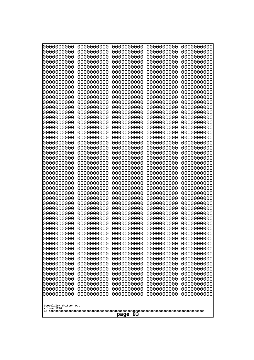| 0000000000                                       | 0000000000 | 0000000000 | 0000000000 | 0000000000 |
|--------------------------------------------------|------------|------------|------------|------------|
| 0000000000                                       | 0000000000 | 0000000000 | 0000000000 | 0000000000 |
| 0000000000                                       | 0000000000 | 0000000000 | 0000000000 | 0000000000 |
| 0000000000                                       | 0000000000 | 0000000000 | 0000000000 | 0000000000 |
| 0000000000                                       | 0000000000 | 0000000000 | 0000000000 | 0000000000 |
| 0000000000                                       | 0000000000 | 0000000000 | 0000000000 | 0000000000 |
| 0000000000                                       | 0000000000 | 0000000000 | 0000000000 | 0000000000 |
| 0000000000                                       | 0000000000 | 0000000000 | 0000000000 | 0000000000 |
| 0000000000                                       | 0000000000 | 0000000000 | 0000000000 | 0000000000 |
| 0000000000                                       | 0000000000 | 0000000000 | 0000000000 | 0000000000 |
| 0000000000                                       | 0000000000 | 0000000000 | 0000000000 | 0000000000 |
| 0000000000                                       | 0000000000 | 0000000000 | 0000000000 | 0000000000 |
| 0000000000                                       | 0000000000 | 0000000000 | 0000000000 | 0000000000 |
| 0000000000                                       | 0000000000 | 0000000000 | 0000000000 | 0000000000 |
| 0000000000                                       | 0000000000 | 0000000000 | 0000000000 | 0000000000 |
| 0000000000                                       | 0000000000 | 0000000000 | 0000000000 | 0000000000 |
| 0000000000                                       | 0000000000 | 0000000000 | 0000000000 | 0000000000 |
| 0000000000                                       | 0000000000 | 0000000000 | 0000000000 | 0000000000 |
| 0000000000                                       | 0000000000 | 0000000000 | 0000000000 | 0000000000 |
| 0000000000                                       | 0000000000 | 0000000000 | 0000000000 | 0000000000 |
| 0000000000                                       | 0000000000 | 0000000000 | 0000000000 | 0000000000 |
| 0000000000                                       | 0000000000 | 0000000000 | 0000000000 | 0000000000 |
| 0000000000                                       | 0000000000 | 0000000000 | 0000000000 | 0000000000 |
| 0000000000                                       | 0000000000 | 0000000000 | 0000000000 | 0000000000 |
| 0000000000                                       | 0000000000 | 0000000000 | 0000000000 | 0000000000 |
| 0000000000                                       | 0000000000 | 0000000000 | 0000000000 | 0000000000 |
| 0000000000                                       | 0000000000 | 0000000000 | 0000000000 | 0000000000 |
| 0000000000                                       | 0000000000 | 0000000000 | 0000000000 | 0000000000 |
| 0000000000                                       | 0000000000 | 0000000000 | 0000000000 | 0000000000 |
| 0000000000                                       | 0000000000 | 0000000000 | 0000000000 | 0000000000 |
| 0000000000                                       | 0000000000 | 0000000000 | 0000000000 | 0000000000 |
| 0000000000                                       | 0000000000 | 0000000000 | 0000000000 | 0000000000 |
| 0000000000                                       | 0000000000 | 0000000000 | 0000000000 | 0000000000 |
| 0000000000                                       | 0000000000 | 0000000000 | 0000000000 | 0000000000 |
| 0000000000                                       | 0000000000 | 0000000000 | 0000000000 | 0000000000 |
| 0000000000                                       | 0000000000 | 0000000000 | 0000000000 | 0000000000 |
| 0000000000                                       | 0000000000 | 0000000000 | 0000000000 | 0000000000 |
| 0000000000                                       | 0000000000 | 0000000000 | 0000000000 | 0000000000 |
| 0000000000                                       | 0000000000 | 0000000000 | 0000000000 | 0000000000 |
| 0000000000                                       | 0000000000 | 0000000000 | 0000000000 | 0000000000 |
| 0000000000                                       | 0000000000 | 0000000000 | 0000000000 | 0000000000 |
| 0000000000                                       | 0000000000 | 0000000000 | 0000000000 | 0000000000 |
| 0000000000                                       | 0000000000 | 0000000000 | 0000000000 | 0000000000 |
| 0000000000                                       | 0000000000 | 0000000000 | 0000000000 | 0000000000 |
| 0000000000                                       | 0000000000 | 0000000000 | 0000000000 | 0000000000 |
| 0000000000                                       | 0000000000 | 0000000000 | 0000000000 | 0000000000 |
| 0000000000                                       | 0000000000 | 0000000000 | 0000000000 | 0000000000 |
| 0000000000                                       | 0000000000 | 0000000000 | 0000000000 | 0000000000 |
| 0000000000                                       | 0000000000 | 0000000000 | 0000000000 | 0000000000 |
| 0000000000                                       | 0000000000 | 0000000000 | 0000000000 | 0000000000 |
| Googolplex Written Out<br>volume 1720<br>page 93 |            |            |            |            |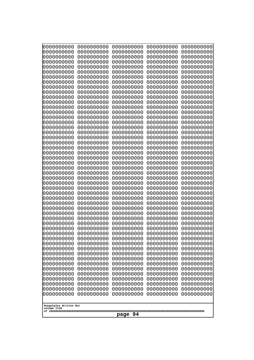| 000000000<br>0000000000  | 0000000000<br>0000000000 | 0000000000<br>0000000000 | 0000000000<br>0000000000 | 0000000000<br>0000000000 |
|--------------------------|--------------------------|--------------------------|--------------------------|--------------------------|
| 0000000000<br>0000000000 | 0000000000<br>0000000000 | 0000000000<br>0000000000 | 0000000000<br>0000000000 | 0000000000<br>0000000000 |
| 0000000000               | 0000000000               | 0000000000               | 0000000000               | 0000000000               |
| 0000000000<br>0000000000 | 0000000000<br>0000000000 | 0000000000<br>0000000000 | 0000000000<br>0000000000 | 0000000000<br>0000000000 |
| 0000000000               | 0000000000               | 0000000000               | 0000000000               | 0000000000               |
| 0000000000<br>0000000000 | 0000000000<br>0000000000 | 0000000000<br>0000000000 | 0000000000<br>0000000000 | 0000000000<br>0000000000 |
| 0000000000               | 0000000000               | 0000000000               | 0000000000               | 0000000000               |
| 0000000000<br>0000000000 | 0000000000<br>0000000000 | 0000000000<br>0000000000 | 0000000000<br>0000000000 | 0000000000<br>0000000000 |
| 0000000000               | 0000000000               | 0000000000               | 0000000000               | 0000000000               |
| 0000000000<br>0000000000 | 0000000000<br>0000000000 | 0000000000<br>0000000000 | 0000000000<br>0000000000 | 0000000000<br>0000000000 |
| 0000000000               | 0000000000               | 0000000000               | 0000000000               | 0000000000               |
| 0000000000<br>0000000000 | 0000000000<br>0000000000 | 0000000000<br>0000000000 | 0000000000<br>0000000000 | 0000000000<br>0000000000 |
| 0000000000               | 0000000000               | 0000000000               | 0000000000               | 0000000000               |
| 0000000000<br>0000000000 | 0000000000<br>0000000000 | 0000000000<br>0000000000 | 0000000000<br>0000000000 | 0000000000<br>0000000000 |
| 0000000000               | 0000000000               | 0000000000               | 0000000000               | 0000000000               |
| 0000000000<br>0000000000 | 0000000000<br>0000000000 | 0000000000<br>0000000000 | 0000000000<br>0000000000 | 0000000000<br>0000000000 |
| 0000000000               | 0000000000               | 0000000000               | 0000000000               | 0000000000               |
| 0000000000<br>0000000000 | 0000000000<br>0000000000 | 0000000000<br>0000000000 | 0000000000<br>0000000000 | 0000000000<br>0000000000 |
| 0000000000               | 0000000000               | 0000000000               | 0000000000               | 0000000000               |
| 0000000000<br>0000000000 | 0000000000<br>0000000000 | 0000000000<br>0000000000 | 0000000000<br>0000000000 | 0000000000<br>0000000000 |
| 0000000000               | 0000000000               | 0000000000               | 0000000000               | 0000000000               |
| 0000000000<br>0000000000 | 0000000000<br>0000000000 | 0000000000<br>0000000000 | 0000000000<br>0000000000 | 0000000000<br>0000000000 |
| 0000000000               | 0000000000               | 0000000000               | 0000000000               | 0000000000               |
| 0000000000<br>0000000000 | 0000000000<br>0000000000 | 0000000000<br>0000000000 | 0000000000<br>0000000000 | 0000000000<br>0000000000 |
| 0000000000               | 0000000000               | 0000000000               | 0000000000               | 0000000000               |
| 0000000000<br>0000000000 | 0000000000<br>0000000000 | 0000000000<br>0000000000 | 0000000000<br>0000000000 | 0000000000<br>0000000000 |
| 0000000000               | 0000000000               | 0000000000               | 0000000000               | 0000000000               |
| 0000000000<br>0000000000 | 0000000000<br>0000000000 | 0000000000<br>0000000000 | 0000000000<br>0000000000 | 0000000000<br>0000000000 |
| 0000000000               | 0000000000               | 0000000000               | 0000000000               | 0000000000               |
| 0000000000<br>0000000000 | 0000000000<br>0000000000 | 0000000000<br>0000000000 | 0000000000<br>0000000000 | 0000000000<br>0000000000 |
| 0000000000               | 0000000000               | 0000000000               | 0000000000               | 0000000000               |
| 0000000000<br>0000000000 | 0000000000<br>0000000000 | 0000000000<br>0000000000 | 0000000000<br>0000000000 | 0000000000<br>0000000000 |
| 0000000000               | 0000000000               | 0000000000               | 0000000000               | 0000000000               |
| Googolplex Written Out   |                          |                          |                          |                          |
| volume 1720              |                          |                          |                          |                          |
| page 94                  |                          |                          |                          |                          |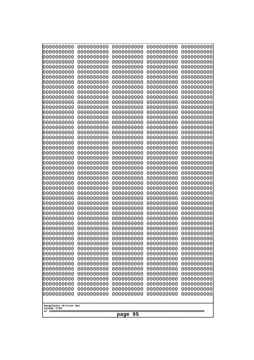| 0000000000                                       | 0000000000 | 0000000000 | 0000000000 | 0000000000 |
|--------------------------------------------------|------------|------------|------------|------------|
| 0000000000                                       | 0000000000 | 0000000000 | 0000000000 | 0000000000 |
| 0000000000                                       | 0000000000 | 0000000000 | 0000000000 | 0000000000 |
| 0000000000                                       | 0000000000 | 0000000000 | 0000000000 | 0000000000 |
| 1000000000                                       | 0000000000 | 0000000000 | 0000000000 | 0000000000 |
| 0000000000                                       | 0000000000 | 0000000000 | 0000000000 | 0000000000 |
| 0000000000                                       | 0000000000 | 0000000000 | 0000000000 | 0000000000 |
| 0000000000                                       | 0000000000 | 0000000000 | 0000000000 | 0000000000 |
| 0000000000                                       | 0000000000 | 0000000000 | 0000000000 | 0000000000 |
| 0000000000                                       | 0000000000 | 0000000000 | 0000000000 | 0000000000 |
| 0000000000                                       | 0000000000 | 0000000000 | 0000000000 | 0000000000 |
| 0000000000                                       | 0000000000 | 0000000000 | 0000000000 | 0000000000 |
| 0000000000                                       | 0000000000 | 0000000000 | 0000000000 | 0000000000 |
| 0000000000                                       | 0000000000 | 0000000000 | 0000000000 | 0000000000 |
| 0000000000                                       | 0000000000 | 0000000000 | 0000000000 | 0000000000 |
| 0000000000                                       | 0000000000 | 0000000000 | 0000000000 | 0000000000 |
| 0000000000                                       | 0000000000 | 0000000000 | 0000000000 | 0000000000 |
| 0000000000                                       | 0000000000 | 0000000000 | 0000000000 | 0000000000 |
| 0000000000                                       | 0000000000 | 0000000000 | 0000000000 | 0000000000 |
| 0000000000                                       | 0000000000 | 0000000000 | 0000000000 | 0000000000 |
| 0000000000                                       | 0000000000 | 0000000000 | 0000000000 | 0000000000 |
| 0000000000                                       | 0000000000 | 0000000000 | 0000000000 | 0000000000 |
| 0000000000                                       | 0000000000 | 0000000000 | 0000000000 | 0000000000 |
| 0000000000                                       | 0000000000 | 0000000000 | 0000000000 | 0000000000 |
| 0000000000                                       | 0000000000 | 0000000000 | 0000000000 | 0000000000 |
| 0000000000                                       | 0000000000 | 0000000000 | 0000000000 | 0000000000 |
| 0000000000                                       | 0000000000 | 0000000000 | 0000000000 | 0000000000 |
| 0000000000                                       | 0000000000 | 0000000000 | 0000000000 | 0000000000 |
| 0000000000                                       | 0000000000 | 0000000000 | 0000000000 | 0000000000 |
| 0000000000                                       | 0000000000 | 0000000000 | 0000000000 | 0000000000 |
| 0000000000                                       | 0000000000 | 0000000000 | 0000000000 | 0000000000 |
| 0000000000                                       | 0000000000 | 0000000000 | 0000000000 | 0000000000 |
| 0000000000                                       | 0000000000 | 0000000000 | 0000000000 | 0000000000 |
| 0000000000                                       | 0000000000 | 0000000000 | 0000000000 | 0000000000 |
| 0000000000                                       | 0000000000 | 0000000000 | 0000000000 | 0000000000 |
| 0000000000                                       | 0000000000 | 0000000000 | 0000000000 | 0000000000 |
| 0000000000                                       | 0000000000 | 0000000000 | 0000000000 | 0000000000 |
| 0000000000                                       | 0000000000 | 0000000000 | 0000000000 | 0000000000 |
| 0000000000                                       | 0000000000 | 0000000000 | 0000000000 | 0000000000 |
| 0000000000                                       | 0000000000 | 0000000000 | 0000000000 | 0000000000 |
| 0000000000                                       | 0000000000 | 0000000000 | 0000000000 | 0000000000 |
| 0000000000                                       | 0000000000 | 0000000000 | 0000000000 | 0000000000 |
| 0000000000                                       | 0000000000 | 0000000000 | 0000000000 | 0000000000 |
| 0000000000                                       | 0000000000 | 0000000000 | 0000000000 | 0000000000 |
| 0000000000                                       | 0000000000 | 0000000000 | 0000000000 | 0000000000 |
| 0000000000                                       | 0000000000 | 0000000000 | 0000000000 | 0000000000 |
| 0000000000                                       | 0000000000 | 0000000000 | 0000000000 | 0000000000 |
| 0000000000                                       | 0000000000 | 0000000000 | 0000000000 | 0000000000 |
| 0000000000                                       | 0000000000 | 0000000000 | 0000000000 | 0000000000 |
| 0000000000                                       | 0000000000 | 0000000000 | 0000000000 | 0000000000 |
| Googolplex Written Out<br>volume 1720<br>page 95 |            |            |            |            |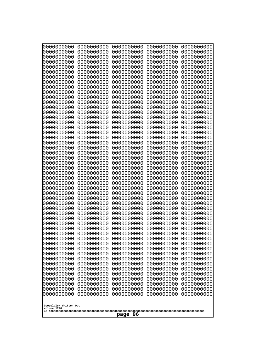| 0000000000                                       | 0000000000 | 0000000000 | 0000000000 | 0000000000 |
|--------------------------------------------------|------------|------------|------------|------------|
| 0000000000                                       | 0000000000 | 0000000000 | 0000000000 | 0000000000 |
| 0000000000                                       | 0000000000 | 0000000000 | 0000000000 | 0000000000 |
| 0000000000                                       | 0000000000 | 0000000000 | 0000000000 | 0000000000 |
| 0000000000                                       | 0000000000 | 0000000000 | 0000000000 | 0000000000 |
| 0000000000                                       | 0000000000 | 0000000000 | 0000000000 | 0000000000 |
| 0000000000                                       | 0000000000 | 0000000000 | 0000000000 | 0000000000 |
| 0000000000                                       | 0000000000 | 0000000000 | 0000000000 | 0000000000 |
| 0000000000                                       | 0000000000 | 0000000000 | 0000000000 | 0000000000 |
| 0000000000                                       | 0000000000 | 0000000000 | 0000000000 | 0000000000 |
| 0000000000                                       | 0000000000 | 0000000000 | 0000000000 | 0000000000 |
| 0000000000                                       | 0000000000 | 0000000000 | 0000000000 | 0000000000 |
| 0000000000                                       | 0000000000 | 0000000000 | 0000000000 | 0000000000 |
| 0000000000                                       | 0000000000 | 0000000000 | 0000000000 | 0000000000 |
| 0000000000                                       | 0000000000 | 0000000000 | 0000000000 | 0000000000 |
| 0000000000                                       | 0000000000 | 0000000000 | 0000000000 | 0000000000 |
| 0000000000                                       | 0000000000 | 0000000000 | 0000000000 | 0000000000 |
| 0000000000                                       | 0000000000 | 0000000000 | 0000000000 | 0000000000 |
| 0000000000                                       | 0000000000 | 0000000000 | 0000000000 | 0000000000 |
| 0000000000                                       | 0000000000 | 0000000000 | 0000000000 | 0000000000 |
| 0000000000                                       | 0000000000 | 0000000000 | 0000000000 | 0000000000 |
| 0000000000                                       | 0000000000 | 0000000000 | 0000000000 | 0000000000 |
| 0000000000                                       | 0000000000 | 0000000000 | 0000000000 | 0000000000 |
| 0000000000                                       | 0000000000 | 0000000000 | 0000000000 | 0000000000 |
| 0000000000                                       | 0000000000 | 0000000000 | 0000000000 | 0000000000 |
| 0000000000                                       | 0000000000 | 0000000000 | 0000000000 | 0000000000 |
| 0000000000                                       | 0000000000 | 0000000000 | 0000000000 | 0000000000 |
| 0000000000                                       | 0000000000 | 0000000000 | 0000000000 | 0000000000 |
| 0000000000                                       | 0000000000 | 0000000000 | 0000000000 | 0000000000 |
| 0000000000                                       | 0000000000 | 0000000000 | 0000000000 | 0000000000 |
| 0000000000                                       | 0000000000 | 0000000000 | 0000000000 | 0000000000 |
| 0000000000                                       | 0000000000 | 0000000000 | 0000000000 | 0000000000 |
| 0000000000                                       | 0000000000 | 0000000000 | 0000000000 | 0000000000 |
| 0000000000                                       | 0000000000 | 0000000000 | 0000000000 | 0000000000 |
| 0000000000                                       | 0000000000 | 0000000000 | 0000000000 | 0000000000 |
| 0000000000                                       | 0000000000 | 0000000000 | 0000000000 | 0000000000 |
| 0000000000                                       | 0000000000 | 0000000000 | 0000000000 | 0000000000 |
| 0000000000                                       | 0000000000 | 0000000000 | 0000000000 | 0000000000 |
| 0000000000                                       | 0000000000 | 0000000000 | 0000000000 | 0000000000 |
| 0000000000                                       | 0000000000 | 0000000000 | 0000000000 | 0000000000 |
| 0000000000                                       | 0000000000 | 0000000000 | 0000000000 | 0000000000 |
| 0000000000                                       | 0000000000 | 0000000000 | 0000000000 | 0000000000 |
| 0000000000                                       | 0000000000 | 0000000000 | 0000000000 | 0000000000 |
| 0000000000                                       | 0000000000 | 0000000000 | 0000000000 | 0000000000 |
| 0000000000                                       | 0000000000 | 0000000000 | 0000000000 | 0000000000 |
|                                                  |            |            |            |            |
| 0000000000                                       | 0000000000 | 0000000000 | 0000000000 | 0000000000 |
| 0000000000                                       | 0000000000 | 0000000000 | 0000000000 | 0000000000 |
| 0000000000                                       | 0000000000 | 0000000000 | 0000000000 | 0000000000 |
| 0000000000                                       | 0000000000 | 0000000000 | 0000000000 | 0000000000 |
| 0000000000                                       | 0000000000 | 0000000000 | 0000000000 | 0000000000 |
| Googolplex Written Out<br>volume 1720<br>page 96 |            |            |            |            |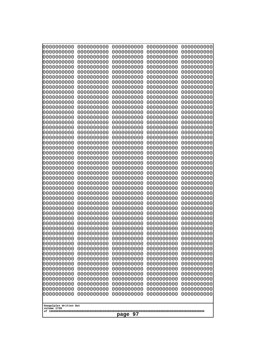| 0000000000<br>0000000000<br>0000000000<br>0000000000<br>0000000000                                                                                                                              |
|-------------------------------------------------------------------------------------------------------------------------------------------------------------------------------------------------|
| 0000000000<br>0000000000<br>0000000000<br>0000000000<br>0000000000<br>0000000000<br>0000000000<br>0000000000<br>0000000000<br>0000000000                                                        |
| 0000000000<br>0000000000<br>0000000000<br>0000000000<br>0000000000<br>0000000000<br>0000000000<br>0000000000<br>0000000000<br>0000000000<br>Googolplex Written Out<br>volume 1720<br>97<br>page |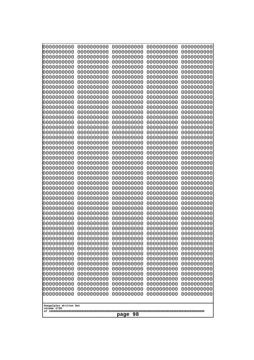| 000000000<br>0000000000               | 0000000000<br>0000000000 | 0000000000<br>0000000000 | 0000000000<br>0000000000 | 0000000000<br>0000000000 |
|---------------------------------------|--------------------------|--------------------------|--------------------------|--------------------------|
| 0000000000                            | 0000000000               | 0000000000               | 0000000000               | 0000000000               |
| 0000000000<br>0000000000              | 0000000000<br>0000000000 | 0000000000<br>0000000000 | 0000000000<br>0000000000 | 0000000000<br>0000000000 |
| 0000000000                            | 0000000000               | 0000000000               | 0000000000               | 0000000000               |
| 0000000000                            | 0000000000               | 0000000000               | 0000000000               | 0000000000               |
| 0000000000                            | 0000000000               | 0000000000               | 0000000000               | 0000000000               |
| 0000000000<br>0000000000              | 0000000000<br>0000000000 | 0000000000<br>0000000000 | 0000000000<br>0000000000 | 0000000000<br>0000000000 |
| 0000000000                            | 0000000000               | 0000000000               | 0000000000               | 0000000000               |
| 0000000000                            | 0000000000               | 0000000000               | 0000000000               | 0000000000               |
| 0000000000<br>0000000000              | 0000000000<br>0000000000 | 0000000000<br>0000000000 | 0000000000<br>0000000000 | 0000000000<br>0000000000 |
| 0000000000                            | 0000000000               | 0000000000               | 0000000000               | 0000000000               |
| 0000000000                            | 0000000000               | 0000000000               | 0000000000               | 0000000000               |
| 0000000000<br>0000000000              | 0000000000<br>0000000000 | 0000000000<br>0000000000 | 0000000000<br>0000000000 | 0000000000<br>0000000000 |
| 0000000000                            | 0000000000               | 0000000000               | 0000000000               | 0000000000               |
| 0000000000<br>0000000000              | 0000000000               | 0000000000               | 0000000000               | 0000000000               |
| 0000000000                            | 0000000000<br>0000000000 | 0000000000<br>0000000000 | 0000000000<br>0000000000 | 0000000000<br>0000000000 |
| 0000000000                            | 0000000000               | 0000000000               | 0000000000               | 0000000000               |
| 0000000000                            | 0000000000               | 0000000000               | 0000000000               | 0000000000               |
| 0000000000<br>0000000000              | 0000000000<br>0000000000 | 0000000000<br>0000000000 | 0000000000<br>0000000000 | 0000000000<br>0000000000 |
| 0000000000                            | 0000000000               | 0000000000               | 0000000000               | 0000000000               |
| 0000000000<br>0000000000              | 0000000000<br>0000000000 | 0000000000<br>0000000000 | 0000000000<br>0000000000 | 0000000000<br>0000000000 |
| 0000000000                            | 0000000000               | 0000000000               | 0000000000               | 0000000000               |
| 0000000000                            | 0000000000               | 0000000000               | 0000000000               | 0000000000               |
| 0000000000<br>0000000000              | 0000000000<br>0000000000 | 0000000000<br>0000000000 | 0000000000<br>0000000000 | 0000000000<br>0000000000 |
| 0000000000                            | 0000000000               | 0000000000               | 0000000000               | 0000000000               |
| 0000000000                            | 0000000000               | 0000000000               | 0000000000               | 0000000000               |
| 0000000000<br>0000000000              | 0000000000<br>0000000000 | 0000000000<br>0000000000 | 0000000000<br>0000000000 | 0000000000<br>0000000000 |
| 0000000000                            | 0000000000               | 0000000000               | 0000000000               | 0000000000               |
| 0000000000                            | 0000000000               | 0000000000               | 0000000000               | 0000000000               |
| 0000000000<br>0000000000              | 0000000000<br>0000000000 | 0000000000<br>0000000000 | 0000000000<br>0000000000 | 0000000000<br>0000000000 |
| 0000000000                            | 0000000000               | 0000000000               | 0000000000               | 0000000000               |
| 0000000000                            | 0000000000               | 0000000000               | 0000000000               | 0000000000               |
| 0000000000<br>0000000000              | 0000000000<br>0000000000 | 0000000000<br>0000000000 | 0000000000<br>0000000000 | 0000000000<br>0000000000 |
| 0000000000                            | 0000000000               | 0000000000               | 0000000000               | 0000000000               |
| 0000000000                            | 0000000000               | 0000000000               | 0000000000               | 0000000000               |
| 0000000000<br>0000000000              | 0000000000<br>0000000000 | 0000000000<br>0000000000 | 0000000000<br>0000000000 | 0000000000<br>0000000000 |
| 0000000000                            | 0000000000               | 0000000000               | 0000000000               | 0000000000               |
|                                       |                          |                          |                          |                          |
| Googolplex Written Out<br>volume 1720 |                          |                          |                          |                          |
| page 98                               |                          |                          |                          |                          |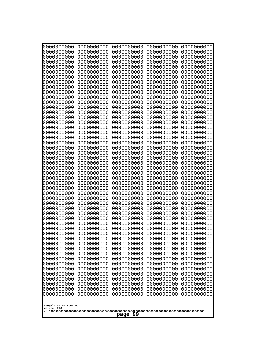| 000000000<br>0000000000               | 0000000000<br>0000000000 | 0000000000<br>0000000000 | 0000000000<br>0000000000 | 0000000000<br>0000000000 |
|---------------------------------------|--------------------------|--------------------------|--------------------------|--------------------------|
| 0000000000<br>0000000000              | 0000000000<br>0000000000 | 0000000000<br>0000000000 | 0000000000<br>0000000000 | 0000000000<br>0000000000 |
| 0000000000                            | 0000000000               | 0000000000               | 0000000000               | 0000000000               |
| 0000000000<br>0000000000              | 0000000000<br>0000000000 | 0000000000<br>0000000000 | 0000000000<br>0000000000 | 0000000000<br>0000000000 |
| 0000000000                            | 0000000000               | 0000000000               | 0000000000               | 0000000000               |
| 0000000000<br>0000000000              | 0000000000<br>0000000000 | 0000000000<br>0000000000 | 0000000000<br>0000000000 | 0000000000<br>0000000000 |
| 0000000000                            | 0000000000               | 0000000000               | 0000000000               | 0000000000               |
| 0000000000                            | 0000000000               | 0000000000               | 0000000000               | 0000000000               |
| 0000000000<br>0000000000              | 0000000000<br>0000000000 | 0000000000<br>0000000000 | 0000000000<br>0000000000 | 0000000000<br>0000000000 |
| 0000000000                            | 0000000000               | 0000000000               | 0000000000               | 0000000000               |
| 0000000000<br>0000000000              | 0000000000<br>0000000000 | 0000000000<br>0000000000 | 0000000000<br>0000000000 | 0000000000<br>0000000000 |
| 0000000000                            | 0000000000               | 0000000000               | 0000000000               | 0000000000               |
| 0000000000<br>0000000000              | 0000000000<br>0000000000 | 0000000000<br>0000000000 | 0000000000<br>0000000000 | 0000000000<br>0000000000 |
| 0000000000                            | 0000000000               | 0000000000               | 0000000000               | 0000000000               |
| 0000000000<br>0000000000              | 0000000000<br>0000000000 | 0000000000<br>0000000000 | 0000000000<br>0000000000 | 0000000000<br>0000000000 |
| 0000000000                            | 0000000000               | 0000000000               | 0000000000               | 0000000000               |
| 0000000000<br>0000000000              | 0000000000<br>0000000000 | 0000000000<br>0000000000 | 0000000000<br>0000000000 | 0000000000<br>0000000000 |
| 0000000000                            | 0000000000               | 0000000000               | 0000000000               | 0000000000               |
| 0000000000<br>0000000000              | 0000000000<br>0000000000 | 0000000000<br>0000000000 | 0000000000<br>0000000000 | 0000000000<br>0000000000 |
| 0000000000                            | 0000000000               | 0000000000               | 0000000000               | 0000000000               |
| 0000000000<br>0000000000              | 0000000000<br>0000000000 | 0000000000<br>0000000000 | 0000000000<br>0000000000 | 0000000000<br>0000000000 |
| 0000000000                            | 0000000000               | 0000000000               | 0000000000               | 0000000000               |
| 0000000000<br>0000000000              | 0000000000<br>0000000000 | 0000000000<br>0000000000 | 0000000000<br>0000000000 | 0000000000<br>0000000000 |
| 0000000000                            | 0000000000               | 0000000000<br>0000000000 | 0000000000               | 0000000000               |
| 0000000000<br>0000000000              | 0000000000<br>0000000000 | 0000000000               | 0000000000<br>0000000000 | 0000000000<br>0000000000 |
| 0000000000<br>0000000000              | 0000000000<br>0000000000 | 0000000000<br>0000000000 | 0000000000<br>0000000000 | 0000000000               |
| 0000000000                            | 0000000000               | 0000000000               | 0000000000               | 0000000000<br>0000000000 |
| 0000000000<br>0000000000              | 0000000000<br>0000000000 | 0000000000<br>0000000000 | 0000000000<br>0000000000 | 0000000000<br>0000000000 |
| 0000000000                            | 0000000000               | 0000000000               | 0000000000               | 0000000000               |
| 0000000000<br>0000000000              | 0000000000<br>0000000000 | 0000000000<br>0000000000 | 0000000000<br>0000000000 | 0000000000<br>0000000000 |
| 0000000000                            | 0000000000               | 0000000000               | 0000000000               | 0000000000               |
| 0000000000<br>0000000000              | 0000000000<br>0000000000 | 0000000000<br>0000000000 | 0000000000<br>0000000000 | 0000000000<br>0000000000 |
| 0000000000                            | 0000000000               | 0000000000               | 0000000000               | 0000000000               |
|                                       |                          |                          |                          |                          |
| Googolplex Written Out<br>volume 1720 |                          |                          |                          |                          |
| page 99                               |                          |                          |                          |                          |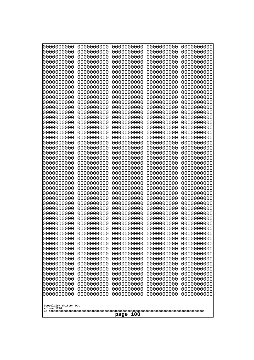| 10000000000              | 0000000000               | 0000000000               | 0000000000               | 0000000000               |
|--------------------------|--------------------------|--------------------------|--------------------------|--------------------------|
| 0000000000<br>0000000000 | 0000000000<br>0000000000 | 0000000000<br>0000000000 | 0000000000<br>0000000000 | 0000000000<br>0000000000 |
| 0000000000               | 0000000000               | 0000000000               | 0000000000               | 0000000000               |
| 0000000000               | 0000000000               | 0000000000               | 0000000000               | 0000000000               |
| 0000000000               | 0000000000               | 0000000000               | 0000000000               | 0000000000               |
| 0000000000<br>0000000000 | 0000000000<br>0000000000 | 0000000000<br>0000000000 | 0000000000<br>0000000000 | 0000000000<br>0000000000 |
| 0000000000               | 0000000000               | 0000000000               | 0000000000               | 0000000000               |
| 0000000000               | 0000000000               | 0000000000               | 0000000000               | 0000000000               |
| 0000000000               | 0000000000               | 0000000000               | 0000000000               | 0000000000               |
| 0000000000<br>0000000000 | 0000000000<br>0000000000 | 0000000000<br>0000000000 | 0000000000<br>0000000000 | 0000000000<br>0000000000 |
| 0000000000               | 0000000000               | 0000000000               | 0000000000               | 0000000000               |
| 0000000000               | 0000000000               | 0000000000               | 0000000000               | 0000000000               |
| 0000000000               | 0000000000               | 0000000000               | 0000000000               | 0000000000               |
| 0000000000<br>0000000000 | 0000000000<br>0000000000 | 0000000000<br>0000000000 | 0000000000<br>0000000000 | 0000000000<br>0000000000 |
| 0000000000               | 0000000000               | 0000000000               | 0000000000               | 0000000000               |
| 0000000000               | 0000000000               | 0000000000               | 0000000000               | 0000000000               |
| 0000000000<br>0000000000 | 0000000000<br>0000000000 | 0000000000<br>0000000000 | 0000000000<br>0000000000 | 0000000000<br>0000000000 |
| 0000000000               | 0000000000               | 0000000000               | 0000000000               | 0000000000               |
| 0000000000               | 0000000000               | 0000000000               | 0000000000               | 0000000000               |
| 0000000000               | 0000000000               | 0000000000               | 0000000000               | 0000000000               |
| 0000000000<br>0000000000 | 0000000000<br>0000000000 | 0000000000<br>0000000000 | 0000000000<br>0000000000 | 0000000000<br>0000000000 |
| 0000000000               | 0000000000               | 0000000000               | 0000000000               | 0000000000               |
| 0000000000               | 0000000000               | 0000000000               | 0000000000               | 0000000000               |
| 0000000000               | 0000000000               | 0000000000               | 0000000000               | 0000000000               |
| 0000000000<br>0000000000 | 0000000000<br>0000000000 | 0000000000<br>0000000000 | 0000000000<br>0000000000 | 0000000000<br>0000000000 |
| 0000000000               | 0000000000               | 0000000000               | 0000000000               | 0000000000               |
| 0000000000               | 0000000000               | 0000000000               | 0000000000               | 0000000000               |
| 0000000000<br>0000000000 | 0000000000<br>0000000000 | 0000000000               | 0000000000               | 0000000000               |
| 0000000000               | 0000000000               | 0000000000<br>0000000000 | 0000000000<br>0000000000 | 0000000000<br>0000000000 |
| 0000000000               | 0000000000               | 0000000000               | 0000000000               | 0000000000               |
| 0000000000               | 0000000000               | 0000000000               | 0000000000               | 0000000000               |
| 0000000000<br>0000000000 | 0000000000<br>0000000000 | 0000000000<br>0000000000 | 0000000000<br>0000000000 | 0000000000<br>0000000000 |
| 0000000000               | 0000000000               | 0000000000               | 0000000000               | 0000000000               |
| 0000000000               | 0000000000               | 0000000000               | 0000000000               | 0000000000               |
| 0000000000               | 0000000000               | 0000000000               | 0000000000               | 0000000000               |
| 0000000000<br>0000000000 | 0000000000<br>0000000000 | 0000000000<br>0000000000 | 0000000000<br>0000000000 | 0000000000<br>0000000000 |
| 0000000000               | 0000000000               | 0000000000               | 0000000000               | 0000000000               |
| 0000000000               | 0000000000               | 0000000000               | 0000000000               | 0000000000               |
| 0000000000               | 0000000000               | 0000000000               | 0000000000               | 0000000000               |
| 0000000000               | 0000000000               | 0000000000               | 0000000000               | 0000000000               |
| Googolplex Written Out   |                          |                          |                          |                          |
| volume 1720              |                          |                          |                          |                          |
| page<br>100              |                          |                          |                          |                          |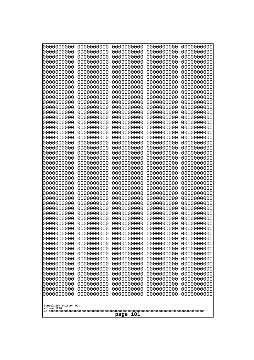| 0000000000                                                                                                                                                                                       | 0000000000 | 0000000000 | 0000000000 | 0000000000 |
|--------------------------------------------------------------------------------------------------------------------------------------------------------------------------------------------------|------------|------------|------------|------------|
| 0000000000                                                                                                                                                                                       | 0000000000 | 0000000000 | 0000000000 | 0000000000 |
| 0000000000                                                                                                                                                                                       | 0000000000 | 0000000000 | 0000000000 | 0000000000 |
| 0000000000                                                                                                                                                                                       | 0000000000 | 0000000000 | 0000000000 | 0000000000 |
| 0000000000                                                                                                                                                                                       | 0000000000 | 0000000000 | 0000000000 | 0000000000 |
| 0000000000                                                                                                                                                                                       | 0000000000 | 0000000000 | 0000000000 | 0000000000 |
| 0000000000                                                                                                                                                                                       | 0000000000 | 0000000000 | 0000000000 | 0000000000 |
| 0000000000                                                                                                                                                                                       | 0000000000 | 0000000000 | 0000000000 | 0000000000 |
| 0000000000                                                                                                                                                                                       | 0000000000 | 0000000000 | 0000000000 | 0000000000 |
| 0000000000                                                                                                                                                                                       | 0000000000 | 0000000000 | 0000000000 | 0000000000 |
| 0000000000                                                                                                                                                                                       | 0000000000 | 0000000000 | 0000000000 | 0000000000 |
| 0000000000                                                                                                                                                                                       | 0000000000 | 0000000000 | 0000000000 | 0000000000 |
| 0000000000                                                                                                                                                                                       | 0000000000 | 0000000000 | 0000000000 | 0000000000 |
| 0000000000                                                                                                                                                                                       | 0000000000 | 0000000000 | 0000000000 | 0000000000 |
| 0000000000                                                                                                                                                                                       | 0000000000 | 0000000000 | 0000000000 | 0000000000 |
| 0000000000                                                                                                                                                                                       | 0000000000 | 0000000000 | 0000000000 | 0000000000 |
| 0000000000                                                                                                                                                                                       | 0000000000 | 0000000000 | 0000000000 | 0000000000 |
| 0000000000                                                                                                                                                                                       | 0000000000 | 0000000000 | 0000000000 | 0000000000 |
| 0000000000                                                                                                                                                                                       | 0000000000 | 0000000000 | 0000000000 | 0000000000 |
| 0000000000                                                                                                                                                                                       | 0000000000 | 0000000000 | 0000000000 | 0000000000 |
| 0000000000                                                                                                                                                                                       | 0000000000 | 0000000000 | 0000000000 | 0000000000 |
| 0000000000                                                                                                                                                                                       | 0000000000 | 0000000000 | 0000000000 | 0000000000 |
| 0000000000                                                                                                                                                                                       | 0000000000 | 0000000000 | 0000000000 | 0000000000 |
| 0000000000                                                                                                                                                                                       | 0000000000 | 0000000000 | 0000000000 | 0000000000 |
| 0000000000                                                                                                                                                                                       | 0000000000 | 0000000000 | 0000000000 | 0000000000 |
| 0000000000                                                                                                                                                                                       | 0000000000 | 0000000000 | 0000000000 | 0000000000 |
| 0000000000                                                                                                                                                                                       | 0000000000 | 0000000000 | 0000000000 | 0000000000 |
| 0000000000                                                                                                                                                                                       | 0000000000 | 0000000000 | 0000000000 | 0000000000 |
| 0000000000                                                                                                                                                                                       | 0000000000 | 0000000000 | 0000000000 | 0000000000 |
| 0000000000                                                                                                                                                                                       | 0000000000 | 0000000000 | 0000000000 | 0000000000 |
| 0000000000                                                                                                                                                                                       | 0000000000 | 0000000000 | 0000000000 | 0000000000 |
| 0000000000                                                                                                                                                                                       | 0000000000 | 0000000000 | 0000000000 | 0000000000 |
| 0000000000                                                                                                                                                                                       | 0000000000 | 0000000000 | 0000000000 | 0000000000 |
| 0000000000                                                                                                                                                                                       | 0000000000 | 0000000000 | 0000000000 | 0000000000 |
| 0000000000                                                                                                                                                                                       | 0000000000 | 0000000000 | 0000000000 | 0000000000 |
| 0000000000                                                                                                                                                                                       | 0000000000 | 0000000000 | 0000000000 | 0000000000 |
| 0000000000                                                                                                                                                                                       | 0000000000 | 0000000000 | 0000000000 | 0000000000 |
| 0000000000                                                                                                                                                                                       | 0000000000 | 0000000000 | 0000000000 | 0000000000 |
| 0000000000                                                                                                                                                                                       | 0000000000 | 0000000000 | 0000000000 | 0000000000 |
| 0000000000                                                                                                                                                                                       | 0000000000 | 0000000000 | 0000000000 | 0000000000 |
| 0000000000                                                                                                                                                                                       | 0000000000 | 0000000000 | 0000000000 | 0000000000 |
| 0000000000                                                                                                                                                                                       | 0000000000 | 0000000000 | 0000000000 | 0000000000 |
| 0000000000                                                                                                                                                                                       | 0000000000 | 0000000000 | 0000000000 | 0000000000 |
| 0000000000                                                                                                                                                                                       | 0000000000 | 0000000000 | 0000000000 | 0000000000 |
| 0000000000                                                                                                                                                                                       | 0000000000 | 0000000000 | 0000000000 | 0000000000 |
| 0000000000                                                                                                                                                                                       | 0000000000 | 0000000000 | 0000000000 | 0000000000 |
| 0000000000                                                                                                                                                                                       | 0000000000 | 0000000000 | 0000000000 | 0000000000 |
| 0000000000                                                                                                                                                                                       | 0000000000 | 0000000000 | 0000000000 | 0000000000 |
| 0000000000<br>0000000000<br>0000000000<br>0000000000<br>0000000000<br>0000000000<br>0000000000<br>0000000000<br>0000000000<br>0000000000<br>Googolplex Written Out<br>volume 1720<br>101<br>page |            |            |            |            |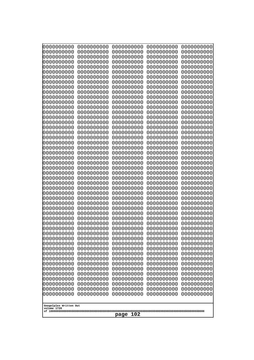| 000000000                             | 0000000000               | 0000000000               | 0000000000               | 0000000000               |
|---------------------------------------|--------------------------|--------------------------|--------------------------|--------------------------|
| 0000000000                            | 0000000000               | 0000000000               | 0000000000               | 0000000000               |
| 0000000000                            | 0000000000               | 0000000000               | 0000000000               | 0000000000               |
| 0000000000                            | 0000000000               | 0000000000               | 0000000000               | 0000000000               |
| 0000000000                            | 0000000000               | 0000000000               | 0000000000               | 0000000000               |
| 0000000000                            | 0000000000               | 0000000000               | 0000000000               | 0000000000               |
| 0000000000<br>0000000000              | 0000000000<br>0000000000 | 0000000000<br>0000000000 | 0000000000<br>0000000000 | 0000000000               |
| 0000000000                            | 0000000000               | 0000000000               | 0000000000               | 0000000000<br>0000000000 |
| 0000000000                            | 0000000000               | 0000000000               | 0000000000               | 0000000000               |
| 0000000000                            | 0000000000               | 0000000000               | 0000000000               | 0000000000               |
| 0000000000                            | 0000000000               | 0000000000               | 0000000000               | 0000000000               |
| 0000000000                            | 0000000000               | 0000000000               | 0000000000               | 0000000000               |
| 0000000000                            | 0000000000               | 0000000000               | 0000000000               | 0000000000               |
| 0000000000                            | 0000000000               | 0000000000               | 0000000000               | 0000000000               |
| 0000000000                            | 0000000000               | 0000000000               | 0000000000               | 0000000000               |
| 0000000000<br>0000000000              | 0000000000<br>0000000000 | 0000000000<br>0000000000 | 0000000000<br>0000000000 | 0000000000<br>0000000000 |
| 0000000000                            | 0000000000               | 0000000000               | 0000000000               | 0000000000               |
| 0000000000                            | 0000000000               | 0000000000               | 0000000000               | 0000000000               |
| 0000000000                            | 0000000000               | 0000000000               | 0000000000               | 0000000000               |
| 0000000000                            | 0000000000               | 0000000000               | 0000000000               | 0000000000               |
| 0000000000                            | 0000000000               | 0000000000               | 0000000000               | 0000000000               |
| 0000000000                            | 0000000000               | 0000000000               | 0000000000               | 0000000000               |
| 0000000000                            | 0000000000               | 0000000000               | 0000000000               | 0000000000               |
| 0000000000<br>0000000000              | 0000000000<br>0000000000 | 0000000000<br>0000000000 | 0000000000<br>0000000000 | 0000000000<br>0000000000 |
| 0000000000                            | 0000000000               | 0000000000               | 0000000000               | 0000000000               |
| 0000000000                            | 0000000000               | 0000000000               | 0000000000               | 0000000000               |
| 0000000000                            | 0000000000               | 0000000000               | 0000000000               | 0000000000               |
| 0000000000                            | 0000000000               | 0000000000               | 0000000000               | 0000000000               |
| 0000000000                            | 0000000000               | 0000000000               | 0000000000               | 0000000000               |
| 0000000000                            | 0000000000               | 0000000000               | 0000000000               | 0000000000               |
| 0000000000                            | 0000000000<br>0000000000 | 0000000000<br>0000000000 | 0000000000               | 0000000000               |
| 0000000000<br>0000000000              | 0000000000               | 0000000000               | 0000000000<br>0000000000 | 0000000000<br>0000000000 |
| 0000000000                            | 0000000000               | 0000000000               | 0000000000               | 0000000000               |
| 0000000000                            | 0000000000               | 0000000000               | 0000000000               | 0000000000               |
| 0000000000                            | 0000000000               | 0000000000               | 0000000000               | 0000000000               |
| 0000000000                            | 0000000000               | 0000000000               | 0000000000               | 0000000000               |
| 0000000000                            | 0000000000               | 0000000000               | 0000000000               | 0000000000               |
| 0000000000                            | 0000000000               | 0000000000               | 0000000000               | 0000000000               |
| 0000000000<br>0000000000              | 0000000000<br>0000000000 | 0000000000<br>0000000000 | 0000000000<br>0000000000 | 0000000000<br>0000000000 |
| 0000000000                            | 0000000000               | 0000000000               | 0000000000               | 0000000000               |
| 0000000000                            | 0000000000               | 0000000000               | 0000000000               | 0000000000               |
| 0000000000                            | 0000000000               | 0000000000               | 0000000000               | 0000000000               |
| 0000000000                            | 0000000000               | 0000000000               | 0000000000               | 0000000000               |
| 0000000000                            | 0000000000               | 0000000000               | 0000000000               | 0000000000               |
| 0000000000                            | 0000000000               | 0000000000               | 0000000000               | 0000000000               |
|                                       |                          |                          |                          |                          |
| Googolplex Written Out<br>volume 1720 |                          |                          |                          |                          |
|                                       |                          | 102<br>page              |                          |                          |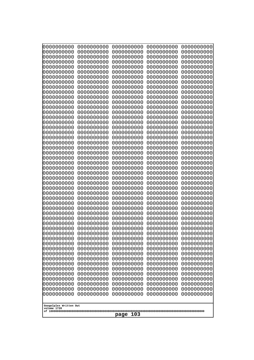| 10000000000<br>0000000000             | 0000000000<br>0000000000 | 0000000000<br>0000000000 | 0000000000<br>0000000000 | 0000000000<br>0000000000 |
|---------------------------------------|--------------------------|--------------------------|--------------------------|--------------------------|
| 0000000000                            | 0000000000               | 0000000000               | 0000000000               | 0000000000               |
| 0000000000                            | 0000000000               | 0000000000               | 0000000000               | 0000000000               |
| 0000000000<br>0000000000              | 0000000000<br>0000000000 | 0000000000<br>0000000000 | 0000000000<br>0000000000 | 0000000000<br>0000000000 |
| 0000000000                            | 0000000000               | 0000000000               | 0000000000               | 0000000000               |
| 0000000000                            | 0000000000               | 0000000000               | 0000000000               | 0000000000               |
| 0000000000<br>0000000000              | 0000000000<br>0000000000 | 0000000000<br>0000000000 | 0000000000<br>0000000000 | 0000000000<br>0000000000 |
| 0000000000                            | 0000000000               | 0000000000               | 0000000000               | 0000000000               |
| 0000000000                            | 0000000000               | 0000000000               | 0000000000               | 0000000000               |
| 0000000000<br>0000000000              | 0000000000<br>0000000000 | 0000000000<br>0000000000 | 0000000000<br>0000000000 | 0000000000<br>0000000000 |
| 0000000000                            | 0000000000               | 0000000000               | 0000000000               | 0000000000               |
| 0000000000                            | 0000000000               | 0000000000               | 0000000000               | 0000000000               |
| 0000000000<br>0000000000              | 0000000000<br>0000000000 | 0000000000<br>0000000000 | 0000000000<br>0000000000 | 0000000000<br>0000000000 |
| 0000000000                            | 0000000000               | 0000000000               | 0000000000               | 0000000000               |
| 0000000000                            | 0000000000               | 0000000000               | 0000000000               | 0000000000               |
| 0000000000<br>0000000000              | 0000000000<br>0000000000 | 0000000000<br>0000000000 | 0000000000<br>0000000000 | 0000000000<br>0000000000 |
| 0000000000                            | 0000000000               | 0000000000               | 0000000000               | 0000000000               |
| 0000000000                            | 0000000000               | 0000000000               | 0000000000               | 0000000000               |
| 0000000000<br>0000000000              | 0000000000<br>0000000000 | 0000000000<br>0000000000 | 0000000000<br>0000000000 | 0000000000<br>0000000000 |
| 0000000000                            | 0000000000               | 0000000000               | 0000000000               | 0000000000               |
| 0000000000                            | 0000000000               | 0000000000               | 0000000000               | 0000000000               |
| 0000000000<br>0000000000              | 0000000000<br>0000000000 | 0000000000<br>0000000000 | 0000000000<br>0000000000 | 0000000000<br>0000000000 |
| 0000000000                            | 0000000000               | 0000000000               | 0000000000               | 0000000000               |
| 0000000000                            | 0000000000               | 0000000000               | 0000000000               | 0000000000               |
| 0000000000<br>0000000000              | 0000000000<br>0000000000 | 0000000000<br>0000000000 | 0000000000<br>0000000000 | 0000000000<br>0000000000 |
| 0000000000                            | 0000000000               | 0000000000               | 0000000000               | 0000000000               |
| 0000000000                            | 0000000000               | 0000000000               | 0000000000               | 0000000000               |
| 0000000000<br>0000000000              | 0000000000<br>0000000000 | 0000000000<br>0000000000 | 0000000000<br>0000000000 | 0000000000<br>0000000000 |
| 0000000000                            | 0000000000               | 0000000000               | 0000000000               | 0000000000               |
| 0000000000                            | 0000000000               | 0000000000               | 0000000000               | 0000000000               |
| 0000000000<br>0000000000              | 0000000000<br>0000000000 | 0000000000<br>0000000000 | 0000000000<br>0000000000 | 0000000000<br>0000000000 |
| 0000000000                            | 0000000000               | 0000000000               | 0000000000               | 0000000000               |
| 0000000000                            | 0000000000               | 0000000000               | 0000000000               | 0000000000               |
| 0000000000<br>0000000000              | 0000000000<br>0000000000 | 0000000000<br>0000000000 | 0000000000<br>0000000000 | 0000000000<br>0000000000 |
| 0000000000                            | 0000000000               | 0000000000               | 0000000000               | 0000000000               |
| 0000000000                            | 0000000000               | 0000000000               | 0000000000               | 0000000000               |
| 0000000000<br>0000000000              | 0000000000<br>0000000000 | 0000000000<br>0000000000 | 0000000000<br>0000000000 | 0000000000<br>0000000000 |
|                                       |                          |                          |                          |                          |
| Googolplex Written Out<br>volume 1720 |                          |                          |                          |                          |
| 103<br>page                           |                          |                          |                          |                          |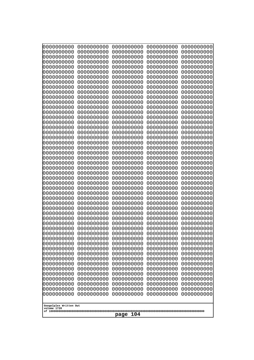| 10000000000                           | 0000000000               | 0000000000               | 0000000000               | 0000000000               |
|---------------------------------------|--------------------------|--------------------------|--------------------------|--------------------------|
| 0000000000<br>0000000000              | 0000000000<br>0000000000 | 0000000000<br>0000000000 | 0000000000<br>0000000000 | 0000000000<br>0000000000 |
| 0000000000                            | 0000000000               | 0000000000               | 0000000000               | 0000000000               |
| 0000000000                            | 0000000000               | 0000000000               | 0000000000               | 0000000000               |
| 0000000000                            | 0000000000               | 0000000000               | 0000000000               | 0000000000               |
| 0000000000<br>0000000000              | 0000000000<br>0000000000 | 0000000000<br>0000000000 | 0000000000<br>0000000000 | 0000000000<br>0000000000 |
| 0000000000                            | 0000000000               | 0000000000               | 0000000000               | 0000000000               |
| 0000000000                            | 0000000000               | 0000000000               | 0000000000               | 0000000000               |
| 0000000000                            | 0000000000               | 0000000000               | 0000000000               | 0000000000               |
| 0000000000<br>0000000000              | 0000000000<br>0000000000 | 0000000000<br>0000000000 | 0000000000<br>0000000000 | 0000000000<br>0000000000 |
| 0000000000                            | 0000000000               | 0000000000               | 0000000000               | 0000000000               |
| 0000000000                            | 0000000000               | 0000000000               | 0000000000               | 0000000000               |
| 0000000000                            | 0000000000               | 0000000000               | 0000000000               | 0000000000               |
| 0000000000<br>0000000000              | 0000000000<br>0000000000 | 0000000000<br>0000000000 | 0000000000<br>0000000000 | 0000000000<br>0000000000 |
| 0000000000                            | 0000000000               | 0000000000               | 0000000000               | 0000000000               |
| 0000000000                            | 0000000000               | 0000000000               | 0000000000               | 0000000000               |
| 0000000000                            | 0000000000               | 0000000000               | 0000000000               | 0000000000               |
| 0000000000<br>0000000000              | 0000000000<br>0000000000 | 0000000000<br>0000000000 | 0000000000<br>0000000000 | 0000000000<br>0000000000 |
| 0000000000                            | 0000000000               | 0000000000               | 0000000000               | 0000000000               |
| 0000000000                            | 0000000000               | 0000000000               | 0000000000               | 0000000000               |
| 0000000000                            | 0000000000               | 0000000000               | 0000000000               | 0000000000               |
| 0000000000<br>0000000000              | 0000000000<br>0000000000 | 0000000000<br>0000000000 | 0000000000<br>0000000000 | 0000000000<br>0000000000 |
| 0000000000                            | 0000000000               | 0000000000               | 0000000000               | 0000000000               |
| 0000000000                            | 0000000000               | 0000000000               | 0000000000               | 0000000000               |
| 0000000000                            | 0000000000               | 0000000000               | 0000000000               | 0000000000               |
| 0000000000<br>0000000000              | 0000000000<br>0000000000 | 0000000000<br>0000000000 | 0000000000<br>0000000000 | 0000000000<br>0000000000 |
| 0000000000                            | 0000000000               | 0000000000               | 0000000000               | 0000000000               |
| 0000000000                            | 0000000000               | 0000000000               | 0000000000               | 0000000000               |
| 0000000000                            | 0000000000<br>0000000000 | 0000000000<br>0000000000 | 0000000000               | 0000000000               |
| 0000000000<br>0000000000              | 0000000000               | 0000000000               | 0000000000<br>0000000000 | 0000000000<br>0000000000 |
| 0000000000                            | 0000000000               | 0000000000               | 0000000000               | 0000000000               |
| 0000000000                            | 0000000000               | 0000000000               | 0000000000               | 0000000000               |
| 0000000000<br>0000000000              | 0000000000<br>0000000000 | 0000000000<br>0000000000 | 0000000000<br>0000000000 | 0000000000<br>0000000000 |
| 0000000000                            | 0000000000               | 0000000000               | 0000000000               | 0000000000               |
| 0000000000                            | 0000000000               | 0000000000               | 0000000000               | 0000000000               |
| 0000000000                            | 0000000000               | 0000000000               | 0000000000               | 0000000000               |
| 0000000000<br>0000000000              | 0000000000<br>0000000000 | 0000000000<br>0000000000 | 0000000000<br>0000000000 | 0000000000<br>0000000000 |
| 0000000000                            | 0000000000               | 0000000000               | 0000000000               | 0000000000               |
| 0000000000                            | 0000000000               | 0000000000               | 0000000000               | 0000000000               |
| 0000000000                            | 0000000000               | 0000000000               | 0000000000               | 0000000000               |
|                                       |                          |                          |                          |                          |
| Googolplex Written Out<br>volume 1720 |                          |                          |                          |                          |
| 104<br>page                           |                          |                          |                          |                          |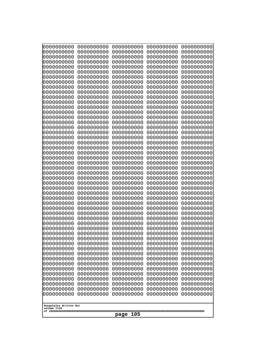| 10000000000<br>0000000000 | 0000000000<br>0000000000 | 0000000000<br>0000000000 | 0000000000<br>0000000000 | 0000000000<br>0000000000 |
|---------------------------|--------------------------|--------------------------|--------------------------|--------------------------|
| 0000000000                | 0000000000               | 0000000000               | 0000000000               | 0000000000               |
| 0000000000                | 0000000000               | 0000000000               | 0000000000               | 0000000000               |
| 0000000000<br>0000000000  | 0000000000<br>0000000000 | 0000000000               | 0000000000<br>0000000000 | 0000000000               |
| 0000000000                | 0000000000               | 0000000000<br>0000000000 | 0000000000               | 0000000000<br>0000000000 |
| 0000000000                | 0000000000               | 0000000000               | 0000000000               | 0000000000               |
| 0000000000                | 0000000000               | 0000000000               | 0000000000               | 0000000000               |
| 0000000000<br>0000000000  | 0000000000<br>0000000000 | 0000000000<br>0000000000 | 0000000000<br>0000000000 | 0000000000<br>0000000000 |
| 0000000000                | 0000000000               | 0000000000               | 0000000000               | 0000000000               |
| 0000000000                | 0000000000               | 0000000000               | 0000000000               | 0000000000               |
| 0000000000                | 0000000000               | 0000000000               | 0000000000               | 0000000000               |
| 0000000000<br>0000000000  | 0000000000<br>0000000000 | 0000000000<br>0000000000 | 0000000000<br>0000000000 | 0000000000<br>0000000000 |
| 0000000000                | 0000000000               | 0000000000               | 0000000000               | 0000000000               |
| 0000000000                | 0000000000               | 0000000000               | 0000000000               | 0000000000               |
| 0000000000<br>0000000000  | 0000000000<br>0000000000 | 0000000000<br>0000000000 | 0000000000<br>0000000000 | 0000000000<br>0000000000 |
| 0000000000                | 0000000000               | 0000000000               | 0000000000               | 0000000000               |
| 0000000000                | 0000000000               | 0000000000               | 0000000000               | 0000000000               |
| 0000000000                | 0000000000               | 0000000000               | 0000000000               | 0000000000               |
| 0000000000<br>0000000000  | 0000000000<br>0000000000 | 0000000000<br>0000000000 | 0000000000<br>0000000000 | 0000000000<br>0000000000 |
| 0000000000                | 0000000000               | 0000000000               | 0000000000               | 0000000000               |
| 0000000000                | 0000000000               | 0000000000               | 0000000000               | 0000000000               |
| 0000000000<br>0000000000  | 0000000000<br>0000000000 | 0000000000<br>0000000000 | 0000000000<br>0000000000 | 0000000000<br>0000000000 |
| 0000000000                | 0000000000               | 0000000000               | 0000000000               | 0000000000               |
| 0000000000                | 0000000000               | 0000000000               | 0000000000               | 0000000000               |
| 0000000000<br>0000000000  | 0000000000<br>0000000000 | 0000000000<br>0000000000 | 0000000000<br>0000000000 | 0000000000<br>0000000000 |
| 0000000000                | 0000000000               | 0000000000               | 0000000000               | 0000000000               |
| 0000000000                | 0000000000               | 0000000000               | 0000000000               | 0000000000               |
| 0000000000                | 0000000000               | 0000000000               | 0000000000               | 0000000000               |
| 0000000000<br>0000000000  | 0000000000<br>0000000000 | 0000000000<br>0000000000 | 0000000000<br>0000000000 | 0000000000<br>0000000000 |
| 0000000000                | 0000000000               | 0000000000               | 0000000000               | 0000000000               |
| 0000000000                | 0000000000               | 0000000000               | 0000000000               | 0000000000               |
| 0000000000<br>0000000000  | 0000000000<br>0000000000 | 0000000000<br>0000000000 | 0000000000<br>0000000000 | 0000000000<br>0000000000 |
| 0000000000                | 0000000000               | 0000000000               | 0000000000               | 0000000000               |
| 0000000000                | 0000000000               | 0000000000               | 0000000000               | 0000000000               |
| 0000000000<br>0000000000  | 0000000000               | 0000000000<br>0000000000 | 0000000000               | 0000000000               |
| 0000000000                | 0000000000<br>0000000000 | 0000000000               | 0000000000<br>0000000000 | 0000000000<br>0000000000 |
| 0000000000                | 0000000000               | 0000000000               | 0000000000               | 0000000000               |
| 0000000000                | 0000000000               | 0000000000               | 0000000000               | 0000000000               |
| 0000000000                | 0000000000               | 0000000000               | 0000000000               | 0000000000               |
| Googolplex Written Out    |                          |                          |                          |                          |
| volume 1720               |                          |                          |                          |                          |
| 105<br>page               |                          |                          |                          |                          |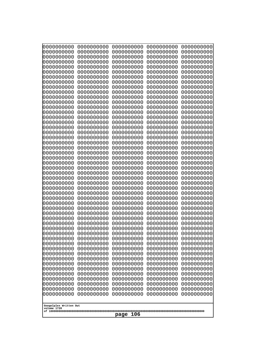| 10000000000                           | 0000000000               | 0000000000<br>0000000000 | 0000000000<br>0000000000 | 0000000000<br>0000000000 |
|---------------------------------------|--------------------------|--------------------------|--------------------------|--------------------------|
| 0000000000<br>0000000000              | 0000000000<br>0000000000 | 0000000000               | 0000000000               | 0000000000               |
| 0000000000                            | 0000000000               | 0000000000               | 0000000000               | 0000000000               |
| 0000000000                            | 0000000000               | 0000000000               | 0000000000               | 0000000000               |
| 0000000000                            | 0000000000               | 0000000000<br>0000000000 | 0000000000<br>0000000000 | 0000000000               |
| 0000000000<br>0000000000              | 0000000000<br>0000000000 | 0000000000               | 0000000000               | 0000000000<br>0000000000 |
| 0000000000                            | 0000000000               | 0000000000               | 0000000000               | 0000000000               |
| 0000000000                            | 0000000000               | 0000000000               | 0000000000               | 0000000000               |
| 0000000000                            | 0000000000               | 0000000000               | 0000000000               | 0000000000               |
| 0000000000<br>0000000000              | 0000000000<br>0000000000 | 0000000000<br>0000000000 | 0000000000<br>0000000000 | 0000000000<br>0000000000 |
| 0000000000                            | 0000000000               | 0000000000               | 0000000000               | 0000000000               |
| 0000000000                            | 0000000000               | 0000000000               | 0000000000               | 0000000000               |
| 0000000000                            | 0000000000               | 0000000000               | 0000000000               | 0000000000               |
| 0000000000<br>0000000000              | 0000000000<br>0000000000 | 0000000000<br>0000000000 | 0000000000<br>0000000000 | 0000000000<br>0000000000 |
| 0000000000                            | 0000000000               | 0000000000               | 0000000000               | 0000000000               |
| 0000000000                            | 0000000000               | 0000000000               | 0000000000               | 0000000000               |
| 0000000000<br>0000000000              | 0000000000<br>0000000000 | 0000000000<br>0000000000 | 0000000000<br>0000000000 | 0000000000<br>0000000000 |
| 0000000000                            | 0000000000               | 0000000000               | 0000000000               | 0000000000               |
| 0000000000                            | 0000000000               | 0000000000               | 0000000000               | 0000000000               |
| 0000000000                            | 0000000000               | 0000000000               | 0000000000               | 0000000000               |
| 0000000000<br>0000000000              | 0000000000<br>0000000000 | 0000000000<br>0000000000 | 0000000000<br>0000000000 | 0000000000<br>0000000000 |
| 0000000000                            | 0000000000               | 0000000000               | 0000000000               | 0000000000               |
| 0000000000                            | 0000000000               | 0000000000               | 0000000000               | 0000000000               |
| 0000000000                            | 0000000000               | 0000000000               | 0000000000               | 0000000000               |
| 0000000000<br>0000000000              | 0000000000<br>0000000000 | 0000000000<br>0000000000 | 0000000000<br>0000000000 | 0000000000<br>0000000000 |
| 0000000000                            | 0000000000               | 0000000000               | 0000000000               | 0000000000               |
| 0000000000                            | 0000000000               | 0000000000               | 0000000000               | 0000000000               |
| 0000000000                            | 0000000000               | 0000000000               | 0000000000               | 0000000000               |
| 0000000000<br>0000000000              | 0000000000<br>0000000000 | 0000000000<br>0000000000 | 0000000000<br>0000000000 | 0000000000<br>0000000000 |
| 0000000000                            | 0000000000               | 0000000000               | 0000000000               | 0000000000               |
| 0000000000                            | 0000000000               | 0000000000               | 0000000000               | 0000000000               |
| 0000000000                            | 0000000000               | 0000000000               | 0000000000               | 0000000000               |
| 0000000000<br>0000000000              | 0000000000<br>0000000000 | 0000000000<br>0000000000 | 0000000000<br>0000000000 | 0000000000<br>0000000000 |
| 0000000000                            | 0000000000               | 0000000000               | 0000000000               | 0000000000               |
| 0000000000                            | 0000000000               | 0000000000               | 0000000000               | 0000000000               |
| 0000000000                            | 0000000000               | 0000000000               | 0000000000               | 0000000000               |
| 0000000000<br>0000000000              | 0000000000<br>0000000000 | 0000000000<br>0000000000 | 0000000000<br>0000000000 | 0000000000<br>0000000000 |
| 0000000000                            | 0000000000               | 0000000000               | 0000000000               | 0000000000               |
| 0000000000                            | 0000000000               | 0000000000               | 0000000000               | 0000000000               |
| 0000000000                            | 0000000000               | 0000000000               | 0000000000               | 0000000000               |
|                                       |                          |                          |                          |                          |
| Googolplex Written Out<br>volume 1720 |                          |                          |                          |                          |
| page<br>106                           |                          |                          |                          |                          |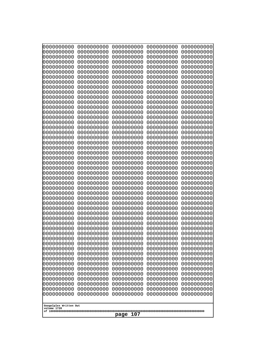| 10000000000<br>0000000000             | 0000000000<br>0000000000 | 0000000000<br>0000000000 | 0000000000<br>0000000000 | 0000000000<br>0000000000 |
|---------------------------------------|--------------------------|--------------------------|--------------------------|--------------------------|
| 0000000000                            | 0000000000               | 0000000000               | 0000000000               | 0000000000               |
| 0000000000                            | 0000000000               | 0000000000               | 0000000000               | 0000000000               |
| 0000000000<br>0000000000              | 0000000000<br>0000000000 | 0000000000<br>0000000000 | 0000000000<br>0000000000 | 0000000000<br>0000000000 |
| 0000000000                            | 0000000000               | 0000000000               | 0000000000               | 0000000000               |
| 0000000000                            | 0000000000               | 0000000000               | 0000000000               | 0000000000               |
| 0000000000<br>0000000000              | 0000000000<br>0000000000 | 0000000000<br>0000000000 | 0000000000<br>0000000000 | 0000000000<br>0000000000 |
| 0000000000                            | 0000000000               | 0000000000               | 0000000000               | 0000000000               |
| 0000000000                            | 0000000000               | 0000000000               | 0000000000               | 0000000000               |
| 0000000000<br>0000000000              | 0000000000<br>0000000000 | 0000000000<br>0000000000 | 0000000000<br>0000000000 | 0000000000<br>0000000000 |
| 0000000000                            | 0000000000               | 0000000000               | 0000000000               | 0000000000               |
| 0000000000                            | 0000000000               | 0000000000               | 0000000000               | 0000000000               |
| 0000000000<br>0000000000              | 0000000000<br>0000000000 | 0000000000<br>0000000000 | 0000000000<br>0000000000 | 0000000000<br>0000000000 |
| 0000000000                            | 0000000000               | 0000000000               | 0000000000               | 0000000000               |
| 0000000000                            | 0000000000               | 0000000000               | 0000000000               | 0000000000               |
| 0000000000<br>0000000000              | 0000000000<br>0000000000 | 0000000000<br>0000000000 | 0000000000<br>0000000000 | 0000000000<br>0000000000 |
| 0000000000                            | 0000000000               | 0000000000               | 0000000000               | 0000000000               |
| 0000000000                            | 0000000000               | 0000000000               | 0000000000               | 0000000000               |
| 0000000000<br>0000000000              | 0000000000<br>0000000000 | 0000000000<br>0000000000 | 0000000000<br>0000000000 | 0000000000<br>0000000000 |
| 0000000000                            | 0000000000               | 0000000000               | 0000000000               | 0000000000               |
| 0000000000                            | 0000000000               | 0000000000               | 0000000000               | 0000000000               |
| 0000000000<br>0000000000              | 0000000000<br>0000000000 | 0000000000<br>0000000000 | 0000000000<br>0000000000 | 0000000000<br>0000000000 |
| 0000000000                            | 0000000000               | 0000000000               | 0000000000               | 0000000000               |
| 0000000000                            | 0000000000               | 0000000000               | 0000000000               | 0000000000               |
| 0000000000<br>0000000000              | 0000000000<br>0000000000 | 0000000000<br>0000000000 | 0000000000<br>0000000000 | 0000000000<br>0000000000 |
| 0000000000                            | 0000000000               | 0000000000               | 0000000000               | 0000000000               |
| 0000000000                            | 0000000000               | 0000000000               | 0000000000               | 0000000000               |
| 0000000000<br>0000000000              | 0000000000<br>0000000000 | 0000000000<br>0000000000 | 0000000000<br>0000000000 | 0000000000<br>0000000000 |
| 0000000000                            | 0000000000               | 0000000000               | 0000000000               | 0000000000               |
| 0000000000                            | 0000000000               | 0000000000               | 0000000000               | 0000000000               |
| 0000000000<br>0000000000              | 0000000000<br>0000000000 | 0000000000<br>0000000000 | 0000000000<br>0000000000 | 0000000000<br>0000000000 |
| 0000000000                            | 0000000000               | 0000000000               | 0000000000               | 0000000000               |
| 0000000000                            | 0000000000               | 0000000000               | 0000000000               | 0000000000               |
| 0000000000<br>0000000000              | 0000000000<br>0000000000 | 0000000000<br>0000000000 | 0000000000<br>0000000000 | 0000000000<br>0000000000 |
| 0000000000                            | 0000000000               | 0000000000               | 0000000000               | 0000000000               |
| 0000000000                            | 0000000000               | 0000000000               | 0000000000               | 0000000000               |
| 0000000000<br>0000000000              | 0000000000<br>0000000000 | 0000000000<br>0000000000 | 0000000000<br>0000000000 | 0000000000<br>0000000000 |
|                                       |                          |                          |                          |                          |
| Googolplex Written Out<br>volume 1720 |                          |                          |                          |                          |
| 107<br>page                           |                          |                          |                          |                          |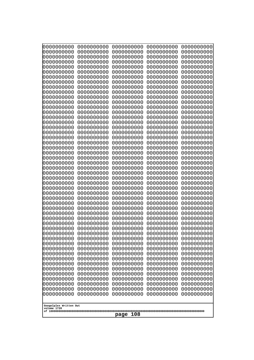| 10000000000                           | 0000000000               | 0000000000               | 0000000000               | 0000000000               |
|---------------------------------------|--------------------------|--------------------------|--------------------------|--------------------------|
| 0000000000<br>0000000000              | 0000000000<br>0000000000 | 0000000000<br>0000000000 | 0000000000<br>0000000000 | 0000000000<br>0000000000 |
| 0000000000                            | 0000000000               | 0000000000               | 0000000000               | 0000000000               |
| 0000000000                            | 0000000000               | 0000000000               | 0000000000               | 0000000000               |
| 0000000000                            | 0000000000               | 0000000000               | 0000000000               | 0000000000               |
| 0000000000<br>0000000000              | 0000000000<br>0000000000 | 0000000000<br>0000000000 | 0000000000<br>0000000000 | 0000000000<br>0000000000 |
| 0000000000                            | 0000000000               | 0000000000               | 0000000000               | 0000000000               |
| 0000000000                            | 0000000000               | 0000000000               | 0000000000               | 0000000000               |
| 0000000000                            | 0000000000               | 0000000000               | 0000000000               | 0000000000               |
| 0000000000<br>0000000000              | 0000000000<br>0000000000 | 0000000000<br>0000000000 | 0000000000<br>0000000000 | 0000000000<br>0000000000 |
| 0000000000                            | 0000000000               | 0000000000               | 0000000000               | 0000000000               |
| 0000000000                            | 0000000000               | 0000000000               | 0000000000               | 0000000000               |
| 0000000000                            | 0000000000               | 0000000000               | 0000000000               | 0000000000               |
| 0000000000<br>0000000000              | 0000000000<br>0000000000 | 0000000000<br>0000000000 | 0000000000<br>0000000000 | 0000000000<br>0000000000 |
| 0000000000                            | 0000000000               | 0000000000               | 0000000000               | 0000000000               |
| 0000000000                            | 0000000000               | 0000000000               | 0000000000               | 0000000000               |
| 0000000000                            | 0000000000               | 0000000000               | 0000000000               | 0000000000               |
| 0000000000<br>0000000000              | 0000000000<br>0000000000 | 0000000000<br>0000000000 | 0000000000<br>0000000000 | 0000000000<br>0000000000 |
| 0000000000                            | 0000000000               | 0000000000               | 0000000000               | 0000000000               |
| 0000000000                            | 0000000000               | 0000000000               | 0000000000               | 0000000000               |
| 0000000000                            | 0000000000               | 0000000000               | 0000000000               | 0000000000               |
| 0000000000<br>0000000000              | 0000000000<br>0000000000 | 0000000000<br>0000000000 | 0000000000<br>0000000000 | 0000000000<br>0000000000 |
| 0000000000                            | 0000000000               | 0000000000               | 0000000000               | 0000000000               |
| 0000000000                            | 0000000000               | 0000000000               | 0000000000               | 0000000000               |
| 0000000000                            | 0000000000               | 0000000000               | 0000000000               | 0000000000               |
| 0000000000<br>0000000000              | 0000000000<br>0000000000 | 0000000000<br>0000000000 | 0000000000<br>0000000000 | 0000000000<br>0000000000 |
| 0000000000                            | 0000000000               | 0000000000               | 0000000000               | 0000000000               |
| 0000000000                            | 0000000000               | 0000000000               | 0000000000               | 0000000000               |
| 0000000000<br>0000000000              | 0000000000<br>0000000000 | 0000000000<br>0000000000 | 0000000000<br>0000000000 | 0000000000<br>0000000000 |
| 0000000000                            | 0000000000               | 0000000000               | 0000000000               | 0000000000               |
| 0000000000                            | 0000000000               | 0000000000               | 0000000000               | 0000000000               |
| 0000000000                            | 0000000000               | 0000000000               | 0000000000               | 0000000000               |
| 0000000000<br>0000000000              | 0000000000<br>0000000000 | 0000000000<br>0000000000 | 0000000000<br>0000000000 | 0000000000<br>0000000000 |
| 0000000000                            | 0000000000               | 0000000000               | 0000000000               | 0000000000               |
| 0000000000                            | 0000000000               | 0000000000               | 0000000000               | 0000000000               |
| 0000000000                            | 0000000000               | 0000000000               | 0000000000               | 0000000000               |
| 0000000000<br>0000000000              | 0000000000<br>0000000000 | 0000000000<br>0000000000 | 0000000000<br>0000000000 | 0000000000<br>0000000000 |
| 0000000000                            | 0000000000               | 0000000000               | 0000000000               | 0000000000               |
| 0000000000                            | 0000000000               | 0000000000               | 0000000000               | 0000000000               |
| 0000000000                            | 0000000000               | 0000000000               | 0000000000               | 0000000000               |
|                                       |                          |                          |                          |                          |
| Googolplex Written Out<br>volume 1720 |                          |                          |                          |                          |
| 108<br>page                           |                          |                          |                          |                          |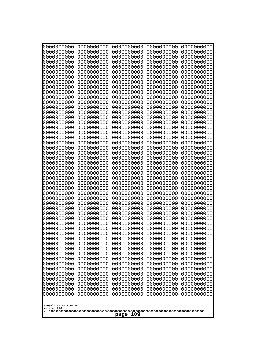| 0000000000<br>0000000000<br>0000000000<br>0000000000<br>0000000000<br>0000000000<br>0000000000<br>0000000000<br>0000000000<br>0000000000<br>0000000000<br>0000000000<br>0000000000<br>0000000000<br>0000000000<br>0000000000<br>0000000000<br>0000000000<br>0000000000<br>0000000000<br>0000000000<br>0000000000<br>0000000000<br>0000000000 | 0000000000<br>0000000000<br>0000000000<br>0000000000<br>0000000000<br>0000000000<br>0000000000<br>0000000000<br>0000000000<br>0000000000<br>0000000000<br>0000000000<br>0000000000<br>0000000000<br>0000000000<br>0000000000<br>0000000000<br>0000000000<br>0000000000<br>0000000000<br>0000000000<br>0000000000<br>0000000000<br>0000000000 | 0000000000<br>0000000000<br>0000000000<br>0000000000<br>0000000000<br>0000000000<br>0000000000<br>0000000000<br>0000000000<br>0000000000<br>0000000000<br>0000000000<br>0000000000<br>0000000000<br>0000000000<br>0000000000<br>0000000000<br>0000000000<br>0000000000<br>0000000000<br>0000000000<br>0000000000<br>0000000000<br>0000000000 | 0000000000<br>0000000000<br>0000000000<br>0000000000<br>0000000000<br>0000000000<br>0000000000<br>0000000000<br>0000000000<br>0000000000<br>0000000000<br>0000000000<br>0000000000<br>0000000000<br>0000000000<br>0000000000<br>0000000000<br>0000000000<br>0000000000<br>0000000000<br>0000000000<br>0000000000<br>0000000000<br>0000000000 | 0000000000<br>0000000000<br>0000000000<br>0000000000<br>0000000000<br>0000000000<br>0000000000<br>0000000000<br>0000000000<br>0000000000<br>0000000000<br>0000000000<br>0000000000<br>0000000000<br>0000000000<br>0000000000<br>0000000000<br>0000000000<br>0000000000<br>0000000000<br>0000000000<br>0000000000<br>0000000000<br>0000000000 |
|----------------------------------------------------------------------------------------------------------------------------------------------------------------------------------------------------------------------------------------------------------------------------------------------------------------------------------------------|----------------------------------------------------------------------------------------------------------------------------------------------------------------------------------------------------------------------------------------------------------------------------------------------------------------------------------------------|----------------------------------------------------------------------------------------------------------------------------------------------------------------------------------------------------------------------------------------------------------------------------------------------------------------------------------------------|----------------------------------------------------------------------------------------------------------------------------------------------------------------------------------------------------------------------------------------------------------------------------------------------------------------------------------------------|----------------------------------------------------------------------------------------------------------------------------------------------------------------------------------------------------------------------------------------------------------------------------------------------------------------------------------------------|
|                                                                                                                                                                                                                                                                                                                                              |                                                                                                                                                                                                                                                                                                                                              |                                                                                                                                                                                                                                                                                                                                              |                                                                                                                                                                                                                                                                                                                                              |                                                                                                                                                                                                                                                                                                                                              |
|                                                                                                                                                                                                                                                                                                                                              |                                                                                                                                                                                                                                                                                                                                              |                                                                                                                                                                                                                                                                                                                                              |                                                                                                                                                                                                                                                                                                                                              |                                                                                                                                                                                                                                                                                                                                              |
|                                                                                                                                                                                                                                                                                                                                              |                                                                                                                                                                                                                                                                                                                                              |                                                                                                                                                                                                                                                                                                                                              |                                                                                                                                                                                                                                                                                                                                              |                                                                                                                                                                                                                                                                                                                                              |
|                                                                                                                                                                                                                                                                                                                                              |                                                                                                                                                                                                                                                                                                                                              |                                                                                                                                                                                                                                                                                                                                              |                                                                                                                                                                                                                                                                                                                                              |                                                                                                                                                                                                                                                                                                                                              |
|                                                                                                                                                                                                                                                                                                                                              |                                                                                                                                                                                                                                                                                                                                              |                                                                                                                                                                                                                                                                                                                                              |                                                                                                                                                                                                                                                                                                                                              |                                                                                                                                                                                                                                                                                                                                              |
|                                                                                                                                                                                                                                                                                                                                              |                                                                                                                                                                                                                                                                                                                                              |                                                                                                                                                                                                                                                                                                                                              |                                                                                                                                                                                                                                                                                                                                              |                                                                                                                                                                                                                                                                                                                                              |
|                                                                                                                                                                                                                                                                                                                                              |                                                                                                                                                                                                                                                                                                                                              |                                                                                                                                                                                                                                                                                                                                              |                                                                                                                                                                                                                                                                                                                                              |                                                                                                                                                                                                                                                                                                                                              |
|                                                                                                                                                                                                                                                                                                                                              |                                                                                                                                                                                                                                                                                                                                              |                                                                                                                                                                                                                                                                                                                                              |                                                                                                                                                                                                                                                                                                                                              |                                                                                                                                                                                                                                                                                                                                              |
| 0000000000<br>0000000000                                                                                                                                                                                                                                                                                                                     | 0000000000<br>0000000000                                                                                                                                                                                                                                                                                                                     | 0000000000<br>0000000000                                                                                                                                                                                                                                                                                                                     | 0000000000<br>0000000000                                                                                                                                                                                                                                                                                                                     | 0000000000<br>0000000000                                                                                                                                                                                                                                                                                                                     |
| 0000000000<br>0000000000<br>0000000000                                                                                                                                                                                                                                                                                                       | 0000000000<br>0000000000<br>0000000000                                                                                                                                                                                                                                                                                                       | 0000000000<br>0000000000<br>0000000000                                                                                                                                                                                                                                                                                                       | 0000000000<br>0000000000<br>0000000000                                                                                                                                                                                                                                                                                                       | 0000000000<br>0000000000<br>0000000000                                                                                                                                                                                                                                                                                                       |
| 0000000000<br>0000000000                                                                                                                                                                                                                                                                                                                     | 0000000000<br>0000000000                                                                                                                                                                                                                                                                                                                     | 0000000000<br>0000000000                                                                                                                                                                                                                                                                                                                     | 0000000000<br>0000000000                                                                                                                                                                                                                                                                                                                     | 0000000000<br>0000000000                                                                                                                                                                                                                                                                                                                     |
| 0000000000<br>0000000000                                                                                                                                                                                                                                                                                                                     | 0000000000<br>0000000000                                                                                                                                                                                                                                                                                                                     | 0000000000<br>0000000000                                                                                                                                                                                                                                                                                                                     | 0000000000<br>0000000000                                                                                                                                                                                                                                                                                                                     | 0000000000<br>0000000000                                                                                                                                                                                                                                                                                                                     |
| 0000000000<br>0000000000                                                                                                                                                                                                                                                                                                                     | 0000000000<br>0000000000                                                                                                                                                                                                                                                                                                                     | 0000000000<br>0000000000                                                                                                                                                                                                                                                                                                                     | 0000000000<br>0000000000                                                                                                                                                                                                                                                                                                                     | 0000000000<br>0000000000                                                                                                                                                                                                                                                                                                                     |
| 0000000000<br>0000000000                                                                                                                                                                                                                                                                                                                     | 0000000000<br>0000000000                                                                                                                                                                                                                                                                                                                     | 0000000000<br>0000000000                                                                                                                                                                                                                                                                                                                     | 0000000000<br>0000000000                                                                                                                                                                                                                                                                                                                     | 0000000000<br>0000000000                                                                                                                                                                                                                                                                                                                     |
| 0000000000<br>0000000000                                                                                                                                                                                                                                                                                                                     | 0000000000<br>0000000000                                                                                                                                                                                                                                                                                                                     | 0000000000<br>0000000000                                                                                                                                                                                                                                                                                                                     | 0000000000<br>0000000000                                                                                                                                                                                                                                                                                                                     | 0000000000<br>0000000000                                                                                                                                                                                                                                                                                                                     |
| 0000000000<br>0000000000<br>0000000000                                                                                                                                                                                                                                                                                                       | 0000000000<br>0000000000                                                                                                                                                                                                                                                                                                                     | 0000000000<br>0000000000                                                                                                                                                                                                                                                                                                                     | 0000000000<br>0000000000                                                                                                                                                                                                                                                                                                                     | 0000000000<br>0000000000                                                                                                                                                                                                                                                                                                                     |
| 0000000000<br>0000000000                                                                                                                                                                                                                                                                                                                     | 0000000000<br>0000000000<br>0000000000                                                                                                                                                                                                                                                                                                       | 0000000000<br>0000000000<br>0000000000                                                                                                                                                                                                                                                                                                       | 0000000000<br>0000000000<br>0000000000                                                                                                                                                                                                                                                                                                       | 0000000000<br>0000000000<br>0000000000                                                                                                                                                                                                                                                                                                       |
| 0000000000<br>0000000000                                                                                                                                                                                                                                                                                                                     | 0000000000<br>0000000000                                                                                                                                                                                                                                                                                                                     | 0000000000<br>0000000000                                                                                                                                                                                                                                                                                                                     | 0000000000<br>0000000000                                                                                                                                                                                                                                                                                                                     | 0000000000<br>0000000000                                                                                                                                                                                                                                                                                                                     |
| 0000000000<br>0000000000                                                                                                                                                                                                                                                                                                                     | 0000000000<br>0000000000                                                                                                                                                                                                                                                                                                                     | 0000000000<br>0000000000                                                                                                                                                                                                                                                                                                                     | 0000000000<br>0000000000                                                                                                                                                                                                                                                                                                                     | 0000000000<br>0000000000                                                                                                                                                                                                                                                                                                                     |
| 0000000000<br>0000000000                                                                                                                                                                                                                                                                                                                     | 0000000000<br>0000000000                                                                                                                                                                                                                                                                                                                     | 0000000000<br>0000000000                                                                                                                                                                                                                                                                                                                     | 0000000000<br>0000000000                                                                                                                                                                                                                                                                                                                     | 0000000000<br>0000000000                                                                                                                                                                                                                                                                                                                     |
| Googolplex Written Out<br>volume 1720                                                                                                                                                                                                                                                                                                        |                                                                                                                                                                                                                                                                                                                                              |                                                                                                                                                                                                                                                                                                                                              |                                                                                                                                                                                                                                                                                                                                              |                                                                                                                                                                                                                                                                                                                                              |
| 109<br>page                                                                                                                                                                                                                                                                                                                                  |                                                                                                                                                                                                                                                                                                                                              |                                                                                                                                                                                                                                                                                                                                              |                                                                                                                                                                                                                                                                                                                                              |                                                                                                                                                                                                                                                                                                                                              |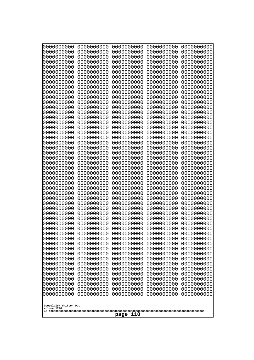| 0000000000               | 0000000000               | 0000000000               | 0000000000               | 0000000000               |
|--------------------------|--------------------------|--------------------------|--------------------------|--------------------------|
| 0000000000<br>0000000000 | 0000000000<br>0000000000 | 0000000000<br>0000000000 | 0000000000<br>0000000000 | 0000000000<br>0000000000 |
| 0000000000               | 0000000000               | 0000000000               | 0000000000               | 0000000000               |
| 0000000000               | 0000000000               | 0000000000               | 0000000000               | 0000000000               |
| 0000000000               | 0000000000               | 0000000000               | 0000000000               | 0000000000               |
| 0000000000               | 0000000000               | 0000000000               | 0000000000               | 0000000000               |
| 0000000000<br>0000000000 | 0000000000<br>0000000000 | 0000000000<br>0000000000 | 0000000000<br>0000000000 | 0000000000<br>0000000000 |
| 0000000000               | 0000000000               | 0000000000               | 0000000000               | 0000000000               |
| 0000000000               | 0000000000               | 0000000000               | 0000000000               | 0000000000               |
| 0000000000               | 0000000000               | 0000000000               | 0000000000               | 0000000000               |
| 0000000000<br>0000000000 | 0000000000<br>0000000000 | 0000000000<br>0000000000 | 0000000000<br>0000000000 | 0000000000<br>0000000000 |
| 0000000000               | 0000000000               | 0000000000               | 0000000000               | 0000000000               |
| 0000000000               | 0000000000               | 0000000000               | 0000000000               | 0000000000               |
| 0000000000<br>0000000000 | 0000000000<br>0000000000 | 0000000000<br>0000000000 | 0000000000<br>0000000000 | 0000000000<br>0000000000 |
| 0000000000               | 0000000000               | 0000000000               | 0000000000               | 0000000000               |
| 0000000000               | 0000000000               | 0000000000               | 0000000000               | 0000000000               |
| 0000000000               | 0000000000               | 0000000000               | 0000000000               | 0000000000               |
| 0000000000<br>0000000000 | 0000000000<br>0000000000 | 0000000000<br>0000000000 | 0000000000<br>0000000000 | 0000000000<br>0000000000 |
| 0000000000               | 0000000000               | 0000000000               | 0000000000               | 0000000000               |
| 0000000000               | 0000000000               | 0000000000               | 0000000000               | 0000000000               |
| 0000000000               | 0000000000               | 0000000000               | 0000000000               | 0000000000               |
| 0000000000<br>0000000000 | 0000000000<br>0000000000 | 0000000000<br>0000000000 | 0000000000<br>0000000000 | 0000000000<br>0000000000 |
| 0000000000               | 0000000000               | 0000000000               | 0000000000               | 0000000000               |
| 0000000000               | 0000000000               | 0000000000               | 0000000000               | 0000000000               |
| 0000000000<br>0000000000 | 0000000000<br>0000000000 | 0000000000<br>0000000000 | 0000000000<br>0000000000 | 0000000000<br>0000000000 |
| 0000000000               | 0000000000               | 0000000000               | 0000000000               | 0000000000               |
| 0000000000               | 0000000000               | 0000000000               | 0000000000               | 0000000000               |
| 0000000000               | 0000000000               | 0000000000               | 0000000000               | 0000000000               |
| 0000000000<br>0000000000 | 0000000000<br>0000000000 | 0000000000<br>0000000000 | 0000000000<br>0000000000 | 0000000000<br>0000000000 |
| 0000000000               | 0000000000               | 0000000000               | 0000000000               | 0000000000               |
| 0000000000               | 0000000000               | 0000000000               | 0000000000               | 0000000000               |
| 0000000000               | 0000000000               | 0000000000               | 0000000000               | 0000000000               |
| 0000000000<br>0000000000 | 0000000000<br>0000000000 | 0000000000<br>0000000000 | 0000000000<br>0000000000 | 0000000000<br>0000000000 |
| 0000000000               | 0000000000               | 0000000000               | 0000000000               | 0000000000               |
| 0000000000               | 0000000000               | 0000000000               | 0000000000               | 0000000000               |
| 0000000000<br>0000000000 | 0000000000<br>0000000000 | 0000000000<br>0000000000 | 0000000000<br>0000000000 | 0000000000<br>0000000000 |
| 0000000000               | 0000000000               | 0000000000               | 0000000000               | 0000000000               |
| 0000000000               | 0000000000               | 0000000000               | 0000000000               | 0000000000               |
| 0000000000               | 0000000000               | 0000000000               | 0000000000               | 0000000000               |
| 0000000000               | 0000000000               | 0000000000               | 0000000000               | 0000000000               |
| Googolplex Written Out   |                          |                          |                          |                          |
| volume 1720              |                          |                          |                          |                          |
| 110<br>page              |                          |                          |                          |                          |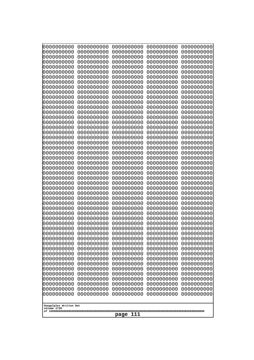| 10000000000<br>0000000000             | 0000000000<br>0000000000 | 0000000000<br>0000000000 | 0000000000<br>0000000000 | 0000000000<br>0000000000 |
|---------------------------------------|--------------------------|--------------------------|--------------------------|--------------------------|
| 0000000000                            | 0000000000               | 0000000000               | 0000000000               | 0000000000               |
| 0000000000                            | 0000000000               | 0000000000               | 0000000000               | 0000000000               |
| 0000000000                            | 0000000000               | 0000000000               | 0000000000               | 0000000000               |
| 0000000000<br>0000000000              | 0000000000<br>0000000000 | 0000000000<br>0000000000 | 0000000000<br>0000000000 | 0000000000<br>0000000000 |
| 0000000000                            | 0000000000               | 0000000000               | 0000000000               | 0000000000               |
| 0000000000                            | 0000000000               | 0000000000               | 0000000000               | 0000000000               |
| 0000000000                            | 0000000000               | 0000000000               | 0000000000               | 0000000000               |
| 0000000000<br>0000000000              | 0000000000<br>0000000000 | 0000000000<br>0000000000 | 0000000000<br>0000000000 | 0000000000<br>0000000000 |
| 0000000000                            | 0000000000               | 0000000000               | 0000000000               | 0000000000               |
| 0000000000                            | 0000000000               | 0000000000               | 0000000000               | 0000000000               |
| 0000000000<br>0000000000              | 0000000000<br>0000000000 | 0000000000<br>0000000000 | 0000000000<br>0000000000 | 0000000000<br>0000000000 |
| 0000000000                            | 0000000000               | 0000000000               | 0000000000               | 0000000000               |
| 0000000000                            | 0000000000               | 0000000000               | 0000000000               | 0000000000               |
| 0000000000                            | 0000000000               | 0000000000               | 0000000000               | 0000000000               |
| 0000000000<br>0000000000              | 0000000000<br>0000000000 | 0000000000<br>0000000000 | 0000000000<br>0000000000 | 0000000000<br>0000000000 |
| 0000000000                            | 0000000000               | 0000000000               | 0000000000               | 0000000000               |
| 0000000000                            | 0000000000               | 0000000000               | 0000000000               | 0000000000               |
| 0000000000<br>0000000000              | 0000000000<br>0000000000 | 0000000000<br>0000000000 | 0000000000<br>0000000000 | 0000000000<br>0000000000 |
| 0000000000                            | 0000000000               | 0000000000               | 0000000000               | 0000000000               |
| 0000000000                            | 0000000000               | 0000000000               | 0000000000               | 0000000000               |
| 0000000000                            | 0000000000               | 0000000000               | 0000000000               | 0000000000               |
| 0000000000<br>0000000000              | 0000000000<br>0000000000 | 0000000000<br>0000000000 | 0000000000<br>0000000000 | 0000000000<br>0000000000 |
| 0000000000                            | 0000000000               | 0000000000               | 0000000000               | 0000000000               |
| 0000000000                            | 0000000000               | 0000000000               | 0000000000               | 0000000000               |
| 0000000000<br>0000000000              | 0000000000<br>0000000000 | 0000000000<br>0000000000 | 0000000000<br>0000000000 | 0000000000<br>0000000000 |
| 0000000000                            | 0000000000               | 0000000000               | 0000000000               | 0000000000               |
| 0000000000                            | 0000000000               | 0000000000               | 0000000000               | 0000000000               |
| 0000000000                            | 0000000000               | 0000000000               | 0000000000               | 0000000000               |
| 0000000000<br>0000000000              | 0000000000<br>0000000000 | 0000000000<br>0000000000 | 0000000000<br>0000000000 | 0000000000<br>0000000000 |
| 0000000000                            | 0000000000               | 0000000000               | 0000000000               | 0000000000               |
| 0000000000                            | 0000000000               | 0000000000               | 0000000000               | 0000000000               |
| 0000000000<br>0000000000              | 0000000000<br>0000000000 | 0000000000<br>0000000000 | 0000000000<br>0000000000 | 0000000000<br>0000000000 |
| 0000000000                            | 0000000000               | 0000000000               | 0000000000               | 0000000000               |
| 0000000000                            | 0000000000               | 0000000000               | 0000000000               | 0000000000               |
| 0000000000<br>0000000000              | 0000000000<br>0000000000 | 0000000000<br>0000000000 | 0000000000<br>0000000000 | 0000000000<br>0000000000 |
| 0000000000                            | 0000000000               | 0000000000               | 0000000000               | 0000000000               |
| 0000000000                            | 0000000000               | 0000000000               | 0000000000               | 0000000000               |
| 0000000000                            | 0000000000               | 0000000000               | 0000000000               | 0000000000               |
|                                       |                          |                          |                          |                          |
| Googolplex Written Out<br>volume 1720 |                          |                          |                          |                          |
| 111<br>page                           |                          |                          |                          |                          |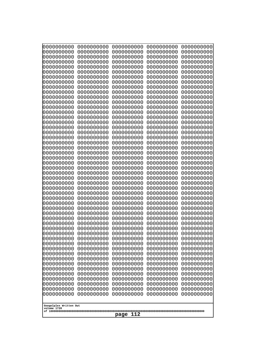| 000000000                             | 0000000000               | 0000000000               | 0000000000               | 0000000000               |
|---------------------------------------|--------------------------|--------------------------|--------------------------|--------------------------|
| 0000000000                            | 0000000000               | 0000000000               | 0000000000               | 0000000000               |
| 0000000000                            | 0000000000               | 0000000000               | 0000000000               | 0000000000               |
| 0000000000                            | 0000000000               | 0000000000               | 0000000000               | 0000000000               |
| 0000000000                            | 0000000000               | 0000000000               | 0000000000               | 0000000000               |
| 0000000000                            | 0000000000               | 0000000000               | 0000000000               | 0000000000               |
| 0000000000                            | 0000000000               | 0000000000               | 0000000000               | 0000000000               |
| 0000000000                            | 0000000000               | 0000000000               | 0000000000               | 0000000000               |
| 0000000000                            | 0000000000<br>0000000000 | 0000000000<br>0000000000 | 0000000000               | 0000000000               |
| 0000000000<br>0000000000              | 0000000000               | 0000000000               | 0000000000<br>0000000000 | 0000000000<br>0000000000 |
| 0000000000                            | 0000000000               | 0000000000               | 0000000000               | 0000000000               |
| 0000000000                            | 0000000000               | 0000000000               | 0000000000               | 0000000000               |
| 0000000000                            | 0000000000               | 0000000000               | 0000000000               | 0000000000               |
| 0000000000                            | 0000000000               | 0000000000               | 0000000000               | 0000000000               |
| 0000000000                            | 0000000000               | 0000000000               | 0000000000               | 0000000000               |
| 0000000000                            | 0000000000               | 0000000000               | 0000000000               | 0000000000               |
| 0000000000                            | 0000000000               | 0000000000               | 0000000000               | 0000000000               |
| 0000000000                            | 0000000000               | 0000000000               | 0000000000               | 0000000000               |
| 0000000000                            | 0000000000               | 0000000000               | 0000000000               | 0000000000               |
| 0000000000<br>0000000000              | 0000000000<br>0000000000 | 0000000000<br>0000000000 | 0000000000<br>0000000000 | 0000000000<br>0000000000 |
| 0000000000                            | 0000000000               | 0000000000               | 0000000000               | 0000000000               |
| 0000000000                            | 0000000000               | 0000000000               | 0000000000               | 0000000000               |
| 0000000000                            | 0000000000               | 0000000000               | 0000000000               | 0000000000               |
| 0000000000                            | 0000000000               | 0000000000               | 0000000000               | 0000000000               |
| 0000000000                            | 0000000000               | 0000000000               | 0000000000               | 0000000000               |
| 0000000000                            | 0000000000               | 0000000000               | 0000000000               | 0000000000               |
| 0000000000                            | 0000000000               | 0000000000               | 0000000000               | 0000000000               |
| 0000000000                            | 0000000000               | 0000000000               | 0000000000               | 0000000000               |
| 0000000000<br>0000000000              | 0000000000<br>0000000000 | 0000000000<br>0000000000 | 0000000000<br>0000000000 | 0000000000<br>0000000000 |
| 0000000000                            | 0000000000               | 0000000000               | 0000000000               | 0000000000               |
| 0000000000                            | 0000000000               | 0000000000               | 0000000000               | 0000000000               |
| 0000000000                            | 0000000000               | 0000000000               | 0000000000               | 0000000000               |
| 0000000000                            | 0000000000               | 0000000000               | 0000000000               | 0000000000               |
| 0000000000                            | 0000000000               | 0000000000               | 0000000000               | 0000000000               |
| 0000000000                            | 0000000000               | 0000000000               | 0000000000               | 0000000000               |
| 0000000000                            | 0000000000               | 0000000000               | 0000000000               | 0000000000               |
| 0000000000                            | 0000000000               | 0000000000               | 0000000000               | 0000000000               |
| 0000000000                            | 0000000000               | 0000000000               | 0000000000               | 0000000000               |
| 0000000000<br>0000000000              | 0000000000<br>0000000000 | 0000000000<br>0000000000 | 0000000000<br>0000000000 | 0000000000<br>0000000000 |
| 0000000000                            | 0000000000               | 0000000000               | 0000000000               | 0000000000               |
| 0000000000                            | 0000000000               | 0000000000               | 0000000000               | 0000000000               |
| 0000000000                            | 0000000000               | 0000000000               | 0000000000               | 0000000000               |
| 0000000000                            | 0000000000               | 0000000000               | 0000000000               | 0000000000               |
| 0000000000                            | 0000000000               | 0000000000               | 0000000000               | 0000000000               |
| 0000000000                            | 0000000000               | 0000000000               | 0000000000               | 0000000000               |
| 0000000000                            | 0000000000               | 0000000000               | 0000000000               | 0000000000               |
|                                       |                          |                          |                          |                          |
| Googolplex Written Out<br>volume 1720 |                          |                          |                          |                          |
|                                       |                          | 112<br>page              |                          |                          |
|                                       |                          |                          |                          |                          |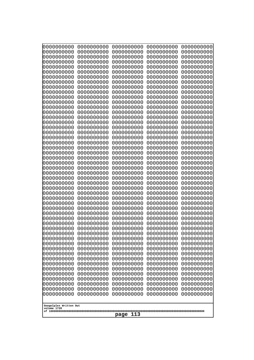| 10000000000                           | 0000000000               | 0000000000<br>0000000000 | 0000000000<br>0000000000 | 0000000000<br>0000000000 |
|---------------------------------------|--------------------------|--------------------------|--------------------------|--------------------------|
| 0000000000<br>0000000000              | 0000000000<br>0000000000 | 0000000000               | 0000000000               | 0000000000               |
| 0000000000                            | 0000000000               | 0000000000               | 0000000000               | 0000000000               |
| 0000000000                            | 0000000000               | 0000000000               | 0000000000               | 0000000000               |
| 0000000000<br>0000000000              | 0000000000<br>0000000000 | 0000000000<br>0000000000 | 0000000000<br>0000000000 | 0000000000<br>0000000000 |
| 0000000000                            | 0000000000               | 0000000000               | 0000000000               | 0000000000               |
| 0000000000                            | 0000000000               | 0000000000               | 0000000000               | 0000000000               |
| 0000000000                            | 0000000000               | 0000000000               | 0000000000               | 0000000000               |
| 0000000000<br>0000000000              | 0000000000<br>0000000000 | 0000000000<br>0000000000 | 0000000000<br>0000000000 | 0000000000<br>0000000000 |
| 0000000000                            | 0000000000               | 0000000000               | 0000000000               | 0000000000               |
| 0000000000                            | 0000000000               | 0000000000               | 0000000000               | 0000000000               |
| 0000000000<br>0000000000              | 0000000000<br>0000000000 | 0000000000<br>0000000000 | 0000000000               | 0000000000<br>0000000000 |
| 0000000000                            | 0000000000               | 0000000000               | 0000000000<br>0000000000 | 0000000000               |
| 0000000000                            | 0000000000               | 0000000000               | 0000000000               | 0000000000               |
| 0000000000                            | 0000000000               | 0000000000               | 0000000000               | 0000000000               |
| 0000000000<br>0000000000              | 0000000000<br>0000000000 | 0000000000<br>0000000000 | 0000000000<br>0000000000 | 0000000000<br>0000000000 |
| 0000000000                            | 0000000000               | 0000000000               | 0000000000               | 0000000000               |
| 0000000000                            | 0000000000               | 0000000000               | 0000000000               | 0000000000               |
| 0000000000                            | 0000000000               | 0000000000               | 0000000000               | 0000000000               |
| 0000000000<br>0000000000              | 0000000000<br>0000000000 | 0000000000<br>0000000000 | 0000000000<br>0000000000 | 0000000000<br>0000000000 |
| 0000000000                            | 0000000000               | 0000000000               | 0000000000               | 0000000000               |
| 0000000000                            | 0000000000               | 0000000000               | 0000000000               | 0000000000               |
| 0000000000<br>0000000000              | 0000000000<br>0000000000 | 0000000000<br>0000000000 | 0000000000<br>0000000000 | 0000000000<br>0000000000 |
| 0000000000                            | 0000000000               | 0000000000               | 0000000000               | 0000000000               |
| 0000000000                            | 0000000000               | 0000000000               | 0000000000               | 0000000000               |
| 0000000000<br>0000000000              | 0000000000<br>0000000000 | 0000000000<br>0000000000 | 0000000000<br>0000000000 | 0000000000<br>0000000000 |
| 0000000000                            | 0000000000               | 0000000000               | 0000000000               | 0000000000               |
| 0000000000                            | 0000000000               | 0000000000               | 0000000000               | 0000000000               |
| 0000000000                            | 0000000000               | 0000000000               | 0000000000               | 0000000000               |
| 0000000000<br>0000000000              | 0000000000<br>0000000000 | 0000000000<br>0000000000 | 0000000000<br>0000000000 | 0000000000<br>0000000000 |
| 0000000000                            | 0000000000               | 0000000000               | 0000000000               | 0000000000               |
| 0000000000                            | 0000000000               | 0000000000               | 0000000000               | 0000000000               |
| 0000000000<br>0000000000              | 0000000000<br>0000000000 | 0000000000<br>0000000000 | 0000000000<br>0000000000 | 0000000000<br>0000000000 |
| 0000000000                            | 0000000000               | 0000000000               | 0000000000               | 0000000000               |
| 0000000000                            | 0000000000               | 0000000000               | 0000000000               | 0000000000               |
| 0000000000                            | 0000000000               | 0000000000               | 0000000000               | 0000000000               |
| 0000000000<br>0000000000              | 0000000000<br>0000000000 | 0000000000<br>0000000000 | 0000000000<br>0000000000 | 0000000000<br>0000000000 |
| 0000000000                            | 0000000000               | 0000000000               | 0000000000               | 0000000000               |
| 0000000000                            | 0000000000               | 0000000000               | 0000000000               | 0000000000               |
|                                       |                          |                          |                          |                          |
| Googolplex Written Out<br>volume 1720 |                          |                          |                          |                          |
| 113<br>page                           |                          |                          |                          |                          |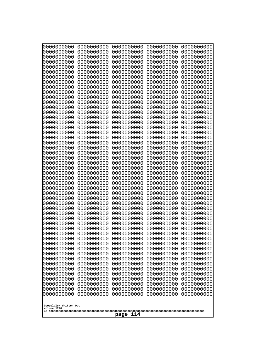| 10000000000                           | 0000000000               | 0000000000<br>0000000000 | 0000000000<br>0000000000 | 0000000000<br>0000000000 |
|---------------------------------------|--------------------------|--------------------------|--------------------------|--------------------------|
| 0000000000<br>0000000000              | 0000000000<br>0000000000 | 0000000000               | 0000000000               | 0000000000               |
| 0000000000                            | 0000000000               | 0000000000               | 0000000000               | 0000000000               |
| 0000000000                            | 0000000000               | 0000000000               | 0000000000               | 0000000000               |
| 0000000000                            | 0000000000               | 0000000000<br>0000000000 | 0000000000<br>0000000000 | 0000000000               |
| 0000000000<br>0000000000              | 0000000000<br>0000000000 | 0000000000               | 0000000000               | 0000000000<br>0000000000 |
| 0000000000                            | 0000000000               | 0000000000               | 0000000000               | 0000000000               |
| 0000000000                            | 0000000000               | 0000000000               | 0000000000               | 0000000000               |
| 0000000000                            | 0000000000               | 0000000000               | 0000000000               | 0000000000               |
| 0000000000<br>0000000000              | 0000000000<br>0000000000 | 0000000000<br>0000000000 | 0000000000<br>0000000000 | 0000000000<br>0000000000 |
| 0000000000                            | 0000000000               | 0000000000               | 0000000000               | 0000000000               |
| 0000000000                            | 0000000000               | 0000000000               | 0000000000               | 0000000000               |
| 0000000000                            | 0000000000               | 0000000000               | 0000000000               | 0000000000               |
| 0000000000<br>0000000000              | 0000000000<br>0000000000 | 0000000000<br>0000000000 | 0000000000<br>0000000000 | 0000000000<br>0000000000 |
| 0000000000                            | 0000000000               | 0000000000               | 0000000000               | 0000000000               |
| 0000000000                            | 0000000000               | 0000000000               | 0000000000               | 0000000000               |
| 0000000000<br>0000000000              | 0000000000<br>0000000000 | 0000000000<br>0000000000 | 0000000000<br>0000000000 | 0000000000<br>0000000000 |
| 0000000000                            | 0000000000               | 0000000000               | 0000000000               | 0000000000               |
| 0000000000                            | 0000000000               | 0000000000               | 0000000000               | 0000000000               |
| 0000000000                            | 0000000000               | 0000000000               | 0000000000               | 0000000000               |
| 0000000000<br>0000000000              | 0000000000<br>0000000000 | 0000000000<br>0000000000 | 0000000000<br>0000000000 | 0000000000<br>0000000000 |
| 0000000000                            | 0000000000               | 0000000000               | 0000000000               | 0000000000               |
| 0000000000                            | 0000000000               | 0000000000               | 0000000000               | 0000000000               |
| 0000000000                            | 0000000000               | 0000000000               | 0000000000               | 0000000000               |
| 0000000000<br>0000000000              | 0000000000<br>0000000000 | 0000000000<br>0000000000 | 0000000000<br>0000000000 | 0000000000<br>0000000000 |
| 0000000000                            | 0000000000               | 0000000000               | 0000000000               | 0000000000               |
| 0000000000                            | 0000000000               | 0000000000               | 0000000000               | 0000000000               |
| 0000000000                            | 0000000000               | 0000000000               | 0000000000               | 0000000000               |
| 0000000000<br>0000000000              | 0000000000<br>0000000000 | 0000000000<br>0000000000 | 0000000000<br>0000000000 | 0000000000<br>0000000000 |
| 0000000000                            | 0000000000               | 0000000000               | 0000000000               | 0000000000               |
| 0000000000                            | 0000000000               | 0000000000               | 0000000000               | 0000000000               |
| 0000000000                            | 0000000000               | 0000000000               | 0000000000               | 0000000000               |
| 0000000000<br>0000000000              | 0000000000<br>0000000000 | 0000000000<br>0000000000 | 0000000000<br>0000000000 | 0000000000<br>0000000000 |
| 0000000000                            | 0000000000               | 0000000000               | 0000000000               | 0000000000               |
| 0000000000                            | 0000000000               | 0000000000               | 0000000000               | 0000000000               |
| 0000000000                            | 0000000000               | 0000000000               | 0000000000               | 0000000000               |
| 0000000000<br>0000000000              | 0000000000<br>0000000000 | 0000000000<br>0000000000 | 0000000000<br>0000000000 | 0000000000<br>0000000000 |
| 0000000000                            | 0000000000               | 0000000000               | 0000000000               | 0000000000               |
| 0000000000                            | 0000000000               | 0000000000               | 0000000000               | 0000000000               |
| 0000000000                            | 0000000000               | 0000000000               | 0000000000               | 0000000000               |
|                                       |                          |                          |                          |                          |
| Googolplex Written Out<br>volume 1720 |                          |                          |                          |                          |
| 114<br>page                           |                          |                          |                          |                          |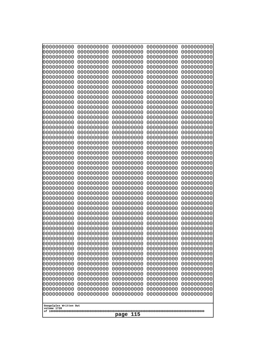| 0000000000                            | 0000000000               | 0000000000               | 0000000000               | 0000000000               |
|---------------------------------------|--------------------------|--------------------------|--------------------------|--------------------------|
| 0000000000<br>0000000000              | 0000000000<br>0000000000 | 0000000000<br>0000000000 | 0000000000<br>0000000000 | 0000000000<br>0000000000 |
| 0000000000                            | 0000000000               | 0000000000               | 0000000000               | 0000000000               |
| 0000000000                            | 0000000000               | 0000000000               | 0000000000               | 0000000000               |
| 0000000000                            | 0000000000               | 0000000000               | 0000000000               | 0000000000               |
| 0000000000<br>0000000000              | 0000000000<br>0000000000 | 0000000000<br>0000000000 | 0000000000<br>0000000000 | 0000000000<br>0000000000 |
| 0000000000                            | 0000000000               | 0000000000               | 0000000000               | 0000000000               |
| 0000000000                            | 0000000000               | 0000000000               | 0000000000               | 0000000000               |
| 0000000000<br>0000000000              | 0000000000<br>0000000000 | 0000000000<br>0000000000 | 0000000000<br>0000000000 | 0000000000               |
| 0000000000                            | 0000000000               | 0000000000               | 0000000000               | 0000000000<br>0000000000 |
| 0000000000                            | 0000000000               | 0000000000               | 0000000000               | 0000000000               |
| 0000000000                            | 0000000000               | 0000000000               | 0000000000               | 0000000000               |
| 0000000000<br>0000000000              | 0000000000<br>0000000000 | 0000000000<br>0000000000 | 0000000000<br>0000000000 | 0000000000<br>0000000000 |
| 0000000000                            | 0000000000               | 0000000000               | 0000000000               | 0000000000               |
| 0000000000                            | 0000000000               | 0000000000               | 0000000000               | 0000000000               |
| 0000000000                            | 0000000000<br>0000000000 | 0000000000<br>0000000000 | 0000000000               | 0000000000<br>0000000000 |
| 0000000000<br>0000000000              | 0000000000               | 0000000000               | 0000000000<br>0000000000 | 0000000000               |
| 0000000000                            | 0000000000               | 0000000000               | 0000000000               | 0000000000               |
| 0000000000                            | 0000000000               | 0000000000               | 0000000000               | 0000000000               |
| 0000000000<br>0000000000              | 0000000000<br>0000000000 | 0000000000<br>0000000000 | 0000000000<br>0000000000 | 0000000000<br>0000000000 |
| 0000000000                            | 0000000000               | 0000000000               | 0000000000               | 0000000000               |
| 0000000000                            | 0000000000               | 0000000000               | 0000000000               | 0000000000               |
| 0000000000<br>0000000000              | 0000000000<br>0000000000 | 0000000000<br>0000000000 | 0000000000<br>0000000000 | 0000000000<br>0000000000 |
| 0000000000                            | 0000000000               | 0000000000               | 0000000000               | 0000000000               |
| 0000000000                            | 0000000000               | 0000000000               | 0000000000               | 0000000000               |
| 0000000000                            | 0000000000               | 0000000000               | 0000000000               | 0000000000               |
| 0000000000<br>0000000000              | 0000000000<br>0000000000 | 0000000000<br>0000000000 | 0000000000<br>0000000000 | 0000000000<br>0000000000 |
| 0000000000                            | 0000000000               | 0000000000               | 0000000000               | 0000000000               |
| 0000000000                            | 0000000000               | 0000000000               | 0000000000               | 0000000000               |
| 0000000000<br>0000000000              | 0000000000<br>0000000000 | 0000000000<br>0000000000 | 0000000000<br>0000000000 | 0000000000<br>0000000000 |
| 0000000000                            | 0000000000               | 0000000000               | 0000000000               | 0000000000               |
| 0000000000                            | 0000000000               | 0000000000               | 0000000000               | 0000000000               |
| 0000000000<br>0000000000              | 0000000000<br>0000000000 | 0000000000<br>0000000000 | 0000000000<br>0000000000 | 0000000000<br>0000000000 |
| 0000000000                            | 0000000000               | 0000000000               | 0000000000               | 0000000000               |
| 0000000000                            | 0000000000               | 0000000000               | 0000000000               | 0000000000               |
| 0000000000                            | 0000000000               | 0000000000               | 0000000000               | 0000000000               |
| 0000000000<br>0000000000              | 0000000000<br>0000000000 | 0000000000<br>0000000000 | 0000000000<br>0000000000 | 0000000000<br>0000000000 |
| 0000000000                            | 0000000000               | 0000000000               | 0000000000               | 0000000000               |
| 0000000000                            | 0000000000               | 0000000000               | 0000000000               | 0000000000               |
|                                       |                          |                          |                          |                          |
| Googolplex Written Out<br>volume 1720 |                          |                          |                          |                          |
| 115<br>page                           |                          |                          |                          |                          |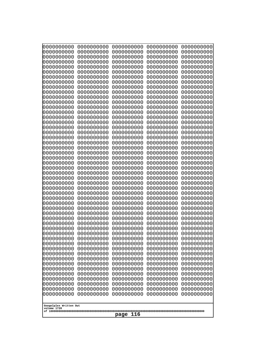| 10000000000<br>0000000000             | 0000000000<br>0000000000 | 0000000000<br>0000000000 | 0000000000<br>0000000000 | 0000000000<br>0000000000 |
|---------------------------------------|--------------------------|--------------------------|--------------------------|--------------------------|
| 0000000000                            | 0000000000               | 0000000000               | 0000000000               | 0000000000               |
| 0000000000                            | 0000000000               | 0000000000               | 0000000000               | 0000000000               |
| 0000000000                            | 0000000000               | 0000000000               | 0000000000               | 0000000000               |
| 0000000000<br>0000000000              | 0000000000<br>0000000000 | 0000000000<br>0000000000 | 0000000000<br>0000000000 | 0000000000<br>0000000000 |
| 0000000000                            | 0000000000               | 0000000000               | 0000000000               | 0000000000               |
| 0000000000                            | 0000000000               | 0000000000               | 0000000000               | 0000000000               |
| 0000000000                            | 0000000000               | 0000000000               | 0000000000               | 0000000000               |
| 0000000000<br>0000000000              | 0000000000<br>0000000000 | 0000000000<br>0000000000 | 0000000000<br>0000000000 | 0000000000<br>0000000000 |
| 0000000000                            | 0000000000               | 0000000000               | 0000000000               | 0000000000               |
| 0000000000                            | 0000000000               | 0000000000               | 0000000000               | 0000000000               |
| 0000000000<br>0000000000              | 0000000000<br>0000000000 | 0000000000<br>0000000000 | 0000000000<br>0000000000 | 0000000000<br>0000000000 |
| 0000000000                            | 0000000000               | 0000000000               | 0000000000               | 0000000000               |
| 0000000000                            | 0000000000               | 0000000000               | 0000000000               | 0000000000               |
| 0000000000                            | 0000000000               | 0000000000               | 0000000000               | 0000000000               |
| 0000000000<br>0000000000              | 0000000000<br>0000000000 | 0000000000<br>0000000000 | 0000000000<br>0000000000 | 0000000000<br>0000000000 |
| 0000000000                            | 0000000000               | 0000000000               | 0000000000               | 0000000000               |
| 0000000000                            | 0000000000               | 0000000000               | 0000000000               | 0000000000               |
| 0000000000<br>0000000000              | 0000000000<br>0000000000 | 0000000000<br>0000000000 | 0000000000<br>0000000000 | 0000000000<br>0000000000 |
| 0000000000                            | 0000000000               | 0000000000               | 0000000000               | 0000000000               |
| 0000000000                            | 0000000000               | 0000000000               | 0000000000               | 0000000000               |
| 0000000000                            | 0000000000               | 0000000000               | 0000000000               | 0000000000               |
| 0000000000<br>0000000000              | 0000000000<br>0000000000 | 0000000000<br>0000000000 | 0000000000<br>0000000000 | 0000000000<br>0000000000 |
| 0000000000                            | 0000000000               | 0000000000               | 0000000000               | 0000000000               |
| 0000000000                            | 0000000000               | 0000000000               | 0000000000               | 0000000000               |
| 0000000000<br>0000000000              | 0000000000<br>0000000000 | 0000000000<br>0000000000 | 0000000000<br>0000000000 | 0000000000<br>0000000000 |
| 0000000000                            | 0000000000               | 0000000000               | 0000000000               | 0000000000               |
| 0000000000                            | 0000000000               | 0000000000               | 0000000000               | 0000000000               |
| 0000000000                            | 0000000000               | 0000000000               | 0000000000               | 0000000000               |
| 0000000000<br>0000000000              | 0000000000<br>0000000000 | 0000000000<br>0000000000 | 0000000000<br>0000000000 | 0000000000<br>0000000000 |
| 0000000000                            | 0000000000               | 0000000000               | 0000000000               | 0000000000               |
| 0000000000                            | 0000000000               | 0000000000               | 0000000000               | 0000000000               |
| 0000000000<br>0000000000              | 0000000000<br>0000000000 | 0000000000<br>0000000000 | 0000000000<br>0000000000 | 0000000000<br>0000000000 |
| 0000000000                            | 0000000000               | 0000000000               | 0000000000               | 0000000000               |
| 0000000000                            | 0000000000               | 0000000000               | 0000000000               | 0000000000               |
| 0000000000<br>0000000000              | 0000000000<br>0000000000 | 0000000000<br>0000000000 | 0000000000<br>0000000000 | 0000000000<br>0000000000 |
| 0000000000                            | 0000000000               | 0000000000               | 0000000000               | 0000000000               |
| 0000000000                            | 0000000000               | 0000000000               | 0000000000               | 0000000000               |
| 0000000000                            | 0000000000               | 0000000000               | 0000000000               | 0000000000               |
|                                       |                          |                          |                          |                          |
| Googolplex Written Out<br>volume 1720 |                          |                          |                          |                          |
| 116<br>page                           |                          |                          |                          |                          |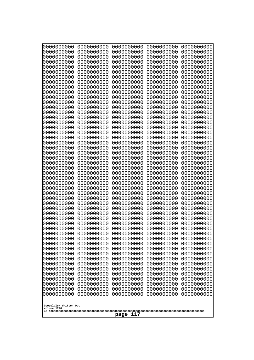| 10000000000<br>0000000000 | 0000000000<br>0000000000 | 0000000000<br>0000000000 | 0000000000<br>0000000000 | 0000000000<br>0000000000 |
|---------------------------|--------------------------|--------------------------|--------------------------|--------------------------|
| 0000000000                | 0000000000               | 0000000000               | 0000000000               | 0000000000               |
| 0000000000                | 0000000000               | 0000000000               | 0000000000               | 0000000000               |
| 0000000000<br>0000000000  | 0000000000<br>0000000000 | 0000000000<br>0000000000 | 0000000000<br>0000000000 | 0000000000<br>0000000000 |
| 0000000000                | 0000000000               | 0000000000               | 0000000000               | 0000000000               |
| 0000000000                | 0000000000               | 0000000000               | 0000000000               | 0000000000               |
| 0000000000<br>0000000000  | 0000000000<br>0000000000 | 0000000000<br>0000000000 | 0000000000<br>0000000000 | 0000000000<br>0000000000 |
| 0000000000                | 0000000000               | 0000000000               | 0000000000               | 0000000000               |
| 0000000000                | 0000000000               | 0000000000               | 0000000000               | 0000000000               |
| 0000000000<br>0000000000  | 0000000000<br>0000000000 | 0000000000<br>0000000000 | 0000000000<br>0000000000 | 0000000000<br>0000000000 |
| 0000000000                | 0000000000               | 0000000000               | 0000000000               | 0000000000               |
| 0000000000                | 0000000000               | 0000000000               | 0000000000               | 0000000000               |
| 0000000000<br>0000000000  | 0000000000<br>0000000000 | 0000000000<br>0000000000 | 0000000000<br>0000000000 | 0000000000<br>0000000000 |
| 0000000000                | 0000000000               | 0000000000               | 0000000000               | 0000000000               |
| 0000000000                | 0000000000               | 0000000000               | 0000000000               | 0000000000               |
| 0000000000                | 0000000000               | 0000000000               | 0000000000               | 0000000000               |
| 0000000000<br>0000000000  | 0000000000<br>0000000000 | 0000000000<br>0000000000 | 0000000000<br>0000000000 | 0000000000<br>0000000000 |
| 0000000000                | 0000000000               | 0000000000               | 0000000000               | 0000000000               |
| 0000000000                | 0000000000               | 0000000000               | 0000000000               | 0000000000               |
| 0000000000<br>0000000000  | 0000000000<br>0000000000 | 0000000000<br>0000000000 | 0000000000<br>0000000000 | 0000000000<br>0000000000 |
| 0000000000                | 0000000000               | 0000000000               | 0000000000               | 0000000000               |
| 0000000000                | 0000000000               | 0000000000               | 0000000000               | 0000000000               |
| 0000000000<br>0000000000  | 0000000000<br>0000000000 | 0000000000<br>0000000000 | 0000000000<br>0000000000 | 0000000000<br>0000000000 |
| 0000000000                | 0000000000               | 0000000000               | 0000000000               | 0000000000               |
| 0000000000                | 0000000000               | 0000000000               | 0000000000               | 0000000000               |
| 0000000000<br>0000000000  | 0000000000<br>0000000000 | 0000000000<br>0000000000 | 0000000000<br>0000000000 | 0000000000<br>0000000000 |
| 0000000000                | 0000000000               | 0000000000               | 0000000000               | 0000000000               |
| 0000000000                | 0000000000               | 0000000000               | 0000000000               | 0000000000               |
| 0000000000<br>0000000000  | 0000000000<br>0000000000 | 0000000000<br>0000000000 | 0000000000<br>0000000000 | 0000000000<br>0000000000 |
| 0000000000                | 0000000000               | 0000000000               | 0000000000               | 0000000000               |
| 0000000000                | 0000000000               | 0000000000               | 0000000000               | 0000000000               |
| 0000000000<br>0000000000  | 0000000000<br>0000000000 | 0000000000<br>0000000000 | 0000000000<br>0000000000 | 0000000000<br>0000000000 |
| 0000000000                | 0000000000               | 0000000000               | 0000000000               | 0000000000               |
| 0000000000                | 0000000000               | 0000000000               | 0000000000               | 0000000000               |
| 0000000000                | 0000000000<br>0000000000 | 0000000000               | 0000000000               | 0000000000               |
| 0000000000<br>0000000000  | 0000000000               | 0000000000<br>0000000000 | 0000000000<br>0000000000 | 0000000000<br>0000000000 |
| 0000000000                | 0000000000               | 0000000000               | 0000000000               | 0000000000               |
| 0000000000                | 0000000000               | 0000000000               | 0000000000               | 0000000000               |
| Googolplex Written Out    |                          |                          |                          |                          |
| volume 1720               |                          |                          |                          |                          |
| 117<br>page               |                          |                          |                          |                          |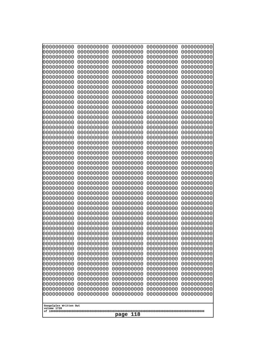| 000000000                             | 0000000000               | 0000000000               | 0000000000               | 0000000000               |
|---------------------------------------|--------------------------|--------------------------|--------------------------|--------------------------|
| 0000000000                            | 0000000000               | 0000000000               | 0000000000               | 0000000000               |
| 0000000000                            | 0000000000               | 0000000000               | 0000000000               | 0000000000               |
| 0000000000                            | 0000000000               | 0000000000               | 0000000000               | 0000000000               |
| 0000000000                            | 0000000000               | 0000000000               | 0000000000               | 0000000000               |
| 0000000000                            | 0000000000               | 0000000000               | 0000000000               | 0000000000               |
| 0000000000                            | 0000000000               | 0000000000               | 0000000000               | 0000000000               |
| 0000000000<br>0000000000              | 0000000000<br>0000000000 | 0000000000<br>0000000000 | 0000000000<br>0000000000 | 0000000000<br>0000000000 |
| 0000000000                            | 0000000000               | 0000000000               | 0000000000               | 0000000000               |
| 0000000000                            | 0000000000               | 0000000000               | 0000000000               | 0000000000               |
| 0000000000                            | 0000000000               | 0000000000               | 0000000000               | 0000000000               |
| 0000000000                            | 0000000000               | 0000000000               | 0000000000               | 0000000000               |
| 0000000000                            | 0000000000               | 0000000000               | 0000000000               | 0000000000               |
| 0000000000                            | 0000000000               | 0000000000               | 0000000000               | 0000000000               |
| 0000000000                            | 0000000000               | 0000000000               | 0000000000               | 0000000000               |
| 0000000000<br>0000000000              | 0000000000<br>0000000000 | 0000000000<br>0000000000 | 0000000000<br>0000000000 | 0000000000<br>0000000000 |
| 0000000000                            | 0000000000               | 0000000000               | 0000000000               | 0000000000               |
| 0000000000                            | 0000000000               | 0000000000               | 0000000000               | 0000000000               |
| 0000000000                            | 0000000000               | 0000000000               | 0000000000               | 0000000000               |
| 0000000000                            | 0000000000               | 0000000000               | 0000000000               | 0000000000               |
| 0000000000                            | 0000000000               | 0000000000               | 0000000000               | 0000000000               |
| 0000000000                            | 0000000000               | 0000000000               | 0000000000               | 0000000000               |
| 0000000000                            | 0000000000               | 0000000000               | 0000000000               | 0000000000               |
| 0000000000<br>0000000000              | 0000000000<br>0000000000 | 0000000000<br>0000000000 | 0000000000<br>0000000000 | 0000000000<br>0000000000 |
| 0000000000                            | 0000000000               | 0000000000               | 0000000000               | 0000000000               |
| 0000000000                            | 0000000000               | 0000000000               | 0000000000               | 0000000000               |
| 0000000000                            | 0000000000               | 0000000000               | 0000000000               | 0000000000               |
| 0000000000                            | 0000000000               | 0000000000               | 0000000000               | 0000000000               |
| 0000000000                            | 0000000000               | 0000000000               | 0000000000               | 0000000000               |
| 0000000000                            | 0000000000               | 0000000000               | 0000000000               | 0000000000               |
| 0000000000                            | 0000000000<br>0000000000 | 0000000000<br>0000000000 | 0000000000               | 0000000000               |
| 0000000000<br>0000000000              | 0000000000               | 0000000000               | 0000000000<br>0000000000 | 0000000000<br>0000000000 |
| 0000000000                            | 0000000000               | 0000000000               | 0000000000               | 0000000000               |
| 0000000000                            | 0000000000               | 0000000000               | 0000000000               | 0000000000               |
| 0000000000                            | 0000000000               | 0000000000               | 0000000000               | 0000000000               |
| 0000000000                            | 0000000000               | 0000000000               | 0000000000               | 0000000000               |
| 0000000000                            | 0000000000               | 0000000000               | 0000000000               | 0000000000               |
| 0000000000                            | 0000000000               | 0000000000               | 0000000000               | 0000000000               |
| 0000000000<br>0000000000              | 0000000000<br>0000000000 | 0000000000<br>0000000000 | 0000000000<br>0000000000 | 0000000000<br>0000000000 |
| 0000000000                            | 0000000000               | 0000000000               | 0000000000               | 0000000000               |
| 0000000000                            | 0000000000               | 0000000000               | 0000000000               | 0000000000               |
| 0000000000                            | 0000000000               | 0000000000               | 0000000000               | 0000000000               |
| 0000000000                            | 0000000000               | 0000000000               | 0000000000               | 0000000000               |
| 0000000000                            | 0000000000               | 0000000000               | 0000000000               | 0000000000               |
| 0000000000                            | 0000000000               | 0000000000               | 0000000000               | 0000000000               |
|                                       |                          |                          |                          |                          |
| Googolplex Written Out<br>volume 1720 |                          |                          |                          |                          |
|                                       |                          | 118<br>page              |                          |                          |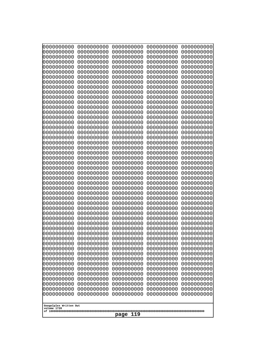| 0000000000                            | 0000000000               | 0000000000               | 0000000000               | 0000000000               |
|---------------------------------------|--------------------------|--------------------------|--------------------------|--------------------------|
| 0000000000<br>0000000000              | 0000000000<br>0000000000 | 0000000000<br>0000000000 | 0000000000<br>0000000000 | 0000000000<br>0000000000 |
| 0000000000                            | 0000000000               | 0000000000               | 0000000000               | 0000000000               |
| 0000000000                            | 0000000000               | 0000000000               | 0000000000               | 0000000000               |
| 0000000000                            | 0000000000               | 0000000000               | 0000000000               | 0000000000               |
| 0000000000                            | 0000000000               | 0000000000               | 0000000000               | 0000000000               |
| 0000000000<br>0000000000              | 0000000000<br>0000000000 | 0000000000<br>0000000000 | 0000000000<br>0000000000 | 0000000000<br>0000000000 |
| 0000000000                            | 0000000000               | 0000000000               | 0000000000               | 0000000000               |
| 0000000000                            | 0000000000               | 0000000000               | 0000000000               | 0000000000               |
| 0000000000                            | 0000000000               | 0000000000               | 0000000000               | 0000000000               |
| 0000000000<br>0000000000              | 0000000000<br>0000000000 | 0000000000<br>0000000000 | 0000000000<br>0000000000 | 0000000000<br>0000000000 |
| 0000000000                            | 0000000000               | 0000000000               | 0000000000               | 0000000000               |
| 0000000000                            | 0000000000               | 0000000000               | 0000000000               | 0000000000               |
| 0000000000                            | 0000000000<br>0000000000 | 0000000000               | 0000000000               | 0000000000               |
| 0000000000<br>0000000000              | 0000000000               | 0000000000<br>0000000000 | 0000000000<br>0000000000 | 0000000000<br>0000000000 |
| 0000000000                            | 0000000000               | 0000000000               | 0000000000               | 0000000000               |
| 0000000000                            | 0000000000               | 0000000000               | 0000000000               | 0000000000               |
| 0000000000<br>0000000000              | 0000000000<br>0000000000 | 0000000000<br>0000000000 | 0000000000<br>0000000000 | 0000000000<br>0000000000 |
| 0000000000                            | 0000000000               | 0000000000               | 0000000000               | 0000000000               |
| 0000000000                            | 0000000000               | 0000000000               | 0000000000               | 0000000000               |
| 0000000000                            | 0000000000               | 0000000000               | 0000000000               | 0000000000               |
| 0000000000<br>0000000000              | 0000000000<br>0000000000 | 0000000000<br>0000000000 | 0000000000<br>0000000000 | 0000000000<br>0000000000 |
| 0000000000                            | 0000000000               | 0000000000               | 0000000000               | 0000000000               |
| 0000000000                            | 0000000000               | 0000000000               | 0000000000               | 0000000000               |
| 0000000000                            | 0000000000               | 0000000000               | 0000000000               | 0000000000               |
| 0000000000<br>0000000000              | 0000000000<br>0000000000 | 0000000000<br>0000000000 | 0000000000<br>0000000000 | 0000000000<br>0000000000 |
| 0000000000                            | 0000000000               | 0000000000               | 0000000000               | 0000000000               |
| 0000000000                            | 0000000000               | 0000000000               | 0000000000               | 0000000000               |
| 0000000000                            | 0000000000               | 0000000000               | 0000000000<br>0000000000 | 0000000000               |
| 0000000000<br>0000000000              | 0000000000<br>0000000000 | 0000000000<br>0000000000 | 0000000000               | 0000000000<br>0000000000 |
| 0000000000                            | 0000000000               | 0000000000               | 0000000000               | 0000000000               |
| 0000000000                            | 0000000000               | 0000000000               | 0000000000               | 0000000000               |
| 0000000000<br>0000000000              | 0000000000<br>0000000000 | 0000000000<br>0000000000 | 0000000000<br>0000000000 | 0000000000<br>0000000000 |
| 0000000000                            | 0000000000               | 0000000000               | 0000000000               | 0000000000               |
| 0000000000                            | 0000000000               | 0000000000               | 0000000000               | 0000000000               |
| 0000000000                            | 0000000000               | 0000000000               | 0000000000               | 0000000000               |
| 0000000000<br>0000000000              | 0000000000<br>0000000000 | 0000000000<br>0000000000 | 0000000000<br>0000000000 | 0000000000<br>0000000000 |
| 0000000000                            | 0000000000               | 0000000000               | 0000000000               | 0000000000               |
| 0000000000                            | 0000000000               | 0000000000               | 0000000000               | 0000000000               |
| 0000000000                            | 0000000000               | 0000000000               | 0000000000               | 0000000000               |
|                                       |                          |                          |                          |                          |
| Googolplex Written Out<br>volume 1720 |                          |                          |                          |                          |
| 119<br>page                           |                          |                          |                          |                          |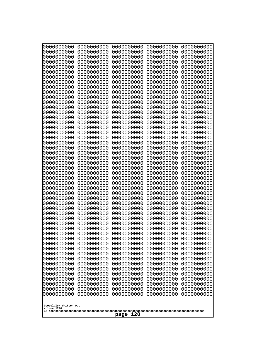| 0000000000               | 0000000000               | 0000000000               | 0000000000               | 0000000000               |
|--------------------------|--------------------------|--------------------------|--------------------------|--------------------------|
| 0000000000<br>0000000000 | 0000000000<br>0000000000 | 0000000000<br>0000000000 | 0000000000<br>0000000000 | 0000000000<br>0000000000 |
| 0000000000               | 0000000000               | 0000000000               | 0000000000               | 0000000000               |
| 0000000000               | 0000000000               | 0000000000               | 0000000000               | 0000000000               |
| 0000000000               | 0000000000               | 0000000000               | 0000000000               | 0000000000               |
| 0000000000               | 0000000000               | 0000000000               | 0000000000               | 0000000000               |
| 0000000000<br>0000000000 | 0000000000<br>0000000000 | 0000000000<br>0000000000 | 0000000000<br>0000000000 | 0000000000<br>0000000000 |
| 0000000000               | 0000000000               | 0000000000               | 0000000000               | 0000000000               |
| 0000000000               | 0000000000               | 0000000000               | 0000000000               | 0000000000               |
| 0000000000               | 0000000000               | 0000000000               | 0000000000               | 0000000000               |
| 0000000000<br>0000000000 | 0000000000<br>0000000000 | 0000000000<br>0000000000 | 0000000000<br>0000000000 | 0000000000<br>0000000000 |
| 0000000000               | 0000000000               | 0000000000               | 0000000000               | 0000000000               |
| 0000000000               | 0000000000               | 0000000000               | 0000000000               | 0000000000               |
| 0000000000<br>0000000000 | 0000000000<br>0000000000 | 0000000000<br>0000000000 | 0000000000<br>0000000000 | 0000000000<br>0000000000 |
| 0000000000               | 0000000000               | 0000000000               | 0000000000               | 0000000000               |
| 0000000000               | 0000000000               | 0000000000               | 0000000000               | 0000000000               |
| 0000000000               | 0000000000               | 0000000000               | 0000000000               | 0000000000               |
| 0000000000<br>0000000000 | 0000000000<br>0000000000 | 0000000000<br>0000000000 | 0000000000<br>0000000000 | 0000000000<br>0000000000 |
| 0000000000               | 0000000000               | 0000000000               | 0000000000               | 0000000000               |
| 0000000000               | 0000000000               | 0000000000               | 0000000000               | 0000000000               |
| 0000000000               | 0000000000               | 0000000000               | 0000000000               | 0000000000               |
| 0000000000<br>0000000000 | 0000000000<br>0000000000 | 0000000000<br>0000000000 | 0000000000<br>0000000000 | 0000000000<br>0000000000 |
| 0000000000               | 0000000000               | 0000000000               | 0000000000               | 0000000000               |
| 0000000000               | 0000000000               | 0000000000               | 0000000000               | 0000000000               |
| 0000000000<br>0000000000 | 0000000000<br>0000000000 | 0000000000<br>0000000000 | 0000000000<br>0000000000 | 0000000000<br>0000000000 |
| 0000000000               | 0000000000               | 0000000000               | 0000000000               | 0000000000               |
| 0000000000               | 0000000000               | 0000000000               | 0000000000               | 0000000000               |
| 0000000000               | 0000000000               | 0000000000               | 0000000000               | 0000000000               |
| 0000000000<br>0000000000 | 0000000000<br>0000000000 | 0000000000<br>0000000000 | 0000000000<br>0000000000 | 0000000000<br>0000000000 |
| 0000000000               | 0000000000               | 0000000000               | 0000000000               | 0000000000               |
| 0000000000               | 0000000000               | 0000000000               | 0000000000               | 0000000000               |
| 0000000000               | 0000000000               | 0000000000               | 0000000000               | 0000000000               |
| 0000000000<br>0000000000 | 0000000000<br>0000000000 | 0000000000<br>0000000000 | 0000000000<br>0000000000 | 0000000000<br>0000000000 |
| 0000000000               | 0000000000               | 0000000000               | 0000000000               | 0000000000               |
| 0000000000               | 0000000000               | 0000000000               | 0000000000               | 0000000000               |
| 0000000000<br>0000000000 | 0000000000<br>0000000000 | 0000000000<br>0000000000 | 0000000000<br>0000000000 | 0000000000<br>0000000000 |
| 0000000000               | 0000000000               | 0000000000               | 0000000000               | 0000000000               |
| 0000000000               | 0000000000               | 0000000000               | 0000000000               | 0000000000               |
| 0000000000               | 0000000000               | 0000000000               | 0000000000               | 0000000000               |
| 0000000000               | 0000000000               | 0000000000               | 0000000000               | 0000000000               |
| Googolplex Written Out   |                          |                          |                          |                          |
| volume 1720              |                          |                          |                          |                          |
| 120<br>page              |                          |                          |                          |                          |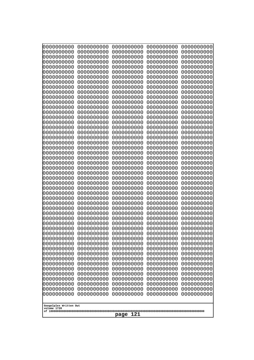| 10000000000<br>0000000000             | 0000000000<br>0000000000 | 0000000000<br>0000000000 | 0000000000<br>0000000000 | 0000000000<br>0000000000 |
|---------------------------------------|--------------------------|--------------------------|--------------------------|--------------------------|
| 0000000000                            | 0000000000               | 0000000000               | 0000000000               | 0000000000               |
| 0000000000                            | 0000000000               | 0000000000               | 0000000000               | 0000000000               |
| 0000000000                            | 0000000000               | 0000000000               | 0000000000               | 0000000000               |
| 0000000000<br>0000000000              | 0000000000<br>0000000000 | 0000000000<br>0000000000 | 0000000000<br>0000000000 | 0000000000<br>0000000000 |
| 0000000000                            | 0000000000               | 0000000000               | 0000000000               | 0000000000               |
| 0000000000                            | 0000000000               | 0000000000               | 0000000000               | 0000000000               |
| 0000000000                            | 0000000000               | 0000000000               | 0000000000               | 0000000000               |
| 0000000000<br>0000000000              | 0000000000<br>0000000000 | 0000000000<br>0000000000 | 0000000000<br>0000000000 | 0000000000<br>0000000000 |
| 0000000000                            | 0000000000               | 0000000000               | 0000000000               | 0000000000               |
| 0000000000                            | 0000000000               | 0000000000               | 0000000000               | 0000000000               |
| 0000000000<br>0000000000              | 0000000000<br>0000000000 | 0000000000<br>0000000000 | 0000000000<br>0000000000 | 0000000000<br>0000000000 |
| 0000000000                            | 0000000000               | 0000000000               | 0000000000               | 0000000000               |
| 0000000000                            | 0000000000               | 0000000000               | 0000000000               | 0000000000               |
| 0000000000                            | 0000000000               | 0000000000               | 0000000000               | 0000000000               |
| 0000000000<br>0000000000              | 0000000000<br>0000000000 | 0000000000<br>0000000000 | 0000000000<br>0000000000 | 0000000000<br>0000000000 |
| 0000000000                            | 0000000000               | 0000000000               | 0000000000               | 0000000000               |
| 0000000000                            | 0000000000               | 0000000000               | 0000000000               | 0000000000               |
| 0000000000<br>0000000000              | 0000000000<br>0000000000 | 0000000000<br>0000000000 | 0000000000<br>0000000000 | 0000000000<br>0000000000 |
| 0000000000                            | 0000000000               | 0000000000               | 0000000000               | 0000000000               |
| 0000000000                            | 0000000000               | 0000000000               | 0000000000               | 0000000000               |
| 0000000000                            | 0000000000               | 0000000000               | 0000000000               | 0000000000               |
| 0000000000<br>0000000000              | 0000000000<br>0000000000 | 0000000000<br>0000000000 | 0000000000<br>0000000000 | 0000000000<br>0000000000 |
| 0000000000                            | 0000000000               | 0000000000               | 0000000000               | 0000000000               |
| 0000000000                            | 0000000000               | 0000000000               | 0000000000               | 0000000000               |
| 0000000000<br>0000000000              | 0000000000<br>0000000000 | 0000000000<br>0000000000 | 0000000000<br>0000000000 | 0000000000<br>0000000000 |
| 0000000000                            | 0000000000               | 0000000000               | 0000000000               | 0000000000               |
| 0000000000                            | 0000000000               | 0000000000               | 0000000000               | 0000000000               |
| 0000000000                            | 0000000000               | 0000000000               | 0000000000               | 0000000000               |
| 0000000000<br>0000000000              | 0000000000<br>0000000000 | 0000000000<br>0000000000 | 0000000000<br>0000000000 | 0000000000<br>0000000000 |
| 0000000000                            | 0000000000               | 0000000000               | 0000000000               | 0000000000               |
| 0000000000                            | 0000000000               | 0000000000               | 0000000000               | 0000000000               |
| 0000000000<br>0000000000              | 0000000000<br>0000000000 | 0000000000<br>0000000000 | 0000000000<br>0000000000 | 0000000000<br>0000000000 |
| 0000000000                            | 0000000000               | 0000000000               | 0000000000               | 0000000000               |
| 0000000000                            | 0000000000               | 0000000000               | 0000000000               | 0000000000               |
| 0000000000<br>0000000000              | 0000000000<br>0000000000 | 0000000000<br>0000000000 | 0000000000<br>0000000000 | 0000000000<br>0000000000 |
| 0000000000                            | 0000000000               | 0000000000               | 0000000000               | 0000000000               |
| 0000000000                            | 0000000000               | 0000000000               | 0000000000               | 0000000000               |
| 0000000000                            | 0000000000               | 0000000000               | 0000000000               | 0000000000               |
|                                       |                          |                          |                          |                          |
| Googolplex Written Out<br>volume 1720 |                          |                          |                          |                          |
| 121<br>page                           |                          |                          |                          |                          |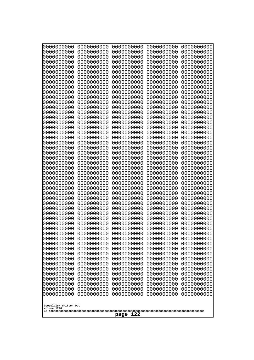| 10000000000<br>0000000000             | 0000000000<br>0000000000 | 0000000000<br>0000000000 | 0000000000<br>0000000000 | 0000000000<br>0000000000 |
|---------------------------------------|--------------------------|--------------------------|--------------------------|--------------------------|
| 0000000000                            | 0000000000               | 0000000000               | 0000000000               | 0000000000               |
| 0000000000                            | 0000000000               | 0000000000               | 0000000000               | 0000000000               |
| 0000000000<br>0000000000              | 0000000000<br>0000000000 | 0000000000<br>0000000000 | 0000000000<br>0000000000 | 0000000000<br>0000000000 |
| 0000000000                            | 0000000000               | 0000000000               | 0000000000               | 0000000000               |
| 0000000000                            | 0000000000               | 0000000000               | 0000000000               | 0000000000               |
| 0000000000                            | 0000000000               | 0000000000               | 0000000000               | 0000000000               |
| 0000000000<br>0000000000              | 0000000000<br>0000000000 | 0000000000<br>0000000000 | 0000000000<br>0000000000 | 0000000000<br>0000000000 |
| 0000000000                            | 0000000000               | 0000000000               | 0000000000               | 0000000000               |
| 0000000000                            | 0000000000               | 0000000000               | 0000000000               | 0000000000               |
| 0000000000<br>0000000000              | 0000000000<br>0000000000 | 0000000000<br>0000000000 | 0000000000<br>0000000000 | 0000000000<br>0000000000 |
| 0000000000                            | 0000000000               | 0000000000               | 0000000000               | 0000000000               |
| 0000000000                            | 0000000000               | 0000000000               | 0000000000               | 0000000000               |
| 0000000000<br>0000000000              | 0000000000<br>0000000000 | 0000000000<br>0000000000 | 0000000000<br>0000000000 | 0000000000<br>0000000000 |
| 0000000000                            | 0000000000               | 0000000000               | 0000000000               | 0000000000               |
| 0000000000                            | 0000000000               | 0000000000               | 0000000000               | 0000000000               |
| 0000000000<br>0000000000              | 0000000000<br>0000000000 | 0000000000<br>0000000000 | 0000000000<br>0000000000 | 0000000000<br>0000000000 |
| 0000000000                            | 0000000000               | 0000000000               | 0000000000               | 0000000000               |
| 0000000000                            | 0000000000               | 0000000000               | 0000000000               | 0000000000               |
| 0000000000<br>0000000000              | 0000000000<br>0000000000 | 0000000000<br>0000000000 | 0000000000<br>0000000000 | 0000000000<br>0000000000 |
| 0000000000                            | 0000000000               | 0000000000               | 0000000000               | 0000000000               |
| 0000000000                            | 0000000000               | 0000000000               | 0000000000               | 0000000000               |
| 0000000000<br>0000000000              | 0000000000<br>0000000000 | 0000000000<br>0000000000 | 0000000000<br>0000000000 | 0000000000<br>0000000000 |
| 0000000000                            | 0000000000               | 0000000000               | 0000000000               | 0000000000               |
| 0000000000                            | 0000000000               | 0000000000               | 0000000000               | 0000000000               |
| 0000000000<br>0000000000              | 0000000000               | 0000000000               | 0000000000               | 0000000000               |
| 0000000000                            | 0000000000<br>0000000000 | 0000000000<br>0000000000 | 0000000000<br>0000000000 | 0000000000<br>0000000000 |
| 0000000000                            | 0000000000               | 0000000000               | 0000000000               | 0000000000               |
| 0000000000                            | 0000000000               | 0000000000               | 0000000000               | 0000000000               |
| 0000000000<br>0000000000              | 0000000000<br>0000000000 | 0000000000<br>0000000000 | 0000000000<br>0000000000 | 0000000000<br>0000000000 |
| 0000000000                            | 0000000000               | 0000000000               | 0000000000               | 0000000000               |
| 0000000000                            | 0000000000               | 0000000000               | 0000000000               | 0000000000               |
| 0000000000<br>0000000000              | 0000000000<br>0000000000 | 0000000000<br>0000000000 | 0000000000<br>0000000000 | 0000000000<br>0000000000 |
| 0000000000                            | 0000000000               | 0000000000               | 0000000000               | 0000000000               |
| 0000000000                            | 0000000000               | 0000000000               | 0000000000               | 0000000000               |
| 0000000000<br>0000000000              | 0000000000<br>0000000000 | 0000000000<br>0000000000 | 0000000000<br>0000000000 | 0000000000<br>0000000000 |
| 0000000000                            | 0000000000               | 0000000000               | 0000000000               | 0000000000               |
| 0000000000                            | 0000000000               | 0000000000               | 0000000000               | 0000000000               |
|                                       |                          |                          |                          |                          |
| Googolplex Written Out<br>volume 1720 |                          |                          |                          |                          |
| 122<br>page                           |                          |                          |                          |                          |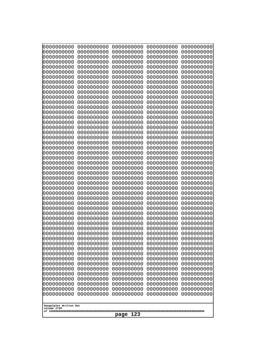| 10000000000<br>0000000000 | 0000000000<br>0000000000 | 0000000000<br>0000000000 | 0000000000<br>0000000000 | 0000000000<br>0000000000 |  |
|---------------------------|--------------------------|--------------------------|--------------------------|--------------------------|--|
| 0000000000                | 0000000000               | 0000000000               | 0000000000               | 0000000000               |  |
| 0000000000                | 0000000000               | 0000000000               | 0000000000               | 0000000000               |  |
| 0000000000                | 0000000000               | 0000000000               | 0000000000               | 0000000000               |  |
| 0000000000<br>0000000000  | 0000000000<br>0000000000 | 0000000000<br>0000000000 | 0000000000<br>0000000000 | 0000000000<br>0000000000 |  |
| 0000000000                | 0000000000               | 0000000000               | 0000000000               | 0000000000               |  |
| 0000000000                | 0000000000               | 0000000000               | 0000000000               | 0000000000               |  |
| 0000000000                | 0000000000               | 0000000000               | 0000000000               | 0000000000               |  |
| 0000000000<br>0000000000  | 0000000000<br>0000000000 | 0000000000<br>0000000000 | 0000000000<br>0000000000 | 0000000000<br>0000000000 |  |
| 0000000000                | 0000000000               | 0000000000               | 0000000000               | 0000000000               |  |
| 0000000000                | 0000000000               | 0000000000               | 0000000000               | 0000000000               |  |
| 0000000000                | 0000000000               | 0000000000               | 0000000000               | 0000000000               |  |
| 0000000000<br>0000000000  | 0000000000<br>0000000000 | 0000000000<br>0000000000 | 0000000000<br>0000000000 | 0000000000<br>0000000000 |  |
| 0000000000                | 0000000000               | 0000000000               | 0000000000               | 0000000000               |  |
| 0000000000                | 0000000000               | 0000000000               | 0000000000               | 0000000000               |  |
| 0000000000                | 0000000000               | 0000000000               | 0000000000               | 0000000000               |  |
| 0000000000<br>0000000000  | 0000000000<br>0000000000 | 0000000000<br>0000000000 | 0000000000<br>0000000000 | 0000000000<br>0000000000 |  |
| 0000000000                | 0000000000               | 0000000000               | 0000000000               | 0000000000               |  |
| 0000000000                | 0000000000               | 0000000000               | 0000000000               | 0000000000               |  |
| 0000000000                | 0000000000               | 0000000000               | 0000000000               | 0000000000               |  |
| 0000000000<br>0000000000  | 0000000000<br>0000000000 | 0000000000<br>0000000000 | 0000000000<br>0000000000 | 0000000000<br>0000000000 |  |
| 0000000000                | 0000000000               | 0000000000               | 0000000000               | 0000000000               |  |
| 0000000000                | 0000000000               | 0000000000               | 0000000000               | 0000000000               |  |
| 0000000000<br>0000000000  | 0000000000<br>0000000000 | 0000000000<br>0000000000 | 0000000000<br>0000000000 | 0000000000<br>0000000000 |  |
| 0000000000                | 0000000000               | 0000000000               | 0000000000               | 0000000000               |  |
| 0000000000                | 0000000000               | 0000000000               | 0000000000               | 0000000000               |  |
| 0000000000                | 0000000000               | 0000000000               | 0000000000               | 0000000000               |  |
| 0000000000<br>0000000000  | 0000000000<br>0000000000 | 0000000000<br>0000000000 | 0000000000<br>0000000000 | 0000000000<br>0000000000 |  |
| 0000000000                | 0000000000               | 0000000000               | 0000000000               | 0000000000               |  |
| 0000000000                | 0000000000               | 0000000000               | 0000000000               | 0000000000               |  |
| 0000000000<br>0000000000  | 0000000000<br>0000000000 | 0000000000<br>0000000000 | 0000000000<br>0000000000 | 0000000000<br>0000000000 |  |
| 0000000000                | 0000000000               | 0000000000               | 0000000000               | 0000000000               |  |
| 0000000000                | 0000000000               | 0000000000               | 0000000000               | 0000000000               |  |
| 0000000000                | 0000000000               | 0000000000               | 0000000000               | 0000000000               |  |
| 0000000000<br>0000000000  | 0000000000<br>0000000000 | 0000000000<br>0000000000 | 0000000000<br>0000000000 | 0000000000<br>0000000000 |  |
| 0000000000                | 0000000000               | 0000000000               | 0000000000               | 0000000000               |  |
| 0000000000                | 0000000000               | 0000000000               | 0000000000               | 0000000000               |  |
| 0000000000                | 0000000000               | 0000000000               | 0000000000               | 0000000000               |  |
| 0000000000<br>0000000000  | 0000000000<br>0000000000 | 0000000000<br>0000000000 | 0000000000<br>0000000000 | 0000000000<br>0000000000 |  |
|                           |                          |                          |                          |                          |  |
| Googolplex Written Out    |                          |                          |                          |                          |  |
| volume 1720               |                          | 123                      |                          |                          |  |
|                           | page                     |                          |                          |                          |  |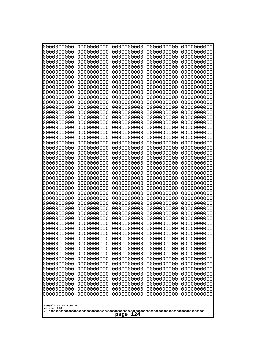| 000000000                             | 0000000000               | 0000000000               | 0000000000               | 0000000000               |
|---------------------------------------|--------------------------|--------------------------|--------------------------|--------------------------|
| 0000000000                            | 0000000000               | 0000000000               | 0000000000               | 0000000000               |
| 0000000000                            | 0000000000               | 0000000000               | 0000000000               | 0000000000               |
| 0000000000                            | 0000000000               | 0000000000               | 0000000000               | 0000000000               |
| 0000000000                            | 0000000000               | 0000000000               | 0000000000               | 0000000000               |
| 0000000000                            | 0000000000               | 0000000000               | 0000000000               | 0000000000               |
| 0000000000                            | 0000000000               | 0000000000               | 0000000000               | 0000000000               |
| 0000000000<br>0000000000              | 0000000000<br>0000000000 | 0000000000<br>0000000000 | 0000000000<br>0000000000 | 0000000000<br>0000000000 |
| 0000000000                            | 0000000000               | 0000000000               | 0000000000               | 0000000000               |
| 0000000000                            | 0000000000               | 0000000000               | 0000000000               | 0000000000               |
| 0000000000                            | 0000000000               | 0000000000               | 0000000000               | 0000000000               |
| 0000000000                            | 0000000000               | 0000000000               | 0000000000               | 0000000000               |
| 0000000000                            | 0000000000               | 0000000000               | 0000000000               | 0000000000               |
| 0000000000                            | 0000000000               | 0000000000               | 0000000000               | 0000000000               |
| 0000000000                            | 0000000000               | 0000000000               | 0000000000               | 0000000000               |
| 0000000000<br>0000000000              | 0000000000<br>0000000000 | 0000000000<br>0000000000 | 0000000000<br>0000000000 | 0000000000<br>0000000000 |
| 0000000000                            | 0000000000               | 0000000000               | 0000000000               | 0000000000               |
| 0000000000                            | 0000000000               | 0000000000               | 0000000000               | 0000000000               |
| 0000000000                            | 0000000000               | 0000000000               | 0000000000               | 0000000000               |
| 0000000000                            | 0000000000               | 0000000000               | 0000000000               | 0000000000               |
| 0000000000                            | 0000000000               | 0000000000               | 0000000000               | 0000000000               |
| 0000000000                            | 0000000000               | 0000000000               | 0000000000               | 0000000000               |
| 0000000000                            | 0000000000               | 0000000000               | 0000000000               | 0000000000               |
| 0000000000<br>0000000000              | 0000000000<br>0000000000 | 0000000000<br>0000000000 | 0000000000<br>0000000000 | 0000000000<br>0000000000 |
| 0000000000                            | 0000000000               | 0000000000               | 0000000000               | 0000000000               |
| 0000000000                            | 0000000000               | 0000000000               | 0000000000               | 0000000000               |
| 0000000000                            | 0000000000               | 0000000000               | 0000000000               | 0000000000               |
| 0000000000                            | 0000000000               | 0000000000               | 0000000000               | 0000000000               |
| 0000000000                            | 0000000000               | 0000000000               | 0000000000               | 0000000000               |
| 0000000000                            | 0000000000               | 0000000000               | 0000000000               | 0000000000               |
| 0000000000                            | 0000000000<br>0000000000 | 0000000000<br>0000000000 | 0000000000               | 0000000000               |
| 0000000000<br>0000000000              | 0000000000               | 0000000000               | 0000000000<br>0000000000 | 0000000000<br>0000000000 |
| 0000000000                            | 0000000000               | 0000000000               | 0000000000               | 0000000000               |
| 0000000000                            | 0000000000               | 0000000000               | 0000000000               | 0000000000               |
| 0000000000                            | 0000000000               | 0000000000               | 0000000000               | 0000000000               |
| 0000000000                            | 0000000000               | 0000000000               | 0000000000               | 0000000000               |
| 0000000000                            | 0000000000               | 0000000000               | 0000000000               | 0000000000               |
| 0000000000                            | 0000000000               | 0000000000               | 0000000000               | 0000000000               |
| 0000000000<br>0000000000              | 0000000000<br>0000000000 | 0000000000<br>0000000000 | 0000000000<br>0000000000 | 0000000000<br>0000000000 |
| 0000000000                            | 0000000000               | 0000000000               | 0000000000               | 0000000000               |
| 0000000000                            | 0000000000               | 0000000000               | 0000000000               | 0000000000               |
| 0000000000                            | 0000000000               | 0000000000               | 0000000000               | 0000000000               |
| 0000000000                            | 0000000000               | 0000000000               | 0000000000               | 0000000000               |
| 0000000000                            | 0000000000               | 0000000000               | 0000000000               | 0000000000               |
| 0000000000                            | 0000000000               | 0000000000               | 0000000000               | 0000000000               |
|                                       |                          |                          |                          |                          |
| Googolplex Written Out<br>volume 1720 |                          |                          |                          |                          |
|                                       |                          | 124<br>page              |                          |                          |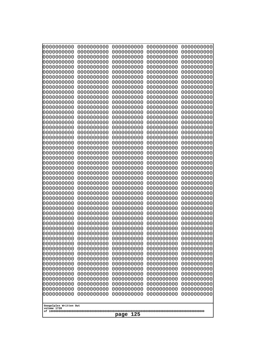| 10000000000<br>0000000000             | 0000000000<br>0000000000 | 0000000000<br>0000000000 | 0000000000<br>0000000000 | 0000000000<br>0000000000 |
|---------------------------------------|--------------------------|--------------------------|--------------------------|--------------------------|
| 0000000000                            | 0000000000               | 0000000000               | 0000000000               | 0000000000               |
| 0000000000                            | 0000000000               | 0000000000               | 0000000000               | 0000000000               |
| 0000000000<br>0000000000              | 0000000000<br>0000000000 | 0000000000<br>0000000000 | 0000000000<br>0000000000 | 0000000000<br>0000000000 |
| 0000000000                            | 0000000000               | 0000000000               | 0000000000               | 0000000000               |
| 0000000000                            | 0000000000               | 0000000000               | 0000000000               | 0000000000               |
| 0000000000<br>0000000000              | 0000000000<br>0000000000 | 0000000000<br>0000000000 | 0000000000<br>0000000000 | 0000000000<br>0000000000 |
| 0000000000                            | 0000000000               | 0000000000               | 0000000000               | 0000000000               |
| 0000000000                            | 0000000000               | 0000000000               | 0000000000               | 0000000000               |
| 0000000000                            | 0000000000               | 0000000000               | 0000000000               | 0000000000               |
| 0000000000<br>0000000000              | 0000000000<br>0000000000 | 0000000000<br>0000000000 | 0000000000<br>0000000000 | 0000000000<br>0000000000 |
| 0000000000                            | 0000000000               | 0000000000               | 0000000000               | 0000000000               |
| 0000000000                            | 0000000000               | 0000000000               | 0000000000               | 0000000000               |
| 0000000000<br>0000000000              | 0000000000<br>0000000000 | 0000000000<br>0000000000 | 0000000000<br>0000000000 | 0000000000<br>0000000000 |
| 0000000000                            | 0000000000               | 0000000000               | 0000000000               | 0000000000               |
| 0000000000                            | 0000000000               | 0000000000               | 0000000000               | 0000000000               |
| 0000000000<br>0000000000              | 0000000000<br>0000000000 | 0000000000<br>0000000000 | 0000000000<br>0000000000 | 0000000000<br>0000000000 |
| 0000000000                            | 0000000000               | 0000000000               | 0000000000               | 0000000000               |
| 0000000000                            | 0000000000               | 0000000000               | 0000000000               | 0000000000               |
| 0000000000<br>0000000000              | 0000000000<br>0000000000 | 0000000000<br>0000000000 | 0000000000<br>0000000000 | 0000000000<br>0000000000 |
| 0000000000                            | 0000000000               | 0000000000               | 0000000000               | 0000000000               |
| 0000000000                            | 0000000000               | 0000000000               | 0000000000               | 0000000000               |
| 0000000000                            | 0000000000               | 0000000000               | 0000000000               | 0000000000               |
| 0000000000<br>0000000000              | 0000000000<br>0000000000 | 0000000000<br>0000000000 | 0000000000<br>0000000000 | 0000000000<br>0000000000 |
| 0000000000                            | 0000000000               | 0000000000               | 0000000000               | 0000000000               |
| 0000000000                            | 0000000000               | 0000000000               | 0000000000               | 0000000000               |
| 0000000000<br>0000000000              | 0000000000<br>0000000000 | 0000000000<br>0000000000 | 0000000000<br>0000000000 | 0000000000<br>0000000000 |
| 0000000000                            | 0000000000               | 0000000000               | 0000000000               | 0000000000               |
| 0000000000                            | 0000000000               | 0000000000               | 0000000000               | 0000000000               |
| 0000000000<br>0000000000              | 0000000000<br>0000000000 | 0000000000<br>0000000000 | 0000000000<br>0000000000 | 0000000000<br>0000000000 |
| 0000000000                            | 0000000000               | 0000000000               | 0000000000               | 0000000000               |
| 0000000000                            | 0000000000               | 0000000000               | 0000000000               | 0000000000               |
| 0000000000<br>0000000000              | 0000000000               | 0000000000               | 0000000000               | 0000000000               |
| 0000000000                            | 0000000000<br>0000000000 | 0000000000<br>0000000000 | 0000000000<br>0000000000 | 0000000000<br>0000000000 |
| 0000000000                            | 0000000000               | 0000000000               | 0000000000               | 0000000000               |
| 0000000000                            | 0000000000               | 0000000000               | 0000000000               | 0000000000               |
| 0000000000<br>0000000000              | 0000000000<br>0000000000 | 0000000000<br>0000000000 | 0000000000<br>0000000000 | 0000000000<br>0000000000 |
| 0000000000                            | 0000000000               | 0000000000               | 0000000000               | 0000000000               |
|                                       |                          |                          |                          |                          |
| Googolplex Written Out<br>volume 1720 |                          |                          |                          |                          |
| 125<br>page                           |                          |                          |                          |                          |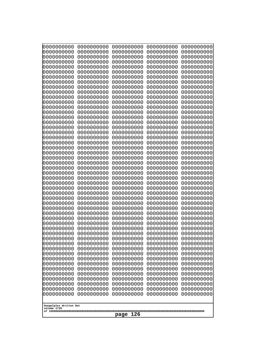| 10000000000<br>0000000000 | 0000000000<br>0000000000 | 0000000000<br>0000000000 | 0000000000<br>0000000000 | 0000000000<br>0000000000 |
|---------------------------|--------------------------|--------------------------|--------------------------|--------------------------|
| 0000000000                | 0000000000               | 0000000000               | 0000000000               | 0000000000               |
| 0000000000                | 0000000000               | 0000000000               | 0000000000               | 0000000000               |
| 0000000000                | 0000000000               | 0000000000               | 0000000000               | 0000000000               |
| 0000000000<br>0000000000  | 0000000000<br>0000000000 | 0000000000<br>0000000000 | 0000000000<br>0000000000 | 0000000000<br>0000000000 |
| 0000000000                | 0000000000               | 0000000000               | 0000000000               | 0000000000               |
| 0000000000                | 0000000000               | 0000000000               | 0000000000               | 0000000000               |
| 0000000000                | 0000000000               | 0000000000               | 0000000000               | 0000000000               |
| 0000000000<br>0000000000  | 0000000000<br>0000000000 | 0000000000<br>0000000000 | 0000000000<br>0000000000 | 0000000000<br>0000000000 |
| 0000000000                | 0000000000               | 0000000000               | 0000000000               | 0000000000               |
| 0000000000                | 0000000000               | 0000000000               | 0000000000               | 0000000000               |
| 0000000000                | 0000000000               | 0000000000               | 0000000000               | 0000000000               |
| 0000000000<br>0000000000  | 0000000000<br>0000000000 | 0000000000<br>0000000000 | 0000000000<br>0000000000 | 0000000000<br>0000000000 |
| 0000000000                | 0000000000               | 0000000000               | 0000000000               | 0000000000               |
| 0000000000                | 0000000000               | 0000000000               | 0000000000               | 0000000000               |
| 0000000000                | 0000000000               | 0000000000               | 0000000000               | 0000000000               |
| 0000000000<br>0000000000  | 0000000000<br>0000000000 | 0000000000<br>0000000000 | 0000000000<br>0000000000 | 0000000000<br>0000000000 |
| 0000000000                | 0000000000               | 0000000000               | 0000000000               | 0000000000               |
| 0000000000                | 0000000000               | 0000000000               | 0000000000               | 0000000000               |
| 0000000000                | 0000000000               | 0000000000               | 0000000000               | 0000000000               |
| 0000000000<br>0000000000  | 0000000000<br>0000000000 | 0000000000<br>0000000000 | 0000000000<br>0000000000 | 0000000000<br>0000000000 |
| 0000000000                | 0000000000               | 0000000000               | 0000000000               | 0000000000               |
| 0000000000                | 0000000000               | 0000000000               | 0000000000               | 0000000000               |
| 0000000000                | 0000000000               | 0000000000               | 0000000000               | 0000000000               |
| 0000000000<br>0000000000  | 0000000000<br>0000000000 | 0000000000<br>0000000000 | 0000000000<br>0000000000 | 0000000000<br>0000000000 |
| 0000000000                | 0000000000               | 0000000000               | 0000000000               | 0000000000               |
| 0000000000                | 0000000000               | 0000000000               | 0000000000               | 0000000000               |
| 0000000000<br>0000000000  | 0000000000<br>0000000000 | 0000000000               | 0000000000               | 0000000000               |
| 0000000000                | 0000000000               | 0000000000<br>0000000000 | 0000000000<br>0000000000 | 0000000000<br>0000000000 |
| 0000000000                | 0000000000               | 0000000000               | 0000000000               | 0000000000               |
| 0000000000                | 0000000000               | 0000000000               | 0000000000               | 0000000000               |
| 0000000000<br>0000000000  | 0000000000               | 0000000000               | 0000000000               | 0000000000               |
| 0000000000                | 0000000000<br>0000000000 | 0000000000<br>0000000000 | 0000000000<br>0000000000 | 0000000000<br>0000000000 |
| 0000000000                | 0000000000               | 0000000000               | 0000000000               | 0000000000               |
| 0000000000                | 0000000000               | 0000000000               | 0000000000               | 0000000000               |
| 0000000000<br>0000000000  | 0000000000<br>0000000000 | 0000000000<br>0000000000 | 0000000000<br>0000000000 | 0000000000<br>0000000000 |
| 0000000000                | 0000000000               | 0000000000               | 0000000000               | 0000000000               |
| 0000000000                | 0000000000               | 0000000000               | 0000000000               | 0000000000               |
| 0000000000                | 0000000000               | 0000000000               | 0000000000               | 0000000000               |
| 0000000000                | 0000000000               | 0000000000               | 0000000000               | 0000000000               |
| Googolplex Written Out    |                          |                          |                          |                          |
| volume 1720               |                          |                          |                          |                          |
| 126<br>page               |                          |                          |                          |                          |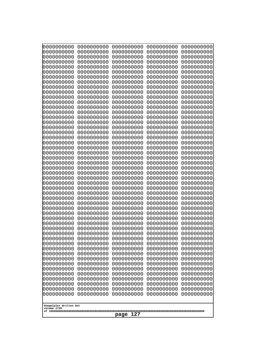| 10000000000<br>0000000000 | 0000000000<br>0000000000 | 0000000000<br>0000000000 | 0000000000<br>0000000000 | 0000000000<br>0000000000 |
|---------------------------|--------------------------|--------------------------|--------------------------|--------------------------|
| 0000000000                | 0000000000               | 0000000000               | 0000000000               | 0000000000               |
| 0000000000                | 0000000000               | 0000000000               | 0000000000               | 0000000000               |
| 0000000000<br>0000000000  | 0000000000<br>0000000000 | 0000000000<br>0000000000 | 0000000000<br>0000000000 | 0000000000<br>0000000000 |
| 0000000000                | 0000000000               | 0000000000               | 0000000000               | 0000000000               |
| 0000000000                | 0000000000               | 0000000000               | 0000000000               | 0000000000               |
| 0000000000<br>0000000000  | 0000000000<br>0000000000 | 0000000000<br>0000000000 | 0000000000<br>0000000000 | 0000000000<br>0000000000 |
| 0000000000                | 0000000000               | 0000000000               | 0000000000               | 0000000000               |
| 0000000000                | 0000000000               | 0000000000               | 0000000000               | 0000000000               |
| 0000000000<br>0000000000  | 0000000000<br>0000000000 | 0000000000<br>0000000000 | 0000000000<br>0000000000 | 0000000000<br>0000000000 |
| 0000000000                | 0000000000               | 0000000000               | 0000000000               | 0000000000               |
| 0000000000                | 0000000000               | 0000000000               | 0000000000               | 0000000000               |
| 0000000000<br>0000000000  | 0000000000<br>0000000000 | 0000000000<br>0000000000 | 0000000000<br>0000000000 | 0000000000<br>0000000000 |
| 0000000000                | 0000000000               | 0000000000               | 0000000000               | 0000000000               |
| 0000000000                | 0000000000               | 0000000000               | 0000000000               | 0000000000               |
| 0000000000                | 0000000000               | 0000000000               | 0000000000               | 0000000000               |
| 0000000000<br>0000000000  | 0000000000<br>0000000000 | 0000000000<br>0000000000 | 0000000000<br>0000000000 | 0000000000<br>0000000000 |
| 0000000000                | 0000000000               | 0000000000               | 0000000000               | 0000000000               |
| 0000000000                | 0000000000               | 0000000000               | 0000000000               | 0000000000               |
| 0000000000<br>0000000000  | 0000000000<br>0000000000 | 0000000000<br>0000000000 | 0000000000<br>0000000000 | 0000000000<br>0000000000 |
| 0000000000                | 0000000000               | 0000000000               | 0000000000               | 0000000000               |
| 0000000000                | 0000000000               | 0000000000               | 0000000000               | 0000000000               |
| 0000000000<br>0000000000  | 0000000000<br>0000000000 | 0000000000<br>0000000000 | 0000000000<br>0000000000 | 0000000000<br>0000000000 |
| 0000000000                | 0000000000               | 0000000000               | 0000000000               | 0000000000               |
| 0000000000                | 0000000000               | 0000000000               | 0000000000               | 0000000000               |
| 0000000000<br>0000000000  | 0000000000<br>0000000000 | 0000000000<br>0000000000 | 0000000000<br>0000000000 | 0000000000<br>0000000000 |
| 0000000000                | 0000000000               | 0000000000               | 0000000000               | 0000000000               |
| 0000000000                | 0000000000               | 0000000000               | 0000000000               | 0000000000               |
| 0000000000<br>0000000000  | 0000000000<br>0000000000 | 0000000000<br>0000000000 | 0000000000<br>0000000000 | 0000000000<br>0000000000 |
| 0000000000                | 0000000000               | 0000000000               | 0000000000               | 0000000000               |
| 0000000000                | 0000000000               | 0000000000               | 0000000000               | 0000000000               |
| 0000000000<br>0000000000  | 0000000000<br>0000000000 | 0000000000<br>0000000000 | 0000000000<br>0000000000 | 0000000000<br>0000000000 |
| 0000000000                | 0000000000               | 0000000000               | 0000000000               | 0000000000               |
| 0000000000                | 0000000000               | 0000000000               | 0000000000               | 0000000000               |
| 0000000000                | 0000000000<br>0000000000 | 0000000000               | 0000000000               | 0000000000               |
| 0000000000<br>0000000000  | 0000000000               | 0000000000<br>0000000000 | 0000000000<br>0000000000 | 0000000000<br>0000000000 |
| 0000000000                | 0000000000               | 0000000000               | 0000000000               | 0000000000               |
| 0000000000                | 0000000000               | 0000000000               | 0000000000               | 0000000000               |
| Googolplex Written Out    |                          |                          |                          |                          |
| volume 1720               |                          |                          |                          |                          |
| 127<br>page               |                          |                          |                          |                          |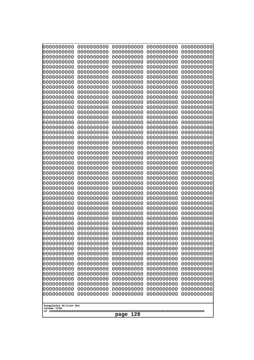| 0000000000                                           | 0000000000 | 0000000000 | 0000000000 | 0000000000 |
|------------------------------------------------------|------------|------------|------------|------------|
| 0000000000                                           | 0000000000 | 0000000000 | 0000000000 | 0000000000 |
| 0000000000                                           | 0000000000 | 0000000000 | 0000000000 | 0000000000 |
| 0000000000                                           | 0000000000 | 0000000000 | 0000000000 | 0000000000 |
| 0000000000                                           | 0000000000 | 0000000000 | 0000000000 | 0000000000 |
| 0000000000                                           | 0000000000 | 0000000000 | 0000000000 | 0000000000 |
| 0000000000                                           | 0000000000 | 0000000000 | 0000000000 | 0000000000 |
| 0000000000                                           | 0000000000 | 0000000000 | 0000000000 | 0000000000 |
| 0000000000                                           | 0000000000 | 0000000000 | 0000000000 | 0000000000 |
| 0000000000                                           | 0000000000 | 0000000000 | 0000000000 | 0000000000 |
| 0000000000                                           | 0000000000 | 0000000000 | 0000000000 | 0000000000 |
| 0000000000                                           | 0000000000 | 0000000000 | 0000000000 | 0000000000 |
| 0000000000                                           | 0000000000 | 0000000000 | 0000000000 | 0000000000 |
| 0000000000                                           | 0000000000 | 0000000000 | 0000000000 | 0000000000 |
| 0000000000                                           | 0000000000 | 0000000000 | 0000000000 | 0000000000 |
| 0000000000                                           | 0000000000 | 0000000000 | 0000000000 | 0000000000 |
| 0000000000                                           | 0000000000 | 0000000000 | 0000000000 | 0000000000 |
| 0000000000                                           | 0000000000 | 0000000000 | 0000000000 | 0000000000 |
| 0000000000                                           | 0000000000 | 0000000000 | 0000000000 | 0000000000 |
| 0000000000                                           | 0000000000 | 0000000000 | 0000000000 | 0000000000 |
| 0000000000                                           | 0000000000 | 0000000000 | 0000000000 | 0000000000 |
| 0000000000                                           | 0000000000 | 0000000000 | 0000000000 | 0000000000 |
| 0000000000                                           | 0000000000 | 0000000000 | 0000000000 | 0000000000 |
| 0000000000                                           | 0000000000 | 0000000000 | 0000000000 | 0000000000 |
| 0000000000                                           | 0000000000 | 0000000000 | 0000000000 | 0000000000 |
| 0000000000                                           | 0000000000 | 0000000000 | 0000000000 | 0000000000 |
| 0000000000                                           | 0000000000 | 0000000000 | 0000000000 | 0000000000 |
| 0000000000                                           | 0000000000 | 0000000000 | 0000000000 | 0000000000 |
| 0000000000                                           | 0000000000 | 0000000000 | 0000000000 | 0000000000 |
| 0000000000                                           | 0000000000 | 0000000000 | 0000000000 | 0000000000 |
| 0000000000                                           | 0000000000 | 0000000000 | 0000000000 | 0000000000 |
| 0000000000                                           | 0000000000 | 0000000000 | 0000000000 | 0000000000 |
| 0000000000                                           | 0000000000 | 0000000000 | 0000000000 | 0000000000 |
| 0000000000                                           | 0000000000 | 0000000000 | 0000000000 | 0000000000 |
| 0000000000                                           | 0000000000 | 0000000000 | 0000000000 | 0000000000 |
| 0000000000                                           | 0000000000 | 0000000000 | 0000000000 | 0000000000 |
| 0000000000                                           | 0000000000 | 0000000000 | 0000000000 | 0000000000 |
| 0000000000                                           | 0000000000 | 0000000000 | 0000000000 | 0000000000 |
| 0000000000                                           | 0000000000 | 0000000000 | 0000000000 | 0000000000 |
| 0000000000                                           | 0000000000 | 0000000000 | 0000000000 | 0000000000 |
| 0000000000                                           | 0000000000 | 0000000000 | 0000000000 | 0000000000 |
| 0000000000                                           | 0000000000 | 0000000000 | 0000000000 | 0000000000 |
| 0000000000                                           | 0000000000 | 0000000000 | 0000000000 | 0000000000 |
| 0000000000                                           | 0000000000 | 0000000000 | 0000000000 | 0000000000 |
| 0000000000                                           | 0000000000 | 0000000000 | 0000000000 | 0000000000 |
| 0000000000                                           | 0000000000 | 0000000000 | 0000000000 | 0000000000 |
| 0000000000                                           | 0000000000 | 0000000000 | 0000000000 | 0000000000 |
| 0000000000                                           | 0000000000 | 0000000000 | 0000000000 | 0000000000 |
| 0000000000                                           | 0000000000 | 0000000000 | 0000000000 | 0000000000 |
| 0000000000                                           | 0000000000 | 0000000000 | 0000000000 | 0000000000 |
| Googolplex Written Out<br>volume 1720<br>128<br>page |            |            |            |            |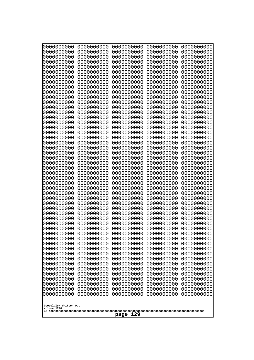| 0000000000                                           | 0000000000 | 0000000000 | 0000000000 | 0000000000 |
|------------------------------------------------------|------------|------------|------------|------------|
| 0000000000                                           | 0000000000 | 0000000000 | 0000000000 | 0000000000 |
| 0000000000                                           | 0000000000 | 0000000000 | 0000000000 | 0000000000 |
| 0000000000                                           | 0000000000 | 0000000000 | 0000000000 | 0000000000 |
| 0000000000                                           | 0000000000 | 0000000000 | 0000000000 | 0000000000 |
| 0000000000                                           | 0000000000 | 0000000000 | 0000000000 | 0000000000 |
| 0000000000                                           | 0000000000 | 0000000000 | 0000000000 | 0000000000 |
| 0000000000                                           | 0000000000 | 0000000000 | 0000000000 | 0000000000 |
| 0000000000                                           | 0000000000 | 0000000000 | 0000000000 | 0000000000 |
| 0000000000                                           | 0000000000 | 0000000000 | 0000000000 | 0000000000 |
| 0000000000                                           | 0000000000 | 0000000000 | 0000000000 | 0000000000 |
| 0000000000                                           | 0000000000 | 0000000000 | 0000000000 | 0000000000 |
| 0000000000                                           | 0000000000 | 0000000000 | 0000000000 | 0000000000 |
| 0000000000                                           | 0000000000 | 0000000000 | 0000000000 | 0000000000 |
| 0000000000                                           | 0000000000 | 0000000000 | 0000000000 | 0000000000 |
| 0000000000                                           | 0000000000 | 0000000000 | 0000000000 | 0000000000 |
| 0000000000                                           | 0000000000 | 0000000000 | 0000000000 | 0000000000 |
| 0000000000                                           | 0000000000 | 0000000000 | 0000000000 | 0000000000 |
| 0000000000                                           | 0000000000 | 0000000000 | 0000000000 | 0000000000 |
| 0000000000                                           | 0000000000 | 0000000000 | 0000000000 | 0000000000 |
| 0000000000                                           | 0000000000 | 0000000000 | 0000000000 | 0000000000 |
| 0000000000                                           | 0000000000 | 0000000000 | 0000000000 | 0000000000 |
| 0000000000                                           | 0000000000 | 0000000000 | 0000000000 | 0000000000 |
| 0000000000                                           | 0000000000 | 0000000000 | 0000000000 | 0000000000 |
| 0000000000                                           | 0000000000 | 0000000000 | 0000000000 | 0000000000 |
| 0000000000                                           | 0000000000 | 0000000000 | 0000000000 | 0000000000 |
| 0000000000                                           | 0000000000 | 0000000000 | 0000000000 | 0000000000 |
| 0000000000                                           | 0000000000 | 0000000000 | 0000000000 | 0000000000 |
| 0000000000                                           | 0000000000 | 0000000000 | 0000000000 | 0000000000 |
| 0000000000                                           | 0000000000 | 0000000000 | 0000000000 | 0000000000 |
| 0000000000                                           | 0000000000 | 0000000000 | 0000000000 | 0000000000 |
| 0000000000                                           | 0000000000 | 0000000000 | 0000000000 | 0000000000 |
| 0000000000                                           | 0000000000 | 0000000000 | 0000000000 | 0000000000 |
| 0000000000                                           | 0000000000 | 0000000000 | 0000000000 | 0000000000 |
| 0000000000                                           | 0000000000 | 0000000000 | 0000000000 | 0000000000 |
| 0000000000                                           | 0000000000 | 0000000000 | 0000000000 | 0000000000 |
| 0000000000                                           | 0000000000 | 0000000000 | 0000000000 | 0000000000 |
| 0000000000                                           | 0000000000 | 0000000000 | 0000000000 | 0000000000 |
| 0000000000                                           | 0000000000 | 0000000000 | 0000000000 | 0000000000 |
| 0000000000                                           | 0000000000 | 0000000000 | 0000000000 | 0000000000 |
| 0000000000                                           | 0000000000 | 0000000000 | 0000000000 | 0000000000 |
| 0000000000                                           | 0000000000 | 0000000000 | 0000000000 | 0000000000 |
| 0000000000                                           | 0000000000 | 0000000000 | 0000000000 | 0000000000 |
| 0000000000                                           | 0000000000 | 0000000000 | 0000000000 | 0000000000 |
| 0000000000                                           | 0000000000 | 0000000000 | 0000000000 | 0000000000 |
| 0000000000                                           | 0000000000 | 0000000000 | 0000000000 | 0000000000 |
| 0000000000                                           | 0000000000 | 0000000000 | 0000000000 | 0000000000 |
| 0000000000                                           | 0000000000 | 0000000000 | 0000000000 | 0000000000 |
| 0000000000                                           | 0000000000 | 0000000000 | 0000000000 | 0000000000 |
| 0000000000                                           | 0000000000 | 0000000000 | 0000000000 | 0000000000 |
| Googolplex Written Out<br>volume 1720<br>129<br>page |            |            |            |            |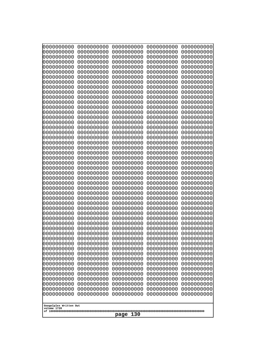| 0000000000                                                         | 0000000000               | 0000000000               | 0000000000               | 0000000000               |  |  |
|--------------------------------------------------------------------|--------------------------|--------------------------|--------------------------|--------------------------|--|--|
| 0000000000<br>0000000000                                           | 0000000000<br>0000000000 | 0000000000<br>0000000000 | 0000000000<br>0000000000 | 0000000000<br>0000000000 |  |  |
| 0000000000                                                         | 0000000000               | 0000000000               | 0000000000               | 0000000000               |  |  |
| 0000000000                                                         | 0000000000               | 0000000000               | 0000000000               | 0000000000               |  |  |
| 0000000000                                                         | 0000000000               | 0000000000               | 0000000000               | 0000000000               |  |  |
| 0000000000                                                         | 0000000000               | 0000000000               | 0000000000               | 0000000000               |  |  |
| 0000000000<br>0000000000                                           | 0000000000<br>0000000000 | 0000000000<br>0000000000 | 0000000000<br>0000000000 | 0000000000<br>0000000000 |  |  |
| 0000000000                                                         | 0000000000               | 0000000000               | 0000000000               | 0000000000               |  |  |
| 0000000000                                                         | 0000000000               | 0000000000               | 0000000000               | 0000000000               |  |  |
| 0000000000                                                         | 0000000000               | 0000000000               | 0000000000               | 0000000000               |  |  |
| 0000000000<br>0000000000                                           | 0000000000<br>0000000000 | 0000000000<br>0000000000 | 0000000000<br>0000000000 | 0000000000<br>0000000000 |  |  |
| 0000000000                                                         | 0000000000               | 0000000000               | 0000000000               | 0000000000               |  |  |
| 0000000000                                                         | 0000000000               | 0000000000               | 0000000000               | 0000000000               |  |  |
| 0000000000<br>0000000000                                           | 0000000000<br>0000000000 | 0000000000<br>0000000000 | 0000000000<br>0000000000 | 0000000000<br>0000000000 |  |  |
| 0000000000                                                         | 0000000000               | 0000000000               | 0000000000               | 0000000000               |  |  |
| 0000000000                                                         | 0000000000               | 0000000000               | 0000000000               | 0000000000               |  |  |
| 0000000000                                                         | 0000000000               | 0000000000               | 0000000000               | 0000000000               |  |  |
| 0000000000<br>0000000000                                           | 0000000000<br>0000000000 | 0000000000<br>0000000000 | 0000000000<br>0000000000 | 0000000000<br>0000000000 |  |  |
| 0000000000                                                         | 0000000000               | 0000000000               | 0000000000               | 0000000000               |  |  |
| 0000000000                                                         | 0000000000               | 0000000000               | 0000000000               | 0000000000               |  |  |
| 0000000000                                                         | 0000000000               | 0000000000               | 0000000000               | 0000000000               |  |  |
| 0000000000<br>0000000000                                           | 0000000000<br>0000000000 | 0000000000<br>0000000000 | 0000000000<br>0000000000 | 0000000000<br>0000000000 |  |  |
| 0000000000                                                         | 0000000000               | 0000000000               | 0000000000               | 0000000000               |  |  |
| 0000000000                                                         | 0000000000               | 0000000000               | 0000000000               | 0000000000               |  |  |
| 0000000000<br>0000000000                                           | 0000000000<br>0000000000 | 0000000000<br>0000000000 | 0000000000<br>0000000000 | 0000000000<br>0000000000 |  |  |
| 0000000000                                                         | 0000000000               | 0000000000               | 0000000000               | 0000000000               |  |  |
| 0000000000                                                         | 0000000000               | 0000000000               | 0000000000               | 0000000000               |  |  |
| 0000000000                                                         | 0000000000               | 0000000000               | 0000000000               | 0000000000               |  |  |
| 0000000000<br>0000000000                                           | 0000000000<br>0000000000 | 0000000000<br>0000000000 | 0000000000<br>0000000000 | 0000000000<br>0000000000 |  |  |
| 0000000000                                                         | 0000000000               | 0000000000               | 0000000000               | 0000000000               |  |  |
| 0000000000                                                         | 0000000000               | 0000000000               | 0000000000               | 0000000000               |  |  |
| 0000000000                                                         | 0000000000               | 0000000000               | 0000000000               | 0000000000               |  |  |
| 0000000000<br>0000000000                                           | 0000000000<br>0000000000 | 0000000000<br>0000000000 | 0000000000<br>0000000000 | 0000000000<br>0000000000 |  |  |
| 0000000000                                                         | 0000000000               | 0000000000               | 0000000000               | 0000000000               |  |  |
| 0000000000                                                         | 0000000000               | 0000000000               | 0000000000               | 0000000000               |  |  |
| 0000000000<br>0000000000                                           | 0000000000<br>0000000000 | 0000000000<br>0000000000 | 0000000000<br>0000000000 | 0000000000<br>0000000000 |  |  |
| 0000000000                                                         | 0000000000               | 0000000000               | 0000000000               | 0000000000               |  |  |
| 0000000000                                                         | 0000000000               | 0000000000               | 0000000000               | 0000000000               |  |  |
| 0000000000                                                         | 0000000000               | 0000000000               | 0000000000               | 0000000000               |  |  |
| 0000000000<br>0000000000<br>0000000000<br>0000000000<br>0000000000 |                          |                          |                          |                          |  |  |
| Googolplex Written Out                                             |                          |                          |                          |                          |  |  |
| volume 1720                                                        |                          |                          |                          |                          |  |  |
| 130<br>page                                                        |                          |                          |                          |                          |  |  |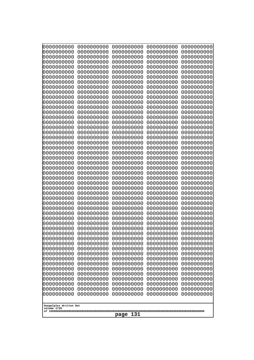| 0000000000<br>0000000000<br>0000000000<br>0000000000<br>0000000000<br>0000000000<br>0000000000<br>0000000000<br>0000000000<br>0000000000<br>0000000000<br>0000000000<br>0000000000<br>0000000000<br>0000000000<br>0000000000<br>0000000000<br>0000000000<br>0000000000<br>0000000000<br>0000000000<br>0000000000<br>0000000000<br>0000000000<br>0000000000<br>0000000000<br>0000000000<br>0000000000<br>0000000000<br>0000000000<br>0000000000<br>0000000000<br>0000000000<br>0000000000<br>0000000000<br>0000000000<br>0000000000<br>0000000000<br>0000000000<br>0000000000<br>0000000000<br>0000000000<br>0000000000<br>0000000000<br>0000000000<br>0000000000<br>0000000000<br>0000000000<br>0000000000<br>0000000000<br>0000000000<br>0000000000<br>0000000000<br>0000000000<br>0000000000<br>0000000000<br>0000000000<br>0000000000<br>0000000000<br>0000000000<br>0000000000<br>0000000000<br>0000000000<br>0000000000<br>0000000000<br>0000000000<br>0000000000<br>0000000000<br>0000000000<br>0000000000<br>0000000000<br>0000000000<br>0000000000<br>0000000000<br>0000000000<br>0000000000<br>0000000000<br>0000000000<br>0000000000<br>0000000000<br>0000000000<br>0000000000<br>0000000000<br>0000000000<br>0000000000<br>0000000000<br>0000000000<br>0000000000<br>0000000000<br>0000000000<br>0000000000<br>0000000000<br>0000000000<br>0000000000<br>0000000000<br>0000000000<br>0000000000<br>0000000000<br>0000000000<br>0000000000<br>0000000000<br>0000000000<br>0000000000<br>0000000000<br>0000000000<br>0000000000<br>0000000000<br>0000000000<br>0000000000<br>0000000000<br>0000000000<br>0000000000<br>0000000000<br>0000000000<br>0000000000<br>0000000000<br>0000000000<br>0000000000<br>0000000000<br>0000000000<br>0000000000<br>0000000000<br>0000000000<br>0000000000<br>0000000000<br>0000000000<br>0000000000<br>0000000000<br>0000000000<br>0000000000<br>0000000000<br>0000000000<br>0000000000<br>0000000000<br>0000000000<br>0000000000<br>0000000000<br>0000000000<br>0000000000<br>0000000000<br>0000000000<br>0000000000<br>0000000000<br>0000000000<br>0000000000<br>0000000000<br>0000000000<br>0000000000<br>0000000000<br>0000000000<br>0000000000<br>0000000000<br>0000000000<br>0000000000<br>0000000000<br>0000000000<br>0000000000<br>0000000000<br>0000000000<br>0000000000<br>0000000000<br>0000000000<br>0000000000<br>0000000000<br>0000000000<br>0000000000<br>0000000000<br>0000000000<br>0000000000<br>0000000000<br>0000000000<br>0000000000<br>0000000000<br>0000000000<br>0000000000<br>0000000000<br>0000000000<br>0000000000<br>0000000000<br>0000000000<br>0000000000<br>0000000000<br>0000000000<br>0000000000<br>0000000000<br>0000000000<br>0000000000<br>0000000000<br>0000000000<br>0000000000<br>0000000000<br>0000000000<br>0000000000<br>0000000000<br>0000000000<br>0000000000<br>0000000000<br>0000000000<br>0000000000<br>0000000000<br>0000000000<br>0000000000<br>0000000000<br>0000000000<br>0000000000<br>0000000000<br>0000000000<br>0000000000<br>0000000000<br>0000000000<br>0000000000<br>0000000000<br>0000000000<br>0000000000<br>0000000000<br>0000000000<br>0000000000<br>0000000000<br>0000000000<br>0000000000<br>0000000000<br>0000000000<br>0000000000<br>0000000000<br>0000000000<br>0000000000<br>0000000000<br>0000000000<br>0000000000<br>0000000000<br>0000000000<br>0000000000<br>0000000000<br>0000000000<br>0000000000<br>0000000000<br>0000000000<br>Googolplex Written Out<br>volume 1720<br>131<br>page | 10000000000 | 0000000000 | 0000000000 | 0000000000 | 0000000000 |
|------------------------------------------------------------------------------------------------------------------------------------------------------------------------------------------------------------------------------------------------------------------------------------------------------------------------------------------------------------------------------------------------------------------------------------------------------------------------------------------------------------------------------------------------------------------------------------------------------------------------------------------------------------------------------------------------------------------------------------------------------------------------------------------------------------------------------------------------------------------------------------------------------------------------------------------------------------------------------------------------------------------------------------------------------------------------------------------------------------------------------------------------------------------------------------------------------------------------------------------------------------------------------------------------------------------------------------------------------------------------------------------------------------------------------------------------------------------------------------------------------------------------------------------------------------------------------------------------------------------------------------------------------------------------------------------------------------------------------------------------------------------------------------------------------------------------------------------------------------------------------------------------------------------------------------------------------------------------------------------------------------------------------------------------------------------------------------------------------------------------------------------------------------------------------------------------------------------------------------------------------------------------------------------------------------------------------------------------------------------------------------------------------------------------------------------------------------------------------------------------------------------------------------------------------------------------------------------------------------------------------------------------------------------------------------------------------------------------------------------------------------------------------------------------------------------------------------------------------------------------------------------------------------------------------------------------------------------------------------------------------------------------------------------------------------------------------------------------------------------------------------------------------------------------------------------------------------------------------------------------------------------------------------------------------------------------------------------------------------------------------------------------------------------------------------------------------------------------------------------------------------|-------------|------------|------------|------------|------------|
|                                                                                                                                                                                                                                                                                                                                                                                                                                                                                                                                                                                                                                                                                                                                                                                                                                                                                                                                                                                                                                                                                                                                                                                                                                                                                                                                                                                                                                                                                                                                                                                                                                                                                                                                                                                                                                                                                                                                                                                                                                                                                                                                                                                                                                                                                                                                                                                                                                                                                                                                                                                                                                                                                                                                                                                                                                                                                                                                                                                                                                                                                                                                                                                                                                                                                                                                                                                                                                                                                                            | 0000000000  | 0000000000 | 0000000000 | 0000000000 | 0000000000 |
|                                                                                                                                                                                                                                                                                                                                                                                                                                                                                                                                                                                                                                                                                                                                                                                                                                                                                                                                                                                                                                                                                                                                                                                                                                                                                                                                                                                                                                                                                                                                                                                                                                                                                                                                                                                                                                                                                                                                                                                                                                                                                                                                                                                                                                                                                                                                                                                                                                                                                                                                                                                                                                                                                                                                                                                                                                                                                                                                                                                                                                                                                                                                                                                                                                                                                                                                                                                                                                                                                                            |             |            |            |            |            |
|                                                                                                                                                                                                                                                                                                                                                                                                                                                                                                                                                                                                                                                                                                                                                                                                                                                                                                                                                                                                                                                                                                                                                                                                                                                                                                                                                                                                                                                                                                                                                                                                                                                                                                                                                                                                                                                                                                                                                                                                                                                                                                                                                                                                                                                                                                                                                                                                                                                                                                                                                                                                                                                                                                                                                                                                                                                                                                                                                                                                                                                                                                                                                                                                                                                                                                                                                                                                                                                                                                            |             |            |            |            |            |
|                                                                                                                                                                                                                                                                                                                                                                                                                                                                                                                                                                                                                                                                                                                                                                                                                                                                                                                                                                                                                                                                                                                                                                                                                                                                                                                                                                                                                                                                                                                                                                                                                                                                                                                                                                                                                                                                                                                                                                                                                                                                                                                                                                                                                                                                                                                                                                                                                                                                                                                                                                                                                                                                                                                                                                                                                                                                                                                                                                                                                                                                                                                                                                                                                                                                                                                                                                                                                                                                                                            |             |            |            |            |            |
|                                                                                                                                                                                                                                                                                                                                                                                                                                                                                                                                                                                                                                                                                                                                                                                                                                                                                                                                                                                                                                                                                                                                                                                                                                                                                                                                                                                                                                                                                                                                                                                                                                                                                                                                                                                                                                                                                                                                                                                                                                                                                                                                                                                                                                                                                                                                                                                                                                                                                                                                                                                                                                                                                                                                                                                                                                                                                                                                                                                                                                                                                                                                                                                                                                                                                                                                                                                                                                                                                                            |             |            |            |            |            |
|                                                                                                                                                                                                                                                                                                                                                                                                                                                                                                                                                                                                                                                                                                                                                                                                                                                                                                                                                                                                                                                                                                                                                                                                                                                                                                                                                                                                                                                                                                                                                                                                                                                                                                                                                                                                                                                                                                                                                                                                                                                                                                                                                                                                                                                                                                                                                                                                                                                                                                                                                                                                                                                                                                                                                                                                                                                                                                                                                                                                                                                                                                                                                                                                                                                                                                                                                                                                                                                                                                            |             |            |            |            |            |
|                                                                                                                                                                                                                                                                                                                                                                                                                                                                                                                                                                                                                                                                                                                                                                                                                                                                                                                                                                                                                                                                                                                                                                                                                                                                                                                                                                                                                                                                                                                                                                                                                                                                                                                                                                                                                                                                                                                                                                                                                                                                                                                                                                                                                                                                                                                                                                                                                                                                                                                                                                                                                                                                                                                                                                                                                                                                                                                                                                                                                                                                                                                                                                                                                                                                                                                                                                                                                                                                                                            |             |            |            |            |            |
|                                                                                                                                                                                                                                                                                                                                                                                                                                                                                                                                                                                                                                                                                                                                                                                                                                                                                                                                                                                                                                                                                                                                                                                                                                                                                                                                                                                                                                                                                                                                                                                                                                                                                                                                                                                                                                                                                                                                                                                                                                                                                                                                                                                                                                                                                                                                                                                                                                                                                                                                                                                                                                                                                                                                                                                                                                                                                                                                                                                                                                                                                                                                                                                                                                                                                                                                                                                                                                                                                                            |             |            |            |            |            |
|                                                                                                                                                                                                                                                                                                                                                                                                                                                                                                                                                                                                                                                                                                                                                                                                                                                                                                                                                                                                                                                                                                                                                                                                                                                                                                                                                                                                                                                                                                                                                                                                                                                                                                                                                                                                                                                                                                                                                                                                                                                                                                                                                                                                                                                                                                                                                                                                                                                                                                                                                                                                                                                                                                                                                                                                                                                                                                                                                                                                                                                                                                                                                                                                                                                                                                                                                                                                                                                                                                            |             |            |            |            |            |
|                                                                                                                                                                                                                                                                                                                                                                                                                                                                                                                                                                                                                                                                                                                                                                                                                                                                                                                                                                                                                                                                                                                                                                                                                                                                                                                                                                                                                                                                                                                                                                                                                                                                                                                                                                                                                                                                                                                                                                                                                                                                                                                                                                                                                                                                                                                                                                                                                                                                                                                                                                                                                                                                                                                                                                                                                                                                                                                                                                                                                                                                                                                                                                                                                                                                                                                                                                                                                                                                                                            |             |            |            |            |            |
|                                                                                                                                                                                                                                                                                                                                                                                                                                                                                                                                                                                                                                                                                                                                                                                                                                                                                                                                                                                                                                                                                                                                                                                                                                                                                                                                                                                                                                                                                                                                                                                                                                                                                                                                                                                                                                                                                                                                                                                                                                                                                                                                                                                                                                                                                                                                                                                                                                                                                                                                                                                                                                                                                                                                                                                                                                                                                                                                                                                                                                                                                                                                                                                                                                                                                                                                                                                                                                                                                                            |             |            |            |            |            |
|                                                                                                                                                                                                                                                                                                                                                                                                                                                                                                                                                                                                                                                                                                                                                                                                                                                                                                                                                                                                                                                                                                                                                                                                                                                                                                                                                                                                                                                                                                                                                                                                                                                                                                                                                                                                                                                                                                                                                                                                                                                                                                                                                                                                                                                                                                                                                                                                                                                                                                                                                                                                                                                                                                                                                                                                                                                                                                                                                                                                                                                                                                                                                                                                                                                                                                                                                                                                                                                                                                            |             |            |            |            |            |
|                                                                                                                                                                                                                                                                                                                                                                                                                                                                                                                                                                                                                                                                                                                                                                                                                                                                                                                                                                                                                                                                                                                                                                                                                                                                                                                                                                                                                                                                                                                                                                                                                                                                                                                                                                                                                                                                                                                                                                                                                                                                                                                                                                                                                                                                                                                                                                                                                                                                                                                                                                                                                                                                                                                                                                                                                                                                                                                                                                                                                                                                                                                                                                                                                                                                                                                                                                                                                                                                                                            |             |            |            |            |            |
|                                                                                                                                                                                                                                                                                                                                                                                                                                                                                                                                                                                                                                                                                                                                                                                                                                                                                                                                                                                                                                                                                                                                                                                                                                                                                                                                                                                                                                                                                                                                                                                                                                                                                                                                                                                                                                                                                                                                                                                                                                                                                                                                                                                                                                                                                                                                                                                                                                                                                                                                                                                                                                                                                                                                                                                                                                                                                                                                                                                                                                                                                                                                                                                                                                                                                                                                                                                                                                                                                                            |             |            |            |            |            |
|                                                                                                                                                                                                                                                                                                                                                                                                                                                                                                                                                                                                                                                                                                                                                                                                                                                                                                                                                                                                                                                                                                                                                                                                                                                                                                                                                                                                                                                                                                                                                                                                                                                                                                                                                                                                                                                                                                                                                                                                                                                                                                                                                                                                                                                                                                                                                                                                                                                                                                                                                                                                                                                                                                                                                                                                                                                                                                                                                                                                                                                                                                                                                                                                                                                                                                                                                                                                                                                                                                            |             |            |            |            |            |
|                                                                                                                                                                                                                                                                                                                                                                                                                                                                                                                                                                                                                                                                                                                                                                                                                                                                                                                                                                                                                                                                                                                                                                                                                                                                                                                                                                                                                                                                                                                                                                                                                                                                                                                                                                                                                                                                                                                                                                                                                                                                                                                                                                                                                                                                                                                                                                                                                                                                                                                                                                                                                                                                                                                                                                                                                                                                                                                                                                                                                                                                                                                                                                                                                                                                                                                                                                                                                                                                                                            |             |            |            |            |            |
|                                                                                                                                                                                                                                                                                                                                                                                                                                                                                                                                                                                                                                                                                                                                                                                                                                                                                                                                                                                                                                                                                                                                                                                                                                                                                                                                                                                                                                                                                                                                                                                                                                                                                                                                                                                                                                                                                                                                                                                                                                                                                                                                                                                                                                                                                                                                                                                                                                                                                                                                                                                                                                                                                                                                                                                                                                                                                                                                                                                                                                                                                                                                                                                                                                                                                                                                                                                                                                                                                                            |             |            |            |            |            |
|                                                                                                                                                                                                                                                                                                                                                                                                                                                                                                                                                                                                                                                                                                                                                                                                                                                                                                                                                                                                                                                                                                                                                                                                                                                                                                                                                                                                                                                                                                                                                                                                                                                                                                                                                                                                                                                                                                                                                                                                                                                                                                                                                                                                                                                                                                                                                                                                                                                                                                                                                                                                                                                                                                                                                                                                                                                                                                                                                                                                                                                                                                                                                                                                                                                                                                                                                                                                                                                                                                            |             |            |            |            |            |
|                                                                                                                                                                                                                                                                                                                                                                                                                                                                                                                                                                                                                                                                                                                                                                                                                                                                                                                                                                                                                                                                                                                                                                                                                                                                                                                                                                                                                                                                                                                                                                                                                                                                                                                                                                                                                                                                                                                                                                                                                                                                                                                                                                                                                                                                                                                                                                                                                                                                                                                                                                                                                                                                                                                                                                                                                                                                                                                                                                                                                                                                                                                                                                                                                                                                                                                                                                                                                                                                                                            |             |            |            |            |            |
|                                                                                                                                                                                                                                                                                                                                                                                                                                                                                                                                                                                                                                                                                                                                                                                                                                                                                                                                                                                                                                                                                                                                                                                                                                                                                                                                                                                                                                                                                                                                                                                                                                                                                                                                                                                                                                                                                                                                                                                                                                                                                                                                                                                                                                                                                                                                                                                                                                                                                                                                                                                                                                                                                                                                                                                                                                                                                                                                                                                                                                                                                                                                                                                                                                                                                                                                                                                                                                                                                                            |             |            |            |            |            |
|                                                                                                                                                                                                                                                                                                                                                                                                                                                                                                                                                                                                                                                                                                                                                                                                                                                                                                                                                                                                                                                                                                                                                                                                                                                                                                                                                                                                                                                                                                                                                                                                                                                                                                                                                                                                                                                                                                                                                                                                                                                                                                                                                                                                                                                                                                                                                                                                                                                                                                                                                                                                                                                                                                                                                                                                                                                                                                                                                                                                                                                                                                                                                                                                                                                                                                                                                                                                                                                                                                            |             |            |            |            |            |
|                                                                                                                                                                                                                                                                                                                                                                                                                                                                                                                                                                                                                                                                                                                                                                                                                                                                                                                                                                                                                                                                                                                                                                                                                                                                                                                                                                                                                                                                                                                                                                                                                                                                                                                                                                                                                                                                                                                                                                                                                                                                                                                                                                                                                                                                                                                                                                                                                                                                                                                                                                                                                                                                                                                                                                                                                                                                                                                                                                                                                                                                                                                                                                                                                                                                                                                                                                                                                                                                                                            |             |            |            |            |            |
|                                                                                                                                                                                                                                                                                                                                                                                                                                                                                                                                                                                                                                                                                                                                                                                                                                                                                                                                                                                                                                                                                                                                                                                                                                                                                                                                                                                                                                                                                                                                                                                                                                                                                                                                                                                                                                                                                                                                                                                                                                                                                                                                                                                                                                                                                                                                                                                                                                                                                                                                                                                                                                                                                                                                                                                                                                                                                                                                                                                                                                                                                                                                                                                                                                                                                                                                                                                                                                                                                                            |             |            |            |            |            |
|                                                                                                                                                                                                                                                                                                                                                                                                                                                                                                                                                                                                                                                                                                                                                                                                                                                                                                                                                                                                                                                                                                                                                                                                                                                                                                                                                                                                                                                                                                                                                                                                                                                                                                                                                                                                                                                                                                                                                                                                                                                                                                                                                                                                                                                                                                                                                                                                                                                                                                                                                                                                                                                                                                                                                                                                                                                                                                                                                                                                                                                                                                                                                                                                                                                                                                                                                                                                                                                                                                            |             |            |            |            |            |
|                                                                                                                                                                                                                                                                                                                                                                                                                                                                                                                                                                                                                                                                                                                                                                                                                                                                                                                                                                                                                                                                                                                                                                                                                                                                                                                                                                                                                                                                                                                                                                                                                                                                                                                                                                                                                                                                                                                                                                                                                                                                                                                                                                                                                                                                                                                                                                                                                                                                                                                                                                                                                                                                                                                                                                                                                                                                                                                                                                                                                                                                                                                                                                                                                                                                                                                                                                                                                                                                                                            | 0000000000  |            |            |            |            |
|                                                                                                                                                                                                                                                                                                                                                                                                                                                                                                                                                                                                                                                                                                                                                                                                                                                                                                                                                                                                                                                                                                                                                                                                                                                                                                                                                                                                                                                                                                                                                                                                                                                                                                                                                                                                                                                                                                                                                                                                                                                                                                                                                                                                                                                                                                                                                                                                                                                                                                                                                                                                                                                                                                                                                                                                                                                                                                                                                                                                                                                                                                                                                                                                                                                                                                                                                                                                                                                                                                            |             |            |            |            |            |
|                                                                                                                                                                                                                                                                                                                                                                                                                                                                                                                                                                                                                                                                                                                                                                                                                                                                                                                                                                                                                                                                                                                                                                                                                                                                                                                                                                                                                                                                                                                                                                                                                                                                                                                                                                                                                                                                                                                                                                                                                                                                                                                                                                                                                                                                                                                                                                                                                                                                                                                                                                                                                                                                                                                                                                                                                                                                                                                                                                                                                                                                                                                                                                                                                                                                                                                                                                                                                                                                                                            |             |            |            |            |            |
|                                                                                                                                                                                                                                                                                                                                                                                                                                                                                                                                                                                                                                                                                                                                                                                                                                                                                                                                                                                                                                                                                                                                                                                                                                                                                                                                                                                                                                                                                                                                                                                                                                                                                                                                                                                                                                                                                                                                                                                                                                                                                                                                                                                                                                                                                                                                                                                                                                                                                                                                                                                                                                                                                                                                                                                                                                                                                                                                                                                                                                                                                                                                                                                                                                                                                                                                                                                                                                                                                                            |             |            |            |            |            |
|                                                                                                                                                                                                                                                                                                                                                                                                                                                                                                                                                                                                                                                                                                                                                                                                                                                                                                                                                                                                                                                                                                                                                                                                                                                                                                                                                                                                                                                                                                                                                                                                                                                                                                                                                                                                                                                                                                                                                                                                                                                                                                                                                                                                                                                                                                                                                                                                                                                                                                                                                                                                                                                                                                                                                                                                                                                                                                                                                                                                                                                                                                                                                                                                                                                                                                                                                                                                                                                                                                            | 0000000000  |            |            |            | 0000000000 |
|                                                                                                                                                                                                                                                                                                                                                                                                                                                                                                                                                                                                                                                                                                                                                                                                                                                                                                                                                                                                                                                                                                                                                                                                                                                                                                                                                                                                                                                                                                                                                                                                                                                                                                                                                                                                                                                                                                                                                                                                                                                                                                                                                                                                                                                                                                                                                                                                                                                                                                                                                                                                                                                                                                                                                                                                                                                                                                                                                                                                                                                                                                                                                                                                                                                                                                                                                                                                                                                                                                            |             |            |            |            |            |
|                                                                                                                                                                                                                                                                                                                                                                                                                                                                                                                                                                                                                                                                                                                                                                                                                                                                                                                                                                                                                                                                                                                                                                                                                                                                                                                                                                                                                                                                                                                                                                                                                                                                                                                                                                                                                                                                                                                                                                                                                                                                                                                                                                                                                                                                                                                                                                                                                                                                                                                                                                                                                                                                                                                                                                                                                                                                                                                                                                                                                                                                                                                                                                                                                                                                                                                                                                                                                                                                                                            |             |            |            |            |            |
|                                                                                                                                                                                                                                                                                                                                                                                                                                                                                                                                                                                                                                                                                                                                                                                                                                                                                                                                                                                                                                                                                                                                                                                                                                                                                                                                                                                                                                                                                                                                                                                                                                                                                                                                                                                                                                                                                                                                                                                                                                                                                                                                                                                                                                                                                                                                                                                                                                                                                                                                                                                                                                                                                                                                                                                                                                                                                                                                                                                                                                                                                                                                                                                                                                                                                                                                                                                                                                                                                                            |             |            |            |            |            |
|                                                                                                                                                                                                                                                                                                                                                                                                                                                                                                                                                                                                                                                                                                                                                                                                                                                                                                                                                                                                                                                                                                                                                                                                                                                                                                                                                                                                                                                                                                                                                                                                                                                                                                                                                                                                                                                                                                                                                                                                                                                                                                                                                                                                                                                                                                                                                                                                                                                                                                                                                                                                                                                                                                                                                                                                                                                                                                                                                                                                                                                                                                                                                                                                                                                                                                                                                                                                                                                                                                            |             |            |            |            |            |
|                                                                                                                                                                                                                                                                                                                                                                                                                                                                                                                                                                                                                                                                                                                                                                                                                                                                                                                                                                                                                                                                                                                                                                                                                                                                                                                                                                                                                                                                                                                                                                                                                                                                                                                                                                                                                                                                                                                                                                                                                                                                                                                                                                                                                                                                                                                                                                                                                                                                                                                                                                                                                                                                                                                                                                                                                                                                                                                                                                                                                                                                                                                                                                                                                                                                                                                                                                                                                                                                                                            |             |            |            |            |            |
|                                                                                                                                                                                                                                                                                                                                                                                                                                                                                                                                                                                                                                                                                                                                                                                                                                                                                                                                                                                                                                                                                                                                                                                                                                                                                                                                                                                                                                                                                                                                                                                                                                                                                                                                                                                                                                                                                                                                                                                                                                                                                                                                                                                                                                                                                                                                                                                                                                                                                                                                                                                                                                                                                                                                                                                                                                                                                                                                                                                                                                                                                                                                                                                                                                                                                                                                                                                                                                                                                                            |             |            |            |            |            |
|                                                                                                                                                                                                                                                                                                                                                                                                                                                                                                                                                                                                                                                                                                                                                                                                                                                                                                                                                                                                                                                                                                                                                                                                                                                                                                                                                                                                                                                                                                                                                                                                                                                                                                                                                                                                                                                                                                                                                                                                                                                                                                                                                                                                                                                                                                                                                                                                                                                                                                                                                                                                                                                                                                                                                                                                                                                                                                                                                                                                                                                                                                                                                                                                                                                                                                                                                                                                                                                                                                            |             |            |            |            |            |
|                                                                                                                                                                                                                                                                                                                                                                                                                                                                                                                                                                                                                                                                                                                                                                                                                                                                                                                                                                                                                                                                                                                                                                                                                                                                                                                                                                                                                                                                                                                                                                                                                                                                                                                                                                                                                                                                                                                                                                                                                                                                                                                                                                                                                                                                                                                                                                                                                                                                                                                                                                                                                                                                                                                                                                                                                                                                                                                                                                                                                                                                                                                                                                                                                                                                                                                                                                                                                                                                                                            |             |            |            |            |            |
|                                                                                                                                                                                                                                                                                                                                                                                                                                                                                                                                                                                                                                                                                                                                                                                                                                                                                                                                                                                                                                                                                                                                                                                                                                                                                                                                                                                                                                                                                                                                                                                                                                                                                                                                                                                                                                                                                                                                                                                                                                                                                                                                                                                                                                                                                                                                                                                                                                                                                                                                                                                                                                                                                                                                                                                                                                                                                                                                                                                                                                                                                                                                                                                                                                                                                                                                                                                                                                                                                                            |             |            |            |            |            |
|                                                                                                                                                                                                                                                                                                                                                                                                                                                                                                                                                                                                                                                                                                                                                                                                                                                                                                                                                                                                                                                                                                                                                                                                                                                                                                                                                                                                                                                                                                                                                                                                                                                                                                                                                                                                                                                                                                                                                                                                                                                                                                                                                                                                                                                                                                                                                                                                                                                                                                                                                                                                                                                                                                                                                                                                                                                                                                                                                                                                                                                                                                                                                                                                                                                                                                                                                                                                                                                                                                            |             |            |            |            |            |
|                                                                                                                                                                                                                                                                                                                                                                                                                                                                                                                                                                                                                                                                                                                                                                                                                                                                                                                                                                                                                                                                                                                                                                                                                                                                                                                                                                                                                                                                                                                                                                                                                                                                                                                                                                                                                                                                                                                                                                                                                                                                                                                                                                                                                                                                                                                                                                                                                                                                                                                                                                                                                                                                                                                                                                                                                                                                                                                                                                                                                                                                                                                                                                                                                                                                                                                                                                                                                                                                                                            |             |            |            |            |            |
|                                                                                                                                                                                                                                                                                                                                                                                                                                                                                                                                                                                                                                                                                                                                                                                                                                                                                                                                                                                                                                                                                                                                                                                                                                                                                                                                                                                                                                                                                                                                                                                                                                                                                                                                                                                                                                                                                                                                                                                                                                                                                                                                                                                                                                                                                                                                                                                                                                                                                                                                                                                                                                                                                                                                                                                                                                                                                                                                                                                                                                                                                                                                                                                                                                                                                                                                                                                                                                                                                                            |             |            |            |            |            |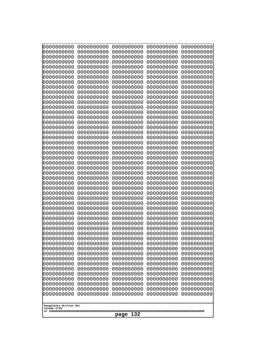| 10000000000<br>0000000000             | 0000000000<br>0000000000 | 0000000000<br>0000000000 | 0000000000<br>0000000000 | 0000000000<br>0000000000 |
|---------------------------------------|--------------------------|--------------------------|--------------------------|--------------------------|
| 0000000000                            | 0000000000               | 0000000000               | 0000000000               | 0000000000               |
| 0000000000                            | 0000000000               | 0000000000               | 0000000000               | 0000000000               |
| 0000000000<br>0000000000              | 0000000000<br>0000000000 | 0000000000<br>0000000000 | 0000000000<br>0000000000 | 0000000000<br>0000000000 |
| 0000000000                            | 0000000000               | 0000000000               | 0000000000               | 0000000000               |
| 0000000000                            | 0000000000               | 0000000000               | 0000000000               | 0000000000               |
| 0000000000<br>0000000000              | 0000000000<br>0000000000 | 0000000000<br>0000000000 | 0000000000<br>0000000000 | 0000000000<br>0000000000 |
| 0000000000                            | 0000000000               | 0000000000               | 0000000000               | 0000000000               |
| 0000000000                            | 0000000000               | 0000000000               | 0000000000               | 0000000000               |
| 0000000000                            | 0000000000               | 0000000000               | 0000000000               | 0000000000               |
| 0000000000<br>0000000000              | 0000000000<br>0000000000 | 0000000000<br>0000000000 | 0000000000<br>0000000000 | 0000000000<br>0000000000 |
| 0000000000                            | 0000000000               | 0000000000               | 0000000000               | 0000000000               |
| 0000000000                            | 0000000000               | 0000000000               | 0000000000               | 0000000000               |
| 0000000000<br>0000000000              | 0000000000<br>0000000000 | 0000000000<br>0000000000 | 0000000000<br>0000000000 | 0000000000<br>0000000000 |
| 0000000000                            | 0000000000               | 0000000000               | 0000000000               | 0000000000               |
| 0000000000                            | 0000000000               | 0000000000               | 0000000000               | 0000000000               |
| 0000000000<br>0000000000              | 0000000000<br>0000000000 | 0000000000<br>0000000000 | 0000000000<br>0000000000 | 0000000000<br>0000000000 |
| 0000000000                            | 0000000000               | 0000000000               | 0000000000               | 0000000000               |
| 0000000000                            | 0000000000               | 0000000000               | 0000000000               | 0000000000               |
| 0000000000<br>0000000000              | 0000000000<br>0000000000 | 0000000000<br>0000000000 | 0000000000<br>0000000000 | 0000000000<br>0000000000 |
| 0000000000                            | 0000000000               | 0000000000               | 0000000000               | 0000000000               |
| 0000000000                            | 0000000000               | 0000000000               | 0000000000               | 0000000000               |
| 0000000000                            | 0000000000<br>0000000000 | 0000000000<br>0000000000 | 0000000000<br>0000000000 | 0000000000               |
| 0000000000<br>0000000000              | 0000000000               | 0000000000               | 0000000000               | 0000000000<br>0000000000 |
| 0000000000                            | 0000000000               | 0000000000               | 0000000000               | 0000000000               |
| 0000000000                            | 0000000000               | 0000000000               | 0000000000               | 0000000000               |
| 0000000000<br>0000000000              | 0000000000<br>0000000000 | 0000000000<br>0000000000 | 0000000000<br>0000000000 | 0000000000<br>0000000000 |
| 0000000000                            | 0000000000               | 0000000000               | 0000000000               | 0000000000               |
| 0000000000                            | 0000000000               | 0000000000               | 0000000000               | 0000000000               |
| 0000000000<br>0000000000              | 0000000000<br>0000000000 | 0000000000<br>0000000000 | 0000000000<br>0000000000 | 0000000000<br>0000000000 |
| 0000000000                            | 0000000000               | 0000000000               | 0000000000               | 0000000000               |
| 0000000000                            | 0000000000               | 0000000000               | 0000000000               | 0000000000               |
| 0000000000<br>0000000000              | 0000000000<br>0000000000 | 0000000000<br>0000000000 | 0000000000<br>0000000000 | 0000000000<br>0000000000 |
| 0000000000                            | 0000000000               | 0000000000               | 0000000000               | 0000000000               |
| 0000000000                            | 0000000000               | 0000000000               | 0000000000               | 0000000000               |
| 0000000000<br>0000000000              | 0000000000<br>0000000000 | 0000000000<br>0000000000 | 0000000000<br>0000000000 | 0000000000<br>0000000000 |
| 0000000000                            | 0000000000               | 0000000000               | 0000000000               | 0000000000               |
| 0000000000                            | 0000000000               | 0000000000               | 0000000000               | 0000000000               |
|                                       |                          |                          |                          |                          |
| Googolplex Written Out<br>volume 1720 |                          |                          |                          |                          |
| 132<br>page                           |                          |                          |                          |                          |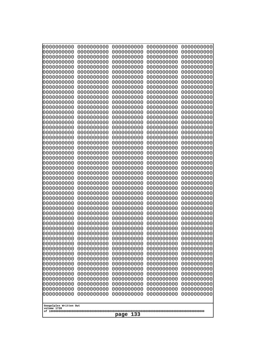| 10000000000<br>0000000000             | 0000000000<br>0000000000 | 0000000000<br>0000000000 | 0000000000<br>0000000000 | 0000000000<br>0000000000 |  |
|---------------------------------------|--------------------------|--------------------------|--------------------------|--------------------------|--|
| 0000000000                            | 0000000000               | 0000000000               | 0000000000               | 0000000000               |  |
| 0000000000                            | 0000000000               | 0000000000               | 0000000000               | 0000000000               |  |
| 0000000000<br>0000000000              | 0000000000<br>0000000000 | 0000000000<br>0000000000 | 0000000000<br>0000000000 | 0000000000<br>0000000000 |  |
| 0000000000                            | 0000000000               | 0000000000               | 0000000000               | 0000000000               |  |
| 0000000000                            | 0000000000               | 0000000000               | 0000000000               | 0000000000               |  |
| 0000000000                            | 0000000000               | 0000000000               | 0000000000               | 0000000000               |  |
| 0000000000<br>0000000000              | 0000000000<br>0000000000 | 0000000000<br>0000000000 | 0000000000<br>0000000000 | 0000000000<br>0000000000 |  |
| 0000000000                            | 0000000000               | 0000000000               | 0000000000               | 0000000000               |  |
| 0000000000                            | 0000000000               | 0000000000               | 0000000000               | 0000000000               |  |
| 0000000000<br>0000000000              | 0000000000<br>0000000000 | 0000000000<br>0000000000 | 0000000000<br>0000000000 | 0000000000<br>0000000000 |  |
| 0000000000                            | 0000000000               | 0000000000               | 0000000000               | 0000000000               |  |
| 0000000000                            | 0000000000               | 0000000000               | 0000000000               | 0000000000               |  |
| 0000000000<br>0000000000              | 0000000000<br>0000000000 | 0000000000<br>0000000000 | 0000000000<br>0000000000 | 0000000000<br>0000000000 |  |
| 0000000000                            | 0000000000               | 0000000000               | 0000000000               | 0000000000               |  |
| 0000000000                            | 0000000000               | 0000000000               | 0000000000               | 0000000000               |  |
| 0000000000                            | 0000000000               | 0000000000               | 0000000000               | 0000000000               |  |
| 0000000000<br>0000000000              | 0000000000<br>0000000000 | 0000000000<br>0000000000 | 0000000000<br>0000000000 | 0000000000<br>0000000000 |  |
| 0000000000                            | 0000000000               | 0000000000               | 0000000000               | 0000000000               |  |
| 0000000000                            | 0000000000               | 0000000000               | 0000000000               | 0000000000               |  |
| 0000000000<br>0000000000              | 0000000000<br>0000000000 | 0000000000<br>0000000000 | 0000000000<br>0000000000 | 0000000000<br>0000000000 |  |
| 0000000000                            | 0000000000               | 0000000000               | 0000000000               | 0000000000               |  |
| 0000000000                            | 0000000000               | 0000000000               | 0000000000               | 0000000000               |  |
| 0000000000<br>0000000000              | 0000000000<br>0000000000 | 0000000000<br>0000000000 | 0000000000<br>0000000000 | 0000000000<br>0000000000 |  |
| 0000000000                            | 0000000000               | 0000000000               | 0000000000               | 0000000000               |  |
| 0000000000                            | 0000000000               | 0000000000               | 0000000000               | 0000000000               |  |
| 0000000000<br>0000000000              | 0000000000<br>0000000000 | 0000000000<br>0000000000 | 0000000000<br>0000000000 | 0000000000<br>0000000000 |  |
| 0000000000                            | 0000000000               | 0000000000               | 0000000000               | 0000000000               |  |
| 0000000000                            | 0000000000               | 0000000000               | 0000000000               | 0000000000               |  |
| 0000000000<br>0000000000              | 0000000000               | 0000000000               | 0000000000               | 0000000000               |  |
| 0000000000                            | 0000000000<br>0000000000 | 0000000000<br>0000000000 | 0000000000<br>0000000000 | 0000000000<br>0000000000 |  |
| 0000000000                            | 0000000000               | 0000000000               | 0000000000               | 0000000000               |  |
| 0000000000                            | 0000000000               | 0000000000               | 0000000000               | 0000000000               |  |
| 0000000000<br>0000000000              | 0000000000<br>0000000000 | 0000000000<br>0000000000 | 0000000000<br>0000000000 | 0000000000<br>0000000000 |  |
| 0000000000                            | 0000000000               | 0000000000               | 0000000000               | 0000000000               |  |
| 0000000000                            | 0000000000               | 0000000000               | 0000000000               | 0000000000               |  |
| 0000000000<br>0000000000              | 0000000000<br>0000000000 | 0000000000<br>0000000000 | 0000000000<br>0000000000 | 0000000000<br>0000000000 |  |
| 0000000000                            | 0000000000               | 0000000000               | 0000000000               | 0000000000               |  |
|                                       |                          |                          |                          |                          |  |
| Googolplex Written Out<br>volume 1720 |                          |                          |                          |                          |  |
|                                       | 133<br>page              |                          |                          |                          |  |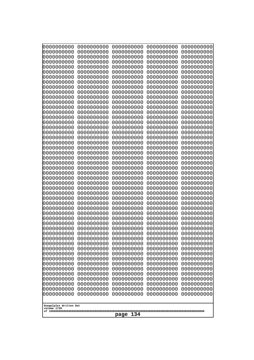| 0000000000                                                                                                                 | 0000000000 | 0000000000 | 0000000000 | 0000000000 |
|----------------------------------------------------------------------------------------------------------------------------|------------|------------|------------|------------|
| 0000000000                                                                                                                 | 0000000000 | 0000000000 | 0000000000 | 0000000000 |
| 0000000000                                                                                                                 | 0000000000 | 0000000000 | 0000000000 | 0000000000 |
| 0000000000                                                                                                                 | 0000000000 | 0000000000 | 0000000000 | 0000000000 |
| 0000000000                                                                                                                 | 0000000000 | 0000000000 | 0000000000 | 0000000000 |
| 0000000000                                                                                                                 | 0000000000 | 0000000000 | 0000000000 | 0000000000 |
| 0000000000                                                                                                                 | 0000000000 | 0000000000 | 0000000000 | 0000000000 |
| 0000000000                                                                                                                 | 0000000000 | 0000000000 | 0000000000 | 0000000000 |
| 0000000000                                                                                                                 | 0000000000 | 0000000000 | 0000000000 | 0000000000 |
| 0000000000                                                                                                                 | 0000000000 | 0000000000 | 0000000000 | 0000000000 |
| 0000000000                                                                                                                 | 0000000000 | 0000000000 | 0000000000 | 0000000000 |
| 0000000000                                                                                                                 | 0000000000 | 0000000000 | 0000000000 | 0000000000 |
| 0000000000                                                                                                                 | 0000000000 | 0000000000 | 0000000000 | 0000000000 |
| 0000000000                                                                                                                 | 0000000000 | 0000000000 | 0000000000 | 0000000000 |
| 0000000000                                                                                                                 | 0000000000 | 0000000000 | 0000000000 | 0000000000 |
| 0000000000                                                                                                                 | 0000000000 | 0000000000 | 0000000000 | 0000000000 |
| 0000000000                                                                                                                 | 0000000000 | 0000000000 | 0000000000 | 0000000000 |
| 0000000000                                                                                                                 | 0000000000 | 0000000000 | 0000000000 | 0000000000 |
| 0000000000                                                                                                                 | 0000000000 | 0000000000 | 0000000000 | 0000000000 |
| 0000000000                                                                                                                 | 0000000000 | 0000000000 | 0000000000 | 0000000000 |
| 0000000000                                                                                                                 | 0000000000 | 0000000000 | 0000000000 | 0000000000 |
| 0000000000                                                                                                                 | 0000000000 | 0000000000 | 0000000000 | 0000000000 |
| 0000000000                                                                                                                 | 0000000000 | 0000000000 | 0000000000 | 0000000000 |
| 0000000000                                                                                                                 | 0000000000 | 0000000000 | 0000000000 | 0000000000 |
| 0000000000                                                                                                                 | 0000000000 | 0000000000 | 0000000000 | 0000000000 |
| 0000000000                                                                                                                 | 0000000000 | 0000000000 | 0000000000 | 0000000000 |
| 0000000000                                                                                                                 | 0000000000 | 0000000000 | 0000000000 | 0000000000 |
| 0000000000                                                                                                                 | 0000000000 | 0000000000 | 0000000000 | 0000000000 |
| 0000000000                                                                                                                 | 0000000000 | 0000000000 | 0000000000 | 0000000000 |
| 0000000000                                                                                                                 | 0000000000 | 0000000000 | 0000000000 | 0000000000 |
| 0000000000                                                                                                                 | 0000000000 | 0000000000 | 0000000000 | 0000000000 |
| 0000000000                                                                                                                 | 0000000000 | 0000000000 | 0000000000 | 0000000000 |
| 0000000000                                                                                                                 | 0000000000 | 0000000000 | 0000000000 | 0000000000 |
| 0000000000                                                                                                                 | 0000000000 | 0000000000 | 0000000000 | 0000000000 |
| 0000000000                                                                                                                 | 0000000000 | 0000000000 | 0000000000 | 0000000000 |
| 0000000000                                                                                                                 | 0000000000 | 0000000000 | 0000000000 | 0000000000 |
| 0000000000                                                                                                                 | 0000000000 | 0000000000 | 0000000000 | 0000000000 |
| 0000000000                                                                                                                 | 0000000000 | 0000000000 | 0000000000 | 0000000000 |
| 0000000000                                                                                                                 | 0000000000 | 0000000000 | 0000000000 | 0000000000 |
| 0000000000                                                                                                                 | 0000000000 | 0000000000 | 0000000000 | 0000000000 |
| 0000000000                                                                                                                 | 0000000000 | 0000000000 | 0000000000 | 0000000000 |
| 0000000000                                                                                                                 | 0000000000 | 0000000000 | 0000000000 | 0000000000 |
| 0000000000                                                                                                                 | 0000000000 | 0000000000 | 0000000000 | 0000000000 |
| 0000000000                                                                                                                 | 0000000000 | 0000000000 | 0000000000 | 0000000000 |
| 0000000000                                                                                                                 | 0000000000 | 0000000000 | 0000000000 | 0000000000 |
| 0000000000                                                                                                                 | 0000000000 | 0000000000 | 0000000000 | 0000000000 |
| 0000000000                                                                                                                 | 0000000000 | 0000000000 | 0000000000 | 0000000000 |
| 0000000000                                                                                                                 | 0000000000 | 0000000000 | 0000000000 | 0000000000 |
| 0000000000                                                                                                                 | 0000000000 | 0000000000 | 0000000000 | 0000000000 |
| 0000000000<br>0000000000<br>0000000000<br>0000000000<br>0000000000<br>Googolplex Written Out<br>volume 1720<br>134<br>page |            |            |            |            |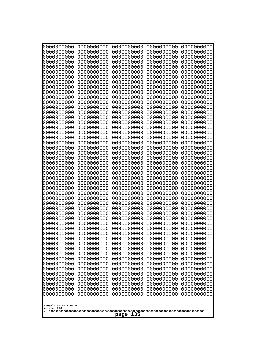| 10000000000<br>0000000000 | 0000000000<br>0000000000 | 0000000000<br>0000000000 | 0000000000<br>0000000000 | 0000000000<br>0000000000 |
|---------------------------|--------------------------|--------------------------|--------------------------|--------------------------|
| 0000000000                | 0000000000               | 0000000000               | 0000000000               | 0000000000               |
| 0000000000                | 0000000000<br>0000000000 | 0000000000<br>0000000000 | 0000000000               | 0000000000<br>0000000000 |
| 0000000000<br>0000000000  | 0000000000               | 0000000000               | 0000000000<br>0000000000 | 0000000000               |
| 0000000000                | 0000000000               | 0000000000               | 0000000000               | 0000000000               |
| 0000000000                | 0000000000               | 0000000000               | 0000000000               | 0000000000               |
| 0000000000<br>0000000000  | 0000000000<br>0000000000 | 0000000000<br>0000000000 | 0000000000<br>0000000000 | 0000000000<br>0000000000 |
| 0000000000                | 0000000000               | 0000000000               | 0000000000               | 0000000000               |
| 0000000000                | 0000000000               | 0000000000               | 0000000000               | 0000000000               |
| 0000000000<br>0000000000  | 0000000000<br>0000000000 | 0000000000<br>0000000000 | 0000000000<br>0000000000 | 0000000000<br>0000000000 |
| 0000000000                | 0000000000               | 0000000000               | 0000000000               | 0000000000               |
| 0000000000                | 0000000000               | 0000000000               | 0000000000               | 0000000000               |
| 0000000000<br>0000000000  | 0000000000<br>0000000000 | 0000000000<br>0000000000 | 0000000000<br>0000000000 | 0000000000<br>0000000000 |
| 0000000000                | 0000000000               | 0000000000               | 0000000000               | 0000000000               |
| 0000000000                | 0000000000               | 0000000000               | 0000000000               | 0000000000               |
| 0000000000<br>0000000000  | 0000000000<br>0000000000 | 0000000000<br>0000000000 | 0000000000<br>0000000000 | 0000000000<br>0000000000 |
| 0000000000                | 0000000000               | 0000000000               | 0000000000               | 0000000000               |
| 0000000000                | 0000000000               | 0000000000               | 0000000000               | 0000000000               |
| 0000000000                | 0000000000               | 0000000000               | 0000000000               | 0000000000               |
| 0000000000<br>0000000000  | 0000000000<br>0000000000 | 0000000000<br>0000000000 | 0000000000<br>0000000000 | 0000000000<br>0000000000 |
| 0000000000                | 0000000000               | 0000000000               | 0000000000               | 0000000000               |
| 0000000000                | 0000000000               | 0000000000               | 0000000000               | 0000000000               |
| 0000000000<br>0000000000  | 0000000000<br>0000000000 | 0000000000<br>0000000000 | 0000000000<br>0000000000 | 0000000000<br>0000000000 |
| 0000000000                | 0000000000               | 0000000000               | 0000000000               | 0000000000               |
| 0000000000                | 0000000000               | 0000000000               | 0000000000               | 0000000000               |
| 0000000000<br>0000000000  | 0000000000<br>0000000000 | 0000000000<br>0000000000 | 0000000000<br>0000000000 | 0000000000<br>0000000000 |
| 0000000000                | 0000000000               | 0000000000               | 0000000000               | 0000000000               |
| 0000000000                | 0000000000               | 0000000000               | 0000000000               | 0000000000               |
| 0000000000<br>0000000000  | 0000000000<br>0000000000 | 0000000000<br>0000000000 | 0000000000<br>0000000000 | 0000000000<br>0000000000 |
| 0000000000                | 0000000000               | 0000000000               | 0000000000               | 0000000000               |
| 0000000000                | 0000000000               | 0000000000               | 0000000000               | 0000000000               |
| 0000000000<br>0000000000  | 0000000000<br>0000000000 | 0000000000<br>0000000000 | 0000000000<br>0000000000 | 0000000000<br>0000000000 |
| 0000000000                | 0000000000               | 0000000000               | 0000000000               | 0000000000               |
| 0000000000                | 0000000000               | 0000000000               | 0000000000               | 0000000000               |
| 0000000000<br>0000000000  | 0000000000<br>0000000000 | 0000000000<br>0000000000 | 0000000000<br>0000000000 | 0000000000<br>0000000000 |
| 0000000000                | 0000000000               | 0000000000               | 0000000000               | 0000000000               |
| 0000000000                | 0000000000               | 0000000000               | 0000000000               | 0000000000               |
| 0000000000                | 0000000000               | 0000000000               | 0000000000               | 0000000000               |
| Googolplex Written Out    |                          |                          |                          |                          |
| volume 1720               |                          | 135                      |                          |                          |
| page                      |                          |                          |                          |                          |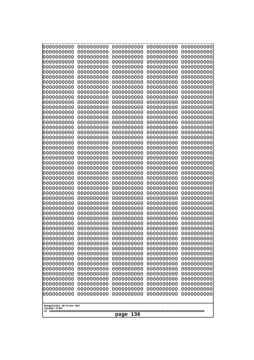| 000000000                             | 0000000000               | 0000000000               | 0000000000               | 0000000000               |
|---------------------------------------|--------------------------|--------------------------|--------------------------|--------------------------|
| 0000000000                            | 0000000000               | 0000000000               | 0000000000               | 0000000000               |
| 0000000000                            | 0000000000               | 0000000000               | 0000000000               | 0000000000               |
| 0000000000                            | 0000000000               | 0000000000               | 0000000000               | 0000000000               |
| 0000000000                            | 0000000000               | 0000000000               | 0000000000               | 0000000000               |
| 0000000000                            | 0000000000               | 0000000000               | 0000000000               | 0000000000               |
| 0000000000                            | 0000000000               | 0000000000               | 0000000000               | 0000000000               |
| 0000000000<br>0000000000              | 0000000000<br>0000000000 | 0000000000<br>0000000000 | 0000000000<br>0000000000 | 0000000000<br>0000000000 |
| 0000000000                            | 0000000000               | 0000000000               | 0000000000               | 0000000000               |
| 0000000000                            | 0000000000               | 0000000000               | 0000000000               | 0000000000               |
| 0000000000                            | 0000000000               | 0000000000               | 0000000000               | 0000000000               |
| 0000000000                            | 0000000000               | 0000000000               | 0000000000               | 0000000000               |
| 0000000000                            | 0000000000               | 0000000000               | 0000000000               | 0000000000               |
| 0000000000                            | 0000000000               | 0000000000               | 0000000000               | 0000000000               |
| 0000000000                            | 0000000000               | 0000000000               | 0000000000               | 0000000000               |
| 0000000000<br>0000000000              | 0000000000<br>0000000000 | 0000000000<br>0000000000 | 0000000000<br>0000000000 | 0000000000<br>0000000000 |
| 0000000000                            | 0000000000               | 0000000000               | 0000000000               | 0000000000               |
| 0000000000                            | 0000000000               | 0000000000               | 0000000000               | 0000000000               |
| 0000000000                            | 0000000000               | 0000000000               | 0000000000               | 0000000000               |
| 0000000000                            | 0000000000               | 0000000000               | 0000000000               | 0000000000               |
| 0000000000                            | 0000000000               | 0000000000               | 0000000000               | 0000000000               |
| 0000000000                            | 0000000000               | 0000000000               | 0000000000               | 0000000000               |
| 0000000000                            | 0000000000               | 0000000000               | 0000000000               | 0000000000               |
| 0000000000<br>0000000000              | 0000000000<br>0000000000 | 0000000000<br>0000000000 | 0000000000<br>0000000000 | 0000000000<br>0000000000 |
| 0000000000                            | 0000000000               | 0000000000               | 0000000000               | 0000000000               |
| 0000000000                            | 0000000000               | 0000000000               | 0000000000               | 0000000000               |
| 0000000000                            | 0000000000               | 0000000000               | 0000000000               | 0000000000               |
| 0000000000                            | 0000000000               | 0000000000               | 0000000000               | 0000000000               |
| 0000000000                            | 0000000000               | 0000000000               | 0000000000               | 0000000000               |
| 0000000000                            | 0000000000               | 0000000000               | 0000000000               | 0000000000               |
| 0000000000                            | 0000000000<br>0000000000 | 0000000000<br>0000000000 | 0000000000               | 0000000000               |
| 0000000000<br>0000000000              | 0000000000               | 0000000000               | 0000000000<br>0000000000 | 0000000000<br>0000000000 |
| 0000000000                            | 0000000000               | 0000000000               | 0000000000               | 0000000000               |
| 0000000000                            | 0000000000               | 0000000000               | 0000000000               | 0000000000               |
| 0000000000                            | 0000000000               | 0000000000               | 0000000000               | 0000000000               |
| 0000000000                            | 0000000000               | 0000000000               | 0000000000               | 0000000000               |
| 0000000000                            | 0000000000               | 0000000000               | 0000000000               | 0000000000               |
| 0000000000                            | 0000000000               | 0000000000               | 0000000000               | 0000000000               |
| 0000000000<br>0000000000              | 0000000000<br>0000000000 | 0000000000<br>0000000000 | 0000000000<br>0000000000 | 0000000000<br>0000000000 |
| 0000000000                            | 0000000000               | 0000000000               | 0000000000               | 0000000000               |
| 0000000000                            | 0000000000               | 0000000000               | 0000000000               | 0000000000               |
| 0000000000                            | 0000000000               | 0000000000               | 0000000000               | 0000000000               |
| 0000000000                            | 0000000000               | 0000000000               | 0000000000               | 0000000000               |
| 0000000000                            | 0000000000               | 0000000000               | 0000000000               | 0000000000               |
| 0000000000                            | 0000000000               | 0000000000               | 0000000000               | 0000000000               |
|                                       |                          |                          |                          |                          |
| Googolplex Written Out<br>volume 1720 |                          |                          |                          |                          |
|                                       |                          | 136<br>page              |                          |                          |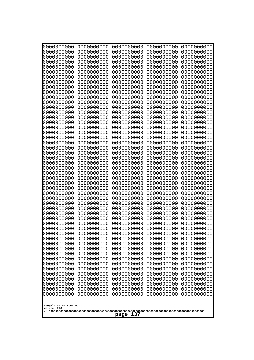| 10000000000<br>0000000000             | 0000000000<br>0000000000 | 0000000000<br>0000000000 | 0000000000<br>0000000000 | 0000000000<br>0000000000 |  |
|---------------------------------------|--------------------------|--------------------------|--------------------------|--------------------------|--|
| 0000000000                            | 0000000000               | 0000000000               | 0000000000               | 0000000000               |  |
| 0000000000                            | 0000000000               | 0000000000               | 0000000000               | 0000000000               |  |
| 0000000000<br>0000000000              | 0000000000<br>0000000000 | 0000000000<br>0000000000 | 0000000000<br>0000000000 | 0000000000<br>0000000000 |  |
| 0000000000                            | 0000000000               | 0000000000               | 0000000000               | 0000000000               |  |
| 0000000000                            | 0000000000               | 0000000000               | 0000000000               | 0000000000               |  |
| 0000000000                            | 0000000000               | 0000000000               | 0000000000               | 0000000000               |  |
| 0000000000<br>0000000000              | 0000000000<br>0000000000 | 0000000000<br>0000000000 | 0000000000<br>0000000000 | 0000000000<br>0000000000 |  |
| 0000000000                            | 0000000000               | 0000000000               | 0000000000               | 0000000000               |  |
| 0000000000                            | 0000000000               | 0000000000               | 0000000000               | 0000000000               |  |
| 0000000000<br>0000000000              | 0000000000<br>0000000000 | 0000000000<br>0000000000 | 0000000000<br>0000000000 | 0000000000<br>0000000000 |  |
| 0000000000                            | 0000000000               | 0000000000               | 0000000000               | 0000000000               |  |
| 0000000000                            | 0000000000               | 0000000000               | 0000000000               | 0000000000               |  |
| 0000000000<br>0000000000              | 0000000000<br>0000000000 | 0000000000<br>0000000000 | 0000000000<br>0000000000 | 0000000000<br>0000000000 |  |
| 0000000000                            | 0000000000               | 0000000000               | 0000000000               | 0000000000               |  |
| 0000000000                            | 0000000000               | 0000000000               | 0000000000               | 0000000000               |  |
| 0000000000                            | 0000000000               | 0000000000               | 0000000000               | 0000000000               |  |
| 0000000000<br>0000000000              | 0000000000<br>0000000000 | 0000000000<br>0000000000 | 0000000000<br>0000000000 | 0000000000<br>0000000000 |  |
| 0000000000                            | 0000000000               | 0000000000               | 0000000000               | 0000000000               |  |
| 0000000000                            | 0000000000               | 0000000000               | 0000000000               | 0000000000               |  |
| 0000000000<br>0000000000              | 0000000000<br>0000000000 | 0000000000<br>0000000000 | 0000000000<br>0000000000 | 0000000000<br>0000000000 |  |
| 0000000000                            | 0000000000               | 0000000000               | 0000000000               | 0000000000               |  |
| 0000000000                            | 0000000000               | 0000000000               | 0000000000               | 0000000000               |  |
| 0000000000<br>0000000000              | 0000000000<br>0000000000 | 0000000000<br>0000000000 | 0000000000<br>0000000000 | 0000000000<br>0000000000 |  |
| 0000000000                            | 0000000000               | 0000000000               | 0000000000               | 0000000000               |  |
| 0000000000                            | 0000000000               | 0000000000               | 0000000000               | 0000000000               |  |
| 0000000000<br>0000000000              | 0000000000<br>0000000000 | 0000000000               | 0000000000               | 0000000000               |  |
| 0000000000                            | 0000000000               | 0000000000<br>0000000000 | 0000000000<br>0000000000 | 0000000000<br>0000000000 |  |
| 0000000000                            | 0000000000               | 0000000000               | 0000000000               | 0000000000               |  |
| 0000000000                            | 0000000000               | 0000000000               | 0000000000               | 0000000000               |  |
| 0000000000<br>0000000000              | 0000000000<br>0000000000 | 0000000000<br>0000000000 | 0000000000<br>0000000000 | 0000000000<br>0000000000 |  |
| 0000000000                            | 0000000000               | 0000000000               | 0000000000               | 0000000000               |  |
| 0000000000                            | 0000000000               | 0000000000               | 0000000000               | 0000000000               |  |
| 0000000000<br>0000000000              | 0000000000<br>0000000000 | 0000000000<br>0000000000 | 0000000000<br>0000000000 | 0000000000<br>0000000000 |  |
| 0000000000                            | 0000000000               | 0000000000               | 0000000000               | 0000000000               |  |
| 0000000000                            | 0000000000               | 0000000000               | 0000000000               | 0000000000               |  |
| 0000000000<br>0000000000              | 0000000000<br>0000000000 | 0000000000<br>0000000000 | 0000000000<br>0000000000 | 0000000000<br>0000000000 |  |
| 0000000000                            | 0000000000               | 0000000000               | 0000000000               | 0000000000               |  |
|                                       |                          |                          |                          |                          |  |
| Googolplex Written Out<br>volume 1720 |                          |                          |                          |                          |  |
|                                       | 137<br>page              |                          |                          |                          |  |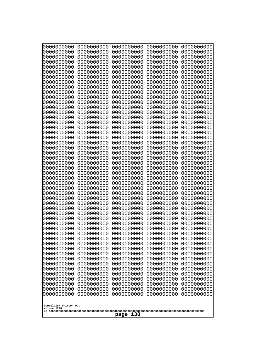| 0000000000                            | 0000000000               | 0000000000               | 0000000000               | 0000000000               |
|---------------------------------------|--------------------------|--------------------------|--------------------------|--------------------------|
| 0000000000<br>0000000000              | 0000000000<br>0000000000 | 0000000000<br>0000000000 | 0000000000<br>0000000000 | 0000000000<br>0000000000 |
| 0000000000                            | 0000000000               | 0000000000               | 0000000000               | 0000000000               |
| 0000000000                            | 0000000000               | 0000000000               | 0000000000               | 0000000000               |
| 0000000000                            | 0000000000               | 0000000000               | 0000000000               | 0000000000               |
| 0000000000                            | 0000000000               | 0000000000               | 0000000000               | 0000000000               |
| 0000000000<br>0000000000              | 0000000000<br>0000000000 | 0000000000<br>0000000000 | 0000000000<br>0000000000 | 0000000000<br>0000000000 |
| 0000000000                            | 0000000000               | 0000000000               | 0000000000               | 0000000000               |
| 0000000000                            | 0000000000               | 0000000000               | 0000000000               | 0000000000               |
| 0000000000                            | 0000000000               | 0000000000               | 0000000000               | 0000000000               |
| 0000000000<br>0000000000              | 0000000000<br>0000000000 | 0000000000<br>0000000000 | 0000000000<br>0000000000 | 0000000000<br>0000000000 |
| 0000000000                            | 0000000000               | 0000000000               | 0000000000               | 0000000000               |
| 0000000000                            | 0000000000               | 0000000000               | 0000000000               | 0000000000               |
| 0000000000                            | 0000000000<br>0000000000 | 0000000000               | 0000000000               | 0000000000               |
| 0000000000<br>0000000000              | 0000000000               | 0000000000<br>0000000000 | 0000000000<br>0000000000 | 0000000000<br>0000000000 |
| 0000000000                            | 0000000000               | 0000000000               | 0000000000               | 0000000000               |
| 0000000000                            | 0000000000               | 0000000000               | 0000000000               | 0000000000               |
| 0000000000<br>0000000000              | 0000000000<br>0000000000 | 0000000000<br>0000000000 | 0000000000<br>0000000000 | 0000000000<br>0000000000 |
| 0000000000                            | 0000000000               | 0000000000               | 0000000000               | 0000000000               |
| 0000000000                            | 0000000000               | 0000000000               | 0000000000               | 0000000000               |
| 0000000000                            | 0000000000               | 0000000000               | 0000000000               | 0000000000               |
| 0000000000<br>0000000000              | 0000000000<br>0000000000 | 0000000000<br>0000000000 | 0000000000<br>0000000000 | 0000000000<br>0000000000 |
| 0000000000                            | 0000000000               | 0000000000               | 0000000000               | 0000000000               |
| 0000000000                            | 0000000000               | 0000000000               | 0000000000               | 0000000000               |
| 0000000000                            | 0000000000               | 0000000000               | 0000000000               | 0000000000               |
| 0000000000<br>0000000000              | 0000000000<br>0000000000 | 0000000000<br>0000000000 | 0000000000<br>0000000000 | 0000000000<br>0000000000 |
| 0000000000                            | 0000000000               | 0000000000               | 0000000000               | 0000000000               |
| 0000000000                            | 0000000000               | 0000000000               | 0000000000               | 0000000000               |
| 0000000000                            | 0000000000               | 0000000000               | 0000000000<br>0000000000 | 0000000000               |
| 0000000000<br>0000000000              | 0000000000<br>0000000000 | 0000000000<br>0000000000 | 0000000000               | 0000000000<br>0000000000 |
| 0000000000                            | 0000000000               | 0000000000               | 0000000000               | 0000000000               |
| 0000000000                            | 0000000000               | 0000000000               | 0000000000               | 0000000000               |
| 0000000000<br>0000000000              | 0000000000<br>0000000000 | 0000000000<br>0000000000 | 0000000000<br>0000000000 | 0000000000<br>0000000000 |
| 0000000000                            | 0000000000               | 0000000000               | 0000000000               | 0000000000               |
| 0000000000                            | 0000000000               | 0000000000               | 0000000000               | 0000000000               |
| 0000000000                            | 0000000000               | 0000000000               | 0000000000               | 0000000000               |
| 0000000000<br>0000000000              | 0000000000<br>0000000000 | 0000000000<br>0000000000 | 0000000000<br>0000000000 | 0000000000<br>0000000000 |
| 0000000000                            | 0000000000               | 0000000000               | 0000000000               | 0000000000               |
| 0000000000                            | 0000000000               | 0000000000               | 0000000000               | 0000000000               |
| 0000000000                            | 0000000000               | 0000000000               | 0000000000               | 0000000000               |
|                                       |                          |                          |                          |                          |
| Googolplex Written Out<br>volume 1720 |                          |                          |                          |                          |
| 138<br>page                           |                          |                          |                          |                          |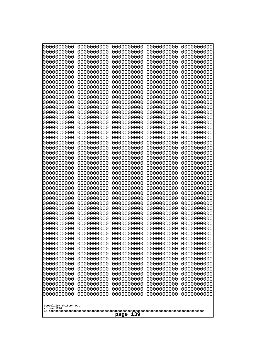| 0000000000                                                                                                                              | 0000000000                                                                                     | 0000000000                                                                                                    | 0000000000                                                                                     | 0000000000                                                                                     |
|-----------------------------------------------------------------------------------------------------------------------------------------|------------------------------------------------------------------------------------------------|---------------------------------------------------------------------------------------------------------------|------------------------------------------------------------------------------------------------|------------------------------------------------------------------------------------------------|
| 0000000000                                                                                                                              | 0000000000                                                                                     | 0000000000                                                                                                    | 0000000000                                                                                     | 0000000000                                                                                     |
| 0000000000                                                                                                                              | 0000000000                                                                                     | 0000000000                                                                                                    | 0000000000                                                                                     | 0000000000                                                                                     |
| 0000000000                                                                                                                              | 0000000000                                                                                     | 0000000000                                                                                                    | 0000000000                                                                                     | 0000000000                                                                                     |
| 0000000000                                                                                                                              | 0000000000                                                                                     | 0000000000                                                                                                    | 0000000000                                                                                     | 0000000000                                                                                     |
| 0000000000                                                                                                                              | 0000000000                                                                                     | 0000000000                                                                                                    | 0000000000                                                                                     | 0000000000                                                                                     |
| 0000000000                                                                                                                              | 0000000000                                                                                     | 0000000000                                                                                                    | 0000000000                                                                                     | 0000000000                                                                                     |
| 0000000000                                                                                                                              | 0000000000                                                                                     | 0000000000                                                                                                    | 0000000000                                                                                     | 0000000000                                                                                     |
| 0000000000                                                                                                                              | 0000000000                                                                                     | 0000000000                                                                                                    | 0000000000                                                                                     | 0000000000                                                                                     |
| 0000000000                                                                                                                              | 0000000000                                                                                     | 0000000000                                                                                                    | 0000000000                                                                                     | 0000000000                                                                                     |
| 0000000000                                                                                                                              | 0000000000                                                                                     | 0000000000                                                                                                    | 0000000000                                                                                     | 0000000000                                                                                     |
| 0000000000                                                                                                                              | 0000000000                                                                                     | 0000000000                                                                                                    | 0000000000                                                                                     | 0000000000                                                                                     |
| 0000000000                                                                                                                              | 0000000000                                                                                     | 0000000000                                                                                                    | 0000000000                                                                                     | 0000000000                                                                                     |
| 0000000000                                                                                                                              | 0000000000                                                                                     | 0000000000                                                                                                    | 0000000000                                                                                     | 0000000000                                                                                     |
| 0000000000                                                                                                                              | 0000000000                                                                                     | 0000000000                                                                                                    | 0000000000                                                                                     | 0000000000                                                                                     |
| 0000000000                                                                                                                              | 0000000000                                                                                     | 0000000000                                                                                                    | 0000000000                                                                                     | 0000000000                                                                                     |
| 0000000000                                                                                                                              | 0000000000                                                                                     | 0000000000                                                                                                    | 0000000000                                                                                     | 0000000000                                                                                     |
| 0000000000                                                                                                                              | 0000000000                                                                                     | 0000000000                                                                                                    | 0000000000                                                                                     | 0000000000                                                                                     |
| 0000000000                                                                                                                              | 0000000000                                                                                     | 0000000000                                                                                                    | 0000000000                                                                                     | 0000000000                                                                                     |
| 0000000000                                                                                                                              | 0000000000                                                                                     | 0000000000                                                                                                    | 0000000000                                                                                     | 0000000000                                                                                     |
| 0000000000                                                                                                                              | 0000000000                                                                                     | 0000000000                                                                                                    | 0000000000                                                                                     | 0000000000                                                                                     |
| 0000000000                                                                                                                              | 0000000000                                                                                     | 0000000000                                                                                                    | 0000000000                                                                                     | 0000000000                                                                                     |
| 0000000000                                                                                                                              | 0000000000                                                                                     | 0000000000                                                                                                    | 0000000000                                                                                     | 0000000000                                                                                     |
| 0000000000                                                                                                                              | 0000000000                                                                                     | 0000000000                                                                                                    | 0000000000                                                                                     | 0000000000                                                                                     |
| 0000000000                                                                                                                              | 0000000000                                                                                     | 0000000000                                                                                                    | 0000000000                                                                                     | 0000000000                                                                                     |
| 0000000000                                                                                                                              | 0000000000                                                                                     | 0000000000                                                                                                    | 0000000000                                                                                     | 0000000000                                                                                     |
| 0000000000                                                                                                                              | 0000000000                                                                                     | 0000000000                                                                                                    | 0000000000                                                                                     | 0000000000                                                                                     |
| 0000000000                                                                                                                              | 0000000000                                                                                     | 0000000000                                                                                                    | 0000000000                                                                                     | 0000000000                                                                                     |
| 0000000000                                                                                                                              | 0000000000                                                                                     | 0000000000                                                                                                    | 0000000000                                                                                     | 0000000000                                                                                     |
| 0000000000                                                                                                                              | 0000000000                                                                                     | 0000000000                                                                                                    | 0000000000                                                                                     | 0000000000                                                                                     |
| 0000000000                                                                                                                              | 0000000000                                                                                     | 0000000000                                                                                                    | 0000000000                                                                                     | 0000000000                                                                                     |
| 0000000000                                                                                                                              | 0000000000                                                                                     | 0000000000                                                                                                    | 0000000000                                                                                     | 0000000000                                                                                     |
| 0000000000                                                                                                                              | 0000000000                                                                                     | 0000000000                                                                                                    | 0000000000                                                                                     | 0000000000                                                                                     |
| 0000000000                                                                                                                              | 0000000000                                                                                     | 0000000000                                                                                                    | 0000000000                                                                                     | 0000000000                                                                                     |
| 0000000000                                                                                                                              | 0000000000                                                                                     | 0000000000                                                                                                    | 0000000000                                                                                     | 0000000000                                                                                     |
| 0000000000                                                                                                                              | 0000000000                                                                                     | 0000000000                                                                                                    | 0000000000                                                                                     | 0000000000                                                                                     |
| 0000000000                                                                                                                              | 0000000000                                                                                     | 0000000000                                                                                                    | 0000000000                                                                                     | 0000000000                                                                                     |
| 0000000000                                                                                                                              | 0000000000                                                                                     | 0000000000                                                                                                    | 0000000000                                                                                     | 0000000000                                                                                     |
| 0000000000                                                                                                                              | 0000000000                                                                                     | 0000000000                                                                                                    | 0000000000                                                                                     | 0000000000                                                                                     |
| 0000000000                                                                                                                              | 0000000000                                                                                     | 0000000000                                                                                                    | 0000000000                                                                                     | 0000000000                                                                                     |
| 0000000000                                                                                                                              | 0000000000                                                                                     | 0000000000                                                                                                    | 0000000000                                                                                     | 0000000000                                                                                     |
| 0000000000                                                                                                                              | 0000000000                                                                                     | 0000000000                                                                                                    | 0000000000                                                                                     | 0000000000                                                                                     |
| 0000000000                                                                                                                              | 0000000000                                                                                     | 0000000000                                                                                                    | 0000000000                                                                                     | 0000000000                                                                                     |
| 0000000000<br>0000000000<br>0000000000<br>0000000000<br>0000000000<br>0000000000<br>0000000000<br>Googolplex Written Out<br>volume 1720 | 0000000000<br>0000000000<br>0000000000<br>0000000000<br>0000000000<br>0000000000<br>0000000000 | 0000000000<br>0000000000<br>0000000000<br>0000000000<br>0000000000<br>0000000000<br>0000000000<br>139<br>page | 0000000000<br>0000000000<br>0000000000<br>0000000000<br>0000000000<br>0000000000<br>0000000000 | 0000000000<br>0000000000<br>0000000000<br>0000000000<br>0000000000<br>0000000000<br>0000000000 |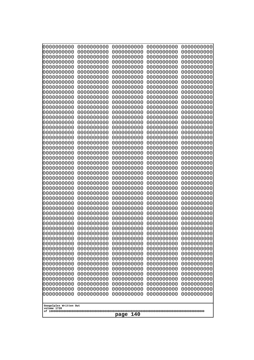| 10000000000<br>0000000000             | 0000000000<br>0000000000 | 0000000000<br>0000000000 | 0000000000<br>0000000000 | 0000000000<br>0000000000 |  |
|---------------------------------------|--------------------------|--------------------------|--------------------------|--------------------------|--|
| 0000000000                            | 0000000000               | 0000000000               | 0000000000               | 0000000000               |  |
| 0000000000                            | 0000000000               | 0000000000               | 0000000000               | 0000000000               |  |
| 0000000000<br>0000000000              | 0000000000<br>0000000000 | 0000000000               | 0000000000<br>0000000000 | 0000000000               |  |
| 0000000000                            | 0000000000               | 0000000000<br>0000000000 | 0000000000               | 0000000000<br>0000000000 |  |
| 0000000000                            | 0000000000               | 0000000000               | 0000000000               | 0000000000               |  |
| 0000000000                            | 0000000000               | 0000000000               | 0000000000               | 0000000000               |  |
| 0000000000<br>0000000000              | 0000000000<br>0000000000 | 0000000000<br>0000000000 | 0000000000<br>0000000000 | 0000000000<br>0000000000 |  |
| 0000000000                            | 0000000000               | 0000000000               | 0000000000               | 0000000000               |  |
| 0000000000                            | 0000000000               | 0000000000               | 0000000000               | 0000000000               |  |
| 0000000000<br>0000000000              | 0000000000<br>0000000000 | 0000000000<br>0000000000 | 0000000000<br>0000000000 | 0000000000<br>0000000000 |  |
| 0000000000                            | 0000000000               | 0000000000               | 0000000000               | 0000000000               |  |
| 0000000000                            | 0000000000               | 0000000000               | 0000000000               | 0000000000               |  |
| 0000000000<br>0000000000              | 0000000000<br>0000000000 | 0000000000<br>0000000000 | 0000000000<br>0000000000 | 0000000000<br>0000000000 |  |
| 0000000000                            | 0000000000               | 0000000000               | 0000000000               | 0000000000               |  |
| 0000000000                            | 0000000000               | 0000000000               | 0000000000               | 0000000000               |  |
| 0000000000                            | 0000000000               | 0000000000               | 0000000000               | 0000000000               |  |
| 0000000000<br>0000000000              | 0000000000<br>0000000000 | 0000000000<br>0000000000 | 0000000000<br>0000000000 | 0000000000<br>0000000000 |  |
| 0000000000                            | 0000000000               | 0000000000               | 0000000000               | 0000000000               |  |
| 0000000000                            | 0000000000               | 0000000000               | 0000000000               | 0000000000               |  |
| 0000000000<br>0000000000              | 0000000000<br>0000000000 | 0000000000<br>0000000000 | 0000000000<br>0000000000 | 0000000000<br>0000000000 |  |
| 0000000000                            | 0000000000               | 0000000000               | 0000000000               | 0000000000               |  |
| 0000000000                            | 0000000000               | 0000000000               | 0000000000               | 0000000000               |  |
| 0000000000<br>0000000000              | 0000000000<br>0000000000 | 0000000000<br>0000000000 | 0000000000<br>0000000000 | 0000000000<br>0000000000 |  |
| 0000000000                            | 0000000000               | 0000000000               | 0000000000               | 0000000000               |  |
| 0000000000                            | 0000000000               | 0000000000               | 0000000000               | 0000000000               |  |
| 0000000000<br>0000000000              | 0000000000<br>0000000000 | 0000000000               | 0000000000               | 0000000000               |  |
| 0000000000                            | 0000000000               | 0000000000<br>0000000000 | 0000000000<br>0000000000 | 0000000000<br>0000000000 |  |
| 0000000000                            | 0000000000               | 0000000000               | 0000000000               | 0000000000               |  |
| 0000000000                            | 0000000000               | 0000000000               | 0000000000               | 0000000000               |  |
| 0000000000<br>0000000000              | 0000000000<br>0000000000 | 0000000000<br>0000000000 | 0000000000<br>0000000000 | 0000000000<br>0000000000 |  |
| 0000000000                            | 0000000000               | 0000000000               | 0000000000               | 0000000000               |  |
| 0000000000                            | 0000000000               | 0000000000               | 0000000000               | 0000000000               |  |
| 0000000000<br>0000000000              | 0000000000<br>0000000000 | 0000000000<br>0000000000 | 0000000000<br>0000000000 | 0000000000<br>0000000000 |  |
| 0000000000                            | 0000000000               | 0000000000               | 0000000000               | 0000000000               |  |
| 0000000000                            | 0000000000               | 0000000000               | 0000000000               | 0000000000               |  |
| 0000000000<br>0000000000              | 0000000000<br>0000000000 | 0000000000<br>0000000000 | 0000000000<br>0000000000 | 0000000000<br>0000000000 |  |
| 0000000000                            | 0000000000               | 0000000000               | 0000000000               | 0000000000               |  |
|                                       |                          |                          |                          |                          |  |
| Googolplex Written Out<br>volume 1720 |                          |                          |                          |                          |  |
|                                       | 140<br>page              |                          |                          |                          |  |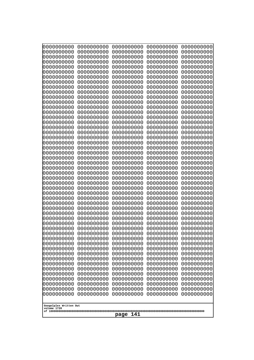| 10000000000              | 0000000000               | 0000000000               | 0000000000               | 0000000000               |
|--------------------------|--------------------------|--------------------------|--------------------------|--------------------------|
| 0000000000<br>0000000000 | 0000000000<br>0000000000 | 0000000000<br>0000000000 | 0000000000<br>0000000000 | 0000000000<br>0000000000 |
| 0000000000               | 0000000000               | 0000000000               | 0000000000               | 0000000000               |
| 0000000000               | 0000000000               | 0000000000               | 0000000000               | 0000000000               |
| 0000000000               | 0000000000               | 0000000000               | 0000000000               | 0000000000               |
| 0000000000<br>0000000000 | 0000000000<br>0000000000 | 0000000000<br>0000000000 | 0000000000<br>0000000000 | 0000000000<br>0000000000 |
| 0000000000               | 0000000000               | 0000000000               | 0000000000               | 0000000000               |
| 0000000000               | 0000000000               | 0000000000               | 0000000000               | 0000000000               |
| 0000000000               | 0000000000               | 0000000000               | 0000000000               | 0000000000               |
| 0000000000<br>0000000000 | 0000000000<br>0000000000 | 0000000000<br>0000000000 | 0000000000<br>0000000000 | 0000000000<br>0000000000 |
| 0000000000               | 0000000000               | 0000000000               | 0000000000               | 0000000000               |
| 0000000000               | 0000000000               | 0000000000               | 0000000000               | 0000000000               |
| 0000000000               | 0000000000               | 0000000000               | 0000000000               | 0000000000               |
| 0000000000<br>0000000000 | 0000000000<br>0000000000 | 0000000000<br>0000000000 | 0000000000<br>0000000000 | 0000000000<br>0000000000 |
| 0000000000               | 0000000000               | 0000000000               | 0000000000               | 0000000000               |
| 0000000000               | 0000000000               | 0000000000               | 0000000000               | 0000000000               |
| 0000000000               | 0000000000<br>0000000000 | 0000000000               | 0000000000               | 0000000000               |
| 0000000000<br>0000000000 | 0000000000               | 0000000000<br>0000000000 | 0000000000<br>0000000000 | 0000000000<br>0000000000 |
| 0000000000               | 0000000000               | 0000000000               | 0000000000               | 0000000000               |
| 0000000000               | 0000000000               | 0000000000               | 0000000000               | 0000000000               |
| 0000000000<br>0000000000 | 0000000000<br>0000000000 | 0000000000<br>0000000000 | 0000000000<br>0000000000 | 0000000000<br>0000000000 |
| 0000000000               | 0000000000               | 0000000000               | 0000000000               | 0000000000               |
| 0000000000               | 0000000000               | 0000000000               | 0000000000               | 0000000000               |
| 0000000000               | 0000000000               | 0000000000               | 0000000000               | 0000000000               |
| 0000000000<br>0000000000 | 0000000000<br>0000000000 | 0000000000<br>0000000000 | 0000000000<br>0000000000 | 0000000000<br>0000000000 |
| 0000000000               | 0000000000               | 0000000000               | 0000000000               | 0000000000               |
| 0000000000               | 0000000000               | 0000000000               | 0000000000               | 0000000000               |
| 0000000000               | 0000000000               | 0000000000               | 0000000000               | 0000000000               |
| 0000000000<br>0000000000 | 0000000000<br>0000000000 | 0000000000<br>0000000000 | 0000000000<br>0000000000 | 0000000000<br>0000000000 |
| 0000000000               | 0000000000               | 0000000000               | 0000000000               | 0000000000               |
| 0000000000               | 0000000000               | 0000000000               | 0000000000               | 0000000000               |
| 0000000000               | 0000000000               | 0000000000               | 0000000000               | 0000000000               |
| 0000000000<br>0000000000 | 0000000000<br>0000000000 | 0000000000<br>0000000000 | 0000000000<br>0000000000 | 0000000000<br>0000000000 |
| 0000000000               | 0000000000               | 0000000000               | 0000000000               | 0000000000               |
| 0000000000               | 0000000000               | 0000000000               | 0000000000               | 0000000000               |
| 0000000000               | 0000000000               | 0000000000<br>0000000000 | 0000000000               | 0000000000               |
| 0000000000<br>0000000000 | 0000000000<br>0000000000 | 0000000000               | 0000000000<br>0000000000 | 0000000000<br>0000000000 |
| 0000000000               | 0000000000               | 0000000000               | 0000000000               | 0000000000               |
| 0000000000               | 0000000000               | 0000000000               | 0000000000               | 0000000000               |
| 0000000000               | 0000000000               | 0000000000               | 0000000000               | 0000000000               |
| Googolplex Written Out   |                          |                          |                          |                          |
| volume 1720              |                          |                          |                          |                          |
| 141<br>page              |                          |                          |                          |                          |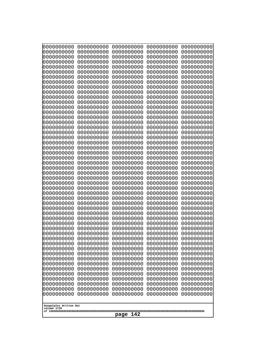| 10000000000<br>0000000000 | 0000000000<br>0000000000 | 0000000000<br>0000000000 | 0000000000<br>0000000000 | 0000000000<br>0000000000 |
|---------------------------|--------------------------|--------------------------|--------------------------|--------------------------|
| 0000000000                | 0000000000               | 0000000000               | 0000000000               | 0000000000               |
| 0000000000                | 0000000000               | 0000000000               | 0000000000               | 0000000000               |
| 0000000000                | 0000000000               | 0000000000               | 0000000000               | 0000000000               |
| 0000000000<br>0000000000  | 0000000000<br>0000000000 | 0000000000<br>0000000000 | 0000000000<br>0000000000 | 0000000000<br>0000000000 |
| 0000000000                | 0000000000               | 0000000000               | 0000000000               | 0000000000               |
| 0000000000                | 0000000000               | 0000000000               | 0000000000               | 0000000000               |
| 0000000000                | 0000000000               | 0000000000               | 0000000000               | 0000000000               |
| 0000000000<br>0000000000  | 0000000000<br>0000000000 | 0000000000<br>0000000000 | 0000000000<br>0000000000 | 0000000000<br>0000000000 |
| 0000000000                | 0000000000               | 0000000000               | 0000000000               | 0000000000               |
| 0000000000                | 0000000000               | 0000000000               | 0000000000               | 0000000000               |
| 0000000000<br>0000000000  | 0000000000<br>0000000000 | 0000000000<br>0000000000 | 0000000000<br>0000000000 | 0000000000<br>0000000000 |
| 0000000000                | 0000000000               | 0000000000               | 0000000000               | 0000000000               |
| 0000000000                | 0000000000               | 0000000000               | 0000000000               | 0000000000               |
| 0000000000                | 0000000000               | 0000000000               | 0000000000               | 0000000000               |
| 0000000000<br>0000000000  | 0000000000<br>0000000000 | 0000000000<br>0000000000 | 0000000000<br>0000000000 | 0000000000<br>0000000000 |
| 0000000000                | 0000000000               | 0000000000               | 0000000000               | 0000000000               |
| 0000000000                | 0000000000               | 0000000000               | 0000000000               | 0000000000               |
| 0000000000<br>0000000000  | 0000000000<br>0000000000 | 0000000000<br>0000000000 | 0000000000<br>0000000000 | 0000000000<br>0000000000 |
| 0000000000                | 0000000000               | 0000000000               | 0000000000               | 0000000000               |
| 0000000000                | 0000000000               | 0000000000               | 0000000000               | 0000000000               |
| 0000000000                | 0000000000               | 0000000000               | 0000000000               | 0000000000               |
| 0000000000<br>0000000000  | 0000000000<br>0000000000 | 0000000000<br>0000000000 | 0000000000<br>0000000000 | 0000000000<br>0000000000 |
| 0000000000                | 0000000000               | 0000000000               | 0000000000               | 0000000000               |
| 0000000000                | 0000000000               | 0000000000               | 0000000000               | 0000000000               |
| 0000000000<br>0000000000  | 0000000000<br>0000000000 | 0000000000<br>0000000000 | 0000000000<br>0000000000 | 0000000000<br>0000000000 |
| 0000000000                | 0000000000               | 0000000000               | 0000000000               | 0000000000               |
| 0000000000                | 0000000000               | 0000000000               | 0000000000               | 0000000000               |
| 0000000000                | 0000000000               | 0000000000               | 0000000000               | 0000000000               |
| 0000000000<br>0000000000  | 0000000000<br>0000000000 | 0000000000<br>0000000000 | 0000000000<br>0000000000 | 0000000000<br>0000000000 |
| 0000000000                | 0000000000               | 0000000000               | 0000000000               | 0000000000               |
| 0000000000                | 0000000000               | 0000000000               | 0000000000               | 0000000000               |
| 0000000000<br>0000000000  | 0000000000<br>0000000000 | 0000000000<br>0000000000 | 0000000000<br>0000000000 | 0000000000<br>0000000000 |
| 0000000000                | 0000000000               | 0000000000               | 0000000000               | 0000000000               |
| 0000000000                | 0000000000               | 0000000000               | 0000000000               | 0000000000               |
| 0000000000<br>0000000000  | 0000000000<br>0000000000 | 0000000000<br>0000000000 | 0000000000<br>0000000000 | 0000000000<br>0000000000 |
| 0000000000                | 0000000000               | 0000000000               | 0000000000               | 0000000000               |
| 0000000000                | 0000000000               | 0000000000               | 0000000000               | 0000000000               |
| 0000000000                | 0000000000               | 0000000000               | 0000000000               | 0000000000               |
| Googolplex Written Out    |                          |                          |                          |                          |
| volume 1720               |                          |                          |                          |                          |
| 142<br>page               |                          |                          |                          |                          |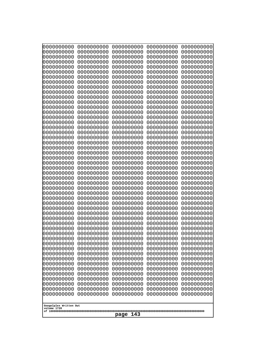| 10000000000<br>0000000000             | 0000000000<br>0000000000 | 0000000000<br>0000000000 | 0000000000<br>0000000000 | 0000000000<br>0000000000 |
|---------------------------------------|--------------------------|--------------------------|--------------------------|--------------------------|
| 0000000000                            | 0000000000               | 0000000000               | 0000000000               | 0000000000               |
| 0000000000                            | 0000000000               | 0000000000               | 0000000000               | 0000000000               |
| 0000000000<br>0000000000              | 0000000000<br>0000000000 | 0000000000<br>0000000000 | 0000000000<br>0000000000 | 0000000000<br>0000000000 |
| 0000000000                            | 0000000000               | 0000000000               | 0000000000               | 0000000000               |
| 0000000000                            | 0000000000               | 0000000000               | 0000000000               | 0000000000               |
| 0000000000<br>0000000000              | 0000000000<br>0000000000 | 0000000000<br>0000000000 | 0000000000<br>0000000000 | 0000000000<br>0000000000 |
| 0000000000                            | 0000000000               | 0000000000               | 0000000000               | 0000000000               |
| 0000000000                            | 0000000000               | 0000000000               | 0000000000               | 0000000000               |
| 0000000000<br>0000000000              | 0000000000<br>0000000000 | 0000000000<br>0000000000 | 0000000000<br>0000000000 | 0000000000<br>0000000000 |
| 0000000000                            | 0000000000               | 0000000000               | 0000000000               | 0000000000               |
| 0000000000                            | 0000000000               | 0000000000               | 0000000000               | 0000000000               |
| 0000000000<br>0000000000              | 0000000000<br>0000000000 | 0000000000<br>0000000000 | 0000000000<br>0000000000 | 0000000000<br>0000000000 |
| 0000000000                            | 0000000000               | 0000000000               | 0000000000               | 0000000000               |
| 0000000000<br>0000000000              | 0000000000               | 0000000000               | 0000000000               | 0000000000               |
| 0000000000                            | 0000000000<br>0000000000 | 0000000000<br>0000000000 | 0000000000<br>0000000000 | 0000000000<br>0000000000 |
| 0000000000                            | 0000000000               | 0000000000               | 0000000000               | 0000000000               |
| 0000000000<br>0000000000              | 0000000000<br>0000000000 | 0000000000<br>0000000000 | 0000000000<br>0000000000 | 0000000000<br>0000000000 |
| 0000000000                            | 0000000000               | 0000000000               | 0000000000               | 0000000000               |
| 0000000000                            | 0000000000               | 0000000000               | 0000000000               | 0000000000               |
| 0000000000<br>0000000000              | 0000000000<br>0000000000 | 0000000000<br>0000000000 | 0000000000<br>0000000000 | 0000000000<br>0000000000 |
| 0000000000                            | 0000000000               | 0000000000               | 0000000000               | 0000000000               |
| 0000000000                            | 0000000000               | 0000000000               | 0000000000               | 0000000000               |
| 0000000000<br>0000000000              | 0000000000<br>0000000000 | 0000000000<br>0000000000 | 0000000000<br>0000000000 | 0000000000<br>0000000000 |
| 0000000000                            | 0000000000               | 0000000000               | 0000000000               | 0000000000               |
| 0000000000                            | 0000000000               | 0000000000               | 0000000000               | 0000000000               |
| 0000000000<br>0000000000              | 0000000000<br>0000000000 | 0000000000<br>0000000000 | 0000000000<br>0000000000 | 0000000000<br>0000000000 |
| 0000000000                            | 0000000000               | 0000000000               | 0000000000               | 0000000000               |
| 0000000000                            | 0000000000               | 0000000000               | 0000000000               | 0000000000               |
| 0000000000<br>0000000000              | 0000000000<br>0000000000 | 0000000000<br>0000000000 | 0000000000<br>0000000000 | 0000000000<br>0000000000 |
| 0000000000                            | 0000000000               | 0000000000               | 0000000000               | 0000000000               |
| 0000000000                            | 0000000000               | 0000000000               | 0000000000               | 0000000000               |
| 0000000000<br>0000000000              | 0000000000<br>0000000000 | 0000000000<br>0000000000 | 0000000000<br>0000000000 | 0000000000<br>0000000000 |
| 0000000000                            | 0000000000               | 0000000000               | 0000000000               | 0000000000               |
| 0000000000                            | 0000000000               | 0000000000               | 0000000000               | 0000000000               |
| 0000000000<br>0000000000              | 0000000000<br>0000000000 | 0000000000<br>0000000000 | 0000000000<br>0000000000 | 0000000000<br>0000000000 |
| 0000000000                            | 0000000000               | 0000000000               | 0000000000               | 0000000000               |
|                                       |                          |                          |                          |                          |
| Googolplex Written Out<br>volume 1720 |                          |                          |                          |                          |
| 143<br>page                           |                          |                          |                          |                          |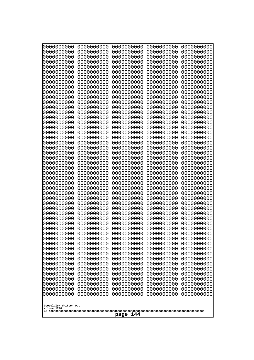| 000000000                | 0000000000               | 0000000000               | 0000000000               | 0000000000               |
|--------------------------|--------------------------|--------------------------|--------------------------|--------------------------|
| 0000000000               | 0000000000               | 0000000000               | 0000000000               | 0000000000               |
| 0000000000               | 0000000000               | 0000000000               | 0000000000               | 0000000000               |
| 0000000000               | 0000000000               | 0000000000               | 0000000000               | 0000000000               |
| 0000000000               | 0000000000               | 0000000000               | 0000000000               | 0000000000               |
| 0000000000               | 0000000000               | 0000000000               | 0000000000               | 0000000000               |
| 0000000000               | 0000000000               | 0000000000               | 0000000000               | 0000000000               |
| 0000000000               | 0000000000               | 0000000000               | 0000000000               | 0000000000               |
| 0000000000               | 0000000000<br>0000000000 | 0000000000<br>0000000000 | 0000000000               | 0000000000               |
| 0000000000<br>0000000000 | 0000000000               | 0000000000               | 0000000000<br>0000000000 | 0000000000<br>0000000000 |
| 0000000000               | 0000000000               | 0000000000               | 0000000000               | 0000000000               |
| 0000000000               | 0000000000               | 0000000000               | 0000000000               | 0000000000               |
| 0000000000               | 0000000000               | 0000000000               | 0000000000               | 0000000000               |
| 0000000000               | 0000000000               | 0000000000               | 0000000000               | 0000000000               |
| 0000000000               | 0000000000               | 0000000000               | 0000000000               | 0000000000               |
| 0000000000               | 0000000000               | 0000000000               | 0000000000               | 0000000000               |
| 0000000000               | 0000000000               | 0000000000               | 0000000000               | 0000000000               |
| 0000000000               | 0000000000               | 0000000000               | 0000000000               | 0000000000               |
| 0000000000               | 0000000000               | 0000000000               | 0000000000               | 0000000000               |
| 0000000000               | 0000000000               | 0000000000               | 0000000000               | 0000000000               |
| 0000000000<br>0000000000 | 0000000000<br>0000000000 | 0000000000<br>0000000000 | 0000000000<br>0000000000 | 0000000000<br>0000000000 |
| 0000000000               | 0000000000               | 0000000000               | 0000000000               | 0000000000               |
| 0000000000               | 0000000000               | 0000000000               | 0000000000               | 0000000000               |
| 0000000000               | 0000000000               | 0000000000               | 0000000000               | 0000000000               |
| 0000000000               | 0000000000               | 0000000000               | 0000000000               | 0000000000               |
| 0000000000               | 0000000000               | 0000000000               | 0000000000               | 0000000000               |
| 0000000000               | 0000000000               | 0000000000               | 0000000000               | 0000000000               |
| 0000000000               | 0000000000               | 0000000000               | 0000000000               | 0000000000               |
| 0000000000               | 0000000000               | 0000000000               | 0000000000               | 0000000000               |
| 0000000000               | 0000000000               | 0000000000               | 0000000000               | 0000000000               |
| 0000000000<br>0000000000 | 0000000000<br>0000000000 | 0000000000<br>0000000000 | 0000000000<br>0000000000 | 0000000000<br>0000000000 |
| 0000000000               | 0000000000               | 0000000000               | 0000000000               | 0000000000               |
| 0000000000               | 0000000000               | 0000000000               | 0000000000               | 0000000000               |
| 0000000000               | 0000000000               | 0000000000               | 0000000000               | 0000000000               |
| 0000000000               | 0000000000               | 0000000000               | 0000000000               | 0000000000               |
| 0000000000               | 0000000000               | 0000000000               | 0000000000               | 0000000000               |
| 0000000000               | 0000000000               | 0000000000               | 0000000000               | 0000000000               |
| 0000000000               | 0000000000               | 0000000000               | 0000000000               | 0000000000               |
| 0000000000               | 0000000000               | 0000000000               | 0000000000               | 0000000000               |
| 0000000000               | 0000000000               | 0000000000               | 0000000000               | 0000000000               |
| 0000000000               | 0000000000               | 0000000000               | 0000000000               | 0000000000               |
| 0000000000<br>0000000000 | 0000000000<br>0000000000 | 0000000000<br>0000000000 | 0000000000<br>0000000000 | 0000000000<br>0000000000 |
| 0000000000               | 0000000000               | 0000000000               | 0000000000               | 0000000000               |
| 0000000000               | 0000000000               | 0000000000               | 0000000000               | 0000000000               |
| 0000000000               | 0000000000               | 0000000000               | 0000000000               | 0000000000               |
| 0000000000               | 0000000000               | 0000000000               | 0000000000               | 0000000000               |
|                          |                          |                          |                          |                          |
| Googolplex Written Out   |                          |                          |                          |                          |
| volume 1720              |                          |                          |                          |                          |
| 144<br>page              |                          |                          |                          |                          |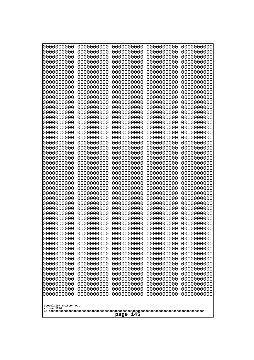| 10000000000<br>0000000000 | 0000000000<br>0000000000 | 0000000000<br>0000000000 | 0000000000<br>0000000000 | 0000000000<br>0000000000 |
|---------------------------|--------------------------|--------------------------|--------------------------|--------------------------|
| 0000000000                | 0000000000               | 0000000000               | 0000000000               | 0000000000               |
| 0000000000                | 0000000000               | 0000000000               | 0000000000               | 0000000000               |
| 0000000000<br>0000000000  | 0000000000<br>0000000000 | 0000000000<br>0000000000 | 0000000000<br>0000000000 | 0000000000<br>0000000000 |
| 0000000000                | 0000000000               | 0000000000               | 0000000000               | 0000000000               |
| 0000000000                | 0000000000               | 0000000000               | 0000000000               | 0000000000               |
| 0000000000                | 0000000000               | 0000000000               | 0000000000               | 0000000000               |
| 0000000000<br>0000000000  | 0000000000<br>0000000000 | 0000000000<br>0000000000 | 0000000000<br>0000000000 | 0000000000<br>0000000000 |
| 0000000000                | 0000000000               | 0000000000               | 0000000000               | 0000000000               |
| 0000000000                | 0000000000               | 0000000000               | 0000000000               | 0000000000               |
| 0000000000<br>0000000000  | 0000000000<br>0000000000 | 0000000000<br>0000000000 | 0000000000<br>0000000000 | 0000000000<br>0000000000 |
| 0000000000                | 0000000000               | 0000000000               | 0000000000               | 0000000000               |
| 0000000000                | 0000000000               | 0000000000               | 0000000000               | 0000000000               |
| 0000000000<br>0000000000  | 0000000000               | 0000000000               | 0000000000               | 0000000000               |
| 0000000000                | 0000000000<br>0000000000 | 0000000000<br>0000000000 | 0000000000<br>0000000000 | 0000000000<br>0000000000 |
| 0000000000                | 0000000000               | 0000000000               | 0000000000               | 0000000000               |
| 0000000000                | 0000000000               | 0000000000               | 0000000000               | 0000000000               |
| 0000000000<br>0000000000  | 0000000000<br>0000000000 | 0000000000<br>0000000000 | 0000000000<br>0000000000 | 0000000000<br>0000000000 |
| 0000000000                | 0000000000               | 0000000000               | 0000000000               | 0000000000               |
| 0000000000                | 0000000000               | 0000000000               | 0000000000               | 0000000000               |
| 0000000000<br>0000000000  | 0000000000<br>0000000000 | 0000000000<br>0000000000 | 0000000000<br>0000000000 | 0000000000<br>0000000000 |
| 0000000000                | 0000000000               | 0000000000               | 0000000000               | 0000000000               |
| 0000000000                | 0000000000               | 0000000000               | 0000000000               | 0000000000               |
| 0000000000                | 0000000000               | 0000000000               | 0000000000               | 0000000000               |
| 0000000000<br>0000000000  | 0000000000<br>0000000000 | 0000000000<br>0000000000 | 0000000000<br>0000000000 | 0000000000<br>0000000000 |
| 0000000000                | 0000000000               | 0000000000               | 0000000000               | 0000000000               |
| 0000000000                | 0000000000               | 0000000000               | 0000000000               | 0000000000               |
| 0000000000<br>0000000000  | 0000000000<br>0000000000 | 0000000000<br>0000000000 | 0000000000<br>0000000000 | 0000000000<br>0000000000 |
| 0000000000                | 0000000000               | 0000000000               | 0000000000               | 0000000000               |
| 0000000000                | 0000000000               | 0000000000               | 0000000000               | 0000000000               |
| 0000000000<br>0000000000  | 0000000000<br>0000000000 | 0000000000<br>0000000000 | 0000000000<br>0000000000 | 0000000000<br>0000000000 |
| 0000000000                | 0000000000               | 0000000000               | 0000000000               | 0000000000               |
| 0000000000                | 0000000000               | 0000000000               | 0000000000               | 0000000000               |
| 0000000000                | 0000000000               | 0000000000               | 0000000000               | 0000000000               |
| 0000000000<br>0000000000  | 0000000000<br>0000000000 | 0000000000<br>0000000000 | 0000000000<br>0000000000 | 0000000000<br>0000000000 |
| 0000000000                | 0000000000               | 0000000000               | 0000000000               | 0000000000               |
| 0000000000                | 0000000000               | 0000000000               | 0000000000               | 0000000000               |
| 0000000000<br>0000000000  | 0000000000<br>0000000000 | 0000000000<br>0000000000 | 0000000000<br>0000000000 | 0000000000<br>0000000000 |
|                           |                          |                          |                          |                          |
| Googolplex Written Out    |                          |                          |                          |                          |
| volume 1720               |                          | 145<br>page              |                          |                          |
|                           |                          |                          |                          |                          |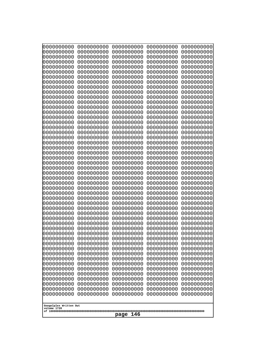| 000000000                | 0000000000               | 0000000000               | 0000000000               | 0000000000               |
|--------------------------|--------------------------|--------------------------|--------------------------|--------------------------|
| 0000000000               | 0000000000               | 0000000000               | 0000000000               | 0000000000               |
| 0000000000               | 0000000000               | 0000000000               | 0000000000               | 0000000000               |
| 0000000000               | 0000000000               | 0000000000               | 0000000000               | 0000000000               |
| 0000000000               | 0000000000               | 0000000000               | 0000000000               | 0000000000               |
| 0000000000               | 0000000000               | 0000000000               | 0000000000               | 0000000000               |
| 0000000000               | 0000000000               | 0000000000               | 0000000000               | 0000000000               |
| 0000000000               | 0000000000               | 0000000000               | 0000000000               | 0000000000               |
| 0000000000               | 0000000000<br>0000000000 | 0000000000<br>0000000000 | 0000000000               | 0000000000               |
| 0000000000<br>0000000000 | 0000000000               | 0000000000               | 0000000000<br>0000000000 | 0000000000<br>0000000000 |
| 0000000000               | 0000000000               | 0000000000               | 0000000000               | 0000000000               |
| 0000000000               | 0000000000               | 0000000000               | 0000000000               | 0000000000               |
| 0000000000               | 0000000000               | 0000000000               | 0000000000               | 0000000000               |
| 0000000000               | 0000000000               | 0000000000               | 0000000000               | 0000000000               |
| 0000000000               | 0000000000               | 0000000000               | 0000000000               | 0000000000               |
| 0000000000               | 0000000000               | 0000000000               | 0000000000               | 0000000000               |
| 0000000000               | 0000000000               | 0000000000               | 0000000000               | 0000000000               |
| 0000000000               | 0000000000               | 0000000000               | 0000000000               | 0000000000               |
| 0000000000               | 0000000000               | 0000000000               | 0000000000               | 0000000000               |
| 0000000000               | 0000000000               | 0000000000               | 0000000000               | 0000000000               |
| 0000000000               | 0000000000               | 0000000000               | 0000000000               | 0000000000               |
| 0000000000<br>0000000000 | 0000000000<br>0000000000 | 0000000000<br>0000000000 | 0000000000<br>0000000000 | 0000000000<br>0000000000 |
| 0000000000               | 0000000000               | 0000000000               | 0000000000               | 0000000000               |
| 0000000000               | 0000000000               | 0000000000               | 0000000000               | 0000000000               |
| 0000000000               | 0000000000               | 0000000000               | 0000000000               | 0000000000               |
| 0000000000               | 0000000000               | 0000000000               | 0000000000               | 0000000000               |
| 0000000000               | 0000000000               | 0000000000               | 0000000000               | 0000000000               |
| 0000000000               | 0000000000               | 0000000000               | 0000000000               | 0000000000               |
| 0000000000               | 0000000000               | 0000000000               | 0000000000               | 0000000000               |
| 0000000000               | 0000000000               | 0000000000               | 0000000000               | 0000000000               |
| 0000000000               | 0000000000               | 0000000000               | 0000000000               | 0000000000               |
| 0000000000<br>0000000000 | 0000000000<br>0000000000 | 0000000000<br>0000000000 | 0000000000<br>0000000000 | 0000000000<br>0000000000 |
| 0000000000               | 0000000000               | 0000000000               | 0000000000               | 0000000000               |
| 0000000000               | 0000000000               | 0000000000               | 0000000000               | 0000000000               |
| 0000000000               | 0000000000               | 0000000000               | 0000000000               | 0000000000               |
| 0000000000               | 0000000000               | 0000000000               | 0000000000               | 0000000000               |
| 0000000000               | 0000000000               | 0000000000               | 0000000000               | 0000000000               |
| 0000000000               | 0000000000               | 0000000000               | 0000000000               | 0000000000               |
| 0000000000               | 0000000000               | 0000000000               | 0000000000               | 0000000000               |
| 0000000000               | 0000000000               | 0000000000               | 0000000000               | 0000000000               |
| 0000000000               | 0000000000               | 0000000000               | 0000000000               | 0000000000               |
| 0000000000               | 0000000000               | 0000000000               | 0000000000               | 0000000000               |
| 0000000000<br>0000000000 | 0000000000<br>0000000000 | 0000000000<br>0000000000 | 0000000000<br>0000000000 | 0000000000<br>0000000000 |
| 0000000000               | 0000000000               | 0000000000               | 0000000000               | 0000000000               |
| 0000000000               | 0000000000               | 0000000000               | 0000000000               | 0000000000               |
| 0000000000               | 0000000000               | 0000000000               | 0000000000               | 0000000000               |
|                          |                          |                          |                          |                          |
| Googolplex Written Out   |                          |                          |                          |                          |
| volume 1720              |                          |                          |                          |                          |
| 146<br>page              |                          |                          |                          |                          |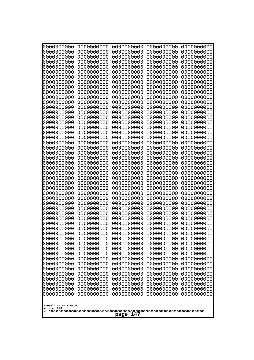| 10000000000                           | 0000000000               | 0000000000<br>0000000000 | 0000000000<br>0000000000 | 0000000000<br>0000000000 |
|---------------------------------------|--------------------------|--------------------------|--------------------------|--------------------------|
| 0000000000<br>0000000000              | 0000000000<br>0000000000 | 0000000000               | 0000000000               | 0000000000               |
| 0000000000                            | 0000000000               | 0000000000               | 0000000000               | 0000000000               |
| 0000000000                            | 0000000000               | 0000000000               | 0000000000               | 0000000000               |
| 0000000000<br>0000000000              | 0000000000<br>0000000000 | 0000000000<br>0000000000 | 0000000000<br>0000000000 | 0000000000<br>0000000000 |
| 0000000000                            | 0000000000               | 0000000000               | 0000000000               | 0000000000               |
| 0000000000                            | 0000000000               | 0000000000               | 0000000000               | 0000000000               |
| 0000000000                            | 0000000000               | 0000000000               | 0000000000               | 0000000000               |
| 0000000000<br>0000000000              | 0000000000<br>0000000000 | 0000000000<br>0000000000 | 0000000000<br>0000000000 | 0000000000<br>0000000000 |
| 0000000000                            | 0000000000               | 0000000000               | 0000000000               | 0000000000               |
| 0000000000                            | 0000000000               | 0000000000               | 0000000000               | 0000000000               |
| 0000000000<br>0000000000              | 0000000000<br>0000000000 | 0000000000<br>0000000000 | 0000000000               | 0000000000<br>0000000000 |
| 0000000000                            | 0000000000               | 0000000000               | 0000000000<br>0000000000 | 0000000000               |
| 0000000000                            | 0000000000               | 0000000000               | 0000000000               | 0000000000               |
| 0000000000                            | 0000000000               | 0000000000               | 0000000000               | 0000000000               |
| 0000000000<br>0000000000              | 0000000000<br>0000000000 | 0000000000<br>0000000000 | 0000000000<br>0000000000 | 0000000000<br>0000000000 |
| 0000000000                            | 0000000000               | 0000000000               | 0000000000               | 0000000000               |
| 0000000000                            | 0000000000               | 0000000000               | 0000000000               | 0000000000               |
| 0000000000                            | 0000000000               | 0000000000               | 0000000000               | 0000000000               |
| 0000000000<br>0000000000              | 0000000000<br>0000000000 | 0000000000<br>0000000000 | 0000000000<br>0000000000 | 0000000000<br>0000000000 |
| 0000000000                            | 0000000000               | 0000000000               | 0000000000               | 0000000000               |
| 0000000000                            | 0000000000               | 0000000000               | 0000000000               | 0000000000               |
| 0000000000<br>0000000000              | 0000000000<br>0000000000 | 0000000000<br>0000000000 | 0000000000<br>0000000000 | 0000000000<br>0000000000 |
| 0000000000                            | 0000000000               | 0000000000               | 0000000000               | 0000000000               |
| 0000000000                            | 0000000000               | 0000000000               | 0000000000               | 0000000000               |
| 0000000000<br>0000000000              | 0000000000<br>0000000000 | 0000000000<br>0000000000 | 0000000000<br>0000000000 | 0000000000<br>0000000000 |
| 0000000000                            | 0000000000               | 0000000000               | 0000000000               | 0000000000               |
| 0000000000                            | 0000000000               | 0000000000               | 0000000000               | 0000000000               |
| 0000000000                            | 0000000000               | 0000000000               | 0000000000               | 0000000000               |
| 0000000000<br>0000000000              | 0000000000<br>0000000000 | 0000000000<br>0000000000 | 0000000000<br>0000000000 | 0000000000<br>0000000000 |
| 0000000000                            | 0000000000               | 0000000000               | 0000000000               | 0000000000               |
| 0000000000                            | 0000000000               | 0000000000               | 0000000000               | 0000000000               |
| 0000000000<br>0000000000              | 0000000000<br>0000000000 | 0000000000<br>0000000000 | 0000000000<br>0000000000 | 0000000000<br>0000000000 |
| 0000000000                            | 0000000000               | 0000000000               | 0000000000               | 0000000000               |
| 0000000000                            | 0000000000               | 0000000000               | 0000000000               | 0000000000               |
| 0000000000                            | 0000000000               | 0000000000               | 0000000000               | 0000000000               |
| 0000000000<br>0000000000              | 0000000000<br>0000000000 | 0000000000<br>0000000000 | 0000000000<br>0000000000 | 0000000000<br>0000000000 |
| 0000000000                            | 0000000000               | 0000000000               | 0000000000               | 0000000000               |
| 0000000000                            | 0000000000               | 0000000000               | 0000000000               | 0000000000               |
|                                       |                          |                          |                          |                          |
| Googolplex Written Out<br>volume 1720 |                          |                          |                          |                          |
| 147<br>page                           |                          |                          |                          |                          |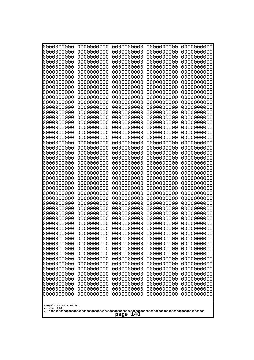| 10000000000                           | 0000000000               | 0000000000<br>0000000000 | 0000000000<br>0000000000 | 0000000000<br>0000000000 |
|---------------------------------------|--------------------------|--------------------------|--------------------------|--------------------------|
| 0000000000<br>0000000000              | 0000000000<br>0000000000 | 0000000000               | 0000000000               | 0000000000               |
| 0000000000                            | 0000000000               | 0000000000               | 0000000000               | 0000000000               |
| 0000000000                            | 0000000000               | 0000000000               | 0000000000               | 0000000000               |
| 0000000000                            | 0000000000               | 0000000000<br>0000000000 | 0000000000<br>0000000000 | 0000000000               |
| 0000000000<br>0000000000              | 0000000000<br>0000000000 | 0000000000               | 0000000000               | 0000000000<br>0000000000 |
| 0000000000                            | 0000000000               | 0000000000               | 0000000000               | 0000000000               |
| 0000000000                            | 0000000000               | 0000000000               | 0000000000               | 0000000000               |
| 0000000000<br>0000000000              | 0000000000<br>0000000000 | 0000000000<br>0000000000 | 0000000000<br>0000000000 | 0000000000<br>0000000000 |
| 0000000000                            | 0000000000               | 0000000000               | 0000000000               | 0000000000               |
| 0000000000                            | 0000000000               | 0000000000               | 0000000000               | 0000000000               |
| 0000000000                            | 0000000000               | 0000000000               | 0000000000               | 0000000000               |
| 0000000000<br>0000000000              | 0000000000<br>0000000000 | 0000000000<br>0000000000 | 0000000000<br>0000000000 | 0000000000<br>0000000000 |
| 0000000000                            | 0000000000               | 0000000000               | 0000000000               | 0000000000               |
| 0000000000                            | 0000000000               | 0000000000               | 0000000000               | 0000000000               |
| 0000000000                            | 0000000000               | 0000000000               | 0000000000               | 0000000000               |
| 0000000000<br>0000000000              | 0000000000<br>0000000000 | 0000000000<br>0000000000 | 0000000000<br>0000000000 | 0000000000<br>0000000000 |
| 0000000000                            | 0000000000               | 0000000000               | 0000000000               | 0000000000               |
| 0000000000                            | 0000000000               | 0000000000               | 0000000000               | 0000000000               |
| 0000000000<br>0000000000              | 0000000000<br>0000000000 | 0000000000<br>0000000000 | 0000000000<br>0000000000 | 0000000000<br>0000000000 |
| 0000000000                            | 0000000000               | 0000000000               | 0000000000               | 0000000000               |
| 0000000000                            | 0000000000               | 0000000000               | 0000000000               | 0000000000               |
| 0000000000                            | 0000000000               | 0000000000               | 0000000000               | 0000000000               |
| 0000000000<br>0000000000              | 0000000000<br>0000000000 | 0000000000<br>0000000000 | 0000000000<br>0000000000 | 0000000000<br>0000000000 |
| 0000000000                            | 0000000000               | 0000000000               | 0000000000               | 0000000000               |
| 0000000000                            | 0000000000               | 0000000000               | 0000000000               | 0000000000               |
| 0000000000<br>0000000000              | 0000000000<br>0000000000 | 0000000000<br>0000000000 | 0000000000<br>0000000000 | 0000000000<br>0000000000 |
| 0000000000                            | 0000000000               | 0000000000               | 0000000000               | 0000000000               |
| 0000000000                            | 0000000000               | 0000000000               | 0000000000               | 0000000000               |
| 0000000000                            | 0000000000               | 0000000000               | 0000000000               | 0000000000               |
| 0000000000<br>0000000000              | 0000000000<br>0000000000 | 0000000000<br>0000000000 | 0000000000<br>0000000000 | 0000000000<br>0000000000 |
| 0000000000                            | 0000000000               | 0000000000               | 0000000000               | 0000000000               |
| 0000000000                            | 0000000000               | 0000000000               | 0000000000               | 0000000000               |
| 0000000000<br>0000000000              | 0000000000<br>0000000000 | 0000000000<br>0000000000 | 0000000000<br>0000000000 | 0000000000<br>0000000000 |
| 0000000000                            | 0000000000               | 0000000000               | 0000000000               | 0000000000               |
| 0000000000                            | 0000000000               | 0000000000               | 0000000000               | 0000000000               |
| 0000000000                            | 0000000000               | 0000000000               | 0000000000               | 0000000000               |
| 0000000000<br>0000000000              | 0000000000<br>0000000000 | 0000000000<br>0000000000 | 0000000000<br>0000000000 | 0000000000<br>0000000000 |
| 0000000000                            | 0000000000               | 0000000000               | 0000000000               | 0000000000               |
|                                       |                          |                          |                          |                          |
| Googolplex Written Out<br>volume 1720 |                          |                          |                          |                          |
| 148<br>page                           |                          |                          |                          |                          |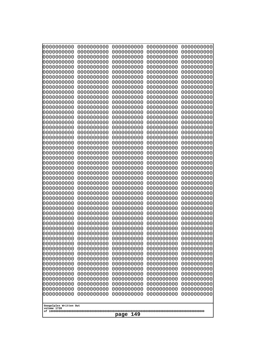| 10000000000<br>0000000000             | 0000000000<br>0000000000 | 0000000000<br>0000000000 | 0000000000<br>0000000000 | 0000000000<br>0000000000 |  |
|---------------------------------------|--------------------------|--------------------------|--------------------------|--------------------------|--|
| 0000000000                            | 0000000000               | 0000000000               | 0000000000               | 0000000000               |  |
| 0000000000                            | 0000000000               | 0000000000               | 0000000000               | 0000000000               |  |
| 0000000000                            | 0000000000               | 0000000000               | 0000000000               | 0000000000               |  |
| 0000000000<br>0000000000              | 0000000000<br>0000000000 | 0000000000<br>0000000000 | 0000000000<br>0000000000 | 0000000000<br>0000000000 |  |
| 0000000000                            | 0000000000               | 0000000000               | 0000000000               | 0000000000               |  |
| 0000000000                            | 0000000000               | 0000000000               | 0000000000               | 0000000000               |  |
| 0000000000<br>0000000000              | 0000000000<br>0000000000 | 0000000000<br>0000000000 | 0000000000<br>0000000000 | 0000000000<br>0000000000 |  |
| 0000000000                            | 0000000000               | 0000000000               | 0000000000               | 0000000000               |  |
| 0000000000                            | 0000000000               | 0000000000               | 0000000000               | 0000000000               |  |
| 0000000000<br>0000000000              | 0000000000<br>0000000000 | 0000000000<br>0000000000 | 0000000000<br>0000000000 | 0000000000<br>0000000000 |  |
| 0000000000                            | 0000000000               | 0000000000               | 0000000000               | 0000000000               |  |
| 0000000000                            | 0000000000               | 0000000000               | 0000000000               | 0000000000               |  |
| 0000000000                            | 0000000000               | 0000000000               | 0000000000               | 0000000000               |  |
| 0000000000<br>0000000000              | 0000000000<br>0000000000 | 0000000000<br>0000000000 | 0000000000<br>0000000000 | 0000000000<br>0000000000 |  |
| 0000000000                            | 0000000000               | 0000000000               | 0000000000               | 0000000000               |  |
| 0000000000                            | 0000000000               | 0000000000               | 0000000000               | 0000000000               |  |
| 0000000000<br>0000000000              | 0000000000<br>0000000000 | 0000000000<br>0000000000 | 0000000000<br>0000000000 | 0000000000<br>0000000000 |  |
| 0000000000                            | 0000000000               | 0000000000               | 0000000000               | 0000000000               |  |
| 0000000000                            | 0000000000               | 0000000000               | 0000000000               | 0000000000               |  |
| 0000000000<br>0000000000              | 0000000000<br>0000000000 | 0000000000<br>0000000000 | 0000000000<br>0000000000 | 0000000000<br>0000000000 |  |
| 0000000000                            | 0000000000               | 0000000000               | 0000000000               | 0000000000               |  |
| 0000000000                            | 0000000000               | 0000000000               | 0000000000               | 0000000000               |  |
| 0000000000                            | 0000000000               | 0000000000               | 0000000000               | 0000000000               |  |
| 0000000000<br>0000000000              | 0000000000<br>0000000000 | 0000000000<br>0000000000 | 0000000000<br>0000000000 | 0000000000<br>0000000000 |  |
| 0000000000                            | 0000000000               | 0000000000               | 0000000000               | 0000000000               |  |
| 0000000000                            | 0000000000               | 0000000000               | 0000000000               | 0000000000               |  |
| 0000000000<br>0000000000              | 0000000000<br>0000000000 | 0000000000<br>0000000000 | 0000000000<br>0000000000 | 0000000000<br>0000000000 |  |
| 0000000000                            | 0000000000               | 0000000000               | 0000000000               | 0000000000               |  |
| 0000000000                            | 0000000000               | 0000000000               | 0000000000               | 0000000000               |  |
| 0000000000<br>0000000000              | 0000000000<br>0000000000 | 0000000000<br>0000000000 | 0000000000<br>0000000000 | 0000000000<br>0000000000 |  |
| 0000000000                            | 0000000000               | 0000000000               | 0000000000               | 0000000000               |  |
| 0000000000                            | 0000000000               | 0000000000               | 0000000000               | 0000000000               |  |
| 0000000000<br>0000000000              | 0000000000<br>0000000000 | 0000000000<br>0000000000 | 0000000000<br>0000000000 | 0000000000<br>0000000000 |  |
| 0000000000                            | 0000000000               | 0000000000               | 0000000000               | 0000000000               |  |
| 0000000000                            | 0000000000               | 0000000000               | 0000000000               | 0000000000               |  |
| 0000000000                            | 0000000000               | 0000000000               | 0000000000               | 0000000000               |  |
| 0000000000<br>0000000000              | 0000000000<br>0000000000 | 0000000000<br>0000000000 | 0000000000<br>0000000000 | 0000000000<br>0000000000 |  |
|                                       |                          |                          |                          |                          |  |
| Googolplex Written Out<br>volume 1720 |                          |                          |                          |                          |  |
|                                       | 149<br>page              |                          |                          |                          |  |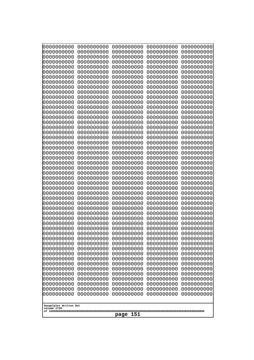| 10000000000<br>0000000000 | 0000000000<br>0000000000 | 0000000000<br>0000000000 | 0000000000<br>0000000000 | 0000000000<br>0000000000 |
|---------------------------|--------------------------|--------------------------|--------------------------|--------------------------|
| 0000000000                | 0000000000               | 0000000000               | 0000000000               | 0000000000               |
| 0000000000                | 0000000000               | 0000000000               | 0000000000               | 0000000000               |
| 0000000000<br>0000000000  | 0000000000<br>0000000000 | 0000000000               | 0000000000<br>0000000000 | 0000000000               |
| 0000000000                | 0000000000               | 0000000000<br>0000000000 | 0000000000               | 0000000000<br>0000000000 |
| 0000000000                | 0000000000               | 0000000000               | 0000000000               | 0000000000               |
| 0000000000                | 0000000000               | 0000000000               | 0000000000               | 0000000000               |
| 0000000000<br>0000000000  | 0000000000<br>0000000000 | 0000000000<br>0000000000 | 0000000000<br>0000000000 | 0000000000<br>0000000000 |
| 0000000000                | 0000000000               | 0000000000               | 0000000000               | 0000000000               |
| 0000000000                | 0000000000               | 0000000000               | 0000000000               | 0000000000               |
| 0000000000                | 0000000000               | 0000000000               | 0000000000               | 0000000000               |
| 0000000000<br>0000000000  | 0000000000<br>0000000000 | 0000000000<br>0000000000 | 0000000000<br>0000000000 | 0000000000<br>0000000000 |
| 0000000000                | 0000000000               | 0000000000               | 0000000000               | 0000000000               |
| 0000000000                | 0000000000               | 0000000000               | 0000000000               | 0000000000               |
| 0000000000<br>0000000000  | 0000000000<br>0000000000 | 0000000000<br>0000000000 | 0000000000<br>0000000000 | 0000000000<br>0000000000 |
| 0000000000                | 0000000000               | 0000000000               | 0000000000               | 0000000000               |
| 0000000000                | 0000000000               | 0000000000               | 0000000000               | 0000000000               |
| 0000000000                | 0000000000               | 0000000000               | 0000000000               | 0000000000               |
| 0000000000<br>0000000000  | 0000000000<br>0000000000 | 0000000000<br>0000000000 | 0000000000<br>0000000000 | 0000000000<br>0000000000 |
| 0000000000                | 0000000000               | 0000000000               | 0000000000               | 0000000000               |
| 0000000000                | 0000000000               | 0000000000               | 0000000000               | 0000000000               |
| 0000000000<br>0000000000  | 0000000000<br>0000000000 | 0000000000<br>0000000000 | 0000000000<br>0000000000 | 0000000000<br>0000000000 |
| 0000000000                | 0000000000               | 0000000000               | 0000000000               | 0000000000               |
| 0000000000                | 0000000000               | 0000000000               | 0000000000               | 0000000000               |
| 0000000000                | 0000000000               | 0000000000               | 0000000000               | 0000000000               |
| 0000000000<br>0000000000  | 0000000000<br>0000000000 | 0000000000<br>0000000000 | 0000000000<br>0000000000 | 0000000000<br>0000000000 |
| 0000000000                | 0000000000               | 0000000000               | 0000000000               | 0000000000               |
| 0000000000                | 0000000000               | 0000000000               | 0000000000               | 0000000000               |
| 0000000000<br>0000000000  | 0000000000<br>0000000000 | 0000000000<br>0000000000 | 0000000000<br>0000000000 | 0000000000<br>0000000000 |
| 0000000000                | 0000000000               | 0000000000               | 0000000000               | 0000000000               |
| 0000000000                | 0000000000               | 0000000000               | 0000000000               | 0000000000               |
| 0000000000<br>0000000000  | 0000000000               | 0000000000               | 0000000000               | 0000000000               |
| 0000000000                | 0000000000<br>0000000000 | 0000000000<br>0000000000 | 0000000000<br>0000000000 | 0000000000<br>0000000000 |
| 0000000000                | 0000000000               | 0000000000               | 0000000000               | 0000000000               |
| 0000000000                | 0000000000               | 0000000000               | 0000000000               | 0000000000               |
| 0000000000<br>0000000000  | 0000000000<br>0000000000 | 0000000000<br>0000000000 | 0000000000<br>0000000000 | 0000000000<br>0000000000 |
| 0000000000                | 0000000000               | 0000000000               | 0000000000               | 0000000000               |
| 0000000000                | 0000000000               | 0000000000               | 0000000000               | 0000000000               |
| 0000000000                | 0000000000               | 0000000000               | 0000000000               | 0000000000               |
| Googolplex Written Out    |                          |                          |                          |                          |
| volume 1720               |                          |                          |                          |                          |
| 151<br>page               |                          |                          |                          |                          |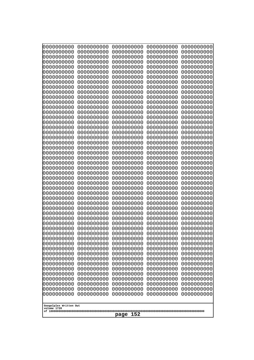| 0000000000                                           | 0000000000 | 0000000000 | 0000000000 | 0000000000 |
|------------------------------------------------------|------------|------------|------------|------------|
| 0000000000                                           | 0000000000 | 0000000000 | 0000000000 | 0000000000 |
| 0000000000                                           | 0000000000 | 0000000000 | 0000000000 | 0000000000 |
| 0000000000                                           | 0000000000 | 0000000000 | 0000000000 | 0000000000 |
| 0000000000                                           | 0000000000 | 0000000000 | 0000000000 | 0000000000 |
| 0000000000                                           | 0000000000 | 0000000000 | 0000000000 | 0000000000 |
| 0000000000                                           | 0000000000 | 0000000000 | 0000000000 | 0000000000 |
| 0000000000                                           | 0000000000 | 0000000000 | 0000000000 | 0000000000 |
| 0000000000                                           | 0000000000 | 0000000000 | 0000000000 | 0000000000 |
| 0000000000                                           | 0000000000 | 0000000000 | 0000000000 | 0000000000 |
| 0000000000                                           | 0000000000 | 0000000000 | 0000000000 | 0000000000 |
| 0000000000                                           | 0000000000 | 0000000000 | 0000000000 | 0000000000 |
| 0000000000                                           | 0000000000 | 0000000000 | 0000000000 | 0000000000 |
| 0000000000                                           | 0000000000 | 0000000000 | 0000000000 | 0000000000 |
| 0000000000                                           | 0000000000 | 0000000000 | 0000000000 | 0000000000 |
| 0000000000                                           | 0000000000 | 0000000000 | 0000000000 | 0000000000 |
| 0000000000                                           | 0000000000 | 0000000000 | 0000000000 | 0000000000 |
| 0000000000                                           | 0000000000 | 0000000000 | 0000000000 | 0000000000 |
| 0000000000                                           | 0000000000 | 0000000000 | 0000000000 | 0000000000 |
| 0000000000                                           | 0000000000 | 0000000000 | 0000000000 | 0000000000 |
| 0000000000                                           | 0000000000 | 0000000000 | 0000000000 | 0000000000 |
| 0000000000                                           | 0000000000 | 0000000000 | 0000000000 | 0000000000 |
| 0000000000                                           | 0000000000 | 0000000000 | 0000000000 | 0000000000 |
| 0000000000                                           | 0000000000 | 0000000000 | 0000000000 | 0000000000 |
| 0000000000                                           | 0000000000 | 0000000000 | 0000000000 | 0000000000 |
| 0000000000                                           | 0000000000 | 0000000000 | 0000000000 | 0000000000 |
| 0000000000                                           | 0000000000 | 0000000000 | 0000000000 | 0000000000 |
| 0000000000                                           | 0000000000 | 0000000000 | 0000000000 | 0000000000 |
| 0000000000                                           | 0000000000 | 0000000000 | 0000000000 | 0000000000 |
| 0000000000                                           | 0000000000 | 0000000000 | 0000000000 | 0000000000 |
| 0000000000                                           | 0000000000 | 0000000000 | 0000000000 | 0000000000 |
| 0000000000                                           | 0000000000 | 0000000000 | 0000000000 | 0000000000 |
| 0000000000                                           | 0000000000 | 0000000000 | 0000000000 | 0000000000 |
| 0000000000                                           | 0000000000 | 0000000000 | 0000000000 | 0000000000 |
| 0000000000                                           | 0000000000 | 0000000000 | 0000000000 | 0000000000 |
| 0000000000                                           | 0000000000 | 0000000000 | 0000000000 | 0000000000 |
| 0000000000                                           | 0000000000 | 0000000000 | 0000000000 | 0000000000 |
| 0000000000                                           | 0000000000 | 0000000000 | 0000000000 | 0000000000 |
| 0000000000                                           | 0000000000 | 0000000000 | 0000000000 | 0000000000 |
| 0000000000                                           | 0000000000 | 0000000000 | 0000000000 | 0000000000 |
| 0000000000                                           | 0000000000 | 0000000000 | 0000000000 | 0000000000 |
| 0000000000                                           | 0000000000 | 0000000000 | 0000000000 | 0000000000 |
| 0000000000                                           | 0000000000 | 0000000000 | 0000000000 | 0000000000 |
| 0000000000                                           | 0000000000 | 0000000000 | 0000000000 | 0000000000 |
| 0000000000                                           | 0000000000 | 0000000000 | 0000000000 | 0000000000 |
| 0000000000                                           | 0000000000 | 0000000000 | 0000000000 | 0000000000 |
| 0000000000                                           | 0000000000 | 0000000000 | 0000000000 | 0000000000 |
| 0000000000                                           | 0000000000 | 0000000000 | 0000000000 | 0000000000 |
| 0000000000                                           | 0000000000 | 0000000000 | 0000000000 | 0000000000 |
| Googolplex Written Out<br>volume 1720<br>152<br>page |            |            |            |            |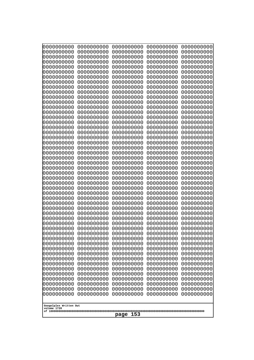| 10000000000<br>0000000000 | 0000000000<br>0000000000 | 0000000000<br>0000000000 | 0000000000<br>0000000000 | 0000000000<br>0000000000 |
|---------------------------|--------------------------|--------------------------|--------------------------|--------------------------|
| 0000000000                | 0000000000               | 0000000000               | 0000000000               | 0000000000               |
| 0000000000                | 0000000000               | 0000000000               | 0000000000               | 0000000000               |
| 0000000000<br>0000000000  | 0000000000<br>0000000000 | 0000000000<br>0000000000 | 0000000000<br>0000000000 | 0000000000<br>0000000000 |
| 0000000000                | 0000000000               | 0000000000               | 0000000000               | 0000000000               |
| 0000000000                | 0000000000               | 0000000000               | 0000000000               | 0000000000               |
| 0000000000<br>0000000000  | 0000000000<br>0000000000 | 0000000000<br>0000000000 | 0000000000<br>0000000000 | 0000000000<br>0000000000 |
| 0000000000                | 0000000000               | 0000000000               | 0000000000               | 0000000000               |
| 0000000000                | 0000000000               | 0000000000               | 0000000000               | 0000000000               |
| 0000000000<br>0000000000  | 0000000000<br>0000000000 | 0000000000<br>0000000000 | 0000000000<br>0000000000 | 0000000000<br>0000000000 |
| 0000000000                | 0000000000               | 0000000000               | 0000000000               | 0000000000               |
| 0000000000                | 0000000000               | 0000000000               | 0000000000               | 0000000000               |
| 0000000000<br>0000000000  | 0000000000<br>0000000000 | 0000000000<br>0000000000 | 0000000000<br>0000000000 | 0000000000<br>0000000000 |
| 0000000000                | 0000000000               | 0000000000               | 0000000000               | 0000000000               |
| 0000000000                | 0000000000               | 0000000000               | 0000000000               | 0000000000               |
| 0000000000                | 0000000000               | 0000000000               | 0000000000               | 0000000000               |
| 0000000000<br>0000000000  | 0000000000<br>0000000000 | 0000000000<br>0000000000 | 0000000000<br>0000000000 | 0000000000<br>0000000000 |
| 0000000000                | 0000000000               | 0000000000               | 0000000000               | 0000000000               |
| 0000000000                | 0000000000               | 0000000000               | 0000000000               | 0000000000               |
| 0000000000<br>0000000000  | 0000000000<br>0000000000 | 0000000000<br>0000000000 | 0000000000<br>0000000000 | 0000000000<br>0000000000 |
| 0000000000                | 0000000000               | 0000000000               | 0000000000               | 0000000000               |
| 0000000000                | 0000000000               | 0000000000               | 0000000000               | 0000000000               |
| 0000000000<br>0000000000  | 0000000000<br>0000000000 | 0000000000<br>0000000000 | 0000000000<br>0000000000 | 0000000000<br>0000000000 |
| 0000000000                | 0000000000               | 0000000000               | 0000000000               | 0000000000               |
| 0000000000                | 0000000000               | 0000000000               | 0000000000               | 0000000000               |
| 0000000000<br>0000000000  | 0000000000<br>0000000000 | 0000000000<br>0000000000 | 0000000000<br>0000000000 | 0000000000<br>0000000000 |
| 0000000000                | 0000000000               | 0000000000               | 0000000000               | 0000000000               |
| 0000000000                | 0000000000               | 0000000000               | 0000000000               | 0000000000               |
| 0000000000<br>0000000000  | 0000000000<br>0000000000 | 0000000000<br>0000000000 | 0000000000<br>0000000000 | 0000000000<br>0000000000 |
| 0000000000                | 0000000000               | 0000000000               | 0000000000               | 0000000000               |
| 0000000000                | 0000000000               | 0000000000               | 0000000000               | 0000000000               |
| 0000000000<br>0000000000  | 0000000000<br>0000000000 | 0000000000<br>0000000000 | 0000000000<br>0000000000 | 0000000000<br>0000000000 |
| 0000000000                | 0000000000               | 0000000000               | 0000000000               | 0000000000               |
| 0000000000                | 0000000000               | 0000000000               | 0000000000               | 0000000000               |
| 0000000000                | 0000000000<br>0000000000 | 0000000000               | 0000000000               | 0000000000               |
| 0000000000<br>0000000000  | 0000000000               | 0000000000<br>0000000000 | 0000000000<br>0000000000 | 0000000000<br>0000000000 |
| 0000000000                | 0000000000               | 0000000000               | 0000000000               | 0000000000               |
| 0000000000                | 0000000000               | 0000000000               | 0000000000               | 0000000000               |
| Googolplex Written Out    |                          |                          |                          |                          |
| volume 1720               |                          |                          |                          |                          |
| 153<br>page               |                          |                          |                          |                          |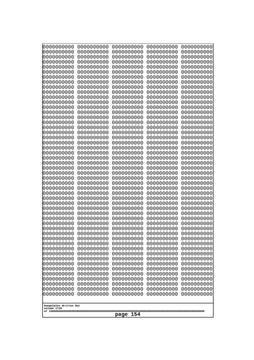| 0000000000                                           | 0000000000 | 0000000000 | 0000000000 | 0000000000 |
|------------------------------------------------------|------------|------------|------------|------------|
| 0000000000                                           | 0000000000 | 0000000000 | 0000000000 | 0000000000 |
| 0000000000                                           | 0000000000 | 0000000000 | 0000000000 | 0000000000 |
| 0000000000                                           | 0000000000 | 0000000000 | 0000000000 | 0000000000 |
| 0000000000                                           | 0000000000 | 0000000000 | 0000000000 | 0000000000 |
| 0000000000                                           | 0000000000 | 0000000000 | 0000000000 | 0000000000 |
| 0000000000                                           | 0000000000 | 0000000000 | 0000000000 | 0000000000 |
| 0000000000                                           | 0000000000 | 0000000000 | 0000000000 | 0000000000 |
| 0000000000                                           | 0000000000 | 0000000000 | 0000000000 | 0000000000 |
| 0000000000                                           | 0000000000 | 0000000000 | 0000000000 | 0000000000 |
| 0000000000                                           | 0000000000 | 0000000000 | 0000000000 | 0000000000 |
| 0000000000                                           | 0000000000 | 0000000000 | 0000000000 | 0000000000 |
| 0000000000                                           | 0000000000 | 0000000000 | 0000000000 | 0000000000 |
| 0000000000                                           | 0000000000 | 0000000000 | 0000000000 | 0000000000 |
| 0000000000                                           | 0000000000 | 0000000000 | 0000000000 | 0000000000 |
| 0000000000                                           | 0000000000 | 0000000000 | 0000000000 | 0000000000 |
| 0000000000                                           | 0000000000 | 0000000000 | 0000000000 | 0000000000 |
| 0000000000                                           | 0000000000 | 0000000000 | 0000000000 | 0000000000 |
| 0000000000                                           | 0000000000 | 0000000000 | 0000000000 | 0000000000 |
| 0000000000                                           | 0000000000 | 0000000000 | 0000000000 | 0000000000 |
| 0000000000                                           | 0000000000 | 0000000000 | 0000000000 | 0000000000 |
| 0000000000                                           | 0000000000 | 0000000000 | 0000000000 | 0000000000 |
| 0000000000                                           | 0000000000 | 0000000000 | 0000000000 | 0000000000 |
| 0000000000                                           | 0000000000 | 0000000000 | 0000000000 | 0000000000 |
| 0000000000                                           | 0000000000 | 0000000000 | 0000000000 | 0000000000 |
| 0000000000                                           | 0000000000 | 0000000000 | 0000000000 | 0000000000 |
| 0000000000                                           | 0000000000 | 0000000000 | 0000000000 | 0000000000 |
| 0000000000                                           | 0000000000 | 0000000000 | 0000000000 | 0000000000 |
| 0000000000                                           | 0000000000 | 0000000000 | 0000000000 | 0000000000 |
| 0000000000                                           | 0000000000 | 0000000000 | 0000000000 | 0000000000 |
| 0000000000                                           | 0000000000 | 0000000000 | 0000000000 | 0000000000 |
| 0000000000                                           | 0000000000 | 0000000000 | 0000000000 | 0000000000 |
| 0000000000                                           | 0000000000 | 0000000000 | 0000000000 | 0000000000 |
| 0000000000                                           | 0000000000 | 0000000000 | 0000000000 | 0000000000 |
| 0000000000                                           | 0000000000 | 0000000000 | 0000000000 | 0000000000 |
| 0000000000                                           | 0000000000 | 0000000000 | 0000000000 | 0000000000 |
| 0000000000                                           | 0000000000 | 0000000000 | 0000000000 | 0000000000 |
| 0000000000                                           | 0000000000 | 0000000000 | 0000000000 | 0000000000 |
| 0000000000                                           | 0000000000 | 0000000000 | 0000000000 | 0000000000 |
| 0000000000                                           | 0000000000 | 0000000000 | 0000000000 | 0000000000 |
| 0000000000                                           | 0000000000 | 0000000000 | 0000000000 | 0000000000 |
| 0000000000                                           | 0000000000 | 0000000000 | 0000000000 | 0000000000 |
| 0000000000                                           | 0000000000 | 0000000000 | 0000000000 | 0000000000 |
| 0000000000                                           | 0000000000 | 0000000000 | 0000000000 | 0000000000 |
| 0000000000                                           | 0000000000 | 0000000000 | 0000000000 | 0000000000 |
| 0000000000                                           | 0000000000 | 0000000000 | 0000000000 | 0000000000 |
| 0000000000                                           | 0000000000 | 0000000000 | 0000000000 | 0000000000 |
| Googolplex Written Out<br>volume 1720<br>154<br>page |            |            |            |            |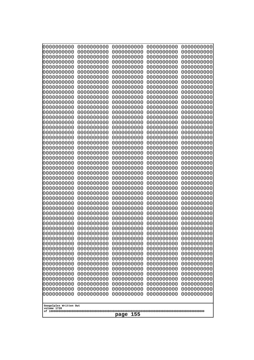| 10000000000<br>0000000000             | 0000000000<br>0000000000 | 0000000000<br>0000000000 | 0000000000<br>0000000000 | 0000000000<br>0000000000 |
|---------------------------------------|--------------------------|--------------------------|--------------------------|--------------------------|
| 0000000000                            | 0000000000               | 0000000000               | 0000000000               | 0000000000               |
| 0000000000                            | 0000000000               | 0000000000               | 0000000000               | 0000000000               |
| 0000000000<br>0000000000              | 0000000000<br>0000000000 | 0000000000<br>0000000000 | 0000000000<br>0000000000 | 0000000000<br>0000000000 |
| 0000000000                            | 0000000000               | 0000000000               | 0000000000               | 0000000000               |
| 0000000000                            | 0000000000               | 0000000000               | 0000000000               | 0000000000               |
| 0000000000<br>0000000000              | 0000000000<br>0000000000 | 0000000000<br>0000000000 | 0000000000<br>0000000000 | 0000000000<br>0000000000 |
| 0000000000                            | 0000000000               | 0000000000               | 0000000000               | 0000000000               |
| 0000000000                            | 0000000000               | 0000000000               | 0000000000               | 0000000000               |
| 0000000000                            | 0000000000               | 0000000000               | 0000000000               | 0000000000               |
| 0000000000<br>0000000000              | 0000000000<br>0000000000 | 0000000000<br>0000000000 | 0000000000<br>0000000000 | 0000000000<br>0000000000 |
| 0000000000                            | 0000000000               | 0000000000               | 0000000000               | 0000000000               |
| 0000000000                            | 0000000000               | 0000000000               | 0000000000               | 0000000000               |
| 0000000000<br>0000000000              | 0000000000<br>0000000000 | 0000000000<br>0000000000 | 0000000000<br>0000000000 | 0000000000<br>0000000000 |
| 0000000000                            | 0000000000               | 0000000000               | 0000000000               | 0000000000               |
| 0000000000                            | 0000000000               | 0000000000               | 0000000000               | 0000000000               |
| 0000000000<br>0000000000              | 0000000000<br>0000000000 | 0000000000<br>0000000000 | 0000000000<br>0000000000 | 0000000000<br>0000000000 |
| 0000000000                            | 0000000000               | 0000000000               | 0000000000               | 0000000000               |
| 0000000000                            | 0000000000               | 0000000000               | 0000000000               | 0000000000               |
| 0000000000<br>0000000000              | 0000000000<br>0000000000 | 0000000000<br>0000000000 | 0000000000<br>0000000000 | 0000000000<br>0000000000 |
| 0000000000                            | 0000000000               | 0000000000               | 0000000000               | 0000000000               |
| 0000000000                            | 0000000000               | 0000000000               | 0000000000               | 0000000000               |
| 0000000000                            | 0000000000<br>0000000000 | 0000000000<br>0000000000 | 0000000000<br>0000000000 | 0000000000               |
| 0000000000<br>0000000000              | 0000000000               | 0000000000               | 0000000000               | 0000000000<br>0000000000 |
| 0000000000                            | 0000000000               | 0000000000               | 0000000000               | 0000000000               |
| 0000000000                            | 0000000000               | 0000000000               | 0000000000               | 0000000000               |
| 0000000000<br>0000000000              | 0000000000<br>0000000000 | 0000000000<br>0000000000 | 0000000000<br>0000000000 | 0000000000<br>0000000000 |
| 0000000000                            | 0000000000               | 0000000000               | 0000000000               | 0000000000               |
| 0000000000                            | 0000000000               | 0000000000               | 0000000000               | 0000000000               |
| 0000000000<br>0000000000              | 0000000000<br>0000000000 | 0000000000<br>0000000000 | 0000000000<br>0000000000 | 0000000000<br>0000000000 |
| 0000000000                            | 0000000000               | 0000000000               | 0000000000               | 0000000000               |
| 0000000000                            | 0000000000               | 0000000000               | 0000000000               | 0000000000               |
| 0000000000<br>0000000000              | 0000000000<br>0000000000 | 0000000000<br>0000000000 | 0000000000<br>0000000000 | 0000000000<br>0000000000 |
| 0000000000                            | 0000000000               | 0000000000               | 0000000000               | 0000000000               |
| 0000000000                            | 0000000000               | 0000000000               | 0000000000               | 0000000000               |
| 0000000000<br>0000000000              | 0000000000<br>0000000000 | 0000000000<br>0000000000 | 0000000000<br>0000000000 | 0000000000<br>0000000000 |
| 0000000000                            | 0000000000               | 0000000000               | 0000000000               | 0000000000               |
| 0000000000                            | 0000000000               | 0000000000               | 0000000000               | 0000000000               |
|                                       |                          |                          |                          |                          |
| Googolplex Written Out<br>volume 1720 |                          |                          |                          |                          |
| 155<br>page                           |                          |                          |                          |                          |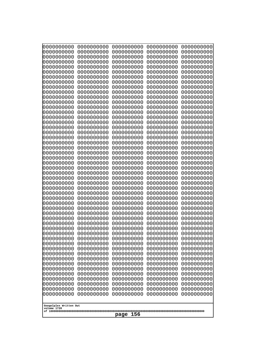| 0000000000                            | 0000000000               | 0000000000               | 0000000000               | 0000000000               |
|---------------------------------------|--------------------------|--------------------------|--------------------------|--------------------------|
| 0000000000<br>0000000000              | 0000000000<br>0000000000 | 0000000000<br>0000000000 | 0000000000<br>0000000000 | 0000000000<br>0000000000 |
| 0000000000                            | 0000000000               | 0000000000               | 0000000000               | 0000000000               |
| 0000000000                            | 0000000000               | 0000000000               | 0000000000               | 0000000000               |
| 0000000000                            | 0000000000               | 0000000000               | 0000000000               | 0000000000               |
| 0000000000<br>0000000000              | 0000000000<br>0000000000 | 0000000000<br>0000000000 | 0000000000<br>0000000000 | 0000000000<br>0000000000 |
| 0000000000                            | 0000000000               | 0000000000               | 0000000000               | 0000000000               |
| 0000000000                            | 0000000000               | 0000000000               | 0000000000               | 0000000000               |
| 0000000000<br>0000000000              | 0000000000<br>0000000000 | 0000000000<br>0000000000 | 0000000000<br>0000000000 | 0000000000               |
| 0000000000                            | 0000000000               | 0000000000               | 0000000000               | 0000000000<br>0000000000 |
| 0000000000                            | 0000000000               | 0000000000               | 0000000000               | 0000000000               |
| 0000000000                            | 0000000000               | 0000000000               | 0000000000               | 0000000000               |
| 0000000000<br>0000000000              | 0000000000<br>0000000000 | 0000000000<br>0000000000 | 0000000000<br>0000000000 | 0000000000<br>0000000000 |
| 0000000000                            | 0000000000               | 0000000000               | 0000000000               | 0000000000               |
| 0000000000                            | 0000000000               | 0000000000               | 0000000000               | 0000000000               |
| 0000000000                            | 0000000000               | 0000000000               | 0000000000               | 0000000000<br>0000000000 |
| 0000000000<br>0000000000              | 0000000000<br>0000000000 | 0000000000<br>0000000000 | 0000000000<br>0000000000 | 0000000000               |
| 0000000000                            | 0000000000               | 0000000000               | 0000000000               | 0000000000               |
| 0000000000                            | 0000000000               | 0000000000               | 0000000000               | 0000000000               |
| 0000000000<br>0000000000              | 0000000000<br>0000000000 | 0000000000<br>0000000000 | 0000000000<br>0000000000 | 0000000000<br>0000000000 |
| 0000000000                            | 0000000000               | 0000000000               | 0000000000               | 0000000000               |
| 0000000000                            | 0000000000               | 0000000000               | 0000000000               | 0000000000               |
| 0000000000<br>0000000000              | 0000000000<br>0000000000 | 0000000000<br>0000000000 | 0000000000<br>0000000000 | 0000000000<br>0000000000 |
| 0000000000                            | 0000000000               | 0000000000               | 0000000000               | 0000000000               |
| 0000000000                            | 0000000000               | 0000000000               | 0000000000               | 0000000000               |
| 0000000000                            | 0000000000               | 0000000000               | 0000000000               | 0000000000               |
| 0000000000<br>0000000000              | 0000000000<br>0000000000 | 0000000000<br>0000000000 | 0000000000<br>0000000000 | 0000000000<br>0000000000 |
| 0000000000                            | 0000000000               | 0000000000               | 0000000000               | 0000000000               |
| 0000000000                            | 0000000000               | 0000000000               | 0000000000               | 0000000000               |
| 0000000000<br>0000000000              | 0000000000<br>0000000000 | 0000000000<br>0000000000 | 0000000000<br>0000000000 | 0000000000<br>0000000000 |
| 0000000000                            | 0000000000               | 0000000000               | 0000000000               | 0000000000               |
| 0000000000                            | 0000000000               | 0000000000               | 0000000000               | 0000000000               |
| 0000000000<br>0000000000              | 0000000000<br>0000000000 | 0000000000<br>0000000000 | 0000000000<br>0000000000 | 0000000000<br>0000000000 |
| 0000000000                            | 0000000000               | 0000000000               | 0000000000               | 0000000000               |
| 0000000000                            | 0000000000               | 0000000000               | 0000000000               | 0000000000               |
| 0000000000                            | 0000000000               | 0000000000               | 0000000000               | 0000000000               |
| 0000000000<br>0000000000              | 0000000000<br>0000000000 | 0000000000<br>0000000000 | 0000000000<br>0000000000 | 0000000000<br>0000000000 |
| 0000000000                            | 0000000000               | 0000000000               | 0000000000               | 0000000000               |
| 0000000000                            | 0000000000               | 0000000000               | 0000000000               | 0000000000               |
|                                       |                          |                          |                          |                          |
| Googolplex Written Out<br>volume 1720 |                          |                          |                          |                          |
| 156<br>page                           |                          |                          |                          |                          |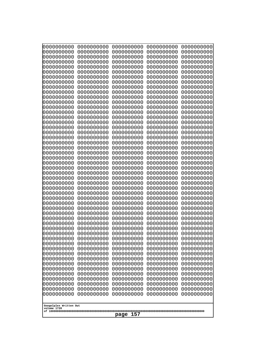| 10000000000<br>0000000000             | 0000000000<br>0000000000 | 0000000000<br>0000000000 | 0000000000<br>0000000000 | 0000000000<br>0000000000 |
|---------------------------------------|--------------------------|--------------------------|--------------------------|--------------------------|
| 0000000000                            | 0000000000               | 0000000000               | 0000000000               | 0000000000               |
| 0000000000                            | 0000000000               | 0000000000               | 0000000000               | 0000000000               |
| 0000000000<br>0000000000              | 0000000000<br>0000000000 | 0000000000<br>0000000000 | 0000000000<br>0000000000 | 0000000000<br>0000000000 |
| 0000000000                            | 0000000000               | 0000000000               | 0000000000               | 0000000000               |
| 0000000000                            | 0000000000               | 0000000000               | 0000000000               | 0000000000               |
| 0000000000<br>0000000000              | 0000000000<br>0000000000 | 0000000000<br>0000000000 | 0000000000<br>0000000000 | 0000000000<br>0000000000 |
| 0000000000                            | 0000000000               | 0000000000               | 0000000000               | 0000000000               |
| 0000000000                            | 0000000000               | 0000000000               | 0000000000               | 0000000000               |
| 0000000000                            | 0000000000               | 0000000000               | 0000000000               | 0000000000               |
| 0000000000<br>0000000000              | 0000000000<br>0000000000 | 0000000000<br>0000000000 | 0000000000<br>0000000000 | 0000000000<br>0000000000 |
| 0000000000                            | 0000000000               | 0000000000               | 0000000000               | 0000000000               |
| 0000000000                            | 0000000000               | 0000000000               | 0000000000               | 0000000000               |
| 0000000000<br>0000000000              | 0000000000<br>0000000000 | 0000000000<br>0000000000 | 0000000000<br>0000000000 | 0000000000<br>0000000000 |
| 0000000000                            | 0000000000               | 0000000000               | 0000000000               | 0000000000               |
| 0000000000                            | 0000000000               | 0000000000               | 0000000000               | 0000000000               |
| 0000000000<br>0000000000              | 0000000000<br>0000000000 | 0000000000<br>0000000000 | 0000000000<br>0000000000 | 0000000000<br>0000000000 |
| 0000000000                            | 0000000000               | 0000000000               | 0000000000               | 0000000000               |
| 0000000000                            | 0000000000               | 0000000000               | 0000000000               | 0000000000               |
| 0000000000<br>0000000000              | 0000000000<br>0000000000 | 0000000000<br>0000000000 | 0000000000<br>0000000000 | 0000000000<br>0000000000 |
| 0000000000                            | 0000000000               | 0000000000               | 0000000000               | 0000000000               |
| 0000000000                            | 0000000000               | 0000000000               | 0000000000               | 0000000000               |
| 0000000000                            | 0000000000               | 0000000000               | 0000000000               | 0000000000               |
| 0000000000<br>0000000000              | 0000000000<br>0000000000 | 0000000000<br>0000000000 | 0000000000<br>0000000000 | 0000000000<br>0000000000 |
| 0000000000                            | 0000000000               | 0000000000               | 0000000000               | 0000000000               |
| 0000000000                            | 0000000000               | 0000000000               | 0000000000               | 0000000000               |
| 0000000000<br>0000000000              | 0000000000<br>0000000000 | 0000000000<br>0000000000 | 0000000000<br>0000000000 | 0000000000<br>0000000000 |
| 0000000000                            | 0000000000               | 0000000000               | 0000000000               | 0000000000               |
| 0000000000                            | 0000000000               | 0000000000               | 0000000000               | 0000000000               |
| 0000000000<br>0000000000              | 0000000000<br>0000000000 | 0000000000<br>0000000000 | 0000000000<br>0000000000 | 0000000000<br>0000000000 |
| 0000000000                            | 0000000000               | 0000000000               | 0000000000               | 0000000000               |
| 0000000000                            | 0000000000               | 0000000000               | 0000000000               | 0000000000               |
| 0000000000<br>0000000000              | 0000000000<br>0000000000 | 0000000000<br>0000000000 | 0000000000<br>0000000000 | 0000000000<br>0000000000 |
| 0000000000                            | 0000000000               | 0000000000               | 0000000000               | 0000000000               |
| 0000000000                            | 0000000000               | 0000000000               | 0000000000               | 0000000000               |
| 0000000000<br>0000000000              | 0000000000               | 0000000000               | 0000000000               | 0000000000               |
| 0000000000                            | 0000000000<br>0000000000 | 0000000000<br>0000000000 | 0000000000<br>0000000000 | 0000000000<br>0000000000 |
| 0000000000                            | 0000000000               | 0000000000               | 0000000000               | 0000000000               |
|                                       |                          |                          |                          |                          |
| Googolplex Written Out<br>volume 1720 |                          |                          |                          |                          |
| 157<br>page                           |                          |                          |                          |                          |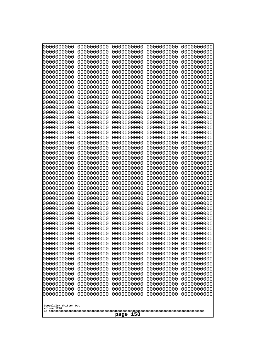| 10000000000              | 0000000000               | 0000000000               | 0000000000               | 0000000000               |  |
|--------------------------|--------------------------|--------------------------|--------------------------|--------------------------|--|
| 0000000000<br>0000000000 | 0000000000<br>0000000000 | 0000000000<br>0000000000 | 0000000000<br>0000000000 | 0000000000<br>0000000000 |  |
| 0000000000               | 0000000000               | 0000000000               | 0000000000               | 0000000000               |  |
| 0000000000               | 0000000000               | 0000000000               | 0000000000               | 0000000000               |  |
| 0000000000               | 0000000000               | 0000000000               | 0000000000               | 0000000000               |  |
| 0000000000<br>0000000000 | 0000000000<br>0000000000 | 0000000000<br>0000000000 | 0000000000<br>0000000000 | 0000000000<br>0000000000 |  |
| 0000000000               | 0000000000               | 0000000000               | 0000000000               | 0000000000               |  |
| 0000000000               | 0000000000               | 0000000000               | 0000000000               | 0000000000               |  |
| 0000000000               | 0000000000               | 0000000000               | 0000000000               | 0000000000               |  |
| 0000000000<br>0000000000 | 0000000000<br>0000000000 | 0000000000<br>0000000000 | 0000000000<br>0000000000 | 0000000000<br>0000000000 |  |
| 0000000000               | 0000000000               | 0000000000               | 0000000000               | 0000000000               |  |
| 0000000000               | 0000000000               | 0000000000               | 0000000000               | 0000000000               |  |
| 0000000000               | 0000000000               | 0000000000               | 0000000000               | 0000000000               |  |
| 0000000000<br>0000000000 | 0000000000<br>0000000000 | 0000000000<br>0000000000 | 0000000000<br>0000000000 | 0000000000<br>0000000000 |  |
| 0000000000               | 0000000000               | 0000000000               | 0000000000               | 0000000000               |  |
| 0000000000               | 0000000000               | 0000000000               | 0000000000               | 0000000000               |  |
| 0000000000               | 0000000000<br>0000000000 | 0000000000               | 0000000000               | 0000000000               |  |
| 0000000000<br>0000000000 | 0000000000               | 0000000000<br>0000000000 | 0000000000<br>0000000000 | 0000000000<br>0000000000 |  |
| 0000000000               | 0000000000               | 0000000000               | 0000000000               | 0000000000               |  |
| 0000000000               | 0000000000               | 0000000000               | 0000000000               | 0000000000               |  |
| 0000000000<br>0000000000 | 0000000000<br>0000000000 | 0000000000<br>0000000000 | 0000000000<br>0000000000 | 0000000000<br>0000000000 |  |
| 0000000000               | 0000000000               | 0000000000               | 0000000000               | 0000000000               |  |
| 0000000000               | 0000000000               | 0000000000               | 0000000000               | 0000000000               |  |
| 0000000000               | 0000000000               | 0000000000               | 0000000000               | 0000000000               |  |
| 0000000000<br>0000000000 | 0000000000<br>0000000000 | 0000000000<br>0000000000 | 0000000000<br>0000000000 | 0000000000<br>0000000000 |  |
| 0000000000               | 0000000000               | 0000000000               | 0000000000               | 0000000000               |  |
| 0000000000               | 0000000000               | 0000000000               | 0000000000               | 0000000000               |  |
| 0000000000<br>0000000000 | 0000000000<br>0000000000 | 0000000000               | 0000000000               | 0000000000               |  |
| 0000000000               | 0000000000               | 0000000000<br>0000000000 | 0000000000<br>0000000000 | 0000000000<br>0000000000 |  |
| 0000000000               | 0000000000               | 0000000000               | 0000000000               | 0000000000               |  |
| 0000000000               | 0000000000               | 0000000000               | 0000000000               | 0000000000               |  |
| 0000000000<br>0000000000 | 0000000000<br>0000000000 | 0000000000<br>0000000000 | 0000000000<br>0000000000 | 0000000000<br>0000000000 |  |
| 0000000000               | 0000000000               | 0000000000               | 0000000000               | 0000000000               |  |
| 0000000000               | 0000000000               | 0000000000               | 0000000000               | 0000000000               |  |
| 0000000000               | 0000000000               | 0000000000               | 0000000000               | 0000000000               |  |
| 0000000000<br>0000000000 | 0000000000<br>0000000000 | 0000000000<br>0000000000 | 0000000000<br>0000000000 | 0000000000<br>0000000000 |  |
| 0000000000               | 0000000000               | 0000000000               | 0000000000               | 0000000000               |  |
| 0000000000               | 0000000000               | 0000000000               | 0000000000               | 0000000000               |  |
| 0000000000               | 0000000000               | 0000000000               | 0000000000               | 0000000000               |  |
| 0000000000               | 0000000000               | 0000000000               | 0000000000               | 0000000000               |  |
| Googolplex Written Out   |                          |                          |                          |                          |  |
| volume 1720              |                          |                          |                          |                          |  |
|                          | 158<br>page              |                          |                          |                          |  |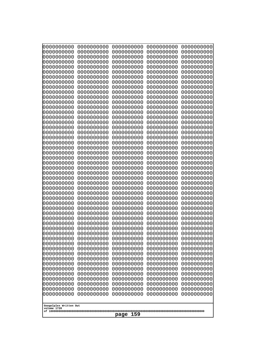| 0000000000                                                                                                                                                                                       | 0000000000 | 0000000000 | 0000000000 | 0000000000 |
|--------------------------------------------------------------------------------------------------------------------------------------------------------------------------------------------------|------------|------------|------------|------------|
| 0000000000                                                                                                                                                                                       | 0000000000 | 0000000000 | 0000000000 | 0000000000 |
| 0000000000                                                                                                                                                                                       | 0000000000 | 0000000000 | 0000000000 | 0000000000 |
| 0000000000                                                                                                                                                                                       | 0000000000 | 0000000000 | 0000000000 | 0000000000 |
| 0000000000                                                                                                                                                                                       | 0000000000 | 0000000000 | 0000000000 | 0000000000 |
| 0000000000                                                                                                                                                                                       | 0000000000 | 0000000000 | 0000000000 | 0000000000 |
| 0000000000                                                                                                                                                                                       | 0000000000 | 0000000000 | 0000000000 | 0000000000 |
| 0000000000                                                                                                                                                                                       | 0000000000 | 0000000000 | 0000000000 | 0000000000 |
| 0000000000                                                                                                                                                                                       | 0000000000 | 0000000000 | 0000000000 | 0000000000 |
| 0000000000                                                                                                                                                                                       | 0000000000 | 0000000000 | 0000000000 | 0000000000 |
| 0000000000                                                                                                                                                                                       | 0000000000 | 0000000000 | 0000000000 | 0000000000 |
| 0000000000                                                                                                                                                                                       | 0000000000 | 0000000000 | 0000000000 | 0000000000 |
| 0000000000                                                                                                                                                                                       | 0000000000 | 0000000000 | 0000000000 | 0000000000 |
| 0000000000                                                                                                                                                                                       | 0000000000 | 0000000000 | 0000000000 | 0000000000 |
| 0000000000                                                                                                                                                                                       | 0000000000 | 0000000000 | 0000000000 | 0000000000 |
| 0000000000                                                                                                                                                                                       | 0000000000 | 0000000000 | 0000000000 | 0000000000 |
| 0000000000                                                                                                                                                                                       | 0000000000 | 0000000000 | 0000000000 | 0000000000 |
| 0000000000                                                                                                                                                                                       | 0000000000 | 0000000000 | 0000000000 | 0000000000 |
| 0000000000                                                                                                                                                                                       | 0000000000 | 0000000000 | 0000000000 | 0000000000 |
| 0000000000                                                                                                                                                                                       | 0000000000 | 0000000000 | 0000000000 | 0000000000 |
| 0000000000                                                                                                                                                                                       | 0000000000 | 0000000000 | 0000000000 | 0000000000 |
| 0000000000                                                                                                                                                                                       | 0000000000 | 0000000000 | 0000000000 | 0000000000 |
| 0000000000                                                                                                                                                                                       | 0000000000 | 0000000000 | 0000000000 | 0000000000 |
| 0000000000                                                                                                                                                                                       | 0000000000 | 0000000000 | 0000000000 | 0000000000 |
| 0000000000                                                                                                                                                                                       | 0000000000 | 0000000000 | 0000000000 | 0000000000 |
| 0000000000                                                                                                                                                                                       | 0000000000 | 0000000000 | 0000000000 | 0000000000 |
| 0000000000                                                                                                                                                                                       | 0000000000 | 0000000000 | 0000000000 | 0000000000 |
| 0000000000                                                                                                                                                                                       | 0000000000 | 0000000000 | 0000000000 | 0000000000 |
| 0000000000                                                                                                                                                                                       | 0000000000 | 0000000000 | 0000000000 | 0000000000 |
| 0000000000                                                                                                                                                                                       | 0000000000 | 0000000000 | 0000000000 | 0000000000 |
| 0000000000                                                                                                                                                                                       | 0000000000 | 0000000000 | 0000000000 | 0000000000 |
| 0000000000                                                                                                                                                                                       | 0000000000 | 0000000000 | 0000000000 | 0000000000 |
| 0000000000                                                                                                                                                                                       | 0000000000 | 0000000000 | 0000000000 | 0000000000 |
| 0000000000                                                                                                                                                                                       | 0000000000 | 0000000000 | 0000000000 | 0000000000 |
| 0000000000                                                                                                                                                                                       | 0000000000 | 0000000000 | 0000000000 | 0000000000 |
| 0000000000                                                                                                                                                                                       | 0000000000 | 0000000000 | 0000000000 | 0000000000 |
| 0000000000                                                                                                                                                                                       | 0000000000 | 0000000000 | 0000000000 | 0000000000 |
| 0000000000                                                                                                                                                                                       | 0000000000 | 0000000000 | 0000000000 | 0000000000 |
| 0000000000                                                                                                                                                                                       | 0000000000 | 0000000000 | 0000000000 | 0000000000 |
| 0000000000                                                                                                                                                                                       | 0000000000 | 0000000000 | 0000000000 | 0000000000 |
| 0000000000                                                                                                                                                                                       | 0000000000 | 0000000000 | 0000000000 | 0000000000 |
| 0000000000                                                                                                                                                                                       | 0000000000 | 0000000000 | 0000000000 | 0000000000 |
| 0000000000                                                                                                                                                                                       | 0000000000 | 0000000000 | 0000000000 | 0000000000 |
| 0000000000                                                                                                                                                                                       | 0000000000 | 0000000000 | 0000000000 | 0000000000 |
| 0000000000                                                                                                                                                                                       | 0000000000 | 0000000000 | 0000000000 | 0000000000 |
| 0000000000                                                                                                                                                                                       | 0000000000 | 0000000000 | 0000000000 | 0000000000 |
| 0000000000                                                                                                                                                                                       | 0000000000 | 0000000000 | 0000000000 | 0000000000 |
| 0000000000                                                                                                                                                                                       | 0000000000 | 0000000000 | 0000000000 | 0000000000 |
| 0000000000<br>0000000000<br>0000000000<br>0000000000<br>0000000000<br>0000000000<br>0000000000<br>0000000000<br>0000000000<br>0000000000<br>Googolplex Written Out<br>volume 1720<br>159<br>page |            |            |            |            |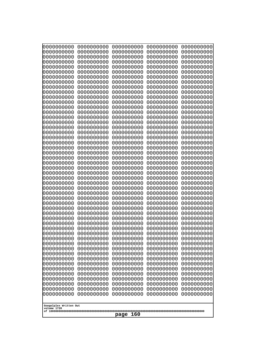| 10000000000<br>0000000000 | 0000000000<br>0000000000 | 0000000000<br>0000000000 | 0000000000<br>0000000000 | 0000000000<br>0000000000 |
|---------------------------|--------------------------|--------------------------|--------------------------|--------------------------|
| 0000000000                | 0000000000               | 0000000000               | 0000000000               | 0000000000               |
| 0000000000                | 0000000000               | 0000000000               | 0000000000               | 0000000000               |
| 0000000000                | 0000000000               | 0000000000               | 0000000000               | 0000000000               |
| 0000000000<br>0000000000  | 0000000000<br>0000000000 | 0000000000<br>0000000000 | 0000000000<br>0000000000 | 0000000000<br>0000000000 |
| 0000000000                | 0000000000               | 0000000000               | 0000000000               | 0000000000               |
| 0000000000                | 0000000000               | 0000000000               | 0000000000               | 0000000000               |
| 0000000000                | 0000000000               | 0000000000               | 0000000000               | 0000000000               |
| 0000000000<br>0000000000  | 0000000000<br>0000000000 | 0000000000<br>0000000000 | 0000000000<br>0000000000 | 0000000000<br>0000000000 |
| 0000000000                | 0000000000               | 0000000000               | 0000000000               | 0000000000               |
| 0000000000                | 0000000000               | 0000000000               | 0000000000               | 0000000000               |
| 0000000000<br>0000000000  | 0000000000<br>0000000000 | 0000000000<br>0000000000 | 0000000000<br>0000000000 | 0000000000<br>0000000000 |
| 0000000000                | 0000000000               | 0000000000               | 0000000000               | 0000000000               |
| 0000000000                | 0000000000               | 0000000000               | 0000000000               | 0000000000               |
| 0000000000                | 0000000000               | 0000000000               | 0000000000               | 0000000000               |
| 0000000000<br>0000000000  | 0000000000<br>0000000000 | 0000000000<br>0000000000 | 0000000000<br>0000000000 | 0000000000<br>0000000000 |
| 0000000000                | 0000000000               | 0000000000               | 0000000000               | 0000000000               |
| 0000000000                | 0000000000               | 0000000000               | 0000000000               | 0000000000               |
| 0000000000<br>0000000000  | 0000000000<br>0000000000 | 0000000000<br>0000000000 | 0000000000<br>0000000000 | 0000000000<br>0000000000 |
| 0000000000                | 0000000000               | 0000000000               | 0000000000               | 0000000000               |
| 0000000000                | 0000000000               | 0000000000               | 0000000000               | 0000000000               |
| 0000000000                | 0000000000               | 0000000000               | 0000000000               | 0000000000               |
| 0000000000<br>0000000000  | 0000000000<br>0000000000 | 0000000000<br>0000000000 | 0000000000<br>0000000000 | 0000000000<br>0000000000 |
| 0000000000                | 0000000000               | 0000000000               | 0000000000               | 0000000000               |
| 0000000000                | 0000000000               | 0000000000               | 0000000000               | 0000000000               |
| 0000000000<br>0000000000  | 0000000000<br>0000000000 | 0000000000<br>0000000000 | 0000000000<br>0000000000 | 0000000000<br>0000000000 |
| 0000000000                | 0000000000               | 0000000000               | 0000000000               | 0000000000               |
| 0000000000                | 0000000000               | 0000000000               | 0000000000               | 0000000000               |
| 0000000000                | 0000000000               | 0000000000               | 0000000000               | 0000000000               |
| 0000000000<br>0000000000  | 0000000000<br>0000000000 | 0000000000<br>0000000000 | 0000000000<br>0000000000 | 0000000000<br>0000000000 |
| 0000000000                | 0000000000               | 0000000000               | 0000000000               | 0000000000               |
| 0000000000                | 0000000000               | 0000000000               | 0000000000               | 0000000000               |
| 0000000000<br>0000000000  | 0000000000<br>0000000000 | 0000000000<br>0000000000 | 0000000000<br>0000000000 | 0000000000<br>0000000000 |
| 0000000000                | 0000000000               | 0000000000               | 0000000000               | 0000000000               |
| 0000000000                | 0000000000               | 0000000000               | 0000000000               | 0000000000               |
| 0000000000                | 0000000000<br>0000000000 | 0000000000<br>0000000000 | 0000000000               | 0000000000               |
| 0000000000<br>0000000000  | 0000000000               | 0000000000               | 0000000000<br>0000000000 | 0000000000<br>0000000000 |
| 0000000000                | 0000000000               | 0000000000               | 0000000000               | 0000000000               |
| 0000000000                | 0000000000               | 0000000000               | 0000000000               | 0000000000               |
| Googolplex Written Out    |                          |                          |                          |                          |
| volume 1720               |                          |                          |                          |                          |
| page<br>160               |                          |                          |                          |                          |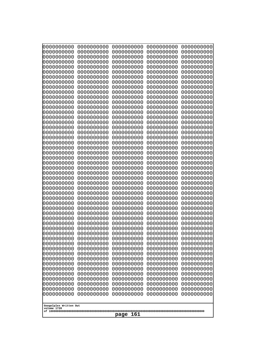| 10000000000              | 0000000000               | 0000000000               | 0000000000               | 0000000000               |
|--------------------------|--------------------------|--------------------------|--------------------------|--------------------------|
| 0000000000<br>0000000000 | 0000000000<br>0000000000 | 0000000000<br>0000000000 | 0000000000<br>0000000000 | 0000000000<br>0000000000 |
| 0000000000               | 0000000000               | 0000000000               | 0000000000               | 0000000000               |
| 0000000000               | 0000000000               | 0000000000               | 0000000000               | 0000000000               |
| 0000000000               | 0000000000               | 0000000000               | 0000000000               | 0000000000               |
| 0000000000<br>0000000000 | 0000000000<br>0000000000 | 0000000000<br>0000000000 | 0000000000<br>0000000000 | 0000000000<br>0000000000 |
| 0000000000               | 0000000000               | 0000000000               | 0000000000               | 0000000000               |
| 0000000000               | 0000000000               | 0000000000               | 0000000000               | 0000000000               |
| 0000000000               | 0000000000               | 0000000000               | 0000000000               | 0000000000               |
| 0000000000<br>0000000000 | 0000000000<br>0000000000 | 0000000000<br>0000000000 | 0000000000<br>0000000000 | 0000000000<br>0000000000 |
| 0000000000               | 0000000000               | 0000000000               | 0000000000               | 0000000000               |
| 0000000000               | 0000000000               | 0000000000               | 0000000000               | 0000000000               |
| 0000000000               | 0000000000               | 0000000000               | 0000000000               | 0000000000               |
| 0000000000<br>0000000000 | 0000000000<br>0000000000 | 0000000000<br>0000000000 | 0000000000<br>0000000000 | 0000000000<br>0000000000 |
| 0000000000               | 0000000000               | 0000000000               | 0000000000               | 0000000000               |
| 0000000000               | 0000000000               | 0000000000               | 0000000000               | 0000000000               |
| 0000000000<br>0000000000 | 0000000000<br>0000000000 | 0000000000<br>0000000000 | 0000000000<br>0000000000 | 0000000000<br>0000000000 |
| 0000000000               | 0000000000               | 0000000000               | 0000000000               | 0000000000               |
| 0000000000               | 0000000000               | 0000000000               | 0000000000               | 0000000000               |
| 0000000000               | 0000000000               | 0000000000               | 0000000000               | 0000000000               |
| 0000000000<br>0000000000 | 0000000000<br>0000000000 | 0000000000<br>0000000000 | 0000000000<br>0000000000 | 0000000000<br>0000000000 |
| 0000000000               | 0000000000               | 0000000000               | 0000000000               | 0000000000               |
| 0000000000               | 0000000000               | 0000000000               | 0000000000               | 0000000000               |
| 0000000000               | 0000000000               | 0000000000               | 0000000000               | 0000000000               |
| 0000000000<br>0000000000 | 0000000000<br>0000000000 | 0000000000<br>0000000000 | 0000000000<br>0000000000 | 0000000000<br>0000000000 |
| 0000000000               | 0000000000               | 0000000000               | 0000000000               | 0000000000               |
| 0000000000               | 0000000000               | 0000000000               | 0000000000               | 0000000000               |
| 0000000000<br>0000000000 | 0000000000<br>0000000000 | 0000000000<br>0000000000 | 0000000000<br>0000000000 | 0000000000<br>0000000000 |
| 0000000000               | 0000000000               | 0000000000               | 0000000000               | 0000000000               |
| 0000000000               | 0000000000               | 0000000000               | 0000000000               | 0000000000               |
| 0000000000               | 0000000000               | 0000000000               | 0000000000               | 0000000000               |
| 0000000000<br>0000000000 | 0000000000<br>0000000000 | 0000000000<br>0000000000 | 0000000000<br>0000000000 | 0000000000<br>0000000000 |
| 0000000000               | 0000000000               | 0000000000               | 0000000000               | 0000000000               |
| 0000000000               | 0000000000               | 0000000000               | 0000000000               | 0000000000               |
| 0000000000               | 0000000000               | 0000000000               | 0000000000               | 0000000000               |
| 0000000000<br>0000000000 | 0000000000<br>0000000000 | 0000000000<br>0000000000 | 0000000000<br>0000000000 | 0000000000<br>0000000000 |
| 0000000000               | 0000000000               | 0000000000               | 0000000000               | 0000000000               |
| 0000000000               | 0000000000               | 0000000000               | 0000000000               | 0000000000               |
| 0000000000<br>0000000000 | 0000000000<br>0000000000 | 0000000000<br>0000000000 | 0000000000<br>0000000000 | 0000000000<br>0000000000 |
|                          |                          |                          |                          |                          |
| Googolplex Written Out   |                          |                          |                          |                          |
| volume 1720              |                          | page<br>161              |                          |                          |
|                          |                          |                          |                          |                          |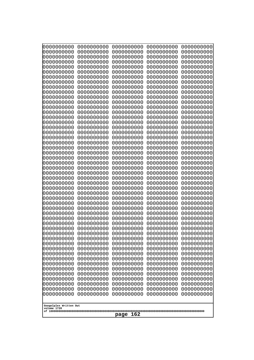| 10000000000<br>0000000000 | 0000000000<br>0000000000 | 0000000000<br>0000000000 | 0000000000<br>0000000000 | 0000000000<br>0000000000 |
|---------------------------|--------------------------|--------------------------|--------------------------|--------------------------|
| 0000000000                | 0000000000               | 0000000000               | 0000000000               | 0000000000               |
| 0000000000                | 0000000000               | 0000000000               | 0000000000               | 0000000000               |
| 0000000000<br>0000000000  | 0000000000<br>0000000000 | 0000000000<br>0000000000 | 0000000000<br>0000000000 | 0000000000<br>0000000000 |
| 0000000000                | 0000000000               | 0000000000               | 0000000000               | 0000000000               |
| 0000000000                | 0000000000               | 0000000000               | 0000000000               | 0000000000               |
| 0000000000<br>0000000000  | 0000000000<br>0000000000 | 0000000000<br>0000000000 | 0000000000<br>0000000000 | 0000000000<br>0000000000 |
| 0000000000                | 0000000000               | 0000000000               | 0000000000               | 0000000000               |
| 0000000000                | 0000000000               | 0000000000               | 0000000000               | 0000000000               |
| 0000000000                | 0000000000               | 0000000000               | 0000000000               | 0000000000               |
| 0000000000<br>0000000000  | 0000000000<br>0000000000 | 0000000000<br>0000000000 | 0000000000<br>0000000000 | 0000000000<br>0000000000 |
| 0000000000                | 0000000000               | 0000000000               | 0000000000               | 0000000000               |
| 0000000000                | 0000000000               | 0000000000               | 0000000000               | 0000000000               |
| 0000000000<br>0000000000  | 0000000000<br>0000000000 | 0000000000<br>0000000000 | 0000000000<br>0000000000 | 0000000000<br>0000000000 |
| 0000000000                | 0000000000               | 0000000000               | 0000000000               | 0000000000               |
| 0000000000                | 0000000000               | 0000000000               | 0000000000               | 0000000000               |
| 0000000000<br>0000000000  | 0000000000<br>0000000000 | 0000000000<br>0000000000 | 0000000000<br>0000000000 | 0000000000<br>0000000000 |
| 0000000000                | 0000000000               | 0000000000               | 0000000000               | 0000000000               |
| 0000000000                | 0000000000               | 0000000000               | 0000000000               | 0000000000               |
| 0000000000<br>0000000000  | 0000000000<br>0000000000 | 0000000000<br>0000000000 | 0000000000<br>0000000000 | 0000000000<br>0000000000 |
| 0000000000                | 0000000000               | 0000000000               | 0000000000               | 0000000000               |
| 0000000000                | 0000000000               | 0000000000               | 0000000000               | 0000000000               |
| 0000000000<br>0000000000  | 0000000000<br>0000000000 | 0000000000<br>0000000000 | 0000000000<br>0000000000 | 0000000000<br>0000000000 |
| 0000000000                | 0000000000               | 0000000000               | 0000000000               | 0000000000               |
| 0000000000                | 0000000000               | 0000000000               | 0000000000               | 0000000000               |
| 0000000000<br>0000000000  | 0000000000<br>0000000000 | 0000000000<br>0000000000 | 0000000000<br>0000000000 | 0000000000<br>0000000000 |
| 0000000000                | 0000000000               | 0000000000               | 0000000000               | 0000000000               |
| 0000000000                | 0000000000               | 0000000000               | 0000000000               | 0000000000               |
| 0000000000<br>0000000000  | 0000000000<br>0000000000 | 0000000000<br>0000000000 | 0000000000<br>0000000000 | 0000000000<br>0000000000 |
| 0000000000                | 0000000000               | 0000000000               | 0000000000               | 0000000000               |
| 0000000000                | 0000000000               | 0000000000               | 0000000000               | 0000000000               |
| 0000000000<br>0000000000  | 0000000000<br>0000000000 | 0000000000<br>0000000000 | 0000000000<br>0000000000 | 0000000000<br>0000000000 |
| 0000000000                | 0000000000               | 0000000000               | 0000000000               | 0000000000               |
| 0000000000                | 0000000000               | 0000000000               | 0000000000               | 0000000000               |
| 0000000000                | 0000000000               | 0000000000               | 0000000000               | 0000000000               |
| 0000000000<br>0000000000  | 0000000000<br>0000000000 | 0000000000<br>0000000000 | 0000000000<br>0000000000 | 0000000000<br>0000000000 |
| 0000000000                | 0000000000               | 0000000000               | 0000000000               | 0000000000               |
| 0000000000                | 0000000000               | 0000000000               | 0000000000               | 0000000000               |
| Googolplex Written Out    |                          |                          |                          |                          |
| volume 1720               |                          |                          |                          |                          |
| page<br>162               |                          |                          |                          |                          |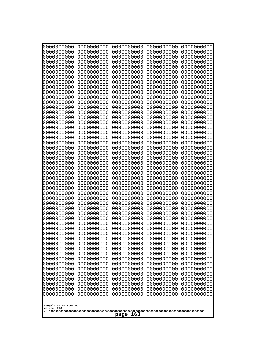| 10000000000<br>0000000000 | 0000000000<br>0000000000 | 0000000000<br>0000000000 | 0000000000<br>0000000000 | 0000000000<br>0000000000 |
|---------------------------|--------------------------|--------------------------|--------------------------|--------------------------|
| 0000000000                | 0000000000               | 0000000000               | 0000000000               | 0000000000               |
| 0000000000                | 0000000000               | 0000000000               | 0000000000               | 0000000000               |
| 0000000000<br>0000000000  | 0000000000<br>0000000000 | 0000000000<br>0000000000 | 0000000000<br>0000000000 | 0000000000<br>0000000000 |
| 0000000000                | 0000000000               | 0000000000               | 0000000000               | 0000000000               |
| 0000000000                | 0000000000               | 0000000000               | 0000000000               | 0000000000               |
| 0000000000<br>0000000000  | 0000000000<br>0000000000 | 0000000000<br>0000000000 | 0000000000<br>0000000000 | 0000000000<br>0000000000 |
| 0000000000                | 0000000000               | 0000000000               | 0000000000               | 0000000000               |
| 0000000000                | 0000000000               | 0000000000               | 0000000000               | 0000000000               |
| 0000000000<br>0000000000  | 0000000000<br>0000000000 | 0000000000<br>0000000000 | 0000000000<br>0000000000 | 0000000000<br>0000000000 |
| 0000000000                | 0000000000               | 0000000000               | 0000000000               | 0000000000               |
| 0000000000                | 0000000000               | 0000000000               | 0000000000               | 0000000000               |
| 0000000000                | 0000000000               | 0000000000<br>0000000000 | 0000000000<br>0000000000 | 0000000000               |
| 0000000000<br>0000000000  | 0000000000<br>0000000000 | 0000000000               | 0000000000               | 0000000000<br>0000000000 |
| 0000000000                | 0000000000               | 0000000000               | 0000000000               | 0000000000               |
| 0000000000                | 0000000000               | 0000000000               | 0000000000               | 0000000000               |
| 0000000000<br>0000000000  | 0000000000<br>0000000000 | 0000000000<br>0000000000 | 0000000000<br>0000000000 | 0000000000<br>0000000000 |
| 0000000000                | 0000000000               | 0000000000               | 0000000000               | 0000000000               |
| 0000000000                | 0000000000               | 0000000000               | 0000000000               | 0000000000               |
| 0000000000<br>0000000000  | 0000000000<br>0000000000 | 0000000000<br>0000000000 | 0000000000<br>0000000000 | 0000000000<br>0000000000 |
| 0000000000                | 0000000000               | 0000000000               | 0000000000               | 0000000000               |
| 0000000000                | 0000000000               | 0000000000               | 0000000000               | 0000000000               |
| 0000000000<br>0000000000  | 0000000000<br>0000000000 | 0000000000<br>0000000000 | 0000000000<br>0000000000 | 0000000000<br>0000000000 |
| 0000000000                | 0000000000               | 0000000000               | 0000000000               | 0000000000               |
| 0000000000                | 0000000000               | 0000000000               | 0000000000               | 0000000000               |
| 0000000000<br>0000000000  | 0000000000<br>0000000000 | 0000000000<br>0000000000 | 0000000000<br>0000000000 | 0000000000<br>0000000000 |
| 0000000000                | 0000000000               | 0000000000               | 0000000000               | 0000000000               |
| 0000000000                | 0000000000               | 0000000000               | 0000000000               | 0000000000               |
| 0000000000<br>0000000000  | 0000000000<br>0000000000 | 0000000000<br>0000000000 | 0000000000<br>0000000000 | 0000000000<br>0000000000 |
| 0000000000                | 0000000000               | 0000000000               | 0000000000               | 0000000000               |
| 0000000000                | 0000000000               | 0000000000               | 0000000000               | 0000000000               |
| 0000000000<br>0000000000  | 0000000000<br>0000000000 | 0000000000<br>0000000000 | 0000000000<br>0000000000 | 0000000000<br>0000000000 |
| 0000000000                | 0000000000               | 0000000000               | 0000000000               | 0000000000               |
| 0000000000                | 0000000000               | 0000000000               | 0000000000               | 0000000000               |
| 0000000000                | 0000000000<br>0000000000 | 0000000000<br>0000000000 | 0000000000               | 0000000000               |
| 0000000000<br>0000000000  | 0000000000               | 0000000000               | 0000000000<br>0000000000 | 0000000000<br>0000000000 |
| 0000000000                | 0000000000               | 0000000000               | 0000000000               | 0000000000               |
| 0000000000                | 0000000000               | 0000000000               | 0000000000               | 0000000000               |
| Googolplex Written Out    |                          |                          |                          |                          |
| volume 1720               |                          |                          |                          |                          |
| page<br>163               |                          |                          |                          |                          |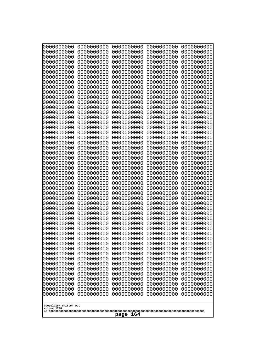| 0000000000<br>0000000000<br>0000000000<br>0000000000<br>0000000000<br>0000000000<br>0000000000<br>0000000000<br>0000000000<br>0000000000<br>0000000000<br>0000000000<br>0000000000<br>0000000000<br>0000000000<br>0000000000<br>0000000000<br>0000000000<br>0000000000<br>0000000000<br>0000000000<br>0000000000<br>0000000000<br>0000000000 | 0000000000<br>0000000000<br>0000000000<br>0000000000<br>0000000000<br>0000000000<br>0000000000<br>0000000000<br>0000000000<br>0000000000<br>0000000000<br>0000000000<br>0000000000<br>0000000000<br>0000000000<br>0000000000<br>0000000000<br>0000000000<br>0000000000<br>0000000000<br>0000000000<br>0000000000<br>0000000000<br>0000000000 | 0000000000<br>0000000000<br>0000000000<br>0000000000<br>0000000000<br>0000000000<br>0000000000<br>0000000000<br>0000000000<br>0000000000<br>0000000000<br>0000000000<br>0000000000<br>0000000000<br>0000000000<br>0000000000<br>0000000000<br>0000000000<br>0000000000<br>0000000000<br>0000000000<br>0000000000<br>0000000000<br>0000000000 | 0000000000<br>0000000000<br>0000000000<br>0000000000<br>0000000000<br>0000000000<br>0000000000<br>0000000000<br>0000000000<br>0000000000<br>0000000000<br>0000000000<br>0000000000<br>0000000000<br>0000000000<br>0000000000<br>0000000000<br>0000000000<br>0000000000<br>0000000000<br>0000000000<br>0000000000<br>0000000000<br>0000000000 | 0000000000<br>0000000000<br>0000000000<br>0000000000<br>0000000000<br>0000000000<br>0000000000<br>0000000000<br>0000000000<br>0000000000<br>0000000000<br>0000000000<br>0000000000<br>0000000000<br>0000000000<br>0000000000<br>0000000000<br>0000000000<br>0000000000<br>0000000000<br>0000000000<br>0000000000<br>0000000000<br>0000000000 |
|----------------------------------------------------------------------------------------------------------------------------------------------------------------------------------------------------------------------------------------------------------------------------------------------------------------------------------------------|----------------------------------------------------------------------------------------------------------------------------------------------------------------------------------------------------------------------------------------------------------------------------------------------------------------------------------------------|----------------------------------------------------------------------------------------------------------------------------------------------------------------------------------------------------------------------------------------------------------------------------------------------------------------------------------------------|----------------------------------------------------------------------------------------------------------------------------------------------------------------------------------------------------------------------------------------------------------------------------------------------------------------------------------------------|----------------------------------------------------------------------------------------------------------------------------------------------------------------------------------------------------------------------------------------------------------------------------------------------------------------------------------------------|
|                                                                                                                                                                                                                                                                                                                                              |                                                                                                                                                                                                                                                                                                                                              |                                                                                                                                                                                                                                                                                                                                              |                                                                                                                                                                                                                                                                                                                                              |                                                                                                                                                                                                                                                                                                                                              |
|                                                                                                                                                                                                                                                                                                                                              |                                                                                                                                                                                                                                                                                                                                              |                                                                                                                                                                                                                                                                                                                                              |                                                                                                                                                                                                                                                                                                                                              |                                                                                                                                                                                                                                                                                                                                              |
|                                                                                                                                                                                                                                                                                                                                              |                                                                                                                                                                                                                                                                                                                                              |                                                                                                                                                                                                                                                                                                                                              |                                                                                                                                                                                                                                                                                                                                              |                                                                                                                                                                                                                                                                                                                                              |
|                                                                                                                                                                                                                                                                                                                                              |                                                                                                                                                                                                                                                                                                                                              |                                                                                                                                                                                                                                                                                                                                              |                                                                                                                                                                                                                                                                                                                                              |                                                                                                                                                                                                                                                                                                                                              |
|                                                                                                                                                                                                                                                                                                                                              |                                                                                                                                                                                                                                                                                                                                              |                                                                                                                                                                                                                                                                                                                                              |                                                                                                                                                                                                                                                                                                                                              |                                                                                                                                                                                                                                                                                                                                              |
|                                                                                                                                                                                                                                                                                                                                              |                                                                                                                                                                                                                                                                                                                                              |                                                                                                                                                                                                                                                                                                                                              |                                                                                                                                                                                                                                                                                                                                              |                                                                                                                                                                                                                                                                                                                                              |
|                                                                                                                                                                                                                                                                                                                                              |                                                                                                                                                                                                                                                                                                                                              |                                                                                                                                                                                                                                                                                                                                              |                                                                                                                                                                                                                                                                                                                                              |                                                                                                                                                                                                                                                                                                                                              |
|                                                                                                                                                                                                                                                                                                                                              |                                                                                                                                                                                                                                                                                                                                              |                                                                                                                                                                                                                                                                                                                                              |                                                                                                                                                                                                                                                                                                                                              |                                                                                                                                                                                                                                                                                                                                              |
|                                                                                                                                                                                                                                                                                                                                              |                                                                                                                                                                                                                                                                                                                                              |                                                                                                                                                                                                                                                                                                                                              |                                                                                                                                                                                                                                                                                                                                              |                                                                                                                                                                                                                                                                                                                                              |
|                                                                                                                                                                                                                                                                                                                                              |                                                                                                                                                                                                                                                                                                                                              |                                                                                                                                                                                                                                                                                                                                              |                                                                                                                                                                                                                                                                                                                                              |                                                                                                                                                                                                                                                                                                                                              |
|                                                                                                                                                                                                                                                                                                                                              |                                                                                                                                                                                                                                                                                                                                              |                                                                                                                                                                                                                                                                                                                                              |                                                                                                                                                                                                                                                                                                                                              |                                                                                                                                                                                                                                                                                                                                              |
|                                                                                                                                                                                                                                                                                                                                              |                                                                                                                                                                                                                                                                                                                                              |                                                                                                                                                                                                                                                                                                                                              |                                                                                                                                                                                                                                                                                                                                              |                                                                                                                                                                                                                                                                                                                                              |
|                                                                                                                                                                                                                                                                                                                                              |                                                                                                                                                                                                                                                                                                                                              |                                                                                                                                                                                                                                                                                                                                              |                                                                                                                                                                                                                                                                                                                                              |                                                                                                                                                                                                                                                                                                                                              |
| 0000000000<br>0000000000                                                                                                                                                                                                                                                                                                                     | 0000000000<br>0000000000                                                                                                                                                                                                                                                                                                                     | 0000000000<br>0000000000                                                                                                                                                                                                                                                                                                                     | 0000000000<br>0000000000                                                                                                                                                                                                                                                                                                                     | 0000000000<br>0000000000                                                                                                                                                                                                                                                                                                                     |
| 0000000000                                                                                                                                                                                                                                                                                                                                   | 0000000000                                                                                                                                                                                                                                                                                                                                   | 0000000000                                                                                                                                                                                                                                                                                                                                   | 0000000000                                                                                                                                                                                                                                                                                                                                   | 0000000000                                                                                                                                                                                                                                                                                                                                   |
| 0000000000<br>0000000000                                                                                                                                                                                                                                                                                                                     | 0000000000<br>0000000000                                                                                                                                                                                                                                                                                                                     | 0000000000<br>0000000000                                                                                                                                                                                                                                                                                                                     | 0000000000<br>0000000000                                                                                                                                                                                                                                                                                                                     | 0000000000<br>0000000000                                                                                                                                                                                                                                                                                                                     |
| 0000000000                                                                                                                                                                                                                                                                                                                                   | 0000000000                                                                                                                                                                                                                                                                                                                                   | 0000000000                                                                                                                                                                                                                                                                                                                                   | 0000000000                                                                                                                                                                                                                                                                                                                                   | 0000000000                                                                                                                                                                                                                                                                                                                                   |
| 0000000000<br>0000000000                                                                                                                                                                                                                                                                                                                     | 0000000000<br>0000000000                                                                                                                                                                                                                                                                                                                     | 0000000000<br>0000000000                                                                                                                                                                                                                                                                                                                     | 0000000000<br>0000000000                                                                                                                                                                                                                                                                                                                     | 0000000000<br>0000000000                                                                                                                                                                                                                                                                                                                     |
| 0000000000                                                                                                                                                                                                                                                                                                                                   | 0000000000                                                                                                                                                                                                                                                                                                                                   | 0000000000                                                                                                                                                                                                                                                                                                                                   | 0000000000                                                                                                                                                                                                                                                                                                                                   | 0000000000                                                                                                                                                                                                                                                                                                                                   |
| 0000000000<br>0000000000                                                                                                                                                                                                                                                                                                                     | 0000000000<br>0000000000                                                                                                                                                                                                                                                                                                                     | 0000000000<br>0000000000                                                                                                                                                                                                                                                                                                                     | 0000000000<br>0000000000                                                                                                                                                                                                                                                                                                                     | 0000000000<br>0000000000                                                                                                                                                                                                                                                                                                                     |
| 0000000000                                                                                                                                                                                                                                                                                                                                   | 0000000000                                                                                                                                                                                                                                                                                                                                   | 0000000000                                                                                                                                                                                                                                                                                                                                   | 0000000000                                                                                                                                                                                                                                                                                                                                   | 0000000000                                                                                                                                                                                                                                                                                                                                   |
| 0000000000                                                                                                                                                                                                                                                                                                                                   | 0000000000                                                                                                                                                                                                                                                                                                                                   | 0000000000                                                                                                                                                                                                                                                                                                                                   | 0000000000<br>0000000000                                                                                                                                                                                                                                                                                                                     | 0000000000<br>0000000000                                                                                                                                                                                                                                                                                                                     |
| 0000000000<br>0000000000                                                                                                                                                                                                                                                                                                                     | 0000000000<br>0000000000                                                                                                                                                                                                                                                                                                                     | 0000000000<br>0000000000                                                                                                                                                                                                                                                                                                                     | 0000000000                                                                                                                                                                                                                                                                                                                                   | 0000000000                                                                                                                                                                                                                                                                                                                                   |
| 0000000000                                                                                                                                                                                                                                                                                                                                   | 0000000000                                                                                                                                                                                                                                                                                                                                   | 0000000000                                                                                                                                                                                                                                                                                                                                   | 0000000000                                                                                                                                                                                                                                                                                                                                   | 0000000000                                                                                                                                                                                                                                                                                                                                   |
| 0000000000<br>0000000000                                                                                                                                                                                                                                                                                                                     | 0000000000<br>0000000000                                                                                                                                                                                                                                                                                                                     | 0000000000<br>0000000000                                                                                                                                                                                                                                                                                                                     | 0000000000<br>0000000000                                                                                                                                                                                                                                                                                                                     | 0000000000<br>0000000000                                                                                                                                                                                                                                                                                                                     |
| 0000000000                                                                                                                                                                                                                                                                                                                                   | 0000000000                                                                                                                                                                                                                                                                                                                                   | 0000000000                                                                                                                                                                                                                                                                                                                                   | 0000000000                                                                                                                                                                                                                                                                                                                                   | 0000000000                                                                                                                                                                                                                                                                                                                                   |
| 0000000000<br>0000000000                                                                                                                                                                                                                                                                                                                     | 0000000000<br>0000000000                                                                                                                                                                                                                                                                                                                     | 0000000000<br>0000000000                                                                                                                                                                                                                                                                                                                     | 0000000000<br>0000000000                                                                                                                                                                                                                                                                                                                     | 0000000000<br>0000000000                                                                                                                                                                                                                                                                                                                     |
| 0000000000                                                                                                                                                                                                                                                                                                                                   | 0000000000                                                                                                                                                                                                                                                                                                                                   | 0000000000                                                                                                                                                                                                                                                                                                                                   | 0000000000                                                                                                                                                                                                                                                                                                                                   | 0000000000                                                                                                                                                                                                                                                                                                                                   |
| 0000000000<br>0000000000                                                                                                                                                                                                                                                                                                                     | 0000000000<br>0000000000                                                                                                                                                                                                                                                                                                                     | 0000000000<br>0000000000                                                                                                                                                                                                                                                                                                                     | 0000000000<br>0000000000                                                                                                                                                                                                                                                                                                                     | 0000000000<br>0000000000                                                                                                                                                                                                                                                                                                                     |
| 0000000000                                                                                                                                                                                                                                                                                                                                   | 0000000000                                                                                                                                                                                                                                                                                                                                   | 0000000000                                                                                                                                                                                                                                                                                                                                   | 0000000000                                                                                                                                                                                                                                                                                                                                   | 0000000000                                                                                                                                                                                                                                                                                                                                   |
| 0000000000                                                                                                                                                                                                                                                                                                                                   | 0000000000                                                                                                                                                                                                                                                                                                                                   | 0000000000                                                                                                                                                                                                                                                                                                                                   | 0000000000                                                                                                                                                                                                                                                                                                                                   | 0000000000                                                                                                                                                                                                                                                                                                                                   |
| Googolplex Written Out<br>volume 1720                                                                                                                                                                                                                                                                                                        |                                                                                                                                                                                                                                                                                                                                              |                                                                                                                                                                                                                                                                                                                                              |                                                                                                                                                                                                                                                                                                                                              |                                                                                                                                                                                                                                                                                                                                              |
| 164<br>page                                                                                                                                                                                                                                                                                                                                  |                                                                                                                                                                                                                                                                                                                                              |                                                                                                                                                                                                                                                                                                                                              |                                                                                                                                                                                                                                                                                                                                              |                                                                                                                                                                                                                                                                                                                                              |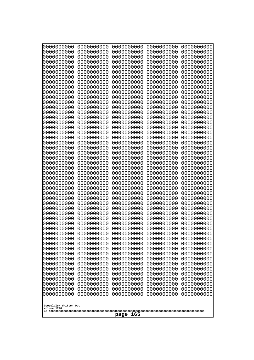| 10000000000<br>0000000000 | 0000000000<br>0000000000 | 0000000000<br>0000000000 | 0000000000<br>0000000000 | 0000000000<br>0000000000 |
|---------------------------|--------------------------|--------------------------|--------------------------|--------------------------|
| 0000000000                | 0000000000               | 0000000000               | 0000000000               | 0000000000               |
| 0000000000                | 0000000000               | 0000000000               | 0000000000               | 0000000000               |
| 0000000000<br>0000000000  | 0000000000<br>0000000000 | 0000000000<br>0000000000 | 0000000000<br>0000000000 | 0000000000<br>0000000000 |
| 0000000000                | 0000000000               | 0000000000               | 0000000000               | 0000000000               |
| 0000000000                | 0000000000               | 0000000000               | 0000000000               | 0000000000               |
| 0000000000<br>0000000000  | 0000000000<br>0000000000 | 0000000000<br>0000000000 | 0000000000<br>0000000000 | 0000000000<br>0000000000 |
| 0000000000                | 0000000000               | 0000000000               | 0000000000               | 0000000000               |
| 0000000000                | 0000000000               | 0000000000               | 0000000000               | 0000000000               |
| 0000000000<br>0000000000  | 0000000000<br>0000000000 | 0000000000<br>0000000000 | 0000000000<br>0000000000 | 0000000000<br>0000000000 |
| 0000000000                | 0000000000               | 0000000000               | 0000000000               | 0000000000               |
| 0000000000                | 0000000000               | 0000000000               | 0000000000               | 0000000000               |
| 0000000000<br>0000000000  | 0000000000<br>0000000000 | 0000000000<br>0000000000 | 0000000000<br>0000000000 | 0000000000<br>0000000000 |
| 0000000000                | 0000000000               | 0000000000               | 0000000000               | 0000000000               |
| 0000000000                | 0000000000               | 0000000000               | 0000000000               | 0000000000               |
| 0000000000                | 0000000000               | 0000000000               | 0000000000               | 0000000000               |
| 0000000000<br>0000000000  | 0000000000<br>0000000000 | 0000000000<br>0000000000 | 0000000000<br>0000000000 | 0000000000<br>0000000000 |
| 0000000000                | 0000000000               | 0000000000               | 0000000000               | 0000000000               |
| 0000000000                | 0000000000               | 0000000000               | 0000000000               | 0000000000               |
| 0000000000<br>0000000000  | 0000000000<br>0000000000 | 0000000000<br>0000000000 | 0000000000<br>0000000000 | 0000000000<br>0000000000 |
| 0000000000                | 0000000000               | 0000000000               | 0000000000               | 0000000000               |
| 0000000000                | 0000000000               | 0000000000               | 0000000000               | 0000000000               |
| 0000000000<br>0000000000  | 0000000000<br>0000000000 | 0000000000<br>0000000000 | 0000000000<br>0000000000 | 0000000000<br>0000000000 |
| 0000000000                | 0000000000               | 0000000000               | 0000000000               | 0000000000               |
| 0000000000                | 0000000000               | 0000000000               | 0000000000               | 0000000000               |
| 0000000000<br>0000000000  | 0000000000<br>0000000000 | 0000000000<br>0000000000 | 0000000000<br>0000000000 | 0000000000<br>0000000000 |
| 0000000000                | 0000000000               | 0000000000               | 0000000000               | 0000000000               |
| 0000000000                | 0000000000               | 0000000000               | 0000000000               | 0000000000               |
| 0000000000<br>0000000000  | 0000000000<br>0000000000 | 0000000000<br>0000000000 | 0000000000<br>0000000000 | 0000000000<br>0000000000 |
| 0000000000                | 0000000000               | 0000000000               | 0000000000               | 0000000000               |
| 0000000000                | 0000000000               | 0000000000               | 0000000000               | 0000000000               |
| 0000000000<br>0000000000  | 0000000000<br>0000000000 | 0000000000<br>0000000000 | 0000000000<br>0000000000 | 0000000000<br>0000000000 |
| 0000000000                | 0000000000               | 0000000000               | 0000000000               | 0000000000               |
| 0000000000                | 0000000000               | 0000000000               | 0000000000               | 0000000000               |
| 0000000000                | 0000000000<br>0000000000 | 0000000000<br>0000000000 | 0000000000               | 0000000000               |
| 0000000000<br>0000000000  | 0000000000               | 0000000000               | 0000000000<br>0000000000 | 0000000000<br>0000000000 |
| 0000000000                | 0000000000               | 0000000000               | 0000000000               | 0000000000               |
| 0000000000                | 0000000000               | 0000000000               | 0000000000               | 0000000000               |
| Googolplex Written Out    |                          |                          |                          |                          |
| volume 1720               |                          |                          |                          |                          |
| 165<br>page               |                          |                          |                          |                          |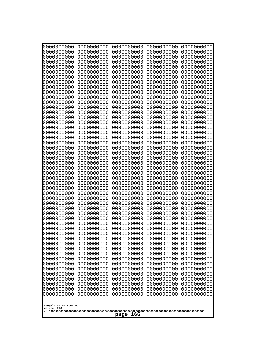| 0000000000                            | 0000000000               | 0000000000               | 0000000000               | 0000000000               |
|---------------------------------------|--------------------------|--------------------------|--------------------------|--------------------------|
| 0000000000<br>0000000000              | 0000000000<br>0000000000 | 0000000000<br>0000000000 | 0000000000<br>0000000000 | 0000000000<br>0000000000 |
| 0000000000                            | 0000000000               | 0000000000               | 0000000000               | 0000000000               |
| 0000000000                            | 0000000000               | 0000000000               | 0000000000               | 0000000000               |
| 0000000000                            | 0000000000               | 0000000000               | 0000000000               | 0000000000               |
| 0000000000                            | 0000000000               | 0000000000               | 0000000000               | 0000000000               |
| 0000000000<br>0000000000              | 0000000000<br>0000000000 | 0000000000<br>0000000000 | 0000000000<br>0000000000 | 0000000000<br>0000000000 |
| 0000000000                            | 0000000000               | 0000000000               | 0000000000               | 0000000000               |
| 0000000000                            | 0000000000               | 0000000000               | 0000000000               | 0000000000               |
| 0000000000                            | 0000000000               | 0000000000               | 0000000000               | 0000000000               |
| 0000000000<br>0000000000              | 0000000000<br>0000000000 | 0000000000<br>0000000000 | 0000000000<br>0000000000 | 0000000000<br>0000000000 |
| 0000000000                            | 0000000000               | 0000000000               | 0000000000               | 0000000000               |
| 0000000000                            | 0000000000               | 0000000000               | 0000000000               | 0000000000               |
| 0000000000                            | 0000000000<br>0000000000 | 0000000000               | 0000000000               | 0000000000               |
| 0000000000<br>0000000000              | 0000000000               | 0000000000<br>0000000000 | 0000000000<br>0000000000 | 0000000000<br>0000000000 |
| 0000000000                            | 0000000000               | 0000000000               | 0000000000               | 0000000000               |
| 0000000000                            | 0000000000               | 0000000000               | 0000000000               | 0000000000               |
| 0000000000<br>0000000000              | 0000000000<br>0000000000 | 0000000000<br>0000000000 | 0000000000<br>0000000000 | 0000000000<br>0000000000 |
| 0000000000                            | 0000000000               | 0000000000               | 0000000000               | 0000000000               |
| 0000000000                            | 0000000000               | 0000000000               | 0000000000               | 0000000000               |
| 0000000000                            | 0000000000               | 0000000000               | 0000000000               | 0000000000               |
| 0000000000<br>0000000000              | 0000000000<br>0000000000 | 0000000000<br>0000000000 | 0000000000<br>0000000000 | 0000000000<br>0000000000 |
| 0000000000                            | 0000000000               | 0000000000               | 0000000000               | 0000000000               |
| 0000000000                            | 0000000000               | 0000000000               | 0000000000               | 0000000000               |
| 0000000000                            | 0000000000               | 0000000000               | 0000000000               | 0000000000               |
| 0000000000<br>0000000000              | 0000000000<br>0000000000 | 0000000000<br>0000000000 | 0000000000<br>0000000000 | 0000000000<br>0000000000 |
| 0000000000                            | 0000000000               | 0000000000               | 0000000000               | 0000000000               |
| 0000000000                            | 0000000000               | 0000000000               | 0000000000               | 0000000000               |
| 0000000000<br>0000000000              | 0000000000<br>0000000000 | 0000000000<br>0000000000 | 0000000000<br>0000000000 | 0000000000<br>0000000000 |
| 0000000000                            | 0000000000               | 0000000000               | 0000000000               | 0000000000               |
| 0000000000                            | 0000000000               | 0000000000               | 0000000000               | 0000000000               |
| 0000000000                            | 0000000000               | 0000000000               | 0000000000               | 0000000000               |
| 0000000000<br>0000000000              | 0000000000<br>0000000000 | 0000000000<br>0000000000 | 0000000000<br>0000000000 | 0000000000<br>0000000000 |
| 0000000000                            | 0000000000               | 0000000000               | 0000000000               | 0000000000               |
| 0000000000                            | 0000000000               | 0000000000               | 0000000000               | 0000000000               |
| 0000000000                            | 0000000000               | 0000000000               | 0000000000               | 0000000000               |
| 0000000000<br>0000000000              | 0000000000<br>0000000000 | 0000000000<br>0000000000 | 0000000000<br>0000000000 | 0000000000<br>0000000000 |
| 0000000000                            | 0000000000               | 0000000000               | 0000000000               | 0000000000               |
| 0000000000                            | 0000000000               | 0000000000               | 0000000000               | 0000000000               |
| 0000000000                            | 0000000000               | 0000000000               | 0000000000               | 0000000000               |
|                                       |                          |                          |                          |                          |
| Googolplex Written Out<br>volume 1720 |                          |                          |                          |                          |
| page<br>166                           |                          |                          |                          |                          |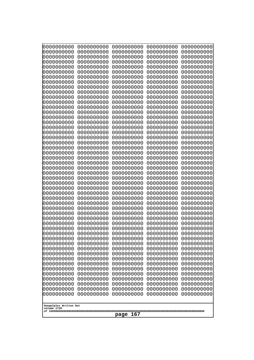| 10000000000<br>0000000000             | 0000000000<br>0000000000 | 0000000000<br>0000000000 | 0000000000<br>0000000000 | 0000000000<br>0000000000 |
|---------------------------------------|--------------------------|--------------------------|--------------------------|--------------------------|
| 0000000000                            | 0000000000               | 0000000000               | 0000000000               | 0000000000               |
| 0000000000                            | 0000000000               | 0000000000               | 0000000000               | 0000000000               |
| 0000000000                            | 0000000000               | 0000000000               | 0000000000               | 0000000000               |
| 0000000000<br>0000000000              | 0000000000<br>0000000000 | 0000000000<br>0000000000 | 0000000000<br>0000000000 | 0000000000<br>0000000000 |
| 0000000000                            | 0000000000               | 0000000000               | 0000000000               | 0000000000               |
| 0000000000                            | 0000000000               | 0000000000               | 0000000000               | 0000000000               |
| 0000000000                            | 0000000000               | 0000000000               | 0000000000               | 0000000000               |
| 0000000000<br>0000000000              | 0000000000<br>0000000000 | 0000000000<br>0000000000 | 0000000000<br>0000000000 | 0000000000<br>0000000000 |
| 0000000000                            | 0000000000               | 0000000000               | 0000000000               | 0000000000               |
| 0000000000                            | 0000000000               | 0000000000               | 0000000000               | 0000000000               |
| 0000000000<br>0000000000              | 0000000000<br>0000000000 | 0000000000<br>0000000000 | 0000000000<br>0000000000 | 0000000000<br>0000000000 |
| 0000000000                            | 0000000000               | 0000000000               | 0000000000               | 0000000000               |
| 0000000000                            | 0000000000               | 0000000000               | 0000000000               | 0000000000               |
| 0000000000                            | 0000000000               | 0000000000               | 0000000000               | 0000000000               |
| 0000000000<br>0000000000              | 0000000000<br>0000000000 | 0000000000<br>0000000000 | 0000000000<br>0000000000 | 0000000000<br>0000000000 |
| 0000000000                            | 0000000000               | 0000000000               | 0000000000               | 0000000000               |
| 0000000000                            | 0000000000               | 0000000000               | 0000000000               | 0000000000               |
| 0000000000<br>0000000000              | 0000000000<br>0000000000 | 0000000000<br>0000000000 | 0000000000<br>0000000000 | 0000000000<br>0000000000 |
| 0000000000                            | 0000000000               | 0000000000               | 0000000000               | 0000000000               |
| 0000000000                            | 0000000000               | 0000000000               | 0000000000               | 0000000000               |
| 0000000000                            | 0000000000               | 0000000000               | 0000000000               | 0000000000               |
| 0000000000<br>0000000000              | 0000000000<br>0000000000 | 0000000000<br>0000000000 | 0000000000<br>0000000000 | 0000000000<br>0000000000 |
| 0000000000                            | 0000000000               | 0000000000               | 0000000000               | 0000000000               |
| 0000000000                            | 0000000000               | 0000000000               | 0000000000               | 0000000000               |
| 0000000000<br>0000000000              | 0000000000<br>0000000000 | 0000000000<br>0000000000 | 0000000000<br>0000000000 | 0000000000<br>0000000000 |
| 0000000000                            | 0000000000               | 0000000000               | 0000000000               | 0000000000               |
| 0000000000                            | 0000000000               | 0000000000               | 0000000000               | 0000000000               |
| 0000000000                            | 0000000000               | 0000000000               | 0000000000               | 0000000000               |
| 0000000000<br>0000000000              | 0000000000<br>0000000000 | 0000000000<br>0000000000 | 0000000000<br>0000000000 | 0000000000<br>0000000000 |
| 0000000000                            | 0000000000               | 0000000000               | 0000000000               | 0000000000               |
| 0000000000                            | 0000000000               | 0000000000               | 0000000000               | 0000000000               |
| 0000000000<br>0000000000              | 0000000000<br>0000000000 | 0000000000<br>0000000000 | 0000000000<br>0000000000 | 0000000000<br>0000000000 |
| 0000000000                            | 0000000000               | 0000000000               | 0000000000               | 0000000000               |
| 0000000000                            | 0000000000               | 0000000000               | 0000000000               | 0000000000               |
| 0000000000                            | 0000000000<br>0000000000 | 0000000000               | 0000000000               | 0000000000               |
| 0000000000<br>0000000000              | 0000000000               | 0000000000<br>0000000000 | 0000000000<br>0000000000 | 0000000000<br>0000000000 |
| 0000000000                            | 0000000000               | 0000000000               | 0000000000               | 0000000000               |
| 0000000000                            | 0000000000               | 0000000000               | 0000000000               | 0000000000               |
|                                       |                          |                          |                          |                          |
| Googolplex Written Out<br>volume 1720 |                          |                          |                          |                          |
| 167<br>page                           |                          |                          |                          |                          |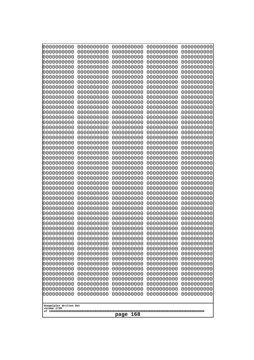| 000000000                | 0000000000               | 0000000000               | 0000000000               | 0000000000               |
|--------------------------|--------------------------|--------------------------|--------------------------|--------------------------|
| 0000000000               | 0000000000               | 0000000000               | 0000000000               | 0000000000               |
| 0000000000               | 0000000000               | 0000000000               | 0000000000               | 0000000000               |
| 0000000000               | 0000000000               | 0000000000               | 0000000000               | 0000000000               |
| 0000000000               | 0000000000               | 0000000000               | 0000000000               | 0000000000               |
| 0000000000               | 0000000000               | 0000000000               | 0000000000               | 0000000000               |
| 0000000000               | 0000000000               | 0000000000               | 0000000000               | 0000000000               |
| 0000000000               | 0000000000               | 0000000000               | 0000000000               | 0000000000               |
| 0000000000               | 0000000000<br>0000000000 | 0000000000<br>0000000000 | 0000000000               | 0000000000               |
| 0000000000<br>0000000000 | 0000000000               | 0000000000               | 0000000000<br>0000000000 | 0000000000<br>0000000000 |
| 0000000000               | 0000000000               | 0000000000               | 0000000000               | 0000000000               |
| 0000000000               | 0000000000               | 0000000000               | 0000000000               | 0000000000               |
| 0000000000               | 0000000000               | 0000000000               | 0000000000               | 0000000000               |
| 0000000000               | 0000000000               | 0000000000               | 0000000000               | 0000000000               |
| 0000000000               | 0000000000               | 0000000000               | 0000000000               | 0000000000               |
| 0000000000               | 0000000000               | 0000000000               | 0000000000               | 0000000000               |
| 0000000000               | 0000000000               | 0000000000               | 0000000000               | 0000000000               |
| 0000000000               | 0000000000               | 0000000000               | 0000000000               | 0000000000               |
| 0000000000               | 0000000000               | 0000000000               | 0000000000               | 0000000000               |
| 0000000000               | 0000000000               | 0000000000               | 0000000000               | 0000000000               |
| 0000000000<br>0000000000 | 0000000000<br>0000000000 | 0000000000<br>0000000000 | 0000000000<br>0000000000 | 0000000000<br>0000000000 |
| 0000000000               | 0000000000               | 0000000000               | 0000000000               | 0000000000               |
| 0000000000               | 0000000000               | 0000000000               | 0000000000               | 0000000000               |
| 0000000000               | 0000000000               | 0000000000               | 0000000000               | 0000000000               |
| 0000000000               | 0000000000               | 0000000000               | 0000000000               | 0000000000               |
| 0000000000               | 0000000000               | 0000000000               | 0000000000               | 0000000000               |
| 0000000000               | 0000000000               | 0000000000               | 0000000000               | 0000000000               |
| 0000000000               | 0000000000               | 0000000000               | 0000000000               | 0000000000               |
| 0000000000               | 0000000000               | 0000000000               | 0000000000               | 0000000000               |
| 0000000000               | 0000000000               | 0000000000               | 0000000000               | 0000000000               |
| 0000000000               | 0000000000               | 0000000000               | 0000000000               | 0000000000               |
| 0000000000<br>0000000000 | 0000000000<br>0000000000 | 0000000000<br>0000000000 | 0000000000<br>0000000000 | 0000000000<br>0000000000 |
| 0000000000               | 0000000000               | 0000000000               | 0000000000               | 0000000000               |
| 0000000000               | 0000000000               | 0000000000               | 0000000000               | 0000000000               |
| 0000000000               | 0000000000               | 0000000000               | 0000000000               | 0000000000               |
| 0000000000               | 0000000000               | 0000000000               | 0000000000               | 0000000000               |
| 0000000000               | 0000000000               | 0000000000               | 0000000000               | 0000000000               |
| 0000000000               | 0000000000               | 0000000000               | 0000000000               | 0000000000               |
| 0000000000               | 0000000000               | 0000000000               | 0000000000               | 0000000000               |
| 0000000000               | 0000000000               | 0000000000               | 0000000000               | 0000000000               |
| 0000000000               | 0000000000               | 0000000000               | 0000000000               | 0000000000               |
| 0000000000               | 0000000000               | 0000000000               | 0000000000               | 0000000000               |
| 0000000000<br>0000000000 | 0000000000<br>0000000000 | 0000000000<br>0000000000 | 0000000000<br>0000000000 | 0000000000<br>0000000000 |
| 0000000000               | 0000000000               | 0000000000               | 0000000000               | 0000000000               |
| 0000000000               | 0000000000               | 0000000000               | 0000000000               | 0000000000               |
| 0000000000               | 0000000000               | 0000000000               | 0000000000               | 0000000000               |
|                          |                          |                          |                          |                          |
| Googolplex Written Out   |                          |                          |                          |                          |
| volume 1720              |                          |                          |                          |                          |
| 168<br>page              |                          |                          |                          |                          |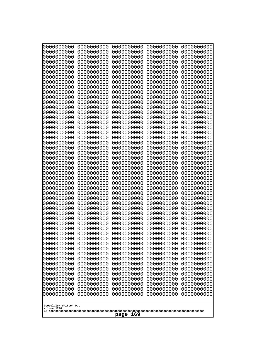| 0000000000                                                                                                                                                                                                                                | 0000000000                                                                                                                                                                                       | 0000000000                                                                                                                                                                                       | 0000000000                                                                                                                                                                                       | 0000000000                                                                                                                                                                                       |
|-------------------------------------------------------------------------------------------------------------------------------------------------------------------------------------------------------------------------------------------|--------------------------------------------------------------------------------------------------------------------------------------------------------------------------------------------------|--------------------------------------------------------------------------------------------------------------------------------------------------------------------------------------------------|--------------------------------------------------------------------------------------------------------------------------------------------------------------------------------------------------|--------------------------------------------------------------------------------------------------------------------------------------------------------------------------------------------------|
| 0000000000                                                                                                                                                                                                                                | 0000000000                                                                                                                                                                                       | 0000000000                                                                                                                                                                                       | 0000000000                                                                                                                                                                                       | 0000000000                                                                                                                                                                                       |
| 0000000000                                                                                                                                                                                                                                | 0000000000                                                                                                                                                                                       | 0000000000                                                                                                                                                                                       | 0000000000                                                                                                                                                                                       | 0000000000                                                                                                                                                                                       |
| 0000000000                                                                                                                                                                                                                                | 0000000000                                                                                                                                                                                       | 0000000000                                                                                                                                                                                       | 0000000000                                                                                                                                                                                       | 0000000000                                                                                                                                                                                       |
| 0000000000                                                                                                                                                                                                                                | 0000000000                                                                                                                                                                                       | 0000000000                                                                                                                                                                                       | 0000000000                                                                                                                                                                                       | 0000000000                                                                                                                                                                                       |
| 0000000000                                                                                                                                                                                                                                | 0000000000                                                                                                                                                                                       | 0000000000                                                                                                                                                                                       | 0000000000                                                                                                                                                                                       | 0000000000                                                                                                                                                                                       |
| 0000000000                                                                                                                                                                                                                                | 0000000000                                                                                                                                                                                       | 0000000000                                                                                                                                                                                       | 0000000000                                                                                                                                                                                       | 0000000000                                                                                                                                                                                       |
| 0000000000                                                                                                                                                                                                                                | 0000000000                                                                                                                                                                                       | 0000000000                                                                                                                                                                                       | 0000000000                                                                                                                                                                                       | 0000000000                                                                                                                                                                                       |
| 0000000000                                                                                                                                                                                                                                | 0000000000                                                                                                                                                                                       | 0000000000                                                                                                                                                                                       | 0000000000                                                                                                                                                                                       | 0000000000                                                                                                                                                                                       |
| 0000000000                                                                                                                                                                                                                                | 0000000000                                                                                                                                                                                       | 0000000000                                                                                                                                                                                       | 0000000000                                                                                                                                                                                       | 0000000000                                                                                                                                                                                       |
| 0000000000                                                                                                                                                                                                                                | 0000000000                                                                                                                                                                                       | 0000000000                                                                                                                                                                                       | 0000000000                                                                                                                                                                                       | 0000000000                                                                                                                                                                                       |
| 0000000000                                                                                                                                                                                                                                | 0000000000                                                                                                                                                                                       | 0000000000                                                                                                                                                                                       | 0000000000                                                                                                                                                                                       | 0000000000                                                                                                                                                                                       |
| 0000000000                                                                                                                                                                                                                                | 0000000000                                                                                                                                                                                       | 0000000000                                                                                                                                                                                       | 0000000000                                                                                                                                                                                       | 0000000000                                                                                                                                                                                       |
| 0000000000                                                                                                                                                                                                                                | 0000000000                                                                                                                                                                                       | 0000000000                                                                                                                                                                                       | 0000000000                                                                                                                                                                                       | 0000000000                                                                                                                                                                                       |
| 0000000000                                                                                                                                                                                                                                | 0000000000                                                                                                                                                                                       | 0000000000                                                                                                                                                                                       | 0000000000                                                                                                                                                                                       | 0000000000                                                                                                                                                                                       |
| 0000000000                                                                                                                                                                                                                                | 0000000000                                                                                                                                                                                       | 0000000000                                                                                                                                                                                       | 0000000000                                                                                                                                                                                       | 0000000000                                                                                                                                                                                       |
| 0000000000                                                                                                                                                                                                                                | 0000000000                                                                                                                                                                                       | 0000000000                                                                                                                                                                                       | 0000000000                                                                                                                                                                                       | 0000000000                                                                                                                                                                                       |
| 0000000000                                                                                                                                                                                                                                | 0000000000                                                                                                                                                                                       | 0000000000                                                                                                                                                                                       | 0000000000                                                                                                                                                                                       | 0000000000                                                                                                                                                                                       |
| 0000000000                                                                                                                                                                                                                                | 0000000000                                                                                                                                                                                       | 0000000000                                                                                                                                                                                       | 0000000000                                                                                                                                                                                       | 0000000000                                                                                                                                                                                       |
| 0000000000                                                                                                                                                                                                                                | 0000000000                                                                                                                                                                                       | 0000000000                                                                                                                                                                                       | 0000000000                                                                                                                                                                                       | 0000000000                                                                                                                                                                                       |
| 0000000000                                                                                                                                                                                                                                | 0000000000                                                                                                                                                                                       | 0000000000                                                                                                                                                                                       | 0000000000                                                                                                                                                                                       | 0000000000                                                                                                                                                                                       |
| 0000000000                                                                                                                                                                                                                                | 0000000000                                                                                                                                                                                       | 0000000000                                                                                                                                                                                       | 0000000000                                                                                                                                                                                       | 0000000000                                                                                                                                                                                       |
| 0000000000                                                                                                                                                                                                                                | 0000000000                                                                                                                                                                                       | 0000000000                                                                                                                                                                                       | 0000000000                                                                                                                                                                                       | 0000000000                                                                                                                                                                                       |
| 0000000000                                                                                                                                                                                                                                | 0000000000                                                                                                                                                                                       | 0000000000                                                                                                                                                                                       | 0000000000                                                                                                                                                                                       | 0000000000                                                                                                                                                                                       |
| 0000000000                                                                                                                                                                                                                                | 0000000000                                                                                                                                                                                       | 0000000000                                                                                                                                                                                       | 0000000000                                                                                                                                                                                       | 0000000000                                                                                                                                                                                       |
| 0000000000                                                                                                                                                                                                                                | 0000000000                                                                                                                                                                                       | 0000000000                                                                                                                                                                                       | 0000000000                                                                                                                                                                                       | 0000000000                                                                                                                                                                                       |
| 0000000000                                                                                                                                                                                                                                | 0000000000                                                                                                                                                                                       | 0000000000                                                                                                                                                                                       | 0000000000                                                                                                                                                                                       | 0000000000                                                                                                                                                                                       |
| 0000000000                                                                                                                                                                                                                                | 0000000000                                                                                                                                                                                       | 0000000000                                                                                                                                                                                       | 0000000000                                                                                                                                                                                       | 0000000000                                                                                                                                                                                       |
| 0000000000                                                                                                                                                                                                                                | 0000000000                                                                                                                                                                                       | 0000000000                                                                                                                                                                                       | 0000000000                                                                                                                                                                                       | 0000000000                                                                                                                                                                                       |
| 0000000000                                                                                                                                                                                                                                | 0000000000                                                                                                                                                                                       | 0000000000                                                                                                                                                                                       | 0000000000                                                                                                                                                                                       | 0000000000                                                                                                                                                                                       |
| 0000000000                                                                                                                                                                                                                                | 0000000000                                                                                                                                                                                       | 0000000000                                                                                                                                                                                       | 0000000000                                                                                                                                                                                       | 0000000000                                                                                                                                                                                       |
| 0000000000                                                                                                                                                                                                                                | 0000000000                                                                                                                                                                                       | 0000000000                                                                                                                                                                                       | 0000000000                                                                                                                                                                                       | 0000000000                                                                                                                                                                                       |
| 0000000000                                                                                                                                                                                                                                | 0000000000                                                                                                                                                                                       | 0000000000                                                                                                                                                                                       | 0000000000                                                                                                                                                                                       | 0000000000                                                                                                                                                                                       |
| 0000000000                                                                                                                                                                                                                                | 0000000000                                                                                                                                                                                       | 0000000000                                                                                                                                                                                       | 0000000000                                                                                                                                                                                       | 0000000000                                                                                                                                                                                       |
| 0000000000                                                                                                                                                                                                                                | 0000000000                                                                                                                                                                                       | 0000000000                                                                                                                                                                                       | 0000000000                                                                                                                                                                                       | 0000000000                                                                                                                                                                                       |
| 0000000000                                                                                                                                                                                                                                | 0000000000                                                                                                                                                                                       | 0000000000                                                                                                                                                                                       | 0000000000                                                                                                                                                                                       | 0000000000                                                                                                                                                                                       |
| 0000000000<br>0000000000<br>0000000000<br>0000000000<br>0000000000<br>0000000000<br>0000000000<br>0000000000<br>0000000000<br>0000000000<br>0000000000<br>0000000000<br>0000000000<br>0000000000<br>Googolplex Written Out<br>volume 1720 | 0000000000<br>0000000000<br>0000000000<br>0000000000<br>0000000000<br>0000000000<br>0000000000<br>0000000000<br>0000000000<br>0000000000<br>0000000000<br>0000000000<br>0000000000<br>0000000000 | 0000000000<br>0000000000<br>0000000000<br>0000000000<br>0000000000<br>0000000000<br>0000000000<br>0000000000<br>0000000000<br>0000000000<br>0000000000<br>0000000000<br>0000000000<br>0000000000 | 0000000000<br>0000000000<br>0000000000<br>0000000000<br>0000000000<br>0000000000<br>0000000000<br>0000000000<br>0000000000<br>0000000000<br>0000000000<br>0000000000<br>0000000000<br>0000000000 | 0000000000<br>0000000000<br>0000000000<br>0000000000<br>0000000000<br>0000000000<br>0000000000<br>0000000000<br>0000000000<br>0000000000<br>0000000000<br>0000000000<br>0000000000<br>0000000000 |
| 169<br>page                                                                                                                                                                                                                               |                                                                                                                                                                                                  |                                                                                                                                                                                                  |                                                                                                                                                                                                  |                                                                                                                                                                                                  |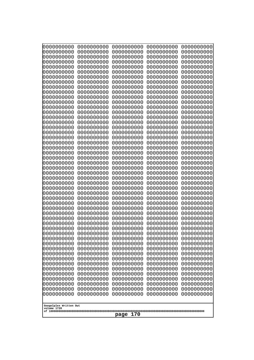| 10000000000<br>0000000000             | 0000000000<br>0000000000 | 0000000000<br>0000000000 | 0000000000<br>0000000000 | 0000000000<br>0000000000 |
|---------------------------------------|--------------------------|--------------------------|--------------------------|--------------------------|
| 0000000000                            | 0000000000               | 0000000000               | 0000000000               | 0000000000               |
| 0000000000                            | 0000000000               | 0000000000               | 0000000000               | 0000000000               |
| 0000000000                            | 0000000000               | 0000000000               | 0000000000               | 0000000000               |
| 0000000000<br>0000000000              | 0000000000<br>0000000000 | 0000000000<br>0000000000 | 0000000000<br>0000000000 | 0000000000<br>0000000000 |
| 0000000000                            | 0000000000               | 0000000000               | 0000000000               | 0000000000               |
| 0000000000                            | 0000000000               | 0000000000               | 0000000000               | 0000000000               |
| 0000000000                            | 0000000000               | 0000000000               | 0000000000               | 0000000000               |
| 0000000000<br>0000000000              | 0000000000<br>0000000000 | 0000000000<br>0000000000 | 0000000000<br>0000000000 | 0000000000<br>0000000000 |
| 0000000000                            | 0000000000               | 0000000000               | 0000000000               | 0000000000               |
| 0000000000                            | 0000000000               | 0000000000               | 0000000000               | 0000000000               |
| 0000000000<br>0000000000              | 0000000000<br>0000000000 | 0000000000<br>0000000000 | 0000000000<br>0000000000 | 0000000000<br>0000000000 |
| 0000000000                            | 0000000000               | 0000000000               | 0000000000               | 0000000000               |
| 0000000000                            | 0000000000               | 0000000000               | 0000000000               | 0000000000               |
| 0000000000                            | 0000000000               | 0000000000               | 0000000000               | 0000000000               |
| 0000000000<br>0000000000              | 0000000000<br>0000000000 | 0000000000<br>0000000000 | 0000000000<br>0000000000 | 0000000000<br>0000000000 |
| 0000000000                            | 0000000000               | 0000000000               | 0000000000               | 0000000000               |
| 0000000000                            | 0000000000               | 0000000000               | 0000000000               | 0000000000               |
| 0000000000<br>0000000000              | 0000000000<br>0000000000 | 0000000000<br>0000000000 | 0000000000<br>0000000000 | 0000000000<br>0000000000 |
| 0000000000                            | 0000000000               | 0000000000               | 0000000000               | 0000000000               |
| 0000000000                            | 0000000000               | 0000000000               | 0000000000               | 0000000000               |
| 0000000000                            | 0000000000               | 0000000000               | 0000000000               | 0000000000               |
| 0000000000<br>0000000000              | 0000000000<br>0000000000 | 0000000000<br>0000000000 | 0000000000<br>0000000000 | 0000000000<br>0000000000 |
| 0000000000                            | 0000000000               | 0000000000               | 0000000000               | 0000000000               |
| 0000000000                            | 0000000000               | 0000000000               | 0000000000               | 0000000000               |
| 0000000000<br>0000000000              | 0000000000<br>0000000000 | 0000000000<br>0000000000 | 0000000000<br>0000000000 | 0000000000<br>0000000000 |
| 0000000000                            | 0000000000               | 0000000000               | 0000000000               | 0000000000               |
| 0000000000                            | 0000000000               | 0000000000               | 0000000000               | 0000000000               |
| 0000000000                            | 0000000000               | 0000000000               | 0000000000               | 0000000000               |
| 0000000000<br>0000000000              | 0000000000<br>0000000000 | 0000000000<br>0000000000 | 0000000000<br>0000000000 | 0000000000<br>0000000000 |
| 0000000000                            | 0000000000               | 0000000000               | 0000000000               | 0000000000               |
| 0000000000                            | 0000000000               | 0000000000               | 0000000000               | 0000000000               |
| 0000000000<br>0000000000              | 0000000000<br>0000000000 | 0000000000<br>0000000000 | 0000000000<br>0000000000 | 0000000000<br>0000000000 |
| 0000000000                            | 0000000000               | 0000000000               | 0000000000               | 0000000000               |
| 0000000000                            | 0000000000               | 0000000000               | 0000000000               | 0000000000               |
| 0000000000<br>0000000000              | 0000000000<br>0000000000 | 0000000000<br>0000000000 | 0000000000<br>0000000000 | 0000000000<br>0000000000 |
| 0000000000                            | 0000000000               | 0000000000               | 0000000000               | 0000000000               |
| 0000000000                            | 0000000000               | 0000000000               | 0000000000               | 0000000000               |
| 0000000000                            | 0000000000               | 0000000000               | 0000000000               | 0000000000               |
|                                       |                          |                          |                          |                          |
| Googolplex Written Out<br>volume 1720 |                          |                          |                          |                          |
| 170<br>page                           |                          |                          |                          |                          |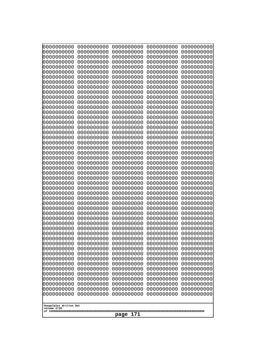| 10000000000<br>0000000000             | 0000000000<br>0000000000 | 0000000000<br>0000000000 | 0000000000<br>0000000000 | 0000000000<br>0000000000 |
|---------------------------------------|--------------------------|--------------------------|--------------------------|--------------------------|
| 0000000000                            | 0000000000               | 0000000000               | 0000000000               | 0000000000               |
| 0000000000                            | 0000000000               | 0000000000               | 0000000000               | 0000000000               |
| 0000000000                            | 0000000000               | 0000000000               | 0000000000               | 0000000000               |
| 0000000000<br>0000000000              | 0000000000<br>0000000000 | 0000000000<br>0000000000 | 0000000000<br>0000000000 | 0000000000<br>0000000000 |
| 0000000000                            | 0000000000               | 0000000000               | 0000000000               | 0000000000               |
| 0000000000                            | 0000000000               | 0000000000               | 0000000000               | 0000000000               |
| 0000000000                            | 0000000000               | 0000000000               | 0000000000               | 0000000000               |
| 0000000000<br>0000000000              | 0000000000<br>0000000000 | 0000000000<br>0000000000 | 0000000000<br>0000000000 | 0000000000<br>0000000000 |
| 0000000000                            | 0000000000               | 0000000000               | 0000000000               | 0000000000               |
| 0000000000                            | 0000000000               | 0000000000               | 0000000000               | 0000000000               |
| 0000000000<br>0000000000              | 0000000000<br>0000000000 | 0000000000<br>0000000000 | 0000000000<br>0000000000 | 0000000000<br>0000000000 |
| 0000000000                            | 0000000000               | 0000000000               | 0000000000               | 0000000000               |
| 0000000000                            | 0000000000               | 0000000000               | 0000000000               | 0000000000               |
| 0000000000                            | 0000000000               | 0000000000               | 0000000000               | 0000000000               |
| 0000000000<br>0000000000              | 0000000000<br>0000000000 | 0000000000<br>0000000000 | 0000000000<br>0000000000 | 0000000000<br>0000000000 |
| 0000000000                            | 0000000000               | 0000000000               | 0000000000               | 0000000000               |
| 0000000000                            | 0000000000               | 0000000000               | 0000000000               | 0000000000               |
| 0000000000<br>0000000000              | 0000000000<br>0000000000 | 0000000000<br>0000000000 | 0000000000<br>0000000000 | 0000000000<br>0000000000 |
| 0000000000                            | 0000000000               | 0000000000               | 0000000000               | 0000000000               |
| 0000000000                            | 0000000000               | 0000000000               | 0000000000               | 0000000000               |
| 0000000000                            | 0000000000               | 0000000000               | 0000000000               | 0000000000               |
| 0000000000<br>0000000000              | 0000000000<br>0000000000 | 0000000000<br>0000000000 | 0000000000<br>0000000000 | 0000000000<br>0000000000 |
| 0000000000                            | 0000000000               | 0000000000               | 0000000000               | 0000000000               |
| 0000000000                            | 0000000000               | 0000000000               | 0000000000               | 0000000000               |
| 0000000000<br>0000000000              | 0000000000<br>0000000000 | 0000000000<br>0000000000 | 0000000000<br>0000000000 | 0000000000<br>0000000000 |
| 0000000000                            | 0000000000               | 0000000000               | 0000000000               | 0000000000               |
| 0000000000                            | 0000000000               | 0000000000               | 0000000000               | 0000000000               |
| 0000000000                            | 0000000000               | 0000000000               | 0000000000               | 0000000000               |
| 0000000000<br>0000000000              | 0000000000<br>0000000000 | 0000000000<br>0000000000 | 0000000000<br>0000000000 | 0000000000<br>0000000000 |
| 0000000000                            | 0000000000               | 0000000000               | 0000000000               | 0000000000               |
| 0000000000                            | 0000000000               | 0000000000               | 0000000000               | 0000000000               |
| 0000000000<br>0000000000              | 0000000000<br>0000000000 | 0000000000<br>0000000000 | 0000000000<br>0000000000 | 0000000000<br>0000000000 |
| 0000000000                            | 0000000000               | 0000000000               | 0000000000               | 0000000000               |
| 0000000000                            | 0000000000               | 0000000000               | 0000000000               | 0000000000               |
| 0000000000<br>0000000000              | 0000000000<br>0000000000 | 0000000000<br>0000000000 | 0000000000<br>0000000000 | 0000000000<br>0000000000 |
| 0000000000                            | 0000000000               | 0000000000               | 0000000000               | 0000000000               |
| 0000000000                            | 0000000000               | 0000000000               | 0000000000               | 0000000000               |
| 0000000000                            | 0000000000               | 0000000000               | 0000000000               | 0000000000               |
|                                       |                          |                          |                          |                          |
| Googolplex Written Out<br>volume 1720 |                          |                          |                          |                          |
| 171<br>page                           |                          |                          |                          |                          |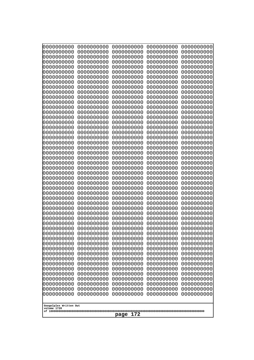| 000000000                | 0000000000               | 0000000000               | 0000000000               | 0000000000               |
|--------------------------|--------------------------|--------------------------|--------------------------|--------------------------|
| 0000000000               | 0000000000               | 0000000000               | 0000000000               | 0000000000               |
| 0000000000               | 0000000000               | 0000000000               | 0000000000               | 0000000000               |
| 0000000000               | 0000000000               | 0000000000               | 0000000000               | 0000000000               |
| 0000000000               | 0000000000               | 0000000000               | 0000000000               | 0000000000               |
| 0000000000               | 0000000000               | 0000000000               | 0000000000               | 0000000000               |
| 0000000000               | 0000000000               | 0000000000               | 0000000000               | 0000000000               |
| 0000000000               | 0000000000               | 0000000000               | 0000000000               | 0000000000               |
| 0000000000               | 0000000000<br>0000000000 | 0000000000<br>0000000000 | 0000000000               | 0000000000               |
| 0000000000<br>0000000000 | 0000000000               | 0000000000               | 0000000000<br>0000000000 | 0000000000<br>0000000000 |
| 0000000000               | 0000000000               | 0000000000               | 0000000000               | 0000000000               |
| 0000000000               | 0000000000               | 0000000000               | 0000000000               | 0000000000               |
| 0000000000               | 0000000000               | 0000000000               | 0000000000               | 0000000000               |
| 0000000000               | 0000000000               | 0000000000               | 0000000000               | 0000000000               |
| 0000000000               | 0000000000               | 0000000000               | 0000000000               | 0000000000               |
| 0000000000               | 0000000000               | 0000000000               | 0000000000               | 0000000000               |
| 0000000000               | 0000000000               | 0000000000               | 0000000000               | 0000000000               |
| 0000000000               | 0000000000               | 0000000000               | 0000000000               | 0000000000               |
| 0000000000               | 0000000000               | 0000000000               | 0000000000               | 0000000000               |
| 0000000000               | 0000000000               | 0000000000               | 0000000000               | 0000000000               |
| 0000000000<br>0000000000 | 0000000000<br>0000000000 | 0000000000<br>0000000000 | 0000000000<br>0000000000 | 0000000000<br>0000000000 |
| 0000000000               | 0000000000               | 0000000000               | 0000000000               | 0000000000               |
| 0000000000               | 0000000000               | 0000000000               | 0000000000               | 0000000000               |
| 0000000000               | 0000000000               | 0000000000               | 0000000000               | 0000000000               |
| 0000000000               | 0000000000               | 0000000000               | 0000000000               | 0000000000               |
| 0000000000               | 0000000000               | 0000000000               | 0000000000               | 0000000000               |
| 0000000000               | 0000000000               | 0000000000               | 0000000000               | 0000000000               |
| 0000000000               | 0000000000               | 0000000000               | 0000000000               | 0000000000               |
| 0000000000               | 0000000000               | 0000000000               | 0000000000               | 0000000000               |
| 0000000000               | 0000000000               | 0000000000               | 0000000000               | 0000000000               |
| 0000000000               | 0000000000               | 0000000000               | 0000000000               | 0000000000               |
| 0000000000<br>0000000000 | 0000000000<br>0000000000 | 0000000000<br>0000000000 | 0000000000<br>0000000000 | 0000000000<br>0000000000 |
| 0000000000               | 0000000000               | 0000000000               | 0000000000               | 0000000000               |
| 0000000000               | 0000000000               | 0000000000               | 0000000000               | 0000000000               |
| 0000000000               | 0000000000               | 0000000000               | 0000000000               | 0000000000               |
| 0000000000               | 0000000000               | 0000000000               | 0000000000               | 0000000000               |
| 0000000000               | 0000000000               | 0000000000               | 0000000000               | 0000000000               |
| 0000000000               | 0000000000               | 0000000000               | 0000000000               | 0000000000               |
| 0000000000               | 0000000000               | 0000000000               | 0000000000               | 0000000000               |
| 0000000000               | 0000000000               | 0000000000               | 0000000000               | 0000000000               |
| 0000000000               | 0000000000               | 0000000000               | 0000000000               | 0000000000               |
| 0000000000<br>0000000000 | 0000000000<br>0000000000 | 0000000000<br>0000000000 | 0000000000<br>0000000000 | 0000000000<br>0000000000 |
| 0000000000               | 0000000000               | 0000000000               | 0000000000               | 0000000000               |
| 0000000000               | 0000000000               | 0000000000               | 0000000000               | 0000000000               |
| 0000000000               | 0000000000               | 0000000000               | 0000000000               | 0000000000               |
| 0000000000               | 0000000000               | 0000000000               | 0000000000               | 0000000000               |
|                          |                          |                          |                          |                          |
| Googolplex Written Out   |                          |                          |                          |                          |
| volume 1720              |                          |                          |                          |                          |
| 172<br>page              |                          |                          |                          |                          |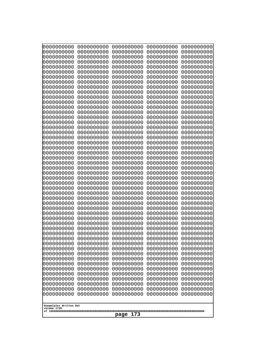| 000000000<br>0000000000  | 0000000000<br>0000000000 | 0000000000<br>0000000000 | 0000000000<br>0000000000 | 0000000000<br>0000000000 |
|--------------------------|--------------------------|--------------------------|--------------------------|--------------------------|
| 0000000000               | 0000000000               | 0000000000               | 0000000000               | 0000000000               |
| 0000000000<br>0000000000 | 0000000000<br>0000000000 | 0000000000<br>0000000000 | 0000000000<br>0000000000 | 0000000000<br>0000000000 |
| 0000000000               | 0000000000               | 0000000000               | 0000000000               | 0000000000               |
| 0000000000               | 0000000000               | 0000000000               | 0000000000               | 0000000000               |
| 0000000000<br>0000000000 | 0000000000<br>0000000000 | 0000000000<br>0000000000 | 0000000000<br>0000000000 | 0000000000<br>0000000000 |
| 0000000000               | 0000000000               | 0000000000               | 0000000000               | 0000000000               |
| 0000000000               | 0000000000               | 0000000000               | 0000000000               | 0000000000               |
| 0000000000<br>0000000000 | 0000000000<br>0000000000 | 0000000000<br>0000000000 | 0000000000<br>0000000000 | 0000000000<br>0000000000 |
| 0000000000               | 0000000000               | 0000000000               | 0000000000               | 0000000000               |
| 0000000000               | 0000000000               | 0000000000               | 0000000000               | 0000000000               |
| 0000000000<br>0000000000 | 0000000000<br>0000000000 | 0000000000<br>0000000000 | 0000000000<br>0000000000 | 0000000000<br>0000000000 |
| 0000000000               | 0000000000               | 0000000000               | 0000000000               | 0000000000               |
| 0000000000               | 0000000000               | 0000000000               | 0000000000               | 0000000000               |
| 0000000000<br>0000000000 | 0000000000<br>0000000000 | 0000000000<br>0000000000 | 0000000000<br>0000000000 | 0000000000<br>0000000000 |
| 0000000000               | 0000000000               | 0000000000               | 0000000000               | 0000000000               |
| 0000000000               | 0000000000               | 0000000000               | 0000000000               | 0000000000               |
| 0000000000<br>0000000000 | 0000000000<br>0000000000 | 0000000000<br>0000000000 | 0000000000<br>0000000000 | 0000000000<br>0000000000 |
| 0000000000               | 0000000000               | 0000000000               | 0000000000               | 0000000000               |
| 0000000000               | 0000000000               | 0000000000               | 0000000000               | 0000000000               |
| 0000000000<br>0000000000 | 0000000000<br>0000000000 | 0000000000<br>0000000000 | 0000000000<br>0000000000 | 0000000000<br>0000000000 |
| 0000000000               | 0000000000               | 0000000000               | 0000000000               | 0000000000               |
| 0000000000<br>0000000000 | 0000000000<br>0000000000 | 0000000000<br>0000000000 | 0000000000<br>0000000000 | 0000000000<br>0000000000 |
| 0000000000               | 0000000000               | 0000000000               | 0000000000               | 0000000000               |
| 0000000000               | 0000000000               | 0000000000               | 0000000000               | 0000000000               |
| 0000000000<br>0000000000 | 0000000000<br>0000000000 | 0000000000<br>0000000000 | 0000000000<br>0000000000 | 0000000000<br>0000000000 |
| 0000000000               | 0000000000               | 0000000000               | 0000000000               | 0000000000               |
| 0000000000               | 0000000000               | 0000000000               | 0000000000               | 0000000000               |
| 0000000000<br>0000000000 | 0000000000<br>0000000000 | 0000000000<br>0000000000 | 0000000000<br>0000000000 | 0000000000<br>0000000000 |
| 0000000000               | 0000000000               | 0000000000               | 0000000000               | 0000000000               |
| 0000000000               | 0000000000               | 0000000000               | 0000000000               | 0000000000               |
| 0000000000<br>0000000000 | 0000000000<br>0000000000 | 0000000000<br>0000000000 | 0000000000<br>0000000000 | 0000000000<br>0000000000 |
| 0000000000               | 0000000000               | 0000000000               | 0000000000               | 0000000000               |
| 0000000000               | 0000000000               | 0000000000               | 0000000000               | 0000000000               |
| 0000000000<br>0000000000 | 0000000000<br>0000000000 | 0000000000<br>0000000000 | 0000000000<br>0000000000 | 0000000000<br>0000000000 |
| 0000000000               | 0000000000               | 0000000000               | 0000000000               | 0000000000               |
| 0000000000               | 0000000000               | 0000000000               | 0000000000               | 0000000000               |
| Googolplex Written Out   |                          |                          |                          |                          |
| volume 1720              |                          |                          |                          |                          |
| 173<br>page              |                          |                          |                          |                          |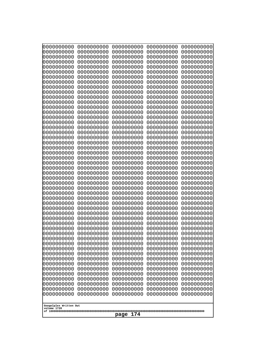| 000000000                | 0000000000               | 0000000000               | 0000000000               | 0000000000               |
|--------------------------|--------------------------|--------------------------|--------------------------|--------------------------|
| 0000000000               | 0000000000               | 0000000000               | 0000000000               | 0000000000               |
| 0000000000               | 0000000000               | 0000000000               | 0000000000               | 0000000000               |
| 0000000000               | 0000000000               | 0000000000               | 0000000000               | 0000000000               |
| 0000000000               | 0000000000               | 0000000000               | 0000000000               | 0000000000               |
| 0000000000               | 0000000000               | 0000000000               | 0000000000               | 0000000000               |
| 0000000000               | 0000000000               | 0000000000               | 0000000000               | 0000000000               |
| 0000000000               | 0000000000               | 0000000000               | 0000000000               | 0000000000               |
| 0000000000               | 0000000000<br>0000000000 | 0000000000<br>0000000000 | 0000000000               | 0000000000               |
| 0000000000<br>0000000000 | 0000000000               | 0000000000               | 0000000000<br>0000000000 | 0000000000<br>0000000000 |
| 0000000000               | 0000000000               | 0000000000               | 0000000000               | 0000000000               |
| 0000000000               | 0000000000               | 0000000000               | 0000000000               | 0000000000               |
| 0000000000               | 0000000000               | 0000000000               | 0000000000               | 0000000000               |
| 0000000000               | 0000000000               | 0000000000               | 0000000000               | 0000000000               |
| 0000000000               | 0000000000               | 0000000000               | 0000000000               | 0000000000               |
| 0000000000               | 0000000000               | 0000000000               | 0000000000               | 0000000000               |
| 0000000000               | 0000000000               | 0000000000               | 0000000000               | 0000000000               |
| 0000000000               | 0000000000               | 0000000000               | 0000000000               | 0000000000               |
| 0000000000               | 0000000000               | 0000000000               | 0000000000               | 0000000000               |
| 0000000000               | 0000000000               | 0000000000               | 0000000000               | 0000000000               |
| 0000000000<br>0000000000 | 0000000000<br>0000000000 | 0000000000<br>0000000000 | 0000000000<br>0000000000 | 0000000000<br>0000000000 |
| 0000000000               | 0000000000               | 0000000000               | 0000000000               | 0000000000               |
| 0000000000               | 0000000000               | 0000000000               | 0000000000               | 0000000000               |
| 0000000000               | 0000000000               | 0000000000               | 0000000000               | 0000000000               |
| 0000000000               | 0000000000               | 0000000000               | 0000000000               | 0000000000               |
| 0000000000               | 0000000000               | 0000000000               | 0000000000               | 0000000000               |
| 0000000000               | 0000000000               | 0000000000               | 0000000000               | 0000000000               |
| 0000000000               | 0000000000               | 0000000000               | 0000000000               | 0000000000               |
| 0000000000               | 0000000000               | 0000000000               | 0000000000               | 0000000000               |
| 0000000000               | 0000000000               | 0000000000               | 0000000000               | 0000000000               |
| 0000000000               | 0000000000               | 0000000000               | 0000000000               | 0000000000               |
| 0000000000<br>0000000000 | 0000000000<br>0000000000 | 0000000000<br>0000000000 | 0000000000<br>0000000000 | 0000000000<br>0000000000 |
| 0000000000               | 0000000000               | 0000000000               | 0000000000               | 0000000000               |
| 0000000000               | 0000000000               | 0000000000               | 0000000000               | 0000000000               |
| 0000000000               | 0000000000               | 0000000000               | 0000000000               | 0000000000               |
| 0000000000               | 0000000000               | 0000000000               | 0000000000               | 0000000000               |
| 0000000000               | 0000000000               | 0000000000               | 0000000000               | 0000000000               |
| 0000000000               | 0000000000               | 0000000000               | 0000000000               | 0000000000               |
| 0000000000               | 0000000000               | 0000000000               | 0000000000               | 0000000000               |
| 0000000000               | 0000000000               | 0000000000               | 0000000000               | 0000000000               |
| 0000000000               | 0000000000               | 0000000000               | 0000000000               | 0000000000               |
| 0000000000<br>0000000000 | 0000000000<br>0000000000 | 0000000000<br>0000000000 | 0000000000<br>0000000000 | 0000000000<br>0000000000 |
| 0000000000               | 0000000000               | 0000000000               | 0000000000               | 0000000000               |
| 0000000000               | 0000000000               | 0000000000               | 0000000000               | 0000000000               |
| 0000000000               | 0000000000               | 0000000000               | 0000000000               | 0000000000               |
| 0000000000               | 0000000000               | 0000000000               | 0000000000               | 0000000000               |
|                          |                          |                          |                          |                          |
| Googolplex Written Out   |                          |                          |                          |                          |
| volume 1720              |                          |                          |                          |                          |
| 174<br>page              |                          |                          |                          |                          |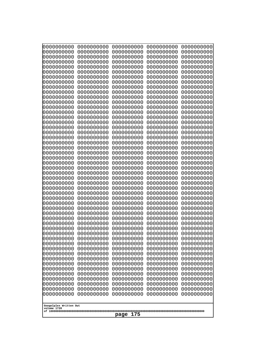| 0000000000                                           | 0000000000 | 0000000000 | 0000000000 | 0000000000 |  |
|------------------------------------------------------|------------|------------|------------|------------|--|
| 0000000000                                           | 0000000000 | 0000000000 | 0000000000 | 0000000000 |  |
| 0000000000                                           | 0000000000 | 0000000000 | 0000000000 | 0000000000 |  |
| 0000000000                                           | 0000000000 | 0000000000 | 0000000000 | 0000000000 |  |
| 0000000000                                           | 0000000000 | 0000000000 | 0000000000 | 0000000000 |  |
| 0000000000                                           | 0000000000 | 0000000000 | 0000000000 | 0000000000 |  |
| 0000000000                                           | 0000000000 | 0000000000 | 0000000000 | 0000000000 |  |
| 0000000000                                           | 0000000000 | 0000000000 | 0000000000 | 0000000000 |  |
| 0000000000                                           | 0000000000 | 0000000000 | 0000000000 | 0000000000 |  |
| 0000000000                                           | 0000000000 | 0000000000 | 0000000000 | 0000000000 |  |
| 0000000000                                           | 0000000000 | 0000000000 | 0000000000 | 0000000000 |  |
| 0000000000                                           | 0000000000 | 0000000000 | 0000000000 | 0000000000 |  |
| 0000000000                                           | 0000000000 | 0000000000 | 0000000000 | 0000000000 |  |
| 0000000000                                           | 0000000000 | 0000000000 | 0000000000 | 0000000000 |  |
| 0000000000                                           | 0000000000 | 0000000000 | 0000000000 | 0000000000 |  |
| 0000000000                                           | 0000000000 | 0000000000 | 0000000000 | 0000000000 |  |
| 0000000000                                           | 0000000000 | 0000000000 | 0000000000 | 0000000000 |  |
| 0000000000                                           | 0000000000 | 0000000000 | 0000000000 | 0000000000 |  |
| 0000000000                                           | 0000000000 | 0000000000 | 0000000000 | 0000000000 |  |
| 0000000000                                           | 0000000000 | 0000000000 | 0000000000 | 0000000000 |  |
| 0000000000                                           | 0000000000 | 0000000000 | 0000000000 | 0000000000 |  |
| 0000000000                                           | 0000000000 | 0000000000 | 0000000000 | 0000000000 |  |
| 0000000000                                           | 0000000000 | 0000000000 | 0000000000 | 0000000000 |  |
| 0000000000                                           | 0000000000 | 0000000000 | 0000000000 | 0000000000 |  |
| 0000000000                                           | 0000000000 | 0000000000 | 0000000000 | 0000000000 |  |
| 0000000000                                           | 0000000000 | 0000000000 | 0000000000 | 0000000000 |  |
| 0000000000                                           | 0000000000 | 0000000000 | 0000000000 | 0000000000 |  |
| 0000000000                                           | 0000000000 | 0000000000 | 0000000000 | 0000000000 |  |
| 0000000000                                           | 0000000000 | 0000000000 | 0000000000 | 0000000000 |  |
| 0000000000                                           | 0000000000 | 0000000000 | 0000000000 | 0000000000 |  |
| 0000000000                                           | 0000000000 | 0000000000 | 0000000000 | 0000000000 |  |
| 0000000000                                           | 0000000000 | 0000000000 | 0000000000 | 0000000000 |  |
| 0000000000                                           | 0000000000 | 0000000000 | 0000000000 | 0000000000 |  |
| 0000000000                                           | 0000000000 | 0000000000 | 0000000000 | 0000000000 |  |
| 0000000000                                           | 0000000000 | 0000000000 | 0000000000 | 0000000000 |  |
| 0000000000                                           | 0000000000 | 0000000000 | 0000000000 | 0000000000 |  |
| 0000000000                                           | 0000000000 | 0000000000 | 0000000000 | 0000000000 |  |
| 0000000000                                           | 0000000000 | 0000000000 | 0000000000 | 0000000000 |  |
| 0000000000                                           | 0000000000 | 0000000000 | 0000000000 | 0000000000 |  |
| 0000000000                                           | 0000000000 | 0000000000 | 0000000000 | 0000000000 |  |
| 0000000000                                           | 0000000000 | 0000000000 | 0000000000 | 0000000000 |  |
| 0000000000                                           | 0000000000 | 0000000000 | 0000000000 | 0000000000 |  |
| 0000000000                                           | 0000000000 | 0000000000 | 0000000000 | 0000000000 |  |
| 0000000000                                           | 0000000000 | 0000000000 | 0000000000 | 0000000000 |  |
| 0000000000                                           | 0000000000 | 0000000000 | 0000000000 | 0000000000 |  |
| 0000000000                                           | 0000000000 | 0000000000 | 0000000000 | 0000000000 |  |
|                                                      |            |            |            |            |  |
| 0000000000                                           | 0000000000 | 0000000000 | 0000000000 | 0000000000 |  |
| 0000000000                                           | 0000000000 | 0000000000 | 0000000000 | 0000000000 |  |
| 0000000000                                           | 0000000000 | 0000000000 | 0000000000 | 0000000000 |  |
| 0000000000                                           | 0000000000 | 0000000000 | 0000000000 | 0000000000 |  |
| Googolplex Written Out<br>volume 1720<br>175<br>page |            |            |            |            |  |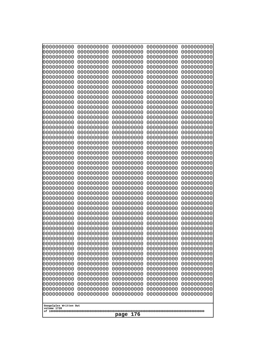| 10000000000<br>0000000000             | 0000000000<br>0000000000 | 0000000000<br>0000000000 | 0000000000<br>0000000000 | 0000000000<br>0000000000 |
|---------------------------------------|--------------------------|--------------------------|--------------------------|--------------------------|
| 0000000000                            | 0000000000               | 0000000000               | 0000000000               | 0000000000               |
| 0000000000                            | 0000000000               | 0000000000               | 0000000000               | 0000000000               |
| 0000000000<br>0000000000              | 0000000000<br>0000000000 | 0000000000<br>0000000000 | 0000000000<br>0000000000 | 0000000000<br>0000000000 |
| 0000000000                            | 0000000000               | 0000000000               | 0000000000               | 0000000000               |
| 0000000000                            | 0000000000               | 0000000000               | 0000000000               | 0000000000               |
| 0000000000                            | 0000000000               | 0000000000               | 0000000000               | 0000000000               |
| 0000000000<br>0000000000              | 0000000000<br>0000000000 | 0000000000<br>0000000000 | 0000000000<br>0000000000 | 0000000000<br>0000000000 |
| 0000000000                            | 0000000000               | 0000000000               | 0000000000               | 0000000000               |
| 0000000000                            | 0000000000               | 0000000000               | 0000000000               | 0000000000               |
| 0000000000<br>0000000000              | 0000000000<br>0000000000 | 0000000000<br>0000000000 | 0000000000<br>0000000000 | 0000000000<br>0000000000 |
| 0000000000                            | 0000000000               | 0000000000               | 0000000000               | 0000000000               |
| 0000000000                            | 0000000000               | 0000000000               | 0000000000               | 0000000000               |
| 0000000000<br>0000000000              | 0000000000<br>0000000000 | 0000000000<br>0000000000 | 0000000000<br>0000000000 | 0000000000<br>0000000000 |
| 0000000000                            | 0000000000               | 0000000000               | 0000000000               | 0000000000               |
| 0000000000                            | 0000000000               | 0000000000               | 0000000000               | 0000000000               |
| 0000000000                            | 0000000000               | 0000000000               | 0000000000               | 0000000000               |
| 0000000000<br>0000000000              | 0000000000<br>0000000000 | 0000000000<br>0000000000 | 0000000000<br>0000000000 | 0000000000<br>0000000000 |
| 0000000000                            | 0000000000               | 0000000000               | 0000000000               | 0000000000               |
| 0000000000                            | 0000000000               | 0000000000               | 0000000000               | 0000000000               |
| 0000000000<br>0000000000              | 0000000000<br>0000000000 | 0000000000<br>0000000000 | 0000000000<br>0000000000 | 0000000000<br>0000000000 |
| 0000000000                            | 0000000000               | 0000000000               | 0000000000               | 0000000000               |
| 0000000000                            | 0000000000               | 0000000000               | 0000000000               | 0000000000               |
| 0000000000<br>0000000000              | 0000000000<br>0000000000 | 0000000000<br>0000000000 | 0000000000<br>0000000000 | 0000000000<br>0000000000 |
| 0000000000                            | 0000000000               | 0000000000               | 0000000000               | 0000000000               |
| 0000000000                            | 0000000000               | 0000000000               | 0000000000               | 0000000000               |
| 0000000000<br>0000000000              | 0000000000<br>0000000000 | 0000000000               | 0000000000               | 0000000000               |
| 0000000000                            | 0000000000               | 0000000000<br>0000000000 | 0000000000<br>0000000000 | 0000000000<br>0000000000 |
| 0000000000                            | 0000000000               | 0000000000               | 0000000000               | 0000000000               |
| 0000000000                            | 0000000000               | 0000000000               | 0000000000               | 0000000000               |
| 0000000000<br>0000000000              | 0000000000<br>0000000000 | 0000000000<br>0000000000 | 0000000000<br>0000000000 | 0000000000<br>0000000000 |
| 0000000000                            | 0000000000               | 0000000000               | 0000000000               | 0000000000               |
| 0000000000                            | 0000000000               | 0000000000               | 0000000000               | 0000000000               |
| 0000000000<br>0000000000              | 0000000000<br>0000000000 | 0000000000<br>0000000000 | 0000000000<br>0000000000 | 0000000000<br>0000000000 |
| 0000000000                            | 0000000000               | 0000000000               | 0000000000               | 0000000000               |
| 0000000000                            | 0000000000               | 0000000000               | 0000000000               | 0000000000               |
| 0000000000<br>0000000000              | 0000000000<br>0000000000 | 0000000000<br>0000000000 | 0000000000<br>0000000000 | 0000000000<br>0000000000 |
| 0000000000                            | 0000000000               | 0000000000               | 0000000000               | 0000000000               |
|                                       |                          |                          |                          |                          |
| Googolplex Written Out<br>volume 1720 |                          |                          |                          |                          |
| 176<br>page                           |                          |                          |                          |                          |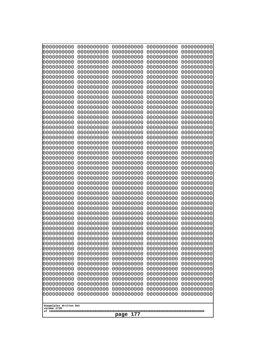| 000000000<br>0000000000  | 0000000000<br>0000000000 | 0000000000<br>0000000000 | 0000000000<br>0000000000 | 0000000000<br>0000000000 |
|--------------------------|--------------------------|--------------------------|--------------------------|--------------------------|
| 0000000000<br>0000000000 | 0000000000<br>0000000000 | 0000000000<br>0000000000 | 0000000000<br>0000000000 | 0000000000<br>0000000000 |
| 0000000000               | 0000000000               | 0000000000               | 0000000000               | 0000000000               |
| 0000000000<br>0000000000 | 0000000000<br>0000000000 | 0000000000<br>0000000000 | 0000000000<br>0000000000 | 0000000000<br>0000000000 |
| 0000000000               | 0000000000               | 0000000000               | 0000000000               | 0000000000               |
| 0000000000<br>0000000000 | 0000000000<br>0000000000 | 0000000000<br>0000000000 | 0000000000<br>0000000000 | 0000000000<br>0000000000 |
| 0000000000               | 0000000000               | 0000000000               | 0000000000               | 0000000000               |
| 0000000000               | 0000000000               | 0000000000               | 0000000000               | 0000000000               |
| 0000000000<br>0000000000 | 0000000000<br>0000000000 | 0000000000<br>0000000000 | 0000000000<br>0000000000 | 0000000000<br>0000000000 |
| 0000000000<br>0000000000 | 0000000000<br>0000000000 | 0000000000<br>0000000000 | 0000000000<br>0000000000 | 0000000000<br>0000000000 |
| 0000000000               | 0000000000               | 0000000000               | 0000000000               | 0000000000               |
| 0000000000<br>0000000000 | 0000000000<br>0000000000 | 0000000000<br>0000000000 | 0000000000<br>0000000000 | 0000000000<br>0000000000 |
| 0000000000               | 0000000000               | 0000000000               | 0000000000               | 0000000000               |
| 0000000000<br>0000000000 | 0000000000<br>0000000000 | 0000000000<br>0000000000 | 0000000000<br>0000000000 | 0000000000<br>0000000000 |
| 0000000000               | 0000000000               | 0000000000               | 0000000000               | 0000000000               |
| 0000000000<br>0000000000 | 0000000000<br>0000000000 | 0000000000<br>0000000000 | 0000000000<br>0000000000 | 0000000000<br>0000000000 |
| 0000000000               | 0000000000               | 0000000000               | 0000000000               | 0000000000               |
| 0000000000<br>0000000000 | 0000000000<br>0000000000 | 0000000000<br>0000000000 | 0000000000<br>0000000000 | 0000000000<br>0000000000 |
| 0000000000               | 0000000000               | 0000000000               | 0000000000               | 0000000000               |
| 0000000000<br>0000000000 | 0000000000<br>0000000000 | 0000000000<br>0000000000 | 0000000000<br>0000000000 | 0000000000<br>0000000000 |
| 0000000000               | 0000000000               | 0000000000               | 0000000000               | 0000000000               |
| 0000000000<br>0000000000 | 0000000000<br>0000000000 | 0000000000<br>0000000000 | 0000000000<br>0000000000 | 0000000000<br>0000000000 |
| 0000000000               | 0000000000               | 0000000000               | 0000000000               | 0000000000               |
| 0000000000<br>0000000000 | 0000000000<br>0000000000 | 0000000000<br>0000000000 | 0000000000<br>0000000000 | 0000000000<br>0000000000 |
| 0000000000               | 0000000000               | 0000000000               | 0000000000               | 0000000000               |
| 0000000000<br>0000000000 | 0000000000<br>0000000000 | 0000000000<br>0000000000 | 0000000000<br>0000000000 | 0000000000<br>0000000000 |
| 0000000000               | 0000000000               | 0000000000               | 0000000000               | 0000000000               |
| 0000000000<br>0000000000 | 0000000000<br>0000000000 | 0000000000<br>0000000000 | 0000000000<br>0000000000 | 0000000000<br>0000000000 |
| 0000000000               | 0000000000               | 0000000000               | 0000000000               | 0000000000               |
| 0000000000<br>0000000000 | 0000000000<br>0000000000 | 0000000000<br>0000000000 | 0000000000<br>0000000000 | 0000000000<br>0000000000 |
| 0000000000               | 0000000000               | 0000000000               | 0000000000               | 0000000000               |
| 0000000000<br>0000000000 | 0000000000<br>0000000000 | 0000000000<br>0000000000 | 0000000000<br>0000000000 | 0000000000<br>0000000000 |
| 0000000000               | 0000000000               | 0000000000               | 0000000000               | 0000000000               |
| Googolplex Written Out   |                          |                          |                          |                          |
| volume 1720              |                          | 177<br>page              |                          |                          |
|                          |                          |                          |                          |                          |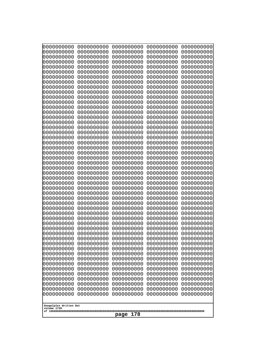| 10000000000<br>0000000000             | 0000000000<br>0000000000 | 0000000000<br>0000000000 | 0000000000<br>0000000000 | 0000000000<br>0000000000 |
|---------------------------------------|--------------------------|--------------------------|--------------------------|--------------------------|
| 0000000000                            | 0000000000               | 0000000000               | 0000000000               | 0000000000               |
| 0000000000                            | 0000000000               | 0000000000               | 0000000000               | 0000000000               |
| 0000000000                            | 0000000000               | 0000000000               | 0000000000               | 0000000000               |
| 0000000000<br>0000000000              | 0000000000<br>0000000000 | 0000000000<br>0000000000 | 0000000000<br>0000000000 | 0000000000<br>0000000000 |
| 0000000000                            | 0000000000               | 0000000000               | 0000000000               | 0000000000               |
| 0000000000                            | 0000000000               | 0000000000               | 0000000000               | 0000000000               |
| 0000000000                            | 0000000000               | 0000000000               | 0000000000               | 0000000000               |
| 0000000000<br>0000000000              | 0000000000<br>0000000000 | 0000000000<br>0000000000 | 0000000000<br>0000000000 | 0000000000<br>0000000000 |
| 0000000000                            | 0000000000               | 0000000000               | 0000000000               | 0000000000               |
| 0000000000                            | 0000000000               | 0000000000               | 0000000000               | 0000000000               |
| 0000000000<br>0000000000              | 0000000000<br>0000000000 | 0000000000<br>0000000000 | 0000000000<br>0000000000 | 0000000000<br>0000000000 |
| 0000000000                            | 0000000000               | 0000000000               | 0000000000               | 0000000000               |
| 0000000000                            | 0000000000               | 0000000000               | 0000000000               | 0000000000               |
| 0000000000                            | 0000000000               | 0000000000               | 0000000000               | 0000000000               |
| 0000000000<br>0000000000              | 0000000000<br>0000000000 | 0000000000<br>0000000000 | 0000000000<br>0000000000 | 0000000000<br>0000000000 |
| 0000000000                            | 0000000000               | 0000000000               | 0000000000               | 0000000000               |
| 0000000000                            | 0000000000               | 0000000000               | 0000000000               | 0000000000               |
| 0000000000<br>0000000000              | 0000000000<br>0000000000 | 0000000000<br>0000000000 | 0000000000<br>0000000000 | 0000000000<br>0000000000 |
| 0000000000                            | 0000000000               | 0000000000               | 0000000000               | 0000000000               |
| 0000000000                            | 0000000000               | 0000000000               | 0000000000               | 0000000000               |
| 0000000000                            | 0000000000               | 0000000000               | 0000000000               | 0000000000               |
| 0000000000<br>0000000000              | 0000000000<br>0000000000 | 0000000000<br>0000000000 | 0000000000<br>0000000000 | 0000000000<br>0000000000 |
| 0000000000                            | 0000000000               | 0000000000               | 0000000000               | 0000000000               |
| 0000000000                            | 0000000000               | 0000000000               | 0000000000               | 0000000000               |
| 0000000000<br>0000000000              | 0000000000<br>0000000000 | 0000000000<br>0000000000 | 0000000000<br>0000000000 | 0000000000<br>0000000000 |
| 0000000000                            | 0000000000               | 0000000000               | 0000000000               | 0000000000               |
| 0000000000                            | 0000000000               | 0000000000               | 0000000000               | 0000000000               |
| 0000000000                            | 0000000000               | 0000000000               | 0000000000               | 0000000000               |
| 0000000000<br>0000000000              | 0000000000<br>0000000000 | 0000000000<br>0000000000 | 0000000000<br>0000000000 | 0000000000<br>0000000000 |
| 0000000000                            | 0000000000               | 0000000000               | 0000000000               | 0000000000               |
| 0000000000                            | 0000000000               | 0000000000               | 0000000000               | 0000000000               |
| 0000000000<br>0000000000              | 0000000000<br>0000000000 | 0000000000<br>0000000000 | 0000000000<br>0000000000 | 0000000000<br>0000000000 |
| 0000000000                            | 0000000000               | 0000000000               | 0000000000               | 0000000000               |
| 0000000000                            | 0000000000               | 0000000000               | 0000000000               | 0000000000               |
| 0000000000<br>0000000000              | 0000000000<br>0000000000 | 0000000000<br>0000000000 | 0000000000<br>0000000000 | 0000000000<br>0000000000 |
| 0000000000                            | 0000000000               | 0000000000               | 0000000000               | 0000000000               |
| 0000000000                            | 0000000000               | 0000000000               | 0000000000               | 0000000000               |
| 0000000000                            | 0000000000               | 0000000000               | 0000000000               | 0000000000               |
|                                       |                          |                          |                          |                          |
| Googolplex Written Out<br>volume 1720 |                          |                          |                          |                          |
| 178<br>page                           |                          |                          |                          |                          |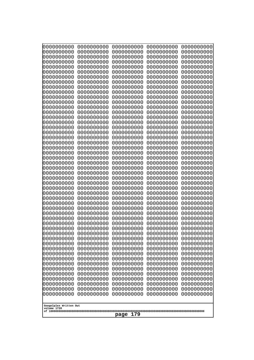| 10000000000<br>0000000000<br>0000000000<br>0000000000 |      | 0000000000<br>0000000000 | 0000000000<br>0000000000 | 0000000000<br>0000000000 |
|-------------------------------------------------------|------|--------------------------|--------------------------|--------------------------|
| 0000000000<br>0000000000                              |      | 0000000000               | 0000000000               | 0000000000               |
| 0000000000<br>0000000000                              |      | 0000000000               | 0000000000               | 0000000000               |
| 0000000000<br>0000000000                              |      | 0000000000               | 0000000000               | 0000000000               |
| 0000000000<br>0000000000<br>0000000000<br>0000000000  |      | 0000000000<br>0000000000 | 0000000000<br>0000000000 | 0000000000<br>0000000000 |
| 0000000000<br>0000000000                              |      | 0000000000               | 0000000000               | 0000000000               |
| 0000000000<br>0000000000                              |      | 0000000000               | 0000000000               | 0000000000               |
| 0000000000<br>0000000000<br>0000000000<br>0000000000  |      | 0000000000<br>0000000000 | 0000000000<br>0000000000 | 0000000000<br>0000000000 |
| 0000000000<br>0000000000                              |      | 0000000000               | 0000000000               | 0000000000               |
| 0000000000<br>0000000000                              |      | 0000000000               | 0000000000               | 0000000000               |
| 0000000000<br>0000000000<br>0000000000<br>0000000000  |      | 0000000000<br>0000000000 | 0000000000<br>0000000000 | 0000000000<br>0000000000 |
| 0000000000<br>0000000000                              |      | 0000000000               | 0000000000               | 0000000000               |
| 0000000000<br>0000000000                              |      | 0000000000               | 0000000000               | 0000000000               |
| 0000000000<br>0000000000                              |      | 0000000000               | 0000000000               | 0000000000               |
| 0000000000<br>0000000000<br>0000000000<br>0000000000  |      | 0000000000<br>0000000000 | 0000000000<br>0000000000 | 0000000000<br>0000000000 |
| 0000000000<br>0000000000                              |      | 0000000000               | 0000000000               | 0000000000               |
| 0000000000<br>0000000000                              |      | 0000000000               | 0000000000               | 0000000000               |
| 0000000000<br>0000000000<br>0000000000<br>0000000000  |      | 0000000000<br>0000000000 | 0000000000<br>0000000000 | 0000000000<br>0000000000 |
| 0000000000<br>0000000000                              |      | 0000000000               | 0000000000               | 0000000000               |
| 0000000000<br>0000000000                              |      | 0000000000               | 0000000000               | 0000000000               |
| 0000000000<br>0000000000<br>0000000000<br>0000000000  |      | 0000000000<br>0000000000 | 0000000000<br>0000000000 | 0000000000<br>0000000000 |
| 0000000000<br>0000000000                              |      | 0000000000               | 0000000000               | 0000000000               |
| 0000000000<br>0000000000                              |      | 0000000000               | 0000000000               | 0000000000               |
| 0000000000<br>0000000000                              |      | 0000000000               | 0000000000               | 0000000000               |
| 0000000000<br>0000000000<br>0000000000<br>0000000000  |      | 0000000000<br>0000000000 | 0000000000<br>0000000000 | 0000000000<br>0000000000 |
| 0000000000<br>0000000000                              |      | 0000000000               | 0000000000               | 0000000000               |
| 0000000000<br>0000000000                              |      | 0000000000               | 0000000000               | 0000000000               |
| 0000000000<br>0000000000<br>0000000000<br>0000000000  |      | 0000000000<br>0000000000 | 0000000000<br>0000000000 | 0000000000<br>0000000000 |
| 0000000000<br>0000000000                              |      | 0000000000               | 0000000000               | 0000000000               |
| 0000000000<br>0000000000                              |      | 0000000000               | 0000000000               | 0000000000               |
| 0000000000<br>0000000000<br>0000000000<br>0000000000  |      | 0000000000<br>0000000000 | 0000000000<br>0000000000 | 0000000000<br>0000000000 |
| 0000000000<br>0000000000                              |      | 0000000000               | 0000000000               | 0000000000               |
| 0000000000<br>0000000000                              |      | 0000000000               | 0000000000               | 0000000000               |
| 0000000000<br>0000000000<br>0000000000<br>0000000000  |      | 0000000000<br>0000000000 | 0000000000<br>0000000000 | 0000000000<br>0000000000 |
| 0000000000<br>0000000000                              |      | 0000000000               | 0000000000               | 0000000000               |
| 0000000000<br>0000000000                              |      | 0000000000               | 0000000000               | 0000000000               |
| 0000000000<br>0000000000                              |      | 0000000000               | 0000000000               | 0000000000               |
| 0000000000<br>0000000000<br>0000000000<br>0000000000  |      | 0000000000<br>0000000000 | 0000000000<br>0000000000 | 0000000000<br>0000000000 |
|                                                       |      |                          |                          |                          |
| Googolplex Written Out<br>volume 1720                 |      |                          |                          |                          |
|                                                       | page | 179                      |                          |                          |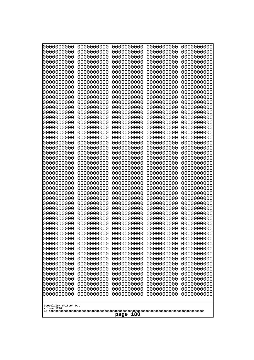| 0000000000                                           | 0000000000 | 0000000000 | 0000000000 | 0000000000 |
|------------------------------------------------------|------------|------------|------------|------------|
| 0000000000                                           | 0000000000 | 0000000000 | 0000000000 | 0000000000 |
| 0000000000                                           | 0000000000 | 0000000000 | 0000000000 | 0000000000 |
| 0000000000                                           | 0000000000 | 0000000000 | 0000000000 | 0000000000 |
| 0000000000                                           | 0000000000 | 0000000000 | 0000000000 | 0000000000 |
| 0000000000                                           | 0000000000 | 0000000000 | 0000000000 | 0000000000 |
| 0000000000                                           | 0000000000 | 0000000000 | 0000000000 | 0000000000 |
| 0000000000                                           | 0000000000 | 0000000000 | 0000000000 | 0000000000 |
| 0000000000                                           | 0000000000 | 0000000000 | 0000000000 | 0000000000 |
| 0000000000                                           | 0000000000 | 0000000000 | 0000000000 | 0000000000 |
| 0000000000                                           | 0000000000 | 0000000000 | 0000000000 | 0000000000 |
| 0000000000                                           | 0000000000 | 0000000000 | 0000000000 | 0000000000 |
| 0000000000                                           | 0000000000 | 0000000000 | 0000000000 | 0000000000 |
| 0000000000                                           | 0000000000 | 0000000000 | 0000000000 | 0000000000 |
| 0000000000                                           | 0000000000 | 0000000000 | 0000000000 | 0000000000 |
| 0000000000                                           | 0000000000 | 0000000000 | 0000000000 | 0000000000 |
| 0000000000                                           | 0000000000 | 0000000000 | 0000000000 | 0000000000 |
| 0000000000                                           | 0000000000 | 0000000000 | 0000000000 | 0000000000 |
| 0000000000                                           | 0000000000 | 0000000000 | 0000000000 | 0000000000 |
| 0000000000                                           | 0000000000 | 0000000000 | 0000000000 | 0000000000 |
| 0000000000                                           | 0000000000 | 0000000000 | 0000000000 | 0000000000 |
| 0000000000                                           | 0000000000 | 0000000000 | 0000000000 | 0000000000 |
| 0000000000                                           | 0000000000 | 0000000000 | 0000000000 | 0000000000 |
| 0000000000                                           | 0000000000 | 0000000000 | 0000000000 | 0000000000 |
| 0000000000                                           | 0000000000 | 0000000000 | 0000000000 | 0000000000 |
| 0000000000                                           | 0000000000 | 0000000000 | 0000000000 | 0000000000 |
| 0000000000                                           | 0000000000 | 0000000000 | 0000000000 | 0000000000 |
| 0000000000                                           | 0000000000 | 0000000000 | 0000000000 | 0000000000 |
| 0000000000                                           | 0000000000 | 0000000000 | 0000000000 | 0000000000 |
| 0000000000                                           | 0000000000 | 0000000000 | 0000000000 | 0000000000 |
| 0000000000                                           | 0000000000 | 0000000000 | 0000000000 | 0000000000 |
| 0000000000                                           | 0000000000 | 0000000000 | 0000000000 | 0000000000 |
| 0000000000                                           | 0000000000 | 0000000000 | 0000000000 | 0000000000 |
| 0000000000                                           | 0000000000 | 0000000000 | 0000000000 | 0000000000 |
| 0000000000                                           | 0000000000 | 0000000000 | 0000000000 | 0000000000 |
| 0000000000                                           | 0000000000 | 0000000000 | 0000000000 | 0000000000 |
| 0000000000                                           | 0000000000 | 0000000000 | 0000000000 | 0000000000 |
| 0000000000                                           | 0000000000 | 0000000000 | 0000000000 | 0000000000 |
| 0000000000                                           | 0000000000 | 0000000000 | 0000000000 | 0000000000 |
| 0000000000                                           | 0000000000 | 0000000000 | 0000000000 | 0000000000 |
| 0000000000                                           | 0000000000 | 0000000000 | 0000000000 | 0000000000 |
| 0000000000                                           | 0000000000 | 0000000000 | 0000000000 | 0000000000 |
| 0000000000                                           | 0000000000 | 0000000000 | 0000000000 | 0000000000 |
| 0000000000                                           | 0000000000 | 0000000000 | 0000000000 | 0000000000 |
| 0000000000                                           | 0000000000 | 0000000000 | 0000000000 | 0000000000 |
| 0000000000                                           | 0000000000 | 0000000000 | 0000000000 | 0000000000 |
| 0000000000                                           | 0000000000 | 0000000000 | 0000000000 | 0000000000 |
| 0000000000                                           | 0000000000 | 0000000000 | 0000000000 | 0000000000 |
| 0000000000                                           | 0000000000 | 0000000000 | 0000000000 | 0000000000 |
| 0000000000                                           | 0000000000 | 0000000000 | 0000000000 | 0000000000 |
| Googolplex Written Out<br>volume 1720<br>180<br>page |            |            |            |            |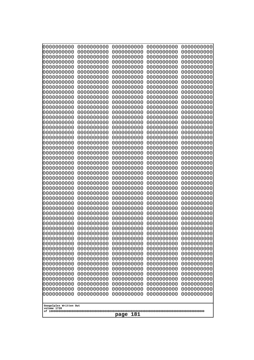| 10000000000              | 0000000000               | 0000000000               | 0000000000               | 0000000000               |
|--------------------------|--------------------------|--------------------------|--------------------------|--------------------------|
| 0000000000<br>0000000000 | 0000000000<br>0000000000 | 0000000000<br>0000000000 | 0000000000<br>0000000000 | 0000000000<br>0000000000 |
| 0000000000               | 0000000000               | 0000000000               | 0000000000               | 0000000000               |
| 0000000000               | 0000000000               | 0000000000               | 0000000000               | 0000000000               |
| 0000000000               | 0000000000               | 0000000000               | 0000000000               | 0000000000               |
| 0000000000<br>0000000000 | 0000000000<br>0000000000 | 0000000000<br>0000000000 | 0000000000<br>0000000000 | 0000000000<br>0000000000 |
| 0000000000               | 0000000000               | 0000000000               | 0000000000               | 0000000000               |
| 0000000000               | 0000000000               | 0000000000               | 0000000000               | 0000000000               |
| 0000000000               | 0000000000               | 0000000000               | 0000000000               | 0000000000               |
| 0000000000<br>0000000000 | 0000000000<br>0000000000 | 0000000000<br>0000000000 | 0000000000<br>0000000000 | 0000000000<br>0000000000 |
| 0000000000               | 0000000000               | 0000000000               | 0000000000               | 0000000000               |
| 0000000000               | 0000000000               | 0000000000               | 0000000000               | 0000000000               |
| 0000000000               | 0000000000               | 0000000000               | 0000000000               | 0000000000               |
| 0000000000<br>0000000000 | 0000000000<br>0000000000 | 0000000000<br>0000000000 | 0000000000<br>0000000000 | 0000000000<br>0000000000 |
| 0000000000               | 0000000000               | 0000000000               | 0000000000               | 0000000000               |
| 0000000000               | 0000000000               | 0000000000               | 0000000000               | 0000000000               |
| 0000000000<br>0000000000 | 0000000000<br>0000000000 | 0000000000<br>0000000000 | 0000000000<br>0000000000 | 0000000000<br>0000000000 |
| 0000000000               | 0000000000               | 0000000000               | 0000000000               | 0000000000               |
| 0000000000               | 0000000000               | 0000000000               | 0000000000               | 0000000000               |
| 0000000000               | 0000000000               | 0000000000               | 0000000000               | 0000000000               |
| 0000000000<br>0000000000 | 0000000000<br>0000000000 | 0000000000<br>0000000000 | 0000000000<br>0000000000 | 0000000000<br>0000000000 |
| 0000000000               | 0000000000               | 0000000000               | 0000000000               | 0000000000               |
| 0000000000               | 0000000000               | 0000000000               | 0000000000               | 0000000000               |
| 0000000000               | 0000000000               | 0000000000               | 0000000000               | 0000000000               |
| 0000000000<br>0000000000 | 0000000000<br>0000000000 | 0000000000<br>0000000000 | 0000000000<br>0000000000 | 0000000000<br>0000000000 |
| 0000000000               | 0000000000               | 0000000000               | 0000000000               | 0000000000               |
| 0000000000               | 0000000000               | 0000000000               | 0000000000               | 0000000000               |
| 0000000000<br>0000000000 | 0000000000<br>0000000000 | 0000000000<br>0000000000 | 0000000000<br>0000000000 | 0000000000<br>0000000000 |
| 0000000000               | 0000000000               | 0000000000               | 0000000000               | 0000000000               |
| 0000000000               | 0000000000               | 0000000000               | 0000000000               | 0000000000               |
| 0000000000               | 0000000000               | 0000000000               | 0000000000               | 0000000000               |
| 0000000000<br>0000000000 | 0000000000<br>0000000000 | 0000000000<br>0000000000 | 0000000000<br>0000000000 | 0000000000<br>0000000000 |
| 0000000000               | 0000000000               | 0000000000               | 0000000000               | 0000000000               |
| 0000000000               | 0000000000               | 0000000000               | 0000000000               | 0000000000               |
| 0000000000               | 0000000000               | 0000000000               | 0000000000               | 0000000000               |
| 0000000000<br>0000000000 | 0000000000<br>0000000000 | 0000000000<br>0000000000 | 0000000000<br>0000000000 | 0000000000<br>0000000000 |
| 0000000000               | 0000000000               | 0000000000               | 0000000000               | 0000000000               |
| 0000000000               | 0000000000               | 0000000000               | 0000000000               | 0000000000               |
| 0000000000               | 0000000000               | 0000000000               | 0000000000               | 0000000000               |
| 0000000000               | 0000000000               | 0000000000               | 0000000000               | 0000000000               |
| Googolplex Written Out   |                          |                          |                          |                          |
| volume 1720              |                          | 181                      |                          |                          |
|                          |                          | page                     |                          |                          |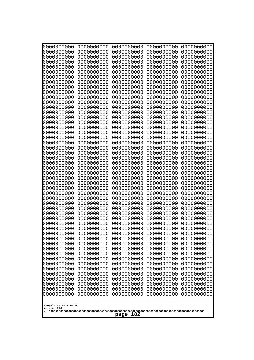| 10000000000                           | 0000000000               | 0000000000               | 0000000000               | 0000000000               |
|---------------------------------------|--------------------------|--------------------------|--------------------------|--------------------------|
| 0000000000<br>0000000000              | 0000000000<br>0000000000 | 0000000000<br>0000000000 | 0000000000<br>0000000000 | 0000000000<br>0000000000 |
| 0000000000                            | 0000000000               | 0000000000               | 0000000000               | 0000000000               |
| 0000000000                            | 0000000000               | 0000000000               | 0000000000               | 0000000000               |
| 0000000000                            | 0000000000               | 0000000000               | 0000000000               | 0000000000               |
| 0000000000<br>0000000000              | 0000000000<br>0000000000 | 0000000000<br>0000000000 | 0000000000<br>0000000000 | 0000000000<br>0000000000 |
| 0000000000                            | 0000000000               | 0000000000               | 0000000000               | 0000000000               |
| 0000000000                            | 0000000000               | 0000000000               | 0000000000               | 0000000000               |
| 0000000000                            | 0000000000               | 0000000000               | 0000000000               | 0000000000               |
| 0000000000<br>0000000000              | 0000000000<br>0000000000 | 0000000000<br>0000000000 | 0000000000<br>0000000000 | 0000000000<br>0000000000 |
| 0000000000                            | 0000000000               | 0000000000               | 0000000000               | 0000000000               |
| 0000000000                            | 0000000000               | 0000000000               | 0000000000               | 0000000000               |
| 0000000000                            | 0000000000               | 0000000000               | 0000000000               | 0000000000               |
| 0000000000<br>0000000000              | 0000000000<br>0000000000 | 0000000000<br>0000000000 | 0000000000<br>0000000000 | 0000000000<br>0000000000 |
| 0000000000                            | 0000000000               | 0000000000               | 0000000000               | 0000000000               |
| 0000000000                            | 0000000000               | 0000000000               | 0000000000               | 0000000000               |
| 0000000000                            | 0000000000               | 0000000000               | 0000000000               | 0000000000               |
| 0000000000<br>0000000000              | 0000000000<br>0000000000 | 0000000000<br>0000000000 | 0000000000<br>0000000000 | 0000000000<br>0000000000 |
| 0000000000                            | 0000000000               | 0000000000               | 0000000000               | 0000000000               |
| 0000000000                            | 0000000000               | 0000000000               | 0000000000               | 0000000000               |
| 0000000000                            | 0000000000               | 0000000000               | 0000000000               | 0000000000               |
| 0000000000<br>0000000000              | 0000000000<br>0000000000 | 0000000000<br>0000000000 | 0000000000<br>0000000000 | 0000000000<br>0000000000 |
| 0000000000                            | 0000000000               | 0000000000               | 0000000000               | 0000000000               |
| 0000000000                            | 0000000000               | 0000000000               | 0000000000               | 0000000000               |
| 0000000000                            | 0000000000               | 0000000000               | 0000000000               | 0000000000               |
| 0000000000<br>0000000000              | 0000000000<br>0000000000 | 0000000000<br>0000000000 | 0000000000<br>0000000000 | 0000000000<br>0000000000 |
| 0000000000                            | 0000000000               | 0000000000               | 0000000000               | 0000000000               |
| 0000000000                            | 0000000000               | 0000000000               | 0000000000               | 0000000000               |
| 0000000000                            | 0000000000               | 0000000000               | 0000000000               | 0000000000               |
| 0000000000<br>0000000000              | 0000000000<br>0000000000 | 0000000000<br>0000000000 | 0000000000<br>0000000000 | 0000000000<br>0000000000 |
| 0000000000                            | 0000000000               | 0000000000               | 0000000000               | 0000000000               |
| 0000000000                            | 0000000000               | 0000000000               | 0000000000               | 0000000000               |
| 0000000000                            | 0000000000               | 0000000000               | 0000000000               | 0000000000               |
| 0000000000<br>0000000000              | 0000000000<br>0000000000 | 0000000000<br>0000000000 | 0000000000<br>0000000000 | 0000000000<br>0000000000 |
| 0000000000                            | 0000000000               | 0000000000               | 0000000000               | 0000000000               |
| 0000000000                            | 0000000000               | 0000000000               | 0000000000               | 0000000000               |
| 0000000000                            | 0000000000               | 0000000000               | 0000000000               | 0000000000               |
| 0000000000<br>0000000000              | 0000000000<br>0000000000 | 0000000000<br>0000000000 | 0000000000<br>0000000000 | 0000000000<br>0000000000 |
| 0000000000                            | 0000000000               | 0000000000               | 0000000000               | 0000000000               |
| 0000000000                            | 0000000000               | 0000000000               | 0000000000               | 0000000000               |
|                                       |                          |                          |                          |                          |
| Googolplex Written Out<br>volume 1720 |                          |                          |                          |                          |
| 182<br>page                           |                          |                          |                          |                          |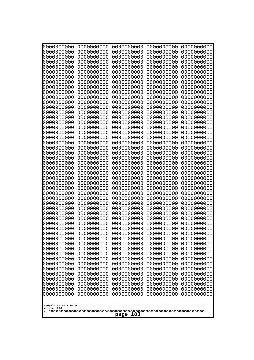| 0000000000                                                                                                                                                                                                                                                                                                                                                                                          | 0000000000                                                                                                                                                                                                                                                                                                                                                 | 0000000000                                                                                                                                                                                                                                                                                                                                                                | 0000000000                                                                                                                                                                                                                                                                                                                                                 | 0000000000                                                                                                                                                                                                                                                                                                                                                 |
|-----------------------------------------------------------------------------------------------------------------------------------------------------------------------------------------------------------------------------------------------------------------------------------------------------------------------------------------------------------------------------------------------------|------------------------------------------------------------------------------------------------------------------------------------------------------------------------------------------------------------------------------------------------------------------------------------------------------------------------------------------------------------|---------------------------------------------------------------------------------------------------------------------------------------------------------------------------------------------------------------------------------------------------------------------------------------------------------------------------------------------------------------------------|------------------------------------------------------------------------------------------------------------------------------------------------------------------------------------------------------------------------------------------------------------------------------------------------------------------------------------------------------------|------------------------------------------------------------------------------------------------------------------------------------------------------------------------------------------------------------------------------------------------------------------------------------------------------------------------------------------------------------|
| 0000000000                                                                                                                                                                                                                                                                                                                                                                                          | 0000000000                                                                                                                                                                                                                                                                                                                                                 | 0000000000                                                                                                                                                                                                                                                                                                                                                                | 0000000000                                                                                                                                                                                                                                                                                                                                                 | 0000000000                                                                                                                                                                                                                                                                                                                                                 |
| 0000000000                                                                                                                                                                                                                                                                                                                                                                                          | 0000000000                                                                                                                                                                                                                                                                                                                                                 | 0000000000                                                                                                                                                                                                                                                                                                                                                                | 0000000000                                                                                                                                                                                                                                                                                                                                                 | 0000000000                                                                                                                                                                                                                                                                                                                                                 |
| 0000000000                                                                                                                                                                                                                                                                                                                                                                                          | 0000000000                                                                                                                                                                                                                                                                                                                                                 | 0000000000                                                                                                                                                                                                                                                                                                                                                                | 0000000000                                                                                                                                                                                                                                                                                                                                                 | 0000000000                                                                                                                                                                                                                                                                                                                                                 |
| 0000000000                                                                                                                                                                                                                                                                                                                                                                                          | 0000000000                                                                                                                                                                                                                                                                                                                                                 | 0000000000                                                                                                                                                                                                                                                                                                                                                                | 0000000000                                                                                                                                                                                                                                                                                                                                                 | 0000000000                                                                                                                                                                                                                                                                                                                                                 |
| 0000000000                                                                                                                                                                                                                                                                                                                                                                                          | 0000000000                                                                                                                                                                                                                                                                                                                                                 | 0000000000                                                                                                                                                                                                                                                                                                                                                                | 0000000000                                                                                                                                                                                                                                                                                                                                                 | 0000000000                                                                                                                                                                                                                                                                                                                                                 |
| 0000000000                                                                                                                                                                                                                                                                                                                                                                                          | 0000000000                                                                                                                                                                                                                                                                                                                                                 | 0000000000                                                                                                                                                                                                                                                                                                                                                                | 0000000000                                                                                                                                                                                                                                                                                                                                                 | 0000000000                                                                                                                                                                                                                                                                                                                                                 |
| 0000000000                                                                                                                                                                                                                                                                                                                                                                                          | 0000000000                                                                                                                                                                                                                                                                                                                                                 | 0000000000                                                                                                                                                                                                                                                                                                                                                                | 0000000000                                                                                                                                                                                                                                                                                                                                                 | 0000000000                                                                                                                                                                                                                                                                                                                                                 |
| 0000000000                                                                                                                                                                                                                                                                                                                                                                                          | 0000000000                                                                                                                                                                                                                                                                                                                                                 | 0000000000                                                                                                                                                                                                                                                                                                                                                                | 0000000000                                                                                                                                                                                                                                                                                                                                                 | 0000000000                                                                                                                                                                                                                                                                                                                                                 |
| 0000000000                                                                                                                                                                                                                                                                                                                                                                                          | 0000000000                                                                                                                                                                                                                                                                                                                                                 | 0000000000                                                                                                                                                                                                                                                                                                                                                                | 0000000000                                                                                                                                                                                                                                                                                                                                                 | 0000000000                                                                                                                                                                                                                                                                                                                                                 |
| 0000000000                                                                                                                                                                                                                                                                                                                                                                                          | 0000000000                                                                                                                                                                                                                                                                                                                                                 | 0000000000                                                                                                                                                                                                                                                                                                                                                                | 0000000000                                                                                                                                                                                                                                                                                                                                                 | 0000000000                                                                                                                                                                                                                                                                                                                                                 |
| 0000000000                                                                                                                                                                                                                                                                                                                                                                                          | 0000000000                                                                                                                                                                                                                                                                                                                                                 | 0000000000                                                                                                                                                                                                                                                                                                                                                                | 0000000000                                                                                                                                                                                                                                                                                                                                                 | 0000000000                                                                                                                                                                                                                                                                                                                                                 |
| 0000000000                                                                                                                                                                                                                                                                                                                                                                                          | 0000000000                                                                                                                                                                                                                                                                                                                                                 | 0000000000                                                                                                                                                                                                                                                                                                                                                                | 0000000000                                                                                                                                                                                                                                                                                                                                                 | 0000000000                                                                                                                                                                                                                                                                                                                                                 |
| 0000000000                                                                                                                                                                                                                                                                                                                                                                                          | 0000000000                                                                                                                                                                                                                                                                                                                                                 | 0000000000                                                                                                                                                                                                                                                                                                                                                                | 0000000000                                                                                                                                                                                                                                                                                                                                                 | 0000000000                                                                                                                                                                                                                                                                                                                                                 |
| 0000000000                                                                                                                                                                                                                                                                                                                                                                                          | 0000000000                                                                                                                                                                                                                                                                                                                                                 | 0000000000                                                                                                                                                                                                                                                                                                                                                                | 0000000000                                                                                                                                                                                                                                                                                                                                                 | 0000000000                                                                                                                                                                                                                                                                                                                                                 |
| 0000000000                                                                                                                                                                                                                                                                                                                                                                                          | 0000000000                                                                                                                                                                                                                                                                                                                                                 | 0000000000                                                                                                                                                                                                                                                                                                                                                                | 0000000000                                                                                                                                                                                                                                                                                                                                                 | 0000000000                                                                                                                                                                                                                                                                                                                                                 |
| 0000000000                                                                                                                                                                                                                                                                                                                                                                                          | 0000000000                                                                                                                                                                                                                                                                                                                                                 | 0000000000                                                                                                                                                                                                                                                                                                                                                                | 0000000000                                                                                                                                                                                                                                                                                                                                                 | 0000000000                                                                                                                                                                                                                                                                                                                                                 |
| 0000000000                                                                                                                                                                                                                                                                                                                                                                                          | 0000000000                                                                                                                                                                                                                                                                                                                                                 | 0000000000                                                                                                                                                                                                                                                                                                                                                                | 0000000000                                                                                                                                                                                                                                                                                                                                                 | 0000000000                                                                                                                                                                                                                                                                                                                                                 |
| 0000000000                                                                                                                                                                                                                                                                                                                                                                                          | 0000000000                                                                                                                                                                                                                                                                                                                                                 | 0000000000                                                                                                                                                                                                                                                                                                                                                                | 0000000000                                                                                                                                                                                                                                                                                                                                                 | 0000000000                                                                                                                                                                                                                                                                                                                                                 |
| 0000000000                                                                                                                                                                                                                                                                                                                                                                                          | 0000000000                                                                                                                                                                                                                                                                                                                                                 | 0000000000                                                                                                                                                                                                                                                                                                                                                                | 0000000000                                                                                                                                                                                                                                                                                                                                                 | 0000000000                                                                                                                                                                                                                                                                                                                                                 |
| 0000000000                                                                                                                                                                                                                                                                                                                                                                                          | 0000000000                                                                                                                                                                                                                                                                                                                                                 | 0000000000                                                                                                                                                                                                                                                                                                                                                                | 0000000000                                                                                                                                                                                                                                                                                                                                                 | 0000000000                                                                                                                                                                                                                                                                                                                                                 |
| 0000000000                                                                                                                                                                                                                                                                                                                                                                                          | 0000000000                                                                                                                                                                                                                                                                                                                                                 | 0000000000                                                                                                                                                                                                                                                                                                                                                                | 0000000000                                                                                                                                                                                                                                                                                                                                                 | 0000000000                                                                                                                                                                                                                                                                                                                                                 |
| 0000000000                                                                                                                                                                                                                                                                                                                                                                                          | 0000000000                                                                                                                                                                                                                                                                                                                                                 | 0000000000                                                                                                                                                                                                                                                                                                                                                                | 0000000000                                                                                                                                                                                                                                                                                                                                                 | 0000000000                                                                                                                                                                                                                                                                                                                                                 |
| 0000000000                                                                                                                                                                                                                                                                                                                                                                                          | 0000000000                                                                                                                                                                                                                                                                                                                                                 | 0000000000                                                                                                                                                                                                                                                                                                                                                                | 0000000000                                                                                                                                                                                                                                                                                                                                                 | 0000000000                                                                                                                                                                                                                                                                                                                                                 |
| 0000000000                                                                                                                                                                                                                                                                                                                                                                                          | 0000000000                                                                                                                                                                                                                                                                                                                                                 | 0000000000                                                                                                                                                                                                                                                                                                                                                                | 0000000000                                                                                                                                                                                                                                                                                                                                                 | 0000000000                                                                                                                                                                                                                                                                                                                                                 |
| 0000000000<br>0000000000<br>0000000000<br>0000000000<br>0000000000<br>0000000000<br>0000000000<br>0000000000<br>0000000000<br>0000000000<br>0000000000<br>0000000000<br>0000000000<br>0000000000<br>0000000000<br>0000000000<br>0000000000<br>0000000000<br>0000000000<br>0000000000<br>0000000000<br>0000000000<br>0000000000<br>0000000000<br>0000000000<br>Googolplex Written Out<br>volume 1720 | 0000000000<br>0000000000<br>0000000000<br>0000000000<br>0000000000<br>0000000000<br>0000000000<br>0000000000<br>0000000000<br>0000000000<br>0000000000<br>0000000000<br>0000000000<br>0000000000<br>0000000000<br>0000000000<br>0000000000<br>0000000000<br>0000000000<br>0000000000<br>0000000000<br>0000000000<br>0000000000<br>0000000000<br>0000000000 | 0000000000<br>0000000000<br>0000000000<br>0000000000<br>0000000000<br>0000000000<br>0000000000<br>0000000000<br>0000000000<br>0000000000<br>0000000000<br>0000000000<br>0000000000<br>0000000000<br>0000000000<br>0000000000<br>0000000000<br>0000000000<br>0000000000<br>0000000000<br>0000000000<br>0000000000<br>0000000000<br>0000000000<br>0000000000<br>183<br>page | 0000000000<br>0000000000<br>0000000000<br>0000000000<br>0000000000<br>0000000000<br>0000000000<br>0000000000<br>0000000000<br>0000000000<br>0000000000<br>0000000000<br>0000000000<br>0000000000<br>0000000000<br>0000000000<br>0000000000<br>0000000000<br>0000000000<br>0000000000<br>0000000000<br>0000000000<br>0000000000<br>0000000000<br>0000000000 | 0000000000<br>0000000000<br>0000000000<br>0000000000<br>0000000000<br>0000000000<br>0000000000<br>0000000000<br>0000000000<br>0000000000<br>0000000000<br>0000000000<br>0000000000<br>0000000000<br>0000000000<br>0000000000<br>0000000000<br>0000000000<br>0000000000<br>0000000000<br>0000000000<br>0000000000<br>0000000000<br>0000000000<br>0000000000 |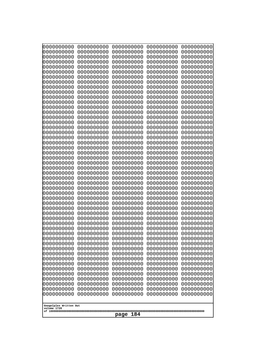| 0000000000                                                                                                  | 0000000000                                                         | 0000000000                                                                        | 0000000000                                                         | 0000000000                                                         |
|-------------------------------------------------------------------------------------------------------------|--------------------------------------------------------------------|-----------------------------------------------------------------------------------|--------------------------------------------------------------------|--------------------------------------------------------------------|
| 0000000000                                                                                                  | 0000000000                                                         | 0000000000                                                                        | 0000000000                                                         | 0000000000                                                         |
| 0000000000                                                                                                  | 0000000000                                                         | 0000000000                                                                        | 0000000000                                                         | 0000000000                                                         |
| 0000000000                                                                                                  | 0000000000                                                         | 0000000000                                                                        | 0000000000                                                         | 0000000000                                                         |
| 0000000000                                                                                                  | 0000000000                                                         | 0000000000                                                                        | 0000000000                                                         | 0000000000                                                         |
| 0000000000                                                                                                  | 0000000000                                                         | 0000000000                                                                        | 0000000000                                                         | 0000000000                                                         |
| 0000000000                                                                                                  | 0000000000                                                         | 0000000000                                                                        | 0000000000                                                         | 0000000000                                                         |
| 0000000000                                                                                                  | 0000000000                                                         | 0000000000                                                                        | 0000000000                                                         | 0000000000                                                         |
| 0000000000                                                                                                  | 0000000000                                                         | 0000000000                                                                        | 0000000000                                                         | 0000000000                                                         |
| 0000000000                                                                                                  | 0000000000                                                         | 0000000000                                                                        | 0000000000                                                         | 0000000000                                                         |
| 0000000000                                                                                                  | 0000000000                                                         | 0000000000                                                                        | 0000000000                                                         | 0000000000                                                         |
| 0000000000                                                                                                  | 0000000000                                                         | 0000000000                                                                        | 0000000000                                                         | 0000000000                                                         |
| 0000000000                                                                                                  | 0000000000                                                         | 0000000000                                                                        | 0000000000                                                         | 0000000000                                                         |
| 0000000000                                                                                                  | 0000000000                                                         | 0000000000                                                                        | 0000000000                                                         | 0000000000                                                         |
| 0000000000                                                                                                  | 0000000000                                                         | 0000000000                                                                        | 0000000000                                                         | 0000000000                                                         |
| 0000000000                                                                                                  | 0000000000                                                         | 0000000000                                                                        | 0000000000                                                         | 0000000000                                                         |
| 0000000000                                                                                                  | 0000000000                                                         | 0000000000                                                                        | 0000000000                                                         | 0000000000                                                         |
| 0000000000                                                                                                  | 0000000000                                                         | 0000000000                                                                        | 0000000000                                                         | 0000000000                                                         |
| 0000000000                                                                                                  | 0000000000                                                         | 0000000000                                                                        | 0000000000                                                         | 0000000000                                                         |
| 0000000000                                                                                                  | 0000000000                                                         | 0000000000                                                                        | 0000000000                                                         | 0000000000                                                         |
| 0000000000                                                                                                  | 0000000000                                                         | 0000000000                                                                        | 0000000000                                                         | 0000000000                                                         |
| 0000000000                                                                                                  | 0000000000                                                         | 0000000000                                                                        | 0000000000                                                         | 0000000000                                                         |
| 0000000000                                                                                                  | 0000000000                                                         | 0000000000                                                                        | 0000000000                                                         | 0000000000                                                         |
| 0000000000                                                                                                  | 0000000000                                                         | 0000000000                                                                        | 0000000000                                                         | 0000000000                                                         |
| 0000000000                                                                                                  | 0000000000                                                         | 0000000000                                                                        | 0000000000                                                         | 0000000000                                                         |
| 0000000000                                                                                                  | 0000000000                                                         | 0000000000                                                                        | 0000000000                                                         | 0000000000                                                         |
| 0000000000                                                                                                  | 0000000000                                                         | 0000000000                                                                        | 0000000000                                                         | 0000000000                                                         |
| 0000000000                                                                                                  | 0000000000                                                         | 0000000000                                                                        | 0000000000                                                         | 0000000000                                                         |
| 0000000000                                                                                                  | 0000000000                                                         | 0000000000                                                                        | 0000000000                                                         | 0000000000                                                         |
| 0000000000                                                                                                  | 0000000000                                                         | 0000000000                                                                        | 0000000000                                                         | 0000000000                                                         |
| 0000000000                                                                                                  | 0000000000                                                         | 0000000000                                                                        | 0000000000                                                         | 0000000000                                                         |
| 0000000000                                                                                                  | 0000000000                                                         | 0000000000                                                                        | 0000000000                                                         | 0000000000                                                         |
| 0000000000                                                                                                  | 0000000000                                                         | 0000000000                                                                        | 0000000000                                                         | 0000000000                                                         |
| 0000000000                                                                                                  | 0000000000                                                         | 0000000000                                                                        | 0000000000                                                         | 0000000000                                                         |
| 0000000000                                                                                                  | 0000000000                                                         | 0000000000                                                                        | 0000000000                                                         | 0000000000                                                         |
| 0000000000                                                                                                  | 0000000000                                                         | 0000000000                                                                        | 0000000000                                                         | 0000000000                                                         |
| 0000000000                                                                                                  | 0000000000                                                         | 0000000000                                                                        | 0000000000                                                         | 0000000000                                                         |
| 0000000000                                                                                                  | 0000000000                                                         | 0000000000                                                                        | 0000000000                                                         | 0000000000                                                         |
| 0000000000                                                                                                  | 0000000000                                                         | 0000000000                                                                        | 0000000000                                                         | 0000000000                                                         |
| 0000000000                                                                                                  | 0000000000                                                         | 0000000000                                                                        | 0000000000                                                         | 0000000000                                                         |
| 0000000000                                                                                                  | 0000000000                                                         | 0000000000                                                                        | 0000000000                                                         | 0000000000                                                         |
| 0000000000                                                                                                  | 0000000000                                                         | 0000000000                                                                        | 0000000000                                                         | 0000000000                                                         |
| 0000000000                                                                                                  | 0000000000                                                         | 0000000000                                                                        | 0000000000                                                         | 0000000000                                                         |
| 0000000000                                                                                                  | 0000000000                                                         | 0000000000                                                                        | 0000000000                                                         | 0000000000                                                         |
| 0000000000<br>0000000000<br>0000000000<br>0000000000<br>0000000000<br>Googolplex Written Out<br>volume 1720 | 0000000000<br>0000000000<br>0000000000<br>0000000000<br>0000000000 | 0000000000<br>0000000000<br>0000000000<br>0000000000<br>0000000000<br>184<br>page | 0000000000<br>0000000000<br>0000000000<br>0000000000<br>0000000000 | 0000000000<br>0000000000<br>0000000000<br>0000000000<br>0000000000 |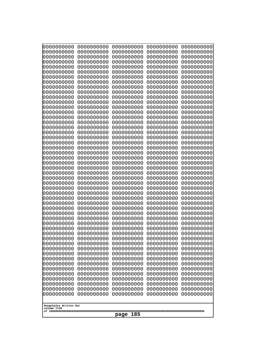| 10000000000              | 0000000000               | 0000000000               | 0000000000               | 0000000000               |
|--------------------------|--------------------------|--------------------------|--------------------------|--------------------------|
| 0000000000<br>0000000000 | 0000000000<br>0000000000 | 0000000000<br>0000000000 | 0000000000<br>0000000000 | 0000000000<br>0000000000 |
| 0000000000               | 0000000000               | 0000000000               | 0000000000               | 0000000000               |
| 0000000000               | 0000000000               | 0000000000               | 0000000000               | 0000000000               |
| 0000000000               | 0000000000               | 0000000000               | 0000000000               | 0000000000               |
| 0000000000<br>0000000000 | 0000000000<br>0000000000 | 0000000000<br>0000000000 | 0000000000<br>0000000000 | 0000000000<br>0000000000 |
| 0000000000               | 0000000000               | 0000000000               | 0000000000               | 0000000000               |
| 0000000000               | 0000000000               | 0000000000               | 0000000000               | 0000000000               |
| 0000000000               | 0000000000               | 0000000000               | 0000000000               | 0000000000               |
| 0000000000<br>0000000000 | 0000000000<br>0000000000 | 0000000000<br>0000000000 | 0000000000<br>0000000000 | 0000000000<br>0000000000 |
| 0000000000               | 0000000000               | 0000000000               | 0000000000               | 0000000000               |
| 0000000000               | 0000000000               | 0000000000               | 0000000000               | 0000000000               |
| 0000000000               | 0000000000               | 0000000000               | 0000000000               | 0000000000               |
| 0000000000<br>0000000000 | 0000000000<br>0000000000 | 0000000000<br>0000000000 | 0000000000<br>0000000000 | 0000000000<br>0000000000 |
| 0000000000               | 0000000000               | 0000000000               | 0000000000               | 0000000000               |
| 0000000000               | 0000000000               | 0000000000               | 0000000000               | 0000000000               |
| 0000000000               | 0000000000               | 0000000000               | 0000000000               | 0000000000               |
| 0000000000<br>0000000000 | 0000000000<br>0000000000 | 0000000000<br>0000000000 | 0000000000<br>0000000000 | 0000000000<br>0000000000 |
| 0000000000               | 0000000000               | 0000000000               | 0000000000               | 0000000000               |
| 0000000000               | 0000000000               | 0000000000               | 0000000000               | 0000000000               |
| 0000000000               | 0000000000               | 0000000000               | 0000000000               | 0000000000               |
| 0000000000<br>0000000000 | 0000000000<br>0000000000 | 0000000000<br>0000000000 | 0000000000<br>0000000000 | 0000000000<br>0000000000 |
| 0000000000               | 0000000000               | 0000000000               | 0000000000               | 0000000000               |
| 0000000000               | 0000000000               | 0000000000               | 0000000000               | 0000000000               |
| 0000000000<br>0000000000 | 0000000000<br>0000000000 | 0000000000<br>0000000000 | 0000000000<br>0000000000 | 0000000000<br>0000000000 |
| 0000000000               | 0000000000               | 0000000000               | 0000000000               | 0000000000               |
| 0000000000               | 0000000000               | 0000000000               | 0000000000               | 0000000000               |
| 0000000000               | 0000000000               | 0000000000               | 0000000000               | 0000000000               |
| 0000000000<br>0000000000 | 0000000000<br>0000000000 | 0000000000<br>0000000000 | 0000000000<br>0000000000 | 0000000000<br>0000000000 |
| 0000000000               | 0000000000               | 0000000000               | 0000000000               | 0000000000               |
| 0000000000               | 0000000000               | 0000000000               | 0000000000               | 0000000000               |
| 0000000000               | 0000000000               | 0000000000               | 0000000000               | 0000000000               |
| 0000000000<br>0000000000 | 0000000000<br>0000000000 | 0000000000<br>0000000000 | 0000000000<br>0000000000 | 0000000000<br>0000000000 |
| 0000000000               | 0000000000               | 0000000000               | 0000000000               | 0000000000               |
| 0000000000               | 0000000000               | 0000000000               | 0000000000               | 0000000000               |
| 0000000000               | 0000000000               | 0000000000               | 0000000000               | 0000000000               |
| 0000000000<br>0000000000 | 0000000000<br>0000000000 | 0000000000<br>0000000000 | 0000000000<br>0000000000 | 0000000000<br>0000000000 |
| 0000000000               | 0000000000               | 0000000000               | 0000000000               | 0000000000               |
| 0000000000               | 0000000000               | 0000000000               | 0000000000               | 0000000000               |
| 0000000000               | 0000000000               | 0000000000               | 0000000000               | 0000000000               |
| Googolplex Written Out   |                          |                          |                          |                          |
| volume 1720              |                          |                          |                          |                          |
| 185<br>page              |                          |                          |                          |                          |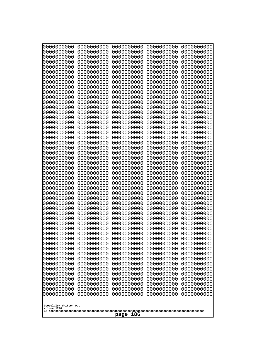| 000000000                | 0000000000               | 0000000000               | 0000000000               | 0000000000               |
|--------------------------|--------------------------|--------------------------|--------------------------|--------------------------|
| 0000000000               | 0000000000               | 0000000000               | 0000000000               | 0000000000               |
| 0000000000               | 0000000000               | 0000000000               | 0000000000               | 0000000000               |
| 0000000000               | 0000000000               | 0000000000               | 0000000000               | 0000000000               |
| 0000000000               | 0000000000               | 0000000000               | 0000000000               | 0000000000               |
| 0000000000               | 0000000000               | 0000000000               | 0000000000               | 0000000000               |
| 0000000000               | 0000000000               | 0000000000               | 0000000000               | 0000000000               |
| 0000000000               | 0000000000               | 0000000000<br>0000000000 | 0000000000               | 0000000000               |
| 0000000000<br>0000000000 | 0000000000<br>0000000000 | 0000000000               | 0000000000<br>0000000000 | 0000000000<br>0000000000 |
| 0000000000               | 0000000000               | 0000000000               | 0000000000               | 0000000000               |
| 0000000000               | 0000000000               | 0000000000               | 0000000000               | 0000000000               |
| 0000000000               | 0000000000               | 0000000000               | 0000000000               | 0000000000               |
| 0000000000               | 0000000000               | 0000000000               | 0000000000               | 0000000000               |
| 0000000000               | 0000000000               | 0000000000               | 0000000000               | 0000000000               |
| 0000000000               | 0000000000               | 0000000000               | 0000000000               | 0000000000               |
| 0000000000               | 0000000000               | 0000000000               | 0000000000               | 0000000000               |
| 0000000000               | 0000000000               | 0000000000               | 0000000000               | 0000000000               |
| 0000000000<br>0000000000 | 0000000000<br>0000000000 | 0000000000<br>0000000000 | 0000000000<br>0000000000 | 0000000000<br>0000000000 |
| 0000000000               | 0000000000               | 0000000000               | 0000000000               | 0000000000               |
| 0000000000               | 0000000000               | 0000000000               | 0000000000               | 0000000000               |
| 0000000000               | 0000000000               | 0000000000               | 0000000000               | 0000000000               |
| 0000000000               | 0000000000               | 0000000000               | 0000000000               | 0000000000               |
| 0000000000               | 0000000000               | 0000000000               | 0000000000               | 0000000000               |
| 0000000000               | 0000000000               | 0000000000               | 0000000000               | 0000000000               |
| 0000000000               | 0000000000               | 0000000000               | 0000000000               | 0000000000               |
| 0000000000               | 0000000000               | 0000000000               | 0000000000               | 0000000000               |
| 0000000000<br>0000000000 | 0000000000<br>0000000000 | 0000000000<br>0000000000 | 0000000000<br>0000000000 | 0000000000<br>0000000000 |
| 0000000000               | 0000000000               | 0000000000               | 0000000000               | 0000000000               |
| 0000000000               | 0000000000               | 0000000000               | 0000000000               | 0000000000               |
| 0000000000               | 0000000000               | 0000000000               | 0000000000               | 0000000000               |
| 0000000000               | 0000000000               | 0000000000               | 0000000000               | 0000000000               |
| 0000000000               | 0000000000               | 0000000000               | 0000000000               | 0000000000               |
| 0000000000               | 0000000000               | 0000000000               | 0000000000               | 0000000000               |
| 0000000000               | 0000000000               | 0000000000               | 0000000000               | 0000000000               |
| 0000000000<br>0000000000 | 0000000000<br>0000000000 | 0000000000<br>0000000000 | 0000000000<br>0000000000 | 0000000000<br>0000000000 |
| 0000000000               | 0000000000               | 0000000000               | 0000000000               | 0000000000               |
| 0000000000               | 0000000000               | 0000000000               | 0000000000               | 0000000000               |
| 0000000000               | 0000000000               | 0000000000               | 0000000000               | 0000000000               |
| 0000000000               | 0000000000               | 0000000000               | 0000000000               | 0000000000               |
| 0000000000               | 0000000000               | 0000000000               | 0000000000               | 0000000000               |
| 0000000000               | 0000000000               | 0000000000               | 0000000000               | 0000000000               |
| 0000000000               | 0000000000               | 0000000000               | 0000000000               | 0000000000               |
| 0000000000               | 0000000000               | 0000000000               | 0000000000               | 0000000000               |
| 0000000000<br>0000000000 | 0000000000<br>0000000000 | 0000000000<br>0000000000 | 0000000000<br>0000000000 | 0000000000<br>0000000000 |
| 0000000000               | 0000000000               | 0000000000               | 0000000000               | 0000000000               |
|                          |                          |                          |                          |                          |
| Googolplex Written Out   |                          |                          |                          |                          |
| volume 1720              |                          |                          |                          |                          |
| 186<br>page              |                          |                          |                          |                          |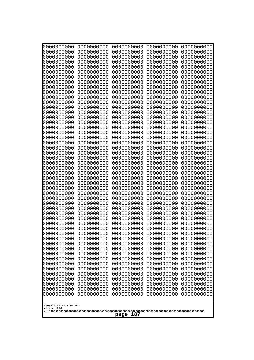| 10000000000<br>0000000000             | 0000000000<br>0000000000 | 0000000000<br>0000000000 | 0000000000<br>0000000000 | 0000000000<br>0000000000 |
|---------------------------------------|--------------------------|--------------------------|--------------------------|--------------------------|
| 0000000000                            | 0000000000               | 0000000000               | 0000000000               | 0000000000               |
| 0000000000                            | 0000000000               | 0000000000               | 0000000000               | 0000000000               |
| 0000000000<br>0000000000              | 0000000000<br>0000000000 | 0000000000<br>0000000000 | 0000000000<br>0000000000 | 0000000000<br>0000000000 |
| 0000000000                            | 0000000000               | 0000000000               | 0000000000               | 0000000000               |
| 0000000000                            | 0000000000               | 0000000000               | 0000000000               | 0000000000               |
| 0000000000<br>0000000000              | 0000000000<br>0000000000 | 0000000000<br>0000000000 | 0000000000<br>0000000000 | 0000000000<br>0000000000 |
| 0000000000                            | 0000000000               | 0000000000               | 0000000000               | 0000000000               |
| 0000000000                            | 0000000000               | 0000000000               | 0000000000               | 0000000000               |
| 0000000000<br>0000000000              | 0000000000<br>0000000000 | 0000000000<br>0000000000 | 0000000000<br>0000000000 | 0000000000<br>0000000000 |
| 0000000000                            | 0000000000               | 0000000000               | 0000000000               | 0000000000               |
| 0000000000                            | 0000000000               | 0000000000               | 0000000000               | 0000000000               |
| 0000000000<br>0000000000              | 0000000000<br>0000000000 | 0000000000<br>0000000000 | 0000000000<br>0000000000 | 0000000000<br>0000000000 |
| 0000000000                            | 0000000000               | 0000000000               | 0000000000               | 0000000000               |
| 0000000000                            | 0000000000               | 0000000000               | 0000000000               | 0000000000               |
| 0000000000<br>0000000000              | 0000000000<br>0000000000 | 0000000000<br>0000000000 | 0000000000<br>0000000000 | 0000000000<br>0000000000 |
| 0000000000                            | 0000000000               | 0000000000               | 0000000000               | 0000000000               |
| 0000000000                            | 0000000000               | 0000000000               | 0000000000               | 0000000000               |
| 0000000000<br>0000000000              | 0000000000<br>0000000000 | 0000000000<br>0000000000 | 0000000000<br>0000000000 | 0000000000<br>0000000000 |
| 0000000000                            | 0000000000               | 0000000000               | 0000000000               | 0000000000               |
| 0000000000                            | 0000000000               | 0000000000               | 0000000000               | 0000000000               |
| 0000000000<br>0000000000              | 0000000000<br>0000000000 | 0000000000<br>0000000000 | 0000000000<br>0000000000 | 0000000000<br>0000000000 |
| 0000000000                            | 0000000000               | 0000000000               | 0000000000               | 0000000000               |
| 0000000000                            | 0000000000               | 0000000000               | 0000000000               | 0000000000               |
| 0000000000<br>0000000000              | 0000000000<br>0000000000 | 0000000000<br>0000000000 | 0000000000<br>0000000000 | 0000000000<br>0000000000 |
| 0000000000                            | 0000000000               | 0000000000               | 0000000000               | 0000000000               |
| 0000000000                            | 0000000000               | 0000000000               | 0000000000               | 0000000000               |
| 0000000000<br>0000000000              | 0000000000<br>0000000000 | 0000000000<br>0000000000 | 0000000000<br>0000000000 | 0000000000<br>0000000000 |
| 0000000000                            | 0000000000               | 0000000000               | 0000000000               | 0000000000               |
| 0000000000                            | 0000000000               | 0000000000               | 0000000000               | 0000000000               |
| 0000000000<br>0000000000              | 0000000000<br>0000000000 | 0000000000<br>0000000000 | 0000000000<br>0000000000 | 0000000000<br>0000000000 |
| 0000000000                            | 0000000000               | 0000000000               | 0000000000               | 0000000000               |
| 0000000000                            | 0000000000               | 0000000000               | 0000000000               | 0000000000               |
| 0000000000<br>0000000000              | 0000000000<br>0000000000 | 0000000000<br>0000000000 | 0000000000<br>0000000000 | 0000000000<br>0000000000 |
| 0000000000                            | 0000000000               | 0000000000               | 0000000000               | 0000000000               |
| 0000000000                            | 0000000000               | 0000000000               | 0000000000<br>0000000000 | 0000000000               |
| 0000000000<br>0000000000              | 0000000000<br>0000000000 | 0000000000<br>0000000000 | 0000000000               | 0000000000<br>0000000000 |
|                                       |                          |                          |                          |                          |
| Googolplex Written Out<br>volume 1720 |                          |                          |                          |                          |
| 187<br>page                           |                          |                          |                          |                          |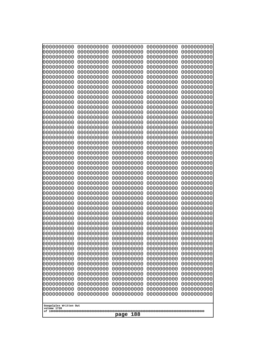| 10000000000                           | 0000000000               | 0000000000               | 0000000000               | 0000000000               |
|---------------------------------------|--------------------------|--------------------------|--------------------------|--------------------------|
| 0000000000<br>0000000000              | 0000000000<br>0000000000 | 0000000000<br>0000000000 | 0000000000<br>0000000000 | 0000000000<br>0000000000 |
| 0000000000                            | 0000000000               | 0000000000               | 0000000000               | 0000000000               |
| 0000000000                            | 0000000000               | 0000000000               | 0000000000               | 0000000000               |
| 0000000000                            | 0000000000               | 0000000000               | 0000000000               | 0000000000               |
| 0000000000<br>0000000000              | 0000000000<br>0000000000 | 0000000000<br>0000000000 | 0000000000<br>0000000000 | 0000000000<br>0000000000 |
| 0000000000                            | 0000000000               | 0000000000               | 0000000000               | 0000000000               |
| 0000000000                            | 0000000000               | 0000000000               | 0000000000               | 0000000000               |
| 0000000000<br>0000000000              | 0000000000<br>0000000000 | 0000000000<br>0000000000 | 0000000000<br>0000000000 | 0000000000<br>0000000000 |
| 0000000000                            | 0000000000               | 0000000000               | 0000000000               | 0000000000               |
| 0000000000                            | 0000000000               | 0000000000               | 0000000000               | 0000000000               |
| 0000000000                            | 0000000000               | 0000000000               | 0000000000               | 0000000000               |
| 0000000000<br>0000000000              | 0000000000<br>0000000000 | 0000000000<br>0000000000 | 0000000000<br>0000000000 | 0000000000<br>0000000000 |
| 0000000000                            | 0000000000               | 0000000000               | 0000000000               | 0000000000               |
| 0000000000                            | 0000000000               | 0000000000               | 0000000000               | 0000000000               |
| 0000000000<br>0000000000              | 0000000000<br>0000000000 | 0000000000<br>0000000000 | 0000000000<br>0000000000 | 0000000000<br>0000000000 |
| 0000000000                            | 0000000000               | 0000000000               | 0000000000               | 0000000000               |
| 0000000000                            | 0000000000               | 0000000000               | 0000000000               | 0000000000               |
| 0000000000                            | 0000000000               | 0000000000               | 0000000000               | 0000000000               |
| 0000000000<br>0000000000              | 0000000000<br>0000000000 | 0000000000<br>0000000000 | 0000000000<br>0000000000 | 0000000000<br>0000000000 |
| 0000000000                            | 0000000000               | 0000000000               | 0000000000               | 0000000000               |
| 0000000000                            | 0000000000               | 0000000000               | 0000000000               | 0000000000               |
| 0000000000<br>0000000000              | 0000000000<br>0000000000 | 0000000000<br>0000000000 | 0000000000<br>0000000000 | 0000000000<br>0000000000 |
| 0000000000                            | 0000000000               | 0000000000               | 0000000000               | 0000000000               |
| 0000000000                            | 0000000000               | 0000000000               | 0000000000               | 0000000000               |
| 0000000000<br>0000000000              | 0000000000               | 0000000000<br>0000000000 | 0000000000               | 0000000000               |
| 0000000000                            | 0000000000<br>0000000000 | 0000000000               | 0000000000<br>0000000000 | 0000000000<br>0000000000 |
| 0000000000                            | 0000000000               | 0000000000               | 0000000000               | 0000000000               |
| 0000000000                            | 0000000000               | 0000000000               | 0000000000               | 0000000000               |
| 0000000000<br>0000000000              | 0000000000<br>0000000000 | 0000000000<br>0000000000 | 0000000000<br>0000000000 | 0000000000<br>0000000000 |
| 0000000000                            | 0000000000               | 0000000000               | 0000000000               | 0000000000               |
| 0000000000                            | 0000000000               | 0000000000               | 0000000000               | 0000000000               |
| 0000000000<br>0000000000              | 0000000000<br>0000000000 | 0000000000<br>0000000000 | 0000000000<br>0000000000 | 0000000000<br>0000000000 |
| 0000000000                            | 0000000000               | 0000000000               | 0000000000               | 0000000000               |
| 0000000000                            | 0000000000               | 0000000000               | 0000000000               | 0000000000               |
| 0000000000                            | 0000000000               | 0000000000               | 0000000000               | 0000000000               |
| 0000000000<br>0000000000              | 0000000000<br>0000000000 | 0000000000<br>0000000000 | 0000000000<br>0000000000 | 0000000000<br>0000000000 |
| 0000000000                            | 0000000000               | 0000000000               | 0000000000               | 0000000000               |
| 0000000000                            | 0000000000               | 0000000000               | 0000000000               | 0000000000               |
|                                       |                          |                          |                          |                          |
| Googolplex Written Out<br>volume 1720 |                          |                          |                          |                          |
| 188<br>page                           |                          |                          |                          |                          |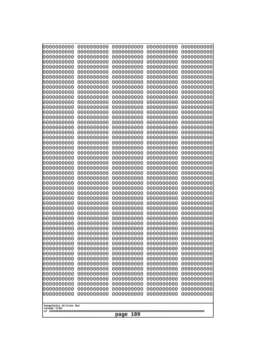| 10000000000              | 0000000000               | 0000000000               | 0000000000               | 0000000000               |
|--------------------------|--------------------------|--------------------------|--------------------------|--------------------------|
| 0000000000<br>0000000000 | 0000000000<br>0000000000 | 0000000000<br>0000000000 | 0000000000<br>0000000000 | 0000000000<br>0000000000 |
| 0000000000               | 0000000000               | 0000000000               | 0000000000               | 0000000000               |
| 0000000000               | 0000000000               | 0000000000               | 0000000000               | 0000000000               |
| 0000000000<br>0000000000 | 0000000000<br>0000000000 | 0000000000<br>0000000000 | 0000000000<br>0000000000 | 0000000000<br>0000000000 |
| 0000000000               | 0000000000               | 0000000000               | 0000000000               | 0000000000               |
| 0000000000               | 0000000000               | 0000000000               | 0000000000               | 0000000000               |
| 0000000000               | 0000000000               | 0000000000               | 0000000000               | 0000000000               |
| 0000000000<br>0000000000 | 0000000000<br>0000000000 | 0000000000<br>0000000000 | 0000000000<br>0000000000 | 0000000000<br>0000000000 |
| 0000000000               | 0000000000               | 0000000000               | 0000000000               | 0000000000               |
| 0000000000               | 0000000000               | 0000000000               | 0000000000               | 0000000000               |
| 0000000000<br>0000000000 | 0000000000<br>0000000000 | 0000000000<br>0000000000 | 0000000000<br>0000000000 | 0000000000<br>0000000000 |
| 0000000000               | 0000000000               | 0000000000               | 0000000000               | 0000000000               |
| 0000000000               | 0000000000               | 0000000000               | 0000000000               | 0000000000               |
| 0000000000<br>0000000000 | 0000000000<br>0000000000 | 0000000000<br>0000000000 | 0000000000               | 0000000000<br>0000000000 |
| 0000000000               | 0000000000               | 0000000000               | 0000000000<br>0000000000 | 0000000000               |
| 0000000000               | 0000000000               | 0000000000               | 0000000000               | 0000000000               |
| 0000000000               | 0000000000               | 0000000000               | 0000000000               | 0000000000               |
| 0000000000<br>0000000000 | 0000000000<br>0000000000 | 0000000000<br>0000000000 | 0000000000<br>0000000000 | 0000000000<br>0000000000 |
| 0000000000               | 0000000000               | 0000000000               | 0000000000               | 0000000000               |
| 0000000000               | 0000000000               | 0000000000               | 0000000000               | 0000000000               |
| 0000000000<br>0000000000 | 0000000000<br>0000000000 | 0000000000<br>0000000000 | 0000000000<br>0000000000 | 0000000000<br>0000000000 |
| 0000000000               | 0000000000               | 0000000000               | 0000000000               | 0000000000               |
| 0000000000               | 0000000000               | 0000000000               | 0000000000               | 0000000000               |
| 0000000000<br>0000000000 | 0000000000<br>0000000000 | 0000000000<br>0000000000 | 0000000000<br>0000000000 | 0000000000<br>0000000000 |
| 0000000000               | 0000000000               | 0000000000               | 0000000000               | 0000000000               |
| 0000000000               | 0000000000               | 0000000000               | 0000000000               | 0000000000               |
| 0000000000               | 0000000000               | 0000000000               | 0000000000               | 0000000000               |
| 0000000000<br>0000000000 | 0000000000<br>0000000000 | 0000000000<br>0000000000 | 0000000000<br>0000000000 | 0000000000<br>0000000000 |
| 0000000000               | 0000000000               | 0000000000               | 0000000000               | 0000000000               |
| 0000000000               | 0000000000               | 0000000000               | 0000000000               | 0000000000               |
| 0000000000<br>0000000000 | 0000000000<br>0000000000 | 0000000000<br>0000000000 | 0000000000<br>0000000000 | 0000000000<br>0000000000 |
| 0000000000               | 0000000000               | 0000000000               | 0000000000               | 0000000000               |
| 0000000000               | 0000000000               | 0000000000               | 0000000000               | 0000000000               |
| 0000000000<br>0000000000 | 0000000000<br>0000000000 | 0000000000<br>0000000000 | 0000000000<br>0000000000 | 0000000000<br>0000000000 |
| 0000000000               | 0000000000               | 0000000000               | 0000000000               | 0000000000               |
| 0000000000               | 0000000000               | 0000000000               | 0000000000               | 0000000000               |
| 0000000000               | 0000000000               | 0000000000               | 0000000000               | 0000000000               |
| 0000000000               | 0000000000               | 0000000000               | 0000000000               | 0000000000               |
| Googolplex Written Out   |                          |                          |                          |                          |
| volume 1720              |                          | 189                      |                          |                          |
|                          |                          | page                     |                          |                          |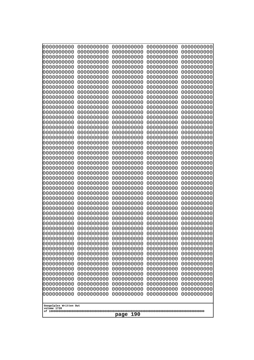| 10000000000              | 0000000000               | 0000000000               | 0000000000               | 0000000000               |
|--------------------------|--------------------------|--------------------------|--------------------------|--------------------------|
| 0000000000<br>0000000000 | 0000000000<br>0000000000 | 0000000000<br>0000000000 | 0000000000<br>0000000000 | 0000000000<br>0000000000 |
| 0000000000               | 0000000000               | 0000000000               | 0000000000               | 0000000000               |
| 0000000000               | 0000000000               | 0000000000               | 0000000000               | 0000000000               |
| 0000000000               | 0000000000               | 0000000000               | 0000000000               | 0000000000               |
| 0000000000<br>0000000000 | 0000000000<br>0000000000 | 0000000000<br>0000000000 | 0000000000<br>0000000000 | 0000000000<br>0000000000 |
| 0000000000               | 0000000000               | 0000000000               | 0000000000               | 0000000000               |
| 0000000000               | 0000000000               | 0000000000               | 0000000000               | 0000000000               |
| 0000000000               | 0000000000               | 0000000000               | 0000000000               | 0000000000               |
| 0000000000<br>0000000000 | 0000000000<br>0000000000 | 0000000000<br>0000000000 | 0000000000<br>0000000000 | 0000000000<br>0000000000 |
| 0000000000               | 0000000000               | 0000000000               | 0000000000               | 0000000000               |
| 0000000000               | 0000000000               | 0000000000               | 0000000000               | 0000000000               |
| 0000000000               | 0000000000               | 0000000000               | 0000000000               | 0000000000               |
| 0000000000<br>0000000000 | 0000000000<br>0000000000 | 0000000000<br>0000000000 | 0000000000<br>0000000000 | 0000000000<br>0000000000 |
| 0000000000               | 0000000000               | 0000000000               | 0000000000               | 0000000000               |
| 0000000000               | 0000000000               | 0000000000               | 0000000000               | 0000000000               |
| 0000000000               | 0000000000               | 0000000000               | 0000000000               | 0000000000               |
| 0000000000<br>0000000000 | 0000000000<br>0000000000 | 0000000000<br>0000000000 | 0000000000<br>0000000000 | 0000000000<br>0000000000 |
| 0000000000               | 0000000000               | 0000000000               | 0000000000               | 0000000000               |
| 0000000000               | 0000000000               | 0000000000               | 0000000000               | 0000000000               |
| 0000000000               | 0000000000               | 0000000000               | 0000000000               | 0000000000               |
| 0000000000<br>0000000000 | 0000000000<br>0000000000 | 0000000000<br>0000000000 | 0000000000<br>0000000000 | 0000000000<br>0000000000 |
| 0000000000               | 0000000000               | 0000000000               | 0000000000               | 0000000000               |
| 0000000000               | 0000000000               | 0000000000               | 0000000000               | 0000000000               |
| 0000000000<br>0000000000 | 0000000000<br>0000000000 | 0000000000<br>0000000000 | 0000000000<br>0000000000 | 0000000000<br>0000000000 |
| 0000000000               | 0000000000               | 0000000000               | 0000000000               | 0000000000               |
| 0000000000               | 0000000000               | 0000000000               | 0000000000               | 0000000000               |
| 0000000000               | 0000000000               | 0000000000               | 0000000000               | 0000000000               |
| 0000000000<br>0000000000 | 0000000000<br>0000000000 | 0000000000<br>0000000000 | 0000000000<br>0000000000 | 0000000000<br>0000000000 |
| 0000000000               | 0000000000               | 0000000000               | 0000000000               | 0000000000               |
| 0000000000               | 0000000000               | 0000000000               | 0000000000               | 0000000000               |
| 0000000000               | 0000000000               | 0000000000               | 0000000000               | 0000000000               |
| 0000000000<br>0000000000 | 0000000000<br>0000000000 | 0000000000<br>0000000000 | 0000000000<br>0000000000 | 0000000000<br>0000000000 |
| 0000000000               | 0000000000               | 0000000000               | 0000000000               | 0000000000               |
| 0000000000               | 0000000000               | 0000000000               | 0000000000               | 0000000000               |
| 0000000000               | 0000000000               | 0000000000               | 0000000000               | 0000000000               |
| 0000000000<br>0000000000 | 0000000000<br>0000000000 | 0000000000<br>0000000000 | 0000000000<br>0000000000 | 0000000000<br>0000000000 |
| 0000000000               | 0000000000               | 0000000000               | 0000000000               | 0000000000               |
| 0000000000               | 0000000000               | 0000000000               | 0000000000               | 0000000000               |
| 0000000000               | 0000000000               | 0000000000               | 0000000000               | 0000000000               |
| Googolplex Written Out   |                          |                          |                          |                          |
| volume 1720              |                          |                          |                          |                          |
| 190<br>page              |                          |                          |                          |                          |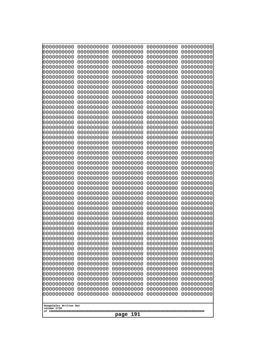| 10000000000              | 0000000000               | 0000000000               | 0000000000               | 0000000000               |
|--------------------------|--------------------------|--------------------------|--------------------------|--------------------------|
| 0000000000<br>0000000000 | 0000000000<br>0000000000 | 0000000000<br>0000000000 | 0000000000<br>0000000000 | 0000000000<br>0000000000 |
| 0000000000               | 0000000000               | 0000000000               | 0000000000               | 0000000000               |
| 0000000000               | 0000000000               | 0000000000               | 0000000000               | 0000000000               |
| 0000000000<br>0000000000 | 0000000000<br>0000000000 | 0000000000<br>0000000000 | 0000000000<br>0000000000 | 0000000000<br>0000000000 |
| 0000000000               | 0000000000               | 0000000000               | 0000000000               | 0000000000               |
| 0000000000               | 0000000000               | 0000000000               | 0000000000               | 0000000000               |
| 0000000000               | 0000000000               | 0000000000               | 0000000000               | 0000000000               |
| 0000000000<br>0000000000 | 0000000000<br>0000000000 | 0000000000<br>0000000000 | 0000000000<br>0000000000 | 0000000000<br>0000000000 |
| 0000000000               | 0000000000               | 0000000000               | 0000000000               | 0000000000               |
| 0000000000               | 0000000000               | 0000000000               | 0000000000               | 0000000000               |
| 0000000000<br>0000000000 | 0000000000<br>0000000000 | 0000000000<br>0000000000 | 0000000000<br>0000000000 | 0000000000<br>0000000000 |
| 0000000000               | 0000000000               | 0000000000               | 0000000000               | 0000000000               |
| 0000000000               | 0000000000               | 0000000000               | 0000000000               | 0000000000               |
| 0000000000<br>0000000000 | 0000000000<br>0000000000 | 0000000000<br>0000000000 | 0000000000<br>0000000000 | 0000000000<br>0000000000 |
| 0000000000               | 0000000000               | 0000000000               | 0000000000               | 0000000000               |
| 0000000000               | 0000000000               | 0000000000               | 0000000000               | 0000000000               |
| 0000000000               | 0000000000               | 0000000000               | 0000000000               | 0000000000               |
| 0000000000<br>0000000000 | 0000000000<br>0000000000 | 0000000000<br>0000000000 | 0000000000<br>0000000000 | 0000000000<br>0000000000 |
| 0000000000               | 0000000000               | 0000000000               | 0000000000               | 0000000000               |
| 0000000000               | 0000000000               | 0000000000               | 0000000000               | 0000000000               |
| 0000000000<br>0000000000 | 0000000000<br>0000000000 | 0000000000<br>0000000000 | 0000000000<br>0000000000 | 0000000000<br>0000000000 |
| 0000000000               | 0000000000               | 0000000000               | 0000000000               | 0000000000               |
| 0000000000               | 0000000000               | 0000000000               | 0000000000               | 0000000000               |
| 0000000000<br>0000000000 | 0000000000<br>0000000000 | 0000000000<br>0000000000 | 0000000000<br>0000000000 | 0000000000<br>0000000000 |
| 0000000000               | 0000000000               | 0000000000               | 0000000000               | 0000000000               |
| 0000000000               | 0000000000               | 0000000000               | 0000000000               | 0000000000               |
| 0000000000               | 0000000000<br>0000000000 | 0000000000<br>0000000000 | 0000000000               | 0000000000               |
| 0000000000<br>0000000000 | 0000000000               | 0000000000               | 0000000000<br>0000000000 | 0000000000<br>0000000000 |
| 0000000000               | 0000000000               | 0000000000               | 0000000000               | 0000000000               |
| 0000000000               | 0000000000               | 0000000000               | 0000000000               | 0000000000               |
| 0000000000<br>0000000000 | 0000000000<br>0000000000 | 0000000000<br>0000000000 | 0000000000<br>0000000000 | 0000000000<br>0000000000 |
| 0000000000               | 0000000000               | 0000000000               | 0000000000               | 0000000000               |
| 0000000000               | 0000000000               | 0000000000               | 0000000000               | 0000000000               |
| 0000000000<br>0000000000 | 0000000000<br>0000000000 | 0000000000<br>0000000000 | 0000000000<br>0000000000 | 0000000000<br>0000000000 |
| 0000000000               | 0000000000               | 0000000000               | 0000000000               | 0000000000               |
| 0000000000               | 0000000000               | 0000000000               | 0000000000               | 0000000000               |
| 0000000000               | 0000000000               | 0000000000               | 0000000000               | 0000000000               |
| 0000000000               | 0000000000               | 0000000000               | 0000000000               | 0000000000               |
| Googolplex Written Out   |                          |                          |                          |                          |
| volume 1720              |                          | 191<br>page              |                          |                          |
|                          |                          |                          |                          |                          |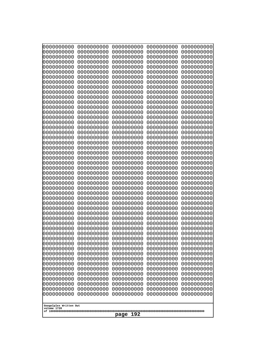| 0000000000                                                                                                                             | 0000000000                                                                                                   | 0000000000                                                                                                   | 0000000000                                                                                                   | 0000000000                                                                                                   |
|----------------------------------------------------------------------------------------------------------------------------------------|--------------------------------------------------------------------------------------------------------------|--------------------------------------------------------------------------------------------------------------|--------------------------------------------------------------------------------------------------------------|--------------------------------------------------------------------------------------------------------------|
| 0000000000                                                                                                                             | 0000000000                                                                                                   | 0000000000                                                                                                   | 0000000000                                                                                                   | 0000000000                                                                                                   |
| 0000000000                                                                                                                             | 0000000000                                                                                                   | 0000000000                                                                                                   | 0000000000                                                                                                   | 0000000000                                                                                                   |
| 0000000000                                                                                                                             | 0000000000                                                                                                   | 0000000000                                                                                                   | 0000000000                                                                                                   | 0000000000                                                                                                   |
| 0000000000                                                                                                                             | 0000000000                                                                                                   | 0000000000                                                                                                   | 0000000000                                                                                                   | 0000000000                                                                                                   |
| 0000000000                                                                                                                             | 0000000000                                                                                                   | 0000000000                                                                                                   | 0000000000                                                                                                   | 0000000000                                                                                                   |
| 0000000000                                                                                                                             | 0000000000                                                                                                   | 0000000000                                                                                                   | 0000000000                                                                                                   | 0000000000                                                                                                   |
| 0000000000                                                                                                                             | 0000000000                                                                                                   | 0000000000                                                                                                   | 0000000000                                                                                                   | 0000000000                                                                                                   |
| 0000000000                                                                                                                             | 0000000000                                                                                                   | 0000000000                                                                                                   | 0000000000                                                                                                   | 0000000000                                                                                                   |
| 0000000000                                                                                                                             | 0000000000                                                                                                   | 0000000000                                                                                                   | 0000000000                                                                                                   | 0000000000                                                                                                   |
| 0000000000                                                                                                                             | 0000000000                                                                                                   | 0000000000                                                                                                   | 0000000000                                                                                                   | 0000000000                                                                                                   |
| 0000000000                                                                                                                             | 0000000000                                                                                                   | 0000000000                                                                                                   | 0000000000                                                                                                   | 0000000000                                                                                                   |
| 0000000000                                                                                                                             | 0000000000                                                                                                   | 0000000000                                                                                                   | 0000000000                                                                                                   | 0000000000                                                                                                   |
| 0000000000                                                                                                                             | 0000000000                                                                                                   | 0000000000                                                                                                   | 0000000000                                                                                                   | 0000000000                                                                                                   |
| 0000000000                                                                                                                             | 0000000000                                                                                                   | 0000000000                                                                                                   | 0000000000                                                                                                   | 0000000000                                                                                                   |
| 0000000000                                                                                                                             | 0000000000                                                                                                   | 0000000000                                                                                                   | 0000000000                                                                                                   | 0000000000                                                                                                   |
| 0000000000                                                                                                                             | 0000000000                                                                                                   | 0000000000                                                                                                   | 0000000000                                                                                                   | 0000000000                                                                                                   |
| 0000000000                                                                                                                             | 0000000000                                                                                                   | 0000000000                                                                                                   | 0000000000                                                                                                   | 0000000000                                                                                                   |
| 0000000000                                                                                                                             | 0000000000                                                                                                   | 0000000000                                                                                                   | 0000000000                                                                                                   | 0000000000                                                                                                   |
| 0000000000                                                                                                                             | 0000000000                                                                                                   | 0000000000                                                                                                   | 0000000000                                                                                                   | 0000000000                                                                                                   |
| 0000000000                                                                                                                             | 0000000000                                                                                                   | 0000000000                                                                                                   | 0000000000                                                                                                   | 0000000000                                                                                                   |
| 0000000000                                                                                                                             | 0000000000                                                                                                   | 0000000000                                                                                                   | 0000000000                                                                                                   | 0000000000                                                                                                   |
| 0000000000                                                                                                                             | 0000000000                                                                                                   | 0000000000                                                                                                   | 0000000000                                                                                                   | 0000000000                                                                                                   |
| 0000000000                                                                                                                             | 0000000000                                                                                                   | 0000000000                                                                                                   | 0000000000                                                                                                   | 0000000000                                                                                                   |
| 0000000000                                                                                                                             | 0000000000                                                                                                   | 0000000000                                                                                                   | 0000000000                                                                                                   | 0000000000                                                                                                   |
| 0000000000                                                                                                                             | 0000000000                                                                                                   | 0000000000                                                                                                   | 0000000000                                                                                                   | 0000000000                                                                                                   |
| 0000000000                                                                                                                             | 0000000000                                                                                                   | 0000000000                                                                                                   | 0000000000                                                                                                   | 0000000000                                                                                                   |
| 0000000000                                                                                                                             | 0000000000                                                                                                   | 0000000000                                                                                                   | 0000000000                                                                                                   | 0000000000                                                                                                   |
| 0000000000                                                                                                                             | 0000000000                                                                                                   | 0000000000                                                                                                   | 0000000000                                                                                                   | 0000000000                                                                                                   |
| 0000000000                                                                                                                             | 0000000000                                                                                                   | 0000000000                                                                                                   | 0000000000                                                                                                   | 0000000000                                                                                                   |
| 0000000000                                                                                                                             | 0000000000                                                                                                   | 0000000000                                                                                                   | 0000000000                                                                                                   | 0000000000                                                                                                   |
| 0000000000                                                                                                                             | 0000000000                                                                                                   | 0000000000                                                                                                   | 0000000000                                                                                                   | 0000000000                                                                                                   |
| 0000000000                                                                                                                             | 0000000000                                                                                                   | 0000000000                                                                                                   | 0000000000                                                                                                   | 0000000000                                                                                                   |
| 0000000000                                                                                                                             | 0000000000                                                                                                   | 0000000000                                                                                                   | 0000000000                                                                                                   | 0000000000                                                                                                   |
| 0000000000                                                                                                                             | 0000000000                                                                                                   | 0000000000                                                                                                   | 0000000000                                                                                                   | 0000000000                                                                                                   |
| 0000000000                                                                                                                             | 0000000000                                                                                                   | 0000000000                                                                                                   | 0000000000                                                                                                   | 0000000000                                                                                                   |
| 0000000000                                                                                                                             | 0000000000                                                                                                   | 0000000000                                                                                                   | 0000000000                                                                                                   | 0000000000                                                                                                   |
| 0000000000                                                                                                                             | 0000000000                                                                                                   | 0000000000                                                                                                   | 0000000000                                                                                                   | 0000000000                                                                                                   |
| 0000000000                                                                                                                             | 0000000000                                                                                                   | 0000000000                                                                                                   | 0000000000                                                                                                   | 0000000000                                                                                                   |
| 0000000000                                                                                                                             | 0000000000                                                                                                   | 0000000000                                                                                                   | 0000000000                                                                                                   | 0000000000                                                                                                   |
| 0000000000<br>0000000000<br>0000000000<br>0000000000<br>0000000000<br>0000000000<br>0000000000<br>0000000000<br>Googolplex Written Out | 0000000000<br>0000000000<br>0000000000<br>0000000000<br>0000000000<br>0000000000<br>0000000000<br>0000000000 | 0000000000<br>0000000000<br>0000000000<br>0000000000<br>0000000000<br>0000000000<br>0000000000<br>0000000000 | 0000000000<br>0000000000<br>0000000000<br>0000000000<br>0000000000<br>0000000000<br>0000000000<br>0000000000 | 0000000000<br>0000000000<br>0000000000<br>0000000000<br>0000000000<br>0000000000<br>0000000000<br>0000000000 |
| volume 1720<br>192<br>page                                                                                                             |                                                                                                              |                                                                                                              |                                                                                                              |                                                                                                              |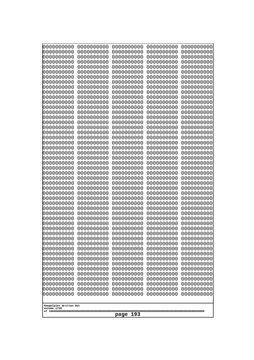| 0000000000                            | 0000000000               | 0000000000               | 0000000000               | 0000000000               |
|---------------------------------------|--------------------------|--------------------------|--------------------------|--------------------------|
| 0000000000<br>0000000000              | 0000000000<br>0000000000 | 0000000000<br>0000000000 | 0000000000<br>0000000000 | 0000000000<br>0000000000 |
| 0000000000                            | 0000000000               | 0000000000               | 0000000000               | 0000000000               |
| 0000000000                            | 0000000000               | 0000000000               | 0000000000               | 0000000000               |
| 0000000000                            | 0000000000               | 0000000000               | 0000000000               | 0000000000               |
| 0000000000<br>0000000000              | 0000000000<br>0000000000 | 0000000000<br>0000000000 | 0000000000<br>0000000000 | 0000000000<br>0000000000 |
| 0000000000                            | 0000000000               | 0000000000               | 0000000000               | 0000000000               |
| 0000000000                            | 0000000000               | 0000000000               | 0000000000               | 0000000000               |
| 0000000000<br>0000000000              | 0000000000<br>0000000000 | 0000000000<br>0000000000 | 0000000000<br>0000000000 | 0000000000               |
| 0000000000                            | 0000000000               | 0000000000               | 0000000000               | 0000000000<br>0000000000 |
| 0000000000                            | 0000000000               | 0000000000               | 0000000000               | 0000000000               |
| 0000000000                            | 0000000000               | 0000000000               | 0000000000               | 0000000000               |
| 0000000000<br>0000000000              | 0000000000<br>0000000000 | 0000000000<br>0000000000 | 0000000000<br>0000000000 | 0000000000<br>0000000000 |
| 0000000000                            | 0000000000               | 0000000000               | 0000000000               | 0000000000               |
| 0000000000                            | 0000000000               | 0000000000               | 0000000000               | 0000000000               |
| 0000000000                            | 0000000000<br>0000000000 | 0000000000<br>0000000000 | 0000000000               | 0000000000<br>0000000000 |
| 0000000000<br>0000000000              | 0000000000               | 0000000000               | 0000000000<br>0000000000 | 0000000000               |
| 0000000000                            | 0000000000               | 0000000000               | 0000000000               | 0000000000               |
| 0000000000                            | 0000000000               | 0000000000               | 0000000000               | 0000000000               |
| 0000000000<br>0000000000              | 0000000000<br>0000000000 | 0000000000<br>0000000000 | 0000000000<br>0000000000 | 0000000000<br>0000000000 |
| 0000000000                            | 0000000000               | 0000000000               | 0000000000               | 0000000000               |
| 0000000000                            | 0000000000               | 0000000000               | 0000000000               | 0000000000               |
| 0000000000<br>0000000000              | 0000000000<br>0000000000 | 0000000000<br>0000000000 | 0000000000<br>0000000000 | 0000000000<br>0000000000 |
| 0000000000                            | 0000000000               | 0000000000               | 0000000000               | 0000000000               |
| 0000000000                            | 0000000000               | 0000000000               | 0000000000               | 0000000000               |
| 0000000000                            | 0000000000               | 0000000000               | 0000000000               | 0000000000               |
| 0000000000<br>0000000000              | 0000000000<br>0000000000 | 0000000000<br>0000000000 | 0000000000<br>0000000000 | 0000000000<br>0000000000 |
| 0000000000                            | 0000000000               | 0000000000               | 0000000000               | 0000000000               |
| 0000000000                            | 0000000000               | 0000000000               | 0000000000               | 0000000000               |
| 0000000000<br>0000000000              | 0000000000<br>0000000000 | 0000000000<br>0000000000 | 0000000000<br>0000000000 | 0000000000<br>0000000000 |
| 0000000000                            | 0000000000               | 0000000000               | 0000000000               | 0000000000               |
| 0000000000                            | 0000000000               | 0000000000               | 0000000000               | 0000000000               |
| 0000000000<br>0000000000              | 0000000000<br>0000000000 | 0000000000<br>0000000000 | 0000000000<br>0000000000 | 0000000000<br>0000000000 |
| 0000000000                            | 0000000000               | 0000000000               | 0000000000               | 0000000000               |
| 0000000000                            | 0000000000               | 0000000000               | 0000000000               | 0000000000               |
| 0000000000                            | 0000000000               | 0000000000               | 0000000000               | 0000000000               |
| 0000000000<br>0000000000              | 0000000000<br>0000000000 | 0000000000<br>0000000000 | 0000000000<br>0000000000 | 0000000000<br>0000000000 |
| 0000000000                            | 0000000000               | 0000000000               | 0000000000               | 0000000000               |
| 0000000000                            | 0000000000               | 0000000000               | 0000000000               | 0000000000               |
|                                       |                          |                          |                          |                          |
| Googolplex Written Out<br>volume 1720 |                          |                          |                          |                          |
| 193<br>page                           |                          |                          |                          |                          |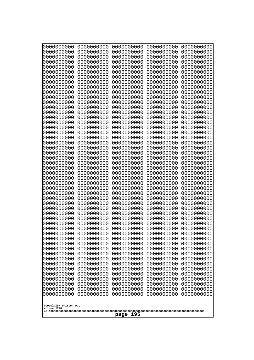| 10000000000              | 0000000000               | 0000000000               | 0000000000               | 0000000000               |
|--------------------------|--------------------------|--------------------------|--------------------------|--------------------------|
| 0000000000<br>0000000000 | 0000000000<br>0000000000 | 0000000000<br>0000000000 | 0000000000<br>0000000000 | 0000000000<br>0000000000 |
| 0000000000               | 0000000000               | 0000000000               | 0000000000               | 0000000000               |
| 0000000000               | 0000000000               | 0000000000               | 0000000000               | 0000000000               |
| 0000000000               | 0000000000               | 0000000000               | 0000000000               | 0000000000               |
| 0000000000<br>0000000000 | 0000000000<br>0000000000 | 0000000000<br>0000000000 | 0000000000<br>0000000000 | 0000000000<br>0000000000 |
| 0000000000               | 0000000000               | 0000000000               | 0000000000               | 0000000000               |
| 0000000000               | 0000000000               | 0000000000               | 0000000000               | 0000000000               |
| 0000000000               | 0000000000               | 0000000000               | 0000000000               | 0000000000               |
| 0000000000<br>0000000000 | 0000000000<br>0000000000 | 0000000000<br>0000000000 | 0000000000<br>0000000000 | 0000000000<br>0000000000 |
| 0000000000               | 0000000000               | 0000000000               | 0000000000               | 0000000000               |
| 0000000000               | 0000000000               | 0000000000               | 0000000000               | 0000000000               |
| 0000000000               | 0000000000               | 0000000000               | 0000000000               | 0000000000               |
| 0000000000<br>0000000000 | 0000000000<br>0000000000 | 0000000000<br>0000000000 | 0000000000<br>0000000000 | 0000000000<br>0000000000 |
| 0000000000               | 0000000000               | 0000000000               | 0000000000               | 0000000000               |
| 0000000000               | 0000000000               | 0000000000               | 0000000000               | 0000000000               |
| 0000000000               | 0000000000               | 0000000000               | 0000000000               | 0000000000               |
| 0000000000<br>0000000000 | 0000000000<br>0000000000 | 0000000000<br>0000000000 | 0000000000<br>0000000000 | 0000000000<br>0000000000 |
| 0000000000               | 0000000000               | 0000000000               | 0000000000               | 0000000000               |
| 0000000000               | 0000000000               | 0000000000               | 0000000000               | 0000000000               |
| 0000000000<br>0000000000 | 0000000000<br>0000000000 | 0000000000<br>0000000000 | 0000000000<br>0000000000 | 0000000000<br>0000000000 |
| 0000000000               | 0000000000               | 0000000000               | 0000000000               | 0000000000               |
| 0000000000               | 0000000000               | 0000000000               | 0000000000               | 0000000000               |
| 0000000000               | 0000000000               | 0000000000               | 0000000000               | 0000000000               |
| 0000000000<br>0000000000 | 0000000000<br>0000000000 | 0000000000<br>0000000000 | 0000000000<br>0000000000 | 0000000000<br>0000000000 |
| 0000000000               | 0000000000               | 0000000000               | 0000000000               | 0000000000               |
| 0000000000               | 0000000000               | 0000000000               | 0000000000               | 0000000000               |
| 0000000000               | 0000000000               | 0000000000               | 0000000000               | 0000000000               |
| 0000000000<br>0000000000 | 0000000000<br>0000000000 | 0000000000<br>0000000000 | 0000000000<br>0000000000 | 0000000000<br>0000000000 |
| 0000000000               | 0000000000               | 0000000000               | 0000000000               | 0000000000               |
| 0000000000               | 0000000000               | 0000000000               | 0000000000               | 0000000000               |
| 0000000000               | 0000000000               | 0000000000               | 0000000000               | 0000000000               |
| 0000000000<br>0000000000 | 0000000000<br>0000000000 | 0000000000<br>0000000000 | 0000000000<br>0000000000 | 0000000000<br>0000000000 |
| 0000000000               | 0000000000               | 0000000000               | 0000000000               | 0000000000               |
| 0000000000               | 0000000000               | 0000000000               | 0000000000               | 0000000000               |
| 0000000000               | 0000000000               | 0000000000               | 0000000000               | 0000000000               |
| 0000000000<br>0000000000 | 0000000000<br>0000000000 | 0000000000<br>0000000000 | 0000000000<br>0000000000 | 0000000000<br>0000000000 |
| 0000000000               | 0000000000               | 0000000000               | 0000000000               | 0000000000               |
| 0000000000               | 0000000000               | 0000000000               | 0000000000               | 0000000000               |
| 0000000000               | 0000000000               | 0000000000               | 0000000000               | 0000000000               |
| Googolplex Written Out   |                          |                          |                          |                          |
| volume 1720              |                          |                          |                          |                          |
| 195<br>page              |                          |                          |                          |                          |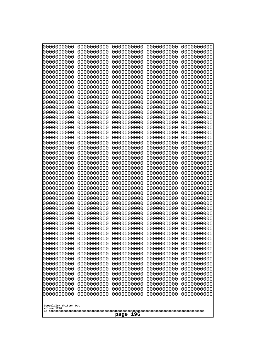| 0000000000<br>0000000000<br>0000000000<br>0000000000<br>0000000000<br>0000000000<br>0000000000<br>0000000000<br>0000000000<br>0000000000<br>0000000000<br>0000000000<br>0000000000<br>0000000000<br>0000000000<br>0000000000<br>0000000000<br>0000000000<br>0000000000<br>0000000000<br>0000000000<br>0000000000<br>0000000000<br>0000000000<br>0000000000<br>0000000000<br>0000000000<br>0000000000<br>0000000000<br>0000000000<br>0000000000<br>0000000000<br>0000000000<br>0000000000<br>0000000000<br>0000000000<br>0000000000<br>0000000000<br>0000000000<br>0000000000<br>0000000000<br>0000000000<br>0000000000<br>0000000000<br>0000000000<br>0000000000<br>0000000000<br>0000000000<br>0000000000<br>0000000000<br>0000000000<br>0000000000<br>0000000000<br>0000000000<br>0000000000<br>0000000000<br>0000000000<br>0000000000<br>0000000000<br>0000000000<br>0000000000<br>0000000000<br>0000000000<br>0000000000<br>0000000000<br>0000000000<br>0000000000<br>0000000000<br>0000000000<br>0000000000<br>0000000000<br>0000000000<br>0000000000<br>0000000000<br>0000000000<br>0000000000<br>0000000000<br>0000000000<br>0000000000<br>0000000000<br>0000000000 | 0000000000<br>0000000000<br>0000000000<br>0000000000<br>0000000000<br>0000000000<br>0000000000<br>0000000000<br>0000000000<br>0000000000<br>0000000000<br>0000000000<br>0000000000<br>0000000000<br>0000000000<br>0000000000<br>0000000000<br>0000000000<br>0000000000<br>0000000000<br>0000000000<br>0000000000<br>0000000000<br>0000000000<br>0000000000<br>0000000000<br>0000000000<br>0000000000<br>0000000000<br>0000000000<br>0000000000<br>0000000000<br>0000000000<br>0000000000<br>0000000000<br>0000000000<br>0000000000<br>0000000000<br>0000000000<br>0000000000<br>0000000000<br>0000000000<br>0000000000<br>0000000000<br>0000000000<br>0000000000<br>0000000000<br>0000000000<br>0000000000<br>0000000000<br>0000000000<br>0000000000<br>0000000000<br>0000000000<br>0000000000<br>0000000000<br>0000000000<br>0000000000<br>0000000000<br>0000000000<br>0000000000<br>0000000000<br>0000000000<br>0000000000<br>0000000000<br>0000000000<br>0000000000<br>0000000000<br>0000000000<br>0000000000<br>0000000000<br>0000000000<br>0000000000<br>0000000000<br>0000000000<br>0000000000<br>0000000000<br>0000000000<br>0000000000<br>0000000000<br>0000000000<br>0000000000<br>0000000000<br>0000000000<br>0000000000<br>0000000000<br>0000000000<br>0000000000<br>0000000000<br>0000000000<br>0000000000<br>0000000000<br>0000000000<br>0000000000<br>0000000000<br>0000000000<br>0000000000<br>0000000000<br>0000000000<br>0000000000<br>0000000000<br>0000000000<br>0000000000<br>0000000000<br>0000000000<br>0000000000<br>0000000000<br>0000000000<br>0000000000<br>0000000000<br>0000000000<br>0000000000<br>0000000000<br>0000000000<br>0000000000<br>0000000000<br>0000000000<br>0000000000<br>0000000000<br>0000000000 |            |            |            |                                                                                                                                                                                                                                                                                      |  |
|----------------------------------------------------------------------------------------------------------------------------------------------------------------------------------------------------------------------------------------------------------------------------------------------------------------------------------------------------------------------------------------------------------------------------------------------------------------------------------------------------------------------------------------------------------------------------------------------------------------------------------------------------------------------------------------------------------------------------------------------------------------------------------------------------------------------------------------------------------------------------------------------------------------------------------------------------------------------------------------------------------------------------------------------------------------------------------------------------------------------------------------------------------------------------|----------------------------------------------------------------------------------------------------------------------------------------------------------------------------------------------------------------------------------------------------------------------------------------------------------------------------------------------------------------------------------------------------------------------------------------------------------------------------------------------------------------------------------------------------------------------------------------------------------------------------------------------------------------------------------------------------------------------------------------------------------------------------------------------------------------------------------------------------------------------------------------------------------------------------------------------------------------------------------------------------------------------------------------------------------------------------------------------------------------------------------------------------------------------------------------------------------------------------------------------------------------------------------------------------------------------------------------------------------------------------------------------------------------------------------------------------------------------------------------------------------------------------------------------------------------------------------------------------------------------------------------------------------------------------------------------------------------------------------------------|------------|------------|------------|--------------------------------------------------------------------------------------------------------------------------------------------------------------------------------------------------------------------------------------------------------------------------------------|--|
|                                                                                                                                                                                                                                                                                                                                                                                                                                                                                                                                                                                                                                                                                                                                                                                                                                                                                                                                                                                                                                                                                                                                                                            | 0000000000                                                                                                                                                                                                                                                                                                                                                                                                                                                                                                                                                                                                                                                                                                                                                                                                                                                                                                                                                                                                                                                                                                                                                                                                                                                                                                                                                                                                                                                                                                                                                                                                                                                                                                                                   | 0000000000 | 0000000000 | 0000000000 | 0000000000<br>0000000000<br>0000000000<br>0000000000<br>0000000000<br>0000000000<br>0000000000<br>0000000000<br>0000000000<br>0000000000<br>0000000000<br>0000000000<br>0000000000<br>0000000000<br>0000000000<br>0000000000<br>0000000000<br>0000000000<br>0000000000<br>0000000000 |  |
| 0000000000<br>0000000000<br>0000000000<br>0000000000<br>0000000000<br>0000000000<br>0000000000<br>0000000000<br>0000000000<br>0000000000<br>0000000000<br>0000000000<br>0000000000<br>0000000000<br>0000000000<br>0000000000<br>0000000000<br>0000000000<br>0000000000<br>0000000000<br>Googolplex Written Out<br>volume 1720<br>196<br>page                                                                                                                                                                                                                                                                                                                                                                                                                                                                                                                                                                                                                                                                                                                                                                                                                               |                                                                                                                                                                                                                                                                                                                                                                                                                                                                                                                                                                                                                                                                                                                                                                                                                                                                                                                                                                                                                                                                                                                                                                                                                                                                                                                                                                                                                                                                                                                                                                                                                                                                                                                                              |            |            |            | 0000000000<br>0000000000<br>0000000000<br>0000000000<br>0000000000                                                                                                                                                                                                                   |  |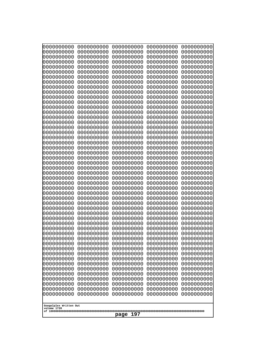| 000000000                | 0000000000               | 0000000000               | 0000000000               | 0000000000               |
|--------------------------|--------------------------|--------------------------|--------------------------|--------------------------|
| 0000000000               | 0000000000               | 0000000000               | 0000000000               | 0000000000               |
| 0000000000               | 0000000000               | 0000000000               | 0000000000               | 0000000000               |
| 0000000000               | 0000000000               | 0000000000               | 0000000000               | 0000000000               |
| 0000000000               | 0000000000               | 0000000000               | 0000000000               | 0000000000               |
| 0000000000               | 0000000000               | 0000000000               | 0000000000               | 0000000000               |
| 0000000000               | 0000000000               | 0000000000               | 0000000000               | 0000000000               |
| 0000000000               | 0000000000               | 0000000000               | 0000000000               | 0000000000               |
| 0000000000               | 0000000000<br>0000000000 | 0000000000<br>0000000000 | 0000000000               | 0000000000               |
| 0000000000<br>0000000000 | 0000000000               | 0000000000               | 0000000000<br>0000000000 | 0000000000<br>0000000000 |
| 0000000000               | 0000000000               | 0000000000               | 0000000000               | 0000000000               |
| 0000000000               | 0000000000               | 0000000000               | 0000000000               | 0000000000               |
| 0000000000               | 0000000000               | 0000000000               | 0000000000               | 0000000000               |
| 0000000000               | 0000000000               | 0000000000               | 0000000000               | 0000000000               |
| 0000000000               | 0000000000               | 0000000000               | 0000000000               | 0000000000               |
| 0000000000               | 0000000000               | 0000000000               | 0000000000               | 0000000000               |
| 0000000000               | 0000000000               | 0000000000               | 0000000000               | 0000000000               |
| 0000000000               | 0000000000               | 0000000000               | 0000000000               | 0000000000               |
| 0000000000               | 0000000000               | 0000000000               | 0000000000               | 0000000000               |
| 0000000000               | 0000000000               | 0000000000               | 0000000000               | 0000000000               |
| 0000000000<br>0000000000 | 0000000000<br>0000000000 | 0000000000<br>0000000000 | 0000000000<br>0000000000 | 0000000000<br>0000000000 |
| 0000000000               | 0000000000               | 0000000000               | 0000000000               | 0000000000               |
| 0000000000               | 0000000000               | 0000000000               | 0000000000               | 0000000000               |
| 0000000000               | 0000000000               | 0000000000               | 0000000000               | 0000000000               |
| 0000000000               | 0000000000               | 0000000000               | 0000000000               | 0000000000               |
| 0000000000               | 0000000000               | 0000000000               | 0000000000               | 0000000000               |
| 0000000000               | 0000000000               | 0000000000               | 0000000000               | 0000000000               |
| 0000000000               | 0000000000               | 0000000000               | 0000000000               | 0000000000               |
| 0000000000               | 0000000000               | 0000000000               | 0000000000               | 0000000000               |
| 0000000000               | 0000000000               | 0000000000               | 0000000000               | 0000000000               |
| 0000000000               | 0000000000               | 0000000000               | 0000000000               | 0000000000               |
| 0000000000<br>0000000000 | 0000000000<br>0000000000 | 0000000000<br>0000000000 | 0000000000<br>0000000000 | 0000000000<br>0000000000 |
| 0000000000               | 0000000000               | 0000000000               | 0000000000               | 0000000000               |
| 0000000000               | 0000000000               | 0000000000               | 0000000000               | 0000000000               |
| 0000000000               | 0000000000               | 0000000000               | 0000000000               | 0000000000               |
| 0000000000               | 0000000000               | 0000000000               | 0000000000               | 0000000000               |
| 0000000000               | 0000000000               | 0000000000               | 0000000000               | 0000000000               |
| 0000000000               | 0000000000               | 0000000000               | 0000000000               | 0000000000               |
| 0000000000               | 0000000000               | 0000000000               | 0000000000               | 0000000000               |
| 0000000000               | 0000000000               | 0000000000               | 0000000000               | 0000000000               |
| 0000000000               | 0000000000               | 0000000000               | 0000000000               | 0000000000               |
| 0000000000               | 0000000000               | 0000000000               | 0000000000               | 0000000000               |
| 0000000000<br>0000000000 | 0000000000<br>0000000000 | 0000000000<br>0000000000 | 0000000000<br>0000000000 | 0000000000<br>0000000000 |
| 0000000000               | 0000000000               | 0000000000               | 0000000000               | 0000000000               |
| 0000000000               | 0000000000               | 0000000000               | 0000000000               | 0000000000               |
| 0000000000               | 0000000000               | 0000000000               | 0000000000               | 0000000000               |
|                          |                          |                          |                          |                          |
| Googolplex Written Out   |                          |                          |                          |                          |
| volume 1720              |                          |                          |                          |                          |
| 197<br>page              |                          |                          |                          |                          |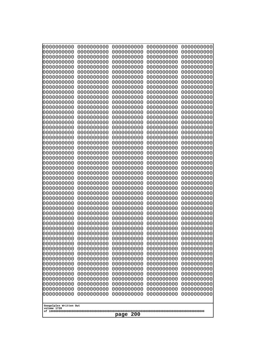| 10000000000<br>0000000000             | 0000000000<br>0000000000 | 0000000000<br>0000000000 | 0000000000<br>0000000000 | 0000000000<br>0000000000 |
|---------------------------------------|--------------------------|--------------------------|--------------------------|--------------------------|
| 0000000000                            | 0000000000               | 0000000000               | 0000000000               | 0000000000               |
| 0000000000                            | 0000000000               | 0000000000               | 0000000000               | 0000000000               |
| 0000000000<br>0000000000              | 0000000000<br>0000000000 | 0000000000               | 0000000000<br>0000000000 | 0000000000               |
| 0000000000                            | 0000000000               | 0000000000<br>0000000000 | 0000000000               | 0000000000<br>0000000000 |
| 0000000000                            | 0000000000               | 0000000000               | 0000000000               | 0000000000               |
| 0000000000                            | 0000000000               | 0000000000               | 0000000000               | 0000000000               |
| 0000000000<br>0000000000              | 0000000000<br>0000000000 | 0000000000<br>0000000000 | 0000000000<br>0000000000 | 0000000000<br>0000000000 |
| 0000000000                            | 0000000000               | 0000000000               | 0000000000               | 0000000000               |
| 0000000000                            | 0000000000               | 0000000000               | 0000000000               | 0000000000               |
| 0000000000<br>0000000000              | 0000000000<br>0000000000 | 0000000000<br>0000000000 | 0000000000<br>0000000000 | 0000000000<br>0000000000 |
| 0000000000                            | 0000000000               | 0000000000               | 0000000000               | 0000000000               |
| 0000000000                            | 0000000000               | 0000000000               | 0000000000               | 0000000000               |
| 0000000000<br>0000000000              | 0000000000               | 0000000000               | 0000000000               | 0000000000               |
| 0000000000                            | 0000000000<br>0000000000 | 0000000000<br>0000000000 | 0000000000<br>0000000000 | 0000000000<br>0000000000 |
| 0000000000                            | 0000000000               | 0000000000               | 0000000000               | 0000000000               |
| 0000000000                            | 0000000000               | 0000000000               | 0000000000               | 0000000000               |
| 0000000000<br>0000000000              | 0000000000<br>0000000000 | 0000000000<br>0000000000 | 0000000000<br>0000000000 | 0000000000<br>0000000000 |
| 0000000000                            | 0000000000               | 0000000000               | 0000000000               | 0000000000               |
| 0000000000                            | 0000000000               | 0000000000               | 0000000000               | 0000000000               |
| 0000000000<br>0000000000              | 0000000000<br>0000000000 | 0000000000<br>0000000000 | 0000000000<br>0000000000 | 0000000000<br>0000000000 |
| 0000000000                            | 0000000000               | 0000000000               | 0000000000               | 0000000000               |
| 0000000000                            | 0000000000               | 0000000000               | 0000000000               | 0000000000               |
| 0000000000<br>0000000000              | 0000000000<br>0000000000 | 0000000000<br>0000000000 | 0000000000<br>0000000000 | 0000000000<br>0000000000 |
| 0000000000                            | 0000000000               | 0000000000               | 0000000000               | 0000000000               |
| 0000000000                            | 0000000000               | 0000000000               | 0000000000               | 0000000000               |
| 0000000000                            | 0000000000               | 0000000000               | 0000000000               | 0000000000               |
| 0000000000<br>0000000000              | 0000000000<br>0000000000 | 0000000000<br>0000000000 | 0000000000<br>0000000000 | 0000000000<br>0000000000 |
| 0000000000                            | 0000000000               | 0000000000               | 0000000000               | 0000000000               |
| 0000000000                            | 0000000000               | 0000000000               | 0000000000               | 0000000000               |
| 0000000000<br>0000000000              | 0000000000<br>0000000000 | 0000000000<br>0000000000 | 0000000000<br>0000000000 | 0000000000<br>0000000000 |
| 0000000000                            | 0000000000               | 0000000000               | 0000000000               | 0000000000               |
| 0000000000                            | 0000000000               | 0000000000               | 0000000000               | 0000000000               |
| 0000000000<br>0000000000              | 0000000000<br>0000000000 | 0000000000<br>0000000000 | 0000000000<br>0000000000 | 0000000000<br>0000000000 |
| 0000000000                            | 0000000000               | 0000000000               | 0000000000               | 0000000000               |
| 0000000000                            | 0000000000               | 0000000000               | 0000000000               | 0000000000               |
| 0000000000                            | 0000000000               | 0000000000               | 0000000000               | 0000000000               |
| 0000000000<br>0000000000              | 0000000000<br>0000000000 | 0000000000<br>0000000000 | 0000000000<br>0000000000 | 0000000000<br>0000000000 |
|                                       |                          |                          |                          |                          |
| Googolplex Written Out<br>volume 1720 |                          |                          |                          |                          |
|                                       |                          | 200<br>page              |                          |                          |
|                                       |                          |                          |                          |                          |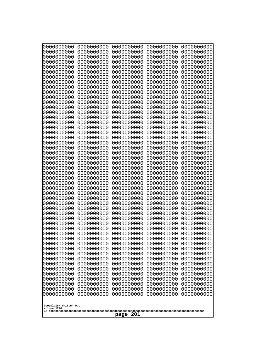| 10000000000<br>0000000000             | 0000000000<br>0000000000 | 0000000000<br>0000000000 | 0000000000<br>0000000000 | 0000000000<br>0000000000 |
|---------------------------------------|--------------------------|--------------------------|--------------------------|--------------------------|
| 0000000000                            | 0000000000               | 0000000000               | 0000000000               | 0000000000               |
| 0000000000                            | 0000000000               | 0000000000               | 0000000000               | 0000000000               |
| 0000000000                            | 0000000000               | 0000000000               | 0000000000               | 0000000000               |
| 0000000000<br>0000000000              | 0000000000<br>0000000000 | 0000000000<br>0000000000 | 0000000000<br>0000000000 | 0000000000<br>0000000000 |
| 0000000000                            | 0000000000               | 0000000000               | 0000000000               | 0000000000               |
| 0000000000                            | 0000000000               | 0000000000               | 0000000000               | 0000000000               |
| 0000000000                            | 0000000000               | 0000000000               | 0000000000               | 0000000000               |
| 0000000000<br>0000000000              | 0000000000<br>0000000000 | 0000000000<br>0000000000 | 0000000000<br>0000000000 | 0000000000<br>0000000000 |
| 0000000000                            | 0000000000               | 0000000000               | 0000000000               | 0000000000               |
| 0000000000                            | 0000000000               | 0000000000               | 0000000000               | 0000000000               |
| 0000000000                            | 0000000000               | 0000000000               | 0000000000               | 0000000000               |
| 0000000000<br>0000000000              | 0000000000<br>0000000000 | 0000000000<br>0000000000 | 0000000000<br>0000000000 | 0000000000<br>0000000000 |
| 0000000000                            | 0000000000               | 0000000000               | 0000000000               | 0000000000               |
| 0000000000                            | 0000000000               | 0000000000               | 0000000000               | 0000000000               |
| 0000000000<br>0000000000              | 0000000000<br>0000000000 | 0000000000<br>0000000000 | 0000000000<br>0000000000 | 0000000000<br>0000000000 |
| 0000000000                            | 0000000000               | 0000000000               | 0000000000               | 0000000000               |
| 0000000000                            | 0000000000               | 0000000000               | 0000000000               | 0000000000               |
| 0000000000                            | 0000000000               | 0000000000               | 0000000000               | 0000000000               |
| 0000000000<br>0000000000              | 0000000000<br>0000000000 | 0000000000<br>0000000000 | 0000000000<br>0000000000 | 0000000000<br>0000000000 |
| 0000000000                            | 0000000000               | 0000000000               | 0000000000               | 0000000000               |
| 0000000000                            | 0000000000               | 0000000000               | 0000000000               | 0000000000               |
| 0000000000<br>0000000000              | 0000000000<br>0000000000 | 0000000000<br>0000000000 | 0000000000<br>0000000000 | 0000000000<br>0000000000 |
| 0000000000                            | 0000000000               | 0000000000               | 0000000000               | 0000000000               |
| 0000000000                            | 0000000000               | 0000000000               | 0000000000               | 0000000000               |
| 0000000000                            | 0000000000               | 0000000000               | 0000000000               | 0000000000               |
| 0000000000<br>0000000000              | 0000000000<br>0000000000 | 0000000000<br>0000000000 | 0000000000<br>0000000000 | 0000000000<br>0000000000 |
| 0000000000                            | 0000000000               | 0000000000               | 0000000000               | 0000000000               |
| 0000000000                            | 0000000000               | 0000000000               | 0000000000               | 0000000000               |
| 0000000000                            | 0000000000<br>0000000000 | 0000000000<br>0000000000 | 0000000000<br>0000000000 | 0000000000               |
| 0000000000<br>0000000000              | 0000000000               | 0000000000               | 0000000000               | 0000000000<br>0000000000 |
| 0000000000                            | 0000000000               | 0000000000               | 0000000000               | 0000000000               |
| 0000000000                            | 0000000000               | 0000000000               | 0000000000               | 0000000000               |
| 0000000000<br>0000000000              | 0000000000<br>0000000000 | 0000000000<br>0000000000 | 0000000000<br>0000000000 | 0000000000<br>0000000000 |
| 0000000000                            | 0000000000               | 0000000000               | 0000000000               | 0000000000               |
| 0000000000                            | 0000000000               | 0000000000               | 0000000000               | 0000000000               |
| 0000000000<br>0000000000              | 0000000000<br>0000000000 | 0000000000<br>0000000000 | 0000000000<br>0000000000 | 0000000000<br>0000000000 |
| 0000000000                            | 0000000000               | 0000000000               | 0000000000               | 0000000000               |
| 0000000000                            | 0000000000               | 0000000000               | 0000000000               | 0000000000               |
|                                       |                          |                          |                          |                          |
| Googolplex Written Out<br>volume 1720 |                          |                          |                          |                          |
| 201<br>page                           |                          |                          |                          |                          |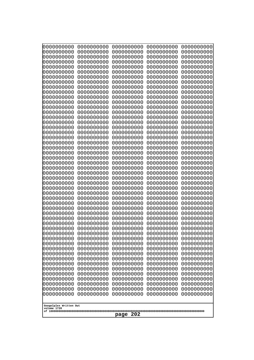| 10000000000<br>0000000000 | 0000000000<br>0000000000 | 0000000000<br>0000000000 | 0000000000<br>0000000000 | 0000000000<br>0000000000 |
|---------------------------|--------------------------|--------------------------|--------------------------|--------------------------|
| 0000000000                | 0000000000               | 0000000000               | 0000000000               | 0000000000               |
| 0000000000                | 0000000000               | 0000000000               | 0000000000               | 0000000000               |
| 0000000000<br>0000000000  | 0000000000<br>0000000000 | 0000000000<br>0000000000 | 0000000000<br>0000000000 | 0000000000<br>0000000000 |
| 0000000000                | 0000000000               | 0000000000               | 0000000000               | 0000000000               |
| 0000000000                | 0000000000               | 0000000000               | 0000000000               | 0000000000               |
| 0000000000<br>0000000000  | 0000000000<br>0000000000 | 0000000000<br>0000000000 | 0000000000<br>0000000000 | 0000000000<br>0000000000 |
| 0000000000                | 0000000000               | 0000000000               | 0000000000               | 0000000000               |
| 0000000000                | 0000000000               | 0000000000               | 0000000000               | 0000000000               |
| 0000000000<br>0000000000  | 0000000000<br>0000000000 | 0000000000<br>0000000000 | 0000000000<br>0000000000 | 0000000000<br>0000000000 |
| 0000000000                | 0000000000               | 0000000000               | 0000000000               | 0000000000               |
| 0000000000                | 0000000000               | 0000000000               | 0000000000               | 0000000000               |
| 0000000000<br>0000000000  | 0000000000<br>0000000000 | 0000000000<br>0000000000 | 0000000000<br>0000000000 | 0000000000<br>0000000000 |
| 0000000000                | 0000000000               | 0000000000               | 0000000000               | 0000000000               |
| 0000000000                | 0000000000               | 0000000000               | 0000000000               | 0000000000               |
| 0000000000<br>0000000000  | 0000000000<br>0000000000 | 0000000000<br>0000000000 | 0000000000<br>0000000000 | 0000000000<br>0000000000 |
| 0000000000                | 0000000000               | 0000000000               | 0000000000               | 0000000000               |
| 0000000000                | 0000000000               | 0000000000               | 0000000000               | 0000000000               |
| 0000000000<br>0000000000  | 0000000000<br>0000000000 | 0000000000<br>0000000000 | 0000000000<br>0000000000 | 0000000000<br>0000000000 |
| 0000000000                | 0000000000               | 0000000000               | 0000000000               | 0000000000               |
| 0000000000                | 0000000000               | 0000000000               | 0000000000               | 0000000000               |
| 0000000000<br>0000000000  | 0000000000<br>0000000000 | 0000000000<br>0000000000 | 0000000000<br>0000000000 | 0000000000<br>0000000000 |
| 0000000000                | 0000000000               | 0000000000               | 0000000000               | 0000000000               |
| 0000000000                | 0000000000               | 0000000000               | 0000000000               | 0000000000               |
| 0000000000<br>0000000000  | 0000000000<br>0000000000 | 0000000000<br>0000000000 | 0000000000<br>0000000000 | 0000000000<br>0000000000 |
| 0000000000                | 0000000000               | 0000000000               | 0000000000               | 0000000000               |
| 0000000000                | 0000000000               | 0000000000               | 0000000000               | 0000000000               |
| 0000000000<br>0000000000  | 0000000000<br>0000000000 | 0000000000<br>0000000000 | 0000000000<br>0000000000 | 0000000000<br>0000000000 |
| 0000000000                | 0000000000               | 0000000000               | 0000000000               | 0000000000               |
| 0000000000                | 0000000000               | 0000000000               | 0000000000               | 0000000000               |
| 0000000000<br>0000000000  | 0000000000<br>0000000000 | 0000000000<br>0000000000 | 0000000000<br>0000000000 | 0000000000<br>0000000000 |
| 0000000000                | 0000000000               | 0000000000               | 0000000000               | 0000000000               |
| 0000000000                | 0000000000               | 0000000000               | 0000000000               | 0000000000               |
| 0000000000<br>0000000000  | 0000000000<br>0000000000 | 0000000000<br>0000000000 | 0000000000<br>0000000000 | 0000000000<br>0000000000 |
| 0000000000                | 0000000000               | 0000000000               | 0000000000               | 0000000000               |
| 0000000000                | 0000000000               | 0000000000               | 0000000000               | 0000000000               |
| 0000000000<br>0000000000  | 0000000000<br>0000000000 | 0000000000<br>0000000000 | 0000000000<br>0000000000 | 0000000000<br>0000000000 |
|                           |                          |                          |                          |                          |
| volume 1720               | Googolplex Written Out   |                          |                          |                          |
| 202<br>page               |                          |                          |                          |                          |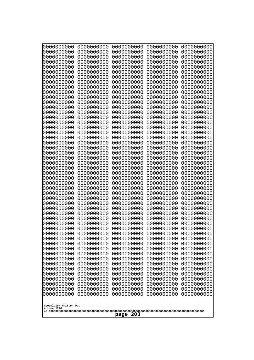| 10000000000<br>0000000000             | 0000000000<br>0000000000 | 0000000000<br>0000000000 | 0000000000<br>0000000000 | 0000000000<br>0000000000 |  |
|---------------------------------------|--------------------------|--------------------------|--------------------------|--------------------------|--|
| 0000000000                            | 0000000000               | 0000000000               | 0000000000               | 0000000000               |  |
| 0000000000                            | 0000000000               | 0000000000               | 0000000000               | 0000000000               |  |
| 0000000000<br>0000000000              | 0000000000<br>0000000000 | 0000000000<br>0000000000 | 0000000000<br>0000000000 | 0000000000<br>0000000000 |  |
| 0000000000                            | 0000000000               | 0000000000               | 0000000000               | 0000000000               |  |
| 0000000000                            | 0000000000               | 0000000000               | 0000000000               | 0000000000               |  |
| 0000000000                            | 0000000000               | 0000000000               | 0000000000               | 0000000000               |  |
| 0000000000<br>0000000000              | 0000000000<br>0000000000 | 0000000000<br>0000000000 | 0000000000<br>0000000000 | 0000000000<br>0000000000 |  |
| 0000000000                            | 0000000000               | 0000000000               | 0000000000               | 0000000000               |  |
| 0000000000                            | 0000000000               | 0000000000               | 0000000000               | 0000000000               |  |
| 0000000000<br>0000000000              | 0000000000<br>0000000000 | 0000000000<br>0000000000 | 0000000000<br>0000000000 | 0000000000<br>0000000000 |  |
| 0000000000                            | 0000000000               | 0000000000               | 0000000000               | 0000000000               |  |
| 0000000000                            | 0000000000               | 0000000000               | 0000000000               | 0000000000               |  |
| 0000000000<br>0000000000              | 0000000000<br>0000000000 | 0000000000<br>0000000000 | 0000000000<br>0000000000 | 0000000000<br>0000000000 |  |
| 0000000000                            | 0000000000               | 0000000000               | 0000000000               | 0000000000               |  |
| 0000000000                            | 0000000000               | 0000000000               | 0000000000               | 0000000000               |  |
| 0000000000<br>0000000000              | 0000000000<br>0000000000 | 0000000000<br>0000000000 | 0000000000<br>0000000000 | 0000000000<br>0000000000 |  |
| 0000000000                            | 0000000000               | 0000000000               | 0000000000               | 0000000000               |  |
| 0000000000                            | 0000000000               | 0000000000               | 0000000000               | 0000000000               |  |
| 0000000000                            | 0000000000<br>0000000000 | 0000000000<br>0000000000 | 0000000000<br>0000000000 | 0000000000               |  |
| 0000000000<br>0000000000              | 0000000000               | 0000000000               | 0000000000               | 0000000000<br>0000000000 |  |
| 0000000000                            | 0000000000               | 0000000000               | 0000000000               | 0000000000               |  |
| 0000000000                            | 0000000000               | 0000000000               | 0000000000               | 0000000000               |  |
| 0000000000<br>0000000000              | 0000000000<br>0000000000 | 0000000000<br>0000000000 | 0000000000<br>0000000000 | 0000000000<br>0000000000 |  |
| 0000000000                            | 0000000000               | 0000000000               | 0000000000               | 0000000000               |  |
| 0000000000                            | 0000000000               | 0000000000               | 0000000000               | 0000000000               |  |
| 0000000000<br>0000000000              | 0000000000<br>0000000000 | 0000000000<br>0000000000 | 0000000000<br>0000000000 | 0000000000<br>0000000000 |  |
| 0000000000                            | 0000000000               | 0000000000               | 0000000000               | 0000000000               |  |
| 0000000000                            | 0000000000               | 0000000000               | 0000000000               | 0000000000               |  |
| 0000000000<br>0000000000              | 0000000000<br>0000000000 | 0000000000<br>0000000000 | 0000000000<br>0000000000 | 0000000000<br>0000000000 |  |
| 0000000000                            | 0000000000               | 0000000000               | 0000000000               | 0000000000               |  |
| 0000000000                            | 0000000000               | 0000000000               | 0000000000               | 0000000000               |  |
| 0000000000<br>0000000000              | 0000000000<br>0000000000 | 0000000000<br>0000000000 | 0000000000<br>0000000000 | 0000000000<br>0000000000 |  |
| 0000000000                            | 0000000000               | 0000000000               | 0000000000               | 0000000000               |  |
| 0000000000                            | 0000000000               | 0000000000               | 0000000000               | 0000000000               |  |
| 0000000000<br>0000000000              | 0000000000<br>0000000000 | 0000000000<br>0000000000 | 0000000000<br>0000000000 | 0000000000<br>0000000000 |  |
| 0000000000                            | 0000000000               | 0000000000               | 0000000000               | 0000000000               |  |
| 0000000000                            | 0000000000               | 0000000000               | 0000000000               | 0000000000               |  |
|                                       |                          |                          |                          |                          |  |
| Googolplex Written Out<br>volume 1720 |                          |                          |                          |                          |  |
| 203<br>page                           |                          |                          |                          |                          |  |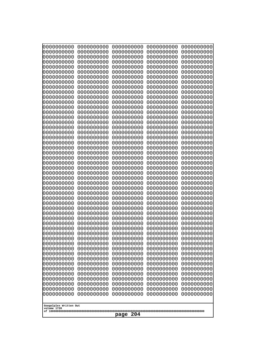| 10000000000                           | 0000000000               | 0000000000<br>0000000000 | 0000000000<br>0000000000 | 0000000000<br>0000000000 |
|---------------------------------------|--------------------------|--------------------------|--------------------------|--------------------------|
| 0000000000<br>0000000000              | 0000000000<br>0000000000 | 0000000000               | 0000000000               | 0000000000               |
| 0000000000                            | 0000000000               | 0000000000               | 0000000000               | 0000000000               |
| 0000000000                            | 0000000000               | 0000000000               | 0000000000               | 0000000000               |
| 0000000000                            | 0000000000               | 0000000000<br>0000000000 | 0000000000<br>0000000000 | 0000000000               |
| 0000000000<br>0000000000              | 0000000000<br>0000000000 | 0000000000               | 0000000000               | 0000000000<br>0000000000 |
| 0000000000                            | 0000000000               | 0000000000               | 0000000000               | 0000000000               |
| 0000000000                            | 0000000000               | 0000000000               | 0000000000               | 0000000000               |
| 0000000000                            | 0000000000               | 0000000000               | 0000000000               | 0000000000               |
| 0000000000<br>0000000000              | 0000000000<br>0000000000 | 0000000000<br>0000000000 | 0000000000<br>0000000000 | 0000000000<br>0000000000 |
| 0000000000                            | 0000000000               | 0000000000               | 0000000000               | 0000000000               |
| 0000000000                            | 0000000000               | 0000000000               | 0000000000               | 0000000000               |
| 0000000000                            | 0000000000               | 0000000000               | 0000000000               | 0000000000               |
| 0000000000<br>0000000000              | 0000000000<br>0000000000 | 0000000000<br>0000000000 | 0000000000<br>0000000000 | 0000000000<br>0000000000 |
| 0000000000                            | 0000000000               | 0000000000               | 0000000000               | 0000000000               |
| 0000000000                            | 0000000000               | 0000000000               | 0000000000               | 0000000000               |
| 0000000000<br>0000000000              | 0000000000<br>0000000000 | 0000000000<br>0000000000 | 0000000000<br>0000000000 | 0000000000<br>0000000000 |
| 0000000000                            | 0000000000               | 0000000000               | 0000000000               | 0000000000               |
| 0000000000                            | 0000000000               | 0000000000               | 0000000000               | 0000000000               |
| 0000000000                            | 0000000000               | 0000000000               | 0000000000               | 0000000000               |
| 0000000000<br>0000000000              | 0000000000<br>0000000000 | 0000000000<br>0000000000 | 0000000000<br>0000000000 | 0000000000<br>0000000000 |
| 0000000000                            | 0000000000               | 0000000000               | 0000000000               | 0000000000               |
| 0000000000                            | 0000000000               | 0000000000               | 0000000000               | 0000000000               |
| 0000000000                            | 0000000000               | 0000000000               | 0000000000               | 0000000000               |
| 0000000000<br>0000000000              | 0000000000<br>0000000000 | 0000000000<br>0000000000 | 0000000000<br>0000000000 | 0000000000<br>0000000000 |
| 0000000000                            | 0000000000               | 0000000000               | 0000000000               | 0000000000               |
| 0000000000                            | 0000000000               | 0000000000               | 0000000000               | 0000000000               |
| 0000000000                            | 0000000000               | 0000000000               | 0000000000               | 0000000000               |
| 0000000000<br>0000000000              | 0000000000<br>0000000000 | 0000000000<br>0000000000 | 0000000000<br>0000000000 | 0000000000<br>0000000000 |
| 0000000000                            | 0000000000               | 0000000000               | 0000000000               | 0000000000               |
| 0000000000                            | 0000000000               | 0000000000               | 0000000000               | 0000000000               |
| 0000000000                            | 0000000000               | 0000000000               | 0000000000               | 0000000000               |
| 0000000000<br>0000000000              | 0000000000<br>0000000000 | 0000000000<br>0000000000 | 0000000000<br>0000000000 | 0000000000<br>0000000000 |
| 0000000000                            | 0000000000               | 0000000000               | 0000000000               | 0000000000               |
| 0000000000                            | 0000000000               | 0000000000               | 0000000000               | 0000000000               |
| 0000000000                            | 0000000000               | 0000000000               | 0000000000               | 0000000000               |
| 0000000000<br>0000000000              | 0000000000<br>0000000000 | 0000000000<br>0000000000 | 0000000000<br>0000000000 | 0000000000<br>0000000000 |
| 0000000000                            | 0000000000               | 0000000000               | 0000000000               | 0000000000               |
| 0000000000                            | 0000000000               | 0000000000               | 0000000000               | 0000000000               |
| 0000000000                            | 0000000000               | 0000000000               | 0000000000               | 0000000000               |
|                                       |                          |                          |                          |                          |
| Googolplex Written Out<br>volume 1720 |                          |                          |                          |                          |
| 204<br>page                           |                          |                          |                          |                          |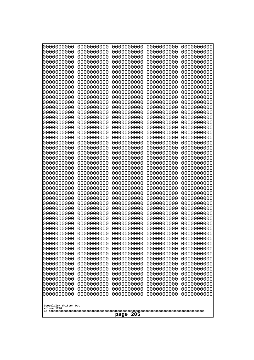| 10000000000<br>0000000000             | 0000000000<br>0000000000 | 0000000000<br>0000000000 | 0000000000<br>0000000000 | 0000000000<br>0000000000 |
|---------------------------------------|--------------------------|--------------------------|--------------------------|--------------------------|
| 0000000000                            | 0000000000               | 0000000000               | 0000000000               | 0000000000               |
| 0000000000                            | 0000000000               | 0000000000               | 0000000000               | 0000000000               |
| 0000000000<br>0000000000              | 0000000000<br>0000000000 | 0000000000<br>0000000000 | 0000000000<br>0000000000 | 0000000000<br>0000000000 |
| 0000000000                            | 0000000000               | 0000000000               | 0000000000               | 0000000000               |
| 0000000000                            | 0000000000               | 0000000000               | 0000000000               | 0000000000               |
| 0000000000<br>0000000000              | 0000000000<br>0000000000 | 0000000000<br>0000000000 | 0000000000<br>0000000000 | 0000000000<br>0000000000 |
| 0000000000                            | 0000000000               | 0000000000               | 0000000000               | 0000000000               |
| 0000000000                            | 0000000000               | 0000000000               | 0000000000               | 0000000000               |
| 0000000000<br>0000000000              | 0000000000<br>0000000000 | 0000000000<br>0000000000 | 0000000000<br>0000000000 | 0000000000<br>0000000000 |
| 0000000000                            | 0000000000               | 0000000000               | 0000000000               | 0000000000               |
| 0000000000                            | 0000000000               | 0000000000               | 0000000000               | 0000000000               |
| 0000000000<br>0000000000              | 0000000000<br>0000000000 | 0000000000<br>0000000000 | 0000000000<br>0000000000 | 0000000000<br>0000000000 |
| 0000000000                            | 0000000000               | 0000000000               | 0000000000               | 0000000000               |
| 0000000000                            | 0000000000               | 0000000000               | 0000000000               | 0000000000               |
| 0000000000<br>0000000000              | 0000000000<br>0000000000 | 0000000000<br>0000000000 | 0000000000<br>0000000000 | 0000000000<br>0000000000 |
| 0000000000                            | 0000000000               | 0000000000               | 0000000000               | 0000000000               |
| 0000000000                            | 0000000000               | 0000000000               | 0000000000               | 0000000000               |
| 0000000000<br>0000000000              | 0000000000<br>0000000000 | 0000000000<br>0000000000 | 0000000000<br>0000000000 | 0000000000<br>0000000000 |
| 0000000000                            | 0000000000               | 0000000000               | 0000000000               | 0000000000               |
| 0000000000                            | 0000000000<br>0000000000 | 0000000000               | 0000000000               | 0000000000               |
| 0000000000<br>0000000000              | 0000000000               | 0000000000<br>0000000000 | 0000000000<br>0000000000 | 0000000000<br>0000000000 |
| 0000000000                            | 0000000000               | 0000000000               | 0000000000               | 0000000000               |
| 0000000000                            | 0000000000               | 0000000000               | 0000000000               | 0000000000               |
| 0000000000<br>0000000000              | 0000000000<br>0000000000 | 0000000000<br>0000000000 | 0000000000<br>0000000000 | 0000000000<br>0000000000 |
| 0000000000                            | 0000000000               | 0000000000               | 0000000000               | 0000000000               |
| 0000000000                            | 0000000000<br>0000000000 | 0000000000<br>0000000000 | 0000000000               | 0000000000               |
| 0000000000<br>0000000000              | 0000000000               | 0000000000               | 0000000000<br>0000000000 | 0000000000<br>0000000000 |
| 0000000000                            | 0000000000               | 0000000000               | 0000000000               | 0000000000               |
| 0000000000                            | 0000000000               | 0000000000               | 0000000000               | 0000000000               |
| 0000000000<br>0000000000              | 0000000000<br>0000000000 | 0000000000<br>0000000000 | 0000000000<br>0000000000 | 0000000000<br>0000000000 |
| 0000000000                            | 0000000000               | 0000000000               | 0000000000               | 0000000000               |
| 0000000000                            | 0000000000               | 0000000000               | 0000000000               | 0000000000               |
| 0000000000<br>0000000000              | 0000000000<br>0000000000 | 0000000000<br>0000000000 | 0000000000<br>0000000000 | 0000000000<br>0000000000 |
| 0000000000                            | 0000000000               | 0000000000               | 0000000000               | 0000000000               |
| 0000000000                            | 0000000000               | 0000000000               | 0000000000               | 0000000000               |
| 0000000000<br>0000000000              | 0000000000<br>0000000000 | 0000000000<br>0000000000 | 0000000000<br>0000000000 | 0000000000<br>0000000000 |
|                                       |                          |                          |                          |                          |
| Googolplex Written Out<br>volume 1720 |                          |                          |                          |                          |
| 205<br>page                           |                          |                          |                          |                          |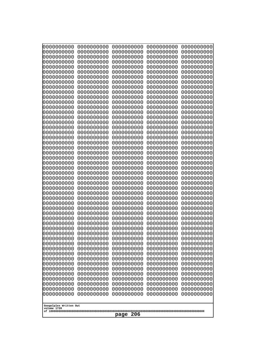| 10000000000<br>0000000000 | 0000000000<br>0000000000 | 0000000000<br>0000000000 | 0000000000<br>0000000000 | 0000000000<br>0000000000 |
|---------------------------|--------------------------|--------------------------|--------------------------|--------------------------|
| 0000000000                | 0000000000               | 0000000000               | 0000000000               | 0000000000               |
| 0000000000                | 0000000000               | 0000000000               | 0000000000               | 0000000000               |
| 0000000000<br>0000000000  | 0000000000<br>0000000000 | 0000000000               | 0000000000<br>0000000000 | 0000000000               |
| 0000000000                | 0000000000               | 0000000000<br>0000000000 | 0000000000               | 0000000000<br>0000000000 |
| 0000000000                | 0000000000               | 0000000000               | 0000000000               | 0000000000               |
| 0000000000                | 0000000000               | 0000000000               | 0000000000               | 0000000000               |
| 0000000000<br>0000000000  | 0000000000<br>0000000000 | 0000000000<br>0000000000 | 0000000000<br>0000000000 | 0000000000<br>0000000000 |
| 0000000000                | 0000000000               | 0000000000               | 0000000000               | 0000000000               |
| 0000000000                | 0000000000               | 0000000000               | 0000000000               | 0000000000               |
| 0000000000                | 0000000000               | 0000000000               | 0000000000               | 0000000000               |
| 0000000000<br>0000000000  | 0000000000<br>0000000000 | 0000000000<br>0000000000 | 0000000000<br>0000000000 | 0000000000<br>0000000000 |
| 0000000000                | 0000000000               | 0000000000               | 0000000000               | 0000000000               |
| 0000000000                | 0000000000               | 0000000000               | 0000000000               | 0000000000               |
| 0000000000<br>0000000000  | 0000000000<br>0000000000 | 0000000000<br>0000000000 | 0000000000<br>0000000000 | 0000000000<br>0000000000 |
| 0000000000                | 0000000000               | 0000000000               | 0000000000               | 0000000000               |
| 0000000000                | 0000000000               | 0000000000               | 0000000000               | 0000000000               |
| 0000000000                | 0000000000               | 0000000000               | 0000000000               | 0000000000               |
| 0000000000<br>0000000000  | 0000000000<br>0000000000 | 0000000000<br>0000000000 | 0000000000<br>0000000000 | 0000000000<br>0000000000 |
| 0000000000                | 0000000000               | 0000000000               | 0000000000               | 0000000000               |
| 0000000000                | 0000000000               | 0000000000               | 0000000000               | 0000000000               |
| 0000000000<br>0000000000  | 0000000000<br>0000000000 | 0000000000<br>0000000000 | 0000000000<br>0000000000 | 0000000000<br>0000000000 |
| 0000000000                | 0000000000               | 0000000000               | 0000000000               | 0000000000               |
| 0000000000                | 0000000000               | 0000000000               | 0000000000               | 0000000000               |
| 0000000000                | 0000000000               | 0000000000               | 0000000000               | 0000000000               |
| 0000000000<br>0000000000  | 0000000000<br>0000000000 | 0000000000<br>0000000000 | 0000000000<br>0000000000 | 0000000000<br>0000000000 |
| 0000000000                | 0000000000               | 0000000000               | 0000000000               | 0000000000               |
| 0000000000                | 0000000000               | 0000000000               | 0000000000               | 0000000000               |
| 0000000000<br>0000000000  | 0000000000<br>0000000000 | 0000000000<br>0000000000 | 0000000000<br>0000000000 | 0000000000<br>0000000000 |
| 0000000000                | 0000000000               | 0000000000               | 0000000000               | 0000000000               |
| 0000000000                | 0000000000               | 0000000000               | 0000000000               | 0000000000               |
| 0000000000<br>0000000000  | 0000000000               | 0000000000               | 0000000000               | 0000000000               |
| 0000000000                | 0000000000<br>0000000000 | 0000000000<br>0000000000 | 0000000000<br>0000000000 | 0000000000<br>0000000000 |
| 0000000000                | 0000000000               | 0000000000               | 0000000000               | 0000000000               |
| 0000000000                | 0000000000               | 0000000000               | 0000000000               | 0000000000               |
| 0000000000<br>0000000000  | 0000000000<br>0000000000 | 0000000000<br>0000000000 | 0000000000<br>0000000000 | 0000000000<br>0000000000 |
| 0000000000                | 0000000000               | 0000000000               | 0000000000               | 0000000000               |
| 0000000000                | 0000000000               | 0000000000               | 0000000000               | 0000000000               |
| 0000000000                | 0000000000               | 0000000000               | 0000000000               | 0000000000               |
| Googolplex Written Out    |                          |                          |                          |                          |
| volume 1720               |                          |                          |                          |                          |
| 206<br>page               |                          |                          |                          |                          |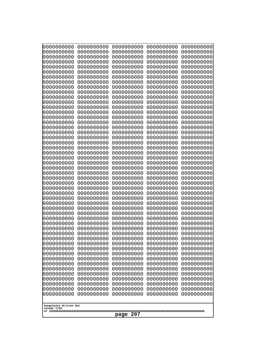| 10000000000<br>0000000000             | 0000000000<br>0000000000 | 0000000000<br>0000000000 | 0000000000<br>0000000000 | 0000000000<br>0000000000 |
|---------------------------------------|--------------------------|--------------------------|--------------------------|--------------------------|
| 0000000000                            | 0000000000               | 0000000000               | 0000000000               | 0000000000               |
| 0000000000                            | 0000000000               | 0000000000               | 0000000000               | 0000000000               |
| 0000000000<br>0000000000              | 0000000000<br>0000000000 | 0000000000<br>0000000000 | 0000000000<br>0000000000 | 0000000000<br>0000000000 |
| 0000000000                            | 0000000000               | 0000000000               | 0000000000               | 0000000000               |
| 0000000000                            | 0000000000               | 0000000000               | 0000000000               | 0000000000               |
| 0000000000<br>0000000000              | 0000000000<br>0000000000 | 0000000000<br>0000000000 | 0000000000<br>0000000000 | 0000000000<br>0000000000 |
| 0000000000                            | 0000000000               | 0000000000               | 0000000000               | 0000000000               |
| 0000000000                            | 0000000000               | 0000000000               | 0000000000               | 0000000000               |
| 0000000000<br>0000000000              | 0000000000<br>0000000000 | 0000000000<br>0000000000 | 0000000000<br>0000000000 | 0000000000<br>0000000000 |
| 0000000000                            | 0000000000               | 0000000000               | 0000000000               | 0000000000               |
| 0000000000                            | 0000000000               | 0000000000               | 0000000000               | 0000000000               |
| 0000000000<br>0000000000              | 0000000000<br>0000000000 | 0000000000<br>0000000000 | 0000000000<br>0000000000 | 0000000000<br>0000000000 |
| 0000000000                            | 0000000000               | 0000000000               | 0000000000               | 0000000000               |
| 0000000000                            | 0000000000               | 0000000000               | 0000000000               | 0000000000               |
| 0000000000<br>0000000000              | 0000000000<br>0000000000 | 0000000000<br>0000000000 | 0000000000<br>0000000000 | 0000000000<br>0000000000 |
| 0000000000                            | 0000000000               | 0000000000               | 0000000000               | 0000000000               |
| 0000000000                            | 0000000000               | 0000000000               | 0000000000               | 0000000000               |
| 0000000000<br>0000000000              | 0000000000<br>0000000000 | 0000000000<br>0000000000 | 0000000000<br>0000000000 | 0000000000<br>0000000000 |
| 0000000000                            | 0000000000               | 0000000000               | 0000000000               | 0000000000               |
| 0000000000                            | 0000000000               | 0000000000               | 0000000000               | 0000000000               |
| 0000000000<br>0000000000              | 0000000000<br>0000000000 | 0000000000<br>0000000000 | 0000000000<br>0000000000 | 0000000000<br>0000000000 |
| 0000000000                            | 0000000000               | 0000000000               | 0000000000               | 0000000000               |
| 0000000000                            | 0000000000               | 0000000000               | 0000000000               | 0000000000               |
| 0000000000<br>0000000000              | 0000000000<br>0000000000 | 0000000000<br>0000000000 | 0000000000<br>0000000000 | 0000000000<br>0000000000 |
| 0000000000                            | 0000000000               | 0000000000               | 0000000000               | 0000000000               |
| 0000000000                            | 0000000000               | 0000000000               | 0000000000               | 0000000000               |
| 0000000000<br>0000000000              | 0000000000<br>0000000000 | 0000000000<br>0000000000 | 0000000000<br>0000000000 | 0000000000<br>0000000000 |
| 0000000000                            | 0000000000               | 0000000000               | 0000000000               | 0000000000               |
| 0000000000                            | 0000000000               | 0000000000               | 0000000000               | 0000000000               |
| 0000000000<br>0000000000              | 0000000000<br>0000000000 | 0000000000<br>0000000000 | 0000000000<br>0000000000 | 0000000000<br>0000000000 |
| 0000000000                            | 0000000000               | 0000000000               | 0000000000               | 0000000000               |
| 0000000000                            | 0000000000               | 0000000000               | 0000000000               | 0000000000               |
| 0000000000<br>0000000000              | 0000000000<br>0000000000 | 0000000000<br>0000000000 | 0000000000<br>0000000000 | 0000000000<br>0000000000 |
| 0000000000                            | 0000000000               | 0000000000               | 0000000000               | 0000000000               |
| 0000000000                            | 0000000000               | 0000000000               | 0000000000               | 0000000000               |
| 0000000000<br>0000000000              | 0000000000<br>0000000000 | 0000000000<br>0000000000 | 0000000000<br>0000000000 | 0000000000<br>0000000000 |
|                                       |                          |                          |                          |                          |
| Googolplex Written Out<br>volume 1720 |                          |                          |                          |                          |
| 207<br>page                           |                          |                          |                          |                          |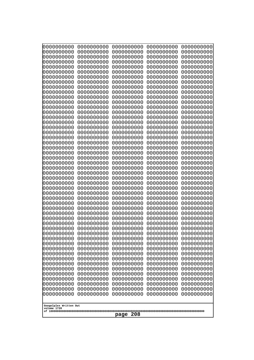| 10000000000<br>0000000000 | 0000000000<br>0000000000 | 0000000000<br>0000000000 | 0000000000<br>0000000000 | 0000000000<br>0000000000 |
|---------------------------|--------------------------|--------------------------|--------------------------|--------------------------|
| 0000000000                | 0000000000               | 0000000000               | 0000000000               | 0000000000               |
| 0000000000                | 0000000000               | 0000000000               | 0000000000               | 0000000000               |
| 0000000000<br>0000000000  | 0000000000<br>0000000000 | 0000000000               | 0000000000<br>0000000000 | 0000000000               |
| 0000000000                | 0000000000               | 0000000000<br>0000000000 | 0000000000               | 0000000000<br>0000000000 |
| 0000000000                | 0000000000               | 0000000000               | 0000000000               | 0000000000               |
| 0000000000                | 0000000000               | 0000000000               | 0000000000               | 0000000000               |
| 0000000000<br>0000000000  | 0000000000<br>0000000000 | 0000000000<br>0000000000 | 0000000000<br>0000000000 | 0000000000<br>0000000000 |
| 0000000000                | 0000000000               | 0000000000               | 0000000000               | 0000000000               |
| 0000000000                | 0000000000               | 0000000000               | 0000000000               | 0000000000               |
| 0000000000                | 0000000000               | 0000000000               | 0000000000               | 0000000000               |
| 0000000000<br>0000000000  | 0000000000<br>0000000000 | 0000000000<br>0000000000 | 0000000000<br>0000000000 | 0000000000<br>0000000000 |
| 0000000000                | 0000000000               | 0000000000               | 0000000000               | 0000000000               |
| 0000000000                | 0000000000               | 0000000000               | 0000000000               | 0000000000               |
| 0000000000<br>0000000000  | 0000000000<br>0000000000 | 0000000000<br>0000000000 | 0000000000<br>0000000000 | 0000000000<br>0000000000 |
| 0000000000                | 0000000000               | 0000000000               | 0000000000               | 0000000000               |
| 0000000000                | 0000000000               | 0000000000               | 0000000000               | 0000000000               |
| 0000000000                | 0000000000               | 0000000000               | 0000000000               | 0000000000               |
| 0000000000<br>0000000000  | 0000000000<br>0000000000 | 0000000000<br>0000000000 | 0000000000<br>0000000000 | 0000000000<br>0000000000 |
| 0000000000                | 0000000000               | 0000000000               | 0000000000               | 0000000000               |
| 0000000000                | 0000000000               | 0000000000               | 0000000000               | 0000000000               |
| 0000000000<br>0000000000  | 0000000000<br>0000000000 | 0000000000<br>0000000000 | 0000000000<br>0000000000 | 0000000000<br>0000000000 |
| 0000000000                | 0000000000               | 0000000000               | 0000000000               | 0000000000               |
| 0000000000                | 0000000000               | 0000000000               | 0000000000               | 0000000000               |
| 0000000000                | 0000000000               | 0000000000               | 0000000000               | 0000000000               |
| 0000000000<br>0000000000  | 0000000000<br>0000000000 | 0000000000<br>0000000000 | 0000000000<br>0000000000 | 0000000000<br>0000000000 |
| 0000000000                | 0000000000               | 0000000000               | 0000000000               | 0000000000               |
| 0000000000                | 0000000000               | 0000000000               | 0000000000               | 0000000000               |
| 0000000000<br>0000000000  | 0000000000<br>0000000000 | 0000000000<br>0000000000 | 0000000000<br>0000000000 | 0000000000<br>0000000000 |
| 0000000000                | 0000000000               | 0000000000               | 0000000000               | 0000000000               |
| 0000000000                | 0000000000               | 0000000000               | 0000000000               | 0000000000               |
| 0000000000<br>0000000000  | 0000000000<br>0000000000 | 0000000000<br>0000000000 | 0000000000<br>0000000000 | 0000000000<br>0000000000 |
| 0000000000                | 0000000000               | 0000000000               | 0000000000               | 0000000000               |
| 0000000000                | 0000000000               | 0000000000               | 0000000000               | 0000000000               |
| 0000000000                | 0000000000               | 0000000000               | 0000000000               | 0000000000               |
| 0000000000<br>0000000000  | 0000000000<br>0000000000 | 0000000000<br>0000000000 | 0000000000<br>0000000000 | 0000000000<br>0000000000 |
| 0000000000                | 0000000000               | 0000000000               | 0000000000               | 0000000000               |
| 0000000000                | 0000000000               | 0000000000               | 0000000000               | 0000000000               |
| 0000000000                | 0000000000               | 0000000000               | 0000000000               | 0000000000               |
| Googolplex Written Out    |                          |                          |                          |                          |
| volume 1720               |                          |                          |                          |                          |
| 208<br>page               |                          |                          |                          |                          |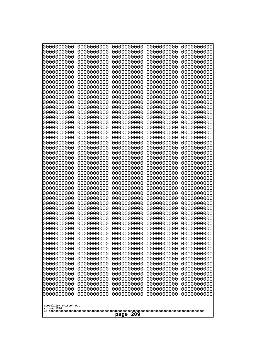| 10000000000<br>0000000000             | 0000000000<br>0000000000 | 0000000000<br>0000000000 | 0000000000<br>0000000000 | 0000000000<br>0000000000 |
|---------------------------------------|--------------------------|--------------------------|--------------------------|--------------------------|
| 0000000000                            | 0000000000               | 0000000000               | 0000000000               | 0000000000               |
| 0000000000                            | 0000000000               | 0000000000               | 0000000000               | 0000000000               |
| 0000000000                            | 0000000000               | 0000000000               | 0000000000               | 0000000000               |
| 0000000000<br>0000000000              | 0000000000<br>0000000000 | 0000000000<br>0000000000 | 0000000000<br>0000000000 | 0000000000<br>0000000000 |
| 0000000000                            | 0000000000               | 0000000000               | 0000000000               | 0000000000               |
| 0000000000                            | 0000000000               | 0000000000               | 0000000000               | 0000000000               |
| 0000000000<br>0000000000              | 0000000000<br>0000000000 | 0000000000<br>0000000000 | 0000000000<br>0000000000 | 0000000000<br>0000000000 |
| 0000000000                            | 0000000000               | 0000000000               | 0000000000               | 0000000000               |
| 0000000000                            | 0000000000               | 0000000000               | 0000000000               | 0000000000               |
| 0000000000<br>0000000000              | 0000000000<br>0000000000 | 0000000000<br>0000000000 | 0000000000<br>0000000000 | 0000000000<br>0000000000 |
| 0000000000                            | 0000000000               | 0000000000               | 0000000000               | 0000000000               |
| 0000000000                            | 0000000000               | 0000000000               | 0000000000               | 0000000000               |
| 0000000000                            | 0000000000               | 0000000000               | 0000000000               | 0000000000               |
| 0000000000<br>0000000000              | 0000000000<br>0000000000 | 0000000000<br>0000000000 | 0000000000<br>0000000000 | 0000000000<br>0000000000 |
| 0000000000                            | 0000000000               | 0000000000               | 0000000000               | 0000000000               |
| 0000000000                            | 0000000000               | 0000000000               | 0000000000               | 0000000000               |
| 0000000000<br>0000000000              | 0000000000<br>0000000000 | 0000000000<br>0000000000 | 0000000000<br>0000000000 | 0000000000<br>0000000000 |
| 0000000000                            | 0000000000               | 0000000000               | 0000000000               | 0000000000               |
| 0000000000                            | 0000000000               | 0000000000               | 0000000000               | 0000000000               |
| 0000000000<br>0000000000              | 0000000000<br>0000000000 | 0000000000<br>0000000000 | 0000000000<br>0000000000 | 0000000000<br>0000000000 |
| 0000000000                            | 0000000000               | 0000000000               | 0000000000               | 0000000000               |
| 0000000000                            | 0000000000               | 0000000000               | 0000000000               | 0000000000               |
| 0000000000                            | 0000000000               | 0000000000               | 0000000000               | 0000000000               |
| 0000000000<br>0000000000              | 0000000000<br>0000000000 | 0000000000<br>0000000000 | 0000000000<br>0000000000 | 0000000000<br>0000000000 |
| 0000000000                            | 0000000000               | 0000000000               | 0000000000               | 0000000000               |
| 0000000000                            | 0000000000               | 0000000000               | 0000000000               | 0000000000               |
| 0000000000<br>0000000000              | 0000000000<br>0000000000 | 0000000000<br>0000000000 | 0000000000<br>0000000000 | 0000000000<br>0000000000 |
| 0000000000                            | 0000000000               | 0000000000               | 0000000000               | 0000000000               |
| 0000000000                            | 0000000000               | 0000000000               | 0000000000               | 0000000000               |
| 0000000000<br>0000000000              | 0000000000<br>0000000000 | 0000000000<br>0000000000 | 0000000000<br>0000000000 | 0000000000<br>0000000000 |
| 0000000000                            | 0000000000               | 0000000000               | 0000000000               | 0000000000               |
| 0000000000                            | 0000000000               | 0000000000               | 0000000000               | 0000000000               |
| 0000000000                            | 0000000000               | 0000000000               | 0000000000               | 0000000000               |
| 0000000000<br>0000000000              | 0000000000<br>0000000000 | 0000000000<br>0000000000 | 0000000000<br>0000000000 | 0000000000<br>0000000000 |
| 0000000000                            | 0000000000               | 0000000000               | 0000000000               | 0000000000               |
| 0000000000                            | 0000000000               | 0000000000               | 0000000000               | 0000000000               |
| 0000000000<br>0000000000              | 0000000000<br>0000000000 | 0000000000<br>0000000000 | 0000000000<br>0000000000 | 0000000000<br>0000000000 |
|                                       |                          |                          |                          |                          |
| Googolplex Written Out<br>volume 1720 |                          |                          |                          |                          |
|                                       |                          | 209<br>page              |                          |                          |
|                                       |                          |                          |                          |                          |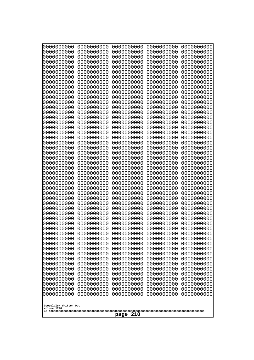| 10000000000<br>0000000000             | 0000000000<br>0000000000 | 0000000000<br>0000000000 | 0000000000<br>0000000000 | 0000000000<br>0000000000 |
|---------------------------------------|--------------------------|--------------------------|--------------------------|--------------------------|
| 0000000000                            | 0000000000               | 0000000000               | 0000000000               | 0000000000               |
| 0000000000                            | 0000000000               | 0000000000               | 0000000000               | 0000000000               |
| 0000000000<br>0000000000              | 0000000000<br>0000000000 | 0000000000<br>0000000000 | 0000000000<br>0000000000 | 0000000000<br>0000000000 |
| 0000000000                            | 0000000000               | 0000000000               | 0000000000               | 0000000000               |
| 0000000000                            | 0000000000               | 0000000000               | 0000000000               | 0000000000               |
| 0000000000<br>0000000000              | 0000000000<br>0000000000 | 0000000000<br>0000000000 | 0000000000<br>0000000000 | 0000000000<br>0000000000 |
| 0000000000                            | 0000000000               | 0000000000               | 0000000000               | 0000000000               |
| 0000000000                            | 0000000000               | 0000000000               | 0000000000               | 0000000000               |
| 0000000000                            | 0000000000               | 0000000000               | 0000000000               | 0000000000               |
| 0000000000<br>0000000000              | 0000000000<br>0000000000 | 0000000000<br>0000000000 | 0000000000<br>0000000000 | 0000000000<br>0000000000 |
| 0000000000                            | 0000000000               | 0000000000               | 0000000000               | 0000000000               |
| 0000000000                            | 0000000000               | 0000000000               | 0000000000               | 0000000000               |
| 0000000000<br>0000000000              | 0000000000<br>0000000000 | 0000000000<br>0000000000 | 0000000000<br>0000000000 | 0000000000<br>0000000000 |
| 0000000000                            | 0000000000               | 0000000000               | 0000000000               | 0000000000               |
| 0000000000                            | 0000000000               | 0000000000               | 0000000000               | 0000000000               |
| 0000000000<br>0000000000              | 0000000000<br>0000000000 | 0000000000<br>0000000000 | 0000000000<br>0000000000 | 0000000000<br>0000000000 |
| 0000000000                            | 0000000000               | 0000000000               | 0000000000               | 0000000000               |
| 0000000000                            | 0000000000               | 0000000000               | 0000000000               | 0000000000               |
| 0000000000<br>0000000000              | 0000000000<br>0000000000 | 0000000000<br>0000000000 | 0000000000<br>0000000000 | 0000000000<br>0000000000 |
| 0000000000                            | 0000000000               | 0000000000               | 0000000000               | 0000000000               |
| 0000000000                            | 0000000000               | 0000000000               | 0000000000               | 0000000000               |
| 0000000000                            | 0000000000<br>0000000000 | 0000000000<br>0000000000 | 0000000000<br>0000000000 | 0000000000               |
| 0000000000<br>0000000000              | 0000000000               | 0000000000               | 0000000000               | 0000000000<br>0000000000 |
| 0000000000                            | 0000000000               | 0000000000               | 0000000000               | 0000000000               |
| 0000000000                            | 0000000000               | 0000000000               | 0000000000               | 0000000000               |
| 0000000000<br>0000000000              | 0000000000<br>0000000000 | 0000000000<br>0000000000 | 0000000000<br>0000000000 | 0000000000<br>0000000000 |
| 0000000000                            | 0000000000               | 0000000000               | 0000000000               | 0000000000               |
| 0000000000                            | 0000000000               | 0000000000               | 0000000000               | 0000000000               |
| 0000000000<br>0000000000              | 0000000000<br>0000000000 | 0000000000<br>0000000000 | 0000000000<br>0000000000 | 0000000000<br>0000000000 |
| 0000000000                            | 0000000000               | 0000000000               | 0000000000               | 0000000000               |
| 0000000000                            | 0000000000               | 0000000000               | 0000000000               | 0000000000               |
| 0000000000<br>0000000000              | 0000000000<br>0000000000 | 0000000000<br>0000000000 | 0000000000<br>0000000000 | 0000000000<br>0000000000 |
| 0000000000                            | 0000000000               | 0000000000               | 0000000000               | 0000000000               |
| 0000000000                            | 0000000000               | 0000000000               | 0000000000               | 0000000000               |
| 0000000000<br>0000000000              | 0000000000<br>0000000000 | 0000000000<br>0000000000 | 0000000000<br>0000000000 | 0000000000<br>0000000000 |
| 0000000000                            | 0000000000               | 0000000000               | 0000000000               | 0000000000               |
| 0000000000                            | 0000000000               | 0000000000               | 0000000000               | 0000000000               |
|                                       |                          |                          |                          |                          |
| Googolplex Written Out<br>volume 1720 |                          |                          |                          |                          |
| 210<br>page                           |                          |                          |                          |                          |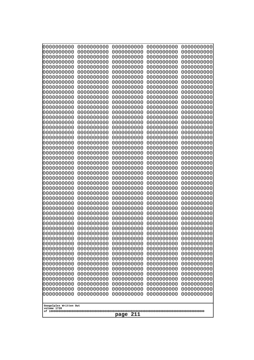| 0000000000                            | 0000000000               | 0000000000               | 0000000000               | 0000000000               |
|---------------------------------------|--------------------------|--------------------------|--------------------------|--------------------------|
| 0000000000<br>0000000000              | 0000000000<br>0000000000 | 0000000000<br>0000000000 | 0000000000<br>0000000000 | 0000000000<br>0000000000 |
| 0000000000                            | 0000000000               | 0000000000               | 0000000000               | 0000000000               |
| 0000000000                            | 0000000000               | 0000000000               | 0000000000               | 0000000000               |
| 0000000000                            | 0000000000               | 0000000000               | 0000000000               | 0000000000               |
| 0000000000                            | 0000000000               | 0000000000               | 0000000000               | 0000000000               |
| 0000000000<br>0000000000              | 0000000000<br>0000000000 | 0000000000<br>0000000000 | 0000000000<br>0000000000 | 0000000000<br>0000000000 |
| 0000000000                            | 0000000000               | 0000000000               | 0000000000               | 0000000000               |
| 0000000000                            | 0000000000               | 0000000000               | 0000000000               | 0000000000               |
| 0000000000                            | 0000000000               | 0000000000               | 0000000000               | 0000000000               |
| 0000000000<br>0000000000              | 0000000000<br>0000000000 | 0000000000<br>0000000000 | 0000000000<br>0000000000 | 0000000000<br>0000000000 |
| 0000000000                            | 0000000000               | 0000000000               | 0000000000               | 0000000000               |
| 0000000000                            | 0000000000               | 0000000000               | 0000000000               | 0000000000               |
| 0000000000                            | 0000000000<br>0000000000 | 0000000000               | 0000000000               | 0000000000               |
| 0000000000<br>0000000000              | 0000000000               | 0000000000<br>0000000000 | 0000000000<br>0000000000 | 0000000000<br>0000000000 |
| 0000000000                            | 0000000000               | 0000000000               | 0000000000               | 0000000000               |
| 0000000000                            | 0000000000               | 0000000000               | 0000000000               | 0000000000               |
| 0000000000<br>0000000000              | 0000000000<br>0000000000 | 0000000000<br>0000000000 | 0000000000<br>0000000000 | 0000000000<br>0000000000 |
| 0000000000                            | 0000000000               | 0000000000               | 0000000000               | 0000000000               |
| 0000000000                            | 0000000000               | 0000000000               | 0000000000               | 0000000000               |
| 0000000000                            | 0000000000               | 0000000000               | 0000000000               | 0000000000               |
| 0000000000<br>0000000000              | 0000000000<br>0000000000 | 0000000000<br>0000000000 | 0000000000<br>0000000000 | 0000000000<br>0000000000 |
| 0000000000                            | 0000000000               | 0000000000               | 0000000000               | 0000000000               |
| 0000000000                            | 0000000000               | 0000000000               | 0000000000               | 0000000000               |
| 0000000000                            | 0000000000               | 0000000000               | 0000000000               | 0000000000               |
| 0000000000<br>0000000000              | 0000000000<br>0000000000 | 0000000000<br>0000000000 | 0000000000<br>0000000000 | 0000000000<br>0000000000 |
| 0000000000                            | 0000000000               | 0000000000               | 0000000000               | 0000000000               |
| 0000000000                            | 0000000000               | 0000000000               | 0000000000               | 0000000000               |
| 0000000000<br>0000000000              | 0000000000<br>0000000000 | 0000000000<br>0000000000 | 0000000000<br>0000000000 | 0000000000<br>0000000000 |
| 0000000000                            | 0000000000               | 0000000000               | 0000000000               | 0000000000               |
| 0000000000                            | 0000000000               | 0000000000               | 0000000000               | 0000000000               |
| 0000000000                            | 0000000000               | 0000000000               | 0000000000               | 0000000000               |
| 0000000000<br>0000000000              | 0000000000<br>0000000000 | 0000000000<br>0000000000 | 0000000000<br>0000000000 | 0000000000<br>0000000000 |
| 0000000000                            | 0000000000               | 0000000000               | 0000000000               | 0000000000               |
| 0000000000                            | 0000000000               | 0000000000               | 0000000000               | 0000000000               |
| 0000000000                            | 0000000000               | 0000000000               | 0000000000               | 0000000000               |
| 0000000000<br>0000000000              | 0000000000<br>0000000000 | 0000000000<br>0000000000 | 0000000000<br>0000000000 | 0000000000<br>0000000000 |
| 0000000000                            | 0000000000               | 0000000000               | 0000000000               | 0000000000               |
| 0000000000                            | 0000000000               | 0000000000               | 0000000000               | 0000000000               |
| 0000000000                            | 0000000000               | 0000000000               | 0000000000               | 0000000000               |
|                                       |                          |                          |                          |                          |
| Googolplex Written Out<br>volume 1720 |                          |                          |                          |                          |
| 211<br>page                           |                          |                          |                          |                          |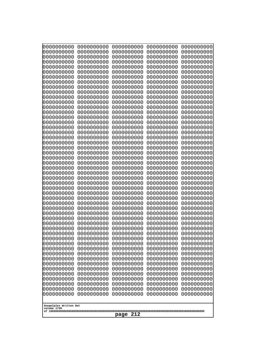| 0000000000               | 0000000000               | 0000000000               | 0000000000               | 0000000000               |
|--------------------------|--------------------------|--------------------------|--------------------------|--------------------------|
| 0000000000<br>0000000000 | 0000000000<br>0000000000 | 0000000000<br>0000000000 | 0000000000<br>0000000000 | 0000000000<br>0000000000 |
| 0000000000               | 0000000000               | 0000000000               | 0000000000               | 0000000000               |
| 0000000000               | 0000000000               | 0000000000               | 0000000000               | 0000000000               |
| 0000000000               | 0000000000               | 0000000000               | 0000000000               | 0000000000               |
| 0000000000<br>0000000000 | 0000000000<br>0000000000 | 0000000000<br>0000000000 | 0000000000<br>0000000000 | 0000000000<br>0000000000 |
| 0000000000               | 0000000000               | 0000000000               | 0000000000               | 0000000000               |
| 0000000000               | 0000000000               | 0000000000               | 0000000000               | 0000000000               |
| 0000000000<br>0000000000 | 0000000000<br>0000000000 | 0000000000<br>0000000000 | 0000000000<br>0000000000 | 0000000000<br>0000000000 |
| 0000000000               | 0000000000               | 0000000000               | 0000000000               | 0000000000               |
| 0000000000               | 0000000000               | 0000000000               | 0000000000               | 0000000000               |
| 0000000000               | 0000000000               | 0000000000               | 0000000000               | 0000000000               |
| 0000000000<br>0000000000 | 0000000000<br>0000000000 | 0000000000<br>0000000000 | 0000000000<br>0000000000 | 0000000000<br>0000000000 |
| 0000000000               | 0000000000               | 0000000000               | 0000000000               | 0000000000               |
| 0000000000               | 0000000000               | 0000000000               | 0000000000               | 0000000000               |
| 0000000000<br>0000000000 | 0000000000<br>0000000000 | 0000000000<br>0000000000 | 0000000000<br>0000000000 | 0000000000<br>0000000000 |
| 0000000000               | 0000000000               | 0000000000               | 0000000000               | 0000000000               |
| 0000000000               | 0000000000               | 0000000000               | 0000000000               | 0000000000               |
| 0000000000               | 0000000000               | 0000000000               | 0000000000               | 0000000000               |
| 0000000000<br>0000000000 | 0000000000<br>0000000000 | 0000000000<br>0000000000 | 0000000000<br>0000000000 | 0000000000<br>0000000000 |
| 0000000000               | 0000000000               | 0000000000               | 0000000000               | 0000000000               |
| 0000000000               | 0000000000               | 0000000000               | 0000000000               | 0000000000               |
| 0000000000<br>0000000000 | 0000000000<br>0000000000 | 0000000000<br>0000000000 | 0000000000<br>0000000000 | 0000000000<br>0000000000 |
| 0000000000               | 0000000000               | 0000000000               | 0000000000               | 0000000000               |
| 0000000000               | 0000000000               | 0000000000               | 0000000000               | 0000000000               |
| 0000000000<br>0000000000 | 0000000000<br>0000000000 | 0000000000<br>0000000000 | 0000000000<br>0000000000 | 0000000000<br>0000000000 |
| 0000000000               | 0000000000               | 0000000000               | 0000000000               | 0000000000               |
| 0000000000               | 0000000000               | 0000000000               | 0000000000               | 0000000000               |
| 0000000000               | 0000000000               | 0000000000               | 0000000000               | 0000000000               |
| 0000000000<br>0000000000 | 0000000000<br>0000000000 | 0000000000<br>0000000000 | 0000000000<br>0000000000 | 0000000000<br>0000000000 |
| 0000000000               | 0000000000               | 0000000000               | 0000000000               | 0000000000               |
| 0000000000               | 0000000000               | 0000000000               | 0000000000               | 0000000000               |
| 0000000000<br>0000000000 | 0000000000<br>0000000000 | 0000000000<br>0000000000 | 0000000000<br>0000000000 | 0000000000<br>0000000000 |
| 0000000000               | 0000000000               | 0000000000               | 0000000000               | 0000000000               |
| 0000000000               | 0000000000               | 0000000000               | 0000000000               | 0000000000               |
| 0000000000<br>0000000000 | 0000000000<br>0000000000 | 0000000000<br>0000000000 | 0000000000<br>0000000000 | 0000000000<br>0000000000 |
| 0000000000               | 0000000000               | 0000000000               | 0000000000               | 0000000000               |
| 0000000000               | 0000000000               | 0000000000               | 0000000000               | 0000000000               |
| 0000000000               | 0000000000               | 0000000000               | 0000000000               | 0000000000               |
| Googolplex Written Out   |                          |                          |                          |                          |
| volume 1720              |                          |                          |                          |                          |
| 212<br>page              |                          |                          |                          |                          |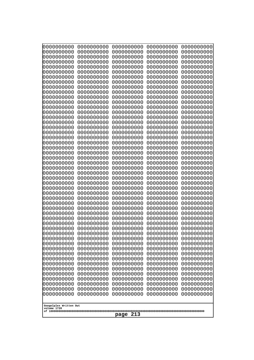| 10000000000<br>0000000000             | 0000000000<br>0000000000 | 0000000000<br>0000000000 | 0000000000<br>0000000000 | 0000000000<br>0000000000 |
|---------------------------------------|--------------------------|--------------------------|--------------------------|--------------------------|
| 0000000000                            | 0000000000               | 0000000000               | 0000000000               | 0000000000               |
| 0000000000                            | 0000000000               | 0000000000               | 0000000000               | 0000000000               |
| 0000000000<br>0000000000              | 0000000000<br>0000000000 | 0000000000<br>0000000000 | 0000000000<br>0000000000 | 0000000000<br>0000000000 |
| 0000000000                            | 0000000000               | 0000000000               | 0000000000               | 0000000000               |
| 0000000000                            | 0000000000               | 0000000000               | 0000000000               | 0000000000               |
| 0000000000<br>0000000000              | 0000000000<br>0000000000 | 0000000000<br>0000000000 | 0000000000<br>0000000000 | 0000000000<br>0000000000 |
| 0000000000                            | 0000000000               | 0000000000               | 0000000000               | 0000000000               |
| 0000000000                            | 0000000000               | 0000000000               | 0000000000               | 0000000000               |
| 0000000000                            | 0000000000               | 0000000000               | 0000000000               | 0000000000               |
| 0000000000<br>0000000000              | 0000000000<br>0000000000 | 0000000000<br>0000000000 | 0000000000<br>0000000000 | 0000000000<br>0000000000 |
| 0000000000                            | 0000000000               | 0000000000               | 0000000000               | 0000000000               |
| 0000000000                            | 0000000000               | 0000000000               | 0000000000               | 0000000000               |
| 0000000000<br>0000000000              | 0000000000<br>0000000000 | 0000000000<br>0000000000 | 0000000000<br>0000000000 | 0000000000<br>0000000000 |
| 0000000000                            | 0000000000               | 0000000000               | 0000000000               | 0000000000               |
| 0000000000                            | 0000000000               | 0000000000               | 0000000000               | 0000000000               |
| 0000000000<br>0000000000              | 0000000000<br>0000000000 | 0000000000<br>0000000000 | 0000000000<br>0000000000 | 0000000000<br>0000000000 |
| 0000000000                            | 0000000000               | 0000000000               | 0000000000               | 0000000000               |
| 0000000000                            | 0000000000               | 0000000000               | 0000000000               | 0000000000               |
| 0000000000<br>0000000000              | 0000000000<br>0000000000 | 0000000000<br>0000000000 | 0000000000<br>0000000000 | 0000000000<br>0000000000 |
| 0000000000                            | 0000000000               | 0000000000               | 0000000000               | 0000000000               |
| 0000000000                            | 0000000000               | 0000000000               | 0000000000               | 0000000000               |
| 0000000000                            | 0000000000               | 0000000000               | 0000000000               | 0000000000               |
| 0000000000<br>0000000000              | 0000000000<br>0000000000 | 0000000000<br>0000000000 | 0000000000<br>0000000000 | 0000000000<br>0000000000 |
| 0000000000                            | 0000000000               | 0000000000               | 0000000000               | 0000000000               |
| 0000000000                            | 0000000000               | 0000000000               | 0000000000               | 0000000000               |
| 0000000000<br>0000000000              | 0000000000<br>0000000000 | 0000000000<br>0000000000 | 0000000000<br>0000000000 | 0000000000<br>0000000000 |
| 0000000000                            | 0000000000               | 0000000000               | 0000000000               | 0000000000               |
| 0000000000                            | 0000000000               | 0000000000               | 0000000000               | 0000000000               |
| 0000000000<br>0000000000              | 0000000000<br>0000000000 | 0000000000<br>0000000000 | 0000000000<br>0000000000 | 0000000000<br>0000000000 |
| 0000000000                            | 0000000000               | 0000000000               | 0000000000               | 0000000000               |
| 0000000000                            | 0000000000               | 0000000000               | 0000000000               | 0000000000               |
| 0000000000<br>0000000000              | 0000000000<br>0000000000 | 0000000000<br>0000000000 | 0000000000<br>0000000000 | 0000000000<br>0000000000 |
| 0000000000                            | 0000000000               | 0000000000               | 0000000000               | 0000000000               |
| 0000000000                            | 0000000000               | 0000000000               | 0000000000               | 0000000000               |
| 0000000000<br>0000000000              | 0000000000               | 0000000000               | 0000000000               | 0000000000               |
| 0000000000                            | 0000000000<br>0000000000 | 0000000000<br>0000000000 | 0000000000<br>0000000000 | 0000000000<br>0000000000 |
| 0000000000                            | 0000000000               | 0000000000               | 0000000000               | 0000000000               |
|                                       |                          |                          |                          |                          |
| Googolplex Written Out<br>volume 1720 |                          |                          |                          |                          |
| 213<br>page                           |                          |                          |                          |                          |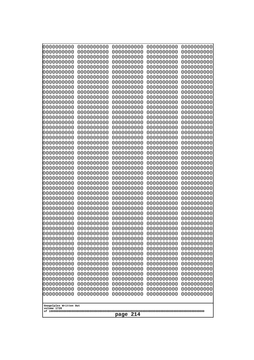| 10000000000                           | 0000000000               | 0000000000<br>0000000000 | 0000000000<br>0000000000 | 0000000000<br>0000000000 |
|---------------------------------------|--------------------------|--------------------------|--------------------------|--------------------------|
| 0000000000<br>0000000000              | 0000000000<br>0000000000 | 0000000000               | 0000000000               | 0000000000               |
| 0000000000                            | 0000000000               | 0000000000               | 0000000000               | 0000000000               |
| 0000000000                            | 0000000000               | 0000000000               | 0000000000               | 0000000000               |
| 0000000000                            | 0000000000               | 0000000000<br>0000000000 | 0000000000<br>0000000000 | 0000000000               |
| 0000000000<br>0000000000              | 0000000000<br>0000000000 | 0000000000               | 0000000000               | 0000000000<br>0000000000 |
| 0000000000                            | 0000000000               | 0000000000               | 0000000000               | 0000000000               |
| 0000000000                            | 0000000000               | 0000000000               | 0000000000               | 0000000000               |
| 0000000000<br>0000000000              | 0000000000<br>0000000000 | 0000000000<br>0000000000 | 0000000000<br>0000000000 | 0000000000<br>0000000000 |
| 0000000000                            | 0000000000               | 0000000000               | 0000000000               | 0000000000               |
| 0000000000                            | 0000000000               | 0000000000               | 0000000000               | 0000000000               |
| 0000000000                            | 0000000000               | 0000000000               | 0000000000               | 0000000000               |
| 0000000000<br>0000000000              | 0000000000<br>0000000000 | 0000000000<br>0000000000 | 0000000000<br>0000000000 | 0000000000<br>0000000000 |
| 0000000000                            | 0000000000               | 0000000000               | 0000000000               | 0000000000               |
| 0000000000                            | 0000000000               | 0000000000               | 0000000000               | 0000000000               |
| 0000000000                            | 0000000000               | 0000000000               | 0000000000               | 0000000000               |
| 0000000000<br>0000000000              | 0000000000<br>0000000000 | 0000000000<br>0000000000 | 0000000000<br>0000000000 | 0000000000<br>0000000000 |
| 0000000000                            | 0000000000               | 0000000000               | 0000000000               | 0000000000               |
| 0000000000                            | 0000000000               | 0000000000               | 0000000000               | 0000000000               |
| 0000000000<br>0000000000              | 0000000000<br>0000000000 | 0000000000<br>0000000000 | 0000000000<br>0000000000 | 0000000000<br>0000000000 |
| 0000000000                            | 0000000000               | 0000000000               | 0000000000               | 0000000000               |
| 0000000000                            | 0000000000               | 0000000000               | 0000000000               | 0000000000               |
| 0000000000                            | 0000000000               | 0000000000               | 0000000000               | 0000000000               |
| 0000000000<br>0000000000              | 0000000000<br>0000000000 | 0000000000<br>0000000000 | 0000000000<br>0000000000 | 0000000000<br>0000000000 |
| 0000000000                            | 0000000000               | 0000000000               | 0000000000               | 0000000000               |
| 0000000000                            | 0000000000               | 0000000000               | 0000000000               | 0000000000               |
| 0000000000<br>0000000000              | 0000000000<br>0000000000 | 0000000000<br>0000000000 | 0000000000<br>0000000000 | 0000000000               |
| 0000000000                            | 0000000000               | 0000000000               | 0000000000               | 0000000000<br>0000000000 |
| 0000000000                            | 0000000000               | 0000000000               | 0000000000               | 0000000000               |
| 0000000000                            | 0000000000               | 0000000000               | 0000000000               | 0000000000               |
| 0000000000<br>0000000000              | 0000000000<br>0000000000 | 0000000000<br>0000000000 | 0000000000<br>0000000000 | 0000000000<br>0000000000 |
| 0000000000                            | 0000000000               | 0000000000               | 0000000000               | 0000000000               |
| 0000000000                            | 0000000000               | 0000000000               | 0000000000               | 0000000000               |
| 0000000000                            | 0000000000               | 0000000000               | 0000000000               | 0000000000               |
| 0000000000<br>0000000000              | 0000000000<br>0000000000 | 0000000000<br>0000000000 | 0000000000<br>0000000000 | 0000000000<br>0000000000 |
| 0000000000                            | 0000000000               | 0000000000               | 0000000000               | 0000000000               |
| 0000000000                            | 0000000000               | 0000000000               | 0000000000               | 0000000000               |
| 0000000000<br>0000000000              | 0000000000<br>0000000000 | 0000000000<br>0000000000 | 0000000000<br>0000000000 | 0000000000<br>0000000000 |
| 0000000000                            | 0000000000               | 0000000000               | 0000000000               | 0000000000               |
|                                       |                          |                          |                          |                          |
| Googolplex Written Out<br>volume 1720 |                          |                          |                          |                          |
|                                       |                          | 214<br>page              |                          |                          |
|                                       |                          |                          |                          |                          |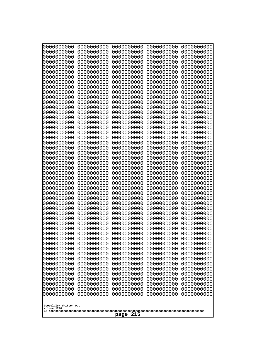| 10000000000<br>0000000000             | 0000000000<br>0000000000 | 0000000000<br>0000000000 | 0000000000<br>0000000000 | 0000000000<br>0000000000 |
|---------------------------------------|--------------------------|--------------------------|--------------------------|--------------------------|
| 0000000000                            | 0000000000               | 0000000000               | 0000000000               | 0000000000               |
| 0000000000                            | 0000000000               | 0000000000               | 0000000000               | 0000000000               |
| 0000000000<br>0000000000              | 0000000000<br>0000000000 | 0000000000<br>0000000000 | 0000000000<br>0000000000 | 0000000000<br>0000000000 |
| 0000000000                            | 0000000000               | 0000000000               | 0000000000               | 0000000000               |
| 0000000000                            | 0000000000               | 0000000000               | 0000000000               | 0000000000               |
| 0000000000                            | 0000000000               | 0000000000               | 0000000000               | 0000000000               |
| 0000000000<br>0000000000              | 0000000000<br>0000000000 | 0000000000<br>0000000000 | 0000000000<br>0000000000 | 0000000000<br>0000000000 |
| 0000000000                            | 0000000000               | 0000000000               | 0000000000               | 0000000000               |
| 0000000000                            | 0000000000               | 0000000000               | 0000000000               | 0000000000               |
| 0000000000<br>0000000000              | 0000000000<br>0000000000 | 0000000000<br>0000000000 | 0000000000<br>0000000000 | 0000000000<br>0000000000 |
| 0000000000                            | 0000000000               | 0000000000               | 0000000000               | 0000000000               |
| 0000000000                            | 0000000000               | 0000000000               | 0000000000               | 0000000000               |
| 0000000000<br>0000000000              | 0000000000<br>0000000000 | 0000000000<br>0000000000 | 0000000000<br>0000000000 | 0000000000<br>0000000000 |
| 0000000000                            | 0000000000               | 0000000000               | 0000000000               | 0000000000               |
| 0000000000                            | 0000000000               | 0000000000               | 0000000000               | 0000000000               |
| 0000000000                            | 0000000000               | 0000000000               | 0000000000               | 0000000000               |
| 0000000000<br>0000000000              | 0000000000<br>0000000000 | 0000000000<br>0000000000 | 0000000000<br>0000000000 | 0000000000<br>0000000000 |
| 0000000000                            | 0000000000               | 0000000000               | 0000000000               | 0000000000               |
| 0000000000                            | 0000000000               | 0000000000               | 0000000000               | 0000000000               |
| 0000000000<br>0000000000              | 0000000000<br>0000000000 | 0000000000<br>0000000000 | 0000000000<br>0000000000 | 0000000000<br>0000000000 |
| 0000000000                            | 0000000000               | 0000000000               | 0000000000               | 0000000000               |
| 0000000000                            | 0000000000               | 0000000000               | 0000000000               | 0000000000               |
| 0000000000<br>0000000000              | 0000000000<br>0000000000 | 0000000000<br>0000000000 | 0000000000<br>0000000000 | 0000000000<br>0000000000 |
| 0000000000                            | 0000000000               | 0000000000               | 0000000000               | 0000000000               |
| 0000000000                            | 0000000000               | 0000000000               | 0000000000               | 0000000000               |
| 0000000000<br>0000000000              | 0000000000<br>0000000000 | 0000000000<br>0000000000 | 0000000000<br>0000000000 | 0000000000<br>0000000000 |
| 0000000000                            | 0000000000               | 0000000000               | 0000000000               | 0000000000               |
| 0000000000                            | 0000000000               | 0000000000               | 0000000000               | 0000000000               |
| 0000000000                            | 0000000000               | 0000000000               | 0000000000               | 0000000000               |
| 0000000000<br>0000000000              | 0000000000<br>0000000000 | 0000000000<br>0000000000 | 0000000000<br>0000000000 | 0000000000<br>0000000000 |
| 0000000000                            | 0000000000               | 0000000000               | 0000000000               | 0000000000               |
| 0000000000                            | 0000000000               | 0000000000               | 0000000000               | 0000000000               |
| 0000000000<br>0000000000              | 0000000000<br>0000000000 | 0000000000<br>0000000000 | 0000000000<br>0000000000 | 0000000000<br>0000000000 |
| 0000000000                            | 0000000000               | 0000000000               | 0000000000               | 0000000000               |
| 0000000000                            | 0000000000               | 0000000000               | 0000000000               | 0000000000               |
| 0000000000<br>0000000000              | 0000000000<br>0000000000 | 0000000000<br>0000000000 | 0000000000<br>0000000000 | 0000000000<br>0000000000 |
| 0000000000                            | 0000000000               | 0000000000               | 0000000000               | 0000000000               |
|                                       |                          |                          |                          |                          |
| Googolplex Written Out<br>volume 1720 |                          |                          |                          |                          |
| 215<br>page                           |                          |                          |                          |                          |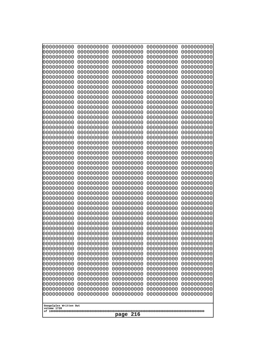| 10000000000              | 0000000000               | 0000000000<br>0000000000 | 0000000000<br>0000000000 | 0000000000<br>0000000000 |
|--------------------------|--------------------------|--------------------------|--------------------------|--------------------------|
| 0000000000<br>0000000000 | 0000000000<br>0000000000 | 0000000000               | 0000000000               | 0000000000               |
| 0000000000               | 0000000000               | 0000000000               | 0000000000               | 0000000000               |
| 0000000000               | 0000000000               | 0000000000               | 0000000000               | 0000000000               |
| 0000000000               | 0000000000               | 0000000000<br>0000000000 | 0000000000<br>0000000000 | 0000000000               |
| 0000000000<br>0000000000 | 0000000000<br>0000000000 | 0000000000               | 0000000000               | 0000000000<br>0000000000 |
| 0000000000               | 0000000000               | 0000000000               | 0000000000               | 0000000000               |
| 0000000000               | 0000000000               | 0000000000               | 0000000000               | 0000000000               |
| 0000000000<br>0000000000 | 0000000000<br>0000000000 | 0000000000<br>0000000000 | 0000000000<br>0000000000 | 0000000000               |
| 0000000000               | 0000000000               | 0000000000               | 0000000000               | 0000000000<br>0000000000 |
| 0000000000               | 0000000000               | 0000000000               | 0000000000               | 0000000000               |
| 0000000000               | 0000000000               | 0000000000               | 0000000000               | 0000000000               |
| 0000000000<br>0000000000 | 0000000000<br>0000000000 | 0000000000<br>0000000000 | 0000000000<br>0000000000 | 0000000000<br>0000000000 |
| 0000000000               | 0000000000               | 0000000000               | 0000000000               | 0000000000               |
| 0000000000               | 0000000000               | 0000000000               | 0000000000               | 0000000000               |
| 0000000000               | 0000000000               | 0000000000               | 0000000000               | 0000000000               |
| 0000000000<br>0000000000 | 0000000000<br>0000000000 | 0000000000<br>0000000000 | 0000000000<br>0000000000 | 0000000000<br>0000000000 |
| 0000000000               | 0000000000               | 0000000000               | 0000000000               | 0000000000               |
| 0000000000               | 0000000000               | 0000000000               | 0000000000               | 0000000000               |
| 0000000000               | 0000000000               | 0000000000               | 0000000000               | 0000000000               |
| 0000000000<br>0000000000 | 0000000000<br>0000000000 | 0000000000<br>0000000000 | 0000000000<br>0000000000 | 0000000000<br>0000000000 |
| 0000000000               | 0000000000               | 0000000000               | 0000000000               | 0000000000               |
| 0000000000               | 0000000000               | 0000000000               | 0000000000               | 0000000000               |
| 0000000000               | 0000000000               | 0000000000               | 0000000000               | 0000000000               |
| 0000000000<br>0000000000 | 0000000000<br>0000000000 | 0000000000<br>0000000000 | 0000000000<br>0000000000 | 0000000000<br>0000000000 |
| 0000000000               | 0000000000               | 0000000000               | 0000000000               | 0000000000               |
| 0000000000               | 0000000000               | 0000000000               | 0000000000               | 0000000000               |
| 0000000000<br>0000000000 | 0000000000<br>0000000000 | 0000000000               | 0000000000               | 0000000000               |
| 0000000000               | 0000000000               | 0000000000<br>0000000000 | 0000000000<br>0000000000 | 0000000000<br>0000000000 |
| 0000000000               | 0000000000               | 0000000000               | 0000000000               | 0000000000               |
| 0000000000               | 0000000000               | 0000000000               | 0000000000               | 0000000000               |
| 0000000000<br>0000000000 | 0000000000               | 0000000000               | 0000000000               | 0000000000               |
| 0000000000               | 0000000000<br>0000000000 | 0000000000<br>0000000000 | 0000000000<br>0000000000 | 0000000000<br>0000000000 |
| 0000000000               | 0000000000               | 0000000000               | 0000000000               | 0000000000               |
| 0000000000               | 0000000000               | 0000000000               | 0000000000               | 0000000000               |
| 0000000000<br>0000000000 | 0000000000<br>0000000000 | 0000000000<br>0000000000 | 0000000000<br>0000000000 | 0000000000<br>0000000000 |
| 0000000000               | 0000000000               | 0000000000               | 0000000000               | 0000000000               |
| 0000000000               | 0000000000               | 0000000000               | 0000000000               | 0000000000               |
| 0000000000               | 0000000000               | 0000000000               | 0000000000               | 0000000000               |
| 0000000000               | 0000000000               | 0000000000               | 0000000000               | 0000000000               |
| Googolplex Written Out   |                          |                          |                          |                          |
| volume 1720              |                          |                          |                          |                          |
| 216<br>page              |                          |                          |                          |                          |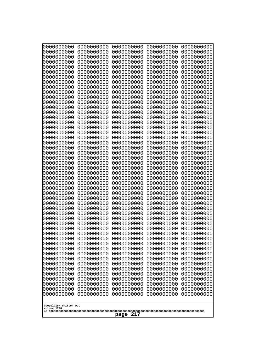| 10000000000<br>0000000000             | 0000000000<br>0000000000 | 0000000000<br>0000000000 | 0000000000<br>0000000000 | 0000000000<br>0000000000 |
|---------------------------------------|--------------------------|--------------------------|--------------------------|--------------------------|
| 0000000000                            | 0000000000               | 0000000000               | 0000000000               | 0000000000               |
| 0000000000                            | 0000000000               | 0000000000               | 0000000000               | 0000000000               |
| 0000000000                            | 0000000000               | 0000000000               | 0000000000               | 0000000000               |
| 0000000000<br>0000000000              | 0000000000<br>0000000000 | 0000000000<br>0000000000 | 0000000000<br>0000000000 | 0000000000<br>0000000000 |
| 0000000000                            | 0000000000               | 0000000000               | 0000000000               | 0000000000               |
| 0000000000                            | 0000000000               | 0000000000               | 0000000000               | 0000000000               |
| 0000000000                            | 0000000000               | 0000000000               | 0000000000               | 0000000000               |
| 0000000000<br>0000000000              | 0000000000<br>0000000000 | 0000000000<br>0000000000 | 0000000000<br>0000000000 | 0000000000<br>0000000000 |
| 0000000000                            | 0000000000               | 0000000000               | 0000000000               | 0000000000               |
| 0000000000                            | 0000000000               | 0000000000               | 0000000000               | 0000000000               |
| 0000000000<br>0000000000              | 0000000000<br>0000000000 | 0000000000<br>0000000000 | 0000000000<br>0000000000 | 0000000000<br>0000000000 |
| 0000000000                            | 0000000000               | 0000000000               | 0000000000               | 0000000000               |
| 0000000000                            | 0000000000               | 0000000000               | 0000000000               | 0000000000               |
| 0000000000                            | 0000000000               | 0000000000               | 0000000000               | 0000000000               |
| 0000000000<br>0000000000              | 0000000000<br>0000000000 | 0000000000<br>0000000000 | 0000000000<br>0000000000 | 0000000000<br>0000000000 |
| 0000000000                            | 0000000000               | 0000000000               | 0000000000               | 0000000000               |
| 0000000000                            | 0000000000               | 0000000000               | 0000000000               | 0000000000               |
| 0000000000<br>0000000000              | 0000000000<br>0000000000 | 0000000000<br>0000000000 | 0000000000<br>0000000000 | 0000000000<br>0000000000 |
| 0000000000                            | 0000000000               | 0000000000               | 0000000000               | 0000000000               |
| 0000000000                            | 0000000000               | 0000000000               | 0000000000               | 0000000000               |
| 0000000000                            | 0000000000               | 0000000000               | 0000000000               | 0000000000               |
| 0000000000<br>0000000000              | 0000000000<br>0000000000 | 0000000000<br>0000000000 | 0000000000<br>0000000000 | 0000000000<br>0000000000 |
| 0000000000                            | 0000000000               | 0000000000               | 0000000000               | 0000000000               |
| 0000000000                            | 0000000000               | 0000000000               | 0000000000               | 0000000000               |
| 0000000000<br>0000000000              | 0000000000<br>0000000000 | 0000000000<br>0000000000 | 0000000000<br>0000000000 | 0000000000<br>0000000000 |
| 0000000000                            | 0000000000               | 0000000000               | 0000000000               | 0000000000               |
| 0000000000                            | 0000000000               | 0000000000               | 0000000000               | 0000000000               |
| 0000000000                            | 0000000000               | 0000000000               | 0000000000               | 0000000000               |
| 0000000000<br>0000000000              | 0000000000<br>0000000000 | 0000000000<br>0000000000 | 0000000000<br>0000000000 | 0000000000<br>0000000000 |
| 0000000000                            | 0000000000               | 0000000000               | 0000000000               | 0000000000               |
| 0000000000                            | 0000000000               | 0000000000               | 0000000000               | 0000000000               |
| 0000000000<br>0000000000              | 0000000000<br>0000000000 | 0000000000<br>0000000000 | 0000000000<br>0000000000 | 0000000000<br>0000000000 |
| 0000000000                            | 0000000000               | 0000000000               | 0000000000               | 0000000000               |
| 0000000000                            | 0000000000               | 0000000000               | 0000000000               | 0000000000               |
| 0000000000<br>0000000000              | 0000000000<br>0000000000 | 0000000000<br>0000000000 | 0000000000<br>0000000000 | 0000000000<br>0000000000 |
| 0000000000                            | 0000000000               | 0000000000               | 0000000000               | 0000000000               |
| 0000000000                            | 0000000000               | 0000000000               | 0000000000               | 0000000000               |
| 0000000000                            | 0000000000               | 0000000000               | 0000000000               | 0000000000               |
|                                       |                          |                          |                          |                          |
| Googolplex Written Out<br>volume 1720 |                          |                          |                          |                          |
| 217<br>page                           |                          |                          |                          |                          |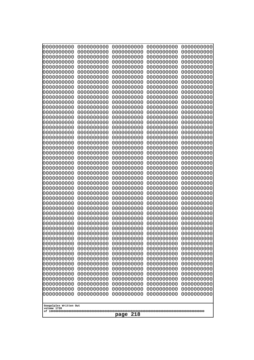| 10000000000<br>0000000000 | 0000000000<br>0000000000 | 0000000000<br>0000000000 | 0000000000<br>0000000000 | 0000000000<br>0000000000 |
|---------------------------|--------------------------|--------------------------|--------------------------|--------------------------|
| 0000000000                | 0000000000               | 0000000000               | 0000000000               | 0000000000               |
| 0000000000                | 0000000000               | 0000000000               | 0000000000               | 0000000000               |
| 0000000000                | 0000000000               | 0000000000               | 0000000000               | 0000000000               |
| 0000000000<br>0000000000  | 0000000000<br>0000000000 | 0000000000<br>0000000000 | 0000000000<br>0000000000 | 0000000000<br>0000000000 |
| 0000000000                | 0000000000               | 0000000000               | 0000000000               | 0000000000               |
| 0000000000                | 0000000000               | 0000000000               | 0000000000               | 0000000000               |
| 0000000000                | 0000000000               | 0000000000               | 0000000000               | 0000000000               |
| 0000000000<br>0000000000  | 0000000000<br>0000000000 | 0000000000<br>0000000000 | 0000000000<br>0000000000 | 0000000000<br>0000000000 |
| 0000000000                | 0000000000               | 0000000000               | 0000000000               | 0000000000               |
| 0000000000                | 0000000000               | 0000000000               | 0000000000               | 0000000000               |
| 0000000000                | 0000000000               | 0000000000               | 0000000000               | 0000000000               |
| 0000000000<br>0000000000  | 0000000000<br>0000000000 | 0000000000<br>0000000000 | 0000000000<br>0000000000 | 0000000000<br>0000000000 |
| 0000000000                | 0000000000               | 0000000000               | 0000000000               | 0000000000               |
| 0000000000                | 0000000000               | 0000000000               | 0000000000               | 0000000000               |
| 0000000000                | 0000000000               | 0000000000               | 0000000000               | 0000000000               |
| 0000000000<br>0000000000  | 0000000000<br>0000000000 | 0000000000<br>0000000000 | 0000000000<br>0000000000 | 0000000000<br>0000000000 |
| 0000000000                | 0000000000               | 0000000000               | 0000000000               | 0000000000               |
| 0000000000                | 0000000000               | 0000000000               | 0000000000               | 0000000000               |
| 0000000000                | 0000000000               | 0000000000               | 0000000000               | 0000000000               |
| 0000000000<br>0000000000  | 0000000000<br>0000000000 | 0000000000<br>0000000000 | 0000000000<br>0000000000 | 0000000000<br>0000000000 |
| 0000000000                | 0000000000               | 0000000000               | 0000000000               | 0000000000               |
| 0000000000                | 0000000000               | 0000000000               | 0000000000               | 0000000000               |
| 0000000000                | 0000000000               | 0000000000               | 0000000000               | 0000000000               |
| 0000000000<br>0000000000  | 0000000000<br>0000000000 | 0000000000<br>0000000000 | 0000000000<br>0000000000 | 0000000000<br>0000000000 |
| 0000000000                | 0000000000               | 0000000000               | 0000000000               | 0000000000               |
| 0000000000                | 0000000000               | 0000000000               | 0000000000               | 0000000000               |
| 0000000000<br>0000000000  | 0000000000<br>0000000000 | 0000000000               | 0000000000               | 0000000000               |
| 0000000000                | 0000000000               | 0000000000<br>0000000000 | 0000000000<br>0000000000 | 0000000000<br>0000000000 |
| 0000000000                | 0000000000               | 0000000000               | 0000000000               | 0000000000               |
| 0000000000                | 0000000000               | 0000000000               | 0000000000               | 0000000000               |
| 0000000000                | 0000000000               | 0000000000               | 0000000000               | 0000000000               |
| 0000000000<br>0000000000  | 0000000000<br>0000000000 | 0000000000<br>0000000000 | 0000000000<br>0000000000 | 0000000000<br>0000000000 |
| 0000000000                | 0000000000               | 0000000000               | 0000000000               | 0000000000               |
| 0000000000                | 0000000000               | 0000000000               | 0000000000               | 0000000000               |
| 0000000000<br>0000000000  | 0000000000<br>0000000000 | 0000000000<br>0000000000 | 0000000000<br>0000000000 | 0000000000<br>0000000000 |
| 0000000000                | 0000000000               | 0000000000               | 0000000000               | 0000000000               |
| 0000000000                | 0000000000               | 0000000000               | 0000000000               | 0000000000               |
| 0000000000                | 0000000000               | 0000000000               | 0000000000               | 0000000000               |
| 0000000000                | 0000000000               | 0000000000               | 0000000000               | 0000000000               |
| Googolplex Written Out    |                          |                          |                          |                          |
| volume 1720               |                          |                          |                          |                          |
| 218<br>page               |                          |                          |                          |                          |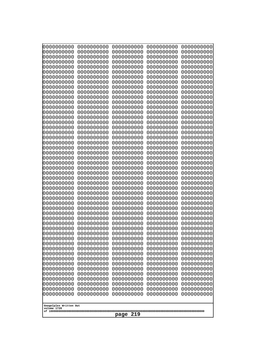| 10000000000<br>0000000000 | 0000000000<br>0000000000 | 0000000000<br>0000000000 | 0000000000<br>0000000000 | 0000000000<br>0000000000 |
|---------------------------|--------------------------|--------------------------|--------------------------|--------------------------|
| 0000000000                | 0000000000               | 0000000000               | 0000000000               | 0000000000               |
| 0000000000                | 0000000000               | 0000000000               | 0000000000               | 0000000000               |
| 0000000000<br>0000000000  | 0000000000<br>0000000000 | 0000000000               | 0000000000<br>0000000000 | 0000000000               |
| 0000000000                | 0000000000               | 0000000000<br>0000000000 | 0000000000               | 0000000000<br>0000000000 |
| 0000000000                | 0000000000               | 0000000000               | 0000000000               | 0000000000               |
| 0000000000                | 0000000000               | 0000000000               | 0000000000               | 0000000000               |
| 0000000000<br>0000000000  | 0000000000<br>0000000000 | 0000000000<br>0000000000 | 0000000000<br>0000000000 | 0000000000<br>0000000000 |
| 0000000000                | 0000000000               | 0000000000               | 0000000000               | 0000000000               |
| 0000000000                | 0000000000               | 0000000000               | 0000000000               | 0000000000               |
| 0000000000                | 0000000000               | 0000000000               | 0000000000               | 0000000000               |
| 0000000000<br>0000000000  | 0000000000<br>0000000000 | 0000000000<br>0000000000 | 0000000000<br>0000000000 | 0000000000<br>0000000000 |
| 0000000000                | 0000000000               | 0000000000               | 0000000000               | 0000000000               |
| 0000000000                | 0000000000               | 0000000000               | 0000000000               | 0000000000               |
| 0000000000<br>0000000000  | 0000000000<br>0000000000 | 0000000000<br>0000000000 | 0000000000<br>0000000000 | 0000000000<br>0000000000 |
| 0000000000                | 0000000000               | 0000000000               | 0000000000               | 0000000000               |
| 0000000000                | 0000000000               | 0000000000               | 0000000000               | 0000000000               |
| 0000000000                | 0000000000               | 0000000000               | 0000000000               | 0000000000               |
| 0000000000<br>0000000000  | 0000000000<br>0000000000 | 0000000000<br>0000000000 | 0000000000<br>0000000000 | 0000000000<br>0000000000 |
| 0000000000                | 0000000000               | 0000000000               | 0000000000               | 0000000000               |
| 0000000000                | 0000000000               | 0000000000               | 0000000000               | 0000000000               |
| 0000000000<br>0000000000  | 0000000000<br>0000000000 | 0000000000<br>0000000000 | 0000000000<br>0000000000 | 0000000000<br>0000000000 |
| 0000000000                | 0000000000               | 0000000000               | 0000000000               | 0000000000               |
| 0000000000                | 0000000000               | 0000000000               | 0000000000               | 0000000000               |
| 0000000000                | 0000000000               | 0000000000               | 0000000000               | 0000000000               |
| 0000000000<br>0000000000  | 0000000000<br>0000000000 | 0000000000<br>0000000000 | 0000000000<br>0000000000 | 0000000000<br>0000000000 |
| 0000000000                | 0000000000               | 0000000000               | 0000000000               | 0000000000               |
| 0000000000                | 0000000000               | 0000000000               | 0000000000               | 0000000000               |
| 0000000000<br>0000000000  | 0000000000<br>0000000000 | 0000000000<br>0000000000 | 0000000000<br>0000000000 | 0000000000<br>0000000000 |
| 0000000000                | 0000000000               | 0000000000               | 0000000000               | 0000000000               |
| 0000000000                | 0000000000               | 0000000000               | 0000000000               | 0000000000               |
| 0000000000<br>0000000000  | 0000000000               | 0000000000               | 0000000000               | 0000000000               |
| 0000000000                | 0000000000<br>0000000000 | 0000000000<br>0000000000 | 0000000000<br>0000000000 | 0000000000<br>0000000000 |
| 0000000000                | 0000000000               | 0000000000               | 0000000000               | 0000000000               |
| 0000000000                | 0000000000               | 0000000000               | 0000000000               | 0000000000               |
| 0000000000<br>0000000000  | 0000000000<br>0000000000 | 0000000000<br>0000000000 | 0000000000<br>0000000000 | 0000000000<br>0000000000 |
| 0000000000                | 0000000000               | 0000000000               | 0000000000               | 0000000000               |
| 0000000000                | 0000000000               | 0000000000               | 0000000000               | 0000000000               |
| 0000000000                | 0000000000               | 0000000000               | 0000000000               | 0000000000               |
| Googolplex Written Out    |                          |                          |                          |                          |
| volume 1720               |                          |                          |                          |                          |
| 219<br>page               |                          |                          |                          |                          |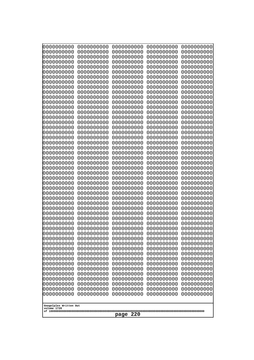| 10000000000<br>0000000000             | 0000000000<br>0000000000 | 0000000000<br>0000000000 | 0000000000<br>0000000000 | 0000000000<br>0000000000 |
|---------------------------------------|--------------------------|--------------------------|--------------------------|--------------------------|
| 0000000000                            | 0000000000               | 0000000000               | 0000000000               | 0000000000               |
| 0000000000                            | 0000000000               | 0000000000               | 0000000000               | 0000000000               |
| 0000000000<br>0000000000              | 0000000000<br>0000000000 | 0000000000<br>0000000000 | 0000000000<br>0000000000 | 0000000000<br>0000000000 |
| 0000000000                            | 0000000000               | 0000000000               | 0000000000               | 0000000000               |
| 0000000000                            | 0000000000               | 0000000000               | 0000000000               | 0000000000               |
| 0000000000<br>0000000000              | 0000000000<br>0000000000 | 0000000000<br>0000000000 | 0000000000<br>0000000000 | 0000000000<br>0000000000 |
| 0000000000                            | 0000000000               | 0000000000               | 0000000000               | 0000000000               |
| 0000000000                            | 0000000000               | 0000000000               | 0000000000               | 0000000000               |
| 0000000000<br>0000000000              | 0000000000<br>0000000000 | 0000000000<br>0000000000 | 0000000000<br>0000000000 | 0000000000<br>0000000000 |
| 0000000000                            | 0000000000               | 0000000000               | 0000000000               | 0000000000               |
| 0000000000                            | 0000000000               | 0000000000               | 0000000000               | 0000000000               |
| 0000000000<br>0000000000              | 0000000000<br>0000000000 | 0000000000<br>0000000000 | 0000000000<br>0000000000 | 0000000000<br>0000000000 |
| 0000000000                            | 0000000000               | 0000000000               | 0000000000               | 0000000000               |
| 0000000000                            | 0000000000               | 0000000000               | 0000000000               | 0000000000               |
| 0000000000<br>0000000000              | 0000000000<br>0000000000 | 0000000000<br>0000000000 | 0000000000<br>0000000000 | 0000000000<br>0000000000 |
| 0000000000                            | 0000000000               | 0000000000               | 0000000000               | 0000000000               |
| 0000000000                            | 0000000000               | 0000000000               | 0000000000               | 0000000000               |
| 0000000000                            | 0000000000               | 0000000000               | 0000000000               | 0000000000               |
| 0000000000<br>0000000000              | 0000000000<br>0000000000 | 0000000000<br>0000000000 | 0000000000<br>0000000000 | 0000000000<br>0000000000 |
| 0000000000                            | 0000000000               | 0000000000               | 0000000000               | 0000000000               |
| 0000000000<br>0000000000              | 0000000000<br>0000000000 | 0000000000<br>0000000000 | 0000000000<br>0000000000 | 0000000000<br>0000000000 |
| 0000000000                            | 0000000000               | 0000000000               | 0000000000               | 0000000000               |
| 0000000000                            | 0000000000               | 0000000000               | 0000000000               | 0000000000               |
| 0000000000<br>0000000000              | 0000000000<br>0000000000 | 0000000000<br>0000000000 | 0000000000<br>0000000000 | 0000000000<br>0000000000 |
| 0000000000                            | 0000000000               | 0000000000               | 0000000000               | 0000000000               |
| 0000000000                            | 0000000000               | 0000000000               | 0000000000               | 0000000000               |
| 0000000000<br>0000000000              | 0000000000<br>0000000000 | 0000000000<br>0000000000 | 0000000000<br>0000000000 | 0000000000<br>0000000000 |
| 0000000000                            | 0000000000               | 0000000000               | 0000000000               | 0000000000               |
| 0000000000                            | 0000000000               | 0000000000               | 0000000000               | 0000000000               |
| 0000000000<br>0000000000              | 0000000000<br>0000000000 | 0000000000<br>0000000000 | 0000000000<br>0000000000 | 0000000000<br>0000000000 |
| 0000000000                            | 0000000000               | 0000000000               | 0000000000               | 0000000000               |
| 0000000000                            | 0000000000               | 0000000000               | 0000000000               | 0000000000               |
| 0000000000<br>0000000000              | 0000000000<br>0000000000 | 0000000000<br>0000000000 | 0000000000<br>0000000000 | 0000000000<br>0000000000 |
| 0000000000                            | 0000000000               | 0000000000               | 0000000000               | 0000000000               |
| 0000000000                            | 0000000000               | 0000000000               | 0000000000               | 0000000000               |
| 0000000000<br>0000000000              | 0000000000<br>0000000000 | 0000000000<br>0000000000 | 0000000000<br>0000000000 | 0000000000<br>0000000000 |
|                                       |                          |                          |                          |                          |
| Googolplex Written Out<br>volume 1720 |                          |                          |                          |                          |
|                                       |                          | 220<br>page              |                          |                          |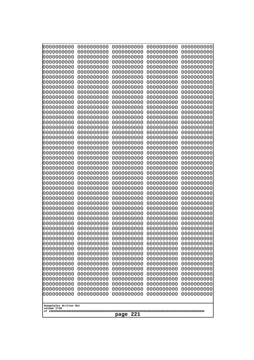| 10000000000<br>0000000000             | 0000000000<br>0000000000 | 0000000000<br>0000000000 | 0000000000<br>0000000000 | 0000000000<br>0000000000 |
|---------------------------------------|--------------------------|--------------------------|--------------------------|--------------------------|
| 0000000000                            | 0000000000               | 0000000000               | 0000000000               | 0000000000               |
| 0000000000                            | 0000000000               | 0000000000               | 0000000000               | 0000000000               |
| 0000000000                            | 0000000000               | 0000000000               | 0000000000               | 0000000000               |
| 0000000000<br>0000000000              | 0000000000<br>0000000000 | 0000000000<br>0000000000 | 0000000000<br>0000000000 | 0000000000<br>0000000000 |
| 0000000000                            | 0000000000               | 0000000000               | 0000000000               | 0000000000               |
| 0000000000                            | 0000000000               | 0000000000               | 0000000000               | 0000000000               |
| 0000000000                            | 0000000000               | 0000000000               | 0000000000               | 0000000000               |
| 0000000000<br>0000000000              | 0000000000<br>0000000000 | 0000000000<br>0000000000 | 0000000000<br>0000000000 | 0000000000<br>0000000000 |
| 0000000000                            | 0000000000               | 0000000000               | 0000000000               | 0000000000               |
| 0000000000                            | 0000000000               | 0000000000               | 0000000000               | 0000000000               |
| 0000000000                            | 0000000000               | 0000000000               | 0000000000               | 0000000000               |
| 0000000000<br>0000000000              | 0000000000<br>0000000000 | 0000000000<br>0000000000 | 0000000000<br>0000000000 | 0000000000<br>0000000000 |
| 0000000000                            | 0000000000               | 0000000000               | 0000000000               | 0000000000               |
| 0000000000                            | 0000000000               | 0000000000               | 0000000000               | 0000000000               |
| 0000000000                            | 0000000000               | 0000000000               | 0000000000               | 0000000000               |
| 0000000000<br>0000000000              | 0000000000<br>0000000000 | 0000000000<br>0000000000 | 0000000000<br>0000000000 | 0000000000<br>0000000000 |
| 0000000000                            | 0000000000               | 0000000000               | 0000000000               | 0000000000               |
| 0000000000                            | 0000000000               | 0000000000               | 0000000000               | 0000000000               |
| 0000000000                            | 0000000000               | 0000000000               | 0000000000               | 0000000000               |
| 0000000000<br>0000000000              | 0000000000<br>0000000000 | 0000000000<br>0000000000 | 0000000000<br>0000000000 | 0000000000<br>0000000000 |
| 0000000000                            | 0000000000               | 0000000000               | 0000000000               | 0000000000               |
| 0000000000                            | 0000000000               | 0000000000               | 0000000000               | 0000000000               |
| 0000000000<br>0000000000              | 0000000000<br>0000000000 | 0000000000<br>0000000000 | 0000000000<br>0000000000 | 0000000000<br>0000000000 |
| 0000000000                            | 0000000000               | 0000000000               | 0000000000               | 0000000000               |
| 0000000000                            | 0000000000               | 0000000000               | 0000000000               | 0000000000               |
| 0000000000                            | 0000000000               | 0000000000               | 0000000000               | 0000000000               |
| 0000000000<br>0000000000              | 0000000000<br>0000000000 | 0000000000<br>0000000000 | 0000000000<br>0000000000 | 0000000000<br>0000000000 |
| 0000000000                            | 0000000000               | 0000000000               | 0000000000               | 0000000000               |
| 0000000000                            | 0000000000               | 0000000000               | 0000000000               | 0000000000               |
| 0000000000<br>0000000000              | 0000000000<br>0000000000 | 0000000000<br>0000000000 | 0000000000<br>0000000000 | 0000000000<br>0000000000 |
| 0000000000                            | 0000000000               | 0000000000               | 0000000000               | 0000000000               |
| 0000000000                            | 0000000000               | 0000000000               | 0000000000               | 0000000000               |
| 0000000000                            | 0000000000               | 0000000000               | 0000000000               | 0000000000               |
| 0000000000<br>0000000000              | 0000000000<br>0000000000 | 0000000000<br>0000000000 | 0000000000<br>0000000000 | 0000000000<br>0000000000 |
| 0000000000                            | 0000000000               | 0000000000               | 0000000000               | 0000000000               |
| 0000000000                            | 0000000000               | 0000000000               | 0000000000               | 0000000000               |
| 0000000000                            | 0000000000               | 0000000000               | 0000000000               | 0000000000               |
| 0000000000<br>0000000000              | 0000000000<br>0000000000 | 0000000000<br>0000000000 | 0000000000<br>0000000000 | 0000000000<br>0000000000 |
|                                       |                          |                          |                          |                          |
| Googolplex Written Out<br>volume 1720 |                          |                          |                          |                          |
|                                       |                          | 221<br>page              |                          |                          |
|                                       |                          |                          |                          |                          |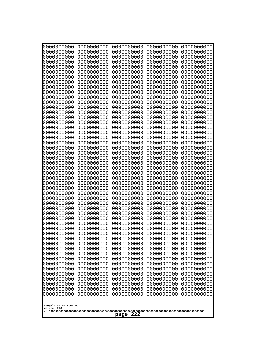| 10000000000<br>0000000000 | 0000000000<br>0000000000 | 0000000000<br>0000000000 | 0000000000<br>0000000000 | 0000000000<br>0000000000 |
|---------------------------|--------------------------|--------------------------|--------------------------|--------------------------|
| 0000000000                | 0000000000               | 0000000000               | 0000000000               | 0000000000               |
| 0000000000                | 0000000000               | 0000000000               | 0000000000               | 0000000000               |
| 0000000000                | 0000000000               | 0000000000               | 0000000000               | 0000000000               |
| 0000000000<br>0000000000  | 0000000000<br>0000000000 | 0000000000<br>0000000000 | 0000000000<br>0000000000 | 0000000000<br>0000000000 |
| 0000000000                | 0000000000               | 0000000000               | 0000000000               | 0000000000               |
| 0000000000                | 0000000000               | 0000000000               | 0000000000               | 0000000000               |
| 0000000000                | 0000000000               | 0000000000               | 0000000000               | 0000000000               |
| 0000000000<br>0000000000  | 0000000000<br>0000000000 | 0000000000<br>0000000000 | 0000000000<br>0000000000 | 0000000000<br>0000000000 |
| 0000000000                | 0000000000               | 0000000000               | 0000000000               | 0000000000               |
| 0000000000                | 0000000000               | 0000000000               | 0000000000               | 0000000000               |
| 0000000000                | 0000000000               | 0000000000               | 0000000000               | 0000000000               |
| 0000000000<br>0000000000  | 0000000000<br>0000000000 | 0000000000<br>0000000000 | 0000000000<br>0000000000 | 0000000000<br>0000000000 |
| 0000000000                | 0000000000               | 0000000000               | 0000000000               | 0000000000               |
| 0000000000                | 0000000000               | 0000000000               | 0000000000               | 0000000000               |
| 0000000000                | 0000000000               | 0000000000               | 0000000000               | 0000000000               |
| 0000000000<br>0000000000  | 0000000000<br>0000000000 | 0000000000<br>0000000000 | 0000000000<br>0000000000 | 0000000000<br>0000000000 |
| 0000000000                | 0000000000               | 0000000000               | 0000000000               | 0000000000               |
| 0000000000                | 0000000000               | 0000000000               | 0000000000               | 0000000000               |
| 0000000000                | 0000000000               | 0000000000               | 0000000000               | 0000000000               |
| 0000000000<br>0000000000  | 0000000000<br>0000000000 | 0000000000<br>0000000000 | 0000000000<br>0000000000 | 0000000000<br>0000000000 |
| 0000000000                | 0000000000               | 0000000000               | 0000000000               | 0000000000               |
| 0000000000                | 0000000000               | 0000000000               | 0000000000               | 0000000000               |
| 0000000000                | 0000000000               | 0000000000               | 0000000000               | 0000000000               |
| 0000000000<br>0000000000  | 0000000000<br>0000000000 | 0000000000<br>0000000000 | 0000000000<br>0000000000 | 0000000000<br>0000000000 |
| 0000000000                | 0000000000               | 0000000000               | 0000000000               | 0000000000               |
| 0000000000                | 0000000000               | 0000000000               | 0000000000               | 0000000000               |
| 0000000000                | 0000000000               | 0000000000               | 0000000000               | 0000000000               |
| 0000000000<br>0000000000  | 0000000000<br>0000000000 | 0000000000<br>0000000000 | 0000000000<br>0000000000 | 0000000000<br>0000000000 |
| 0000000000                | 0000000000               | 0000000000               | 0000000000               | 0000000000               |
| 0000000000                | 0000000000               | 0000000000               | 0000000000               | 0000000000               |
| 0000000000                | 0000000000               | 0000000000               | 0000000000               | 0000000000               |
| 0000000000<br>0000000000  | 0000000000<br>0000000000 | 0000000000<br>0000000000 | 0000000000<br>0000000000 | 0000000000<br>0000000000 |
| 0000000000                | 0000000000               | 0000000000               | 0000000000               | 0000000000               |
| 0000000000                | 0000000000               | 0000000000               | 0000000000               | 0000000000               |
| 0000000000                | 0000000000               | 0000000000               | 0000000000               | 0000000000               |
| 0000000000<br>0000000000  | 0000000000<br>0000000000 | 0000000000<br>0000000000 | 0000000000<br>0000000000 | 0000000000<br>0000000000 |
| 0000000000                | 0000000000               | 0000000000               | 0000000000               | 0000000000               |
| 0000000000                | 0000000000               | 0000000000               | 0000000000               | 0000000000               |
| 0000000000                | 0000000000               | 0000000000               | 0000000000               | 0000000000               |
| Googolplex Written Out    |                          |                          |                          |                          |
| volume 1720               |                          |                          |                          |                          |
| 222<br>page               |                          |                          |                          |                          |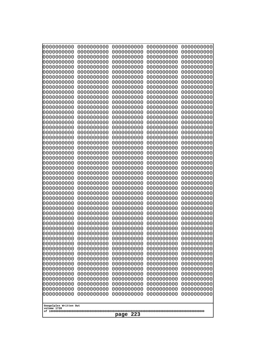| 000000000                | 0000000000               | 0000000000               | 0000000000               | 0000000000               |
|--------------------------|--------------------------|--------------------------|--------------------------|--------------------------|
| 0000000000               | 0000000000               | 0000000000               | 0000000000               | 0000000000               |
| 0000000000               | 0000000000               | 0000000000               | 0000000000               | 0000000000               |
| 0000000000               | 0000000000               | 0000000000               | 0000000000               | 0000000000               |
| 0000000000               | 0000000000               | 0000000000               | 0000000000               | 0000000000               |
| 0000000000               | 0000000000               | 0000000000               | 0000000000               | 0000000000               |
| 0000000000               | 0000000000               | 0000000000               | 0000000000               | 0000000000               |
| 0000000000               | 0000000000               | 0000000000<br>0000000000 | 0000000000               | 0000000000               |
| 0000000000<br>0000000000 | 0000000000<br>0000000000 | 0000000000               | 0000000000<br>0000000000 | 0000000000<br>0000000000 |
| 0000000000               | 0000000000               | 0000000000               | 0000000000               | 0000000000               |
| 0000000000               | 0000000000               | 0000000000               | 0000000000               | 0000000000               |
| 0000000000               | 0000000000               | 0000000000               | 0000000000               | 0000000000               |
| 0000000000               | 0000000000               | 0000000000               | 0000000000               | 0000000000               |
| 0000000000               | 0000000000               | 0000000000               | 0000000000               | 0000000000               |
| 0000000000               | 0000000000               | 0000000000               | 0000000000               | 0000000000               |
| 0000000000               | 0000000000               | 0000000000               | 0000000000               | 0000000000               |
| 0000000000               | 0000000000               | 0000000000               | 0000000000               | 0000000000               |
| 0000000000<br>0000000000 | 0000000000<br>0000000000 | 0000000000<br>0000000000 | 0000000000<br>0000000000 | 0000000000<br>0000000000 |
| 0000000000               | 0000000000               | 0000000000               | 0000000000               | 0000000000               |
| 0000000000               | 0000000000               | 0000000000               | 0000000000               | 0000000000               |
| 0000000000               | 0000000000               | 0000000000               | 0000000000               | 0000000000               |
| 0000000000               | 0000000000               | 0000000000               | 0000000000               | 0000000000               |
| 0000000000               | 0000000000               | 0000000000               | 0000000000               | 0000000000               |
| 0000000000               | 0000000000               | 0000000000               | 0000000000               | 0000000000               |
| 0000000000               | 0000000000               | 0000000000               | 0000000000               | 0000000000               |
| 0000000000               | 0000000000               | 0000000000               | 0000000000               | 0000000000               |
| 0000000000<br>0000000000 | 0000000000<br>0000000000 | 0000000000<br>0000000000 | 0000000000<br>0000000000 | 0000000000<br>0000000000 |
| 0000000000               | 0000000000               | 0000000000               | 0000000000               | 0000000000               |
| 0000000000               | 0000000000               | 0000000000               | 0000000000               | 0000000000               |
| 0000000000               | 0000000000               | 0000000000               | 0000000000               | 0000000000               |
| 0000000000               | 0000000000               | 0000000000               | 0000000000               | 0000000000               |
| 0000000000               | 0000000000               | 0000000000               | 0000000000               | 0000000000               |
| 0000000000               | 0000000000               | 0000000000               | 0000000000               | 0000000000               |
| 0000000000               | 0000000000               | 0000000000               | 0000000000               | 0000000000               |
| 0000000000<br>0000000000 | 0000000000<br>0000000000 | 0000000000<br>0000000000 | 0000000000<br>0000000000 | 0000000000<br>0000000000 |
| 0000000000               | 0000000000               | 0000000000               | 0000000000               | 0000000000               |
| 0000000000               | 0000000000               | 0000000000               | 0000000000               | 0000000000               |
| 0000000000               | 0000000000               | 0000000000               | 0000000000               | 0000000000               |
| 0000000000               | 0000000000               | 0000000000               | 0000000000               | 0000000000               |
| 0000000000               | 0000000000               | 0000000000               | 0000000000               | 0000000000               |
| 0000000000               | 0000000000               | 0000000000               | 0000000000               | 0000000000               |
| 0000000000               | 0000000000               | 0000000000               | 0000000000               | 0000000000               |
| 0000000000               | 0000000000               | 0000000000               | 0000000000               | 0000000000               |
| 0000000000<br>0000000000 | 0000000000<br>0000000000 | 0000000000<br>0000000000 | 0000000000<br>0000000000 | 0000000000<br>0000000000 |
| 0000000000               | 0000000000               | 0000000000               | 0000000000               | 0000000000               |
|                          |                          |                          |                          |                          |
| Googolplex Written Out   |                          |                          |                          |                          |
| volume 1720              |                          |                          |                          |                          |
| 223<br>page              |                          |                          |                          |                          |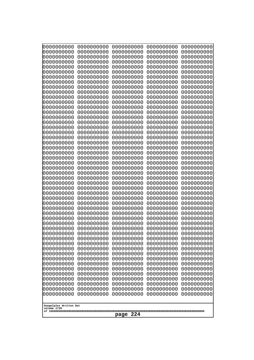| 10000000000<br>0000000000             | 0000000000<br>0000000000 | 0000000000<br>0000000000 | 0000000000<br>0000000000 | 0000000000<br>0000000000 |
|---------------------------------------|--------------------------|--------------------------|--------------------------|--------------------------|
| 0000000000                            | 0000000000               | 0000000000               | 0000000000               | 0000000000               |
| 0000000000                            | 0000000000               | 0000000000               | 0000000000               | 0000000000               |
| 0000000000<br>0000000000              | 0000000000<br>0000000000 | 0000000000<br>0000000000 | 0000000000<br>0000000000 | 0000000000<br>0000000000 |
| 0000000000                            | 0000000000               | 0000000000               | 0000000000               | 0000000000               |
| 0000000000                            | 0000000000               | 0000000000               | 0000000000               | 0000000000               |
| 0000000000<br>0000000000              | 0000000000<br>0000000000 | 0000000000<br>0000000000 | 0000000000<br>0000000000 | 0000000000<br>0000000000 |
| 0000000000                            | 0000000000               | 0000000000               | 0000000000               | 0000000000               |
| 0000000000                            | 0000000000               | 0000000000               | 0000000000               | 0000000000               |
| 0000000000<br>0000000000              | 0000000000<br>0000000000 | 0000000000<br>0000000000 | 0000000000<br>0000000000 | 0000000000<br>0000000000 |
| 0000000000                            | 0000000000               | 0000000000               | 0000000000               | 0000000000               |
| 0000000000                            | 0000000000               | 0000000000               | 0000000000               | 0000000000               |
| 0000000000<br>0000000000              | 0000000000<br>0000000000 | 0000000000<br>0000000000 | 0000000000<br>0000000000 | 0000000000<br>0000000000 |
| 0000000000                            | 0000000000               | 0000000000               | 0000000000               | 0000000000               |
| 0000000000                            | 0000000000               | 0000000000               | 0000000000               | 0000000000               |
| 0000000000<br>0000000000              | 0000000000<br>0000000000 | 0000000000<br>0000000000 | 0000000000<br>0000000000 | 0000000000<br>0000000000 |
| 0000000000                            | 0000000000               | 0000000000               | 0000000000               | 0000000000               |
| 0000000000                            | 0000000000               | 0000000000               | 0000000000               | 0000000000               |
| 0000000000                            | 0000000000               | 0000000000               | 0000000000               | 0000000000               |
| 0000000000<br>0000000000              | 0000000000<br>0000000000 | 0000000000<br>0000000000 | 0000000000<br>0000000000 | 0000000000<br>0000000000 |
| 0000000000                            | 0000000000               | 0000000000               | 0000000000               | 0000000000               |
| 0000000000<br>0000000000              | 0000000000<br>0000000000 | 0000000000<br>0000000000 | 0000000000<br>0000000000 | 0000000000<br>0000000000 |
| 0000000000                            | 0000000000               | 0000000000               | 0000000000               | 0000000000               |
| 0000000000                            | 0000000000               | 0000000000               | 0000000000               | 0000000000               |
| 0000000000<br>0000000000              | 0000000000<br>0000000000 | 0000000000<br>0000000000 | 0000000000<br>0000000000 | 0000000000<br>0000000000 |
| 0000000000                            | 0000000000               | 0000000000               | 0000000000               | 0000000000               |
| 0000000000                            | 0000000000               | 0000000000               | 0000000000               | 0000000000               |
| 0000000000<br>0000000000              | 0000000000<br>0000000000 | 0000000000<br>0000000000 | 0000000000<br>0000000000 | 0000000000<br>0000000000 |
| 0000000000                            | 0000000000               | 0000000000               | 0000000000               | 0000000000               |
| 0000000000                            | 0000000000               | 0000000000               | 0000000000               | 0000000000               |
| 0000000000<br>0000000000              | 0000000000<br>0000000000 | 0000000000<br>0000000000 | 0000000000<br>0000000000 | 0000000000<br>0000000000 |
| 0000000000                            | 0000000000               | 0000000000               | 0000000000               | 0000000000               |
| 0000000000                            | 0000000000               | 0000000000               | 0000000000               | 0000000000               |
| 0000000000<br>0000000000              | 0000000000<br>0000000000 | 0000000000<br>0000000000 | 0000000000<br>0000000000 | 0000000000<br>0000000000 |
| 0000000000                            | 0000000000               | 0000000000               | 0000000000               | 0000000000               |
| 0000000000                            | 0000000000               | 0000000000               | 0000000000               | 0000000000               |
| 0000000000<br>0000000000              | 0000000000<br>0000000000 | 0000000000<br>0000000000 | 0000000000<br>0000000000 | 0000000000<br>0000000000 |
|                                       |                          |                          |                          |                          |
| Googolplex Written Out<br>volume 1720 |                          |                          |                          |                          |
|                                       |                          | 224<br>page              |                          |                          |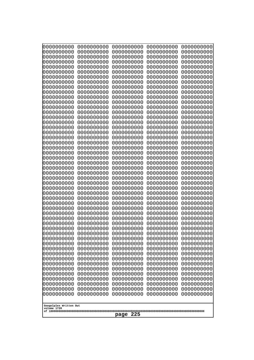| 10000000000<br>0000000000             | 0000000000<br>0000000000 | 0000000000<br>0000000000 | 0000000000<br>0000000000 | 0000000000<br>0000000000 |
|---------------------------------------|--------------------------|--------------------------|--------------------------|--------------------------|
| 0000000000                            | 0000000000               | 0000000000               | 0000000000               | 0000000000               |
| 0000000000                            | 0000000000               | 0000000000               | 0000000000               | 0000000000               |
| 0000000000                            | 0000000000               | 0000000000               | 0000000000               | 0000000000               |
| 0000000000<br>0000000000              | 0000000000<br>0000000000 | 0000000000<br>0000000000 | 0000000000<br>0000000000 | 0000000000<br>0000000000 |
| 0000000000                            | 0000000000               | 0000000000               | 0000000000               | 0000000000               |
| 0000000000                            | 0000000000               | 0000000000               | 0000000000               | 0000000000               |
| 0000000000                            | 0000000000               | 0000000000               | 0000000000               | 0000000000               |
| 0000000000<br>0000000000              | 0000000000<br>0000000000 | 0000000000<br>0000000000 | 0000000000<br>0000000000 | 0000000000               |
| 0000000000                            | 0000000000               | 0000000000               | 0000000000               | 0000000000<br>0000000000 |
| 0000000000                            | 0000000000               | 0000000000               | 0000000000               | 0000000000               |
| 0000000000                            | 0000000000               | 0000000000               | 0000000000               | 0000000000               |
| 0000000000                            | 0000000000               | 0000000000               | 0000000000               | 0000000000               |
| 0000000000<br>0000000000              | 0000000000<br>0000000000 | 0000000000<br>0000000000 | 0000000000<br>0000000000 | 0000000000<br>0000000000 |
| 0000000000                            | 0000000000               | 0000000000               | 0000000000               | 0000000000               |
| 0000000000                            | 0000000000               | 0000000000               | 0000000000               | 0000000000               |
| 0000000000                            | 0000000000<br>0000000000 | 0000000000               | 0000000000               | 0000000000               |
| 0000000000<br>0000000000              | 0000000000               | 0000000000<br>0000000000 | 0000000000<br>0000000000 | 0000000000<br>0000000000 |
| 0000000000                            | 0000000000               | 0000000000               | 0000000000               | 0000000000               |
| 0000000000                            | 0000000000               | 0000000000               | 0000000000               | 0000000000               |
| 0000000000                            | 0000000000<br>0000000000 | 0000000000<br>0000000000 | 0000000000<br>0000000000 | 0000000000               |
| 0000000000<br>0000000000              | 0000000000               | 0000000000               | 0000000000               | 0000000000<br>0000000000 |
| 0000000000                            | 0000000000               | 0000000000               | 0000000000               | 0000000000               |
| 0000000000                            | 0000000000               | 0000000000               | 0000000000               | 0000000000               |
| 0000000000<br>0000000000              | 0000000000<br>0000000000 | 0000000000<br>0000000000 | 0000000000<br>0000000000 | 0000000000<br>0000000000 |
| 0000000000                            | 0000000000               | 0000000000               | 0000000000               | 0000000000               |
| 0000000000                            | 0000000000               | 0000000000               | 0000000000               | 0000000000               |
| 0000000000                            | 0000000000               | 0000000000               | 0000000000               | 0000000000               |
| 0000000000<br>0000000000              | 0000000000<br>0000000000 | 0000000000<br>0000000000 | 0000000000<br>0000000000 | 0000000000<br>0000000000 |
| 0000000000                            | 0000000000               | 0000000000               | 0000000000               | 0000000000               |
| 0000000000                            | 0000000000               | 0000000000               | 0000000000               | 0000000000               |
| 0000000000                            | 0000000000               | 0000000000               | 0000000000               | 0000000000               |
| 0000000000<br>0000000000              | 0000000000<br>0000000000 | 0000000000<br>0000000000 | 0000000000<br>0000000000 | 0000000000<br>0000000000 |
| 0000000000                            | 0000000000               | 0000000000               | 0000000000               | 0000000000               |
| 0000000000                            | 0000000000               | 0000000000               | 0000000000               | 0000000000               |
| 0000000000                            | 0000000000               | 0000000000               | 0000000000               | 0000000000               |
| 0000000000<br>0000000000              | 0000000000<br>0000000000 | 0000000000<br>0000000000 | 0000000000<br>0000000000 | 0000000000<br>0000000000 |
| 0000000000                            | 0000000000               | 0000000000               | 0000000000               | 0000000000               |
| 0000000000                            | 0000000000               | 0000000000               | 0000000000               | 0000000000               |
| 0000000000                            | 0000000000               | 0000000000               | 0000000000               | 0000000000               |
|                                       |                          |                          |                          |                          |
| Googolplex Written Out<br>volume 1720 |                          |                          |                          |                          |
| 225<br>page                           |                          |                          |                          |                          |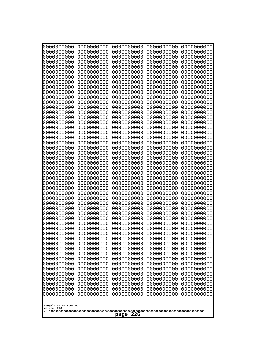| 10000000000<br>0000000000             | 0000000000<br>0000000000 | 0000000000<br>0000000000 | 0000000000<br>0000000000 | 0000000000<br>0000000000 |
|---------------------------------------|--------------------------|--------------------------|--------------------------|--------------------------|
| 0000000000                            | 0000000000               | 0000000000               | 0000000000               | 0000000000               |
| 0000000000                            | 0000000000               | 0000000000               | 0000000000               | 0000000000               |
| 0000000000<br>0000000000              | 0000000000<br>0000000000 | 0000000000<br>0000000000 | 0000000000<br>0000000000 | 0000000000<br>0000000000 |
| 0000000000                            | 0000000000               | 0000000000               | 0000000000               | 0000000000               |
| 0000000000                            | 0000000000               | 0000000000               | 0000000000               | 0000000000               |
| 0000000000<br>0000000000              | 0000000000<br>0000000000 | 0000000000<br>0000000000 | 0000000000<br>0000000000 | 0000000000<br>0000000000 |
| 0000000000                            | 0000000000               | 0000000000               | 0000000000               | 0000000000               |
| 0000000000                            | 0000000000               | 0000000000               | 0000000000               | 0000000000               |
| 0000000000                            | 0000000000               | 0000000000               | 0000000000               | 0000000000               |
| 0000000000<br>0000000000              | 0000000000<br>0000000000 | 0000000000<br>0000000000 | 0000000000<br>0000000000 | 0000000000<br>0000000000 |
| 0000000000                            | 0000000000               | 0000000000               | 0000000000               | 0000000000               |
| 0000000000                            | 0000000000               | 0000000000               | 0000000000               | 0000000000               |
| 0000000000<br>0000000000              | 0000000000<br>0000000000 | 0000000000<br>0000000000 | 0000000000<br>0000000000 | 0000000000<br>0000000000 |
| 0000000000                            | 0000000000               | 0000000000               | 0000000000               | 0000000000               |
| 0000000000                            | 0000000000               | 0000000000               | 0000000000               | 0000000000               |
| 0000000000<br>0000000000              | 0000000000<br>0000000000 | 0000000000<br>0000000000 | 0000000000<br>0000000000 | 0000000000<br>0000000000 |
| 0000000000                            | 0000000000               | 0000000000               | 0000000000               | 0000000000               |
| 0000000000                            | 0000000000               | 0000000000               | 0000000000               | 0000000000               |
| 0000000000<br>0000000000              | 0000000000<br>0000000000 | 0000000000<br>0000000000 | 0000000000<br>0000000000 | 0000000000<br>0000000000 |
| 0000000000                            | 0000000000               | 0000000000               | 0000000000               | 0000000000               |
| 0000000000                            | 0000000000               | 0000000000               | 0000000000               | 0000000000               |
| 0000000000                            | 0000000000               | 0000000000               | 0000000000               | 0000000000               |
| 0000000000<br>0000000000              | 0000000000<br>0000000000 | 0000000000<br>0000000000 | 0000000000<br>0000000000 | 0000000000<br>0000000000 |
| 0000000000                            | 0000000000               | 0000000000               | 0000000000               | 0000000000               |
| 0000000000                            | 0000000000               | 0000000000               | 0000000000               | 0000000000               |
| 0000000000<br>0000000000              | 0000000000<br>0000000000 | 0000000000<br>0000000000 | 0000000000<br>0000000000 | 0000000000<br>0000000000 |
| 0000000000                            | 0000000000               | 0000000000               | 0000000000               | 0000000000               |
| 0000000000                            | 0000000000               | 0000000000               | 0000000000               | 0000000000               |
| 0000000000<br>0000000000              | 0000000000<br>0000000000 | 0000000000<br>0000000000 | 0000000000<br>0000000000 | 0000000000<br>0000000000 |
| 0000000000                            | 0000000000               | 0000000000               | 0000000000               | 0000000000               |
| 0000000000                            | 0000000000               | 0000000000               | 0000000000               | 0000000000               |
| 0000000000<br>0000000000              | 0000000000               | 0000000000               | 0000000000               | 0000000000               |
| 0000000000                            | 0000000000<br>0000000000 | 0000000000<br>0000000000 | 0000000000<br>0000000000 | 0000000000<br>0000000000 |
| 0000000000                            | 0000000000               | 0000000000               | 0000000000               | 0000000000               |
| 0000000000                            | 0000000000               | 0000000000               | 0000000000               | 0000000000               |
| 0000000000<br>0000000000              | 0000000000<br>0000000000 | 0000000000<br>0000000000 | 0000000000<br>0000000000 | 0000000000<br>0000000000 |
| 0000000000                            | 0000000000               | 0000000000               | 0000000000               | 0000000000               |
|                                       |                          |                          |                          |                          |
| Googolplex Written Out<br>volume 1720 |                          |                          |                          |                          |
| 226<br>page                           |                          |                          |                          |                          |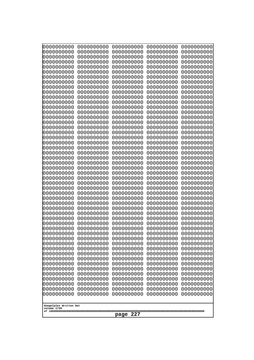| 10000000000<br>0000000000             | 0000000000<br>0000000000 | 0000000000<br>0000000000 | 0000000000<br>0000000000 | 0000000000<br>0000000000 |
|---------------------------------------|--------------------------|--------------------------|--------------------------|--------------------------|
| 0000000000                            | 0000000000               | 0000000000               | 0000000000               | 0000000000               |
| 0000000000                            | 0000000000               | 0000000000               | 0000000000               | 0000000000               |
| 0000000000<br>0000000000              | 0000000000<br>0000000000 | 0000000000<br>0000000000 | 0000000000<br>0000000000 | 0000000000<br>0000000000 |
| 0000000000                            | 0000000000               | 0000000000               | 0000000000               | 0000000000               |
| 0000000000                            | 0000000000               | 0000000000               | 0000000000               | 0000000000               |
| 0000000000                            | 0000000000               | 0000000000               | 0000000000               | 0000000000               |
| 0000000000<br>0000000000              | 0000000000<br>0000000000 | 0000000000<br>0000000000 | 0000000000<br>0000000000 | 0000000000<br>0000000000 |
| 0000000000                            | 0000000000               | 0000000000               | 0000000000               | 0000000000               |
| 0000000000                            | 0000000000               | 0000000000               | 0000000000               | 0000000000               |
| 0000000000<br>0000000000              | 0000000000<br>0000000000 | 0000000000<br>0000000000 | 0000000000<br>0000000000 | 0000000000<br>0000000000 |
| 0000000000                            | 0000000000               | 0000000000               | 0000000000               | 0000000000               |
| 0000000000                            | 0000000000               | 0000000000               | 0000000000               | 0000000000               |
| 0000000000<br>0000000000              | 0000000000<br>0000000000 | 0000000000<br>0000000000 | 0000000000<br>0000000000 | 0000000000<br>0000000000 |
| 0000000000                            | 0000000000               | 0000000000               | 0000000000               | 0000000000               |
| 0000000000                            | 0000000000               | 0000000000               | 0000000000               | 0000000000               |
| 0000000000<br>0000000000              | 0000000000<br>0000000000 | 0000000000<br>0000000000 | 0000000000<br>0000000000 | 0000000000<br>0000000000 |
| 0000000000                            | 0000000000               | 0000000000               | 0000000000               | 0000000000               |
| 0000000000                            | 0000000000               | 0000000000               | 0000000000               | 0000000000               |
| 0000000000<br>0000000000              | 0000000000<br>0000000000 | 0000000000<br>0000000000 | 0000000000<br>0000000000 | 0000000000<br>0000000000 |
| 0000000000                            | 0000000000               | 0000000000               | 0000000000               | 0000000000               |
| 0000000000                            | 0000000000               | 0000000000               | 0000000000               | 0000000000               |
| 0000000000<br>0000000000              | 0000000000<br>0000000000 | 0000000000<br>0000000000 | 0000000000<br>0000000000 | 0000000000<br>0000000000 |
| 0000000000                            | 0000000000               | 0000000000               | 0000000000               | 0000000000               |
| 0000000000                            | 0000000000               | 0000000000               | 0000000000               | 0000000000               |
| 0000000000<br>0000000000              | 0000000000               | 0000000000               | 0000000000               | 0000000000               |
| 0000000000                            | 0000000000<br>0000000000 | 0000000000<br>0000000000 | 0000000000<br>0000000000 | 0000000000<br>0000000000 |
| 0000000000                            | 0000000000               | 0000000000               | 0000000000               | 0000000000               |
| 0000000000                            | 0000000000               | 0000000000               | 0000000000               | 0000000000               |
| 0000000000<br>0000000000              | 0000000000<br>0000000000 | 0000000000<br>0000000000 | 0000000000<br>0000000000 | 0000000000<br>0000000000 |
| 0000000000                            | 0000000000               | 0000000000               | 0000000000               | 0000000000               |
| 0000000000                            | 0000000000               | 0000000000               | 0000000000               | 0000000000               |
| 0000000000<br>0000000000              | 0000000000<br>0000000000 | 0000000000<br>0000000000 | 0000000000<br>0000000000 | 0000000000<br>0000000000 |
| 0000000000                            | 0000000000               | 0000000000               | 0000000000               | 0000000000               |
| 0000000000                            | 0000000000               | 0000000000               | 0000000000               | 0000000000               |
| 0000000000<br>0000000000              | 0000000000<br>0000000000 | 0000000000<br>0000000000 | 0000000000<br>0000000000 | 0000000000<br>0000000000 |
| 0000000000                            | 0000000000               | 0000000000               | 0000000000               | 0000000000               |
| 0000000000                            | 0000000000               | 0000000000               | 0000000000               | 0000000000               |
|                                       |                          |                          |                          |                          |
| Googolplex Written Out<br>volume 1720 |                          |                          |                          |                          |
| 227<br>page                           |                          |                          |                          |                          |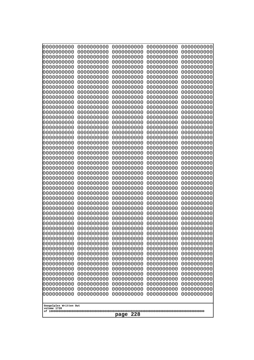| 10000000000<br>0000000000 | 0000000000<br>0000000000 | 0000000000<br>0000000000 | 0000000000<br>0000000000 | 0000000000<br>0000000000 |
|---------------------------|--------------------------|--------------------------|--------------------------|--------------------------|
| 0000000000                | 0000000000               | 0000000000               | 0000000000               | 0000000000               |
| 0000000000                | 0000000000               | 0000000000               | 0000000000               | 0000000000               |
| 0000000000<br>0000000000  | 0000000000<br>0000000000 | 0000000000<br>0000000000 | 0000000000<br>0000000000 | 0000000000<br>0000000000 |
| 0000000000                | 0000000000               | 0000000000               | 0000000000               | 0000000000               |
| 0000000000                | 0000000000               | 0000000000               | 0000000000               | 0000000000               |
| 0000000000<br>0000000000  | 0000000000<br>0000000000 | 0000000000<br>0000000000 | 0000000000<br>0000000000 | 0000000000<br>0000000000 |
| 0000000000                | 0000000000               | 0000000000               | 0000000000               | 0000000000               |
| 0000000000                | 0000000000               | 0000000000               | 0000000000               | 0000000000               |
| 0000000000<br>0000000000  | 0000000000<br>0000000000 | 0000000000<br>0000000000 | 0000000000<br>0000000000 | 0000000000<br>0000000000 |
| 0000000000                | 0000000000               | 0000000000               | 0000000000               | 0000000000               |
| 0000000000                | 0000000000               | 0000000000               | 0000000000               | 0000000000               |
| 0000000000<br>0000000000  | 0000000000<br>0000000000 | 0000000000<br>0000000000 | 0000000000<br>0000000000 | 0000000000<br>0000000000 |
| 0000000000                | 0000000000               | 0000000000               | 0000000000               | 0000000000               |
| 0000000000                | 0000000000               | 0000000000               | 0000000000               | 0000000000               |
| 0000000000                | 0000000000               | 0000000000               | 0000000000               | 0000000000               |
| 0000000000<br>0000000000  | 0000000000<br>0000000000 | 0000000000<br>0000000000 | 0000000000<br>0000000000 | 0000000000<br>0000000000 |
| 0000000000                | 0000000000               | 0000000000               | 0000000000               | 0000000000               |
| 0000000000                | 0000000000               | 0000000000               | 0000000000               | 0000000000               |
| 0000000000<br>0000000000  | 0000000000<br>0000000000 | 0000000000<br>0000000000 | 0000000000<br>0000000000 | 0000000000<br>0000000000 |
| 0000000000                | 0000000000               | 0000000000               | 0000000000               | 0000000000               |
| 0000000000                | 0000000000               | 0000000000               | 0000000000               | 0000000000               |
| 0000000000<br>0000000000  | 0000000000<br>0000000000 | 0000000000<br>0000000000 | 0000000000<br>0000000000 | 0000000000<br>0000000000 |
| 0000000000                | 0000000000               | 0000000000               | 0000000000               | 0000000000               |
| 0000000000                | 0000000000               | 0000000000               | 0000000000               | 0000000000               |
| 0000000000<br>0000000000  | 0000000000<br>0000000000 | 0000000000<br>0000000000 | 0000000000<br>0000000000 | 0000000000<br>0000000000 |
| 0000000000                | 0000000000               | 0000000000               | 0000000000               | 0000000000               |
| 0000000000                | 0000000000               | 0000000000               | 0000000000               | 0000000000               |
| 0000000000<br>0000000000  | 0000000000<br>0000000000 | 0000000000<br>0000000000 | 0000000000<br>0000000000 | 0000000000<br>0000000000 |
| 0000000000                | 0000000000               | 0000000000               | 0000000000               | 0000000000               |
| 0000000000                | 0000000000               | 0000000000               | 0000000000               | 0000000000               |
| 0000000000<br>0000000000  | 0000000000<br>0000000000 | 0000000000<br>0000000000 | 0000000000<br>0000000000 | 0000000000<br>0000000000 |
| 0000000000                | 0000000000               | 0000000000               | 0000000000               | 0000000000               |
| 0000000000                | 0000000000               | 0000000000               | 0000000000               | 0000000000               |
| 0000000000                | 0000000000<br>0000000000 | 0000000000               | 0000000000               | 0000000000               |
| 0000000000<br>0000000000  | 0000000000               | 0000000000<br>0000000000 | 0000000000<br>0000000000 | 0000000000<br>0000000000 |
| 0000000000                | 0000000000               | 0000000000               | 0000000000               | 0000000000               |
| 0000000000                | 0000000000               | 0000000000               | 0000000000               | 0000000000               |
| Googolplex Written Out    |                          |                          |                          |                          |
| volume 1720               |                          |                          |                          |                          |
| 228<br>page               |                          |                          |                          |                          |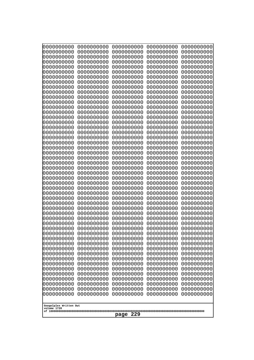| 10000000000<br>0000000000             | 0000000000<br>0000000000 | 0000000000<br>0000000000 | 0000000000<br>0000000000 | 0000000000<br>0000000000 |
|---------------------------------------|--------------------------|--------------------------|--------------------------|--------------------------|
| 0000000000                            | 0000000000               | 0000000000               | 0000000000               | 0000000000               |
| 0000000000                            | 0000000000               | 0000000000               | 0000000000               | 0000000000               |
| 0000000000<br>0000000000              | 0000000000<br>0000000000 | 0000000000<br>0000000000 | 0000000000<br>0000000000 | 0000000000<br>0000000000 |
| 0000000000                            | 0000000000               | 0000000000               | 0000000000               | 0000000000               |
| 0000000000                            | 0000000000               | 0000000000               | 0000000000               | 0000000000               |
| 0000000000<br>0000000000              | 0000000000<br>0000000000 | 0000000000<br>0000000000 | 0000000000<br>0000000000 | 0000000000<br>0000000000 |
| 0000000000                            | 0000000000               | 0000000000               | 0000000000               | 0000000000               |
| 0000000000                            | 0000000000               | 0000000000               | 0000000000               | 0000000000               |
| 0000000000                            | 0000000000               | 0000000000               | 0000000000               | 0000000000               |
| 0000000000<br>0000000000              | 0000000000<br>0000000000 | 0000000000<br>0000000000 | 0000000000<br>0000000000 | 0000000000<br>0000000000 |
| 0000000000                            | 0000000000               | 0000000000               | 0000000000               | 0000000000               |
| 0000000000                            | 0000000000               | 0000000000               | 0000000000               | 0000000000               |
| 0000000000<br>0000000000              | 0000000000<br>0000000000 | 0000000000<br>0000000000 | 0000000000<br>0000000000 | 0000000000<br>0000000000 |
| 0000000000                            | 0000000000               | 0000000000               | 0000000000               | 0000000000               |
| 0000000000                            | 0000000000               | 0000000000               | 0000000000               | 0000000000               |
| 0000000000<br>0000000000              | 0000000000<br>0000000000 | 0000000000<br>0000000000 | 0000000000<br>0000000000 | 0000000000<br>0000000000 |
| 0000000000                            | 0000000000               | 0000000000               | 0000000000               | 0000000000               |
| 0000000000                            | 0000000000               | 0000000000               | 0000000000               | 0000000000               |
| 0000000000<br>0000000000              | 0000000000<br>0000000000 | 0000000000<br>0000000000 | 0000000000<br>0000000000 | 0000000000<br>0000000000 |
| 0000000000                            | 0000000000               | 0000000000               | 0000000000               | 0000000000               |
| 0000000000                            | 0000000000               | 0000000000               | 0000000000               | 0000000000               |
| 0000000000                            | 0000000000               | 0000000000               | 0000000000               | 0000000000               |
| 0000000000<br>0000000000              | 0000000000<br>0000000000 | 0000000000<br>0000000000 | 0000000000<br>0000000000 | 0000000000<br>0000000000 |
| 0000000000                            | 0000000000               | 0000000000               | 0000000000               | 0000000000               |
| 0000000000                            | 0000000000               | 0000000000               | 0000000000               | 0000000000               |
| 0000000000<br>0000000000              | 0000000000<br>0000000000 | 0000000000<br>0000000000 | 0000000000<br>0000000000 | 0000000000<br>0000000000 |
| 0000000000                            | 0000000000               | 0000000000               | 0000000000               | 0000000000               |
| 0000000000                            | 0000000000               | 0000000000               | 0000000000               | 0000000000               |
| 0000000000<br>0000000000              | 0000000000<br>0000000000 | 0000000000<br>0000000000 | 0000000000<br>0000000000 | 0000000000<br>0000000000 |
| 0000000000                            | 0000000000               | 0000000000               | 0000000000               | 0000000000               |
| 0000000000                            | 0000000000               | 0000000000               | 0000000000               | 0000000000               |
| 0000000000<br>0000000000              | 0000000000               | 0000000000               | 0000000000               | 0000000000               |
| 0000000000                            | 0000000000<br>0000000000 | 0000000000<br>0000000000 | 0000000000<br>0000000000 | 0000000000<br>0000000000 |
| 0000000000                            | 0000000000               | 0000000000               | 0000000000               | 0000000000               |
| 0000000000                            | 0000000000               | 0000000000               | 0000000000               | 0000000000               |
| 0000000000<br>0000000000              | 0000000000<br>0000000000 | 0000000000<br>0000000000 | 0000000000<br>0000000000 | 0000000000<br>0000000000 |
| 0000000000                            | 0000000000               | 0000000000               | 0000000000               | 0000000000               |
|                                       |                          |                          |                          |                          |
| Googolplex Written Out<br>volume 1720 |                          |                          |                          |                          |
| 229<br>page                           |                          |                          |                          |                          |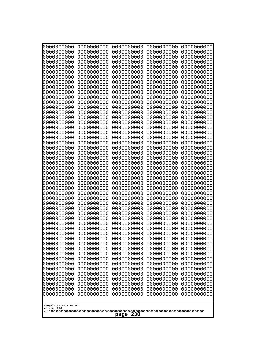| 0000000000               | 0000000000               | 0000000000               | 0000000000               | 0000000000               |
|--------------------------|--------------------------|--------------------------|--------------------------|--------------------------|
| 0000000000<br>0000000000 | 0000000000<br>0000000000 | 0000000000<br>0000000000 | 0000000000<br>0000000000 | 0000000000<br>0000000000 |
| 0000000000               | 0000000000               | 0000000000               | 0000000000               | 0000000000               |
| 0000000000               | 0000000000               | 0000000000               | 0000000000               | 0000000000               |
| 0000000000               | 0000000000               | 0000000000               | 0000000000               | 0000000000               |
| 0000000000               | 0000000000               | 0000000000               | 0000000000               | 0000000000               |
| 0000000000<br>0000000000 | 0000000000<br>0000000000 | 0000000000<br>0000000000 | 0000000000<br>0000000000 | 0000000000<br>0000000000 |
| 0000000000               | 0000000000               | 0000000000               | 0000000000               | 0000000000               |
| 0000000000               | 0000000000               | 0000000000               | 0000000000               | 0000000000               |
| 0000000000               | 0000000000               | 0000000000               | 0000000000               | 0000000000               |
| 0000000000<br>0000000000 | 0000000000<br>0000000000 | 0000000000<br>0000000000 | 0000000000<br>0000000000 | 0000000000<br>0000000000 |
| 0000000000               | 0000000000               | 0000000000               | 0000000000               | 0000000000               |
| 0000000000               | 0000000000               | 0000000000               | 0000000000               | 0000000000               |
| 0000000000<br>0000000000 | 0000000000<br>0000000000 | 0000000000<br>0000000000 | 0000000000<br>0000000000 | 0000000000<br>0000000000 |
| 0000000000               | 0000000000               | 0000000000               | 0000000000               | 0000000000               |
| 0000000000               | 0000000000               | 0000000000               | 0000000000               | 0000000000               |
| 0000000000               | 0000000000               | 0000000000               | 0000000000               | 0000000000               |
| 0000000000<br>0000000000 | 0000000000<br>0000000000 | 0000000000<br>0000000000 | 0000000000<br>0000000000 | 0000000000<br>0000000000 |
| 0000000000               | 0000000000               | 0000000000               | 0000000000               | 0000000000               |
| 0000000000               | 0000000000               | 0000000000               | 0000000000               | 0000000000               |
| 0000000000               | 0000000000               | 0000000000               | 0000000000               | 0000000000               |
| 0000000000<br>0000000000 | 0000000000<br>0000000000 | 0000000000<br>0000000000 | 0000000000<br>0000000000 | 0000000000<br>0000000000 |
| 0000000000               | 0000000000               | 0000000000               | 0000000000               | 0000000000               |
| 0000000000               | 0000000000               | 0000000000               | 0000000000               | 0000000000               |
| 0000000000<br>0000000000 | 0000000000<br>0000000000 | 0000000000<br>0000000000 | 0000000000<br>0000000000 | 0000000000<br>0000000000 |
| 0000000000               | 0000000000               | 0000000000               | 0000000000               | 0000000000               |
| 0000000000               | 0000000000               | 0000000000               | 0000000000               | 0000000000               |
| 0000000000               | 0000000000               | 0000000000               | 0000000000               | 0000000000               |
| 0000000000<br>0000000000 | 0000000000<br>0000000000 | 0000000000<br>0000000000 | 0000000000<br>0000000000 | 0000000000<br>0000000000 |
| 0000000000               | 0000000000               | 0000000000               | 0000000000               | 0000000000               |
| 0000000000               | 0000000000               | 0000000000               | 0000000000               | 0000000000               |
| 0000000000               | 0000000000               | 0000000000               | 0000000000               | 0000000000               |
| 0000000000<br>0000000000 | 0000000000<br>0000000000 | 0000000000<br>0000000000 | 0000000000<br>0000000000 | 0000000000<br>0000000000 |
| 0000000000               | 0000000000               | 0000000000               | 0000000000               | 0000000000               |
| 0000000000               | 0000000000               | 0000000000               | 0000000000               | 0000000000               |
| 0000000000<br>0000000000 | 0000000000<br>0000000000 | 0000000000<br>0000000000 | 0000000000<br>0000000000 | 0000000000<br>0000000000 |
| 0000000000               | 0000000000               | 0000000000               | 0000000000               | 0000000000               |
| 0000000000               | 0000000000               | 0000000000               | 0000000000               | 0000000000               |
| 0000000000               | 0000000000               | 0000000000               | 0000000000               | 0000000000               |
| 0000000000               | 0000000000               | 0000000000               | 0000000000               | 0000000000               |
| Googolplex Written Out   |                          |                          |                          |                          |
| volume 1720              |                          |                          |                          |                          |
| 230<br>page              |                          |                          |                          |                          |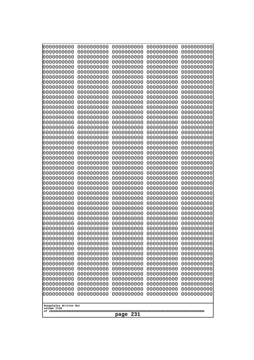| 10000000000<br>0000000000 | 0000000000<br>0000000000 | 0000000000<br>0000000000 | 0000000000<br>0000000000 | 0000000000<br>0000000000 |
|---------------------------|--------------------------|--------------------------|--------------------------|--------------------------|
| 0000000000                | 0000000000               | 0000000000               | 0000000000               | 0000000000               |
| 0000000000                | 0000000000               | 0000000000               | 0000000000               | 0000000000               |
| 0000000000<br>0000000000  | 0000000000<br>0000000000 | 0000000000               | 0000000000<br>0000000000 | 0000000000               |
| 0000000000                | 0000000000               | 0000000000<br>0000000000 | 0000000000               | 0000000000<br>0000000000 |
| 0000000000                | 0000000000               | 0000000000               | 0000000000               | 0000000000               |
| 0000000000                | 0000000000               | 0000000000               | 0000000000               | 0000000000               |
| 0000000000<br>0000000000  | 0000000000<br>0000000000 | 0000000000<br>0000000000 | 0000000000<br>0000000000 | 0000000000<br>0000000000 |
| 0000000000                | 0000000000               | 0000000000               | 0000000000               | 0000000000               |
| 0000000000                | 0000000000               | 0000000000               | 0000000000               | 0000000000               |
| 0000000000                | 0000000000               | 0000000000               | 0000000000               | 0000000000               |
| 0000000000<br>0000000000  | 0000000000<br>0000000000 | 0000000000<br>0000000000 | 0000000000<br>0000000000 | 0000000000<br>0000000000 |
| 0000000000                | 0000000000               | 0000000000               | 0000000000               | 0000000000               |
| 0000000000                | 0000000000               | 0000000000               | 0000000000               | 0000000000               |
| 0000000000<br>0000000000  | 0000000000<br>0000000000 | 0000000000<br>0000000000 | 0000000000<br>0000000000 | 0000000000<br>0000000000 |
| 0000000000                | 0000000000               | 0000000000               | 0000000000               | 0000000000               |
| 0000000000                | 0000000000               | 0000000000               | 0000000000               | 0000000000               |
| 0000000000                | 0000000000               | 0000000000               | 0000000000               | 0000000000               |
| 0000000000<br>0000000000  | 0000000000<br>0000000000 | 0000000000<br>0000000000 | 0000000000<br>0000000000 | 0000000000<br>0000000000 |
| 0000000000                | 0000000000               | 0000000000               | 0000000000               | 0000000000               |
| 0000000000                | 0000000000               | 0000000000               | 0000000000               | 0000000000               |
| 0000000000<br>0000000000  | 0000000000<br>0000000000 | 0000000000<br>0000000000 | 0000000000<br>0000000000 | 0000000000<br>0000000000 |
| 0000000000                | 0000000000               | 0000000000               | 0000000000               | 0000000000               |
| 0000000000                | 0000000000               | 0000000000               | 0000000000               | 0000000000               |
| 0000000000                | 0000000000               | 0000000000               | 0000000000               | 0000000000               |
| 0000000000<br>0000000000  | 0000000000<br>0000000000 | 0000000000<br>0000000000 | 0000000000<br>0000000000 | 0000000000<br>0000000000 |
| 0000000000                | 0000000000               | 0000000000               | 0000000000               | 0000000000               |
| 0000000000                | 0000000000               | 0000000000               | 0000000000               | 0000000000               |
| 0000000000<br>0000000000  | 0000000000<br>0000000000 | 0000000000<br>0000000000 | 0000000000<br>0000000000 | 0000000000<br>0000000000 |
| 0000000000                | 0000000000               | 0000000000               | 0000000000               | 0000000000               |
| 0000000000                | 0000000000               | 0000000000               | 0000000000               | 0000000000               |
| 0000000000<br>0000000000  | 0000000000<br>0000000000 | 0000000000               | 0000000000               | 0000000000               |
| 0000000000                | 0000000000               | 0000000000<br>0000000000 | 0000000000<br>0000000000 | 0000000000<br>0000000000 |
| 0000000000                | 0000000000               | 0000000000               | 0000000000               | 0000000000               |
| 0000000000                | 0000000000               | 0000000000               | 0000000000               | 0000000000               |
| 0000000000<br>0000000000  | 0000000000<br>0000000000 | 0000000000<br>0000000000 | 0000000000<br>0000000000 | 0000000000<br>0000000000 |
| 0000000000                | 0000000000               | 0000000000               | 0000000000               | 0000000000               |
| 0000000000                | 0000000000               | 0000000000               | 0000000000               | 0000000000               |
| 0000000000                | 0000000000               | 0000000000               | 0000000000               | 0000000000               |
| Googolplex Written Out    |                          |                          |                          |                          |
| volume 1720               |                          |                          |                          |                          |
| 231<br>page               |                          |                          |                          |                          |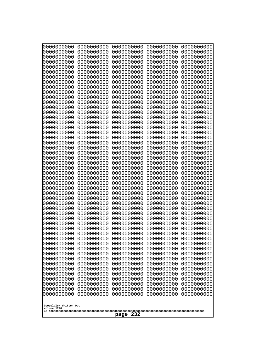| 10000000000<br>0000000000             | 0000000000<br>0000000000 | 0000000000<br>0000000000 | 0000000000<br>0000000000 | 0000000000<br>0000000000 |
|---------------------------------------|--------------------------|--------------------------|--------------------------|--------------------------|
| 0000000000                            | 0000000000               | 0000000000               | 0000000000               | 0000000000               |
| 0000000000                            | 0000000000               | 0000000000               | 0000000000               | 0000000000               |
| 0000000000<br>0000000000              | 0000000000<br>0000000000 | 0000000000<br>0000000000 | 0000000000<br>0000000000 | 0000000000<br>0000000000 |
| 0000000000                            | 0000000000               | 0000000000               | 0000000000               | 0000000000               |
| 0000000000                            | 0000000000               | 0000000000               | 0000000000               | 0000000000               |
| 0000000000                            | 0000000000               | 0000000000               | 0000000000               | 0000000000               |
| 0000000000<br>0000000000              | 0000000000<br>0000000000 | 0000000000<br>0000000000 | 0000000000<br>0000000000 | 0000000000<br>0000000000 |
| 0000000000                            | 0000000000               | 0000000000               | 0000000000               | 0000000000               |
| 0000000000                            | 0000000000               | 0000000000               | 0000000000               | 0000000000               |
| 0000000000<br>0000000000              | 0000000000<br>0000000000 | 0000000000<br>0000000000 | 0000000000<br>0000000000 | 0000000000<br>0000000000 |
| 0000000000                            | 0000000000               | 0000000000               | 0000000000               | 0000000000               |
| 0000000000                            | 0000000000               | 0000000000               | 0000000000               | 0000000000               |
| 0000000000<br>0000000000              | 0000000000<br>0000000000 | 0000000000<br>0000000000 | 0000000000<br>0000000000 | 0000000000<br>0000000000 |
| 0000000000                            | 0000000000               | 0000000000               | 0000000000               | 0000000000               |
| 0000000000                            | 0000000000               | 0000000000               | 0000000000               | 0000000000               |
| 0000000000                            | 0000000000               | 0000000000               | 0000000000               | 0000000000               |
| 0000000000<br>0000000000              | 0000000000<br>0000000000 | 0000000000<br>0000000000 | 0000000000<br>0000000000 | 0000000000<br>0000000000 |
| 0000000000                            | 0000000000               | 0000000000               | 0000000000               | 0000000000               |
| 0000000000                            | 0000000000               | 0000000000               | 0000000000               | 0000000000               |
| 0000000000<br>0000000000              | 0000000000<br>0000000000 | 0000000000<br>0000000000 | 0000000000<br>0000000000 | 0000000000<br>0000000000 |
| 0000000000                            | 0000000000               | 0000000000               | 0000000000               | 0000000000               |
| 0000000000                            | 0000000000               | 0000000000               | 0000000000               | 0000000000               |
| 0000000000<br>0000000000              | 0000000000<br>0000000000 | 0000000000<br>0000000000 | 0000000000<br>0000000000 | 0000000000<br>0000000000 |
| 0000000000                            | 0000000000               | 0000000000               | 0000000000               | 0000000000               |
| 0000000000                            | 0000000000               | 0000000000               | 0000000000               | 0000000000               |
| 0000000000<br>0000000000              | 0000000000<br>0000000000 | 0000000000               | 0000000000               | 0000000000               |
| 0000000000                            | 0000000000               | 0000000000<br>0000000000 | 0000000000<br>0000000000 | 0000000000<br>0000000000 |
| 0000000000                            | 0000000000               | 0000000000               | 0000000000               | 0000000000               |
| 0000000000                            | 0000000000               | 0000000000               | 0000000000               | 0000000000               |
| 0000000000<br>0000000000              | 0000000000<br>0000000000 | 0000000000<br>0000000000 | 0000000000<br>0000000000 | 0000000000<br>0000000000 |
| 0000000000                            | 0000000000               | 0000000000               | 0000000000               | 0000000000               |
| 0000000000                            | 0000000000               | 0000000000               | 0000000000               | 0000000000               |
| 0000000000<br>0000000000              | 0000000000<br>0000000000 | 0000000000<br>0000000000 | 0000000000<br>0000000000 | 0000000000<br>0000000000 |
| 0000000000                            | 0000000000               | 0000000000               | 0000000000               | 0000000000               |
| 0000000000                            | 0000000000               | 0000000000               | 0000000000               | 0000000000               |
| 0000000000<br>0000000000              | 0000000000<br>0000000000 | 0000000000<br>0000000000 | 0000000000<br>0000000000 | 0000000000<br>0000000000 |
| 0000000000                            | 0000000000               | 0000000000               | 0000000000               | 0000000000               |
|                                       |                          |                          |                          |                          |
| Googolplex Written Out<br>volume 1720 |                          |                          |                          |                          |
| 232<br>page                           |                          |                          |                          |                          |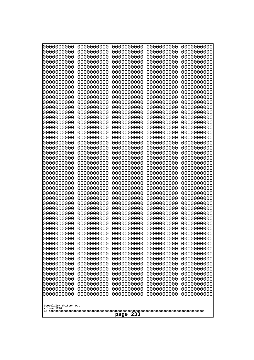| Googolplex Written Out<br>volume 1720 | 0000000000<br>0000000000<br>0000000000<br>0000000000<br>0000000000<br>0000000000<br>0000000000<br>0000000000<br>0000000000<br>0000000000<br>0000000000<br>0000000000<br>0000000000<br>0000000000<br>0000000000<br>0000000000<br>0000000000<br>0000000000<br>0000000000<br>0000000000<br>0000000000<br>0000000000<br>0000000000<br>0000000000<br>0000000000<br>0000000000<br>0000000000<br>0000000000<br>0000000000<br>0000000000<br>0000000000<br>0000000000<br>0000000000<br>0000000000<br>0000000000<br>0000000000<br>0000000000<br>10000000000<br>0000000000<br>0000000000<br>0000000000<br>0000000000<br>0000000000<br>0000000000<br>0000000000<br>0000000000<br>0000000000<br>0000000000<br>0000000000<br>0000000000 | 0000000000<br>0000000000<br>0000000000<br>0000000000<br>0000000000<br>0000000000<br>0000000000<br>0000000000<br>0000000000<br>0000000000<br>0000000000<br>0000000000<br>0000000000<br>0000000000<br>0000000000<br>0000000000<br>0000000000<br>0000000000<br>0000000000<br>0000000000<br>0000000000<br>0000000000<br>0000000000<br>0000000000<br>0000000000<br>0000000000<br>0000000000<br>0000000000<br>0000000000<br>0000000000<br>0000000000<br>0000000000<br>0000000000<br>0000000000<br>0000000000<br>0000000000<br>0000000000<br>0000000000<br>0000000000<br>0000000000<br>0000000000<br>0000000000<br>0000000000<br>0000000000<br>0000000000<br>0000000000<br>0000000000<br>0000000000<br>0000000000<br>0000000000 | 0000000000<br>0000000000<br>0000000000<br>0000000000<br>0000000000<br>0000000000<br>0000000000<br>0000000000<br>0000000000<br>0000000000<br>0000000000<br>0000000000<br>0000000000<br>0000000000<br>0000000000<br>0000000000<br>0000000000<br>0000000000<br>0000000000<br>0000000000<br>0000000000<br>0000000000<br>0000000000<br>0000000000<br>0000000000<br>0000000000<br>0000000000<br>0000000000<br>0000000000<br>0000000000<br>0000000000<br>0000000000<br>0000000000<br>0000000000<br>0000000000<br>0000000000<br>0000000000<br>0000000000<br>0000000000<br>0000000000<br>0000000000<br>0000000000<br>0000000000<br>0000000000<br>0000000000<br>0000000000<br>0000000000<br>0000000000<br>0000000000<br>0000000000 | 0000000000<br>0000000000<br>0000000000<br>0000000000<br>0000000000<br>0000000000<br>0000000000<br>0000000000<br>0000000000<br>0000000000<br>0000000000<br>0000000000<br>0000000000<br>0000000000<br>0000000000<br>0000000000<br>0000000000<br>0000000000<br>0000000000<br>0000000000<br>0000000000<br>0000000000<br>0000000000<br>0000000000<br>0000000000<br>0000000000<br>0000000000<br>0000000000<br>0000000000<br>0000000000<br>0000000000<br>0000000000<br>0000000000<br>0000000000<br>0000000000<br>0000000000<br>0000000000<br>0000000000<br>0000000000<br>0000000000<br>0000000000<br>0000000000<br>0000000000<br>0000000000<br>0000000000<br>0000000000<br>0000000000<br>0000000000<br>0000000000<br>0000000000 | 0000000000<br>0000000000<br>0000000000<br>0000000000<br>0000000000<br>0000000000<br>0000000000<br>0000000000<br>0000000000<br>0000000000<br>0000000000<br>0000000000<br>0000000000<br>0000000000<br>0000000000<br>0000000000<br>0000000000<br>0000000000<br>0000000000<br>0000000000<br>0000000000<br>0000000000<br>0000000000<br>0000000000<br>0000000000<br>0000000000<br>0000000000<br>0000000000<br>0000000000<br>0000000000<br>0000000000<br>0000000000<br>0000000000<br>0000000000<br>0000000000<br>0000000000<br>0000000000<br>0000000000<br>0000000000<br>0000000000<br>0000000000<br>0000000000<br>0000000000<br>0000000000<br>0000000000<br>0000000000<br>0000000000<br>0000000000<br>0000000000<br>0000000000 |
|---------------------------------------|---------------------------------------------------------------------------------------------------------------------------------------------------------------------------------------------------------------------------------------------------------------------------------------------------------------------------------------------------------------------------------------------------------------------------------------------------------------------------------------------------------------------------------------------------------------------------------------------------------------------------------------------------------------------------------------------------------------------------|--------------------------------------------------------------------------------------------------------------------------------------------------------------------------------------------------------------------------------------------------------------------------------------------------------------------------------------------------------------------------------------------------------------------------------------------------------------------------------------------------------------------------------------------------------------------------------------------------------------------------------------------------------------------------------------------------------------------------|--------------------------------------------------------------------------------------------------------------------------------------------------------------------------------------------------------------------------------------------------------------------------------------------------------------------------------------------------------------------------------------------------------------------------------------------------------------------------------------------------------------------------------------------------------------------------------------------------------------------------------------------------------------------------------------------------------------------------|--------------------------------------------------------------------------------------------------------------------------------------------------------------------------------------------------------------------------------------------------------------------------------------------------------------------------------------------------------------------------------------------------------------------------------------------------------------------------------------------------------------------------------------------------------------------------------------------------------------------------------------------------------------------------------------------------------------------------|--------------------------------------------------------------------------------------------------------------------------------------------------------------------------------------------------------------------------------------------------------------------------------------------------------------------------------------------------------------------------------------------------------------------------------------------------------------------------------------------------------------------------------------------------------------------------------------------------------------------------------------------------------------------------------------------------------------------------|
| page                                  | 233                                                                                                                                                                                                                                                                                                                                                                                                                                                                                                                                                                                                                                                                                                                       |                                                                                                                                                                                                                                                                                                                                                                                                                                                                                                                                                                                                                                                                                                                          |                                                                                                                                                                                                                                                                                                                                                                                                                                                                                                                                                                                                                                                                                                                          |                                                                                                                                                                                                                                                                                                                                                                                                                                                                                                                                                                                                                                                                                                                          |                                                                                                                                                                                                                                                                                                                                                                                                                                                                                                                                                                                                                                                                                                                          |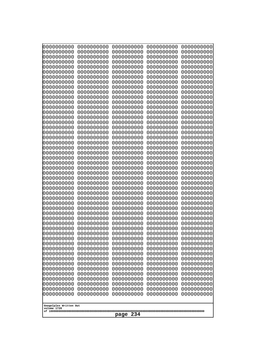| 10000000000<br>0000000000             | 0000000000<br>0000000000 | 0000000000<br>0000000000 | 0000000000<br>0000000000 | 0000000000<br>0000000000 |
|---------------------------------------|--------------------------|--------------------------|--------------------------|--------------------------|
| 0000000000                            | 0000000000               | 0000000000               | 0000000000               | 0000000000               |
| 0000000000                            | 0000000000               | 0000000000               | 0000000000               | 0000000000               |
| 0000000000                            | 0000000000               | 0000000000               | 0000000000               | 0000000000               |
| 0000000000<br>0000000000              | 0000000000<br>0000000000 | 0000000000<br>0000000000 | 0000000000<br>0000000000 | 0000000000<br>0000000000 |
| 0000000000                            | 0000000000               | 0000000000               | 0000000000               | 0000000000               |
| 0000000000                            | 0000000000               | 0000000000               | 0000000000               | 0000000000               |
| 0000000000                            | 0000000000               | 0000000000               | 0000000000               | 0000000000               |
| 0000000000<br>0000000000              | 0000000000<br>0000000000 | 0000000000<br>0000000000 | 0000000000<br>0000000000 | 0000000000<br>0000000000 |
| 0000000000                            | 0000000000               | 0000000000               | 0000000000               | 0000000000               |
| 0000000000                            | 0000000000               | 0000000000               | 0000000000               | 0000000000               |
| 0000000000                            | 0000000000               | 0000000000               | 0000000000               | 0000000000               |
| 0000000000<br>0000000000              | 0000000000<br>0000000000 | 0000000000<br>0000000000 | 0000000000<br>0000000000 | 0000000000<br>0000000000 |
| 0000000000                            | 0000000000               | 0000000000               | 0000000000               | 0000000000               |
| 0000000000                            | 0000000000               | 0000000000               | 0000000000               | 0000000000               |
| 0000000000<br>0000000000              | 0000000000               | 0000000000               | 0000000000               | 0000000000               |
| 0000000000                            | 0000000000<br>0000000000 | 0000000000<br>0000000000 | 0000000000<br>0000000000 | 0000000000<br>0000000000 |
| 0000000000                            | 0000000000               | 0000000000               | 0000000000               | 0000000000               |
| 0000000000                            | 0000000000               | 0000000000               | 0000000000               | 0000000000               |
| 0000000000<br>0000000000              | 0000000000<br>0000000000 | 0000000000<br>0000000000 | 0000000000<br>0000000000 | 0000000000<br>0000000000 |
| 0000000000                            | 0000000000               | 0000000000               | 0000000000               | 0000000000               |
| 0000000000                            | 0000000000               | 0000000000               | 0000000000               | 0000000000               |
| 0000000000                            | 0000000000               | 0000000000               | 0000000000               | 0000000000               |
| 0000000000<br>0000000000              | 0000000000<br>0000000000 | 0000000000<br>0000000000 | 0000000000<br>0000000000 | 0000000000<br>0000000000 |
| 0000000000                            | 0000000000               | 0000000000               | 0000000000               | 0000000000               |
| 0000000000                            | 0000000000               | 0000000000               | 0000000000               | 0000000000               |
| 0000000000<br>0000000000              | 0000000000<br>0000000000 | 0000000000<br>0000000000 | 0000000000<br>0000000000 | 0000000000<br>0000000000 |
| 0000000000                            | 0000000000               | 0000000000               | 0000000000               | 0000000000               |
| 0000000000                            | 0000000000               | 0000000000               | 0000000000               | 0000000000               |
| 0000000000                            | 0000000000               | 0000000000               | 0000000000               | 0000000000               |
| 0000000000<br>0000000000              | 0000000000<br>0000000000 | 0000000000<br>0000000000 | 0000000000<br>0000000000 | 0000000000<br>0000000000 |
| 0000000000                            | 0000000000               | 0000000000               | 0000000000               | 0000000000               |
| 0000000000                            | 0000000000               | 0000000000               | 0000000000               | 0000000000               |
| 0000000000<br>0000000000              | 0000000000<br>0000000000 | 0000000000<br>0000000000 | 0000000000<br>0000000000 | 0000000000<br>0000000000 |
| 0000000000                            | 0000000000               | 0000000000               | 0000000000               | 0000000000               |
| 0000000000                            | 0000000000               | 0000000000               | 0000000000               | 0000000000               |
| 0000000000                            | 0000000000               | 0000000000               | 0000000000               | 0000000000               |
| 0000000000<br>0000000000              | 0000000000<br>0000000000 | 0000000000<br>0000000000 | 0000000000<br>0000000000 | 0000000000<br>0000000000 |
| 0000000000                            | 0000000000               | 0000000000               | 0000000000               | 0000000000               |
|                                       |                          |                          |                          |                          |
| Googolplex Written Out<br>volume 1720 |                          |                          |                          |                          |
|                                       |                          | 234<br>page              |                          |                          |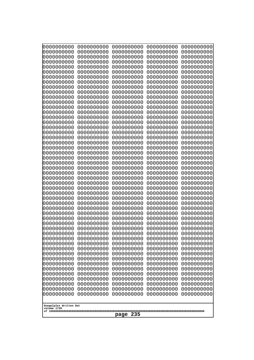| 10000000000<br>0000000000             | 0000000000<br>0000000000 | 0000000000<br>0000000000 | 0000000000<br>0000000000 | 0000000000<br>0000000000 |
|---------------------------------------|--------------------------|--------------------------|--------------------------|--------------------------|
| 0000000000                            | 0000000000               | 0000000000               | 0000000000               | 0000000000               |
| 0000000000                            | 0000000000               | 0000000000               | 0000000000               | 0000000000               |
| 0000000000                            | 0000000000               | 0000000000               | 0000000000               | 0000000000               |
| 0000000000<br>0000000000              | 0000000000<br>0000000000 | 0000000000<br>0000000000 | 0000000000<br>0000000000 | 0000000000<br>0000000000 |
| 0000000000                            | 0000000000               | 0000000000               | 0000000000               | 0000000000               |
| 0000000000                            | 0000000000               | 0000000000               | 0000000000               | 0000000000               |
| 0000000000                            | 0000000000               | 0000000000               | 0000000000               | 0000000000               |
| 0000000000<br>0000000000              | 0000000000<br>0000000000 | 0000000000<br>0000000000 | 0000000000<br>0000000000 | 0000000000               |
| 0000000000                            | 0000000000               | 0000000000               | 0000000000               | 0000000000<br>0000000000 |
| 0000000000                            | 0000000000               | 0000000000               | 0000000000               | 0000000000               |
| 0000000000                            | 0000000000               | 0000000000               | 0000000000               | 0000000000               |
| 0000000000                            | 0000000000               | 0000000000               | 0000000000               | 0000000000               |
| 0000000000<br>0000000000              | 0000000000<br>0000000000 | 0000000000<br>0000000000 | 0000000000<br>0000000000 | 0000000000<br>0000000000 |
| 0000000000                            | 0000000000               | 0000000000               | 0000000000               | 0000000000               |
| 0000000000                            | 0000000000               | 0000000000               | 0000000000               | 0000000000               |
| 0000000000                            | 0000000000<br>0000000000 | 0000000000               | 0000000000               | 0000000000               |
| 0000000000<br>0000000000              | 0000000000               | 0000000000<br>0000000000 | 0000000000<br>0000000000 | 0000000000<br>0000000000 |
| 0000000000                            | 0000000000               | 0000000000               | 0000000000               | 0000000000               |
| 0000000000                            | 0000000000               | 0000000000               | 0000000000               | 0000000000               |
| 0000000000                            | 0000000000<br>0000000000 | 0000000000<br>0000000000 | 0000000000<br>0000000000 | 0000000000               |
| 0000000000<br>0000000000              | 0000000000               | 0000000000               | 0000000000               | 0000000000<br>0000000000 |
| 0000000000                            | 0000000000               | 0000000000               | 0000000000               | 0000000000               |
| 0000000000                            | 0000000000               | 0000000000               | 0000000000               | 0000000000               |
| 0000000000<br>0000000000              | 0000000000<br>0000000000 | 0000000000<br>0000000000 | 0000000000<br>0000000000 | 0000000000<br>0000000000 |
| 0000000000                            | 0000000000               | 0000000000               | 0000000000               | 0000000000               |
| 0000000000                            | 0000000000               | 0000000000               | 0000000000               | 0000000000               |
| 0000000000                            | 0000000000               | 0000000000               | 0000000000               | 0000000000               |
| 0000000000                            | 0000000000<br>0000000000 | 0000000000<br>0000000000 | 0000000000               | 0000000000               |
| 0000000000<br>0000000000              | 0000000000               | 0000000000               | 0000000000<br>0000000000 | 0000000000<br>0000000000 |
| 0000000000                            | 0000000000               | 0000000000               | 0000000000               | 0000000000               |
| 0000000000                            | 0000000000               | 0000000000               | 0000000000               | 0000000000               |
| 0000000000                            | 0000000000               | 0000000000               | 0000000000               | 0000000000               |
| 0000000000<br>0000000000              | 0000000000<br>0000000000 | 0000000000<br>0000000000 | 0000000000<br>0000000000 | 0000000000<br>0000000000 |
| 0000000000                            | 0000000000               | 0000000000               | 0000000000               | 0000000000               |
| 0000000000                            | 0000000000               | 0000000000               | 0000000000               | 0000000000               |
| 0000000000                            | 0000000000               | 0000000000               | 0000000000               | 0000000000               |
| 0000000000<br>0000000000              | 0000000000<br>0000000000 | 0000000000<br>0000000000 | 0000000000<br>0000000000 | 0000000000<br>0000000000 |
| 0000000000                            | 0000000000               | 0000000000               | 0000000000               | 0000000000               |
| 0000000000                            | 0000000000               | 0000000000               | 0000000000               | 0000000000               |
|                                       |                          |                          |                          |                          |
| Googolplex Written Out<br>volume 1720 |                          |                          |                          |                          |
| 235<br>page                           |                          |                          |                          |                          |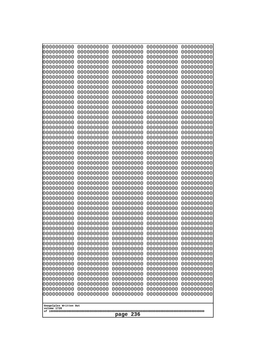| 10000000000<br>0000000000             | 0000000000<br>0000000000 | 0000000000<br>0000000000 | 0000000000<br>0000000000 | 0000000000<br>0000000000 |
|---------------------------------------|--------------------------|--------------------------|--------------------------|--------------------------|
| 0000000000                            | 0000000000               | 0000000000               | 0000000000               | 0000000000               |
| 0000000000                            | 0000000000               | 0000000000               | 0000000000               | 0000000000               |
| 0000000000<br>0000000000              | 0000000000<br>0000000000 | 0000000000<br>0000000000 | 0000000000<br>0000000000 | 0000000000<br>0000000000 |
| 0000000000                            | 0000000000               | 0000000000               | 0000000000               | 0000000000               |
| 0000000000                            | 0000000000               | 0000000000               | 0000000000               | 0000000000               |
| 0000000000                            | 0000000000               | 0000000000               | 0000000000               | 0000000000               |
| 0000000000<br>0000000000              | 0000000000<br>0000000000 | 0000000000<br>0000000000 | 0000000000<br>0000000000 | 0000000000<br>0000000000 |
| 0000000000                            | 0000000000               | 0000000000               | 0000000000               | 0000000000               |
| 0000000000                            | 0000000000               | 0000000000               | 0000000000               | 0000000000               |
| 0000000000<br>0000000000              | 0000000000<br>0000000000 | 0000000000<br>0000000000 | 0000000000<br>0000000000 | 0000000000<br>0000000000 |
| 0000000000                            | 0000000000               | 0000000000               | 0000000000               | 0000000000               |
| 0000000000                            | 0000000000               | 0000000000               | 0000000000               | 0000000000               |
| 0000000000<br>0000000000              | 0000000000<br>0000000000 | 0000000000<br>0000000000 | 0000000000<br>0000000000 | 0000000000<br>0000000000 |
| 0000000000                            | 0000000000               | 0000000000               | 0000000000               | 0000000000               |
| 0000000000                            | 0000000000               | 0000000000               | 0000000000               | 0000000000               |
| 0000000000                            | 0000000000               | 0000000000               | 0000000000               | 0000000000               |
| 0000000000<br>0000000000              | 0000000000<br>0000000000 | 0000000000<br>0000000000 | 0000000000<br>0000000000 | 0000000000<br>0000000000 |
| 0000000000                            | 0000000000               | 0000000000               | 0000000000               | 0000000000               |
| 0000000000                            | 0000000000               | 0000000000               | 0000000000               | 0000000000               |
| 0000000000<br>0000000000              | 0000000000<br>0000000000 | 0000000000<br>0000000000 | 0000000000<br>0000000000 | 0000000000<br>0000000000 |
| 0000000000                            | 0000000000               | 0000000000               | 0000000000               | 0000000000               |
| 0000000000                            | 0000000000               | 0000000000               | 0000000000               | 0000000000               |
| 0000000000<br>0000000000              | 0000000000<br>0000000000 | 0000000000<br>0000000000 | 0000000000<br>0000000000 | 0000000000<br>0000000000 |
| 0000000000                            | 0000000000               | 0000000000               | 0000000000               | 0000000000               |
| 0000000000                            | 0000000000               | 0000000000               | 0000000000               | 0000000000               |
| 0000000000<br>0000000000              | 0000000000<br>0000000000 | 0000000000               | 0000000000               | 0000000000               |
| 0000000000                            | 0000000000               | 0000000000<br>0000000000 | 0000000000<br>0000000000 | 0000000000<br>0000000000 |
| 0000000000                            | 0000000000               | 0000000000               | 0000000000               | 0000000000               |
| 0000000000                            | 0000000000               | 0000000000               | 0000000000               | 0000000000               |
| 0000000000<br>0000000000              | 0000000000<br>0000000000 | 0000000000<br>0000000000 | 0000000000<br>0000000000 | 0000000000<br>0000000000 |
| 0000000000                            | 0000000000               | 0000000000               | 0000000000               | 0000000000               |
| 0000000000                            | 0000000000               | 0000000000               | 0000000000               | 0000000000               |
| 0000000000<br>0000000000              | 0000000000<br>0000000000 | 0000000000<br>0000000000 | 0000000000<br>0000000000 | 0000000000<br>0000000000 |
| 0000000000                            | 0000000000               | 0000000000               | 0000000000               | 0000000000               |
| 0000000000                            | 0000000000               | 0000000000               | 0000000000               | 0000000000               |
| 0000000000<br>0000000000              | 0000000000<br>0000000000 | 0000000000<br>0000000000 | 0000000000<br>0000000000 | 0000000000<br>0000000000 |
| 0000000000                            | 0000000000               | 0000000000               | 0000000000               | 0000000000               |
|                                       |                          |                          |                          |                          |
| Googolplex Written Out<br>volume 1720 |                          |                          |                          |                          |
| 236<br>page                           |                          |                          |                          |                          |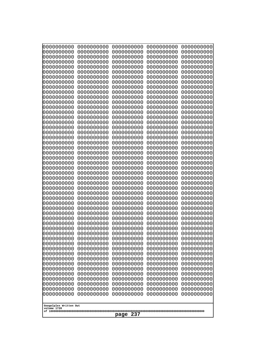| 000000000<br>0000000000               | 0000000000<br>0000000000 | 0000000000<br>0000000000 | 0000000000<br>0000000000 | 0000000000<br>0000000000 |  |
|---------------------------------------|--------------------------|--------------------------|--------------------------|--------------------------|--|
| 0000000000<br>0000000000              | 0000000000<br>0000000000 | 0000000000<br>0000000000 | 0000000000<br>0000000000 | 0000000000<br>0000000000 |  |
| 0000000000                            | 0000000000               | 0000000000               | 0000000000               | 0000000000               |  |
| 0000000000<br>0000000000              | 0000000000<br>0000000000 | 0000000000<br>0000000000 | 0000000000<br>0000000000 | 0000000000<br>0000000000 |  |
| 0000000000                            | 0000000000               | 0000000000               | 0000000000               | 0000000000               |  |
| 0000000000<br>0000000000              | 0000000000<br>0000000000 | 0000000000<br>0000000000 | 0000000000<br>0000000000 | 0000000000<br>0000000000 |  |
| 0000000000                            | 0000000000               | 0000000000               | 0000000000               | 0000000000               |  |
| 0000000000<br>0000000000              | 0000000000<br>0000000000 | 0000000000<br>0000000000 | 0000000000<br>0000000000 | 0000000000<br>0000000000 |  |
| 0000000000                            | 0000000000               | 0000000000               | 0000000000               | 0000000000               |  |
| 0000000000                            | 0000000000               | 0000000000               | 0000000000               | 0000000000               |  |
| 0000000000<br>0000000000              | 0000000000<br>0000000000 | 0000000000<br>0000000000 | 0000000000<br>0000000000 | 0000000000<br>0000000000 |  |
| 0000000000                            | 0000000000               | 0000000000               | 0000000000               | 0000000000               |  |
| 0000000000<br>0000000000              | 0000000000<br>0000000000 | 0000000000<br>0000000000 | 0000000000<br>0000000000 | 0000000000<br>0000000000 |  |
| 0000000000                            | 0000000000               | 0000000000               | 0000000000               | 0000000000               |  |
| 0000000000<br>0000000000              | 0000000000<br>0000000000 | 0000000000<br>0000000000 | 0000000000<br>0000000000 | 0000000000<br>0000000000 |  |
| 0000000000                            | 0000000000               | 0000000000               | 0000000000               | 0000000000               |  |
| 0000000000<br>0000000000              | 0000000000<br>0000000000 | 0000000000<br>0000000000 | 0000000000<br>0000000000 | 0000000000<br>0000000000 |  |
| 0000000000                            | 0000000000               | 0000000000               | 0000000000               | 0000000000               |  |
| 0000000000<br>0000000000              | 0000000000<br>0000000000 | 0000000000<br>0000000000 | 0000000000<br>0000000000 | 0000000000<br>0000000000 |  |
| 0000000000                            | 0000000000               | 0000000000               | 0000000000               | 0000000000               |  |
| 0000000000<br>0000000000              | 0000000000<br>0000000000 | 0000000000<br>0000000000 | 0000000000<br>0000000000 | 0000000000<br>0000000000 |  |
| 0000000000                            | 0000000000               | 0000000000               | 0000000000               | 0000000000               |  |
| 0000000000<br>0000000000              | 0000000000<br>0000000000 | 0000000000<br>0000000000 | 0000000000<br>0000000000 | 0000000000<br>0000000000 |  |
| 0000000000                            | 0000000000               | 0000000000               | 0000000000               | 0000000000               |  |
| 0000000000<br>0000000000              | 0000000000               | 0000000000               | 0000000000               | 0000000000               |  |
| 0000000000                            | 0000000000<br>0000000000 | 0000000000<br>0000000000 | 0000000000<br>0000000000 | 0000000000<br>0000000000 |  |
| 0000000000                            | 0000000000               | 0000000000               | 0000000000               | 0000000000               |  |
| 0000000000<br>0000000000              | 0000000000<br>0000000000 | 0000000000<br>0000000000 | 0000000000<br>0000000000 | 0000000000<br>0000000000 |  |
| 0000000000                            | 0000000000               | 0000000000               | 0000000000               | 0000000000               |  |
| 0000000000<br>0000000000              | 0000000000<br>0000000000 | 0000000000<br>0000000000 | 0000000000<br>0000000000 | 0000000000<br>0000000000 |  |
| 0000000000                            | 0000000000               | 0000000000               | 0000000000               | 0000000000               |  |
| 0000000000<br>0000000000              | 0000000000<br>0000000000 | 0000000000<br>0000000000 | 0000000000<br>0000000000 | 0000000000<br>0000000000 |  |
| 0000000000                            | 0000000000               | 0000000000               | 0000000000               | 0000000000               |  |
| 0000000000                            | 0000000000               | 0000000000               | 0000000000               | 0000000000               |  |
| Googolplex Written Out<br>volume 1720 |                          |                          |                          |                          |  |
|                                       | 237<br>page              |                          |                          |                          |  |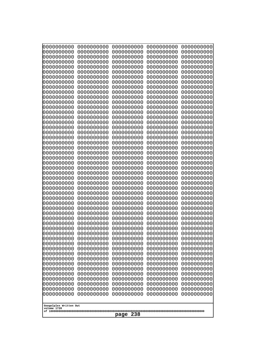| 10000000000<br>0000000000             | 0000000000<br>0000000000 | 0000000000<br>0000000000 | 0000000000<br>0000000000 | 0000000000<br>0000000000 |
|---------------------------------------|--------------------------|--------------------------|--------------------------|--------------------------|
| 0000000000                            | 0000000000               | 0000000000               | 0000000000               | 0000000000               |
| 0000000000                            | 0000000000               | 0000000000               | 0000000000               | 0000000000               |
| 0000000000<br>0000000000              | 0000000000<br>0000000000 | 0000000000<br>0000000000 | 0000000000<br>0000000000 | 0000000000<br>0000000000 |
| 0000000000                            | 0000000000               | 0000000000               | 0000000000               | 0000000000               |
| 0000000000                            | 0000000000               | 0000000000               | 0000000000               | 0000000000               |
| 0000000000<br>0000000000              | 0000000000<br>0000000000 | 0000000000<br>0000000000 | 0000000000<br>0000000000 | 0000000000<br>0000000000 |
| 0000000000                            | 0000000000               | 0000000000               | 0000000000               | 0000000000               |
| 0000000000                            | 0000000000               | 0000000000               | 0000000000               | 0000000000               |
| 0000000000                            | 0000000000               | 0000000000               | 0000000000               | 0000000000               |
| 0000000000<br>0000000000              | 0000000000<br>0000000000 | 0000000000<br>0000000000 | 0000000000<br>0000000000 | 0000000000<br>0000000000 |
| 0000000000                            | 0000000000               | 0000000000               | 0000000000               | 0000000000               |
| 0000000000                            | 0000000000               | 0000000000               | 0000000000               | 0000000000               |
| 0000000000<br>0000000000              | 0000000000<br>0000000000 | 0000000000<br>0000000000 | 0000000000<br>0000000000 | 0000000000<br>0000000000 |
| 0000000000                            | 0000000000               | 0000000000               | 0000000000               | 0000000000               |
| 0000000000                            | 0000000000               | 0000000000               | 0000000000               | 0000000000               |
| 0000000000<br>0000000000              | 0000000000<br>0000000000 | 0000000000<br>0000000000 | 0000000000<br>0000000000 | 0000000000<br>0000000000 |
| 0000000000                            | 0000000000               | 0000000000               | 0000000000               | 0000000000               |
| 0000000000                            | 0000000000               | 0000000000               | 0000000000               | 0000000000               |
| 0000000000<br>0000000000              | 0000000000<br>0000000000 | 0000000000<br>0000000000 | 0000000000<br>0000000000 | 0000000000<br>0000000000 |
| 0000000000                            | 0000000000               | 0000000000               | 0000000000               | 0000000000               |
| 0000000000                            | 0000000000               | 0000000000               | 0000000000               | 0000000000               |
| 0000000000                            | 0000000000<br>0000000000 | 0000000000<br>0000000000 | 0000000000<br>0000000000 | 0000000000               |
| 0000000000<br>0000000000              | 0000000000               | 0000000000               | 0000000000               | 0000000000<br>0000000000 |
| 0000000000                            | 0000000000               | 0000000000               | 0000000000               | 0000000000               |
| 0000000000                            | 0000000000               | 0000000000               | 0000000000               | 0000000000               |
| 0000000000<br>0000000000              | 0000000000<br>0000000000 | 0000000000<br>0000000000 | 0000000000<br>0000000000 | 0000000000<br>0000000000 |
| 0000000000                            | 0000000000               | 0000000000               | 0000000000               | 0000000000               |
| 0000000000                            | 0000000000               | 0000000000               | 0000000000               | 0000000000               |
| 0000000000<br>0000000000              | 0000000000<br>0000000000 | 0000000000<br>0000000000 | 0000000000<br>0000000000 | 0000000000<br>0000000000 |
| 0000000000                            | 0000000000               | 0000000000               | 0000000000               | 0000000000               |
| 0000000000                            | 0000000000               | 0000000000               | 0000000000               | 0000000000               |
| 0000000000<br>0000000000              | 0000000000<br>0000000000 | 0000000000<br>0000000000 | 0000000000<br>0000000000 | 0000000000<br>0000000000 |
| 0000000000                            | 0000000000               | 0000000000               | 0000000000               | 0000000000               |
| 0000000000                            | 0000000000               | 0000000000               | 0000000000               | 0000000000               |
| 0000000000<br>0000000000              | 0000000000<br>0000000000 | 0000000000<br>0000000000 | 0000000000<br>0000000000 | 0000000000<br>0000000000 |
| 0000000000                            | 0000000000               | 0000000000               | 0000000000               | 0000000000               |
| 0000000000                            | 0000000000               | 0000000000               | 0000000000               | 0000000000               |
|                                       |                          |                          |                          |                          |
| Googolplex Written Out<br>volume 1720 |                          |                          |                          |                          |
| 238<br>page                           |                          |                          |                          |                          |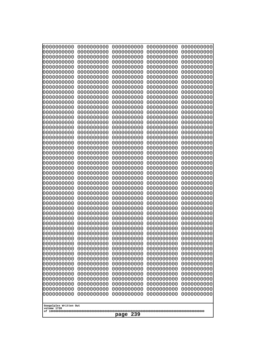| 10000000000                           | 0000000000               | 0000000000               | 0000000000               | 0000000000               |
|---------------------------------------|--------------------------|--------------------------|--------------------------|--------------------------|
| 0000000000<br>0000000000              | 0000000000<br>0000000000 | 0000000000<br>0000000000 | 0000000000<br>0000000000 | 0000000000<br>0000000000 |
| 0000000000                            | 0000000000               | 0000000000               | 0000000000               | 0000000000               |
| 0000000000                            | 0000000000               | 0000000000               | 0000000000               | 0000000000               |
| 0000000000                            | 0000000000               | 0000000000               | 0000000000               | 0000000000               |
| 0000000000<br>0000000000              | 0000000000<br>0000000000 | 0000000000<br>0000000000 | 0000000000<br>0000000000 | 0000000000<br>0000000000 |
| 0000000000                            | 0000000000               | 0000000000               | 0000000000               | 0000000000               |
| 0000000000                            | 0000000000               | 0000000000               | 0000000000               | 0000000000               |
| 0000000000                            | 0000000000               | 0000000000               | 0000000000               | 0000000000               |
| 0000000000<br>0000000000              | 0000000000<br>0000000000 | 0000000000<br>0000000000 | 0000000000<br>0000000000 | 0000000000<br>0000000000 |
| 0000000000                            | 0000000000               | 0000000000               | 0000000000               | 0000000000               |
| 0000000000                            | 0000000000               | 0000000000               | 0000000000               | 0000000000               |
| 0000000000                            | 0000000000               | 0000000000               | 0000000000               | 0000000000               |
| 0000000000<br>0000000000              | 0000000000<br>0000000000 | 0000000000<br>0000000000 | 0000000000<br>0000000000 | 0000000000<br>0000000000 |
| 0000000000                            | 0000000000               | 0000000000               | 0000000000               | 0000000000               |
| 0000000000                            | 0000000000               | 0000000000               | 0000000000               | 0000000000               |
| 0000000000                            | 0000000000               | 0000000000               | 0000000000               | 0000000000               |
| 0000000000<br>0000000000              | 0000000000<br>0000000000 | 0000000000<br>0000000000 | 0000000000<br>0000000000 | 0000000000<br>0000000000 |
| 0000000000                            | 0000000000               | 0000000000               | 0000000000               | 0000000000               |
| 0000000000                            | 0000000000               | 0000000000               | 0000000000               | 0000000000               |
| 0000000000                            | 0000000000               | 0000000000               | 0000000000               | 0000000000               |
| 0000000000<br>0000000000              | 0000000000<br>0000000000 | 0000000000<br>0000000000 | 0000000000<br>0000000000 | 0000000000<br>0000000000 |
| 0000000000                            | 0000000000               | 0000000000               | 0000000000               | 0000000000               |
| 0000000000                            | 0000000000               | 0000000000               | 0000000000               | 0000000000               |
| 0000000000                            | 0000000000               | 0000000000               | 0000000000               | 0000000000               |
| 0000000000<br>0000000000              | 0000000000<br>0000000000 | 0000000000<br>0000000000 | 0000000000<br>0000000000 | 0000000000<br>0000000000 |
| 0000000000                            | 0000000000               | 0000000000               | 0000000000               | 0000000000               |
| 0000000000                            | 0000000000               | 0000000000               | 0000000000               | 0000000000               |
| 0000000000<br>0000000000              | 0000000000<br>0000000000 | 0000000000<br>0000000000 | 0000000000<br>0000000000 | 0000000000<br>0000000000 |
| 0000000000                            | 0000000000               | 0000000000               | 0000000000               | 0000000000               |
| 0000000000                            | 0000000000               | 0000000000               | 0000000000               | 0000000000               |
| 0000000000                            | 0000000000               | 0000000000               | 0000000000               | 0000000000               |
| 0000000000<br>0000000000              | 0000000000<br>0000000000 | 0000000000<br>0000000000 | 0000000000<br>0000000000 | 0000000000<br>0000000000 |
| 0000000000                            | 0000000000               | 0000000000               | 0000000000               | 0000000000               |
| 0000000000                            | 0000000000               | 0000000000               | 0000000000               | 0000000000               |
| 0000000000                            | 0000000000               | 0000000000               | 0000000000               | 0000000000               |
| 0000000000<br>0000000000              | 0000000000<br>0000000000 | 0000000000<br>0000000000 | 0000000000<br>0000000000 | 0000000000<br>0000000000 |
| 0000000000                            | 0000000000               | 0000000000               | 0000000000               | 0000000000               |
| 0000000000                            | 0000000000               | 0000000000               | 0000000000               | 0000000000               |
| 0000000000                            | 0000000000               | 0000000000               | 0000000000               | 0000000000               |
|                                       |                          |                          |                          |                          |
| Googolplex Written Out<br>volume 1720 |                          |                          |                          |                          |
| 239<br>page                           |                          |                          |                          |                          |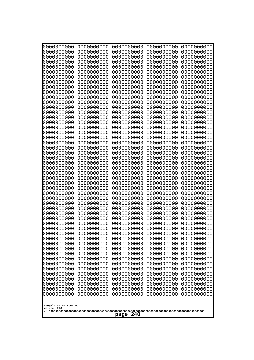| 10000000000<br>0000000000             | 0000000000<br>0000000000 | 0000000000<br>0000000000 | 0000000000<br>0000000000 | 0000000000<br>0000000000 |
|---------------------------------------|--------------------------|--------------------------|--------------------------|--------------------------|
| 0000000000                            | 0000000000               | 0000000000               | 0000000000               | 0000000000               |
| 0000000000                            | 0000000000               | 0000000000               | 0000000000               | 0000000000               |
| 0000000000<br>0000000000              | 0000000000<br>0000000000 | 0000000000               | 0000000000<br>0000000000 | 0000000000               |
| 0000000000                            | 0000000000               | 0000000000<br>0000000000 | 0000000000               | 0000000000<br>0000000000 |
| 0000000000                            | 0000000000               | 0000000000               | 0000000000               | 0000000000               |
| 0000000000                            | 0000000000               | 0000000000               | 0000000000               | 0000000000               |
| 0000000000<br>0000000000              | 0000000000<br>0000000000 | 0000000000<br>0000000000 | 0000000000<br>0000000000 | 0000000000<br>0000000000 |
| 0000000000                            | 0000000000               | 0000000000               | 0000000000               | 0000000000               |
| 0000000000                            | 0000000000               | 0000000000               | 0000000000               | 0000000000               |
| 0000000000<br>0000000000              | 0000000000<br>0000000000 | 0000000000<br>0000000000 | 0000000000<br>0000000000 | 0000000000<br>0000000000 |
| 0000000000                            | 0000000000               | 0000000000               | 0000000000               | 0000000000               |
| 0000000000                            | 0000000000               | 0000000000               | 0000000000               | 0000000000               |
| 0000000000<br>0000000000              | 0000000000<br>0000000000 | 0000000000<br>0000000000 | 0000000000<br>0000000000 | 0000000000               |
| 0000000000                            | 0000000000               | 0000000000               | 0000000000               | 0000000000<br>0000000000 |
| 0000000000                            | 0000000000               | 0000000000               | 0000000000               | 0000000000               |
| 0000000000                            | 0000000000               | 0000000000               | 0000000000               | 0000000000               |
| 0000000000<br>0000000000              | 0000000000<br>0000000000 | 0000000000<br>0000000000 | 0000000000<br>0000000000 | 0000000000<br>0000000000 |
| 0000000000                            | 0000000000               | 0000000000               | 0000000000               | 0000000000               |
| 0000000000                            | 0000000000               | 0000000000               | 0000000000               | 0000000000               |
| 0000000000<br>0000000000              | 0000000000<br>0000000000 | 0000000000<br>0000000000 | 0000000000<br>0000000000 | 0000000000<br>0000000000 |
| 0000000000                            | 0000000000               | 0000000000               | 0000000000               | 0000000000               |
| 0000000000                            | 0000000000               | 0000000000               | 0000000000               | 0000000000               |
| 0000000000<br>0000000000              | 0000000000<br>0000000000 | 0000000000<br>0000000000 | 0000000000<br>0000000000 | 0000000000<br>0000000000 |
| 0000000000                            | 0000000000               | 0000000000               | 0000000000               | 0000000000               |
| 0000000000                            | 0000000000               | 0000000000               | 0000000000               | 0000000000               |
| 0000000000<br>0000000000              | 0000000000<br>0000000000 | 0000000000               | 0000000000               | 0000000000               |
| 0000000000                            | 0000000000               | 0000000000<br>0000000000 | 0000000000<br>0000000000 | 0000000000<br>0000000000 |
| 0000000000                            | 0000000000               | 0000000000               | 0000000000               | 0000000000               |
| 0000000000                            | 0000000000               | 0000000000               | 0000000000               | 0000000000               |
| 0000000000<br>0000000000              | 0000000000<br>0000000000 | 0000000000<br>0000000000 | 0000000000<br>0000000000 | 0000000000<br>0000000000 |
| 0000000000                            | 0000000000               | 0000000000               | 0000000000               | 0000000000               |
| 0000000000                            | 0000000000               | 0000000000               | 0000000000               | 0000000000               |
| 0000000000<br>0000000000              | 0000000000<br>0000000000 | 0000000000<br>0000000000 | 0000000000<br>0000000000 | 0000000000<br>0000000000 |
| 0000000000                            | 0000000000               | 0000000000               | 0000000000               | 0000000000               |
| 0000000000                            | 0000000000               | 0000000000               | 0000000000               | 0000000000               |
| 0000000000<br>0000000000              | 0000000000<br>0000000000 | 0000000000<br>0000000000 | 0000000000<br>0000000000 | 0000000000<br>0000000000 |
| 0000000000                            | 0000000000               | 0000000000               | 0000000000               | 0000000000               |
|                                       |                          |                          |                          |                          |
| Googolplex Written Out<br>volume 1720 |                          |                          |                          |                          |
| 240<br>page                           |                          |                          |                          |                          |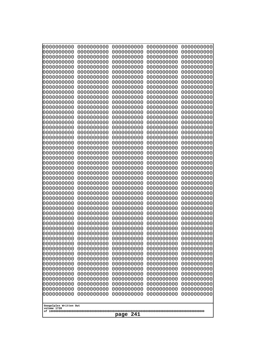| 10000000000<br>0000000000 | 0000000000<br>0000000000 | 0000000000<br>0000000000 | 0000000000<br>0000000000 | 0000000000<br>0000000000 |
|---------------------------|--------------------------|--------------------------|--------------------------|--------------------------|
| 0000000000                | 0000000000               | 0000000000               | 0000000000               | 0000000000               |
| 0000000000                | 0000000000               | 0000000000               | 0000000000               | 0000000000               |
| 0000000000<br>0000000000  | 0000000000<br>0000000000 | 0000000000               | 0000000000<br>0000000000 | 0000000000               |
| 0000000000                | 0000000000               | 0000000000<br>0000000000 | 0000000000               | 0000000000<br>0000000000 |
| 0000000000                | 0000000000               | 0000000000               | 0000000000               | 0000000000               |
| 0000000000                | 0000000000               | 0000000000               | 0000000000               | 0000000000               |
| 0000000000<br>0000000000  | 0000000000<br>0000000000 | 0000000000<br>0000000000 | 0000000000<br>0000000000 | 0000000000<br>0000000000 |
| 0000000000                | 0000000000               | 0000000000               | 0000000000               | 0000000000               |
| 0000000000                | 0000000000               | 0000000000               | 0000000000               | 0000000000               |
| 0000000000                | 0000000000               | 0000000000               | 0000000000               | 0000000000               |
| 0000000000<br>0000000000  | 0000000000<br>0000000000 | 0000000000<br>0000000000 | 0000000000<br>0000000000 | 0000000000<br>0000000000 |
| 0000000000                | 0000000000               | 0000000000               | 0000000000               | 0000000000               |
| 0000000000                | 0000000000               | 0000000000               | 0000000000               | 0000000000               |
| 0000000000<br>0000000000  | 0000000000<br>0000000000 | 0000000000<br>0000000000 | 0000000000<br>0000000000 | 0000000000<br>0000000000 |
| 0000000000                | 0000000000               | 0000000000               | 0000000000               | 0000000000               |
| 0000000000                | 0000000000               | 0000000000               | 0000000000               | 0000000000               |
| 0000000000                | 0000000000               | 0000000000               | 0000000000               | 0000000000               |
| 0000000000<br>0000000000  | 0000000000<br>0000000000 | 0000000000<br>0000000000 | 0000000000<br>0000000000 | 0000000000<br>0000000000 |
| 0000000000                | 0000000000               | 0000000000               | 0000000000               | 0000000000               |
| 0000000000                | 0000000000               | 0000000000               | 0000000000               | 0000000000               |
| 0000000000<br>0000000000  | 0000000000<br>0000000000 | 0000000000<br>0000000000 | 0000000000<br>0000000000 | 0000000000<br>0000000000 |
| 0000000000                | 0000000000               | 0000000000               | 0000000000               | 0000000000               |
| 0000000000                | 0000000000               | 0000000000               | 0000000000               | 0000000000               |
| 0000000000                | 0000000000               | 0000000000               | 0000000000               | 0000000000               |
| 0000000000<br>0000000000  | 0000000000<br>0000000000 | 0000000000<br>0000000000 | 0000000000<br>0000000000 | 0000000000<br>0000000000 |
| 0000000000                | 0000000000               | 0000000000               | 0000000000               | 0000000000               |
| 0000000000                | 0000000000               | 0000000000               | 0000000000               | 0000000000               |
| 0000000000<br>0000000000  | 0000000000<br>0000000000 | 0000000000<br>0000000000 | 0000000000<br>0000000000 | 0000000000<br>0000000000 |
| 0000000000                | 0000000000               | 0000000000               | 0000000000               | 0000000000               |
| 0000000000                | 0000000000               | 0000000000               | 0000000000               | 0000000000               |
| 0000000000<br>0000000000  | 0000000000               | 0000000000               | 0000000000               | 0000000000               |
| 0000000000                | 0000000000<br>0000000000 | 0000000000<br>0000000000 | 0000000000<br>0000000000 | 0000000000<br>0000000000 |
| 0000000000                | 0000000000               | 0000000000               | 0000000000               | 0000000000               |
| 0000000000                | 0000000000               | 0000000000               | 0000000000               | 0000000000               |
| 0000000000<br>0000000000  | 0000000000<br>0000000000 | 0000000000<br>0000000000 | 0000000000<br>0000000000 | 0000000000<br>0000000000 |
| 0000000000                | 0000000000               | 0000000000               | 0000000000               | 0000000000               |
| 0000000000                | 0000000000               | 0000000000               | 0000000000               | 0000000000               |
| 0000000000                | 0000000000               | 0000000000               | 0000000000               | 0000000000               |
| Googolplex Written Out    |                          |                          |                          |                          |
| volume 1720               |                          |                          |                          |                          |
| 241<br>page               |                          |                          |                          |                          |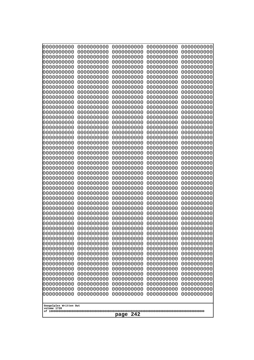| 000000000<br>0000000000               | 0000000000<br>0000000000 | 0000000000<br>0000000000 | 0000000000<br>0000000000 | 0000000000<br>0000000000 |  |
|---------------------------------------|--------------------------|--------------------------|--------------------------|--------------------------|--|
| 0000000000                            | 0000000000               | 0000000000               | 0000000000               | 0000000000               |  |
| 0000000000<br>0000000000              | 0000000000<br>0000000000 | 0000000000<br>0000000000 | 0000000000<br>0000000000 | 0000000000<br>0000000000 |  |
| 0000000000                            | 0000000000               | 0000000000               | 0000000000               | 0000000000               |  |
| 0000000000<br>0000000000              | 0000000000<br>0000000000 | 0000000000<br>0000000000 | 0000000000<br>0000000000 | 0000000000<br>0000000000 |  |
| 0000000000                            | 0000000000               | 0000000000               | 0000000000               | 0000000000               |  |
| 0000000000<br>0000000000              | 0000000000<br>0000000000 | 0000000000<br>0000000000 | 0000000000<br>0000000000 | 0000000000<br>0000000000 |  |
| 0000000000                            | 0000000000               | 0000000000               | 0000000000               | 0000000000               |  |
| 0000000000                            | 0000000000               | 0000000000               | 0000000000               | 0000000000               |  |
| 0000000000<br>0000000000              | 0000000000<br>0000000000 | 0000000000<br>0000000000 | 0000000000<br>0000000000 | 0000000000<br>0000000000 |  |
| 0000000000                            | 0000000000               | 0000000000               | 0000000000               | 0000000000               |  |
| 0000000000<br>0000000000              | 0000000000<br>0000000000 | 0000000000<br>0000000000 | 0000000000<br>0000000000 | 0000000000<br>0000000000 |  |
| 0000000000                            | 0000000000               | 0000000000               | 0000000000               | 0000000000               |  |
| 0000000000<br>0000000000              | 0000000000<br>0000000000 | 0000000000<br>0000000000 | 0000000000<br>0000000000 | 0000000000<br>0000000000 |  |
| 0000000000                            | 0000000000               | 0000000000               | 0000000000               | 0000000000               |  |
| 0000000000<br>0000000000              | 0000000000<br>0000000000 | 0000000000<br>0000000000 | 0000000000<br>0000000000 | 0000000000<br>0000000000 |  |
| 0000000000                            | 0000000000               | 0000000000               | 0000000000               | 0000000000               |  |
| 0000000000                            | 0000000000               | 0000000000               | 0000000000               | 0000000000               |  |
| 0000000000<br>0000000000              | 0000000000<br>0000000000 | 0000000000<br>0000000000 | 0000000000<br>0000000000 | 0000000000<br>0000000000 |  |
| 0000000000                            | 0000000000               | 0000000000               | 0000000000               | 0000000000               |  |
| 0000000000<br>0000000000              | 0000000000<br>0000000000 | 0000000000<br>0000000000 | 0000000000<br>0000000000 | 0000000000<br>0000000000 |  |
| 0000000000                            | 0000000000               | 0000000000               | 0000000000               | 0000000000               |  |
| 0000000000<br>0000000000              | 0000000000<br>0000000000 | 0000000000<br>0000000000 | 0000000000<br>0000000000 | 0000000000<br>0000000000 |  |
| 0000000000                            | 0000000000               | 0000000000               | 0000000000               | 0000000000               |  |
| 0000000000<br>0000000000              | 0000000000<br>0000000000 | 0000000000<br>0000000000 | 0000000000<br>0000000000 | 0000000000<br>0000000000 |  |
| 0000000000                            | 0000000000               | 0000000000               | 0000000000               | 0000000000               |  |
| 0000000000<br>0000000000              | 0000000000<br>0000000000 | 0000000000<br>0000000000 | 0000000000<br>0000000000 | 0000000000<br>0000000000 |  |
| 0000000000                            | 0000000000               | 0000000000               | 0000000000               | 0000000000               |  |
| 0000000000                            | 0000000000<br>0000000000 | 0000000000<br>0000000000 | 0000000000               | 0000000000               |  |
| 0000000000<br>0000000000              | 0000000000               | 0000000000               | 0000000000<br>0000000000 | 0000000000<br>0000000000 |  |
| 0000000000                            | 0000000000               | 0000000000               | 0000000000               | 0000000000               |  |
| 0000000000<br>0000000000              | 0000000000<br>0000000000 | 0000000000<br>0000000000 | 0000000000<br>0000000000 | 0000000000<br>0000000000 |  |
| 0000000000                            | 0000000000               | 0000000000               | 0000000000               | 0000000000               |  |
| 0000000000<br>0000000000              | 0000000000<br>0000000000 | 0000000000<br>0000000000 | 0000000000<br>0000000000 | 0000000000<br>0000000000 |  |
|                                       |                          |                          |                          |                          |  |
| Googolplex Written Out<br>volume 1720 |                          |                          |                          |                          |  |
| 242<br>page                           |                          |                          |                          |                          |  |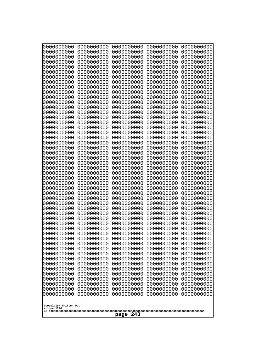| 10000000000<br>0000000000 | 0000000000<br>0000000000 | 0000000000<br>0000000000 | 0000000000<br>0000000000 | 0000000000<br>0000000000 |
|---------------------------|--------------------------|--------------------------|--------------------------|--------------------------|
| 0000000000                | 0000000000               | 0000000000               | 0000000000               | 0000000000               |
| 0000000000                | 0000000000               | 0000000000               | 0000000000               | 0000000000               |
| 0000000000                | 0000000000               | 0000000000               | 0000000000               | 0000000000               |
| 0000000000<br>0000000000  | 0000000000<br>0000000000 | 0000000000<br>0000000000 | 0000000000<br>0000000000 | 0000000000<br>0000000000 |
| 0000000000                | 0000000000               | 0000000000               | 0000000000               | 0000000000               |
| 0000000000                | 0000000000               | 0000000000               | 0000000000               | 0000000000               |
| 0000000000                | 0000000000               | 0000000000               | 0000000000               | 0000000000               |
| 0000000000<br>0000000000  | 0000000000<br>0000000000 | 0000000000<br>0000000000 | 0000000000<br>0000000000 | 0000000000<br>0000000000 |
| 0000000000                | 0000000000               | 0000000000               | 0000000000               | 0000000000               |
| 0000000000                | 0000000000               | 0000000000               | 0000000000               | 0000000000               |
| 0000000000<br>0000000000  | 0000000000<br>0000000000 | 0000000000<br>0000000000 | 0000000000<br>0000000000 | 0000000000<br>0000000000 |
| 0000000000                | 0000000000               | 0000000000               | 0000000000               | 0000000000               |
| 0000000000                | 0000000000               | 0000000000               | 0000000000               | 0000000000               |
| 0000000000                | 0000000000               | 0000000000               | 0000000000               | 0000000000               |
| 0000000000<br>0000000000  | 0000000000<br>0000000000 | 0000000000<br>0000000000 | 0000000000<br>0000000000 | 0000000000<br>0000000000 |
| 0000000000                | 0000000000               | 0000000000               | 0000000000               | 0000000000               |
| 0000000000                | 0000000000               | 0000000000               | 0000000000               | 0000000000               |
| 0000000000<br>0000000000  | 0000000000<br>0000000000 | 0000000000<br>0000000000 | 0000000000<br>0000000000 | 0000000000<br>0000000000 |
| 0000000000                | 0000000000               | 0000000000               | 0000000000               | 0000000000               |
| 0000000000                | 0000000000               | 0000000000               | 0000000000               | 0000000000               |
| 0000000000                | 0000000000               | 0000000000               | 0000000000               | 0000000000               |
| 0000000000<br>0000000000  | 0000000000<br>0000000000 | 0000000000<br>0000000000 | 0000000000<br>0000000000 | 0000000000<br>0000000000 |
| 0000000000                | 0000000000               | 0000000000               | 0000000000               | 0000000000               |
| 0000000000                | 0000000000               | 0000000000               | 0000000000               | 0000000000               |
| 0000000000<br>0000000000  | 0000000000<br>0000000000 | 0000000000<br>0000000000 | 0000000000<br>0000000000 | 0000000000<br>0000000000 |
| 0000000000                | 0000000000               | 0000000000               | 0000000000               | 0000000000               |
| 0000000000                | 0000000000               | 0000000000               | 0000000000               | 0000000000               |
| 0000000000                | 0000000000               | 0000000000               | 0000000000               | 0000000000               |
| 0000000000<br>0000000000  | 0000000000<br>0000000000 | 0000000000<br>0000000000 | 0000000000<br>0000000000 | 0000000000<br>0000000000 |
| 0000000000                | 0000000000               | 0000000000               | 0000000000               | 0000000000               |
| 0000000000                | 0000000000               | 0000000000               | 0000000000               | 0000000000               |
| 0000000000<br>0000000000  | 0000000000<br>0000000000 | 0000000000<br>0000000000 | 0000000000<br>0000000000 | 0000000000<br>0000000000 |
| 0000000000                | 0000000000               | 0000000000               | 0000000000               | 0000000000               |
| 0000000000                | 0000000000               | 0000000000               | 0000000000               | 0000000000               |
| 0000000000                | 0000000000<br>0000000000 | 0000000000               | 0000000000               | 0000000000               |
| 0000000000<br>0000000000  | 0000000000               | 0000000000<br>0000000000 | 0000000000<br>0000000000 | 0000000000<br>0000000000 |
| 0000000000                | 0000000000               | 0000000000               | 0000000000               | 0000000000               |
| 0000000000                | 0000000000               | 0000000000               | 0000000000               | 0000000000               |
| Googolplex Written Out    |                          |                          |                          |                          |
| volume 1720               |                          |                          |                          |                          |
| 243<br>page               |                          |                          |                          |                          |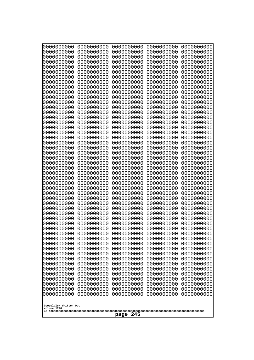| 10000000000<br>0000000000             | 0000000000<br>0000000000 | 0000000000<br>0000000000 | 0000000000<br>0000000000 | 0000000000<br>0000000000 |  |
|---------------------------------------|--------------------------|--------------------------|--------------------------|--------------------------|--|
| 0000000000                            | 0000000000               | 0000000000               | 0000000000               | 0000000000               |  |
| 0000000000                            | 0000000000               | 0000000000               | 0000000000               | 0000000000               |  |
| 0000000000<br>0000000000              | 0000000000<br>0000000000 | 0000000000<br>0000000000 | 0000000000<br>0000000000 | 0000000000<br>0000000000 |  |
| 0000000000                            | 0000000000               | 0000000000               | 0000000000               | 0000000000               |  |
| 0000000000                            | 0000000000               | 0000000000               | 0000000000               | 0000000000               |  |
| 0000000000<br>0000000000              | 0000000000<br>0000000000 | 0000000000<br>0000000000 | 0000000000<br>0000000000 | 0000000000<br>0000000000 |  |
| 0000000000                            | 0000000000               | 0000000000               | 0000000000               | 0000000000               |  |
| 0000000000                            | 0000000000               | 0000000000               | 0000000000               | 0000000000               |  |
| 0000000000<br>0000000000              | 0000000000<br>0000000000 | 0000000000<br>0000000000 | 0000000000<br>0000000000 | 0000000000<br>0000000000 |  |
| 0000000000                            | 0000000000               | 0000000000               | 0000000000               | 0000000000               |  |
| 0000000000                            | 0000000000               | 0000000000               | 0000000000               | 0000000000               |  |
| 0000000000<br>0000000000              | 0000000000<br>0000000000 | 0000000000<br>0000000000 | 0000000000<br>0000000000 | 0000000000<br>0000000000 |  |
| 0000000000                            | 0000000000               | 0000000000               | 0000000000               | 0000000000               |  |
| 0000000000                            | 0000000000               | 0000000000               | 0000000000               | 0000000000               |  |
| 0000000000<br>0000000000              | 0000000000<br>0000000000 | 0000000000<br>0000000000 | 0000000000<br>0000000000 | 0000000000<br>0000000000 |  |
| 0000000000                            | 0000000000               | 0000000000               | 0000000000               | 0000000000               |  |
| 0000000000                            | 0000000000               | 0000000000               | 0000000000               | 0000000000               |  |
| 0000000000<br>0000000000              | 0000000000<br>0000000000 | 0000000000<br>0000000000 | 0000000000<br>0000000000 | 0000000000<br>0000000000 |  |
| 0000000000                            | 0000000000               | 0000000000               | 0000000000               | 0000000000               |  |
| 0000000000                            | 0000000000               | 0000000000               | 0000000000               | 0000000000               |  |
| 0000000000<br>0000000000              | 0000000000<br>0000000000 | 0000000000<br>0000000000 | 0000000000<br>0000000000 | 0000000000<br>0000000000 |  |
| 0000000000                            | 0000000000               | 0000000000               | 0000000000               | 0000000000               |  |
| 0000000000                            | 0000000000               | 0000000000               | 0000000000               | 0000000000               |  |
| 0000000000<br>0000000000              | 0000000000<br>0000000000 | 0000000000<br>0000000000 | 0000000000<br>0000000000 | 0000000000<br>0000000000 |  |
| 0000000000                            | 0000000000               | 0000000000               | 0000000000               | 0000000000               |  |
| 0000000000                            | 0000000000               | 0000000000               | 0000000000               | 0000000000               |  |
| 0000000000<br>0000000000              | 0000000000<br>0000000000 | 0000000000<br>0000000000 | 0000000000<br>0000000000 | 0000000000<br>0000000000 |  |
| 0000000000                            | 0000000000               | 0000000000               | 0000000000               | 0000000000               |  |
| 0000000000                            | 0000000000               | 0000000000               | 0000000000               | 0000000000               |  |
| 0000000000<br>0000000000              | 0000000000<br>0000000000 | 0000000000<br>0000000000 | 0000000000<br>0000000000 | 0000000000<br>0000000000 |  |
| 0000000000                            | 0000000000               | 0000000000               | 0000000000               | 0000000000               |  |
| 0000000000                            | 0000000000               | 0000000000               | 0000000000               | 0000000000               |  |
| 0000000000<br>0000000000              | 0000000000<br>0000000000 | 0000000000<br>0000000000 | 0000000000<br>0000000000 | 0000000000<br>0000000000 |  |
| 0000000000                            | 0000000000               | 0000000000               | 0000000000               | 0000000000               |  |
| 0000000000                            | 0000000000               | 0000000000               | 0000000000               | 0000000000               |  |
| 0000000000<br>0000000000              | 0000000000<br>0000000000 | 0000000000<br>0000000000 | 0000000000<br>0000000000 | 0000000000<br>0000000000 |  |
|                                       |                          |                          |                          |                          |  |
| Googolplex Written Out<br>volume 1720 |                          |                          |                          |                          |  |
| 245<br>page                           |                          |                          |                          |                          |  |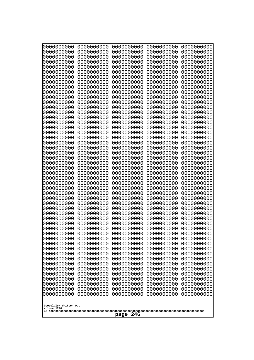| 000000000<br>0000000000               | 0000000000<br>0000000000 | 0000000000<br>0000000000 | 0000000000<br>0000000000 | 0000000000<br>0000000000 |
|---------------------------------------|--------------------------|--------------------------|--------------------------|--------------------------|
| 0000000000                            | 0000000000               | 0000000000               | 0000000000               | 0000000000               |
| 0000000000<br>0000000000              | 0000000000<br>0000000000 | 0000000000<br>0000000000 | 0000000000<br>0000000000 | 0000000000<br>0000000000 |
| 0000000000                            | 0000000000               | 0000000000               | 0000000000               | 0000000000               |
| 0000000000                            | 0000000000               | 0000000000               | 0000000000               | 0000000000               |
| 0000000000                            | 0000000000               | 0000000000               | 0000000000               | 0000000000               |
| 0000000000<br>0000000000              | 0000000000<br>0000000000 | 0000000000<br>0000000000 | 0000000000<br>0000000000 | 0000000000<br>0000000000 |
| 0000000000                            | 0000000000               | 0000000000               | 0000000000               | 0000000000               |
| 0000000000                            | 0000000000               | 0000000000               | 0000000000               | 0000000000               |
| 0000000000<br>0000000000              | 0000000000<br>0000000000 | 0000000000<br>0000000000 | 0000000000<br>0000000000 | 0000000000<br>0000000000 |
| 0000000000                            | 0000000000               | 0000000000               | 0000000000               | 0000000000               |
| 0000000000                            | 0000000000               | 0000000000               | 0000000000               | 0000000000               |
| 0000000000<br>0000000000              | 0000000000<br>0000000000 | 0000000000<br>0000000000 | 0000000000<br>0000000000 | 0000000000<br>0000000000 |
| 0000000000                            | 0000000000               | 0000000000               | 0000000000               | 0000000000               |
| 0000000000<br>0000000000              | 0000000000<br>0000000000 | 0000000000               | 0000000000               | 0000000000               |
| 0000000000                            | 0000000000               | 0000000000<br>0000000000 | 0000000000<br>0000000000 | 0000000000<br>0000000000 |
| 0000000000                            | 0000000000               | 0000000000               | 0000000000               | 0000000000               |
| 0000000000<br>0000000000              | 0000000000<br>0000000000 | 0000000000<br>0000000000 | 0000000000<br>0000000000 | 0000000000<br>0000000000 |
| 0000000000                            | 0000000000               | 0000000000               | 0000000000               | 0000000000               |
| 0000000000                            | 0000000000               | 0000000000               | 0000000000               | 0000000000               |
| 0000000000<br>0000000000              | 0000000000<br>0000000000 | 0000000000<br>0000000000 | 0000000000<br>0000000000 | 0000000000<br>0000000000 |
| 0000000000                            | 0000000000               | 0000000000               | 0000000000               | 0000000000               |
| 0000000000                            | 0000000000               | 0000000000               | 0000000000               | 0000000000               |
| 0000000000<br>0000000000              | 0000000000<br>0000000000 | 0000000000<br>0000000000 | 0000000000<br>0000000000 | 0000000000<br>0000000000 |
| 0000000000                            | 0000000000               | 0000000000               | 0000000000               | 0000000000               |
| 0000000000                            | 0000000000               | 0000000000               | 0000000000               | 0000000000               |
| 0000000000<br>0000000000              | 0000000000<br>0000000000 | 0000000000<br>0000000000 | 0000000000<br>0000000000 | 0000000000<br>0000000000 |
| 0000000000                            | 0000000000               | 0000000000               | 0000000000               | 0000000000               |
| 0000000000                            | 0000000000               | 0000000000               | 0000000000               | 0000000000               |
| 0000000000<br>0000000000              | 0000000000<br>0000000000 | 0000000000<br>0000000000 | 0000000000<br>0000000000 | 0000000000<br>0000000000 |
| 0000000000                            | 0000000000               | 0000000000               | 0000000000               | 0000000000               |
| 0000000000                            | 0000000000               | 0000000000               | 0000000000               | 0000000000               |
| 0000000000<br>0000000000              | 0000000000<br>0000000000 | 0000000000<br>0000000000 | 0000000000<br>0000000000 | 0000000000<br>0000000000 |
| 0000000000                            | 0000000000               | 0000000000               | 0000000000               | 0000000000               |
| 0000000000                            | 0000000000               | 0000000000               | 0000000000               | 0000000000               |
| 0000000000<br>0000000000              | 0000000000<br>0000000000 | 0000000000<br>0000000000 | 0000000000<br>0000000000 | 0000000000<br>0000000000 |
| 0000000000                            | 0000000000               | 0000000000               | 0000000000               | 0000000000               |
|                                       |                          |                          |                          |                          |
| Googolplex Written Out<br>volume 1720 |                          |                          |                          |                          |
| 246<br>page                           |                          |                          |                          |                          |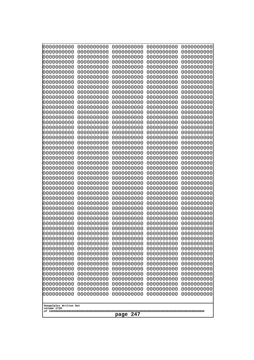| 000000000<br>0000000000  | 0000000000<br>0000000000 | 0000000000<br>0000000000 | 0000000000<br>0000000000 | 0000000000<br>0000000000 |
|--------------------------|--------------------------|--------------------------|--------------------------|--------------------------|
| 0000000000<br>0000000000 | 0000000000<br>0000000000 | 0000000000<br>0000000000 | 0000000000<br>0000000000 | 0000000000<br>0000000000 |
| 0000000000               | 0000000000               | 0000000000               | 0000000000               | 0000000000               |
| 0000000000<br>0000000000 | 0000000000<br>0000000000 | 0000000000<br>0000000000 | 0000000000<br>0000000000 | 0000000000<br>0000000000 |
| 0000000000               | 0000000000               | 0000000000               | 0000000000               | 0000000000               |
| 0000000000<br>0000000000 | 0000000000<br>0000000000 | 0000000000<br>0000000000 | 0000000000<br>0000000000 | 0000000000<br>0000000000 |
| 0000000000               | 0000000000               | 0000000000               | 0000000000               | 0000000000               |
| 0000000000<br>0000000000 | 0000000000<br>0000000000 | 0000000000<br>0000000000 | 0000000000<br>0000000000 | 0000000000<br>0000000000 |
| 0000000000               | 0000000000               | 0000000000               | 0000000000               | 0000000000               |
| 0000000000<br>0000000000 | 0000000000<br>0000000000 | 0000000000<br>0000000000 | 0000000000<br>0000000000 | 0000000000<br>0000000000 |
| 0000000000               | 0000000000               | 0000000000               | 0000000000               | 0000000000               |
| 0000000000<br>0000000000 | 0000000000<br>0000000000 | 0000000000<br>0000000000 | 0000000000<br>0000000000 | 0000000000<br>0000000000 |
| 0000000000               | 0000000000               | 0000000000               | 0000000000               | 0000000000               |
| 0000000000<br>0000000000 | 0000000000<br>0000000000 | 0000000000<br>0000000000 | 0000000000<br>0000000000 | 0000000000<br>0000000000 |
| 0000000000               | 0000000000               | 0000000000               | 0000000000               | 0000000000               |
| 0000000000<br>0000000000 | 0000000000<br>0000000000 | 0000000000<br>0000000000 | 0000000000<br>0000000000 | 0000000000<br>0000000000 |
| 0000000000               | 0000000000               | 0000000000               | 0000000000               | 0000000000               |
| 0000000000<br>0000000000 | 0000000000<br>0000000000 | 0000000000<br>0000000000 | 0000000000<br>0000000000 | 0000000000<br>0000000000 |
| 0000000000               | 0000000000               | 0000000000               | 0000000000               | 0000000000               |
| 0000000000<br>0000000000 | 0000000000<br>0000000000 | 0000000000<br>0000000000 | 0000000000<br>0000000000 | 0000000000<br>0000000000 |
| 0000000000               | 0000000000               | 0000000000               | 0000000000               | 0000000000               |
| 0000000000<br>0000000000 | 0000000000<br>0000000000 | 0000000000<br>0000000000 | 0000000000<br>0000000000 | 0000000000<br>0000000000 |
| 0000000000               | 0000000000               | 0000000000               | 0000000000               | 0000000000               |
| 0000000000<br>0000000000 | 0000000000<br>0000000000 | 0000000000<br>0000000000 | 0000000000<br>0000000000 | 0000000000<br>0000000000 |
| 0000000000               | 0000000000               | 0000000000               | 0000000000               | 0000000000               |
| 0000000000<br>0000000000 | 0000000000<br>0000000000 | 0000000000<br>0000000000 | 0000000000<br>0000000000 | 0000000000<br>0000000000 |
| 0000000000               | 0000000000               | 0000000000               | 0000000000               | 0000000000               |
| 0000000000<br>0000000000 | 0000000000<br>0000000000 | 0000000000<br>0000000000 | 0000000000<br>0000000000 | 0000000000<br>0000000000 |
| 0000000000               | 0000000000               | 0000000000               | 0000000000               | 0000000000               |
| 0000000000<br>0000000000 | 0000000000<br>0000000000 | 0000000000<br>0000000000 | 0000000000<br>0000000000 | 0000000000<br>0000000000 |
| 0000000000               | 0000000000               | 0000000000               | 0000000000               | 0000000000               |
| 0000000000<br>0000000000 | 0000000000<br>0000000000 | 0000000000<br>0000000000 | 0000000000<br>0000000000 | 0000000000<br>0000000000 |
| 0000000000               | 0000000000               | 0000000000               | 0000000000               | 0000000000               |
| Googolplex Written Out   |                          |                          |                          |                          |
| volume 1720              |                          |                          |                          |                          |
| 247<br>page              |                          |                          |                          |                          |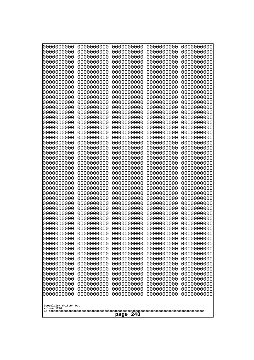| 10000000000<br>0000000000             | 0000000000<br>0000000000 | 0000000000<br>0000000000 | 0000000000<br>0000000000 | 0000000000<br>0000000000 |
|---------------------------------------|--------------------------|--------------------------|--------------------------|--------------------------|
| 0000000000                            | 0000000000               | 0000000000               | 0000000000               | 0000000000               |
| 0000000000                            | 0000000000               | 0000000000               | 0000000000               | 0000000000               |
| 0000000000                            | 0000000000               | 0000000000               | 0000000000               | 0000000000               |
| 0000000000<br>0000000000              | 0000000000<br>0000000000 | 0000000000<br>0000000000 | 0000000000<br>0000000000 | 0000000000<br>0000000000 |
| 0000000000                            | 0000000000               | 0000000000               | 0000000000               | 0000000000               |
| 0000000000                            | 0000000000               | 0000000000               | 0000000000               | 0000000000               |
| 0000000000                            | 0000000000               | 0000000000               | 0000000000               | 0000000000               |
| 0000000000<br>0000000000              | 0000000000<br>0000000000 | 0000000000<br>0000000000 | 0000000000<br>0000000000 | 0000000000<br>0000000000 |
| 0000000000                            | 0000000000               | 0000000000               | 0000000000               | 0000000000               |
| 0000000000                            | 0000000000               | 0000000000               | 0000000000               | 0000000000               |
| 0000000000<br>0000000000              | 0000000000<br>0000000000 | 0000000000<br>0000000000 | 0000000000<br>0000000000 | 0000000000<br>0000000000 |
| 0000000000                            | 0000000000               | 0000000000               | 0000000000               | 0000000000               |
| 0000000000                            | 0000000000               | 0000000000               | 0000000000               | 0000000000               |
| 0000000000                            | 0000000000               | 0000000000               | 0000000000               | 0000000000               |
| 0000000000<br>0000000000              | 0000000000<br>0000000000 | 0000000000<br>0000000000 | 0000000000<br>0000000000 | 0000000000<br>0000000000 |
| 0000000000                            | 0000000000               | 0000000000               | 0000000000               | 0000000000               |
| 0000000000                            | 0000000000               | 0000000000               | 0000000000               | 0000000000               |
| 0000000000<br>0000000000              | 0000000000<br>0000000000 | 0000000000<br>0000000000 | 0000000000<br>0000000000 | 0000000000<br>0000000000 |
| 0000000000                            | 0000000000               | 0000000000               | 0000000000               | 0000000000               |
| 0000000000                            | 0000000000               | 0000000000               | 0000000000               | 0000000000               |
| 0000000000                            | 0000000000               | 0000000000               | 0000000000               | 0000000000               |
| 0000000000<br>0000000000              | 0000000000<br>0000000000 | 0000000000<br>0000000000 | 0000000000<br>0000000000 | 0000000000<br>0000000000 |
| 0000000000                            | 0000000000               | 0000000000               | 0000000000               | 0000000000               |
| 0000000000                            | 0000000000               | 0000000000               | 0000000000               | 0000000000               |
| 0000000000<br>0000000000              | 0000000000<br>0000000000 | 0000000000<br>0000000000 | 0000000000<br>0000000000 | 0000000000<br>0000000000 |
| 0000000000                            | 0000000000               | 0000000000               | 0000000000               | 0000000000               |
| 0000000000                            | 0000000000               | 0000000000               | 0000000000               | 0000000000               |
| 0000000000                            | 0000000000               | 0000000000               | 0000000000               | 0000000000               |
| 0000000000<br>0000000000              | 0000000000<br>0000000000 | 0000000000<br>0000000000 | 0000000000<br>0000000000 | 0000000000<br>0000000000 |
| 0000000000                            | 0000000000               | 0000000000               | 0000000000               | 0000000000               |
| 0000000000                            | 0000000000               | 0000000000               | 0000000000               | 0000000000               |
| 0000000000<br>0000000000              | 0000000000<br>0000000000 | 0000000000<br>0000000000 | 0000000000<br>0000000000 | 0000000000<br>0000000000 |
| 0000000000                            | 0000000000               | 0000000000               | 0000000000               | 0000000000               |
| 0000000000                            | 0000000000               | 0000000000               | 0000000000               | 0000000000               |
| 0000000000                            | 0000000000               | 0000000000               | 0000000000               | 0000000000               |
| 0000000000<br>0000000000              | 0000000000<br>0000000000 | 0000000000<br>0000000000 | 0000000000<br>0000000000 | 0000000000<br>0000000000 |
| 0000000000                            | 0000000000               | 0000000000               | 0000000000               | 0000000000               |
| 0000000000                            | 0000000000               | 0000000000               | 0000000000               | 0000000000               |
|                                       |                          |                          |                          |                          |
| Googolplex Written Out<br>volume 1720 |                          |                          |                          |                          |
| 248<br>page                           |                          |                          |                          |                          |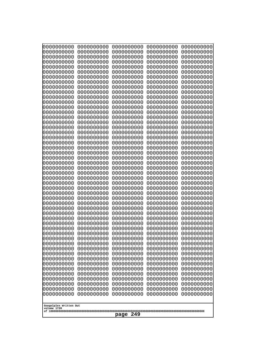| 10000000000<br>0000000000             | 0000000000<br>0000000000 | 0000000000<br>0000000000 | 0000000000<br>0000000000 | 0000000000<br>0000000000 |
|---------------------------------------|--------------------------|--------------------------|--------------------------|--------------------------|
| 0000000000                            | 0000000000               | 0000000000               | 0000000000               | 0000000000               |
| 0000000000                            | 0000000000               | 0000000000               | 0000000000               | 0000000000               |
| 0000000000<br>0000000000              | 0000000000<br>0000000000 | 0000000000<br>0000000000 | 0000000000<br>0000000000 | 0000000000<br>0000000000 |
| 0000000000                            | 0000000000               | 0000000000               | 0000000000               | 0000000000               |
| 0000000000                            | 0000000000               | 0000000000               | 0000000000               | 0000000000               |
| 0000000000                            | 0000000000               | 0000000000               | 0000000000               | 0000000000               |
| 0000000000<br>0000000000              | 0000000000<br>0000000000 | 0000000000<br>0000000000 | 0000000000<br>0000000000 | 0000000000<br>0000000000 |
| 0000000000                            | 0000000000               | 0000000000               | 0000000000               | 0000000000               |
| 0000000000                            | 0000000000               | 0000000000               | 0000000000               | 0000000000               |
| 0000000000<br>0000000000              | 0000000000<br>0000000000 | 0000000000<br>0000000000 | 0000000000<br>0000000000 | 0000000000<br>0000000000 |
| 0000000000                            | 0000000000               | 0000000000               | 0000000000               | 0000000000               |
| 0000000000                            | 0000000000               | 0000000000               | 0000000000               | 0000000000               |
| 0000000000<br>0000000000              | 0000000000<br>0000000000 | 0000000000<br>0000000000 | 0000000000<br>0000000000 | 0000000000<br>0000000000 |
| 0000000000                            | 0000000000               | 0000000000               | 0000000000               | 0000000000               |
| 0000000000                            | 0000000000               | 0000000000               | 0000000000               | 0000000000               |
| 0000000000                            | 0000000000               | 0000000000               | 0000000000               | 0000000000               |
| 0000000000<br>0000000000              | 0000000000<br>0000000000 | 0000000000<br>0000000000 | 0000000000<br>0000000000 | 0000000000<br>0000000000 |
| 0000000000                            | 0000000000               | 0000000000               | 0000000000               | 0000000000               |
| 0000000000                            | 0000000000               | 0000000000               | 0000000000               | 0000000000               |
| 0000000000<br>0000000000              | 0000000000<br>0000000000 | 0000000000<br>0000000000 | 0000000000<br>0000000000 | 0000000000<br>0000000000 |
| 0000000000                            | 0000000000               | 0000000000               | 0000000000               | 0000000000               |
| 0000000000                            | 0000000000               | 0000000000               | 0000000000               | 0000000000               |
| 0000000000<br>0000000000              | 0000000000<br>0000000000 | 0000000000<br>0000000000 | 0000000000<br>0000000000 | 0000000000<br>0000000000 |
| 0000000000                            | 0000000000               | 0000000000               | 0000000000               | 0000000000               |
| 0000000000                            | 0000000000               | 0000000000               | 0000000000               | 0000000000               |
| 0000000000<br>0000000000              | 0000000000<br>0000000000 | 0000000000<br>0000000000 | 0000000000<br>0000000000 | 0000000000<br>0000000000 |
| 0000000000                            | 0000000000               | 0000000000               | 0000000000               | 0000000000               |
| 0000000000                            | 0000000000               | 0000000000               | 0000000000               | 0000000000               |
| 0000000000                            | 0000000000               | 0000000000               | 0000000000               | 0000000000               |
| 0000000000<br>0000000000              | 0000000000<br>0000000000 | 0000000000<br>0000000000 | 0000000000<br>0000000000 | 0000000000<br>0000000000 |
| 0000000000                            | 0000000000               | 0000000000               | 0000000000               | 0000000000               |
| 0000000000                            | 0000000000               | 0000000000               | 0000000000               | 0000000000               |
| 0000000000<br>0000000000              | 0000000000<br>0000000000 | 0000000000<br>0000000000 | 0000000000<br>0000000000 | 0000000000<br>0000000000 |
| 0000000000                            | 0000000000               | 0000000000               | 0000000000               | 0000000000               |
| 0000000000                            | 0000000000               | 0000000000               | 0000000000               | 0000000000               |
| 0000000000<br>0000000000              | 0000000000<br>0000000000 | 0000000000<br>0000000000 | 0000000000<br>0000000000 | 0000000000<br>0000000000 |
| 0000000000                            | 0000000000               | 0000000000               | 0000000000               | 0000000000               |
|                                       |                          |                          |                          |                          |
| Googolplex Written Out<br>volume 1720 |                          |                          |                          |                          |
| 249<br>page                           |                          |                          |                          |                          |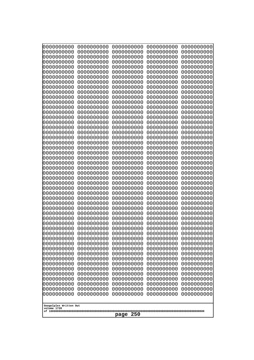| 10000000000<br>0000000000 | 0000000000<br>0000000000 | 0000000000<br>0000000000 | 0000000000<br>0000000000 | 0000000000<br>0000000000 |
|---------------------------|--------------------------|--------------------------|--------------------------|--------------------------|
| 0000000000                | 0000000000               | 0000000000               | 0000000000               | 0000000000               |
| 0000000000                | 0000000000               | 0000000000               | 0000000000               | 0000000000               |
| 0000000000<br>0000000000  | 0000000000<br>0000000000 | 0000000000<br>0000000000 | 0000000000<br>0000000000 | 0000000000<br>0000000000 |
| 0000000000                | 0000000000               | 0000000000               | 0000000000               | 0000000000               |
| 0000000000                | 0000000000               | 0000000000               | 0000000000               | 0000000000               |
| 0000000000<br>0000000000  | 0000000000<br>0000000000 | 0000000000<br>0000000000 | 0000000000<br>0000000000 | 0000000000<br>0000000000 |
| 0000000000                | 0000000000               | 0000000000               | 0000000000               | 0000000000               |
| 0000000000                | 0000000000               | 0000000000               | 0000000000               | 0000000000               |
| 0000000000<br>0000000000  | 0000000000<br>0000000000 | 0000000000<br>0000000000 | 0000000000<br>0000000000 | 0000000000<br>0000000000 |
| 0000000000                | 0000000000               | 0000000000               | 0000000000               | 0000000000               |
| 0000000000                | 0000000000               | 0000000000               | 0000000000               | 0000000000               |
| 0000000000                | 0000000000               | 0000000000<br>0000000000 | 0000000000<br>0000000000 | 0000000000               |
| 0000000000<br>0000000000  | 0000000000<br>0000000000 | 0000000000               | 0000000000               | 0000000000<br>0000000000 |
| 0000000000                | 0000000000               | 0000000000               | 0000000000               | 0000000000               |
| 0000000000                | 0000000000               | 0000000000               | 0000000000               | 0000000000               |
| 0000000000<br>0000000000  | 0000000000<br>0000000000 | 0000000000<br>0000000000 | 0000000000<br>0000000000 | 0000000000<br>0000000000 |
| 0000000000                | 0000000000               | 0000000000               | 0000000000               | 0000000000               |
| 0000000000                | 0000000000               | 0000000000               | 0000000000               | 0000000000               |
| 0000000000<br>0000000000  | 0000000000<br>0000000000 | 0000000000<br>0000000000 | 0000000000<br>0000000000 | 0000000000<br>0000000000 |
| 0000000000                | 0000000000               | 0000000000               | 0000000000               | 0000000000               |
| 0000000000                | 0000000000               | 0000000000               | 0000000000               | 0000000000               |
| 0000000000<br>0000000000  | 0000000000<br>0000000000 | 0000000000<br>0000000000 | 0000000000<br>0000000000 | 0000000000<br>0000000000 |
| 0000000000                | 0000000000               | 0000000000               | 0000000000               | 0000000000               |
| 0000000000                | 0000000000               | 0000000000               | 0000000000               | 0000000000               |
| 0000000000<br>0000000000  | 0000000000<br>0000000000 | 0000000000<br>0000000000 | 0000000000<br>0000000000 | 0000000000<br>0000000000 |
| 0000000000                | 0000000000               | 0000000000               | 0000000000               | 0000000000               |
| 0000000000                | 0000000000               | 0000000000               | 0000000000               | 0000000000               |
| 0000000000<br>0000000000  | 0000000000<br>0000000000 | 0000000000<br>0000000000 | 0000000000<br>0000000000 | 0000000000<br>0000000000 |
| 0000000000                | 0000000000               | 0000000000               | 0000000000               | 0000000000               |
| 0000000000                | 0000000000               | 0000000000               | 0000000000               | 0000000000               |
| 0000000000<br>0000000000  | 0000000000<br>0000000000 | 0000000000<br>0000000000 | 0000000000<br>0000000000 | 0000000000<br>0000000000 |
| 0000000000                | 0000000000               | 0000000000               | 0000000000               | 0000000000               |
| 0000000000                | 0000000000               | 0000000000               | 0000000000               | 0000000000               |
| 0000000000<br>0000000000  | 0000000000<br>0000000000 | 0000000000<br>0000000000 | 0000000000<br>0000000000 | 0000000000<br>0000000000 |
| 0000000000                | 0000000000               | 0000000000               | 0000000000               | 0000000000               |
| 0000000000                | 0000000000               | 0000000000               | 0000000000               | 0000000000               |
| 0000000000                | 0000000000               | 0000000000               | 0000000000               | 0000000000               |
| Googolplex Written Out    |                          |                          |                          |                          |
| volume 1720               |                          |                          |                          |                          |
| 250<br>page               |                          |                          |                          |                          |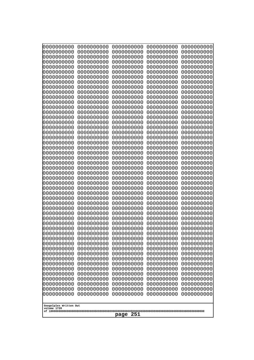| 0000000000<br>0000000000<br>0000000000<br>0000000000<br>0000000000<br>0000000000<br>0000000000<br>0000000000<br>0000000000<br>0000000000<br>0000000000<br>0000000000<br>0000000000<br>0000000000<br>0000000000<br>0000000000<br>0000000000<br>0000000000<br>0000000000<br>0000000000<br>0000000000<br>0000000000<br>0000000000<br>0000000000<br>0000000000<br>0000000000<br>0000000000<br>0000000000<br>0000000000<br>0000000000<br>0000000000<br>0000000000<br>0000000000<br>0000000000<br>0000000000<br>0000000000<br>0000000000<br>0000000000<br>0000000000<br>0000000000<br>0000000000<br>0000000000<br>0000000000<br>0000000000<br>0000000000<br>0000000000<br>0000000000<br>0000000000<br>0000000000<br>0000000000<br>0000000000<br>0000000000<br>0000000000<br>0000000000<br>0000000000<br>0000000000<br>0000000000<br>0000000000<br>0000000000<br>0000000000<br>0000000000<br>0000000000<br>0000000000<br>0000000000<br>0000000000<br>0000000000<br>0000000000<br>0000000000<br>0000000000<br>0000000000<br>0000000000<br>0000000000<br>0000000000<br>0000000000<br>0000000000<br>0000000000<br>0000000000<br>0000000000<br>0000000000<br>0000000000<br>0000000000<br>0000000000<br>0000000000<br>0000000000<br>0000000000<br>0000000000<br>0000000000<br>0000000000<br>0000000000<br>0000000000<br>0000000000<br>0000000000<br>0000000000<br>0000000000<br>0000000000<br>0000000000<br>0000000000<br>0000000000<br>0000000000<br>0000000000<br>0000000000<br>0000000000<br>0000000000<br>0000000000<br>0000000000<br>0000000000<br>0000000000<br>0000000000<br>0000000000<br>0000000000<br>0000000000<br>0000000000<br>0000000000<br>0000000000<br>0000000000<br>0000000000<br>0000000000<br>0000000000<br>0000000000<br>0000000000<br>0000000000<br>0000000000<br>0000000000<br>0000000000<br>0000000000<br>0000000000<br>0000000000<br>0000000000<br>0000000000<br>0000000000<br>0000000000<br>0000000000<br>0000000000<br>0000000000<br>0000000000<br>0000000000<br>0000000000<br>0000000000<br>0000000000<br>0000000000<br>0000000000<br>0000000000<br>0000000000<br>0000000000<br>0000000000<br>0000000000<br>0000000000<br>0000000000<br>0000000000<br>0000000000<br>0000000000<br>0000000000<br>0000000000<br>0000000000<br>0000000000<br>0000000000<br>0000000000<br>0000000000<br>0000000000<br>0000000000<br>0000000000<br>0000000000<br>0000000000<br>0000000000<br>0000000000<br>0000000000<br>0000000000<br>0000000000<br>0000000000<br>0000000000<br>0000000000<br>0000000000<br>0000000000<br>0000000000<br>0000000000<br>0000000000<br>0000000000<br>0000000000<br>0000000000<br>0000000000<br>0000000000<br>0000000000<br>0000000000<br>0000000000<br>0000000000<br>0000000000<br>0000000000<br>0000000000<br>0000000000<br>0000000000<br>0000000000<br>0000000000<br>0000000000<br>0000000000<br>0000000000<br>0000000000<br>0000000000<br>0000000000<br>0000000000<br>0000000000<br>0000000000<br>0000000000<br>0000000000<br>0000000000<br>0000000000<br>0000000000<br>0000000000<br>0000000000<br>0000000000<br>0000000000<br>0000000000<br>0000000000<br>0000000000<br>0000000000<br>0000000000<br>0000000000<br>0000000000<br>0000000000<br>0000000000<br>0000000000<br>0000000000<br>0000000000<br>0000000000<br>0000000000<br>0000000000<br>0000000000<br>0000000000<br>0000000000<br>0000000000<br>0000000000<br>0000000000<br>0000000000<br>0000000000<br>0000000000<br>0000000000<br>0000000000<br>0000000000<br>0000000000<br>Googolplex Written Out<br>volume 1720<br>251<br>page | 10000000000 | 0000000000 | 0000000000 | 0000000000 | 0000000000 |  |
|--------------------------------------------------------------------------------------------------------------------------------------------------------------------------------------------------------------------------------------------------------------------------------------------------------------------------------------------------------------------------------------------------------------------------------------------------------------------------------------------------------------------------------------------------------------------------------------------------------------------------------------------------------------------------------------------------------------------------------------------------------------------------------------------------------------------------------------------------------------------------------------------------------------------------------------------------------------------------------------------------------------------------------------------------------------------------------------------------------------------------------------------------------------------------------------------------------------------------------------------------------------------------------------------------------------------------------------------------------------------------------------------------------------------------------------------------------------------------------------------------------------------------------------------------------------------------------------------------------------------------------------------------------------------------------------------------------------------------------------------------------------------------------------------------------------------------------------------------------------------------------------------------------------------------------------------------------------------------------------------------------------------------------------------------------------------------------------------------------------------------------------------------------------------------------------------------------------------------------------------------------------------------------------------------------------------------------------------------------------------------------------------------------------------------------------------------------------------------------------------------------------------------------------------------------------------------------------------------------------------------------------------------------------------------------------------------------------------------------------------------------------------------------------------------------------------------------------------------------------------------------------------------------------------------------------------------------------------------------------------------------------------------------------------------------------------------------------------------------------------------------------------------------------------------------------------------------------------------------------------------------------------------------------------------------------------------------------------------------------------------------------------------------------------------------------------------------------------------------------------------------------------------|-------------|------------|------------|------------|------------|--|
|                                                                                                                                                                                                                                                                                                                                                                                                                                                                                                                                                                                                                                                                                                                                                                                                                                                                                                                                                                                                                                                                                                                                                                                                                                                                                                                                                                                                                                                                                                                                                                                                                                                                                                                                                                                                                                                                                                                                                                                                                                                                                                                                                                                                                                                                                                                                                                                                                                                                                                                                                                                                                                                                                                                                                                                                                                                                                                                                                                                                                                                                                                                                                                                                                                                                                                                                                                                                                                                                                                                          | 0000000000  | 0000000000 | 0000000000 | 0000000000 | 0000000000 |  |
|                                                                                                                                                                                                                                                                                                                                                                                                                                                                                                                                                                                                                                                                                                                                                                                                                                                                                                                                                                                                                                                                                                                                                                                                                                                                                                                                                                                                                                                                                                                                                                                                                                                                                                                                                                                                                                                                                                                                                                                                                                                                                                                                                                                                                                                                                                                                                                                                                                                                                                                                                                                                                                                                                                                                                                                                                                                                                                                                                                                                                                                                                                                                                                                                                                                                                                                                                                                                                                                                                                                          |             |            |            |            |            |  |
|                                                                                                                                                                                                                                                                                                                                                                                                                                                                                                                                                                                                                                                                                                                                                                                                                                                                                                                                                                                                                                                                                                                                                                                                                                                                                                                                                                                                                                                                                                                                                                                                                                                                                                                                                                                                                                                                                                                                                                                                                                                                                                                                                                                                                                                                                                                                                                                                                                                                                                                                                                                                                                                                                                                                                                                                                                                                                                                                                                                                                                                                                                                                                                                                                                                                                                                                                                                                                                                                                                                          |             |            |            |            |            |  |
|                                                                                                                                                                                                                                                                                                                                                                                                                                                                                                                                                                                                                                                                                                                                                                                                                                                                                                                                                                                                                                                                                                                                                                                                                                                                                                                                                                                                                                                                                                                                                                                                                                                                                                                                                                                                                                                                                                                                                                                                                                                                                                                                                                                                                                                                                                                                                                                                                                                                                                                                                                                                                                                                                                                                                                                                                                                                                                                                                                                                                                                                                                                                                                                                                                                                                                                                                                                                                                                                                                                          |             |            |            |            |            |  |
|                                                                                                                                                                                                                                                                                                                                                                                                                                                                                                                                                                                                                                                                                                                                                                                                                                                                                                                                                                                                                                                                                                                                                                                                                                                                                                                                                                                                                                                                                                                                                                                                                                                                                                                                                                                                                                                                                                                                                                                                                                                                                                                                                                                                                                                                                                                                                                                                                                                                                                                                                                                                                                                                                                                                                                                                                                                                                                                                                                                                                                                                                                                                                                                                                                                                                                                                                                                                                                                                                                                          |             |            |            |            |            |  |
|                                                                                                                                                                                                                                                                                                                                                                                                                                                                                                                                                                                                                                                                                                                                                                                                                                                                                                                                                                                                                                                                                                                                                                                                                                                                                                                                                                                                                                                                                                                                                                                                                                                                                                                                                                                                                                                                                                                                                                                                                                                                                                                                                                                                                                                                                                                                                                                                                                                                                                                                                                                                                                                                                                                                                                                                                                                                                                                                                                                                                                                                                                                                                                                                                                                                                                                                                                                                                                                                                                                          |             |            |            |            |            |  |
|                                                                                                                                                                                                                                                                                                                                                                                                                                                                                                                                                                                                                                                                                                                                                                                                                                                                                                                                                                                                                                                                                                                                                                                                                                                                                                                                                                                                                                                                                                                                                                                                                                                                                                                                                                                                                                                                                                                                                                                                                                                                                                                                                                                                                                                                                                                                                                                                                                                                                                                                                                                                                                                                                                                                                                                                                                                                                                                                                                                                                                                                                                                                                                                                                                                                                                                                                                                                                                                                                                                          |             |            |            |            |            |  |
|                                                                                                                                                                                                                                                                                                                                                                                                                                                                                                                                                                                                                                                                                                                                                                                                                                                                                                                                                                                                                                                                                                                                                                                                                                                                                                                                                                                                                                                                                                                                                                                                                                                                                                                                                                                                                                                                                                                                                                                                                                                                                                                                                                                                                                                                                                                                                                                                                                                                                                                                                                                                                                                                                                                                                                                                                                                                                                                                                                                                                                                                                                                                                                                                                                                                                                                                                                                                                                                                                                                          |             |            |            |            |            |  |
|                                                                                                                                                                                                                                                                                                                                                                                                                                                                                                                                                                                                                                                                                                                                                                                                                                                                                                                                                                                                                                                                                                                                                                                                                                                                                                                                                                                                                                                                                                                                                                                                                                                                                                                                                                                                                                                                                                                                                                                                                                                                                                                                                                                                                                                                                                                                                                                                                                                                                                                                                                                                                                                                                                                                                                                                                                                                                                                                                                                                                                                                                                                                                                                                                                                                                                                                                                                                                                                                                                                          |             |            |            |            |            |  |
|                                                                                                                                                                                                                                                                                                                                                                                                                                                                                                                                                                                                                                                                                                                                                                                                                                                                                                                                                                                                                                                                                                                                                                                                                                                                                                                                                                                                                                                                                                                                                                                                                                                                                                                                                                                                                                                                                                                                                                                                                                                                                                                                                                                                                                                                                                                                                                                                                                                                                                                                                                                                                                                                                                                                                                                                                                                                                                                                                                                                                                                                                                                                                                                                                                                                                                                                                                                                                                                                                                                          |             |            |            |            |            |  |
|                                                                                                                                                                                                                                                                                                                                                                                                                                                                                                                                                                                                                                                                                                                                                                                                                                                                                                                                                                                                                                                                                                                                                                                                                                                                                                                                                                                                                                                                                                                                                                                                                                                                                                                                                                                                                                                                                                                                                                                                                                                                                                                                                                                                                                                                                                                                                                                                                                                                                                                                                                                                                                                                                                                                                                                                                                                                                                                                                                                                                                                                                                                                                                                                                                                                                                                                                                                                                                                                                                                          |             |            |            |            |            |  |
|                                                                                                                                                                                                                                                                                                                                                                                                                                                                                                                                                                                                                                                                                                                                                                                                                                                                                                                                                                                                                                                                                                                                                                                                                                                                                                                                                                                                                                                                                                                                                                                                                                                                                                                                                                                                                                                                                                                                                                                                                                                                                                                                                                                                                                                                                                                                                                                                                                                                                                                                                                                                                                                                                                                                                                                                                                                                                                                                                                                                                                                                                                                                                                                                                                                                                                                                                                                                                                                                                                                          |             |            |            |            |            |  |
|                                                                                                                                                                                                                                                                                                                                                                                                                                                                                                                                                                                                                                                                                                                                                                                                                                                                                                                                                                                                                                                                                                                                                                                                                                                                                                                                                                                                                                                                                                                                                                                                                                                                                                                                                                                                                                                                                                                                                                                                                                                                                                                                                                                                                                                                                                                                                                                                                                                                                                                                                                                                                                                                                                                                                                                                                                                                                                                                                                                                                                                                                                                                                                                                                                                                                                                                                                                                                                                                                                                          |             |            |            |            |            |  |
|                                                                                                                                                                                                                                                                                                                                                                                                                                                                                                                                                                                                                                                                                                                                                                                                                                                                                                                                                                                                                                                                                                                                                                                                                                                                                                                                                                                                                                                                                                                                                                                                                                                                                                                                                                                                                                                                                                                                                                                                                                                                                                                                                                                                                                                                                                                                                                                                                                                                                                                                                                                                                                                                                                                                                                                                                                                                                                                                                                                                                                                                                                                                                                                                                                                                                                                                                                                                                                                                                                                          |             |            |            |            |            |  |
|                                                                                                                                                                                                                                                                                                                                                                                                                                                                                                                                                                                                                                                                                                                                                                                                                                                                                                                                                                                                                                                                                                                                                                                                                                                                                                                                                                                                                                                                                                                                                                                                                                                                                                                                                                                                                                                                                                                                                                                                                                                                                                                                                                                                                                                                                                                                                                                                                                                                                                                                                                                                                                                                                                                                                                                                                                                                                                                                                                                                                                                                                                                                                                                                                                                                                                                                                                                                                                                                                                                          |             |            |            |            |            |  |
|                                                                                                                                                                                                                                                                                                                                                                                                                                                                                                                                                                                                                                                                                                                                                                                                                                                                                                                                                                                                                                                                                                                                                                                                                                                                                                                                                                                                                                                                                                                                                                                                                                                                                                                                                                                                                                                                                                                                                                                                                                                                                                                                                                                                                                                                                                                                                                                                                                                                                                                                                                                                                                                                                                                                                                                                                                                                                                                                                                                                                                                                                                                                                                                                                                                                                                                                                                                                                                                                                                                          |             |            |            |            |            |  |
|                                                                                                                                                                                                                                                                                                                                                                                                                                                                                                                                                                                                                                                                                                                                                                                                                                                                                                                                                                                                                                                                                                                                                                                                                                                                                                                                                                                                                                                                                                                                                                                                                                                                                                                                                                                                                                                                                                                                                                                                                                                                                                                                                                                                                                                                                                                                                                                                                                                                                                                                                                                                                                                                                                                                                                                                                                                                                                                                                                                                                                                                                                                                                                                                                                                                                                                                                                                                                                                                                                                          |             |            |            |            |            |  |
|                                                                                                                                                                                                                                                                                                                                                                                                                                                                                                                                                                                                                                                                                                                                                                                                                                                                                                                                                                                                                                                                                                                                                                                                                                                                                                                                                                                                                                                                                                                                                                                                                                                                                                                                                                                                                                                                                                                                                                                                                                                                                                                                                                                                                                                                                                                                                                                                                                                                                                                                                                                                                                                                                                                                                                                                                                                                                                                                                                                                                                                                                                                                                                                                                                                                                                                                                                                                                                                                                                                          |             |            |            |            |            |  |
|                                                                                                                                                                                                                                                                                                                                                                                                                                                                                                                                                                                                                                                                                                                                                                                                                                                                                                                                                                                                                                                                                                                                                                                                                                                                                                                                                                                                                                                                                                                                                                                                                                                                                                                                                                                                                                                                                                                                                                                                                                                                                                                                                                                                                                                                                                                                                                                                                                                                                                                                                                                                                                                                                                                                                                                                                                                                                                                                                                                                                                                                                                                                                                                                                                                                                                                                                                                                                                                                                                                          |             |            |            |            |            |  |
|                                                                                                                                                                                                                                                                                                                                                                                                                                                                                                                                                                                                                                                                                                                                                                                                                                                                                                                                                                                                                                                                                                                                                                                                                                                                                                                                                                                                                                                                                                                                                                                                                                                                                                                                                                                                                                                                                                                                                                                                                                                                                                                                                                                                                                                                                                                                                                                                                                                                                                                                                                                                                                                                                                                                                                                                                                                                                                                                                                                                                                                                                                                                                                                                                                                                                                                                                                                                                                                                                                                          |             |            |            |            |            |  |
|                                                                                                                                                                                                                                                                                                                                                                                                                                                                                                                                                                                                                                                                                                                                                                                                                                                                                                                                                                                                                                                                                                                                                                                                                                                                                                                                                                                                                                                                                                                                                                                                                                                                                                                                                                                                                                                                                                                                                                                                                                                                                                                                                                                                                                                                                                                                                                                                                                                                                                                                                                                                                                                                                                                                                                                                                                                                                                                                                                                                                                                                                                                                                                                                                                                                                                                                                                                                                                                                                                                          |             |            |            |            |            |  |
|                                                                                                                                                                                                                                                                                                                                                                                                                                                                                                                                                                                                                                                                                                                                                                                                                                                                                                                                                                                                                                                                                                                                                                                                                                                                                                                                                                                                                                                                                                                                                                                                                                                                                                                                                                                                                                                                                                                                                                                                                                                                                                                                                                                                                                                                                                                                                                                                                                                                                                                                                                                                                                                                                                                                                                                                                                                                                                                                                                                                                                                                                                                                                                                                                                                                                                                                                                                                                                                                                                                          |             |            |            |            |            |  |
|                                                                                                                                                                                                                                                                                                                                                                                                                                                                                                                                                                                                                                                                                                                                                                                                                                                                                                                                                                                                                                                                                                                                                                                                                                                                                                                                                                                                                                                                                                                                                                                                                                                                                                                                                                                                                                                                                                                                                                                                                                                                                                                                                                                                                                                                                                                                                                                                                                                                                                                                                                                                                                                                                                                                                                                                                                                                                                                                                                                                                                                                                                                                                                                                                                                                                                                                                                                                                                                                                                                          |             |            |            |            |            |  |
|                                                                                                                                                                                                                                                                                                                                                                                                                                                                                                                                                                                                                                                                                                                                                                                                                                                                                                                                                                                                                                                                                                                                                                                                                                                                                                                                                                                                                                                                                                                                                                                                                                                                                                                                                                                                                                                                                                                                                                                                                                                                                                                                                                                                                                                                                                                                                                                                                                                                                                                                                                                                                                                                                                                                                                                                                                                                                                                                                                                                                                                                                                                                                                                                                                                                                                                                                                                                                                                                                                                          |             |            |            |            |            |  |
|                                                                                                                                                                                                                                                                                                                                                                                                                                                                                                                                                                                                                                                                                                                                                                                                                                                                                                                                                                                                                                                                                                                                                                                                                                                                                                                                                                                                                                                                                                                                                                                                                                                                                                                                                                                                                                                                                                                                                                                                                                                                                                                                                                                                                                                                                                                                                                                                                                                                                                                                                                                                                                                                                                                                                                                                                                                                                                                                                                                                                                                                                                                                                                                                                                                                                                                                                                                                                                                                                                                          |             |            |            |            |            |  |
|                                                                                                                                                                                                                                                                                                                                                                                                                                                                                                                                                                                                                                                                                                                                                                                                                                                                                                                                                                                                                                                                                                                                                                                                                                                                                                                                                                                                                                                                                                                                                                                                                                                                                                                                                                                                                                                                                                                                                                                                                                                                                                                                                                                                                                                                                                                                                                                                                                                                                                                                                                                                                                                                                                                                                                                                                                                                                                                                                                                                                                                                                                                                                                                                                                                                                                                                                                                                                                                                                                                          |             |            |            |            |            |  |
|                                                                                                                                                                                                                                                                                                                                                                                                                                                                                                                                                                                                                                                                                                                                                                                                                                                                                                                                                                                                                                                                                                                                                                                                                                                                                                                                                                                                                                                                                                                                                                                                                                                                                                                                                                                                                                                                                                                                                                                                                                                                                                                                                                                                                                                                                                                                                                                                                                                                                                                                                                                                                                                                                                                                                                                                                                                                                                                                                                                                                                                                                                                                                                                                                                                                                                                                                                                                                                                                                                                          |             |            |            |            |            |  |
|                                                                                                                                                                                                                                                                                                                                                                                                                                                                                                                                                                                                                                                                                                                                                                                                                                                                                                                                                                                                                                                                                                                                                                                                                                                                                                                                                                                                                                                                                                                                                                                                                                                                                                                                                                                                                                                                                                                                                                                                                                                                                                                                                                                                                                                                                                                                                                                                                                                                                                                                                                                                                                                                                                                                                                                                                                                                                                                                                                                                                                                                                                                                                                                                                                                                                                                                                                                                                                                                                                                          |             |            |            |            |            |  |
|                                                                                                                                                                                                                                                                                                                                                                                                                                                                                                                                                                                                                                                                                                                                                                                                                                                                                                                                                                                                                                                                                                                                                                                                                                                                                                                                                                                                                                                                                                                                                                                                                                                                                                                                                                                                                                                                                                                                                                                                                                                                                                                                                                                                                                                                                                                                                                                                                                                                                                                                                                                                                                                                                                                                                                                                                                                                                                                                                                                                                                                                                                                                                                                                                                                                                                                                                                                                                                                                                                                          | 0000000000  |            |            |            | 0000000000 |  |
|                                                                                                                                                                                                                                                                                                                                                                                                                                                                                                                                                                                                                                                                                                                                                                                                                                                                                                                                                                                                                                                                                                                                                                                                                                                                                                                                                                                                                                                                                                                                                                                                                                                                                                                                                                                                                                                                                                                                                                                                                                                                                                                                                                                                                                                                                                                                                                                                                                                                                                                                                                                                                                                                                                                                                                                                                                                                                                                                                                                                                                                                                                                                                                                                                                                                                                                                                                                                                                                                                                                          |             |            |            |            |            |  |
|                                                                                                                                                                                                                                                                                                                                                                                                                                                                                                                                                                                                                                                                                                                                                                                                                                                                                                                                                                                                                                                                                                                                                                                                                                                                                                                                                                                                                                                                                                                                                                                                                                                                                                                                                                                                                                                                                                                                                                                                                                                                                                                                                                                                                                                                                                                                                                                                                                                                                                                                                                                                                                                                                                                                                                                                                                                                                                                                                                                                                                                                                                                                                                                                                                                                                                                                                                                                                                                                                                                          |             |            |            |            |            |  |
|                                                                                                                                                                                                                                                                                                                                                                                                                                                                                                                                                                                                                                                                                                                                                                                                                                                                                                                                                                                                                                                                                                                                                                                                                                                                                                                                                                                                                                                                                                                                                                                                                                                                                                                                                                                                                                                                                                                                                                                                                                                                                                                                                                                                                                                                                                                                                                                                                                                                                                                                                                                                                                                                                                                                                                                                                                                                                                                                                                                                                                                                                                                                                                                                                                                                                                                                                                                                                                                                                                                          |             |            |            |            |            |  |
|                                                                                                                                                                                                                                                                                                                                                                                                                                                                                                                                                                                                                                                                                                                                                                                                                                                                                                                                                                                                                                                                                                                                                                                                                                                                                                                                                                                                                                                                                                                                                                                                                                                                                                                                                                                                                                                                                                                                                                                                                                                                                                                                                                                                                                                                                                                                                                                                                                                                                                                                                                                                                                                                                                                                                                                                                                                                                                                                                                                                                                                                                                                                                                                                                                                                                                                                                                                                                                                                                                                          |             |            |            |            |            |  |
|                                                                                                                                                                                                                                                                                                                                                                                                                                                                                                                                                                                                                                                                                                                                                                                                                                                                                                                                                                                                                                                                                                                                                                                                                                                                                                                                                                                                                                                                                                                                                                                                                                                                                                                                                                                                                                                                                                                                                                                                                                                                                                                                                                                                                                                                                                                                                                                                                                                                                                                                                                                                                                                                                                                                                                                                                                                                                                                                                                                                                                                                                                                                                                                                                                                                                                                                                                                                                                                                                                                          |             |            |            |            |            |  |
|                                                                                                                                                                                                                                                                                                                                                                                                                                                                                                                                                                                                                                                                                                                                                                                                                                                                                                                                                                                                                                                                                                                                                                                                                                                                                                                                                                                                                                                                                                                                                                                                                                                                                                                                                                                                                                                                                                                                                                                                                                                                                                                                                                                                                                                                                                                                                                                                                                                                                                                                                                                                                                                                                                                                                                                                                                                                                                                                                                                                                                                                                                                                                                                                                                                                                                                                                                                                                                                                                                                          |             |            |            |            |            |  |
|                                                                                                                                                                                                                                                                                                                                                                                                                                                                                                                                                                                                                                                                                                                                                                                                                                                                                                                                                                                                                                                                                                                                                                                                                                                                                                                                                                                                                                                                                                                                                                                                                                                                                                                                                                                                                                                                                                                                                                                                                                                                                                                                                                                                                                                                                                                                                                                                                                                                                                                                                                                                                                                                                                                                                                                                                                                                                                                                                                                                                                                                                                                                                                                                                                                                                                                                                                                                                                                                                                                          |             |            |            |            |            |  |
|                                                                                                                                                                                                                                                                                                                                                                                                                                                                                                                                                                                                                                                                                                                                                                                                                                                                                                                                                                                                                                                                                                                                                                                                                                                                                                                                                                                                                                                                                                                                                                                                                                                                                                                                                                                                                                                                                                                                                                                                                                                                                                                                                                                                                                                                                                                                                                                                                                                                                                                                                                                                                                                                                                                                                                                                                                                                                                                                                                                                                                                                                                                                                                                                                                                                                                                                                                                                                                                                                                                          |             |            |            |            |            |  |
|                                                                                                                                                                                                                                                                                                                                                                                                                                                                                                                                                                                                                                                                                                                                                                                                                                                                                                                                                                                                                                                                                                                                                                                                                                                                                                                                                                                                                                                                                                                                                                                                                                                                                                                                                                                                                                                                                                                                                                                                                                                                                                                                                                                                                                                                                                                                                                                                                                                                                                                                                                                                                                                                                                                                                                                                                                                                                                                                                                                                                                                                                                                                                                                                                                                                                                                                                                                                                                                                                                                          |             |            |            |            |            |  |
|                                                                                                                                                                                                                                                                                                                                                                                                                                                                                                                                                                                                                                                                                                                                                                                                                                                                                                                                                                                                                                                                                                                                                                                                                                                                                                                                                                                                                                                                                                                                                                                                                                                                                                                                                                                                                                                                                                                                                                                                                                                                                                                                                                                                                                                                                                                                                                                                                                                                                                                                                                                                                                                                                                                                                                                                                                                                                                                                                                                                                                                                                                                                                                                                                                                                                                                                                                                                                                                                                                                          |             |            |            |            |            |  |
|                                                                                                                                                                                                                                                                                                                                                                                                                                                                                                                                                                                                                                                                                                                                                                                                                                                                                                                                                                                                                                                                                                                                                                                                                                                                                                                                                                                                                                                                                                                                                                                                                                                                                                                                                                                                                                                                                                                                                                                                                                                                                                                                                                                                                                                                                                                                                                                                                                                                                                                                                                                                                                                                                                                                                                                                                                                                                                                                                                                                                                                                                                                                                                                                                                                                                                                                                                                                                                                                                                                          |             |            |            |            |            |  |
|                                                                                                                                                                                                                                                                                                                                                                                                                                                                                                                                                                                                                                                                                                                                                                                                                                                                                                                                                                                                                                                                                                                                                                                                                                                                                                                                                                                                                                                                                                                                                                                                                                                                                                                                                                                                                                                                                                                                                                                                                                                                                                                                                                                                                                                                                                                                                                                                                                                                                                                                                                                                                                                                                                                                                                                                                                                                                                                                                                                                                                                                                                                                                                                                                                                                                                                                                                                                                                                                                                                          |             |            |            |            |            |  |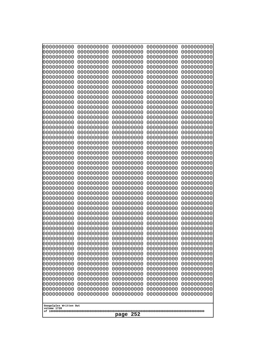| 0000000000                                                                                                                                                                                                                                                      | 0000000000 | 0000000000 | 0000000000 | 0000000000 |
|-----------------------------------------------------------------------------------------------------------------------------------------------------------------------------------------------------------------------------------------------------------------|------------|------------|------------|------------|
| 0000000000                                                                                                                                                                                                                                                      | 0000000000 | 0000000000 | 0000000000 | 0000000000 |
| 0000000000                                                                                                                                                                                                                                                      | 0000000000 | 0000000000 | 0000000000 | 0000000000 |
| 0000000000                                                                                                                                                                                                                                                      | 0000000000 | 0000000000 | 0000000000 | 0000000000 |
| 0000000000                                                                                                                                                                                                                                                      | 0000000000 | 0000000000 | 0000000000 | 0000000000 |
| 0000000000                                                                                                                                                                                                                                                      | 0000000000 | 0000000000 | 0000000000 | 0000000000 |
| 0000000000                                                                                                                                                                                                                                                      | 0000000000 | 0000000000 | 0000000000 | 0000000000 |
| 0000000000                                                                                                                                                                                                                                                      | 0000000000 | 0000000000 | 0000000000 | 0000000000 |
| 0000000000                                                                                                                                                                                                                                                      | 0000000000 | 0000000000 | 0000000000 | 0000000000 |
| 0000000000                                                                                                                                                                                                                                                      | 0000000000 | 0000000000 | 0000000000 | 0000000000 |
| 0000000000                                                                                                                                                                                                                                                      | 0000000000 | 0000000000 | 0000000000 | 0000000000 |
| 0000000000                                                                                                                                                                                                                                                      | 0000000000 | 0000000000 | 0000000000 | 0000000000 |
| 0000000000                                                                                                                                                                                                                                                      | 0000000000 | 0000000000 | 0000000000 | 0000000000 |
| 0000000000                                                                                                                                                                                                                                                      | 0000000000 | 0000000000 | 0000000000 | 0000000000 |
| 0000000000                                                                                                                                                                                                                                                      | 0000000000 | 0000000000 | 0000000000 | 0000000000 |
| 0000000000                                                                                                                                                                                                                                                      | 0000000000 | 0000000000 | 0000000000 | 0000000000 |
| 0000000000                                                                                                                                                                                                                                                      | 0000000000 | 0000000000 | 0000000000 | 0000000000 |
| 0000000000                                                                                                                                                                                                                                                      | 0000000000 | 0000000000 | 0000000000 | 0000000000 |
| 0000000000                                                                                                                                                                                                                                                      | 0000000000 | 0000000000 | 0000000000 | 0000000000 |
| 0000000000                                                                                                                                                                                                                                                      | 0000000000 | 0000000000 | 0000000000 | 0000000000 |
| 0000000000                                                                                                                                                                                                                                                      | 0000000000 | 0000000000 | 0000000000 | 0000000000 |
| 0000000000                                                                                                                                                                                                                                                      | 0000000000 | 0000000000 | 0000000000 | 0000000000 |
| 0000000000                                                                                                                                                                                                                                                      | 0000000000 | 0000000000 | 0000000000 | 0000000000 |
| 0000000000                                                                                                                                                                                                                                                      | 0000000000 | 0000000000 | 0000000000 | 0000000000 |
| 0000000000                                                                                                                                                                                                                                                      | 0000000000 | 0000000000 | 0000000000 | 0000000000 |
| 0000000000                                                                                                                                                                                                                                                      | 0000000000 | 0000000000 | 0000000000 | 0000000000 |
| 0000000000                                                                                                                                                                                                                                                      | 0000000000 | 0000000000 | 0000000000 | 0000000000 |
| 0000000000                                                                                                                                                                                                                                                      | 0000000000 | 0000000000 | 0000000000 | 0000000000 |
| 0000000000                                                                                                                                                                                                                                                      | 0000000000 | 0000000000 | 0000000000 | 0000000000 |
| 0000000000                                                                                                                                                                                                                                                      | 0000000000 | 0000000000 | 0000000000 | 0000000000 |
| 0000000000                                                                                                                                                                                                                                                      | 0000000000 | 0000000000 | 0000000000 | 0000000000 |
| 0000000000                                                                                                                                                                                                                                                      | 0000000000 | 0000000000 | 0000000000 | 0000000000 |
| 0000000000                                                                                                                                                                                                                                                      | 0000000000 | 0000000000 | 0000000000 | 0000000000 |
| 0000000000                                                                                                                                                                                                                                                      | 0000000000 | 0000000000 | 0000000000 | 0000000000 |
| 0000000000                                                                                                                                                                                                                                                      | 0000000000 | 0000000000 | 0000000000 | 0000000000 |
| 0000000000                                                                                                                                                                                                                                                      | 0000000000 | 0000000000 | 0000000000 | 0000000000 |
| 0000000000                                                                                                                                                                                                                                                      | 0000000000 | 0000000000 | 0000000000 | 0000000000 |
| 0000000000                                                                                                                                                                                                                                                      | 0000000000 | 0000000000 | 0000000000 | 0000000000 |
| 0000000000                                                                                                                                                                                                                                                      | 0000000000 | 0000000000 | 0000000000 | 0000000000 |
| 0000000000                                                                                                                                                                                                                                                      | 0000000000 | 0000000000 | 0000000000 | 0000000000 |
| 0000000000                                                                                                                                                                                                                                                      | 0000000000 | 0000000000 | 0000000000 | 0000000000 |
| 0000000000                                                                                                                                                                                                                                                      | 0000000000 | 0000000000 | 0000000000 | 0000000000 |
| 0000000000                                                                                                                                                                                                                                                      | 0000000000 | 0000000000 | 0000000000 | 0000000000 |
| 0000000000                                                                                                                                                                                                                                                      | 0000000000 | 0000000000 | 0000000000 | 0000000000 |
| 0000000000                                                                                                                                                                                                                                                      | 0000000000 | 0000000000 | 0000000000 | 0000000000 |
| 0000000000                                                                                                                                                                                                                                                      | 0000000000 | 0000000000 | 0000000000 | 0000000000 |
| 0000000000                                                                                                                                                                                                                                                      | 0000000000 | 0000000000 | 0000000000 | 0000000000 |
| 0000000000<br>0000000000<br>0000000000<br>0000000000<br>0000000000<br>0000000000<br>0000000000<br>0000000000<br>0000000000<br>0000000000<br>0000000000<br>0000000000<br>0000000000<br>0000000000<br>0000000000<br>Googolplex Written Out<br>volume 1720<br>page |            |            |            |            |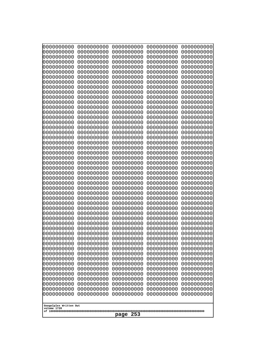| 10000000000<br>0000000000             | 0000000000<br>0000000000 | 0000000000<br>0000000000 | 0000000000<br>0000000000 | 0000000000<br>0000000000 |
|---------------------------------------|--------------------------|--------------------------|--------------------------|--------------------------|
| 0000000000                            | 0000000000               | 0000000000               | 0000000000               | 0000000000               |
| 0000000000                            | 0000000000               | 0000000000               | 0000000000               | 0000000000               |
| 0000000000<br>0000000000              | 0000000000<br>0000000000 | 0000000000<br>0000000000 | 0000000000<br>0000000000 | 0000000000<br>0000000000 |
| 0000000000                            | 0000000000               | 0000000000               | 0000000000               | 0000000000               |
| 0000000000                            | 0000000000               | 0000000000               | 0000000000               | 0000000000               |
| 0000000000<br>0000000000              | 0000000000<br>0000000000 | 0000000000<br>0000000000 | 0000000000<br>0000000000 | 0000000000<br>0000000000 |
| 0000000000                            | 0000000000               | 0000000000               | 0000000000               | 0000000000               |
| 0000000000                            | 0000000000               | 0000000000               | 0000000000               | 0000000000               |
| 0000000000                            | 0000000000               | 0000000000               | 0000000000               | 0000000000               |
| 0000000000<br>0000000000              | 0000000000<br>0000000000 | 0000000000<br>0000000000 | 0000000000<br>0000000000 | 0000000000<br>0000000000 |
| 0000000000                            | 0000000000               | 0000000000               | 0000000000               | 0000000000               |
| 0000000000                            | 0000000000               | 0000000000               | 0000000000               | 0000000000               |
| 0000000000<br>0000000000              | 0000000000<br>0000000000 | 0000000000<br>0000000000 | 0000000000<br>0000000000 | 0000000000<br>0000000000 |
| 0000000000                            | 0000000000               | 0000000000               | 0000000000               | 0000000000               |
| 0000000000                            | 0000000000               | 0000000000               | 0000000000               | 0000000000               |
| 0000000000<br>0000000000              | 0000000000<br>0000000000 | 0000000000<br>0000000000 | 0000000000<br>0000000000 | 0000000000<br>0000000000 |
| 0000000000                            | 0000000000               | 0000000000               | 0000000000               | 0000000000               |
| 0000000000                            | 0000000000               | 0000000000               | 0000000000               | 0000000000               |
| 0000000000<br>0000000000              | 0000000000<br>0000000000 | 0000000000<br>0000000000 | 0000000000<br>0000000000 | 0000000000<br>0000000000 |
| 0000000000                            | 0000000000               | 0000000000               | 0000000000               | 0000000000               |
| 0000000000                            | 0000000000               | 0000000000               | 0000000000               | 0000000000               |
| 0000000000                            | 0000000000<br>0000000000 | 0000000000<br>0000000000 | 0000000000<br>0000000000 | 0000000000               |
| 0000000000<br>0000000000              | 0000000000               | 0000000000               | 0000000000               | 0000000000<br>0000000000 |
| 0000000000                            | 0000000000               | 0000000000               | 0000000000               | 0000000000               |
| 0000000000                            | 0000000000               | 0000000000               | 0000000000               | 0000000000               |
| 0000000000<br>0000000000              | 0000000000<br>0000000000 | 0000000000<br>0000000000 | 0000000000<br>0000000000 | 0000000000<br>0000000000 |
| 0000000000                            | 0000000000               | 0000000000               | 0000000000               | 0000000000               |
| 0000000000                            | 0000000000               | 0000000000               | 0000000000               | 0000000000               |
| 0000000000<br>0000000000              | 0000000000<br>0000000000 | 0000000000<br>0000000000 | 0000000000<br>0000000000 | 0000000000<br>0000000000 |
| 0000000000                            | 0000000000               | 0000000000               | 0000000000               | 0000000000               |
| 0000000000                            | 0000000000               | 0000000000               | 0000000000               | 0000000000               |
| 0000000000<br>0000000000              | 0000000000<br>0000000000 | 0000000000<br>0000000000 | 0000000000<br>0000000000 | 0000000000<br>0000000000 |
| 0000000000                            | 0000000000               | 0000000000               | 0000000000               | 0000000000               |
| 0000000000                            | 0000000000               | 0000000000               | 0000000000               | 0000000000               |
| 0000000000<br>0000000000              | 0000000000<br>0000000000 | 0000000000<br>0000000000 | 0000000000<br>0000000000 | 0000000000<br>0000000000 |
| 0000000000                            | 0000000000               | 0000000000               | 0000000000               | 0000000000               |
| 0000000000                            | 0000000000               | 0000000000               | 0000000000               | 0000000000               |
|                                       |                          |                          |                          |                          |
| Googolplex Written Out<br>volume 1720 |                          |                          |                          |                          |
| 253<br>page                           |                          |                          |                          |                          |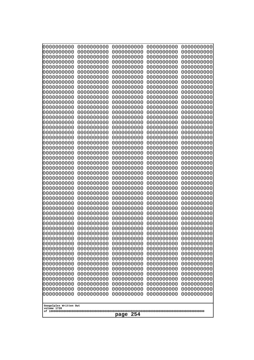| 10000000000<br>0000000000             | 0000000000<br>0000000000 | 0000000000<br>0000000000 | 0000000000<br>0000000000 | 0000000000<br>0000000000 |
|---------------------------------------|--------------------------|--------------------------|--------------------------|--------------------------|
| 0000000000                            | 0000000000               | 0000000000               | 0000000000               | 0000000000               |
| 0000000000                            | 0000000000               | 0000000000               | 0000000000               | 0000000000               |
| 0000000000<br>0000000000              | 0000000000<br>0000000000 | 0000000000<br>0000000000 | 0000000000<br>0000000000 | 0000000000<br>0000000000 |
| 0000000000                            | 0000000000               | 0000000000               | 0000000000               | 0000000000               |
| 0000000000                            | 0000000000               | 0000000000               | 0000000000               | 0000000000               |
| 0000000000<br>0000000000              | 0000000000<br>0000000000 | 0000000000<br>0000000000 | 0000000000<br>0000000000 | 0000000000<br>0000000000 |
| 0000000000                            | 0000000000               | 0000000000               | 0000000000               | 0000000000               |
| 0000000000                            | 0000000000               | 0000000000               | 0000000000               | 0000000000               |
| 0000000000                            | 0000000000               | 0000000000               | 0000000000               | 0000000000               |
| 0000000000<br>0000000000              | 0000000000<br>0000000000 | 0000000000<br>0000000000 | 0000000000<br>0000000000 | 0000000000<br>0000000000 |
| 0000000000                            | 0000000000               | 0000000000               | 0000000000               | 0000000000               |
| 0000000000                            | 0000000000               | 0000000000               | 0000000000               | 0000000000               |
| 0000000000<br>0000000000              | 0000000000<br>0000000000 | 0000000000<br>0000000000 | 0000000000<br>0000000000 | 0000000000<br>0000000000 |
| 0000000000                            | 0000000000               | 0000000000               | 0000000000               | 0000000000               |
| 0000000000                            | 0000000000               | 0000000000               | 0000000000               | 0000000000               |
| 0000000000<br>0000000000              | 0000000000<br>0000000000 | 0000000000<br>0000000000 | 0000000000<br>0000000000 | 0000000000<br>0000000000 |
| 0000000000                            | 0000000000               | 0000000000               | 0000000000               | 0000000000               |
| 0000000000                            | 0000000000               | 0000000000               | 0000000000               | 0000000000               |
| 0000000000<br>0000000000              | 0000000000<br>0000000000 | 0000000000<br>0000000000 | 0000000000<br>0000000000 | 0000000000<br>0000000000 |
| 0000000000                            | 0000000000               | 0000000000               | 0000000000               | 0000000000               |
| 0000000000                            | 0000000000               | 0000000000               | 0000000000               | 0000000000               |
| 0000000000                            | 0000000000               | 0000000000               | 0000000000               | 0000000000               |
| 0000000000<br>0000000000              | 0000000000<br>0000000000 | 0000000000<br>0000000000 | 0000000000<br>0000000000 | 0000000000<br>0000000000 |
| 0000000000                            | 0000000000               | 0000000000               | 0000000000               | 0000000000               |
| 0000000000                            | 0000000000               | 0000000000               | 0000000000               | 0000000000               |
| 0000000000<br>0000000000              | 0000000000<br>0000000000 | 0000000000<br>0000000000 | 0000000000<br>0000000000 | 0000000000<br>0000000000 |
| 0000000000                            | 0000000000               | 0000000000               | 0000000000               | 0000000000               |
| 0000000000                            | 0000000000               | 0000000000               | 0000000000               | 0000000000               |
| 0000000000<br>0000000000              | 0000000000<br>0000000000 | 0000000000<br>0000000000 | 0000000000<br>0000000000 | 0000000000<br>0000000000 |
| 0000000000                            | 0000000000               | 0000000000               | 0000000000               | 0000000000               |
| 0000000000                            | 0000000000               | 0000000000               | 0000000000               | 0000000000               |
| 0000000000<br>0000000000              | 0000000000<br>0000000000 | 0000000000<br>0000000000 | 0000000000<br>0000000000 | 0000000000<br>0000000000 |
| 0000000000                            | 0000000000               | 0000000000               | 0000000000               | 0000000000               |
| 0000000000                            | 0000000000               | 0000000000               | 0000000000               | 0000000000               |
| 0000000000<br>0000000000              | 0000000000               | 0000000000               | 0000000000               | 0000000000<br>0000000000 |
| 0000000000                            | 0000000000<br>0000000000 | 0000000000<br>0000000000 | 0000000000<br>0000000000 | 0000000000               |
| 0000000000                            | 0000000000               | 0000000000               | 0000000000               | 0000000000               |
|                                       |                          |                          |                          |                          |
| Googolplex Written Out<br>volume 1720 |                          |                          |                          |                          |
| 254<br>page                           |                          |                          |                          |                          |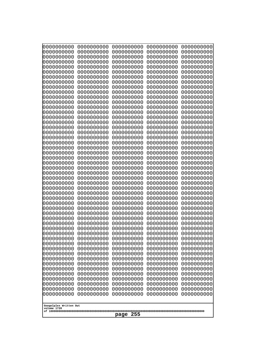| 0000000000                                                                                                                              | 0000000000                                                                                     | 0000000000                                                                                             | 0000000000                                                                                     | 0000000000                                                                                     |
|-----------------------------------------------------------------------------------------------------------------------------------------|------------------------------------------------------------------------------------------------|--------------------------------------------------------------------------------------------------------|------------------------------------------------------------------------------------------------|------------------------------------------------------------------------------------------------|
| 0000000000                                                                                                                              | 0000000000                                                                                     | 0000000000                                                                                             | 0000000000                                                                                     | 0000000000                                                                                     |
| 0000000000                                                                                                                              | 0000000000                                                                                     | 0000000000                                                                                             | 0000000000                                                                                     | 0000000000                                                                                     |
| 0000000000                                                                                                                              | 0000000000                                                                                     | 0000000000                                                                                             | 0000000000                                                                                     | 0000000000                                                                                     |
| 0000000000                                                                                                                              | 0000000000                                                                                     | 0000000000                                                                                             | 0000000000                                                                                     | 0000000000                                                                                     |
| 0000000000                                                                                                                              | 0000000000                                                                                     | 0000000000                                                                                             | 0000000000                                                                                     | 0000000000                                                                                     |
| 0000000000                                                                                                                              | 0000000000                                                                                     | 0000000000                                                                                             | 0000000000                                                                                     | 0000000000                                                                                     |
| 0000000000                                                                                                                              | 0000000000                                                                                     | 0000000000                                                                                             | 0000000000                                                                                     | 0000000000                                                                                     |
| 0000000000                                                                                                                              | 0000000000                                                                                     | 0000000000                                                                                             | 0000000000                                                                                     | 0000000000                                                                                     |
| 0000000000                                                                                                                              | 0000000000                                                                                     | 0000000000                                                                                             | 0000000000                                                                                     | 0000000000                                                                                     |
| 0000000000                                                                                                                              | 0000000000                                                                                     | 0000000000                                                                                             | 0000000000                                                                                     | 0000000000                                                                                     |
| 0000000000                                                                                                                              | 0000000000                                                                                     | 0000000000                                                                                             | 0000000000                                                                                     | 0000000000                                                                                     |
| 0000000000                                                                                                                              | 0000000000                                                                                     | 0000000000                                                                                             | 0000000000                                                                                     | 0000000000                                                                                     |
| 0000000000                                                                                                                              | 0000000000                                                                                     | 0000000000                                                                                             | 0000000000                                                                                     | 0000000000                                                                                     |
| 0000000000                                                                                                                              | 0000000000                                                                                     | 0000000000                                                                                             | 0000000000                                                                                     | 0000000000                                                                                     |
| 0000000000                                                                                                                              | 0000000000                                                                                     | 0000000000                                                                                             | 0000000000                                                                                     | 0000000000                                                                                     |
| 0000000000                                                                                                                              | 0000000000                                                                                     | 0000000000                                                                                             | 0000000000                                                                                     | 0000000000                                                                                     |
| 0000000000                                                                                                                              | 0000000000                                                                                     | 0000000000                                                                                             | 0000000000                                                                                     | 0000000000                                                                                     |
| 0000000000                                                                                                                              | 0000000000                                                                                     | 0000000000                                                                                             | 0000000000                                                                                     | 0000000000                                                                                     |
| 0000000000                                                                                                                              | 0000000000                                                                                     | 0000000000                                                                                             | 0000000000                                                                                     | 0000000000                                                                                     |
| 0000000000                                                                                                                              | 0000000000                                                                                     | 0000000000                                                                                             | 0000000000                                                                                     | 0000000000                                                                                     |
| 0000000000                                                                                                                              | 0000000000                                                                                     | 0000000000                                                                                             | 0000000000                                                                                     | 0000000000                                                                                     |
| 0000000000                                                                                                                              | 0000000000                                                                                     | 0000000000                                                                                             | 0000000000                                                                                     | 0000000000                                                                                     |
| 0000000000                                                                                                                              | 0000000000                                                                                     | 0000000000                                                                                             | 0000000000                                                                                     | 0000000000                                                                                     |
| 0000000000                                                                                                                              | 0000000000                                                                                     | 0000000000                                                                                             | 0000000000                                                                                     | 0000000000                                                                                     |
| 0000000000                                                                                                                              | 0000000000                                                                                     | 0000000000                                                                                             | 0000000000                                                                                     | 0000000000                                                                                     |
| 0000000000                                                                                                                              | 0000000000                                                                                     | 0000000000                                                                                             | 0000000000                                                                                     | 0000000000                                                                                     |
| 0000000000                                                                                                                              | 0000000000                                                                                     | 0000000000                                                                                             | 0000000000                                                                                     | 0000000000                                                                                     |
| 0000000000                                                                                                                              | 0000000000                                                                                     | 0000000000                                                                                             | 0000000000                                                                                     | 0000000000                                                                                     |
| 0000000000                                                                                                                              | 0000000000                                                                                     | 0000000000                                                                                             | 0000000000                                                                                     | 0000000000                                                                                     |
| 0000000000                                                                                                                              | 0000000000                                                                                     | 0000000000                                                                                             | 0000000000                                                                                     | 0000000000                                                                                     |
| 0000000000                                                                                                                              | 0000000000                                                                                     | 0000000000                                                                                             | 0000000000                                                                                     | 0000000000                                                                                     |
| 0000000000                                                                                                                              | 0000000000                                                                                     | 0000000000                                                                                             | 0000000000                                                                                     | 0000000000                                                                                     |
| 0000000000                                                                                                                              | 0000000000                                                                                     | 0000000000                                                                                             | 0000000000                                                                                     | 0000000000                                                                                     |
| 0000000000                                                                                                                              | 0000000000                                                                                     | 0000000000                                                                                             | 0000000000                                                                                     | 0000000000                                                                                     |
| 0000000000                                                                                                                              | 0000000000                                                                                     | 0000000000                                                                                             | 0000000000                                                                                     | 0000000000                                                                                     |
| 0000000000                                                                                                                              | 0000000000                                                                                     | 0000000000                                                                                             | 0000000000                                                                                     | 0000000000                                                                                     |
| 0000000000                                                                                                                              | 0000000000                                                                                     | 0000000000                                                                                             | 0000000000                                                                                     | 0000000000                                                                                     |
| 0000000000                                                                                                                              | 0000000000                                                                                     | 0000000000                                                                                             | 0000000000                                                                                     | 0000000000                                                                                     |
| 0000000000                                                                                                                              | 0000000000                                                                                     | 0000000000                                                                                             | 0000000000                                                                                     | 0000000000                                                                                     |
| 0000000000                                                                                                                              | 0000000000                                                                                     | 0000000000                                                                                             | 0000000000                                                                                     | 0000000000                                                                                     |
| 0000000000                                                                                                                              | 0000000000                                                                                     | 0000000000                                                                                             | 0000000000                                                                                     | 0000000000                                                                                     |
| 0000000000                                                                                                                              | 0000000000                                                                                     | 0000000000                                                                                             | 0000000000                                                                                     | 0000000000                                                                                     |
| 0000000000<br>0000000000<br>0000000000<br>0000000000<br>0000000000<br>0000000000<br>0000000000<br>Googolplex Written Out<br>volume 1720 | 0000000000<br>0000000000<br>0000000000<br>0000000000<br>0000000000<br>0000000000<br>0000000000 | 0000000000<br>0000000000<br>0000000000<br>0000000000<br>0000000000<br>0000000000<br>0000000000<br>page | 0000000000<br>0000000000<br>0000000000<br>0000000000<br>0000000000<br>0000000000<br>0000000000 | 0000000000<br>0000000000<br>0000000000<br>0000000000<br>0000000000<br>0000000000<br>0000000000 |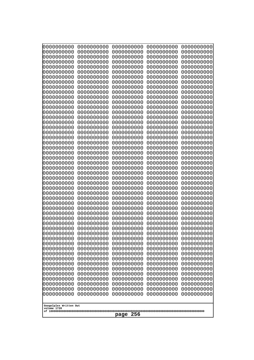| 10000000000<br>0000000000 | 0000000000<br>0000000000 | 0000000000<br>0000000000 | 0000000000<br>0000000000 | 0000000000<br>0000000000 |
|---------------------------|--------------------------|--------------------------|--------------------------|--------------------------|
| 0000000000                | 0000000000               | 0000000000               | 0000000000               | 0000000000               |
| 0000000000                | 0000000000               | 0000000000               | 0000000000               | 0000000000               |
| 0000000000<br>0000000000  | 0000000000<br>0000000000 | 0000000000<br>0000000000 | 0000000000<br>0000000000 | 0000000000<br>0000000000 |
| 0000000000                | 0000000000               | 0000000000               | 0000000000               | 0000000000               |
| 0000000000                | 0000000000               | 0000000000               | 0000000000               | 0000000000               |
| 0000000000<br>0000000000  | 0000000000<br>0000000000 | 0000000000<br>0000000000 | 0000000000<br>0000000000 | 0000000000<br>0000000000 |
| 0000000000                | 0000000000               | 0000000000               | 0000000000               | 0000000000               |
| 0000000000                | 0000000000               | 0000000000               | 0000000000               | 0000000000               |
| 0000000000<br>0000000000  | 0000000000<br>0000000000 | 0000000000<br>0000000000 | 0000000000<br>0000000000 | 0000000000<br>0000000000 |
| 0000000000                | 0000000000               | 0000000000               | 0000000000               | 0000000000               |
| 0000000000                | 0000000000               | 0000000000               | 0000000000               | 0000000000               |
| 0000000000<br>0000000000  | 0000000000<br>0000000000 | 0000000000<br>0000000000 | 0000000000<br>0000000000 | 0000000000<br>0000000000 |
| 0000000000                | 0000000000               | 0000000000               | 0000000000               | 0000000000               |
| 0000000000                | 0000000000               | 0000000000               | 0000000000               | 0000000000               |
| 0000000000                | 0000000000               | 0000000000               | 0000000000               | 0000000000               |
| 0000000000<br>0000000000  | 0000000000<br>0000000000 | 0000000000<br>0000000000 | 0000000000<br>0000000000 | 0000000000<br>0000000000 |
| 0000000000                | 0000000000               | 0000000000               | 0000000000               | 0000000000               |
| 0000000000                | 0000000000               | 0000000000               | 0000000000               | 0000000000               |
| 0000000000<br>0000000000  | 0000000000<br>0000000000 | 0000000000<br>0000000000 | 0000000000<br>0000000000 | 0000000000<br>0000000000 |
| 0000000000                | 0000000000               | 0000000000               | 0000000000               | 0000000000               |
| 0000000000                | 0000000000               | 0000000000               | 0000000000               | 0000000000               |
| 0000000000<br>0000000000  | 0000000000<br>0000000000 | 0000000000<br>0000000000 | 0000000000<br>0000000000 | 0000000000<br>0000000000 |
| 0000000000                | 0000000000               | 0000000000               | 0000000000               | 0000000000               |
| 0000000000                | 0000000000               | 0000000000               | 0000000000               | 0000000000               |
| 0000000000<br>0000000000  | 0000000000<br>0000000000 | 0000000000<br>0000000000 | 0000000000<br>0000000000 | 0000000000<br>0000000000 |
| 0000000000                | 0000000000               | 0000000000               | 0000000000               | 0000000000               |
| 0000000000                | 0000000000               | 0000000000               | 0000000000               | 0000000000               |
| 0000000000<br>0000000000  | 0000000000<br>0000000000 | 0000000000<br>0000000000 | 0000000000<br>0000000000 | 0000000000<br>0000000000 |
| 0000000000                | 0000000000               | 0000000000               | 0000000000               | 0000000000               |
| 0000000000                | 0000000000               | 0000000000               | 0000000000               | 0000000000               |
| 0000000000<br>0000000000  | 0000000000<br>0000000000 | 0000000000<br>0000000000 | 0000000000<br>0000000000 | 0000000000<br>0000000000 |
| 0000000000                | 0000000000               | 0000000000               | 0000000000               | 0000000000               |
| 0000000000                | 0000000000               | 0000000000               | 0000000000               | 0000000000               |
| 0000000000                | 0000000000<br>0000000000 | 0000000000<br>0000000000 | 0000000000               | 0000000000               |
| 0000000000<br>0000000000  | 0000000000               | 0000000000               | 0000000000<br>0000000000 | 0000000000<br>0000000000 |
| 0000000000                | 0000000000               | 0000000000               | 0000000000               | 0000000000               |
| 0000000000                | 0000000000               | 0000000000               | 0000000000               | 0000000000               |
| Googolplex Written Out    |                          |                          |                          |                          |
| volume 1720               |                          |                          |                          |                          |
| 256<br>page               |                          |                          |                          |                          |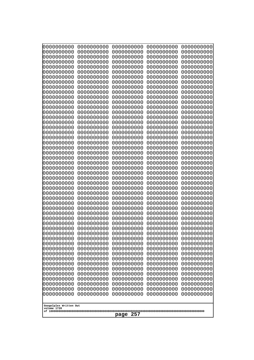| 000000000                              | 0000000000                             | 0000000000                             | 0000000000                             | 0000000000                             |
|----------------------------------------|----------------------------------------|----------------------------------------|----------------------------------------|----------------------------------------|
| 0000000000                             | 0000000000                             | 0000000000                             | 0000000000                             | 0000000000                             |
| 0000000000<br>0000000000<br>0000000000 | 0000000000<br>0000000000<br>0000000000 | 0000000000<br>0000000000<br>0000000000 | 0000000000<br>0000000000               | 0000000000<br>0000000000               |
| 0000000000<br>0000000000               | 0000000000<br>0000000000               | 0000000000<br>0000000000               | 0000000000<br>0000000000<br>0000000000 | 0000000000<br>0000000000<br>0000000000 |
| 0000000000                             | 0000000000                             | 0000000000                             | 0000000000                             | 0000000000                             |
| 0000000000                             | 0000000000                             | 0000000000                             | 0000000000                             | 0000000000                             |
| 0000000000                             | 0000000000                             | 0000000000                             | 0000000000                             | 0000000000                             |
| 0000000000                             | 0000000000                             | 0000000000                             | 0000000000                             | 0000000000                             |
| 0000000000                             | 0000000000                             | 0000000000                             | 0000000000                             | 0000000000                             |
| 0000000000                             | 0000000000                             | 0000000000                             | 0000000000                             | 0000000000                             |
| 0000000000                             | 0000000000                             | 0000000000                             | 0000000000                             | 0000000000                             |
| 0000000000                             | 0000000000                             | 0000000000                             | 0000000000                             | 0000000000                             |
| 0000000000                             | 0000000000                             | 0000000000                             | 0000000000                             | 0000000000                             |
| 0000000000                             | 0000000000                             | 0000000000                             | 0000000000                             | 0000000000                             |
| 0000000000                             | 0000000000                             | 0000000000                             | 0000000000                             | 0000000000                             |
| 0000000000                             | 0000000000                             | 0000000000                             | 0000000000                             | 0000000000                             |
| 0000000000                             | 0000000000                             | 0000000000                             | 0000000000                             | 0000000000                             |
| 0000000000                             | 0000000000                             | 0000000000                             | 0000000000                             | 0000000000                             |
| 0000000000                             | 0000000000                             | 0000000000                             | 0000000000                             | 0000000000                             |
| 0000000000                             | 0000000000                             | 0000000000                             | 0000000000                             | 0000000000                             |
| 0000000000                             | 0000000000                             | 0000000000                             | 0000000000                             | 0000000000                             |
| 0000000000                             | 0000000000                             | 0000000000                             | 0000000000                             | 0000000000                             |
| 0000000000                             | 0000000000                             | 0000000000                             | 0000000000                             | 0000000000                             |
| 0000000000                             | 0000000000                             | 0000000000                             | 0000000000                             | 0000000000                             |
| 0000000000                             | 0000000000                             | 0000000000                             | 0000000000                             | 0000000000                             |
| 0000000000                             | 0000000000                             | 0000000000                             | 0000000000                             | 0000000000                             |
| 0000000000                             | 0000000000                             | 0000000000                             | 0000000000                             | 0000000000                             |
| 0000000000                             | 0000000000                             | 0000000000                             | 0000000000                             | 0000000000                             |
| 0000000000<br>0000000000<br>0000000000 | 0000000000<br>0000000000               | 0000000000<br>0000000000               | 0000000000<br>0000000000<br>0000000000 | 0000000000<br>0000000000               |
| 0000000000<br>0000000000               | 0000000000<br>0000000000<br>0000000000 | 0000000000<br>0000000000<br>0000000000 | 0000000000<br>0000000000               | 0000000000<br>0000000000<br>0000000000 |
| 0000000000                             | 0000000000                             | 0000000000                             | 0000000000                             | 0000000000                             |
| 0000000000                             | 0000000000                             | 0000000000                             | 0000000000                             | 0000000000                             |
| 0000000000                             | 0000000000                             | 0000000000                             | 0000000000                             | 0000000000                             |
| 0000000000                             | 0000000000                             | 0000000000                             | 0000000000                             | 0000000000                             |
| 0000000000                             | 0000000000                             | 0000000000                             | 0000000000                             | 0000000000                             |
| 0000000000                             | 0000000000                             | 0000000000                             | 0000000000                             | 0000000000                             |
| 0000000000                             | 0000000000                             | 0000000000                             | 0000000000                             | 0000000000                             |
| 0000000000                             | 0000000000                             | 0000000000                             | 0000000000                             | 0000000000                             |
| 0000000000                             | 0000000000                             | 0000000000                             | 0000000000                             | 0000000000                             |
| 0000000000                             | 0000000000                             | 0000000000                             | 0000000000                             | 0000000000                             |
| 0000000000                             | 0000000000                             | 0000000000                             | 0000000000                             | 0000000000                             |
| 0000000000                             | 0000000000                             | 0000000000                             | 0000000000                             | 0000000000                             |
| 0000000000                             | 0000000000                             | 0000000000                             | 0000000000                             | 0000000000                             |
| 0000000000                             | 0000000000                             | 0000000000                             | 0000000000                             | 0000000000                             |
| Googolplex Written Out<br>volume 1720  |                                        |                                        |                                        |                                        |
| 257<br>page                            |                                        |                                        |                                        |                                        |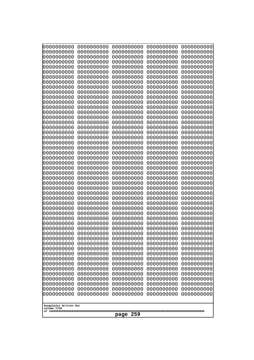| 0000000000<br>0000000000<br>0000000000<br>0000000000<br>0000000000<br>0000000000<br>0000000000<br>0000000000<br>0000000000<br>0000000000<br>0000000000<br>0000000000<br>0000000000<br>0000000000<br>0000000000<br>0000000000<br>0000000000<br>0000000000<br>0000000000<br>0000000000<br>0000000000<br>0000000000<br>0000000000<br>0000000000 | 0000000000<br>0000000000<br>0000000000<br>0000000000<br>0000000000<br>0000000000<br>0000000000<br>0000000000<br>0000000000<br>0000000000<br>0000000000<br>0000000000<br>0000000000<br>0000000000<br>0000000000<br>0000000000<br>0000000000<br>0000000000<br>0000000000<br>0000000000<br>0000000000<br>0000000000<br>0000000000<br>0000000000 | 0000000000<br>0000000000<br>0000000000<br>0000000000<br>0000000000<br>0000000000<br>0000000000<br>0000000000<br>0000000000<br>0000000000<br>0000000000<br>0000000000<br>0000000000<br>0000000000<br>0000000000<br>0000000000<br>0000000000<br>0000000000<br>0000000000<br>0000000000<br>0000000000<br>0000000000<br>0000000000<br>0000000000 | 0000000000<br>0000000000<br>0000000000<br>0000000000<br>0000000000<br>0000000000<br>0000000000<br>0000000000<br>0000000000<br>0000000000<br>0000000000<br>0000000000<br>0000000000<br>0000000000<br>0000000000<br>0000000000<br>0000000000<br>0000000000<br>0000000000<br>0000000000<br>0000000000<br>0000000000<br>0000000000<br>0000000000 | 0000000000<br>0000000000<br>0000000000<br>0000000000<br>0000000000<br>0000000000<br>0000000000<br>0000000000<br>0000000000<br>0000000000<br>0000000000<br>0000000000<br>0000000000<br>0000000000<br>0000000000<br>0000000000<br>0000000000<br>0000000000<br>0000000000<br>0000000000<br>0000000000<br>0000000000<br>0000000000<br>0000000000 |
|----------------------------------------------------------------------------------------------------------------------------------------------------------------------------------------------------------------------------------------------------------------------------------------------------------------------------------------------|----------------------------------------------------------------------------------------------------------------------------------------------------------------------------------------------------------------------------------------------------------------------------------------------------------------------------------------------|----------------------------------------------------------------------------------------------------------------------------------------------------------------------------------------------------------------------------------------------------------------------------------------------------------------------------------------------|----------------------------------------------------------------------------------------------------------------------------------------------------------------------------------------------------------------------------------------------------------------------------------------------------------------------------------------------|----------------------------------------------------------------------------------------------------------------------------------------------------------------------------------------------------------------------------------------------------------------------------------------------------------------------------------------------|
|                                                                                                                                                                                                                                                                                                                                              |                                                                                                                                                                                                                                                                                                                                              |                                                                                                                                                                                                                                                                                                                                              |                                                                                                                                                                                                                                                                                                                                              |                                                                                                                                                                                                                                                                                                                                              |
|                                                                                                                                                                                                                                                                                                                                              |                                                                                                                                                                                                                                                                                                                                              |                                                                                                                                                                                                                                                                                                                                              |                                                                                                                                                                                                                                                                                                                                              |                                                                                                                                                                                                                                                                                                                                              |
|                                                                                                                                                                                                                                                                                                                                              |                                                                                                                                                                                                                                                                                                                                              |                                                                                                                                                                                                                                                                                                                                              |                                                                                                                                                                                                                                                                                                                                              |                                                                                                                                                                                                                                                                                                                                              |
|                                                                                                                                                                                                                                                                                                                                              |                                                                                                                                                                                                                                                                                                                                              |                                                                                                                                                                                                                                                                                                                                              |                                                                                                                                                                                                                                                                                                                                              |                                                                                                                                                                                                                                                                                                                                              |
|                                                                                                                                                                                                                                                                                                                                              |                                                                                                                                                                                                                                                                                                                                              |                                                                                                                                                                                                                                                                                                                                              |                                                                                                                                                                                                                                                                                                                                              |                                                                                                                                                                                                                                                                                                                                              |
|                                                                                                                                                                                                                                                                                                                                              |                                                                                                                                                                                                                                                                                                                                              |                                                                                                                                                                                                                                                                                                                                              |                                                                                                                                                                                                                                                                                                                                              |                                                                                                                                                                                                                                                                                                                                              |
|                                                                                                                                                                                                                                                                                                                                              |                                                                                                                                                                                                                                                                                                                                              |                                                                                                                                                                                                                                                                                                                                              |                                                                                                                                                                                                                                                                                                                                              |                                                                                                                                                                                                                                                                                                                                              |
|                                                                                                                                                                                                                                                                                                                                              |                                                                                                                                                                                                                                                                                                                                              |                                                                                                                                                                                                                                                                                                                                              |                                                                                                                                                                                                                                                                                                                                              |                                                                                                                                                                                                                                                                                                                                              |
|                                                                                                                                                                                                                                                                                                                                              |                                                                                                                                                                                                                                                                                                                                              |                                                                                                                                                                                                                                                                                                                                              |                                                                                                                                                                                                                                                                                                                                              |                                                                                                                                                                                                                                                                                                                                              |
|                                                                                                                                                                                                                                                                                                                                              |                                                                                                                                                                                                                                                                                                                                              |                                                                                                                                                                                                                                                                                                                                              |                                                                                                                                                                                                                                                                                                                                              |                                                                                                                                                                                                                                                                                                                                              |
|                                                                                                                                                                                                                                                                                                                                              |                                                                                                                                                                                                                                                                                                                                              |                                                                                                                                                                                                                                                                                                                                              |                                                                                                                                                                                                                                                                                                                                              |                                                                                                                                                                                                                                                                                                                                              |
| 0000000000                                                                                                                                                                                                                                                                                                                                   | 0000000000                                                                                                                                                                                                                                                                                                                                   | 0000000000                                                                                                                                                                                                                                                                                                                                   | 0000000000                                                                                                                                                                                                                                                                                                                                   | 0000000000                                                                                                                                                                                                                                                                                                                                   |
| 0000000000<br>0000000000                                                                                                                                                                                                                                                                                                                     | 0000000000<br>0000000000                                                                                                                                                                                                                                                                                                                     | 0000000000<br>0000000000                                                                                                                                                                                                                                                                                                                     | 0000000000<br>0000000000                                                                                                                                                                                                                                                                                                                     | 0000000000<br>0000000000                                                                                                                                                                                                                                                                                                                     |
| 0000000000                                                                                                                                                                                                                                                                                                                                   | 0000000000                                                                                                                                                                                                                                                                                                                                   | 0000000000                                                                                                                                                                                                                                                                                                                                   | 0000000000                                                                                                                                                                                                                                                                                                                                   | 0000000000                                                                                                                                                                                                                                                                                                                                   |
| 0000000000<br>0000000000                                                                                                                                                                                                                                                                                                                     | 0000000000<br>0000000000                                                                                                                                                                                                                                                                                                                     | 0000000000<br>0000000000                                                                                                                                                                                                                                                                                                                     | 0000000000<br>0000000000                                                                                                                                                                                                                                                                                                                     | 0000000000<br>0000000000                                                                                                                                                                                                                                                                                                                     |
| 0000000000                                                                                                                                                                                                                                                                                                                                   | 0000000000                                                                                                                                                                                                                                                                                                                                   | 0000000000                                                                                                                                                                                                                                                                                                                                   | 0000000000                                                                                                                                                                                                                                                                                                                                   | 0000000000                                                                                                                                                                                                                                                                                                                                   |
| 0000000000<br>0000000000                                                                                                                                                                                                                                                                                                                     | 0000000000<br>0000000000                                                                                                                                                                                                                                                                                                                     | 0000000000<br>0000000000                                                                                                                                                                                                                                                                                                                     | 0000000000<br>0000000000                                                                                                                                                                                                                                                                                                                     | 0000000000<br>0000000000                                                                                                                                                                                                                                                                                                                     |
| 0000000000<br>0000000000                                                                                                                                                                                                                                                                                                                     | 0000000000<br>0000000000                                                                                                                                                                                                                                                                                                                     | 0000000000<br>0000000000                                                                                                                                                                                                                                                                                                                     | 0000000000<br>0000000000                                                                                                                                                                                                                                                                                                                     | 0000000000<br>0000000000                                                                                                                                                                                                                                                                                                                     |
| 0000000000                                                                                                                                                                                                                                                                                                                                   | 0000000000                                                                                                                                                                                                                                                                                                                                   | 0000000000                                                                                                                                                                                                                                                                                                                                   | 0000000000                                                                                                                                                                                                                                                                                                                                   | 0000000000                                                                                                                                                                                                                                                                                                                                   |
| 0000000000<br>0000000000                                                                                                                                                                                                                                                                                                                     | 0000000000<br>0000000000                                                                                                                                                                                                                                                                                                                     | 0000000000<br>0000000000                                                                                                                                                                                                                                                                                                                     | 0000000000<br>0000000000                                                                                                                                                                                                                                                                                                                     | 0000000000<br>0000000000                                                                                                                                                                                                                                                                                                                     |
| 0000000000                                                                                                                                                                                                                                                                                                                                   | 0000000000                                                                                                                                                                                                                                                                                                                                   | 0000000000                                                                                                                                                                                                                                                                                                                                   | 0000000000                                                                                                                                                                                                                                                                                                                                   | 0000000000                                                                                                                                                                                                                                                                                                                                   |
| 0000000000<br>0000000000                                                                                                                                                                                                                                                                                                                     | 0000000000<br>0000000000                                                                                                                                                                                                                                                                                                                     | 0000000000<br>0000000000                                                                                                                                                                                                                                                                                                                     | 0000000000<br>0000000000                                                                                                                                                                                                                                                                                                                     | 0000000000<br>0000000000                                                                                                                                                                                                                                                                                                                     |
| 0000000000<br>0000000000                                                                                                                                                                                                                                                                                                                     | 0000000000<br>0000000000                                                                                                                                                                                                                                                                                                                     | 0000000000<br>0000000000                                                                                                                                                                                                                                                                                                                     | 0000000000<br>0000000000                                                                                                                                                                                                                                                                                                                     | 0000000000<br>0000000000                                                                                                                                                                                                                                                                                                                     |
| 0000000000                                                                                                                                                                                                                                                                                                                                   | 0000000000                                                                                                                                                                                                                                                                                                                                   | 0000000000                                                                                                                                                                                                                                                                                                                                   | 0000000000                                                                                                                                                                                                                                                                                                                                   | 0000000000                                                                                                                                                                                                                                                                                                                                   |
| 0000000000<br>0000000000                                                                                                                                                                                                                                                                                                                     | 0000000000<br>0000000000                                                                                                                                                                                                                                                                                                                     | 0000000000<br>0000000000                                                                                                                                                                                                                                                                                                                     | 0000000000<br>0000000000                                                                                                                                                                                                                                                                                                                     | 0000000000<br>0000000000                                                                                                                                                                                                                                                                                                                     |
| 0000000000                                                                                                                                                                                                                                                                                                                                   | 0000000000                                                                                                                                                                                                                                                                                                                                   | 0000000000                                                                                                                                                                                                                                                                                                                                   | 0000000000                                                                                                                                                                                                                                                                                                                                   | 0000000000                                                                                                                                                                                                                                                                                                                                   |
| 0000000000<br>0000000000                                                                                                                                                                                                                                                                                                                     | 0000000000<br>0000000000                                                                                                                                                                                                                                                                                                                     | 0000000000<br>0000000000                                                                                                                                                                                                                                                                                                                     | 0000000000<br>0000000000                                                                                                                                                                                                                                                                                                                     | 0000000000<br>0000000000                                                                                                                                                                                                                                                                                                                     |
| 0000000000                                                                                                                                                                                                                                                                                                                                   | 0000000000                                                                                                                                                                                                                                                                                                                                   | 0000000000                                                                                                                                                                                                                                                                                                                                   | 0000000000                                                                                                                                                                                                                                                                                                                                   | 0000000000                                                                                                                                                                                                                                                                                                                                   |
| Googolplex Written Out                                                                                                                                                                                                                                                                                                                       |                                                                                                                                                                                                                                                                                                                                              |                                                                                                                                                                                                                                                                                                                                              |                                                                                                                                                                                                                                                                                                                                              |                                                                                                                                                                                                                                                                                                                                              |
| volume 1720<br>259<br>page                                                                                                                                                                                                                                                                                                                   |                                                                                                                                                                                                                                                                                                                                              |                                                                                                                                                                                                                                                                                                                                              |                                                                                                                                                                                                                                                                                                                                              |                                                                                                                                                                                                                                                                                                                                              |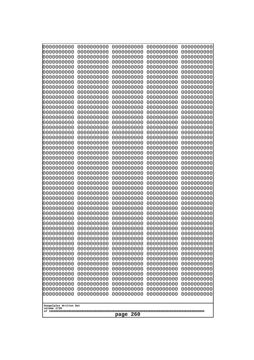| 10000000000<br>0000000000             | 0000000000<br>0000000000 | 0000000000<br>0000000000 | 0000000000<br>0000000000 | 0000000000<br>0000000000 |
|---------------------------------------|--------------------------|--------------------------|--------------------------|--------------------------|
| 0000000000                            | 0000000000               | 0000000000               | 0000000000               | 0000000000               |
| 0000000000                            | 0000000000<br>0000000000 | 0000000000<br>0000000000 | 0000000000               | 0000000000<br>0000000000 |
| 0000000000<br>0000000000              | 0000000000               | 0000000000               | 0000000000<br>0000000000 | 0000000000               |
| 0000000000                            | 0000000000               | 0000000000               | 0000000000               | 0000000000               |
| 0000000000                            | 0000000000               | 0000000000               | 0000000000               | 0000000000               |
| 0000000000<br>0000000000              | 0000000000<br>0000000000 | 0000000000<br>0000000000 | 0000000000<br>0000000000 | 0000000000<br>0000000000 |
| 0000000000                            | 0000000000               | 0000000000               | 0000000000               | 0000000000               |
| 0000000000                            | 0000000000               | 0000000000               | 0000000000               | 0000000000               |
| 0000000000<br>0000000000              | 0000000000<br>0000000000 | 0000000000<br>0000000000 | 0000000000<br>0000000000 | 0000000000<br>0000000000 |
| 0000000000                            | 0000000000               | 0000000000               | 0000000000               | 0000000000               |
| 0000000000                            | 0000000000               | 0000000000               | 0000000000               | 0000000000               |
| 0000000000<br>0000000000              | 0000000000<br>0000000000 | 0000000000<br>0000000000 | 0000000000<br>0000000000 | 0000000000<br>0000000000 |
| 0000000000                            | 0000000000               | 0000000000               | 0000000000               | 0000000000               |
| 0000000000                            | 0000000000               | 0000000000               | 0000000000               | 0000000000               |
| 0000000000<br>0000000000              | 0000000000<br>0000000000 | 0000000000<br>0000000000 | 0000000000<br>0000000000 | 0000000000<br>0000000000 |
| 0000000000                            | 0000000000               | 0000000000               | 0000000000               | 0000000000               |
| 0000000000                            | 0000000000               | 0000000000               | 0000000000               | 0000000000               |
| 0000000000<br>0000000000              | 0000000000<br>0000000000 | 0000000000<br>0000000000 | 0000000000<br>0000000000 | 0000000000<br>0000000000 |
| 0000000000                            | 0000000000               | 0000000000               | 0000000000               | 0000000000               |
| 0000000000<br>0000000000              | 0000000000<br>0000000000 | 0000000000<br>0000000000 | 0000000000<br>0000000000 | 0000000000<br>0000000000 |
| 0000000000                            | 0000000000               | 0000000000               | 0000000000               | 0000000000               |
| 0000000000                            | 0000000000               | 0000000000               | 0000000000               | 0000000000               |
| 0000000000<br>0000000000              | 0000000000<br>0000000000 | 0000000000<br>0000000000 | 0000000000<br>0000000000 | 0000000000<br>0000000000 |
| 0000000000                            | 0000000000               | 0000000000               | 0000000000               | 0000000000               |
| 0000000000                            | 0000000000               | 0000000000               | 0000000000               | 0000000000               |
| 0000000000<br>0000000000              | 0000000000<br>0000000000 | 0000000000<br>0000000000 | 0000000000<br>0000000000 | 0000000000<br>0000000000 |
| 0000000000                            | 0000000000               | 0000000000               | 0000000000               | 0000000000               |
| 0000000000                            | 0000000000               | 0000000000               | 0000000000               | 0000000000               |
| 0000000000<br>0000000000              | 0000000000<br>0000000000 | 0000000000<br>0000000000 | 0000000000<br>0000000000 | 0000000000<br>0000000000 |
| 0000000000                            | 0000000000               | 0000000000               | 0000000000               | 0000000000               |
| 0000000000                            | 0000000000               | 0000000000               | 0000000000               | 0000000000               |
| 0000000000<br>0000000000              | 0000000000<br>0000000000 | 0000000000<br>0000000000 | 0000000000<br>0000000000 | 0000000000<br>0000000000 |
| 0000000000                            | 0000000000               | 0000000000               | 0000000000               | 0000000000               |
| 0000000000                            | 0000000000               | 0000000000               | 0000000000               | 0000000000               |
| 0000000000<br>0000000000              | 0000000000<br>0000000000 | 0000000000<br>0000000000 | 0000000000<br>0000000000 | 0000000000<br>0000000000 |
| 0000000000                            | 0000000000               | 0000000000               | 0000000000               | 0000000000               |
|                                       |                          |                          |                          |                          |
| Googolplex Written Out<br>volume 1720 |                          |                          |                          |                          |
| page<br>260                           |                          |                          |                          |                          |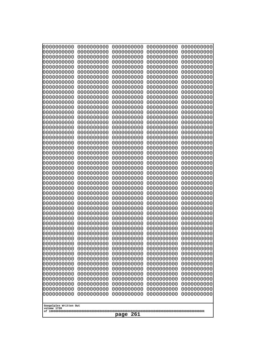| 0000000000                            | 0000000000               | 0000000000               | 0000000000               | 0000000000               |
|---------------------------------------|--------------------------|--------------------------|--------------------------|--------------------------|
| 0000000000<br>0000000000              | 0000000000<br>0000000000 | 0000000000<br>0000000000 | 0000000000<br>0000000000 | 0000000000<br>0000000000 |
| 0000000000                            | 0000000000               | 0000000000               | 0000000000               | 0000000000               |
| 0000000000                            | 0000000000               | 0000000000               | 0000000000               | 0000000000               |
| 0000000000                            | 0000000000               | 0000000000               | 0000000000               | 0000000000               |
| 0000000000                            | 0000000000               | 0000000000               | 0000000000               | 0000000000               |
| 0000000000<br>0000000000              | 0000000000<br>0000000000 | 0000000000<br>0000000000 | 0000000000<br>0000000000 | 0000000000<br>0000000000 |
| 0000000000                            | 0000000000               | 0000000000               | 0000000000               | 0000000000               |
| 0000000000                            | 0000000000               | 0000000000               | 0000000000               | 0000000000               |
| 0000000000                            | 0000000000               | 0000000000               | 0000000000               | 0000000000               |
| 0000000000<br>0000000000              | 0000000000<br>0000000000 | 0000000000<br>0000000000 | 0000000000<br>0000000000 | 0000000000<br>0000000000 |
| 0000000000                            | 0000000000               | 0000000000               | 0000000000               | 0000000000               |
| 0000000000                            | 0000000000               | 0000000000               | 0000000000               | 0000000000               |
| 0000000000                            | 0000000000<br>0000000000 | 0000000000               | 0000000000               | 0000000000               |
| 0000000000<br>0000000000              | 0000000000               | 0000000000<br>0000000000 | 0000000000<br>0000000000 | 0000000000<br>0000000000 |
| 0000000000                            | 0000000000               | 0000000000               | 0000000000               | 0000000000               |
| 0000000000                            | 0000000000               | 0000000000               | 0000000000               | 0000000000               |
| 0000000000<br>0000000000              | 0000000000<br>0000000000 | 0000000000<br>0000000000 | 0000000000<br>0000000000 | 0000000000<br>0000000000 |
| 0000000000                            | 0000000000               | 0000000000               | 0000000000               | 0000000000               |
| 0000000000                            | 0000000000               | 0000000000               | 0000000000               | 0000000000               |
| 0000000000                            | 0000000000               | 0000000000               | 0000000000               | 0000000000               |
| 0000000000<br>0000000000              | 0000000000<br>0000000000 | 0000000000<br>0000000000 | 0000000000<br>0000000000 | 0000000000<br>0000000000 |
| 0000000000                            | 0000000000               | 0000000000               | 0000000000               | 0000000000               |
| 0000000000                            | 0000000000               | 0000000000               | 0000000000               | 0000000000               |
| 0000000000                            | 0000000000               | 0000000000               | 0000000000               | 0000000000               |
| 0000000000<br>0000000000              | 0000000000<br>0000000000 | 0000000000<br>0000000000 | 0000000000<br>0000000000 | 0000000000<br>0000000000 |
| 0000000000                            | 0000000000               | 0000000000               | 0000000000               | 0000000000               |
| 0000000000                            | 0000000000               | 0000000000               | 0000000000               | 0000000000               |
| 0000000000                            | 0000000000               | 0000000000               | 0000000000               | 0000000000               |
| 0000000000<br>0000000000              | 0000000000<br>0000000000 | 0000000000<br>0000000000 | 0000000000<br>0000000000 | 0000000000<br>0000000000 |
| 0000000000                            | 0000000000               | 0000000000               | 0000000000               | 0000000000               |
| 0000000000                            | 0000000000               | 0000000000               | 0000000000               | 0000000000               |
| 0000000000<br>0000000000              | 0000000000               | 0000000000               | 0000000000               | 0000000000<br>0000000000 |
| 0000000000                            | 0000000000<br>0000000000 | 0000000000<br>0000000000 | 0000000000<br>0000000000 | 0000000000               |
| 0000000000                            | 0000000000               | 0000000000               | 0000000000               | 0000000000               |
| 0000000000                            | 0000000000               | 0000000000               | 0000000000               | 0000000000               |
| 0000000000<br>0000000000              | 0000000000<br>0000000000 | 0000000000<br>0000000000 | 0000000000<br>0000000000 | 0000000000<br>0000000000 |
| 0000000000                            | 0000000000               | 0000000000               | 0000000000               | 0000000000               |
| 0000000000                            | 0000000000               | 0000000000               | 0000000000               | 0000000000               |
| 0000000000                            | 0000000000               | 0000000000               | 0000000000               | 0000000000               |
|                                       |                          |                          |                          |                          |
| Googolplex Written Out<br>volume 1720 |                          |                          |                          |                          |
| 261<br>page                           |                          |                          |                          |                          |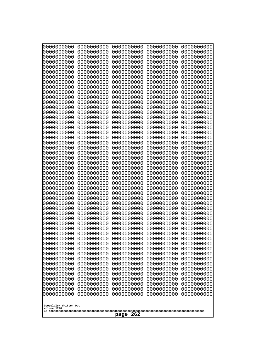| Googolplex Written Out<br>volume 1720 | 0000000000<br>0000000000<br>0000000000<br>0000000000<br>0000000000<br>0000000000<br>0000000000<br>0000000000<br>0000000000<br>0000000000<br>0000000000<br>0000000000<br>0000000000<br>0000000000<br>0000000000<br>0000000000<br>0000000000<br>0000000000<br>0000000000<br>0000000000<br>0000000000<br>0000000000<br>0000000000<br>0000000000<br>0000000000<br>0000000000<br>0000000000<br>0000000000<br>0000000000<br>0000000000<br>0000000000<br>0000000000<br>0000000000<br>0000000000<br>0000000000<br>0000000000<br>0000000000<br>10000000000<br>0000000000<br>0000000000<br>0000000000<br>0000000000<br>0000000000<br>0000000000<br>0000000000<br>0000000000<br>0000000000<br>0000000000<br>0000000000<br>0000000000 | 0000000000<br>0000000000<br>0000000000<br>0000000000<br>0000000000<br>0000000000<br>0000000000<br>0000000000<br>0000000000<br>0000000000<br>0000000000<br>0000000000<br>0000000000<br>0000000000<br>0000000000<br>0000000000<br>0000000000<br>0000000000<br>0000000000<br>0000000000<br>0000000000<br>0000000000<br>0000000000<br>0000000000<br>0000000000<br>0000000000<br>0000000000<br>0000000000<br>0000000000<br>0000000000<br>0000000000<br>0000000000<br>0000000000<br>0000000000<br>0000000000<br>0000000000<br>0000000000<br>0000000000<br>0000000000<br>0000000000<br>0000000000<br>0000000000<br>0000000000<br>0000000000<br>0000000000<br>0000000000<br>0000000000<br>0000000000<br>0000000000<br>0000000000 | 0000000000<br>0000000000<br>0000000000<br>0000000000<br>0000000000<br>0000000000<br>0000000000<br>0000000000<br>0000000000<br>0000000000<br>0000000000<br>0000000000<br>0000000000<br>0000000000<br>0000000000<br>0000000000<br>0000000000<br>0000000000<br>0000000000<br>0000000000<br>0000000000<br>0000000000<br>0000000000<br>0000000000<br>0000000000<br>0000000000<br>0000000000<br>0000000000<br>0000000000<br>0000000000<br>0000000000<br>0000000000<br>0000000000<br>0000000000<br>0000000000<br>0000000000<br>0000000000<br>0000000000<br>0000000000<br>0000000000<br>0000000000<br>0000000000<br>0000000000<br>0000000000<br>0000000000<br>0000000000<br>0000000000<br>0000000000<br>0000000000<br>0000000000 | 0000000000<br>0000000000<br>0000000000<br>0000000000<br>0000000000<br>0000000000<br>0000000000<br>0000000000<br>0000000000<br>0000000000<br>0000000000<br>0000000000<br>0000000000<br>0000000000<br>0000000000<br>0000000000<br>0000000000<br>0000000000<br>0000000000<br>0000000000<br>0000000000<br>0000000000<br>0000000000<br>0000000000<br>0000000000<br>0000000000<br>0000000000<br>0000000000<br>0000000000<br>0000000000<br>0000000000<br>0000000000<br>0000000000<br>0000000000<br>0000000000<br>0000000000<br>0000000000<br>0000000000<br>0000000000<br>0000000000<br>0000000000<br>0000000000<br>0000000000<br>0000000000<br>0000000000<br>0000000000<br>0000000000<br>0000000000<br>0000000000<br>0000000000 | 0000000000<br>0000000000<br>0000000000<br>0000000000<br>0000000000<br>0000000000<br>0000000000<br>0000000000<br>0000000000<br>0000000000<br>0000000000<br>0000000000<br>0000000000<br>0000000000<br>0000000000<br>0000000000<br>0000000000<br>0000000000<br>0000000000<br>0000000000<br>0000000000<br>0000000000<br>0000000000<br>0000000000<br>0000000000<br>0000000000<br>0000000000<br>0000000000<br>0000000000<br>0000000000<br>0000000000<br>0000000000<br>0000000000<br>0000000000<br>0000000000<br>0000000000<br>0000000000<br>0000000000<br>0000000000<br>0000000000<br>0000000000<br>0000000000<br>0000000000<br>0000000000<br>0000000000<br>0000000000<br>0000000000<br>0000000000<br>0000000000<br>0000000000 |
|---------------------------------------|---------------------------------------------------------------------------------------------------------------------------------------------------------------------------------------------------------------------------------------------------------------------------------------------------------------------------------------------------------------------------------------------------------------------------------------------------------------------------------------------------------------------------------------------------------------------------------------------------------------------------------------------------------------------------------------------------------------------------|--------------------------------------------------------------------------------------------------------------------------------------------------------------------------------------------------------------------------------------------------------------------------------------------------------------------------------------------------------------------------------------------------------------------------------------------------------------------------------------------------------------------------------------------------------------------------------------------------------------------------------------------------------------------------------------------------------------------------|--------------------------------------------------------------------------------------------------------------------------------------------------------------------------------------------------------------------------------------------------------------------------------------------------------------------------------------------------------------------------------------------------------------------------------------------------------------------------------------------------------------------------------------------------------------------------------------------------------------------------------------------------------------------------------------------------------------------------|--------------------------------------------------------------------------------------------------------------------------------------------------------------------------------------------------------------------------------------------------------------------------------------------------------------------------------------------------------------------------------------------------------------------------------------------------------------------------------------------------------------------------------------------------------------------------------------------------------------------------------------------------------------------------------------------------------------------------|--------------------------------------------------------------------------------------------------------------------------------------------------------------------------------------------------------------------------------------------------------------------------------------------------------------------------------------------------------------------------------------------------------------------------------------------------------------------------------------------------------------------------------------------------------------------------------------------------------------------------------------------------------------------------------------------------------------------------|
|                                       | 262<br>page                                                                                                                                                                                                                                                                                                                                                                                                                                                                                                                                                                                                                                                                                                               |                                                                                                                                                                                                                                                                                                                                                                                                                                                                                                                                                                                                                                                                                                                          |                                                                                                                                                                                                                                                                                                                                                                                                                                                                                                                                                                                                                                                                                                                          |                                                                                                                                                                                                                                                                                                                                                                                                                                                                                                                                                                                                                                                                                                                          |                                                                                                                                                                                                                                                                                                                                                                                                                                                                                                                                                                                                                                                                                                                          |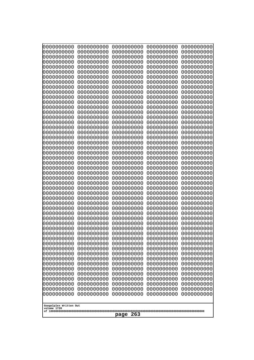| 10000000000<br>0000000000             | 0000000000<br>0000000000 | 0000000000<br>0000000000 | 0000000000<br>0000000000 | 0000000000<br>0000000000 |
|---------------------------------------|--------------------------|--------------------------|--------------------------|--------------------------|
| 0000000000                            | 0000000000               | 0000000000               | 0000000000               | 0000000000               |
| 0000000000                            | 0000000000               | 0000000000               | 0000000000               | 0000000000               |
| 0000000000<br>0000000000              | 0000000000<br>0000000000 | 0000000000<br>0000000000 | 0000000000<br>0000000000 | 0000000000<br>0000000000 |
| 0000000000                            | 0000000000               | 0000000000               | 0000000000               | 0000000000               |
| 0000000000                            | 0000000000               | 0000000000               | 0000000000               | 0000000000               |
| 0000000000<br>0000000000              | 0000000000<br>0000000000 | 0000000000<br>0000000000 | 0000000000<br>0000000000 | 0000000000<br>0000000000 |
| 0000000000                            | 0000000000               | 0000000000               | 0000000000               | 0000000000               |
| 0000000000                            | 0000000000               | 0000000000               | 0000000000               | 0000000000               |
| 0000000000<br>0000000000              | 0000000000<br>0000000000 | 0000000000<br>0000000000 | 0000000000<br>0000000000 | 0000000000<br>0000000000 |
| 0000000000                            | 0000000000               | 0000000000               | 0000000000               | 0000000000               |
| 0000000000                            | 0000000000               | 0000000000               | 0000000000               | 0000000000               |
| 0000000000<br>0000000000              | 0000000000<br>0000000000 | 0000000000<br>0000000000 | 0000000000<br>0000000000 | 0000000000<br>0000000000 |
| 0000000000                            | 0000000000               | 0000000000               | 0000000000               | 0000000000               |
| 0000000000<br>0000000000              | 0000000000               | 0000000000               | 0000000000               | 0000000000               |
| 0000000000                            | 0000000000<br>0000000000 | 0000000000<br>0000000000 | 0000000000<br>0000000000 | 0000000000<br>0000000000 |
| 0000000000                            | 0000000000               | 0000000000               | 0000000000               | 0000000000               |
| 0000000000<br>0000000000              | 0000000000<br>0000000000 | 0000000000<br>0000000000 | 0000000000<br>0000000000 | 0000000000<br>0000000000 |
| 0000000000                            | 0000000000               | 0000000000               | 0000000000               | 0000000000               |
| 0000000000                            | 0000000000               | 0000000000               | 0000000000               | 0000000000               |
| 0000000000<br>0000000000              | 0000000000<br>0000000000 | 0000000000<br>0000000000 | 0000000000<br>0000000000 | 0000000000<br>0000000000 |
| 0000000000                            | 0000000000               | 0000000000               | 0000000000               | 0000000000               |
| 0000000000                            | 0000000000               | 0000000000               | 0000000000               | 0000000000               |
| 0000000000<br>0000000000              | 0000000000<br>0000000000 | 0000000000<br>0000000000 | 0000000000<br>0000000000 | 0000000000<br>0000000000 |
| 0000000000                            | 0000000000               | 0000000000               | 0000000000               | 0000000000               |
| 0000000000                            | 0000000000               | 0000000000               | 0000000000               | 0000000000               |
| 0000000000<br>0000000000              | 0000000000<br>0000000000 | 0000000000<br>0000000000 | 0000000000<br>0000000000 | 0000000000<br>0000000000 |
| 0000000000                            | 0000000000               | 0000000000               | 0000000000               | 0000000000               |
| 0000000000                            | 0000000000               | 0000000000               | 0000000000               | 0000000000               |
| 0000000000<br>0000000000              | 0000000000<br>0000000000 | 0000000000<br>0000000000 | 0000000000<br>0000000000 | 0000000000<br>0000000000 |
| 0000000000                            | 0000000000               | 0000000000               | 0000000000               | 0000000000               |
| 0000000000                            | 0000000000               | 0000000000               | 0000000000               | 0000000000               |
| 0000000000<br>0000000000              | 0000000000<br>0000000000 | 0000000000<br>0000000000 | 0000000000<br>0000000000 | 0000000000<br>0000000000 |
| 0000000000                            | 0000000000               | 0000000000               | 0000000000               | 0000000000               |
| 0000000000                            | 0000000000               | 0000000000               | 0000000000               | 0000000000               |
| 0000000000<br>0000000000              | 0000000000<br>0000000000 | 0000000000<br>0000000000 | 0000000000<br>0000000000 | 0000000000<br>0000000000 |
| 0000000000                            | 0000000000               | 0000000000               | 0000000000               | 0000000000               |
|                                       |                          |                          |                          |                          |
| Googolplex Written Out<br>volume 1720 |                          |                          |                          |                          |
| page<br>263                           |                          |                          |                          |                          |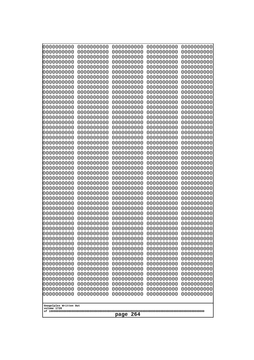| 10000000000<br>0000000000             | 0000000000<br>0000000000 | 0000000000<br>0000000000 | 0000000000<br>0000000000 | 0000000000<br>0000000000 |
|---------------------------------------|--------------------------|--------------------------|--------------------------|--------------------------|
| 0000000000                            | 0000000000               | 0000000000               | 0000000000               | 0000000000               |
| 0000000000                            | 0000000000               | 0000000000               | 0000000000               | 0000000000               |
| 0000000000                            | 0000000000               | 0000000000               | 0000000000               | 0000000000               |
| 0000000000<br>0000000000              | 0000000000<br>0000000000 | 0000000000<br>0000000000 | 0000000000<br>0000000000 | 0000000000<br>0000000000 |
| 0000000000                            | 0000000000               | 0000000000               | 0000000000               | 0000000000               |
| 0000000000                            | 0000000000               | 0000000000               | 0000000000               | 0000000000               |
| 0000000000                            | 0000000000               | 0000000000               | 0000000000               | 0000000000               |
| 0000000000<br>0000000000              | 0000000000<br>0000000000 | 0000000000<br>0000000000 | 0000000000<br>0000000000 | 0000000000<br>0000000000 |
| 0000000000                            | 0000000000               | 0000000000               | 0000000000               | 0000000000               |
| 0000000000                            | 0000000000               | 0000000000               | 0000000000               | 0000000000               |
| 0000000000                            | 0000000000               | 0000000000               | 0000000000               | 0000000000               |
| 0000000000<br>0000000000              | 0000000000<br>0000000000 | 0000000000<br>0000000000 | 0000000000<br>0000000000 | 0000000000<br>0000000000 |
| 0000000000                            | 0000000000               | 0000000000               | 0000000000               | 0000000000               |
| 0000000000                            | 0000000000               | 0000000000               | 0000000000               | 0000000000               |
| 0000000000<br>0000000000              | 0000000000               | 0000000000               | 0000000000               | 0000000000               |
| 0000000000                            | 0000000000<br>0000000000 | 0000000000<br>0000000000 | 0000000000<br>0000000000 | 0000000000<br>0000000000 |
| 0000000000                            | 0000000000               | 0000000000               | 0000000000               | 0000000000               |
| 0000000000                            | 0000000000               | 0000000000               | 0000000000               | 0000000000               |
| 0000000000<br>0000000000              | 0000000000<br>0000000000 | 0000000000<br>0000000000 | 0000000000<br>0000000000 | 0000000000<br>0000000000 |
| 0000000000                            | 0000000000               | 0000000000               | 0000000000               | 0000000000               |
| 0000000000                            | 0000000000               | 0000000000               | 0000000000               | 0000000000               |
| 0000000000                            | 0000000000               | 0000000000               | 0000000000               | 0000000000               |
| 0000000000<br>0000000000              | 0000000000<br>0000000000 | 0000000000<br>0000000000 | 0000000000<br>0000000000 | 0000000000<br>0000000000 |
| 0000000000                            | 0000000000               | 0000000000               | 0000000000               | 0000000000               |
| 0000000000                            | 0000000000               | 0000000000               | 0000000000               | 0000000000               |
| 0000000000<br>0000000000              | 0000000000<br>0000000000 | 0000000000<br>0000000000 | 0000000000<br>0000000000 | 0000000000<br>0000000000 |
| 0000000000                            | 0000000000               | 0000000000               | 0000000000               | 0000000000               |
| 0000000000                            | 0000000000               | 0000000000               | 0000000000               | 0000000000               |
| 0000000000                            | 0000000000               | 0000000000               | 0000000000               | 0000000000               |
| 0000000000<br>0000000000              | 0000000000<br>0000000000 | 0000000000<br>0000000000 | 0000000000<br>0000000000 | 0000000000<br>0000000000 |
| 0000000000                            | 0000000000               | 0000000000               | 0000000000               | 0000000000               |
| 0000000000                            | 0000000000               | 0000000000               | 0000000000               | 0000000000               |
| 0000000000<br>0000000000              | 0000000000<br>0000000000 | 0000000000<br>0000000000 | 0000000000<br>0000000000 | 0000000000               |
| 0000000000                            | 0000000000               | 0000000000               | 0000000000               | 0000000000<br>0000000000 |
| 0000000000                            | 0000000000               | 0000000000               | 0000000000               | 0000000000               |
| 0000000000                            | 0000000000               | 0000000000               | 0000000000               | 0000000000               |
| 0000000000<br>0000000000              | 0000000000<br>0000000000 | 0000000000<br>0000000000 | 0000000000<br>0000000000 | 0000000000<br>0000000000 |
| 0000000000                            | 0000000000               | 0000000000               | 0000000000               | 0000000000               |
|                                       |                          |                          |                          |                          |
| Googolplex Written Out<br>volume 1720 |                          |                          |                          |                          |
| 264<br>page                           |                          |                          |                          |                          |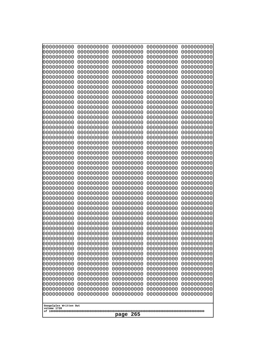| 000000000                             | 0000000000               | 0000000000               | 0000000000               | 0000000000               |
|---------------------------------------|--------------------------|--------------------------|--------------------------|--------------------------|
| 0000000000                            | 0000000000               | 0000000000               | 0000000000               | 0000000000               |
| 0000000000                            | 0000000000               | 0000000000               | 0000000000               | 0000000000               |
| 0000000000                            | 0000000000               | 0000000000               | 0000000000               | 0000000000               |
| 0000000000                            | 0000000000               | 0000000000               | 0000000000               | 0000000000               |
| 0000000000                            | 0000000000               | 0000000000               | 0000000000               | 0000000000               |
| 0000000000                            | 0000000000               | 0000000000               | 0000000000               | 0000000000               |
| 0000000000                            | 0000000000               | 0000000000               | 0000000000               | 0000000000               |
| 0000000000                            | 0000000000<br>0000000000 | 0000000000<br>0000000000 | 0000000000               | 0000000000               |
| 0000000000<br>0000000000              | 0000000000               | 0000000000               | 0000000000<br>0000000000 | 0000000000<br>0000000000 |
| 0000000000                            | 0000000000               | 0000000000               | 0000000000               | 0000000000               |
| 0000000000                            | 0000000000               | 0000000000               | 0000000000               | 0000000000               |
| 0000000000                            | 0000000000               | 0000000000               | 0000000000               | 0000000000               |
| 0000000000                            | 0000000000               | 0000000000               | 0000000000               | 0000000000               |
| 0000000000                            | 0000000000               | 0000000000               | 0000000000               | 0000000000               |
| 0000000000                            | 0000000000               | 0000000000               | 0000000000               | 0000000000               |
| 0000000000                            | 0000000000               | 0000000000               | 0000000000               | 0000000000               |
| 0000000000                            | 0000000000               | 0000000000               | 0000000000               | 0000000000               |
| 0000000000                            | 0000000000               | 0000000000               | 0000000000               | 0000000000               |
| 0000000000<br>0000000000              | 0000000000<br>0000000000 | 0000000000<br>0000000000 | 0000000000<br>0000000000 | 0000000000<br>0000000000 |
| 0000000000                            | 0000000000               | 0000000000               | 0000000000               | 0000000000               |
| 0000000000                            | 0000000000               | 0000000000               | 0000000000               | 0000000000               |
| 0000000000                            | 0000000000               | 0000000000               | 0000000000               | 0000000000               |
| 0000000000                            | 0000000000               | 0000000000               | 0000000000               | 0000000000               |
| 0000000000                            | 0000000000               | 0000000000               | 0000000000               | 0000000000               |
| 0000000000                            | 0000000000               | 0000000000               | 0000000000               | 0000000000               |
| 0000000000                            | 0000000000               | 0000000000               | 0000000000               | 0000000000               |
| 0000000000                            | 0000000000               | 0000000000               | 0000000000               | 0000000000               |
| 0000000000<br>0000000000              | 0000000000<br>0000000000 | 0000000000<br>0000000000 | 0000000000<br>0000000000 | 0000000000<br>0000000000 |
| 0000000000                            | 0000000000               | 0000000000               | 0000000000               | 0000000000               |
| 0000000000                            | 0000000000               | 0000000000               | 0000000000               | 0000000000               |
| 0000000000                            | 0000000000               | 0000000000               | 0000000000               | 0000000000               |
| 0000000000                            | 0000000000               | 0000000000               | 0000000000               | 0000000000               |
| 0000000000                            | 0000000000               | 0000000000               | 0000000000               | 0000000000               |
| 0000000000                            | 0000000000               | 0000000000               | 0000000000               | 0000000000               |
| 0000000000                            | 0000000000               | 0000000000               | 0000000000               | 0000000000               |
| 0000000000                            | 0000000000               | 0000000000               | 0000000000               | 0000000000               |
| 0000000000                            | 0000000000               | 0000000000               | 0000000000               | 0000000000               |
| 0000000000<br>0000000000              | 0000000000<br>0000000000 | 0000000000<br>0000000000 | 0000000000<br>0000000000 | 0000000000<br>0000000000 |
| 0000000000                            | 0000000000               | 0000000000               | 0000000000               | 0000000000               |
| 0000000000                            | 0000000000               | 0000000000               | 0000000000               | 0000000000               |
| 0000000000                            | 0000000000               | 0000000000               | 0000000000               | 0000000000               |
| 0000000000                            | 0000000000               | 0000000000               | 0000000000               | 0000000000               |
| 0000000000                            | 0000000000               | 0000000000               | 0000000000               | 0000000000               |
| 0000000000                            | 0000000000               | 0000000000               | 0000000000               | 0000000000               |
| 0000000000                            | 0000000000               | 0000000000               | 0000000000               | 0000000000               |
|                                       |                          |                          |                          |                          |
| Googolplex Written Out<br>volume 1720 |                          |                          |                          |                          |
|                                       |                          | 265<br>page              |                          |                          |
|                                       |                          |                          |                          |                          |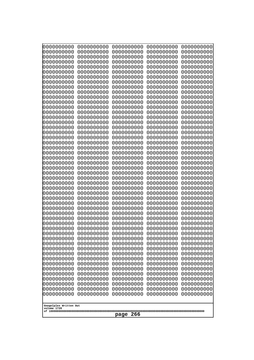| 10000000000<br>0000000000             | 0000000000<br>0000000000 | 0000000000<br>0000000000 | 0000000000<br>0000000000 | 0000000000<br>0000000000 |  |
|---------------------------------------|--------------------------|--------------------------|--------------------------|--------------------------|--|
| 0000000000                            | 0000000000               | 0000000000               | 0000000000               | 0000000000               |  |
| 0000000000                            | 0000000000               | 0000000000               | 0000000000               | 0000000000               |  |
| 0000000000<br>0000000000              | 0000000000<br>0000000000 | 0000000000<br>0000000000 | 0000000000<br>0000000000 | 0000000000<br>0000000000 |  |
| 0000000000                            | 0000000000               | 0000000000               | 0000000000               | 0000000000               |  |
| 0000000000                            | 0000000000               | 0000000000               | 0000000000               | 0000000000               |  |
| 0000000000<br>0000000000              | 0000000000<br>0000000000 | 0000000000<br>0000000000 | 0000000000<br>0000000000 | 0000000000<br>0000000000 |  |
| 0000000000                            | 0000000000               | 0000000000               | 0000000000               | 0000000000               |  |
| 0000000000                            | 0000000000               | 0000000000               | 0000000000               | 0000000000               |  |
| 0000000000<br>0000000000              | 0000000000<br>0000000000 | 0000000000<br>0000000000 | 0000000000<br>0000000000 | 0000000000<br>0000000000 |  |
| 0000000000                            | 0000000000               | 0000000000               | 0000000000               | 0000000000               |  |
| 0000000000                            | 0000000000               | 0000000000               | 0000000000               | 0000000000               |  |
| 0000000000<br>0000000000              | 0000000000<br>0000000000 | 0000000000<br>0000000000 | 0000000000<br>0000000000 | 0000000000<br>0000000000 |  |
| 0000000000                            | 0000000000               | 0000000000               | 0000000000               | 0000000000               |  |
| 0000000000                            | 0000000000               | 0000000000               | 0000000000               | 0000000000               |  |
| 0000000000<br>0000000000              | 0000000000<br>0000000000 | 0000000000<br>0000000000 | 0000000000<br>0000000000 | 0000000000<br>0000000000 |  |
| 0000000000                            | 0000000000               | 0000000000               | 0000000000               | 0000000000               |  |
| 0000000000                            | 0000000000               | 0000000000               | 0000000000               | 0000000000               |  |
| 0000000000<br>0000000000              | 0000000000<br>0000000000 | 0000000000<br>0000000000 | 0000000000<br>0000000000 | 0000000000<br>0000000000 |  |
| 0000000000                            | 0000000000               | 0000000000               | 0000000000               | 0000000000               |  |
| 0000000000                            | 0000000000               | 0000000000               | 0000000000               | 0000000000               |  |
| 0000000000<br>0000000000              | 0000000000<br>0000000000 | 0000000000<br>0000000000 | 0000000000<br>0000000000 | 0000000000<br>0000000000 |  |
| 0000000000                            | 0000000000               | 0000000000               | 0000000000               | 0000000000               |  |
| 0000000000                            | 0000000000               | 0000000000               | 0000000000               | 0000000000               |  |
| 0000000000<br>0000000000              | 0000000000<br>0000000000 | 0000000000<br>0000000000 | 0000000000<br>0000000000 | 0000000000<br>0000000000 |  |
| 0000000000                            | 0000000000               | 0000000000               | 0000000000               | 0000000000               |  |
| 0000000000                            | 0000000000               | 0000000000               | 0000000000               | 0000000000               |  |
| 0000000000<br>0000000000              | 0000000000<br>0000000000 | 0000000000<br>0000000000 | 0000000000<br>0000000000 | 0000000000<br>0000000000 |  |
| 0000000000                            | 0000000000               | 0000000000               | 0000000000               | 0000000000               |  |
| 0000000000                            | 0000000000               | 0000000000               | 0000000000               | 0000000000               |  |
| 0000000000<br>0000000000              | 0000000000<br>0000000000 | 0000000000<br>0000000000 | 0000000000<br>0000000000 | 0000000000<br>0000000000 |  |
| 0000000000                            | 0000000000               | 0000000000               | 0000000000               | 0000000000               |  |
| 0000000000                            | 0000000000               | 0000000000               | 0000000000               | 0000000000               |  |
| 0000000000<br>0000000000              | 0000000000<br>0000000000 | 0000000000<br>0000000000 | 0000000000<br>0000000000 | 0000000000<br>0000000000 |  |
| 0000000000                            | 0000000000               | 0000000000               | 0000000000               | 0000000000               |  |
| 0000000000                            | 0000000000               | 0000000000               | 0000000000<br>0000000000 | 0000000000               |  |
| 0000000000<br>0000000000              | 0000000000<br>0000000000 | 0000000000<br>0000000000 | 0000000000               | 0000000000<br>0000000000 |  |
|                                       |                          |                          |                          |                          |  |
| Googolplex Written Out<br>volume 1720 |                          |                          |                          |                          |  |
|                                       | page<br>266              |                          |                          |                          |  |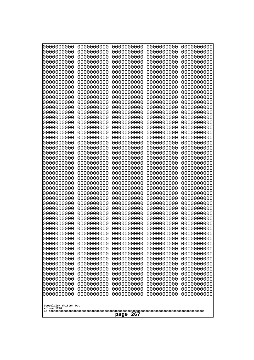| 000000000<br>0000000000               | 0000000000<br>0000000000 | 0000000000<br>0000000000 | 0000000000<br>0000000000 | 0000000000<br>0000000000 |
|---------------------------------------|--------------------------|--------------------------|--------------------------|--------------------------|
| 0000000000                            | 0000000000               | 0000000000               | 0000000000               | 0000000000               |
| 0000000000<br>0000000000              | 0000000000<br>0000000000 | 0000000000<br>0000000000 | 0000000000<br>0000000000 | 0000000000<br>0000000000 |
| 0000000000                            | 0000000000               | 0000000000               | 0000000000               | 0000000000               |
| 0000000000<br>0000000000              | 0000000000<br>0000000000 | 0000000000<br>0000000000 | 0000000000<br>0000000000 | 0000000000<br>0000000000 |
| 0000000000                            | 0000000000               | 0000000000               | 0000000000               | 0000000000               |
| 0000000000<br>0000000000              | 0000000000<br>0000000000 | 0000000000<br>0000000000 | 0000000000<br>0000000000 | 0000000000<br>0000000000 |
| 0000000000                            | 0000000000               | 0000000000               | 0000000000               | 0000000000               |
| 0000000000                            | 0000000000               | 0000000000               | 0000000000               | 0000000000               |
| 0000000000<br>0000000000              | 0000000000<br>0000000000 | 0000000000<br>0000000000 | 0000000000<br>0000000000 | 0000000000<br>0000000000 |
| 0000000000                            | 0000000000               | 0000000000               | 0000000000               | 0000000000               |
| 0000000000<br>0000000000              | 0000000000<br>0000000000 | 0000000000<br>0000000000 | 0000000000<br>0000000000 | 0000000000<br>0000000000 |
| 0000000000                            | 0000000000               | 0000000000               | 0000000000               | 0000000000               |
| 0000000000<br>0000000000              | 0000000000<br>0000000000 | 0000000000<br>0000000000 | 0000000000<br>0000000000 | 0000000000<br>0000000000 |
| 0000000000                            | 0000000000               | 0000000000               | 0000000000               | 0000000000               |
| 0000000000<br>0000000000              | 0000000000<br>0000000000 | 0000000000<br>0000000000 | 0000000000<br>0000000000 | 0000000000<br>0000000000 |
| 0000000000                            | 0000000000               | 0000000000               | 0000000000               | 0000000000               |
| 0000000000                            | 0000000000               | 0000000000               | 0000000000               | 0000000000               |
| 0000000000<br>0000000000              | 0000000000<br>0000000000 | 0000000000<br>0000000000 | 0000000000<br>0000000000 | 0000000000<br>0000000000 |
| 0000000000                            | 0000000000               | 0000000000               | 0000000000               | 0000000000               |
| 0000000000<br>0000000000              | 0000000000<br>0000000000 | 0000000000<br>0000000000 | 0000000000<br>0000000000 | 0000000000<br>0000000000 |
| 0000000000                            | 0000000000               | 0000000000               | 0000000000               | 0000000000               |
| 0000000000<br>0000000000              | 0000000000<br>0000000000 | 0000000000<br>0000000000 | 0000000000<br>0000000000 | 0000000000<br>0000000000 |
| 0000000000                            | 0000000000               | 0000000000               | 0000000000               | 0000000000               |
| 0000000000<br>0000000000              | 0000000000<br>0000000000 | 0000000000<br>0000000000 | 0000000000<br>0000000000 | 0000000000<br>0000000000 |
| 0000000000                            | 0000000000               | 0000000000               | 0000000000               | 0000000000               |
| 0000000000<br>0000000000              | 0000000000<br>0000000000 | 0000000000<br>0000000000 | 0000000000<br>0000000000 | 0000000000<br>0000000000 |
| 0000000000                            | 0000000000               | 0000000000               | 0000000000               | 0000000000               |
| 0000000000                            | 0000000000<br>0000000000 | 0000000000<br>0000000000 | 0000000000               | 0000000000               |
| 0000000000<br>0000000000              | 0000000000               | 0000000000               | 0000000000<br>0000000000 | 0000000000<br>0000000000 |
| 0000000000                            | 0000000000               | 0000000000               | 0000000000               | 0000000000               |
| 0000000000<br>0000000000              | 0000000000<br>0000000000 | 0000000000<br>0000000000 | 0000000000<br>0000000000 | 0000000000<br>0000000000 |
| 0000000000                            | 0000000000               | 0000000000               | 0000000000               | 0000000000               |
| 0000000000<br>0000000000              | 0000000000<br>0000000000 | 0000000000<br>0000000000 | 0000000000<br>0000000000 | 0000000000<br>0000000000 |
|                                       |                          |                          |                          |                          |
| Googolplex Written Out<br>volume 1720 |                          |                          |                          |                          |
| 267<br>page                           |                          |                          |                          |                          |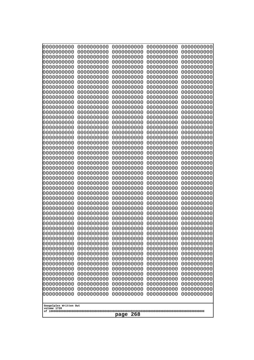| 000000000                             | 0000000000               | 0000000000               | 0000000000               | 0000000000               |
|---------------------------------------|--------------------------|--------------------------|--------------------------|--------------------------|
| 0000000000                            | 0000000000               | 0000000000               | 0000000000               | 0000000000               |
| 0000000000                            | 0000000000               | 0000000000               | 0000000000               | 0000000000               |
| 0000000000                            | 0000000000               | 0000000000               | 0000000000               | 0000000000               |
| 0000000000                            | 0000000000               | 0000000000               | 0000000000               | 0000000000               |
| 0000000000                            | 0000000000               | 0000000000               | 0000000000               | 0000000000               |
| 0000000000<br>0000000000              | 0000000000<br>0000000000 | 0000000000<br>0000000000 | 0000000000<br>0000000000 | 0000000000               |
| 0000000000                            | 0000000000               | 0000000000               | 0000000000               | 0000000000<br>0000000000 |
| 0000000000                            | 0000000000               | 0000000000               | 0000000000               | 0000000000               |
| 0000000000                            | 0000000000               | 0000000000               | 0000000000               | 0000000000               |
| 0000000000                            | 0000000000               | 0000000000               | 0000000000               | 0000000000               |
| 0000000000                            | 0000000000               | 0000000000               | 0000000000               | 0000000000               |
| 0000000000                            | 0000000000               | 0000000000               | 0000000000               | 0000000000               |
| 0000000000                            | 0000000000               | 0000000000               | 0000000000               | 0000000000               |
| 0000000000                            | 0000000000               | 0000000000               | 0000000000               | 0000000000               |
| 0000000000<br>0000000000              | 0000000000<br>0000000000 | 0000000000<br>0000000000 | 0000000000<br>0000000000 | 0000000000<br>0000000000 |
| 0000000000                            | 0000000000               | 0000000000               | 0000000000               | 0000000000               |
| 0000000000                            | 0000000000               | 0000000000               | 0000000000               | 0000000000               |
| 0000000000                            | 0000000000               | 0000000000               | 0000000000               | 0000000000               |
| 0000000000                            | 0000000000               | 0000000000               | 0000000000               | 0000000000               |
| 0000000000                            | 0000000000               | 0000000000               | 0000000000               | 0000000000               |
| 0000000000                            | 0000000000               | 0000000000               | 0000000000               | 0000000000               |
| 0000000000                            | 0000000000               | 0000000000               | 0000000000               | 0000000000               |
| 0000000000<br>0000000000              | 0000000000<br>0000000000 | 0000000000<br>0000000000 | 0000000000<br>0000000000 | 0000000000<br>0000000000 |
| 0000000000                            | 0000000000               | 0000000000               | 0000000000               | 0000000000               |
| 0000000000                            | 0000000000               | 0000000000               | 0000000000               | 0000000000               |
| 0000000000                            | 0000000000               | 0000000000               | 0000000000               | 0000000000               |
| 0000000000                            | 0000000000               | 0000000000               | 0000000000               | 0000000000               |
| 0000000000                            | 0000000000               | 0000000000               | 0000000000               | 0000000000               |
| 0000000000                            | 0000000000               | 0000000000               | 0000000000               | 0000000000               |
| 0000000000                            | 0000000000<br>0000000000 | 0000000000<br>0000000000 | 0000000000               | 0000000000               |
| 0000000000<br>0000000000              | 0000000000               | 0000000000               | 0000000000<br>0000000000 | 0000000000<br>0000000000 |
| 0000000000                            | 0000000000               | 0000000000               | 0000000000               | 0000000000               |
| 0000000000                            | 0000000000               | 0000000000               | 0000000000               | 0000000000               |
| 0000000000                            | 0000000000               | 0000000000               | 0000000000               | 0000000000               |
| 0000000000                            | 0000000000               | 0000000000               | 0000000000               | 0000000000               |
| 0000000000                            | 0000000000               | 0000000000               | 0000000000               | 0000000000               |
| 0000000000                            | 0000000000               | 0000000000               | 0000000000               | 0000000000               |
| 0000000000<br>0000000000              | 0000000000<br>0000000000 | 0000000000<br>0000000000 | 0000000000<br>0000000000 | 0000000000<br>0000000000 |
| 0000000000                            | 0000000000               | 0000000000               | 0000000000               | 0000000000               |
| 0000000000                            | 0000000000               | 0000000000               | 0000000000               | 0000000000               |
| 0000000000                            | 0000000000               | 0000000000               | 0000000000               | 0000000000               |
| 0000000000                            | 0000000000               | 0000000000               | 0000000000               | 0000000000               |
| 0000000000                            | 0000000000               | 0000000000               | 0000000000               | 0000000000               |
| 0000000000                            | 0000000000               | 0000000000               | 0000000000               | 0000000000               |
|                                       |                          |                          |                          |                          |
| Googolplex Written Out<br>volume 1720 |                          |                          |                          |                          |
|                                       |                          | 268<br>page              |                          |                          |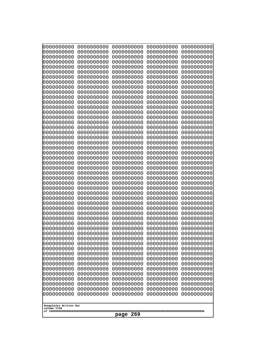| 10000000000<br>0000000000 | 0000000000<br>0000000000 | 0000000000<br>0000000000 | 0000000000<br>0000000000 | 0000000000<br>0000000000 |
|---------------------------|--------------------------|--------------------------|--------------------------|--------------------------|
| 0000000000                | 0000000000               | 0000000000               | 0000000000               | 0000000000               |
| 0000000000                | 0000000000<br>0000000000 | 0000000000<br>0000000000 | 0000000000               | 0000000000<br>0000000000 |
| 0000000000<br>0000000000  | 0000000000               | 0000000000               | 0000000000<br>0000000000 | 0000000000               |
| 0000000000                | 0000000000               | 0000000000               | 0000000000               | 0000000000               |
| 0000000000                | 0000000000               | 0000000000               | 0000000000               | 0000000000               |
| 0000000000<br>0000000000  | 0000000000<br>0000000000 | 0000000000<br>0000000000 | 0000000000<br>0000000000 | 0000000000<br>0000000000 |
| 0000000000                | 0000000000               | 0000000000               | 0000000000               | 0000000000               |
| 0000000000                | 0000000000               | 0000000000               | 0000000000               | 0000000000               |
| 0000000000<br>0000000000  | 0000000000<br>0000000000 | 0000000000<br>0000000000 | 0000000000<br>0000000000 | 0000000000<br>0000000000 |
| 0000000000                | 0000000000               | 0000000000               | 0000000000               | 0000000000               |
| 0000000000                | 0000000000               | 0000000000               | 0000000000               | 0000000000               |
| 0000000000<br>0000000000  | 0000000000<br>0000000000 | 0000000000<br>0000000000 | 0000000000<br>0000000000 | 0000000000<br>0000000000 |
| 0000000000                | 0000000000               | 0000000000               | 0000000000               | 0000000000               |
| 0000000000                | 0000000000               | 0000000000               | 0000000000               | 0000000000               |
| 0000000000<br>0000000000  | 0000000000<br>0000000000 | 0000000000<br>0000000000 | 0000000000<br>0000000000 | 0000000000<br>0000000000 |
| 0000000000                | 0000000000               | 0000000000               | 0000000000               | 0000000000               |
| 0000000000                | 0000000000               | 0000000000               | 0000000000               | 0000000000               |
| 0000000000                | 0000000000               | 0000000000               | 0000000000               | 0000000000               |
| 0000000000<br>0000000000  | 0000000000<br>0000000000 | 0000000000<br>0000000000 | 0000000000<br>0000000000 | 0000000000<br>0000000000 |
| 0000000000                | 0000000000               | 0000000000               | 0000000000               | 0000000000               |
| 0000000000                | 0000000000               | 0000000000               | 0000000000               | 0000000000               |
| 0000000000<br>0000000000  | 0000000000<br>0000000000 | 0000000000<br>0000000000 | 0000000000<br>0000000000 | 0000000000<br>0000000000 |
| 0000000000                | 0000000000               | 0000000000               | 0000000000               | 0000000000               |
| 0000000000                | 0000000000               | 0000000000               | 0000000000               | 0000000000               |
| 0000000000<br>0000000000  | 0000000000<br>0000000000 | 0000000000<br>0000000000 | 0000000000<br>0000000000 | 0000000000<br>0000000000 |
| 0000000000                | 0000000000               | 0000000000               | 0000000000               | 0000000000               |
| 0000000000                | 0000000000               | 0000000000               | 0000000000               | 0000000000               |
| 0000000000<br>0000000000  | 0000000000<br>0000000000 | 0000000000<br>0000000000 | 0000000000<br>0000000000 | 0000000000<br>0000000000 |
| 0000000000                | 0000000000               | 0000000000               | 0000000000               | 0000000000               |
| 0000000000                | 0000000000               | 0000000000               | 0000000000               | 0000000000               |
| 0000000000<br>0000000000  | 0000000000<br>0000000000 | 0000000000<br>0000000000 | 0000000000<br>0000000000 | 0000000000<br>0000000000 |
| 0000000000                | 0000000000               | 0000000000               | 0000000000               | 0000000000               |
| 0000000000                | 0000000000               | 0000000000               | 0000000000               | 0000000000               |
| 0000000000<br>0000000000  | 0000000000<br>0000000000 | 0000000000<br>0000000000 | 0000000000<br>0000000000 | 0000000000<br>0000000000 |
| 0000000000                | 0000000000               | 0000000000               | 0000000000               | 0000000000               |
| 0000000000                | 0000000000               | 0000000000               | 0000000000               | 0000000000               |
| 0000000000                | 0000000000               | 0000000000               | 0000000000               | 0000000000               |
| Googolplex Written Out    |                          |                          |                          |                          |
| volume 1720               |                          |                          |                          |                          |
| 269<br>page               |                          |                          |                          |                          |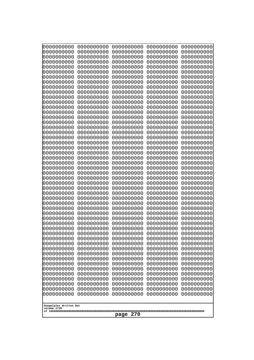| 000000000<br>0000000000               | 0000000000<br>0000000000 | 0000000000<br>0000000000 | 0000000000<br>0000000000 | 0000000000<br>0000000000 |
|---------------------------------------|--------------------------|--------------------------|--------------------------|--------------------------|
| 0000000000                            | 0000000000               | 0000000000               | 0000000000               | 0000000000               |
| 0000000000                            | 0000000000               | 0000000000               | 0000000000               | 0000000000               |
| 0000000000<br>0000000000              | 0000000000<br>0000000000 | 0000000000<br>0000000000 | 0000000000<br>0000000000 | 0000000000<br>0000000000 |
| 0000000000                            | 0000000000               | 0000000000               | 0000000000               | 0000000000               |
| 0000000000                            | 0000000000               | 0000000000               | 0000000000               | 0000000000               |
| 0000000000<br>0000000000              | 0000000000<br>0000000000 | 0000000000<br>0000000000 | 0000000000<br>0000000000 | 0000000000<br>0000000000 |
| 0000000000                            | 0000000000               | 0000000000               | 0000000000               | 0000000000               |
| 0000000000                            | 0000000000               | 0000000000               | 0000000000               | 0000000000               |
| 0000000000<br>0000000000              | 0000000000<br>0000000000 | 0000000000<br>0000000000 | 0000000000<br>0000000000 | 0000000000<br>0000000000 |
| 0000000000                            | 0000000000               | 0000000000               | 0000000000               | 0000000000               |
| 0000000000                            | 0000000000               | 0000000000               | 0000000000               | 0000000000               |
| 0000000000<br>0000000000              | 0000000000<br>0000000000 | 0000000000<br>0000000000 | 0000000000<br>0000000000 | 0000000000<br>0000000000 |
| 0000000000                            | 0000000000               | 0000000000               | 0000000000               | 0000000000               |
| 0000000000                            | 0000000000               | 0000000000               | 0000000000               | 0000000000               |
| 0000000000<br>0000000000              | 0000000000<br>0000000000 | 0000000000<br>0000000000 | 0000000000<br>0000000000 | 0000000000<br>0000000000 |
| 0000000000                            | 0000000000               | 0000000000               | 0000000000               | 0000000000               |
| 0000000000                            | 0000000000               | 0000000000               | 0000000000               | 0000000000               |
| 0000000000<br>0000000000              | 0000000000<br>0000000000 | 0000000000<br>0000000000 | 0000000000<br>0000000000 | 0000000000<br>0000000000 |
| 0000000000                            | 0000000000               | 0000000000               | 0000000000               | 0000000000               |
| 0000000000                            | 0000000000               | 0000000000               | 0000000000               | 0000000000               |
| 0000000000<br>0000000000              | 0000000000<br>0000000000 | 0000000000<br>0000000000 | 0000000000<br>0000000000 | 0000000000<br>0000000000 |
| 0000000000                            | 0000000000               | 0000000000               | 0000000000               | 0000000000               |
| 0000000000                            | 0000000000               | 0000000000               | 0000000000               | 0000000000               |
| 0000000000<br>0000000000              | 0000000000<br>0000000000 | 0000000000<br>0000000000 | 0000000000<br>0000000000 | 0000000000<br>0000000000 |
| 0000000000                            | 0000000000               | 0000000000               | 0000000000               | 0000000000               |
| 0000000000                            | 0000000000               | 0000000000               | 0000000000               | 0000000000               |
| 0000000000<br>0000000000              | 0000000000<br>0000000000 | 0000000000<br>0000000000 | 0000000000<br>0000000000 | 0000000000<br>0000000000 |
| 0000000000                            | 0000000000               | 0000000000               | 0000000000               | 0000000000               |
| 0000000000                            | 0000000000               | 0000000000               | 0000000000               | 0000000000               |
| 0000000000<br>0000000000              | 0000000000<br>0000000000 | 0000000000<br>0000000000 | 0000000000<br>0000000000 | 0000000000<br>0000000000 |
| 0000000000                            | 0000000000               | 0000000000               | 0000000000               | 0000000000               |
| 0000000000                            | 0000000000               | 0000000000               | 0000000000               | 0000000000               |
| 0000000000<br>0000000000              | 0000000000<br>0000000000 | 0000000000<br>0000000000 | 0000000000<br>0000000000 | 0000000000<br>0000000000 |
| 0000000000                            | 0000000000               | 0000000000               | 0000000000               | 0000000000               |
| 0000000000                            | 0000000000               | 0000000000               | 0000000000               | 0000000000               |
| 0000000000<br>0000000000              | 0000000000<br>0000000000 | 0000000000<br>0000000000 | 0000000000<br>0000000000 | 0000000000<br>0000000000 |
|                                       |                          |                          |                          |                          |
| Googolplex Written Out<br>volume 1720 |                          |                          |                          |                          |
| 270<br>page                           |                          |                          |                          |                          |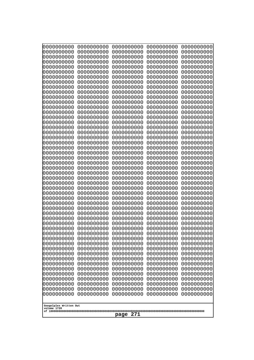| 10000000000                           | 0000000000               | 0000000000<br>0000000000 | 0000000000<br>0000000000 | 0000000000<br>0000000000 |
|---------------------------------------|--------------------------|--------------------------|--------------------------|--------------------------|
| 0000000000<br>0000000000              | 0000000000<br>0000000000 | 0000000000               | 0000000000               | 0000000000               |
| 0000000000                            | 0000000000               | 0000000000               | 0000000000               | 0000000000               |
| 0000000000                            | 0000000000               | 0000000000               | 0000000000               | 0000000000               |
| 0000000000<br>0000000000              | 0000000000<br>0000000000 | 0000000000<br>0000000000 | 0000000000<br>0000000000 | 0000000000<br>0000000000 |
| 0000000000                            | 0000000000               | 0000000000               | 0000000000               | 0000000000               |
| 0000000000                            | 0000000000               | 0000000000               | 0000000000               | 0000000000               |
| 0000000000                            | 0000000000               | 0000000000               | 0000000000               | 0000000000               |
| 0000000000<br>0000000000              | 0000000000<br>0000000000 | 0000000000<br>0000000000 | 0000000000<br>0000000000 | 0000000000<br>0000000000 |
| 0000000000                            | 0000000000               | 0000000000               | 0000000000               | 0000000000               |
| 0000000000                            | 0000000000               | 0000000000               | 0000000000               | 0000000000               |
| 0000000000<br>0000000000              | 0000000000<br>0000000000 | 0000000000<br>0000000000 | 0000000000               | 0000000000<br>0000000000 |
| 0000000000                            | 0000000000               | 0000000000               | 0000000000<br>0000000000 | 0000000000               |
| 0000000000                            | 0000000000               | 0000000000               | 0000000000               | 0000000000               |
| 0000000000                            | 0000000000               | 0000000000               | 0000000000               | 0000000000               |
| 0000000000<br>0000000000              | 0000000000<br>0000000000 | 0000000000<br>0000000000 | 0000000000<br>0000000000 | 0000000000<br>0000000000 |
| 0000000000                            | 0000000000               | 0000000000               | 0000000000               | 0000000000               |
| 0000000000                            | 0000000000               | 0000000000               | 0000000000               | 0000000000               |
| 0000000000                            | 0000000000               | 0000000000               | 0000000000               | 0000000000               |
| 0000000000<br>0000000000              | 0000000000<br>0000000000 | 0000000000<br>0000000000 | 0000000000<br>0000000000 | 0000000000<br>0000000000 |
| 0000000000                            | 0000000000               | 0000000000               | 0000000000               | 0000000000               |
| 0000000000                            | 0000000000               | 0000000000               | 0000000000               | 0000000000               |
| 0000000000<br>0000000000              | 0000000000<br>0000000000 | 0000000000<br>0000000000 | 0000000000<br>0000000000 | 0000000000<br>0000000000 |
| 0000000000                            | 0000000000               | 0000000000               | 0000000000               | 0000000000               |
| 0000000000                            | 0000000000               | 0000000000               | 0000000000               | 0000000000               |
| 0000000000<br>0000000000              | 0000000000<br>0000000000 | 0000000000<br>0000000000 | 0000000000<br>0000000000 | 0000000000<br>0000000000 |
| 0000000000                            | 0000000000               | 0000000000               | 0000000000               | 0000000000               |
| 0000000000                            | 0000000000               | 0000000000               | 0000000000               | 0000000000               |
| 0000000000                            | 0000000000               | 0000000000               | 0000000000               | 0000000000               |
| 0000000000<br>0000000000              | 0000000000<br>0000000000 | 0000000000<br>0000000000 | 0000000000<br>0000000000 | 0000000000<br>0000000000 |
| 0000000000                            | 0000000000               | 0000000000               | 0000000000               | 0000000000               |
| 0000000000                            | 0000000000               | 0000000000               | 0000000000               | 0000000000               |
| 0000000000<br>0000000000              | 0000000000<br>0000000000 | 0000000000<br>0000000000 | 0000000000<br>0000000000 | 0000000000<br>0000000000 |
| 0000000000                            | 0000000000               | 0000000000               | 0000000000               | 0000000000               |
| 0000000000                            | 0000000000               | 0000000000               | 0000000000               | 0000000000               |
| 0000000000                            | 0000000000<br>0000000000 | 0000000000<br>0000000000 | 0000000000               | 0000000000               |
| 0000000000<br>0000000000              | 0000000000               | 0000000000               | 0000000000<br>0000000000 | 0000000000<br>0000000000 |
| 0000000000                            | 0000000000               | 0000000000               | 0000000000               | 0000000000               |
| 0000000000                            | 0000000000               | 0000000000               | 0000000000               | 0000000000               |
|                                       |                          |                          |                          |                          |
| Googolplex Written Out<br>volume 1720 |                          |                          |                          |                          |
| 271<br>page                           |                          |                          |                          |                          |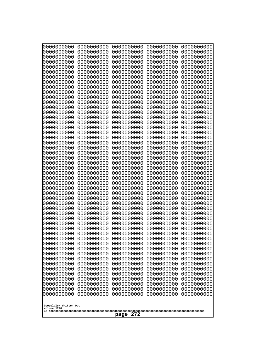| 000000000<br>0000000000               | 0000000000<br>0000000000 | 0000000000<br>0000000000 | 0000000000<br>0000000000 | 0000000000<br>0000000000 |
|---------------------------------------|--------------------------|--------------------------|--------------------------|--------------------------|
| 0000000000<br>0000000000              | 0000000000<br>0000000000 | 0000000000<br>0000000000 | 0000000000<br>0000000000 | 0000000000<br>0000000000 |
| 0000000000<br>0000000000              | 0000000000<br>0000000000 | 0000000000<br>0000000000 | 0000000000<br>0000000000 | 0000000000<br>0000000000 |
| 0000000000                            | 0000000000               | 0000000000               | 0000000000               | 0000000000               |
| 0000000000<br>0000000000              | 0000000000<br>0000000000 | 0000000000<br>0000000000 | 0000000000<br>0000000000 | 0000000000<br>0000000000 |
| 0000000000                            | 0000000000               | 0000000000               | 0000000000               | 0000000000               |
| 0000000000<br>0000000000              | 0000000000<br>0000000000 | 0000000000<br>0000000000 | 0000000000<br>0000000000 | 0000000000               |
| 0000000000                            | 0000000000               | 0000000000               | 0000000000               | 0000000000<br>0000000000 |
| 0000000000                            | 0000000000               | 0000000000               | 0000000000               | 0000000000               |
| 0000000000<br>0000000000              | 0000000000<br>0000000000 | 0000000000<br>0000000000 | 0000000000<br>0000000000 | 0000000000<br>0000000000 |
| 0000000000<br>0000000000              | 0000000000<br>0000000000 | 0000000000<br>0000000000 | 0000000000<br>0000000000 | 0000000000<br>0000000000 |
| 0000000000                            | 0000000000               | 0000000000               | 0000000000               | 0000000000               |
| 0000000000<br>0000000000              | 0000000000<br>0000000000 | 0000000000<br>0000000000 | 0000000000<br>0000000000 | 0000000000<br>0000000000 |
| 0000000000                            | 0000000000               | 0000000000               | 0000000000               | 0000000000               |
| 0000000000<br>0000000000              | 0000000000<br>0000000000 | 0000000000<br>0000000000 | 0000000000<br>0000000000 | 0000000000<br>0000000000 |
| 0000000000                            | 0000000000               | 0000000000               | 0000000000               | 0000000000               |
| 0000000000<br>0000000000              | 0000000000<br>0000000000 | 0000000000<br>0000000000 | 0000000000<br>0000000000 | 0000000000<br>0000000000 |
| 0000000000                            | 0000000000               | 0000000000               | 0000000000               | 0000000000               |
| 0000000000<br>0000000000              | 0000000000<br>0000000000 | 0000000000<br>0000000000 | 0000000000<br>0000000000 | 0000000000<br>0000000000 |
| 0000000000                            | 0000000000               | 0000000000               | 0000000000               | 0000000000               |
| 0000000000<br>0000000000              | 0000000000<br>0000000000 | 0000000000<br>0000000000 | 0000000000<br>0000000000 | 0000000000<br>0000000000 |
| 0000000000                            | 0000000000               | 0000000000               | 0000000000               | 0000000000               |
| 0000000000<br>0000000000              | 0000000000<br>0000000000 | 0000000000<br>0000000000 | 0000000000<br>0000000000 | 0000000000<br>0000000000 |
| 0000000000                            | 0000000000               | 0000000000               | 0000000000               | 0000000000               |
| 0000000000<br>0000000000              | 0000000000<br>0000000000 | 0000000000<br>0000000000 | 0000000000<br>0000000000 | 0000000000<br>0000000000 |
| 0000000000                            | 0000000000               | 0000000000               | 0000000000               | 0000000000               |
| 0000000000<br>0000000000              | 0000000000<br>0000000000 | 0000000000<br>0000000000 | 0000000000<br>0000000000 | 0000000000<br>0000000000 |
| 0000000000                            | 0000000000               | 0000000000               | 0000000000               | 0000000000               |
| 0000000000<br>0000000000              | 0000000000<br>0000000000 | 0000000000<br>0000000000 | 0000000000<br>0000000000 | 0000000000<br>0000000000 |
| 0000000000                            | 0000000000               | 0000000000               | 0000000000               | 0000000000               |
| 0000000000<br>0000000000              | 0000000000<br>0000000000 | 0000000000<br>0000000000 | 0000000000<br>0000000000 | 0000000000<br>0000000000 |
| 0000000000                            | 0000000000               | 0000000000               | 0000000000               | 0000000000               |
| 0000000000                            | 0000000000               | 0000000000               | 0000000000               | 0000000000               |
| Googolplex Written Out<br>volume 1720 |                          |                          |                          |                          |
| 272<br>page                           |                          |                          |                          |                          |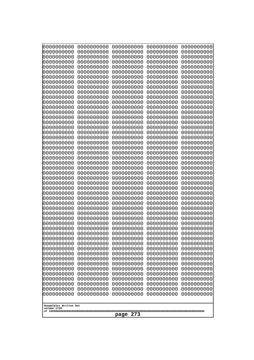| 000000000<br>0000000000               | 0000000000<br>0000000000 | 0000000000<br>0000000000 | 0000000000<br>0000000000 | 0000000000<br>0000000000 |
|---------------------------------------|--------------------------|--------------------------|--------------------------|--------------------------|
| 0000000000                            | 0000000000               | 0000000000               | 0000000000               | 0000000000               |
| 0000000000<br>0000000000              | 0000000000<br>0000000000 | 0000000000<br>0000000000 | 0000000000<br>0000000000 | 0000000000<br>0000000000 |
| 0000000000                            | 0000000000               | 0000000000               | 0000000000               | 0000000000               |
| 0000000000<br>0000000000              | 0000000000<br>0000000000 | 0000000000<br>0000000000 | 0000000000<br>0000000000 | 0000000000<br>0000000000 |
| 0000000000                            | 0000000000               | 0000000000               | 0000000000               | 0000000000               |
| 0000000000<br>0000000000              | 0000000000<br>0000000000 | 0000000000<br>0000000000 | 0000000000<br>0000000000 | 0000000000<br>0000000000 |
| 0000000000                            | 0000000000               | 0000000000               | 0000000000               | 0000000000               |
| 0000000000<br>0000000000              | 0000000000<br>0000000000 | 0000000000<br>0000000000 | 0000000000<br>0000000000 | 0000000000<br>0000000000 |
| 0000000000                            | 0000000000               | 0000000000               | 0000000000               | 0000000000               |
| 0000000000<br>0000000000              | 0000000000<br>0000000000 | 0000000000<br>0000000000 | 0000000000<br>0000000000 | 0000000000<br>0000000000 |
| 0000000000                            | 0000000000               | 0000000000               | 0000000000               | 0000000000               |
| 0000000000<br>0000000000              | 0000000000<br>0000000000 | 0000000000<br>0000000000 | 0000000000<br>0000000000 | 0000000000<br>0000000000 |
| 0000000000                            | 0000000000               | 0000000000               | 0000000000               | 0000000000               |
| 0000000000<br>0000000000              | 0000000000<br>0000000000 | 0000000000<br>0000000000 | 0000000000<br>0000000000 | 0000000000<br>0000000000 |
| 0000000000                            | 0000000000               | 0000000000               | 0000000000               | 0000000000               |
| 0000000000<br>0000000000              | 0000000000<br>0000000000 | 0000000000<br>0000000000 | 0000000000<br>0000000000 | 0000000000<br>0000000000 |
| 0000000000                            | 0000000000               | 0000000000               | 0000000000               | 0000000000               |
| 0000000000<br>0000000000              | 0000000000<br>0000000000 | 0000000000<br>0000000000 | 0000000000<br>0000000000 | 0000000000<br>0000000000 |
| 0000000000                            | 0000000000               | 0000000000               | 0000000000               | 0000000000               |
| 0000000000<br>0000000000              | 0000000000<br>0000000000 | 0000000000<br>0000000000 | 0000000000<br>0000000000 | 0000000000<br>0000000000 |
| 0000000000                            | 0000000000               | 0000000000               | 0000000000               | 0000000000               |
| 0000000000<br>0000000000              | 0000000000<br>0000000000 | 0000000000<br>0000000000 | 0000000000<br>0000000000 | 0000000000<br>0000000000 |
| 0000000000                            | 0000000000               | 0000000000               | 0000000000               | 0000000000               |
| 0000000000<br>0000000000              | 0000000000<br>0000000000 | 0000000000<br>0000000000 | 0000000000<br>0000000000 | 0000000000<br>0000000000 |
| 0000000000                            | 0000000000               | 0000000000               | 0000000000               | 0000000000               |
| 0000000000<br>0000000000              | 0000000000<br>0000000000 | 0000000000<br>0000000000 | 0000000000<br>0000000000 | 0000000000<br>0000000000 |
| 0000000000                            | 0000000000               | 0000000000               | 0000000000               | 0000000000               |
| 0000000000<br>0000000000              | 0000000000<br>0000000000 | 0000000000<br>0000000000 | 0000000000<br>0000000000 | 0000000000<br>0000000000 |
| 0000000000                            | 0000000000               | 0000000000               | 0000000000               | 0000000000               |
| 0000000000<br>0000000000              | 0000000000<br>0000000000 | 0000000000<br>0000000000 | 0000000000<br>0000000000 | 0000000000<br>0000000000 |
| 0000000000                            | 0000000000               | 0000000000               | 0000000000               | 0000000000               |
| 0000000000<br>0000000000              | 0000000000<br>0000000000 | 0000000000<br>0000000000 | 0000000000<br>0000000000 | 0000000000<br>0000000000 |
|                                       |                          |                          |                          |                          |
| Googolplex Written Out<br>volume 1720 |                          |                          |                          |                          |
| 273<br>page                           |                          |                          |                          |                          |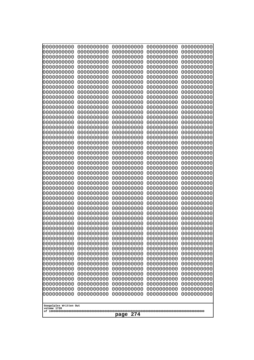| 000000000<br>0000000000  | 0000000000<br>0000000000 | 0000000000<br>0000000000 | 0000000000<br>0000000000 | 0000000000<br>0000000000 |
|--------------------------|--------------------------|--------------------------|--------------------------|--------------------------|
| 0000000000               | 0000000000               | 0000000000               | 0000000000               | 0000000000               |
| 0000000000<br>0000000000 | 0000000000<br>0000000000 | 0000000000<br>0000000000 | 0000000000<br>0000000000 | 0000000000<br>0000000000 |
| 0000000000               | 0000000000               | 0000000000               | 0000000000               | 0000000000               |
| 0000000000               | 0000000000               | 0000000000               | 0000000000               | 0000000000               |
| 0000000000               | 0000000000               | 0000000000               | 0000000000               | 0000000000               |
| 0000000000<br>0000000000 | 0000000000<br>0000000000 | 0000000000<br>0000000000 | 0000000000<br>0000000000 | 0000000000<br>0000000000 |
| 0000000000               | 0000000000               | 0000000000               | 0000000000               | 0000000000               |
| 0000000000               | 0000000000               | 0000000000               | 0000000000               | 0000000000               |
| 0000000000<br>0000000000 | 0000000000<br>0000000000 | 0000000000<br>0000000000 | 0000000000<br>0000000000 | 0000000000<br>0000000000 |
| 0000000000               | 0000000000               | 0000000000               | 0000000000               | 0000000000               |
| 0000000000               | 0000000000               | 0000000000               | 0000000000               | 0000000000               |
| 0000000000<br>0000000000 | 0000000000<br>0000000000 | 0000000000<br>0000000000 | 0000000000<br>0000000000 | 0000000000<br>0000000000 |
| 0000000000               | 0000000000               | 0000000000               | 0000000000               | 0000000000               |
| 0000000000<br>0000000000 | 0000000000<br>0000000000 | 0000000000<br>0000000000 | 0000000000<br>0000000000 | 0000000000<br>0000000000 |
| 0000000000               | 0000000000               | 0000000000               | 0000000000               | 0000000000               |
| 0000000000               | 0000000000               | 0000000000               | 0000000000               | 0000000000               |
| 0000000000<br>0000000000 | 0000000000<br>0000000000 | 0000000000<br>0000000000 | 0000000000<br>0000000000 | 0000000000<br>0000000000 |
| 0000000000               | 0000000000               | 0000000000               | 0000000000               | 0000000000               |
| 0000000000               | 0000000000               | 0000000000               | 0000000000               | 0000000000               |
| 0000000000<br>0000000000 | 0000000000<br>0000000000 | 0000000000<br>0000000000 | 0000000000<br>0000000000 | 0000000000<br>0000000000 |
| 0000000000               | 0000000000               | 0000000000               | 0000000000               | 0000000000               |
| 0000000000               | 0000000000               | 0000000000               | 0000000000               | 0000000000               |
| 0000000000<br>0000000000 | 0000000000<br>0000000000 | 0000000000<br>0000000000 | 0000000000<br>0000000000 | 0000000000<br>0000000000 |
| 0000000000               | 0000000000               | 0000000000               | 0000000000               | 0000000000               |
| 0000000000               | 0000000000               | 0000000000               | 0000000000               | 0000000000               |
| 0000000000<br>0000000000 | 0000000000<br>0000000000 | 0000000000<br>0000000000 | 0000000000<br>0000000000 | 0000000000<br>0000000000 |
| 0000000000               | 0000000000               | 0000000000               | 0000000000               | 0000000000               |
| 0000000000<br>0000000000 | 0000000000               | 0000000000               | 0000000000<br>0000000000 | 0000000000               |
| 0000000000               | 0000000000<br>0000000000 | 0000000000<br>0000000000 | 0000000000               | 0000000000<br>0000000000 |
| 0000000000               | 0000000000               | 0000000000               | 0000000000               | 0000000000               |
| 0000000000<br>0000000000 | 0000000000<br>0000000000 | 0000000000<br>0000000000 | 0000000000<br>0000000000 | 0000000000<br>0000000000 |
| 0000000000               | 0000000000               | 0000000000               | 0000000000               | 0000000000               |
| 0000000000               | 0000000000               | 0000000000               | 0000000000               | 0000000000               |
| 0000000000<br>0000000000 | 0000000000<br>0000000000 | 0000000000<br>0000000000 | 0000000000<br>0000000000 | 0000000000<br>0000000000 |
| 0000000000               | 0000000000               | 0000000000               | 0000000000               | 0000000000               |
| 0000000000               | 0000000000               | 0000000000               | 0000000000               | 0000000000               |
| Googolplex Written Out   |                          |                          |                          |                          |
| volume 1720              |                          |                          |                          |                          |
| 274<br>page              |                          |                          |                          |                          |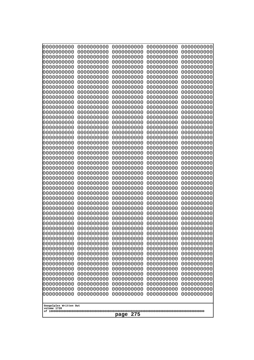| 0000000000                                    | 0000000000 | 0000000000 | 0000000000 | 0000000000 |
|-----------------------------------------------|------------|------------|------------|------------|
| 0000000000                                    | 0000000000 | 0000000000 | 0000000000 | 0000000000 |
| 0000000000                                    | 0000000000 | 0000000000 | 0000000000 | 0000000000 |
| 0000000000                                    | 0000000000 | 0000000000 | 0000000000 | 0000000000 |
| 0000000000                                    | 0000000000 | 0000000000 | 0000000000 | 0000000000 |
| 0000000000                                    | 0000000000 | 0000000000 | 0000000000 | 0000000000 |
| 0000000000                                    | 0000000000 | 0000000000 | 0000000000 | 0000000000 |
| 0000000000                                    | 0000000000 | 0000000000 | 0000000000 | 0000000000 |
| 0000000000                                    | 0000000000 | 0000000000 | 0000000000 | 0000000000 |
| 0000000000                                    | 0000000000 | 0000000000 | 0000000000 | 0000000000 |
| 0000000000                                    | 0000000000 | 0000000000 | 0000000000 | 0000000000 |
| 0000000000                                    | 0000000000 | 0000000000 | 0000000000 | 0000000000 |
| 0000000000                                    | 0000000000 | 0000000000 | 0000000000 | 0000000000 |
| 0000000000                                    | 0000000000 | 0000000000 | 0000000000 | 0000000000 |
| 0000000000                                    | 0000000000 | 0000000000 | 0000000000 | 0000000000 |
| 0000000000                                    | 0000000000 | 0000000000 | 0000000000 | 0000000000 |
| 0000000000                                    | 0000000000 | 0000000000 | 0000000000 | 0000000000 |
| 0000000000                                    | 0000000000 | 0000000000 | 0000000000 | 0000000000 |
| 0000000000                                    | 0000000000 | 0000000000 | 0000000000 | 0000000000 |
| 0000000000                                    | 0000000000 | 0000000000 | 0000000000 | 0000000000 |
| 0000000000                                    | 0000000000 | 0000000000 | 0000000000 | 0000000000 |
| 0000000000                                    | 0000000000 | 0000000000 | 0000000000 | 0000000000 |
| 0000000000                                    | 0000000000 | 0000000000 | 0000000000 | 0000000000 |
| 0000000000                                    | 0000000000 | 0000000000 | 0000000000 | 0000000000 |
| 0000000000                                    | 0000000000 | 0000000000 | 0000000000 | 0000000000 |
| 0000000000                                    | 0000000000 | 0000000000 | 0000000000 | 0000000000 |
| 0000000000                                    | 0000000000 | 0000000000 | 0000000000 | 0000000000 |
| 0000000000                                    | 0000000000 | 0000000000 | 0000000000 | 0000000000 |
| 0000000000                                    | 0000000000 | 0000000000 | 0000000000 | 0000000000 |
| 0000000000                                    | 0000000000 | 0000000000 | 0000000000 | 0000000000 |
| 0000000000                                    | 0000000000 | 0000000000 | 0000000000 | 0000000000 |
| 0000000000                                    | 0000000000 | 0000000000 | 0000000000 | 0000000000 |
| 0000000000                                    | 0000000000 | 0000000000 | 0000000000 | 0000000000 |
| 0000000000                                    | 0000000000 | 0000000000 | 0000000000 | 0000000000 |
| 0000000000                                    | 0000000000 | 0000000000 | 0000000000 | 0000000000 |
| 0000000000                                    | 0000000000 | 0000000000 | 0000000000 | 0000000000 |
| 0000000000                                    | 0000000000 | 0000000000 | 0000000000 | 0000000000 |
| 0000000000                                    | 0000000000 | 0000000000 | 0000000000 | 0000000000 |
| 0000000000                                    | 0000000000 | 0000000000 | 0000000000 | 0000000000 |
| 0000000000                                    | 0000000000 | 0000000000 | 0000000000 | 0000000000 |
| 0000000000                                    | 0000000000 | 0000000000 | 0000000000 | 0000000000 |
| 0000000000                                    | 0000000000 | 0000000000 | 0000000000 | 0000000000 |
| 0000000000                                    | 0000000000 | 0000000000 | 0000000000 | 0000000000 |
| 0000000000                                    | 0000000000 | 0000000000 | 0000000000 | 0000000000 |
|                                               |            |            |            |            |
| 0000000000                                    | 0000000000 | 0000000000 | 0000000000 | 0000000000 |
| 0000000000                                    | 0000000000 | 0000000000 | 0000000000 | 0000000000 |
| 0000000000                                    | 0000000000 | 0000000000 | 0000000000 | 0000000000 |
| 0000000000                                    | 0000000000 | 0000000000 | 0000000000 | 0000000000 |
| 0000000000                                    | 0000000000 | 0000000000 | 0000000000 | 0000000000 |
| 0000000000                                    | 0000000000 | 0000000000 | 0000000000 | 0000000000 |
| Googolplex Written Out<br>volume 1720<br>page |            |            |            |            |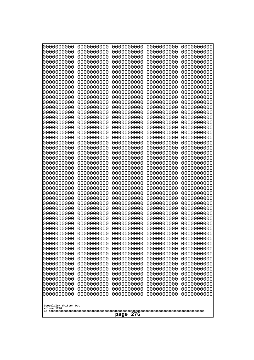| 000000000<br>0000000000               | 0000000000<br>0000000000 | 0000000000<br>0000000000 | 0000000000<br>0000000000 | 0000000000<br>0000000000 |
|---------------------------------------|--------------------------|--------------------------|--------------------------|--------------------------|
| 0000000000                            | 0000000000               | 0000000000               | 0000000000               | 0000000000               |
| 0000000000<br>0000000000              | 0000000000<br>0000000000 | 0000000000<br>0000000000 | 0000000000<br>0000000000 | 0000000000<br>0000000000 |
| 0000000000                            | 0000000000               | 0000000000               | 0000000000               | 0000000000               |
| 0000000000                            | 0000000000               | 0000000000               | 0000000000               | 0000000000               |
| 0000000000                            | 0000000000               | 0000000000               | 0000000000               | 0000000000               |
| 0000000000<br>0000000000              | 0000000000<br>0000000000 | 0000000000<br>0000000000 | 0000000000<br>0000000000 | 0000000000<br>0000000000 |
| 0000000000                            | 0000000000               | 0000000000               | 0000000000               | 0000000000               |
| 0000000000                            | 0000000000               | 0000000000               | 0000000000               | 0000000000               |
| 0000000000<br>0000000000              | 0000000000<br>0000000000 | 0000000000<br>0000000000 | 0000000000<br>0000000000 | 0000000000<br>0000000000 |
| 0000000000                            | 0000000000               | 0000000000               | 0000000000               | 0000000000               |
| 0000000000                            | 0000000000               | 0000000000               | 0000000000               | 0000000000               |
| 0000000000<br>0000000000              | 0000000000<br>0000000000 | 0000000000<br>0000000000 | 0000000000<br>0000000000 | 0000000000<br>0000000000 |
| 0000000000                            | 0000000000               | 0000000000               | 0000000000               | 0000000000               |
| 0000000000<br>0000000000              | 0000000000               | 0000000000               | 0000000000               | 0000000000               |
| 0000000000                            | 0000000000<br>0000000000 | 0000000000<br>0000000000 | 0000000000<br>0000000000 | 0000000000<br>0000000000 |
| 0000000000                            | 0000000000               | 0000000000               | 0000000000               | 0000000000               |
| 0000000000                            | 0000000000               | 0000000000               | 0000000000               | 0000000000               |
| 0000000000<br>0000000000              | 0000000000<br>0000000000 | 0000000000<br>0000000000 | 0000000000<br>0000000000 | 0000000000<br>0000000000 |
| 0000000000                            | 0000000000               | 0000000000               | 0000000000               | 0000000000               |
| 0000000000<br>0000000000              | 0000000000<br>0000000000 | 0000000000<br>0000000000 | 0000000000<br>0000000000 | 0000000000<br>0000000000 |
| 0000000000                            | 0000000000               | 0000000000               | 0000000000               | 0000000000               |
| 0000000000                            | 0000000000               | 0000000000               | 0000000000               | 0000000000               |
| 0000000000<br>0000000000              | 0000000000<br>0000000000 | 0000000000<br>0000000000 | 0000000000<br>0000000000 | 0000000000<br>0000000000 |
| 0000000000                            | 0000000000               | 0000000000               | 0000000000               | 0000000000               |
| 0000000000                            | 0000000000               | 0000000000               | 0000000000               | 0000000000               |
| 0000000000<br>0000000000              | 0000000000<br>0000000000 | 0000000000<br>0000000000 | 0000000000<br>0000000000 | 0000000000<br>0000000000 |
| 0000000000                            | 0000000000               | 0000000000               | 0000000000               | 0000000000               |
| 0000000000                            | 0000000000               | 0000000000               | 0000000000               | 0000000000               |
| 0000000000<br>0000000000              | 0000000000<br>0000000000 | 0000000000<br>0000000000 | 0000000000<br>0000000000 | 0000000000<br>0000000000 |
| 0000000000                            | 0000000000               | 0000000000               | 0000000000               | 0000000000               |
| 0000000000                            | 0000000000               | 0000000000               | 0000000000               | 0000000000               |
| 0000000000<br>0000000000              | 0000000000<br>0000000000 | 0000000000<br>0000000000 | 0000000000<br>0000000000 | 0000000000<br>0000000000 |
| 0000000000                            | 0000000000               | 0000000000               | 0000000000               | 0000000000               |
| 0000000000                            | 0000000000               | 0000000000               | 0000000000               | 0000000000               |
| 0000000000<br>0000000000              | 0000000000<br>0000000000 | 0000000000<br>0000000000 | 0000000000<br>0000000000 | 0000000000<br>0000000000 |
| 0000000000                            | 0000000000               | 0000000000               | 0000000000               | 0000000000               |
|                                       |                          |                          |                          |                          |
| Googolplex Written Out<br>volume 1720 |                          |                          |                          |                          |
| 276<br>page                           |                          |                          |                          |                          |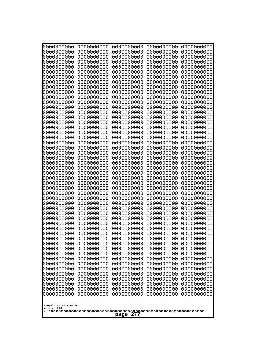| 000000000<br>0000000000  | 0000000000<br>0000000000 | 0000000000<br>0000000000 | 0000000000<br>0000000000 | 0000000000<br>0000000000 |
|--------------------------|--------------------------|--------------------------|--------------------------|--------------------------|
| 0000000000<br>0000000000 | 0000000000<br>0000000000 | 0000000000<br>0000000000 | 0000000000<br>0000000000 | 0000000000<br>0000000000 |
| 0000000000               | 0000000000               | 0000000000               | 0000000000               | 0000000000               |
| 0000000000<br>0000000000 | 0000000000<br>0000000000 | 0000000000<br>0000000000 | 0000000000<br>0000000000 | 0000000000<br>0000000000 |
| 0000000000               | 0000000000               | 0000000000               | 0000000000               | 0000000000               |
| 0000000000<br>0000000000 | 0000000000<br>0000000000 | 0000000000<br>0000000000 | 0000000000<br>0000000000 | 0000000000<br>0000000000 |
| 0000000000               | 0000000000               | 0000000000               | 0000000000               | 0000000000               |
| 0000000000<br>0000000000 | 0000000000<br>0000000000 | 0000000000<br>0000000000 | 0000000000<br>0000000000 | 0000000000<br>0000000000 |
| 0000000000               | 0000000000               | 0000000000               | 0000000000               | 0000000000               |
| 0000000000<br>0000000000 | 0000000000<br>0000000000 | 0000000000<br>0000000000 | 0000000000<br>0000000000 | 0000000000<br>0000000000 |
| 0000000000               | 0000000000               | 0000000000               | 0000000000               | 0000000000               |
| 0000000000<br>0000000000 | 0000000000<br>0000000000 | 0000000000<br>0000000000 | 0000000000<br>0000000000 | 0000000000<br>0000000000 |
| 0000000000               | 0000000000               | 0000000000               | 0000000000               | 0000000000               |
| 0000000000<br>0000000000 | 0000000000<br>0000000000 | 0000000000<br>0000000000 | 0000000000<br>0000000000 | 0000000000<br>0000000000 |
| 0000000000               | 0000000000               | 0000000000               | 0000000000               | 0000000000               |
| 0000000000<br>0000000000 | 0000000000<br>0000000000 | 0000000000<br>0000000000 | 0000000000<br>0000000000 | 0000000000<br>0000000000 |
| 0000000000               | 0000000000               | 0000000000               | 0000000000               | 0000000000               |
| 0000000000<br>0000000000 | 0000000000<br>0000000000 | 0000000000<br>0000000000 | 0000000000<br>0000000000 | 0000000000<br>0000000000 |
| 0000000000               | 0000000000               | 0000000000               | 0000000000               | 0000000000               |
| 0000000000<br>0000000000 | 0000000000<br>0000000000 | 0000000000<br>0000000000 | 0000000000<br>0000000000 | 0000000000<br>0000000000 |
| 0000000000               | 0000000000               | 0000000000               | 0000000000               | 0000000000               |
| 0000000000<br>0000000000 | 0000000000<br>0000000000 | 0000000000<br>0000000000 | 0000000000<br>0000000000 | 0000000000<br>0000000000 |
| 0000000000               | 0000000000               | 0000000000               | 0000000000               | 0000000000               |
| 0000000000<br>0000000000 | 0000000000<br>0000000000 | 0000000000<br>0000000000 | 0000000000<br>0000000000 | 0000000000<br>0000000000 |
| 0000000000               | 0000000000               | 0000000000               | 0000000000               | 0000000000               |
| 0000000000<br>0000000000 | 0000000000<br>0000000000 | 0000000000<br>0000000000 | 0000000000<br>0000000000 | 0000000000<br>0000000000 |
| 0000000000               | 0000000000               | 0000000000               | 0000000000               | 0000000000               |
| 0000000000<br>0000000000 | 0000000000<br>0000000000 | 0000000000<br>0000000000 | 0000000000<br>0000000000 | 0000000000<br>0000000000 |
| 0000000000<br>0000000000 | 0000000000<br>0000000000 | 0000000000               | 0000000000<br>0000000000 | 0000000000               |
| 0000000000               | 0000000000               | 0000000000<br>0000000000 | 0000000000               | 0000000000<br>0000000000 |
| 0000000000<br>0000000000 | 0000000000<br>0000000000 | 0000000000<br>0000000000 | 0000000000<br>0000000000 | 0000000000<br>0000000000 |
| 0000000000               | 0000000000               | 0000000000               | 0000000000               | 0000000000               |
| 0000000000               | 0000000000               | 0000000000               | 0000000000               | 0000000000               |
| Googolplex Written Out   |                          |                          |                          |                          |
| volume 1720              |                          | 277<br>page              |                          |                          |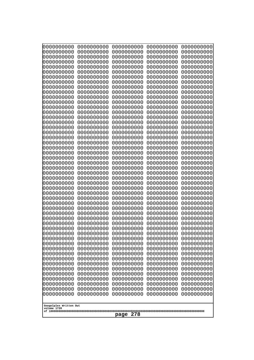| 10000000000<br>0000000000             | 0000000000<br>0000000000 | 0000000000<br>0000000000 | 0000000000<br>0000000000 | 0000000000<br>0000000000 |
|---------------------------------------|--------------------------|--------------------------|--------------------------|--------------------------|
| 0000000000                            | 0000000000               | 0000000000               | 0000000000               | 0000000000               |
| 0000000000                            | 0000000000               | 0000000000               | 0000000000               | 0000000000               |
| 0000000000<br>0000000000              | 0000000000<br>0000000000 | 0000000000<br>0000000000 | 0000000000<br>0000000000 | 0000000000<br>0000000000 |
| 0000000000                            | 0000000000               | 0000000000               | 0000000000               | 0000000000               |
| 0000000000                            | 0000000000               | 0000000000               | 0000000000               | 0000000000               |
| 0000000000<br>0000000000              | 0000000000<br>0000000000 | 0000000000<br>0000000000 | 0000000000<br>0000000000 | 0000000000<br>0000000000 |
| 0000000000                            | 0000000000               | 0000000000               | 0000000000               | 0000000000               |
| 0000000000                            | 0000000000               | 0000000000               | 0000000000               | 0000000000               |
| 0000000000                            | 0000000000               | 0000000000               | 0000000000               | 0000000000               |
| 0000000000<br>0000000000              | 0000000000<br>0000000000 | 0000000000<br>0000000000 | 0000000000<br>0000000000 | 0000000000<br>0000000000 |
| 0000000000                            | 0000000000               | 0000000000               | 0000000000               | 0000000000               |
| 0000000000                            | 0000000000               | 0000000000               | 0000000000               | 0000000000               |
| 0000000000<br>0000000000              | 0000000000<br>0000000000 | 0000000000<br>0000000000 | 0000000000<br>0000000000 | 0000000000<br>0000000000 |
| 0000000000                            | 0000000000               | 0000000000               | 0000000000               | 0000000000               |
| 0000000000                            | 0000000000               | 0000000000               | 0000000000               | 0000000000               |
| 0000000000<br>0000000000              | 0000000000<br>0000000000 | 0000000000<br>0000000000 | 0000000000<br>0000000000 | 0000000000<br>0000000000 |
| 0000000000                            | 0000000000               | 0000000000               | 0000000000               | 0000000000               |
| 0000000000                            | 0000000000               | 0000000000               | 0000000000               | 0000000000               |
| 0000000000<br>0000000000              | 0000000000<br>0000000000 | 0000000000<br>0000000000 | 0000000000<br>0000000000 | 0000000000<br>0000000000 |
| 0000000000                            | 0000000000               | 0000000000               | 0000000000               | 0000000000               |
| 0000000000                            | 0000000000               | 0000000000               | 0000000000               | 0000000000               |
| 0000000000                            | 0000000000<br>0000000000 | 0000000000<br>0000000000 | 0000000000<br>0000000000 | 0000000000               |
| 0000000000<br>0000000000              | 0000000000               | 0000000000               | 0000000000               | 0000000000<br>0000000000 |
| 0000000000                            | 0000000000               | 0000000000               | 0000000000               | 0000000000               |
| 0000000000                            | 0000000000               | 0000000000               | 0000000000               | 0000000000               |
| 0000000000<br>0000000000              | 0000000000<br>0000000000 | 0000000000<br>0000000000 | 0000000000<br>0000000000 | 0000000000<br>0000000000 |
| 0000000000                            | 0000000000               | 0000000000               | 0000000000               | 0000000000               |
| 0000000000                            | 0000000000               | 0000000000               | 0000000000               | 0000000000               |
| 0000000000<br>0000000000              | 0000000000<br>0000000000 | 0000000000<br>0000000000 | 0000000000<br>0000000000 | 0000000000<br>0000000000 |
| 0000000000                            | 0000000000               | 0000000000               | 0000000000               | 0000000000               |
| 0000000000                            | 0000000000               | 0000000000               | 0000000000               | 0000000000               |
| 0000000000<br>0000000000              | 0000000000<br>0000000000 | 0000000000<br>0000000000 | 0000000000<br>0000000000 | 0000000000<br>0000000000 |
| 0000000000                            | 0000000000               | 0000000000               | 0000000000               | 0000000000               |
| 0000000000                            | 0000000000               | 0000000000               | 0000000000               | 0000000000               |
| 0000000000<br>0000000000              | 0000000000<br>0000000000 | 0000000000<br>0000000000 | 0000000000<br>0000000000 | 0000000000<br>0000000000 |
| 0000000000                            | 0000000000               | 0000000000               | 0000000000               | 0000000000               |
| 0000000000                            | 0000000000               | 0000000000               | 0000000000               | 0000000000               |
|                                       |                          |                          |                          |                          |
| Googolplex Written Out<br>volume 1720 |                          |                          |                          |                          |
|                                       |                          | 278<br>page              |                          |                          |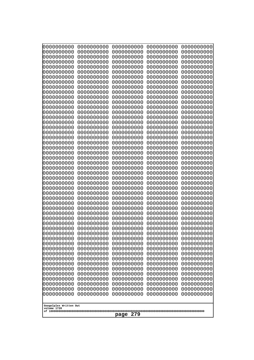| 000000000<br>0000000000               | 0000000000<br>0000000000 | 0000000000<br>0000000000 | 0000000000<br>0000000000 | 0000000000<br>0000000000 |
|---------------------------------------|--------------------------|--------------------------|--------------------------|--------------------------|
| 0000000000                            | 0000000000               | 0000000000               | 0000000000               | 0000000000               |
| 0000000000                            | 0000000000               | 0000000000               | 0000000000               | 0000000000               |
| 0000000000<br>0000000000              | 0000000000<br>0000000000 | 0000000000<br>0000000000 | 0000000000<br>0000000000 | 0000000000<br>0000000000 |
| 0000000000                            | 0000000000               | 0000000000               | 0000000000               | 0000000000               |
| 0000000000                            | 0000000000               | 0000000000               | 0000000000               | 0000000000               |
| 0000000000<br>0000000000              | 0000000000<br>0000000000 | 0000000000<br>0000000000 | 0000000000<br>0000000000 | 0000000000<br>0000000000 |
| 0000000000                            | 0000000000               | 0000000000               | 0000000000               | 0000000000               |
| 0000000000                            | 0000000000               | 0000000000               | 0000000000               | 0000000000               |
| 0000000000<br>0000000000              | 0000000000<br>0000000000 | 0000000000<br>0000000000 | 0000000000<br>0000000000 | 0000000000<br>0000000000 |
| 0000000000                            | 0000000000               | 0000000000               | 0000000000               | 0000000000               |
| 0000000000                            | 0000000000               | 0000000000               | 0000000000               | 0000000000               |
| 0000000000<br>0000000000              | 0000000000<br>0000000000 | 0000000000<br>0000000000 | 0000000000<br>0000000000 | 0000000000<br>0000000000 |
| 0000000000                            | 0000000000               | 0000000000               | 0000000000               | 0000000000               |
| 0000000000                            | 0000000000               | 0000000000               | 0000000000               | 0000000000               |
| 0000000000<br>0000000000              | 0000000000<br>0000000000 | 0000000000<br>0000000000 | 0000000000<br>0000000000 | 0000000000<br>0000000000 |
| 0000000000                            | 0000000000               | 0000000000               | 0000000000               | 0000000000               |
| 0000000000                            | 0000000000               | 0000000000               | 0000000000               | 0000000000               |
| 0000000000<br>0000000000              | 0000000000<br>0000000000 | 0000000000<br>0000000000 | 0000000000<br>0000000000 | 0000000000<br>0000000000 |
| 0000000000                            | 0000000000               | 0000000000               | 0000000000               | 0000000000               |
| 0000000000                            | 0000000000               | 0000000000               | 0000000000               | 0000000000               |
| 0000000000<br>0000000000              | 0000000000<br>0000000000 | 0000000000<br>0000000000 | 0000000000<br>0000000000 | 0000000000<br>0000000000 |
| 0000000000                            | 0000000000               | 0000000000               | 0000000000               | 0000000000               |
| 0000000000                            | 0000000000               | 0000000000               | 0000000000               | 0000000000               |
| 0000000000<br>0000000000              | 0000000000<br>0000000000 | 0000000000<br>0000000000 | 0000000000<br>0000000000 | 0000000000<br>0000000000 |
| 0000000000                            | 0000000000               | 0000000000               | 0000000000               | 0000000000               |
| 0000000000                            | 0000000000               | 0000000000               | 0000000000               | 0000000000               |
| 0000000000<br>0000000000              | 0000000000<br>0000000000 | 0000000000<br>0000000000 | 0000000000<br>0000000000 | 0000000000<br>0000000000 |
| 0000000000                            | 0000000000               | 0000000000               | 0000000000               | 0000000000               |
| 0000000000                            | 0000000000               | 0000000000               | 0000000000               | 0000000000               |
| 0000000000<br>0000000000              | 0000000000<br>0000000000 | 0000000000<br>0000000000 | 0000000000<br>0000000000 | 0000000000<br>0000000000 |
| 0000000000                            | 0000000000               | 0000000000               | 0000000000               | 0000000000               |
| 0000000000                            | 0000000000               | 0000000000               | 0000000000               | 0000000000               |
| 0000000000<br>0000000000              | 0000000000<br>0000000000 | 0000000000<br>0000000000 | 0000000000<br>0000000000 | 0000000000<br>0000000000 |
| 0000000000                            | 0000000000               | 0000000000               | 0000000000               | 0000000000               |
| 0000000000                            | 0000000000               | 0000000000               | 0000000000               | 0000000000               |
| 0000000000<br>0000000000              | 0000000000               | 0000000000<br>0000000000 | 0000000000<br>0000000000 | 0000000000               |
|                                       | 0000000000               |                          |                          | 0000000000               |
| Googolplex Written Out<br>volume 1720 |                          |                          |                          |                          |
|                                       |                          | 279<br>page              |                          |                          |
|                                       |                          |                          |                          |                          |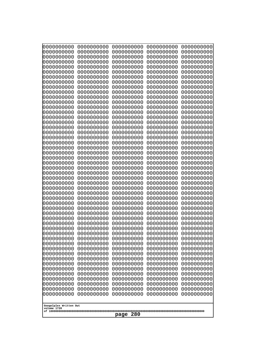| 10000000000<br>0000000000             | 0000000000<br>0000000000 | 0000000000<br>0000000000 | 0000000000<br>0000000000 | 0000000000<br>0000000000 |
|---------------------------------------|--------------------------|--------------------------|--------------------------|--------------------------|
| 0000000000                            | 0000000000               | 0000000000               | 0000000000               | 0000000000               |
| 0000000000                            | 0000000000               | 0000000000               | 0000000000               | 0000000000               |
| 0000000000<br>0000000000              | 0000000000<br>0000000000 | 0000000000<br>0000000000 | 0000000000<br>0000000000 | 0000000000<br>0000000000 |
| 0000000000                            | 0000000000               | 0000000000               | 0000000000               | 0000000000               |
| 0000000000                            | 0000000000               | 0000000000               | 0000000000               | 0000000000               |
| 0000000000<br>0000000000              | 0000000000<br>0000000000 | 0000000000<br>0000000000 | 0000000000<br>0000000000 | 0000000000<br>0000000000 |
| 0000000000                            | 0000000000               | 0000000000               | 0000000000               | 0000000000               |
| 0000000000                            | 0000000000               | 0000000000               | 0000000000               | 0000000000               |
| 0000000000<br>0000000000              | 0000000000<br>0000000000 | 0000000000<br>0000000000 | 0000000000<br>0000000000 | 0000000000<br>0000000000 |
| 0000000000                            | 0000000000               | 0000000000               | 0000000000               | 0000000000               |
| 0000000000                            | 0000000000               | 0000000000               | 0000000000               | 0000000000               |
| 0000000000<br>0000000000              | 0000000000<br>0000000000 | 0000000000<br>0000000000 | 0000000000<br>0000000000 | 0000000000<br>0000000000 |
| 0000000000                            | 0000000000               | 0000000000               | 0000000000               | 0000000000               |
| 0000000000<br>0000000000              | 0000000000               | 0000000000               | 0000000000               | 0000000000               |
| 0000000000                            | 0000000000<br>0000000000 | 0000000000<br>0000000000 | 0000000000<br>0000000000 | 0000000000<br>0000000000 |
| 0000000000                            | 0000000000               | 0000000000               | 0000000000               | 0000000000               |
| 0000000000<br>0000000000              | 0000000000<br>0000000000 | 0000000000<br>0000000000 | 0000000000<br>0000000000 | 0000000000<br>0000000000 |
| 0000000000                            | 0000000000               | 0000000000               | 0000000000               | 0000000000               |
| 0000000000                            | 0000000000               | 0000000000               | 0000000000               | 0000000000               |
| 0000000000<br>0000000000              | 0000000000<br>0000000000 | 0000000000<br>0000000000 | 0000000000<br>0000000000 | 0000000000<br>0000000000 |
| 0000000000                            | 0000000000               | 0000000000               | 0000000000               | 0000000000               |
| 0000000000                            | 0000000000               | 0000000000               | 0000000000               | 0000000000               |
| 0000000000<br>0000000000              | 0000000000<br>0000000000 | 0000000000<br>0000000000 | 0000000000<br>0000000000 | 0000000000<br>0000000000 |
| 0000000000                            | 0000000000               | 0000000000               | 0000000000               | 0000000000               |
| 0000000000                            | 0000000000               | 0000000000               | 0000000000               | 0000000000               |
| 0000000000<br>0000000000              | 0000000000<br>0000000000 | 0000000000<br>0000000000 | 0000000000<br>0000000000 | 0000000000<br>0000000000 |
| 0000000000                            | 0000000000               | 0000000000               | 0000000000               | 0000000000               |
| 0000000000                            | 0000000000               | 0000000000               | 0000000000               | 0000000000               |
| 0000000000<br>0000000000              | 0000000000<br>0000000000 | 0000000000<br>0000000000 | 0000000000<br>0000000000 | 0000000000<br>0000000000 |
| 0000000000                            | 0000000000               | 0000000000               | 0000000000               | 0000000000               |
| 0000000000                            | 0000000000               | 0000000000               | 0000000000               | 0000000000               |
| 0000000000<br>0000000000              | 0000000000<br>0000000000 | 0000000000<br>0000000000 | 0000000000<br>0000000000 | 0000000000<br>0000000000 |
| 0000000000                            | 0000000000               | 0000000000               | 0000000000               | 0000000000               |
| 0000000000                            | 0000000000               | 0000000000               | 0000000000               | 0000000000               |
| 0000000000<br>0000000000              | 0000000000<br>0000000000 | 0000000000<br>0000000000 | 0000000000<br>0000000000 | 0000000000<br>0000000000 |
| 0000000000                            | 0000000000               | 0000000000               | 0000000000               | 0000000000               |
|                                       |                          |                          |                          |                          |
| Googolplex Written Out<br>volume 1720 |                          |                          |                          |                          |
|                                       |                          | 280<br>page              |                          |                          |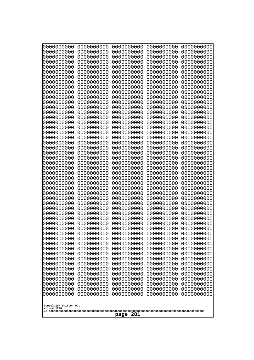| 0000000000  | 0000000000                            | 0000000000 | 0000000000 | 0000000000 |  |
|-------------|---------------------------------------|------------|------------|------------|--|
| 0000000000  | 0000000000                            | 0000000000 | 0000000000 | 0000000000 |  |
| 0000000000  | 0000000000                            | 0000000000 | 0000000000 | 0000000000 |  |
| 0000000000  | 0000000000                            | 0000000000 | 0000000000 | 0000000000 |  |
| 0000000000  | 0000000000                            | 0000000000 | 0000000000 | 0000000000 |  |
| 0000000000  | 0000000000                            | 0000000000 | 0000000000 | 0000000000 |  |
| 0000000000  | 0000000000                            | 0000000000 | 0000000000 | 0000000000 |  |
| 0000000000  | 0000000000                            | 0000000000 | 0000000000 | 0000000000 |  |
| 0000000000  | 0000000000                            | 0000000000 | 0000000000 | 0000000000 |  |
| 0000000000  | 0000000000                            | 0000000000 | 0000000000 | 0000000000 |  |
| 0000000000  | 0000000000                            | 0000000000 | 0000000000 | 0000000000 |  |
| 0000000000  | 0000000000                            | 0000000000 | 0000000000 | 0000000000 |  |
| 0000000000  | 0000000000                            | 0000000000 | 0000000000 | 0000000000 |  |
| 0000000000  | 0000000000                            | 0000000000 | 0000000000 | 0000000000 |  |
| 0000000000  | 0000000000                            | 0000000000 | 0000000000 | 0000000000 |  |
| 0000000000  | 0000000000                            | 0000000000 | 0000000000 | 0000000000 |  |
| 0000000000  | 0000000000                            | 0000000000 | 0000000000 | 0000000000 |  |
| 0000000000  | 0000000000                            | 0000000000 | 0000000000 | 0000000000 |  |
| 0000000000  | 0000000000                            | 0000000000 | 0000000000 | 0000000000 |  |
| 0000000000  | 0000000000                            | 0000000000 | 0000000000 | 0000000000 |  |
| 0000000000  | 0000000000                            | 0000000000 | 0000000000 | 0000000000 |  |
| 0000000000  | 0000000000                            | 0000000000 | 0000000000 | 0000000000 |  |
| 0000000000  | 0000000000                            | 0000000000 | 0000000000 | 0000000000 |  |
| 0000000000  | 0000000000                            | 0000000000 | 0000000000 | 0000000000 |  |
| 0000000000  | 0000000000                            | 0000000000 | 0000000000 | 0000000000 |  |
| 0000000000  | 0000000000                            | 0000000000 | 0000000000 | 0000000000 |  |
| 0000000000  | 0000000000                            | 0000000000 | 0000000000 | 0000000000 |  |
| 0000000000  | 0000000000                            | 0000000000 | 0000000000 | 0000000000 |  |
| 0000000000  | 0000000000                            | 0000000000 | 0000000000 | 0000000000 |  |
| 0000000000  | 0000000000                            | 0000000000 | 0000000000 | 0000000000 |  |
| 0000000000  | 0000000000                            | 0000000000 | 0000000000 | 0000000000 |  |
| 0000000000  | 0000000000                            | 0000000000 | 0000000000 | 0000000000 |  |
| 0000000000  | 0000000000                            | 0000000000 | 0000000000 | 0000000000 |  |
| 0000000000  | 0000000000                            | 0000000000 | 0000000000 | 0000000000 |  |
| 0000000000  | 0000000000                            | 0000000000 | 0000000000 | 0000000000 |  |
| 0000000000  | 0000000000                            | 0000000000 | 0000000000 | 0000000000 |  |
| 0000000000  | 0000000000                            | 0000000000 | 0000000000 | 0000000000 |  |
| 0000000000  | 0000000000                            | 0000000000 | 0000000000 | 0000000000 |  |
| 0000000000  | 0000000000                            | 0000000000 | 0000000000 | 0000000000 |  |
| 0000000000  | 0000000000                            | 0000000000 | 0000000000 | 0000000000 |  |
| 0000000000  | 0000000000                            | 0000000000 | 0000000000 | 0000000000 |  |
| 0000000000  | 0000000000                            | 0000000000 | 0000000000 | 0000000000 |  |
| 0000000000  | 0000000000                            | 0000000000 | 0000000000 | 0000000000 |  |
| 0000000000  | 0000000000                            | 0000000000 | 0000000000 | 0000000000 |  |
| 0000000000  | 0000000000                            | 0000000000 | 0000000000 | 0000000000 |  |
| 0000000000  | 0000000000                            | 0000000000 | 0000000000 | 0000000000 |  |
| 0000000000  | 0000000000                            | 0000000000 | 0000000000 | 0000000000 |  |
| 0000000000  | 0000000000                            | 0000000000 | 0000000000 | 0000000000 |  |
| 0000000000  | 0000000000                            | 0000000000 | 0000000000 | 0000000000 |  |
| 0000000000  | 0000000000                            | 0000000000 | 0000000000 | 0000000000 |  |
| volume 1720 | Googolplex Written Out<br>281<br>page |            |            |            |  |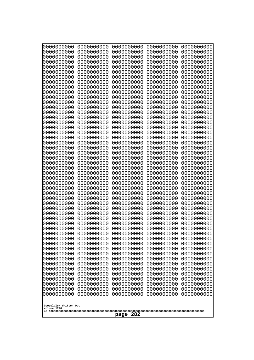| Googolplex Written Out<br>volume 1720 | 0000000000<br>0000000000<br>0000000000<br>0000000000<br>0000000000<br>0000000000<br>0000000000<br>0000000000<br>0000000000<br>0000000000<br>0000000000<br>0000000000<br>0000000000<br>0000000000<br>0000000000<br>0000000000<br>0000000000<br>0000000000<br>0000000000<br>0000000000<br>0000000000<br>0000000000<br>0000000000<br>0000000000<br>0000000000<br>0000000000<br>0000000000<br>0000000000<br>0000000000<br>0000000000<br>0000000000<br>0000000000<br>0000000000<br>0000000000<br>0000000000<br>0000000000<br>0000000000<br>10000000000<br>0000000000<br>0000000000<br>0000000000<br>0000000000<br>0000000000<br>0000000000<br>0000000000<br>0000000000<br>0000000000<br>0000000000<br>0000000000<br>0000000000 | 0000000000<br>0000000000<br>0000000000<br>0000000000<br>0000000000<br>0000000000<br>0000000000<br>0000000000<br>0000000000<br>0000000000<br>0000000000<br>0000000000<br>0000000000<br>0000000000<br>0000000000<br>0000000000<br>0000000000<br>0000000000<br>0000000000<br>0000000000<br>0000000000<br>0000000000<br>0000000000<br>0000000000<br>0000000000<br>0000000000<br>0000000000<br>0000000000<br>0000000000<br>0000000000<br>0000000000<br>0000000000<br>0000000000<br>0000000000<br>0000000000<br>0000000000<br>0000000000<br>0000000000<br>0000000000<br>0000000000<br>0000000000<br>0000000000<br>0000000000<br>0000000000<br>0000000000<br>0000000000<br>0000000000<br>0000000000<br>0000000000<br>0000000000 | 0000000000<br>0000000000<br>0000000000<br>0000000000<br>0000000000<br>0000000000<br>0000000000<br>0000000000<br>0000000000<br>0000000000<br>0000000000<br>0000000000<br>0000000000<br>0000000000<br>0000000000<br>0000000000<br>0000000000<br>0000000000<br>0000000000<br>0000000000<br>0000000000<br>0000000000<br>0000000000<br>0000000000<br>0000000000<br>0000000000<br>0000000000<br>0000000000<br>0000000000<br>0000000000<br>0000000000<br>0000000000<br>0000000000<br>0000000000<br>0000000000<br>0000000000<br>0000000000<br>0000000000<br>0000000000<br>0000000000<br>0000000000<br>0000000000<br>0000000000<br>0000000000<br>0000000000<br>0000000000<br>0000000000<br>0000000000<br>0000000000<br>0000000000 | 0000000000<br>0000000000<br>0000000000<br>0000000000<br>0000000000<br>0000000000<br>0000000000<br>0000000000<br>0000000000<br>0000000000<br>0000000000<br>0000000000<br>0000000000<br>0000000000<br>0000000000<br>0000000000<br>0000000000<br>0000000000<br>0000000000<br>0000000000<br>0000000000<br>0000000000<br>0000000000<br>0000000000<br>0000000000<br>0000000000<br>0000000000<br>0000000000<br>0000000000<br>0000000000<br>0000000000<br>0000000000<br>0000000000<br>0000000000<br>0000000000<br>0000000000<br>0000000000<br>0000000000<br>0000000000<br>0000000000<br>0000000000<br>0000000000<br>0000000000<br>0000000000<br>0000000000<br>0000000000<br>0000000000<br>0000000000<br>0000000000<br>0000000000 | 0000000000<br>0000000000<br>0000000000<br>0000000000<br>0000000000<br>0000000000<br>0000000000<br>0000000000<br>0000000000<br>0000000000<br>0000000000<br>0000000000<br>0000000000<br>0000000000<br>0000000000<br>0000000000<br>0000000000<br>0000000000<br>0000000000<br>0000000000<br>0000000000<br>0000000000<br>0000000000<br>0000000000<br>0000000000<br>0000000000<br>0000000000<br>0000000000<br>0000000000<br>0000000000<br>0000000000<br>0000000000<br>0000000000<br>0000000000<br>0000000000<br>0000000000<br>0000000000<br>0000000000<br>0000000000<br>0000000000<br>0000000000<br>0000000000<br>0000000000<br>0000000000<br>0000000000<br>0000000000<br>0000000000<br>0000000000<br>0000000000<br>0000000000 |
|---------------------------------------|---------------------------------------------------------------------------------------------------------------------------------------------------------------------------------------------------------------------------------------------------------------------------------------------------------------------------------------------------------------------------------------------------------------------------------------------------------------------------------------------------------------------------------------------------------------------------------------------------------------------------------------------------------------------------------------------------------------------------|--------------------------------------------------------------------------------------------------------------------------------------------------------------------------------------------------------------------------------------------------------------------------------------------------------------------------------------------------------------------------------------------------------------------------------------------------------------------------------------------------------------------------------------------------------------------------------------------------------------------------------------------------------------------------------------------------------------------------|--------------------------------------------------------------------------------------------------------------------------------------------------------------------------------------------------------------------------------------------------------------------------------------------------------------------------------------------------------------------------------------------------------------------------------------------------------------------------------------------------------------------------------------------------------------------------------------------------------------------------------------------------------------------------------------------------------------------------|--------------------------------------------------------------------------------------------------------------------------------------------------------------------------------------------------------------------------------------------------------------------------------------------------------------------------------------------------------------------------------------------------------------------------------------------------------------------------------------------------------------------------------------------------------------------------------------------------------------------------------------------------------------------------------------------------------------------------|--------------------------------------------------------------------------------------------------------------------------------------------------------------------------------------------------------------------------------------------------------------------------------------------------------------------------------------------------------------------------------------------------------------------------------------------------------------------------------------------------------------------------------------------------------------------------------------------------------------------------------------------------------------------------------------------------------------------------|
|                                       |                                                                                                                                                                                                                                                                                                                                                                                                                                                                                                                                                                                                                                                                                                                           |                                                                                                                                                                                                                                                                                                                                                                                                                                                                                                                                                                                                                                                                                                                          | 282<br>page                                                                                                                                                                                                                                                                                                                                                                                                                                                                                                                                                                                                                                                                                                              |                                                                                                                                                                                                                                                                                                                                                                                                                                                                                                                                                                                                                                                                                                                          |                                                                                                                                                                                                                                                                                                                                                                                                                                                                                                                                                                                                                                                                                                                          |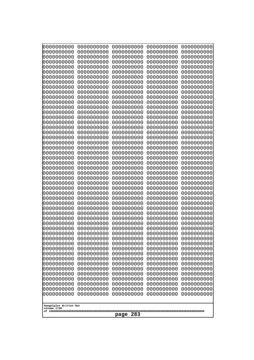| 0000000000<br>0000000000<br>0000000000<br>0000000000<br>0000000000<br>0000000000<br>0000000000<br>0000000000<br>0000000000<br>0000000000<br>0000000000<br>0000000000<br>0000000000<br>0000000000<br>0000000000<br>0000000000<br>0000000000<br>0000000000<br>0000000000<br>0000000000<br>0000000000<br>0000000000<br>0000000000<br>0000000000<br>0000000000 |
|------------------------------------------------------------------------------------------------------------------------------------------------------------------------------------------------------------------------------------------------------------------------------------------------------------------------------------------------------------|
| Googolplex Written Out<br>volume 1720<br>283<br>page                                                                                                                                                                                                                                                                                                       |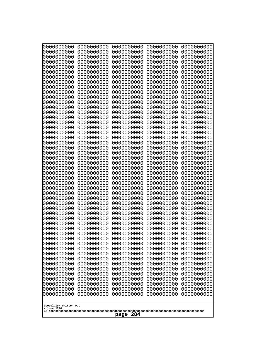| 0000000000<br>0000000000<br>0000000000<br>0000000000<br>0000000000<br>0000000000<br>0000000000<br>0000000000<br>0000000000<br>0000000000<br>0000000000<br>0000000000<br>0000000000<br>0000000000<br>0000000000<br>0000000000<br>0000000000<br>0000000000<br>0000000000<br>0000000000<br>0000000000<br>0000000000<br>0000000000<br>0000000000 | 0000000000<br>0000000000<br>0000000000<br>0000000000<br>0000000000<br>0000000000<br>0000000000<br>0000000000<br>0000000000<br>0000000000<br>0000000000<br>0000000000<br>0000000000<br>0000000000<br>0000000000<br>0000000000<br>0000000000<br>0000000000<br>0000000000<br>0000000000<br>0000000000<br>0000000000<br>0000000000<br>0000000000 | 0000000000<br>0000000000<br>0000000000<br>0000000000<br>0000000000<br>0000000000<br>0000000000<br>0000000000<br>0000000000<br>0000000000<br>0000000000<br>0000000000<br>0000000000<br>0000000000<br>0000000000<br>0000000000<br>0000000000<br>0000000000<br>0000000000<br>0000000000<br>0000000000<br>0000000000<br>0000000000<br>0000000000 | 0000000000<br>0000000000<br>0000000000<br>0000000000<br>0000000000<br>0000000000<br>0000000000<br>0000000000<br>0000000000<br>0000000000<br>0000000000<br>0000000000<br>0000000000<br>0000000000<br>0000000000<br>0000000000<br>0000000000<br>0000000000<br>0000000000<br>0000000000<br>0000000000<br>0000000000<br>0000000000<br>0000000000 | 0000000000<br>0000000000<br>0000000000<br>0000000000<br>0000000000<br>0000000000<br>0000000000<br>0000000000<br>0000000000<br>0000000000<br>0000000000<br>0000000000<br>0000000000<br>0000000000<br>0000000000<br>0000000000<br>0000000000<br>0000000000<br>0000000000<br>0000000000<br>0000000000<br>0000000000<br>0000000000<br>0000000000 |
|----------------------------------------------------------------------------------------------------------------------------------------------------------------------------------------------------------------------------------------------------------------------------------------------------------------------------------------------|----------------------------------------------------------------------------------------------------------------------------------------------------------------------------------------------------------------------------------------------------------------------------------------------------------------------------------------------|----------------------------------------------------------------------------------------------------------------------------------------------------------------------------------------------------------------------------------------------------------------------------------------------------------------------------------------------|----------------------------------------------------------------------------------------------------------------------------------------------------------------------------------------------------------------------------------------------------------------------------------------------------------------------------------------------|----------------------------------------------------------------------------------------------------------------------------------------------------------------------------------------------------------------------------------------------------------------------------------------------------------------------------------------------|
|                                                                                                                                                                                                                                                                                                                                              |                                                                                                                                                                                                                                                                                                                                              |                                                                                                                                                                                                                                                                                                                                              |                                                                                                                                                                                                                                                                                                                                              |                                                                                                                                                                                                                                                                                                                                              |
|                                                                                                                                                                                                                                                                                                                                              |                                                                                                                                                                                                                                                                                                                                              |                                                                                                                                                                                                                                                                                                                                              |                                                                                                                                                                                                                                                                                                                                              |                                                                                                                                                                                                                                                                                                                                              |
|                                                                                                                                                                                                                                                                                                                                              |                                                                                                                                                                                                                                                                                                                                              |                                                                                                                                                                                                                                                                                                                                              |                                                                                                                                                                                                                                                                                                                                              |                                                                                                                                                                                                                                                                                                                                              |
|                                                                                                                                                                                                                                                                                                                                              |                                                                                                                                                                                                                                                                                                                                              |                                                                                                                                                                                                                                                                                                                                              |                                                                                                                                                                                                                                                                                                                                              |                                                                                                                                                                                                                                                                                                                                              |
|                                                                                                                                                                                                                                                                                                                                              |                                                                                                                                                                                                                                                                                                                                              |                                                                                                                                                                                                                                                                                                                                              |                                                                                                                                                                                                                                                                                                                                              |                                                                                                                                                                                                                                                                                                                                              |
|                                                                                                                                                                                                                                                                                                                                              |                                                                                                                                                                                                                                                                                                                                              |                                                                                                                                                                                                                                                                                                                                              |                                                                                                                                                                                                                                                                                                                                              |                                                                                                                                                                                                                                                                                                                                              |
|                                                                                                                                                                                                                                                                                                                                              |                                                                                                                                                                                                                                                                                                                                              |                                                                                                                                                                                                                                                                                                                                              |                                                                                                                                                                                                                                                                                                                                              |                                                                                                                                                                                                                                                                                                                                              |
|                                                                                                                                                                                                                                                                                                                                              |                                                                                                                                                                                                                                                                                                                                              |                                                                                                                                                                                                                                                                                                                                              |                                                                                                                                                                                                                                                                                                                                              |                                                                                                                                                                                                                                                                                                                                              |
|                                                                                                                                                                                                                                                                                                                                              |                                                                                                                                                                                                                                                                                                                                              |                                                                                                                                                                                                                                                                                                                                              |                                                                                                                                                                                                                                                                                                                                              |                                                                                                                                                                                                                                                                                                                                              |
|                                                                                                                                                                                                                                                                                                                                              |                                                                                                                                                                                                                                                                                                                                              |                                                                                                                                                                                                                                                                                                                                              |                                                                                                                                                                                                                                                                                                                                              |                                                                                                                                                                                                                                                                                                                                              |
|                                                                                                                                                                                                                                                                                                                                              |                                                                                                                                                                                                                                                                                                                                              |                                                                                                                                                                                                                                                                                                                                              |                                                                                                                                                                                                                                                                                                                                              |                                                                                                                                                                                                                                                                                                                                              |
|                                                                                                                                                                                                                                                                                                                                              |                                                                                                                                                                                                                                                                                                                                              |                                                                                                                                                                                                                                                                                                                                              |                                                                                                                                                                                                                                                                                                                                              |                                                                                                                                                                                                                                                                                                                                              |
|                                                                                                                                                                                                                                                                                                                                              |                                                                                                                                                                                                                                                                                                                                              |                                                                                                                                                                                                                                                                                                                                              |                                                                                                                                                                                                                                                                                                                                              |                                                                                                                                                                                                                                                                                                                                              |
| 0000000000                                                                                                                                                                                                                                                                                                                                   | 0000000000                                                                                                                                                                                                                                                                                                                                   | 0000000000                                                                                                                                                                                                                                                                                                                                   | 0000000000                                                                                                                                                                                                                                                                                                                                   | 0000000000                                                                                                                                                                                                                                                                                                                                   |
| 0000000000                                                                                                                                                                                                                                                                                                                                   | 0000000000                                                                                                                                                                                                                                                                                                                                   | 0000000000                                                                                                                                                                                                                                                                                                                                   | 0000000000                                                                                                                                                                                                                                                                                                                                   | 0000000000                                                                                                                                                                                                                                                                                                                                   |
| 0000000000<br>0000000000                                                                                                                                                                                                                                                                                                                     | 0000000000<br>0000000000                                                                                                                                                                                                                                                                                                                     | 0000000000<br>0000000000                                                                                                                                                                                                                                                                                                                     | 0000000000<br>0000000000                                                                                                                                                                                                                                                                                                                     | 0000000000<br>0000000000                                                                                                                                                                                                                                                                                                                     |
| 0000000000                                                                                                                                                                                                                                                                                                                                   | 0000000000                                                                                                                                                                                                                                                                                                                                   | 0000000000                                                                                                                                                                                                                                                                                                                                   | 0000000000                                                                                                                                                                                                                                                                                                                                   | 0000000000                                                                                                                                                                                                                                                                                                                                   |
| 0000000000<br>0000000000                                                                                                                                                                                                                                                                                                                     | 0000000000<br>0000000000                                                                                                                                                                                                                                                                                                                     | 0000000000<br>0000000000                                                                                                                                                                                                                                                                                                                     | 0000000000<br>0000000000                                                                                                                                                                                                                                                                                                                     | 0000000000<br>0000000000                                                                                                                                                                                                                                                                                                                     |
| 0000000000                                                                                                                                                                                                                                                                                                                                   | 0000000000                                                                                                                                                                                                                                                                                                                                   | 0000000000                                                                                                                                                                                                                                                                                                                                   | 0000000000                                                                                                                                                                                                                                                                                                                                   | 0000000000                                                                                                                                                                                                                                                                                                                                   |
| 0000000000                                                                                                                                                                                                                                                                                                                                   | 0000000000                                                                                                                                                                                                                                                                                                                                   | 0000000000                                                                                                                                                                                                                                                                                                                                   | 0000000000                                                                                                                                                                                                                                                                                                                                   | 0000000000                                                                                                                                                                                                                                                                                                                                   |
| 0000000000<br>0000000000                                                                                                                                                                                                                                                                                                                     | 0000000000<br>0000000000                                                                                                                                                                                                                                                                                                                     | 0000000000<br>0000000000                                                                                                                                                                                                                                                                                                                     | 0000000000<br>0000000000                                                                                                                                                                                                                                                                                                                     | 0000000000<br>0000000000                                                                                                                                                                                                                                                                                                                     |
| 0000000000                                                                                                                                                                                                                                                                                                                                   | 0000000000                                                                                                                                                                                                                                                                                                                                   | 0000000000                                                                                                                                                                                                                                                                                                                                   | 0000000000                                                                                                                                                                                                                                                                                                                                   | 0000000000                                                                                                                                                                                                                                                                                                                                   |
| 0000000000<br>0000000000                                                                                                                                                                                                                                                                                                                     | 0000000000<br>0000000000                                                                                                                                                                                                                                                                                                                     | 0000000000<br>0000000000                                                                                                                                                                                                                                                                                                                     | 0000000000<br>0000000000                                                                                                                                                                                                                                                                                                                     | 0000000000<br>0000000000                                                                                                                                                                                                                                                                                                                     |
| 0000000000                                                                                                                                                                                                                                                                                                                                   | 0000000000                                                                                                                                                                                                                                                                                                                                   | 0000000000                                                                                                                                                                                                                                                                                                                                   | 0000000000                                                                                                                                                                                                                                                                                                                                   | 0000000000                                                                                                                                                                                                                                                                                                                                   |
| 0000000000<br>0000000000                                                                                                                                                                                                                                                                                                                     | 0000000000<br>0000000000                                                                                                                                                                                                                                                                                                                     | 0000000000<br>0000000000                                                                                                                                                                                                                                                                                                                     | 0000000000<br>0000000000                                                                                                                                                                                                                                                                                                                     | 0000000000<br>0000000000                                                                                                                                                                                                                                                                                                                     |
| 0000000000                                                                                                                                                                                                                                                                                                                                   | 0000000000                                                                                                                                                                                                                                                                                                                                   | 0000000000                                                                                                                                                                                                                                                                                                                                   | 0000000000                                                                                                                                                                                                                                                                                                                                   | 0000000000                                                                                                                                                                                                                                                                                                                                   |
| 0000000000<br>0000000000                                                                                                                                                                                                                                                                                                                     | 0000000000<br>0000000000                                                                                                                                                                                                                                                                                                                     | 0000000000<br>0000000000                                                                                                                                                                                                                                                                                                                     | 0000000000<br>0000000000                                                                                                                                                                                                                                                                                                                     | 0000000000<br>0000000000                                                                                                                                                                                                                                                                                                                     |
| 0000000000                                                                                                                                                                                                                                                                                                                                   | 0000000000                                                                                                                                                                                                                                                                                                                                   | 0000000000                                                                                                                                                                                                                                                                                                                                   | 0000000000                                                                                                                                                                                                                                                                                                                                   | 0000000000                                                                                                                                                                                                                                                                                                                                   |
| 0000000000                                                                                                                                                                                                                                                                                                                                   | 0000000000                                                                                                                                                                                                                                                                                                                                   | 0000000000                                                                                                                                                                                                                                                                                                                                   | 0000000000                                                                                                                                                                                                                                                                                                                                   | 0000000000                                                                                                                                                                                                                                                                                                                                   |
| 0000000000<br>0000000000                                                                                                                                                                                                                                                                                                                     | 0000000000<br>0000000000                                                                                                                                                                                                                                                                                                                     | 0000000000<br>0000000000                                                                                                                                                                                                                                                                                                                     | 0000000000<br>0000000000                                                                                                                                                                                                                                                                                                                     | 0000000000<br>0000000000                                                                                                                                                                                                                                                                                                                     |
| 0000000000                                                                                                                                                                                                                                                                                                                                   | 0000000000                                                                                                                                                                                                                                                                                                                                   | 0000000000                                                                                                                                                                                                                                                                                                                                   | 0000000000                                                                                                                                                                                                                                                                                                                                   | 0000000000                                                                                                                                                                                                                                                                                                                                   |
| 0000000000                                                                                                                                                                                                                                                                                                                                   | 0000000000                                                                                                                                                                                                                                                                                                                                   | 0000000000                                                                                                                                                                                                                                                                                                                                   | 0000000000                                                                                                                                                                                                                                                                                                                                   | 0000000000                                                                                                                                                                                                                                                                                                                                   |
| Googolplex Written Out<br>volume 1720                                                                                                                                                                                                                                                                                                        |                                                                                                                                                                                                                                                                                                                                              |                                                                                                                                                                                                                                                                                                                                              |                                                                                                                                                                                                                                                                                                                                              |                                                                                                                                                                                                                                                                                                                                              |
|                                                                                                                                                                                                                                                                                                                                              |                                                                                                                                                                                                                                                                                                                                              | 284<br>page                                                                                                                                                                                                                                                                                                                                  |                                                                                                                                                                                                                                                                                                                                              |                                                                                                                                                                                                                                                                                                                                              |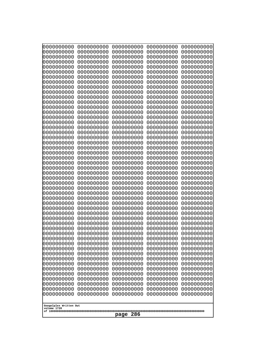| 10000000000<br>0000000000 | 0000000000<br>0000000000 | 0000000000<br>0000000000 | 0000000000<br>0000000000 | 0000000000<br>0000000000 |
|---------------------------|--------------------------|--------------------------|--------------------------|--------------------------|
| 0000000000                | 0000000000               | 0000000000               | 0000000000               | 0000000000               |
| 0000000000                | 0000000000               | 0000000000               | 0000000000               | 0000000000               |
| 0000000000<br>0000000000  | 0000000000<br>0000000000 | 0000000000<br>0000000000 | 0000000000<br>0000000000 | 0000000000<br>0000000000 |
| 0000000000                | 0000000000               | 0000000000               | 0000000000               | 0000000000               |
| 0000000000                | 0000000000               | 0000000000               | 0000000000               | 0000000000               |
| 0000000000<br>0000000000  | 0000000000<br>0000000000 | 0000000000<br>0000000000 | 0000000000<br>0000000000 | 0000000000<br>0000000000 |
| 0000000000                | 0000000000               | 0000000000               | 0000000000               | 0000000000               |
| 0000000000                | 0000000000               | 0000000000               | 0000000000               | 0000000000               |
| 0000000000<br>0000000000  | 0000000000<br>0000000000 | 0000000000<br>0000000000 | 0000000000<br>0000000000 | 0000000000<br>0000000000 |
| 0000000000                | 0000000000               | 0000000000               | 0000000000               | 0000000000               |
| 0000000000                | 0000000000               | 0000000000               | 0000000000               | 0000000000               |
| 0000000000<br>0000000000  | 0000000000<br>0000000000 | 0000000000<br>0000000000 | 0000000000<br>0000000000 | 0000000000<br>0000000000 |
| 0000000000                | 0000000000               | 0000000000               | 0000000000               | 0000000000               |
| 0000000000                | 0000000000               | 0000000000               | 0000000000               | 0000000000               |
| 0000000000                | 0000000000               | 0000000000               | 0000000000               | 0000000000               |
| 0000000000<br>0000000000  | 0000000000<br>0000000000 | 0000000000<br>0000000000 | 0000000000<br>0000000000 | 0000000000<br>0000000000 |
| 0000000000                | 0000000000               | 0000000000               | 0000000000               | 0000000000               |
| 0000000000                | 0000000000               | 0000000000               | 0000000000               | 0000000000               |
| 0000000000<br>0000000000  | 0000000000<br>0000000000 | 0000000000<br>0000000000 | 0000000000<br>0000000000 | 0000000000<br>0000000000 |
| 0000000000                | 0000000000               | 0000000000               | 0000000000               | 0000000000               |
| 0000000000                | 0000000000               | 0000000000               | 0000000000               | 0000000000               |
| 0000000000<br>0000000000  | 0000000000<br>0000000000 | 0000000000<br>0000000000 | 0000000000<br>0000000000 | 0000000000<br>0000000000 |
| 0000000000                | 0000000000               | 0000000000               | 0000000000               | 0000000000               |
| 0000000000                | 0000000000               | 0000000000               | 0000000000               | 0000000000               |
| 0000000000<br>0000000000  | 0000000000<br>0000000000 | 0000000000<br>0000000000 | 0000000000<br>0000000000 | 0000000000<br>0000000000 |
| 0000000000                | 0000000000               | 0000000000               | 0000000000               | 0000000000               |
| 0000000000                | 0000000000               | 0000000000               | 0000000000               | 0000000000               |
| 0000000000<br>0000000000  | 0000000000<br>0000000000 | 0000000000<br>0000000000 | 0000000000<br>0000000000 | 0000000000<br>0000000000 |
| 0000000000                | 0000000000               | 0000000000               | 0000000000               | 0000000000               |
| 0000000000                | 0000000000               | 0000000000               | 0000000000               | 0000000000               |
| 0000000000<br>0000000000  | 0000000000<br>0000000000 | 0000000000<br>0000000000 | 0000000000<br>0000000000 | 0000000000<br>0000000000 |
| 0000000000                | 0000000000               | 0000000000               | 0000000000               | 0000000000               |
| 0000000000                | 0000000000               | 0000000000               | 0000000000               | 0000000000               |
| 0000000000<br>0000000000  | 0000000000<br>0000000000 | 0000000000<br>0000000000 | 0000000000<br>0000000000 | 0000000000<br>0000000000 |
| 0000000000                | 0000000000               | 0000000000               | 0000000000               | 0000000000               |
| 0000000000                | 0000000000               | 0000000000               | 0000000000               | 0000000000               |
| 0000000000                | 0000000000               | 0000000000               | 0000000000               | 0000000000               |
| Googolplex Written Out    |                          |                          |                          |                          |
| volume 1720               |                          |                          |                          |                          |
|                           |                          | 286<br>page              |                          |                          |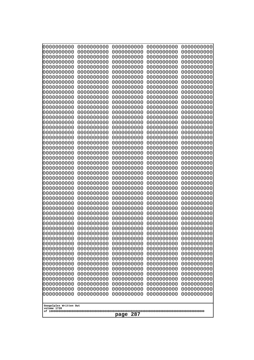| 10000000000<br>0000000000             | 0000000000<br>0000000000 | 0000000000<br>0000000000 | 0000000000<br>0000000000 | 0000000000<br>0000000000 |
|---------------------------------------|--------------------------|--------------------------|--------------------------|--------------------------|
| 0000000000                            | 0000000000               | 0000000000               | 0000000000               | 0000000000               |
| 0000000000                            | 0000000000               | 0000000000               | 0000000000               | 0000000000               |
| 0000000000                            | 0000000000               | 0000000000               | 0000000000               | 0000000000               |
| 0000000000<br>0000000000              | 0000000000<br>0000000000 | 0000000000<br>0000000000 | 0000000000<br>0000000000 | 0000000000<br>0000000000 |
| 0000000000                            | 0000000000               | 0000000000               | 0000000000               | 0000000000               |
| 0000000000                            | 0000000000               | 0000000000               | 0000000000               | 0000000000               |
| 0000000000                            | 0000000000               | 0000000000               | 0000000000               | 0000000000               |
| 0000000000<br>0000000000              | 0000000000<br>0000000000 | 0000000000<br>0000000000 | 0000000000<br>0000000000 | 0000000000<br>0000000000 |
| 0000000000                            | 0000000000               | 0000000000               | 0000000000               | 0000000000               |
| 0000000000                            | 0000000000               | 0000000000               | 0000000000               | 0000000000               |
| 0000000000<br>0000000000              | 0000000000<br>0000000000 | 0000000000<br>0000000000 | 0000000000               | 0000000000<br>0000000000 |
| 0000000000                            | 0000000000               | 0000000000               | 0000000000<br>0000000000 | 0000000000               |
| 0000000000                            | 0000000000               | 0000000000               | 0000000000               | 0000000000               |
| 0000000000                            | 0000000000               | 0000000000               | 0000000000               | 0000000000               |
| 0000000000<br>0000000000              | 0000000000<br>0000000000 | 0000000000<br>0000000000 | 0000000000<br>0000000000 | 0000000000<br>0000000000 |
| 0000000000                            | 0000000000               | 0000000000               | 0000000000               | 0000000000               |
| 0000000000                            | 0000000000               | 0000000000               | 0000000000               | 0000000000               |
| 0000000000                            | 0000000000               | 0000000000               | 0000000000               | 0000000000               |
| 0000000000<br>0000000000              | 0000000000<br>0000000000 | 0000000000<br>0000000000 | 0000000000<br>0000000000 | 0000000000<br>0000000000 |
| 0000000000                            | 0000000000               | 0000000000               | 0000000000               | 0000000000               |
| 0000000000                            | 0000000000               | 0000000000               | 0000000000               | 0000000000               |
| 0000000000<br>0000000000              | 0000000000<br>0000000000 | 0000000000<br>0000000000 | 0000000000<br>0000000000 | 0000000000<br>0000000000 |
| 0000000000                            | 0000000000               | 0000000000               | 0000000000               | 0000000000               |
| 0000000000                            | 0000000000               | 0000000000               | 0000000000               | 0000000000               |
| 0000000000                            | 0000000000               | 0000000000               | 0000000000               | 0000000000               |
| 0000000000<br>0000000000              | 0000000000<br>0000000000 | 0000000000<br>0000000000 | 0000000000<br>0000000000 | 0000000000<br>0000000000 |
| 0000000000                            | 0000000000               | 0000000000               | 0000000000               | 0000000000               |
| 0000000000                            | 0000000000               | 0000000000               | 0000000000               | 0000000000               |
| 0000000000<br>0000000000              | 0000000000<br>0000000000 | 0000000000<br>0000000000 | 0000000000<br>0000000000 | 0000000000<br>0000000000 |
| 0000000000                            | 0000000000               | 0000000000               | 0000000000               | 0000000000               |
| 0000000000                            | 0000000000               | 0000000000               | 0000000000               | 0000000000               |
| 0000000000                            | 0000000000               | 0000000000               | 0000000000               | 0000000000               |
| 0000000000<br>0000000000              | 0000000000<br>0000000000 | 0000000000<br>0000000000 | 0000000000<br>0000000000 | 0000000000<br>0000000000 |
| 0000000000                            | 0000000000               | 0000000000               | 0000000000               | 0000000000               |
| 0000000000                            | 0000000000               | 0000000000               | 0000000000               | 0000000000               |
| 0000000000<br>0000000000              | 0000000000<br>0000000000 | 0000000000<br>0000000000 | 0000000000<br>0000000000 | 0000000000<br>0000000000 |
| 0000000000                            | 0000000000               | 0000000000               | 0000000000               | 0000000000               |
| 0000000000                            | 0000000000               | 0000000000               | 0000000000               | 0000000000               |
|                                       |                          |                          |                          |                          |
| Googolplex Written Out<br>volume 1720 |                          |                          |                          |                          |
|                                       |                          | 287<br>page              |                          |                          |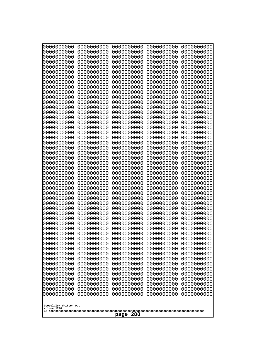| 0000000000<br>0000000000<br>0000000000<br>0000000000<br>0000000000<br>0000000000<br>0000000000<br>0000000000<br>0000000000<br>0000000000<br>0000000000<br>0000000000<br>0000000000<br>0000000000<br>0000000000<br>0000000000<br>0000000000<br>0000000000<br>0000000000<br>0000000000<br>0000000000<br>0000000000<br>0000000000<br>0000000000<br>0000000000<br>0000000000<br>0000000000<br>0000000000<br>0000000000<br>0000000000<br>0000000000<br>0000000000<br>0000000000<br>0000000000<br>0000000000<br>0000000000<br>0000000000<br>0000000000<br>0000000000<br>0000000000<br>0000000000<br>0000000000<br>0000000000<br>0000000000<br>0000000000<br>0000000000<br>0000000000<br>0000000000<br>0000000000<br>0000000000<br>0000000000<br>0000000000<br>0000000000<br>0000000000<br>0000000000<br>0000000000<br>0000000000<br>0000000000<br>0000000000<br>0000000000<br>0000000000<br>0000000000<br>0000000000<br>0000000000<br>0000000000<br>0000000000<br>0000000000<br>0000000000<br>0000000000<br>0000000000<br>0000000000<br>0000000000<br>0000000000<br>0000000000<br>0000000000<br>0000000000<br>0000000000<br>0000000000<br>0000000000<br>0000000000<br>0000000000<br>0000000000<br>0000000000<br>0000000000<br>0000000000<br>0000000000<br>0000000000<br>0000000000<br>0000000000<br>0000000000<br>0000000000<br>0000000000<br>0000000000<br>0000000000<br>0000000000<br>0000000000<br>0000000000<br>0000000000<br>0000000000<br>0000000000<br>0000000000<br>0000000000<br>0000000000<br>0000000000<br>0000000000<br>0000000000<br>0000000000<br>0000000000<br>0000000000<br>0000000000<br>0000000000<br>0000000000<br>0000000000<br>0000000000<br>0000000000<br>0000000000<br>0000000000<br>0000000000<br>0000000000<br>0000000000<br>0000000000<br>0000000000<br>0000000000<br>0000000000<br>0000000000<br>0000000000<br>0000000000<br>0000000000<br>0000000000<br>0000000000<br>0000000000<br>0000000000<br>0000000000<br>0000000000<br>0000000000<br>0000000000<br>0000000000<br>0000000000<br>0000000000<br>0000000000<br>0000000000<br>0000000000<br>0000000000<br>0000000000<br>0000000000<br>0000000000<br>0000000000<br>0000000000<br>0000000000<br>0000000000<br>0000000000<br>0000000000<br>0000000000<br>0000000000<br>0000000000<br>0000000000<br>0000000000<br>0000000000<br>0000000000<br>0000000000<br>0000000000<br>0000000000<br>0000000000<br>0000000000<br>0000000000<br>0000000000<br>0000000000<br>0000000000<br>0000000000<br>0000000000<br>0000000000<br>0000000000<br>0000000000<br>0000000000<br>0000000000 |  |
|------------------------------------------------------------------------------------------------------------------------------------------------------------------------------------------------------------------------------------------------------------------------------------------------------------------------------------------------------------------------------------------------------------------------------------------------------------------------------------------------------------------------------------------------------------------------------------------------------------------------------------------------------------------------------------------------------------------------------------------------------------------------------------------------------------------------------------------------------------------------------------------------------------------------------------------------------------------------------------------------------------------------------------------------------------------------------------------------------------------------------------------------------------------------------------------------------------------------------------------------------------------------------------------------------------------------------------------------------------------------------------------------------------------------------------------------------------------------------------------------------------------------------------------------------------------------------------------------------------------------------------------------------------------------------------------------------------------------------------------------------------------------------------------------------------------------------------------------------------------------------------------------------------------------------------------------------------------------------------------------------------------------------------------------------------------------------------------------------------------------------------------------------------------------------------------------------------------------------------------------------------------------------------------------------------------------------------------------------------------------------------------------------------------------------------------------------------------------------------------------------------------------------------------------|--|
|                                                                                                                                                                                                                                                                                                                                                                                                                                                                                                                                                                                                                                                                                                                                                                                                                                                                                                                                                                                                                                                                                                                                                                                                                                                                                                                                                                                                                                                                                                                                                                                                                                                                                                                                                                                                                                                                                                                                                                                                                                                                                                                                                                                                                                                                                                                                                                                                                                                                                                                                                |  |
|                                                                                                                                                                                                                                                                                                                                                                                                                                                                                                                                                                                                                                                                                                                                                                                                                                                                                                                                                                                                                                                                                                                                                                                                                                                                                                                                                                                                                                                                                                                                                                                                                                                                                                                                                                                                                                                                                                                                                                                                                                                                                                                                                                                                                                                                                                                                                                                                                                                                                                                                                |  |
|                                                                                                                                                                                                                                                                                                                                                                                                                                                                                                                                                                                                                                                                                                                                                                                                                                                                                                                                                                                                                                                                                                                                                                                                                                                                                                                                                                                                                                                                                                                                                                                                                                                                                                                                                                                                                                                                                                                                                                                                                                                                                                                                                                                                                                                                                                                                                                                                                                                                                                                                                |  |
|                                                                                                                                                                                                                                                                                                                                                                                                                                                                                                                                                                                                                                                                                                                                                                                                                                                                                                                                                                                                                                                                                                                                                                                                                                                                                                                                                                                                                                                                                                                                                                                                                                                                                                                                                                                                                                                                                                                                                                                                                                                                                                                                                                                                                                                                                                                                                                                                                                                                                                                                                |  |
|                                                                                                                                                                                                                                                                                                                                                                                                                                                                                                                                                                                                                                                                                                                                                                                                                                                                                                                                                                                                                                                                                                                                                                                                                                                                                                                                                                                                                                                                                                                                                                                                                                                                                                                                                                                                                                                                                                                                                                                                                                                                                                                                                                                                                                                                                                                                                                                                                                                                                                                                                |  |
|                                                                                                                                                                                                                                                                                                                                                                                                                                                                                                                                                                                                                                                                                                                                                                                                                                                                                                                                                                                                                                                                                                                                                                                                                                                                                                                                                                                                                                                                                                                                                                                                                                                                                                                                                                                                                                                                                                                                                                                                                                                                                                                                                                                                                                                                                                                                                                                                                                                                                                                                                |  |
|                                                                                                                                                                                                                                                                                                                                                                                                                                                                                                                                                                                                                                                                                                                                                                                                                                                                                                                                                                                                                                                                                                                                                                                                                                                                                                                                                                                                                                                                                                                                                                                                                                                                                                                                                                                                                                                                                                                                                                                                                                                                                                                                                                                                                                                                                                                                                                                                                                                                                                                                                |  |
|                                                                                                                                                                                                                                                                                                                                                                                                                                                                                                                                                                                                                                                                                                                                                                                                                                                                                                                                                                                                                                                                                                                                                                                                                                                                                                                                                                                                                                                                                                                                                                                                                                                                                                                                                                                                                                                                                                                                                                                                                                                                                                                                                                                                                                                                                                                                                                                                                                                                                                                                                |  |
|                                                                                                                                                                                                                                                                                                                                                                                                                                                                                                                                                                                                                                                                                                                                                                                                                                                                                                                                                                                                                                                                                                                                                                                                                                                                                                                                                                                                                                                                                                                                                                                                                                                                                                                                                                                                                                                                                                                                                                                                                                                                                                                                                                                                                                                                                                                                                                                                                                                                                                                                                |  |
|                                                                                                                                                                                                                                                                                                                                                                                                                                                                                                                                                                                                                                                                                                                                                                                                                                                                                                                                                                                                                                                                                                                                                                                                                                                                                                                                                                                                                                                                                                                                                                                                                                                                                                                                                                                                                                                                                                                                                                                                                                                                                                                                                                                                                                                                                                                                                                                                                                                                                                                                                |  |
|                                                                                                                                                                                                                                                                                                                                                                                                                                                                                                                                                                                                                                                                                                                                                                                                                                                                                                                                                                                                                                                                                                                                                                                                                                                                                                                                                                                                                                                                                                                                                                                                                                                                                                                                                                                                                                                                                                                                                                                                                                                                                                                                                                                                                                                                                                                                                                                                                                                                                                                                                |  |
|                                                                                                                                                                                                                                                                                                                                                                                                                                                                                                                                                                                                                                                                                                                                                                                                                                                                                                                                                                                                                                                                                                                                                                                                                                                                                                                                                                                                                                                                                                                                                                                                                                                                                                                                                                                                                                                                                                                                                                                                                                                                                                                                                                                                                                                                                                                                                                                                                                                                                                                                                |  |
|                                                                                                                                                                                                                                                                                                                                                                                                                                                                                                                                                                                                                                                                                                                                                                                                                                                                                                                                                                                                                                                                                                                                                                                                                                                                                                                                                                                                                                                                                                                                                                                                                                                                                                                                                                                                                                                                                                                                                                                                                                                                                                                                                                                                                                                                                                                                                                                                                                                                                                                                                |  |
|                                                                                                                                                                                                                                                                                                                                                                                                                                                                                                                                                                                                                                                                                                                                                                                                                                                                                                                                                                                                                                                                                                                                                                                                                                                                                                                                                                                                                                                                                                                                                                                                                                                                                                                                                                                                                                                                                                                                                                                                                                                                                                                                                                                                                                                                                                                                                                                                                                                                                                                                                |  |
|                                                                                                                                                                                                                                                                                                                                                                                                                                                                                                                                                                                                                                                                                                                                                                                                                                                                                                                                                                                                                                                                                                                                                                                                                                                                                                                                                                                                                                                                                                                                                                                                                                                                                                                                                                                                                                                                                                                                                                                                                                                                                                                                                                                                                                                                                                                                                                                                                                                                                                                                                |  |
|                                                                                                                                                                                                                                                                                                                                                                                                                                                                                                                                                                                                                                                                                                                                                                                                                                                                                                                                                                                                                                                                                                                                                                                                                                                                                                                                                                                                                                                                                                                                                                                                                                                                                                                                                                                                                                                                                                                                                                                                                                                                                                                                                                                                                                                                                                                                                                                                                                                                                                                                                |  |
|                                                                                                                                                                                                                                                                                                                                                                                                                                                                                                                                                                                                                                                                                                                                                                                                                                                                                                                                                                                                                                                                                                                                                                                                                                                                                                                                                                                                                                                                                                                                                                                                                                                                                                                                                                                                                                                                                                                                                                                                                                                                                                                                                                                                                                                                                                                                                                                                                                                                                                                                                |  |
|                                                                                                                                                                                                                                                                                                                                                                                                                                                                                                                                                                                                                                                                                                                                                                                                                                                                                                                                                                                                                                                                                                                                                                                                                                                                                                                                                                                                                                                                                                                                                                                                                                                                                                                                                                                                                                                                                                                                                                                                                                                                                                                                                                                                                                                                                                                                                                                                                                                                                                                                                |  |
|                                                                                                                                                                                                                                                                                                                                                                                                                                                                                                                                                                                                                                                                                                                                                                                                                                                                                                                                                                                                                                                                                                                                                                                                                                                                                                                                                                                                                                                                                                                                                                                                                                                                                                                                                                                                                                                                                                                                                                                                                                                                                                                                                                                                                                                                                                                                                                                                                                                                                                                                                |  |
|                                                                                                                                                                                                                                                                                                                                                                                                                                                                                                                                                                                                                                                                                                                                                                                                                                                                                                                                                                                                                                                                                                                                                                                                                                                                                                                                                                                                                                                                                                                                                                                                                                                                                                                                                                                                                                                                                                                                                                                                                                                                                                                                                                                                                                                                                                                                                                                                                                                                                                                                                |  |
|                                                                                                                                                                                                                                                                                                                                                                                                                                                                                                                                                                                                                                                                                                                                                                                                                                                                                                                                                                                                                                                                                                                                                                                                                                                                                                                                                                                                                                                                                                                                                                                                                                                                                                                                                                                                                                                                                                                                                                                                                                                                                                                                                                                                                                                                                                                                                                                                                                                                                                                                                |  |
|                                                                                                                                                                                                                                                                                                                                                                                                                                                                                                                                                                                                                                                                                                                                                                                                                                                                                                                                                                                                                                                                                                                                                                                                                                                                                                                                                                                                                                                                                                                                                                                                                                                                                                                                                                                                                                                                                                                                                                                                                                                                                                                                                                                                                                                                                                                                                                                                                                                                                                                                                |  |
|                                                                                                                                                                                                                                                                                                                                                                                                                                                                                                                                                                                                                                                                                                                                                                                                                                                                                                                                                                                                                                                                                                                                                                                                                                                                                                                                                                                                                                                                                                                                                                                                                                                                                                                                                                                                                                                                                                                                                                                                                                                                                                                                                                                                                                                                                                                                                                                                                                                                                                                                                |  |
|                                                                                                                                                                                                                                                                                                                                                                                                                                                                                                                                                                                                                                                                                                                                                                                                                                                                                                                                                                                                                                                                                                                                                                                                                                                                                                                                                                                                                                                                                                                                                                                                                                                                                                                                                                                                                                                                                                                                                                                                                                                                                                                                                                                                                                                                                                                                                                                                                                                                                                                                                |  |
|                                                                                                                                                                                                                                                                                                                                                                                                                                                                                                                                                                                                                                                                                                                                                                                                                                                                                                                                                                                                                                                                                                                                                                                                                                                                                                                                                                                                                                                                                                                                                                                                                                                                                                                                                                                                                                                                                                                                                                                                                                                                                                                                                                                                                                                                                                                                                                                                                                                                                                                                                |  |
|                                                                                                                                                                                                                                                                                                                                                                                                                                                                                                                                                                                                                                                                                                                                                                                                                                                                                                                                                                                                                                                                                                                                                                                                                                                                                                                                                                                                                                                                                                                                                                                                                                                                                                                                                                                                                                                                                                                                                                                                                                                                                                                                                                                                                                                                                                                                                                                                                                                                                                                                                |  |
| 0000000000<br>0000000000<br>0000000000<br>0000000000<br>0000000000                                                                                                                                                                                                                                                                                                                                                                                                                                                                                                                                                                                                                                                                                                                                                                                                                                                                                                                                                                                                                                                                                                                                                                                                                                                                                                                                                                                                                                                                                                                                                                                                                                                                                                                                                                                                                                                                                                                                                                                                                                                                                                                                                                                                                                                                                                                                                                                                                                                                             |  |
| 0000000000<br>0000000000<br>0000000000<br>0000000000<br>0000000000                                                                                                                                                                                                                                                                                                                                                                                                                                                                                                                                                                                                                                                                                                                                                                                                                                                                                                                                                                                                                                                                                                                                                                                                                                                                                                                                                                                                                                                                                                                                                                                                                                                                                                                                                                                                                                                                                                                                                                                                                                                                                                                                                                                                                                                                                                                                                                                                                                                                             |  |
| 0000000000<br>0000000000<br>0000000000<br>0000000000<br>0000000000                                                                                                                                                                                                                                                                                                                                                                                                                                                                                                                                                                                                                                                                                                                                                                                                                                                                                                                                                                                                                                                                                                                                                                                                                                                                                                                                                                                                                                                                                                                                                                                                                                                                                                                                                                                                                                                                                                                                                                                                                                                                                                                                                                                                                                                                                                                                                                                                                                                                             |  |
| 0000000000<br>0000000000<br>0000000000<br>0000000000<br>0000000000<br>0000000000<br>0000000000<br>0000000000<br>0000000000<br>0000000000                                                                                                                                                                                                                                                                                                                                                                                                                                                                                                                                                                                                                                                                                                                                                                                                                                                                                                                                                                                                                                                                                                                                                                                                                                                                                                                                                                                                                                                                                                                                                                                                                                                                                                                                                                                                                                                                                                                                                                                                                                                                                                                                                                                                                                                                                                                                                                                                       |  |
| 0000000000<br>0000000000<br>0000000000<br>0000000000<br>0000000000                                                                                                                                                                                                                                                                                                                                                                                                                                                                                                                                                                                                                                                                                                                                                                                                                                                                                                                                                                                                                                                                                                                                                                                                                                                                                                                                                                                                                                                                                                                                                                                                                                                                                                                                                                                                                                                                                                                                                                                                                                                                                                                                                                                                                                                                                                                                                                                                                                                                             |  |
| 0000000000<br>0000000000<br>0000000000<br>0000000000<br>0000000000                                                                                                                                                                                                                                                                                                                                                                                                                                                                                                                                                                                                                                                                                                                                                                                                                                                                                                                                                                                                                                                                                                                                                                                                                                                                                                                                                                                                                                                                                                                                                                                                                                                                                                                                                                                                                                                                                                                                                                                                                                                                                                                                                                                                                                                                                                                                                                                                                                                                             |  |
| 0000000000<br>0000000000<br>0000000000<br>0000000000<br>0000000000<br>0000000000<br>0000000000<br>0000000000<br>0000000000<br>0000000000                                                                                                                                                                                                                                                                                                                                                                                                                                                                                                                                                                                                                                                                                                                                                                                                                                                                                                                                                                                                                                                                                                                                                                                                                                                                                                                                                                                                                                                                                                                                                                                                                                                                                                                                                                                                                                                                                                                                                                                                                                                                                                                                                                                                                                                                                                                                                                                                       |  |
| 0000000000<br>0000000000<br>0000000000<br>0000000000<br>0000000000                                                                                                                                                                                                                                                                                                                                                                                                                                                                                                                                                                                                                                                                                                                                                                                                                                                                                                                                                                                                                                                                                                                                                                                                                                                                                                                                                                                                                                                                                                                                                                                                                                                                                                                                                                                                                                                                                                                                                                                                                                                                                                                                                                                                                                                                                                                                                                                                                                                                             |  |
| 0000000000<br>0000000000<br>0000000000<br>0000000000<br>0000000000                                                                                                                                                                                                                                                                                                                                                                                                                                                                                                                                                                                                                                                                                                                                                                                                                                                                                                                                                                                                                                                                                                                                                                                                                                                                                                                                                                                                                                                                                                                                                                                                                                                                                                                                                                                                                                                                                                                                                                                                                                                                                                                                                                                                                                                                                                                                                                                                                                                                             |  |
| 0000000000<br>0000000000<br>0000000000<br>0000000000<br>0000000000                                                                                                                                                                                                                                                                                                                                                                                                                                                                                                                                                                                                                                                                                                                                                                                                                                                                                                                                                                                                                                                                                                                                                                                                                                                                                                                                                                                                                                                                                                                                                                                                                                                                                                                                                                                                                                                                                                                                                                                                                                                                                                                                                                                                                                                                                                                                                                                                                                                                             |  |
| 0000000000<br>0000000000<br>0000000000<br>0000000000<br>0000000000<br>0000000000<br>0000000000<br>0000000000<br>0000000000<br>0000000000                                                                                                                                                                                                                                                                                                                                                                                                                                                                                                                                                                                                                                                                                                                                                                                                                                                                                                                                                                                                                                                                                                                                                                                                                                                                                                                                                                                                                                                                                                                                                                                                                                                                                                                                                                                                                                                                                                                                                                                                                                                                                                                                                                                                                                                                                                                                                                                                       |  |
|                                                                                                                                                                                                                                                                                                                                                                                                                                                                                                                                                                                                                                                                                                                                                                                                                                                                                                                                                                                                                                                                                                                                                                                                                                                                                                                                                                                                                                                                                                                                                                                                                                                                                                                                                                                                                                                                                                                                                                                                                                                                                                                                                                                                                                                                                                                                                                                                                                                                                                                                                |  |
| Googolplex Written Out<br>volume 1720                                                                                                                                                                                                                                                                                                                                                                                                                                                                                                                                                                                                                                                                                                                                                                                                                                                                                                                                                                                                                                                                                                                                                                                                                                                                                                                                                                                                                                                                                                                                                                                                                                                                                                                                                                                                                                                                                                                                                                                                                                                                                                                                                                                                                                                                                                                                                                                                                                                                                                          |  |
| 288<br>page                                                                                                                                                                                                                                                                                                                                                                                                                                                                                                                                                                                                                                                                                                                                                                                                                                                                                                                                                                                                                                                                                                                                                                                                                                                                                                                                                                                                                                                                                                                                                                                                                                                                                                                                                                                                                                                                                                                                                                                                                                                                                                                                                                                                                                                                                                                                                                                                                                                                                                                                    |  |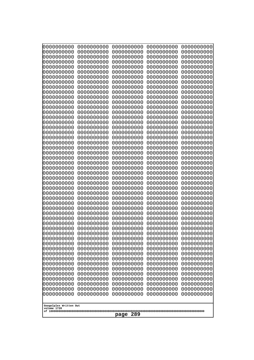| 0000000000<br>0000000000<br>0000000000<br>0000000000<br>0000000000<br>0000000000<br>0000000000<br>0000000000<br>0000000000<br>0000000000<br>0000000000<br>0000000000<br>0000000000<br>0000000000<br>0000000000<br>0000000000<br>0000000000<br>0000000000<br>0000000000<br>0000000000<br>0000000000<br>0000000000<br>0000000000<br>0000000000<br>0000000000<br>0000000000<br>0000000000<br>0000000000<br>0000000000<br>0000000000<br>0000000000<br>0000000000<br>0000000000<br>0000000000<br>0000000000<br>0000000000<br>0000000000<br>0000000000<br>0000000000<br>0000000000<br>0000000000<br>0000000000<br>0000000000<br>0000000000<br>0000000000<br>0000000000<br>0000000000<br>0000000000<br>0000000000<br>0000000000<br>0000000000<br>0000000000<br>0000000000<br>0000000000<br>0000000000<br>0000000000<br>0000000000<br>0000000000<br>0000000000<br>0000000000<br>0000000000<br>0000000000<br>0000000000<br>0000000000<br>0000000000<br>0000000000<br>0000000000<br>0000000000<br>0000000000<br>0000000000<br>0000000000<br>0000000000<br>0000000000<br>0000000000<br>0000000000<br>0000000000<br>0000000000<br>0000000000<br>0000000000<br>0000000000<br>0000000000<br>0000000000<br>0000000000<br>0000000000<br>0000000000<br>0000000000<br>0000000000<br>0000000000<br>0000000000<br>0000000000<br>0000000000<br>0000000000<br>0000000000<br>0000000000<br>0000000000<br>0000000000<br>0000000000<br>0000000000<br>0000000000<br>0000000000<br>0000000000<br>0000000000<br>0000000000<br>0000000000<br>0000000000<br>0000000000<br>0000000000<br>0000000000<br>0000000000<br>0000000000<br>0000000000<br>0000000000<br>0000000000<br>0000000000<br>0000000000<br>0000000000<br>0000000000<br>0000000000<br>0000000000<br>0000000000<br>0000000000<br>0000000000<br>0000000000<br>0000000000<br>0000000000<br>0000000000<br>0000000000<br>0000000000<br>0000000000<br>0000000000<br>0000000000<br>0000000000<br>0000000000<br>0000000000<br>0000000000<br>0000000000<br>0000000000<br>0000000000<br>0000000000<br>0000000000<br>0000000000<br>0000000000<br>0000000000<br>0000000000<br>0000000000<br>0000000000<br>0000000000<br>0000000000<br>0000000000<br>0000000000<br>0000000000<br>0000000000<br>0000000000<br>0000000000<br>0000000000<br>0000000000<br>0000000000<br>0000000000<br>0000000000<br>0000000000<br>0000000000<br>0000000000<br>0000000000<br>0000000000<br>0000000000<br>0000000000<br>0000000000<br>0000000000<br>0000000000<br>0000000000<br>0000000000<br>0000000000<br>0000000000<br>0000000000<br>0000000000<br>0000000000<br>0000000000<br>0000000000<br>0000000000<br>0000000000<br>0000000000<br>0000000000<br>0000000000<br>0000000000<br>0000000000<br>0000000000<br>0000000000<br>0000000000<br>0000000000<br>0000000000<br>0000000000<br>0000000000<br>0000000000<br>0000000000<br>0000000000<br>0000000000<br>0000000000<br>0000000000<br>0000000000<br>0000000000<br>0000000000<br>0000000000<br>0000000000<br>0000000000<br>0000000000<br>0000000000<br>0000000000<br>0000000000<br>0000000000<br>0000000000<br>0000000000<br>0000000000<br>0000000000<br>0000000000<br>0000000000<br>0000000000<br>0000000000<br>0000000000<br>0000000000<br>0000000000<br>0000000000<br>0000000000<br>0000000000<br>0000000000<br>0000000000<br>0000000000<br>0000000000<br>0000000000<br>0000000000<br>0000000000<br>0000000000<br>0000000000<br>0000000000<br>0000000000<br>0000000000<br>0000000000<br>0000000000<br>Googolplex Written Out<br>volume 1720<br>289<br>page | 10000000000 | 0000000000 | 0000000000 | 0000000000 | 0000000000 |  |
|------------------------------------------------------------------------------------------------------------------------------------------------------------------------------------------------------------------------------------------------------------------------------------------------------------------------------------------------------------------------------------------------------------------------------------------------------------------------------------------------------------------------------------------------------------------------------------------------------------------------------------------------------------------------------------------------------------------------------------------------------------------------------------------------------------------------------------------------------------------------------------------------------------------------------------------------------------------------------------------------------------------------------------------------------------------------------------------------------------------------------------------------------------------------------------------------------------------------------------------------------------------------------------------------------------------------------------------------------------------------------------------------------------------------------------------------------------------------------------------------------------------------------------------------------------------------------------------------------------------------------------------------------------------------------------------------------------------------------------------------------------------------------------------------------------------------------------------------------------------------------------------------------------------------------------------------------------------------------------------------------------------------------------------------------------------------------------------------------------------------------------------------------------------------------------------------------------------------------------------------------------------------------------------------------------------------------------------------------------------------------------------------------------------------------------------------------------------------------------------------------------------------------------------------------------------------------------------------------------------------------------------------------------------------------------------------------------------------------------------------------------------------------------------------------------------------------------------------------------------------------------------------------------------------------------------------------------------------------------------------------------------------------------------------------------------------------------------------------------------------------------------------------------------------------------------------------------------------------------------------------------------------------------------------------------------------------------------------------------------------------------------------------------------------------------------------------------------------------------------------------------|-------------|------------|------------|------------|------------|--|
|                                                                                                                                                                                                                                                                                                                                                                                                                                                                                                                                                                                                                                                                                                                                                                                                                                                                                                                                                                                                                                                                                                                                                                                                                                                                                                                                                                                                                                                                                                                                                                                                                                                                                                                                                                                                                                                                                                                                                                                                                                                                                                                                                                                                                                                                                                                                                                                                                                                                                                                                                                                                                                                                                                                                                                                                                                                                                                                                                                                                                                                                                                                                                                                                                                                                                                                                                                                                                                                                                                            | 0000000000  | 0000000000 | 0000000000 | 0000000000 | 0000000000 |  |
|                                                                                                                                                                                                                                                                                                                                                                                                                                                                                                                                                                                                                                                                                                                                                                                                                                                                                                                                                                                                                                                                                                                                                                                                                                                                                                                                                                                                                                                                                                                                                                                                                                                                                                                                                                                                                                                                                                                                                                                                                                                                                                                                                                                                                                                                                                                                                                                                                                                                                                                                                                                                                                                                                                                                                                                                                                                                                                                                                                                                                                                                                                                                                                                                                                                                                                                                                                                                                                                                                                            |             |            |            |            |            |  |
|                                                                                                                                                                                                                                                                                                                                                                                                                                                                                                                                                                                                                                                                                                                                                                                                                                                                                                                                                                                                                                                                                                                                                                                                                                                                                                                                                                                                                                                                                                                                                                                                                                                                                                                                                                                                                                                                                                                                                                                                                                                                                                                                                                                                                                                                                                                                                                                                                                                                                                                                                                                                                                                                                                                                                                                                                                                                                                                                                                                                                                                                                                                                                                                                                                                                                                                                                                                                                                                                                                            |             |            |            |            |            |  |
|                                                                                                                                                                                                                                                                                                                                                                                                                                                                                                                                                                                                                                                                                                                                                                                                                                                                                                                                                                                                                                                                                                                                                                                                                                                                                                                                                                                                                                                                                                                                                                                                                                                                                                                                                                                                                                                                                                                                                                                                                                                                                                                                                                                                                                                                                                                                                                                                                                                                                                                                                                                                                                                                                                                                                                                                                                                                                                                                                                                                                                                                                                                                                                                                                                                                                                                                                                                                                                                                                                            |             |            |            |            |            |  |
|                                                                                                                                                                                                                                                                                                                                                                                                                                                                                                                                                                                                                                                                                                                                                                                                                                                                                                                                                                                                                                                                                                                                                                                                                                                                                                                                                                                                                                                                                                                                                                                                                                                                                                                                                                                                                                                                                                                                                                                                                                                                                                                                                                                                                                                                                                                                                                                                                                                                                                                                                                                                                                                                                                                                                                                                                                                                                                                                                                                                                                                                                                                                                                                                                                                                                                                                                                                                                                                                                                            |             |            |            |            |            |  |
|                                                                                                                                                                                                                                                                                                                                                                                                                                                                                                                                                                                                                                                                                                                                                                                                                                                                                                                                                                                                                                                                                                                                                                                                                                                                                                                                                                                                                                                                                                                                                                                                                                                                                                                                                                                                                                                                                                                                                                                                                                                                                                                                                                                                                                                                                                                                                                                                                                                                                                                                                                                                                                                                                                                                                                                                                                                                                                                                                                                                                                                                                                                                                                                                                                                                                                                                                                                                                                                                                                            |             |            |            |            |            |  |
|                                                                                                                                                                                                                                                                                                                                                                                                                                                                                                                                                                                                                                                                                                                                                                                                                                                                                                                                                                                                                                                                                                                                                                                                                                                                                                                                                                                                                                                                                                                                                                                                                                                                                                                                                                                                                                                                                                                                                                                                                                                                                                                                                                                                                                                                                                                                                                                                                                                                                                                                                                                                                                                                                                                                                                                                                                                                                                                                                                                                                                                                                                                                                                                                                                                                                                                                                                                                                                                                                                            |             |            |            |            |            |  |
|                                                                                                                                                                                                                                                                                                                                                                                                                                                                                                                                                                                                                                                                                                                                                                                                                                                                                                                                                                                                                                                                                                                                                                                                                                                                                                                                                                                                                                                                                                                                                                                                                                                                                                                                                                                                                                                                                                                                                                                                                                                                                                                                                                                                                                                                                                                                                                                                                                                                                                                                                                                                                                                                                                                                                                                                                                                                                                                                                                                                                                                                                                                                                                                                                                                                                                                                                                                                                                                                                                            |             |            |            |            |            |  |
|                                                                                                                                                                                                                                                                                                                                                                                                                                                                                                                                                                                                                                                                                                                                                                                                                                                                                                                                                                                                                                                                                                                                                                                                                                                                                                                                                                                                                                                                                                                                                                                                                                                                                                                                                                                                                                                                                                                                                                                                                                                                                                                                                                                                                                                                                                                                                                                                                                                                                                                                                                                                                                                                                                                                                                                                                                                                                                                                                                                                                                                                                                                                                                                                                                                                                                                                                                                                                                                                                                            |             |            |            |            |            |  |
|                                                                                                                                                                                                                                                                                                                                                                                                                                                                                                                                                                                                                                                                                                                                                                                                                                                                                                                                                                                                                                                                                                                                                                                                                                                                                                                                                                                                                                                                                                                                                                                                                                                                                                                                                                                                                                                                                                                                                                                                                                                                                                                                                                                                                                                                                                                                                                                                                                                                                                                                                                                                                                                                                                                                                                                                                                                                                                                                                                                                                                                                                                                                                                                                                                                                                                                                                                                                                                                                                                            |             |            |            |            |            |  |
|                                                                                                                                                                                                                                                                                                                                                                                                                                                                                                                                                                                                                                                                                                                                                                                                                                                                                                                                                                                                                                                                                                                                                                                                                                                                                                                                                                                                                                                                                                                                                                                                                                                                                                                                                                                                                                                                                                                                                                                                                                                                                                                                                                                                                                                                                                                                                                                                                                                                                                                                                                                                                                                                                                                                                                                                                                                                                                                                                                                                                                                                                                                                                                                                                                                                                                                                                                                                                                                                                                            |             |            |            |            |            |  |
|                                                                                                                                                                                                                                                                                                                                                                                                                                                                                                                                                                                                                                                                                                                                                                                                                                                                                                                                                                                                                                                                                                                                                                                                                                                                                                                                                                                                                                                                                                                                                                                                                                                                                                                                                                                                                                                                                                                                                                                                                                                                                                                                                                                                                                                                                                                                                                                                                                                                                                                                                                                                                                                                                                                                                                                                                                                                                                                                                                                                                                                                                                                                                                                                                                                                                                                                                                                                                                                                                                            |             |            |            |            |            |  |
|                                                                                                                                                                                                                                                                                                                                                                                                                                                                                                                                                                                                                                                                                                                                                                                                                                                                                                                                                                                                                                                                                                                                                                                                                                                                                                                                                                                                                                                                                                                                                                                                                                                                                                                                                                                                                                                                                                                                                                                                                                                                                                                                                                                                                                                                                                                                                                                                                                                                                                                                                                                                                                                                                                                                                                                                                                                                                                                                                                                                                                                                                                                                                                                                                                                                                                                                                                                                                                                                                                            |             |            |            |            |            |  |
|                                                                                                                                                                                                                                                                                                                                                                                                                                                                                                                                                                                                                                                                                                                                                                                                                                                                                                                                                                                                                                                                                                                                                                                                                                                                                                                                                                                                                                                                                                                                                                                                                                                                                                                                                                                                                                                                                                                                                                                                                                                                                                                                                                                                                                                                                                                                                                                                                                                                                                                                                                                                                                                                                                                                                                                                                                                                                                                                                                                                                                                                                                                                                                                                                                                                                                                                                                                                                                                                                                            |             |            |            |            |            |  |
|                                                                                                                                                                                                                                                                                                                                                                                                                                                                                                                                                                                                                                                                                                                                                                                                                                                                                                                                                                                                                                                                                                                                                                                                                                                                                                                                                                                                                                                                                                                                                                                                                                                                                                                                                                                                                                                                                                                                                                                                                                                                                                                                                                                                                                                                                                                                                                                                                                                                                                                                                                                                                                                                                                                                                                                                                                                                                                                                                                                                                                                                                                                                                                                                                                                                                                                                                                                                                                                                                                            |             |            |            |            |            |  |
|                                                                                                                                                                                                                                                                                                                                                                                                                                                                                                                                                                                                                                                                                                                                                                                                                                                                                                                                                                                                                                                                                                                                                                                                                                                                                                                                                                                                                                                                                                                                                                                                                                                                                                                                                                                                                                                                                                                                                                                                                                                                                                                                                                                                                                                                                                                                                                                                                                                                                                                                                                                                                                                                                                                                                                                                                                                                                                                                                                                                                                                                                                                                                                                                                                                                                                                                                                                                                                                                                                            |             |            |            |            |            |  |
|                                                                                                                                                                                                                                                                                                                                                                                                                                                                                                                                                                                                                                                                                                                                                                                                                                                                                                                                                                                                                                                                                                                                                                                                                                                                                                                                                                                                                                                                                                                                                                                                                                                                                                                                                                                                                                                                                                                                                                                                                                                                                                                                                                                                                                                                                                                                                                                                                                                                                                                                                                                                                                                                                                                                                                                                                                                                                                                                                                                                                                                                                                                                                                                                                                                                                                                                                                                                                                                                                                            |             |            |            |            |            |  |
|                                                                                                                                                                                                                                                                                                                                                                                                                                                                                                                                                                                                                                                                                                                                                                                                                                                                                                                                                                                                                                                                                                                                                                                                                                                                                                                                                                                                                                                                                                                                                                                                                                                                                                                                                                                                                                                                                                                                                                                                                                                                                                                                                                                                                                                                                                                                                                                                                                                                                                                                                                                                                                                                                                                                                                                                                                                                                                                                                                                                                                                                                                                                                                                                                                                                                                                                                                                                                                                                                                            |             |            |            |            |            |  |
|                                                                                                                                                                                                                                                                                                                                                                                                                                                                                                                                                                                                                                                                                                                                                                                                                                                                                                                                                                                                                                                                                                                                                                                                                                                                                                                                                                                                                                                                                                                                                                                                                                                                                                                                                                                                                                                                                                                                                                                                                                                                                                                                                                                                                                                                                                                                                                                                                                                                                                                                                                                                                                                                                                                                                                                                                                                                                                                                                                                                                                                                                                                                                                                                                                                                                                                                                                                                                                                                                                            |             |            |            |            |            |  |
|                                                                                                                                                                                                                                                                                                                                                                                                                                                                                                                                                                                                                                                                                                                                                                                                                                                                                                                                                                                                                                                                                                                                                                                                                                                                                                                                                                                                                                                                                                                                                                                                                                                                                                                                                                                                                                                                                                                                                                                                                                                                                                                                                                                                                                                                                                                                                                                                                                                                                                                                                                                                                                                                                                                                                                                                                                                                                                                                                                                                                                                                                                                                                                                                                                                                                                                                                                                                                                                                                                            |             |            |            |            |            |  |
|                                                                                                                                                                                                                                                                                                                                                                                                                                                                                                                                                                                                                                                                                                                                                                                                                                                                                                                                                                                                                                                                                                                                                                                                                                                                                                                                                                                                                                                                                                                                                                                                                                                                                                                                                                                                                                                                                                                                                                                                                                                                                                                                                                                                                                                                                                                                                                                                                                                                                                                                                                                                                                                                                                                                                                                                                                                                                                                                                                                                                                                                                                                                                                                                                                                                                                                                                                                                                                                                                                            |             |            |            |            |            |  |
|                                                                                                                                                                                                                                                                                                                                                                                                                                                                                                                                                                                                                                                                                                                                                                                                                                                                                                                                                                                                                                                                                                                                                                                                                                                                                                                                                                                                                                                                                                                                                                                                                                                                                                                                                                                                                                                                                                                                                                                                                                                                                                                                                                                                                                                                                                                                                                                                                                                                                                                                                                                                                                                                                                                                                                                                                                                                                                                                                                                                                                                                                                                                                                                                                                                                                                                                                                                                                                                                                                            |             |            |            |            |            |  |
|                                                                                                                                                                                                                                                                                                                                                                                                                                                                                                                                                                                                                                                                                                                                                                                                                                                                                                                                                                                                                                                                                                                                                                                                                                                                                                                                                                                                                                                                                                                                                                                                                                                                                                                                                                                                                                                                                                                                                                                                                                                                                                                                                                                                                                                                                                                                                                                                                                                                                                                                                                                                                                                                                                                                                                                                                                                                                                                                                                                                                                                                                                                                                                                                                                                                                                                                                                                                                                                                                                            |             |            |            |            |            |  |
|                                                                                                                                                                                                                                                                                                                                                                                                                                                                                                                                                                                                                                                                                                                                                                                                                                                                                                                                                                                                                                                                                                                                                                                                                                                                                                                                                                                                                                                                                                                                                                                                                                                                                                                                                                                                                                                                                                                                                                                                                                                                                                                                                                                                                                                                                                                                                                                                                                                                                                                                                                                                                                                                                                                                                                                                                                                                                                                                                                                                                                                                                                                                                                                                                                                                                                                                                                                                                                                                                                            |             |            |            |            |            |  |
|                                                                                                                                                                                                                                                                                                                                                                                                                                                                                                                                                                                                                                                                                                                                                                                                                                                                                                                                                                                                                                                                                                                                                                                                                                                                                                                                                                                                                                                                                                                                                                                                                                                                                                                                                                                                                                                                                                                                                                                                                                                                                                                                                                                                                                                                                                                                                                                                                                                                                                                                                                                                                                                                                                                                                                                                                                                                                                                                                                                                                                                                                                                                                                                                                                                                                                                                                                                                                                                                                                            | 0000000000  |            |            |            |            |  |
|                                                                                                                                                                                                                                                                                                                                                                                                                                                                                                                                                                                                                                                                                                                                                                                                                                                                                                                                                                                                                                                                                                                                                                                                                                                                                                                                                                                                                                                                                                                                                                                                                                                                                                                                                                                                                                                                                                                                                                                                                                                                                                                                                                                                                                                                                                                                                                                                                                                                                                                                                                                                                                                                                                                                                                                                                                                                                                                                                                                                                                                                                                                                                                                                                                                                                                                                                                                                                                                                                                            |             |            |            |            |            |  |
|                                                                                                                                                                                                                                                                                                                                                                                                                                                                                                                                                                                                                                                                                                                                                                                                                                                                                                                                                                                                                                                                                                                                                                                                                                                                                                                                                                                                                                                                                                                                                                                                                                                                                                                                                                                                                                                                                                                                                                                                                                                                                                                                                                                                                                                                                                                                                                                                                                                                                                                                                                                                                                                                                                                                                                                                                                                                                                                                                                                                                                                                                                                                                                                                                                                                                                                                                                                                                                                                                                            |             |            |            |            |            |  |
|                                                                                                                                                                                                                                                                                                                                                                                                                                                                                                                                                                                                                                                                                                                                                                                                                                                                                                                                                                                                                                                                                                                                                                                                                                                                                                                                                                                                                                                                                                                                                                                                                                                                                                                                                                                                                                                                                                                                                                                                                                                                                                                                                                                                                                                                                                                                                                                                                                                                                                                                                                                                                                                                                                                                                                                                                                                                                                                                                                                                                                                                                                                                                                                                                                                                                                                                                                                                                                                                                                            |             |            |            |            |            |  |
|                                                                                                                                                                                                                                                                                                                                                                                                                                                                                                                                                                                                                                                                                                                                                                                                                                                                                                                                                                                                                                                                                                                                                                                                                                                                                                                                                                                                                                                                                                                                                                                                                                                                                                                                                                                                                                                                                                                                                                                                                                                                                                                                                                                                                                                                                                                                                                                                                                                                                                                                                                                                                                                                                                                                                                                                                                                                                                                                                                                                                                                                                                                                                                                                                                                                                                                                                                                                                                                                                                            | 0000000000  |            |            |            | 0000000000 |  |
|                                                                                                                                                                                                                                                                                                                                                                                                                                                                                                                                                                                                                                                                                                                                                                                                                                                                                                                                                                                                                                                                                                                                                                                                                                                                                                                                                                                                                                                                                                                                                                                                                                                                                                                                                                                                                                                                                                                                                                                                                                                                                                                                                                                                                                                                                                                                                                                                                                                                                                                                                                                                                                                                                                                                                                                                                                                                                                                                                                                                                                                                                                                                                                                                                                                                                                                                                                                                                                                                                                            |             |            |            |            |            |  |
|                                                                                                                                                                                                                                                                                                                                                                                                                                                                                                                                                                                                                                                                                                                                                                                                                                                                                                                                                                                                                                                                                                                                                                                                                                                                                                                                                                                                                                                                                                                                                                                                                                                                                                                                                                                                                                                                                                                                                                                                                                                                                                                                                                                                                                                                                                                                                                                                                                                                                                                                                                                                                                                                                                                                                                                                                                                                                                                                                                                                                                                                                                                                                                                                                                                                                                                                                                                                                                                                                                            |             |            |            |            |            |  |
|                                                                                                                                                                                                                                                                                                                                                                                                                                                                                                                                                                                                                                                                                                                                                                                                                                                                                                                                                                                                                                                                                                                                                                                                                                                                                                                                                                                                                                                                                                                                                                                                                                                                                                                                                                                                                                                                                                                                                                                                                                                                                                                                                                                                                                                                                                                                                                                                                                                                                                                                                                                                                                                                                                                                                                                                                                                                                                                                                                                                                                                                                                                                                                                                                                                                                                                                                                                                                                                                                                            |             |            |            |            |            |  |
|                                                                                                                                                                                                                                                                                                                                                                                                                                                                                                                                                                                                                                                                                                                                                                                                                                                                                                                                                                                                                                                                                                                                                                                                                                                                                                                                                                                                                                                                                                                                                                                                                                                                                                                                                                                                                                                                                                                                                                                                                                                                                                                                                                                                                                                                                                                                                                                                                                                                                                                                                                                                                                                                                                                                                                                                                                                                                                                                                                                                                                                                                                                                                                                                                                                                                                                                                                                                                                                                                                            |             |            |            |            |            |  |
|                                                                                                                                                                                                                                                                                                                                                                                                                                                                                                                                                                                                                                                                                                                                                                                                                                                                                                                                                                                                                                                                                                                                                                                                                                                                                                                                                                                                                                                                                                                                                                                                                                                                                                                                                                                                                                                                                                                                                                                                                                                                                                                                                                                                                                                                                                                                                                                                                                                                                                                                                                                                                                                                                                                                                                                                                                                                                                                                                                                                                                                                                                                                                                                                                                                                                                                                                                                                                                                                                                            |             |            |            |            |            |  |
|                                                                                                                                                                                                                                                                                                                                                                                                                                                                                                                                                                                                                                                                                                                                                                                                                                                                                                                                                                                                                                                                                                                                                                                                                                                                                                                                                                                                                                                                                                                                                                                                                                                                                                                                                                                                                                                                                                                                                                                                                                                                                                                                                                                                                                                                                                                                                                                                                                                                                                                                                                                                                                                                                                                                                                                                                                                                                                                                                                                                                                                                                                                                                                                                                                                                                                                                                                                                                                                                                                            |             |            |            |            |            |  |
|                                                                                                                                                                                                                                                                                                                                                                                                                                                                                                                                                                                                                                                                                                                                                                                                                                                                                                                                                                                                                                                                                                                                                                                                                                                                                                                                                                                                                                                                                                                                                                                                                                                                                                                                                                                                                                                                                                                                                                                                                                                                                                                                                                                                                                                                                                                                                                                                                                                                                                                                                                                                                                                                                                                                                                                                                                                                                                                                                                                                                                                                                                                                                                                                                                                                                                                                                                                                                                                                                                            |             |            |            |            |            |  |
|                                                                                                                                                                                                                                                                                                                                                                                                                                                                                                                                                                                                                                                                                                                                                                                                                                                                                                                                                                                                                                                                                                                                                                                                                                                                                                                                                                                                                                                                                                                                                                                                                                                                                                                                                                                                                                                                                                                                                                                                                                                                                                                                                                                                                                                                                                                                                                                                                                                                                                                                                                                                                                                                                                                                                                                                                                                                                                                                                                                                                                                                                                                                                                                                                                                                                                                                                                                                                                                                                                            |             |            |            |            |            |  |
|                                                                                                                                                                                                                                                                                                                                                                                                                                                                                                                                                                                                                                                                                                                                                                                                                                                                                                                                                                                                                                                                                                                                                                                                                                                                                                                                                                                                                                                                                                                                                                                                                                                                                                                                                                                                                                                                                                                                                                                                                                                                                                                                                                                                                                                                                                                                                                                                                                                                                                                                                                                                                                                                                                                                                                                                                                                                                                                                                                                                                                                                                                                                                                                                                                                                                                                                                                                                                                                                                                            |             |            |            |            |            |  |
|                                                                                                                                                                                                                                                                                                                                                                                                                                                                                                                                                                                                                                                                                                                                                                                                                                                                                                                                                                                                                                                                                                                                                                                                                                                                                                                                                                                                                                                                                                                                                                                                                                                                                                                                                                                                                                                                                                                                                                                                                                                                                                                                                                                                                                                                                                                                                                                                                                                                                                                                                                                                                                                                                                                                                                                                                                                                                                                                                                                                                                                                                                                                                                                                                                                                                                                                                                                                                                                                                                            |             |            |            |            |            |  |
|                                                                                                                                                                                                                                                                                                                                                                                                                                                                                                                                                                                                                                                                                                                                                                                                                                                                                                                                                                                                                                                                                                                                                                                                                                                                                                                                                                                                                                                                                                                                                                                                                                                                                                                                                                                                                                                                                                                                                                                                                                                                                                                                                                                                                                                                                                                                                                                                                                                                                                                                                                                                                                                                                                                                                                                                                                                                                                                                                                                                                                                                                                                                                                                                                                                                                                                                                                                                                                                                                                            |             |            |            |            |            |  |
|                                                                                                                                                                                                                                                                                                                                                                                                                                                                                                                                                                                                                                                                                                                                                                                                                                                                                                                                                                                                                                                                                                                                                                                                                                                                                                                                                                                                                                                                                                                                                                                                                                                                                                                                                                                                                                                                                                                                                                                                                                                                                                                                                                                                                                                                                                                                                                                                                                                                                                                                                                                                                                                                                                                                                                                                                                                                                                                                                                                                                                                                                                                                                                                                                                                                                                                                                                                                                                                                                                            |             |            |            |            |            |  |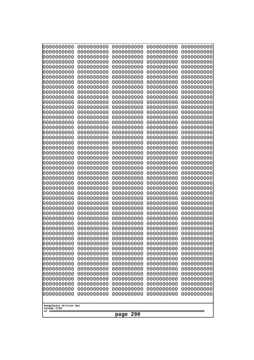| 10000000000<br>0000000000             | 0000000000<br>0000000000 | 0000000000<br>0000000000 | 0000000000<br>0000000000 | 0000000000<br>0000000000 |
|---------------------------------------|--------------------------|--------------------------|--------------------------|--------------------------|
| 0000000000                            | 0000000000               | 0000000000               | 0000000000               | 0000000000               |
| 0000000000                            | 0000000000               | 0000000000               | 0000000000               | 0000000000               |
| 0000000000                            | 0000000000               | 0000000000               | 0000000000               | 0000000000               |
| 0000000000<br>0000000000              | 0000000000<br>0000000000 | 0000000000<br>0000000000 | 0000000000<br>0000000000 | 0000000000<br>0000000000 |
| 0000000000                            | 0000000000               | 0000000000               | 0000000000               | 0000000000               |
| 0000000000                            | 0000000000               | 0000000000               | 0000000000               | 0000000000               |
| 0000000000                            | 0000000000               | 0000000000               | 0000000000               | 0000000000               |
| 0000000000<br>0000000000              | 0000000000<br>0000000000 | 0000000000<br>0000000000 | 0000000000<br>0000000000 | 0000000000<br>0000000000 |
| 0000000000                            | 0000000000               | 0000000000               | 0000000000               | 0000000000               |
| 0000000000                            | 0000000000               | 0000000000               | 0000000000               | 0000000000               |
| 0000000000<br>0000000000              | 0000000000<br>0000000000 | 0000000000<br>0000000000 | 0000000000<br>0000000000 | 0000000000<br>0000000000 |
| 0000000000                            | 0000000000               | 0000000000               | 0000000000               | 0000000000               |
| 0000000000                            | 0000000000               | 0000000000               | 0000000000               | 0000000000               |
| 0000000000                            | 0000000000               | 0000000000               | 0000000000               | 0000000000               |
| 0000000000<br>0000000000              | 0000000000<br>0000000000 | 0000000000<br>0000000000 | 0000000000<br>0000000000 | 0000000000<br>0000000000 |
| 0000000000                            | 0000000000               | 0000000000               | 0000000000               | 0000000000               |
| 0000000000                            | 0000000000               | 0000000000               | 0000000000               | 0000000000               |
| 0000000000<br>0000000000              | 0000000000<br>0000000000 | 0000000000<br>0000000000 | 0000000000<br>0000000000 | 0000000000<br>0000000000 |
| 0000000000                            | 0000000000               | 0000000000               | 0000000000               | 0000000000               |
| 0000000000                            | 0000000000               | 0000000000               | 0000000000               | 0000000000               |
| 0000000000                            | 0000000000               | 0000000000               | 0000000000               | 0000000000               |
| 0000000000<br>0000000000              | 0000000000<br>0000000000 | 0000000000<br>0000000000 | 0000000000<br>0000000000 | 0000000000<br>0000000000 |
| 0000000000                            | 0000000000               | 0000000000               | 0000000000               | 0000000000               |
| 0000000000                            | 0000000000               | 0000000000               | 0000000000               | 0000000000               |
| 0000000000<br>0000000000              | 0000000000<br>0000000000 | 0000000000<br>0000000000 | 0000000000<br>0000000000 | 0000000000<br>0000000000 |
| 0000000000                            | 0000000000               | 0000000000               | 0000000000               | 0000000000               |
| 0000000000                            | 0000000000               | 0000000000               | 0000000000               | 0000000000               |
| 0000000000                            | 0000000000               | 0000000000               | 0000000000               | 0000000000               |
| 0000000000<br>0000000000              | 0000000000<br>0000000000 | 0000000000<br>0000000000 | 0000000000<br>0000000000 | 0000000000<br>0000000000 |
| 0000000000                            | 0000000000               | 0000000000               | 0000000000               | 0000000000               |
| 0000000000                            | 0000000000               | 0000000000               | 0000000000               | 0000000000               |
| 0000000000<br>0000000000              | 0000000000<br>0000000000 | 0000000000<br>0000000000 | 0000000000<br>0000000000 | 0000000000<br>0000000000 |
| 0000000000                            | 0000000000               | 0000000000               | 0000000000               | 0000000000               |
| 0000000000                            | 0000000000               | 0000000000               | 0000000000               | 0000000000               |
| 0000000000<br>0000000000              | 0000000000<br>0000000000 | 0000000000               | 0000000000               | 0000000000               |
| 0000000000                            | 0000000000               | 0000000000<br>0000000000 | 0000000000<br>0000000000 | 0000000000<br>0000000000 |
| 0000000000                            | 0000000000               | 0000000000               | 0000000000               | 0000000000               |
| 0000000000                            | 0000000000               | 0000000000               | 0000000000               | 0000000000               |
|                                       |                          |                          |                          |                          |
| Googolplex Written Out<br>volume 1720 |                          |                          |                          |                          |
| 290<br>page                           |                          |                          |                          |                          |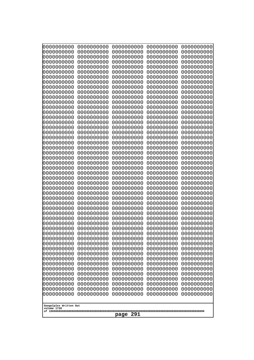| 10000000000              | 0000000000               | 0000000000               | 0000000000               | 0000000000               |  |
|--------------------------|--------------------------|--------------------------|--------------------------|--------------------------|--|
| 0000000000<br>0000000000 | 0000000000<br>0000000000 | 0000000000<br>0000000000 | 0000000000<br>0000000000 | 0000000000<br>0000000000 |  |
| 0000000000               | 0000000000               | 0000000000               | 0000000000               | 0000000000               |  |
| 0000000000               | 0000000000               | 0000000000               | 0000000000               | 0000000000               |  |
| 0000000000               | 0000000000               | 0000000000               | 0000000000               | 0000000000               |  |
| 0000000000<br>0000000000 | 0000000000<br>0000000000 | 0000000000<br>0000000000 | 0000000000<br>0000000000 | 0000000000<br>0000000000 |  |
| 0000000000               | 0000000000               | 0000000000               | 0000000000               | 0000000000               |  |
| 0000000000               | 0000000000               | 0000000000               | 0000000000               | 0000000000               |  |
| 0000000000               | 0000000000               | 0000000000               | 0000000000               | 0000000000               |  |
| 0000000000<br>0000000000 | 0000000000<br>0000000000 | 0000000000<br>0000000000 | 0000000000<br>0000000000 | 0000000000<br>0000000000 |  |
| 0000000000               | 0000000000               | 0000000000               | 0000000000               | 0000000000               |  |
| 0000000000               | 0000000000               | 0000000000               | 0000000000               | 0000000000               |  |
| 0000000000               | 0000000000               | 0000000000               | 0000000000               | 0000000000               |  |
| 0000000000<br>0000000000 | 0000000000<br>0000000000 | 0000000000<br>0000000000 | 0000000000<br>0000000000 | 0000000000<br>0000000000 |  |
| 0000000000               | 0000000000               | 0000000000               | 0000000000               | 0000000000               |  |
| 0000000000               | 0000000000               | 0000000000               | 0000000000               | 0000000000               |  |
| 0000000000<br>0000000000 | 0000000000<br>0000000000 | 0000000000<br>0000000000 | 0000000000<br>0000000000 | 0000000000<br>0000000000 |  |
| 0000000000               | 0000000000               | 0000000000               | 0000000000               | 0000000000               |  |
| 0000000000               | 0000000000               | 0000000000               | 0000000000               | 0000000000               |  |
| 0000000000               | 0000000000               | 0000000000               | 0000000000               | 0000000000               |  |
| 0000000000<br>0000000000 | 0000000000<br>0000000000 | 0000000000<br>0000000000 | 0000000000<br>0000000000 | 0000000000<br>0000000000 |  |
| 0000000000               | 0000000000               | 0000000000               | 0000000000               | 0000000000               |  |
| 0000000000               | 0000000000               | 0000000000               | 0000000000               | 0000000000               |  |
| 0000000000               | 0000000000               | 0000000000               | 0000000000               | 0000000000               |  |
| 0000000000<br>0000000000 | 0000000000<br>0000000000 | 0000000000<br>0000000000 | 0000000000<br>0000000000 | 0000000000<br>0000000000 |  |
| 0000000000               | 0000000000               | 0000000000               | 0000000000               | 0000000000               |  |
| 0000000000               | 0000000000               | 0000000000               | 0000000000               | 0000000000               |  |
| 0000000000<br>0000000000 | 0000000000<br>0000000000 | 0000000000<br>0000000000 | 0000000000<br>0000000000 | 0000000000<br>0000000000 |  |
| 0000000000               | 0000000000               | 0000000000               | 0000000000               | 0000000000               |  |
| 0000000000               | 0000000000               | 0000000000               | 0000000000               | 0000000000               |  |
| 0000000000               | 0000000000               | 0000000000               | 0000000000               | 0000000000               |  |
| 0000000000<br>0000000000 | 0000000000<br>0000000000 | 0000000000<br>0000000000 | 0000000000<br>0000000000 | 0000000000<br>0000000000 |  |
| 0000000000               | 0000000000               | 0000000000               | 0000000000               | 0000000000               |  |
| 0000000000               | 0000000000               | 0000000000               | 0000000000               | 0000000000               |  |
| 0000000000               | 0000000000               | 0000000000               | 0000000000               | 0000000000               |  |
| 0000000000<br>0000000000 | 0000000000<br>0000000000 | 0000000000<br>0000000000 | 0000000000<br>0000000000 | 0000000000<br>0000000000 |  |
| 0000000000               | 0000000000               | 0000000000               | 0000000000               | 0000000000               |  |
| 0000000000               | 0000000000               | 0000000000               | 0000000000               | 0000000000               |  |
| 0000000000               | 0000000000               | 0000000000               | 0000000000               | 0000000000               |  |
| 0000000000               | 0000000000               | 0000000000               | 0000000000               | 0000000000               |  |
| Googolplex Written Out   |                          |                          |                          |                          |  |
| volume 1720              |                          |                          |                          |                          |  |
|                          | 291<br>page              |                          |                          |                          |  |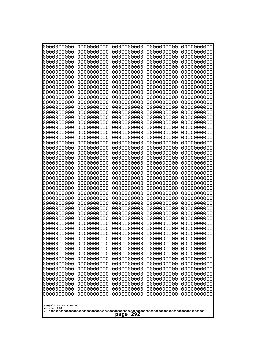| 10000000000<br>0000000000             | 0000000000<br>0000000000 | 0000000000<br>0000000000 | 0000000000<br>0000000000 | 0000000000<br>0000000000 |
|---------------------------------------|--------------------------|--------------------------|--------------------------|--------------------------|
| 0000000000                            | 0000000000               | 0000000000               | 0000000000               | 0000000000               |
| 0000000000                            | 0000000000               | 0000000000               | 0000000000               | 0000000000               |
| 0000000000<br>0000000000              | 0000000000<br>0000000000 | 0000000000<br>0000000000 | 0000000000<br>0000000000 | 0000000000<br>0000000000 |
| 0000000000                            | 0000000000               | 0000000000               | 0000000000               | 0000000000               |
| 0000000000                            | 0000000000               | 0000000000               | 0000000000               | 0000000000               |
| 0000000000<br>0000000000              | 0000000000<br>0000000000 | 0000000000<br>0000000000 | 0000000000<br>0000000000 | 0000000000<br>0000000000 |
| 0000000000                            | 0000000000               | 0000000000               | 0000000000               | 0000000000               |
| 0000000000                            | 0000000000               | 0000000000               | 0000000000               | 0000000000               |
| 0000000000                            | 0000000000               | 0000000000               | 0000000000               | 0000000000               |
| 0000000000<br>0000000000              | 0000000000<br>0000000000 | 0000000000<br>0000000000 | 0000000000<br>0000000000 | 0000000000<br>0000000000 |
| 0000000000                            | 0000000000               | 0000000000               | 0000000000               | 0000000000               |
| 0000000000                            | 0000000000               | 0000000000               | 0000000000               | 0000000000               |
| 0000000000<br>0000000000              | 0000000000<br>0000000000 | 0000000000<br>0000000000 | 0000000000<br>0000000000 | 0000000000<br>0000000000 |
| 0000000000                            | 0000000000               | 0000000000               | 0000000000               | 0000000000               |
| 0000000000                            | 0000000000               | 0000000000               | 0000000000               | 0000000000               |
| 0000000000<br>0000000000              | 0000000000<br>0000000000 | 0000000000<br>0000000000 | 0000000000<br>0000000000 | 0000000000<br>0000000000 |
| 0000000000                            | 0000000000               | 0000000000               | 0000000000               | 0000000000               |
| 0000000000                            | 0000000000               | 0000000000               | 0000000000               | 0000000000               |
| 0000000000<br>0000000000              | 0000000000<br>0000000000 | 0000000000<br>0000000000 | 0000000000<br>0000000000 | 0000000000<br>0000000000 |
| 0000000000                            | 0000000000               | 0000000000               | 0000000000               | 0000000000               |
| 0000000000                            | 0000000000               | 0000000000               | 0000000000               | 0000000000               |
| 0000000000                            | 0000000000               | 0000000000               | 0000000000               | 0000000000               |
| 0000000000<br>0000000000              | 0000000000<br>0000000000 | 0000000000<br>0000000000 | 0000000000<br>0000000000 | 0000000000<br>0000000000 |
| 0000000000                            | 0000000000               | 0000000000               | 0000000000               | 0000000000               |
| 0000000000                            | 0000000000               | 0000000000               | 0000000000               | 0000000000               |
| 0000000000<br>0000000000              | 0000000000<br>0000000000 | 0000000000<br>0000000000 | 0000000000<br>0000000000 | 0000000000<br>0000000000 |
| 0000000000                            | 0000000000               | 0000000000               | 0000000000               | 0000000000               |
| 0000000000                            | 0000000000               | 0000000000               | 0000000000               | 0000000000               |
| 0000000000<br>0000000000              | 0000000000<br>0000000000 | 0000000000<br>0000000000 | 0000000000<br>0000000000 | 0000000000<br>0000000000 |
| 0000000000                            | 0000000000               | 0000000000               | 0000000000               | 0000000000               |
| 0000000000                            | 0000000000               | 0000000000               | 0000000000               | 0000000000               |
| 0000000000<br>0000000000              | 0000000000<br>0000000000 | 0000000000<br>0000000000 | 0000000000<br>0000000000 | 0000000000<br>0000000000 |
| 0000000000                            | 0000000000               | 0000000000               | 0000000000               | 0000000000               |
| 0000000000                            | 0000000000               | 0000000000               | 0000000000               | 0000000000               |
| 0000000000<br>0000000000              | 0000000000               | 0000000000               | 0000000000               | 0000000000<br>0000000000 |
| 0000000000                            | 0000000000<br>0000000000 | 0000000000<br>0000000000 | 0000000000<br>0000000000 | 0000000000               |
| 0000000000                            | 0000000000               | 0000000000               | 0000000000               | 0000000000               |
|                                       |                          |                          |                          |                          |
| Googolplex Written Out<br>volume 1720 |                          |                          |                          |                          |
| 292<br>page                           |                          |                          |                          |                          |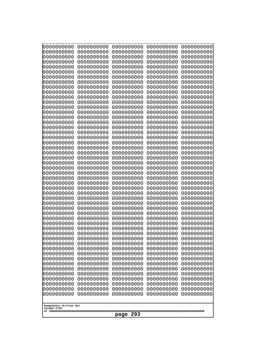| 0000000000                                                                                                                | 0000000000                                                                       | 0000000000                                                                                      | 0000000000                                                                       | 0000000000                                                                       |
|---------------------------------------------------------------------------------------------------------------------------|----------------------------------------------------------------------------------|-------------------------------------------------------------------------------------------------|----------------------------------------------------------------------------------|----------------------------------------------------------------------------------|
| 0000000000                                                                                                                | 0000000000                                                                       | 0000000000                                                                                      | 0000000000                                                                       | 0000000000                                                                       |
| 0000000000                                                                                                                | 0000000000                                                                       | 0000000000                                                                                      | 0000000000                                                                       | 0000000000                                                                       |
| 0000000000                                                                                                                | 0000000000                                                                       | 0000000000                                                                                      | 0000000000                                                                       | 0000000000                                                                       |
| 0000000000                                                                                                                | 0000000000                                                                       | 0000000000                                                                                      | 0000000000                                                                       | 0000000000                                                                       |
| 0000000000                                                                                                                | 0000000000                                                                       | 0000000000                                                                                      | 0000000000                                                                       | 0000000000                                                                       |
| 0000000000                                                                                                                | 0000000000                                                                       | 0000000000                                                                                      | 0000000000                                                                       | 0000000000                                                                       |
| 0000000000                                                                                                                | 0000000000                                                                       | 0000000000                                                                                      | 0000000000                                                                       | 0000000000                                                                       |
| 0000000000                                                                                                                | 0000000000                                                                       | 0000000000                                                                                      | 0000000000                                                                       | 0000000000                                                                       |
| 0000000000                                                                                                                | 0000000000                                                                       | 0000000000                                                                                      | 0000000000                                                                       | 0000000000                                                                       |
| 0000000000                                                                                                                | 0000000000                                                                       | 0000000000                                                                                      | 0000000000                                                                       | 0000000000                                                                       |
| 0000000000                                                                                                                | 0000000000                                                                       | 0000000000                                                                                      | 0000000000                                                                       | 0000000000                                                                       |
| 0000000000                                                                                                                | 0000000000                                                                       | 0000000000                                                                                      | 0000000000                                                                       | 0000000000                                                                       |
| 0000000000                                                                                                                | 0000000000                                                                       | 0000000000                                                                                      | 0000000000                                                                       | 0000000000                                                                       |
| 0000000000                                                                                                                | 0000000000                                                                       | 0000000000                                                                                      | 0000000000                                                                       | 0000000000                                                                       |
| 0000000000                                                                                                                | 0000000000                                                                       | 0000000000                                                                                      | 0000000000                                                                       | 0000000000                                                                       |
| 0000000000                                                                                                                | 0000000000                                                                       | 0000000000                                                                                      | 0000000000                                                                       | 0000000000                                                                       |
| 0000000000                                                                                                                | 0000000000                                                                       | 0000000000                                                                                      | 0000000000                                                                       | 0000000000                                                                       |
| 0000000000                                                                                                                | 0000000000                                                                       | 0000000000                                                                                      | 0000000000                                                                       | 0000000000                                                                       |
| 0000000000                                                                                                                | 0000000000                                                                       | 0000000000                                                                                      | 0000000000                                                                       | 0000000000                                                                       |
| 0000000000                                                                                                                | 0000000000                                                                       | 0000000000                                                                                      | 0000000000                                                                       | 0000000000                                                                       |
| 0000000000                                                                                                                | 0000000000                                                                       | 0000000000                                                                                      | 0000000000                                                                       | 0000000000                                                                       |
| 0000000000                                                                                                                | 0000000000                                                                       | 0000000000                                                                                      | 0000000000                                                                       | 0000000000                                                                       |
| 0000000000                                                                                                                | 0000000000                                                                       | 0000000000                                                                                      | 0000000000                                                                       | 0000000000                                                                       |
| 0000000000                                                                                                                | 0000000000                                                                       | 0000000000                                                                                      | 0000000000                                                                       | 0000000000                                                                       |
| 0000000000                                                                                                                | 0000000000                                                                       | 0000000000                                                                                      | 0000000000                                                                       | 0000000000                                                                       |
| 0000000000                                                                                                                | 0000000000                                                                       | 0000000000                                                                                      | 0000000000                                                                       | 0000000000                                                                       |
| 0000000000                                                                                                                | 0000000000                                                                       | 0000000000                                                                                      | 0000000000                                                                       | 0000000000                                                                       |
| 0000000000                                                                                                                | 0000000000                                                                       | 0000000000                                                                                      | 0000000000                                                                       | 0000000000                                                                       |
| 0000000000                                                                                                                | 0000000000                                                                       | 0000000000                                                                                      | 0000000000                                                                       | 0000000000                                                                       |
| 0000000000                                                                                                                | 0000000000                                                                       | 0000000000                                                                                      | 0000000000                                                                       | 0000000000                                                                       |
| 0000000000                                                                                                                | 0000000000                                                                       | 0000000000                                                                                      | 0000000000                                                                       | 0000000000                                                                       |
| 0000000000                                                                                                                | 0000000000                                                                       | 0000000000                                                                                      | 0000000000                                                                       | 0000000000                                                                       |
| 0000000000                                                                                                                | 0000000000                                                                       | 0000000000                                                                                      | 0000000000                                                                       | 0000000000                                                                       |
| 0000000000                                                                                                                | 0000000000                                                                       | 0000000000                                                                                      | 0000000000                                                                       | 0000000000                                                                       |
| 0000000000                                                                                                                | 0000000000                                                                       | 0000000000                                                                                      | 0000000000                                                                       | 0000000000                                                                       |
| 0000000000                                                                                                                | 0000000000                                                                       | 0000000000                                                                                      | 0000000000                                                                       | 0000000000                                                                       |
| 0000000000                                                                                                                | 0000000000                                                                       | 0000000000                                                                                      | 0000000000                                                                       | 0000000000                                                                       |
| 0000000000                                                                                                                | 0000000000                                                                       | 0000000000                                                                                      | 0000000000                                                                       | 0000000000                                                                       |
| 0000000000                                                                                                                | 0000000000                                                                       | 0000000000                                                                                      | 0000000000                                                                       | 0000000000                                                                       |
| 0000000000                                                                                                                | 0000000000                                                                       | 0000000000                                                                                      | 0000000000                                                                       | 0000000000                                                                       |
| 0000000000                                                                                                                | 0000000000                                                                       | 0000000000                                                                                      | 0000000000                                                                       | 0000000000                                                                       |
| 0000000000                                                                                                                | 0000000000                                                                       | 0000000000                                                                                      | 0000000000                                                                       | 0000000000                                                                       |
| 0000000000                                                                                                                | 0000000000                                                                       | 0000000000                                                                                      | 0000000000                                                                       | 0000000000                                                                       |
| 0000000000<br>0000000000<br>0000000000<br>0000000000<br>0000000000<br>0000000000<br>Googolplex Written Out<br>volume 1720 | 0000000000<br>0000000000<br>0000000000<br>0000000000<br>0000000000<br>0000000000 | 0000000000<br>0000000000<br>0000000000<br>0000000000<br>0000000000<br>0000000000<br>293<br>page | 0000000000<br>0000000000<br>0000000000<br>0000000000<br>0000000000<br>0000000000 | 0000000000<br>0000000000<br>0000000000<br>0000000000<br>0000000000<br>0000000000 |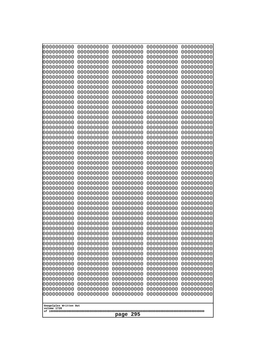| 0000000000                                                                                                                                                                                                                                                                                                                                                                                          | 0000000000                                                                                                                                                                                                                                                                                                                                                 | 0000000000                                                                                                                                                                                                                                                                                                                                                                | 0000000000                                                                                                                                                                                                                                                                                                                                                 | 0000000000                                                                                                                                                                                                                                                                                                                                                 |
|-----------------------------------------------------------------------------------------------------------------------------------------------------------------------------------------------------------------------------------------------------------------------------------------------------------------------------------------------------------------------------------------------------|------------------------------------------------------------------------------------------------------------------------------------------------------------------------------------------------------------------------------------------------------------------------------------------------------------------------------------------------------------|---------------------------------------------------------------------------------------------------------------------------------------------------------------------------------------------------------------------------------------------------------------------------------------------------------------------------------------------------------------------------|------------------------------------------------------------------------------------------------------------------------------------------------------------------------------------------------------------------------------------------------------------------------------------------------------------------------------------------------------------|------------------------------------------------------------------------------------------------------------------------------------------------------------------------------------------------------------------------------------------------------------------------------------------------------------------------------------------------------------|
| 0000000000                                                                                                                                                                                                                                                                                                                                                                                          | 0000000000                                                                                                                                                                                                                                                                                                                                                 | 0000000000                                                                                                                                                                                                                                                                                                                                                                | 0000000000                                                                                                                                                                                                                                                                                                                                                 | 0000000000                                                                                                                                                                                                                                                                                                                                                 |
| 0000000000                                                                                                                                                                                                                                                                                                                                                                                          | 0000000000                                                                                                                                                                                                                                                                                                                                                 | 0000000000                                                                                                                                                                                                                                                                                                                                                                | 0000000000                                                                                                                                                                                                                                                                                                                                                 | 0000000000                                                                                                                                                                                                                                                                                                                                                 |
| 0000000000                                                                                                                                                                                                                                                                                                                                                                                          | 0000000000                                                                                                                                                                                                                                                                                                                                                 | 0000000000                                                                                                                                                                                                                                                                                                                                                                | 0000000000                                                                                                                                                                                                                                                                                                                                                 | 0000000000                                                                                                                                                                                                                                                                                                                                                 |
| 0000000000                                                                                                                                                                                                                                                                                                                                                                                          | 0000000000                                                                                                                                                                                                                                                                                                                                                 | 0000000000                                                                                                                                                                                                                                                                                                                                                                | 0000000000                                                                                                                                                                                                                                                                                                                                                 | 0000000000                                                                                                                                                                                                                                                                                                                                                 |
| 0000000000                                                                                                                                                                                                                                                                                                                                                                                          | 0000000000                                                                                                                                                                                                                                                                                                                                                 | 0000000000                                                                                                                                                                                                                                                                                                                                                                | 0000000000                                                                                                                                                                                                                                                                                                                                                 | 0000000000                                                                                                                                                                                                                                                                                                                                                 |
| 0000000000                                                                                                                                                                                                                                                                                                                                                                                          | 0000000000                                                                                                                                                                                                                                                                                                                                                 | 0000000000                                                                                                                                                                                                                                                                                                                                                                | 0000000000                                                                                                                                                                                                                                                                                                                                                 | 0000000000                                                                                                                                                                                                                                                                                                                                                 |
| 0000000000                                                                                                                                                                                                                                                                                                                                                                                          | 0000000000                                                                                                                                                                                                                                                                                                                                                 | 0000000000                                                                                                                                                                                                                                                                                                                                                                | 0000000000                                                                                                                                                                                                                                                                                                                                                 | 0000000000                                                                                                                                                                                                                                                                                                                                                 |
| 0000000000                                                                                                                                                                                                                                                                                                                                                                                          | 0000000000                                                                                                                                                                                                                                                                                                                                                 | 0000000000                                                                                                                                                                                                                                                                                                                                                                | 0000000000                                                                                                                                                                                                                                                                                                                                                 | 0000000000                                                                                                                                                                                                                                                                                                                                                 |
| 0000000000                                                                                                                                                                                                                                                                                                                                                                                          | 0000000000                                                                                                                                                                                                                                                                                                                                                 | 0000000000                                                                                                                                                                                                                                                                                                                                                                | 0000000000                                                                                                                                                                                                                                                                                                                                                 | 0000000000                                                                                                                                                                                                                                                                                                                                                 |
| 0000000000                                                                                                                                                                                                                                                                                                                                                                                          | 0000000000                                                                                                                                                                                                                                                                                                                                                 | 0000000000                                                                                                                                                                                                                                                                                                                                                                | 0000000000                                                                                                                                                                                                                                                                                                                                                 | 0000000000                                                                                                                                                                                                                                                                                                                                                 |
| 0000000000                                                                                                                                                                                                                                                                                                                                                                                          | 0000000000                                                                                                                                                                                                                                                                                                                                                 | 0000000000                                                                                                                                                                                                                                                                                                                                                                | 0000000000                                                                                                                                                                                                                                                                                                                                                 | 0000000000                                                                                                                                                                                                                                                                                                                                                 |
| 0000000000                                                                                                                                                                                                                                                                                                                                                                                          | 0000000000                                                                                                                                                                                                                                                                                                                                                 | 0000000000                                                                                                                                                                                                                                                                                                                                                                | 0000000000                                                                                                                                                                                                                                                                                                                                                 | 0000000000                                                                                                                                                                                                                                                                                                                                                 |
| 0000000000                                                                                                                                                                                                                                                                                                                                                                                          | 0000000000                                                                                                                                                                                                                                                                                                                                                 | 0000000000                                                                                                                                                                                                                                                                                                                                                                | 0000000000                                                                                                                                                                                                                                                                                                                                                 | 0000000000                                                                                                                                                                                                                                                                                                                                                 |
| 0000000000                                                                                                                                                                                                                                                                                                                                                                                          | 0000000000                                                                                                                                                                                                                                                                                                                                                 | 0000000000                                                                                                                                                                                                                                                                                                                                                                | 0000000000                                                                                                                                                                                                                                                                                                                                                 | 0000000000                                                                                                                                                                                                                                                                                                                                                 |
| 0000000000                                                                                                                                                                                                                                                                                                                                                                                          | 0000000000                                                                                                                                                                                                                                                                                                                                                 | 0000000000                                                                                                                                                                                                                                                                                                                                                                | 0000000000                                                                                                                                                                                                                                                                                                                                                 | 0000000000                                                                                                                                                                                                                                                                                                                                                 |
| 0000000000                                                                                                                                                                                                                                                                                                                                                                                          | 0000000000                                                                                                                                                                                                                                                                                                                                                 | 0000000000                                                                                                                                                                                                                                                                                                                                                                | 0000000000                                                                                                                                                                                                                                                                                                                                                 | 0000000000                                                                                                                                                                                                                                                                                                                                                 |
| 0000000000                                                                                                                                                                                                                                                                                                                                                                                          | 0000000000                                                                                                                                                                                                                                                                                                                                                 | 0000000000                                                                                                                                                                                                                                                                                                                                                                | 0000000000                                                                                                                                                                                                                                                                                                                                                 | 0000000000                                                                                                                                                                                                                                                                                                                                                 |
| 0000000000                                                                                                                                                                                                                                                                                                                                                                                          | 0000000000                                                                                                                                                                                                                                                                                                                                                 | 0000000000                                                                                                                                                                                                                                                                                                                                                                | 0000000000                                                                                                                                                                                                                                                                                                                                                 | 0000000000                                                                                                                                                                                                                                                                                                                                                 |
| 0000000000                                                                                                                                                                                                                                                                                                                                                                                          | 0000000000                                                                                                                                                                                                                                                                                                                                                 | 0000000000                                                                                                                                                                                                                                                                                                                                                                | 0000000000                                                                                                                                                                                                                                                                                                                                                 | 0000000000                                                                                                                                                                                                                                                                                                                                                 |
| 0000000000                                                                                                                                                                                                                                                                                                                                                                                          | 0000000000                                                                                                                                                                                                                                                                                                                                                 | 0000000000                                                                                                                                                                                                                                                                                                                                                                | 0000000000                                                                                                                                                                                                                                                                                                                                                 | 0000000000                                                                                                                                                                                                                                                                                                                                                 |
| 0000000000                                                                                                                                                                                                                                                                                                                                                                                          | 0000000000                                                                                                                                                                                                                                                                                                                                                 | 0000000000                                                                                                                                                                                                                                                                                                                                                                | 0000000000                                                                                                                                                                                                                                                                                                                                                 | 0000000000                                                                                                                                                                                                                                                                                                                                                 |
| 0000000000                                                                                                                                                                                                                                                                                                                                                                                          | 0000000000                                                                                                                                                                                                                                                                                                                                                 | 0000000000                                                                                                                                                                                                                                                                                                                                                                | 0000000000                                                                                                                                                                                                                                                                                                                                                 | 0000000000                                                                                                                                                                                                                                                                                                                                                 |
| 0000000000                                                                                                                                                                                                                                                                                                                                                                                          | 0000000000                                                                                                                                                                                                                                                                                                                                                 | 0000000000                                                                                                                                                                                                                                                                                                                                                                | 0000000000                                                                                                                                                                                                                                                                                                                                                 | 0000000000                                                                                                                                                                                                                                                                                                                                                 |
| 0000000000                                                                                                                                                                                                                                                                                                                                                                                          | 0000000000                                                                                                                                                                                                                                                                                                                                                 | 0000000000                                                                                                                                                                                                                                                                                                                                                                | 0000000000                                                                                                                                                                                                                                                                                                                                                 | 0000000000                                                                                                                                                                                                                                                                                                                                                 |
| 0000000000<br>0000000000<br>0000000000<br>0000000000<br>0000000000<br>0000000000<br>0000000000<br>0000000000<br>0000000000<br>0000000000<br>0000000000<br>0000000000<br>0000000000<br>0000000000<br>0000000000<br>0000000000<br>0000000000<br>0000000000<br>0000000000<br>0000000000<br>0000000000<br>0000000000<br>0000000000<br>0000000000<br>0000000000<br>Googolplex Written Out<br>volume 1720 | 0000000000<br>0000000000<br>0000000000<br>0000000000<br>0000000000<br>0000000000<br>0000000000<br>0000000000<br>0000000000<br>0000000000<br>0000000000<br>0000000000<br>0000000000<br>0000000000<br>0000000000<br>0000000000<br>0000000000<br>0000000000<br>0000000000<br>0000000000<br>0000000000<br>0000000000<br>0000000000<br>0000000000<br>0000000000 | 0000000000<br>0000000000<br>0000000000<br>0000000000<br>0000000000<br>0000000000<br>0000000000<br>0000000000<br>0000000000<br>0000000000<br>0000000000<br>0000000000<br>0000000000<br>0000000000<br>0000000000<br>0000000000<br>0000000000<br>0000000000<br>0000000000<br>0000000000<br>0000000000<br>0000000000<br>0000000000<br>0000000000<br>0000000000<br>295<br>page | 0000000000<br>0000000000<br>0000000000<br>0000000000<br>0000000000<br>0000000000<br>0000000000<br>0000000000<br>0000000000<br>0000000000<br>0000000000<br>0000000000<br>0000000000<br>0000000000<br>0000000000<br>0000000000<br>0000000000<br>0000000000<br>0000000000<br>0000000000<br>0000000000<br>0000000000<br>0000000000<br>0000000000<br>0000000000 | 0000000000<br>0000000000<br>0000000000<br>0000000000<br>0000000000<br>0000000000<br>0000000000<br>0000000000<br>0000000000<br>0000000000<br>0000000000<br>0000000000<br>0000000000<br>0000000000<br>0000000000<br>0000000000<br>0000000000<br>0000000000<br>0000000000<br>0000000000<br>0000000000<br>0000000000<br>0000000000<br>0000000000<br>0000000000 |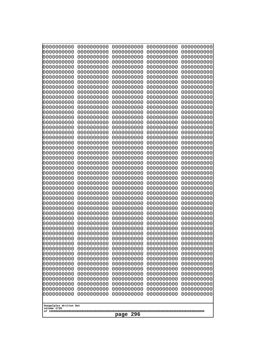| 0000000000                                                                                                                                                                                      | 0000000000                                                                                                                                             | 0000000000                                                                                                                                             | 0000000000                                                                                                                                             | 0000000000                                                                                                                                             |
|-------------------------------------------------------------------------------------------------------------------------------------------------------------------------------------------------|--------------------------------------------------------------------------------------------------------------------------------------------------------|--------------------------------------------------------------------------------------------------------------------------------------------------------|--------------------------------------------------------------------------------------------------------------------------------------------------------|--------------------------------------------------------------------------------------------------------------------------------------------------------|
| 0000000000                                                                                                                                                                                      | 0000000000                                                                                                                                             | 0000000000                                                                                                                                             | 0000000000                                                                                                                                             | 0000000000                                                                                                                                             |
| 0000000000                                                                                                                                                                                      | 0000000000                                                                                                                                             | 0000000000                                                                                                                                             | 0000000000                                                                                                                                             | 0000000000                                                                                                                                             |
| 0000000000                                                                                                                                                                                      | 0000000000                                                                                                                                             | 0000000000                                                                                                                                             | 0000000000                                                                                                                                             | 0000000000                                                                                                                                             |
| 0000000000                                                                                                                                                                                      | 0000000000                                                                                                                                             | 0000000000                                                                                                                                             | 0000000000                                                                                                                                             | 0000000000                                                                                                                                             |
| 0000000000                                                                                                                                                                                      | 0000000000                                                                                                                                             | 0000000000                                                                                                                                             | 0000000000                                                                                                                                             | 0000000000                                                                                                                                             |
| 0000000000                                                                                                                                                                                      | 0000000000                                                                                                                                             | 0000000000                                                                                                                                             | 0000000000                                                                                                                                             | 0000000000                                                                                                                                             |
| 0000000000                                                                                                                                                                                      | 0000000000                                                                                                                                             | 0000000000                                                                                                                                             | 0000000000                                                                                                                                             | 0000000000                                                                                                                                             |
| 0000000000                                                                                                                                                                                      | 0000000000                                                                                                                                             | 0000000000                                                                                                                                             | 0000000000                                                                                                                                             | 0000000000                                                                                                                                             |
| 0000000000                                                                                                                                                                                      | 0000000000                                                                                                                                             | 0000000000                                                                                                                                             | 0000000000                                                                                                                                             | 0000000000                                                                                                                                             |
| 0000000000                                                                                                                                                                                      | 0000000000                                                                                                                                             | 0000000000                                                                                                                                             | 0000000000                                                                                                                                             | 0000000000                                                                                                                                             |
| 0000000000                                                                                                                                                                                      | 0000000000                                                                                                                                             | 0000000000                                                                                                                                             | 0000000000                                                                                                                                             | 0000000000                                                                                                                                             |
| 0000000000                                                                                                                                                                                      | 0000000000                                                                                                                                             | 0000000000                                                                                                                                             | 0000000000                                                                                                                                             | 0000000000                                                                                                                                             |
| 0000000000                                                                                                                                                                                      | 0000000000                                                                                                                                             | 0000000000                                                                                                                                             | 0000000000                                                                                                                                             | 0000000000                                                                                                                                             |
| 0000000000                                                                                                                                                                                      | 0000000000                                                                                                                                             | 0000000000                                                                                                                                             | 0000000000                                                                                                                                             | 0000000000                                                                                                                                             |
| 0000000000                                                                                                                                                                                      | 0000000000                                                                                                                                             | 0000000000                                                                                                                                             | 0000000000                                                                                                                                             | 0000000000                                                                                                                                             |
| 0000000000                                                                                                                                                                                      | 0000000000                                                                                                                                             | 0000000000                                                                                                                                             | 0000000000                                                                                                                                             | 0000000000                                                                                                                                             |
| 0000000000                                                                                                                                                                                      | 0000000000                                                                                                                                             | 0000000000                                                                                                                                             | 0000000000                                                                                                                                             | 0000000000                                                                                                                                             |
| 0000000000                                                                                                                                                                                      | 0000000000                                                                                                                                             | 0000000000                                                                                                                                             | 0000000000                                                                                                                                             | 0000000000                                                                                                                                             |
| 0000000000                                                                                                                                                                                      | 0000000000                                                                                                                                             | 0000000000                                                                                                                                             | 0000000000                                                                                                                                             | 0000000000                                                                                                                                             |
| 0000000000                                                                                                                                                                                      | 0000000000                                                                                                                                             | 0000000000                                                                                                                                             | 0000000000                                                                                                                                             | 0000000000                                                                                                                                             |
| 0000000000                                                                                                                                                                                      | 0000000000                                                                                                                                             | 0000000000                                                                                                                                             | 0000000000                                                                                                                                             | 0000000000                                                                                                                                             |
| 0000000000                                                                                                                                                                                      | 0000000000                                                                                                                                             | 0000000000                                                                                                                                             | 0000000000                                                                                                                                             | 0000000000                                                                                                                                             |
| 0000000000                                                                                                                                                                                      | 0000000000                                                                                                                                             | 0000000000                                                                                                                                             | 0000000000                                                                                                                                             | 0000000000                                                                                                                                             |
| 0000000000                                                                                                                                                                                      | 0000000000                                                                                                                                             | 0000000000                                                                                                                                             | 0000000000                                                                                                                                             | 0000000000                                                                                                                                             |
| 0000000000                                                                                                                                                                                      | 0000000000                                                                                                                                             | 0000000000                                                                                                                                             | 0000000000                                                                                                                                             | 0000000000                                                                                                                                             |
| 0000000000                                                                                                                                                                                      | 0000000000                                                                                                                                             | 0000000000                                                                                                                                             | 0000000000                                                                                                                                             | 0000000000                                                                                                                                             |
| 0000000000                                                                                                                                                                                      | 0000000000                                                                                                                                             | 0000000000                                                                                                                                             | 0000000000                                                                                                                                             | 0000000000                                                                                                                                             |
| 0000000000                                                                                                                                                                                      | 0000000000                                                                                                                                             | 0000000000                                                                                                                                             | 0000000000                                                                                                                                             | 0000000000                                                                                                                                             |
| 0000000000                                                                                                                                                                                      | 0000000000                                                                                                                                             | 0000000000                                                                                                                                             | 0000000000                                                                                                                                             | 0000000000                                                                                                                                             |
| 0000000000                                                                                                                                                                                      | 0000000000                                                                                                                                             | 0000000000                                                                                                                                             | 0000000000                                                                                                                                             | 0000000000                                                                                                                                             |
| 0000000000                                                                                                                                                                                      | 0000000000                                                                                                                                             | 0000000000                                                                                                                                             | 0000000000                                                                                                                                             | 0000000000                                                                                                                                             |
| 0000000000                                                                                                                                                                                      | 0000000000                                                                                                                                             | 0000000000                                                                                                                                             | 0000000000                                                                                                                                             | 0000000000                                                                                                                                             |
| 0000000000                                                                                                                                                                                      | 0000000000                                                                                                                                             | 0000000000                                                                                                                                             | 0000000000                                                                                                                                             | 0000000000                                                                                                                                             |
| 0000000000                                                                                                                                                                                      | 0000000000                                                                                                                                             | 0000000000                                                                                                                                             | 0000000000                                                                                                                                             | 0000000000                                                                                                                                             |
| 0000000000                                                                                                                                                                                      | 0000000000                                                                                                                                             | 0000000000                                                                                                                                             | 0000000000                                                                                                                                             | 0000000000                                                                                                                                             |
| 0000000000                                                                                                                                                                                      | 0000000000                                                                                                                                             | 0000000000                                                                                                                                             | 0000000000                                                                                                                                             | 0000000000                                                                                                                                             |
| 0000000000                                                                                                                                                                                      | 0000000000                                                                                                                                             | 0000000000                                                                                                                                             | 0000000000                                                                                                                                             | 0000000000                                                                                                                                             |
| 0000000000                                                                                                                                                                                      | 0000000000                                                                                                                                             | 0000000000                                                                                                                                             | 0000000000                                                                                                                                             | 0000000000                                                                                                                                             |
| 0000000000<br>0000000000<br>0000000000<br>0000000000<br>0000000000<br>0000000000<br>0000000000<br>0000000000<br>0000000000<br>0000000000<br>0000000000<br>Googolplex Written Out<br>volume 1720 | 0000000000<br>0000000000<br>0000000000<br>0000000000<br>0000000000<br>0000000000<br>0000000000<br>0000000000<br>0000000000<br>0000000000<br>0000000000 | 0000000000<br>0000000000<br>0000000000<br>0000000000<br>0000000000<br>0000000000<br>0000000000<br>0000000000<br>0000000000<br>0000000000<br>0000000000 | 0000000000<br>0000000000<br>0000000000<br>0000000000<br>0000000000<br>0000000000<br>0000000000<br>0000000000<br>0000000000<br>0000000000<br>0000000000 | 0000000000<br>0000000000<br>0000000000<br>0000000000<br>0000000000<br>0000000000<br>0000000000<br>0000000000<br>0000000000<br>0000000000<br>0000000000 |
| 296<br>page                                                                                                                                                                                     |                                                                                                                                                        |                                                                                                                                                        |                                                                                                                                                        |                                                                                                                                                        |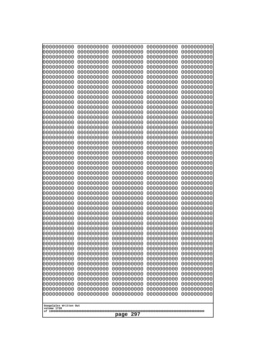| 10000000000<br>0000000000 | 0000000000<br>0000000000 | 0000000000<br>0000000000 | 0000000000<br>0000000000 | 0000000000<br>0000000000 |
|---------------------------|--------------------------|--------------------------|--------------------------|--------------------------|
| 0000000000                | 0000000000               | 0000000000               | 0000000000               | 0000000000               |
| 0000000000                | 0000000000<br>0000000000 | 0000000000<br>0000000000 | 0000000000               | 0000000000<br>0000000000 |
| 0000000000<br>0000000000  | 0000000000               | 0000000000               | 0000000000<br>0000000000 | 0000000000               |
| 0000000000                | 0000000000               | 0000000000               | 0000000000               | 0000000000               |
| 0000000000                | 0000000000               | 0000000000               | 0000000000               | 0000000000               |
| 0000000000<br>0000000000  | 0000000000<br>0000000000 | 0000000000<br>0000000000 | 0000000000<br>0000000000 | 0000000000<br>0000000000 |
| 0000000000                | 0000000000               | 0000000000               | 0000000000               | 0000000000               |
| 0000000000                | 0000000000               | 0000000000               | 0000000000               | 0000000000               |
| 0000000000<br>0000000000  | 0000000000<br>0000000000 | 0000000000<br>0000000000 | 0000000000<br>0000000000 | 0000000000<br>0000000000 |
| 0000000000                | 0000000000               | 0000000000               | 0000000000               | 0000000000               |
| 0000000000                | 0000000000               | 0000000000               | 0000000000               | 0000000000               |
| 0000000000<br>0000000000  | 0000000000<br>0000000000 | 0000000000<br>0000000000 | 0000000000<br>0000000000 | 0000000000<br>0000000000 |
| 0000000000                | 0000000000               | 0000000000               | 0000000000               | 0000000000               |
| 0000000000                | 0000000000               | 0000000000               | 0000000000               | 0000000000               |
| 0000000000<br>0000000000  | 0000000000<br>0000000000 | 0000000000<br>0000000000 | 0000000000<br>0000000000 | 0000000000<br>0000000000 |
| 0000000000                | 0000000000               | 0000000000               | 0000000000               | 0000000000               |
| 0000000000                | 0000000000               | 0000000000               | 0000000000               | 0000000000               |
| 0000000000                | 0000000000               | 0000000000               | 0000000000               | 0000000000               |
| 0000000000<br>0000000000  | 0000000000<br>0000000000 | 0000000000<br>0000000000 | 0000000000<br>0000000000 | 0000000000<br>0000000000 |
| 0000000000                | 0000000000               | 0000000000               | 0000000000               | 0000000000               |
| 0000000000                | 0000000000               | 0000000000               | 0000000000               | 0000000000               |
| 0000000000<br>0000000000  | 0000000000<br>0000000000 | 0000000000<br>0000000000 | 0000000000<br>0000000000 | 0000000000<br>0000000000 |
| 0000000000                | 0000000000               | 0000000000               | 0000000000               | 0000000000               |
| 0000000000                | 0000000000               | 0000000000               | 0000000000               | 0000000000               |
| 0000000000<br>0000000000  | 0000000000<br>0000000000 | 0000000000<br>0000000000 | 0000000000<br>0000000000 | 0000000000<br>0000000000 |
| 0000000000                | 0000000000               | 0000000000               | 0000000000               | 0000000000               |
| 0000000000                | 0000000000               | 0000000000               | 0000000000               | 0000000000<br>0000000000 |
| 0000000000<br>0000000000  | 0000000000<br>0000000000 | 0000000000<br>0000000000 | 0000000000<br>0000000000 | 0000000000               |
| 0000000000                | 0000000000               | 0000000000               | 0000000000               | 0000000000               |
| 0000000000<br>0000000000  | 0000000000               | 0000000000               | 0000000000               | 0000000000               |
| 0000000000                | 0000000000<br>0000000000 | 0000000000<br>0000000000 | 0000000000<br>0000000000 | 0000000000<br>0000000000 |
| 0000000000                | 0000000000               | 0000000000               | 0000000000               | 0000000000               |
| 0000000000                | 0000000000               | 0000000000               | 0000000000               | 0000000000               |
| 0000000000<br>0000000000  | 0000000000<br>0000000000 | 0000000000<br>0000000000 | 0000000000<br>0000000000 | 0000000000<br>0000000000 |
| 0000000000                | 0000000000               | 0000000000               | 0000000000               | 0000000000               |
| 0000000000                | 0000000000               | 0000000000               | 0000000000               | 0000000000               |
| 0000000000                | 0000000000               | 0000000000               | 0000000000               | 0000000000               |
| Googolplex Written Out    |                          |                          |                          |                          |
| volume 1720               |                          | 297<br>page              |                          |                          |
|                           |                          |                          |                          |                          |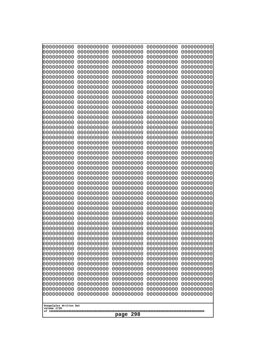| 0000000000                            | 0000000000 | 0000000000 | 0000000000 | 0000000000 |
|---------------------------------------|------------|------------|------------|------------|
| 0000000000                            | 0000000000 | 0000000000 | 0000000000 | 0000000000 |
| 0000000000                            | 0000000000 | 0000000000 | 0000000000 | 0000000000 |
| 0000000000                            | 0000000000 | 0000000000 | 0000000000 | 0000000000 |
| 0000000000                            | 0000000000 | 0000000000 | 0000000000 | 0000000000 |
| 0000000000                            | 0000000000 | 0000000000 | 0000000000 | 0000000000 |
| 0000000000                            | 0000000000 | 0000000000 | 0000000000 | 0000000000 |
| 0000000000                            | 0000000000 | 0000000000 | 0000000000 | 0000000000 |
| 0000000000                            | 0000000000 | 0000000000 | 0000000000 | 0000000000 |
| 0000000000                            | 0000000000 | 0000000000 | 0000000000 | 0000000000 |
| 0000000000                            | 0000000000 | 0000000000 | 0000000000 | 0000000000 |
| 0000000000                            | 0000000000 | 0000000000 | 0000000000 | 0000000000 |
| 0000000000                            | 0000000000 | 0000000000 | 0000000000 | 0000000000 |
| 0000000000                            | 0000000000 | 0000000000 | 0000000000 | 0000000000 |
| 0000000000                            | 0000000000 | 0000000000 | 0000000000 | 0000000000 |
| 0000000000                            | 0000000000 | 0000000000 | 0000000000 | 0000000000 |
| 0000000000                            | 0000000000 | 0000000000 | 0000000000 | 0000000000 |
| 0000000000                            | 0000000000 | 0000000000 | 0000000000 | 0000000000 |
| 0000000000                            | 0000000000 | 0000000000 | 0000000000 | 0000000000 |
| 0000000000                            | 0000000000 | 0000000000 | 0000000000 | 0000000000 |
| 0000000000                            | 0000000000 | 0000000000 | 0000000000 | 0000000000 |
| 0000000000                            | 0000000000 | 0000000000 | 0000000000 | 0000000000 |
| 0000000000                            | 0000000000 | 0000000000 | 0000000000 | 0000000000 |
| 0000000000                            | 0000000000 | 0000000000 | 0000000000 | 0000000000 |
| 0000000000                            | 0000000000 | 0000000000 | 0000000000 | 0000000000 |
| 0000000000                            | 0000000000 | 0000000000 | 0000000000 | 0000000000 |
| 0000000000                            | 0000000000 | 0000000000 | 0000000000 | 0000000000 |
| 0000000000                            | 0000000000 | 0000000000 | 0000000000 | 0000000000 |
| 0000000000                            | 0000000000 | 0000000000 | 0000000000 | 0000000000 |
| 0000000000                            | 0000000000 | 0000000000 | 0000000000 | 0000000000 |
| 0000000000                            | 0000000000 | 0000000000 | 0000000000 | 0000000000 |
|                                       |            |            |            |            |
|                                       |            |            |            |            |
|                                       |            |            |            |            |
|                                       |            |            |            |            |
|                                       |            |            |            |            |
|                                       |            |            |            |            |
| 0000000000                            | 0000000000 | 0000000000 | 0000000000 | 0000000000 |
| 0000000000                            | 0000000000 | 0000000000 | 0000000000 | 0000000000 |
| 0000000000                            | 0000000000 | 0000000000 | 0000000000 | 0000000000 |
| 0000000000                            | 0000000000 | 0000000000 | 0000000000 | 0000000000 |
| 0000000000                            | 0000000000 | 0000000000 | 0000000000 | 0000000000 |
| 0000000000                            | 0000000000 | 0000000000 | 0000000000 | 0000000000 |
| 0000000000                            | 0000000000 | 0000000000 | 0000000000 | 0000000000 |
| 0000000000                            | 0000000000 | 0000000000 | 0000000000 | 0000000000 |
| 0000000000                            | 0000000000 | 0000000000 | 0000000000 | 0000000000 |
| 0000000000                            | 0000000000 | 0000000000 | 0000000000 | 0000000000 |
| 0000000000                            | 0000000000 | 0000000000 | 0000000000 | 0000000000 |
| 0000000000                            | 0000000000 | 0000000000 | 0000000000 | 0000000000 |
| 0000000000                            | 0000000000 | 0000000000 | 0000000000 | 0000000000 |
| 0000000000                            | 0000000000 | 0000000000 | 0000000000 | 0000000000 |
| 0000000000                            | 0000000000 | 0000000000 | 0000000000 | 0000000000 |
| 0000000000                            | 0000000000 | 0000000000 | 0000000000 | 0000000000 |
| 0000000000                            | 0000000000 | 0000000000 | 0000000000 | 0000000000 |
| 0000000000                            | 0000000000 | 0000000000 | 0000000000 | 0000000000 |
| 0000000000                            | 0000000000 | 0000000000 | 0000000000 | 0000000000 |
| Googolplex Written Out<br>volume 1720 |            |            |            |            |
| 298<br>page                           |            |            |            |            |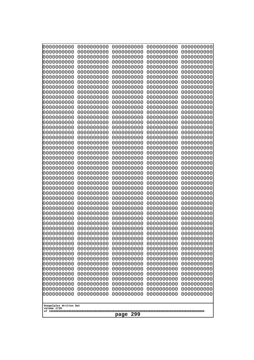| 0000000000                                                                     | 0000000000                                           | 0000000000                                           | 0000000000                                           | 0000000000                                           |
|--------------------------------------------------------------------------------|------------------------------------------------------|------------------------------------------------------|------------------------------------------------------|------------------------------------------------------|
| 0000000000                                                                     | 0000000000                                           | 0000000000                                           | 0000000000                                           | 0000000000                                           |
| 0000000000                                                                     | 0000000000                                           | 0000000000                                           | 0000000000                                           | 0000000000                                           |
| 0000000000                                                                     | 0000000000                                           | 0000000000                                           | 0000000000                                           | 0000000000                                           |
| 0000000000                                                                     | 0000000000                                           | 0000000000                                           | 0000000000                                           | 0000000000                                           |
| 0000000000                                                                     | 0000000000                                           | 0000000000                                           | 0000000000                                           | 0000000000                                           |
| 0000000000                                                                     | 0000000000                                           | 0000000000                                           | 0000000000                                           | 0000000000                                           |
| 0000000000                                                                     | 0000000000                                           | 0000000000                                           | 0000000000                                           | 0000000000                                           |
| 0000000000                                                                     | 0000000000                                           | 0000000000                                           | 0000000000                                           | 0000000000                                           |
| 0000000000                                                                     | 0000000000                                           | 0000000000                                           | 0000000000                                           | 0000000000                                           |
| 0000000000                                                                     | 0000000000                                           | 0000000000                                           | 0000000000                                           | 0000000000                                           |
| 0000000000                                                                     | 0000000000                                           | 0000000000                                           | 0000000000                                           | 0000000000                                           |
| 0000000000                                                                     | 0000000000                                           | 0000000000                                           | 0000000000                                           | 0000000000                                           |
| 0000000000                                                                     | 0000000000                                           | 0000000000                                           | 0000000000                                           | 0000000000                                           |
| 0000000000                                                                     | 0000000000                                           | 0000000000                                           | 0000000000                                           | 0000000000                                           |
| 0000000000                                                                     | 0000000000                                           | 0000000000                                           | 0000000000                                           | 0000000000                                           |
| 0000000000                                                                     | 0000000000                                           | 0000000000                                           | 0000000000                                           | 0000000000                                           |
| 0000000000                                                                     | 0000000000                                           | 0000000000                                           | 0000000000                                           | 0000000000                                           |
| 0000000000                                                                     | 0000000000                                           | 0000000000                                           | 0000000000                                           | 0000000000                                           |
| 0000000000                                                                     | 0000000000                                           | 0000000000                                           | 0000000000                                           | 0000000000                                           |
| 0000000000                                                                     | 0000000000                                           | 0000000000                                           | 0000000000                                           | 0000000000                                           |
| 0000000000                                                                     | 0000000000                                           | 0000000000                                           | 0000000000                                           | 0000000000                                           |
| 0000000000                                                                     | 0000000000                                           | 0000000000                                           | 0000000000                                           | 0000000000                                           |
| 0000000000                                                                     | 0000000000                                           | 0000000000                                           | 0000000000                                           | 0000000000                                           |
|                                                                                |                                                      |                                                      |                                                      |                                                      |
|                                                                                |                                                      |                                                      |                                                      |                                                      |
| 0000000000                                                                     | 0000000000                                           | 0000000000                                           | 0000000000                                           | 0000000000                                           |
| 0000000000                                                                     | 0000000000                                           | 0000000000                                           | 0000000000                                           | 0000000000                                           |
| 0000000000                                                                     | 0000000000                                           | 0000000000                                           | 0000000000                                           | 0000000000                                           |
| 0000000000                                                                     | 0000000000                                           | 0000000000                                           | 0000000000                                           | 0000000000                                           |
| 0000000000                                                                     | 0000000000                                           | 0000000000                                           | 0000000000                                           | 0000000000                                           |
| 0000000000                                                                     | 0000000000                                           | 0000000000                                           | 0000000000                                           | 0000000000                                           |
| 0000000000                                                                     | 0000000000                                           | 0000000000                                           | 0000000000                                           | 0000000000                                           |
| 0000000000                                                                     | 0000000000                                           | 0000000000                                           | 0000000000                                           | 0000000000                                           |
| 0000000000                                                                     | 0000000000                                           | 0000000000                                           | 0000000000                                           | 0000000000                                           |
| 0000000000                                                                     | 0000000000                                           | 0000000000                                           | 0000000000                                           | 0000000000                                           |
| 0000000000                                                                     | 0000000000                                           | 0000000000                                           | 0000000000                                           | 0000000000                                           |
| 0000000000                                                                     | 0000000000                                           | 0000000000                                           | 0000000000                                           | 0000000000                                           |
| 0000000000                                                                     | 0000000000                                           | 0000000000                                           | 0000000000                                           | 0000000000                                           |
| 0000000000                                                                     | 0000000000                                           | 0000000000                                           | 0000000000                                           | 0000000000                                           |
| 0000000000                                                                     | 0000000000                                           | 0000000000                                           | 0000000000                                           | 0000000000                                           |
| 0000000000                                                                     | 0000000000                                           | 0000000000                                           | 0000000000                                           | 0000000000                                           |
| 0000000000                                                                     | 0000000000                                           | 0000000000                                           | 0000000000                                           | 0000000000                                           |
| 0000000000                                                                     | 0000000000                                           | 0000000000                                           | 0000000000                                           | 0000000000                                           |
| 0000000000                                                                     | 0000000000                                           | 0000000000                                           | 0000000000                                           | 0000000000                                           |
| 0000000000                                                                     | 0000000000                                           | 0000000000                                           | 0000000000                                           | 0000000000                                           |
| 0000000000                                                                     | 0000000000                                           | 0000000000                                           | 0000000000                                           | 0000000000                                           |
| 0000000000                                                                     | 0000000000                                           | 0000000000                                           | 0000000000                                           | 0000000000                                           |
| 0000000000<br>0000000000<br>0000000000<br>0000000000<br>Googolplex Written Out | 0000000000<br>0000000000<br>0000000000<br>0000000000 | 0000000000<br>0000000000<br>0000000000<br>0000000000 | 0000000000<br>0000000000<br>0000000000<br>0000000000 | 0000000000<br>0000000000<br>0000000000<br>0000000000 |
| volume 1720<br>299<br>page                                                     |                                                      |                                                      |                                                      |                                                      |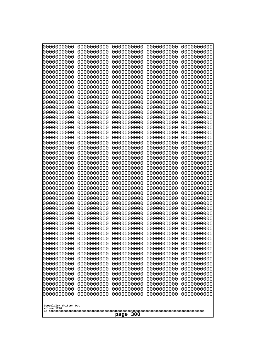| 0000000000                                           | 0000000000 | 0000000000 | 0000000000 | 0000000000 |
|------------------------------------------------------|------------|------------|------------|------------|
| 0000000000                                           | 0000000000 | 0000000000 | 0000000000 | 0000000000 |
| 0000000000                                           | 0000000000 | 0000000000 | 0000000000 | 0000000000 |
| 0000000000                                           | 0000000000 | 0000000000 | 0000000000 | 0000000000 |
| 0000000000                                           | 0000000000 | 0000000000 | 0000000000 | 0000000000 |
| 0000000000                                           | 0000000000 | 0000000000 | 0000000000 | 0000000000 |
| 0000000000                                           | 0000000000 | 0000000000 | 0000000000 | 0000000000 |
| 0000000000                                           | 0000000000 | 0000000000 | 0000000000 | 0000000000 |
| 0000000000                                           | 0000000000 | 0000000000 | 0000000000 | 0000000000 |
| 0000000000                                           | 0000000000 | 0000000000 | 0000000000 | 0000000000 |
| 0000000000                                           | 0000000000 | 0000000000 | 0000000000 | 0000000000 |
| 0000000000                                           | 0000000000 | 0000000000 | 0000000000 | 0000000000 |
| 0000000000                                           | 0000000000 | 0000000000 | 0000000000 | 0000000000 |
| 0000000000                                           | 0000000000 | 0000000000 | 0000000000 | 0000000000 |
| 0000000000                                           | 0000000000 | 0000000000 | 0000000000 | 0000000000 |
| 0000000000                                           | 0000000000 | 0000000000 | 0000000000 | 0000000000 |
| 0000000000                                           | 0000000000 | 0000000000 | 0000000000 | 0000000000 |
| 0000000000                                           | 0000000000 | 0000000000 | 0000000000 | 0000000000 |
| 0000000000                                           | 0000000000 | 0000000000 | 0000000000 | 0000000000 |
| 0000000000                                           | 0000000000 | 0000000000 | 0000000000 | 0000000000 |
| 0000000000                                           | 0000000000 | 0000000000 | 0000000000 | 0000000000 |
| 0000000000                                           | 0000000000 | 0000000000 | 0000000000 | 0000000000 |
| 0000000000                                           | 0000000000 | 0000000000 | 0000000000 | 0000000000 |
| 0000000000                                           | 0000000000 | 0000000000 | 0000000000 | 0000000000 |
| 0000000000                                           | 0000000000 | 0000000000 | 0000000000 | 0000000000 |
| 0000000000                                           | 0000000000 | 0000000000 | 0000000000 | 0000000000 |
| 0000000000                                           | 0000000000 | 0000000000 | 0000000000 | 0000000000 |
| 0000000000                                           | 0000000000 | 0000000000 | 0000000000 | 0000000000 |
| 0000000000                                           | 0000000000 | 0000000000 | 0000000000 | 0000000000 |
| 0000000000                                           | 0000000000 | 0000000000 | 0000000000 | 0000000000 |
| 0000000000                                           | 0000000000 | 0000000000 | 0000000000 | 0000000000 |
| 0000000000                                           | 0000000000 | 0000000000 | 0000000000 | 0000000000 |
| 0000000000                                           | 0000000000 | 0000000000 | 0000000000 | 0000000000 |
| 0000000000                                           | 0000000000 | 0000000000 | 0000000000 | 0000000000 |
| 0000000000                                           | 0000000000 | 0000000000 | 0000000000 | 0000000000 |
| 0000000000                                           | 0000000000 | 0000000000 | 0000000000 | 0000000000 |
| 0000000000                                           | 0000000000 | 0000000000 | 0000000000 | 0000000000 |
| 0000000000                                           | 0000000000 | 0000000000 | 0000000000 | 0000000000 |
| 0000000000                                           | 0000000000 | 0000000000 | 0000000000 | 0000000000 |
| 0000000000                                           | 0000000000 | 0000000000 | 0000000000 | 0000000000 |
| 0000000000                                           | 0000000000 | 0000000000 | 0000000000 | 0000000000 |
| 0000000000                                           | 0000000000 | 0000000000 | 0000000000 | 0000000000 |
| 0000000000                                           | 0000000000 | 0000000000 | 0000000000 | 0000000000 |
| 0000000000                                           | 0000000000 | 0000000000 | 0000000000 | 0000000000 |
| 0000000000                                           | 0000000000 | 0000000000 | 0000000000 | 0000000000 |
| 0000000000                                           | 0000000000 | 0000000000 | 0000000000 | 0000000000 |
| 0000000000                                           | 0000000000 | 0000000000 | 0000000000 | 0000000000 |
| 0000000000                                           | 0000000000 | 0000000000 | 0000000000 | 0000000000 |
| 0000000000                                           | 0000000000 | 0000000000 | 0000000000 | 0000000000 |
| 0000000000                                           | 0000000000 | 0000000000 | 0000000000 | 0000000000 |
| Googolplex Written Out<br>volume 1720<br>300<br>page |            |            |            |            |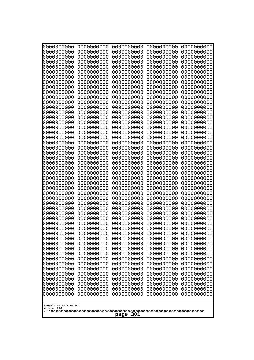| 0000000000                                                                                                                                                                                                                                                             | 0000000000 | 0000000000 | 0000000000 | 0000000000 |
|------------------------------------------------------------------------------------------------------------------------------------------------------------------------------------------------------------------------------------------------------------------------|------------|------------|------------|------------|
| 0000000000                                                                                                                                                                                                                                                             | 0000000000 | 0000000000 | 0000000000 | 0000000000 |
| 0000000000                                                                                                                                                                                                                                                             | 0000000000 | 0000000000 | 0000000000 | 0000000000 |
| 0000000000                                                                                                                                                                                                                                                             | 0000000000 | 0000000000 | 0000000000 | 0000000000 |
| 0000000000                                                                                                                                                                                                                                                             | 0000000000 | 0000000000 | 0000000000 | 0000000000 |
| 0000000000                                                                                                                                                                                                                                                             | 0000000000 | 0000000000 | 0000000000 | 0000000000 |
| 0000000000                                                                                                                                                                                                                                                             | 0000000000 | 0000000000 | 0000000000 | 0000000000 |
| 0000000000                                                                                                                                                                                                                                                             | 0000000000 | 0000000000 | 0000000000 | 0000000000 |
| 0000000000                                                                                                                                                                                                                                                             | 0000000000 | 0000000000 | 0000000000 | 0000000000 |
| 0000000000                                                                                                                                                                                                                                                             | 0000000000 | 0000000000 | 0000000000 | 0000000000 |
| 0000000000                                                                                                                                                                                                                                                             | 0000000000 | 0000000000 | 0000000000 | 0000000000 |
| 0000000000                                                                                                                                                                                                                                                             | 0000000000 | 0000000000 | 0000000000 | 0000000000 |
| 0000000000                                                                                                                                                                                                                                                             | 0000000000 | 0000000000 | 0000000000 | 0000000000 |
| 0000000000                                                                                                                                                                                                                                                             | 0000000000 | 0000000000 | 0000000000 | 0000000000 |
| 0000000000                                                                                                                                                                                                                                                             | 0000000000 | 0000000000 | 0000000000 | 0000000000 |
| 0000000000                                                                                                                                                                                                                                                             | 0000000000 | 0000000000 | 0000000000 | 0000000000 |
| 0000000000                                                                                                                                                                                                                                                             | 0000000000 | 0000000000 | 0000000000 | 0000000000 |
| 0000000000                                                                                                                                                                                                                                                             | 0000000000 | 0000000000 | 0000000000 | 0000000000 |
| 0000000000                                                                                                                                                                                                                                                             | 0000000000 | 0000000000 | 0000000000 | 0000000000 |
| 0000000000                                                                                                                                                                                                                                                             | 0000000000 | 0000000000 | 0000000000 | 0000000000 |
| 0000000000                                                                                                                                                                                                                                                             | 0000000000 | 0000000000 | 0000000000 | 0000000000 |
| 0000000000                                                                                                                                                                                                                                                             | 0000000000 | 0000000000 | 0000000000 | 0000000000 |
| 0000000000                                                                                                                                                                                                                                                             | 0000000000 | 0000000000 | 0000000000 | 0000000000 |
| 0000000000                                                                                                                                                                                                                                                             | 0000000000 | 0000000000 | 0000000000 | 0000000000 |
| 0000000000                                                                                                                                                                                                                                                             | 0000000000 | 0000000000 | 0000000000 | 0000000000 |
| 0000000000                                                                                                                                                                                                                                                             | 0000000000 | 0000000000 | 0000000000 | 0000000000 |
| 0000000000                                                                                                                                                                                                                                                             | 0000000000 | 0000000000 | 0000000000 | 0000000000 |
| 0000000000                                                                                                                                                                                                                                                             | 0000000000 | 0000000000 | 0000000000 | 0000000000 |
| 0000000000                                                                                                                                                                                                                                                             | 0000000000 | 0000000000 | 0000000000 | 0000000000 |
| 0000000000                                                                                                                                                                                                                                                             | 0000000000 | 0000000000 | 0000000000 | 0000000000 |
| 0000000000                                                                                                                                                                                                                                                             | 0000000000 | 0000000000 | 0000000000 | 0000000000 |
| 0000000000                                                                                                                                                                                                                                                             | 0000000000 | 0000000000 | 0000000000 | 0000000000 |
| 0000000000                                                                                                                                                                                                                                                             | 0000000000 | 0000000000 | 0000000000 | 0000000000 |
| 0000000000                                                                                                                                                                                                                                                             | 0000000000 | 0000000000 | 0000000000 | 0000000000 |
| 0000000000                                                                                                                                                                                                                                                             | 0000000000 | 0000000000 | 0000000000 | 0000000000 |
| 0000000000                                                                                                                                                                                                                                                             | 0000000000 | 0000000000 | 0000000000 | 0000000000 |
| 0000000000                                                                                                                                                                                                                                                             | 0000000000 | 0000000000 | 0000000000 | 0000000000 |
| 0000000000                                                                                                                                                                                                                                                             | 0000000000 | 0000000000 | 0000000000 | 0000000000 |
| 0000000000                                                                                                                                                                                                                                                             | 0000000000 | 0000000000 | 0000000000 | 0000000000 |
| 0000000000                                                                                                                                                                                                                                                             | 0000000000 | 0000000000 | 0000000000 | 0000000000 |
| 0000000000                                                                                                                                                                                                                                                             | 0000000000 | 0000000000 | 0000000000 | 0000000000 |
| 0000000000                                                                                                                                                                                                                                                             | 0000000000 | 0000000000 | 0000000000 | 0000000000 |
| 0000000000                                                                                                                                                                                                                                                             | 0000000000 | 0000000000 | 0000000000 | 0000000000 |
| 0000000000                                                                                                                                                                                                                                                             | 0000000000 | 0000000000 | 0000000000 | 0000000000 |
| 0000000000                                                                                                                                                                                                                                                             | 0000000000 | 0000000000 | 0000000000 | 0000000000 |
| 0000000000                                                                                                                                                                                                                                                             | 0000000000 | 0000000000 | 0000000000 | 0000000000 |
| 0000000000                                                                                                                                                                                                                                                             | 0000000000 | 0000000000 | 0000000000 | 0000000000 |
| 0000000000<br>0000000000<br>0000000000<br>0000000000<br>0000000000<br>0000000000<br>0000000000<br>0000000000<br>0000000000<br>0000000000<br>0000000000<br>0000000000<br>0000000000<br>0000000000<br>0000000000<br>Googolplex Written Out<br>volume 1720<br>301<br>page |            |            |            |            |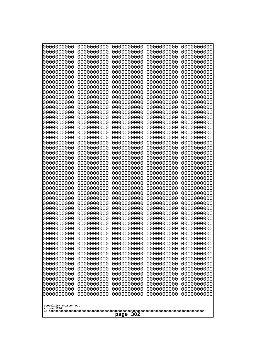| 0000000000<br>0000000000<br>0000000000<br>0000000000<br>0000000000<br>0000000000<br>0000000000<br>0000000000<br>0000000000<br>0000000000<br>0000000000<br>0000000000<br>0000000000<br>0000000000<br>0000000000<br>0000000000<br>0000000000<br>0000000000<br>0000000000<br>0000000000<br>0000000000<br>0000000000<br>0000000000<br>0000000000<br>0000000000<br>0000000000<br>0000000000<br>0000000000<br>0000000000<br>0000000000<br>0000000000<br>0000000000<br>0000000000<br>0000000000<br>0000000000<br>0000000000<br>0000000000<br>0000000000<br>0000000000<br>0000000000<br>0000000000<br>0000000000<br>0000000000<br>0000000000<br>0000000000<br>0000000000<br>0000000000<br>0000000000<br>0000000000<br>0000000000<br>0000000000<br>0000000000<br>0000000000<br>0000000000<br>0000000000<br>0000000000<br>0000000000<br>0000000000<br>0000000000<br>0000000000<br>0000000000<br>0000000000<br>0000000000<br>0000000000<br>0000000000<br>0000000000<br>0000000000<br>0000000000<br>0000000000<br>0000000000<br>0000000000<br>0000000000<br>0000000000<br>0000000000<br>0000000000<br>0000000000<br>0000000000<br>0000000000<br>0000000000<br>0000000000<br>0000000000<br>0000000000<br>0000000000<br>0000000000<br>0000000000<br>0000000000<br>0000000000<br>0000000000<br>0000000000<br>0000000000<br>0000000000<br>0000000000<br>0000000000<br>0000000000<br>0000000000<br>0000000000<br>0000000000<br>0000000000<br>0000000000<br>0000000000<br>0000000000<br>0000000000<br>0000000000<br>0000000000<br>0000000000<br>0000000000<br>0000000000<br>0000000000<br>0000000000<br>0000000000<br>0000000000<br>0000000000<br>0000000000<br>0000000000<br>0000000000<br>0000000000<br>0000000000<br>0000000000<br>0000000000<br>0000000000<br>0000000000<br>0000000000<br>0000000000<br>0000000000<br>0000000000<br>0000000000<br>0000000000<br>0000000000<br>0000000000<br>0000000000<br>Googolplex Written Out<br>volume 1720 | 0000000000<br>0000000000<br>0000000000<br>0000000000<br>0000000000<br>0000000000<br>0000000000<br>0000000000<br>0000000000<br>0000000000<br>0000000000<br>0000000000<br>0000000000<br>0000000000<br>0000000000<br>0000000000<br>0000000000<br>0000000000<br>0000000000<br>0000000000<br>0000000000<br>0000000000<br>0000000000 | 0000000000<br>0000000000<br>0000000000<br>0000000000<br>0000000000<br>0000000000<br>0000000000<br>0000000000<br>0000000000<br>0000000000<br>0000000000<br>0000000000<br>0000000000<br>0000000000<br>0000000000<br>0000000000<br>0000000000<br>0000000000<br>0000000000<br>0000000000<br>0000000000<br>0000000000<br>0000000000 | 0000000000<br>0000000000<br>0000000000<br>0000000000<br>0000000000<br>0000000000<br>0000000000<br>0000000000<br>0000000000<br>0000000000<br>0000000000<br>0000000000<br>0000000000<br>0000000000<br>0000000000<br>0000000000<br>0000000000<br>0000000000<br>0000000000<br>0000000000<br>0000000000<br>0000000000<br>0000000000 | 0000000000<br>0000000000<br>0000000000<br>0000000000<br>0000000000<br>0000000000<br>0000000000<br>0000000000<br>0000000000<br>0000000000<br>0000000000<br>0000000000<br>0000000000<br>0000000000<br>0000000000<br>0000000000<br>0000000000<br>0000000000<br>0000000000<br>0000000000<br>0000000000<br>0000000000<br>0000000000 | 0000000000<br>0000000000<br>0000000000<br>0000000000<br>0000000000<br>0000000000<br>0000000000<br>0000000000<br>0000000000<br>0000000000<br>0000000000<br>0000000000<br>0000000000<br>0000000000<br>0000000000<br>0000000000<br>0000000000<br>0000000000<br>0000000000<br>0000000000<br>0000000000<br>0000000000<br>0000000000 |
|-----------------------------------------------------------------------------------------------------------------------------------------------------------------------------------------------------------------------------------------------------------------------------------------------------------------------------------------------------------------------------------------------------------------------------------------------------------------------------------------------------------------------------------------------------------------------------------------------------------------------------------------------------------------------------------------------------------------------------------------------------------------------------------------------------------------------------------------------------------------------------------------------------------------------------------------------------------------------------------------------------------------------------------------------------------------------------------------------------------------------------------------------------------------------------------------------------------------------------------------------------------------------------------------------------------------------------------------------------------------------------------------------------------------------------------------------------------------------------------------------------------------------------------------------------------------------------------------------------------------------------------------------------------------------------------------------------------------------------------------------------------------------------------------------------------------------------------------------------------------------------------------------------------------------------------|--------------------------------------------------------------------------------------------------------------------------------------------------------------------------------------------------------------------------------------------------------------------------------------------------------------------------------|--------------------------------------------------------------------------------------------------------------------------------------------------------------------------------------------------------------------------------------------------------------------------------------------------------------------------------|--------------------------------------------------------------------------------------------------------------------------------------------------------------------------------------------------------------------------------------------------------------------------------------------------------------------------------|--------------------------------------------------------------------------------------------------------------------------------------------------------------------------------------------------------------------------------------------------------------------------------------------------------------------------------|--------------------------------------------------------------------------------------------------------------------------------------------------------------------------------------------------------------------------------------------------------------------------------------------------------------------------------|
|                                                                                                                                                                                                                                                                                                                                                                                                                                                                                                                                                                                                                                                                                                                                                                                                                                                                                                                                                                                                                                                                                                                                                                                                                                                                                                                                                                                                                                                                                                                                                                                                                                                                                                                                                                                                                                                                                                                                   | 0000000000                                                                                                                                                                                                                                                                                                                     | 0000000000                                                                                                                                                                                                                                                                                                                     | 0000000000                                                                                                                                                                                                                                                                                                                     | 0000000000                                                                                                                                                                                                                                                                                                                     | 0000000000                                                                                                                                                                                                                                                                                                                     |
|                                                                                                                                                                                                                                                                                                                                                                                                                                                                                                                                                                                                                                                                                                                                                                                                                                                                                                                                                                                                                                                                                                                                                                                                                                                                                                                                                                                                                                                                                                                                                                                                                                                                                                                                                                                                                                                                                                                                   |                                                                                                                                                                                                                                                                                                                                |                                                                                                                                                                                                                                                                                                                                |                                                                                                                                                                                                                                                                                                                                |                                                                                                                                                                                                                                                                                                                                |                                                                                                                                                                                                                                                                                                                                |
|                                                                                                                                                                                                                                                                                                                                                                                                                                                                                                                                                                                                                                                                                                                                                                                                                                                                                                                                                                                                                                                                                                                                                                                                                                                                                                                                                                                                                                                                                                                                                                                                                                                                                                                                                                                                                                                                                                                                   |                                                                                                                                                                                                                                                                                                                                |                                                                                                                                                                                                                                                                                                                                |                                                                                                                                                                                                                                                                                                                                |                                                                                                                                                                                                                                                                                                                                |                                                                                                                                                                                                                                                                                                                                |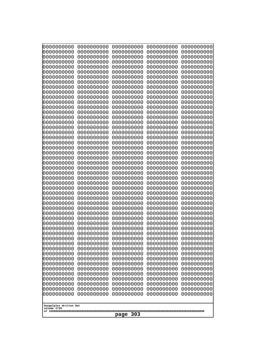| 0000000000                                                                                   | 0000000000 | 0000000000 | 0000000000 | 0000000000 |
|----------------------------------------------------------------------------------------------|------------|------------|------------|------------|
| 0000000000                                                                                   | 0000000000 | 0000000000 | 0000000000 | 0000000000 |
| 0000000000                                                                                   | 0000000000 | 0000000000 | 0000000000 | 0000000000 |
| 0000000000                                                                                   | 0000000000 | 0000000000 | 0000000000 | 0000000000 |
| 0000000000                                                                                   | 0000000000 | 0000000000 | 0000000000 | 0000000000 |
| 0000000000                                                                                   | 0000000000 | 0000000000 | 0000000000 | 0000000000 |
| 0000000000                                                                                   | 0000000000 | 0000000000 | 0000000000 | 0000000000 |
| 0000000000                                                                                   | 0000000000 | 0000000000 | 0000000000 | 0000000000 |
| 0000000000                                                                                   | 0000000000 | 0000000000 | 0000000000 | 0000000000 |
| 0000000000                                                                                   | 0000000000 | 0000000000 | 0000000000 | 0000000000 |
| 0000000000                                                                                   | 0000000000 | 0000000000 | 0000000000 | 0000000000 |
| 0000000000                                                                                   | 0000000000 | 0000000000 | 0000000000 | 0000000000 |
| 0000000000                                                                                   | 0000000000 | 0000000000 | 0000000000 | 0000000000 |
| 0000000000                                                                                   | 0000000000 | 0000000000 | 0000000000 | 0000000000 |
| 0000000000                                                                                   | 0000000000 | 0000000000 | 0000000000 | 0000000000 |
| 0000000000                                                                                   | 0000000000 | 0000000000 | 0000000000 | 0000000000 |
| 0000000000                                                                                   | 0000000000 | 0000000000 | 0000000000 | 0000000000 |
| 0000000000                                                                                   | 0000000000 | 0000000000 | 0000000000 | 0000000000 |
| 0000000000                                                                                   | 0000000000 | 0000000000 | 0000000000 | 0000000000 |
| 0000000000                                                                                   | 0000000000 | 0000000000 | 0000000000 | 0000000000 |
| 0000000000                                                                                   | 0000000000 | 0000000000 | 0000000000 | 0000000000 |
| 0000000000                                                                                   | 0000000000 | 0000000000 | 0000000000 | 0000000000 |
| 0000000000                                                                                   | 0000000000 | 0000000000 | 0000000000 | 0000000000 |
| 0000000000                                                                                   | 0000000000 | 0000000000 | 0000000000 | 0000000000 |
| 0000000000                                                                                   | 0000000000 | 0000000000 | 0000000000 | 0000000000 |
|                                                                                              |            |            |            |            |
|                                                                                              |            |            |            |            |
|                                                                                              |            |            |            |            |
|                                                                                              |            |            |            |            |
|                                                                                              |            |            |            |            |
| 0000000000                                                                                   | 0000000000 | 0000000000 | 0000000000 | 0000000000 |
| 0000000000                                                                                   | 0000000000 | 0000000000 | 0000000000 | 0000000000 |
| 0000000000                                                                                   | 0000000000 | 0000000000 | 0000000000 | 0000000000 |
| 0000000000                                                                                   | 0000000000 | 0000000000 | 0000000000 | 0000000000 |
| 0000000000                                                                                   | 0000000000 | 0000000000 | 0000000000 | 0000000000 |
| 0000000000                                                                                   | 0000000000 | 0000000000 | 0000000000 | 0000000000 |
| 0000000000                                                                                   | 0000000000 | 0000000000 | 0000000000 | 0000000000 |
| 0000000000                                                                                   | 0000000000 | 0000000000 | 0000000000 | 0000000000 |
| 0000000000                                                                                   | 0000000000 | 0000000000 | 0000000000 | 0000000000 |
| 0000000000                                                                                   | 0000000000 | 0000000000 | 0000000000 | 0000000000 |
| 0000000000                                                                                   | 0000000000 | 0000000000 | 0000000000 | 0000000000 |
| 0000000000                                                                                   | 0000000000 | 0000000000 | 0000000000 | 0000000000 |
| 0000000000                                                                                   | 0000000000 | 0000000000 | 0000000000 | 0000000000 |
| 0000000000                                                                                   | 0000000000 | 0000000000 | 0000000000 | 0000000000 |
| 0000000000                                                                                   | 0000000000 | 0000000000 | 0000000000 | 0000000000 |
| 0000000000                                                                                   | 0000000000 | 0000000000 | 0000000000 | 0000000000 |
| 0000000000                                                                                   | 0000000000 | 0000000000 | 0000000000 | 0000000000 |
| 0000000000                                                                                   | 0000000000 | 0000000000 | 0000000000 | 0000000000 |
| 0000000000                                                                                   | 0000000000 | 0000000000 | 0000000000 | 0000000000 |
| 0000000000                                                                                   | 0000000000 | 0000000000 | 0000000000 | 0000000000 |
| 0000000000                                                                                   | 0000000000 | 0000000000 | 0000000000 | 0000000000 |
| 0000000000                                                                                   | 0000000000 | 0000000000 | 0000000000 | 0000000000 |
| 0000000000                                                                                   | 0000000000 | 0000000000 | 0000000000 | 0000000000 |
| 0000000000                                                                                   | 0000000000 | 0000000000 | 0000000000 | 0000000000 |
| 0000000000<br>0000000000<br>0000000000<br>0000000000<br>0000000000<br>Googolplex Written Out |            |            |            |            |
| volume 1720<br>303<br>page                                                                   |            |            |            |            |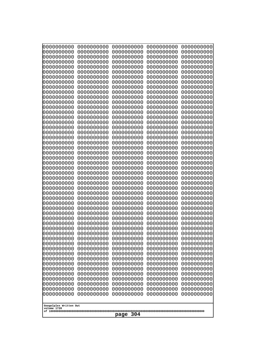| 10000000000                           | 0000000000               | 0000000000               | 0000000000               | 0000000000               |
|---------------------------------------|--------------------------|--------------------------|--------------------------|--------------------------|
| 0000000000<br>0000000000              | 0000000000<br>0000000000 | 0000000000<br>0000000000 | 0000000000<br>0000000000 | 0000000000<br>0000000000 |
| 0000000000                            | 0000000000               | 0000000000               | 0000000000               | 0000000000               |
| 0000000000                            | 0000000000               | 0000000000               | 0000000000               | 0000000000               |
| 0000000000                            | 0000000000               | 0000000000               | 0000000000               | 0000000000               |
| 0000000000<br>0000000000              | 0000000000<br>0000000000 | 0000000000<br>0000000000 | 0000000000<br>0000000000 | 0000000000<br>0000000000 |
| 0000000000                            | 0000000000               | 0000000000               | 0000000000               | 0000000000               |
| 0000000000                            | 0000000000               | 0000000000               | 0000000000               | 0000000000               |
| 0000000000                            | 0000000000               | 0000000000               | 0000000000               | 0000000000               |
| 0000000000<br>0000000000              | 0000000000<br>0000000000 | 0000000000<br>0000000000 | 0000000000<br>0000000000 | 0000000000<br>0000000000 |
| 0000000000                            | 0000000000               | 0000000000               | 0000000000               | 0000000000               |
| 0000000000                            | 0000000000               | 0000000000               | 0000000000               | 0000000000               |
| 0000000000                            | 0000000000               | 0000000000               | 0000000000               | 0000000000               |
| 0000000000<br>0000000000              | 0000000000<br>0000000000 | 0000000000<br>0000000000 | 0000000000<br>0000000000 | 0000000000<br>0000000000 |
| 0000000000                            | 0000000000               | 0000000000               | 0000000000               | 0000000000               |
| 0000000000                            | 0000000000               | 0000000000               | 0000000000               | 0000000000               |
| 0000000000                            | 0000000000               | 0000000000               | 0000000000               | 0000000000               |
| 0000000000<br>0000000000              | 0000000000<br>0000000000 | 0000000000<br>0000000000 | 0000000000<br>0000000000 | 0000000000<br>0000000000 |
| 0000000000                            | 0000000000               | 0000000000               | 0000000000               | 0000000000               |
| 0000000000                            | 0000000000               | 0000000000               | 0000000000               | 0000000000               |
| 0000000000                            | 0000000000               | 0000000000               | 0000000000               | 0000000000               |
| 0000000000<br>0000000000              | 0000000000<br>0000000000 | 0000000000<br>0000000000 | 0000000000<br>0000000000 | 0000000000<br>0000000000 |
| 0000000000                            | 0000000000               | 0000000000               | 0000000000               | 0000000000               |
| 0000000000                            | 0000000000               | 0000000000               | 0000000000               | 0000000000               |
| 0000000000                            | 0000000000               | 0000000000               | 0000000000               | 0000000000               |
| 0000000000<br>0000000000              | 0000000000<br>0000000000 | 0000000000<br>0000000000 | 0000000000<br>0000000000 | 0000000000<br>0000000000 |
| 0000000000                            | 0000000000               | 0000000000               | 0000000000               | 0000000000               |
| 0000000000                            | 0000000000               | 0000000000               | 0000000000               | 0000000000               |
| 0000000000                            | 0000000000<br>0000000000 | 0000000000<br>0000000000 | 0000000000               | 0000000000               |
| 0000000000<br>0000000000              | 0000000000               | 0000000000               | 0000000000<br>0000000000 | 0000000000<br>0000000000 |
| 0000000000                            | 0000000000               | 0000000000               | 0000000000               | 0000000000               |
| 0000000000                            | 0000000000               | 0000000000               | 0000000000               | 0000000000               |
| 0000000000<br>0000000000              | 0000000000<br>0000000000 | 0000000000<br>0000000000 | 0000000000<br>0000000000 | 0000000000<br>0000000000 |
| 0000000000                            | 0000000000               | 0000000000               | 0000000000               | 0000000000               |
| 0000000000                            | 0000000000               | 0000000000               | 0000000000               | 0000000000               |
| 0000000000                            | 0000000000               | 0000000000               | 0000000000               | 0000000000               |
| 0000000000<br>0000000000              | 0000000000<br>0000000000 | 0000000000<br>0000000000 | 0000000000<br>0000000000 | 0000000000<br>0000000000 |
| 0000000000                            | 0000000000               | 0000000000               | 0000000000               | 0000000000               |
| 0000000000                            | 0000000000               | 0000000000               | 0000000000               | 0000000000               |
| 0000000000                            | 0000000000               | 0000000000               | 0000000000               | 0000000000               |
|                                       |                          |                          |                          |                          |
| Googolplex Written Out<br>volume 1720 |                          |                          |                          |                          |
| 304<br>page                           |                          |                          |                          |                          |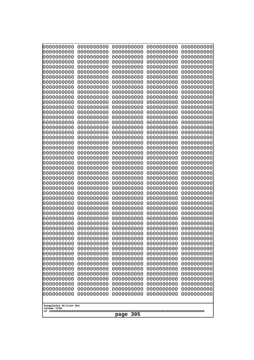| 0000000000<br>0000000000<br>0000000000<br>0000000000<br>0000000000<br>0000000000<br>0000000000<br>0000000000<br>0000000000<br>0000000000<br>0000000000<br>0000000000<br>0000000000<br>0000000000<br>0000000000<br>0000000000<br>0000000000<br>0000000000<br>0000000000<br>0000000000<br>0000000000<br>0000000000<br>0000000000<br>0000000000<br>0000000000<br>0000000000<br>0000000000<br>0000000000<br>0000000000<br>0000000000<br>0000000000<br>0000000000<br>0000000000<br>0000000000<br>0000000000<br>0000000000<br>0000000000<br>0000000000<br>0000000000<br>0000000000<br>0000000000<br>0000000000<br>0000000000<br>0000000000<br>0000000000<br>0000000000<br>0000000000<br>0000000000<br>0000000000<br>0000000000<br>0000000000<br>0000000000<br>0000000000<br>0000000000<br>0000000000<br>0000000000<br>0000000000<br>0000000000<br>0000000000<br>0000000000<br>0000000000<br>0000000000<br>0000000000<br>0000000000<br>0000000000<br>0000000000<br>0000000000<br>0000000000<br>0000000000<br>0000000000<br>0000000000<br>0000000000<br>0000000000<br>0000000000<br>0000000000<br>0000000000<br>0000000000<br>0000000000<br>0000000000<br>0000000000<br>0000000000<br>0000000000<br>0000000000<br>0000000000<br>0000000000 | 0000000000<br>0000000000<br>0000000000<br>0000000000<br>0000000000<br>0000000000<br>0000000000<br>0000000000<br>0000000000<br>0000000000<br>0000000000<br>0000000000<br>0000000000<br>0000000000<br>0000000000<br>0000000000<br>0000000000<br>0000000000<br>0000000000<br>0000000000<br>0000000000<br>0000000000<br>0000000000 | 0000000000<br>0000000000<br>0000000000<br>0000000000<br>0000000000<br>0000000000<br>0000000000<br>0000000000<br>0000000000<br>0000000000<br>0000000000<br>0000000000<br>0000000000<br>0000000000<br>0000000000<br>0000000000<br>0000000000<br>0000000000<br>0000000000<br>0000000000<br>0000000000<br>0000000000<br>0000000000 | 0000000000<br>0000000000<br>0000000000<br>0000000000<br>0000000000<br>0000000000<br>0000000000<br>0000000000<br>0000000000<br>0000000000<br>0000000000<br>0000000000<br>0000000000<br>0000000000<br>0000000000<br>0000000000<br>0000000000<br>0000000000<br>0000000000<br>0000000000<br>0000000000<br>0000000000<br>0000000000 | 0000000000<br>0000000000<br>0000000000<br>0000000000<br>0000000000<br>0000000000<br>0000000000<br>0000000000<br>0000000000<br>0000000000<br>0000000000<br>0000000000<br>0000000000<br>0000000000<br>0000000000<br>0000000000<br>0000000000<br>0000000000<br>0000000000<br>0000000000<br>0000000000<br>0000000000<br>0000000000 | 0000000000<br>0000000000<br>0000000000<br>0000000000<br>0000000000<br>0000000000<br>0000000000<br>0000000000<br>0000000000<br>0000000000<br>0000000000<br>0000000000<br>0000000000<br>0000000000<br>0000000000<br>0000000000<br>0000000000<br>0000000000<br>0000000000<br>0000000000<br>0000000000<br>0000000000<br>0000000000 |
|------------------------------------------------------------------------------------------------------------------------------------------------------------------------------------------------------------------------------------------------------------------------------------------------------------------------------------------------------------------------------------------------------------------------------------------------------------------------------------------------------------------------------------------------------------------------------------------------------------------------------------------------------------------------------------------------------------------------------------------------------------------------------------------------------------------------------------------------------------------------------------------------------------------------------------------------------------------------------------------------------------------------------------------------------------------------------------------------------------------------------------------------------------------------------------------------------------------------------------|--------------------------------------------------------------------------------------------------------------------------------------------------------------------------------------------------------------------------------------------------------------------------------------------------------------------------------|--------------------------------------------------------------------------------------------------------------------------------------------------------------------------------------------------------------------------------------------------------------------------------------------------------------------------------|--------------------------------------------------------------------------------------------------------------------------------------------------------------------------------------------------------------------------------------------------------------------------------------------------------------------------------|--------------------------------------------------------------------------------------------------------------------------------------------------------------------------------------------------------------------------------------------------------------------------------------------------------------------------------|--------------------------------------------------------------------------------------------------------------------------------------------------------------------------------------------------------------------------------------------------------------------------------------------------------------------------------|
|                                                                                                                                                                                                                                                                                                                                                                                                                                                                                                                                                                                                                                                                                                                                                                                                                                                                                                                                                                                                                                                                                                                                                                                                                                    | 0000000000                                                                                                                                                                                                                                                                                                                     | 0000000000                                                                                                                                                                                                                                                                                                                     | 0000000000                                                                                                                                                                                                                                                                                                                     | 0000000000                                                                                                                                                                                                                                                                                                                     | 0000000000<br>0000000000<br>0000000000<br>0000000000<br>0000000000<br>0000000000                                                                                                                                                                                                                                               |
|                                                                                                                                                                                                                                                                                                                                                                                                                                                                                                                                                                                                                                                                                                                                                                                                                                                                                                                                                                                                                                                                                                                                                                                                                                    |                                                                                                                                                                                                                                                                                                                                |                                                                                                                                                                                                                                                                                                                                |                                                                                                                                                                                                                                                                                                                                |                                                                                                                                                                                                                                                                                                                                | 0000000000<br>0000000000<br>0000000000<br>0000000000<br>0000000000<br>0000000000<br>0000000000<br>0000000000                                                                                                                                                                                                                   |
|                                                                                                                                                                                                                                                                                                                                                                                                                                                                                                                                                                                                                                                                                                                                                                                                                                                                                                                                                                                                                                                                                                                                                                                                                                    | 0000000000                                                                                                                                                                                                                                                                                                                     | 0000000000                                                                                                                                                                                                                                                                                                                     | 0000000000                                                                                                                                                                                                                                                                                                                     | 0000000000                                                                                                                                                                                                                                                                                                                     | 0000000000<br>0000000000<br>0000000000<br>0000000000<br>0000000000<br>0000000000<br>0000000000<br>0000000000                                                                                                                                                                                                                   |
| 0000000000<br>0000000000<br>0000000000<br>0000000000<br>0000000000<br>0000000000<br>0000000000<br>0000000000<br>0000000000<br>0000000000<br>0000000000<br>0000000000<br>0000000000<br>0000000000<br>0000000000<br>0000000000<br>0000000000<br>0000000000<br>0000000000<br>0000000000<br>Googolplex Written Out<br>volume 1720<br>305<br>page                                                                                                                                                                                                                                                                                                                                                                                                                                                                                                                                                                                                                                                                                                                                                                                                                                                                                       |                                                                                                                                                                                                                                                                                                                                |                                                                                                                                                                                                                                                                                                                                |                                                                                                                                                                                                                                                                                                                                |                                                                                                                                                                                                                                                                                                                                |                                                                                                                                                                                                                                                                                                                                |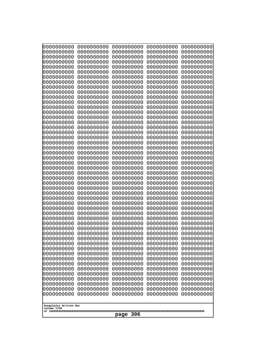| 10000000000                           | 0000000000               | 0000000000               | 0000000000               | 0000000000               |
|---------------------------------------|--------------------------|--------------------------|--------------------------|--------------------------|
| 0000000000<br>0000000000              | 0000000000<br>0000000000 | 0000000000<br>0000000000 | 0000000000<br>0000000000 | 0000000000<br>0000000000 |
| 0000000000                            | 0000000000               | 0000000000               | 0000000000               | 0000000000               |
| 0000000000                            | 0000000000               | 0000000000               | 0000000000               | 0000000000               |
| 0000000000                            | 0000000000               | 0000000000               | 0000000000               | 0000000000               |
| 0000000000<br>0000000000              | 0000000000<br>0000000000 | 0000000000<br>0000000000 | 0000000000<br>0000000000 | 0000000000<br>0000000000 |
| 0000000000                            | 0000000000               | 0000000000               | 0000000000               | 0000000000               |
| 0000000000                            | 0000000000               | 0000000000               | 0000000000               | 0000000000               |
| 0000000000                            | 0000000000               | 0000000000               | 0000000000               | 0000000000               |
| 0000000000<br>0000000000              | 0000000000<br>0000000000 | 0000000000<br>0000000000 | 0000000000<br>0000000000 | 0000000000<br>0000000000 |
| 0000000000                            | 0000000000               | 0000000000               | 0000000000               | 0000000000               |
| 0000000000                            | 0000000000               | 0000000000               | 0000000000               | 0000000000               |
| 0000000000                            | 0000000000               | 0000000000               | 0000000000               | 0000000000               |
| 0000000000<br>0000000000              | 0000000000<br>0000000000 | 0000000000<br>0000000000 | 0000000000<br>0000000000 | 0000000000<br>0000000000 |
| 0000000000                            | 0000000000               | 0000000000               | 0000000000               | 0000000000               |
| 0000000000                            | 0000000000               | 0000000000               | 0000000000               | 0000000000               |
| 0000000000                            | 0000000000               | 0000000000               | 0000000000               | 0000000000               |
| 0000000000<br>0000000000              | 0000000000<br>0000000000 | 0000000000<br>0000000000 | 0000000000<br>0000000000 | 0000000000<br>0000000000 |
| 0000000000                            | 0000000000               | 0000000000               | 0000000000               | 0000000000               |
| 0000000000                            | 0000000000               | 0000000000               | 0000000000               | 0000000000               |
| 0000000000                            | 0000000000               | 0000000000               | 0000000000               | 0000000000               |
| 0000000000<br>0000000000              | 0000000000<br>0000000000 | 0000000000<br>0000000000 | 0000000000<br>0000000000 | 0000000000<br>0000000000 |
| 0000000000                            | 0000000000               | 0000000000               | 0000000000               | 0000000000               |
| 0000000000                            | 0000000000               | 0000000000               | 0000000000               | 0000000000               |
| 0000000000                            | 0000000000               | 0000000000               | 0000000000               | 0000000000               |
| 0000000000<br>0000000000              | 0000000000<br>0000000000 | 0000000000<br>0000000000 | 0000000000<br>0000000000 | 0000000000<br>0000000000 |
| 0000000000                            | 0000000000               | 0000000000               | 0000000000               | 0000000000               |
| 0000000000                            | 0000000000               | 0000000000               | 0000000000               | 0000000000               |
| 0000000000                            | 0000000000<br>0000000000 | 0000000000<br>0000000000 | 0000000000               | 0000000000               |
| 0000000000<br>0000000000              | 0000000000               | 0000000000               | 0000000000<br>0000000000 | 0000000000<br>0000000000 |
| 0000000000                            | 0000000000               | 0000000000               | 0000000000               | 0000000000               |
| 0000000000                            | 0000000000               | 0000000000               | 0000000000               | 0000000000               |
| 0000000000<br>0000000000              | 0000000000<br>0000000000 | 0000000000<br>0000000000 | 0000000000<br>0000000000 | 0000000000<br>0000000000 |
| 0000000000                            | 0000000000               | 0000000000               | 0000000000               | 0000000000               |
| 0000000000                            | 0000000000               | 0000000000               | 0000000000               | 0000000000               |
| 0000000000                            | 0000000000               | 0000000000               | 0000000000               | 0000000000               |
| 0000000000<br>0000000000              | 0000000000<br>0000000000 | 0000000000<br>0000000000 | 0000000000<br>0000000000 | 0000000000<br>0000000000 |
| 0000000000                            | 0000000000               | 0000000000               | 0000000000               | 0000000000               |
| 0000000000                            | 0000000000               | 0000000000               | 0000000000               | 0000000000               |
| 0000000000                            | 0000000000               | 0000000000               | 0000000000               | 0000000000               |
|                                       |                          |                          |                          |                          |
| Googolplex Written Out<br>volume 1720 |                          |                          |                          |                          |
| 306<br>page                           |                          |                          |                          |                          |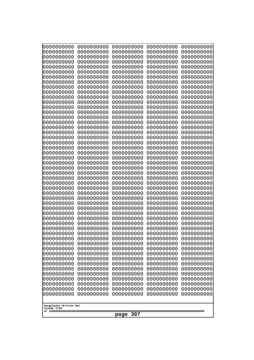| 10000000000<br>0000000000             | 0000000000<br>0000000000 | 0000000000<br>0000000000 | 0000000000<br>0000000000 | 0000000000<br>0000000000 |
|---------------------------------------|--------------------------|--------------------------|--------------------------|--------------------------|
| 0000000000                            | 0000000000               | 0000000000               | 0000000000               | 0000000000               |
| 0000000000                            | 0000000000               | 0000000000               | 0000000000               | 0000000000               |
| 0000000000<br>0000000000              | 0000000000<br>0000000000 | 0000000000<br>0000000000 | 0000000000<br>0000000000 | 0000000000<br>0000000000 |
| 0000000000                            | 0000000000               | 0000000000               | 0000000000               | 0000000000               |
| 0000000000                            | 0000000000               | 0000000000               | 0000000000               | 0000000000               |
| 0000000000<br>0000000000              | 0000000000<br>0000000000 | 0000000000<br>0000000000 | 0000000000<br>0000000000 | 0000000000<br>0000000000 |
| 0000000000                            | 0000000000               | 0000000000               | 0000000000               | 0000000000               |
| 0000000000                            | 0000000000               | 0000000000               | 0000000000               | 0000000000               |
| 0000000000                            | 0000000000               | 0000000000               | 0000000000               | 0000000000               |
| 0000000000<br>0000000000              | 0000000000<br>0000000000 | 0000000000<br>0000000000 | 0000000000<br>0000000000 | 0000000000<br>0000000000 |
| 0000000000                            | 0000000000               | 0000000000               | 0000000000               | 0000000000               |
| 0000000000                            | 0000000000               | 0000000000               | 0000000000               | 0000000000               |
| 0000000000<br>0000000000              | 0000000000<br>0000000000 | 0000000000<br>0000000000 | 0000000000<br>0000000000 | 0000000000<br>0000000000 |
| 0000000000                            | 0000000000               | 0000000000               | 0000000000               | 0000000000               |
| 0000000000                            | 0000000000               | 0000000000               | 0000000000               | 0000000000               |
| 0000000000<br>0000000000              | 0000000000<br>0000000000 | 0000000000<br>0000000000 | 0000000000<br>0000000000 | 0000000000<br>0000000000 |
| 0000000000                            | 0000000000               | 0000000000               | 0000000000               | 0000000000               |
| 0000000000                            | 0000000000               | 0000000000               | 0000000000               | 0000000000               |
| 0000000000                            | 0000000000               | 0000000000               | 0000000000               | 0000000000               |
| 0000000000<br>0000000000              | 0000000000<br>0000000000 | 0000000000<br>0000000000 | 0000000000<br>0000000000 | 0000000000<br>0000000000 |
| 0000000000                            | 0000000000               | 0000000000               | 0000000000               | 0000000000               |
| 0000000000                            | 0000000000               | 0000000000               | 0000000000               | 0000000000               |
| 0000000000<br>0000000000              | 0000000000<br>0000000000 | 0000000000<br>0000000000 | 0000000000<br>0000000000 | 0000000000<br>0000000000 |
| 0000000000                            | 0000000000               | 0000000000               | 0000000000               | 0000000000               |
| 0000000000                            | 0000000000               | 0000000000               | 0000000000               | 0000000000               |
| 0000000000<br>0000000000              | 0000000000<br>0000000000 | 0000000000<br>0000000000 | 0000000000<br>0000000000 | 0000000000<br>0000000000 |
| 0000000000                            | 0000000000               | 0000000000               | 0000000000               | 0000000000               |
| 0000000000                            | 0000000000               | 0000000000               | 0000000000               | 0000000000               |
| 0000000000<br>0000000000              | 0000000000<br>0000000000 | 0000000000               | 0000000000               | 0000000000               |
| 0000000000                            | 0000000000               | 0000000000<br>0000000000 | 0000000000<br>0000000000 | 0000000000<br>0000000000 |
| 0000000000                            | 0000000000               | 0000000000               | 0000000000               | 0000000000               |
| 0000000000                            | 0000000000               | 0000000000               | 0000000000               | 0000000000               |
| 0000000000<br>0000000000              | 0000000000<br>0000000000 | 0000000000<br>0000000000 | 0000000000<br>0000000000 | 0000000000<br>0000000000 |
| 0000000000                            | 0000000000               | 0000000000               | 0000000000               | 0000000000               |
| 0000000000                            | 0000000000               | 0000000000               | 0000000000               | 0000000000               |
| 0000000000<br>0000000000              | 0000000000<br>0000000000 | 0000000000<br>0000000000 | 0000000000<br>0000000000 | 0000000000<br>0000000000 |
| 0000000000                            | 0000000000               | 0000000000               | 0000000000               | 0000000000               |
|                                       |                          |                          |                          |                          |
| Googolplex Written Out<br>volume 1720 |                          |                          |                          |                          |
| 307<br>page                           |                          |                          |                          |                          |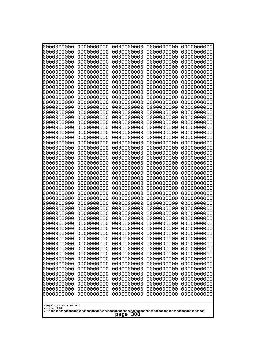| 10000000000                           | 0000000000               | 0000000000               | 0000000000               | 0000000000               |
|---------------------------------------|--------------------------|--------------------------|--------------------------|--------------------------|
| 0000000000<br>0000000000              | 0000000000<br>0000000000 | 0000000000<br>0000000000 | 0000000000<br>0000000000 | 0000000000<br>0000000000 |
| 0000000000                            | 0000000000               | 0000000000               | 0000000000               | 0000000000               |
| 0000000000                            | 0000000000               | 0000000000               | 0000000000               | 0000000000               |
| 0000000000                            | 0000000000               | 0000000000               | 0000000000               | 0000000000               |
| 0000000000<br>0000000000              | 0000000000<br>0000000000 | 0000000000<br>0000000000 | 0000000000<br>0000000000 | 0000000000<br>0000000000 |
| 0000000000                            | 0000000000               | 0000000000               | 0000000000               | 0000000000               |
| 0000000000                            | 0000000000               | 0000000000               | 0000000000               | 0000000000               |
| 0000000000                            | 0000000000               | 0000000000               | 0000000000               | 0000000000               |
| 0000000000<br>0000000000              | 0000000000<br>0000000000 | 0000000000<br>0000000000 | 0000000000<br>0000000000 | 0000000000<br>0000000000 |
| 0000000000                            | 0000000000               | 0000000000               | 0000000000               | 0000000000               |
| 0000000000                            | 0000000000               | 0000000000               | 0000000000               | 0000000000               |
| 0000000000                            | 0000000000               | 0000000000               | 0000000000               | 0000000000               |
| 0000000000<br>0000000000              | 0000000000<br>0000000000 | 0000000000<br>0000000000 | 0000000000<br>0000000000 | 0000000000<br>0000000000 |
| 0000000000                            | 0000000000               | 0000000000               | 0000000000               | 0000000000               |
| 0000000000                            | 0000000000               | 0000000000               | 0000000000               | 0000000000               |
| 0000000000                            | 0000000000               | 0000000000               | 0000000000               | 0000000000               |
| 0000000000<br>0000000000              | 0000000000<br>0000000000 | 0000000000<br>0000000000 | 0000000000<br>0000000000 | 0000000000<br>0000000000 |
| 0000000000                            | 0000000000               | 0000000000               | 0000000000               | 0000000000               |
| 0000000000                            | 0000000000               | 0000000000               | 0000000000               | 0000000000               |
| 0000000000                            | 0000000000               | 0000000000               | 0000000000               | 0000000000               |
| 0000000000<br>0000000000              | 0000000000<br>0000000000 | 0000000000<br>0000000000 | 0000000000<br>0000000000 | 0000000000<br>0000000000 |
| 0000000000                            | 0000000000               | 0000000000               | 0000000000               | 0000000000               |
| 0000000000                            | 0000000000               | 0000000000               | 0000000000               | 0000000000               |
| 0000000000                            | 0000000000               | 0000000000               | 0000000000               | 0000000000               |
| 0000000000<br>0000000000              | 0000000000<br>0000000000 | 0000000000<br>0000000000 | 0000000000<br>0000000000 | 0000000000<br>0000000000 |
| 0000000000                            | 0000000000               | 0000000000               | 0000000000               | 0000000000               |
| 0000000000                            | 0000000000               | 0000000000               | 0000000000               | 0000000000               |
| 0000000000                            | 0000000000<br>0000000000 | 0000000000<br>0000000000 | 0000000000               | 0000000000               |
| 0000000000<br>0000000000              | 0000000000               | 0000000000               | 0000000000<br>0000000000 | 0000000000<br>0000000000 |
| 0000000000                            | 0000000000               | 0000000000               | 0000000000               | 0000000000               |
| 0000000000                            | 0000000000               | 0000000000               | 0000000000               | 0000000000               |
| 0000000000<br>0000000000              | 0000000000<br>0000000000 | 0000000000<br>0000000000 | 0000000000<br>0000000000 | 0000000000<br>0000000000 |
| 0000000000                            | 0000000000               | 0000000000               | 0000000000               | 0000000000               |
| 0000000000                            | 0000000000               | 0000000000               | 0000000000               | 0000000000               |
| 0000000000                            | 0000000000               | 0000000000               | 0000000000               | 0000000000               |
| 0000000000<br>0000000000              | 0000000000<br>0000000000 | 0000000000<br>0000000000 | 0000000000<br>0000000000 | 0000000000<br>0000000000 |
| 0000000000                            | 0000000000               | 0000000000               | 0000000000               | 0000000000               |
| 0000000000                            | 0000000000               | 0000000000               | 0000000000               | 0000000000               |
| 0000000000                            | 0000000000               | 0000000000               | 0000000000               | 0000000000               |
|                                       |                          |                          |                          |                          |
| Googolplex Written Out<br>volume 1720 |                          |                          |                          |                          |
| 308<br>page                           |                          |                          |                          |                          |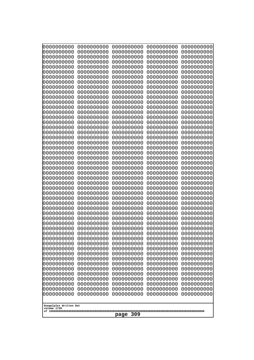| 000000000                | 0000000000               | 0000000000               | 0000000000               | 0000000000               |
|--------------------------|--------------------------|--------------------------|--------------------------|--------------------------|
| 0000000000               | 0000000000               | 0000000000               | 0000000000               | 0000000000               |
| 0000000000               | 0000000000               | 0000000000               | 0000000000               | 0000000000               |
| 0000000000               | 0000000000               | 0000000000               | 0000000000               | 0000000000               |
| 0000000000               | 0000000000               | 0000000000               | 0000000000               | 0000000000               |
| 0000000000               | 0000000000               | 0000000000               | 0000000000               | 0000000000               |
| 0000000000               | 0000000000               | 0000000000               | 0000000000               | 0000000000               |
| 0000000000               | 0000000000               | 0000000000               | 0000000000               | 0000000000               |
| 0000000000               | 0000000000<br>0000000000 | 0000000000<br>0000000000 | 0000000000               | 0000000000               |
| 0000000000<br>0000000000 | 0000000000               | 0000000000               | 0000000000<br>0000000000 | 0000000000<br>0000000000 |
| 0000000000               | 0000000000               | 0000000000               | 0000000000               | 0000000000               |
| 0000000000               | 0000000000               | 0000000000               | 0000000000               | 0000000000               |
| 0000000000               | 0000000000               | 0000000000               | 0000000000               | 0000000000               |
| 0000000000               | 0000000000               | 0000000000               | 0000000000               | 0000000000               |
| 0000000000               | 0000000000               | 0000000000               | 0000000000               | 0000000000               |
| 0000000000               | 0000000000               | 0000000000               | 0000000000               | 0000000000               |
| 0000000000               | 0000000000               | 0000000000               | 0000000000               | 0000000000               |
| 0000000000               | 0000000000               | 0000000000               | 0000000000               | 0000000000               |
| 0000000000               | 0000000000               | 0000000000               | 0000000000               | 0000000000               |
| 0000000000               | 0000000000               | 0000000000               | 0000000000               | 0000000000               |
| 0000000000<br>0000000000 | 0000000000<br>0000000000 | 0000000000<br>0000000000 | 0000000000<br>0000000000 | 0000000000<br>0000000000 |
| 0000000000               | 0000000000               | 0000000000               | 0000000000               | 0000000000               |
| 0000000000               | 0000000000               | 0000000000               | 0000000000               | 0000000000               |
| 0000000000               | 0000000000               | 0000000000               | 0000000000               | 0000000000               |
| 0000000000               | 0000000000               | 0000000000               | 0000000000               | 0000000000               |
| 0000000000               | 0000000000               | 0000000000               | 0000000000               | 0000000000               |
| 0000000000               | 0000000000               | 0000000000               | 0000000000               | 0000000000               |
| 0000000000               | 0000000000               | 0000000000               | 0000000000               | 0000000000               |
| 0000000000               | 0000000000               | 0000000000               | 0000000000               | 0000000000               |
| 0000000000               | 0000000000               | 0000000000               | 0000000000               | 0000000000               |
| 0000000000               | 0000000000               | 0000000000               | 0000000000               | 0000000000               |
| 0000000000<br>0000000000 | 0000000000<br>0000000000 | 0000000000<br>0000000000 | 0000000000<br>0000000000 | 0000000000<br>0000000000 |
| 0000000000               | 0000000000               | 0000000000               | 0000000000               | 0000000000               |
| 0000000000               | 0000000000               | 0000000000               | 0000000000               | 0000000000               |
| 0000000000               | 0000000000               | 0000000000               | 0000000000               | 0000000000               |
| 0000000000               | 0000000000               | 0000000000               | 0000000000               | 0000000000               |
| 0000000000               | 0000000000               | 0000000000               | 0000000000               | 0000000000               |
| 0000000000               | 0000000000               | 0000000000               | 0000000000               | 0000000000               |
| 0000000000               | 0000000000               | 0000000000               | 0000000000               | 0000000000               |
| 0000000000               | 0000000000               | 0000000000               | 0000000000               | 0000000000               |
| 0000000000               | 0000000000               | 0000000000               | 0000000000               | 0000000000               |
| 0000000000               | 0000000000               | 0000000000               | 0000000000               | 0000000000               |
| 0000000000<br>0000000000 | 0000000000<br>0000000000 | 0000000000<br>0000000000 | 0000000000<br>0000000000 | 0000000000<br>0000000000 |
| 0000000000               | 0000000000               | 0000000000               | 0000000000               | 0000000000               |
| 0000000000               | 0000000000               | 0000000000               | 0000000000               | 0000000000               |
| 0000000000               | 0000000000               | 0000000000               | 0000000000               | 0000000000               |
|                          |                          |                          |                          |                          |
| Googolplex Written Out   |                          |                          |                          |                          |
| volume 1720              |                          |                          |                          |                          |
| 309<br>page              |                          |                          |                          |                          |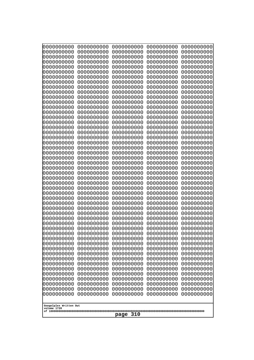| 0000000000               | 0000000000               | 0000000000               | 0000000000               | 0000000000               |
|--------------------------|--------------------------|--------------------------|--------------------------|--------------------------|
| 0000000000<br>0000000000 | 0000000000<br>0000000000 | 0000000000<br>0000000000 | 0000000000<br>0000000000 | 0000000000<br>0000000000 |
| 0000000000               | 0000000000               | 0000000000               | 0000000000               | 0000000000               |
| 0000000000               | 0000000000               | 0000000000               | 0000000000               | 0000000000               |
| 0000000000               | 0000000000               | 0000000000               | 0000000000               | 0000000000               |
| 0000000000               | 0000000000               | 0000000000               | 0000000000               | 0000000000               |
| 0000000000<br>0000000000 | 0000000000<br>0000000000 | 0000000000<br>0000000000 | 0000000000<br>0000000000 | 0000000000<br>0000000000 |
| 0000000000               | 0000000000               | 0000000000               | 0000000000               | 0000000000               |
| 0000000000               | 0000000000               | 0000000000               | 0000000000               | 0000000000               |
| 0000000000               | 0000000000               | 0000000000               | 0000000000               | 0000000000               |
| 0000000000<br>0000000000 | 0000000000<br>0000000000 | 0000000000<br>0000000000 | 0000000000<br>0000000000 | 0000000000<br>0000000000 |
| 0000000000               | 0000000000               | 0000000000               | 0000000000               | 0000000000               |
| 0000000000               | 0000000000               | 0000000000               | 0000000000               | 0000000000               |
| 0000000000<br>0000000000 | 0000000000<br>0000000000 | 0000000000<br>0000000000 | 0000000000<br>0000000000 | 0000000000<br>0000000000 |
| 0000000000               | 0000000000               | 0000000000               | 0000000000               | 0000000000               |
| 0000000000               | 0000000000               | 0000000000               | 0000000000               | 0000000000               |
| 0000000000               | 0000000000               | 0000000000               | 0000000000               | 0000000000               |
| 0000000000<br>0000000000 | 0000000000<br>0000000000 | 0000000000<br>0000000000 | 0000000000<br>0000000000 | 0000000000<br>0000000000 |
| 0000000000               | 0000000000               | 0000000000               | 0000000000               | 0000000000               |
| 0000000000               | 0000000000               | 0000000000               | 0000000000               | 0000000000               |
| 0000000000               | 0000000000               | 0000000000               | 0000000000               | 0000000000               |
| 0000000000<br>0000000000 | 0000000000<br>0000000000 | 0000000000<br>0000000000 | 0000000000<br>0000000000 | 0000000000<br>0000000000 |
| 0000000000               | 0000000000               | 0000000000               | 0000000000               | 0000000000               |
| 0000000000               | 0000000000               | 0000000000               | 0000000000               | 0000000000               |
| 0000000000<br>0000000000 | 0000000000<br>0000000000 | 0000000000<br>0000000000 | 0000000000<br>0000000000 | 0000000000<br>0000000000 |
| 0000000000               | 0000000000               | 0000000000               | 0000000000               | 0000000000               |
| 0000000000               | 0000000000               | 0000000000               | 0000000000               | 0000000000               |
| 0000000000               | 0000000000               | 0000000000               | 0000000000               | 0000000000               |
| 0000000000<br>0000000000 | 0000000000<br>0000000000 | 0000000000<br>0000000000 | 0000000000<br>0000000000 | 0000000000<br>0000000000 |
| 0000000000               | 0000000000               | 0000000000               | 0000000000               | 0000000000               |
| 0000000000               | 0000000000               | 0000000000               | 0000000000               | 0000000000               |
| 0000000000               | 0000000000               | 0000000000               | 0000000000               | 0000000000               |
| 0000000000<br>0000000000 | 0000000000<br>0000000000 | 0000000000<br>0000000000 | 0000000000<br>0000000000 | 0000000000<br>0000000000 |
| 0000000000               | 0000000000               | 0000000000               | 0000000000               | 0000000000               |
| 0000000000               | 0000000000               | 0000000000               | 0000000000               | 0000000000               |
| 0000000000<br>0000000000 | 0000000000<br>0000000000 | 0000000000<br>0000000000 | 0000000000<br>0000000000 | 0000000000<br>0000000000 |
| 0000000000               | 0000000000               | 0000000000               | 0000000000               | 0000000000               |
| 0000000000               | 0000000000               | 0000000000               | 0000000000               | 0000000000               |
| 0000000000               | 0000000000               | 0000000000               | 0000000000               | 0000000000               |
| 0000000000               | 0000000000               | 0000000000               | 0000000000               | 0000000000               |
| Googolplex Written Out   |                          |                          |                          |                          |
| volume 1720              |                          |                          |                          |                          |
| 310<br>page              |                          |                          |                          |                          |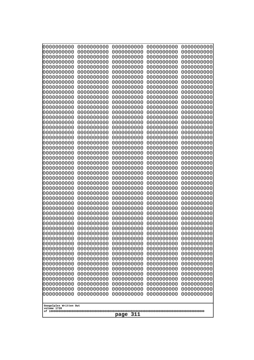| 10000000000<br>0000000000 | 0000000000<br>0000000000 | 0000000000<br>0000000000 | 0000000000<br>0000000000 | 0000000000<br>0000000000 |
|---------------------------|--------------------------|--------------------------|--------------------------|--------------------------|
| 0000000000                | 0000000000               | 0000000000               | 0000000000               | 0000000000               |
| 0000000000                | 0000000000               | 0000000000               | 0000000000               | 0000000000               |
| 0000000000<br>0000000000  | 0000000000<br>0000000000 | 0000000000               | 0000000000<br>0000000000 | 0000000000               |
| 0000000000                | 0000000000               | 0000000000<br>0000000000 | 0000000000               | 0000000000<br>0000000000 |
| 0000000000                | 0000000000               | 0000000000               | 0000000000               | 0000000000               |
| 0000000000                | 0000000000               | 0000000000               | 0000000000               | 0000000000               |
| 0000000000<br>0000000000  | 0000000000<br>0000000000 | 0000000000<br>0000000000 | 0000000000<br>0000000000 | 0000000000<br>0000000000 |
| 0000000000                | 0000000000               | 0000000000               | 0000000000               | 0000000000               |
| 0000000000                | 0000000000               | 0000000000               | 0000000000               | 0000000000               |
| 0000000000                | 0000000000               | 0000000000               | 0000000000               | 0000000000               |
| 0000000000<br>0000000000  | 0000000000<br>0000000000 | 0000000000<br>0000000000 | 0000000000<br>0000000000 | 0000000000<br>0000000000 |
| 0000000000                | 0000000000               | 0000000000               | 0000000000               | 0000000000               |
| 0000000000                | 0000000000               | 0000000000               | 0000000000               | 0000000000               |
| 0000000000<br>0000000000  | 0000000000<br>0000000000 | 0000000000<br>0000000000 | 0000000000<br>0000000000 | 0000000000<br>0000000000 |
| 0000000000                | 0000000000               | 0000000000               | 0000000000               | 0000000000               |
| 0000000000                | 0000000000               | 0000000000               | 0000000000               | 0000000000               |
| 0000000000                | 0000000000               | 0000000000               | 0000000000               | 0000000000               |
| 0000000000<br>0000000000  | 0000000000<br>0000000000 | 0000000000<br>0000000000 | 0000000000<br>0000000000 | 0000000000<br>0000000000 |
| 0000000000                | 0000000000               | 0000000000               | 0000000000               | 0000000000               |
| 0000000000                | 0000000000               | 0000000000               | 0000000000               | 0000000000               |
| 0000000000<br>0000000000  | 0000000000<br>0000000000 | 0000000000<br>0000000000 | 0000000000<br>0000000000 | 0000000000<br>0000000000 |
| 0000000000                | 0000000000               | 0000000000               | 0000000000               | 0000000000               |
| 0000000000                | 0000000000               | 0000000000               | 0000000000               | 0000000000               |
| 0000000000<br>0000000000  | 0000000000<br>0000000000 | 0000000000<br>0000000000 | 0000000000<br>0000000000 | 0000000000<br>0000000000 |
| 0000000000                | 0000000000               | 0000000000               | 0000000000               | 0000000000               |
| 0000000000                | 0000000000               | 0000000000               | 0000000000               | 0000000000               |
| 0000000000                | 0000000000               | 0000000000               | 0000000000               | 0000000000               |
| 0000000000<br>0000000000  | 0000000000<br>0000000000 | 0000000000<br>0000000000 | 0000000000<br>0000000000 | 0000000000<br>0000000000 |
| 0000000000                | 0000000000               | 0000000000               | 0000000000               | 0000000000               |
| 0000000000                | 0000000000               | 0000000000               | 0000000000               | 0000000000               |
| 0000000000<br>0000000000  | 0000000000<br>0000000000 | 0000000000<br>0000000000 | 0000000000<br>0000000000 | 0000000000<br>0000000000 |
| 0000000000                | 0000000000               | 0000000000               | 0000000000               | 0000000000               |
| 0000000000                | 0000000000               | 0000000000               | 0000000000               | 0000000000               |
| 0000000000                | 0000000000               | 0000000000               | 0000000000               | 0000000000               |
| 0000000000<br>0000000000  | 0000000000<br>0000000000 | 0000000000<br>0000000000 | 0000000000<br>0000000000 | 0000000000<br>0000000000 |
| 0000000000                | 0000000000               | 0000000000               | 0000000000               | 0000000000               |
| 0000000000                | 0000000000               | 0000000000               | 0000000000               | 0000000000               |
| 0000000000                | 0000000000               | 0000000000               | 0000000000               | 0000000000               |
| Googolplex Written Out    |                          |                          |                          |                          |
| volume 1720               |                          |                          |                          |                          |
| 311<br>page               |                          |                          |                          |                          |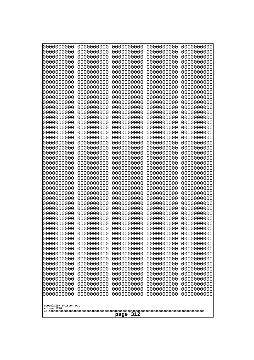| 0000000000                            | 0000000000               | 0000000000               | 0000000000               | 0000000000               |
|---------------------------------------|--------------------------|--------------------------|--------------------------|--------------------------|
| 0000000000<br>0000000000              | 0000000000<br>0000000000 | 0000000000<br>0000000000 | 0000000000<br>0000000000 | 0000000000<br>0000000000 |
| 0000000000                            | 0000000000               | 0000000000               | 0000000000               | 0000000000               |
| 0000000000                            | 0000000000               | 0000000000               | 0000000000               | 0000000000               |
| 0000000000                            | 0000000000               | 0000000000               | 0000000000               | 0000000000               |
| 0000000000<br>0000000000              | 0000000000<br>0000000000 | 0000000000<br>0000000000 | 0000000000<br>0000000000 | 0000000000<br>0000000000 |
| 0000000000                            | 0000000000               | 0000000000               | 0000000000               | 0000000000               |
| 0000000000                            | 0000000000               | 0000000000               | 0000000000               | 0000000000               |
| 0000000000<br>0000000000              | 0000000000<br>0000000000 | 0000000000<br>0000000000 | 0000000000<br>0000000000 | 0000000000               |
| 0000000000                            | 0000000000               | 0000000000               | 0000000000               | 0000000000<br>0000000000 |
| 0000000000                            | 0000000000               | 0000000000               | 0000000000               | 0000000000               |
| 0000000000                            | 0000000000               | 0000000000               | 0000000000               | 0000000000               |
| 0000000000<br>0000000000              | 0000000000<br>0000000000 | 0000000000<br>0000000000 | 0000000000<br>0000000000 | 0000000000<br>0000000000 |
| 0000000000                            | 0000000000               | 0000000000               | 0000000000               | 0000000000               |
| 0000000000                            | 0000000000               | 0000000000               | 0000000000               | 0000000000               |
| 0000000000                            | 0000000000               | 0000000000               | 0000000000               | 0000000000<br>0000000000 |
| 0000000000<br>0000000000              | 0000000000<br>0000000000 | 0000000000<br>0000000000 | 0000000000<br>0000000000 | 0000000000               |
| 0000000000                            | 0000000000               | 0000000000               | 0000000000               | 0000000000               |
| 0000000000                            | 0000000000               | 0000000000               | 0000000000               | 0000000000               |
| 0000000000<br>0000000000              | 0000000000<br>0000000000 | 0000000000<br>0000000000 | 0000000000<br>0000000000 | 0000000000<br>0000000000 |
| 0000000000                            | 0000000000               | 0000000000               | 0000000000               | 0000000000               |
| 0000000000                            | 0000000000               | 0000000000               | 0000000000               | 0000000000               |
| 0000000000<br>0000000000              | 0000000000<br>0000000000 | 0000000000<br>0000000000 | 0000000000<br>0000000000 | 0000000000<br>0000000000 |
| 0000000000                            | 0000000000               | 0000000000               | 0000000000               | 0000000000               |
| 0000000000                            | 0000000000               | 0000000000               | 0000000000               | 0000000000               |
| 0000000000                            | 0000000000               | 0000000000               | 0000000000               | 0000000000               |
| 0000000000<br>0000000000              | 0000000000<br>0000000000 | 0000000000<br>0000000000 | 0000000000<br>0000000000 | 0000000000<br>0000000000 |
| 0000000000                            | 0000000000               | 0000000000               | 0000000000               | 0000000000               |
| 0000000000                            | 0000000000               | 0000000000               | 0000000000               | 0000000000               |
| 0000000000<br>0000000000              | 0000000000<br>0000000000 | 0000000000<br>0000000000 | 0000000000<br>0000000000 | 0000000000<br>0000000000 |
| 0000000000                            | 0000000000               | 0000000000               | 0000000000               | 0000000000               |
| 0000000000                            | 0000000000               | 0000000000               | 0000000000               | 0000000000               |
| 0000000000<br>0000000000              | 0000000000<br>0000000000 | 0000000000<br>0000000000 | 0000000000<br>0000000000 | 0000000000<br>0000000000 |
| 0000000000                            | 0000000000               | 0000000000               | 0000000000               | 0000000000               |
| 0000000000                            | 0000000000               | 0000000000               | 0000000000               | 0000000000               |
| 0000000000                            | 0000000000<br>0000000000 | 0000000000<br>0000000000 | 0000000000               | 0000000000               |
| 0000000000<br>0000000000              | 0000000000               | 0000000000               | 0000000000<br>0000000000 | 0000000000<br>0000000000 |
| 0000000000                            | 0000000000               | 0000000000               | 0000000000               | 0000000000               |
| 0000000000                            | 0000000000               | 0000000000               | 0000000000               | 0000000000               |
|                                       |                          |                          |                          |                          |
| Googolplex Written Out<br>volume 1720 |                          |                          |                          |                          |
| 312<br>page                           |                          |                          |                          |                          |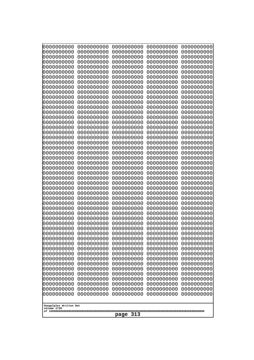| 0000000000                                           | 0000000000 | 0000000000 | 0000000000 | 0000000000 |
|------------------------------------------------------|------------|------------|------------|------------|
| 0000000000                                           | 0000000000 | 0000000000 | 0000000000 | 0000000000 |
| 0000000000                                           | 0000000000 | 0000000000 | 0000000000 | 0000000000 |
| 0000000000                                           | 0000000000 | 0000000000 | 0000000000 | 0000000000 |
| 0000000000                                           | 0000000000 | 0000000000 | 0000000000 | 0000000000 |
| 0000000000                                           | 0000000000 | 0000000000 | 0000000000 | 0000000000 |
| 0000000000                                           | 0000000000 | 0000000000 | 0000000000 | 0000000000 |
| 0000000000                                           | 0000000000 | 0000000000 | 0000000000 | 0000000000 |
| 0000000000                                           | 0000000000 | 0000000000 | 0000000000 | 0000000000 |
| 0000000000                                           | 0000000000 | 0000000000 | 0000000000 | 0000000000 |
| 0000000000                                           | 0000000000 | 0000000000 | 0000000000 | 0000000000 |
| 0000000000                                           | 0000000000 | 0000000000 | 0000000000 | 0000000000 |
| 0000000000                                           | 0000000000 | 0000000000 | 0000000000 | 0000000000 |
| 0000000000                                           | 0000000000 | 0000000000 | 0000000000 | 0000000000 |
| 0000000000                                           | 0000000000 | 0000000000 | 0000000000 | 0000000000 |
| 0000000000                                           | 0000000000 | 0000000000 | 0000000000 | 0000000000 |
| 0000000000                                           | 0000000000 | 0000000000 | 0000000000 | 0000000000 |
| 0000000000                                           | 0000000000 | 0000000000 | 0000000000 | 0000000000 |
| 0000000000                                           | 0000000000 | 0000000000 | 0000000000 | 0000000000 |
| 0000000000                                           | 0000000000 | 0000000000 | 0000000000 | 0000000000 |
| 0000000000                                           | 0000000000 | 0000000000 | 0000000000 | 0000000000 |
| 0000000000                                           | 0000000000 | 0000000000 | 0000000000 | 0000000000 |
| 0000000000                                           | 0000000000 | 0000000000 | 0000000000 | 0000000000 |
| 0000000000                                           | 0000000000 | 0000000000 | 0000000000 | 0000000000 |
| 0000000000                                           | 0000000000 | 0000000000 | 0000000000 | 0000000000 |
| 0000000000                                           | 0000000000 | 0000000000 | 0000000000 | 0000000000 |
| 0000000000                                           | 0000000000 | 0000000000 | 0000000000 | 0000000000 |
| 0000000000                                           | 0000000000 | 0000000000 | 0000000000 | 0000000000 |
| 0000000000                                           | 0000000000 | 0000000000 | 0000000000 | 0000000000 |
| 0000000000                                           | 0000000000 | 0000000000 | 0000000000 | 0000000000 |
| 0000000000                                           | 0000000000 | 0000000000 | 0000000000 | 0000000000 |
| 0000000000                                           | 0000000000 | 0000000000 | 0000000000 | 0000000000 |
| 0000000000                                           | 0000000000 | 0000000000 | 0000000000 | 0000000000 |
| 0000000000                                           | 0000000000 | 0000000000 | 0000000000 | 0000000000 |
| 0000000000                                           | 0000000000 | 0000000000 | 0000000000 | 0000000000 |
| 0000000000                                           | 0000000000 | 0000000000 | 0000000000 | 0000000000 |
| 0000000000                                           | 0000000000 | 0000000000 | 0000000000 | 0000000000 |
| 0000000000                                           | 0000000000 | 0000000000 | 0000000000 | 0000000000 |
| 0000000000                                           | 0000000000 | 0000000000 | 0000000000 | 0000000000 |
| 0000000000                                           | 0000000000 | 0000000000 | 0000000000 | 0000000000 |
| 0000000000                                           | 0000000000 | 0000000000 | 0000000000 | 0000000000 |
| 0000000000                                           | 0000000000 | 0000000000 | 0000000000 | 0000000000 |
| 0000000000                                           | 0000000000 | 0000000000 | 0000000000 | 0000000000 |
| 0000000000                                           | 0000000000 | 0000000000 | 0000000000 | 0000000000 |
| 0000000000                                           | 0000000000 | 0000000000 | 0000000000 | 0000000000 |
| 0000000000                                           | 0000000000 | 0000000000 | 0000000000 | 0000000000 |
| 0000000000                                           | 0000000000 | 0000000000 | 0000000000 | 0000000000 |
| 0000000000                                           | 0000000000 | 0000000000 | 0000000000 | 0000000000 |
| 0000000000                                           | 0000000000 | 0000000000 | 0000000000 | 0000000000 |
| 0000000000                                           | 0000000000 | 0000000000 | 0000000000 | 0000000000 |
| Googolplex Written Out<br>volume 1720<br>313<br>page |            |            |            |            |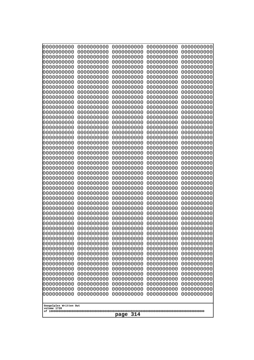| Googolplex Written Out<br>volume 1720<br>314<br>page | 0000000000<br>0000000000<br>0000000000<br>0000000000<br>0000000000<br>0000000000<br>0000000000<br>0000000000<br>0000000000<br>0000000000<br>0000000000<br>0000000000<br>0000000000<br>0000000000<br>0000000000<br>0000000000<br>0000000000<br>0000000000<br>0000000000<br>0000000000<br>0000000000<br>0000000000<br>0000000000<br>0000000000<br>0000000000<br>0000000000<br>0000000000<br>0000000000<br>0000000000<br>0000000000<br>0000000000<br>0000000000<br>0000000000<br>0000000000<br>0000000000<br>0000000000<br>0000000000<br>10000000000<br>0000000000<br>0000000000<br>0000000000<br>0000000000<br>0000000000<br>0000000000<br>0000000000<br>0000000000<br>0000000000<br>0000000000<br>0000000000<br>0000000000 | 0000000000<br>0000000000<br>0000000000<br>0000000000<br>0000000000<br>0000000000<br>0000000000<br>0000000000<br>0000000000<br>0000000000<br>0000000000<br>0000000000<br>0000000000<br>0000000000<br>0000000000<br>0000000000<br>0000000000<br>0000000000<br>0000000000<br>0000000000<br>0000000000<br>0000000000<br>0000000000<br>0000000000<br>0000000000<br>0000000000<br>0000000000<br>0000000000<br>0000000000<br>0000000000<br>0000000000<br>0000000000<br>0000000000<br>0000000000<br>0000000000<br>0000000000<br>0000000000<br>0000000000<br>0000000000<br>0000000000<br>0000000000<br>0000000000<br>0000000000<br>0000000000<br>0000000000<br>0000000000<br>0000000000<br>0000000000<br>0000000000<br>0000000000 | 0000000000<br>0000000000<br>0000000000<br>0000000000<br>0000000000<br>0000000000<br>0000000000<br>0000000000<br>0000000000<br>0000000000<br>0000000000<br>0000000000<br>0000000000<br>0000000000<br>0000000000<br>0000000000<br>0000000000<br>0000000000<br>0000000000<br>0000000000<br>0000000000<br>0000000000<br>0000000000<br>0000000000<br>0000000000<br>0000000000<br>0000000000<br>0000000000<br>0000000000<br>0000000000<br>0000000000<br>0000000000<br>0000000000<br>0000000000<br>0000000000<br>0000000000<br>0000000000<br>0000000000<br>0000000000<br>0000000000<br>0000000000<br>0000000000<br>0000000000<br>0000000000<br>0000000000<br>0000000000<br>0000000000<br>0000000000<br>0000000000<br>0000000000 | 0000000000<br>0000000000<br>0000000000<br>0000000000<br>0000000000<br>0000000000<br>0000000000<br>0000000000<br>0000000000<br>0000000000<br>0000000000<br>0000000000<br>0000000000<br>0000000000<br>0000000000<br>0000000000<br>0000000000<br>0000000000<br>0000000000<br>0000000000<br>0000000000<br>0000000000<br>0000000000<br>0000000000<br>0000000000<br>0000000000<br>0000000000<br>0000000000<br>0000000000<br>0000000000<br>0000000000<br>0000000000<br>0000000000<br>0000000000<br>0000000000<br>0000000000<br>0000000000<br>0000000000<br>0000000000<br>0000000000<br>0000000000<br>0000000000<br>0000000000<br>0000000000<br>0000000000<br>0000000000<br>0000000000<br>0000000000<br>0000000000<br>0000000000 | 0000000000<br>0000000000<br>0000000000<br>0000000000<br>0000000000<br>0000000000<br>0000000000<br>0000000000<br>0000000000<br>0000000000<br>0000000000<br>0000000000<br>0000000000<br>0000000000<br>0000000000<br>0000000000<br>0000000000<br>0000000000<br>0000000000<br>0000000000<br>0000000000<br>0000000000<br>0000000000<br>0000000000<br>0000000000<br>0000000000<br>0000000000<br>0000000000<br>0000000000<br>0000000000<br>0000000000<br>0000000000<br>0000000000<br>0000000000<br>0000000000<br>0000000000<br>0000000000<br>0000000000<br>0000000000<br>0000000000<br>0000000000<br>0000000000<br>0000000000<br>0000000000<br>0000000000<br>0000000000<br>0000000000<br>0000000000<br>0000000000<br>0000000000 |
|------------------------------------------------------|---------------------------------------------------------------------------------------------------------------------------------------------------------------------------------------------------------------------------------------------------------------------------------------------------------------------------------------------------------------------------------------------------------------------------------------------------------------------------------------------------------------------------------------------------------------------------------------------------------------------------------------------------------------------------------------------------------------------------|--------------------------------------------------------------------------------------------------------------------------------------------------------------------------------------------------------------------------------------------------------------------------------------------------------------------------------------------------------------------------------------------------------------------------------------------------------------------------------------------------------------------------------------------------------------------------------------------------------------------------------------------------------------------------------------------------------------------------|--------------------------------------------------------------------------------------------------------------------------------------------------------------------------------------------------------------------------------------------------------------------------------------------------------------------------------------------------------------------------------------------------------------------------------------------------------------------------------------------------------------------------------------------------------------------------------------------------------------------------------------------------------------------------------------------------------------------------|--------------------------------------------------------------------------------------------------------------------------------------------------------------------------------------------------------------------------------------------------------------------------------------------------------------------------------------------------------------------------------------------------------------------------------------------------------------------------------------------------------------------------------------------------------------------------------------------------------------------------------------------------------------------------------------------------------------------------|--------------------------------------------------------------------------------------------------------------------------------------------------------------------------------------------------------------------------------------------------------------------------------------------------------------------------------------------------------------------------------------------------------------------------------------------------------------------------------------------------------------------------------------------------------------------------------------------------------------------------------------------------------------------------------------------------------------------------|
|                                                      |                                                                                                                                                                                                                                                                                                                                                                                                                                                                                                                                                                                                                                                                                                                           |                                                                                                                                                                                                                                                                                                                                                                                                                                                                                                                                                                                                                                                                                                                          |                                                                                                                                                                                                                                                                                                                                                                                                                                                                                                                                                                                                                                                                                                                          |                                                                                                                                                                                                                                                                                                                                                                                                                                                                                                                                                                                                                                                                                                                          |                                                                                                                                                                                                                                                                                                                                                                                                                                                                                                                                                                                                                                                                                                                          |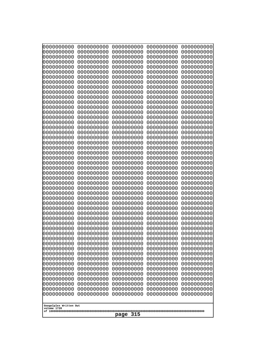| 10000000000<br>0000000000             | 0000000000<br>0000000000 | 0000000000<br>0000000000 | 0000000000<br>0000000000 | 0000000000<br>0000000000 |  |
|---------------------------------------|--------------------------|--------------------------|--------------------------|--------------------------|--|
| 0000000000                            | 0000000000               | 0000000000               | 0000000000               | 0000000000               |  |
| 0000000000                            | 0000000000               | 0000000000               | 0000000000               | 0000000000               |  |
| 0000000000                            | 0000000000               | 0000000000               | 0000000000               | 0000000000               |  |
| 0000000000<br>0000000000              | 0000000000<br>0000000000 | 0000000000<br>0000000000 | 0000000000<br>0000000000 | 0000000000<br>0000000000 |  |
| 0000000000                            | 0000000000               | 0000000000               | 0000000000               | 0000000000               |  |
| 0000000000                            | 0000000000               | 0000000000               | 0000000000               | 0000000000               |  |
| 0000000000                            | 0000000000               | 0000000000               | 0000000000               | 0000000000               |  |
| 0000000000<br>0000000000              | 0000000000<br>0000000000 | 0000000000<br>0000000000 | 0000000000<br>0000000000 | 0000000000               |  |
| 0000000000                            | 0000000000               | 0000000000               | 0000000000               | 0000000000<br>0000000000 |  |
| 0000000000                            | 0000000000               | 0000000000               | 0000000000               | 0000000000               |  |
| 0000000000                            | 0000000000               | 0000000000               | 0000000000               | 0000000000               |  |
| 0000000000                            | 0000000000               | 0000000000               | 0000000000               | 0000000000               |  |
| 0000000000<br>0000000000              | 0000000000<br>0000000000 | 0000000000<br>0000000000 | 0000000000<br>0000000000 | 0000000000<br>0000000000 |  |
| 0000000000                            | 0000000000               | 0000000000               | 0000000000               | 0000000000               |  |
| 0000000000                            | 0000000000               | 0000000000               | 0000000000               | 0000000000               |  |
| 0000000000                            | 0000000000<br>0000000000 | 0000000000               | 0000000000               | 0000000000               |  |
| 0000000000<br>0000000000              | 0000000000               | 0000000000<br>0000000000 | 0000000000<br>0000000000 | 0000000000<br>0000000000 |  |
| 0000000000                            | 0000000000               | 0000000000               | 0000000000               | 0000000000               |  |
| 0000000000                            | 0000000000               | 0000000000               | 0000000000               | 0000000000               |  |
| 0000000000                            | 0000000000<br>0000000000 | 0000000000<br>0000000000 | 0000000000<br>0000000000 | 0000000000               |  |
| 0000000000<br>0000000000              | 0000000000               | 0000000000               | 0000000000               | 0000000000<br>0000000000 |  |
| 0000000000                            | 0000000000               | 0000000000               | 0000000000               | 0000000000               |  |
| 0000000000                            | 0000000000               | 0000000000               | 0000000000               | 0000000000               |  |
| 0000000000                            | 0000000000               | 0000000000               | 0000000000               | 0000000000               |  |
| 0000000000<br>0000000000              | 0000000000<br>0000000000 | 0000000000<br>0000000000 | 0000000000<br>0000000000 | 0000000000<br>0000000000 |  |
| 0000000000                            | 0000000000               | 0000000000               | 0000000000               | 0000000000               |  |
| 0000000000                            | 0000000000               | 0000000000               | 0000000000               | 0000000000               |  |
| 0000000000                            | 0000000000<br>0000000000 | 0000000000<br>0000000000 | 0000000000               | 0000000000               |  |
| 0000000000<br>0000000000              | 0000000000               | 0000000000               | 0000000000<br>0000000000 | 0000000000<br>0000000000 |  |
| 0000000000                            | 0000000000               | 0000000000               | 0000000000               | 0000000000               |  |
| 0000000000                            | 0000000000               | 0000000000               | 0000000000               | 0000000000               |  |
| 0000000000                            | 0000000000               | 0000000000               | 0000000000               | 0000000000               |  |
| 0000000000<br>0000000000              | 0000000000<br>0000000000 | 0000000000<br>0000000000 | 0000000000<br>0000000000 | 0000000000<br>0000000000 |  |
| 0000000000                            | 0000000000               | 0000000000               | 0000000000               | 0000000000               |  |
| 0000000000                            | 0000000000               | 0000000000               | 0000000000               | 0000000000               |  |
| 0000000000                            | 0000000000               | 0000000000               | 0000000000               | 0000000000               |  |
| 0000000000<br>0000000000              | 0000000000<br>0000000000 | 0000000000<br>0000000000 | 0000000000<br>0000000000 | 0000000000<br>0000000000 |  |
| 0000000000                            | 0000000000               | 0000000000               | 0000000000               | 0000000000               |  |
| 0000000000                            | 0000000000               | 0000000000               | 0000000000               | 0000000000               |  |
|                                       |                          |                          |                          |                          |  |
| Googolplex Written Out<br>volume 1720 |                          |                          |                          |                          |  |
| 315<br>page                           |                          |                          |                          |                          |  |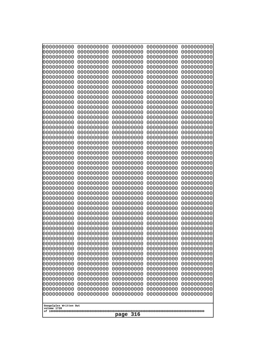| 0000000000               | 0000000000               | 0000000000               | 0000000000               | 0000000000               |
|--------------------------|--------------------------|--------------------------|--------------------------|--------------------------|
| 0000000000<br>0000000000 | 0000000000<br>0000000000 | 0000000000<br>0000000000 | 0000000000<br>0000000000 | 0000000000<br>0000000000 |
| 0000000000               | 0000000000               | 0000000000               | 0000000000               | 0000000000               |
| 0000000000               | 0000000000               | 0000000000               | 0000000000               | 0000000000               |
| 0000000000               | 0000000000               | 0000000000               | 0000000000               | 0000000000               |
| 0000000000<br>0000000000 | 0000000000<br>0000000000 | 0000000000<br>0000000000 | 0000000000<br>0000000000 | 0000000000<br>0000000000 |
| 0000000000               | 0000000000               | 0000000000               | 0000000000               | 0000000000               |
| 0000000000               | 0000000000               | 0000000000               | 0000000000               | 0000000000               |
| 0000000000               | 0000000000               | 0000000000               | 0000000000               | 0000000000               |
| 0000000000<br>0000000000 | 0000000000<br>0000000000 | 0000000000<br>0000000000 | 0000000000<br>0000000000 | 0000000000<br>0000000000 |
| 0000000000               | 0000000000               | 0000000000               | 0000000000               | 0000000000               |
| 0000000000               | 0000000000               | 0000000000               | 0000000000               | 0000000000               |
| 0000000000               | 0000000000               | 0000000000               | 0000000000               | 0000000000               |
| 0000000000<br>0000000000 | 0000000000<br>0000000000 | 0000000000<br>0000000000 | 0000000000<br>0000000000 | 0000000000<br>0000000000 |
| 0000000000               | 0000000000               | 0000000000               | 0000000000               | 0000000000               |
| 0000000000               | 0000000000               | 0000000000               | 0000000000               | 0000000000               |
| 0000000000               | 0000000000               | 0000000000               | 0000000000               | 0000000000               |
| 0000000000<br>0000000000 | 0000000000<br>0000000000 | 0000000000<br>0000000000 | 0000000000<br>0000000000 | 0000000000<br>0000000000 |
| 0000000000               | 0000000000               | 0000000000               | 0000000000               | 0000000000               |
| 0000000000               | 0000000000               | 0000000000               | 0000000000               | 0000000000               |
| 0000000000               | 0000000000               | 0000000000               | 0000000000               | 0000000000               |
| 0000000000<br>0000000000 | 0000000000<br>0000000000 | 0000000000<br>0000000000 | 0000000000<br>0000000000 | 0000000000<br>0000000000 |
| 0000000000               | 0000000000               | 0000000000               | 0000000000               | 0000000000               |
| 0000000000               | 0000000000               | 0000000000               | 0000000000               | 0000000000               |
| 0000000000<br>0000000000 | 0000000000<br>0000000000 | 0000000000<br>0000000000 | 0000000000<br>0000000000 | 0000000000<br>0000000000 |
| 0000000000               | 0000000000               | 0000000000               | 0000000000               | 0000000000               |
| 0000000000               | 0000000000               | 0000000000               | 0000000000               | 0000000000               |
| 0000000000               | 0000000000               | 0000000000               | 0000000000               | 0000000000               |
| 0000000000<br>0000000000 | 0000000000<br>0000000000 | 0000000000<br>0000000000 | 0000000000<br>0000000000 | 0000000000<br>0000000000 |
| 0000000000               | 0000000000               | 0000000000               | 0000000000               | 0000000000               |
| 0000000000               | 0000000000               | 0000000000               | 0000000000               | 0000000000               |
| 0000000000<br>0000000000 | 0000000000<br>0000000000 | 0000000000               | 0000000000               | 0000000000               |
| 0000000000               | 0000000000               | 0000000000<br>0000000000 | 0000000000<br>0000000000 | 0000000000<br>0000000000 |
| 0000000000               | 0000000000               | 0000000000               | 0000000000               | 0000000000               |
| 0000000000               | 0000000000               | 0000000000               | 0000000000               | 0000000000               |
| 0000000000<br>0000000000 | 0000000000<br>0000000000 | 0000000000<br>0000000000 | 0000000000<br>0000000000 | 0000000000<br>0000000000 |
| 0000000000               | 0000000000               | 0000000000               | 0000000000               | 0000000000               |
| 0000000000               | 0000000000               | 0000000000               | 0000000000               | 0000000000               |
| 0000000000               | 0000000000               | 0000000000               | 0000000000               | 0000000000               |
| 0000000000               | 0000000000               | 0000000000               | 0000000000               | 0000000000               |
| Googolplex Written Out   |                          |                          |                          |                          |
| volume 1720              |                          |                          |                          |                          |
| 316<br>page              |                          |                          |                          |                          |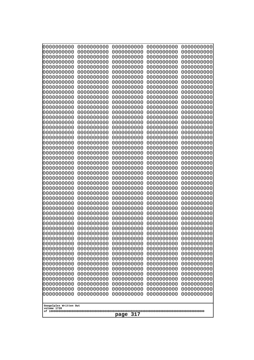| 10000000000<br>0000000000 | 0000000000<br>0000000000 | 0000000000<br>0000000000 | 0000000000<br>0000000000 | 0000000000<br>0000000000 |
|---------------------------|--------------------------|--------------------------|--------------------------|--------------------------|
| 0000000000                | 0000000000               | 0000000000               | 0000000000               | 0000000000               |
| 0000000000                | 0000000000               | 0000000000               | 0000000000               | 0000000000               |
| 0000000000                | 0000000000               | 0000000000               | 0000000000               | 0000000000               |
| 0000000000<br>0000000000  | 0000000000<br>0000000000 | 0000000000<br>0000000000 | 0000000000<br>0000000000 | 0000000000<br>0000000000 |
| 0000000000                | 0000000000               | 0000000000               | 0000000000               | 0000000000               |
| 0000000000                | 0000000000               | 0000000000               | 0000000000               | 0000000000               |
| 0000000000                | 0000000000               | 0000000000               | 0000000000               | 0000000000               |
| 0000000000<br>0000000000  | 0000000000<br>0000000000 | 0000000000<br>0000000000 | 0000000000<br>0000000000 | 0000000000<br>0000000000 |
| 0000000000                | 0000000000               | 0000000000               | 0000000000               | 0000000000               |
| 0000000000                | 0000000000               | 0000000000               | 0000000000               | 0000000000               |
| 0000000000<br>0000000000  | 0000000000<br>0000000000 | 0000000000<br>0000000000 | 0000000000<br>0000000000 | 0000000000<br>0000000000 |
| 0000000000                | 0000000000               | 0000000000               | 0000000000               | 0000000000               |
| 0000000000                | 0000000000               | 0000000000               | 0000000000               | 0000000000               |
| 0000000000                | 0000000000               | 0000000000               | 0000000000               | 0000000000               |
| 0000000000<br>0000000000  | 0000000000<br>0000000000 | 0000000000<br>0000000000 | 0000000000<br>0000000000 | 0000000000<br>0000000000 |
| 0000000000                | 0000000000               | 0000000000               | 0000000000               | 0000000000               |
| 0000000000                | 0000000000               | 0000000000               | 0000000000               | 0000000000               |
| 0000000000<br>0000000000  | 0000000000<br>0000000000 | 0000000000<br>0000000000 | 0000000000<br>0000000000 | 0000000000<br>0000000000 |
| 0000000000                | 0000000000               | 0000000000               | 0000000000               | 0000000000               |
| 0000000000                | 0000000000               | 0000000000               | 0000000000               | 0000000000               |
| 0000000000                | 0000000000               | 0000000000               | 0000000000               | 0000000000               |
| 0000000000<br>0000000000  | 0000000000<br>0000000000 | 0000000000<br>0000000000 | 0000000000<br>0000000000 | 0000000000<br>0000000000 |
| 0000000000                | 0000000000               | 0000000000               | 0000000000               | 0000000000               |
| 0000000000                | 0000000000               | 0000000000               | 0000000000               | 0000000000               |
| 0000000000<br>0000000000  | 0000000000<br>0000000000 | 0000000000<br>0000000000 | 0000000000<br>0000000000 | 0000000000<br>0000000000 |
| 0000000000                | 0000000000               | 0000000000               | 0000000000               | 0000000000               |
| 0000000000                | 0000000000               | 0000000000               | 0000000000               | 0000000000               |
| 0000000000                | 0000000000               | 0000000000               | 0000000000               | 0000000000               |
| 0000000000<br>0000000000  | 0000000000<br>0000000000 | 0000000000<br>0000000000 | 0000000000<br>0000000000 | 0000000000<br>0000000000 |
| 0000000000                | 0000000000               | 0000000000               | 0000000000               | 0000000000               |
| 0000000000                | 0000000000               | 0000000000               | 0000000000               | 0000000000               |
| 0000000000<br>0000000000  | 0000000000<br>0000000000 | 0000000000<br>0000000000 | 0000000000<br>0000000000 | 0000000000<br>0000000000 |
| 0000000000                | 0000000000               | 0000000000               | 0000000000               | 0000000000               |
| 0000000000                | 0000000000               | 0000000000               | 0000000000               | 0000000000               |
| 0000000000<br>0000000000  | 0000000000<br>0000000000 | 0000000000<br>0000000000 | 0000000000<br>0000000000 | 0000000000<br>0000000000 |
| 0000000000                | 0000000000               | 0000000000               | 0000000000               | 0000000000               |
| 0000000000                | 0000000000               | 0000000000               | 0000000000               | 0000000000               |
| 0000000000                | 0000000000               | 0000000000               | 0000000000               | 0000000000               |
| Googolplex Written Out    |                          |                          |                          |                          |
| volume 1720               |                          |                          |                          |                          |
| 317<br>page               |                          |                          |                          |                          |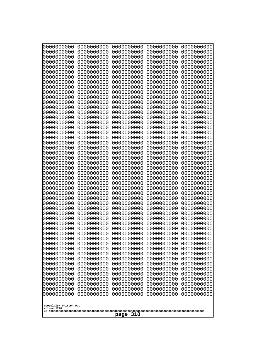| 0000000000                                           | 0000000000 | 0000000000 | 0000000000 | 0000000000 |
|------------------------------------------------------|------------|------------|------------|------------|
| 0000000000                                           | 0000000000 | 0000000000 | 0000000000 | 0000000000 |
| 0000000000                                           | 0000000000 | 0000000000 | 0000000000 | 0000000000 |
| 0000000000                                           | 0000000000 | 0000000000 | 0000000000 | 0000000000 |
| 0000000000                                           | 0000000000 | 0000000000 | 0000000000 | 0000000000 |
| 0000000000                                           | 0000000000 | 0000000000 | 0000000000 | 0000000000 |
| 0000000000                                           | 0000000000 | 0000000000 | 0000000000 | 0000000000 |
| 0000000000                                           | 0000000000 | 0000000000 | 0000000000 | 0000000000 |
| 0000000000                                           | 0000000000 | 0000000000 | 0000000000 | 0000000000 |
| 0000000000                                           | 0000000000 | 0000000000 | 0000000000 | 0000000000 |
| 0000000000                                           | 0000000000 | 0000000000 | 0000000000 | 0000000000 |
| 0000000000                                           | 0000000000 | 0000000000 | 0000000000 | 0000000000 |
| 0000000000                                           | 0000000000 | 0000000000 | 0000000000 | 0000000000 |
| 0000000000                                           | 0000000000 | 0000000000 | 0000000000 | 0000000000 |
| 0000000000                                           | 0000000000 | 0000000000 | 0000000000 | 0000000000 |
| 0000000000                                           | 0000000000 | 0000000000 | 0000000000 | 0000000000 |
| 0000000000                                           | 0000000000 | 0000000000 | 0000000000 | 0000000000 |
| 0000000000                                           | 0000000000 | 0000000000 | 0000000000 | 0000000000 |
| 0000000000                                           | 0000000000 | 0000000000 | 0000000000 | 0000000000 |
| 0000000000                                           | 0000000000 | 0000000000 | 0000000000 | 0000000000 |
| 0000000000                                           | 0000000000 | 0000000000 | 0000000000 | 0000000000 |
| 0000000000                                           | 0000000000 | 0000000000 | 0000000000 | 0000000000 |
| 0000000000                                           | 0000000000 | 0000000000 | 0000000000 | 0000000000 |
| 0000000000                                           | 0000000000 | 0000000000 | 0000000000 | 0000000000 |
| 0000000000                                           | 0000000000 | 0000000000 | 0000000000 | 0000000000 |
| 0000000000                                           | 0000000000 | 0000000000 | 0000000000 | 0000000000 |
| 0000000000                                           | 0000000000 | 0000000000 | 0000000000 | 0000000000 |
| 0000000000                                           | 0000000000 | 0000000000 | 0000000000 | 0000000000 |
| 0000000000                                           | 0000000000 | 0000000000 | 0000000000 | 0000000000 |
| 0000000000                                           | 0000000000 | 0000000000 | 0000000000 | 0000000000 |
| 0000000000                                           | 0000000000 | 0000000000 | 0000000000 | 0000000000 |
| 0000000000                                           | 0000000000 | 0000000000 | 0000000000 | 0000000000 |
| 0000000000                                           | 0000000000 | 0000000000 | 0000000000 | 0000000000 |
| 0000000000                                           | 0000000000 | 0000000000 | 0000000000 | 0000000000 |
| 0000000000                                           | 0000000000 | 0000000000 | 0000000000 | 0000000000 |
| 0000000000                                           | 0000000000 | 0000000000 | 0000000000 | 0000000000 |
| 0000000000                                           | 0000000000 | 0000000000 | 0000000000 | 0000000000 |
| 0000000000                                           | 0000000000 | 0000000000 | 0000000000 | 0000000000 |
| 0000000000                                           | 0000000000 | 0000000000 | 0000000000 | 0000000000 |
| 0000000000                                           | 0000000000 | 0000000000 | 0000000000 | 0000000000 |
| 0000000000                                           | 0000000000 | 0000000000 | 0000000000 | 0000000000 |
| 0000000000                                           | 0000000000 | 0000000000 | 0000000000 | 0000000000 |
| 0000000000                                           | 0000000000 | 0000000000 | 0000000000 | 0000000000 |
| 0000000000                                           | 0000000000 | 0000000000 | 0000000000 | 0000000000 |
| 0000000000                                           | 0000000000 | 0000000000 | 0000000000 | 0000000000 |
| 0000000000                                           | 0000000000 | 0000000000 | 0000000000 | 0000000000 |
| 0000000000                                           | 0000000000 | 0000000000 | 0000000000 | 0000000000 |
| 0000000000                                           | 0000000000 | 0000000000 | 0000000000 | 0000000000 |
| 0000000000                                           | 0000000000 | 0000000000 | 0000000000 | 0000000000 |
| 0000000000                                           | 0000000000 | 0000000000 | 0000000000 | 0000000000 |
| Googolplex Written Out<br>volume 1720<br>318<br>page |            |            |            |            |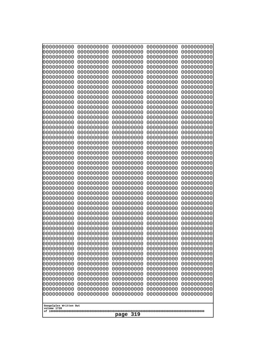| 10000000000              | 0000000000               | 0000000000               | 0000000000               | 0000000000               |
|--------------------------|--------------------------|--------------------------|--------------------------|--------------------------|
| 0000000000<br>0000000000 | 0000000000<br>0000000000 | 0000000000<br>0000000000 | 0000000000<br>0000000000 | 0000000000<br>0000000000 |
| 0000000000               | 0000000000               | 0000000000               | 0000000000               | 0000000000               |
| 0000000000               | 0000000000               | 0000000000               | 0000000000               | 0000000000               |
| 0000000000               | 0000000000               | 0000000000               | 0000000000               | 0000000000               |
| 0000000000<br>0000000000 | 0000000000<br>0000000000 | 0000000000<br>0000000000 | 0000000000<br>0000000000 | 0000000000<br>0000000000 |
| 0000000000               | 0000000000               | 0000000000               | 0000000000               | 0000000000               |
| 0000000000               | 0000000000               | 0000000000               | 0000000000               | 0000000000               |
| 0000000000               | 0000000000               | 0000000000               | 0000000000               | 0000000000               |
| 0000000000<br>0000000000 | 0000000000<br>0000000000 | 0000000000<br>0000000000 | 0000000000<br>0000000000 | 0000000000<br>0000000000 |
| 0000000000               | 0000000000               | 0000000000               | 0000000000               | 0000000000               |
| 0000000000               | 0000000000               | 0000000000               | 0000000000               | 0000000000               |
| 0000000000               | 0000000000               | 0000000000               | 0000000000               | 0000000000               |
| 0000000000<br>0000000000 | 0000000000<br>0000000000 | 0000000000<br>0000000000 | 0000000000<br>0000000000 | 0000000000<br>0000000000 |
| 0000000000               | 0000000000               | 0000000000               | 0000000000               | 0000000000               |
| 0000000000               | 0000000000               | 0000000000               | 0000000000               | 0000000000               |
| 0000000000               | 0000000000<br>0000000000 | 0000000000               | 0000000000               | 0000000000               |
| 0000000000<br>0000000000 | 0000000000               | 0000000000<br>0000000000 | 0000000000<br>0000000000 | 0000000000<br>0000000000 |
| 0000000000               | 0000000000               | 0000000000               | 0000000000               | 0000000000               |
| 0000000000               | 0000000000               | 0000000000               | 0000000000               | 0000000000               |
| 0000000000<br>0000000000 | 0000000000<br>0000000000 | 0000000000<br>0000000000 | 0000000000<br>0000000000 | 0000000000<br>0000000000 |
| 0000000000               | 0000000000               | 0000000000               | 0000000000               | 0000000000               |
| 0000000000               | 0000000000               | 0000000000               | 0000000000               | 0000000000               |
| 0000000000               | 0000000000               | 0000000000               | 0000000000               | 0000000000               |
| 0000000000<br>0000000000 | 0000000000<br>0000000000 | 0000000000<br>0000000000 | 0000000000<br>0000000000 | 0000000000<br>0000000000 |
| 0000000000               | 0000000000               | 0000000000               | 0000000000               | 0000000000               |
| 0000000000               | 0000000000               | 0000000000               | 0000000000               | 0000000000               |
| 0000000000<br>0000000000 | 0000000000<br>0000000000 | 0000000000               | 0000000000               | 0000000000               |
| 0000000000               | 0000000000               | 0000000000<br>0000000000 | 0000000000<br>0000000000 | 0000000000<br>0000000000 |
| 0000000000               | 0000000000               | 0000000000               | 0000000000               | 0000000000               |
| 0000000000               | 0000000000               | 0000000000               | 0000000000               | 0000000000               |
| 0000000000<br>0000000000 | 0000000000<br>0000000000 | 0000000000<br>0000000000 | 0000000000<br>0000000000 | 0000000000<br>0000000000 |
| 0000000000               | 0000000000               | 0000000000               | 0000000000               | 0000000000               |
| 0000000000               | 0000000000               | 0000000000               | 0000000000               | 0000000000               |
| 0000000000               | 0000000000               | 0000000000               | 0000000000               | 0000000000               |
| 0000000000<br>0000000000 | 0000000000<br>0000000000 | 0000000000<br>0000000000 | 0000000000<br>0000000000 | 0000000000<br>0000000000 |
| 0000000000               | 0000000000               | 0000000000               | 0000000000               | 0000000000               |
| 0000000000               | 0000000000               | 0000000000               | 0000000000               | 0000000000               |
| 0000000000               | 0000000000               | 0000000000               | 0000000000               | 0000000000               |
| 0000000000               | 0000000000               | 0000000000               | 0000000000               | 0000000000               |
| Googolplex Written Out   |                          |                          |                          |                          |
| volume 1720              |                          | 319                      |                          |                          |
|                          |                          | page                     |                          |                          |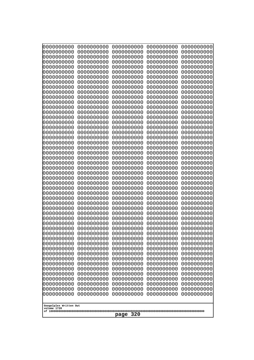| 0000000000<br>0000000000<br>0000000000<br>0000000000<br>0000000000<br>0000000000<br>0000000000<br>0000000000<br>0000000000<br>0000000000<br>0000000000<br>0000000000<br>0000000000<br>0000000000<br>0000000000<br>0000000000<br>0000000000<br>0000000000<br>0000000000<br>0000000000<br>0000000000<br>0000000000<br>0000000000<br>0000000000<br>0000000000<br>0000000000<br>0000000000<br>0000000000<br>0000000000<br>0000000000<br>0000000000<br>0000000000<br>0000000000<br>0000000000<br>0000000000<br>0000000000<br>0000000000<br>0000000000<br>0000000000<br>0000000000<br>0000000000<br>0000000000<br>0000000000<br>0000000000<br>0000000000<br>0000000000<br>0000000000<br>0000000000<br>0000000000<br>0000000000<br>0000000000<br>0000000000<br>0000000000<br>0000000000<br>0000000000<br>0000000000<br>0000000000<br>0000000000<br>0000000000<br>0000000000<br>0000000000<br>0000000000<br>0000000000<br>0000000000<br>0000000000<br>0000000000<br>0000000000<br>0000000000<br>0000000000<br>0000000000<br>0000000000<br>0000000000<br>0000000000<br>0000000000<br>0000000000<br>0000000000<br>0000000000<br>0000000000<br>0000000000<br>0000000000<br>0000000000<br>0000000000<br>0000000000<br>0000000000<br>0000000000<br>0000000000<br>0000000000<br>0000000000<br>0000000000<br>0000000000<br>0000000000<br>0000000000<br>0000000000<br>0000000000<br>0000000000<br>0000000000<br>0000000000<br>0000000000<br>0000000000<br>0000000000<br>0000000000<br>0000000000<br>0000000000<br>0000000000<br>0000000000<br>0000000000<br>0000000000<br>0000000000<br>0000000000<br>0000000000 |                                                                                                                                                                                                                                                                                                                                                                                        |                                                                                                                                                                                                                                                                                                                                                                                                       |                                                                                                                                                                                                                                                                                                                                                                                        |                                                                                                                                                                                                                                                                                                                                                                                        |  |
|--------------------------------------------------------------------------------------------------------------------------------------------------------------------------------------------------------------------------------------------------------------------------------------------------------------------------------------------------------------------------------------------------------------------------------------------------------------------------------------------------------------------------------------------------------------------------------------------------------------------------------------------------------------------------------------------------------------------------------------------------------------------------------------------------------------------------------------------------------------------------------------------------------------------------------------------------------------------------------------------------------------------------------------------------------------------------------------------------------------------------------------------------------------------------------------------------------------------------------------------------------------------------------------------------------------------------------------------------------------------------------------------------------------------------------------------------------------------------------------------------------------------------------------------------------------------------------------------------|----------------------------------------------------------------------------------------------------------------------------------------------------------------------------------------------------------------------------------------------------------------------------------------------------------------------------------------------------------------------------------------|-------------------------------------------------------------------------------------------------------------------------------------------------------------------------------------------------------------------------------------------------------------------------------------------------------------------------------------------------------------------------------------------------------|----------------------------------------------------------------------------------------------------------------------------------------------------------------------------------------------------------------------------------------------------------------------------------------------------------------------------------------------------------------------------------------|----------------------------------------------------------------------------------------------------------------------------------------------------------------------------------------------------------------------------------------------------------------------------------------------------------------------------------------------------------------------------------------|--|
| 0000000000<br>0000000000<br>0000000000<br>0000000000<br>0000000000<br>0000000000<br>0000000000<br>0000000000<br>0000000000<br>0000000000<br>0000000000<br>0000000000<br>0000000000<br>0000000000<br>0000000000<br>0000000000<br>0000000000<br>0000000000<br>0000000000<br>0000000000<br>0000000000<br>0000000000<br>0000000000<br>0000000000<br>0000000000<br>0000000000<br>0000000000<br>Googolplex Written Out<br>volume 1720                                                                                                                                                                                                                                                                                                                                                                                                                                                                                                                                                                                                                                                                                                                                                                                                                                                                                                                                                                                                                                                                                                                                                                  | 0000000000<br>0000000000<br>0000000000<br>0000000000<br>0000000000<br>0000000000<br>0000000000<br>0000000000<br>0000000000<br>0000000000<br>0000000000<br>0000000000<br>0000000000<br>0000000000<br>0000000000<br>0000000000<br>0000000000<br>0000000000<br>0000000000<br>0000000000<br>0000000000<br>0000000000<br>0000000000<br>0000000000<br>0000000000<br>0000000000<br>0000000000 | 0000000000<br>0000000000<br>0000000000<br>0000000000<br>0000000000<br>0000000000<br>0000000000<br>0000000000<br>0000000000<br>0000000000<br>0000000000<br>0000000000<br>0000000000<br>0000000000<br>0000000000<br>0000000000<br>0000000000<br>0000000000<br>0000000000<br>0000000000<br>0000000000<br>0000000000<br>0000000000<br>0000000000<br>0000000000<br>0000000000<br>0000000000<br>320<br>page | 0000000000<br>0000000000<br>0000000000<br>0000000000<br>0000000000<br>0000000000<br>0000000000<br>0000000000<br>0000000000<br>0000000000<br>0000000000<br>0000000000<br>0000000000<br>0000000000<br>0000000000<br>0000000000<br>0000000000<br>0000000000<br>0000000000<br>0000000000<br>0000000000<br>0000000000<br>0000000000<br>0000000000<br>0000000000<br>0000000000<br>0000000000 | 0000000000<br>0000000000<br>0000000000<br>0000000000<br>0000000000<br>0000000000<br>0000000000<br>0000000000<br>0000000000<br>0000000000<br>0000000000<br>0000000000<br>0000000000<br>0000000000<br>0000000000<br>0000000000<br>0000000000<br>0000000000<br>0000000000<br>0000000000<br>0000000000<br>0000000000<br>0000000000<br>0000000000<br>0000000000<br>0000000000<br>0000000000 |  |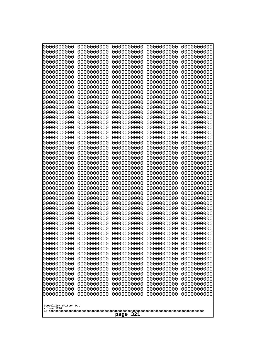| 0000000000<br>0000000000<br>0000000000<br>0000000000<br>0000000000<br>0000000000<br>0000000000<br>0000000000<br>0000000000<br>0000000000<br>0000000000<br>0000000000<br>0000000000<br>0000000000<br>0000000000<br>0000000000<br>0000000000<br>0000000000<br>0000000000<br>0000000000 |  |  |  |  |
|--------------------------------------------------------------------------------------------------------------------------------------------------------------------------------------------------------------------------------------------------------------------------------------|--|--|--|--|
| Googolplex Written Out<br>volume 1720<br>321<br>page                                                                                                                                                                                                                                 |  |  |  |  |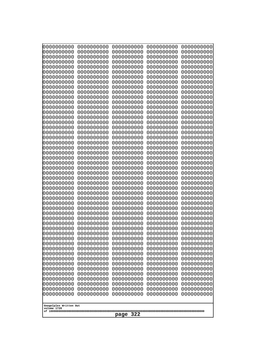| 0000000000<br>0000000000<br>0000000000<br>0000000000<br>0000000000<br>0000000000<br>0000000000<br>0000000000<br>0000000000<br>0000000000<br>0000000000<br>0000000000<br>0000000000<br>0000000000<br>0000000000<br>0000000000<br>0000000000<br>0000000000<br>0000000000<br>0000000000<br>0000000000<br>0000000000<br>0000000000<br>0000000000 | 0000000000<br>0000000000<br>0000000000<br>0000000000<br>0000000000<br>0000000000<br>0000000000<br>0000000000<br>0000000000<br>0000000000<br>0000000000<br>0000000000<br>0000000000<br>0000000000<br>0000000000<br>0000000000<br>0000000000<br>0000000000<br>0000000000<br>0000000000<br>0000000000<br>0000000000<br>0000000000<br>0000000000 | 0000000000<br>0000000000<br>0000000000<br>0000000000<br>0000000000<br>0000000000<br>0000000000<br>0000000000<br>0000000000<br>0000000000<br>0000000000<br>0000000000<br>0000000000<br>0000000000<br>0000000000<br>0000000000<br>0000000000<br>0000000000<br>0000000000<br>0000000000<br>0000000000<br>0000000000<br>0000000000<br>0000000000 | 0000000000<br>0000000000<br>0000000000<br>0000000000<br>0000000000<br>0000000000<br>0000000000<br>0000000000<br>0000000000<br>0000000000<br>0000000000<br>0000000000<br>0000000000<br>0000000000<br>0000000000<br>0000000000<br>0000000000<br>0000000000<br>0000000000<br>0000000000<br>0000000000<br>0000000000<br>0000000000<br>0000000000 | 0000000000<br>0000000000<br>0000000000<br>0000000000<br>0000000000<br>0000000000<br>0000000000<br>0000000000<br>0000000000<br>0000000000<br>0000000000<br>0000000000<br>0000000000<br>0000000000<br>0000000000<br>0000000000<br>0000000000<br>0000000000<br>0000000000<br>0000000000<br>0000000000<br>0000000000<br>0000000000<br>0000000000 |
|----------------------------------------------------------------------------------------------------------------------------------------------------------------------------------------------------------------------------------------------------------------------------------------------------------------------------------------------|----------------------------------------------------------------------------------------------------------------------------------------------------------------------------------------------------------------------------------------------------------------------------------------------------------------------------------------------|----------------------------------------------------------------------------------------------------------------------------------------------------------------------------------------------------------------------------------------------------------------------------------------------------------------------------------------------|----------------------------------------------------------------------------------------------------------------------------------------------------------------------------------------------------------------------------------------------------------------------------------------------------------------------------------------------|----------------------------------------------------------------------------------------------------------------------------------------------------------------------------------------------------------------------------------------------------------------------------------------------------------------------------------------------|
|                                                                                                                                                                                                                                                                                                                                              |                                                                                                                                                                                                                                                                                                                                              |                                                                                                                                                                                                                                                                                                                                              |                                                                                                                                                                                                                                                                                                                                              |                                                                                                                                                                                                                                                                                                                                              |
|                                                                                                                                                                                                                                                                                                                                              |                                                                                                                                                                                                                                                                                                                                              |                                                                                                                                                                                                                                                                                                                                              |                                                                                                                                                                                                                                                                                                                                              |                                                                                                                                                                                                                                                                                                                                              |
|                                                                                                                                                                                                                                                                                                                                              |                                                                                                                                                                                                                                                                                                                                              |                                                                                                                                                                                                                                                                                                                                              |                                                                                                                                                                                                                                                                                                                                              |                                                                                                                                                                                                                                                                                                                                              |
|                                                                                                                                                                                                                                                                                                                                              |                                                                                                                                                                                                                                                                                                                                              |                                                                                                                                                                                                                                                                                                                                              |                                                                                                                                                                                                                                                                                                                                              |                                                                                                                                                                                                                                                                                                                                              |
|                                                                                                                                                                                                                                                                                                                                              |                                                                                                                                                                                                                                                                                                                                              |                                                                                                                                                                                                                                                                                                                                              |                                                                                                                                                                                                                                                                                                                                              |                                                                                                                                                                                                                                                                                                                                              |
|                                                                                                                                                                                                                                                                                                                                              |                                                                                                                                                                                                                                                                                                                                              |                                                                                                                                                                                                                                                                                                                                              |                                                                                                                                                                                                                                                                                                                                              |                                                                                                                                                                                                                                                                                                                                              |
|                                                                                                                                                                                                                                                                                                                                              |                                                                                                                                                                                                                                                                                                                                              |                                                                                                                                                                                                                                                                                                                                              |                                                                                                                                                                                                                                                                                                                                              |                                                                                                                                                                                                                                                                                                                                              |
|                                                                                                                                                                                                                                                                                                                                              |                                                                                                                                                                                                                                                                                                                                              |                                                                                                                                                                                                                                                                                                                                              |                                                                                                                                                                                                                                                                                                                                              |                                                                                                                                                                                                                                                                                                                                              |
|                                                                                                                                                                                                                                                                                                                                              |                                                                                                                                                                                                                                                                                                                                              |                                                                                                                                                                                                                                                                                                                                              |                                                                                                                                                                                                                                                                                                                                              |                                                                                                                                                                                                                                                                                                                                              |
|                                                                                                                                                                                                                                                                                                                                              |                                                                                                                                                                                                                                                                                                                                              |                                                                                                                                                                                                                                                                                                                                              |                                                                                                                                                                                                                                                                                                                                              |                                                                                                                                                                                                                                                                                                                                              |
|                                                                                                                                                                                                                                                                                                                                              |                                                                                                                                                                                                                                                                                                                                              |                                                                                                                                                                                                                                                                                                                                              |                                                                                                                                                                                                                                                                                                                                              |                                                                                                                                                                                                                                                                                                                                              |
|                                                                                                                                                                                                                                                                                                                                              |                                                                                                                                                                                                                                                                                                                                              |                                                                                                                                                                                                                                                                                                                                              |                                                                                                                                                                                                                                                                                                                                              |                                                                                                                                                                                                                                                                                                                                              |
|                                                                                                                                                                                                                                                                                                                                              |                                                                                                                                                                                                                                                                                                                                              |                                                                                                                                                                                                                                                                                                                                              |                                                                                                                                                                                                                                                                                                                                              |                                                                                                                                                                                                                                                                                                                                              |
| 0000000000                                                                                                                                                                                                                                                                                                                                   | 0000000000                                                                                                                                                                                                                                                                                                                                   | 0000000000                                                                                                                                                                                                                                                                                                                                   | 0000000000                                                                                                                                                                                                                                                                                                                                   | 0000000000                                                                                                                                                                                                                                                                                                                                   |
| 0000000000<br>0000000000                                                                                                                                                                                                                                                                                                                     | 0000000000<br>0000000000                                                                                                                                                                                                                                                                                                                     | 0000000000<br>0000000000                                                                                                                                                                                                                                                                                                                     | 0000000000<br>0000000000                                                                                                                                                                                                                                                                                                                     | 0000000000<br>0000000000                                                                                                                                                                                                                                                                                                                     |
| 0000000000                                                                                                                                                                                                                                                                                                                                   | 0000000000                                                                                                                                                                                                                                                                                                                                   | 0000000000                                                                                                                                                                                                                                                                                                                                   | 0000000000                                                                                                                                                                                                                                                                                                                                   | 0000000000                                                                                                                                                                                                                                                                                                                                   |
| 0000000000<br>0000000000                                                                                                                                                                                                                                                                                                                     | 0000000000<br>0000000000                                                                                                                                                                                                                                                                                                                     | 0000000000<br>0000000000                                                                                                                                                                                                                                                                                                                     | 0000000000<br>0000000000                                                                                                                                                                                                                                                                                                                     | 0000000000<br>0000000000                                                                                                                                                                                                                                                                                                                     |
| 0000000000                                                                                                                                                                                                                                                                                                                                   | 0000000000                                                                                                                                                                                                                                                                                                                                   | 0000000000                                                                                                                                                                                                                                                                                                                                   | 0000000000                                                                                                                                                                                                                                                                                                                                   | 0000000000                                                                                                                                                                                                                                                                                                                                   |
| 0000000000<br>0000000000                                                                                                                                                                                                                                                                                                                     | 0000000000<br>0000000000                                                                                                                                                                                                                                                                                                                     | 0000000000<br>0000000000                                                                                                                                                                                                                                                                                                                     | 0000000000<br>0000000000                                                                                                                                                                                                                                                                                                                     | 0000000000<br>0000000000                                                                                                                                                                                                                                                                                                                     |
| 0000000000                                                                                                                                                                                                                                                                                                                                   | 0000000000                                                                                                                                                                                                                                                                                                                                   | 0000000000                                                                                                                                                                                                                                                                                                                                   | 0000000000                                                                                                                                                                                                                                                                                                                                   | 0000000000                                                                                                                                                                                                                                                                                                                                   |
| 0000000000                                                                                                                                                                                                                                                                                                                                   | 0000000000                                                                                                                                                                                                                                                                                                                                   | 0000000000                                                                                                                                                                                                                                                                                                                                   | 0000000000                                                                                                                                                                                                                                                                                                                                   | 0000000000                                                                                                                                                                                                                                                                                                                                   |
| 0000000000<br>0000000000                                                                                                                                                                                                                                                                                                                     | 0000000000<br>0000000000                                                                                                                                                                                                                                                                                                                     | 0000000000<br>0000000000                                                                                                                                                                                                                                                                                                                     | 0000000000<br>0000000000                                                                                                                                                                                                                                                                                                                     | 0000000000<br>0000000000                                                                                                                                                                                                                                                                                                                     |
| 0000000000                                                                                                                                                                                                                                                                                                                                   | 0000000000                                                                                                                                                                                                                                                                                                                                   | 0000000000                                                                                                                                                                                                                                                                                                                                   | 0000000000                                                                                                                                                                                                                                                                                                                                   | 0000000000                                                                                                                                                                                                                                                                                                                                   |
| 0000000000<br>0000000000                                                                                                                                                                                                                                                                                                                     | 0000000000<br>0000000000                                                                                                                                                                                                                                                                                                                     | 0000000000<br>0000000000                                                                                                                                                                                                                                                                                                                     | 0000000000<br>0000000000                                                                                                                                                                                                                                                                                                                     | 0000000000<br>0000000000                                                                                                                                                                                                                                                                                                                     |
| 0000000000                                                                                                                                                                                                                                                                                                                                   | 0000000000                                                                                                                                                                                                                                                                                                                                   | 0000000000                                                                                                                                                                                                                                                                                                                                   | 0000000000                                                                                                                                                                                                                                                                                                                                   | 0000000000                                                                                                                                                                                                                                                                                                                                   |
| 0000000000<br>0000000000                                                                                                                                                                                                                                                                                                                     | 0000000000<br>0000000000                                                                                                                                                                                                                                                                                                                     | 0000000000<br>0000000000                                                                                                                                                                                                                                                                                                                     | 0000000000<br>0000000000                                                                                                                                                                                                                                                                                                                     | 0000000000<br>0000000000                                                                                                                                                                                                                                                                                                                     |
| 0000000000                                                                                                                                                                                                                                                                                                                                   | 0000000000                                                                                                                                                                                                                                                                                                                                   | 0000000000                                                                                                                                                                                                                                                                                                                                   | 0000000000                                                                                                                                                                                                                                                                                                                                   | 0000000000                                                                                                                                                                                                                                                                                                                                   |
| 0000000000<br>0000000000                                                                                                                                                                                                                                                                                                                     | 0000000000<br>0000000000                                                                                                                                                                                                                                                                                                                     | 0000000000<br>0000000000                                                                                                                                                                                                                                                                                                                     | 0000000000<br>0000000000                                                                                                                                                                                                                                                                                                                     | 0000000000<br>0000000000                                                                                                                                                                                                                                                                                                                     |
| 0000000000                                                                                                                                                                                                                                                                                                                                   | 0000000000                                                                                                                                                                                                                                                                                                                                   | 0000000000                                                                                                                                                                                                                                                                                                                                   | 0000000000                                                                                                                                                                                                                                                                                                                                   | 0000000000                                                                                                                                                                                                                                                                                                                                   |
| 0000000000<br>0000000000                                                                                                                                                                                                                                                                                                                     | 0000000000<br>0000000000                                                                                                                                                                                                                                                                                                                     | 0000000000<br>0000000000                                                                                                                                                                                                                                                                                                                     | 0000000000<br>0000000000                                                                                                                                                                                                                                                                                                                     | 0000000000<br>0000000000                                                                                                                                                                                                                                                                                                                     |
| 0000000000                                                                                                                                                                                                                                                                                                                                   | 0000000000                                                                                                                                                                                                                                                                                                                                   | 0000000000                                                                                                                                                                                                                                                                                                                                   | 0000000000                                                                                                                                                                                                                                                                                                                                   | 0000000000                                                                                                                                                                                                                                                                                                                                   |
|                                                                                                                                                                                                                                                                                                                                              |                                                                                                                                                                                                                                                                                                                                              |                                                                                                                                                                                                                                                                                                                                              |                                                                                                                                                                                                                                                                                                                                              |                                                                                                                                                                                                                                                                                                                                              |
| Googolplex Written Out<br>volume 1720                                                                                                                                                                                                                                                                                                        |                                                                                                                                                                                                                                                                                                                                              |                                                                                                                                                                                                                                                                                                                                              |                                                                                                                                                                                                                                                                                                                                              |                                                                                                                                                                                                                                                                                                                                              |
|                                                                                                                                                                                                                                                                                                                                              |                                                                                                                                                                                                                                                                                                                                              | 322<br>page                                                                                                                                                                                                                                                                                                                                  |                                                                                                                                                                                                                                                                                                                                              |                                                                                                                                                                                                                                                                                                                                              |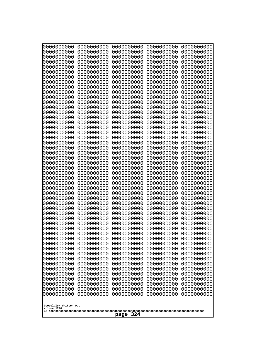| 0000000000<br>0000000000<br>0000000000<br>0000000000<br>0000000000<br>0000000000<br>0000000000<br>0000000000<br>0000000000<br>0000000000<br>0000000000<br>0000000000<br>0000000000<br>0000000000<br>0000000000<br>0000000000<br>0000000000<br>0000000000<br>0000000000<br>0000000000<br>0000000000<br>0000000000<br>0000000000<br>0000000000 | 0000000000<br>0000000000<br>0000000000<br>0000000000<br>0000000000<br>0000000000<br>0000000000<br>0000000000<br>0000000000<br>0000000000<br>0000000000<br>0000000000<br>0000000000<br>0000000000<br>0000000000<br>0000000000<br>0000000000<br>0000000000<br>0000000000<br>0000000000<br>0000000000<br>0000000000<br>0000000000<br>0000000000 | 0000000000<br>0000000000<br>0000000000<br>0000000000<br>0000000000<br>0000000000<br>0000000000<br>0000000000<br>0000000000<br>0000000000<br>0000000000<br>0000000000<br>0000000000<br>0000000000<br>0000000000<br>0000000000<br>0000000000<br>0000000000<br>0000000000<br>0000000000<br>0000000000<br>0000000000<br>0000000000<br>0000000000 | 0000000000<br>0000000000<br>0000000000<br>0000000000<br>0000000000<br>0000000000<br>0000000000<br>0000000000<br>0000000000<br>0000000000<br>0000000000<br>0000000000<br>0000000000<br>0000000000<br>0000000000<br>0000000000<br>0000000000<br>0000000000<br>0000000000<br>0000000000<br>0000000000<br>0000000000<br>0000000000<br>0000000000 | 0000000000<br>0000000000<br>0000000000<br>0000000000<br>0000000000<br>0000000000<br>0000000000<br>0000000000<br>0000000000<br>0000000000<br>0000000000<br>0000000000<br>0000000000<br>0000000000<br>0000000000<br>0000000000<br>0000000000<br>0000000000<br>0000000000<br>0000000000<br>0000000000<br>0000000000<br>0000000000<br>0000000000 |
|----------------------------------------------------------------------------------------------------------------------------------------------------------------------------------------------------------------------------------------------------------------------------------------------------------------------------------------------|----------------------------------------------------------------------------------------------------------------------------------------------------------------------------------------------------------------------------------------------------------------------------------------------------------------------------------------------|----------------------------------------------------------------------------------------------------------------------------------------------------------------------------------------------------------------------------------------------------------------------------------------------------------------------------------------------|----------------------------------------------------------------------------------------------------------------------------------------------------------------------------------------------------------------------------------------------------------------------------------------------------------------------------------------------|----------------------------------------------------------------------------------------------------------------------------------------------------------------------------------------------------------------------------------------------------------------------------------------------------------------------------------------------|
|                                                                                                                                                                                                                                                                                                                                              |                                                                                                                                                                                                                                                                                                                                              |                                                                                                                                                                                                                                                                                                                                              |                                                                                                                                                                                                                                                                                                                                              |                                                                                                                                                                                                                                                                                                                                              |
|                                                                                                                                                                                                                                                                                                                                              |                                                                                                                                                                                                                                                                                                                                              |                                                                                                                                                                                                                                                                                                                                              |                                                                                                                                                                                                                                                                                                                                              |                                                                                                                                                                                                                                                                                                                                              |
|                                                                                                                                                                                                                                                                                                                                              |                                                                                                                                                                                                                                                                                                                                              |                                                                                                                                                                                                                                                                                                                                              |                                                                                                                                                                                                                                                                                                                                              |                                                                                                                                                                                                                                                                                                                                              |
|                                                                                                                                                                                                                                                                                                                                              |                                                                                                                                                                                                                                                                                                                                              |                                                                                                                                                                                                                                                                                                                                              |                                                                                                                                                                                                                                                                                                                                              |                                                                                                                                                                                                                                                                                                                                              |
|                                                                                                                                                                                                                                                                                                                                              |                                                                                                                                                                                                                                                                                                                                              |                                                                                                                                                                                                                                                                                                                                              |                                                                                                                                                                                                                                                                                                                                              |                                                                                                                                                                                                                                                                                                                                              |
|                                                                                                                                                                                                                                                                                                                                              |                                                                                                                                                                                                                                                                                                                                              |                                                                                                                                                                                                                                                                                                                                              |                                                                                                                                                                                                                                                                                                                                              |                                                                                                                                                                                                                                                                                                                                              |
|                                                                                                                                                                                                                                                                                                                                              |                                                                                                                                                                                                                                                                                                                                              |                                                                                                                                                                                                                                                                                                                                              |                                                                                                                                                                                                                                                                                                                                              |                                                                                                                                                                                                                                                                                                                                              |
|                                                                                                                                                                                                                                                                                                                                              |                                                                                                                                                                                                                                                                                                                                              |                                                                                                                                                                                                                                                                                                                                              |                                                                                                                                                                                                                                                                                                                                              |                                                                                                                                                                                                                                                                                                                                              |
|                                                                                                                                                                                                                                                                                                                                              |                                                                                                                                                                                                                                                                                                                                              |                                                                                                                                                                                                                                                                                                                                              |                                                                                                                                                                                                                                                                                                                                              |                                                                                                                                                                                                                                                                                                                                              |
|                                                                                                                                                                                                                                                                                                                                              |                                                                                                                                                                                                                                                                                                                                              |                                                                                                                                                                                                                                                                                                                                              |                                                                                                                                                                                                                                                                                                                                              |                                                                                                                                                                                                                                                                                                                                              |
|                                                                                                                                                                                                                                                                                                                                              |                                                                                                                                                                                                                                                                                                                                              |                                                                                                                                                                                                                                                                                                                                              |                                                                                                                                                                                                                                                                                                                                              |                                                                                                                                                                                                                                                                                                                                              |
|                                                                                                                                                                                                                                                                                                                                              |                                                                                                                                                                                                                                                                                                                                              |                                                                                                                                                                                                                                                                                                                                              |                                                                                                                                                                                                                                                                                                                                              |                                                                                                                                                                                                                                                                                                                                              |
| 0000000000                                                                                                                                                                                                                                                                                                                                   | 0000000000                                                                                                                                                                                                                                                                                                                                   | 0000000000                                                                                                                                                                                                                                                                                                                                   | 0000000000                                                                                                                                                                                                                                                                                                                                   | 0000000000                                                                                                                                                                                                                                                                                                                                   |
| 0000000000<br>0000000000                                                                                                                                                                                                                                                                                                                     | 0000000000<br>0000000000                                                                                                                                                                                                                                                                                                                     | 0000000000<br>0000000000                                                                                                                                                                                                                                                                                                                     | 0000000000<br>0000000000                                                                                                                                                                                                                                                                                                                     | 0000000000<br>0000000000                                                                                                                                                                                                                                                                                                                     |
| 0000000000                                                                                                                                                                                                                                                                                                                                   | 0000000000                                                                                                                                                                                                                                                                                                                                   | 0000000000                                                                                                                                                                                                                                                                                                                                   | 0000000000                                                                                                                                                                                                                                                                                                                                   | 0000000000                                                                                                                                                                                                                                                                                                                                   |
| 0000000000<br>0000000000                                                                                                                                                                                                                                                                                                                     | 0000000000<br>0000000000                                                                                                                                                                                                                                                                                                                     | 0000000000<br>0000000000                                                                                                                                                                                                                                                                                                                     | 0000000000<br>0000000000                                                                                                                                                                                                                                                                                                                     | 0000000000<br>0000000000                                                                                                                                                                                                                                                                                                                     |
| 0000000000<br>0000000000                                                                                                                                                                                                                                                                                                                     | 0000000000<br>0000000000                                                                                                                                                                                                                                                                                                                     | 0000000000<br>0000000000                                                                                                                                                                                                                                                                                                                     | 0000000000<br>0000000000                                                                                                                                                                                                                                                                                                                     | 0000000000<br>0000000000                                                                                                                                                                                                                                                                                                                     |
| 0000000000                                                                                                                                                                                                                                                                                                                                   | 0000000000                                                                                                                                                                                                                                                                                                                                   | 0000000000                                                                                                                                                                                                                                                                                                                                   | 0000000000                                                                                                                                                                                                                                                                                                                                   | 0000000000                                                                                                                                                                                                                                                                                                                                   |
| 0000000000<br>0000000000                                                                                                                                                                                                                                                                                                                     | 0000000000<br>0000000000                                                                                                                                                                                                                                                                                                                     | 0000000000<br>0000000000                                                                                                                                                                                                                                                                                                                     | 0000000000<br>0000000000                                                                                                                                                                                                                                                                                                                     | 0000000000<br>0000000000                                                                                                                                                                                                                                                                                                                     |
| 0000000000                                                                                                                                                                                                                                                                                                                                   | 0000000000                                                                                                                                                                                                                                                                                                                                   | 0000000000                                                                                                                                                                                                                                                                                                                                   | 0000000000                                                                                                                                                                                                                                                                                                                                   | 0000000000                                                                                                                                                                                                                                                                                                                                   |
| 0000000000<br>0000000000                                                                                                                                                                                                                                                                                                                     | 0000000000<br>0000000000                                                                                                                                                                                                                                                                                                                     | 0000000000<br>0000000000                                                                                                                                                                                                                                                                                                                     | 0000000000<br>0000000000                                                                                                                                                                                                                                                                                                                     | 0000000000<br>0000000000                                                                                                                                                                                                                                                                                                                     |
| 0000000000                                                                                                                                                                                                                                                                                                                                   | 0000000000                                                                                                                                                                                                                                                                                                                                   | 0000000000                                                                                                                                                                                                                                                                                                                                   | 0000000000                                                                                                                                                                                                                                                                                                                                   | 0000000000                                                                                                                                                                                                                                                                                                                                   |
| 0000000000<br>0000000000                                                                                                                                                                                                                                                                                                                     | 0000000000<br>0000000000                                                                                                                                                                                                                                                                                                                     | 0000000000<br>0000000000                                                                                                                                                                                                                                                                                                                     | 0000000000<br>0000000000                                                                                                                                                                                                                                                                                                                     | 0000000000<br>0000000000                                                                                                                                                                                                                                                                                                                     |
| 0000000000                                                                                                                                                                                                                                                                                                                                   | 0000000000                                                                                                                                                                                                                                                                                                                                   | 0000000000                                                                                                                                                                                                                                                                                                                                   | 0000000000                                                                                                                                                                                                                                                                                                                                   | 0000000000                                                                                                                                                                                                                                                                                                                                   |
| 0000000000<br>0000000000                                                                                                                                                                                                                                                                                                                     | 0000000000<br>0000000000                                                                                                                                                                                                                                                                                                                     | 0000000000<br>0000000000                                                                                                                                                                                                                                                                                                                     | 0000000000<br>0000000000                                                                                                                                                                                                                                                                                                                     | 0000000000<br>0000000000                                                                                                                                                                                                                                                                                                                     |
| 0000000000<br>0000000000                                                                                                                                                                                                                                                                                                                     | 0000000000                                                                                                                                                                                                                                                                                                                                   | 0000000000                                                                                                                                                                                                                                                                                                                                   | 0000000000                                                                                                                                                                                                                                                                                                                                   | 0000000000                                                                                                                                                                                                                                                                                                                                   |
| 0000000000                                                                                                                                                                                                                                                                                                                                   | 0000000000<br>0000000000                                                                                                                                                                                                                                                                                                                     | 0000000000<br>0000000000                                                                                                                                                                                                                                                                                                                     | 0000000000<br>0000000000                                                                                                                                                                                                                                                                                                                     | 0000000000<br>0000000000                                                                                                                                                                                                                                                                                                                     |
| 0000000000<br>0000000000                                                                                                                                                                                                                                                                                                                     | 0000000000<br>0000000000                                                                                                                                                                                                                                                                                                                     | 0000000000<br>0000000000                                                                                                                                                                                                                                                                                                                     | 0000000000<br>0000000000                                                                                                                                                                                                                                                                                                                     | 0000000000<br>0000000000                                                                                                                                                                                                                                                                                                                     |
| 0000000000                                                                                                                                                                                                                                                                                                                                   | 0000000000                                                                                                                                                                                                                                                                                                                                   | 0000000000                                                                                                                                                                                                                                                                                                                                   | 0000000000                                                                                                                                                                                                                                                                                                                                   | 0000000000                                                                                                                                                                                                                                                                                                                                   |
| Googolplex Written Out                                                                                                                                                                                                                                                                                                                       |                                                                                                                                                                                                                                                                                                                                              |                                                                                                                                                                                                                                                                                                                                              |                                                                                                                                                                                                                                                                                                                                              |                                                                                                                                                                                                                                                                                                                                              |
| volume 1720<br>324<br>page                                                                                                                                                                                                                                                                                                                   |                                                                                                                                                                                                                                                                                                                                              |                                                                                                                                                                                                                                                                                                                                              |                                                                                                                                                                                                                                                                                                                                              |                                                                                                                                                                                                                                                                                                                                              |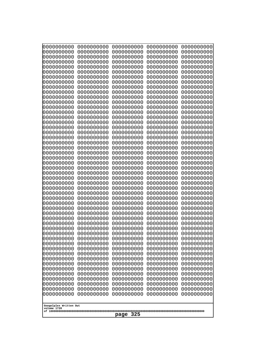| 0000000000                                                                                    | 0000000000                                           | 0000000000                                           | 0000000000                                           | 0000000000                                           |
|-----------------------------------------------------------------------------------------------|------------------------------------------------------|------------------------------------------------------|------------------------------------------------------|------------------------------------------------------|
| 0000000000                                                                                    | 0000000000                                           | 0000000000                                           | 0000000000                                           | 0000000000                                           |
| 0000000000                                                                                    | 0000000000                                           | 0000000000                                           | 0000000000                                           | 0000000000                                           |
| 0000000000                                                                                    | 0000000000                                           | 0000000000                                           | 0000000000                                           | 0000000000                                           |
| 0000000000                                                                                    | 0000000000                                           | 0000000000                                           | 0000000000                                           | 0000000000                                           |
| 0000000000                                                                                    | 0000000000                                           | 0000000000                                           | 0000000000                                           | 0000000000                                           |
| 0000000000                                                                                    | 0000000000                                           | 0000000000                                           | 0000000000                                           | 0000000000                                           |
| 0000000000                                                                                    | 0000000000                                           | 0000000000                                           | 0000000000                                           | 0000000000                                           |
| 0000000000                                                                                    | 0000000000                                           | 0000000000                                           | 0000000000                                           | 0000000000                                           |
| 0000000000                                                                                    | 0000000000                                           | 0000000000                                           | 0000000000                                           | 0000000000                                           |
| 0000000000                                                                                    | 0000000000                                           | 0000000000                                           | 0000000000                                           | 0000000000                                           |
| 0000000000                                                                                    | 0000000000                                           | 0000000000                                           | 0000000000                                           | 0000000000                                           |
| 0000000000                                                                                    | 0000000000                                           | 0000000000                                           | 0000000000                                           | 0000000000                                           |
| 0000000000                                                                                    | 0000000000                                           | 0000000000                                           | 0000000000                                           | 0000000000                                           |
| 0000000000                                                                                    | 0000000000                                           | 0000000000                                           | 0000000000                                           | 0000000000                                           |
| 0000000000                                                                                    | 0000000000                                           | 0000000000                                           | 0000000000                                           | 0000000000                                           |
| 0000000000                                                                                    | 0000000000                                           | 0000000000                                           | 0000000000                                           | 0000000000                                           |
| 0000000000                                                                                    | 0000000000                                           | 0000000000                                           | 0000000000                                           | 0000000000                                           |
| 0000000000                                                                                    | 0000000000                                           | 0000000000                                           | 0000000000                                           | 0000000000                                           |
| 0000000000                                                                                    | 0000000000                                           | 0000000000                                           | 0000000000                                           | 0000000000                                           |
| 0000000000                                                                                    | 0000000000                                           | 0000000000                                           | 0000000000                                           | 0000000000                                           |
| 0000000000                                                                                    | 0000000000                                           | 0000000000                                           | 0000000000                                           | 0000000000                                           |
| 0000000000                                                                                    | 0000000000                                           | 0000000000                                           | 0000000000                                           | 0000000000                                           |
| 0000000000                                                                                    | 0000000000                                           | 0000000000                                           | 0000000000                                           | 0000000000                                           |
|                                                                                               |                                                      |                                                      |                                                      |                                                      |
| 0000000000                                                                                    | 0000000000                                           | 0000000000                                           | 0000000000                                           | 0000000000                                           |
| 0000000000                                                                                    | 0000000000                                           | 0000000000                                           | 0000000000                                           | 0000000000                                           |
| 0000000000                                                                                    | 0000000000                                           | 0000000000                                           | 0000000000                                           | 0000000000                                           |
| 0000000000                                                                                    | 0000000000                                           | 0000000000                                           | 0000000000                                           | 0000000000                                           |
| 0000000000                                                                                    | 0000000000                                           | 0000000000                                           | 0000000000                                           | 0000000000                                           |
| 0000000000                                                                                    | 0000000000                                           | 0000000000                                           | 0000000000                                           | 0000000000                                           |
| 0000000000                                                                                    | 0000000000                                           | 0000000000                                           | 0000000000                                           | 0000000000                                           |
| 0000000000                                                                                    | 0000000000                                           | 0000000000                                           | 0000000000                                           | 0000000000                                           |
| 0000000000                                                                                    | 0000000000                                           | 0000000000                                           | 0000000000                                           | 0000000000                                           |
| 0000000000                                                                                    | 0000000000                                           | 0000000000                                           | 0000000000                                           | 0000000000                                           |
| 0000000000                                                                                    | 0000000000                                           | 0000000000                                           | 0000000000                                           | 0000000000                                           |
| 0000000000                                                                                    | 0000000000                                           | 0000000000                                           | 0000000000                                           | 0000000000                                           |
| 0000000000                                                                                    | 0000000000                                           | 0000000000                                           | 0000000000                                           | 0000000000                                           |
| 0000000000                                                                                    | 0000000000                                           | 0000000000                                           | 0000000000                                           | 0000000000                                           |
| 0000000000                                                                                    | 0000000000                                           | 0000000000                                           | 0000000000                                           | 0000000000                                           |
| 0000000000                                                                                    | 0000000000                                           | 0000000000                                           | 0000000000                                           | 0000000000                                           |
| 0000000000                                                                                    | 0000000000                                           | 0000000000                                           | 0000000000                                           | 0000000000                                           |
| 0000000000                                                                                    | 0000000000                                           | 0000000000                                           | 0000000000                                           | 0000000000                                           |
| 0000000000                                                                                    | 0000000000                                           | 0000000000                                           | 0000000000                                           | 0000000000                                           |
| 0000000000                                                                                    | 0000000000                                           | 0000000000                                           | 0000000000                                           | 0000000000                                           |
| 0000000000                                                                                    | 0000000000                                           | 0000000000                                           | 0000000000                                           | 0000000000                                           |
| 0000000000                                                                                    | 0000000000                                           | 0000000000                                           | 0000000000                                           | 0000000000                                           |
| 0000000000<br>0000000000<br>0000000000<br>0000000000<br>Googolplex Written Out<br>volume 1720 | 0000000000<br>0000000000<br>0000000000<br>0000000000 | 0000000000<br>0000000000<br>0000000000<br>0000000000 | 0000000000<br>0000000000<br>0000000000<br>0000000000 | 0000000000<br>0000000000<br>0000000000<br>0000000000 |
| 325<br>page                                                                                   |                                                      |                                                      |                                                      |                                                      |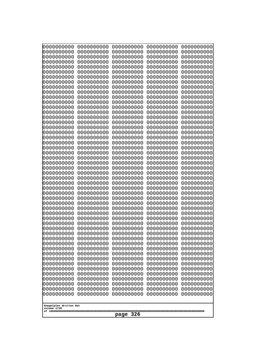| 10000000000              | 0000000000               | 0000000000               | 0000000000               | 0000000000               |
|--------------------------|--------------------------|--------------------------|--------------------------|--------------------------|
| 0000000000<br>0000000000 | 0000000000<br>0000000000 | 0000000000<br>0000000000 | 0000000000<br>0000000000 | 0000000000<br>0000000000 |
| 0000000000               | 0000000000               | 0000000000               | 0000000000               | 0000000000               |
| 0000000000               | 0000000000               | 0000000000               | 0000000000               | 0000000000               |
| 0000000000               | 0000000000               | 0000000000               | 0000000000               | 0000000000               |
| 0000000000<br>0000000000 | 0000000000<br>0000000000 | 0000000000<br>0000000000 | 0000000000<br>0000000000 | 0000000000<br>0000000000 |
| 0000000000               | 0000000000               | 0000000000               | 0000000000               | 0000000000               |
| 0000000000               | 0000000000               | 0000000000               | 0000000000               | 0000000000               |
| 0000000000               | 0000000000               | 0000000000               | 0000000000               | 0000000000               |
| 0000000000<br>0000000000 | 0000000000<br>0000000000 | 0000000000<br>0000000000 | 0000000000<br>0000000000 | 0000000000<br>0000000000 |
| 0000000000               | 0000000000               | 0000000000               | 0000000000               | 0000000000               |
| 0000000000               | 0000000000               | 0000000000               | 0000000000               | 0000000000               |
| 0000000000               | 0000000000               | 0000000000               | 0000000000               | 0000000000               |
| 0000000000<br>0000000000 | 0000000000<br>0000000000 | 0000000000<br>0000000000 | 0000000000<br>0000000000 | 0000000000<br>0000000000 |
| 0000000000               | 0000000000               | 0000000000               | 0000000000               | 0000000000               |
| 0000000000               | 0000000000               | 0000000000               | 0000000000               | 0000000000               |
| 0000000000               | 0000000000<br>0000000000 | 0000000000               | 0000000000               | 0000000000               |
| 0000000000<br>0000000000 | 0000000000               | 0000000000<br>0000000000 | 0000000000<br>0000000000 | 0000000000<br>0000000000 |
| 0000000000               | 0000000000               | 0000000000               | 0000000000               | 0000000000               |
| 0000000000               | 0000000000               | 0000000000               | 0000000000               | 0000000000               |
| 0000000000<br>0000000000 | 0000000000<br>0000000000 | 0000000000<br>0000000000 | 0000000000<br>0000000000 | 0000000000<br>0000000000 |
| 0000000000               | 0000000000               | 0000000000               | 0000000000               | 0000000000               |
| 0000000000               | 0000000000               | 0000000000               | 0000000000               | 0000000000               |
| 0000000000               | 0000000000               | 0000000000               | 0000000000               | 0000000000               |
| 0000000000<br>0000000000 | 0000000000<br>0000000000 | 0000000000<br>0000000000 | 0000000000<br>0000000000 | 0000000000<br>0000000000 |
| 0000000000               | 0000000000               | 0000000000               | 0000000000               | 0000000000               |
| 0000000000               | 0000000000               | 0000000000               | 0000000000               | 0000000000               |
| 0000000000               | 0000000000               | 0000000000               | 0000000000               | 0000000000               |
| 0000000000<br>0000000000 | 0000000000<br>0000000000 | 0000000000<br>0000000000 | 0000000000<br>0000000000 | 0000000000<br>0000000000 |
| 0000000000               | 0000000000               | 0000000000               | 0000000000               | 0000000000               |
| 0000000000               | 0000000000               | 0000000000               | 0000000000               | 0000000000               |
| 0000000000<br>0000000000 | 0000000000<br>0000000000 | 0000000000<br>0000000000 | 0000000000<br>0000000000 | 0000000000<br>0000000000 |
| 0000000000               | 0000000000               | 0000000000               | 0000000000               | 0000000000               |
| 0000000000               | 0000000000               | 0000000000               | 0000000000               | 0000000000               |
| 0000000000               | 0000000000               | 0000000000               | 0000000000               | 0000000000               |
| 0000000000<br>0000000000 | 0000000000<br>0000000000 | 0000000000<br>0000000000 | 0000000000<br>0000000000 | 0000000000<br>0000000000 |
| 0000000000               | 0000000000               | 0000000000               | 0000000000               | 0000000000               |
| 0000000000               | 0000000000               | 0000000000               | 0000000000               | 0000000000               |
| 0000000000               | 0000000000               | 0000000000               | 0000000000               | 0000000000               |
| 0000000000               | 0000000000               | 0000000000               | 0000000000               | 0000000000               |
| Googolplex Written Out   |                          |                          |                          |                          |
| volume 1720              |                          |                          |                          |                          |
| 326<br>page              |                          |                          |                          |                          |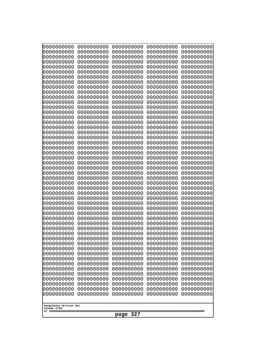| Googolplex Written Out<br>volume 1720 | 0000000000<br>0000000000<br>0000000000<br>0000000000<br>0000000000<br>0000000000<br>0000000000<br>0000000000<br>0000000000<br>0000000000<br>0000000000<br>0000000000<br>0000000000<br>0000000000<br>0000000000<br>0000000000<br>0000000000<br>0000000000<br>0000000000<br>0000000000<br>0000000000<br>0000000000<br>0000000000<br>0000000000<br>0000000000<br>0000000000<br>0000000000<br>0000000000<br>0000000000<br>0000000000<br>0000000000<br>0000000000<br>0000000000<br>0000000000<br>0000000000<br>0000000000<br>0000000000<br>10000000000<br>0000000000<br>0000000000<br>0000000000<br>0000000000<br>0000000000<br>0000000000<br>0000000000<br>0000000000<br>0000000000<br>0000000000<br>0000000000<br>0000000000 | 0000000000<br>0000000000<br>0000000000<br>0000000000<br>0000000000<br>0000000000<br>0000000000<br>0000000000<br>0000000000<br>0000000000<br>0000000000<br>0000000000<br>0000000000<br>0000000000<br>0000000000<br>0000000000<br>0000000000<br>0000000000<br>0000000000<br>0000000000<br>0000000000<br>0000000000<br>0000000000<br>0000000000<br>0000000000<br>0000000000<br>0000000000<br>0000000000<br>0000000000<br>0000000000<br>0000000000<br>0000000000<br>0000000000<br>0000000000<br>0000000000<br>0000000000<br>0000000000<br>0000000000<br>0000000000<br>0000000000<br>0000000000<br>0000000000<br>0000000000<br>0000000000<br>0000000000<br>0000000000<br>0000000000<br>0000000000<br>0000000000<br>0000000000 | 0000000000<br>0000000000<br>0000000000<br>0000000000<br>0000000000<br>0000000000<br>0000000000<br>0000000000<br>0000000000<br>0000000000<br>0000000000<br>0000000000<br>0000000000<br>0000000000<br>0000000000<br>0000000000<br>0000000000<br>0000000000<br>0000000000<br>0000000000<br>0000000000<br>0000000000<br>0000000000<br>0000000000<br>0000000000<br>0000000000<br>0000000000<br>0000000000<br>0000000000<br>0000000000<br>0000000000<br>0000000000<br>0000000000<br>0000000000<br>0000000000<br>0000000000<br>0000000000<br>0000000000<br>0000000000<br>0000000000<br>0000000000<br>0000000000<br>0000000000<br>0000000000<br>0000000000<br>0000000000<br>0000000000<br>0000000000<br>0000000000<br>0000000000 | 0000000000<br>0000000000<br>0000000000<br>0000000000<br>0000000000<br>0000000000<br>0000000000<br>0000000000<br>0000000000<br>0000000000<br>0000000000<br>0000000000<br>0000000000<br>0000000000<br>0000000000<br>0000000000<br>0000000000<br>0000000000<br>0000000000<br>0000000000<br>0000000000<br>0000000000<br>0000000000<br>0000000000<br>0000000000<br>0000000000<br>0000000000<br>0000000000<br>0000000000<br>0000000000<br>0000000000<br>0000000000<br>0000000000<br>0000000000<br>0000000000<br>0000000000<br>0000000000<br>0000000000<br>0000000000<br>0000000000<br>0000000000<br>0000000000<br>0000000000<br>0000000000<br>0000000000<br>0000000000<br>0000000000<br>0000000000<br>0000000000<br>0000000000 | 0000000000<br>0000000000<br>0000000000<br>0000000000<br>0000000000<br>0000000000<br>0000000000<br>0000000000<br>0000000000<br>0000000000<br>0000000000<br>0000000000<br>0000000000<br>0000000000<br>0000000000<br>0000000000<br>0000000000<br>0000000000<br>0000000000<br>0000000000<br>0000000000<br>0000000000<br>0000000000<br>0000000000<br>0000000000<br>0000000000<br>0000000000<br>0000000000<br>0000000000<br>0000000000<br>0000000000<br>0000000000<br>0000000000<br>0000000000<br>0000000000<br>0000000000<br>0000000000<br>0000000000<br>0000000000<br>0000000000<br>0000000000<br>0000000000<br>0000000000<br>0000000000<br>0000000000<br>0000000000<br>0000000000<br>0000000000<br>0000000000<br>0000000000 |
|---------------------------------------|---------------------------------------------------------------------------------------------------------------------------------------------------------------------------------------------------------------------------------------------------------------------------------------------------------------------------------------------------------------------------------------------------------------------------------------------------------------------------------------------------------------------------------------------------------------------------------------------------------------------------------------------------------------------------------------------------------------------------|--------------------------------------------------------------------------------------------------------------------------------------------------------------------------------------------------------------------------------------------------------------------------------------------------------------------------------------------------------------------------------------------------------------------------------------------------------------------------------------------------------------------------------------------------------------------------------------------------------------------------------------------------------------------------------------------------------------------------|--------------------------------------------------------------------------------------------------------------------------------------------------------------------------------------------------------------------------------------------------------------------------------------------------------------------------------------------------------------------------------------------------------------------------------------------------------------------------------------------------------------------------------------------------------------------------------------------------------------------------------------------------------------------------------------------------------------------------|--------------------------------------------------------------------------------------------------------------------------------------------------------------------------------------------------------------------------------------------------------------------------------------------------------------------------------------------------------------------------------------------------------------------------------------------------------------------------------------------------------------------------------------------------------------------------------------------------------------------------------------------------------------------------------------------------------------------------|--------------------------------------------------------------------------------------------------------------------------------------------------------------------------------------------------------------------------------------------------------------------------------------------------------------------------------------------------------------------------------------------------------------------------------------------------------------------------------------------------------------------------------------------------------------------------------------------------------------------------------------------------------------------------------------------------------------------------|
| 327<br>page                           |                                                                                                                                                                                                                                                                                                                                                                                                                                                                                                                                                                                                                                                                                                                           |                                                                                                                                                                                                                                                                                                                                                                                                                                                                                                                                                                                                                                                                                                                          |                                                                                                                                                                                                                                                                                                                                                                                                                                                                                                                                                                                                                                                                                                                          |                                                                                                                                                                                                                                                                                                                                                                                                                                                                                                                                                                                                                                                                                                                          |                                                                                                                                                                                                                                                                                                                                                                                                                                                                                                                                                                                                                                                                                                                          |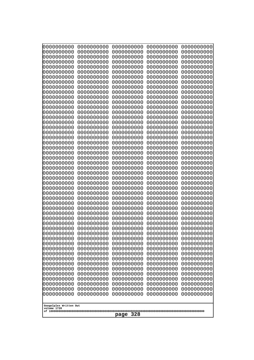| Googolplex Written Out<br>volume 1720 | 0000000000<br>0000000000<br>0000000000<br>0000000000<br>0000000000<br>0000000000<br>0000000000<br>0000000000<br>0000000000<br>0000000000<br>0000000000<br>0000000000<br>0000000000<br>0000000000<br>0000000000<br>0000000000<br>0000000000<br>0000000000<br>0000000000<br>0000000000<br>0000000000<br>0000000000<br>0000000000<br>0000000000<br>0000000000<br>0000000000<br>0000000000<br>0000000000<br>0000000000<br>0000000000<br>0000000000<br>0000000000<br>0000000000<br>0000000000<br>0000000000<br>0000000000<br>0000000000<br>10000000000<br>0000000000<br>0000000000<br>0000000000<br>0000000000<br>0000000000<br>0000000000<br>0000000000<br>0000000000<br>0000000000<br>0000000000<br>0000000000<br>0000000000 | 0000000000<br>0000000000<br>0000000000<br>0000000000<br>0000000000<br>0000000000<br>0000000000<br>0000000000<br>0000000000<br>0000000000<br>0000000000<br>0000000000<br>0000000000<br>0000000000<br>0000000000<br>0000000000<br>0000000000<br>0000000000<br>0000000000<br>0000000000<br>0000000000<br>0000000000<br>0000000000<br>0000000000<br>0000000000<br>0000000000<br>0000000000<br>0000000000<br>0000000000<br>0000000000<br>0000000000<br>0000000000<br>0000000000<br>0000000000<br>0000000000<br>0000000000<br>0000000000<br>0000000000<br>0000000000<br>0000000000<br>0000000000<br>0000000000<br>0000000000<br>0000000000<br>0000000000<br>0000000000<br>0000000000<br>0000000000<br>0000000000<br>0000000000 | 0000000000<br>0000000000<br>0000000000<br>0000000000<br>0000000000<br>0000000000<br>0000000000<br>0000000000<br>0000000000<br>0000000000<br>0000000000<br>0000000000<br>0000000000<br>0000000000<br>0000000000<br>0000000000<br>0000000000<br>0000000000<br>0000000000<br>0000000000<br>0000000000<br>0000000000<br>0000000000<br>0000000000<br>0000000000<br>0000000000<br>0000000000<br>0000000000<br>0000000000<br>0000000000<br>0000000000<br>0000000000<br>0000000000<br>0000000000<br>0000000000<br>0000000000<br>0000000000<br>0000000000<br>0000000000<br>0000000000<br>0000000000<br>0000000000<br>0000000000<br>0000000000<br>0000000000<br>0000000000<br>0000000000<br>0000000000<br>0000000000<br>0000000000 | 0000000000<br>0000000000<br>0000000000<br>0000000000<br>0000000000<br>0000000000<br>0000000000<br>0000000000<br>0000000000<br>0000000000<br>0000000000<br>0000000000<br>0000000000<br>0000000000<br>0000000000<br>0000000000<br>0000000000<br>0000000000<br>0000000000<br>0000000000<br>0000000000<br>0000000000<br>0000000000<br>0000000000<br>0000000000<br>0000000000<br>0000000000<br>0000000000<br>0000000000<br>0000000000<br>0000000000<br>0000000000<br>0000000000<br>0000000000<br>0000000000<br>0000000000<br>0000000000<br>0000000000<br>0000000000<br>0000000000<br>0000000000<br>0000000000<br>0000000000<br>0000000000<br>0000000000<br>0000000000<br>0000000000<br>0000000000<br>0000000000<br>0000000000 | 0000000000<br>0000000000<br>0000000000<br>0000000000<br>0000000000<br>0000000000<br>0000000000<br>0000000000<br>0000000000<br>0000000000<br>0000000000<br>0000000000<br>0000000000<br>0000000000<br>0000000000<br>0000000000<br>0000000000<br>0000000000<br>0000000000<br>0000000000<br>0000000000<br>0000000000<br>0000000000<br>0000000000<br>0000000000<br>0000000000<br>0000000000<br>0000000000<br>0000000000<br>0000000000<br>0000000000<br>0000000000<br>0000000000<br>0000000000<br>0000000000<br>0000000000<br>0000000000<br>0000000000<br>0000000000<br>0000000000<br>0000000000<br>0000000000<br>0000000000<br>0000000000<br>0000000000<br>0000000000<br>0000000000<br>0000000000<br>0000000000<br>0000000000 |
|---------------------------------------|---------------------------------------------------------------------------------------------------------------------------------------------------------------------------------------------------------------------------------------------------------------------------------------------------------------------------------------------------------------------------------------------------------------------------------------------------------------------------------------------------------------------------------------------------------------------------------------------------------------------------------------------------------------------------------------------------------------------------|--------------------------------------------------------------------------------------------------------------------------------------------------------------------------------------------------------------------------------------------------------------------------------------------------------------------------------------------------------------------------------------------------------------------------------------------------------------------------------------------------------------------------------------------------------------------------------------------------------------------------------------------------------------------------------------------------------------------------|--------------------------------------------------------------------------------------------------------------------------------------------------------------------------------------------------------------------------------------------------------------------------------------------------------------------------------------------------------------------------------------------------------------------------------------------------------------------------------------------------------------------------------------------------------------------------------------------------------------------------------------------------------------------------------------------------------------------------|--------------------------------------------------------------------------------------------------------------------------------------------------------------------------------------------------------------------------------------------------------------------------------------------------------------------------------------------------------------------------------------------------------------------------------------------------------------------------------------------------------------------------------------------------------------------------------------------------------------------------------------------------------------------------------------------------------------------------|--------------------------------------------------------------------------------------------------------------------------------------------------------------------------------------------------------------------------------------------------------------------------------------------------------------------------------------------------------------------------------------------------------------------------------------------------------------------------------------------------------------------------------------------------------------------------------------------------------------------------------------------------------------------------------------------------------------------------|
|                                       | 328<br>page                                                                                                                                                                                                                                                                                                                                                                                                                                                                                                                                                                                                                                                                                                               |                                                                                                                                                                                                                                                                                                                                                                                                                                                                                                                                                                                                                                                                                                                          |                                                                                                                                                                                                                                                                                                                                                                                                                                                                                                                                                                                                                                                                                                                          |                                                                                                                                                                                                                                                                                                                                                                                                                                                                                                                                                                                                                                                                                                                          |                                                                                                                                                                                                                                                                                                                                                                                                                                                                                                                                                                                                                                                                                                                          |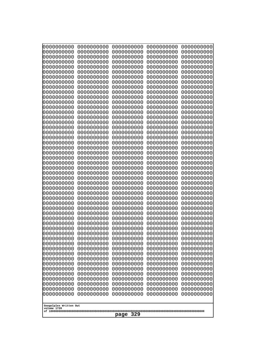| 0000000000                                           | 0000000000 | 0000000000 | 0000000000 | 0000000000 |
|------------------------------------------------------|------------|------------|------------|------------|
| 0000000000                                           | 0000000000 | 0000000000 | 0000000000 | 0000000000 |
| 0000000000                                           | 0000000000 | 0000000000 | 0000000000 | 0000000000 |
| 0000000000                                           | 0000000000 | 0000000000 | 0000000000 | 0000000000 |
| 0000000000                                           | 0000000000 | 0000000000 | 0000000000 | 0000000000 |
| 0000000000                                           | 0000000000 | 0000000000 | 0000000000 | 0000000000 |
| 0000000000                                           | 0000000000 | 0000000000 | 0000000000 | 0000000000 |
| 0000000000                                           | 0000000000 | 0000000000 | 0000000000 | 0000000000 |
| 0000000000                                           | 0000000000 | 0000000000 | 0000000000 | 0000000000 |
| 0000000000                                           | 0000000000 | 0000000000 | 0000000000 | 0000000000 |
| 0000000000                                           | 0000000000 | 0000000000 | 0000000000 | 0000000000 |
| 0000000000                                           | 0000000000 | 0000000000 | 0000000000 | 0000000000 |
| 0000000000                                           | 0000000000 | 0000000000 | 0000000000 | 0000000000 |
| 0000000000                                           | 0000000000 | 0000000000 | 0000000000 | 0000000000 |
| 0000000000                                           | 0000000000 | 0000000000 | 0000000000 | 0000000000 |
| 0000000000                                           | 0000000000 | 0000000000 | 0000000000 | 0000000000 |
| 0000000000                                           | 0000000000 | 0000000000 | 0000000000 | 0000000000 |
| 0000000000                                           | 0000000000 | 0000000000 | 0000000000 | 0000000000 |
| 0000000000                                           | 0000000000 | 0000000000 | 0000000000 | 0000000000 |
| 0000000000                                           | 0000000000 | 0000000000 | 0000000000 | 0000000000 |
| 0000000000                                           | 0000000000 | 0000000000 | 0000000000 | 0000000000 |
| 0000000000                                           | 0000000000 | 0000000000 | 0000000000 | 0000000000 |
| 0000000000                                           | 0000000000 | 0000000000 | 0000000000 | 0000000000 |
| 0000000000                                           | 0000000000 | 0000000000 | 0000000000 | 0000000000 |
| 0000000000                                           | 0000000000 | 0000000000 | 0000000000 | 0000000000 |
| 0000000000                                           | 0000000000 | 0000000000 | 0000000000 | 0000000000 |
| 0000000000                                           | 0000000000 | 0000000000 | 0000000000 | 0000000000 |
| 0000000000                                           | 0000000000 | 0000000000 | 0000000000 | 0000000000 |
| 0000000000                                           | 0000000000 | 0000000000 | 0000000000 | 0000000000 |
| 0000000000                                           | 0000000000 | 0000000000 | 0000000000 | 0000000000 |
| 0000000000                                           | 0000000000 | 0000000000 | 0000000000 | 0000000000 |
| 0000000000                                           | 0000000000 | 0000000000 | 0000000000 | 0000000000 |
| 0000000000                                           | 0000000000 | 0000000000 | 0000000000 | 0000000000 |
| 0000000000                                           | 0000000000 | 0000000000 | 0000000000 | 0000000000 |
| 0000000000                                           | 0000000000 | 0000000000 | 0000000000 | 0000000000 |
| 0000000000                                           | 0000000000 | 0000000000 | 0000000000 | 0000000000 |
| 0000000000                                           | 0000000000 | 0000000000 | 0000000000 | 0000000000 |
| 0000000000                                           | 0000000000 | 0000000000 | 0000000000 | 0000000000 |
| 0000000000                                           | 0000000000 | 0000000000 | 0000000000 | 0000000000 |
| 0000000000                                           | 0000000000 | 0000000000 | 0000000000 | 0000000000 |
| 0000000000                                           | 0000000000 | 0000000000 | 0000000000 | 0000000000 |
| 0000000000                                           | 0000000000 | 0000000000 | 0000000000 | 0000000000 |
| 0000000000                                           | 0000000000 | 0000000000 | 0000000000 | 0000000000 |
| 0000000000                                           | 0000000000 | 0000000000 | 0000000000 | 0000000000 |
| 0000000000                                           | 0000000000 | 0000000000 | 0000000000 | 0000000000 |
| 0000000000                                           | 0000000000 | 0000000000 | 0000000000 | 0000000000 |
| 0000000000                                           | 0000000000 | 0000000000 | 0000000000 | 0000000000 |
| 0000000000                                           | 0000000000 | 0000000000 | 0000000000 | 0000000000 |
| 0000000000                                           | 0000000000 | 0000000000 | 0000000000 | 0000000000 |
| 0000000000                                           | 0000000000 | 0000000000 | 0000000000 | 0000000000 |
| Googolplex Written Out<br>volume 1720<br>329<br>page |            |            |            |            |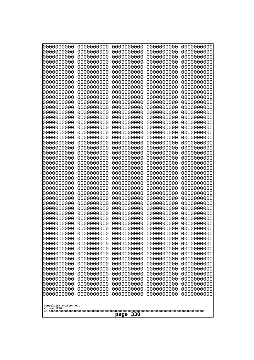| Googolplex Written Out<br>volume 1720 | 0000000000<br>0000000000<br>0000000000<br>0000000000<br>0000000000<br>0000000000<br>0000000000<br>0000000000<br>0000000000<br>0000000000<br>0000000000<br>0000000000<br>0000000000<br>0000000000<br>0000000000<br>0000000000<br>0000000000<br>0000000000<br>0000000000<br>0000000000<br>0000000000<br>0000000000<br>0000000000<br>0000000000<br>0000000000<br>0000000000<br>0000000000<br>0000000000<br>0000000000<br>0000000000<br>0000000000<br>0000000000<br>0000000000<br>0000000000<br>0000000000<br>0000000000<br>0000000000<br>10000000000<br>0000000000<br>0000000000<br>0000000000<br>0000000000<br>0000000000<br>0000000000<br>0000000000<br>0000000000<br>0000000000<br>0000000000<br>0000000000<br>0000000000 | 0000000000<br>0000000000<br>0000000000<br>0000000000<br>0000000000<br>0000000000<br>0000000000<br>0000000000<br>0000000000<br>0000000000<br>0000000000<br>0000000000<br>0000000000<br>0000000000<br>0000000000<br>0000000000<br>0000000000<br>0000000000<br>0000000000<br>0000000000<br>0000000000<br>0000000000<br>0000000000<br>0000000000<br>0000000000<br>0000000000<br>0000000000<br>0000000000<br>0000000000<br>0000000000<br>0000000000<br>0000000000<br>0000000000<br>0000000000<br>0000000000<br>0000000000<br>0000000000<br>0000000000<br>0000000000<br>0000000000<br>0000000000<br>0000000000<br>0000000000<br>0000000000<br>0000000000<br>0000000000<br>0000000000<br>0000000000<br>0000000000<br>0000000000 | 0000000000<br>0000000000<br>0000000000<br>0000000000<br>0000000000<br>0000000000<br>0000000000<br>0000000000<br>0000000000<br>0000000000<br>0000000000<br>0000000000<br>0000000000<br>0000000000<br>0000000000<br>0000000000<br>0000000000<br>0000000000<br>0000000000<br>0000000000<br>0000000000<br>0000000000<br>0000000000<br>0000000000<br>0000000000<br>0000000000<br>0000000000<br>0000000000<br>0000000000<br>0000000000<br>0000000000<br>0000000000<br>0000000000<br>0000000000<br>0000000000<br>0000000000<br>0000000000<br>0000000000<br>0000000000<br>0000000000<br>0000000000<br>0000000000<br>0000000000<br>0000000000<br>0000000000<br>0000000000<br>0000000000<br>0000000000<br>0000000000<br>0000000000 | 0000000000<br>0000000000<br>0000000000<br>0000000000<br>0000000000<br>0000000000<br>0000000000<br>0000000000<br>0000000000<br>0000000000<br>0000000000<br>0000000000<br>0000000000<br>0000000000<br>0000000000<br>0000000000<br>0000000000<br>0000000000<br>0000000000<br>0000000000<br>0000000000<br>0000000000<br>0000000000<br>0000000000<br>0000000000<br>0000000000<br>0000000000<br>0000000000<br>0000000000<br>0000000000<br>0000000000<br>0000000000<br>0000000000<br>0000000000<br>0000000000<br>0000000000<br>0000000000<br>0000000000<br>0000000000<br>0000000000<br>0000000000<br>0000000000<br>0000000000<br>0000000000<br>0000000000<br>0000000000<br>0000000000<br>0000000000<br>0000000000<br>0000000000 | 0000000000<br>0000000000<br>0000000000<br>0000000000<br>0000000000<br>0000000000<br>0000000000<br>0000000000<br>0000000000<br>0000000000<br>0000000000<br>0000000000<br>0000000000<br>0000000000<br>0000000000<br>0000000000<br>0000000000<br>0000000000<br>0000000000<br>0000000000<br>0000000000<br>0000000000<br>0000000000<br>0000000000<br>0000000000<br>0000000000<br>0000000000<br>0000000000<br>0000000000<br>0000000000<br>0000000000<br>0000000000<br>0000000000<br>0000000000<br>0000000000<br>0000000000<br>0000000000<br>0000000000<br>0000000000<br>0000000000<br>0000000000<br>0000000000<br>0000000000<br>0000000000<br>0000000000<br>0000000000<br>0000000000<br>0000000000<br>0000000000<br>0000000000 |
|---------------------------------------|---------------------------------------------------------------------------------------------------------------------------------------------------------------------------------------------------------------------------------------------------------------------------------------------------------------------------------------------------------------------------------------------------------------------------------------------------------------------------------------------------------------------------------------------------------------------------------------------------------------------------------------------------------------------------------------------------------------------------|--------------------------------------------------------------------------------------------------------------------------------------------------------------------------------------------------------------------------------------------------------------------------------------------------------------------------------------------------------------------------------------------------------------------------------------------------------------------------------------------------------------------------------------------------------------------------------------------------------------------------------------------------------------------------------------------------------------------------|--------------------------------------------------------------------------------------------------------------------------------------------------------------------------------------------------------------------------------------------------------------------------------------------------------------------------------------------------------------------------------------------------------------------------------------------------------------------------------------------------------------------------------------------------------------------------------------------------------------------------------------------------------------------------------------------------------------------------|--------------------------------------------------------------------------------------------------------------------------------------------------------------------------------------------------------------------------------------------------------------------------------------------------------------------------------------------------------------------------------------------------------------------------------------------------------------------------------------------------------------------------------------------------------------------------------------------------------------------------------------------------------------------------------------------------------------------------|--------------------------------------------------------------------------------------------------------------------------------------------------------------------------------------------------------------------------------------------------------------------------------------------------------------------------------------------------------------------------------------------------------------------------------------------------------------------------------------------------------------------------------------------------------------------------------------------------------------------------------------------------------------------------------------------------------------------------|
| 330<br>page                           |                                                                                                                                                                                                                                                                                                                                                                                                                                                                                                                                                                                                                                                                                                                           |                                                                                                                                                                                                                                                                                                                                                                                                                                                                                                                                                                                                                                                                                                                          |                                                                                                                                                                                                                                                                                                                                                                                                                                                                                                                                                                                                                                                                                                                          |                                                                                                                                                                                                                                                                                                                                                                                                                                                                                                                                                                                                                                                                                                                          |                                                                                                                                                                                                                                                                                                                                                                                                                                                                                                                                                                                                                                                                                                                          |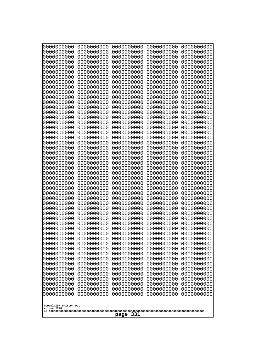| 10000000000              | 0000000000               | 0000000000               | 0000000000               | 0000000000               |
|--------------------------|--------------------------|--------------------------|--------------------------|--------------------------|
| 0000000000<br>0000000000 | 0000000000<br>0000000000 | 0000000000<br>0000000000 | 0000000000<br>0000000000 | 0000000000<br>0000000000 |
| 0000000000               | 0000000000               | 0000000000               | 0000000000               | 0000000000               |
| 0000000000               | 0000000000               | 0000000000               | 0000000000               | 0000000000               |
| 0000000000<br>0000000000 | 0000000000<br>0000000000 | 0000000000<br>0000000000 | 0000000000<br>0000000000 | 0000000000<br>0000000000 |
| 0000000000               | 0000000000               | 0000000000               | 0000000000               | 0000000000               |
| 0000000000               | 0000000000               | 0000000000               | 0000000000               | 0000000000               |
| 0000000000               | 0000000000               | 0000000000               | 0000000000               | 0000000000               |
| 0000000000<br>0000000000 | 0000000000<br>0000000000 | 0000000000<br>0000000000 | 0000000000<br>0000000000 | 0000000000<br>0000000000 |
| 0000000000               | 0000000000               | 0000000000               | 0000000000               | 0000000000               |
| 0000000000               | 0000000000               | 0000000000               | 0000000000               | 0000000000               |
| 0000000000<br>0000000000 | 0000000000<br>0000000000 | 0000000000<br>0000000000 | 0000000000<br>0000000000 | 0000000000<br>0000000000 |
| 0000000000               | 0000000000               | 0000000000               | 0000000000               | 0000000000               |
| 0000000000               | 0000000000               | 0000000000               | 0000000000               | 0000000000               |
| 0000000000<br>0000000000 | 0000000000<br>0000000000 | 0000000000<br>0000000000 | 0000000000<br>0000000000 | 0000000000<br>0000000000 |
| 0000000000               | 0000000000               | 0000000000               | 0000000000               | 0000000000               |
| 0000000000               | 0000000000               | 0000000000               | 0000000000               | 0000000000               |
| 0000000000               | 0000000000               | 0000000000               | 0000000000               | 0000000000               |
| 0000000000<br>0000000000 | 0000000000<br>0000000000 | 0000000000<br>0000000000 | 0000000000<br>0000000000 | 0000000000<br>0000000000 |
| 0000000000               | 0000000000               | 0000000000               | 0000000000               | 0000000000               |
| 0000000000               | 0000000000               | 0000000000               | 0000000000               | 0000000000               |
| 0000000000<br>0000000000 | 0000000000<br>0000000000 | 0000000000<br>0000000000 | 0000000000<br>0000000000 | 0000000000<br>0000000000 |
| 0000000000               | 0000000000               | 0000000000               | 0000000000               | 0000000000               |
| 0000000000               | 0000000000               | 0000000000               | 0000000000               | 0000000000               |
| 0000000000<br>0000000000 | 0000000000<br>0000000000 | 0000000000<br>0000000000 | 0000000000<br>0000000000 | 0000000000<br>0000000000 |
| 0000000000               | 0000000000               | 0000000000               | 0000000000               | 0000000000               |
| 0000000000               | 0000000000               | 0000000000               | 0000000000               | 0000000000               |
| 0000000000<br>0000000000 | 0000000000<br>0000000000 | 0000000000<br>0000000000 | 0000000000               | 0000000000<br>0000000000 |
| 0000000000               | 0000000000               | 0000000000               | 0000000000<br>0000000000 | 0000000000               |
| 0000000000               | 0000000000               | 0000000000               | 0000000000               | 0000000000               |
| 0000000000               | 0000000000               | 0000000000               | 0000000000               | 0000000000               |
| 0000000000<br>0000000000 | 0000000000<br>0000000000 | 0000000000<br>0000000000 | 0000000000<br>0000000000 | 0000000000<br>0000000000 |
| 0000000000               | 0000000000               | 0000000000               | 0000000000               | 0000000000               |
| 0000000000               | 0000000000               | 0000000000               | 0000000000               | 0000000000               |
| 0000000000<br>0000000000 | 0000000000<br>0000000000 | 0000000000<br>0000000000 | 0000000000<br>0000000000 | 0000000000<br>0000000000 |
| 0000000000               | 0000000000               | 0000000000               | 0000000000               | 0000000000               |
| 0000000000               | 0000000000               | 0000000000               | 0000000000               | 0000000000               |
| 0000000000               | 0000000000               | 0000000000               | 0000000000               | 0000000000               |
| 0000000000               | 0000000000               | 0000000000               | 0000000000               | 0000000000               |
| Googolplex Written Out   |                          |                          |                          |                          |
| volume 1720              |                          | 331<br>page              |                          |                          |
|                          |                          |                          |                          |                          |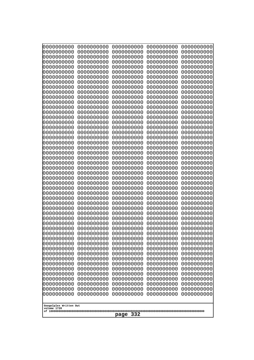| 0000000000<br>0000000000<br>0000000000<br>0000000000<br>0000000000<br>0000000000<br>0000000000<br>0000000000<br>0000000000<br>0000000000<br>0000000000<br>0000000000<br>0000000000<br>0000000000<br>0000000000<br>0000000000<br>0000000000<br>0000000000<br>0000000000<br>0000000000<br>0000000000<br>0000000000<br>0000000000<br>0000000000 | 0000000000<br>0000000000<br>0000000000<br>0000000000<br>0000000000<br>0000000000<br>0000000000<br>0000000000<br>0000000000<br>0000000000<br>0000000000<br>0000000000<br>0000000000<br>0000000000<br>0000000000<br>0000000000<br>0000000000<br>0000000000<br>0000000000<br>0000000000<br>0000000000<br>0000000000<br>0000000000<br>0000000000 | 0000000000<br>0000000000<br>0000000000<br>0000000000<br>0000000000<br>0000000000<br>0000000000<br>0000000000<br>0000000000<br>0000000000<br>0000000000<br>0000000000<br>0000000000<br>0000000000<br>0000000000<br>0000000000<br>0000000000<br>0000000000<br>0000000000<br>0000000000<br>0000000000<br>0000000000<br>0000000000<br>0000000000 | 0000000000<br>0000000000<br>0000000000<br>0000000000<br>0000000000<br>0000000000<br>0000000000<br>0000000000<br>0000000000<br>0000000000<br>0000000000<br>0000000000<br>0000000000<br>0000000000<br>0000000000<br>0000000000<br>0000000000<br>0000000000<br>0000000000<br>0000000000<br>0000000000<br>0000000000<br>0000000000<br>0000000000 | 0000000000<br>0000000000<br>0000000000<br>0000000000<br>0000000000<br>0000000000<br>0000000000<br>0000000000<br>0000000000<br>0000000000<br>0000000000<br>0000000000<br>0000000000<br>0000000000<br>0000000000<br>0000000000<br>0000000000<br>0000000000<br>0000000000<br>0000000000<br>0000000000<br>0000000000<br>0000000000<br>0000000000 |
|----------------------------------------------------------------------------------------------------------------------------------------------------------------------------------------------------------------------------------------------------------------------------------------------------------------------------------------------|----------------------------------------------------------------------------------------------------------------------------------------------------------------------------------------------------------------------------------------------------------------------------------------------------------------------------------------------|----------------------------------------------------------------------------------------------------------------------------------------------------------------------------------------------------------------------------------------------------------------------------------------------------------------------------------------------|----------------------------------------------------------------------------------------------------------------------------------------------------------------------------------------------------------------------------------------------------------------------------------------------------------------------------------------------|----------------------------------------------------------------------------------------------------------------------------------------------------------------------------------------------------------------------------------------------------------------------------------------------------------------------------------------------|
|                                                                                                                                                                                                                                                                                                                                              |                                                                                                                                                                                                                                                                                                                                              |                                                                                                                                                                                                                                                                                                                                              |                                                                                                                                                                                                                                                                                                                                              |                                                                                                                                                                                                                                                                                                                                              |
|                                                                                                                                                                                                                                                                                                                                              |                                                                                                                                                                                                                                                                                                                                              |                                                                                                                                                                                                                                                                                                                                              |                                                                                                                                                                                                                                                                                                                                              |                                                                                                                                                                                                                                                                                                                                              |
|                                                                                                                                                                                                                                                                                                                                              |                                                                                                                                                                                                                                                                                                                                              |                                                                                                                                                                                                                                                                                                                                              |                                                                                                                                                                                                                                                                                                                                              |                                                                                                                                                                                                                                                                                                                                              |
|                                                                                                                                                                                                                                                                                                                                              |                                                                                                                                                                                                                                                                                                                                              |                                                                                                                                                                                                                                                                                                                                              |                                                                                                                                                                                                                                                                                                                                              |                                                                                                                                                                                                                                                                                                                                              |
|                                                                                                                                                                                                                                                                                                                                              |                                                                                                                                                                                                                                                                                                                                              |                                                                                                                                                                                                                                                                                                                                              |                                                                                                                                                                                                                                                                                                                                              |                                                                                                                                                                                                                                                                                                                                              |
|                                                                                                                                                                                                                                                                                                                                              |                                                                                                                                                                                                                                                                                                                                              |                                                                                                                                                                                                                                                                                                                                              |                                                                                                                                                                                                                                                                                                                                              |                                                                                                                                                                                                                                                                                                                                              |
|                                                                                                                                                                                                                                                                                                                                              |                                                                                                                                                                                                                                                                                                                                              |                                                                                                                                                                                                                                                                                                                                              |                                                                                                                                                                                                                                                                                                                                              |                                                                                                                                                                                                                                                                                                                                              |
|                                                                                                                                                                                                                                                                                                                                              |                                                                                                                                                                                                                                                                                                                                              |                                                                                                                                                                                                                                                                                                                                              |                                                                                                                                                                                                                                                                                                                                              |                                                                                                                                                                                                                                                                                                                                              |
|                                                                                                                                                                                                                                                                                                                                              |                                                                                                                                                                                                                                                                                                                                              |                                                                                                                                                                                                                                                                                                                                              |                                                                                                                                                                                                                                                                                                                                              |                                                                                                                                                                                                                                                                                                                                              |
|                                                                                                                                                                                                                                                                                                                                              |                                                                                                                                                                                                                                                                                                                                              |                                                                                                                                                                                                                                                                                                                                              |                                                                                                                                                                                                                                                                                                                                              |                                                                                                                                                                                                                                                                                                                                              |
|                                                                                                                                                                                                                                                                                                                                              |                                                                                                                                                                                                                                                                                                                                              |                                                                                                                                                                                                                                                                                                                                              |                                                                                                                                                                                                                                                                                                                                              |                                                                                                                                                                                                                                                                                                                                              |
|                                                                                                                                                                                                                                                                                                                                              |                                                                                                                                                                                                                                                                                                                                              |                                                                                                                                                                                                                                                                                                                                              |                                                                                                                                                                                                                                                                                                                                              |                                                                                                                                                                                                                                                                                                                                              |
| 0000000000                                                                                                                                                                                                                                                                                                                                   | 0000000000                                                                                                                                                                                                                                                                                                                                   | 0000000000                                                                                                                                                                                                                                                                                                                                   | 0000000000                                                                                                                                                                                                                                                                                                                                   | 0000000000                                                                                                                                                                                                                                                                                                                                   |
| 0000000000<br>0000000000                                                                                                                                                                                                                                                                                                                     | 0000000000<br>0000000000                                                                                                                                                                                                                                                                                                                     | 0000000000<br>0000000000                                                                                                                                                                                                                                                                                                                     | 0000000000<br>0000000000                                                                                                                                                                                                                                                                                                                     | 0000000000<br>0000000000                                                                                                                                                                                                                                                                                                                     |
| 0000000000                                                                                                                                                                                                                                                                                                                                   | 0000000000                                                                                                                                                                                                                                                                                                                                   | 0000000000                                                                                                                                                                                                                                                                                                                                   | 0000000000                                                                                                                                                                                                                                                                                                                                   | 0000000000                                                                                                                                                                                                                                                                                                                                   |
| 0000000000<br>0000000000                                                                                                                                                                                                                                                                                                                     | 0000000000<br>0000000000                                                                                                                                                                                                                                                                                                                     | 0000000000<br>0000000000                                                                                                                                                                                                                                                                                                                     | 0000000000<br>0000000000                                                                                                                                                                                                                                                                                                                     | 0000000000<br>0000000000                                                                                                                                                                                                                                                                                                                     |
| 0000000000                                                                                                                                                                                                                                                                                                                                   | 0000000000                                                                                                                                                                                                                                                                                                                                   | 0000000000                                                                                                                                                                                                                                                                                                                                   | 0000000000                                                                                                                                                                                                                                                                                                                                   | 0000000000                                                                                                                                                                                                                                                                                                                                   |
| 0000000000<br>0000000000                                                                                                                                                                                                                                                                                                                     | 0000000000<br>0000000000                                                                                                                                                                                                                                                                                                                     | 0000000000<br>0000000000                                                                                                                                                                                                                                                                                                                     | 0000000000<br>0000000000                                                                                                                                                                                                                                                                                                                     | 0000000000<br>0000000000                                                                                                                                                                                                                                                                                                                     |
| 0000000000<br>0000000000                                                                                                                                                                                                                                                                                                                     | 0000000000<br>0000000000                                                                                                                                                                                                                                                                                                                     | 0000000000<br>0000000000                                                                                                                                                                                                                                                                                                                     | 0000000000<br>0000000000                                                                                                                                                                                                                                                                                                                     | 0000000000<br>0000000000                                                                                                                                                                                                                                                                                                                     |
| 0000000000                                                                                                                                                                                                                                                                                                                                   | 0000000000                                                                                                                                                                                                                                                                                                                                   | 0000000000                                                                                                                                                                                                                                                                                                                                   | 0000000000                                                                                                                                                                                                                                                                                                                                   | 0000000000                                                                                                                                                                                                                                                                                                                                   |
| 0000000000<br>0000000000                                                                                                                                                                                                                                                                                                                     | 0000000000<br>0000000000                                                                                                                                                                                                                                                                                                                     | 0000000000<br>0000000000                                                                                                                                                                                                                                                                                                                     | 0000000000<br>0000000000                                                                                                                                                                                                                                                                                                                     | 0000000000<br>0000000000                                                                                                                                                                                                                                                                                                                     |
| 0000000000                                                                                                                                                                                                                                                                                                                                   | 0000000000                                                                                                                                                                                                                                                                                                                                   | 0000000000                                                                                                                                                                                                                                                                                                                                   | 0000000000                                                                                                                                                                                                                                                                                                                                   | 0000000000                                                                                                                                                                                                                                                                                                                                   |
| 0000000000<br>0000000000                                                                                                                                                                                                                                                                                                                     | 0000000000<br>0000000000                                                                                                                                                                                                                                                                                                                     | 0000000000<br>0000000000                                                                                                                                                                                                                                                                                                                     | 0000000000<br>0000000000                                                                                                                                                                                                                                                                                                                     | 0000000000<br>0000000000                                                                                                                                                                                                                                                                                                                     |
| 0000000000                                                                                                                                                                                                                                                                                                                                   | 0000000000                                                                                                                                                                                                                                                                                                                                   | 0000000000                                                                                                                                                                                                                                                                                                                                   | 0000000000                                                                                                                                                                                                                                                                                                                                   | 0000000000                                                                                                                                                                                                                                                                                                                                   |
| 0000000000<br>0000000000                                                                                                                                                                                                                                                                                                                     | 0000000000<br>0000000000                                                                                                                                                                                                                                                                                                                     | 0000000000<br>0000000000                                                                                                                                                                                                                                                                                                                     | 0000000000<br>0000000000                                                                                                                                                                                                                                                                                                                     | 0000000000<br>0000000000                                                                                                                                                                                                                                                                                                                     |
| 0000000000                                                                                                                                                                                                                                                                                                                                   | 0000000000                                                                                                                                                                                                                                                                                                                                   | 0000000000                                                                                                                                                                                                                                                                                                                                   | 0000000000                                                                                                                                                                                                                                                                                                                                   | 0000000000                                                                                                                                                                                                                                                                                                                                   |
| 0000000000<br>0000000000                                                                                                                                                                                                                                                                                                                     | 0000000000<br>0000000000                                                                                                                                                                                                                                                                                                                     | 0000000000<br>0000000000                                                                                                                                                                                                                                                                                                                     | 0000000000<br>0000000000                                                                                                                                                                                                                                                                                                                     | 0000000000<br>0000000000                                                                                                                                                                                                                                                                                                                     |
| 0000000000<br>0000000000                                                                                                                                                                                                                                                                                                                     | 0000000000<br>0000000000                                                                                                                                                                                                                                                                                                                     | 0000000000<br>0000000000                                                                                                                                                                                                                                                                                                                     | 0000000000<br>0000000000                                                                                                                                                                                                                                                                                                                     | 0000000000<br>0000000000                                                                                                                                                                                                                                                                                                                     |
| 0000000000                                                                                                                                                                                                                                                                                                                                   | 0000000000                                                                                                                                                                                                                                                                                                                                   | 0000000000                                                                                                                                                                                                                                                                                                                                   | 0000000000                                                                                                                                                                                                                                                                                                                                   | 0000000000                                                                                                                                                                                                                                                                                                                                   |
| Googolplex Written Out                                                                                                                                                                                                                                                                                                                       |                                                                                                                                                                                                                                                                                                                                              |                                                                                                                                                                                                                                                                                                                                              |                                                                                                                                                                                                                                                                                                                                              |                                                                                                                                                                                                                                                                                                                                              |
| volume 1720                                                                                                                                                                                                                                                                                                                                  |                                                                                                                                                                                                                                                                                                                                              |                                                                                                                                                                                                                                                                                                                                              |                                                                                                                                                                                                                                                                                                                                              |                                                                                                                                                                                                                                                                                                                                              |
| 332<br>page                                                                                                                                                                                                                                                                                                                                  |                                                                                                                                                                                                                                                                                                                                              |                                                                                                                                                                                                                                                                                                                                              |                                                                                                                                                                                                                                                                                                                                              |                                                                                                                                                                                                                                                                                                                                              |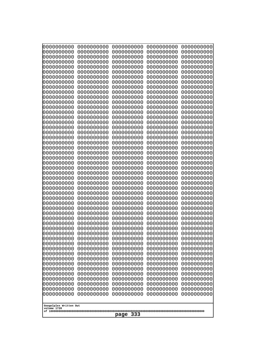| 0000000000                                                                                                                                                                                                                                                                                                                                                                                          | 0000000000                                                                                                                                                                                                                                                                                                                                                 | 0000000000                                                                                                                                                                                                                                                                                                                                                                | 0000000000                                                                                                                                                                                                                                                                                                                                                 | 0000000000                                                                                                                                                                                                                                                                                                                                                 |
|-----------------------------------------------------------------------------------------------------------------------------------------------------------------------------------------------------------------------------------------------------------------------------------------------------------------------------------------------------------------------------------------------------|------------------------------------------------------------------------------------------------------------------------------------------------------------------------------------------------------------------------------------------------------------------------------------------------------------------------------------------------------------|---------------------------------------------------------------------------------------------------------------------------------------------------------------------------------------------------------------------------------------------------------------------------------------------------------------------------------------------------------------------------|------------------------------------------------------------------------------------------------------------------------------------------------------------------------------------------------------------------------------------------------------------------------------------------------------------------------------------------------------------|------------------------------------------------------------------------------------------------------------------------------------------------------------------------------------------------------------------------------------------------------------------------------------------------------------------------------------------------------------|
| 0000000000                                                                                                                                                                                                                                                                                                                                                                                          | 0000000000                                                                                                                                                                                                                                                                                                                                                 | 0000000000                                                                                                                                                                                                                                                                                                                                                                | 0000000000                                                                                                                                                                                                                                                                                                                                                 | 0000000000                                                                                                                                                                                                                                                                                                                                                 |
| 0000000000                                                                                                                                                                                                                                                                                                                                                                                          | 0000000000                                                                                                                                                                                                                                                                                                                                                 | 0000000000                                                                                                                                                                                                                                                                                                                                                                | 0000000000                                                                                                                                                                                                                                                                                                                                                 | 0000000000                                                                                                                                                                                                                                                                                                                                                 |
| 0000000000                                                                                                                                                                                                                                                                                                                                                                                          | 0000000000                                                                                                                                                                                                                                                                                                                                                 | 0000000000                                                                                                                                                                                                                                                                                                                                                                | 0000000000                                                                                                                                                                                                                                                                                                                                                 | 0000000000                                                                                                                                                                                                                                                                                                                                                 |
| 0000000000                                                                                                                                                                                                                                                                                                                                                                                          | 0000000000                                                                                                                                                                                                                                                                                                                                                 | 0000000000                                                                                                                                                                                                                                                                                                                                                                | 0000000000                                                                                                                                                                                                                                                                                                                                                 | 0000000000                                                                                                                                                                                                                                                                                                                                                 |
| 0000000000                                                                                                                                                                                                                                                                                                                                                                                          | 0000000000                                                                                                                                                                                                                                                                                                                                                 | 0000000000                                                                                                                                                                                                                                                                                                                                                                | 0000000000                                                                                                                                                                                                                                                                                                                                                 | 0000000000                                                                                                                                                                                                                                                                                                                                                 |
| 0000000000                                                                                                                                                                                                                                                                                                                                                                                          | 0000000000                                                                                                                                                                                                                                                                                                                                                 | 0000000000                                                                                                                                                                                                                                                                                                                                                                | 0000000000                                                                                                                                                                                                                                                                                                                                                 | 0000000000                                                                                                                                                                                                                                                                                                                                                 |
| 0000000000                                                                                                                                                                                                                                                                                                                                                                                          | 0000000000                                                                                                                                                                                                                                                                                                                                                 | 0000000000                                                                                                                                                                                                                                                                                                                                                                | 0000000000                                                                                                                                                                                                                                                                                                                                                 | 0000000000                                                                                                                                                                                                                                                                                                                                                 |
| 0000000000                                                                                                                                                                                                                                                                                                                                                                                          | 0000000000                                                                                                                                                                                                                                                                                                                                                 | 0000000000                                                                                                                                                                                                                                                                                                                                                                | 0000000000                                                                                                                                                                                                                                                                                                                                                 | 0000000000                                                                                                                                                                                                                                                                                                                                                 |
| 0000000000                                                                                                                                                                                                                                                                                                                                                                                          | 0000000000                                                                                                                                                                                                                                                                                                                                                 | 0000000000                                                                                                                                                                                                                                                                                                                                                                | 0000000000                                                                                                                                                                                                                                                                                                                                                 | 0000000000                                                                                                                                                                                                                                                                                                                                                 |
| 0000000000                                                                                                                                                                                                                                                                                                                                                                                          | 0000000000                                                                                                                                                                                                                                                                                                                                                 | 0000000000                                                                                                                                                                                                                                                                                                                                                                | 0000000000                                                                                                                                                                                                                                                                                                                                                 | 0000000000                                                                                                                                                                                                                                                                                                                                                 |
| 0000000000                                                                                                                                                                                                                                                                                                                                                                                          | 0000000000                                                                                                                                                                                                                                                                                                                                                 | 0000000000                                                                                                                                                                                                                                                                                                                                                                | 0000000000                                                                                                                                                                                                                                                                                                                                                 | 0000000000                                                                                                                                                                                                                                                                                                                                                 |
| 0000000000                                                                                                                                                                                                                                                                                                                                                                                          | 0000000000                                                                                                                                                                                                                                                                                                                                                 | 0000000000                                                                                                                                                                                                                                                                                                                                                                | 0000000000                                                                                                                                                                                                                                                                                                                                                 | 0000000000                                                                                                                                                                                                                                                                                                                                                 |
| 0000000000                                                                                                                                                                                                                                                                                                                                                                                          | 0000000000                                                                                                                                                                                                                                                                                                                                                 | 0000000000                                                                                                                                                                                                                                                                                                                                                                | 0000000000                                                                                                                                                                                                                                                                                                                                                 | 0000000000                                                                                                                                                                                                                                                                                                                                                 |
| 0000000000                                                                                                                                                                                                                                                                                                                                                                                          | 0000000000                                                                                                                                                                                                                                                                                                                                                 | 0000000000                                                                                                                                                                                                                                                                                                                                                                | 0000000000                                                                                                                                                                                                                                                                                                                                                 | 0000000000                                                                                                                                                                                                                                                                                                                                                 |
| 0000000000                                                                                                                                                                                                                                                                                                                                                                                          | 0000000000                                                                                                                                                                                                                                                                                                                                                 | 0000000000                                                                                                                                                                                                                                                                                                                                                                | 0000000000                                                                                                                                                                                                                                                                                                                                                 | 0000000000                                                                                                                                                                                                                                                                                                                                                 |
| 0000000000                                                                                                                                                                                                                                                                                                                                                                                          | 0000000000                                                                                                                                                                                                                                                                                                                                                 | 0000000000                                                                                                                                                                                                                                                                                                                                                                | 0000000000                                                                                                                                                                                                                                                                                                                                                 | 0000000000                                                                                                                                                                                                                                                                                                                                                 |
| 0000000000                                                                                                                                                                                                                                                                                                                                                                                          | 0000000000                                                                                                                                                                                                                                                                                                                                                 | 0000000000                                                                                                                                                                                                                                                                                                                                                                | 0000000000                                                                                                                                                                                                                                                                                                                                                 | 0000000000                                                                                                                                                                                                                                                                                                                                                 |
| 0000000000                                                                                                                                                                                                                                                                                                                                                                                          | 0000000000                                                                                                                                                                                                                                                                                                                                                 | 0000000000                                                                                                                                                                                                                                                                                                                                                                | 0000000000                                                                                                                                                                                                                                                                                                                                                 | 0000000000                                                                                                                                                                                                                                                                                                                                                 |
| 0000000000                                                                                                                                                                                                                                                                                                                                                                                          | 0000000000                                                                                                                                                                                                                                                                                                                                                 | 0000000000                                                                                                                                                                                                                                                                                                                                                                | 0000000000                                                                                                                                                                                                                                                                                                                                                 | 0000000000                                                                                                                                                                                                                                                                                                                                                 |
| 0000000000                                                                                                                                                                                                                                                                                                                                                                                          | 0000000000                                                                                                                                                                                                                                                                                                                                                 | 0000000000                                                                                                                                                                                                                                                                                                                                                                | 0000000000                                                                                                                                                                                                                                                                                                                                                 | 0000000000                                                                                                                                                                                                                                                                                                                                                 |
| 0000000000                                                                                                                                                                                                                                                                                                                                                                                          | 0000000000                                                                                                                                                                                                                                                                                                                                                 | 0000000000                                                                                                                                                                                                                                                                                                                                                                | 0000000000                                                                                                                                                                                                                                                                                                                                                 | 0000000000                                                                                                                                                                                                                                                                                                                                                 |
| 0000000000                                                                                                                                                                                                                                                                                                                                                                                          | 0000000000                                                                                                                                                                                                                                                                                                                                                 | 0000000000                                                                                                                                                                                                                                                                                                                                                                | 0000000000                                                                                                                                                                                                                                                                                                                                                 | 0000000000                                                                                                                                                                                                                                                                                                                                                 |
| 0000000000                                                                                                                                                                                                                                                                                                                                                                                          | 0000000000                                                                                                                                                                                                                                                                                                                                                 | 0000000000                                                                                                                                                                                                                                                                                                                                                                | 0000000000                                                                                                                                                                                                                                                                                                                                                 | 0000000000                                                                                                                                                                                                                                                                                                                                                 |
| 0000000000                                                                                                                                                                                                                                                                                                                                                                                          | 0000000000                                                                                                                                                                                                                                                                                                                                                 | 0000000000                                                                                                                                                                                                                                                                                                                                                                | 0000000000                                                                                                                                                                                                                                                                                                                                                 | 0000000000                                                                                                                                                                                                                                                                                                                                                 |
| 0000000000<br>0000000000<br>0000000000<br>0000000000<br>0000000000<br>0000000000<br>0000000000<br>0000000000<br>0000000000<br>0000000000<br>0000000000<br>0000000000<br>0000000000<br>0000000000<br>0000000000<br>0000000000<br>0000000000<br>0000000000<br>0000000000<br>0000000000<br>0000000000<br>0000000000<br>0000000000<br>0000000000<br>0000000000<br>Googolplex Written Out<br>volume 1720 | 0000000000<br>0000000000<br>0000000000<br>0000000000<br>0000000000<br>0000000000<br>0000000000<br>0000000000<br>0000000000<br>0000000000<br>0000000000<br>0000000000<br>0000000000<br>0000000000<br>0000000000<br>0000000000<br>0000000000<br>0000000000<br>0000000000<br>0000000000<br>0000000000<br>0000000000<br>0000000000<br>0000000000<br>0000000000 | 0000000000<br>0000000000<br>0000000000<br>0000000000<br>0000000000<br>0000000000<br>0000000000<br>0000000000<br>0000000000<br>0000000000<br>0000000000<br>0000000000<br>0000000000<br>0000000000<br>0000000000<br>0000000000<br>0000000000<br>0000000000<br>0000000000<br>0000000000<br>0000000000<br>0000000000<br>0000000000<br>0000000000<br>0000000000<br>333<br>page | 0000000000<br>0000000000<br>0000000000<br>0000000000<br>0000000000<br>0000000000<br>0000000000<br>0000000000<br>0000000000<br>0000000000<br>0000000000<br>0000000000<br>0000000000<br>0000000000<br>0000000000<br>0000000000<br>0000000000<br>0000000000<br>0000000000<br>0000000000<br>0000000000<br>0000000000<br>0000000000<br>0000000000<br>0000000000 | 0000000000<br>0000000000<br>0000000000<br>0000000000<br>0000000000<br>0000000000<br>0000000000<br>0000000000<br>0000000000<br>0000000000<br>0000000000<br>0000000000<br>0000000000<br>0000000000<br>0000000000<br>0000000000<br>0000000000<br>0000000000<br>0000000000<br>0000000000<br>0000000000<br>0000000000<br>0000000000<br>0000000000<br>0000000000 |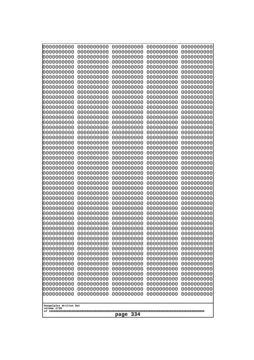| 0000000000                                                                                                                                                                                                                                                                                                                                                                                          | 0000000000                                                                                                                                                                                                                                                                                                                                                 | 0000000000                                                                                                                                                                                                                                                                                                                                                                | 0000000000                                                                                                                                                                                                                                                                                                                                                 | 0000000000                                                                                                                                                                                                                                                                                                                                                 |
|-----------------------------------------------------------------------------------------------------------------------------------------------------------------------------------------------------------------------------------------------------------------------------------------------------------------------------------------------------------------------------------------------------|------------------------------------------------------------------------------------------------------------------------------------------------------------------------------------------------------------------------------------------------------------------------------------------------------------------------------------------------------------|---------------------------------------------------------------------------------------------------------------------------------------------------------------------------------------------------------------------------------------------------------------------------------------------------------------------------------------------------------------------------|------------------------------------------------------------------------------------------------------------------------------------------------------------------------------------------------------------------------------------------------------------------------------------------------------------------------------------------------------------|------------------------------------------------------------------------------------------------------------------------------------------------------------------------------------------------------------------------------------------------------------------------------------------------------------------------------------------------------------|
| 0000000000                                                                                                                                                                                                                                                                                                                                                                                          | 0000000000                                                                                                                                                                                                                                                                                                                                                 | 0000000000                                                                                                                                                                                                                                                                                                                                                                | 0000000000                                                                                                                                                                                                                                                                                                                                                 | 0000000000                                                                                                                                                                                                                                                                                                                                                 |
| 0000000000                                                                                                                                                                                                                                                                                                                                                                                          | 0000000000                                                                                                                                                                                                                                                                                                                                                 | 0000000000                                                                                                                                                                                                                                                                                                                                                                | 0000000000                                                                                                                                                                                                                                                                                                                                                 | 0000000000                                                                                                                                                                                                                                                                                                                                                 |
| 0000000000                                                                                                                                                                                                                                                                                                                                                                                          | 0000000000                                                                                                                                                                                                                                                                                                                                                 | 0000000000                                                                                                                                                                                                                                                                                                                                                                | 0000000000                                                                                                                                                                                                                                                                                                                                                 | 0000000000                                                                                                                                                                                                                                                                                                                                                 |
| 0000000000                                                                                                                                                                                                                                                                                                                                                                                          | 0000000000                                                                                                                                                                                                                                                                                                                                                 | 0000000000                                                                                                                                                                                                                                                                                                                                                                | 0000000000                                                                                                                                                                                                                                                                                                                                                 | 0000000000                                                                                                                                                                                                                                                                                                                                                 |
| 0000000000                                                                                                                                                                                                                                                                                                                                                                                          | 0000000000                                                                                                                                                                                                                                                                                                                                                 | 0000000000                                                                                                                                                                                                                                                                                                                                                                | 0000000000                                                                                                                                                                                                                                                                                                                                                 | 0000000000                                                                                                                                                                                                                                                                                                                                                 |
| 0000000000                                                                                                                                                                                                                                                                                                                                                                                          | 0000000000                                                                                                                                                                                                                                                                                                                                                 | 0000000000                                                                                                                                                                                                                                                                                                                                                                | 0000000000                                                                                                                                                                                                                                                                                                                                                 | 0000000000                                                                                                                                                                                                                                                                                                                                                 |
| 0000000000                                                                                                                                                                                                                                                                                                                                                                                          | 0000000000                                                                                                                                                                                                                                                                                                                                                 | 0000000000                                                                                                                                                                                                                                                                                                                                                                | 0000000000                                                                                                                                                                                                                                                                                                                                                 | 0000000000                                                                                                                                                                                                                                                                                                                                                 |
| 0000000000                                                                                                                                                                                                                                                                                                                                                                                          | 0000000000                                                                                                                                                                                                                                                                                                                                                 | 0000000000                                                                                                                                                                                                                                                                                                                                                                | 0000000000                                                                                                                                                                                                                                                                                                                                                 | 0000000000                                                                                                                                                                                                                                                                                                                                                 |
| 0000000000                                                                                                                                                                                                                                                                                                                                                                                          | 0000000000                                                                                                                                                                                                                                                                                                                                                 | 0000000000                                                                                                                                                                                                                                                                                                                                                                | 0000000000                                                                                                                                                                                                                                                                                                                                                 | 0000000000                                                                                                                                                                                                                                                                                                                                                 |
| 0000000000                                                                                                                                                                                                                                                                                                                                                                                          | 0000000000                                                                                                                                                                                                                                                                                                                                                 | 0000000000                                                                                                                                                                                                                                                                                                                                                                | 0000000000                                                                                                                                                                                                                                                                                                                                                 | 0000000000                                                                                                                                                                                                                                                                                                                                                 |
| 0000000000                                                                                                                                                                                                                                                                                                                                                                                          | 0000000000                                                                                                                                                                                                                                                                                                                                                 | 0000000000                                                                                                                                                                                                                                                                                                                                                                | 0000000000                                                                                                                                                                                                                                                                                                                                                 | 0000000000                                                                                                                                                                                                                                                                                                                                                 |
| 0000000000                                                                                                                                                                                                                                                                                                                                                                                          | 0000000000                                                                                                                                                                                                                                                                                                                                                 | 0000000000                                                                                                                                                                                                                                                                                                                                                                | 0000000000                                                                                                                                                                                                                                                                                                                                                 | 0000000000                                                                                                                                                                                                                                                                                                                                                 |
| 0000000000                                                                                                                                                                                                                                                                                                                                                                                          | 0000000000                                                                                                                                                                                                                                                                                                                                                 | 0000000000                                                                                                                                                                                                                                                                                                                                                                | 0000000000                                                                                                                                                                                                                                                                                                                                                 | 0000000000                                                                                                                                                                                                                                                                                                                                                 |
| 0000000000                                                                                                                                                                                                                                                                                                                                                                                          | 0000000000                                                                                                                                                                                                                                                                                                                                                 | 0000000000                                                                                                                                                                                                                                                                                                                                                                | 0000000000                                                                                                                                                                                                                                                                                                                                                 | 0000000000                                                                                                                                                                                                                                                                                                                                                 |
| 0000000000                                                                                                                                                                                                                                                                                                                                                                                          | 0000000000                                                                                                                                                                                                                                                                                                                                                 | 0000000000                                                                                                                                                                                                                                                                                                                                                                | 0000000000                                                                                                                                                                                                                                                                                                                                                 | 0000000000                                                                                                                                                                                                                                                                                                                                                 |
| 0000000000                                                                                                                                                                                                                                                                                                                                                                                          | 0000000000                                                                                                                                                                                                                                                                                                                                                 | 0000000000                                                                                                                                                                                                                                                                                                                                                                | 0000000000                                                                                                                                                                                                                                                                                                                                                 | 0000000000                                                                                                                                                                                                                                                                                                                                                 |
| 0000000000                                                                                                                                                                                                                                                                                                                                                                                          | 0000000000                                                                                                                                                                                                                                                                                                                                                 | 0000000000                                                                                                                                                                                                                                                                                                                                                                | 0000000000                                                                                                                                                                                                                                                                                                                                                 | 0000000000                                                                                                                                                                                                                                                                                                                                                 |
| 0000000000                                                                                                                                                                                                                                                                                                                                                                                          | 0000000000                                                                                                                                                                                                                                                                                                                                                 | 0000000000                                                                                                                                                                                                                                                                                                                                                                | 0000000000                                                                                                                                                                                                                                                                                                                                                 | 0000000000                                                                                                                                                                                                                                                                                                                                                 |
| 0000000000                                                                                                                                                                                                                                                                                                                                                                                          | 0000000000                                                                                                                                                                                                                                                                                                                                                 | 0000000000                                                                                                                                                                                                                                                                                                                                                                | 0000000000                                                                                                                                                                                                                                                                                                                                                 | 0000000000                                                                                                                                                                                                                                                                                                                                                 |
| 0000000000                                                                                                                                                                                                                                                                                                                                                                                          | 0000000000                                                                                                                                                                                                                                                                                                                                                 | 0000000000                                                                                                                                                                                                                                                                                                                                                                | 0000000000                                                                                                                                                                                                                                                                                                                                                 | 0000000000                                                                                                                                                                                                                                                                                                                                                 |
| 0000000000                                                                                                                                                                                                                                                                                                                                                                                          | 0000000000                                                                                                                                                                                                                                                                                                                                                 | 0000000000                                                                                                                                                                                                                                                                                                                                                                | 0000000000                                                                                                                                                                                                                                                                                                                                                 | 0000000000                                                                                                                                                                                                                                                                                                                                                 |
| 0000000000                                                                                                                                                                                                                                                                                                                                                                                          | 0000000000                                                                                                                                                                                                                                                                                                                                                 | 0000000000                                                                                                                                                                                                                                                                                                                                                                | 0000000000                                                                                                                                                                                                                                                                                                                                                 | 0000000000                                                                                                                                                                                                                                                                                                                                                 |
| 0000000000                                                                                                                                                                                                                                                                                                                                                                                          | 0000000000                                                                                                                                                                                                                                                                                                                                                 | 0000000000                                                                                                                                                                                                                                                                                                                                                                | 0000000000                                                                                                                                                                                                                                                                                                                                                 | 0000000000                                                                                                                                                                                                                                                                                                                                                 |
| 0000000000                                                                                                                                                                                                                                                                                                                                                                                          | 0000000000                                                                                                                                                                                                                                                                                                                                                 | 0000000000                                                                                                                                                                                                                                                                                                                                                                | 0000000000                                                                                                                                                                                                                                                                                                                                                 | 0000000000                                                                                                                                                                                                                                                                                                                                                 |
| 0000000000<br>0000000000<br>0000000000<br>0000000000<br>0000000000<br>0000000000<br>0000000000<br>0000000000<br>0000000000<br>0000000000<br>0000000000<br>0000000000<br>0000000000<br>0000000000<br>0000000000<br>0000000000<br>0000000000<br>0000000000<br>0000000000<br>0000000000<br>0000000000<br>0000000000<br>0000000000<br>0000000000<br>0000000000<br>Googolplex Written Out<br>volume 1720 | 0000000000<br>0000000000<br>0000000000<br>0000000000<br>0000000000<br>0000000000<br>0000000000<br>0000000000<br>0000000000<br>0000000000<br>0000000000<br>0000000000<br>0000000000<br>0000000000<br>0000000000<br>0000000000<br>0000000000<br>0000000000<br>0000000000<br>0000000000<br>0000000000<br>0000000000<br>0000000000<br>0000000000<br>0000000000 | 0000000000<br>0000000000<br>0000000000<br>0000000000<br>0000000000<br>0000000000<br>0000000000<br>0000000000<br>0000000000<br>0000000000<br>0000000000<br>0000000000<br>0000000000<br>0000000000<br>0000000000<br>0000000000<br>0000000000<br>0000000000<br>0000000000<br>0000000000<br>0000000000<br>0000000000<br>0000000000<br>0000000000<br>0000000000<br>334<br>page | 0000000000<br>0000000000<br>0000000000<br>0000000000<br>0000000000<br>0000000000<br>0000000000<br>0000000000<br>0000000000<br>0000000000<br>0000000000<br>0000000000<br>0000000000<br>0000000000<br>0000000000<br>0000000000<br>0000000000<br>0000000000<br>0000000000<br>0000000000<br>0000000000<br>0000000000<br>0000000000<br>0000000000<br>0000000000 | 0000000000<br>0000000000<br>0000000000<br>0000000000<br>0000000000<br>0000000000<br>0000000000<br>0000000000<br>0000000000<br>0000000000<br>0000000000<br>0000000000<br>0000000000<br>0000000000<br>0000000000<br>0000000000<br>0000000000<br>0000000000<br>0000000000<br>0000000000<br>0000000000<br>0000000000<br>0000000000<br>0000000000<br>0000000000 |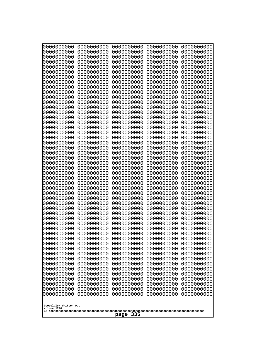| 0000000000<br>0000000000<br>0000000000<br>0000000000<br>0000000000<br>0000000000<br>0000000000<br>0000000000<br>0000000000<br>0000000000<br>0000000000<br>0000000000<br>0000000000<br>0000000000<br>0000000000<br>0000000000<br>0000000000<br>0000000000<br>0000000000<br>0000000000<br>0000000000<br>0000000000<br>0000000000<br>0000000000<br>0000000000<br>0000000000              | 0000000000<br>0000000000<br>0000000000<br>0000000000<br>0000000000<br>0000000000<br>0000000000<br>0000000000<br>0000000000<br>0000000000<br>0000000000<br>0000000000<br>0000000000<br>0000000000<br>0000000000<br>0000000000<br>0000000000<br>0000000000<br>0000000000<br>0000000000<br>0000000000<br>0000000000<br>0000000000<br>0000000000<br>0000000000<br>0000000000 | 0000000000<br>0000000000<br>0000000000<br>0000000000<br>0000000000<br>0000000000<br>0000000000<br>0000000000<br>0000000000<br>0000000000<br>0000000000<br>0000000000<br>0000000000<br>0000000000<br>0000000000<br>0000000000<br>0000000000<br>0000000000<br>0000000000<br>0000000000<br>0000000000<br>0000000000<br>0000000000<br>0000000000<br>0000000000<br>0000000000 | 0000000000<br>0000000000<br>0000000000<br>0000000000<br>0000000000<br>0000000000<br>0000000000<br>0000000000<br>0000000000<br>0000000000<br>0000000000<br>0000000000<br>0000000000<br>0000000000<br>0000000000<br>0000000000<br>0000000000<br>0000000000<br>0000000000<br>0000000000<br>0000000000<br>0000000000<br>0000000000<br>0000000000<br>0000000000<br>0000000000 | 0000000000<br>0000000000<br>0000000000<br>0000000000<br>0000000000<br>0000000000<br>0000000000<br>0000000000<br>0000000000<br>0000000000<br>0000000000<br>0000000000<br>0000000000<br>0000000000<br>0000000000<br>0000000000<br>0000000000<br>0000000000<br>0000000000<br>0000000000<br>0000000000<br>0000000000<br>0000000000<br>0000000000<br>0000000000<br>0000000000 |
|---------------------------------------------------------------------------------------------------------------------------------------------------------------------------------------------------------------------------------------------------------------------------------------------------------------------------------------------------------------------------------------|--------------------------------------------------------------------------------------------------------------------------------------------------------------------------------------------------------------------------------------------------------------------------------------------------------------------------------------------------------------------------|--------------------------------------------------------------------------------------------------------------------------------------------------------------------------------------------------------------------------------------------------------------------------------------------------------------------------------------------------------------------------|--------------------------------------------------------------------------------------------------------------------------------------------------------------------------------------------------------------------------------------------------------------------------------------------------------------------------------------------------------------------------|--------------------------------------------------------------------------------------------------------------------------------------------------------------------------------------------------------------------------------------------------------------------------------------------------------------------------------------------------------------------------|
| 0000000000<br>0000000000<br>0000000000<br>0000000000<br>0000000000<br>0000000000<br>0000000000<br>0000000000<br>0000000000<br>0000000000<br>0000000000<br>0000000000<br>0000000000<br>0000000000<br>0000000000<br>0000000000<br>0000000000<br>0000000000<br>0000000000<br>0000000000<br>0000000000<br>0000000000<br>0000000000<br>0000000000<br>Googolplex Written Out<br>volume 1720 | 0000000000<br>0000000000<br>0000000000<br>0000000000<br>0000000000<br>0000000000<br>0000000000<br>0000000000<br>0000000000<br>0000000000<br>0000000000<br>0000000000<br>0000000000<br>0000000000<br>0000000000<br>0000000000<br>0000000000<br>0000000000<br>0000000000<br>0000000000<br>0000000000<br>0000000000<br>0000000000<br>0000000000                             | 0000000000<br>0000000000<br>0000000000<br>0000000000<br>0000000000<br>0000000000<br>0000000000<br>0000000000<br>0000000000<br>0000000000<br>0000000000<br>0000000000<br>0000000000<br>0000000000<br>0000000000<br>0000000000<br>0000000000<br>0000000000<br>0000000000<br>0000000000<br>0000000000<br>0000000000<br>0000000000<br>0000000000                             | 0000000000<br>0000000000<br>0000000000<br>0000000000<br>0000000000<br>0000000000<br>0000000000<br>0000000000<br>0000000000<br>0000000000<br>0000000000<br>0000000000<br>0000000000<br>0000000000<br>0000000000<br>0000000000<br>0000000000<br>0000000000<br>0000000000<br>0000000000<br>0000000000<br>0000000000<br>0000000000<br>0000000000                             | 0000000000<br>0000000000<br>0000000000<br>0000000000<br>0000000000<br>0000000000<br>0000000000<br>0000000000<br>0000000000<br>0000000000<br>0000000000<br>0000000000<br>0000000000<br>0000000000<br>0000000000<br>0000000000<br>0000000000<br>0000000000<br>0000000000<br>0000000000<br>0000000000<br>0000000000<br>0000000000<br>0000000000                             |
| 335<br>page                                                                                                                                                                                                                                                                                                                                                                           |                                                                                                                                                                                                                                                                                                                                                                          |                                                                                                                                                                                                                                                                                                                                                                          |                                                                                                                                                                                                                                                                                                                                                                          |                                                                                                                                                                                                                                                                                                                                                                          |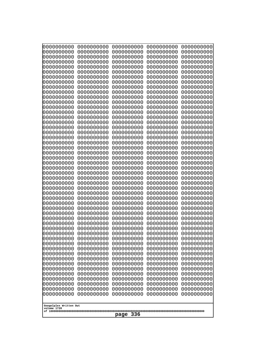| 0000000000                                                                     | 0000000000                                           | 0000000000                                           | 0000000000                                           | 0000000000                                           |
|--------------------------------------------------------------------------------|------------------------------------------------------|------------------------------------------------------|------------------------------------------------------|------------------------------------------------------|
| 0000000000                                                                     | 0000000000                                           | 0000000000                                           | 0000000000                                           | 0000000000                                           |
| 0000000000                                                                     | 0000000000                                           | 0000000000                                           | 0000000000                                           | 0000000000                                           |
| 0000000000                                                                     | 0000000000                                           | 0000000000                                           | 0000000000                                           | 0000000000                                           |
| 0000000000                                                                     | 0000000000                                           | 0000000000                                           | 0000000000                                           | 0000000000                                           |
| 0000000000                                                                     | 0000000000                                           | 0000000000                                           | 0000000000                                           | 0000000000                                           |
| 0000000000                                                                     | 0000000000                                           | 0000000000                                           | 0000000000                                           | 0000000000                                           |
| 0000000000                                                                     | 0000000000                                           | 0000000000                                           | 0000000000                                           | 0000000000                                           |
| 0000000000                                                                     | 0000000000                                           | 0000000000                                           | 0000000000                                           | 0000000000                                           |
| 0000000000                                                                     | 0000000000                                           | 0000000000                                           | 0000000000                                           | 0000000000                                           |
| 0000000000                                                                     | 0000000000                                           | 0000000000                                           | 0000000000                                           | 0000000000                                           |
| 0000000000                                                                     | 0000000000                                           | 0000000000                                           | 0000000000                                           | 0000000000                                           |
| 0000000000                                                                     | 0000000000                                           | 0000000000                                           | 0000000000                                           | 0000000000                                           |
| 0000000000                                                                     | 0000000000                                           | 0000000000                                           | 0000000000                                           | 0000000000                                           |
| 0000000000                                                                     | 0000000000                                           | 0000000000                                           | 0000000000                                           | 0000000000                                           |
| 0000000000                                                                     | 0000000000                                           | 0000000000                                           | 0000000000                                           | 0000000000                                           |
| 0000000000                                                                     | 0000000000                                           | 0000000000                                           | 0000000000                                           | 0000000000                                           |
| 0000000000                                                                     | 0000000000                                           | 0000000000                                           | 0000000000                                           | 0000000000                                           |
| 0000000000                                                                     | 0000000000                                           | 0000000000                                           | 0000000000                                           | 0000000000                                           |
| 0000000000                                                                     | 0000000000                                           | 0000000000                                           | 0000000000                                           | 0000000000                                           |
| 0000000000                                                                     | 0000000000                                           | 0000000000                                           | 0000000000                                           | 0000000000                                           |
| 0000000000                                                                     | 0000000000                                           | 0000000000                                           | 0000000000                                           | 0000000000                                           |
| 0000000000                                                                     | 0000000000                                           | 0000000000                                           | 0000000000                                           | 0000000000                                           |
| 0000000000                                                                     | 0000000000                                           | 0000000000                                           | 0000000000                                           | 0000000000                                           |
| 0000000000                                                                     | 0000000000                                           | 0000000000                                           | 0000000000                                           | 0000000000                                           |
| 0000000000                                                                     | 0000000000                                           | 0000000000                                           | 0000000000                                           | 0000000000                                           |
| 0000000000                                                                     | 0000000000                                           | 0000000000                                           | 0000000000                                           | 0000000000                                           |
| 0000000000                                                                     | 0000000000                                           | 0000000000                                           | 0000000000                                           | 0000000000                                           |
| 0000000000                                                                     | 0000000000                                           | 0000000000                                           | 0000000000                                           | 0000000000                                           |
| 0000000000                                                                     | 0000000000                                           | 0000000000                                           | 0000000000                                           | 0000000000                                           |
| 0000000000                                                                     | 0000000000                                           | 0000000000                                           | 0000000000                                           | 0000000000                                           |
| 0000000000                                                                     | 0000000000                                           | 0000000000                                           | 0000000000                                           | 0000000000                                           |
| 0000000000                                                                     | 0000000000                                           | 0000000000                                           | 0000000000                                           | 0000000000                                           |
| 0000000000                                                                     | 0000000000                                           | 0000000000                                           | 0000000000                                           | 0000000000                                           |
| 0000000000                                                                     | 0000000000                                           | 0000000000                                           | 0000000000                                           | 0000000000                                           |
| 0000000000                                                                     | 0000000000                                           | 0000000000                                           | 0000000000                                           | 0000000000                                           |
| 0000000000                                                                     | 0000000000                                           | 0000000000                                           | 0000000000                                           | 0000000000                                           |
| 0000000000                                                                     | 0000000000                                           | 0000000000                                           | 0000000000                                           | 0000000000                                           |
| 0000000000                                                                     | 0000000000                                           | 0000000000                                           | 0000000000                                           | 0000000000                                           |
| 0000000000                                                                     | 0000000000                                           | 0000000000                                           | 0000000000                                           | 0000000000                                           |
| 0000000000                                                                     | 0000000000                                           | 0000000000                                           | 0000000000                                           | 0000000000                                           |
| 0000000000                                                                     | 0000000000                                           | 0000000000                                           | 0000000000                                           | 0000000000                                           |
| 0000000000                                                                     | 0000000000                                           | 0000000000                                           | 0000000000                                           | 0000000000                                           |
| 0000000000                                                                     | 0000000000                                           | 0000000000                                           | 0000000000                                           | 0000000000                                           |
| 0000000000                                                                     | 0000000000                                           | 0000000000                                           | 0000000000                                           | 0000000000                                           |
| 0000000000                                                                     | 0000000000                                           | 0000000000                                           | 0000000000                                           | 0000000000                                           |
| 0000000000<br>0000000000<br>0000000000<br>0000000000<br>Googolplex Written Out | 0000000000<br>0000000000<br>0000000000<br>0000000000 | 0000000000<br>0000000000<br>0000000000<br>0000000000 | 0000000000<br>0000000000<br>0000000000<br>0000000000 | 0000000000<br>0000000000<br>0000000000<br>0000000000 |
| volume 1720<br>336<br>page                                                     |                                                      |                                                      |                                                      |                                                      |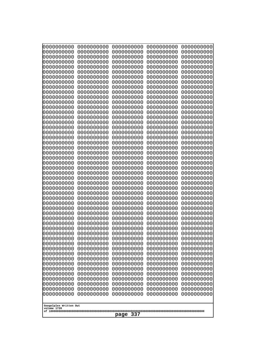| 000000000<br>0000000000  | 0000000000<br>0000000000 | 0000000000<br>0000000000 | 0000000000<br>0000000000 | 0000000000<br>0000000000 |  |
|--------------------------|--------------------------|--------------------------|--------------------------|--------------------------|--|
| 0000000000<br>0000000000 | 0000000000<br>0000000000 | 0000000000<br>0000000000 | 0000000000<br>0000000000 | 0000000000<br>0000000000 |  |
| 0000000000               | 0000000000               | 0000000000               | 0000000000               | 0000000000               |  |
| 0000000000<br>0000000000 | 0000000000<br>0000000000 | 0000000000<br>0000000000 | 0000000000<br>0000000000 | 0000000000<br>0000000000 |  |
| 0000000000               | 0000000000               | 0000000000               | 0000000000               | 0000000000               |  |
| 0000000000<br>0000000000 | 0000000000<br>0000000000 | 0000000000<br>0000000000 | 0000000000<br>0000000000 | 0000000000<br>0000000000 |  |
| 0000000000               | 0000000000               | 0000000000               | 0000000000               | 0000000000               |  |
| 0000000000<br>0000000000 | 0000000000<br>0000000000 | 0000000000<br>0000000000 | 0000000000<br>0000000000 | 0000000000<br>0000000000 |  |
| 0000000000               | 0000000000               | 0000000000               | 0000000000               | 0000000000               |  |
| 0000000000<br>0000000000 | 0000000000<br>0000000000 | 0000000000<br>0000000000 | 0000000000<br>0000000000 | 0000000000<br>0000000000 |  |
| 0000000000               | 0000000000               | 0000000000               | 0000000000               | 0000000000               |  |
| 0000000000<br>0000000000 | 0000000000<br>0000000000 | 0000000000<br>0000000000 | 0000000000<br>0000000000 | 0000000000<br>0000000000 |  |
| 0000000000               | 0000000000               | 0000000000               | 0000000000               | 0000000000               |  |
| 0000000000<br>0000000000 | 0000000000<br>0000000000 | 0000000000<br>0000000000 | 0000000000<br>0000000000 | 0000000000<br>0000000000 |  |
| 0000000000               | 0000000000               | 0000000000               | 0000000000               | 0000000000               |  |
| 0000000000<br>0000000000 | 0000000000<br>0000000000 | 0000000000<br>0000000000 | 0000000000<br>0000000000 | 0000000000<br>0000000000 |  |
| 0000000000               | 0000000000               | 0000000000               | 0000000000               | 0000000000               |  |
| 0000000000<br>0000000000 | 0000000000<br>0000000000 | 0000000000<br>0000000000 | 0000000000<br>0000000000 | 0000000000<br>0000000000 |  |
| 0000000000               | 0000000000               | 0000000000               | 0000000000               | 0000000000               |  |
| 0000000000<br>0000000000 | 0000000000<br>0000000000 | 0000000000<br>0000000000 | 0000000000<br>0000000000 | 0000000000<br>0000000000 |  |
| 0000000000               | 0000000000               | 0000000000               | 0000000000               | 0000000000               |  |
| 0000000000<br>0000000000 | 0000000000<br>0000000000 | 0000000000<br>0000000000 | 0000000000<br>0000000000 | 0000000000<br>0000000000 |  |
| 0000000000               | 0000000000               | 0000000000               | 0000000000               | 0000000000               |  |
| 0000000000<br>0000000000 | 0000000000<br>0000000000 | 0000000000<br>0000000000 | 0000000000<br>0000000000 | 0000000000<br>0000000000 |  |
| 0000000000               | 0000000000               | 0000000000               | 0000000000               | 0000000000               |  |
| 0000000000<br>0000000000 | 0000000000<br>0000000000 | 0000000000<br>0000000000 | 0000000000<br>0000000000 | 0000000000<br>0000000000 |  |
| 0000000000               | 0000000000               | 0000000000               | 0000000000               | 0000000000               |  |
| 0000000000<br>0000000000 | 0000000000<br>0000000000 | 0000000000<br>0000000000 | 0000000000<br>0000000000 | 0000000000<br>0000000000 |  |
| 0000000000               | 0000000000               | 0000000000               | 0000000000               | 0000000000               |  |
| 0000000000<br>0000000000 | 0000000000<br>0000000000 | 0000000000<br>0000000000 | 0000000000<br>0000000000 | 0000000000<br>0000000000 |  |
| 0000000000               | 0000000000               | 0000000000               | 0000000000               | 0000000000               |  |
| 0000000000<br>0000000000 | 0000000000<br>0000000000 | 0000000000<br>0000000000 | 0000000000<br>0000000000 | 0000000000<br>0000000000 |  |
| 0000000000               | 0000000000               | 0000000000               | 0000000000               | 0000000000               |  |
| Googolplex Written Out   |                          |                          |                          |                          |  |
| volume 1720              |                          |                          |                          |                          |  |
| 337<br>page              |                          |                          |                          |                          |  |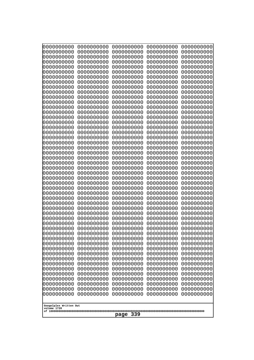| Googolplex Written Out<br>volume 1720<br>339<br>page | 0000000000<br>0000000000<br>0000000000<br>0000000000<br>0000000000<br>0000000000<br>0000000000<br>0000000000<br>0000000000<br>0000000000<br>0000000000<br>0000000000<br>0000000000<br>0000000000<br>0000000000<br>0000000000<br>0000000000<br>0000000000<br>0000000000<br>0000000000<br>0000000000<br>0000000000<br>0000000000<br>0000000000<br>0000000000<br>0000000000<br>0000000000<br>0000000000<br>0000000000<br>0000000000<br>0000000000<br>0000000000<br>0000000000<br>0000000000<br>0000000000<br>0000000000<br>0000000000<br>10000000000<br>0000000000<br>0000000000<br>0000000000<br>0000000000<br>0000000000<br>0000000000<br>0000000000<br>0000000000<br>0000000000<br>0000000000<br>0000000000<br>0000000000 | 0000000000<br>0000000000<br>0000000000<br>0000000000<br>0000000000<br>0000000000<br>0000000000<br>0000000000<br>0000000000<br>0000000000<br>0000000000<br>0000000000<br>0000000000<br>0000000000<br>0000000000<br>0000000000<br>0000000000<br>0000000000<br>0000000000<br>0000000000<br>0000000000<br>0000000000<br>0000000000<br>0000000000<br>0000000000<br>0000000000<br>0000000000<br>0000000000<br>0000000000<br>0000000000<br>0000000000<br>0000000000<br>0000000000<br>0000000000<br>0000000000<br>0000000000<br>0000000000<br>0000000000<br>0000000000<br>0000000000<br>0000000000<br>0000000000<br>0000000000<br>0000000000<br>0000000000<br>0000000000<br>0000000000<br>0000000000<br>0000000000<br>0000000000 | 0000000000<br>0000000000<br>0000000000<br>0000000000<br>0000000000<br>0000000000<br>0000000000<br>0000000000<br>0000000000<br>0000000000<br>0000000000<br>0000000000<br>0000000000<br>0000000000<br>0000000000<br>0000000000<br>0000000000<br>0000000000<br>0000000000<br>0000000000<br>0000000000<br>0000000000<br>0000000000<br>0000000000<br>0000000000<br>0000000000<br>0000000000<br>0000000000<br>0000000000<br>0000000000<br>0000000000<br>0000000000<br>0000000000<br>0000000000<br>0000000000<br>0000000000<br>0000000000<br>0000000000<br>0000000000<br>0000000000<br>0000000000<br>0000000000<br>0000000000<br>0000000000<br>0000000000<br>0000000000<br>0000000000<br>0000000000<br>0000000000<br>0000000000 | 0000000000<br>0000000000<br>0000000000<br>0000000000<br>0000000000<br>0000000000<br>0000000000<br>0000000000<br>0000000000<br>0000000000<br>0000000000<br>0000000000<br>0000000000<br>0000000000<br>0000000000<br>0000000000<br>0000000000<br>0000000000<br>0000000000<br>0000000000<br>0000000000<br>0000000000<br>0000000000<br>0000000000<br>0000000000<br>0000000000<br>0000000000<br>0000000000<br>0000000000<br>0000000000<br>0000000000<br>0000000000<br>0000000000<br>0000000000<br>0000000000<br>0000000000<br>0000000000<br>0000000000<br>0000000000<br>0000000000<br>0000000000<br>0000000000<br>0000000000<br>0000000000<br>0000000000<br>0000000000<br>0000000000<br>0000000000<br>0000000000<br>0000000000 | 0000000000<br>0000000000<br>0000000000<br>0000000000<br>0000000000<br>0000000000<br>0000000000<br>0000000000<br>0000000000<br>0000000000<br>0000000000<br>0000000000<br>0000000000<br>0000000000<br>0000000000<br>0000000000<br>0000000000<br>0000000000<br>0000000000<br>0000000000<br>0000000000<br>0000000000<br>0000000000<br>0000000000<br>0000000000<br>0000000000<br>0000000000<br>0000000000<br>0000000000<br>0000000000<br>0000000000<br>0000000000<br>0000000000<br>0000000000<br>0000000000<br>0000000000<br>0000000000<br>0000000000<br>0000000000<br>0000000000<br>0000000000<br>0000000000<br>0000000000<br>0000000000<br>0000000000<br>0000000000<br>0000000000<br>0000000000<br>0000000000<br>0000000000 |
|------------------------------------------------------|---------------------------------------------------------------------------------------------------------------------------------------------------------------------------------------------------------------------------------------------------------------------------------------------------------------------------------------------------------------------------------------------------------------------------------------------------------------------------------------------------------------------------------------------------------------------------------------------------------------------------------------------------------------------------------------------------------------------------|--------------------------------------------------------------------------------------------------------------------------------------------------------------------------------------------------------------------------------------------------------------------------------------------------------------------------------------------------------------------------------------------------------------------------------------------------------------------------------------------------------------------------------------------------------------------------------------------------------------------------------------------------------------------------------------------------------------------------|--------------------------------------------------------------------------------------------------------------------------------------------------------------------------------------------------------------------------------------------------------------------------------------------------------------------------------------------------------------------------------------------------------------------------------------------------------------------------------------------------------------------------------------------------------------------------------------------------------------------------------------------------------------------------------------------------------------------------|--------------------------------------------------------------------------------------------------------------------------------------------------------------------------------------------------------------------------------------------------------------------------------------------------------------------------------------------------------------------------------------------------------------------------------------------------------------------------------------------------------------------------------------------------------------------------------------------------------------------------------------------------------------------------------------------------------------------------|--------------------------------------------------------------------------------------------------------------------------------------------------------------------------------------------------------------------------------------------------------------------------------------------------------------------------------------------------------------------------------------------------------------------------------------------------------------------------------------------------------------------------------------------------------------------------------------------------------------------------------------------------------------------------------------------------------------------------|
|                                                      |                                                                                                                                                                                                                                                                                                                                                                                                                                                                                                                                                                                                                                                                                                                           |                                                                                                                                                                                                                                                                                                                                                                                                                                                                                                                                                                                                                                                                                                                          |                                                                                                                                                                                                                                                                                                                                                                                                                                                                                                                                                                                                                                                                                                                          |                                                                                                                                                                                                                                                                                                                                                                                                                                                                                                                                                                                                                                                                                                                          |                                                                                                                                                                                                                                                                                                                                                                                                                                                                                                                                                                                                                                                                                                                          |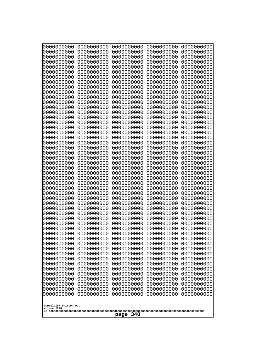| 10000000000              | 0000000000               | 0000000000<br>0000000000 | 0000000000<br>0000000000 | 0000000000<br>0000000000 |
|--------------------------|--------------------------|--------------------------|--------------------------|--------------------------|
| 0000000000<br>0000000000 | 0000000000<br>0000000000 | 0000000000               | 0000000000               | 0000000000               |
| 0000000000               | 0000000000               | 0000000000               | 0000000000               | 0000000000               |
| 0000000000               | 0000000000               | 0000000000               | 0000000000               | 0000000000               |
| 0000000000<br>0000000000 | 0000000000<br>0000000000 | 0000000000<br>0000000000 | 0000000000<br>0000000000 | 0000000000<br>0000000000 |
| 0000000000               | 0000000000               | 0000000000               | 0000000000               | 0000000000               |
| 0000000000               | 0000000000               | 0000000000               | 0000000000               | 0000000000               |
| 0000000000               | 0000000000               | 0000000000               | 0000000000               | 0000000000               |
| 0000000000<br>0000000000 | 0000000000<br>0000000000 | 0000000000<br>0000000000 | 0000000000<br>0000000000 | 0000000000<br>0000000000 |
| 0000000000               | 0000000000               | 0000000000               | 0000000000               | 0000000000               |
| 0000000000               | 0000000000               | 0000000000               | 0000000000               | 0000000000               |
| 0000000000<br>0000000000 | 0000000000<br>0000000000 | 0000000000<br>0000000000 | 0000000000               | 0000000000<br>0000000000 |
| 0000000000               | 0000000000               | 0000000000               | 0000000000<br>0000000000 | 0000000000               |
| 0000000000               | 0000000000               | 0000000000               | 0000000000               | 0000000000               |
| 0000000000               | 0000000000               | 0000000000               | 0000000000               | 0000000000               |
| 0000000000<br>0000000000 | 0000000000<br>0000000000 | 0000000000<br>0000000000 | 0000000000<br>0000000000 | 0000000000<br>0000000000 |
| 0000000000               | 0000000000               | 0000000000               | 0000000000               | 0000000000               |
| 0000000000               | 0000000000               | 0000000000               | 0000000000               | 0000000000               |
| 0000000000               | 0000000000               | 0000000000               | 0000000000               | 0000000000               |
| 0000000000<br>0000000000 | 0000000000<br>0000000000 | 0000000000<br>0000000000 | 0000000000<br>0000000000 | 0000000000<br>0000000000 |
| 0000000000               | 0000000000               | 0000000000               | 0000000000               | 0000000000               |
| 0000000000               | 0000000000               | 0000000000               | 0000000000               | 0000000000               |
| 0000000000<br>0000000000 | 0000000000<br>0000000000 | 0000000000<br>0000000000 | 0000000000<br>0000000000 | 0000000000<br>0000000000 |
| 0000000000               | 0000000000               | 0000000000               | 0000000000               | 0000000000               |
| 0000000000               | 0000000000               | 0000000000               | 0000000000               | 0000000000               |
| 0000000000<br>0000000000 | 0000000000<br>0000000000 | 0000000000<br>0000000000 | 0000000000<br>0000000000 | 0000000000<br>0000000000 |
| 0000000000               | 0000000000               | 0000000000               | 0000000000               | 0000000000               |
| 0000000000               | 0000000000               | 0000000000               | 0000000000               | 0000000000               |
| 0000000000               | 0000000000               | 0000000000               | 0000000000               | 0000000000               |
| 0000000000<br>0000000000 | 0000000000<br>0000000000 | 0000000000<br>0000000000 | 0000000000<br>0000000000 | 0000000000<br>0000000000 |
| 0000000000               | 0000000000               | 0000000000               | 0000000000               | 0000000000               |
| 0000000000               | 0000000000               | 0000000000               | 0000000000               | 0000000000               |
| 0000000000<br>0000000000 | 0000000000<br>0000000000 | 0000000000<br>0000000000 | 0000000000<br>0000000000 | 0000000000<br>0000000000 |
| 0000000000               | 0000000000               | 0000000000               | 0000000000               | 0000000000               |
| 0000000000               | 0000000000               | 0000000000               | 0000000000               | 0000000000               |
| 0000000000               | 0000000000<br>0000000000 | 0000000000               | 0000000000               | 0000000000               |
| 0000000000<br>0000000000 | 0000000000               | 0000000000<br>0000000000 | 0000000000<br>0000000000 | 0000000000<br>0000000000 |
| 0000000000               | 0000000000               | 0000000000               | 0000000000               | 0000000000               |
| 0000000000               | 0000000000               | 0000000000               | 0000000000               | 0000000000               |
|                          |                          |                          |                          |                          |
| volume 1720              | Googolplex Written Out   |                          |                          |                          |
|                          | 340<br>page              |                          |                          |                          |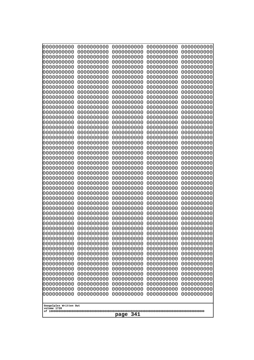| Googolplex Written Out<br>volume 1720 | 0000000000<br>0000000000<br>0000000000<br>0000000000<br>0000000000<br>0000000000<br>0000000000<br>0000000000<br>0000000000<br>0000000000<br>0000000000<br>0000000000<br>0000000000<br>0000000000<br>0000000000<br>0000000000<br>0000000000<br>0000000000<br>0000000000<br>0000000000<br>0000000000<br>0000000000<br>0000000000<br>0000000000<br>0000000000<br>0000000000<br>0000000000<br>0000000000<br>0000000000<br>0000000000<br>0000000000<br>0000000000<br>0000000000<br>0000000000<br>0000000000<br>0000000000<br>0000000000<br>10000000000<br>0000000000<br>0000000000<br>0000000000<br>0000000000<br>0000000000<br>0000000000<br>0000000000<br>0000000000<br>0000000000<br>0000000000<br>0000000000<br>0000000000 | 0000000000<br>0000000000<br>0000000000<br>0000000000<br>0000000000<br>0000000000<br>0000000000<br>0000000000<br>0000000000<br>0000000000<br>0000000000<br>0000000000<br>0000000000<br>0000000000<br>0000000000<br>0000000000<br>0000000000<br>0000000000<br>0000000000<br>0000000000<br>0000000000<br>0000000000<br>0000000000<br>0000000000<br>0000000000<br>0000000000<br>0000000000<br>0000000000<br>0000000000<br>0000000000<br>0000000000<br>0000000000<br>0000000000<br>0000000000<br>0000000000<br>0000000000<br>0000000000<br>0000000000<br>0000000000<br>0000000000<br>0000000000<br>0000000000<br>0000000000<br>0000000000<br>0000000000<br>0000000000<br>0000000000<br>0000000000<br>0000000000<br>0000000000 | 0000000000<br>0000000000<br>0000000000<br>0000000000<br>0000000000<br>0000000000<br>0000000000<br>0000000000<br>0000000000<br>0000000000<br>0000000000<br>0000000000<br>0000000000<br>0000000000<br>0000000000<br>0000000000<br>0000000000<br>0000000000<br>0000000000<br>0000000000<br>0000000000<br>0000000000<br>0000000000<br>0000000000<br>0000000000<br>0000000000<br>0000000000<br>0000000000<br>0000000000<br>0000000000<br>0000000000<br>0000000000<br>0000000000<br>0000000000<br>0000000000<br>0000000000<br>0000000000<br>0000000000<br>0000000000<br>0000000000<br>0000000000<br>0000000000<br>0000000000<br>0000000000<br>0000000000<br>0000000000<br>0000000000<br>0000000000<br>0000000000<br>0000000000 | 0000000000<br>0000000000<br>0000000000<br>0000000000<br>0000000000<br>0000000000<br>0000000000<br>0000000000<br>0000000000<br>0000000000<br>0000000000<br>0000000000<br>0000000000<br>0000000000<br>0000000000<br>0000000000<br>0000000000<br>0000000000<br>0000000000<br>0000000000<br>0000000000<br>0000000000<br>0000000000<br>0000000000<br>0000000000<br>0000000000<br>0000000000<br>0000000000<br>0000000000<br>0000000000<br>0000000000<br>0000000000<br>0000000000<br>0000000000<br>0000000000<br>0000000000<br>0000000000<br>0000000000<br>0000000000<br>0000000000<br>0000000000<br>0000000000<br>0000000000<br>0000000000<br>0000000000<br>0000000000<br>0000000000<br>0000000000<br>0000000000<br>0000000000 | 0000000000<br>0000000000<br>0000000000<br>0000000000<br>0000000000<br>0000000000<br>0000000000<br>0000000000<br>0000000000<br>0000000000<br>0000000000<br>0000000000<br>0000000000<br>0000000000<br>0000000000<br>0000000000<br>0000000000<br>0000000000<br>0000000000<br>0000000000<br>0000000000<br>0000000000<br>0000000000<br>0000000000<br>0000000000<br>0000000000<br>0000000000<br>0000000000<br>0000000000<br>0000000000<br>0000000000<br>0000000000<br>0000000000<br>0000000000<br>0000000000<br>0000000000<br>0000000000<br>0000000000<br>0000000000<br>0000000000<br>0000000000<br>0000000000<br>0000000000<br>0000000000<br>0000000000<br>0000000000<br>0000000000<br>0000000000<br>0000000000<br>0000000000 |
|---------------------------------------|---------------------------------------------------------------------------------------------------------------------------------------------------------------------------------------------------------------------------------------------------------------------------------------------------------------------------------------------------------------------------------------------------------------------------------------------------------------------------------------------------------------------------------------------------------------------------------------------------------------------------------------------------------------------------------------------------------------------------|--------------------------------------------------------------------------------------------------------------------------------------------------------------------------------------------------------------------------------------------------------------------------------------------------------------------------------------------------------------------------------------------------------------------------------------------------------------------------------------------------------------------------------------------------------------------------------------------------------------------------------------------------------------------------------------------------------------------------|--------------------------------------------------------------------------------------------------------------------------------------------------------------------------------------------------------------------------------------------------------------------------------------------------------------------------------------------------------------------------------------------------------------------------------------------------------------------------------------------------------------------------------------------------------------------------------------------------------------------------------------------------------------------------------------------------------------------------|--------------------------------------------------------------------------------------------------------------------------------------------------------------------------------------------------------------------------------------------------------------------------------------------------------------------------------------------------------------------------------------------------------------------------------------------------------------------------------------------------------------------------------------------------------------------------------------------------------------------------------------------------------------------------------------------------------------------------|--------------------------------------------------------------------------------------------------------------------------------------------------------------------------------------------------------------------------------------------------------------------------------------------------------------------------------------------------------------------------------------------------------------------------------------------------------------------------------------------------------------------------------------------------------------------------------------------------------------------------------------------------------------------------------------------------------------------------|
| 341<br>page                           |                                                                                                                                                                                                                                                                                                                                                                                                                                                                                                                                                                                                                                                                                                                           |                                                                                                                                                                                                                                                                                                                                                                                                                                                                                                                                                                                                                                                                                                                          |                                                                                                                                                                                                                                                                                                                                                                                                                                                                                                                                                                                                                                                                                                                          |                                                                                                                                                                                                                                                                                                                                                                                                                                                                                                                                                                                                                                                                                                                          |                                                                                                                                                                                                                                                                                                                                                                                                                                                                                                                                                                                                                                                                                                                          |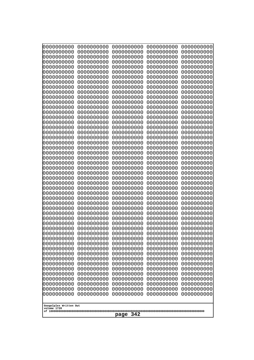| 0000000000                                            | 0000000000                                                                                                                                                                                     | 0000000000 | 0000000000 | 0000000000 |  |
|-------------------------------------------------------|------------------------------------------------------------------------------------------------------------------------------------------------------------------------------------------------|------------|------------|------------|--|
| 0000000000                                            | 0000000000                                                                                                                                                                                     | 0000000000 | 0000000000 | 0000000000 |  |
| 0000000000                                            | 0000000000                                                                                                                                                                                     | 0000000000 | 0000000000 | 0000000000 |  |
| 0000000000                                            | 0000000000                                                                                                                                                                                     | 0000000000 | 0000000000 | 0000000000 |  |
| 0000000000                                            | 0000000000                                                                                                                                                                                     | 0000000000 | 0000000000 | 0000000000 |  |
| 0000000000                                            | 0000000000                                                                                                                                                                                     | 0000000000 | 0000000000 | 0000000000 |  |
| 0000000000                                            | 0000000000                                                                                                                                                                                     | 0000000000 | 0000000000 | 0000000000 |  |
| 0000000000                                            | 0000000000                                                                                                                                                                                     | 0000000000 | 0000000000 | 0000000000 |  |
| 0000000000                                            | 0000000000                                                                                                                                                                                     | 0000000000 | 0000000000 | 0000000000 |  |
| 0000000000                                            | 0000000000                                                                                                                                                                                     | 0000000000 | 0000000000 | 0000000000 |  |
| 0000000000                                            | 0000000000                                                                                                                                                                                     | 0000000000 | 0000000000 | 0000000000 |  |
| 0000000000                                            | 0000000000                                                                                                                                                                                     | 0000000000 | 0000000000 | 0000000000 |  |
| 0000000000                                            | 0000000000                                                                                                                                                                                     | 0000000000 | 0000000000 | 0000000000 |  |
| 0000000000                                            | 0000000000                                                                                                                                                                                     | 0000000000 | 0000000000 | 0000000000 |  |
| 0000000000                                            | 0000000000                                                                                                                                                                                     | 0000000000 | 0000000000 | 0000000000 |  |
| 0000000000                                            | 0000000000                                                                                                                                                                                     | 0000000000 | 0000000000 | 0000000000 |  |
| 0000000000                                            | 0000000000                                                                                                                                                                                     | 0000000000 | 0000000000 | 0000000000 |  |
| 0000000000                                            | 0000000000                                                                                                                                                                                     | 0000000000 | 0000000000 | 0000000000 |  |
| 0000000000                                            | 0000000000                                                                                                                                                                                     | 0000000000 | 0000000000 | 0000000000 |  |
| 0000000000                                            | 0000000000                                                                                                                                                                                     | 0000000000 | 0000000000 | 0000000000 |  |
| 0000000000                                            | 0000000000                                                                                                                                                                                     | 0000000000 | 0000000000 | 0000000000 |  |
| 0000000000                                            | 0000000000                                                                                                                                                                                     | 0000000000 | 0000000000 | 0000000000 |  |
| 0000000000                                            | 0000000000                                                                                                                                                                                     | 0000000000 | 0000000000 | 0000000000 |  |
| 0000000000                                            | 0000000000                                                                                                                                                                                     | 0000000000 | 0000000000 | 0000000000 |  |
| 0000000000                                            | 0000000000                                                                                                                                                                                     | 0000000000 | 0000000000 | 0000000000 |  |
| 0000000000                                            | 0000000000                                                                                                                                                                                     | 0000000000 | 0000000000 | 0000000000 |  |
| 0000000000                                            | 0000000000                                                                                                                                                                                     | 0000000000 | 0000000000 | 0000000000 |  |
| 0000000000                                            | 0000000000                                                                                                                                                                                     | 0000000000 | 0000000000 | 0000000000 |  |
| 0000000000                                            | 0000000000                                                                                                                                                                                     | 0000000000 | 0000000000 | 0000000000 |  |
| 0000000000                                            | 0000000000                                                                                                                                                                                     | 0000000000 | 0000000000 | 0000000000 |  |
| 0000000000                                            | 0000000000                                                                                                                                                                                     | 0000000000 | 0000000000 | 0000000000 |  |
| 0000000000                                            | 0000000000                                                                                                                                                                                     | 0000000000 | 0000000000 | 0000000000 |  |
| 0000000000                                            | 0000000000                                                                                                                                                                                     | 0000000000 | 0000000000 | 0000000000 |  |
| 0000000000                                            | 0000000000                                                                                                                                                                                     | 0000000000 | 0000000000 | 0000000000 |  |
| 0000000000                                            | 0000000000                                                                                                                                                                                     | 0000000000 | 0000000000 | 0000000000 |  |
| 0000000000                                            | 0000000000                                                                                                                                                                                     | 0000000000 | 0000000000 | 0000000000 |  |
| 0000000000                                            | 0000000000                                                                                                                                                                                     | 0000000000 | 0000000000 | 0000000000 |  |
| 0000000000                                            | 0000000000                                                                                                                                                                                     | 0000000000 | 0000000000 | 0000000000 |  |
| 0000000000                                            | 0000000000                                                                                                                                                                                     | 0000000000 | 0000000000 | 0000000000 |  |
| 0000000000                                            | 0000000000                                                                                                                                                                                     | 0000000000 | 0000000000 | 0000000000 |  |
| 0000000000                                            | 0000000000                                                                                                                                                                                     | 0000000000 | 0000000000 | 0000000000 |  |
| 0000000000                                            | 0000000000                                                                                                                                                                                     | 0000000000 | 0000000000 | 0000000000 |  |
| 0000000000                                            | 0000000000                                                                                                                                                                                     | 0000000000 | 0000000000 | 0000000000 |  |
| 0000000000                                            | 0000000000                                                                                                                                                                                     | 0000000000 | 0000000000 | 0000000000 |  |
| 0000000000                                            | 0000000000                                                                                                                                                                                     | 0000000000 | 0000000000 | 0000000000 |  |
| 0000000000                                            | 0000000000                                                                                                                                                                                     | 0000000000 | 0000000000 | 0000000000 |  |
| 0000000000                                            | 0000000000                                                                                                                                                                                     | 0000000000 | 0000000000 | 0000000000 |  |
| 0000000000<br>0000000000<br>0000000000<br>volume 1720 | 0000000000<br>0000000000<br>0000000000<br>0000000000<br>0000000000<br>0000000000<br>0000000000<br>0000000000<br>0000000000<br>0000000000<br>0000000000<br>0000000000<br>Googolplex Written Out |            |            |            |  |
| 342<br>page                                           |                                                                                                                                                                                                |            |            |            |  |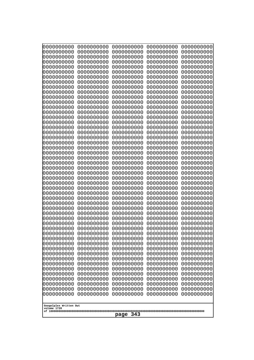| 0000000000<br>0000000000<br>0000000000<br>0000000000<br>0000000000<br>0000000000<br>0000000000<br>0000000000<br>0000000000<br>0000000000<br>0000000000<br>0000000000<br>0000000000<br>0000000000<br>0000000000<br>0000000000<br>0000000000<br>0000000000<br>0000000000<br>0000000000<br>0000000000<br>0000000000<br>0000000000<br>0000000000 | 0000000000<br>0000000000<br>0000000000<br>0000000000<br>0000000000<br>0000000000<br>0000000000<br>0000000000<br>0000000000<br>0000000000<br>0000000000<br>0000000000<br>0000000000<br>0000000000<br>0000000000<br>0000000000<br>0000000000<br>0000000000<br>0000000000<br>0000000000<br>0000000000<br>0000000000<br>0000000000<br>0000000000 | 0000000000<br>0000000000<br>0000000000<br>0000000000<br>0000000000<br>0000000000<br>0000000000<br>0000000000<br>0000000000<br>0000000000<br>0000000000<br>0000000000<br>0000000000<br>0000000000<br>0000000000<br>0000000000<br>0000000000<br>0000000000<br>0000000000<br>0000000000<br>0000000000<br>0000000000<br>0000000000<br>0000000000 | 0000000000<br>0000000000<br>0000000000<br>0000000000<br>0000000000<br>0000000000<br>0000000000<br>0000000000<br>0000000000<br>0000000000<br>0000000000<br>0000000000<br>0000000000<br>0000000000<br>0000000000<br>0000000000<br>0000000000<br>0000000000<br>0000000000<br>0000000000<br>0000000000<br>0000000000<br>0000000000<br>0000000000 | 0000000000<br>0000000000<br>0000000000<br>0000000000<br>0000000000<br>0000000000<br>0000000000<br>0000000000<br>0000000000<br>0000000000<br>0000000000<br>0000000000<br>0000000000<br>0000000000<br>0000000000<br>0000000000<br>0000000000<br>0000000000<br>0000000000<br>0000000000<br>0000000000<br>0000000000<br>0000000000<br>0000000000 |
|----------------------------------------------------------------------------------------------------------------------------------------------------------------------------------------------------------------------------------------------------------------------------------------------------------------------------------------------|----------------------------------------------------------------------------------------------------------------------------------------------------------------------------------------------------------------------------------------------------------------------------------------------------------------------------------------------|----------------------------------------------------------------------------------------------------------------------------------------------------------------------------------------------------------------------------------------------------------------------------------------------------------------------------------------------|----------------------------------------------------------------------------------------------------------------------------------------------------------------------------------------------------------------------------------------------------------------------------------------------------------------------------------------------|----------------------------------------------------------------------------------------------------------------------------------------------------------------------------------------------------------------------------------------------------------------------------------------------------------------------------------------------|
|                                                                                                                                                                                                                                                                                                                                              |                                                                                                                                                                                                                                                                                                                                              |                                                                                                                                                                                                                                                                                                                                              |                                                                                                                                                                                                                                                                                                                                              |                                                                                                                                                                                                                                                                                                                                              |
|                                                                                                                                                                                                                                                                                                                                              |                                                                                                                                                                                                                                                                                                                                              |                                                                                                                                                                                                                                                                                                                                              |                                                                                                                                                                                                                                                                                                                                              |                                                                                                                                                                                                                                                                                                                                              |
|                                                                                                                                                                                                                                                                                                                                              |                                                                                                                                                                                                                                                                                                                                              |                                                                                                                                                                                                                                                                                                                                              |                                                                                                                                                                                                                                                                                                                                              |                                                                                                                                                                                                                                                                                                                                              |
|                                                                                                                                                                                                                                                                                                                                              |                                                                                                                                                                                                                                                                                                                                              |                                                                                                                                                                                                                                                                                                                                              |                                                                                                                                                                                                                                                                                                                                              |                                                                                                                                                                                                                                                                                                                                              |
|                                                                                                                                                                                                                                                                                                                                              |                                                                                                                                                                                                                                                                                                                                              |                                                                                                                                                                                                                                                                                                                                              |                                                                                                                                                                                                                                                                                                                                              |                                                                                                                                                                                                                                                                                                                                              |
|                                                                                                                                                                                                                                                                                                                                              |                                                                                                                                                                                                                                                                                                                                              |                                                                                                                                                                                                                                                                                                                                              |                                                                                                                                                                                                                                                                                                                                              |                                                                                                                                                                                                                                                                                                                                              |
|                                                                                                                                                                                                                                                                                                                                              |                                                                                                                                                                                                                                                                                                                                              |                                                                                                                                                                                                                                                                                                                                              |                                                                                                                                                                                                                                                                                                                                              |                                                                                                                                                                                                                                                                                                                                              |
|                                                                                                                                                                                                                                                                                                                                              |                                                                                                                                                                                                                                                                                                                                              |                                                                                                                                                                                                                                                                                                                                              |                                                                                                                                                                                                                                                                                                                                              |                                                                                                                                                                                                                                                                                                                                              |
|                                                                                                                                                                                                                                                                                                                                              |                                                                                                                                                                                                                                                                                                                                              |                                                                                                                                                                                                                                                                                                                                              |                                                                                                                                                                                                                                                                                                                                              |                                                                                                                                                                                                                                                                                                                                              |
|                                                                                                                                                                                                                                                                                                                                              |                                                                                                                                                                                                                                                                                                                                              |                                                                                                                                                                                                                                                                                                                                              |                                                                                                                                                                                                                                                                                                                                              |                                                                                                                                                                                                                                                                                                                                              |
|                                                                                                                                                                                                                                                                                                                                              |                                                                                                                                                                                                                                                                                                                                              |                                                                                                                                                                                                                                                                                                                                              |                                                                                                                                                                                                                                                                                                                                              |                                                                                                                                                                                                                                                                                                                                              |
|                                                                                                                                                                                                                                                                                                                                              |                                                                                                                                                                                                                                                                                                                                              |                                                                                                                                                                                                                                                                                                                                              |                                                                                                                                                                                                                                                                                                                                              |                                                                                                                                                                                                                                                                                                                                              |
|                                                                                                                                                                                                                                                                                                                                              |                                                                                                                                                                                                                                                                                                                                              |                                                                                                                                                                                                                                                                                                                                              |                                                                                                                                                                                                                                                                                                                                              |                                                                                                                                                                                                                                                                                                                                              |
| 0000000000                                                                                                                                                                                                                                                                                                                                   | 0000000000                                                                                                                                                                                                                                                                                                                                   | 0000000000                                                                                                                                                                                                                                                                                                                                   | 0000000000                                                                                                                                                                                                                                                                                                                                   | 0000000000                                                                                                                                                                                                                                                                                                                                   |
| 0000000000                                                                                                                                                                                                                                                                                                                                   | 0000000000                                                                                                                                                                                                                                                                                                                                   | 0000000000                                                                                                                                                                                                                                                                                                                                   | 0000000000                                                                                                                                                                                                                                                                                                                                   | 0000000000                                                                                                                                                                                                                                                                                                                                   |
| 0000000000                                                                                                                                                                                                                                                                                                                                   | 0000000000                                                                                                                                                                                                                                                                                                                                   | 0000000000                                                                                                                                                                                                                                                                                                                                   | 0000000000                                                                                                                                                                                                                                                                                                                                   | 0000000000                                                                                                                                                                                                                                                                                                                                   |
| 0000000000<br>0000000000                                                                                                                                                                                                                                                                                                                     | 0000000000<br>0000000000                                                                                                                                                                                                                                                                                                                     | 0000000000<br>0000000000                                                                                                                                                                                                                                                                                                                     | 0000000000<br>0000000000                                                                                                                                                                                                                                                                                                                     | 0000000000<br>0000000000                                                                                                                                                                                                                                                                                                                     |
| 0000000000                                                                                                                                                                                                                                                                                                                                   | 0000000000                                                                                                                                                                                                                                                                                                                                   | 0000000000                                                                                                                                                                                                                                                                                                                                   | 0000000000                                                                                                                                                                                                                                                                                                                                   | 0000000000                                                                                                                                                                                                                                                                                                                                   |
| 0000000000<br>0000000000                                                                                                                                                                                                                                                                                                                     | 0000000000<br>0000000000                                                                                                                                                                                                                                                                                                                     | 0000000000<br>0000000000                                                                                                                                                                                                                                                                                                                     | 0000000000<br>0000000000                                                                                                                                                                                                                                                                                                                     | 0000000000<br>0000000000                                                                                                                                                                                                                                                                                                                     |
| 0000000000                                                                                                                                                                                                                                                                                                                                   | 0000000000                                                                                                                                                                                                                                                                                                                                   | 0000000000                                                                                                                                                                                                                                                                                                                                   | 0000000000                                                                                                                                                                                                                                                                                                                                   | 0000000000                                                                                                                                                                                                                                                                                                                                   |
| 0000000000<br>0000000000                                                                                                                                                                                                                                                                                                                     | 0000000000<br>0000000000                                                                                                                                                                                                                                                                                                                     | 0000000000<br>0000000000                                                                                                                                                                                                                                                                                                                     | 0000000000<br>0000000000                                                                                                                                                                                                                                                                                                                     | 0000000000<br>0000000000                                                                                                                                                                                                                                                                                                                     |
| 0000000000                                                                                                                                                                                                                                                                                                                                   | 0000000000                                                                                                                                                                                                                                                                                                                                   | 0000000000                                                                                                                                                                                                                                                                                                                                   | 0000000000                                                                                                                                                                                                                                                                                                                                   | 0000000000                                                                                                                                                                                                                                                                                                                                   |
| 0000000000                                                                                                                                                                                                                                                                                                                                   | 0000000000                                                                                                                                                                                                                                                                                                                                   | 0000000000                                                                                                                                                                                                                                                                                                                                   | 0000000000                                                                                                                                                                                                                                                                                                                                   | 0000000000                                                                                                                                                                                                                                                                                                                                   |
| 0000000000<br>0000000000                                                                                                                                                                                                                                                                                                                     | 0000000000<br>0000000000                                                                                                                                                                                                                                                                                                                     | 0000000000<br>0000000000                                                                                                                                                                                                                                                                                                                     | 0000000000<br>0000000000                                                                                                                                                                                                                                                                                                                     | 0000000000<br>0000000000                                                                                                                                                                                                                                                                                                                     |
| 0000000000                                                                                                                                                                                                                                                                                                                                   | 0000000000                                                                                                                                                                                                                                                                                                                                   | 0000000000                                                                                                                                                                                                                                                                                                                                   | 0000000000                                                                                                                                                                                                                                                                                                                                   | 0000000000                                                                                                                                                                                                                                                                                                                                   |
| 0000000000<br>0000000000                                                                                                                                                                                                                                                                                                                     | 0000000000<br>0000000000                                                                                                                                                                                                                                                                                                                     | 0000000000<br>0000000000                                                                                                                                                                                                                                                                                                                     | 0000000000<br>0000000000                                                                                                                                                                                                                                                                                                                     | 0000000000<br>0000000000                                                                                                                                                                                                                                                                                                                     |
| 0000000000                                                                                                                                                                                                                                                                                                                                   | 0000000000                                                                                                                                                                                                                                                                                                                                   | 0000000000                                                                                                                                                                                                                                                                                                                                   | 0000000000                                                                                                                                                                                                                                                                                                                                   | 0000000000                                                                                                                                                                                                                                                                                                                                   |
| 0000000000<br>0000000000                                                                                                                                                                                                                                                                                                                     | 0000000000<br>0000000000                                                                                                                                                                                                                                                                                                                     | 0000000000<br>0000000000                                                                                                                                                                                                                                                                                                                     | 0000000000<br>0000000000                                                                                                                                                                                                                                                                                                                     | 0000000000<br>0000000000                                                                                                                                                                                                                                                                                                                     |
| 0000000000                                                                                                                                                                                                                                                                                                                                   | 0000000000                                                                                                                                                                                                                                                                                                                                   | 0000000000                                                                                                                                                                                                                                                                                                                                   | 0000000000                                                                                                                                                                                                                                                                                                                                   | 0000000000                                                                                                                                                                                                                                                                                                                                   |
| 0000000000                                                                                                                                                                                                                                                                                                                                   | 0000000000                                                                                                                                                                                                                                                                                                                                   | 0000000000                                                                                                                                                                                                                                                                                                                                   | 0000000000                                                                                                                                                                                                                                                                                                                                   | 0000000000                                                                                                                                                                                                                                                                                                                                   |
| 0000000000<br>0000000000                                                                                                                                                                                                                                                                                                                     | 0000000000<br>0000000000                                                                                                                                                                                                                                                                                                                     | 0000000000<br>0000000000                                                                                                                                                                                                                                                                                                                     | 0000000000<br>0000000000                                                                                                                                                                                                                                                                                                                     | 0000000000<br>0000000000                                                                                                                                                                                                                                                                                                                     |
| 0000000000                                                                                                                                                                                                                                                                                                                                   | 0000000000                                                                                                                                                                                                                                                                                                                                   | 0000000000                                                                                                                                                                                                                                                                                                                                   | 0000000000                                                                                                                                                                                                                                                                                                                                   | 0000000000                                                                                                                                                                                                                                                                                                                                   |
|                                                                                                                                                                                                                                                                                                                                              |                                                                                                                                                                                                                                                                                                                                              |                                                                                                                                                                                                                                                                                                                                              |                                                                                                                                                                                                                                                                                                                                              |                                                                                                                                                                                                                                                                                                                                              |
| Googolplex Written Out<br>volume 1720                                                                                                                                                                                                                                                                                                        |                                                                                                                                                                                                                                                                                                                                              |                                                                                                                                                                                                                                                                                                                                              |                                                                                                                                                                                                                                                                                                                                              |                                                                                                                                                                                                                                                                                                                                              |
| 343<br>page                                                                                                                                                                                                                                                                                                                                  |                                                                                                                                                                                                                                                                                                                                              |                                                                                                                                                                                                                                                                                                                                              |                                                                                                                                                                                                                                                                                                                                              |                                                                                                                                                                                                                                                                                                                                              |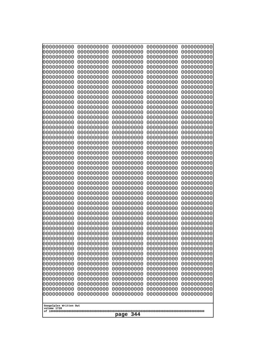| 0000000000<br>0000000000<br>0000000000<br>0000000000<br>0000000000<br>0000000000<br>0000000000<br>0000000000<br>0000000000<br>0000000000<br>0000000000<br>0000000000<br>0000000000<br>0000000000<br>0000000000<br>0000000000<br>0000000000<br>0000000000<br>0000000000<br>0000000000<br>0000000000<br>0000000000<br>0000000000                                                                                                  | 0000000000<br>0000000000<br>0000000000<br>0000000000<br>0000000000<br>0000000000<br>0000000000<br>0000000000<br>0000000000<br>0000000000<br>0000000000<br>0000000000<br>0000000000<br>0000000000<br>0000000000<br>0000000000<br>0000000000<br>0000000000<br>0000000000<br>0000000000<br>0000000000<br>0000000000<br>0000000000                                                         | 0000000000<br>0000000000<br>0000000000<br>0000000000<br>0000000000<br>0000000000<br>0000000000<br>0000000000<br>0000000000<br>0000000000<br>0000000000<br>0000000000<br>0000000000<br>0000000000<br>0000000000<br>0000000000<br>0000000000<br>0000000000<br>0000000000<br>0000000000<br>0000000000<br>0000000000<br>0000000000                                                         | 0000000000<br>0000000000<br>0000000000<br>0000000000<br>0000000000<br>0000000000<br>0000000000<br>0000000000<br>0000000000<br>0000000000<br>0000000000<br>0000000000<br>0000000000<br>0000000000<br>0000000000<br>0000000000<br>0000000000<br>0000000000<br>0000000000<br>0000000000<br>0000000000<br>0000000000<br>0000000000                                                         | 0000000000<br>0000000000<br>0000000000<br>0000000000<br>0000000000<br>0000000000<br>0000000000<br>0000000000<br>0000000000<br>0000000000<br>0000000000<br>0000000000<br>0000000000<br>0000000000<br>0000000000<br>0000000000<br>0000000000<br>0000000000<br>0000000000<br>0000000000<br>0000000000<br>0000000000<br>0000000000                                                         |
|---------------------------------------------------------------------------------------------------------------------------------------------------------------------------------------------------------------------------------------------------------------------------------------------------------------------------------------------------------------------------------------------------------------------------------|----------------------------------------------------------------------------------------------------------------------------------------------------------------------------------------------------------------------------------------------------------------------------------------------------------------------------------------------------------------------------------------|----------------------------------------------------------------------------------------------------------------------------------------------------------------------------------------------------------------------------------------------------------------------------------------------------------------------------------------------------------------------------------------|----------------------------------------------------------------------------------------------------------------------------------------------------------------------------------------------------------------------------------------------------------------------------------------------------------------------------------------------------------------------------------------|----------------------------------------------------------------------------------------------------------------------------------------------------------------------------------------------------------------------------------------------------------------------------------------------------------------------------------------------------------------------------------------|
| 0000000000<br>0000000000<br>0000000000<br>0000000000<br>0000000000<br>0000000000<br>0000000000<br>0000000000<br>0000000000<br>0000000000<br>0000000000<br>0000000000<br>0000000000<br>0000000000<br>0000000000<br>0000000000<br>0000000000<br>0000000000<br>0000000000<br>0000000000<br>0000000000<br>0000000000<br>0000000000<br>0000000000<br>0000000000<br>0000000000<br>0000000000<br>Googolplex Written Out<br>volume 1720 | 0000000000<br>0000000000<br>0000000000<br>0000000000<br>0000000000<br>0000000000<br>0000000000<br>0000000000<br>0000000000<br>0000000000<br>0000000000<br>0000000000<br>0000000000<br>0000000000<br>0000000000<br>0000000000<br>0000000000<br>0000000000<br>0000000000<br>0000000000<br>0000000000<br>0000000000<br>0000000000<br>0000000000<br>0000000000<br>0000000000<br>0000000000 | 0000000000<br>0000000000<br>0000000000<br>0000000000<br>0000000000<br>0000000000<br>0000000000<br>0000000000<br>0000000000<br>0000000000<br>0000000000<br>0000000000<br>0000000000<br>0000000000<br>0000000000<br>0000000000<br>0000000000<br>0000000000<br>0000000000<br>0000000000<br>0000000000<br>0000000000<br>0000000000<br>0000000000<br>0000000000<br>0000000000<br>0000000000 | 0000000000<br>0000000000<br>0000000000<br>0000000000<br>0000000000<br>0000000000<br>0000000000<br>0000000000<br>0000000000<br>0000000000<br>0000000000<br>0000000000<br>0000000000<br>0000000000<br>0000000000<br>0000000000<br>0000000000<br>0000000000<br>0000000000<br>0000000000<br>0000000000<br>0000000000<br>0000000000<br>0000000000<br>0000000000<br>0000000000<br>0000000000 | 0000000000<br>0000000000<br>0000000000<br>0000000000<br>0000000000<br>0000000000<br>0000000000<br>0000000000<br>0000000000<br>0000000000<br>0000000000<br>0000000000<br>0000000000<br>0000000000<br>0000000000<br>0000000000<br>0000000000<br>0000000000<br>0000000000<br>0000000000<br>0000000000<br>0000000000<br>0000000000<br>0000000000<br>0000000000<br>0000000000<br>0000000000 |
| 344<br>page                                                                                                                                                                                                                                                                                                                                                                                                                     |                                                                                                                                                                                                                                                                                                                                                                                        |                                                                                                                                                                                                                                                                                                                                                                                        |                                                                                                                                                                                                                                                                                                                                                                                        |                                                                                                                                                                                                                                                                                                                                                                                        |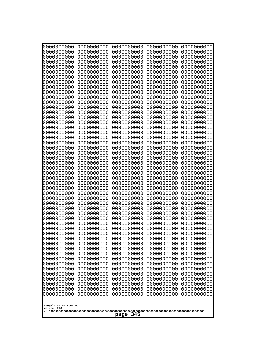| 0000000000                                                                                                                                                                                                                               | 0000000000 | 0000000000 | 0000000000 | 0000000000 |
|------------------------------------------------------------------------------------------------------------------------------------------------------------------------------------------------------------------------------------------|------------|------------|------------|------------|
| 0000000000                                                                                                                                                                                                                               | 0000000000 | 0000000000 | 0000000000 | 0000000000 |
| 0000000000                                                                                                                                                                                                                               | 0000000000 | 0000000000 | 0000000000 | 0000000000 |
| 0000000000                                                                                                                                                                                                                               | 0000000000 | 0000000000 | 0000000000 | 0000000000 |
| 0000000000                                                                                                                                                                                                                               | 0000000000 | 0000000000 | 0000000000 | 0000000000 |
| 0000000000                                                                                                                                                                                                                               | 0000000000 | 0000000000 | 0000000000 | 0000000000 |
| 0000000000                                                                                                                                                                                                                               | 0000000000 | 0000000000 | 0000000000 | 0000000000 |
| 0000000000                                                                                                                                                                                                                               | 0000000000 | 0000000000 | 0000000000 | 0000000000 |
| 0000000000                                                                                                                                                                                                                               | 0000000000 | 0000000000 | 0000000000 | 0000000000 |
| 0000000000                                                                                                                                                                                                                               | 0000000000 | 0000000000 | 0000000000 | 0000000000 |
| 0000000000                                                                                                                                                                                                                               | 0000000000 | 0000000000 | 0000000000 | 0000000000 |
| 0000000000                                                                                                                                                                                                                               | 0000000000 | 0000000000 | 0000000000 | 0000000000 |
| 0000000000                                                                                                                                                                                                                               | 0000000000 | 0000000000 | 0000000000 | 0000000000 |
| 0000000000                                                                                                                                                                                                                               | 0000000000 | 0000000000 | 0000000000 | 0000000000 |
| 0000000000                                                                                                                                                                                                                               | 0000000000 | 0000000000 | 0000000000 | 0000000000 |
| 0000000000                                                                                                                                                                                                                               | 0000000000 | 0000000000 | 0000000000 | 0000000000 |
| 0000000000                                                                                                                                                                                                                               | 0000000000 | 0000000000 | 0000000000 | 0000000000 |
| 0000000000                                                                                                                                                                                                                               | 0000000000 | 0000000000 | 0000000000 | 0000000000 |
| 0000000000                                                                                                                                                                                                                               | 0000000000 | 0000000000 | 0000000000 | 0000000000 |
| 0000000000                                                                                                                                                                                                                               | 0000000000 | 0000000000 | 0000000000 | 0000000000 |
| 0000000000                                                                                                                                                                                                                               | 0000000000 | 0000000000 | 0000000000 | 0000000000 |
| 0000000000                                                                                                                                                                                                                               | 0000000000 | 0000000000 | 0000000000 | 0000000000 |
| 0000000000                                                                                                                                                                                                                               | 0000000000 | 0000000000 | 0000000000 | 0000000000 |
| 0000000000                                                                                                                                                                                                                               | 0000000000 | 0000000000 | 0000000000 | 0000000000 |
|                                                                                                                                                                                                                                          |            |            |            |            |
|                                                                                                                                                                                                                                          |            |            |            |            |
|                                                                                                                                                                                                                                          |            |            |            |            |
| 0000000000                                                                                                                                                                                                                               | 0000000000 | 0000000000 | 0000000000 | 0000000000 |
| 0000000000                                                                                                                                                                                                                               | 0000000000 | 0000000000 | 0000000000 | 0000000000 |
| 0000000000                                                                                                                                                                                                                               | 0000000000 | 0000000000 | 0000000000 | 0000000000 |
| 0000000000                                                                                                                                                                                                                               | 0000000000 | 0000000000 | 0000000000 | 0000000000 |
| 0000000000                                                                                                                                                                                                                               | 0000000000 | 0000000000 | 0000000000 | 0000000000 |
| 0000000000                                                                                                                                                                                                                               | 0000000000 | 0000000000 | 0000000000 | 0000000000 |
| 0000000000                                                                                                                                                                                                                               | 0000000000 | 0000000000 | 0000000000 | 0000000000 |
| 0000000000                                                                                                                                                                                                                               | 0000000000 | 0000000000 | 0000000000 | 0000000000 |
| 0000000000                                                                                                                                                                                                                               | 0000000000 | 0000000000 | 0000000000 | 0000000000 |
| 0000000000                                                                                                                                                                                                                               | 0000000000 | 0000000000 | 0000000000 | 0000000000 |
| 0000000000                                                                                                                                                                                                                               | 0000000000 | 0000000000 | 0000000000 | 0000000000 |
| 0000000000                                                                                                                                                                                                                               | 0000000000 | 0000000000 | 0000000000 | 0000000000 |
| 0000000000                                                                                                                                                                                                                               | 0000000000 | 0000000000 | 0000000000 | 0000000000 |
| 0000000000                                                                                                                                                                                                                               | 0000000000 | 0000000000 | 0000000000 | 0000000000 |
| 0000000000                                                                                                                                                                                                                               | 0000000000 | 0000000000 | 0000000000 | 0000000000 |
| 0000000000                                                                                                                                                                                                                               | 0000000000 | 0000000000 | 0000000000 | 0000000000 |
| 0000000000                                                                                                                                                                                                                               | 0000000000 | 0000000000 | 0000000000 | 0000000000 |
| 0000000000                                                                                                                                                                                                                               | 0000000000 | 0000000000 | 0000000000 | 0000000000 |
| 0000000000                                                                                                                                                                                                                               | 0000000000 | 0000000000 | 0000000000 | 0000000000 |
| 0000000000                                                                                                                                                                                                                               | 0000000000 | 0000000000 | 0000000000 | 0000000000 |
| 0000000000                                                                                                                                                                                                                               | 0000000000 | 0000000000 | 0000000000 | 0000000000 |
| 0000000000                                                                                                                                                                                                                               | 0000000000 | 0000000000 | 0000000000 | 0000000000 |
| 0000000000                                                                                                                                                                                                                               | 0000000000 | 0000000000 | 0000000000 | 0000000000 |
| 0000000000<br>0000000000<br>0000000000<br>0000000000<br>0000000000<br>0000000000<br>0000000000<br>0000000000<br>0000000000<br>0000000000<br>0000000000<br>0000000000<br>0000000000<br>0000000000<br>0000000000<br>Googolplex Written Out |            |            |            |            |
| volume 1720<br>345<br>page                                                                                                                                                                                                               |            |            |            |            |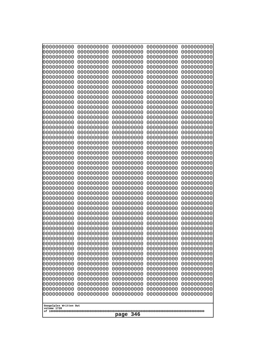| Googolplex Written Out<br>volume 1720 | 0000000000<br>0000000000<br>0000000000<br>0000000000<br>0000000000<br>0000000000<br>0000000000<br>0000000000<br>0000000000<br>0000000000<br>0000000000<br>0000000000<br>0000000000<br>0000000000<br>0000000000<br>0000000000<br>0000000000<br>0000000000<br>0000000000<br>0000000000<br>0000000000<br>0000000000<br>0000000000<br>0000000000<br>0000000000<br>0000000000<br>0000000000<br>0000000000<br>0000000000<br>0000000000<br>0000000000<br>0000000000<br>0000000000<br>0000000000<br>0000000000<br>0000000000<br>0000000000<br>10000000000<br>0000000000<br>0000000000<br>0000000000<br>0000000000<br>0000000000<br>0000000000<br>0000000000<br>0000000000<br>0000000000<br>0000000000<br>0000000000<br>0000000000 | 0000000000<br>0000000000<br>0000000000<br>0000000000<br>0000000000<br>0000000000<br>0000000000<br>0000000000<br>0000000000<br>0000000000<br>0000000000<br>0000000000<br>0000000000<br>0000000000<br>0000000000<br>0000000000<br>0000000000<br>0000000000<br>0000000000<br>0000000000<br>0000000000<br>0000000000<br>0000000000<br>0000000000<br>0000000000<br>0000000000<br>0000000000<br>0000000000<br>0000000000<br>0000000000<br>0000000000<br>0000000000<br>0000000000<br>0000000000<br>0000000000<br>0000000000<br>0000000000<br>0000000000<br>0000000000<br>0000000000<br>0000000000<br>0000000000<br>0000000000<br>0000000000<br>0000000000<br>0000000000<br>0000000000<br>0000000000<br>0000000000<br>0000000000 | 0000000000<br>0000000000<br>0000000000<br>0000000000<br>0000000000<br>0000000000<br>0000000000<br>0000000000<br>0000000000<br>0000000000<br>0000000000<br>0000000000<br>0000000000<br>0000000000<br>0000000000<br>0000000000<br>0000000000<br>0000000000<br>0000000000<br>0000000000<br>0000000000<br>0000000000<br>0000000000<br>0000000000<br>0000000000<br>0000000000<br>0000000000<br>0000000000<br>0000000000<br>0000000000<br>0000000000<br>0000000000<br>0000000000<br>0000000000<br>0000000000<br>0000000000<br>0000000000<br>0000000000<br>0000000000<br>0000000000<br>0000000000<br>0000000000<br>0000000000<br>0000000000<br>0000000000<br>0000000000<br>0000000000<br>0000000000<br>0000000000<br>0000000000 | 0000000000<br>0000000000<br>0000000000<br>0000000000<br>0000000000<br>0000000000<br>0000000000<br>0000000000<br>0000000000<br>0000000000<br>0000000000<br>0000000000<br>0000000000<br>0000000000<br>0000000000<br>0000000000<br>0000000000<br>0000000000<br>0000000000<br>0000000000<br>0000000000<br>0000000000<br>0000000000<br>0000000000<br>0000000000<br>0000000000<br>0000000000<br>0000000000<br>0000000000<br>0000000000<br>0000000000<br>0000000000<br>0000000000<br>0000000000<br>0000000000<br>0000000000<br>0000000000<br>0000000000<br>0000000000<br>0000000000<br>0000000000<br>0000000000<br>0000000000<br>0000000000<br>0000000000<br>0000000000<br>0000000000<br>0000000000<br>0000000000<br>0000000000 | 0000000000<br>0000000000<br>0000000000<br>0000000000<br>0000000000<br>0000000000<br>0000000000<br>0000000000<br>0000000000<br>0000000000<br>0000000000<br>0000000000<br>0000000000<br>0000000000<br>0000000000<br>0000000000<br>0000000000<br>0000000000<br>0000000000<br>0000000000<br>0000000000<br>0000000000<br>0000000000<br>0000000000<br>0000000000<br>0000000000<br>0000000000<br>0000000000<br>0000000000<br>0000000000<br>0000000000<br>0000000000<br>0000000000<br>0000000000<br>0000000000<br>0000000000<br>0000000000<br>0000000000<br>0000000000<br>0000000000<br>0000000000<br>0000000000<br>0000000000<br>0000000000<br>0000000000<br>0000000000<br>0000000000<br>0000000000<br>0000000000<br>0000000000 |
|---------------------------------------|---------------------------------------------------------------------------------------------------------------------------------------------------------------------------------------------------------------------------------------------------------------------------------------------------------------------------------------------------------------------------------------------------------------------------------------------------------------------------------------------------------------------------------------------------------------------------------------------------------------------------------------------------------------------------------------------------------------------------|--------------------------------------------------------------------------------------------------------------------------------------------------------------------------------------------------------------------------------------------------------------------------------------------------------------------------------------------------------------------------------------------------------------------------------------------------------------------------------------------------------------------------------------------------------------------------------------------------------------------------------------------------------------------------------------------------------------------------|--------------------------------------------------------------------------------------------------------------------------------------------------------------------------------------------------------------------------------------------------------------------------------------------------------------------------------------------------------------------------------------------------------------------------------------------------------------------------------------------------------------------------------------------------------------------------------------------------------------------------------------------------------------------------------------------------------------------------|--------------------------------------------------------------------------------------------------------------------------------------------------------------------------------------------------------------------------------------------------------------------------------------------------------------------------------------------------------------------------------------------------------------------------------------------------------------------------------------------------------------------------------------------------------------------------------------------------------------------------------------------------------------------------------------------------------------------------|--------------------------------------------------------------------------------------------------------------------------------------------------------------------------------------------------------------------------------------------------------------------------------------------------------------------------------------------------------------------------------------------------------------------------------------------------------------------------------------------------------------------------------------------------------------------------------------------------------------------------------------------------------------------------------------------------------------------------|
| 346<br>page                           |                                                                                                                                                                                                                                                                                                                                                                                                                                                                                                                                                                                                                                                                                                                           |                                                                                                                                                                                                                                                                                                                                                                                                                                                                                                                                                                                                                                                                                                                          |                                                                                                                                                                                                                                                                                                                                                                                                                                                                                                                                                                                                                                                                                                                          |                                                                                                                                                                                                                                                                                                                                                                                                                                                                                                                                                                                                                                                                                                                          |                                                                                                                                                                                                                                                                                                                                                                                                                                                                                                                                                                                                                                                                                                                          |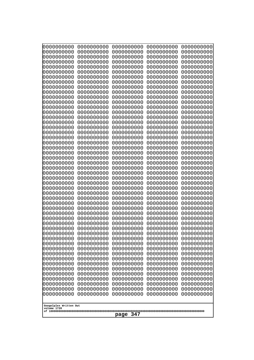| 000000000<br>0000000000  | 0000000000<br>0000000000 | 0000000000<br>0000000000 | 0000000000<br>0000000000 | 0000000000<br>0000000000 |  |
|--------------------------|--------------------------|--------------------------|--------------------------|--------------------------|--|
| 0000000000               | 0000000000               | 0000000000               | 0000000000               | 0000000000               |  |
| 0000000000<br>0000000000 | 0000000000<br>0000000000 | 0000000000<br>0000000000 | 0000000000<br>0000000000 | 0000000000<br>0000000000 |  |
| 0000000000               | 0000000000               | 0000000000               | 0000000000               | 0000000000               |  |
| 0000000000<br>0000000000 | 0000000000<br>0000000000 | 0000000000<br>0000000000 | 0000000000<br>0000000000 | 0000000000<br>0000000000 |  |
| 0000000000               | 0000000000               | 0000000000               | 0000000000               | 0000000000               |  |
| 0000000000<br>0000000000 | 0000000000<br>0000000000 | 0000000000<br>0000000000 | 0000000000<br>0000000000 | 0000000000<br>0000000000 |  |
| 0000000000               | 0000000000               | 0000000000               | 0000000000               | 0000000000               |  |
| 0000000000               | 0000000000               | 0000000000               | 0000000000               | 0000000000               |  |
| 0000000000<br>0000000000 | 0000000000<br>0000000000 | 0000000000<br>0000000000 | 0000000000<br>0000000000 | 0000000000<br>0000000000 |  |
| 0000000000               | 0000000000               | 0000000000               | 0000000000               | 0000000000               |  |
| 0000000000<br>0000000000 | 0000000000<br>0000000000 | 0000000000<br>0000000000 | 0000000000<br>0000000000 | 0000000000<br>0000000000 |  |
| 0000000000               | 0000000000               | 0000000000               | 0000000000               | 0000000000               |  |
| 0000000000<br>0000000000 | 0000000000<br>0000000000 | 0000000000<br>0000000000 | 0000000000<br>0000000000 | 0000000000<br>0000000000 |  |
| 0000000000               | 0000000000               | 0000000000               | 0000000000               | 0000000000               |  |
| 0000000000<br>0000000000 | 0000000000<br>0000000000 | 0000000000<br>0000000000 | 0000000000<br>0000000000 | 0000000000<br>0000000000 |  |
| 0000000000               | 0000000000               | 0000000000               | 0000000000               | 0000000000               |  |
| 0000000000               | 0000000000               | 0000000000               | 0000000000               | 0000000000               |  |
| 0000000000<br>0000000000 | 0000000000<br>0000000000 | 0000000000<br>0000000000 | 0000000000<br>0000000000 | 0000000000<br>0000000000 |  |
| 0000000000               | 0000000000               | 0000000000               | 0000000000               | 0000000000               |  |
| 0000000000<br>0000000000 | 0000000000<br>0000000000 | 0000000000<br>0000000000 | 0000000000<br>0000000000 | 0000000000<br>0000000000 |  |
| 0000000000               | 0000000000               | 0000000000               | 0000000000               | 0000000000               |  |
| 0000000000<br>0000000000 | 0000000000<br>0000000000 | 0000000000<br>0000000000 | 0000000000<br>0000000000 | 0000000000<br>0000000000 |  |
| 0000000000               | 0000000000               | 0000000000               | 0000000000               | 0000000000               |  |
| 0000000000<br>0000000000 | 0000000000<br>0000000000 | 0000000000<br>0000000000 | 0000000000<br>0000000000 | 0000000000<br>0000000000 |  |
| 0000000000               | 0000000000               | 0000000000               | 0000000000               | 0000000000               |  |
| 0000000000<br>0000000000 | 0000000000<br>0000000000 | 0000000000<br>0000000000 | 0000000000<br>0000000000 | 0000000000<br>0000000000 |  |
| 0000000000               | 0000000000               | 0000000000               | 0000000000               | 0000000000               |  |
| 0000000000               | 0000000000<br>0000000000 | 0000000000<br>0000000000 | 0000000000               | 0000000000               |  |
| 0000000000<br>0000000000 | 0000000000               | 0000000000               | 0000000000<br>0000000000 | 0000000000<br>0000000000 |  |
| 0000000000               | 0000000000               | 0000000000               | 0000000000               | 0000000000               |  |
| 0000000000<br>0000000000 | 0000000000<br>0000000000 | 0000000000<br>0000000000 | 0000000000<br>0000000000 | 0000000000<br>0000000000 |  |
| 0000000000               | 0000000000               | 0000000000               | 0000000000               | 0000000000               |  |
| 0000000000<br>0000000000 | 0000000000<br>0000000000 | 0000000000<br>0000000000 | 0000000000<br>0000000000 | 0000000000<br>0000000000 |  |
|                          |                          |                          |                          |                          |  |
| volume 1720              | Googolplex Written Out   |                          |                          |                          |  |
| 347<br>page              |                          |                          |                          |                          |  |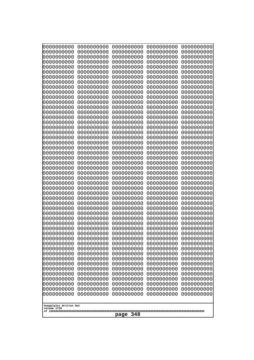| 0000000000                                                                                                                                                                                                                                                                                                                                                                                                                      | 0000000000                                                                                                                                                                                                                                                                                                                                                                             | 0000000000                                                                                                                                                                                                                                                                                                                                                                                            | 0000000000                                                                                                                                                                                                                                                                                                                                                                             | 0000000000                                                                                                                                                                                                                                                                                                                                                                             |
|---------------------------------------------------------------------------------------------------------------------------------------------------------------------------------------------------------------------------------------------------------------------------------------------------------------------------------------------------------------------------------------------------------------------------------|----------------------------------------------------------------------------------------------------------------------------------------------------------------------------------------------------------------------------------------------------------------------------------------------------------------------------------------------------------------------------------------|-------------------------------------------------------------------------------------------------------------------------------------------------------------------------------------------------------------------------------------------------------------------------------------------------------------------------------------------------------------------------------------------------------|----------------------------------------------------------------------------------------------------------------------------------------------------------------------------------------------------------------------------------------------------------------------------------------------------------------------------------------------------------------------------------------|----------------------------------------------------------------------------------------------------------------------------------------------------------------------------------------------------------------------------------------------------------------------------------------------------------------------------------------------------------------------------------------|
| 0000000000                                                                                                                                                                                                                                                                                                                                                                                                                      | 0000000000                                                                                                                                                                                                                                                                                                                                                                             | 0000000000                                                                                                                                                                                                                                                                                                                                                                                            | 0000000000                                                                                                                                                                                                                                                                                                                                                                             | 0000000000                                                                                                                                                                                                                                                                                                                                                                             |
| 0000000000                                                                                                                                                                                                                                                                                                                                                                                                                      | 0000000000                                                                                                                                                                                                                                                                                                                                                                             | 0000000000                                                                                                                                                                                                                                                                                                                                                                                            | 0000000000                                                                                                                                                                                                                                                                                                                                                                             | 0000000000                                                                                                                                                                                                                                                                                                                                                                             |
| 0000000000                                                                                                                                                                                                                                                                                                                                                                                                                      | 0000000000                                                                                                                                                                                                                                                                                                                                                                             | 0000000000                                                                                                                                                                                                                                                                                                                                                                                            | 0000000000                                                                                                                                                                                                                                                                                                                                                                             | 0000000000                                                                                                                                                                                                                                                                                                                                                                             |
| 0000000000                                                                                                                                                                                                                                                                                                                                                                                                                      | 0000000000                                                                                                                                                                                                                                                                                                                                                                             | 0000000000                                                                                                                                                                                                                                                                                                                                                                                            | 0000000000                                                                                                                                                                                                                                                                                                                                                                             | 0000000000                                                                                                                                                                                                                                                                                                                                                                             |
| 0000000000                                                                                                                                                                                                                                                                                                                                                                                                                      | 0000000000                                                                                                                                                                                                                                                                                                                                                                             | 0000000000                                                                                                                                                                                                                                                                                                                                                                                            | 0000000000                                                                                                                                                                                                                                                                                                                                                                             | 0000000000                                                                                                                                                                                                                                                                                                                                                                             |
| 0000000000                                                                                                                                                                                                                                                                                                                                                                                                                      | 0000000000                                                                                                                                                                                                                                                                                                                                                                             | 0000000000                                                                                                                                                                                                                                                                                                                                                                                            | 0000000000                                                                                                                                                                                                                                                                                                                                                                             | 0000000000                                                                                                                                                                                                                                                                                                                                                                             |
| 0000000000                                                                                                                                                                                                                                                                                                                                                                                                                      | 0000000000                                                                                                                                                                                                                                                                                                                                                                             | 0000000000                                                                                                                                                                                                                                                                                                                                                                                            | 0000000000                                                                                                                                                                                                                                                                                                                                                                             | 0000000000                                                                                                                                                                                                                                                                                                                                                                             |
| 0000000000                                                                                                                                                                                                                                                                                                                                                                                                                      | 0000000000                                                                                                                                                                                                                                                                                                                                                                             | 0000000000                                                                                                                                                                                                                                                                                                                                                                                            | 0000000000                                                                                                                                                                                                                                                                                                                                                                             | 0000000000                                                                                                                                                                                                                                                                                                                                                                             |
| 0000000000                                                                                                                                                                                                                                                                                                                                                                                                                      | 0000000000                                                                                                                                                                                                                                                                                                                                                                             | 0000000000                                                                                                                                                                                                                                                                                                                                                                                            | 0000000000                                                                                                                                                                                                                                                                                                                                                                             | 0000000000                                                                                                                                                                                                                                                                                                                                                                             |
| 0000000000                                                                                                                                                                                                                                                                                                                                                                                                                      | 0000000000                                                                                                                                                                                                                                                                                                                                                                             | 0000000000                                                                                                                                                                                                                                                                                                                                                                                            | 0000000000                                                                                                                                                                                                                                                                                                                                                                             | 0000000000                                                                                                                                                                                                                                                                                                                                                                             |
| 0000000000                                                                                                                                                                                                                                                                                                                                                                                                                      | 0000000000                                                                                                                                                                                                                                                                                                                                                                             | 0000000000                                                                                                                                                                                                                                                                                                                                                                                            | 0000000000                                                                                                                                                                                                                                                                                                                                                                             | 0000000000                                                                                                                                                                                                                                                                                                                                                                             |
| 0000000000                                                                                                                                                                                                                                                                                                                                                                                                                      | 0000000000                                                                                                                                                                                                                                                                                                                                                                             | 0000000000                                                                                                                                                                                                                                                                                                                                                                                            | 0000000000                                                                                                                                                                                                                                                                                                                                                                             | 0000000000                                                                                                                                                                                                                                                                                                                                                                             |
| 0000000000                                                                                                                                                                                                                                                                                                                                                                                                                      | 0000000000                                                                                                                                                                                                                                                                                                                                                                             | 0000000000                                                                                                                                                                                                                                                                                                                                                                                            | 0000000000                                                                                                                                                                                                                                                                                                                                                                             | 0000000000                                                                                                                                                                                                                                                                                                                                                                             |
| 0000000000                                                                                                                                                                                                                                                                                                                                                                                                                      | 0000000000                                                                                                                                                                                                                                                                                                                                                                             | 0000000000                                                                                                                                                                                                                                                                                                                                                                                            | 0000000000                                                                                                                                                                                                                                                                                                                                                                             | 0000000000                                                                                                                                                                                                                                                                                                                                                                             |
| 0000000000                                                                                                                                                                                                                                                                                                                                                                                                                      | 0000000000                                                                                                                                                                                                                                                                                                                                                                             | 0000000000                                                                                                                                                                                                                                                                                                                                                                                            | 0000000000                                                                                                                                                                                                                                                                                                                                                                             | 0000000000                                                                                                                                                                                                                                                                                                                                                                             |
| 0000000000                                                                                                                                                                                                                                                                                                                                                                                                                      | 0000000000                                                                                                                                                                                                                                                                                                                                                                             | 0000000000                                                                                                                                                                                                                                                                                                                                                                                            | 0000000000                                                                                                                                                                                                                                                                                                                                                                             | 0000000000                                                                                                                                                                                                                                                                                                                                                                             |
| 0000000000                                                                                                                                                                                                                                                                                                                                                                                                                      | 0000000000                                                                                                                                                                                                                                                                                                                                                                             | 0000000000                                                                                                                                                                                                                                                                                                                                                                                            | 0000000000                                                                                                                                                                                                                                                                                                                                                                             | 0000000000                                                                                                                                                                                                                                                                                                                                                                             |
| 0000000000                                                                                                                                                                                                                                                                                                                                                                                                                      | 0000000000                                                                                                                                                                                                                                                                                                                                                                             | 0000000000                                                                                                                                                                                                                                                                                                                                                                                            | 0000000000                                                                                                                                                                                                                                                                                                                                                                             | 0000000000                                                                                                                                                                                                                                                                                                                                                                             |
| 0000000000                                                                                                                                                                                                                                                                                                                                                                                                                      | 0000000000                                                                                                                                                                                                                                                                                                                                                                             | 0000000000                                                                                                                                                                                                                                                                                                                                                                                            | 0000000000                                                                                                                                                                                                                                                                                                                                                                             | 0000000000                                                                                                                                                                                                                                                                                                                                                                             |
| 0000000000                                                                                                                                                                                                                                                                                                                                                                                                                      | 0000000000                                                                                                                                                                                                                                                                                                                                                                             | 0000000000                                                                                                                                                                                                                                                                                                                                                                                            | 0000000000                                                                                                                                                                                                                                                                                                                                                                             | 0000000000                                                                                                                                                                                                                                                                                                                                                                             |
| 0000000000                                                                                                                                                                                                                                                                                                                                                                                                                      | 0000000000                                                                                                                                                                                                                                                                                                                                                                             | 0000000000                                                                                                                                                                                                                                                                                                                                                                                            | 0000000000                                                                                                                                                                                                                                                                                                                                                                             | 0000000000                                                                                                                                                                                                                                                                                                                                                                             |
| 0000000000                                                                                                                                                                                                                                                                                                                                                                                                                      | 0000000000                                                                                                                                                                                                                                                                                                                                                                             | 0000000000                                                                                                                                                                                                                                                                                                                                                                                            | 0000000000                                                                                                                                                                                                                                                                                                                                                                             | 0000000000                                                                                                                                                                                                                                                                                                                                                                             |
| 0000000000<br>0000000000<br>0000000000<br>0000000000<br>0000000000<br>0000000000<br>0000000000<br>0000000000<br>0000000000<br>0000000000<br>0000000000<br>0000000000<br>0000000000<br>0000000000<br>0000000000<br>0000000000<br>0000000000<br>0000000000<br>0000000000<br>0000000000<br>0000000000<br>0000000000<br>0000000000<br>0000000000<br>0000000000<br>0000000000<br>0000000000<br>Googolplex Written Out<br>volume 1720 | 0000000000<br>0000000000<br>0000000000<br>0000000000<br>0000000000<br>0000000000<br>0000000000<br>0000000000<br>0000000000<br>0000000000<br>0000000000<br>0000000000<br>0000000000<br>0000000000<br>0000000000<br>0000000000<br>0000000000<br>0000000000<br>0000000000<br>0000000000<br>0000000000<br>0000000000<br>0000000000<br>0000000000<br>0000000000<br>0000000000<br>0000000000 | 0000000000<br>0000000000<br>0000000000<br>0000000000<br>0000000000<br>0000000000<br>0000000000<br>0000000000<br>0000000000<br>0000000000<br>0000000000<br>0000000000<br>0000000000<br>0000000000<br>0000000000<br>0000000000<br>0000000000<br>0000000000<br>0000000000<br>0000000000<br>0000000000<br>0000000000<br>0000000000<br>0000000000<br>0000000000<br>0000000000<br>0000000000<br>348<br>page | 0000000000<br>0000000000<br>0000000000<br>0000000000<br>0000000000<br>0000000000<br>0000000000<br>0000000000<br>0000000000<br>0000000000<br>0000000000<br>0000000000<br>0000000000<br>0000000000<br>0000000000<br>0000000000<br>0000000000<br>0000000000<br>0000000000<br>0000000000<br>0000000000<br>0000000000<br>0000000000<br>0000000000<br>0000000000<br>0000000000<br>0000000000 | 0000000000<br>0000000000<br>0000000000<br>0000000000<br>0000000000<br>0000000000<br>0000000000<br>0000000000<br>0000000000<br>0000000000<br>0000000000<br>0000000000<br>0000000000<br>0000000000<br>0000000000<br>0000000000<br>0000000000<br>0000000000<br>0000000000<br>0000000000<br>0000000000<br>0000000000<br>0000000000<br>0000000000<br>0000000000<br>0000000000<br>0000000000 |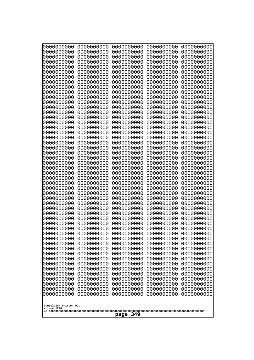| 10000000000              | 0000000000               | 0000000000               | 0000000000               | 0000000000               |  |
|--------------------------|--------------------------|--------------------------|--------------------------|--------------------------|--|
| 0000000000<br>0000000000 | 0000000000<br>0000000000 | 0000000000<br>0000000000 | 0000000000<br>0000000000 | 0000000000<br>0000000000 |  |
| 0000000000               | 0000000000               | 0000000000               | 0000000000               | 0000000000               |  |
| 0000000000               | 0000000000               | 0000000000               | 0000000000               | 0000000000               |  |
| 0000000000               | 0000000000               | 0000000000               | 0000000000               | 0000000000               |  |
| 0000000000<br>0000000000 | 0000000000<br>0000000000 | 0000000000<br>0000000000 | 0000000000<br>0000000000 | 0000000000<br>0000000000 |  |
| 0000000000               | 0000000000               | 0000000000               | 0000000000               | 0000000000               |  |
| 0000000000               | 0000000000               | 0000000000               | 0000000000               | 0000000000               |  |
| 0000000000               | 0000000000               | 0000000000               | 0000000000               | 0000000000               |  |
| 0000000000<br>0000000000 | 0000000000<br>0000000000 | 0000000000<br>0000000000 | 0000000000<br>0000000000 | 0000000000<br>0000000000 |  |
| 0000000000               | 0000000000               | 0000000000               | 0000000000               | 0000000000               |  |
| 0000000000               | 0000000000               | 0000000000               | 0000000000               | 0000000000               |  |
| 0000000000               | 0000000000               | 0000000000               | 0000000000               | 0000000000               |  |
| 0000000000<br>0000000000 | 0000000000<br>0000000000 | 0000000000<br>0000000000 | 0000000000<br>0000000000 | 0000000000<br>0000000000 |  |
| 0000000000               | 0000000000               | 0000000000               | 0000000000               | 0000000000               |  |
| 0000000000               | 0000000000               | 0000000000               | 0000000000               | 0000000000               |  |
| 0000000000               | 0000000000               | 0000000000               | 0000000000               | 0000000000               |  |
| 0000000000<br>0000000000 | 0000000000<br>0000000000 | 0000000000<br>0000000000 | 0000000000<br>0000000000 | 0000000000<br>0000000000 |  |
| 0000000000               | 0000000000               | 0000000000               | 0000000000               | 0000000000               |  |
| 0000000000               | 0000000000               | 0000000000               | 0000000000               | 0000000000               |  |
| 0000000000<br>0000000000 | 0000000000<br>0000000000 | 0000000000<br>0000000000 | 0000000000<br>0000000000 | 0000000000<br>0000000000 |  |
| 0000000000               | 0000000000               | 0000000000               | 0000000000               | 0000000000               |  |
| 0000000000               | 0000000000               | 0000000000               | 0000000000               | 0000000000               |  |
| 0000000000               | 0000000000               | 0000000000               | 0000000000               | 0000000000               |  |
| 0000000000<br>0000000000 | 0000000000<br>0000000000 | 0000000000<br>0000000000 | 0000000000<br>0000000000 | 0000000000<br>0000000000 |  |
| 0000000000               | 0000000000               | 0000000000               | 0000000000               | 0000000000               |  |
| 0000000000               | 0000000000               | 0000000000               | 0000000000               | 0000000000               |  |
| 0000000000<br>0000000000 | 0000000000<br>0000000000 | 0000000000               | 0000000000               | 0000000000               |  |
| 0000000000               | 0000000000               | 0000000000<br>0000000000 | 0000000000<br>0000000000 | 0000000000<br>0000000000 |  |
| 0000000000               | 0000000000               | 0000000000               | 0000000000               | 0000000000               |  |
| 0000000000               | 0000000000               | 0000000000               | 0000000000               | 0000000000               |  |
| 0000000000<br>0000000000 | 0000000000<br>0000000000 | 0000000000<br>0000000000 | 0000000000<br>0000000000 | 0000000000<br>0000000000 |  |
| 0000000000               | 0000000000               | 0000000000               | 0000000000               | 0000000000               |  |
| 0000000000               | 0000000000               | 0000000000               | 0000000000               | 0000000000               |  |
| 0000000000               | 0000000000               | 0000000000               | 0000000000               | 0000000000               |  |
| 0000000000<br>0000000000 | 0000000000<br>0000000000 | 0000000000<br>0000000000 | 0000000000<br>0000000000 | 0000000000<br>0000000000 |  |
| 0000000000               | 0000000000               | 0000000000               | 0000000000               | 0000000000               |  |
| 0000000000               | 0000000000               | 0000000000               | 0000000000               | 0000000000               |  |
| 0000000000               | 0000000000               | 0000000000               | 0000000000               | 0000000000               |  |
| 0000000000               | 0000000000               | 0000000000               | 0000000000               | 0000000000               |  |
| Googolplex Written Out   |                          |                          |                          |                          |  |
| volume 1720              |                          |                          |                          |                          |  |
|                          | 349<br>page              |                          |                          |                          |  |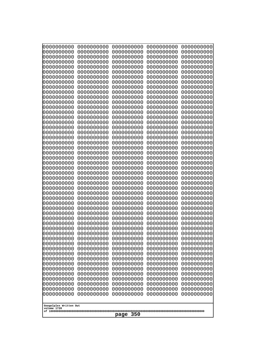| Googolplex Written Out<br>volume 1720 | 0000000000<br>0000000000<br>0000000000<br>0000000000<br>0000000000<br>0000000000<br>0000000000<br>0000000000<br>0000000000<br>0000000000<br>0000000000<br>0000000000<br>0000000000<br>0000000000<br>0000000000<br>0000000000<br>0000000000<br>0000000000<br>0000000000<br>0000000000<br>0000000000<br>0000000000<br>0000000000<br>0000000000<br>0000000000<br>0000000000<br>0000000000<br>0000000000<br>0000000000<br>0000000000<br>0000000000<br>0000000000<br>0000000000<br>0000000000<br>0000000000<br>0000000000<br>0000000000<br>10000000000<br>0000000000<br>0000000000<br>0000000000<br>0000000000<br>0000000000<br>0000000000<br>0000000000<br>0000000000<br>0000000000<br>0000000000<br>0000000000<br>0000000000 | 0000000000<br>0000000000<br>0000000000<br>0000000000<br>0000000000<br>0000000000<br>0000000000<br>0000000000<br>0000000000<br>0000000000<br>0000000000<br>0000000000<br>0000000000<br>0000000000<br>0000000000<br>0000000000<br>0000000000<br>0000000000<br>0000000000<br>0000000000<br>0000000000<br>0000000000<br>0000000000<br>0000000000<br>0000000000<br>0000000000<br>0000000000<br>0000000000<br>0000000000<br>0000000000<br>0000000000<br>0000000000<br>0000000000<br>0000000000<br>0000000000<br>0000000000<br>0000000000<br>0000000000<br>0000000000<br>0000000000<br>0000000000<br>0000000000<br>0000000000<br>0000000000<br>0000000000<br>0000000000<br>0000000000<br>0000000000<br>0000000000<br>0000000000 | 0000000000<br>0000000000<br>0000000000<br>0000000000<br>0000000000<br>0000000000<br>0000000000<br>0000000000<br>0000000000<br>0000000000<br>0000000000<br>0000000000<br>0000000000<br>0000000000<br>0000000000<br>0000000000<br>0000000000<br>0000000000<br>0000000000<br>0000000000<br>0000000000<br>0000000000<br>0000000000<br>0000000000<br>0000000000<br>0000000000<br>0000000000<br>0000000000<br>0000000000<br>0000000000<br>0000000000<br>0000000000<br>0000000000<br>0000000000<br>0000000000<br>0000000000<br>0000000000<br>0000000000<br>0000000000<br>0000000000<br>0000000000<br>0000000000<br>0000000000<br>0000000000<br>0000000000<br>0000000000<br>0000000000<br>0000000000<br>0000000000<br>0000000000 | 0000000000<br>0000000000<br>0000000000<br>0000000000<br>0000000000<br>0000000000<br>0000000000<br>0000000000<br>0000000000<br>0000000000<br>0000000000<br>0000000000<br>0000000000<br>0000000000<br>0000000000<br>0000000000<br>0000000000<br>0000000000<br>0000000000<br>0000000000<br>0000000000<br>0000000000<br>0000000000<br>0000000000<br>0000000000<br>0000000000<br>0000000000<br>0000000000<br>0000000000<br>0000000000<br>0000000000<br>0000000000<br>0000000000<br>0000000000<br>0000000000<br>0000000000<br>0000000000<br>0000000000<br>0000000000<br>0000000000<br>0000000000<br>0000000000<br>0000000000<br>0000000000<br>0000000000<br>0000000000<br>0000000000<br>0000000000<br>0000000000<br>0000000000 | 0000000000<br>0000000000<br>0000000000<br>0000000000<br>0000000000<br>0000000000<br>0000000000<br>0000000000<br>0000000000<br>0000000000<br>0000000000<br>0000000000<br>0000000000<br>0000000000<br>0000000000<br>0000000000<br>0000000000<br>0000000000<br>0000000000<br>0000000000<br>0000000000<br>0000000000<br>0000000000<br>0000000000<br>0000000000<br>0000000000<br>0000000000<br>0000000000<br>0000000000<br>0000000000<br>0000000000<br>0000000000<br>0000000000<br>0000000000<br>0000000000<br>0000000000<br>0000000000<br>0000000000<br>0000000000<br>0000000000<br>0000000000<br>0000000000<br>0000000000<br>0000000000<br>0000000000<br>0000000000<br>0000000000<br>0000000000<br>0000000000<br>0000000000 |
|---------------------------------------|---------------------------------------------------------------------------------------------------------------------------------------------------------------------------------------------------------------------------------------------------------------------------------------------------------------------------------------------------------------------------------------------------------------------------------------------------------------------------------------------------------------------------------------------------------------------------------------------------------------------------------------------------------------------------------------------------------------------------|--------------------------------------------------------------------------------------------------------------------------------------------------------------------------------------------------------------------------------------------------------------------------------------------------------------------------------------------------------------------------------------------------------------------------------------------------------------------------------------------------------------------------------------------------------------------------------------------------------------------------------------------------------------------------------------------------------------------------|--------------------------------------------------------------------------------------------------------------------------------------------------------------------------------------------------------------------------------------------------------------------------------------------------------------------------------------------------------------------------------------------------------------------------------------------------------------------------------------------------------------------------------------------------------------------------------------------------------------------------------------------------------------------------------------------------------------------------|--------------------------------------------------------------------------------------------------------------------------------------------------------------------------------------------------------------------------------------------------------------------------------------------------------------------------------------------------------------------------------------------------------------------------------------------------------------------------------------------------------------------------------------------------------------------------------------------------------------------------------------------------------------------------------------------------------------------------|--------------------------------------------------------------------------------------------------------------------------------------------------------------------------------------------------------------------------------------------------------------------------------------------------------------------------------------------------------------------------------------------------------------------------------------------------------------------------------------------------------------------------------------------------------------------------------------------------------------------------------------------------------------------------------------------------------------------------|
| page                                  | 350                                                                                                                                                                                                                                                                                                                                                                                                                                                                                                                                                                                                                                                                                                                       |                                                                                                                                                                                                                                                                                                                                                                                                                                                                                                                                                                                                                                                                                                                          |                                                                                                                                                                                                                                                                                                                                                                                                                                                                                                                                                                                                                                                                                                                          |                                                                                                                                                                                                                                                                                                                                                                                                                                                                                                                                                                                                                                                                                                                          |                                                                                                                                                                                                                                                                                                                                                                                                                                                                                                                                                                                                                                                                                                                          |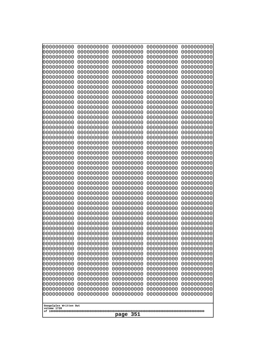| 10000000000              | 0000000000               | 0000000000               | 0000000000               | 0000000000               |
|--------------------------|--------------------------|--------------------------|--------------------------|--------------------------|
| 0000000000<br>0000000000 | 0000000000<br>0000000000 | 0000000000<br>0000000000 | 0000000000<br>0000000000 | 0000000000<br>0000000000 |
| 0000000000               | 0000000000               | 0000000000               | 0000000000               | 0000000000               |
| 0000000000               | 0000000000               | 0000000000               | 0000000000               | 0000000000               |
| 0000000000<br>0000000000 | 0000000000<br>0000000000 | 0000000000<br>0000000000 | 0000000000<br>0000000000 | 0000000000<br>0000000000 |
| 0000000000               | 0000000000               | 0000000000               | 0000000000               | 0000000000               |
| 0000000000               | 0000000000               | 0000000000               | 0000000000               | 0000000000               |
| 0000000000               | 0000000000               | 0000000000               | 0000000000               | 0000000000               |
| 0000000000<br>0000000000 | 0000000000<br>0000000000 | 0000000000<br>0000000000 | 0000000000<br>0000000000 | 0000000000<br>0000000000 |
| 0000000000               | 0000000000               | 0000000000               | 0000000000               | 0000000000               |
| 0000000000               | 0000000000               | 0000000000               | 0000000000               | 0000000000               |
| 0000000000<br>0000000000 | 0000000000<br>0000000000 | 0000000000<br>0000000000 | 0000000000<br>0000000000 | 0000000000<br>0000000000 |
| 0000000000               | 0000000000               | 0000000000               | 0000000000               | 0000000000               |
| 0000000000               | 0000000000               | 0000000000               | 0000000000               | 0000000000               |
| 0000000000<br>0000000000 | 0000000000<br>0000000000 | 0000000000<br>0000000000 | 0000000000               | 0000000000<br>0000000000 |
| 0000000000               | 0000000000               | 0000000000               | 0000000000<br>0000000000 | 0000000000               |
| 0000000000               | 0000000000               | 0000000000               | 0000000000               | 0000000000               |
| 0000000000               | 0000000000               | 0000000000               | 0000000000               | 0000000000               |
| 0000000000<br>0000000000 | 0000000000<br>0000000000 | 0000000000<br>0000000000 | 0000000000<br>0000000000 | 0000000000<br>0000000000 |
| 0000000000               | 0000000000               | 0000000000               | 0000000000               | 0000000000               |
| 0000000000               | 0000000000               | 0000000000               | 0000000000               | 0000000000               |
| 0000000000<br>0000000000 | 0000000000<br>0000000000 | 0000000000<br>0000000000 | 0000000000<br>0000000000 | 0000000000<br>0000000000 |
| 0000000000               | 0000000000               | 0000000000               | 0000000000               | 0000000000               |
| 0000000000               | 0000000000               | 0000000000               | 0000000000               | 0000000000               |
| 0000000000<br>0000000000 | 0000000000<br>0000000000 | 0000000000<br>0000000000 | 0000000000<br>0000000000 | 0000000000<br>0000000000 |
| 0000000000               | 0000000000               | 0000000000               | 0000000000               | 0000000000               |
| 0000000000               | 0000000000               | 0000000000               | 0000000000               | 0000000000               |
| 0000000000               | 0000000000               | 0000000000               | 0000000000               | 0000000000               |
| 0000000000<br>0000000000 | 0000000000<br>0000000000 | 0000000000<br>0000000000 | 0000000000<br>0000000000 | 0000000000<br>0000000000 |
| 0000000000               | 0000000000               | 0000000000               | 0000000000               | 0000000000               |
| 0000000000               | 0000000000               | 0000000000               | 0000000000               | 0000000000               |
| 0000000000<br>0000000000 | 0000000000<br>0000000000 | 0000000000<br>0000000000 | 0000000000<br>0000000000 | 0000000000<br>0000000000 |
| 0000000000               | 0000000000               | 0000000000               | 0000000000               | 0000000000               |
| 0000000000               | 0000000000               | 0000000000               | 0000000000               | 0000000000               |
| 0000000000<br>0000000000 | 0000000000<br>0000000000 | 0000000000<br>0000000000 | 0000000000<br>0000000000 | 0000000000<br>0000000000 |
| 0000000000               | 0000000000               | 0000000000               | 0000000000               | 0000000000               |
| 0000000000               | 0000000000               | 0000000000               | 0000000000               | 0000000000               |
| 0000000000               | 0000000000               | 0000000000               | 0000000000               | 0000000000               |
| 0000000000               | 0000000000               | 0000000000               | 0000000000               | 0000000000               |
| Googolplex Written Out   |                          |                          |                          |                          |
| volume 1720              |                          | 351<br>page              |                          |                          |
|                          |                          |                          |                          |                          |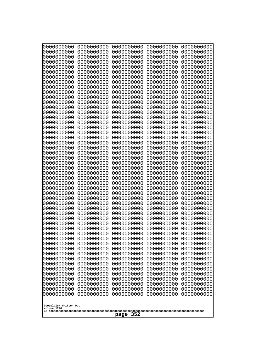| 10000000000              | 0000000000               | 0000000000               | 0000000000               | 0000000000               |  |
|--------------------------|--------------------------|--------------------------|--------------------------|--------------------------|--|
| 0000000000<br>0000000000 | 0000000000<br>0000000000 | 0000000000<br>0000000000 | 0000000000<br>0000000000 | 0000000000<br>0000000000 |  |
| 0000000000               | 0000000000               | 0000000000               | 0000000000               | 0000000000               |  |
| 0000000000               | 0000000000               | 0000000000               | 0000000000               | 0000000000               |  |
| 0000000000               | 0000000000               | 0000000000               | 0000000000               | 0000000000               |  |
| 0000000000<br>0000000000 | 0000000000<br>0000000000 | 0000000000<br>0000000000 | 0000000000<br>0000000000 | 0000000000<br>0000000000 |  |
| 0000000000               | 0000000000               | 0000000000               | 0000000000               | 0000000000               |  |
| 0000000000               | 0000000000               | 0000000000               | 0000000000               | 0000000000               |  |
| 0000000000               | 0000000000               | 0000000000               | 0000000000               | 0000000000               |  |
| 0000000000<br>0000000000 | 0000000000<br>0000000000 | 0000000000<br>0000000000 | 0000000000<br>0000000000 | 0000000000<br>0000000000 |  |
| 0000000000               | 0000000000               | 0000000000               | 0000000000               | 0000000000               |  |
| 0000000000               | 0000000000               | 0000000000               | 0000000000               | 0000000000               |  |
| 0000000000               | 0000000000               | 0000000000               | 0000000000               | 0000000000               |  |
| 0000000000<br>0000000000 | 0000000000<br>0000000000 | 0000000000<br>0000000000 | 0000000000<br>0000000000 | 0000000000<br>0000000000 |  |
| 0000000000               | 0000000000               | 0000000000               | 0000000000               | 0000000000               |  |
| 0000000000               | 0000000000               | 0000000000               | 0000000000               | 0000000000               |  |
| 0000000000               | 0000000000<br>0000000000 | 0000000000               | 0000000000               | 0000000000               |  |
| 0000000000<br>0000000000 | 0000000000               | 0000000000<br>0000000000 | 0000000000<br>0000000000 | 0000000000<br>0000000000 |  |
| 0000000000               | 0000000000               | 0000000000               | 0000000000               | 0000000000               |  |
| 0000000000               | 0000000000               | 0000000000               | 0000000000               | 0000000000               |  |
| 0000000000<br>0000000000 | 0000000000<br>0000000000 | 0000000000<br>0000000000 | 0000000000<br>0000000000 | 0000000000<br>0000000000 |  |
| 0000000000               | 0000000000               | 0000000000               | 0000000000               | 0000000000               |  |
| 0000000000               | 0000000000               | 0000000000               | 0000000000               | 0000000000               |  |
| 0000000000               | 0000000000               | 0000000000               | 0000000000               | 0000000000               |  |
| 0000000000<br>0000000000 | 0000000000<br>0000000000 | 0000000000<br>0000000000 | 0000000000<br>0000000000 | 0000000000<br>0000000000 |  |
| 0000000000               | 0000000000               | 0000000000               | 0000000000               | 0000000000               |  |
| 0000000000               | 0000000000               | 0000000000               | 0000000000               | 0000000000               |  |
| 0000000000<br>0000000000 | 0000000000<br>0000000000 | 0000000000               | 0000000000               | 0000000000               |  |
| 0000000000               | 0000000000               | 0000000000<br>0000000000 | 0000000000<br>0000000000 | 0000000000<br>0000000000 |  |
| 0000000000               | 0000000000               | 0000000000               | 0000000000               | 0000000000               |  |
| 0000000000               | 0000000000               | 0000000000               | 0000000000               | 0000000000               |  |
| 0000000000<br>0000000000 | 0000000000<br>0000000000 | 0000000000<br>0000000000 | 0000000000<br>0000000000 | 0000000000<br>0000000000 |  |
| 0000000000               | 0000000000               | 0000000000               | 0000000000               | 0000000000               |  |
| 0000000000               | 0000000000               | 0000000000               | 0000000000               | 0000000000               |  |
| 0000000000               | 0000000000               | 0000000000               | 0000000000               | 0000000000               |  |
| 0000000000<br>0000000000 | 0000000000<br>0000000000 | 0000000000<br>0000000000 | 0000000000<br>0000000000 | 0000000000<br>0000000000 |  |
| 0000000000               | 0000000000               | 0000000000               | 0000000000               | 0000000000               |  |
| 0000000000               | 0000000000               | 0000000000               | 0000000000               | 0000000000               |  |
| 0000000000               | 0000000000               | 0000000000               | 0000000000               | 0000000000               |  |
| 0000000000               | 0000000000               | 0000000000               | 0000000000               | 0000000000               |  |
| Googolplex Written Out   |                          |                          |                          |                          |  |
| volume 1720              |                          |                          |                          |                          |  |
|                          | 352<br>page              |                          |                          |                          |  |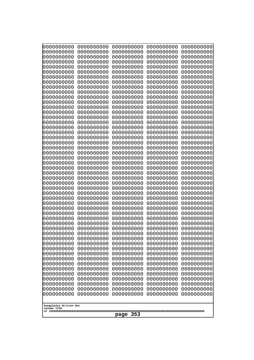| 10000000000              | 0000000000               | 0000000000               | 0000000000               | 0000000000               |
|--------------------------|--------------------------|--------------------------|--------------------------|--------------------------|
| 0000000000<br>0000000000 | 0000000000<br>0000000000 | 0000000000<br>0000000000 | 0000000000<br>0000000000 | 0000000000<br>0000000000 |
| 0000000000               | 0000000000               | 0000000000               | 0000000000               | 0000000000               |
| 0000000000               | 0000000000               | 0000000000               | 0000000000               | 0000000000               |
| 0000000000               | 0000000000               | 0000000000               | 0000000000               | 0000000000               |
| 0000000000<br>0000000000 | 0000000000<br>0000000000 | 0000000000<br>0000000000 | 0000000000<br>0000000000 | 0000000000<br>0000000000 |
| 0000000000               | 0000000000               | 0000000000               | 0000000000               | 0000000000               |
| 0000000000               | 0000000000               | 0000000000               | 0000000000               | 0000000000               |
| 0000000000               | 0000000000               | 0000000000               | 0000000000               | 0000000000               |
| 0000000000<br>0000000000 | 0000000000<br>0000000000 | 0000000000<br>0000000000 | 0000000000<br>0000000000 | 0000000000<br>0000000000 |
| 0000000000               | 0000000000               | 0000000000               | 0000000000               | 0000000000               |
| 0000000000               | 0000000000               | 0000000000               | 0000000000               | 0000000000               |
| 0000000000               | 0000000000               | 0000000000               | 0000000000               | 0000000000               |
| 0000000000<br>0000000000 | 0000000000<br>0000000000 | 0000000000<br>0000000000 | 0000000000<br>0000000000 | 0000000000<br>0000000000 |
| 0000000000               | 0000000000               | 0000000000               | 0000000000               | 0000000000               |
| 0000000000               | 0000000000               | 0000000000               | 0000000000               | 0000000000               |
| 0000000000               | 0000000000               | 0000000000               | 0000000000               | 0000000000               |
| 0000000000<br>0000000000 | 0000000000<br>0000000000 | 0000000000<br>0000000000 | 0000000000<br>0000000000 | 0000000000<br>0000000000 |
| 0000000000               | 0000000000               | 0000000000               | 0000000000               | 0000000000               |
| 0000000000               | 0000000000               | 0000000000               | 0000000000               | 0000000000               |
| 0000000000               | 0000000000               | 0000000000               | 0000000000               | 0000000000               |
| 0000000000<br>0000000000 | 0000000000<br>0000000000 | 0000000000<br>0000000000 | 0000000000<br>0000000000 | 0000000000<br>0000000000 |
| 0000000000               | 0000000000               | 0000000000               | 0000000000               | 0000000000               |
| 0000000000               | 0000000000               | 0000000000               | 0000000000               | 0000000000               |
| 0000000000<br>0000000000 | 0000000000<br>0000000000 | 0000000000<br>0000000000 | 0000000000<br>0000000000 | 0000000000<br>0000000000 |
| 0000000000               | 0000000000               | 0000000000               | 0000000000               | 0000000000               |
| 0000000000               | 0000000000               | 0000000000               | 0000000000               | 0000000000               |
| 0000000000               | 0000000000               | 0000000000               | 0000000000               | 0000000000               |
| 0000000000<br>0000000000 | 0000000000<br>0000000000 | 0000000000<br>0000000000 | 0000000000<br>0000000000 | 0000000000<br>0000000000 |
| 0000000000               | 0000000000               | 0000000000               | 0000000000               | 0000000000               |
| 0000000000               | 0000000000               | 0000000000               | 0000000000               | 0000000000               |
| 0000000000               | 0000000000               | 0000000000               | 0000000000               | 0000000000               |
| 0000000000<br>0000000000 | 0000000000<br>0000000000 | 0000000000<br>0000000000 | 0000000000<br>0000000000 | 0000000000<br>0000000000 |
| 0000000000               | 0000000000               | 0000000000               | 0000000000               | 0000000000               |
| 0000000000               | 0000000000               | 0000000000               | 0000000000               | 0000000000               |
| 0000000000               | 0000000000               | 0000000000               | 0000000000               | 0000000000               |
| 0000000000<br>0000000000 | 0000000000<br>0000000000 | 0000000000<br>0000000000 | 0000000000<br>0000000000 | 0000000000<br>0000000000 |
| 0000000000               | 0000000000               | 0000000000               | 0000000000               | 0000000000               |
| 0000000000               | 0000000000               | 0000000000               | 0000000000               | 0000000000               |
| 0000000000               | 0000000000               | 0000000000               | 0000000000               | 0000000000               |
| Googolplex Written Out   |                          |                          |                          |                          |
| volume 1720              |                          |                          |                          |                          |
| 353<br>page              |                          |                          |                          |                          |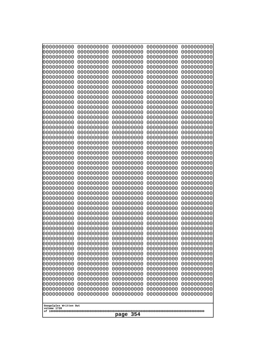| 0000000000<br>0000000000<br>0000000000<br>0000000000<br>0000000000<br>0000000000<br>0000000000<br>0000000000<br>0000000000<br>0000000000<br>0000000000<br>0000000000<br>0000000000<br>0000000000<br>0000000000<br>0000000000<br>0000000000<br>0000000000<br>0000000000<br>0000000000<br>0000000000<br>0000000000<br>0000000000<br>0000000000<br>0000000000                           | 0000000000<br>0000000000<br>0000000000<br>0000000000<br>0000000000<br>0000000000<br>0000000000<br>0000000000<br>0000000000<br>0000000000<br>0000000000<br>0000000000<br>0000000000<br>0000000000<br>0000000000<br>0000000000<br>0000000000<br>0000000000<br>0000000000<br>0000000000<br>0000000000<br>0000000000<br>0000000000<br>0000000000<br>0000000000 | 0000000000<br>0000000000<br>0000000000<br>0000000000<br>0000000000<br>0000000000<br>0000000000<br>0000000000<br>0000000000<br>0000000000<br>0000000000<br>0000000000<br>0000000000<br>0000000000<br>0000000000<br>0000000000<br>0000000000<br>0000000000<br>0000000000<br>0000000000<br>0000000000<br>0000000000<br>0000000000<br>0000000000<br>0000000000 | 0000000000<br>0000000000<br>0000000000<br>0000000000<br>0000000000<br>0000000000<br>0000000000<br>0000000000<br>0000000000<br>0000000000<br>0000000000<br>0000000000<br>0000000000<br>0000000000<br>0000000000<br>0000000000<br>0000000000<br>0000000000<br>0000000000<br>0000000000<br>0000000000<br>0000000000<br>0000000000<br>0000000000<br>0000000000 | 0000000000<br>0000000000<br>0000000000<br>0000000000<br>0000000000<br>0000000000<br>0000000000<br>0000000000<br>0000000000<br>0000000000<br>0000000000<br>0000000000<br>0000000000<br>0000000000<br>0000000000<br>0000000000<br>0000000000<br>0000000000<br>0000000000<br>0000000000<br>0000000000<br>0000000000<br>0000000000<br>0000000000<br>0000000000 |
|--------------------------------------------------------------------------------------------------------------------------------------------------------------------------------------------------------------------------------------------------------------------------------------------------------------------------------------------------------------------------------------|------------------------------------------------------------------------------------------------------------------------------------------------------------------------------------------------------------------------------------------------------------------------------------------------------------------------------------------------------------|------------------------------------------------------------------------------------------------------------------------------------------------------------------------------------------------------------------------------------------------------------------------------------------------------------------------------------------------------------|------------------------------------------------------------------------------------------------------------------------------------------------------------------------------------------------------------------------------------------------------------------------------------------------------------------------------------------------------------|------------------------------------------------------------------------------------------------------------------------------------------------------------------------------------------------------------------------------------------------------------------------------------------------------------------------------------------------------------|
| 0000000000<br>0000000000<br>0000000000<br>0000000000<br>0000000000<br>0000000000<br>0000000000<br>0000000000<br>0000000000<br>0000000000<br>0000000000<br>0000000000<br>0000000000<br>0000000000<br>0000000000<br>0000000000<br>0000000000<br>0000000000<br>0000000000<br>0000000000<br>0000000000<br>0000000000<br>0000000000<br>0000000000<br>0000000000<br>Googolplex Written Out | 0000000000<br>0000000000<br>0000000000<br>0000000000<br>0000000000<br>0000000000<br>0000000000<br>0000000000<br>0000000000<br>0000000000<br>0000000000<br>0000000000<br>0000000000<br>0000000000<br>0000000000<br>0000000000<br>0000000000<br>0000000000<br>0000000000<br>0000000000<br>0000000000<br>0000000000<br>0000000000<br>0000000000<br>0000000000 | 0000000000<br>0000000000<br>0000000000<br>0000000000<br>0000000000<br>0000000000<br>0000000000<br>0000000000<br>0000000000<br>0000000000<br>0000000000<br>0000000000<br>0000000000<br>0000000000<br>0000000000<br>0000000000<br>0000000000<br>0000000000<br>0000000000<br>0000000000<br>0000000000<br>0000000000<br>0000000000<br>0000000000<br>0000000000 | 0000000000<br>0000000000<br>0000000000<br>0000000000<br>0000000000<br>0000000000<br>0000000000<br>0000000000<br>0000000000<br>0000000000<br>0000000000<br>0000000000<br>0000000000<br>0000000000<br>0000000000<br>0000000000<br>0000000000<br>0000000000<br>0000000000<br>0000000000<br>0000000000<br>0000000000<br>0000000000<br>0000000000<br>0000000000 | 0000000000<br>0000000000<br>0000000000<br>0000000000<br>0000000000<br>0000000000<br>0000000000<br>0000000000<br>0000000000<br>0000000000<br>0000000000<br>0000000000<br>0000000000<br>0000000000<br>0000000000<br>0000000000<br>0000000000<br>0000000000<br>0000000000<br>0000000000<br>0000000000<br>0000000000<br>0000000000<br>0000000000<br>0000000000 |
| volume 1720<br>page                                                                                                                                                                                                                                                                                                                                                                  |                                                                                                                                                                                                                                                                                                                                                            |                                                                                                                                                                                                                                                                                                                                                            |                                                                                                                                                                                                                                                                                                                                                            |                                                                                                                                                                                                                                                                                                                                                            |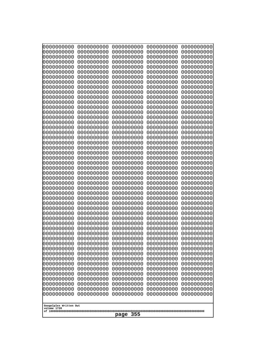| 0000000000                                           | 0000000000 | 0000000000 | 0000000000 | 0000000000 |
|------------------------------------------------------|------------|------------|------------|------------|
| 0000000000                                           | 0000000000 | 0000000000 | 0000000000 | 0000000000 |
| 0000000000                                           | 0000000000 | 0000000000 | 0000000000 | 0000000000 |
| 0000000000                                           | 0000000000 | 0000000000 | 0000000000 | 0000000000 |
| 0000000000                                           | 0000000000 | 0000000000 | 0000000000 | 0000000000 |
| 0000000000                                           | 0000000000 | 0000000000 | 0000000000 | 0000000000 |
| 0000000000                                           | 0000000000 | 0000000000 | 0000000000 | 0000000000 |
| 0000000000                                           | 0000000000 | 0000000000 | 0000000000 | 0000000000 |
| 0000000000                                           | 0000000000 | 0000000000 | 0000000000 | 0000000000 |
| 0000000000                                           | 0000000000 | 0000000000 | 0000000000 | 0000000000 |
| 0000000000                                           | 0000000000 | 0000000000 | 0000000000 | 0000000000 |
| 0000000000                                           | 0000000000 | 0000000000 | 0000000000 | 0000000000 |
| 0000000000                                           | 0000000000 | 0000000000 | 0000000000 | 0000000000 |
| 0000000000                                           | 0000000000 | 0000000000 | 0000000000 | 0000000000 |
| 0000000000                                           | 0000000000 | 0000000000 | 0000000000 | 0000000000 |
| 0000000000                                           | 0000000000 | 0000000000 | 0000000000 | 0000000000 |
| 0000000000                                           | 0000000000 | 0000000000 | 0000000000 | 0000000000 |
| 0000000000                                           | 0000000000 | 0000000000 | 0000000000 | 0000000000 |
| 0000000000                                           | 0000000000 | 0000000000 | 0000000000 | 0000000000 |
| 0000000000                                           | 0000000000 | 0000000000 | 0000000000 | 0000000000 |
| 0000000000                                           | 0000000000 | 0000000000 | 0000000000 | 0000000000 |
| 0000000000                                           | 0000000000 | 0000000000 | 0000000000 | 0000000000 |
| 0000000000                                           | 0000000000 | 0000000000 | 0000000000 | 0000000000 |
| 0000000000                                           | 0000000000 | 0000000000 | 0000000000 | 0000000000 |
| 0000000000                                           | 0000000000 | 0000000000 | 0000000000 | 0000000000 |
| 0000000000                                           | 0000000000 | 0000000000 | 0000000000 | 0000000000 |
| 0000000000                                           | 0000000000 | 0000000000 | 0000000000 | 0000000000 |
| 0000000000                                           | 0000000000 | 0000000000 | 0000000000 | 0000000000 |
| 0000000000                                           | 0000000000 | 0000000000 | 0000000000 | 0000000000 |
| 0000000000                                           | 0000000000 | 0000000000 | 0000000000 | 0000000000 |
| 0000000000                                           | 0000000000 | 0000000000 | 0000000000 | 0000000000 |
| 0000000000                                           | 0000000000 | 0000000000 | 0000000000 | 0000000000 |
| 0000000000                                           | 0000000000 | 0000000000 | 0000000000 | 0000000000 |
| 0000000000                                           | 0000000000 | 0000000000 | 0000000000 | 0000000000 |
| 0000000000                                           | 0000000000 | 0000000000 | 0000000000 | 0000000000 |
| 0000000000                                           | 0000000000 | 0000000000 | 0000000000 | 0000000000 |
| 0000000000                                           | 0000000000 | 0000000000 | 0000000000 | 0000000000 |
| 0000000000                                           | 0000000000 | 0000000000 | 0000000000 | 0000000000 |
| 0000000000                                           | 0000000000 | 0000000000 | 0000000000 | 0000000000 |
| 0000000000                                           | 0000000000 | 0000000000 | 0000000000 | 0000000000 |
| 0000000000                                           | 0000000000 | 0000000000 | 0000000000 | 0000000000 |
| 0000000000                                           | 0000000000 | 0000000000 | 0000000000 | 0000000000 |
| 0000000000                                           | 0000000000 | 0000000000 | 0000000000 | 0000000000 |
| 0000000000                                           | 0000000000 | 0000000000 | 0000000000 | 0000000000 |
| 0000000000                                           | 0000000000 | 0000000000 | 0000000000 | 0000000000 |
| 0000000000                                           | 0000000000 | 0000000000 | 0000000000 | 0000000000 |
| 0000000000                                           | 0000000000 | 0000000000 | 0000000000 | 0000000000 |
| 0000000000                                           | 0000000000 | 0000000000 | 0000000000 | 0000000000 |
| 0000000000                                           | 0000000000 | 0000000000 | 0000000000 | 0000000000 |
| 0000000000                                           | 0000000000 | 0000000000 | 0000000000 | 0000000000 |
| Googolplex Written Out<br>volume 1720<br>355<br>page |            |            |            |            |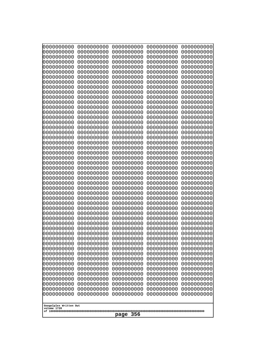| Googolplex Written Out<br>volume 1720 | 0000000000<br>0000000000<br>0000000000<br>0000000000<br>0000000000<br>0000000000<br>0000000000<br>0000000000<br>0000000000<br>0000000000<br>0000000000<br>0000000000<br>0000000000<br>0000000000<br>0000000000<br>0000000000<br>0000000000<br>0000000000<br>0000000000<br>0000000000<br>0000000000<br>0000000000<br>0000000000<br>0000000000<br>0000000000<br>0000000000<br>0000000000<br>0000000000<br>0000000000<br>0000000000<br>0000000000<br>0000000000<br>0000000000<br>0000000000<br>0000000000<br>0000000000<br>0000000000<br>10000000000<br>0000000000<br>0000000000<br>0000000000<br>0000000000<br>0000000000<br>0000000000<br>0000000000<br>0000000000<br>0000000000<br>0000000000<br>0000000000<br>0000000000 | 0000000000<br>0000000000<br>0000000000<br>0000000000<br>0000000000<br>0000000000<br>0000000000<br>0000000000<br>0000000000<br>0000000000<br>0000000000<br>0000000000<br>0000000000<br>0000000000<br>0000000000<br>0000000000<br>0000000000<br>0000000000<br>0000000000<br>0000000000<br>0000000000<br>0000000000<br>0000000000<br>0000000000<br>0000000000<br>0000000000<br>0000000000<br>0000000000<br>0000000000<br>0000000000<br>0000000000<br>0000000000<br>0000000000<br>0000000000<br>0000000000<br>0000000000<br>0000000000<br>0000000000<br>0000000000<br>0000000000<br>0000000000<br>0000000000<br>0000000000<br>0000000000<br>0000000000<br>0000000000<br>0000000000<br>0000000000<br>0000000000<br>0000000000 | 0000000000<br>0000000000<br>0000000000<br>0000000000<br>0000000000<br>0000000000<br>0000000000<br>0000000000<br>0000000000<br>0000000000<br>0000000000<br>0000000000<br>0000000000<br>0000000000<br>0000000000<br>0000000000<br>0000000000<br>0000000000<br>0000000000<br>0000000000<br>0000000000<br>0000000000<br>0000000000<br>0000000000<br>0000000000<br>0000000000<br>0000000000<br>0000000000<br>0000000000<br>0000000000<br>0000000000<br>0000000000<br>0000000000<br>0000000000<br>0000000000<br>0000000000<br>0000000000<br>0000000000<br>0000000000<br>0000000000<br>0000000000<br>0000000000<br>0000000000<br>0000000000<br>0000000000<br>0000000000<br>0000000000<br>0000000000<br>0000000000<br>0000000000 | 0000000000<br>0000000000<br>0000000000<br>0000000000<br>0000000000<br>0000000000<br>0000000000<br>0000000000<br>0000000000<br>0000000000<br>0000000000<br>0000000000<br>0000000000<br>0000000000<br>0000000000<br>0000000000<br>0000000000<br>0000000000<br>0000000000<br>0000000000<br>0000000000<br>0000000000<br>0000000000<br>0000000000<br>0000000000<br>0000000000<br>0000000000<br>0000000000<br>0000000000<br>0000000000<br>0000000000<br>0000000000<br>0000000000<br>0000000000<br>0000000000<br>0000000000<br>0000000000<br>0000000000<br>0000000000<br>0000000000<br>0000000000<br>0000000000<br>0000000000<br>0000000000<br>0000000000<br>0000000000<br>0000000000<br>0000000000<br>0000000000<br>0000000000 | 0000000000<br>0000000000<br>0000000000<br>0000000000<br>0000000000<br>0000000000<br>0000000000<br>0000000000<br>0000000000<br>0000000000<br>0000000000<br>0000000000<br>0000000000<br>0000000000<br>0000000000<br>0000000000<br>0000000000<br>0000000000<br>0000000000<br>0000000000<br>0000000000<br>0000000000<br>0000000000<br>0000000000<br>0000000000<br>0000000000<br>0000000000<br>0000000000<br>0000000000<br>0000000000<br>0000000000<br>0000000000<br>0000000000<br>0000000000<br>0000000000<br>0000000000<br>0000000000<br>0000000000<br>0000000000<br>0000000000<br>0000000000<br>0000000000<br>0000000000<br>0000000000<br>0000000000<br>0000000000<br>0000000000<br>0000000000<br>0000000000<br>0000000000 |
|---------------------------------------|---------------------------------------------------------------------------------------------------------------------------------------------------------------------------------------------------------------------------------------------------------------------------------------------------------------------------------------------------------------------------------------------------------------------------------------------------------------------------------------------------------------------------------------------------------------------------------------------------------------------------------------------------------------------------------------------------------------------------|--------------------------------------------------------------------------------------------------------------------------------------------------------------------------------------------------------------------------------------------------------------------------------------------------------------------------------------------------------------------------------------------------------------------------------------------------------------------------------------------------------------------------------------------------------------------------------------------------------------------------------------------------------------------------------------------------------------------------|--------------------------------------------------------------------------------------------------------------------------------------------------------------------------------------------------------------------------------------------------------------------------------------------------------------------------------------------------------------------------------------------------------------------------------------------------------------------------------------------------------------------------------------------------------------------------------------------------------------------------------------------------------------------------------------------------------------------------|--------------------------------------------------------------------------------------------------------------------------------------------------------------------------------------------------------------------------------------------------------------------------------------------------------------------------------------------------------------------------------------------------------------------------------------------------------------------------------------------------------------------------------------------------------------------------------------------------------------------------------------------------------------------------------------------------------------------------|--------------------------------------------------------------------------------------------------------------------------------------------------------------------------------------------------------------------------------------------------------------------------------------------------------------------------------------------------------------------------------------------------------------------------------------------------------------------------------------------------------------------------------------------------------------------------------------------------------------------------------------------------------------------------------------------------------------------------|
|                                       | 356<br>page                                                                                                                                                                                                                                                                                                                                                                                                                                                                                                                                                                                                                                                                                                               |                                                                                                                                                                                                                                                                                                                                                                                                                                                                                                                                                                                                                                                                                                                          |                                                                                                                                                                                                                                                                                                                                                                                                                                                                                                                                                                                                                                                                                                                          |                                                                                                                                                                                                                                                                                                                                                                                                                                                                                                                                                                                                                                                                                                                          |                                                                                                                                                                                                                                                                                                                                                                                                                                                                                                                                                                                                                                                                                                                          |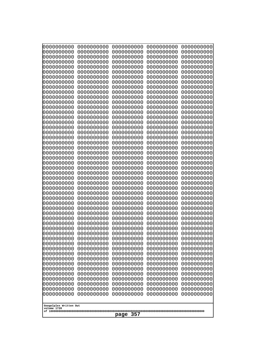| 000000000<br>0000000000  | 0000000000<br>0000000000 | 0000000000<br>0000000000 | 0000000000<br>0000000000 | 0000000000<br>0000000000 |  |
|--------------------------|--------------------------|--------------------------|--------------------------|--------------------------|--|
| 0000000000<br>0000000000 | 0000000000<br>0000000000 | 0000000000<br>0000000000 | 0000000000<br>0000000000 | 0000000000<br>0000000000 |  |
| 0000000000               | 0000000000               | 0000000000               | 0000000000               | 0000000000               |  |
| 0000000000<br>0000000000 | 0000000000<br>0000000000 | 0000000000<br>0000000000 | 0000000000<br>0000000000 | 0000000000<br>0000000000 |  |
| 0000000000               | 0000000000               | 0000000000               | 0000000000               | 0000000000               |  |
| 0000000000<br>0000000000 | 0000000000<br>0000000000 | 0000000000<br>0000000000 | 0000000000<br>0000000000 | 0000000000<br>0000000000 |  |
| 0000000000               | 0000000000               | 0000000000               | 0000000000               | 0000000000               |  |
| 0000000000<br>0000000000 | 0000000000<br>0000000000 | 0000000000<br>0000000000 | 0000000000<br>0000000000 | 0000000000<br>0000000000 |  |
| 0000000000               | 0000000000               | 0000000000               | 0000000000               | 0000000000               |  |
| 0000000000<br>0000000000 | 0000000000<br>0000000000 | 0000000000<br>0000000000 | 0000000000<br>0000000000 | 0000000000<br>0000000000 |  |
| 0000000000               | 0000000000               | 0000000000               | 0000000000               | 0000000000               |  |
| 0000000000<br>0000000000 | 0000000000<br>0000000000 | 0000000000<br>0000000000 | 0000000000<br>0000000000 | 0000000000<br>0000000000 |  |
| 0000000000               | 0000000000               | 0000000000               | 0000000000               | 0000000000               |  |
| 0000000000<br>0000000000 | 0000000000<br>0000000000 | 0000000000<br>0000000000 | 0000000000<br>0000000000 | 0000000000<br>0000000000 |  |
| 0000000000               | 0000000000               | 0000000000               | 0000000000               | 0000000000               |  |
| 0000000000<br>0000000000 | 0000000000<br>0000000000 | 0000000000<br>0000000000 | 0000000000<br>0000000000 | 0000000000<br>0000000000 |  |
| 0000000000               | 0000000000               | 0000000000               | 0000000000               | 0000000000               |  |
| 0000000000<br>0000000000 | 0000000000<br>0000000000 | 0000000000<br>0000000000 | 0000000000<br>0000000000 | 0000000000<br>0000000000 |  |
| 0000000000               | 0000000000               | 0000000000               | 0000000000               | 0000000000               |  |
| 0000000000<br>0000000000 | 0000000000<br>0000000000 | 0000000000<br>0000000000 | 0000000000<br>0000000000 | 0000000000<br>0000000000 |  |
| 0000000000               | 0000000000               | 0000000000               | 0000000000               | 0000000000               |  |
| 0000000000<br>0000000000 | 0000000000<br>0000000000 | 0000000000<br>0000000000 | 0000000000<br>0000000000 | 0000000000<br>0000000000 |  |
| 0000000000               | 0000000000               | 0000000000               | 0000000000               | 0000000000               |  |
| 0000000000<br>0000000000 | 0000000000<br>0000000000 | 0000000000<br>0000000000 | 0000000000<br>0000000000 | 0000000000<br>0000000000 |  |
| 0000000000               | 0000000000               | 0000000000               | 0000000000               | 0000000000               |  |
| 0000000000<br>0000000000 | 0000000000<br>0000000000 | 0000000000<br>0000000000 | 0000000000<br>0000000000 | 0000000000<br>0000000000 |  |
| 0000000000               | 0000000000               | 0000000000               | 0000000000               | 0000000000               |  |
| 0000000000<br>0000000000 | 0000000000<br>0000000000 | 0000000000<br>0000000000 | 0000000000<br>0000000000 | 0000000000<br>0000000000 |  |
| 0000000000               | 0000000000               | 0000000000               | 0000000000               | 0000000000               |  |
| 0000000000<br>0000000000 | 0000000000<br>0000000000 | 0000000000<br>0000000000 | 0000000000<br>0000000000 | 0000000000<br>0000000000 |  |
| 0000000000               | 0000000000               | 0000000000               | 0000000000               | 0000000000               |  |
| 0000000000<br>0000000000 | 0000000000<br>0000000000 | 0000000000<br>0000000000 | 0000000000<br>0000000000 | 0000000000<br>0000000000 |  |
| 0000000000               | 0000000000               | 0000000000               | 0000000000               | 0000000000               |  |
| Googolplex Written Out   |                          |                          |                          |                          |  |
| volume 1720              |                          | 357<br>page              |                          |                          |  |
|                          |                          |                          |                          |                          |  |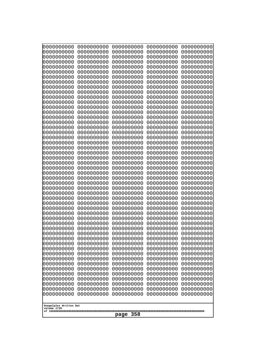| 0000000000                                           | 0000000000 | 0000000000 | 0000000000 | 0000000000 |
|------------------------------------------------------|------------|------------|------------|------------|
| 0000000000                                           | 0000000000 | 0000000000 | 0000000000 | 0000000000 |
| 0000000000                                           | 0000000000 | 0000000000 | 0000000000 | 0000000000 |
| 0000000000                                           | 0000000000 | 0000000000 | 0000000000 | 0000000000 |
| 0000000000                                           | 0000000000 | 0000000000 | 0000000000 | 0000000000 |
| 0000000000                                           | 0000000000 | 0000000000 | 0000000000 | 0000000000 |
| 0000000000                                           | 0000000000 | 0000000000 | 0000000000 | 0000000000 |
| 0000000000                                           | 0000000000 | 0000000000 | 0000000000 | 0000000000 |
| 0000000000                                           | 0000000000 | 0000000000 | 0000000000 | 0000000000 |
| 0000000000                                           | 0000000000 | 0000000000 | 0000000000 | 0000000000 |
| 0000000000                                           | 0000000000 | 0000000000 | 0000000000 | 0000000000 |
| 0000000000                                           | 0000000000 | 0000000000 | 0000000000 | 0000000000 |
| 0000000000                                           | 0000000000 | 0000000000 | 0000000000 | 0000000000 |
| 0000000000                                           | 0000000000 | 0000000000 | 0000000000 | 0000000000 |
| 0000000000                                           | 0000000000 | 0000000000 | 0000000000 | 0000000000 |
| 0000000000                                           | 0000000000 | 0000000000 | 0000000000 | 0000000000 |
| 0000000000                                           | 0000000000 | 0000000000 | 0000000000 | 0000000000 |
| 0000000000                                           | 0000000000 | 0000000000 | 0000000000 | 0000000000 |
| 0000000000                                           | 0000000000 | 0000000000 | 0000000000 | 0000000000 |
| 0000000000                                           | 0000000000 | 0000000000 | 0000000000 | 0000000000 |
| 0000000000                                           | 0000000000 | 0000000000 | 0000000000 | 0000000000 |
| 0000000000                                           | 0000000000 | 0000000000 | 0000000000 | 0000000000 |
| 0000000000                                           | 0000000000 | 0000000000 | 0000000000 | 0000000000 |
| 0000000000                                           | 0000000000 | 0000000000 | 0000000000 | 0000000000 |
| 0000000000                                           | 0000000000 | 0000000000 | 0000000000 | 0000000000 |
|                                                      |            |            |            |            |
|                                                      |            |            |            |            |
| 0000000000                                           | 0000000000 | 0000000000 | 0000000000 | 0000000000 |
| 0000000000                                           | 0000000000 | 0000000000 | 0000000000 | 0000000000 |
| 0000000000                                           | 0000000000 | 0000000000 | 0000000000 | 0000000000 |
| 0000000000                                           | 0000000000 | 0000000000 | 0000000000 | 0000000000 |
| 0000000000                                           | 0000000000 | 0000000000 | 0000000000 | 0000000000 |
| 0000000000                                           | 0000000000 | 0000000000 | 0000000000 | 0000000000 |
| 0000000000                                           | 0000000000 | 0000000000 | 0000000000 | 0000000000 |
| 0000000000                                           | 0000000000 | 0000000000 | 0000000000 | 0000000000 |
| 0000000000                                           | 0000000000 | 0000000000 | 0000000000 | 0000000000 |
| 0000000000                                           | 0000000000 | 0000000000 | 0000000000 | 0000000000 |
| 0000000000                                           | 0000000000 | 0000000000 | 0000000000 | 0000000000 |
| 0000000000                                           | 0000000000 | 0000000000 | 0000000000 | 0000000000 |
| 0000000000                                           | 0000000000 | 0000000000 | 0000000000 | 0000000000 |
| 0000000000                                           | 0000000000 | 0000000000 | 0000000000 | 0000000000 |
| 0000000000                                           | 0000000000 | 0000000000 | 0000000000 | 0000000000 |
| 0000000000                                           | 0000000000 | 0000000000 | 0000000000 | 0000000000 |
| 0000000000                                           | 0000000000 | 0000000000 | 0000000000 | 0000000000 |
| 0000000000                                           | 0000000000 | 0000000000 | 0000000000 | 0000000000 |
| 0000000000                                           | 0000000000 | 0000000000 | 0000000000 | 0000000000 |
| 0000000000                                           | 0000000000 | 0000000000 | 0000000000 | 0000000000 |
| 0000000000                                           | 0000000000 | 0000000000 | 0000000000 | 0000000000 |
| 0000000000                                           | 0000000000 | 0000000000 | 0000000000 | 0000000000 |
| 0000000000                                           | 0000000000 | 0000000000 | 0000000000 | 0000000000 |
| 0000000000                                           | 0000000000 | 0000000000 | 0000000000 | 0000000000 |
| 0000000000                                           | 0000000000 | 0000000000 | 0000000000 | 0000000000 |
| Googolplex Written Out<br>volume 1720<br>358<br>page |            |            |            |            |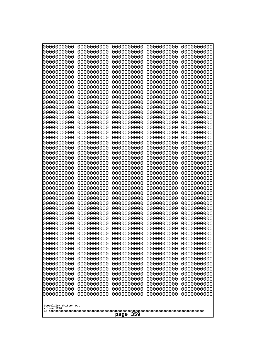| 0000000000<br>0000000000<br>0000000000<br>0000000000<br>0000000000<br>0000000000<br>0000000000<br>0000000000<br>0000000000<br>0000000000<br>0000000000<br>0000000000<br>0000000000<br>0000000000<br>0000000000<br>0000000000<br>0000000000<br>0000000000<br>0000000000<br>0000000000<br>0000000000<br>0000000000<br>0000000000<br>0000000000<br>0000000000 | 0000000000<br>0000000000<br>0000000000<br>0000000000<br>0000000000<br>0000000000<br>0000000000<br>0000000000<br>0000000000<br>0000000000<br>0000000000<br>0000000000<br>0000000000<br>0000000000<br>0000000000<br>0000000000<br>0000000000<br>0000000000<br>0000000000<br>0000000000<br>0000000000<br>0000000000<br>0000000000<br>0000000000<br>0000000000 | 0000000000<br>0000000000<br>0000000000<br>0000000000<br>0000000000<br>0000000000<br>0000000000<br>0000000000<br>0000000000<br>0000000000<br>0000000000<br>0000000000<br>0000000000<br>0000000000<br>0000000000<br>0000000000<br>0000000000<br>0000000000<br>0000000000<br>0000000000<br>0000000000<br>0000000000<br>0000000000<br>0000000000<br>0000000000 | 0000000000<br>0000000000<br>0000000000<br>0000000000<br>0000000000<br>0000000000<br>0000000000<br>0000000000<br>0000000000<br>0000000000<br>0000000000<br>0000000000<br>0000000000<br>0000000000<br>0000000000<br>0000000000<br>0000000000<br>0000000000<br>0000000000<br>0000000000<br>0000000000<br>0000000000<br>0000000000<br>0000000000<br>0000000000 | 0000000000<br>0000000000<br>0000000000<br>0000000000<br>0000000000<br>0000000000<br>0000000000<br>0000000000<br>0000000000<br>0000000000<br>0000000000<br>0000000000<br>0000000000<br>0000000000<br>0000000000<br>0000000000<br>0000000000<br>0000000000<br>0000000000<br>0000000000<br>0000000000<br>0000000000<br>0000000000<br>0000000000<br>0000000000 |
|------------------------------------------------------------------------------------------------------------------------------------------------------------------------------------------------------------------------------------------------------------------------------------------------------------------------------------------------------------|------------------------------------------------------------------------------------------------------------------------------------------------------------------------------------------------------------------------------------------------------------------------------------------------------------------------------------------------------------|------------------------------------------------------------------------------------------------------------------------------------------------------------------------------------------------------------------------------------------------------------------------------------------------------------------------------------------------------------|------------------------------------------------------------------------------------------------------------------------------------------------------------------------------------------------------------------------------------------------------------------------------------------------------------------------------------------------------------|------------------------------------------------------------------------------------------------------------------------------------------------------------------------------------------------------------------------------------------------------------------------------------------------------------------------------------------------------------|
|                                                                                                                                                                                                                                                                                                                                                            |                                                                                                                                                                                                                                                                                                                                                            |                                                                                                                                                                                                                                                                                                                                                            |                                                                                                                                                                                                                                                                                                                                                            |                                                                                                                                                                                                                                                                                                                                                            |
|                                                                                                                                                                                                                                                                                                                                                            |                                                                                                                                                                                                                                                                                                                                                            |                                                                                                                                                                                                                                                                                                                                                            |                                                                                                                                                                                                                                                                                                                                                            |                                                                                                                                                                                                                                                                                                                                                            |
|                                                                                                                                                                                                                                                                                                                                                            |                                                                                                                                                                                                                                                                                                                                                            |                                                                                                                                                                                                                                                                                                                                                            |                                                                                                                                                                                                                                                                                                                                                            |                                                                                                                                                                                                                                                                                                                                                            |
|                                                                                                                                                                                                                                                                                                                                                            |                                                                                                                                                                                                                                                                                                                                                            |                                                                                                                                                                                                                                                                                                                                                            |                                                                                                                                                                                                                                                                                                                                                            |                                                                                                                                                                                                                                                                                                                                                            |
|                                                                                                                                                                                                                                                                                                                                                            |                                                                                                                                                                                                                                                                                                                                                            |                                                                                                                                                                                                                                                                                                                                                            |                                                                                                                                                                                                                                                                                                                                                            |                                                                                                                                                                                                                                                                                                                                                            |
|                                                                                                                                                                                                                                                                                                                                                            |                                                                                                                                                                                                                                                                                                                                                            |                                                                                                                                                                                                                                                                                                                                                            |                                                                                                                                                                                                                                                                                                                                                            |                                                                                                                                                                                                                                                                                                                                                            |
|                                                                                                                                                                                                                                                                                                                                                            |                                                                                                                                                                                                                                                                                                                                                            |                                                                                                                                                                                                                                                                                                                                                            |                                                                                                                                                                                                                                                                                                                                                            |                                                                                                                                                                                                                                                                                                                                                            |
|                                                                                                                                                                                                                                                                                                                                                            |                                                                                                                                                                                                                                                                                                                                                            |                                                                                                                                                                                                                                                                                                                                                            |                                                                                                                                                                                                                                                                                                                                                            |                                                                                                                                                                                                                                                                                                                                                            |
|                                                                                                                                                                                                                                                                                                                                                            |                                                                                                                                                                                                                                                                                                                                                            |                                                                                                                                                                                                                                                                                                                                                            |                                                                                                                                                                                                                                                                                                                                                            |                                                                                                                                                                                                                                                                                                                                                            |
|                                                                                                                                                                                                                                                                                                                                                            |                                                                                                                                                                                                                                                                                                                                                            |                                                                                                                                                                                                                                                                                                                                                            |                                                                                                                                                                                                                                                                                                                                                            |                                                                                                                                                                                                                                                                                                                                                            |
|                                                                                                                                                                                                                                                                                                                                                            |                                                                                                                                                                                                                                                                                                                                                            |                                                                                                                                                                                                                                                                                                                                                            |                                                                                                                                                                                                                                                                                                                                                            |                                                                                                                                                                                                                                                                                                                                                            |
|                                                                                                                                                                                                                                                                                                                                                            |                                                                                                                                                                                                                                                                                                                                                            |                                                                                                                                                                                                                                                                                                                                                            |                                                                                                                                                                                                                                                                                                                                                            |                                                                                                                                                                                                                                                                                                                                                            |
| 0000000000                                                                                                                                                                                                                                                                                                                                                 | 0000000000                                                                                                                                                                                                                                                                                                                                                 | 0000000000                                                                                                                                                                                                                                                                                                                                                 | 0000000000                                                                                                                                                                                                                                                                                                                                                 | 0000000000                                                                                                                                                                                                                                                                                                                                                 |
| 0000000000<br>0000000000                                                                                                                                                                                                                                                                                                                                   | 0000000000<br>0000000000                                                                                                                                                                                                                                                                                                                                   | 0000000000<br>0000000000                                                                                                                                                                                                                                                                                                                                   | 0000000000<br>0000000000                                                                                                                                                                                                                                                                                                                                   | 0000000000<br>0000000000                                                                                                                                                                                                                                                                                                                                   |
| 0000000000<br>0000000000                                                                                                                                                                                                                                                                                                                                   | 0000000000<br>0000000000                                                                                                                                                                                                                                                                                                                                   | 0000000000<br>0000000000                                                                                                                                                                                                                                                                                                                                   | 0000000000<br>0000000000                                                                                                                                                                                                                                                                                                                                   | 0000000000<br>0000000000                                                                                                                                                                                                                                                                                                                                   |
| 0000000000                                                                                                                                                                                                                                                                                                                                                 | 0000000000                                                                                                                                                                                                                                                                                                                                                 | 0000000000                                                                                                                                                                                                                                                                                                                                                 | 0000000000                                                                                                                                                                                                                                                                                                                                                 | 0000000000                                                                                                                                                                                                                                                                                                                                                 |
| 0000000000<br>0000000000                                                                                                                                                                                                                                                                                                                                   | 0000000000<br>0000000000                                                                                                                                                                                                                                                                                                                                   | 0000000000<br>0000000000                                                                                                                                                                                                                                                                                                                                   | 0000000000<br>0000000000                                                                                                                                                                                                                                                                                                                                   | 0000000000<br>0000000000                                                                                                                                                                                                                                                                                                                                   |
| 0000000000                                                                                                                                                                                                                                                                                                                                                 | 0000000000                                                                                                                                                                                                                                                                                                                                                 | 0000000000                                                                                                                                                                                                                                                                                                                                                 | 0000000000                                                                                                                                                                                                                                                                                                                                                 | 0000000000                                                                                                                                                                                                                                                                                                                                                 |
| 0000000000<br>0000000000                                                                                                                                                                                                                                                                                                                                   | 0000000000<br>0000000000                                                                                                                                                                                                                                                                                                                                   | 0000000000<br>0000000000                                                                                                                                                                                                                                                                                                                                   | 0000000000<br>0000000000                                                                                                                                                                                                                                                                                                                                   | 0000000000<br>0000000000                                                                                                                                                                                                                                                                                                                                   |
| 0000000000<br>0000000000                                                                                                                                                                                                                                                                                                                                   | 0000000000<br>0000000000                                                                                                                                                                                                                                                                                                                                   | 0000000000<br>0000000000                                                                                                                                                                                                                                                                                                                                   | 0000000000<br>0000000000                                                                                                                                                                                                                                                                                                                                   | 0000000000<br>0000000000                                                                                                                                                                                                                                                                                                                                   |
| 0000000000                                                                                                                                                                                                                                                                                                                                                 | 0000000000                                                                                                                                                                                                                                                                                                                                                 | 0000000000                                                                                                                                                                                                                                                                                                                                                 | 0000000000                                                                                                                                                                                                                                                                                                                                                 | 0000000000                                                                                                                                                                                                                                                                                                                                                 |
| 0000000000<br>0000000000                                                                                                                                                                                                                                                                                                                                   | 0000000000<br>0000000000                                                                                                                                                                                                                                                                                                                                   | 0000000000<br>0000000000                                                                                                                                                                                                                                                                                                                                   | 0000000000<br>0000000000                                                                                                                                                                                                                                                                                                                                   | 0000000000<br>0000000000                                                                                                                                                                                                                                                                                                                                   |
| 0000000000<br>0000000000                                                                                                                                                                                                                                                                                                                                   | 0000000000<br>0000000000                                                                                                                                                                                                                                                                                                                                   | 0000000000<br>0000000000                                                                                                                                                                                                                                                                                                                                   | 0000000000<br>0000000000                                                                                                                                                                                                                                                                                                                                   | 0000000000<br>0000000000                                                                                                                                                                                                                                                                                                                                   |
| 0000000000                                                                                                                                                                                                                                                                                                                                                 | 0000000000                                                                                                                                                                                                                                                                                                                                                 | 0000000000                                                                                                                                                                                                                                                                                                                                                 | 0000000000                                                                                                                                                                                                                                                                                                                                                 | 0000000000                                                                                                                                                                                                                                                                                                                                                 |
| 0000000000<br>0000000000                                                                                                                                                                                                                                                                                                                                   | 0000000000<br>0000000000                                                                                                                                                                                                                                                                                                                                   | 0000000000<br>0000000000                                                                                                                                                                                                                                                                                                                                   | 0000000000<br>0000000000                                                                                                                                                                                                                                                                                                                                   | 0000000000<br>0000000000                                                                                                                                                                                                                                                                                                                                   |
| 0000000000                                                                                                                                                                                                                                                                                                                                                 | 0000000000                                                                                                                                                                                                                                                                                                                                                 | 0000000000                                                                                                                                                                                                                                                                                                                                                 | 0000000000                                                                                                                                                                                                                                                                                                                                                 | 0000000000                                                                                                                                                                                                                                                                                                                                                 |
| 0000000000<br>0000000000                                                                                                                                                                                                                                                                                                                                   | 0000000000<br>0000000000                                                                                                                                                                                                                                                                                                                                   | 0000000000<br>0000000000                                                                                                                                                                                                                                                                                                                                   | 0000000000<br>0000000000                                                                                                                                                                                                                                                                                                                                   | 0000000000<br>0000000000                                                                                                                                                                                                                                                                                                                                   |
| 0000000000                                                                                                                                                                                                                                                                                                                                                 | 0000000000                                                                                                                                                                                                                                                                                                                                                 | 0000000000                                                                                                                                                                                                                                                                                                                                                 | 0000000000                                                                                                                                                                                                                                                                                                                                                 | 0000000000                                                                                                                                                                                                                                                                                                                                                 |
| Googolplex Written Out<br>volume 1720                                                                                                                                                                                                                                                                                                                      |                                                                                                                                                                                                                                                                                                                                                            |                                                                                                                                                                                                                                                                                                                                                            |                                                                                                                                                                                                                                                                                                                                                            |                                                                                                                                                                                                                                                                                                                                                            |
| 359<br>page                                                                                                                                                                                                                                                                                                                                                |                                                                                                                                                                                                                                                                                                                                                            |                                                                                                                                                                                                                                                                                                                                                            |                                                                                                                                                                                                                                                                                                                                                            |                                                                                                                                                                                                                                                                                                                                                            |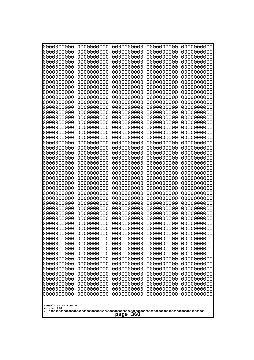| 10000000000                           | 0000000000               | 0000000000<br>0000000000 | 0000000000<br>0000000000 | 0000000000<br>0000000000 |
|---------------------------------------|--------------------------|--------------------------|--------------------------|--------------------------|
| 0000000000<br>0000000000              | 0000000000<br>0000000000 | 0000000000               | 0000000000               | 0000000000               |
| 0000000000                            | 0000000000               | 0000000000               | 0000000000               | 0000000000               |
| 0000000000                            | 0000000000               | 0000000000               | 0000000000               | 0000000000               |
| 0000000000<br>0000000000              | 0000000000<br>0000000000 | 0000000000<br>0000000000 | 0000000000<br>0000000000 | 0000000000<br>0000000000 |
| 0000000000                            | 0000000000               | 0000000000               | 0000000000               | 0000000000               |
| 0000000000                            | 0000000000               | 0000000000               | 0000000000               | 0000000000               |
| 0000000000                            | 0000000000               | 0000000000               | 0000000000               | 0000000000               |
| 0000000000<br>0000000000              | 0000000000<br>0000000000 | 0000000000<br>0000000000 | 0000000000<br>0000000000 | 0000000000<br>0000000000 |
| 0000000000                            | 0000000000               | 0000000000               | 0000000000               | 0000000000               |
| 0000000000                            | 0000000000               | 0000000000               | 0000000000               | 0000000000               |
| 0000000000<br>0000000000              | 0000000000<br>0000000000 | 0000000000<br>0000000000 | 0000000000               | 0000000000<br>0000000000 |
| 0000000000                            | 0000000000               | 0000000000               | 0000000000<br>0000000000 | 0000000000               |
| 0000000000                            | 0000000000               | 0000000000               | 0000000000               | 0000000000               |
| 0000000000                            | 0000000000               | 0000000000               | 0000000000               | 0000000000               |
| 0000000000<br>0000000000              | 0000000000<br>0000000000 | 0000000000<br>0000000000 | 0000000000<br>0000000000 | 0000000000<br>0000000000 |
| 0000000000                            | 0000000000               | 0000000000               | 0000000000               | 0000000000               |
| 0000000000                            | 0000000000               | 0000000000               | 0000000000               | 0000000000               |
| 0000000000                            | 0000000000               | 0000000000               | 0000000000               | 0000000000               |
| 0000000000<br>0000000000              | 0000000000<br>0000000000 | 0000000000<br>0000000000 | 0000000000<br>0000000000 | 0000000000<br>0000000000 |
| 0000000000                            | 0000000000               | 0000000000               | 0000000000               | 0000000000               |
| 0000000000                            | 0000000000               | 0000000000               | 0000000000               | 0000000000               |
| 0000000000<br>0000000000              | 0000000000<br>0000000000 | 0000000000<br>0000000000 | 0000000000<br>0000000000 | 0000000000<br>0000000000 |
| 0000000000                            | 0000000000               | 0000000000               | 0000000000               | 0000000000               |
| 0000000000                            | 0000000000               | 0000000000               | 0000000000               | 0000000000               |
| 0000000000<br>0000000000              | 0000000000<br>0000000000 | 0000000000<br>0000000000 | 0000000000<br>0000000000 | 0000000000<br>0000000000 |
| 0000000000                            | 0000000000               | 0000000000               | 0000000000               | 0000000000               |
| 0000000000                            | 0000000000               | 0000000000               | 0000000000               | 0000000000               |
| 0000000000                            | 0000000000               | 0000000000               | 0000000000               | 0000000000               |
| 0000000000<br>0000000000              | 0000000000<br>0000000000 | 0000000000<br>0000000000 | 0000000000<br>0000000000 | 0000000000<br>0000000000 |
| 0000000000                            | 0000000000               | 0000000000               | 0000000000               | 0000000000               |
| 0000000000                            | 0000000000               | 0000000000               | 0000000000               | 0000000000               |
| 0000000000<br>0000000000              | 0000000000<br>0000000000 | 0000000000<br>0000000000 | 0000000000<br>0000000000 | 0000000000<br>0000000000 |
| 0000000000                            | 0000000000               | 0000000000               | 0000000000               | 0000000000               |
| 0000000000                            | 0000000000               | 0000000000               | 0000000000               | 0000000000               |
| 0000000000                            | 0000000000               | 0000000000               | 0000000000               | 0000000000               |
| 0000000000<br>0000000000              | 0000000000<br>0000000000 | 0000000000<br>0000000000 | 0000000000<br>0000000000 | 0000000000<br>0000000000 |
| 0000000000                            | 0000000000               | 0000000000               | 0000000000               | 0000000000               |
| 0000000000                            | 0000000000               | 0000000000               | 0000000000               | 0000000000               |
|                                       |                          |                          |                          |                          |
| Googolplex Written Out<br>volume 1720 |                          |                          |                          |                          |
| 360<br>page                           |                          |                          |                          |                          |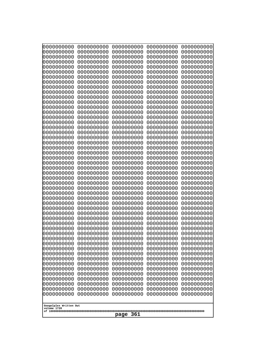| 0000000000<br>0000000000<br>0000000000<br>0000000000<br>0000000000<br>0000000000<br>0000000000<br>0000000000<br>0000000000<br>0000000000<br>0000000000<br>0000000000<br>0000000000<br>0000000000<br>0000000000                                                                                                                                                                                                                                                                                                     | 0000000000<br>0000000000<br>0000000000<br>0000000000<br>0000000000<br>0000000000<br>0000000000<br>0000000000<br>0000000000<br>0000000000<br>0000000000<br>0000000000<br>0000000000<br>0000000000<br>0000000000                                                                                                                                                                                                                                                                           | 0000000000<br>0000000000<br>0000000000<br>0000000000<br>0000000000<br>0000000000<br>0000000000<br>0000000000<br>0000000000<br>0000000000<br>0000000000<br>0000000000<br>0000000000<br>0000000000<br>0000000000                                                                                                                                                                                                                                                                           | 0000000000<br>0000000000<br>0000000000<br>0000000000<br>0000000000<br>0000000000<br>0000000000<br>0000000000<br>0000000000<br>0000000000<br>0000000000<br>0000000000<br>0000000000<br>0000000000<br>0000000000                                                                                                                                                                                                                                                                           | 0000000000<br>0000000000<br>0000000000<br>0000000000<br>0000000000<br>0000000000<br>0000000000<br>0000000000<br>0000000000<br>0000000000<br>0000000000<br>0000000000<br>0000000000<br>0000000000<br>0000000000                                                                                                                                                                                                                                                                           |
|--------------------------------------------------------------------------------------------------------------------------------------------------------------------------------------------------------------------------------------------------------------------------------------------------------------------------------------------------------------------------------------------------------------------------------------------------------------------------------------------------------------------|------------------------------------------------------------------------------------------------------------------------------------------------------------------------------------------------------------------------------------------------------------------------------------------------------------------------------------------------------------------------------------------------------------------------------------------------------------------------------------------|------------------------------------------------------------------------------------------------------------------------------------------------------------------------------------------------------------------------------------------------------------------------------------------------------------------------------------------------------------------------------------------------------------------------------------------------------------------------------------------|------------------------------------------------------------------------------------------------------------------------------------------------------------------------------------------------------------------------------------------------------------------------------------------------------------------------------------------------------------------------------------------------------------------------------------------------------------------------------------------|------------------------------------------------------------------------------------------------------------------------------------------------------------------------------------------------------------------------------------------------------------------------------------------------------------------------------------------------------------------------------------------------------------------------------------------------------------------------------------------|
| 0000000000<br>0000000000<br>0000000000<br>0000000000<br>0000000000<br>0000000000<br>0000000000<br>0000000000<br>0000000000<br>0000000000<br>0000000000<br>0000000000<br>0000000000<br>0000000000<br>0000000000<br>0000000000<br>0000000000<br>0000000000<br>0000000000<br>0000000000<br>0000000000<br>0000000000<br>0000000000<br>0000000000<br>0000000000<br>0000000000<br>0000000000<br>0000000000<br>0000000000<br>0000000000<br>0000000000<br>0000000000<br>0000000000<br>0000000000<br>Googolplex Written Out | 0000000000<br>0000000000<br>0000000000<br>0000000000<br>0000000000<br>0000000000<br>0000000000<br>0000000000<br>0000000000<br>0000000000<br>0000000000<br>0000000000<br>0000000000<br>0000000000<br>0000000000<br>0000000000<br>0000000000<br>0000000000<br>0000000000<br>0000000000<br>0000000000<br>0000000000<br>0000000000<br>0000000000<br>0000000000<br>0000000000<br>0000000000<br>0000000000<br>0000000000<br>0000000000<br>0000000000<br>0000000000<br>0000000000<br>0000000000 | 0000000000<br>0000000000<br>0000000000<br>0000000000<br>0000000000<br>0000000000<br>0000000000<br>0000000000<br>0000000000<br>0000000000<br>0000000000<br>0000000000<br>0000000000<br>0000000000<br>0000000000<br>0000000000<br>0000000000<br>0000000000<br>0000000000<br>0000000000<br>0000000000<br>0000000000<br>0000000000<br>0000000000<br>0000000000<br>0000000000<br>0000000000<br>0000000000<br>0000000000<br>0000000000<br>0000000000<br>0000000000<br>0000000000<br>0000000000 | 0000000000<br>0000000000<br>0000000000<br>0000000000<br>0000000000<br>0000000000<br>0000000000<br>0000000000<br>0000000000<br>0000000000<br>0000000000<br>0000000000<br>0000000000<br>0000000000<br>0000000000<br>0000000000<br>0000000000<br>0000000000<br>0000000000<br>0000000000<br>0000000000<br>0000000000<br>0000000000<br>0000000000<br>0000000000<br>0000000000<br>0000000000<br>0000000000<br>0000000000<br>0000000000<br>0000000000<br>0000000000<br>0000000000<br>0000000000 | 0000000000<br>0000000000<br>0000000000<br>0000000000<br>0000000000<br>0000000000<br>0000000000<br>0000000000<br>0000000000<br>0000000000<br>0000000000<br>0000000000<br>0000000000<br>0000000000<br>0000000000<br>0000000000<br>0000000000<br>0000000000<br>0000000000<br>0000000000<br>0000000000<br>0000000000<br>0000000000<br>0000000000<br>0000000000<br>0000000000<br>0000000000<br>0000000000<br>0000000000<br>0000000000<br>0000000000<br>0000000000<br>0000000000<br>0000000000 |
| volume 1720<br>361<br>page                                                                                                                                                                                                                                                                                                                                                                                                                                                                                         |                                                                                                                                                                                                                                                                                                                                                                                                                                                                                          |                                                                                                                                                                                                                                                                                                                                                                                                                                                                                          |                                                                                                                                                                                                                                                                                                                                                                                                                                                                                          |                                                                                                                                                                                                                                                                                                                                                                                                                                                                                          |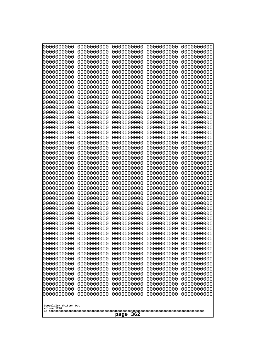| 0000000000                                                                                                                                                                                                                                                                                                                                                                                                                                    | 0000000000                                                                                                                                                                                                                                                                                                                                                                                           | 0000000000                                                                                                                                                                                                                                                                                                                                                                                                          | 0000000000                                                                                                                                                                                                                                                                                                                                                                                           | 0000000000                                                                                                                                                                                                                                                                                                                                                                                           |
|-----------------------------------------------------------------------------------------------------------------------------------------------------------------------------------------------------------------------------------------------------------------------------------------------------------------------------------------------------------------------------------------------------------------------------------------------|------------------------------------------------------------------------------------------------------------------------------------------------------------------------------------------------------------------------------------------------------------------------------------------------------------------------------------------------------------------------------------------------------|---------------------------------------------------------------------------------------------------------------------------------------------------------------------------------------------------------------------------------------------------------------------------------------------------------------------------------------------------------------------------------------------------------------------|------------------------------------------------------------------------------------------------------------------------------------------------------------------------------------------------------------------------------------------------------------------------------------------------------------------------------------------------------------------------------------------------------|------------------------------------------------------------------------------------------------------------------------------------------------------------------------------------------------------------------------------------------------------------------------------------------------------------------------------------------------------------------------------------------------------|
| 0000000000                                                                                                                                                                                                                                                                                                                                                                                                                                    | 0000000000                                                                                                                                                                                                                                                                                                                                                                                           | 0000000000                                                                                                                                                                                                                                                                                                                                                                                                          | 0000000000                                                                                                                                                                                                                                                                                                                                                                                           | 0000000000                                                                                                                                                                                                                                                                                                                                                                                           |
| 0000000000                                                                                                                                                                                                                                                                                                                                                                                                                                    | 0000000000                                                                                                                                                                                                                                                                                                                                                                                           | 0000000000                                                                                                                                                                                                                                                                                                                                                                                                          | 0000000000                                                                                                                                                                                                                                                                                                                                                                                           | 0000000000                                                                                                                                                                                                                                                                                                                                                                                           |
| 0000000000                                                                                                                                                                                                                                                                                                                                                                                                                                    | 0000000000                                                                                                                                                                                                                                                                                                                                                                                           | 0000000000                                                                                                                                                                                                                                                                                                                                                                                                          | 0000000000                                                                                                                                                                                                                                                                                                                                                                                           | 0000000000                                                                                                                                                                                                                                                                                                                                                                                           |
| 0000000000                                                                                                                                                                                                                                                                                                                                                                                                                                    | 0000000000                                                                                                                                                                                                                                                                                                                                                                                           | 0000000000                                                                                                                                                                                                                                                                                                                                                                                                          | 0000000000                                                                                                                                                                                                                                                                                                                                                                                           | 0000000000                                                                                                                                                                                                                                                                                                                                                                                           |
| 0000000000                                                                                                                                                                                                                                                                                                                                                                                                                                    | 0000000000                                                                                                                                                                                                                                                                                                                                                                                           | 0000000000                                                                                                                                                                                                                                                                                                                                                                                                          | 0000000000                                                                                                                                                                                                                                                                                                                                                                                           | 0000000000                                                                                                                                                                                                                                                                                                                                                                                           |
| 0000000000                                                                                                                                                                                                                                                                                                                                                                                                                                    | 0000000000                                                                                                                                                                                                                                                                                                                                                                                           | 0000000000                                                                                                                                                                                                                                                                                                                                                                                                          | 0000000000                                                                                                                                                                                                                                                                                                                                                                                           | 0000000000                                                                                                                                                                                                                                                                                                                                                                                           |
| 0000000000                                                                                                                                                                                                                                                                                                                                                                                                                                    | 0000000000                                                                                                                                                                                                                                                                                                                                                                                           | 0000000000                                                                                                                                                                                                                                                                                                                                                                                                          | 0000000000                                                                                                                                                                                                                                                                                                                                                                                           | 0000000000                                                                                                                                                                                                                                                                                                                                                                                           |
| 0000000000                                                                                                                                                                                                                                                                                                                                                                                                                                    | 0000000000                                                                                                                                                                                                                                                                                                                                                                                           | 0000000000                                                                                                                                                                                                                                                                                                                                                                                                          | 0000000000                                                                                                                                                                                                                                                                                                                                                                                           | 0000000000                                                                                                                                                                                                                                                                                                                                                                                           |
| 0000000000                                                                                                                                                                                                                                                                                                                                                                                                                                    | 0000000000                                                                                                                                                                                                                                                                                                                                                                                           | 0000000000                                                                                                                                                                                                                                                                                                                                                                                                          | 0000000000                                                                                                                                                                                                                                                                                                                                                                                           | 0000000000                                                                                                                                                                                                                                                                                                                                                                                           |
| 0000000000                                                                                                                                                                                                                                                                                                                                                                                                                                    | 0000000000                                                                                                                                                                                                                                                                                                                                                                                           | 0000000000                                                                                                                                                                                                                                                                                                                                                                                                          | 0000000000                                                                                                                                                                                                                                                                                                                                                                                           | 0000000000                                                                                                                                                                                                                                                                                                                                                                                           |
| 0000000000                                                                                                                                                                                                                                                                                                                                                                                                                                    | 0000000000                                                                                                                                                                                                                                                                                                                                                                                           | 0000000000                                                                                                                                                                                                                                                                                                                                                                                                          | 0000000000                                                                                                                                                                                                                                                                                                                                                                                           | 0000000000                                                                                                                                                                                                                                                                                                                                                                                           |
| 0000000000                                                                                                                                                                                                                                                                                                                                                                                                                                    | 0000000000                                                                                                                                                                                                                                                                                                                                                                                           | 0000000000                                                                                                                                                                                                                                                                                                                                                                                                          | 0000000000                                                                                                                                                                                                                                                                                                                                                                                           | 0000000000                                                                                                                                                                                                                                                                                                                                                                                           |
| 0000000000                                                                                                                                                                                                                                                                                                                                                                                                                                    | 0000000000                                                                                                                                                                                                                                                                                                                                                                                           | 0000000000                                                                                                                                                                                                                                                                                                                                                                                                          | 0000000000                                                                                                                                                                                                                                                                                                                                                                                           | 0000000000                                                                                                                                                                                                                                                                                                                                                                                           |
| 0000000000                                                                                                                                                                                                                                                                                                                                                                                                                                    | 0000000000                                                                                                                                                                                                                                                                                                                                                                                           | 0000000000                                                                                                                                                                                                                                                                                                                                                                                                          | 0000000000                                                                                                                                                                                                                                                                                                                                                                                           | 0000000000                                                                                                                                                                                                                                                                                                                                                                                           |
| 0000000000                                                                                                                                                                                                                                                                                                                                                                                                                                    | 0000000000                                                                                                                                                                                                                                                                                                                                                                                           | 0000000000                                                                                                                                                                                                                                                                                                                                                                                                          | 0000000000                                                                                                                                                                                                                                                                                                                                                                                           | 0000000000                                                                                                                                                                                                                                                                                                                                                                                           |
| 0000000000                                                                                                                                                                                                                                                                                                                                                                                                                                    | 0000000000                                                                                                                                                                                                                                                                                                                                                                                           | 0000000000                                                                                                                                                                                                                                                                                                                                                                                                          | 0000000000                                                                                                                                                                                                                                                                                                                                                                                           | 0000000000                                                                                                                                                                                                                                                                                                                                                                                           |
| 0000000000                                                                                                                                                                                                                                                                                                                                                                                                                                    | 0000000000                                                                                                                                                                                                                                                                                                                                                                                           | 0000000000                                                                                                                                                                                                                                                                                                                                                                                                          | 0000000000                                                                                                                                                                                                                                                                                                                                                                                           | 0000000000                                                                                                                                                                                                                                                                                                                                                                                           |
| 0000000000                                                                                                                                                                                                                                                                                                                                                                                                                                    | 0000000000                                                                                                                                                                                                                                                                                                                                                                                           | 0000000000                                                                                                                                                                                                                                                                                                                                                                                                          | 0000000000                                                                                                                                                                                                                                                                                                                                                                                           | 0000000000                                                                                                                                                                                                                                                                                                                                                                                           |
| 0000000000                                                                                                                                                                                                                                                                                                                                                                                                                                    | 0000000000                                                                                                                                                                                                                                                                                                                                                                                           | 0000000000                                                                                                                                                                                                                                                                                                                                                                                                          | 0000000000                                                                                                                                                                                                                                                                                                                                                                                           | 0000000000                                                                                                                                                                                                                                                                                                                                                                                           |
| 0000000000                                                                                                                                                                                                                                                                                                                                                                                                                                    | 0000000000                                                                                                                                                                                                                                                                                                                                                                                           | 0000000000                                                                                                                                                                                                                                                                                                                                                                                                          | 0000000000                                                                                                                                                                                                                                                                                                                                                                                           | 0000000000                                                                                                                                                                                                                                                                                                                                                                                           |
| 0000000000                                                                                                                                                                                                                                                                                                                                                                                                                                    | 0000000000                                                                                                                                                                                                                                                                                                                                                                                           | 0000000000                                                                                                                                                                                                                                                                                                                                                                                                          | 0000000000                                                                                                                                                                                                                                                                                                                                                                                           | 0000000000                                                                                                                                                                                                                                                                                                                                                                                           |
| 0000000000<br>0000000000<br>0000000000<br>0000000000<br>0000000000<br>0000000000<br>0000000000<br>0000000000<br>0000000000<br>0000000000<br>0000000000<br>0000000000<br>0000000000<br>0000000000<br>0000000000<br>0000000000<br>0000000000<br>0000000000<br>0000000000<br>0000000000<br>0000000000<br>0000000000<br>0000000000<br>0000000000<br>0000000000<br>0000000000<br>0000000000<br>0000000000<br>Googolplex Written Out<br>volume 1720 | 0000000000<br>0000000000<br>0000000000<br>0000000000<br>0000000000<br>0000000000<br>0000000000<br>0000000000<br>0000000000<br>0000000000<br>0000000000<br>0000000000<br>0000000000<br>0000000000<br>0000000000<br>0000000000<br>0000000000<br>0000000000<br>0000000000<br>0000000000<br>0000000000<br>0000000000<br>0000000000<br>0000000000<br>0000000000<br>0000000000<br>0000000000<br>0000000000 | 0000000000<br>0000000000<br>0000000000<br>0000000000<br>0000000000<br>0000000000<br>0000000000<br>0000000000<br>0000000000<br>0000000000<br>0000000000<br>0000000000<br>0000000000<br>0000000000<br>0000000000<br>0000000000<br>0000000000<br>0000000000<br>0000000000<br>0000000000<br>0000000000<br>0000000000<br>0000000000<br>0000000000<br>0000000000<br>0000000000<br>0000000000<br>0000000000<br>362<br>page | 0000000000<br>0000000000<br>0000000000<br>0000000000<br>0000000000<br>0000000000<br>0000000000<br>0000000000<br>0000000000<br>0000000000<br>0000000000<br>0000000000<br>0000000000<br>0000000000<br>0000000000<br>0000000000<br>0000000000<br>0000000000<br>0000000000<br>0000000000<br>0000000000<br>0000000000<br>0000000000<br>0000000000<br>0000000000<br>0000000000<br>0000000000<br>0000000000 | 0000000000<br>0000000000<br>0000000000<br>0000000000<br>0000000000<br>0000000000<br>0000000000<br>0000000000<br>0000000000<br>0000000000<br>0000000000<br>0000000000<br>0000000000<br>0000000000<br>0000000000<br>0000000000<br>0000000000<br>0000000000<br>0000000000<br>0000000000<br>0000000000<br>0000000000<br>0000000000<br>0000000000<br>0000000000<br>0000000000<br>0000000000<br>0000000000 |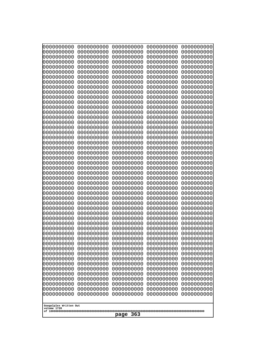| 0000000000<br>0000000000<br>0000000000<br>0000000000<br>0000000000<br>0000000000<br>0000000000<br>0000000000<br>0000000000<br>0000000000<br>0000000000<br>0000000000<br>0000000000<br>0000000000<br>0000000000<br>0000000000<br>0000000000<br>0000000000<br>0000000000<br>0000000000<br>0000000000<br>0000000000<br>0000000000<br>0000000000 | 0000000000<br>0000000000<br>0000000000<br>0000000000<br>0000000000<br>0000000000<br>0000000000<br>0000000000<br>0000000000<br>0000000000<br>0000000000<br>0000000000<br>0000000000<br>0000000000<br>0000000000<br>0000000000<br>0000000000<br>0000000000<br>0000000000<br>0000000000<br>0000000000<br>0000000000<br>0000000000<br>0000000000 | 0000000000<br>0000000000<br>0000000000<br>0000000000<br>0000000000<br>0000000000<br>0000000000<br>0000000000<br>0000000000<br>0000000000<br>0000000000<br>0000000000<br>0000000000<br>0000000000<br>0000000000<br>0000000000<br>0000000000<br>0000000000<br>0000000000<br>0000000000<br>0000000000<br>0000000000<br>0000000000<br>0000000000 | 0000000000<br>0000000000<br>0000000000<br>0000000000<br>0000000000<br>0000000000<br>0000000000<br>0000000000<br>0000000000<br>0000000000<br>0000000000<br>0000000000<br>0000000000<br>0000000000<br>0000000000<br>0000000000<br>0000000000<br>0000000000<br>0000000000<br>0000000000<br>0000000000<br>0000000000<br>0000000000<br>0000000000 | 0000000000<br>0000000000<br>0000000000<br>0000000000<br>0000000000<br>0000000000<br>0000000000<br>0000000000<br>0000000000<br>0000000000<br>0000000000<br>0000000000<br>0000000000<br>0000000000<br>0000000000<br>0000000000<br>0000000000<br>0000000000<br>0000000000<br>0000000000<br>0000000000<br>0000000000<br>0000000000<br>0000000000 |  |
|----------------------------------------------------------------------------------------------------------------------------------------------------------------------------------------------------------------------------------------------------------------------------------------------------------------------------------------------|----------------------------------------------------------------------------------------------------------------------------------------------------------------------------------------------------------------------------------------------------------------------------------------------------------------------------------------------|----------------------------------------------------------------------------------------------------------------------------------------------------------------------------------------------------------------------------------------------------------------------------------------------------------------------------------------------|----------------------------------------------------------------------------------------------------------------------------------------------------------------------------------------------------------------------------------------------------------------------------------------------------------------------------------------------|----------------------------------------------------------------------------------------------------------------------------------------------------------------------------------------------------------------------------------------------------------------------------------------------------------------------------------------------|--|
|                                                                                                                                                                                                                                                                                                                                              |                                                                                                                                                                                                                                                                                                                                              |                                                                                                                                                                                                                                                                                                                                              |                                                                                                                                                                                                                                                                                                                                              |                                                                                                                                                                                                                                                                                                                                              |  |
|                                                                                                                                                                                                                                                                                                                                              |                                                                                                                                                                                                                                                                                                                                              |                                                                                                                                                                                                                                                                                                                                              |                                                                                                                                                                                                                                                                                                                                              |                                                                                                                                                                                                                                                                                                                                              |  |
|                                                                                                                                                                                                                                                                                                                                              |                                                                                                                                                                                                                                                                                                                                              |                                                                                                                                                                                                                                                                                                                                              |                                                                                                                                                                                                                                                                                                                                              |                                                                                                                                                                                                                                                                                                                                              |  |
|                                                                                                                                                                                                                                                                                                                                              |                                                                                                                                                                                                                                                                                                                                              |                                                                                                                                                                                                                                                                                                                                              |                                                                                                                                                                                                                                                                                                                                              |                                                                                                                                                                                                                                                                                                                                              |  |
|                                                                                                                                                                                                                                                                                                                                              |                                                                                                                                                                                                                                                                                                                                              |                                                                                                                                                                                                                                                                                                                                              |                                                                                                                                                                                                                                                                                                                                              |                                                                                                                                                                                                                                                                                                                                              |  |
|                                                                                                                                                                                                                                                                                                                                              |                                                                                                                                                                                                                                                                                                                                              |                                                                                                                                                                                                                                                                                                                                              |                                                                                                                                                                                                                                                                                                                                              |                                                                                                                                                                                                                                                                                                                                              |  |
|                                                                                                                                                                                                                                                                                                                                              |                                                                                                                                                                                                                                                                                                                                              |                                                                                                                                                                                                                                                                                                                                              |                                                                                                                                                                                                                                                                                                                                              |                                                                                                                                                                                                                                                                                                                                              |  |
|                                                                                                                                                                                                                                                                                                                                              |                                                                                                                                                                                                                                                                                                                                              |                                                                                                                                                                                                                                                                                                                                              |                                                                                                                                                                                                                                                                                                                                              |                                                                                                                                                                                                                                                                                                                                              |  |
|                                                                                                                                                                                                                                                                                                                                              |                                                                                                                                                                                                                                                                                                                                              |                                                                                                                                                                                                                                                                                                                                              |                                                                                                                                                                                                                                                                                                                                              |                                                                                                                                                                                                                                                                                                                                              |  |
|                                                                                                                                                                                                                                                                                                                                              |                                                                                                                                                                                                                                                                                                                                              |                                                                                                                                                                                                                                                                                                                                              |                                                                                                                                                                                                                                                                                                                                              |                                                                                                                                                                                                                                                                                                                                              |  |
|                                                                                                                                                                                                                                                                                                                                              |                                                                                                                                                                                                                                                                                                                                              |                                                                                                                                                                                                                                                                                                                                              |                                                                                                                                                                                                                                                                                                                                              |                                                                                                                                                                                                                                                                                                                                              |  |
|                                                                                                                                                                                                                                                                                                                                              |                                                                                                                                                                                                                                                                                                                                              |                                                                                                                                                                                                                                                                                                                                              |                                                                                                                                                                                                                                                                                                                                              |                                                                                                                                                                                                                                                                                                                                              |  |
| 0000000000                                                                                                                                                                                                                                                                                                                                   | 0000000000                                                                                                                                                                                                                                                                                                                                   | 0000000000                                                                                                                                                                                                                                                                                                                                   | 0000000000                                                                                                                                                                                                                                                                                                                                   | 0000000000                                                                                                                                                                                                                                                                                                                                   |  |
| 0000000000<br>0000000000                                                                                                                                                                                                                                                                                                                     | 0000000000<br>0000000000                                                                                                                                                                                                                                                                                                                     | 0000000000<br>0000000000                                                                                                                                                                                                                                                                                                                     | 0000000000<br>0000000000                                                                                                                                                                                                                                                                                                                     | 0000000000<br>0000000000                                                                                                                                                                                                                                                                                                                     |  |
| 0000000000                                                                                                                                                                                                                                                                                                                                   | 0000000000                                                                                                                                                                                                                                                                                                                                   | 0000000000                                                                                                                                                                                                                                                                                                                                   | 0000000000                                                                                                                                                                                                                                                                                                                                   | 0000000000                                                                                                                                                                                                                                                                                                                                   |  |
| 0000000000<br>0000000000                                                                                                                                                                                                                                                                                                                     | 0000000000<br>0000000000                                                                                                                                                                                                                                                                                                                     | 0000000000<br>0000000000                                                                                                                                                                                                                                                                                                                     | 0000000000<br>0000000000                                                                                                                                                                                                                                                                                                                     | 0000000000<br>0000000000                                                                                                                                                                                                                                                                                                                     |  |
| 0000000000                                                                                                                                                                                                                                                                                                                                   | 0000000000                                                                                                                                                                                                                                                                                                                                   | 0000000000                                                                                                                                                                                                                                                                                                                                   | 0000000000                                                                                                                                                                                                                                                                                                                                   | 0000000000                                                                                                                                                                                                                                                                                                                                   |  |
| 0000000000<br>0000000000                                                                                                                                                                                                                                                                                                                     | 0000000000<br>0000000000                                                                                                                                                                                                                                                                                                                     | 0000000000<br>0000000000                                                                                                                                                                                                                                                                                                                     | 0000000000<br>0000000000                                                                                                                                                                                                                                                                                                                     | 0000000000<br>0000000000                                                                                                                                                                                                                                                                                                                     |  |
| 0000000000                                                                                                                                                                                                                                                                                                                                   | 0000000000                                                                                                                                                                                                                                                                                                                                   | 0000000000                                                                                                                                                                                                                                                                                                                                   | 0000000000                                                                                                                                                                                                                                                                                                                                   | 0000000000                                                                                                                                                                                                                                                                                                                                   |  |
| 0000000000<br>0000000000                                                                                                                                                                                                                                                                                                                     | 0000000000<br>0000000000                                                                                                                                                                                                                                                                                                                     | 0000000000<br>0000000000                                                                                                                                                                                                                                                                                                                     | 0000000000<br>0000000000                                                                                                                                                                                                                                                                                                                     | 0000000000<br>0000000000                                                                                                                                                                                                                                                                                                                     |  |
| 0000000000                                                                                                                                                                                                                                                                                                                                   | 0000000000                                                                                                                                                                                                                                                                                                                                   | 0000000000                                                                                                                                                                                                                                                                                                                                   | 0000000000                                                                                                                                                                                                                                                                                                                                   | 0000000000                                                                                                                                                                                                                                                                                                                                   |  |
| 0000000000<br>0000000000                                                                                                                                                                                                                                                                                                                     | 0000000000<br>0000000000                                                                                                                                                                                                                                                                                                                     | 0000000000<br>0000000000                                                                                                                                                                                                                                                                                                                     | 0000000000<br>0000000000                                                                                                                                                                                                                                                                                                                     | 0000000000<br>0000000000                                                                                                                                                                                                                                                                                                                     |  |
| 0000000000<br>0000000000                                                                                                                                                                                                                                                                                                                     | 0000000000<br>0000000000                                                                                                                                                                                                                                                                                                                     | 0000000000<br>0000000000                                                                                                                                                                                                                                                                                                                     | 0000000000<br>0000000000                                                                                                                                                                                                                                                                                                                     | 0000000000<br>0000000000                                                                                                                                                                                                                                                                                                                     |  |
| 0000000000                                                                                                                                                                                                                                                                                                                                   | 0000000000                                                                                                                                                                                                                                                                                                                                   | 0000000000                                                                                                                                                                                                                                                                                                                                   | 0000000000                                                                                                                                                                                                                                                                                                                                   | 0000000000                                                                                                                                                                                                                                                                                                                                   |  |
| 0000000000<br>0000000000                                                                                                                                                                                                                                                                                                                     | 0000000000<br>0000000000                                                                                                                                                                                                                                                                                                                     | 0000000000<br>0000000000                                                                                                                                                                                                                                                                                                                     | 0000000000<br>0000000000                                                                                                                                                                                                                                                                                                                     | 0000000000<br>0000000000                                                                                                                                                                                                                                                                                                                     |  |
| 0000000000                                                                                                                                                                                                                                                                                                                                   | 0000000000                                                                                                                                                                                                                                                                                                                                   | 0000000000                                                                                                                                                                                                                                                                                                                                   | 0000000000                                                                                                                                                                                                                                                                                                                                   | 0000000000                                                                                                                                                                                                                                                                                                                                   |  |
| 0000000000<br>0000000000                                                                                                                                                                                                                                                                                                                     | 0000000000<br>0000000000                                                                                                                                                                                                                                                                                                                     | 0000000000<br>0000000000                                                                                                                                                                                                                                                                                                                     | 0000000000<br>0000000000                                                                                                                                                                                                                                                                                                                     | 0000000000<br>0000000000                                                                                                                                                                                                                                                                                                                     |  |
| 0000000000                                                                                                                                                                                                                                                                                                                                   | 0000000000                                                                                                                                                                                                                                                                                                                                   | 0000000000                                                                                                                                                                                                                                                                                                                                   | 0000000000                                                                                                                                                                                                                                                                                                                                   | 0000000000                                                                                                                                                                                                                                                                                                                                   |  |
| 0000000000<br>0000000000                                                                                                                                                                                                                                                                                                                     | 0000000000<br>0000000000                                                                                                                                                                                                                                                                                                                     | 0000000000<br>0000000000                                                                                                                                                                                                                                                                                                                     | 0000000000<br>0000000000                                                                                                                                                                                                                                                                                                                     | 0000000000<br>0000000000                                                                                                                                                                                                                                                                                                                     |  |
|                                                                                                                                                                                                                                                                                                                                              |                                                                                                                                                                                                                                                                                                                                              |                                                                                                                                                                                                                                                                                                                                              |                                                                                                                                                                                                                                                                                                                                              |                                                                                                                                                                                                                                                                                                                                              |  |
| Googolplex Written Out<br>volume 1720                                                                                                                                                                                                                                                                                                        |                                                                                                                                                                                                                                                                                                                                              |                                                                                                                                                                                                                                                                                                                                              |                                                                                                                                                                                                                                                                                                                                              |                                                                                                                                                                                                                                                                                                                                              |  |
| 363<br>page                                                                                                                                                                                                                                                                                                                                  |                                                                                                                                                                                                                                                                                                                                              |                                                                                                                                                                                                                                                                                                                                              |                                                                                                                                                                                                                                                                                                                                              |                                                                                                                                                                                                                                                                                                                                              |  |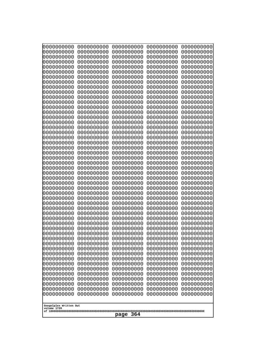| 0000000000                                                                                                                                                                                                                                                                                                                                                                                                                      | 0000000000                                                                                                                                                                                                                                                                                                                                                                             | 0000000000                                                                                                                                                                                                                                                                                                                                                                                            | 0000000000                                                                                                                                                                                                                                                                                                                                                                             | 0000000000                                                                                                                                                                                                                                                                                                                                                                             |
|---------------------------------------------------------------------------------------------------------------------------------------------------------------------------------------------------------------------------------------------------------------------------------------------------------------------------------------------------------------------------------------------------------------------------------|----------------------------------------------------------------------------------------------------------------------------------------------------------------------------------------------------------------------------------------------------------------------------------------------------------------------------------------------------------------------------------------|-------------------------------------------------------------------------------------------------------------------------------------------------------------------------------------------------------------------------------------------------------------------------------------------------------------------------------------------------------------------------------------------------------|----------------------------------------------------------------------------------------------------------------------------------------------------------------------------------------------------------------------------------------------------------------------------------------------------------------------------------------------------------------------------------------|----------------------------------------------------------------------------------------------------------------------------------------------------------------------------------------------------------------------------------------------------------------------------------------------------------------------------------------------------------------------------------------|
| 0000000000                                                                                                                                                                                                                                                                                                                                                                                                                      | 0000000000                                                                                                                                                                                                                                                                                                                                                                             | 0000000000                                                                                                                                                                                                                                                                                                                                                                                            | 0000000000                                                                                                                                                                                                                                                                                                                                                                             | 0000000000                                                                                                                                                                                                                                                                                                                                                                             |
| 0000000000                                                                                                                                                                                                                                                                                                                                                                                                                      | 0000000000                                                                                                                                                                                                                                                                                                                                                                             | 0000000000                                                                                                                                                                                                                                                                                                                                                                                            | 0000000000                                                                                                                                                                                                                                                                                                                                                                             | 0000000000                                                                                                                                                                                                                                                                                                                                                                             |
| 0000000000                                                                                                                                                                                                                                                                                                                                                                                                                      | 0000000000                                                                                                                                                                                                                                                                                                                                                                             | 0000000000                                                                                                                                                                                                                                                                                                                                                                                            | 0000000000                                                                                                                                                                                                                                                                                                                                                                             | 0000000000                                                                                                                                                                                                                                                                                                                                                                             |
| 0000000000                                                                                                                                                                                                                                                                                                                                                                                                                      | 0000000000                                                                                                                                                                                                                                                                                                                                                                             | 0000000000                                                                                                                                                                                                                                                                                                                                                                                            | 0000000000                                                                                                                                                                                                                                                                                                                                                                             | 0000000000                                                                                                                                                                                                                                                                                                                                                                             |
| 0000000000                                                                                                                                                                                                                                                                                                                                                                                                                      | 0000000000                                                                                                                                                                                                                                                                                                                                                                             | 0000000000                                                                                                                                                                                                                                                                                                                                                                                            | 0000000000                                                                                                                                                                                                                                                                                                                                                                             | 0000000000                                                                                                                                                                                                                                                                                                                                                                             |
| 0000000000                                                                                                                                                                                                                                                                                                                                                                                                                      | 0000000000                                                                                                                                                                                                                                                                                                                                                                             | 0000000000                                                                                                                                                                                                                                                                                                                                                                                            | 0000000000                                                                                                                                                                                                                                                                                                                                                                             | 0000000000                                                                                                                                                                                                                                                                                                                                                                             |
| 0000000000                                                                                                                                                                                                                                                                                                                                                                                                                      | 0000000000                                                                                                                                                                                                                                                                                                                                                                             | 0000000000                                                                                                                                                                                                                                                                                                                                                                                            | 0000000000                                                                                                                                                                                                                                                                                                                                                                             | 0000000000                                                                                                                                                                                                                                                                                                                                                                             |
| 0000000000                                                                                                                                                                                                                                                                                                                                                                                                                      | 0000000000                                                                                                                                                                                                                                                                                                                                                                             | 0000000000                                                                                                                                                                                                                                                                                                                                                                                            | 0000000000                                                                                                                                                                                                                                                                                                                                                                             | 0000000000                                                                                                                                                                                                                                                                                                                                                                             |
| 0000000000                                                                                                                                                                                                                                                                                                                                                                                                                      | 0000000000                                                                                                                                                                                                                                                                                                                                                                             | 0000000000                                                                                                                                                                                                                                                                                                                                                                                            | 0000000000                                                                                                                                                                                                                                                                                                                                                                             | 0000000000                                                                                                                                                                                                                                                                                                                                                                             |
| 0000000000                                                                                                                                                                                                                                                                                                                                                                                                                      | 0000000000                                                                                                                                                                                                                                                                                                                                                                             | 0000000000                                                                                                                                                                                                                                                                                                                                                                                            | 0000000000                                                                                                                                                                                                                                                                                                                                                                             | 0000000000                                                                                                                                                                                                                                                                                                                                                                             |
| 0000000000                                                                                                                                                                                                                                                                                                                                                                                                                      | 0000000000                                                                                                                                                                                                                                                                                                                                                                             | 0000000000                                                                                                                                                                                                                                                                                                                                                                                            | 0000000000                                                                                                                                                                                                                                                                                                                                                                             | 0000000000                                                                                                                                                                                                                                                                                                                                                                             |
| 0000000000                                                                                                                                                                                                                                                                                                                                                                                                                      | 0000000000                                                                                                                                                                                                                                                                                                                                                                             | 0000000000                                                                                                                                                                                                                                                                                                                                                                                            | 0000000000                                                                                                                                                                                                                                                                                                                                                                             | 0000000000                                                                                                                                                                                                                                                                                                                                                                             |
| 0000000000                                                                                                                                                                                                                                                                                                                                                                                                                      | 0000000000                                                                                                                                                                                                                                                                                                                                                                             | 0000000000                                                                                                                                                                                                                                                                                                                                                                                            | 0000000000                                                                                                                                                                                                                                                                                                                                                                             | 0000000000                                                                                                                                                                                                                                                                                                                                                                             |
| 0000000000                                                                                                                                                                                                                                                                                                                                                                                                                      | 0000000000                                                                                                                                                                                                                                                                                                                                                                             | 0000000000                                                                                                                                                                                                                                                                                                                                                                                            | 0000000000                                                                                                                                                                                                                                                                                                                                                                             | 0000000000                                                                                                                                                                                                                                                                                                                                                                             |
| 0000000000                                                                                                                                                                                                                                                                                                                                                                                                                      | 0000000000                                                                                                                                                                                                                                                                                                                                                                             | 0000000000                                                                                                                                                                                                                                                                                                                                                                                            | 0000000000                                                                                                                                                                                                                                                                                                                                                                             | 0000000000                                                                                                                                                                                                                                                                                                                                                                             |
| 0000000000                                                                                                                                                                                                                                                                                                                                                                                                                      | 0000000000                                                                                                                                                                                                                                                                                                                                                                             | 0000000000                                                                                                                                                                                                                                                                                                                                                                                            | 0000000000                                                                                                                                                                                                                                                                                                                                                                             | 0000000000                                                                                                                                                                                                                                                                                                                                                                             |
| 0000000000                                                                                                                                                                                                                                                                                                                                                                                                                      | 0000000000                                                                                                                                                                                                                                                                                                                                                                             | 0000000000                                                                                                                                                                                                                                                                                                                                                                                            | 0000000000                                                                                                                                                                                                                                                                                                                                                                             | 0000000000                                                                                                                                                                                                                                                                                                                                                                             |
| 0000000000                                                                                                                                                                                                                                                                                                                                                                                                                      | 0000000000                                                                                                                                                                                                                                                                                                                                                                             | 0000000000                                                                                                                                                                                                                                                                                                                                                                                            | 0000000000                                                                                                                                                                                                                                                                                                                                                                             | 0000000000                                                                                                                                                                                                                                                                                                                                                                             |
| 0000000000                                                                                                                                                                                                                                                                                                                                                                                                                      | 0000000000                                                                                                                                                                                                                                                                                                                                                                             | 0000000000                                                                                                                                                                                                                                                                                                                                                                                            | 0000000000                                                                                                                                                                                                                                                                                                                                                                             | 0000000000                                                                                                                                                                                                                                                                                                                                                                             |
| 0000000000                                                                                                                                                                                                                                                                                                                                                                                                                      | 0000000000                                                                                                                                                                                                                                                                                                                                                                             | 0000000000                                                                                                                                                                                                                                                                                                                                                                                            | 0000000000                                                                                                                                                                                                                                                                                                                                                                             | 0000000000                                                                                                                                                                                                                                                                                                                                                                             |
| 0000000000                                                                                                                                                                                                                                                                                                                                                                                                                      | 0000000000                                                                                                                                                                                                                                                                                                                                                                             | 0000000000                                                                                                                                                                                                                                                                                                                                                                                            | 0000000000                                                                                                                                                                                                                                                                                                                                                                             | 0000000000                                                                                                                                                                                                                                                                                                                                                                             |
| 0000000000                                                                                                                                                                                                                                                                                                                                                                                                                      | 0000000000                                                                                                                                                                                                                                                                                                                                                                             | 0000000000                                                                                                                                                                                                                                                                                                                                                                                            | 0000000000                                                                                                                                                                                                                                                                                                                                                                             | 0000000000                                                                                                                                                                                                                                                                                                                                                                             |
| 0000000000<br>0000000000<br>0000000000<br>0000000000<br>0000000000<br>0000000000<br>0000000000<br>0000000000<br>0000000000<br>0000000000<br>0000000000<br>0000000000<br>0000000000<br>0000000000<br>0000000000<br>0000000000<br>0000000000<br>0000000000<br>0000000000<br>0000000000<br>0000000000<br>0000000000<br>0000000000<br>0000000000<br>0000000000<br>0000000000<br>0000000000<br>Googolplex Written Out<br>volume 1720 | 0000000000<br>0000000000<br>0000000000<br>0000000000<br>0000000000<br>0000000000<br>0000000000<br>0000000000<br>0000000000<br>0000000000<br>0000000000<br>0000000000<br>0000000000<br>0000000000<br>0000000000<br>0000000000<br>0000000000<br>0000000000<br>0000000000<br>0000000000<br>0000000000<br>0000000000<br>0000000000<br>0000000000<br>0000000000<br>0000000000<br>0000000000 | 0000000000<br>0000000000<br>0000000000<br>0000000000<br>0000000000<br>0000000000<br>0000000000<br>0000000000<br>0000000000<br>0000000000<br>0000000000<br>0000000000<br>0000000000<br>0000000000<br>0000000000<br>0000000000<br>0000000000<br>0000000000<br>0000000000<br>0000000000<br>0000000000<br>0000000000<br>0000000000<br>0000000000<br>0000000000<br>0000000000<br>0000000000<br>364<br>page | 0000000000<br>0000000000<br>0000000000<br>0000000000<br>0000000000<br>0000000000<br>0000000000<br>0000000000<br>0000000000<br>0000000000<br>0000000000<br>0000000000<br>0000000000<br>0000000000<br>0000000000<br>0000000000<br>0000000000<br>0000000000<br>0000000000<br>0000000000<br>0000000000<br>0000000000<br>0000000000<br>0000000000<br>0000000000<br>0000000000<br>0000000000 | 0000000000<br>0000000000<br>0000000000<br>0000000000<br>0000000000<br>0000000000<br>0000000000<br>0000000000<br>0000000000<br>0000000000<br>0000000000<br>0000000000<br>0000000000<br>0000000000<br>0000000000<br>0000000000<br>0000000000<br>0000000000<br>0000000000<br>0000000000<br>0000000000<br>0000000000<br>0000000000<br>0000000000<br>0000000000<br>0000000000<br>0000000000 |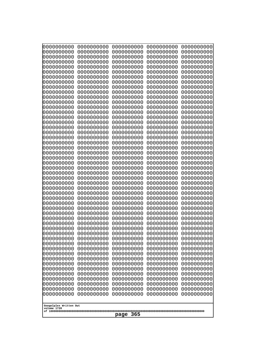| 10000000000              | 0000000000               | 0000000000               | 0000000000               | 0000000000               |
|--------------------------|--------------------------|--------------------------|--------------------------|--------------------------|
| 0000000000<br>0000000000 | 0000000000<br>0000000000 | 0000000000<br>0000000000 | 0000000000<br>0000000000 | 0000000000<br>0000000000 |
| 0000000000               | 0000000000               | 0000000000               | 0000000000               | 0000000000               |
| 0000000000               | 0000000000               | 0000000000               | 0000000000               | 0000000000               |
| 0000000000               | 0000000000               | 0000000000               | 0000000000               | 0000000000               |
| 0000000000<br>0000000000 | 0000000000<br>0000000000 | 0000000000<br>0000000000 | 0000000000<br>0000000000 | 0000000000<br>0000000000 |
| 0000000000               | 0000000000               | 0000000000               | 0000000000               | 0000000000               |
| 0000000000               | 0000000000               | 0000000000               | 0000000000               | 0000000000               |
| 0000000000               | 0000000000               | 0000000000               | 0000000000               | 0000000000               |
| 0000000000<br>0000000000 | 0000000000<br>0000000000 | 0000000000<br>0000000000 | 0000000000<br>0000000000 | 0000000000<br>0000000000 |
| 0000000000               | 0000000000               | 0000000000               | 0000000000               | 0000000000               |
| 0000000000               | 0000000000               | 0000000000               | 0000000000               | 0000000000               |
| 0000000000               | 0000000000               | 0000000000               | 0000000000               | 0000000000               |
| 0000000000<br>0000000000 | 0000000000<br>0000000000 | 0000000000<br>0000000000 | 0000000000<br>0000000000 | 0000000000<br>0000000000 |
| 0000000000               | 0000000000               | 0000000000               | 0000000000               | 0000000000               |
| 0000000000               | 0000000000               | 0000000000               | 0000000000               | 0000000000               |
| 0000000000               | 0000000000<br>0000000000 | 0000000000               | 0000000000               | 0000000000               |
| 0000000000<br>0000000000 | 0000000000               | 0000000000<br>0000000000 | 0000000000<br>0000000000 | 0000000000<br>0000000000 |
| 0000000000               | 0000000000               | 0000000000               | 0000000000               | 0000000000               |
| 0000000000               | 0000000000               | 0000000000               | 0000000000               | 0000000000               |
| 0000000000<br>0000000000 | 0000000000<br>0000000000 | 0000000000<br>0000000000 | 0000000000<br>0000000000 | 0000000000<br>0000000000 |
| 0000000000               | 0000000000               | 0000000000               | 0000000000               | 0000000000               |
| 0000000000               | 0000000000               | 0000000000               | 0000000000               | 0000000000               |
| 0000000000               | 0000000000               | 0000000000               | 0000000000               | 0000000000               |
| 0000000000<br>0000000000 | 0000000000<br>0000000000 | 0000000000<br>0000000000 | 0000000000<br>0000000000 | 0000000000<br>0000000000 |
| 0000000000               | 0000000000               | 0000000000               | 0000000000               | 0000000000               |
| 0000000000               | 0000000000               | 0000000000               | 0000000000               | 0000000000               |
| 0000000000<br>0000000000 | 0000000000<br>0000000000 | 0000000000               | 0000000000               | 0000000000               |
| 0000000000               | 0000000000               | 0000000000<br>0000000000 | 0000000000<br>0000000000 | 0000000000<br>0000000000 |
| 0000000000               | 0000000000               | 0000000000               | 0000000000               | 0000000000               |
| 0000000000               | 0000000000               | 0000000000               | 0000000000               | 0000000000               |
| 0000000000<br>0000000000 | 0000000000<br>0000000000 | 0000000000<br>0000000000 | 0000000000<br>0000000000 | 0000000000<br>0000000000 |
| 0000000000               | 0000000000               | 0000000000               | 0000000000               | 0000000000               |
| 0000000000               | 0000000000               | 0000000000               | 0000000000               | 0000000000               |
| 0000000000               | 0000000000               | 0000000000               | 0000000000               | 0000000000               |
| 0000000000<br>0000000000 | 0000000000<br>0000000000 | 0000000000<br>0000000000 | 0000000000<br>0000000000 | 0000000000<br>0000000000 |
| 0000000000               | 0000000000               | 0000000000               | 0000000000               | 0000000000               |
| 0000000000               | 0000000000               | 0000000000               | 0000000000               | 0000000000               |
| 0000000000               | 0000000000               | 0000000000               | 0000000000               | 0000000000               |
| 0000000000               | 0000000000               | 0000000000               | 0000000000               | 0000000000               |
| Googolplex Written Out   |                          |                          |                          |                          |
| volume 1720              |                          | 365                      |                          |                          |
|                          |                          | page                     |                          |                          |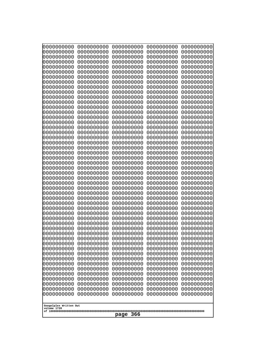| 0000000000                                                                                                                               | 0000000000 | 0000000000 | 0000000000 | 0000000000 |  |
|------------------------------------------------------------------------------------------------------------------------------------------|------------|------------|------------|------------|--|
| 0000000000                                                                                                                               | 0000000000 | 0000000000 | 0000000000 | 0000000000 |  |
| 0000000000                                                                                                                               | 0000000000 | 0000000000 | 0000000000 | 0000000000 |  |
| 0000000000                                                                                                                               | 0000000000 | 0000000000 | 0000000000 | 0000000000 |  |
| 0000000000                                                                                                                               | 0000000000 | 0000000000 | 0000000000 | 0000000000 |  |
| 0000000000                                                                                                                               | 0000000000 | 0000000000 | 0000000000 | 0000000000 |  |
| 0000000000                                                                                                                               | 0000000000 | 0000000000 | 0000000000 | 0000000000 |  |
| 0000000000                                                                                                                               | 0000000000 | 0000000000 | 0000000000 | 0000000000 |  |
| 0000000000                                                                                                                               | 0000000000 | 0000000000 | 0000000000 | 0000000000 |  |
| 0000000000                                                                                                                               | 0000000000 | 0000000000 | 0000000000 | 0000000000 |  |
| 0000000000                                                                                                                               | 0000000000 | 0000000000 | 0000000000 | 0000000000 |  |
| 0000000000                                                                                                                               | 0000000000 | 0000000000 | 0000000000 | 0000000000 |  |
| 0000000000                                                                                                                               | 0000000000 | 0000000000 | 0000000000 | 0000000000 |  |
| 0000000000                                                                                                                               | 0000000000 | 0000000000 | 0000000000 | 0000000000 |  |
| 0000000000                                                                                                                               | 0000000000 | 0000000000 | 0000000000 | 0000000000 |  |
| 0000000000                                                                                                                               | 0000000000 | 0000000000 | 0000000000 | 0000000000 |  |
| 0000000000                                                                                                                               | 0000000000 | 0000000000 | 0000000000 | 0000000000 |  |
| 0000000000                                                                                                                               | 0000000000 | 0000000000 | 0000000000 | 0000000000 |  |
| 0000000000                                                                                                                               | 0000000000 | 0000000000 | 0000000000 | 0000000000 |  |
| 0000000000                                                                                                                               | 0000000000 | 0000000000 | 0000000000 | 0000000000 |  |
| 0000000000                                                                                                                               | 0000000000 | 0000000000 | 0000000000 | 0000000000 |  |
| 0000000000                                                                                                                               | 0000000000 | 0000000000 | 0000000000 | 0000000000 |  |
| 0000000000                                                                                                                               | 0000000000 | 0000000000 | 0000000000 | 0000000000 |  |
| 0000000000                                                                                                                               | 0000000000 | 0000000000 | 0000000000 | 0000000000 |  |
| 0000000000                                                                                                                               | 0000000000 | 0000000000 | 0000000000 | 0000000000 |  |
| 0000000000                                                                                                                               | 0000000000 | 0000000000 | 0000000000 | 0000000000 |  |
| 0000000000                                                                                                                               | 0000000000 | 0000000000 | 0000000000 | 0000000000 |  |
| 0000000000                                                                                                                               | 0000000000 | 0000000000 | 0000000000 | 0000000000 |  |
| 0000000000                                                                                                                               | 0000000000 | 0000000000 | 0000000000 | 0000000000 |  |
| 0000000000                                                                                                                               | 0000000000 | 0000000000 | 0000000000 | 0000000000 |  |
| 0000000000                                                                                                                               | 0000000000 | 0000000000 | 0000000000 | 0000000000 |  |
| 0000000000                                                                                                                               | 0000000000 | 0000000000 | 0000000000 | 0000000000 |  |
| 0000000000                                                                                                                               | 0000000000 | 0000000000 | 0000000000 | 0000000000 |  |
| 0000000000                                                                                                                               | 0000000000 | 0000000000 | 0000000000 | 0000000000 |  |
| 0000000000                                                                                                                               | 0000000000 | 0000000000 | 0000000000 | 0000000000 |  |
| 0000000000                                                                                                                               | 0000000000 | 0000000000 | 0000000000 | 0000000000 |  |
| 0000000000                                                                                                                               | 0000000000 | 0000000000 | 0000000000 | 0000000000 |  |
| 0000000000                                                                                                                               | 0000000000 | 0000000000 | 0000000000 | 0000000000 |  |
| 0000000000                                                                                                                               | 0000000000 | 0000000000 | 0000000000 | 0000000000 |  |
| 0000000000                                                                                                                               | 0000000000 | 0000000000 | 0000000000 | 0000000000 |  |
| 0000000000                                                                                                                               | 0000000000 | 0000000000 | 0000000000 | 0000000000 |  |
| 0000000000                                                                                                                               | 0000000000 | 0000000000 | 0000000000 | 0000000000 |  |
| 0000000000                                                                                                                               | 0000000000 | 0000000000 | 0000000000 | 0000000000 |  |
| 0000000000                                                                                                                               | 0000000000 | 0000000000 | 0000000000 | 0000000000 |  |
| 0000000000                                                                                                                               | 0000000000 | 0000000000 | 0000000000 | 0000000000 |  |
| 0000000000                                                                                                                               | 0000000000 | 0000000000 | 0000000000 | 0000000000 |  |
| 0000000000                                                                                                                               | 0000000000 | 0000000000 | 0000000000 | 0000000000 |  |
| 0000000000                                                                                                                               | 0000000000 | 0000000000 | 0000000000 | 0000000000 |  |
| 0000000000<br>0000000000<br>0000000000<br>0000000000<br>0000000000<br>0000000000<br>0000000000<br>0000000000<br>0000000000<br>0000000000 |            |            |            |            |  |
| Googolplex Written Out<br>volume 1720<br>366<br>page                                                                                     |            |            |            |            |  |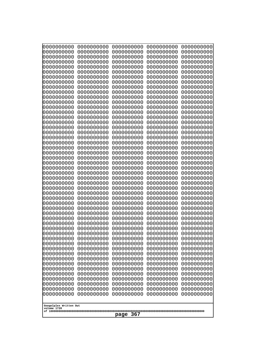| 0000000000<br>0000000000<br>0000000000<br>0000000000<br>0000000000<br>0000000000<br>0000000000<br>0000000000<br>0000000000<br>0000000000<br>0000000000<br>0000000000<br>0000000000<br>0000000000<br>0000000000<br>0000000000<br>0000000000<br>0000000000<br>0000000000<br>0000000000<br>0000000000<br>0000000000<br>0000000000<br>0000000000<br>0000000000<br>0000000000<br>0000000000<br>0000000000<br>0000000000<br>0000000000<br>0000000000<br>0000000000<br>0000000000<br>0000000000<br>0000000000<br>0000000000<br>0000000000<br>0000000000<br>0000000000<br>0000000000<br>0000000000<br>0000000000<br>0000000000<br>0000000000<br>0000000000<br>0000000000<br>0000000000<br>0000000000<br>0000000000<br>0000000000<br>0000000000<br>0000000000<br>0000000000<br>0000000000<br>0000000000<br>0000000000<br>0000000000<br>0000000000<br>0000000000<br>0000000000<br>0000000000<br>0000000000<br>0000000000<br>0000000000<br>0000000000<br>0000000000<br>0000000000<br>0000000000<br>0000000000<br>0000000000<br>0000000000<br>0000000000<br>0000000000<br>0000000000<br>0000000000<br>0000000000<br>0000000000<br>0000000000<br>0000000000<br>0000000000<br>0000000000<br>0000000000<br>0000000000<br>0000000000<br>0000000000<br>0000000000<br>0000000000<br>0000000000<br>0000000000<br>0000000000<br>0000000000<br>0000000000<br>0000000000<br>0000000000<br>0000000000<br>0000000000<br>0000000000<br>0000000000<br>0000000000<br>0000000000<br>0000000000<br>0000000000<br>0000000000<br>0000000000<br>0000000000<br>0000000000<br>0000000000<br>0000000000<br>0000000000<br>0000000000<br>0000000000<br>0000000000<br>0000000000<br>0000000000<br>0000000000<br>0000000000<br>0000000000<br>0000000000<br>0000000000<br>0000000000<br>0000000000<br>0000000000<br>0000000000<br>0000000000<br>0000000000<br>0000000000<br>0000000000<br>0000000000<br>0000000000<br>0000000000<br>0000000000<br>0000000000<br>0000000000<br>0000000000<br>0000000000<br>0000000000<br>0000000000<br>0000000000<br>0000000000<br>0000000000<br>0000000000<br>0000000000<br>0000000000<br>0000000000<br>0000000000<br>0000000000<br>0000000000<br>0000000000<br>0000000000<br>0000000000<br>0000000000<br>0000000000<br>0000000000<br>0000000000<br>0000000000<br>0000000000<br>0000000000<br>0000000000<br>0000000000<br>0000000000<br>0000000000<br>0000000000<br>0000000000<br>0000000000<br>0000000000<br>0000000000<br>0000000000<br>0000000000<br>0000000000<br>0000000000<br>0000000000<br>0000000000<br>0000000000<br>0000000000<br>0000000000<br>0000000000<br>0000000000<br>0000000000<br>0000000000<br>0000000000<br>0000000000<br>0000000000<br>0000000000<br>0000000000<br>0000000000<br>0000000000<br>0000000000<br>0000000000<br>0000000000<br>0000000000<br>0000000000<br>0000000000<br>0000000000<br>0000000000<br>0000000000<br>0000000000<br>0000000000<br>0000000000<br>0000000000<br>0000000000<br>0000000000<br>0000000000<br>0000000000<br>0000000000<br>0000000000<br>0000000000<br>0000000000<br>0000000000<br>0000000000<br>0000000000<br>0000000000<br>0000000000<br>0000000000<br>0000000000<br>0000000000<br>0000000000<br>0000000000<br>0000000000<br>0000000000<br>0000000000<br>0000000000<br>0000000000<br>0000000000<br>0000000000<br>0000000000<br>0000000000<br>0000000000<br>0000000000<br>0000000000<br>0000000000<br>0000000000<br>0000000000<br>0000000000<br>0000000000<br>0000000000<br>0000000000<br>0000000000<br>0000000000<br>0000000000<br>0000000000<br>0000000000<br>0000000000<br>0000000000<br>0000000000<br>0000000000<br>Googolplex Written Out<br>volume 1720<br>367<br>page | 000000000 | 0000000000 | 0000000000 | 0000000000 | 0000000000 |
|----------------------------------------------------------------------------------------------------------------------------------------------------------------------------------------------------------------------------------------------------------------------------------------------------------------------------------------------------------------------------------------------------------------------------------------------------------------------------------------------------------------------------------------------------------------------------------------------------------------------------------------------------------------------------------------------------------------------------------------------------------------------------------------------------------------------------------------------------------------------------------------------------------------------------------------------------------------------------------------------------------------------------------------------------------------------------------------------------------------------------------------------------------------------------------------------------------------------------------------------------------------------------------------------------------------------------------------------------------------------------------------------------------------------------------------------------------------------------------------------------------------------------------------------------------------------------------------------------------------------------------------------------------------------------------------------------------------------------------------------------------------------------------------------------------------------------------------------------------------------------------------------------------------------------------------------------------------------------------------------------------------------------------------------------------------------------------------------------------------------------------------------------------------------------------------------------------------------------------------------------------------------------------------------------------------------------------------------------------------------------------------------------------------------------------------------------------------------------------------------------------------------------------------------------------------------------------------------------------------------------------------------------------------------------------------------------------------------------------------------------------------------------------------------------------------------------------------------------------------------------------------------------------------------------------------------------------------------------------------------------------------------------------------------------------------------------------------------------------------------------------------------------------------------------------------------------------------------------------------------------------------------------------------------------------------------------------------------------------------------------------------------------------------------------------------------------------------------------------------------------------------------------------------------------------------------------------------------------------------------------|-----------|------------|------------|------------|------------|
|                                                                                                                                                                                                                                                                                                                                                                                                                                                                                                                                                                                                                                                                                                                                                                                                                                                                                                                                                                                                                                                                                                                                                                                                                                                                                                                                                                                                                                                                                                                                                                                                                                                                                                                                                                                                                                                                                                                                                                                                                                                                                                                                                                                                                                                                                                                                                                                                                                                                                                                                                                                                                                                                                                                                                                                                                                                                                                                                                                                                                                                                                                                                                                                                                                                                                                                                                                                                                                                                                                                                                                                                                            |           |            |            |            |            |
|                                                                                                                                                                                                                                                                                                                                                                                                                                                                                                                                                                                                                                                                                                                                                                                                                                                                                                                                                                                                                                                                                                                                                                                                                                                                                                                                                                                                                                                                                                                                                                                                                                                                                                                                                                                                                                                                                                                                                                                                                                                                                                                                                                                                                                                                                                                                                                                                                                                                                                                                                                                                                                                                                                                                                                                                                                                                                                                                                                                                                                                                                                                                                                                                                                                                                                                                                                                                                                                                                                                                                                                                                            |           |            |            |            |            |
|                                                                                                                                                                                                                                                                                                                                                                                                                                                                                                                                                                                                                                                                                                                                                                                                                                                                                                                                                                                                                                                                                                                                                                                                                                                                                                                                                                                                                                                                                                                                                                                                                                                                                                                                                                                                                                                                                                                                                                                                                                                                                                                                                                                                                                                                                                                                                                                                                                                                                                                                                                                                                                                                                                                                                                                                                                                                                                                                                                                                                                                                                                                                                                                                                                                                                                                                                                                                                                                                                                                                                                                                                            |           |            |            |            |            |
|                                                                                                                                                                                                                                                                                                                                                                                                                                                                                                                                                                                                                                                                                                                                                                                                                                                                                                                                                                                                                                                                                                                                                                                                                                                                                                                                                                                                                                                                                                                                                                                                                                                                                                                                                                                                                                                                                                                                                                                                                                                                                                                                                                                                                                                                                                                                                                                                                                                                                                                                                                                                                                                                                                                                                                                                                                                                                                                                                                                                                                                                                                                                                                                                                                                                                                                                                                                                                                                                                                                                                                                                                            |           |            |            |            |            |
|                                                                                                                                                                                                                                                                                                                                                                                                                                                                                                                                                                                                                                                                                                                                                                                                                                                                                                                                                                                                                                                                                                                                                                                                                                                                                                                                                                                                                                                                                                                                                                                                                                                                                                                                                                                                                                                                                                                                                                                                                                                                                                                                                                                                                                                                                                                                                                                                                                                                                                                                                                                                                                                                                                                                                                                                                                                                                                                                                                                                                                                                                                                                                                                                                                                                                                                                                                                                                                                                                                                                                                                                                            |           |            |            |            |            |
|                                                                                                                                                                                                                                                                                                                                                                                                                                                                                                                                                                                                                                                                                                                                                                                                                                                                                                                                                                                                                                                                                                                                                                                                                                                                                                                                                                                                                                                                                                                                                                                                                                                                                                                                                                                                                                                                                                                                                                                                                                                                                                                                                                                                                                                                                                                                                                                                                                                                                                                                                                                                                                                                                                                                                                                                                                                                                                                                                                                                                                                                                                                                                                                                                                                                                                                                                                                                                                                                                                                                                                                                                            |           |            |            |            |            |
|                                                                                                                                                                                                                                                                                                                                                                                                                                                                                                                                                                                                                                                                                                                                                                                                                                                                                                                                                                                                                                                                                                                                                                                                                                                                                                                                                                                                                                                                                                                                                                                                                                                                                                                                                                                                                                                                                                                                                                                                                                                                                                                                                                                                                                                                                                                                                                                                                                                                                                                                                                                                                                                                                                                                                                                                                                                                                                                                                                                                                                                                                                                                                                                                                                                                                                                                                                                                                                                                                                                                                                                                                            |           |            |            |            |            |
|                                                                                                                                                                                                                                                                                                                                                                                                                                                                                                                                                                                                                                                                                                                                                                                                                                                                                                                                                                                                                                                                                                                                                                                                                                                                                                                                                                                                                                                                                                                                                                                                                                                                                                                                                                                                                                                                                                                                                                                                                                                                                                                                                                                                                                                                                                                                                                                                                                                                                                                                                                                                                                                                                                                                                                                                                                                                                                                                                                                                                                                                                                                                                                                                                                                                                                                                                                                                                                                                                                                                                                                                                            |           |            |            |            |            |
|                                                                                                                                                                                                                                                                                                                                                                                                                                                                                                                                                                                                                                                                                                                                                                                                                                                                                                                                                                                                                                                                                                                                                                                                                                                                                                                                                                                                                                                                                                                                                                                                                                                                                                                                                                                                                                                                                                                                                                                                                                                                                                                                                                                                                                                                                                                                                                                                                                                                                                                                                                                                                                                                                                                                                                                                                                                                                                                                                                                                                                                                                                                                                                                                                                                                                                                                                                                                                                                                                                                                                                                                                            |           |            |            |            |            |
|                                                                                                                                                                                                                                                                                                                                                                                                                                                                                                                                                                                                                                                                                                                                                                                                                                                                                                                                                                                                                                                                                                                                                                                                                                                                                                                                                                                                                                                                                                                                                                                                                                                                                                                                                                                                                                                                                                                                                                                                                                                                                                                                                                                                                                                                                                                                                                                                                                                                                                                                                                                                                                                                                                                                                                                                                                                                                                                                                                                                                                                                                                                                                                                                                                                                                                                                                                                                                                                                                                                                                                                                                            |           |            |            |            |            |
|                                                                                                                                                                                                                                                                                                                                                                                                                                                                                                                                                                                                                                                                                                                                                                                                                                                                                                                                                                                                                                                                                                                                                                                                                                                                                                                                                                                                                                                                                                                                                                                                                                                                                                                                                                                                                                                                                                                                                                                                                                                                                                                                                                                                                                                                                                                                                                                                                                                                                                                                                                                                                                                                                                                                                                                                                                                                                                                                                                                                                                                                                                                                                                                                                                                                                                                                                                                                                                                                                                                                                                                                                            |           |            |            |            |            |
|                                                                                                                                                                                                                                                                                                                                                                                                                                                                                                                                                                                                                                                                                                                                                                                                                                                                                                                                                                                                                                                                                                                                                                                                                                                                                                                                                                                                                                                                                                                                                                                                                                                                                                                                                                                                                                                                                                                                                                                                                                                                                                                                                                                                                                                                                                                                                                                                                                                                                                                                                                                                                                                                                                                                                                                                                                                                                                                                                                                                                                                                                                                                                                                                                                                                                                                                                                                                                                                                                                                                                                                                                            |           |            |            |            |            |
|                                                                                                                                                                                                                                                                                                                                                                                                                                                                                                                                                                                                                                                                                                                                                                                                                                                                                                                                                                                                                                                                                                                                                                                                                                                                                                                                                                                                                                                                                                                                                                                                                                                                                                                                                                                                                                                                                                                                                                                                                                                                                                                                                                                                                                                                                                                                                                                                                                                                                                                                                                                                                                                                                                                                                                                                                                                                                                                                                                                                                                                                                                                                                                                                                                                                                                                                                                                                                                                                                                                                                                                                                            |           |            |            |            |            |
|                                                                                                                                                                                                                                                                                                                                                                                                                                                                                                                                                                                                                                                                                                                                                                                                                                                                                                                                                                                                                                                                                                                                                                                                                                                                                                                                                                                                                                                                                                                                                                                                                                                                                                                                                                                                                                                                                                                                                                                                                                                                                                                                                                                                                                                                                                                                                                                                                                                                                                                                                                                                                                                                                                                                                                                                                                                                                                                                                                                                                                                                                                                                                                                                                                                                                                                                                                                                                                                                                                                                                                                                                            |           |            |            |            |            |
|                                                                                                                                                                                                                                                                                                                                                                                                                                                                                                                                                                                                                                                                                                                                                                                                                                                                                                                                                                                                                                                                                                                                                                                                                                                                                                                                                                                                                                                                                                                                                                                                                                                                                                                                                                                                                                                                                                                                                                                                                                                                                                                                                                                                                                                                                                                                                                                                                                                                                                                                                                                                                                                                                                                                                                                                                                                                                                                                                                                                                                                                                                                                                                                                                                                                                                                                                                                                                                                                                                                                                                                                                            |           |            |            |            |            |
|                                                                                                                                                                                                                                                                                                                                                                                                                                                                                                                                                                                                                                                                                                                                                                                                                                                                                                                                                                                                                                                                                                                                                                                                                                                                                                                                                                                                                                                                                                                                                                                                                                                                                                                                                                                                                                                                                                                                                                                                                                                                                                                                                                                                                                                                                                                                                                                                                                                                                                                                                                                                                                                                                                                                                                                                                                                                                                                                                                                                                                                                                                                                                                                                                                                                                                                                                                                                                                                                                                                                                                                                                            |           |            |            |            |            |
|                                                                                                                                                                                                                                                                                                                                                                                                                                                                                                                                                                                                                                                                                                                                                                                                                                                                                                                                                                                                                                                                                                                                                                                                                                                                                                                                                                                                                                                                                                                                                                                                                                                                                                                                                                                                                                                                                                                                                                                                                                                                                                                                                                                                                                                                                                                                                                                                                                                                                                                                                                                                                                                                                                                                                                                                                                                                                                                                                                                                                                                                                                                                                                                                                                                                                                                                                                                                                                                                                                                                                                                                                            |           |            |            |            |            |
|                                                                                                                                                                                                                                                                                                                                                                                                                                                                                                                                                                                                                                                                                                                                                                                                                                                                                                                                                                                                                                                                                                                                                                                                                                                                                                                                                                                                                                                                                                                                                                                                                                                                                                                                                                                                                                                                                                                                                                                                                                                                                                                                                                                                                                                                                                                                                                                                                                                                                                                                                                                                                                                                                                                                                                                                                                                                                                                                                                                                                                                                                                                                                                                                                                                                                                                                                                                                                                                                                                                                                                                                                            |           |            |            |            |            |
|                                                                                                                                                                                                                                                                                                                                                                                                                                                                                                                                                                                                                                                                                                                                                                                                                                                                                                                                                                                                                                                                                                                                                                                                                                                                                                                                                                                                                                                                                                                                                                                                                                                                                                                                                                                                                                                                                                                                                                                                                                                                                                                                                                                                                                                                                                                                                                                                                                                                                                                                                                                                                                                                                                                                                                                                                                                                                                                                                                                                                                                                                                                                                                                                                                                                                                                                                                                                                                                                                                                                                                                                                            |           |            |            |            |            |
|                                                                                                                                                                                                                                                                                                                                                                                                                                                                                                                                                                                                                                                                                                                                                                                                                                                                                                                                                                                                                                                                                                                                                                                                                                                                                                                                                                                                                                                                                                                                                                                                                                                                                                                                                                                                                                                                                                                                                                                                                                                                                                                                                                                                                                                                                                                                                                                                                                                                                                                                                                                                                                                                                                                                                                                                                                                                                                                                                                                                                                                                                                                                                                                                                                                                                                                                                                                                                                                                                                                                                                                                                            |           |            |            |            |            |
|                                                                                                                                                                                                                                                                                                                                                                                                                                                                                                                                                                                                                                                                                                                                                                                                                                                                                                                                                                                                                                                                                                                                                                                                                                                                                                                                                                                                                                                                                                                                                                                                                                                                                                                                                                                                                                                                                                                                                                                                                                                                                                                                                                                                                                                                                                                                                                                                                                                                                                                                                                                                                                                                                                                                                                                                                                                                                                                                                                                                                                                                                                                                                                                                                                                                                                                                                                                                                                                                                                                                                                                                                            |           |            |            |            |            |
|                                                                                                                                                                                                                                                                                                                                                                                                                                                                                                                                                                                                                                                                                                                                                                                                                                                                                                                                                                                                                                                                                                                                                                                                                                                                                                                                                                                                                                                                                                                                                                                                                                                                                                                                                                                                                                                                                                                                                                                                                                                                                                                                                                                                                                                                                                                                                                                                                                                                                                                                                                                                                                                                                                                                                                                                                                                                                                                                                                                                                                                                                                                                                                                                                                                                                                                                                                                                                                                                                                                                                                                                                            |           |            |            |            |            |
|                                                                                                                                                                                                                                                                                                                                                                                                                                                                                                                                                                                                                                                                                                                                                                                                                                                                                                                                                                                                                                                                                                                                                                                                                                                                                                                                                                                                                                                                                                                                                                                                                                                                                                                                                                                                                                                                                                                                                                                                                                                                                                                                                                                                                                                                                                                                                                                                                                                                                                                                                                                                                                                                                                                                                                                                                                                                                                                                                                                                                                                                                                                                                                                                                                                                                                                                                                                                                                                                                                                                                                                                                            |           |            |            |            |            |
|                                                                                                                                                                                                                                                                                                                                                                                                                                                                                                                                                                                                                                                                                                                                                                                                                                                                                                                                                                                                                                                                                                                                                                                                                                                                                                                                                                                                                                                                                                                                                                                                                                                                                                                                                                                                                                                                                                                                                                                                                                                                                                                                                                                                                                                                                                                                                                                                                                                                                                                                                                                                                                                                                                                                                                                                                                                                                                                                                                                                                                                                                                                                                                                                                                                                                                                                                                                                                                                                                                                                                                                                                            |           |            |            |            |            |
|                                                                                                                                                                                                                                                                                                                                                                                                                                                                                                                                                                                                                                                                                                                                                                                                                                                                                                                                                                                                                                                                                                                                                                                                                                                                                                                                                                                                                                                                                                                                                                                                                                                                                                                                                                                                                                                                                                                                                                                                                                                                                                                                                                                                                                                                                                                                                                                                                                                                                                                                                                                                                                                                                                                                                                                                                                                                                                                                                                                                                                                                                                                                                                                                                                                                                                                                                                                                                                                                                                                                                                                                                            |           |            |            |            |            |
|                                                                                                                                                                                                                                                                                                                                                                                                                                                                                                                                                                                                                                                                                                                                                                                                                                                                                                                                                                                                                                                                                                                                                                                                                                                                                                                                                                                                                                                                                                                                                                                                                                                                                                                                                                                                                                                                                                                                                                                                                                                                                                                                                                                                                                                                                                                                                                                                                                                                                                                                                                                                                                                                                                                                                                                                                                                                                                                                                                                                                                                                                                                                                                                                                                                                                                                                                                                                                                                                                                                                                                                                                            |           |            |            |            |            |
|                                                                                                                                                                                                                                                                                                                                                                                                                                                                                                                                                                                                                                                                                                                                                                                                                                                                                                                                                                                                                                                                                                                                                                                                                                                                                                                                                                                                                                                                                                                                                                                                                                                                                                                                                                                                                                                                                                                                                                                                                                                                                                                                                                                                                                                                                                                                                                                                                                                                                                                                                                                                                                                                                                                                                                                                                                                                                                                                                                                                                                                                                                                                                                                                                                                                                                                                                                                                                                                                                                                                                                                                                            |           |            |            |            |            |
|                                                                                                                                                                                                                                                                                                                                                                                                                                                                                                                                                                                                                                                                                                                                                                                                                                                                                                                                                                                                                                                                                                                                                                                                                                                                                                                                                                                                                                                                                                                                                                                                                                                                                                                                                                                                                                                                                                                                                                                                                                                                                                                                                                                                                                                                                                                                                                                                                                                                                                                                                                                                                                                                                                                                                                                                                                                                                                                                                                                                                                                                                                                                                                                                                                                                                                                                                                                                                                                                                                                                                                                                                            |           |            |            |            |            |
|                                                                                                                                                                                                                                                                                                                                                                                                                                                                                                                                                                                                                                                                                                                                                                                                                                                                                                                                                                                                                                                                                                                                                                                                                                                                                                                                                                                                                                                                                                                                                                                                                                                                                                                                                                                                                                                                                                                                                                                                                                                                                                                                                                                                                                                                                                                                                                                                                                                                                                                                                                                                                                                                                                                                                                                                                                                                                                                                                                                                                                                                                                                                                                                                                                                                                                                                                                                                                                                                                                                                                                                                                            |           |            |            |            |            |
|                                                                                                                                                                                                                                                                                                                                                                                                                                                                                                                                                                                                                                                                                                                                                                                                                                                                                                                                                                                                                                                                                                                                                                                                                                                                                                                                                                                                                                                                                                                                                                                                                                                                                                                                                                                                                                                                                                                                                                                                                                                                                                                                                                                                                                                                                                                                                                                                                                                                                                                                                                                                                                                                                                                                                                                                                                                                                                                                                                                                                                                                                                                                                                                                                                                                                                                                                                                                                                                                                                                                                                                                                            |           |            |            |            |            |
|                                                                                                                                                                                                                                                                                                                                                                                                                                                                                                                                                                                                                                                                                                                                                                                                                                                                                                                                                                                                                                                                                                                                                                                                                                                                                                                                                                                                                                                                                                                                                                                                                                                                                                                                                                                                                                                                                                                                                                                                                                                                                                                                                                                                                                                                                                                                                                                                                                                                                                                                                                                                                                                                                                                                                                                                                                                                                                                                                                                                                                                                                                                                                                                                                                                                                                                                                                                                                                                                                                                                                                                                                            |           |            |            |            |            |
|                                                                                                                                                                                                                                                                                                                                                                                                                                                                                                                                                                                                                                                                                                                                                                                                                                                                                                                                                                                                                                                                                                                                                                                                                                                                                                                                                                                                                                                                                                                                                                                                                                                                                                                                                                                                                                                                                                                                                                                                                                                                                                                                                                                                                                                                                                                                                                                                                                                                                                                                                                                                                                                                                                                                                                                                                                                                                                                                                                                                                                                                                                                                                                                                                                                                                                                                                                                                                                                                                                                                                                                                                            |           |            |            |            |            |
|                                                                                                                                                                                                                                                                                                                                                                                                                                                                                                                                                                                                                                                                                                                                                                                                                                                                                                                                                                                                                                                                                                                                                                                                                                                                                                                                                                                                                                                                                                                                                                                                                                                                                                                                                                                                                                                                                                                                                                                                                                                                                                                                                                                                                                                                                                                                                                                                                                                                                                                                                                                                                                                                                                                                                                                                                                                                                                                                                                                                                                                                                                                                                                                                                                                                                                                                                                                                                                                                                                                                                                                                                            |           |            |            |            |            |
|                                                                                                                                                                                                                                                                                                                                                                                                                                                                                                                                                                                                                                                                                                                                                                                                                                                                                                                                                                                                                                                                                                                                                                                                                                                                                                                                                                                                                                                                                                                                                                                                                                                                                                                                                                                                                                                                                                                                                                                                                                                                                                                                                                                                                                                                                                                                                                                                                                                                                                                                                                                                                                                                                                                                                                                                                                                                                                                                                                                                                                                                                                                                                                                                                                                                                                                                                                                                                                                                                                                                                                                                                            |           |            |            |            |            |
|                                                                                                                                                                                                                                                                                                                                                                                                                                                                                                                                                                                                                                                                                                                                                                                                                                                                                                                                                                                                                                                                                                                                                                                                                                                                                                                                                                                                                                                                                                                                                                                                                                                                                                                                                                                                                                                                                                                                                                                                                                                                                                                                                                                                                                                                                                                                                                                                                                                                                                                                                                                                                                                                                                                                                                                                                                                                                                                                                                                                                                                                                                                                                                                                                                                                                                                                                                                                                                                                                                                                                                                                                            |           |            |            |            |            |
|                                                                                                                                                                                                                                                                                                                                                                                                                                                                                                                                                                                                                                                                                                                                                                                                                                                                                                                                                                                                                                                                                                                                                                                                                                                                                                                                                                                                                                                                                                                                                                                                                                                                                                                                                                                                                                                                                                                                                                                                                                                                                                                                                                                                                                                                                                                                                                                                                                                                                                                                                                                                                                                                                                                                                                                                                                                                                                                                                                                                                                                                                                                                                                                                                                                                                                                                                                                                                                                                                                                                                                                                                            |           |            |            |            |            |
|                                                                                                                                                                                                                                                                                                                                                                                                                                                                                                                                                                                                                                                                                                                                                                                                                                                                                                                                                                                                                                                                                                                                                                                                                                                                                                                                                                                                                                                                                                                                                                                                                                                                                                                                                                                                                                                                                                                                                                                                                                                                                                                                                                                                                                                                                                                                                                                                                                                                                                                                                                                                                                                                                                                                                                                                                                                                                                                                                                                                                                                                                                                                                                                                                                                                                                                                                                                                                                                                                                                                                                                                                            |           |            |            |            |            |
|                                                                                                                                                                                                                                                                                                                                                                                                                                                                                                                                                                                                                                                                                                                                                                                                                                                                                                                                                                                                                                                                                                                                                                                                                                                                                                                                                                                                                                                                                                                                                                                                                                                                                                                                                                                                                                                                                                                                                                                                                                                                                                                                                                                                                                                                                                                                                                                                                                                                                                                                                                                                                                                                                                                                                                                                                                                                                                                                                                                                                                                                                                                                                                                                                                                                                                                                                                                                                                                                                                                                                                                                                            |           |            |            |            |            |
|                                                                                                                                                                                                                                                                                                                                                                                                                                                                                                                                                                                                                                                                                                                                                                                                                                                                                                                                                                                                                                                                                                                                                                                                                                                                                                                                                                                                                                                                                                                                                                                                                                                                                                                                                                                                                                                                                                                                                                                                                                                                                                                                                                                                                                                                                                                                                                                                                                                                                                                                                                                                                                                                                                                                                                                                                                                                                                                                                                                                                                                                                                                                                                                                                                                                                                                                                                                                                                                                                                                                                                                                                            |           |            |            |            |            |
|                                                                                                                                                                                                                                                                                                                                                                                                                                                                                                                                                                                                                                                                                                                                                                                                                                                                                                                                                                                                                                                                                                                                                                                                                                                                                                                                                                                                                                                                                                                                                                                                                                                                                                                                                                                                                                                                                                                                                                                                                                                                                                                                                                                                                                                                                                                                                                                                                                                                                                                                                                                                                                                                                                                                                                                                                                                                                                                                                                                                                                                                                                                                                                                                                                                                                                                                                                                                                                                                                                                                                                                                                            |           |            |            |            |            |
|                                                                                                                                                                                                                                                                                                                                                                                                                                                                                                                                                                                                                                                                                                                                                                                                                                                                                                                                                                                                                                                                                                                                                                                                                                                                                                                                                                                                                                                                                                                                                                                                                                                                                                                                                                                                                                                                                                                                                                                                                                                                                                                                                                                                                                                                                                                                                                                                                                                                                                                                                                                                                                                                                                                                                                                                                                                                                                                                                                                                                                                                                                                                                                                                                                                                                                                                                                                                                                                                                                                                                                                                                            |           |            |            |            |            |
|                                                                                                                                                                                                                                                                                                                                                                                                                                                                                                                                                                                                                                                                                                                                                                                                                                                                                                                                                                                                                                                                                                                                                                                                                                                                                                                                                                                                                                                                                                                                                                                                                                                                                                                                                                                                                                                                                                                                                                                                                                                                                                                                                                                                                                                                                                                                                                                                                                                                                                                                                                                                                                                                                                                                                                                                                                                                                                                                                                                                                                                                                                                                                                                                                                                                                                                                                                                                                                                                                                                                                                                                                            |           |            |            |            |            |
|                                                                                                                                                                                                                                                                                                                                                                                                                                                                                                                                                                                                                                                                                                                                                                                                                                                                                                                                                                                                                                                                                                                                                                                                                                                                                                                                                                                                                                                                                                                                                                                                                                                                                                                                                                                                                                                                                                                                                                                                                                                                                                                                                                                                                                                                                                                                                                                                                                                                                                                                                                                                                                                                                                                                                                                                                                                                                                                                                                                                                                                                                                                                                                                                                                                                                                                                                                                                                                                                                                                                                                                                                            |           |            |            |            |            |
|                                                                                                                                                                                                                                                                                                                                                                                                                                                                                                                                                                                                                                                                                                                                                                                                                                                                                                                                                                                                                                                                                                                                                                                                                                                                                                                                                                                                                                                                                                                                                                                                                                                                                                                                                                                                                                                                                                                                                                                                                                                                                                                                                                                                                                                                                                                                                                                                                                                                                                                                                                                                                                                                                                                                                                                                                                                                                                                                                                                                                                                                                                                                                                                                                                                                                                                                                                                                                                                                                                                                                                                                                            |           |            |            |            |            |
|                                                                                                                                                                                                                                                                                                                                                                                                                                                                                                                                                                                                                                                                                                                                                                                                                                                                                                                                                                                                                                                                                                                                                                                                                                                                                                                                                                                                                                                                                                                                                                                                                                                                                                                                                                                                                                                                                                                                                                                                                                                                                                                                                                                                                                                                                                                                                                                                                                                                                                                                                                                                                                                                                                                                                                                                                                                                                                                                                                                                                                                                                                                                                                                                                                                                                                                                                                                                                                                                                                                                                                                                                            |           |            |            |            |            |
|                                                                                                                                                                                                                                                                                                                                                                                                                                                                                                                                                                                                                                                                                                                                                                                                                                                                                                                                                                                                                                                                                                                                                                                                                                                                                                                                                                                                                                                                                                                                                                                                                                                                                                                                                                                                                                                                                                                                                                                                                                                                                                                                                                                                                                                                                                                                                                                                                                                                                                                                                                                                                                                                                                                                                                                                                                                                                                                                                                                                                                                                                                                                                                                                                                                                                                                                                                                                                                                                                                                                                                                                                            |           |            |            |            |            |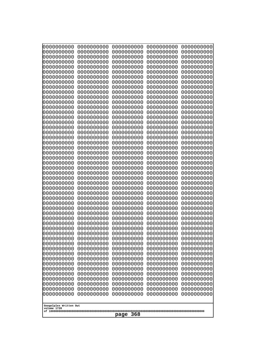| 0000000000                                                                                                                                                                                                                                                                                                                                                                                                                      | 0000000000                                                                                                                                                                                                                                                                                                                                                                             | 0000000000                                                                                                                                                                                                                                                                                                                                                                                            | 0000000000                                                                                                                                                                                                                                                                                                                                                                             | 0000000000                                                                                                                                                                                                                                                                                                                                                                             |
|---------------------------------------------------------------------------------------------------------------------------------------------------------------------------------------------------------------------------------------------------------------------------------------------------------------------------------------------------------------------------------------------------------------------------------|----------------------------------------------------------------------------------------------------------------------------------------------------------------------------------------------------------------------------------------------------------------------------------------------------------------------------------------------------------------------------------------|-------------------------------------------------------------------------------------------------------------------------------------------------------------------------------------------------------------------------------------------------------------------------------------------------------------------------------------------------------------------------------------------------------|----------------------------------------------------------------------------------------------------------------------------------------------------------------------------------------------------------------------------------------------------------------------------------------------------------------------------------------------------------------------------------------|----------------------------------------------------------------------------------------------------------------------------------------------------------------------------------------------------------------------------------------------------------------------------------------------------------------------------------------------------------------------------------------|
| 0000000000                                                                                                                                                                                                                                                                                                                                                                                                                      | 0000000000                                                                                                                                                                                                                                                                                                                                                                             | 0000000000                                                                                                                                                                                                                                                                                                                                                                                            | 0000000000                                                                                                                                                                                                                                                                                                                                                                             | 0000000000                                                                                                                                                                                                                                                                                                                                                                             |
| 0000000000                                                                                                                                                                                                                                                                                                                                                                                                                      | 0000000000                                                                                                                                                                                                                                                                                                                                                                             | 0000000000                                                                                                                                                                                                                                                                                                                                                                                            | 0000000000                                                                                                                                                                                                                                                                                                                                                                             | 0000000000                                                                                                                                                                                                                                                                                                                                                                             |
| 0000000000                                                                                                                                                                                                                                                                                                                                                                                                                      | 0000000000                                                                                                                                                                                                                                                                                                                                                                             | 0000000000                                                                                                                                                                                                                                                                                                                                                                                            | 0000000000                                                                                                                                                                                                                                                                                                                                                                             | 0000000000                                                                                                                                                                                                                                                                                                                                                                             |
| 0000000000                                                                                                                                                                                                                                                                                                                                                                                                                      | 0000000000                                                                                                                                                                                                                                                                                                                                                                             | 0000000000                                                                                                                                                                                                                                                                                                                                                                                            | 0000000000                                                                                                                                                                                                                                                                                                                                                                             | 0000000000                                                                                                                                                                                                                                                                                                                                                                             |
| 0000000000                                                                                                                                                                                                                                                                                                                                                                                                                      | 0000000000                                                                                                                                                                                                                                                                                                                                                                             | 0000000000                                                                                                                                                                                                                                                                                                                                                                                            | 0000000000                                                                                                                                                                                                                                                                                                                                                                             | 0000000000                                                                                                                                                                                                                                                                                                                                                                             |
| 0000000000                                                                                                                                                                                                                                                                                                                                                                                                                      | 0000000000                                                                                                                                                                                                                                                                                                                                                                             | 0000000000                                                                                                                                                                                                                                                                                                                                                                                            | 0000000000                                                                                                                                                                                                                                                                                                                                                                             | 0000000000                                                                                                                                                                                                                                                                                                                                                                             |
| 0000000000                                                                                                                                                                                                                                                                                                                                                                                                                      | 0000000000                                                                                                                                                                                                                                                                                                                                                                             | 0000000000                                                                                                                                                                                                                                                                                                                                                                                            | 0000000000                                                                                                                                                                                                                                                                                                                                                                             | 0000000000                                                                                                                                                                                                                                                                                                                                                                             |
| 0000000000                                                                                                                                                                                                                                                                                                                                                                                                                      | 0000000000                                                                                                                                                                                                                                                                                                                                                                             | 0000000000                                                                                                                                                                                                                                                                                                                                                                                            | 0000000000                                                                                                                                                                                                                                                                                                                                                                             | 0000000000                                                                                                                                                                                                                                                                                                                                                                             |
| 0000000000                                                                                                                                                                                                                                                                                                                                                                                                                      | 0000000000                                                                                                                                                                                                                                                                                                                                                                             | 0000000000                                                                                                                                                                                                                                                                                                                                                                                            | 0000000000                                                                                                                                                                                                                                                                                                                                                                             | 0000000000                                                                                                                                                                                                                                                                                                                                                                             |
| 0000000000                                                                                                                                                                                                                                                                                                                                                                                                                      | 0000000000                                                                                                                                                                                                                                                                                                                                                                             | 0000000000                                                                                                                                                                                                                                                                                                                                                                                            | 0000000000                                                                                                                                                                                                                                                                                                                                                                             | 0000000000                                                                                                                                                                                                                                                                                                                                                                             |
| 0000000000                                                                                                                                                                                                                                                                                                                                                                                                                      | 0000000000                                                                                                                                                                                                                                                                                                                                                                             | 0000000000                                                                                                                                                                                                                                                                                                                                                                                            | 0000000000                                                                                                                                                                                                                                                                                                                                                                             | 0000000000                                                                                                                                                                                                                                                                                                                                                                             |
| 0000000000                                                                                                                                                                                                                                                                                                                                                                                                                      | 0000000000                                                                                                                                                                                                                                                                                                                                                                             | 0000000000                                                                                                                                                                                                                                                                                                                                                                                            | 0000000000                                                                                                                                                                                                                                                                                                                                                                             | 0000000000                                                                                                                                                                                                                                                                                                                                                                             |
| 0000000000                                                                                                                                                                                                                                                                                                                                                                                                                      | 0000000000                                                                                                                                                                                                                                                                                                                                                                             | 0000000000                                                                                                                                                                                                                                                                                                                                                                                            | 0000000000                                                                                                                                                                                                                                                                                                                                                                             | 0000000000                                                                                                                                                                                                                                                                                                                                                                             |
| 0000000000                                                                                                                                                                                                                                                                                                                                                                                                                      | 0000000000                                                                                                                                                                                                                                                                                                                                                                             | 0000000000                                                                                                                                                                                                                                                                                                                                                                                            | 0000000000                                                                                                                                                                                                                                                                                                                                                                             | 0000000000                                                                                                                                                                                                                                                                                                                                                                             |
| 0000000000                                                                                                                                                                                                                                                                                                                                                                                                                      | 0000000000                                                                                                                                                                                                                                                                                                                                                                             | 0000000000                                                                                                                                                                                                                                                                                                                                                                                            | 0000000000                                                                                                                                                                                                                                                                                                                                                                             | 0000000000                                                                                                                                                                                                                                                                                                                                                                             |
| 0000000000                                                                                                                                                                                                                                                                                                                                                                                                                      | 0000000000                                                                                                                                                                                                                                                                                                                                                                             | 0000000000                                                                                                                                                                                                                                                                                                                                                                                            | 0000000000                                                                                                                                                                                                                                                                                                                                                                             | 0000000000                                                                                                                                                                                                                                                                                                                                                                             |
| 0000000000                                                                                                                                                                                                                                                                                                                                                                                                                      | 0000000000                                                                                                                                                                                                                                                                                                                                                                             | 0000000000                                                                                                                                                                                                                                                                                                                                                                                            | 0000000000                                                                                                                                                                                                                                                                                                                                                                             | 0000000000                                                                                                                                                                                                                                                                                                                                                                             |
| 0000000000                                                                                                                                                                                                                                                                                                                                                                                                                      | 0000000000                                                                                                                                                                                                                                                                                                                                                                             | 0000000000                                                                                                                                                                                                                                                                                                                                                                                            | 0000000000                                                                                                                                                                                                                                                                                                                                                                             | 0000000000                                                                                                                                                                                                                                                                                                                                                                             |
| 0000000000                                                                                                                                                                                                                                                                                                                                                                                                                      | 0000000000                                                                                                                                                                                                                                                                                                                                                                             | 0000000000                                                                                                                                                                                                                                                                                                                                                                                            | 0000000000                                                                                                                                                                                                                                                                                                                                                                             | 0000000000                                                                                                                                                                                                                                                                                                                                                                             |
| 0000000000                                                                                                                                                                                                                                                                                                                                                                                                                      | 0000000000                                                                                                                                                                                                                                                                                                                                                                             | 0000000000                                                                                                                                                                                                                                                                                                                                                                                            | 0000000000                                                                                                                                                                                                                                                                                                                                                                             | 0000000000                                                                                                                                                                                                                                                                                                                                                                             |
| 0000000000                                                                                                                                                                                                                                                                                                                                                                                                                      | 0000000000                                                                                                                                                                                                                                                                                                                                                                             | 0000000000                                                                                                                                                                                                                                                                                                                                                                                            | 0000000000                                                                                                                                                                                                                                                                                                                                                                             | 0000000000                                                                                                                                                                                                                                                                                                                                                                             |
| 0000000000                                                                                                                                                                                                                                                                                                                                                                                                                      | 0000000000                                                                                                                                                                                                                                                                                                                                                                             | 0000000000                                                                                                                                                                                                                                                                                                                                                                                            | 0000000000                                                                                                                                                                                                                                                                                                                                                                             | 0000000000                                                                                                                                                                                                                                                                                                                                                                             |
| 0000000000<br>0000000000<br>0000000000<br>0000000000<br>0000000000<br>0000000000<br>0000000000<br>0000000000<br>0000000000<br>0000000000<br>0000000000<br>0000000000<br>0000000000<br>0000000000<br>0000000000<br>0000000000<br>0000000000<br>0000000000<br>0000000000<br>0000000000<br>0000000000<br>0000000000<br>0000000000<br>0000000000<br>0000000000<br>0000000000<br>0000000000<br>Googolplex Written Out<br>volume 1720 | 0000000000<br>0000000000<br>0000000000<br>0000000000<br>0000000000<br>0000000000<br>0000000000<br>0000000000<br>0000000000<br>0000000000<br>0000000000<br>0000000000<br>0000000000<br>0000000000<br>0000000000<br>0000000000<br>0000000000<br>0000000000<br>0000000000<br>0000000000<br>0000000000<br>0000000000<br>0000000000<br>0000000000<br>0000000000<br>0000000000<br>0000000000 | 0000000000<br>0000000000<br>0000000000<br>0000000000<br>0000000000<br>0000000000<br>0000000000<br>0000000000<br>0000000000<br>0000000000<br>0000000000<br>0000000000<br>0000000000<br>0000000000<br>0000000000<br>0000000000<br>0000000000<br>0000000000<br>0000000000<br>0000000000<br>0000000000<br>0000000000<br>0000000000<br>0000000000<br>0000000000<br>0000000000<br>0000000000<br>368<br>page | 0000000000<br>0000000000<br>0000000000<br>0000000000<br>0000000000<br>0000000000<br>0000000000<br>0000000000<br>0000000000<br>0000000000<br>0000000000<br>0000000000<br>0000000000<br>0000000000<br>0000000000<br>0000000000<br>0000000000<br>0000000000<br>0000000000<br>0000000000<br>0000000000<br>0000000000<br>0000000000<br>0000000000<br>0000000000<br>0000000000<br>0000000000 | 0000000000<br>0000000000<br>0000000000<br>0000000000<br>0000000000<br>0000000000<br>0000000000<br>0000000000<br>0000000000<br>0000000000<br>0000000000<br>0000000000<br>0000000000<br>0000000000<br>0000000000<br>0000000000<br>0000000000<br>0000000000<br>0000000000<br>0000000000<br>0000000000<br>0000000000<br>0000000000<br>0000000000<br>0000000000<br>0000000000<br>0000000000 |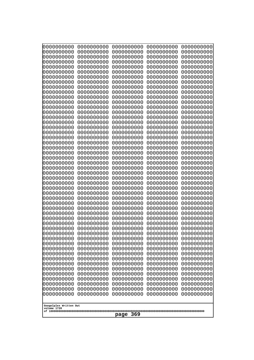| 0000000000                                                                                                                                                                                                                                                                                                                                                                                                                                                                               | 0000000000 | 0000000000 | 0000000000 | 0000000000 |
|------------------------------------------------------------------------------------------------------------------------------------------------------------------------------------------------------------------------------------------------------------------------------------------------------------------------------------------------------------------------------------------------------------------------------------------------------------------------------------------|------------|------------|------------|------------|
| 0000000000                                                                                                                                                                                                                                                                                                                                                                                                                                                                               | 0000000000 | 0000000000 | 0000000000 | 0000000000 |
| 0000000000                                                                                                                                                                                                                                                                                                                                                                                                                                                                               | 0000000000 | 0000000000 | 0000000000 | 0000000000 |
| 0000000000                                                                                                                                                                                                                                                                                                                                                                                                                                                                               | 0000000000 | 0000000000 | 0000000000 | 0000000000 |
| 0000000000                                                                                                                                                                                                                                                                                                                                                                                                                                                                               | 0000000000 | 0000000000 | 0000000000 | 0000000000 |
| 0000000000                                                                                                                                                                                                                                                                                                                                                                                                                                                                               | 0000000000 | 0000000000 | 0000000000 | 0000000000 |
| 0000000000                                                                                                                                                                                                                                                                                                                                                                                                                                                                               | 0000000000 | 0000000000 | 0000000000 | 0000000000 |
| 0000000000                                                                                                                                                                                                                                                                                                                                                                                                                                                                               | 0000000000 | 0000000000 | 0000000000 | 0000000000 |
| 0000000000                                                                                                                                                                                                                                                                                                                                                                                                                                                                               | 0000000000 | 0000000000 | 0000000000 | 0000000000 |
| 0000000000                                                                                                                                                                                                                                                                                                                                                                                                                                                                               | 0000000000 | 0000000000 | 0000000000 | 0000000000 |
| 0000000000                                                                                                                                                                                                                                                                                                                                                                                                                                                                               | 0000000000 | 0000000000 | 0000000000 | 0000000000 |
| 0000000000                                                                                                                                                                                                                                                                                                                                                                                                                                                                               | 0000000000 | 0000000000 | 0000000000 | 0000000000 |
| 0000000000                                                                                                                                                                                                                                                                                                                                                                                                                                                                               | 0000000000 | 0000000000 | 0000000000 | 0000000000 |
| 0000000000                                                                                                                                                                                                                                                                                                                                                                                                                                                                               | 0000000000 | 0000000000 | 0000000000 | 0000000000 |
| 0000000000                                                                                                                                                                                                                                                                                                                                                                                                                                                                               | 0000000000 | 0000000000 | 0000000000 | 0000000000 |
| 0000000000                                                                                                                                                                                                                                                                                                                                                                                                                                                                               | 0000000000 | 0000000000 | 0000000000 | 0000000000 |
| 0000000000                                                                                                                                                                                                                                                                                                                                                                                                                                                                               | 0000000000 | 0000000000 | 0000000000 | 0000000000 |
| 0000000000                                                                                                                                                                                                                                                                                                                                                                                                                                                                               | 0000000000 | 0000000000 | 0000000000 | 0000000000 |
| 0000000000                                                                                                                                                                                                                                                                                                                                                                                                                                                                               | 0000000000 | 0000000000 | 0000000000 | 0000000000 |
| 0000000000                                                                                                                                                                                                                                                                                                                                                                                                                                                                               | 0000000000 | 0000000000 | 0000000000 | 0000000000 |
| 0000000000                                                                                                                                                                                                                                                                                                                                                                                                                                                                               | 0000000000 | 0000000000 | 0000000000 | 0000000000 |
| 0000000000                                                                                                                                                                                                                                                                                                                                                                                                                                                                               | 0000000000 | 0000000000 | 0000000000 | 0000000000 |
| 0000000000                                                                                                                                                                                                                                                                                                                                                                                                                                                                               | 0000000000 | 0000000000 | 0000000000 | 0000000000 |
| 0000000000                                                                                                                                                                                                                                                                                                                                                                                                                                                                               | 0000000000 | 0000000000 | 0000000000 | 0000000000 |
| 0000000000                                                                                                                                                                                                                                                                                                                                                                                                                                                                               | 0000000000 | 0000000000 | 0000000000 | 0000000000 |
| 0000000000                                                                                                                                                                                                                                                                                                                                                                                                                                                                               | 0000000000 | 0000000000 | 0000000000 | 0000000000 |
| 0000000000                                                                                                                                                                                                                                                                                                                                                                                                                                                                               | 0000000000 | 0000000000 | 0000000000 | 0000000000 |
| 0000000000                                                                                                                                                                                                                                                                                                                                                                                                                                                                               | 0000000000 | 0000000000 | 0000000000 | 0000000000 |
| 0000000000                                                                                                                                                                                                                                                                                                                                                                                                                                                                               | 0000000000 | 0000000000 | 0000000000 | 0000000000 |
| 0000000000                                                                                                                                                                                                                                                                                                                                                                                                                                                                               | 0000000000 | 0000000000 | 0000000000 | 0000000000 |
| 0000000000                                                                                                                                                                                                                                                                                                                                                                                                                                                                               | 0000000000 | 0000000000 | 0000000000 | 0000000000 |
| 0000000000                                                                                                                                                                                                                                                                                                                                                                                                                                                                               | 0000000000 | 0000000000 | 0000000000 | 0000000000 |
| 0000000000                                                                                                                                                                                                                                                                                                                                                                                                                                                                               | 0000000000 | 0000000000 | 0000000000 | 0000000000 |
| 0000000000                                                                                                                                                                                                                                                                                                                                                                                                                                                                               | 0000000000 | 0000000000 | 0000000000 | 0000000000 |
| 0000000000                                                                                                                                                                                                                                                                                                                                                                                                                                                                               | 0000000000 | 0000000000 | 0000000000 | 0000000000 |
| 0000000000                                                                                                                                                                                                                                                                                                                                                                                                                                                                               | 0000000000 | 0000000000 | 0000000000 | 0000000000 |
| 0000000000                                                                                                                                                                                                                                                                                                                                                                                                                                                                               | 0000000000 | 0000000000 | 0000000000 | 0000000000 |
| 0000000000                                                                                                                                                                                                                                                                                                                                                                                                                                                                               | 0000000000 | 0000000000 | 0000000000 | 0000000000 |
| 0000000000                                                                                                                                                                                                                                                                                                                                                                                                                                                                               | 0000000000 | 0000000000 | 0000000000 | 0000000000 |
| 0000000000                                                                                                                                                                                                                                                                                                                                                                                                                                                                               | 0000000000 | 0000000000 | 0000000000 | 0000000000 |
| 0000000000                                                                                                                                                                                                                                                                                                                                                                                                                                                                               | 0000000000 | 0000000000 | 0000000000 | 0000000000 |
| 0000000000                                                                                                                                                                                                                                                                                                                                                                                                                                                                               | 0000000000 | 0000000000 | 0000000000 | 0000000000 |
| 0000000000                                                                                                                                                                                                                                                                                                                                                                                                                                                                               | 0000000000 | 0000000000 | 0000000000 | 0000000000 |
| 0000000000                                                                                                                                                                                                                                                                                                                                                                                                                                                                               | 0000000000 | 0000000000 | 0000000000 | 0000000000 |
| 0000000000<br>0000000000<br>0000000000<br>0000000000<br>0000000000<br>0000000000<br>0000000000<br>0000000000<br>0000000000<br>0000000000<br>0000000000<br>0000000000<br>0000000000<br>0000000000<br>0000000000<br>0000000000<br>0000000000<br>0000000000<br>0000000000<br>0000000000<br>0000000000<br>0000000000<br>0000000000<br>0000000000<br>0000000000<br>0000000000<br>0000000000<br>0000000000<br>0000000000<br>0000000000<br>Googolplex Written Out<br>volume 1720<br>369<br>page |            |            |            |            |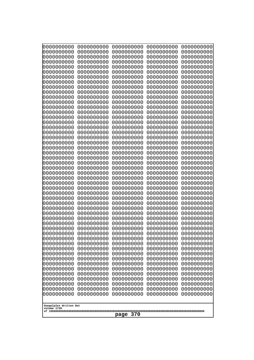| 10000000000<br>0000000000             | 0000000000<br>0000000000 | 0000000000<br>0000000000 | 0000000000<br>0000000000 | 0000000000<br>0000000000 |  |
|---------------------------------------|--------------------------|--------------------------|--------------------------|--------------------------|--|
| 0000000000                            | 0000000000               | 0000000000               | 0000000000               | 0000000000               |  |
| 0000000000                            | 0000000000               | 0000000000               | 0000000000               | 0000000000               |  |
| 0000000000<br>0000000000              | 0000000000<br>0000000000 | 0000000000<br>0000000000 | 0000000000<br>0000000000 | 0000000000<br>0000000000 |  |
| 0000000000                            | 0000000000               | 0000000000               | 0000000000               | 0000000000               |  |
| 0000000000                            | 0000000000               | 0000000000               | 0000000000               | 0000000000               |  |
| 0000000000<br>0000000000              | 0000000000<br>0000000000 | 0000000000<br>0000000000 | 0000000000<br>0000000000 | 0000000000<br>0000000000 |  |
| 0000000000                            | 0000000000               | 0000000000               | 0000000000               | 0000000000               |  |
| 0000000000                            | 0000000000               | 0000000000               | 0000000000               | 0000000000               |  |
| 0000000000<br>0000000000              | 0000000000<br>0000000000 | 0000000000<br>0000000000 | 0000000000<br>0000000000 | 0000000000<br>0000000000 |  |
| 0000000000                            | 0000000000               | 0000000000               | 0000000000               | 0000000000               |  |
| 0000000000                            | 0000000000               | 0000000000               | 0000000000               | 0000000000               |  |
| 0000000000<br>0000000000              | 0000000000<br>0000000000 | 0000000000<br>0000000000 | 0000000000<br>0000000000 | 0000000000<br>0000000000 |  |
| 0000000000                            | 0000000000               | 0000000000               | 0000000000               | 0000000000               |  |
| 0000000000                            | 0000000000               | 0000000000               | 0000000000               | 0000000000               |  |
| 0000000000<br>0000000000              | 0000000000<br>0000000000 | 0000000000<br>0000000000 | 0000000000<br>0000000000 | 0000000000<br>0000000000 |  |
| 0000000000                            | 0000000000               | 0000000000               | 0000000000               | 0000000000               |  |
| 0000000000                            | 0000000000               | 0000000000               | 0000000000               | 0000000000               |  |
| 0000000000<br>0000000000              | 0000000000<br>0000000000 | 0000000000<br>0000000000 | 0000000000<br>0000000000 | 0000000000<br>0000000000 |  |
| 0000000000                            | 0000000000               | 0000000000               | 0000000000               | 0000000000               |  |
| 0000000000                            | 0000000000               | 0000000000               | 0000000000               | 0000000000               |  |
| 0000000000<br>0000000000              | 0000000000<br>0000000000 | 0000000000<br>0000000000 | 0000000000<br>0000000000 | 0000000000<br>0000000000 |  |
| 0000000000                            | 0000000000               | 0000000000               | 0000000000               | 0000000000               |  |
| 0000000000                            | 0000000000               | 0000000000               | 0000000000               | 0000000000               |  |
| 0000000000<br>0000000000              | 0000000000<br>0000000000 | 0000000000<br>0000000000 | 0000000000<br>0000000000 | 0000000000<br>0000000000 |  |
| 0000000000                            | 0000000000               | 0000000000               | 0000000000               | 0000000000               |  |
| 0000000000                            | 0000000000               | 0000000000               | 0000000000               | 0000000000               |  |
| 0000000000<br>0000000000              | 0000000000<br>0000000000 | 0000000000<br>0000000000 | 0000000000<br>0000000000 | 0000000000<br>0000000000 |  |
| 0000000000                            | 0000000000               | 0000000000               | 0000000000               | 0000000000               |  |
| 0000000000                            | 0000000000               | 0000000000               | 0000000000               | 0000000000               |  |
| 0000000000<br>0000000000              | 0000000000<br>0000000000 | 0000000000<br>0000000000 | 0000000000<br>0000000000 | 0000000000<br>0000000000 |  |
| 0000000000                            | 0000000000               | 0000000000               | 0000000000               | 0000000000               |  |
| 0000000000                            | 0000000000               | 0000000000               | 0000000000               | 0000000000               |  |
| 0000000000<br>0000000000              | 0000000000<br>0000000000 | 0000000000<br>0000000000 | 0000000000<br>0000000000 | 0000000000<br>0000000000 |  |
| 0000000000                            | 0000000000               | 0000000000               | 0000000000               | 0000000000               |  |
| 0000000000                            | 0000000000               | 0000000000               | 0000000000               | 0000000000               |  |
| 0000000000<br>0000000000              | 0000000000<br>0000000000 | 0000000000<br>0000000000 | 0000000000<br>0000000000 | 0000000000<br>0000000000 |  |
|                                       |                          |                          |                          |                          |  |
| Googolplex Written Out<br>volume 1720 |                          |                          |                          |                          |  |
| 370<br>page                           |                          |                          |                          |                          |  |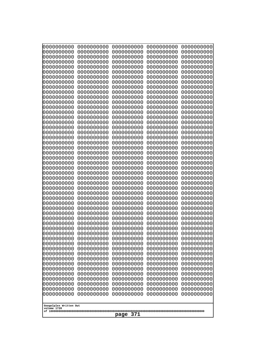| 0000000000                                                                                                          | 0000000000 | 0000000000 | 0000000000 | 0000000000 |
|---------------------------------------------------------------------------------------------------------------------|------------|------------|------------|------------|
| 0000000000                                                                                                          | 0000000000 | 0000000000 | 0000000000 | 0000000000 |
| 0000000000                                                                                                          | 0000000000 | 0000000000 | 0000000000 | 0000000000 |
| 0000000000                                                                                                          | 0000000000 | 0000000000 | 0000000000 | 0000000000 |
| 0000000000                                                                                                          | 0000000000 | 0000000000 | 0000000000 | 0000000000 |
| 0000000000                                                                                                          | 0000000000 | 0000000000 | 0000000000 | 0000000000 |
| 0000000000                                                                                                          | 0000000000 | 0000000000 | 0000000000 | 0000000000 |
| 0000000000                                                                                                          | 0000000000 | 0000000000 | 0000000000 | 0000000000 |
| 0000000000                                                                                                          | 0000000000 | 0000000000 | 0000000000 | 0000000000 |
| 0000000000                                                                                                          | 0000000000 | 0000000000 | 0000000000 | 0000000000 |
| 0000000000                                                                                                          | 0000000000 | 0000000000 | 0000000000 | 0000000000 |
| 0000000000                                                                                                          | 0000000000 | 0000000000 | 0000000000 | 0000000000 |
| 0000000000                                                                                                          | 0000000000 | 0000000000 | 0000000000 | 0000000000 |
| 0000000000                                                                                                          | 0000000000 | 0000000000 | 0000000000 | 0000000000 |
| 0000000000                                                                                                          | 0000000000 | 0000000000 | 0000000000 | 0000000000 |
| 0000000000                                                                                                          | 0000000000 | 0000000000 | 0000000000 | 0000000000 |
| 0000000000                                                                                                          | 0000000000 | 0000000000 | 0000000000 | 0000000000 |
| 0000000000                                                                                                          | 0000000000 | 0000000000 | 0000000000 | 0000000000 |
| 0000000000                                                                                                          | 0000000000 | 0000000000 | 0000000000 | 0000000000 |
| 0000000000                                                                                                          | 0000000000 | 0000000000 | 0000000000 | 0000000000 |
| 0000000000                                                                                                          | 0000000000 | 0000000000 | 0000000000 | 0000000000 |
| 0000000000                                                                                                          | 0000000000 | 0000000000 | 0000000000 | 0000000000 |
| 0000000000                                                                                                          | 0000000000 | 0000000000 | 0000000000 | 0000000000 |
| 0000000000                                                                                                          | 0000000000 | 0000000000 | 0000000000 | 0000000000 |
| 0000000000                                                                                                          | 0000000000 | 0000000000 | 0000000000 | 0000000000 |
| 0000000000                                                                                                          | 0000000000 | 0000000000 | 0000000000 | 0000000000 |
| 0000000000                                                                                                          | 0000000000 | 0000000000 | 0000000000 | 0000000000 |
| 0000000000                                                                                                          | 0000000000 | 0000000000 | 0000000000 | 0000000000 |
| 0000000000                                                                                                          | 0000000000 | 0000000000 | 0000000000 | 0000000000 |
| 0000000000                                                                                                          | 0000000000 | 0000000000 | 0000000000 | 0000000000 |
| 0000000000                                                                                                          | 0000000000 | 0000000000 | 0000000000 | 0000000000 |
| 0000000000                                                                                                          | 0000000000 | 0000000000 | 0000000000 | 0000000000 |
| 0000000000                                                                                                          | 0000000000 | 0000000000 | 0000000000 | 0000000000 |
| 0000000000                                                                                                          | 0000000000 | 0000000000 | 0000000000 | 0000000000 |
| 0000000000                                                                                                          | 0000000000 | 0000000000 | 0000000000 | 0000000000 |
| 0000000000                                                                                                          | 0000000000 | 0000000000 | 0000000000 | 0000000000 |
| 0000000000                                                                                                          | 0000000000 | 0000000000 | 0000000000 | 0000000000 |
| 0000000000                                                                                                          | 0000000000 | 0000000000 | 0000000000 | 0000000000 |
| 0000000000                                                                                                          | 0000000000 | 0000000000 | 0000000000 | 0000000000 |
| 0000000000                                                                                                          | 0000000000 | 0000000000 | 0000000000 | 0000000000 |
| 0000000000                                                                                                          | 0000000000 | 0000000000 | 0000000000 | 0000000000 |
| 0000000000                                                                                                          | 0000000000 | 0000000000 | 0000000000 | 0000000000 |
| 0000000000                                                                                                          | 0000000000 | 0000000000 | 0000000000 | 0000000000 |
| 0000000000                                                                                                          | 0000000000 | 0000000000 | 0000000000 | 0000000000 |
| 0000000000                                                                                                          | 0000000000 | 0000000000 | 0000000000 | 0000000000 |
| 0000000000                                                                                                          | 0000000000 | 0000000000 | 0000000000 | 0000000000 |
| 0000000000                                                                                                          | 0000000000 | 0000000000 | 0000000000 | 0000000000 |
| 0000000000                                                                                                          | 0000000000 | 0000000000 | 0000000000 | 0000000000 |
| 0000000000                                                                                                          | 0000000000 | 0000000000 | 0000000000 | 0000000000 |
| 0000000000<br>0000000000<br>0000000000<br>0000000000<br>0000000000<br>Googolplex Written Out<br>volume 1720<br>page |            |            |            |            |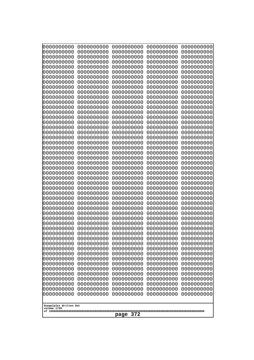| 000000000<br>0000000000                                            | 0000000000<br>0000000000 | 0000000000<br>0000000000 | 0000000000<br>0000000000 | 0000000000<br>0000000000 |  |
|--------------------------------------------------------------------|--------------------------|--------------------------|--------------------------|--------------------------|--|
| 0000000000<br>0000000000                                           | 0000000000<br>0000000000 | 0000000000<br>0000000000 | 0000000000<br>0000000000 | 0000000000<br>0000000000 |  |
| 0000000000                                                         | 0000000000               | 0000000000               | 0000000000               | 0000000000               |  |
| 0000000000<br>0000000000                                           | 0000000000<br>0000000000 | 0000000000<br>0000000000 | 0000000000<br>0000000000 | 0000000000<br>0000000000 |  |
| 0000000000                                                         | 0000000000               | 0000000000               | 0000000000               | 0000000000               |  |
| 0000000000<br>0000000000                                           | 0000000000<br>0000000000 | 0000000000<br>0000000000 | 0000000000<br>0000000000 | 0000000000<br>0000000000 |  |
| 0000000000                                                         | 0000000000               | 0000000000               | 0000000000               | 0000000000               |  |
| 0000000000<br>0000000000                                           | 0000000000<br>0000000000 | 0000000000<br>0000000000 | 0000000000<br>0000000000 | 0000000000<br>0000000000 |  |
| 0000000000                                                         | 0000000000               | 0000000000               | 0000000000               | 0000000000               |  |
| 0000000000                                                         | 0000000000               | 0000000000               | 0000000000               | 0000000000               |  |
| 0000000000<br>0000000000                                           | 0000000000<br>0000000000 | 0000000000<br>0000000000 | 0000000000<br>0000000000 | 0000000000<br>0000000000 |  |
| 0000000000                                                         | 0000000000               | 0000000000               | 0000000000               | 0000000000               |  |
| 0000000000<br>0000000000                                           | 0000000000<br>0000000000 | 0000000000<br>0000000000 | 0000000000<br>0000000000 | 0000000000<br>0000000000 |  |
| 0000000000                                                         | 0000000000               | 0000000000               | 0000000000               | 0000000000               |  |
| 0000000000<br>0000000000                                           | 0000000000<br>0000000000 | 0000000000<br>0000000000 | 0000000000<br>0000000000 | 0000000000<br>0000000000 |  |
| 0000000000                                                         | 0000000000               | 0000000000               | 0000000000               | 0000000000               |  |
| 0000000000<br>0000000000                                           | 0000000000<br>0000000000 | 0000000000<br>0000000000 | 0000000000<br>0000000000 | 0000000000<br>0000000000 |  |
| 0000000000                                                         | 0000000000               | 0000000000               | 0000000000               | 0000000000               |  |
| 0000000000<br>0000000000                                           | 0000000000<br>0000000000 | 0000000000<br>0000000000 | 0000000000<br>0000000000 | 0000000000<br>0000000000 |  |
| 0000000000                                                         | 0000000000               | 0000000000               | 0000000000               | 0000000000               |  |
| 0000000000<br>0000000000                                           | 0000000000<br>0000000000 | 0000000000<br>0000000000 | 0000000000<br>0000000000 | 0000000000<br>0000000000 |  |
| 0000000000                                                         | 0000000000               | 0000000000               | 0000000000               | 0000000000               |  |
| 0000000000<br>0000000000                                           | 0000000000<br>0000000000 | 0000000000<br>0000000000 | 0000000000<br>0000000000 | 0000000000<br>0000000000 |  |
| 0000000000                                                         | 0000000000               | 0000000000               | 0000000000               | 0000000000               |  |
| 0000000000<br>0000000000                                           | 0000000000<br>0000000000 | 0000000000<br>0000000000 | 0000000000<br>0000000000 | 0000000000<br>0000000000 |  |
| 0000000000                                                         | 0000000000               | 0000000000               | 0000000000               | 0000000000               |  |
| 0000000000<br>0000000000                                           | 0000000000<br>0000000000 | 0000000000<br>0000000000 | 0000000000<br>0000000000 | 0000000000<br>0000000000 |  |
| 0000000000                                                         | 0000000000               | 0000000000               | 0000000000               | 0000000000               |  |
| 0000000000<br>0000000000                                           | 0000000000<br>0000000000 | 0000000000<br>0000000000 | 0000000000<br>0000000000 | 0000000000<br>0000000000 |  |
| 0000000000                                                         | 0000000000               | 0000000000               | 0000000000               | 0000000000               |  |
| 0000000000<br>0000000000                                           | 0000000000<br>0000000000 | 0000000000<br>0000000000 | 0000000000<br>0000000000 | 0000000000<br>0000000000 |  |
| 0000000000                                                         | 0000000000               | 0000000000               | 0000000000               | 0000000000               |  |
| 0000000000                                                         | 0000000000               | 0000000000               | 0000000000               | 0000000000               |  |
| 0000000000<br>0000000000<br>0000000000<br>0000000000<br>0000000000 |                          |                          |                          |                          |  |
| Googolplex Written Out<br>volume 1720                              |                          |                          |                          |                          |  |
| 372<br>page                                                        |                          |                          |                          |                          |  |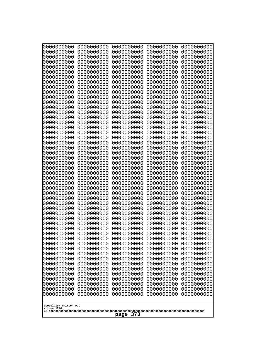| Googolplex Written Out<br>volume 1720<br>373<br>page | 0000000000<br>0000000000<br>0000000000<br>0000000000<br>0000000000<br>0000000000<br>0000000000<br>0000000000<br>0000000000<br>0000000000<br>0000000000<br>0000000000<br>0000000000<br>0000000000<br>0000000000<br>0000000000<br>0000000000<br>0000000000<br>0000000000<br>0000000000<br>0000000000<br>0000000000<br>0000000000<br>0000000000<br>0000000000<br>0000000000<br>0000000000<br>0000000000<br>0000000000<br>0000000000<br>0000000000<br>0000000000<br>0000000000<br>0000000000<br>0000000000<br>0000000000<br>0000000000<br>10000000000<br>0000000000<br>0000000000<br>0000000000<br>0000000000<br>0000000000<br>0000000000<br>0000000000<br>0000000000<br>0000000000<br>0000000000<br>0000000000<br>0000000000 | 0000000000<br>0000000000<br>0000000000<br>0000000000<br>0000000000<br>0000000000<br>0000000000<br>0000000000<br>0000000000<br>0000000000<br>0000000000<br>0000000000<br>0000000000<br>0000000000<br>0000000000<br>0000000000<br>0000000000<br>0000000000<br>0000000000<br>0000000000<br>0000000000<br>0000000000<br>0000000000<br>0000000000<br>0000000000<br>0000000000<br>0000000000<br>0000000000<br>0000000000<br>0000000000<br>0000000000<br>0000000000<br>0000000000<br>0000000000<br>0000000000<br>0000000000<br>0000000000<br>0000000000<br>0000000000<br>0000000000<br>0000000000<br>0000000000<br>0000000000<br>0000000000<br>0000000000<br>0000000000<br>0000000000<br>0000000000<br>0000000000<br>0000000000 | 0000000000<br>0000000000<br>0000000000<br>0000000000<br>0000000000<br>0000000000<br>0000000000<br>0000000000<br>0000000000<br>0000000000<br>0000000000<br>0000000000<br>0000000000<br>0000000000<br>0000000000<br>0000000000<br>0000000000<br>0000000000<br>0000000000<br>0000000000<br>0000000000<br>0000000000<br>0000000000<br>0000000000<br>0000000000<br>0000000000<br>0000000000<br>0000000000<br>0000000000<br>0000000000<br>0000000000<br>0000000000<br>0000000000<br>0000000000<br>0000000000<br>0000000000<br>0000000000<br>0000000000<br>0000000000<br>0000000000<br>0000000000<br>0000000000<br>0000000000<br>0000000000<br>0000000000<br>0000000000<br>0000000000<br>0000000000<br>0000000000<br>0000000000 | 0000000000<br>0000000000<br>0000000000<br>0000000000<br>0000000000<br>0000000000<br>0000000000<br>0000000000<br>0000000000<br>0000000000<br>0000000000<br>0000000000<br>0000000000<br>0000000000<br>0000000000<br>0000000000<br>0000000000<br>0000000000<br>0000000000<br>0000000000<br>0000000000<br>0000000000<br>0000000000<br>0000000000<br>0000000000<br>0000000000<br>0000000000<br>0000000000<br>0000000000<br>0000000000<br>0000000000<br>0000000000<br>0000000000<br>0000000000<br>0000000000<br>0000000000<br>0000000000<br>0000000000<br>0000000000<br>0000000000<br>0000000000<br>0000000000<br>0000000000<br>0000000000<br>0000000000<br>0000000000<br>0000000000<br>0000000000<br>0000000000<br>0000000000 | 0000000000<br>0000000000<br>0000000000<br>0000000000<br>0000000000<br>0000000000<br>0000000000<br>0000000000<br>0000000000<br>0000000000<br>0000000000<br>0000000000<br>0000000000<br>0000000000<br>0000000000<br>0000000000<br>0000000000<br>0000000000<br>0000000000<br>0000000000<br>0000000000<br>0000000000<br>0000000000<br>0000000000<br>0000000000<br>0000000000<br>0000000000<br>0000000000<br>0000000000<br>0000000000<br>0000000000<br>0000000000<br>0000000000<br>0000000000<br>0000000000<br>0000000000<br>0000000000<br>0000000000<br>0000000000<br>0000000000<br>0000000000<br>0000000000<br>0000000000<br>0000000000<br>0000000000<br>0000000000<br>0000000000<br>0000000000<br>0000000000<br>0000000000 |
|------------------------------------------------------|---------------------------------------------------------------------------------------------------------------------------------------------------------------------------------------------------------------------------------------------------------------------------------------------------------------------------------------------------------------------------------------------------------------------------------------------------------------------------------------------------------------------------------------------------------------------------------------------------------------------------------------------------------------------------------------------------------------------------|--------------------------------------------------------------------------------------------------------------------------------------------------------------------------------------------------------------------------------------------------------------------------------------------------------------------------------------------------------------------------------------------------------------------------------------------------------------------------------------------------------------------------------------------------------------------------------------------------------------------------------------------------------------------------------------------------------------------------|--------------------------------------------------------------------------------------------------------------------------------------------------------------------------------------------------------------------------------------------------------------------------------------------------------------------------------------------------------------------------------------------------------------------------------------------------------------------------------------------------------------------------------------------------------------------------------------------------------------------------------------------------------------------------------------------------------------------------|--------------------------------------------------------------------------------------------------------------------------------------------------------------------------------------------------------------------------------------------------------------------------------------------------------------------------------------------------------------------------------------------------------------------------------------------------------------------------------------------------------------------------------------------------------------------------------------------------------------------------------------------------------------------------------------------------------------------------|--------------------------------------------------------------------------------------------------------------------------------------------------------------------------------------------------------------------------------------------------------------------------------------------------------------------------------------------------------------------------------------------------------------------------------------------------------------------------------------------------------------------------------------------------------------------------------------------------------------------------------------------------------------------------------------------------------------------------|
|                                                      |                                                                                                                                                                                                                                                                                                                                                                                                                                                                                                                                                                                                                                                                                                                           |                                                                                                                                                                                                                                                                                                                                                                                                                                                                                                                                                                                                                                                                                                                          |                                                                                                                                                                                                                                                                                                                                                                                                                                                                                                                                                                                                                                                                                                                          |                                                                                                                                                                                                                                                                                                                                                                                                                                                                                                                                                                                                                                                                                                                          |                                                                                                                                                                                                                                                                                                                                                                                                                                                                                                                                                                                                                                                                                                                          |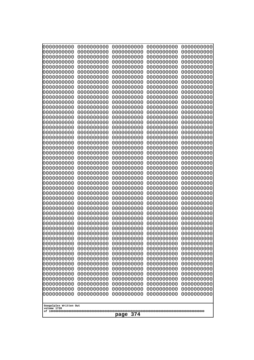| 0000000000<br>0000000000<br>0000000000<br>0000000000<br>0000000000<br>0000000000<br>0000000000<br>0000000000<br>0000000000<br>0000000000<br>0000000000<br>0000000000<br>0000000000<br>0000000000<br>0000000000<br>0000000000<br>0000000000<br>0000000000<br>0000000000<br>0000000000<br>0000000000<br>0000000000<br>0000000000<br>0000000000 | 0000000000<br>0000000000<br>0000000000<br>0000000000<br>0000000000<br>0000000000<br>0000000000<br>0000000000<br>0000000000<br>0000000000<br>0000000000<br>0000000000<br>0000000000<br>0000000000<br>0000000000<br>0000000000<br>0000000000<br>0000000000<br>0000000000<br>0000000000<br>0000000000<br>0000000000<br>0000000000<br>0000000000 | 0000000000<br>0000000000<br>0000000000<br>0000000000<br>0000000000<br>0000000000<br>0000000000<br>0000000000<br>0000000000<br>0000000000<br>0000000000<br>0000000000<br>0000000000<br>0000000000<br>0000000000<br>0000000000<br>0000000000<br>0000000000<br>0000000000<br>0000000000<br>0000000000<br>0000000000<br>0000000000<br>0000000000 | 0000000000<br>0000000000<br>0000000000<br>0000000000<br>0000000000<br>0000000000<br>0000000000<br>0000000000<br>0000000000<br>0000000000<br>0000000000<br>0000000000<br>0000000000<br>0000000000<br>0000000000<br>0000000000<br>0000000000<br>0000000000<br>0000000000<br>0000000000<br>0000000000<br>0000000000<br>0000000000<br>0000000000 | 0000000000<br>0000000000<br>0000000000<br>0000000000<br>0000000000<br>0000000000<br>0000000000<br>0000000000<br>0000000000<br>0000000000<br>0000000000<br>0000000000<br>0000000000<br>0000000000<br>0000000000<br>0000000000<br>0000000000<br>0000000000<br>0000000000<br>0000000000<br>0000000000<br>0000000000<br>0000000000<br>0000000000 |
|----------------------------------------------------------------------------------------------------------------------------------------------------------------------------------------------------------------------------------------------------------------------------------------------------------------------------------------------|----------------------------------------------------------------------------------------------------------------------------------------------------------------------------------------------------------------------------------------------------------------------------------------------------------------------------------------------|----------------------------------------------------------------------------------------------------------------------------------------------------------------------------------------------------------------------------------------------------------------------------------------------------------------------------------------------|----------------------------------------------------------------------------------------------------------------------------------------------------------------------------------------------------------------------------------------------------------------------------------------------------------------------------------------------|----------------------------------------------------------------------------------------------------------------------------------------------------------------------------------------------------------------------------------------------------------------------------------------------------------------------------------------------|
|                                                                                                                                                                                                                                                                                                                                              |                                                                                                                                                                                                                                                                                                                                              |                                                                                                                                                                                                                                                                                                                                              |                                                                                                                                                                                                                                                                                                                                              |                                                                                                                                                                                                                                                                                                                                              |
|                                                                                                                                                                                                                                                                                                                                              |                                                                                                                                                                                                                                                                                                                                              |                                                                                                                                                                                                                                                                                                                                              |                                                                                                                                                                                                                                                                                                                                              |                                                                                                                                                                                                                                                                                                                                              |
|                                                                                                                                                                                                                                                                                                                                              |                                                                                                                                                                                                                                                                                                                                              |                                                                                                                                                                                                                                                                                                                                              |                                                                                                                                                                                                                                                                                                                                              |                                                                                                                                                                                                                                                                                                                                              |
|                                                                                                                                                                                                                                                                                                                                              |                                                                                                                                                                                                                                                                                                                                              |                                                                                                                                                                                                                                                                                                                                              |                                                                                                                                                                                                                                                                                                                                              |                                                                                                                                                                                                                                                                                                                                              |
|                                                                                                                                                                                                                                                                                                                                              |                                                                                                                                                                                                                                                                                                                                              |                                                                                                                                                                                                                                                                                                                                              |                                                                                                                                                                                                                                                                                                                                              |                                                                                                                                                                                                                                                                                                                                              |
|                                                                                                                                                                                                                                                                                                                                              |                                                                                                                                                                                                                                                                                                                                              |                                                                                                                                                                                                                                                                                                                                              |                                                                                                                                                                                                                                                                                                                                              |                                                                                                                                                                                                                                                                                                                                              |
|                                                                                                                                                                                                                                                                                                                                              |                                                                                                                                                                                                                                                                                                                                              |                                                                                                                                                                                                                                                                                                                                              |                                                                                                                                                                                                                                                                                                                                              |                                                                                                                                                                                                                                                                                                                                              |
|                                                                                                                                                                                                                                                                                                                                              |                                                                                                                                                                                                                                                                                                                                              |                                                                                                                                                                                                                                                                                                                                              |                                                                                                                                                                                                                                                                                                                                              |                                                                                                                                                                                                                                                                                                                                              |
|                                                                                                                                                                                                                                                                                                                                              |                                                                                                                                                                                                                                                                                                                                              |                                                                                                                                                                                                                                                                                                                                              |                                                                                                                                                                                                                                                                                                                                              |                                                                                                                                                                                                                                                                                                                                              |
|                                                                                                                                                                                                                                                                                                                                              |                                                                                                                                                                                                                                                                                                                                              |                                                                                                                                                                                                                                                                                                                                              |                                                                                                                                                                                                                                                                                                                                              |                                                                                                                                                                                                                                                                                                                                              |
|                                                                                                                                                                                                                                                                                                                                              |                                                                                                                                                                                                                                                                                                                                              |                                                                                                                                                                                                                                                                                                                                              |                                                                                                                                                                                                                                                                                                                                              |                                                                                                                                                                                                                                                                                                                                              |
|                                                                                                                                                                                                                                                                                                                                              |                                                                                                                                                                                                                                                                                                                                              |                                                                                                                                                                                                                                                                                                                                              |                                                                                                                                                                                                                                                                                                                                              |                                                                                                                                                                                                                                                                                                                                              |
|                                                                                                                                                                                                                                                                                                                                              |                                                                                                                                                                                                                                                                                                                                              |                                                                                                                                                                                                                                                                                                                                              |                                                                                                                                                                                                                                                                                                                                              |                                                                                                                                                                                                                                                                                                                                              |
| 0000000000<br>0000000000                                                                                                                                                                                                                                                                                                                     | 0000000000<br>0000000000                                                                                                                                                                                                                                                                                                                     | 0000000000<br>0000000000                                                                                                                                                                                                                                                                                                                     | 0000000000<br>0000000000                                                                                                                                                                                                                                                                                                                     | 0000000000<br>0000000000                                                                                                                                                                                                                                                                                                                     |
| 0000000000                                                                                                                                                                                                                                                                                                                                   | 0000000000                                                                                                                                                                                                                                                                                                                                   | 0000000000                                                                                                                                                                                                                                                                                                                                   | 0000000000                                                                                                                                                                                                                                                                                                                                   | 0000000000                                                                                                                                                                                                                                                                                                                                   |
| 0000000000<br>0000000000                                                                                                                                                                                                                                                                                                                     | 0000000000<br>0000000000                                                                                                                                                                                                                                                                                                                     | 0000000000<br>0000000000                                                                                                                                                                                                                                                                                                                     | 0000000000<br>0000000000                                                                                                                                                                                                                                                                                                                     | 0000000000<br>0000000000                                                                                                                                                                                                                                                                                                                     |
| 0000000000                                                                                                                                                                                                                                                                                                                                   | 0000000000                                                                                                                                                                                                                                                                                                                                   | 0000000000                                                                                                                                                                                                                                                                                                                                   | 0000000000                                                                                                                                                                                                                                                                                                                                   | 0000000000                                                                                                                                                                                                                                                                                                                                   |
| 0000000000<br>0000000000                                                                                                                                                                                                                                                                                                                     | 0000000000<br>0000000000                                                                                                                                                                                                                                                                                                                     | 0000000000<br>0000000000                                                                                                                                                                                                                                                                                                                     | 0000000000<br>0000000000                                                                                                                                                                                                                                                                                                                     | 0000000000<br>0000000000                                                                                                                                                                                                                                                                                                                     |
| 0000000000                                                                                                                                                                                                                                                                                                                                   | 0000000000                                                                                                                                                                                                                                                                                                                                   | 0000000000                                                                                                                                                                                                                                                                                                                                   | 0000000000                                                                                                                                                                                                                                                                                                                                   | 0000000000                                                                                                                                                                                                                                                                                                                                   |
| 0000000000                                                                                                                                                                                                                                                                                                                                   | 0000000000                                                                                                                                                                                                                                                                                                                                   | 0000000000                                                                                                                                                                                                                                                                                                                                   | 0000000000                                                                                                                                                                                                                                                                                                                                   | 0000000000                                                                                                                                                                                                                                                                                                                                   |
| 0000000000<br>0000000000                                                                                                                                                                                                                                                                                                                     | 0000000000<br>0000000000                                                                                                                                                                                                                                                                                                                     | 0000000000<br>0000000000                                                                                                                                                                                                                                                                                                                     | 0000000000<br>0000000000                                                                                                                                                                                                                                                                                                                     | 0000000000<br>0000000000                                                                                                                                                                                                                                                                                                                     |
| 0000000000                                                                                                                                                                                                                                                                                                                                   | 0000000000                                                                                                                                                                                                                                                                                                                                   | 0000000000                                                                                                                                                                                                                                                                                                                                   | 0000000000                                                                                                                                                                                                                                                                                                                                   | 0000000000                                                                                                                                                                                                                                                                                                                                   |
| 0000000000<br>0000000000                                                                                                                                                                                                                                                                                                                     | 0000000000<br>0000000000                                                                                                                                                                                                                                                                                                                     | 0000000000<br>0000000000                                                                                                                                                                                                                                                                                                                     | 0000000000<br>0000000000                                                                                                                                                                                                                                                                                                                     | 0000000000<br>0000000000                                                                                                                                                                                                                                                                                                                     |
| 0000000000                                                                                                                                                                                                                                                                                                                                   | 0000000000                                                                                                                                                                                                                                                                                                                                   | 0000000000                                                                                                                                                                                                                                                                                                                                   | 0000000000                                                                                                                                                                                                                                                                                                                                   | 0000000000                                                                                                                                                                                                                                                                                                                                   |
| 0000000000<br>0000000000                                                                                                                                                                                                                                                                                                                     | 0000000000<br>0000000000                                                                                                                                                                                                                                                                                                                     | 0000000000<br>0000000000                                                                                                                                                                                                                                                                                                                     | 0000000000<br>0000000000                                                                                                                                                                                                                                                                                                                     | 0000000000<br>0000000000                                                                                                                                                                                                                                                                                                                     |
| 0000000000                                                                                                                                                                                                                                                                                                                                   | 0000000000                                                                                                                                                                                                                                                                                                                                   | 0000000000                                                                                                                                                                                                                                                                                                                                   | 0000000000                                                                                                                                                                                                                                                                                                                                   | 0000000000                                                                                                                                                                                                                                                                                                                                   |
| 0000000000<br>0000000000                                                                                                                                                                                                                                                                                                                     | 0000000000<br>0000000000                                                                                                                                                                                                                                                                                                                     | 0000000000<br>0000000000                                                                                                                                                                                                                                                                                                                     | 0000000000<br>0000000000                                                                                                                                                                                                                                                                                                                     | 0000000000<br>0000000000                                                                                                                                                                                                                                                                                                                     |
| 0000000000                                                                                                                                                                                                                                                                                                                                   | 0000000000                                                                                                                                                                                                                                                                                                                                   | 0000000000                                                                                                                                                                                                                                                                                                                                   | 0000000000                                                                                                                                                                                                                                                                                                                                   | 0000000000                                                                                                                                                                                                                                                                                                                                   |
| 0000000000<br>0000000000                                                                                                                                                                                                                                                                                                                     | 0000000000<br>0000000000                                                                                                                                                                                                                                                                                                                     | 0000000000<br>0000000000                                                                                                                                                                                                                                                                                                                     | 0000000000<br>0000000000                                                                                                                                                                                                                                                                                                                     | 0000000000<br>0000000000                                                                                                                                                                                                                                                                                                                     |
| 0000000000                                                                                                                                                                                                                                                                                                                                   | 0000000000                                                                                                                                                                                                                                                                                                                                   | 0000000000                                                                                                                                                                                                                                                                                                                                   | 0000000000                                                                                                                                                                                                                                                                                                                                   | 0000000000                                                                                                                                                                                                                                                                                                                                   |
| 0000000000                                                                                                                                                                                                                                                                                                                                   | 0000000000                                                                                                                                                                                                                                                                                                                                   | 0000000000                                                                                                                                                                                                                                                                                                                                   | 0000000000                                                                                                                                                                                                                                                                                                                                   | 0000000000                                                                                                                                                                                                                                                                                                                                   |
| Googolplex Written Out                                                                                                                                                                                                                                                                                                                       |                                                                                                                                                                                                                                                                                                                                              |                                                                                                                                                                                                                                                                                                                                              |                                                                                                                                                                                                                                                                                                                                              |                                                                                                                                                                                                                                                                                                                                              |
| volume 1720<br>374<br>page                                                                                                                                                                                                                                                                                                                   |                                                                                                                                                                                                                                                                                                                                              |                                                                                                                                                                                                                                                                                                                                              |                                                                                                                                                                                                                                                                                                                                              |                                                                                                                                                                                                                                                                                                                                              |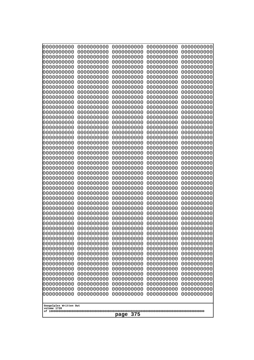| 0000000000<br>0000000000<br>0000000000<br>0000000000<br>0000000000<br>0000000000<br>0000000000<br>0000000000<br>0000000000                                                                                                                                      | 0000000000<br>0000000000<br>0000000000<br>0000000000<br>0000000000<br>0000000000<br>0000000000<br>0000000000                             | 0000000000<br>0000000000<br>0000000000<br>0000000000<br>0000000000<br>0000000000<br>0000000000<br>0000000000                             | 0000000000<br>0000000000<br>0000000000<br>0000000000<br>0000000000<br>0000000000<br>0000000000<br>0000000000                             | 0000000000<br>0000000000<br>0000000000<br>0000000000<br>0000000000<br>0000000000<br>0000000000<br>0000000000                             |
|-----------------------------------------------------------------------------------------------------------------------------------------------------------------------------------------------------------------------------------------------------------------|------------------------------------------------------------------------------------------------------------------------------------------|------------------------------------------------------------------------------------------------------------------------------------------|------------------------------------------------------------------------------------------------------------------------------------------|------------------------------------------------------------------------------------------------------------------------------------------|
| 0000000000<br>0000000000<br>0000000000<br>0000000000<br>0000000000<br>0000000000<br>0000000000<br>0000000000<br>0000000000                                                                                                                                      | 0000000000<br>0000000000<br>0000000000<br>0000000000<br>0000000000<br>0000000000<br>0000000000<br>0000000000<br>0000000000<br>0000000000 | 0000000000<br>0000000000<br>0000000000<br>0000000000<br>0000000000<br>0000000000<br>0000000000<br>0000000000<br>0000000000<br>0000000000 | 0000000000<br>0000000000<br>0000000000<br>0000000000<br>0000000000<br>0000000000<br>0000000000<br>0000000000<br>0000000000<br>0000000000 | 0000000000<br>0000000000<br>0000000000<br>0000000000<br>0000000000<br>0000000000<br>0000000000<br>0000000000<br>0000000000<br>0000000000 |
| 0000000000                                                                                                                                                                                                                                                      | 0000000000                                                                                                                               | 0000000000                                                                                                                               | 0000000000                                                                                                                               | 0000000000                                                                                                                               |
| 0000000000                                                                                                                                                                                                                                                      | 0000000000                                                                                                                               | 0000000000                                                                                                                               | 0000000000                                                                                                                               | 0000000000                                                                                                                               |
| 0000000000                                                                                                                                                                                                                                                      | 0000000000                                                                                                                               | 0000000000                                                                                                                               | 0000000000                                                                                                                               | 0000000000                                                                                                                               |
| 0000000000                                                                                                                                                                                                                                                      | 0000000000                                                                                                                               | 0000000000                                                                                                                               | 0000000000                                                                                                                               | 0000000000                                                                                                                               |
| 0000000000                                                                                                                                                                                                                                                      | 0000000000                                                                                                                               | 0000000000                                                                                                                               | 0000000000                                                                                                                               | 0000000000                                                                                                                               |
| 0000000000                                                                                                                                                                                                                                                      | 0000000000                                                                                                                               | 0000000000                                                                                                                               | 0000000000                                                                                                                               | 0000000000                                                                                                                               |
| 0000000000                                                                                                                                                                                                                                                      | 0000000000                                                                                                                               | 0000000000                                                                                                                               | 0000000000                                                                                                                               | 0000000000                                                                                                                               |
| 0000000000                                                                                                                                                                                                                                                      | 0000000000                                                                                                                               | 0000000000                                                                                                                               | 0000000000                                                                                                                               | 0000000000                                                                                                                               |
| 0000000000                                                                                                                                                                                                                                                      | 0000000000                                                                                                                               | 0000000000                                                                                                                               | 0000000000                                                                                                                               | 0000000000                                                                                                                               |
| 0000000000                                                                                                                                                                                                                                                      | 0000000000                                                                                                                               | 0000000000                                                                                                                               | 0000000000                                                                                                                               | 0000000000                                                                                                                               |
| 0000000000                                                                                                                                                                                                                                                      | 0000000000                                                                                                                               | 0000000000                                                                                                                               | 0000000000                                                                                                                               | 0000000000                                                                                                                               |
| 0000000000                                                                                                                                                                                                                                                      | 0000000000                                                                                                                               | 0000000000                                                                                                                               | 0000000000                                                                                                                               | 0000000000                                                                                                                               |
| 0000000000                                                                                                                                                                                                                                                      | 0000000000                                                                                                                               | 0000000000                                                                                                                               | 0000000000                                                                                                                               | 0000000000                                                                                                                               |
| 0000000000                                                                                                                                                                                                                                                      | 0000000000                                                                                                                               | 0000000000                                                                                                                               | 0000000000                                                                                                                               | 0000000000                                                                                                                               |
| 0000000000                                                                                                                                                                                                                                                      | 0000000000                                                                                                                               | 0000000000                                                                                                                               | 0000000000                                                                                                                               | 0000000000                                                                                                                               |
| 0000000000                                                                                                                                                                                                                                                      | 0000000000                                                                                                                               | 0000000000                                                                                                                               | 0000000000                                                                                                                               | 0000000000                                                                                                                               |
| 0000000000                                                                                                                                                                                                                                                      | 0000000000                                                                                                                               | 0000000000                                                                                                                               | 0000000000                                                                                                                               | 0000000000                                                                                                                               |
| 0000000000                                                                                                                                                                                                                                                      | 0000000000                                                                                                                               | 0000000000                                                                                                                               | 0000000000                                                                                                                               | 0000000000                                                                                                                               |
| 0000000000                                                                                                                                                                                                                                                      | 0000000000                                                                                                                               | 0000000000                                                                                                                               | 0000000000                                                                                                                               | 0000000000                                                                                                                               |
| 0000000000                                                                                                                                                                                                                                                      | 0000000000                                                                                                                               | 0000000000                                                                                                                               | 0000000000                                                                                                                               | 0000000000                                                                                                                               |
| 0000000000                                                                                                                                                                                                                                                      | 0000000000                                                                                                                               | 0000000000                                                                                                                               | 0000000000                                                                                                                               | 0000000000                                                                                                                               |
| 0000000000                                                                                                                                                                                                                                                      | 0000000000                                                                                                                               | 0000000000                                                                                                                               | 0000000000                                                                                                                               | 0000000000                                                                                                                               |
| 0000000000                                                                                                                                                                                                                                                      | 0000000000                                                                                                                               | 0000000000                                                                                                                               | 0000000000                                                                                                                               | 0000000000                                                                                                                               |
| 0000000000                                                                                                                                                                                                                                                      | 0000000000                                                                                                                               | 0000000000                                                                                                                               | 0000000000                                                                                                                               | 0000000000                                                                                                                               |
| 0000000000                                                                                                                                                                                                                                                      | 0000000000                                                                                                                               | 0000000000                                                                                                                               | 0000000000                                                                                                                               | 0000000000                                                                                                                               |
| 0000000000                                                                                                                                                                                                                                                      | 0000000000                                                                                                                               | 0000000000                                                                                                                               | 0000000000                                                                                                                               | 0000000000                                                                                                                               |
| 0000000000                                                                                                                                                                                                                                                      | 0000000000                                                                                                                               | 0000000000                                                                                                                               | 0000000000                                                                                                                               | 0000000000                                                                                                                               |
| 0000000000                                                                                                                                                                                                                                                      | 0000000000                                                                                                                               | 0000000000                                                                                                                               | 0000000000                                                                                                                               | 0000000000                                                                                                                               |
| 0000000000                                                                                                                                                                                                                                                      | 0000000000                                                                                                                               | 0000000000                                                                                                                               | 0000000000                                                                                                                               | 0000000000                                                                                                                               |
| 0000000000<br>0000000000<br>0000000000<br>0000000000<br>0000000000<br>0000000000<br>0000000000<br>0000000000<br>0000000000<br>0000000000<br>0000000000<br>0000000000<br>0000000000<br>0000000000<br>0000000000<br>Googolplex Written Out<br>volume 1720<br>page |                                                                                                                                          |                                                                                                                                          |                                                                                                                                          |                                                                                                                                          |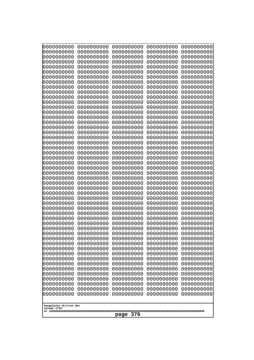| 000000000<br>0000000000               | 0000000000<br>0000000000 | 0000000000<br>0000000000 | 0000000000<br>0000000000 | 0000000000<br>0000000000 |
|---------------------------------------|--------------------------|--------------------------|--------------------------|--------------------------|
| 0000000000<br>0000000000              | 0000000000<br>0000000000 | 0000000000<br>0000000000 | 0000000000<br>0000000000 | 0000000000<br>0000000000 |
| 0000000000                            | 0000000000               | 0000000000               | 0000000000               | 0000000000               |
| 0000000000<br>0000000000              | 0000000000<br>0000000000 | 0000000000<br>0000000000 | 0000000000<br>0000000000 | 0000000000<br>0000000000 |
| 0000000000                            | 0000000000               | 0000000000               | 0000000000               | 0000000000               |
| 0000000000<br>0000000000              | 0000000000<br>0000000000 | 0000000000<br>0000000000 | 0000000000<br>0000000000 | 0000000000<br>0000000000 |
| 0000000000                            | 0000000000               | 0000000000               | 0000000000               | 0000000000               |
| 0000000000<br>0000000000              | 0000000000<br>0000000000 | 0000000000<br>0000000000 | 0000000000<br>0000000000 | 0000000000<br>0000000000 |
| 0000000000                            | 0000000000               | 0000000000               | 0000000000               | 0000000000               |
| 0000000000<br>0000000000              | 0000000000<br>0000000000 | 0000000000<br>0000000000 | 0000000000<br>0000000000 | 0000000000<br>0000000000 |
| 0000000000                            | 0000000000               | 0000000000               | 0000000000               | 0000000000               |
| 0000000000<br>0000000000              | 0000000000<br>0000000000 | 0000000000<br>0000000000 | 0000000000<br>0000000000 | 0000000000<br>0000000000 |
| 0000000000                            | 0000000000               | 0000000000               | 0000000000               | 0000000000               |
| 0000000000<br>0000000000              | 0000000000<br>0000000000 | 0000000000<br>0000000000 | 0000000000<br>0000000000 | 0000000000<br>0000000000 |
| 0000000000                            | 0000000000               | 0000000000               | 0000000000               | 0000000000               |
| 0000000000                            | 0000000000               | 0000000000               | 0000000000               | 0000000000               |
| 0000000000<br>0000000000              | 0000000000<br>0000000000 | 0000000000<br>0000000000 | 0000000000<br>0000000000 | 0000000000<br>0000000000 |
| 0000000000<br>0000000000              | 0000000000<br>0000000000 | 0000000000<br>0000000000 | 0000000000<br>0000000000 | 0000000000<br>0000000000 |
| 0000000000                            | 0000000000               | 0000000000               | 0000000000               | 0000000000               |
| 0000000000<br>0000000000              | 0000000000<br>0000000000 | 0000000000<br>0000000000 | 0000000000<br>0000000000 | 0000000000<br>0000000000 |
| 0000000000                            | 0000000000               | 0000000000               | 0000000000               | 0000000000               |
| 0000000000<br>0000000000              | 0000000000<br>0000000000 | 0000000000<br>0000000000 | 0000000000<br>0000000000 | 0000000000<br>0000000000 |
| 0000000000                            | 0000000000               | 0000000000               | 0000000000               | 0000000000               |
| 0000000000<br>0000000000              | 0000000000<br>0000000000 | 0000000000<br>0000000000 | 0000000000<br>0000000000 | 0000000000<br>0000000000 |
| 0000000000                            | 0000000000               | 0000000000               | 0000000000               | 0000000000               |
| 0000000000<br>0000000000              | 0000000000<br>0000000000 | 0000000000<br>0000000000 | 0000000000<br>0000000000 | 0000000000<br>0000000000 |
| 0000000000                            | 0000000000               | 0000000000               | 0000000000               | 0000000000               |
| 0000000000<br>0000000000              | 0000000000<br>0000000000 | 0000000000<br>0000000000 | 0000000000<br>0000000000 | 0000000000<br>0000000000 |
| 0000000000                            | 0000000000               | 0000000000               | 0000000000               | 0000000000               |
| 0000000000<br>0000000000              | 0000000000<br>0000000000 | 0000000000<br>0000000000 | 0000000000<br>0000000000 | 0000000000<br>0000000000 |
| 0000000000                            | 0000000000               | 0000000000               | 0000000000               | 0000000000               |
| 0000000000<br>0000000000              | 0000000000<br>0000000000 | 0000000000<br>0000000000 | 0000000000<br>0000000000 | 0000000000<br>0000000000 |
| 0000000000                            | 0000000000               | 0000000000               | 0000000000               | 0000000000               |
|                                       |                          |                          |                          |                          |
| Googolplex Written Out<br>volume 1720 |                          |                          |                          |                          |
| 376<br>page                           |                          |                          |                          |                          |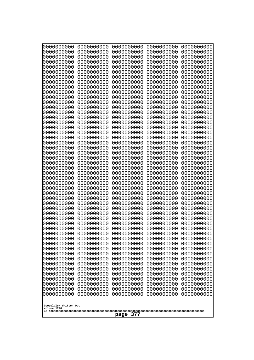| 000000000<br>0000000000               | 0000000000<br>0000000000 | 0000000000<br>0000000000 | 0000000000<br>0000000000 | 0000000000<br>0000000000 |
|---------------------------------------|--------------------------|--------------------------|--------------------------|--------------------------|
| 0000000000<br>0000000000              | 0000000000<br>0000000000 | 0000000000<br>0000000000 | 0000000000<br>0000000000 | 0000000000<br>0000000000 |
| 0000000000                            | 0000000000               | 0000000000               | 0000000000               | 0000000000               |
| 0000000000<br>0000000000              | 0000000000<br>0000000000 | 0000000000<br>0000000000 | 0000000000<br>0000000000 | 0000000000<br>0000000000 |
| 0000000000                            | 0000000000               | 0000000000               | 0000000000               | 0000000000               |
| 0000000000<br>0000000000              | 0000000000<br>0000000000 | 0000000000<br>0000000000 | 0000000000<br>0000000000 | 0000000000<br>0000000000 |
| 0000000000                            | 0000000000               | 0000000000               | 0000000000               | 0000000000               |
| 0000000000<br>0000000000              | 0000000000<br>0000000000 | 0000000000<br>0000000000 | 0000000000<br>0000000000 | 0000000000<br>0000000000 |
| 0000000000                            | 0000000000               | 0000000000               | 0000000000               | 0000000000               |
| 0000000000<br>0000000000              | 0000000000<br>0000000000 | 0000000000<br>0000000000 | 0000000000<br>0000000000 | 0000000000<br>0000000000 |
| 0000000000                            | 0000000000               | 0000000000               | 0000000000               | 0000000000               |
| 0000000000<br>0000000000              | 0000000000<br>0000000000 | 0000000000<br>0000000000 | 0000000000<br>0000000000 | 0000000000<br>0000000000 |
| 0000000000                            | 0000000000               | 0000000000               | 0000000000               | 0000000000               |
| 0000000000<br>0000000000              | 0000000000<br>0000000000 | 0000000000<br>0000000000 | 0000000000<br>0000000000 | 0000000000<br>0000000000 |
| 0000000000                            | 0000000000               | 0000000000               | 0000000000               | 0000000000               |
| 0000000000<br>0000000000              | 0000000000<br>0000000000 | 0000000000<br>0000000000 | 0000000000<br>0000000000 | 0000000000<br>0000000000 |
| 0000000000                            | 0000000000               | 0000000000               | 0000000000               | 0000000000               |
| 0000000000<br>0000000000              | 0000000000<br>0000000000 | 0000000000<br>0000000000 | 0000000000<br>0000000000 | 0000000000<br>0000000000 |
| 0000000000                            | 0000000000               | 0000000000               | 0000000000               | 0000000000               |
| 0000000000<br>0000000000              | 0000000000<br>0000000000 | 0000000000<br>0000000000 | 0000000000<br>0000000000 | 0000000000<br>0000000000 |
| 0000000000                            | 0000000000               | 0000000000               | 0000000000               | 0000000000               |
| 0000000000<br>0000000000              | 0000000000<br>0000000000 | 0000000000<br>0000000000 | 0000000000<br>0000000000 | 0000000000<br>0000000000 |
| 0000000000                            | 0000000000               | 0000000000               | 0000000000               | 0000000000               |
| 0000000000<br>0000000000              | 0000000000<br>0000000000 | 0000000000<br>0000000000 | 0000000000<br>0000000000 | 0000000000<br>0000000000 |
| 0000000000                            | 0000000000               | 0000000000               | 0000000000               | 0000000000               |
| 0000000000<br>0000000000              | 0000000000<br>0000000000 | 0000000000<br>0000000000 | 0000000000<br>0000000000 | 0000000000<br>0000000000 |
| 0000000000                            | 0000000000               | 0000000000               | 0000000000               | 0000000000               |
| 0000000000<br>0000000000              | 0000000000<br>0000000000 | 0000000000<br>0000000000 | 0000000000<br>0000000000 | 0000000000<br>0000000000 |
| 0000000000                            | 0000000000               | 0000000000               | 0000000000               | 0000000000               |
| 0000000000<br>0000000000              | 0000000000<br>0000000000 | 0000000000<br>0000000000 | 0000000000<br>0000000000 | 0000000000<br>0000000000 |
| 0000000000                            | 0000000000               | 0000000000               | 0000000000               | 0000000000               |
| 0000000000<br>0000000000              | 0000000000<br>0000000000 | 0000000000<br>0000000000 | 0000000000<br>0000000000 | 0000000000<br>0000000000 |
| 0000000000                            | 0000000000               | 0000000000               | 0000000000               | 0000000000               |
|                                       |                          |                          |                          |                          |
| Googolplex Written Out<br>volume 1720 |                          |                          |                          |                          |
| 377<br>page                           |                          |                          |                          |                          |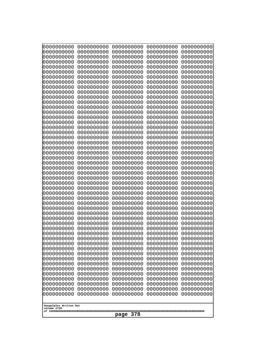| 0000000000                                           | 0000000000 | 0000000000 | 0000000000 | 0000000000 |
|------------------------------------------------------|------------|------------|------------|------------|
| 0000000000                                           | 0000000000 | 0000000000 | 0000000000 | 0000000000 |
| 0000000000                                           | 0000000000 | 0000000000 | 0000000000 | 0000000000 |
| 0000000000                                           | 0000000000 | 0000000000 | 0000000000 | 0000000000 |
| 0000000000                                           | 0000000000 | 0000000000 | 0000000000 | 0000000000 |
| 0000000000                                           | 0000000000 | 0000000000 | 0000000000 | 0000000000 |
| 0000000000                                           | 0000000000 | 0000000000 | 0000000000 | 0000000000 |
| 0000000000                                           | 0000000000 | 0000000000 | 0000000000 | 0000000000 |
| 0000000000                                           | 0000000000 | 0000000000 | 0000000000 | 0000000000 |
| 0000000000                                           | 0000000000 | 0000000000 | 0000000000 | 0000000000 |
| 0000000000                                           | 0000000000 | 0000000000 | 0000000000 | 0000000000 |
| 0000000000                                           | 0000000000 | 0000000000 | 0000000000 | 0000000000 |
| 0000000000                                           | 0000000000 | 0000000000 | 0000000000 | 0000000000 |
| 0000000000                                           | 0000000000 | 0000000000 | 0000000000 | 0000000000 |
| 0000000000                                           | 0000000000 | 0000000000 | 0000000000 | 0000000000 |
| 0000000000                                           | 0000000000 | 0000000000 | 0000000000 | 0000000000 |
| 0000000000                                           | 0000000000 | 0000000000 | 0000000000 | 0000000000 |
| 0000000000                                           | 0000000000 | 0000000000 | 0000000000 | 0000000000 |
| 0000000000                                           | 0000000000 | 0000000000 | 0000000000 | 0000000000 |
| 0000000000                                           | 0000000000 | 0000000000 | 0000000000 | 0000000000 |
| 0000000000                                           | 0000000000 | 0000000000 | 0000000000 | 0000000000 |
| 0000000000                                           | 0000000000 | 0000000000 | 0000000000 | 0000000000 |
| 0000000000                                           | 0000000000 | 0000000000 | 0000000000 | 0000000000 |
| 0000000000                                           | 0000000000 | 0000000000 | 0000000000 | 0000000000 |
| 0000000000                                           | 0000000000 | 0000000000 | 0000000000 | 0000000000 |
| 0000000000                                           | 0000000000 | 0000000000 | 0000000000 | 0000000000 |
| 0000000000                                           | 0000000000 | 0000000000 | 0000000000 | 0000000000 |
| 0000000000                                           | 0000000000 | 0000000000 | 0000000000 | 0000000000 |
| 0000000000                                           | 0000000000 | 0000000000 | 0000000000 | 0000000000 |
| 0000000000                                           | 0000000000 | 0000000000 | 0000000000 | 0000000000 |
| 0000000000                                           | 0000000000 | 0000000000 | 0000000000 | 0000000000 |
| 0000000000                                           | 0000000000 | 0000000000 | 0000000000 | 0000000000 |
| 0000000000                                           | 0000000000 | 0000000000 | 0000000000 | 0000000000 |
| 0000000000                                           | 0000000000 | 0000000000 | 0000000000 | 0000000000 |
| 0000000000                                           | 0000000000 | 0000000000 | 0000000000 | 0000000000 |
| 0000000000                                           | 0000000000 | 0000000000 | 0000000000 | 0000000000 |
| 0000000000                                           | 0000000000 | 0000000000 | 0000000000 | 0000000000 |
| 0000000000                                           | 0000000000 | 0000000000 | 0000000000 | 0000000000 |
| 0000000000                                           | 0000000000 | 0000000000 | 0000000000 | 0000000000 |
| 0000000000                                           | 0000000000 | 0000000000 | 0000000000 | 0000000000 |
| 0000000000                                           | 0000000000 | 0000000000 | 0000000000 | 0000000000 |
| 0000000000                                           | 0000000000 | 0000000000 | 0000000000 | 0000000000 |
| 0000000000                                           | 0000000000 | 0000000000 | 0000000000 | 0000000000 |
| 0000000000                                           | 0000000000 | 0000000000 | 0000000000 | 0000000000 |
| 0000000000                                           | 0000000000 | 0000000000 | 0000000000 | 0000000000 |
| 0000000000                                           | 0000000000 | 0000000000 | 0000000000 | 0000000000 |
| 0000000000                                           | 0000000000 | 0000000000 | 0000000000 | 0000000000 |
| 0000000000                                           | 0000000000 | 0000000000 | 0000000000 | 0000000000 |
| 0000000000                                           | 0000000000 | 0000000000 | 0000000000 | 0000000000 |
| 0000000000                                           | 0000000000 | 0000000000 | 0000000000 | 0000000000 |
| Googolplex Written Out<br>volume 1720<br>378<br>page |            |            |            |            |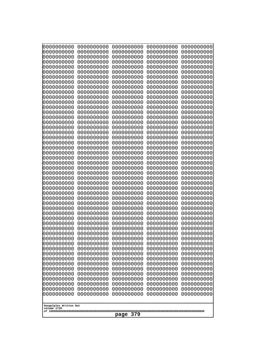| 000000000<br>0000000000  | 0000000000<br>0000000000 | 0000000000<br>0000000000 | 0000000000<br>0000000000 | 0000000000<br>0000000000 |
|--------------------------|--------------------------|--------------------------|--------------------------|--------------------------|
| 0000000000               | 0000000000               | 0000000000               | 0000000000               | 0000000000               |
| 0000000000               | 0000000000               | 0000000000               | 0000000000               | 0000000000               |
| 0000000000<br>0000000000 | 0000000000<br>0000000000 | 0000000000<br>0000000000 | 0000000000<br>0000000000 | 0000000000<br>0000000000 |
| 0000000000               | 0000000000               | 0000000000               | 0000000000               | 0000000000               |
| 0000000000               | 0000000000               | 0000000000               | 0000000000               | 0000000000               |
| 0000000000<br>0000000000 | 0000000000<br>0000000000 | 0000000000<br>0000000000 | 0000000000<br>0000000000 | 0000000000<br>0000000000 |
| 0000000000               | 0000000000               | 0000000000               | 0000000000               | 0000000000               |
| 0000000000               | 0000000000               | 0000000000               | 0000000000               | 0000000000               |
| 0000000000<br>0000000000 | 0000000000<br>0000000000 | 0000000000<br>0000000000 | 0000000000<br>0000000000 | 0000000000<br>0000000000 |
| 0000000000               | 0000000000               | 0000000000               | 0000000000               | 0000000000               |
| 0000000000               | 0000000000               | 0000000000               | 0000000000               | 0000000000               |
| 0000000000<br>0000000000 | 0000000000<br>0000000000 | 0000000000<br>0000000000 | 0000000000<br>0000000000 | 0000000000<br>0000000000 |
| 0000000000               | 0000000000               | 0000000000               | 0000000000               | 0000000000               |
| 0000000000               | 0000000000               | 0000000000               | 0000000000               | 0000000000               |
| 0000000000               | 0000000000               | 0000000000               | 0000000000               | 0000000000               |
| 0000000000<br>0000000000 | 0000000000<br>0000000000 | 0000000000<br>0000000000 | 0000000000<br>0000000000 | 0000000000<br>0000000000 |
| 0000000000               | 0000000000               | 0000000000               | 0000000000               | 0000000000               |
| 0000000000               | 0000000000               | 0000000000               | 0000000000               | 0000000000               |
| 0000000000<br>0000000000 | 0000000000<br>0000000000 | 0000000000<br>0000000000 | 0000000000<br>0000000000 | 0000000000<br>0000000000 |
| 0000000000               | 0000000000               | 0000000000               | 0000000000               | 0000000000               |
| 0000000000               | 0000000000               | 0000000000               | 0000000000               | 0000000000               |
| 0000000000<br>0000000000 | 0000000000<br>0000000000 | 0000000000<br>0000000000 | 0000000000<br>0000000000 | 0000000000<br>0000000000 |
| 0000000000               | 0000000000               | 0000000000               | 0000000000               | 0000000000               |
| 0000000000               | 0000000000               | 0000000000               | 0000000000               | 0000000000               |
| 0000000000<br>0000000000 | 0000000000<br>0000000000 | 0000000000<br>0000000000 | 0000000000<br>0000000000 | 0000000000<br>0000000000 |
| 0000000000               | 0000000000               | 0000000000               | 0000000000               | 0000000000               |
| 0000000000               | 0000000000               | 0000000000               | 0000000000               | 0000000000               |
| 0000000000<br>0000000000 | 0000000000<br>0000000000 | 0000000000<br>0000000000 | 0000000000<br>0000000000 | 0000000000<br>0000000000 |
| 0000000000               | 0000000000               | 0000000000               | 0000000000               | 0000000000               |
| 0000000000               | 0000000000               | 0000000000               | 0000000000               | 0000000000               |
| 0000000000<br>0000000000 | 0000000000<br>0000000000 | 0000000000<br>0000000000 | 0000000000<br>0000000000 | 0000000000<br>0000000000 |
| 0000000000               | 0000000000               | 0000000000               | 0000000000               | 0000000000               |
| 0000000000               | 0000000000               | 0000000000               | 0000000000               | 0000000000               |
| 0000000000               | 0000000000<br>0000000000 | 0000000000               | 0000000000               | 0000000000               |
| 0000000000<br>0000000000 | 0000000000               | 0000000000<br>0000000000 | 0000000000<br>0000000000 | 0000000000<br>0000000000 |
| 0000000000               | 0000000000               | 0000000000               | 0000000000               | 0000000000               |
| 0000000000               | 0000000000               | 0000000000               | 0000000000               | 0000000000               |
| Googolplex Written Out   |                          |                          |                          |                          |
| volume 1720              |                          |                          |                          |                          |
| 379<br>page              |                          |                          |                          |                          |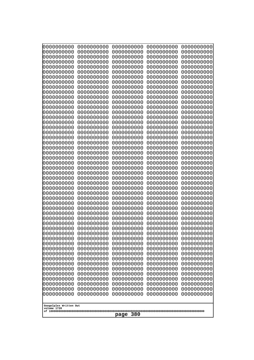| 0000000000                                           | 0000000000 | 0000000000 | 0000000000 | 0000000000 |
|------------------------------------------------------|------------|------------|------------|------------|
| 0000000000                                           | 0000000000 | 0000000000 | 0000000000 | 0000000000 |
| 0000000000                                           | 0000000000 | 0000000000 | 0000000000 | 0000000000 |
| 0000000000                                           | 0000000000 | 0000000000 | 0000000000 | 0000000000 |
| 0000000000                                           | 0000000000 | 0000000000 | 0000000000 | 0000000000 |
| 0000000000                                           | 0000000000 | 0000000000 | 0000000000 | 0000000000 |
| 0000000000                                           | 0000000000 | 0000000000 | 0000000000 | 0000000000 |
| 0000000000                                           | 0000000000 | 0000000000 | 0000000000 | 0000000000 |
| 0000000000                                           | 0000000000 | 0000000000 | 0000000000 | 0000000000 |
| 0000000000                                           | 0000000000 | 0000000000 | 0000000000 | 0000000000 |
| 0000000000                                           | 0000000000 | 0000000000 | 0000000000 | 0000000000 |
| 0000000000                                           | 0000000000 | 0000000000 | 0000000000 | 0000000000 |
| 0000000000                                           | 0000000000 | 0000000000 | 0000000000 | 0000000000 |
| 0000000000                                           | 0000000000 | 0000000000 | 0000000000 | 0000000000 |
| 0000000000                                           | 0000000000 | 0000000000 | 0000000000 | 0000000000 |
| 0000000000                                           | 0000000000 | 0000000000 | 0000000000 | 0000000000 |
| 0000000000                                           | 0000000000 | 0000000000 | 0000000000 | 0000000000 |
| 0000000000                                           | 0000000000 | 0000000000 | 0000000000 | 0000000000 |
| 0000000000                                           | 0000000000 | 0000000000 | 0000000000 | 0000000000 |
| 0000000000                                           | 0000000000 | 0000000000 | 0000000000 | 0000000000 |
| 0000000000                                           | 0000000000 | 0000000000 | 0000000000 | 0000000000 |
| 0000000000                                           | 0000000000 | 0000000000 | 0000000000 | 0000000000 |
| 0000000000                                           | 0000000000 | 0000000000 | 0000000000 | 0000000000 |
| 0000000000                                           | 0000000000 | 0000000000 | 0000000000 | 0000000000 |
| 0000000000                                           | 0000000000 | 0000000000 | 0000000000 | 0000000000 |
| 0000000000                                           | 0000000000 | 0000000000 | 0000000000 | 0000000000 |
| 0000000000                                           | 0000000000 | 0000000000 | 0000000000 | 0000000000 |
| 0000000000                                           | 0000000000 | 0000000000 | 0000000000 | 0000000000 |
| 0000000000                                           | 0000000000 | 0000000000 | 0000000000 | 0000000000 |
| 0000000000                                           | 0000000000 | 0000000000 | 0000000000 | 0000000000 |
| 0000000000                                           | 0000000000 | 0000000000 | 0000000000 | 0000000000 |
| 0000000000                                           | 0000000000 | 0000000000 | 0000000000 | 0000000000 |
| 0000000000                                           | 0000000000 | 0000000000 | 0000000000 | 0000000000 |
| 0000000000                                           | 0000000000 | 0000000000 | 0000000000 | 0000000000 |
| 0000000000                                           | 0000000000 | 0000000000 | 0000000000 | 0000000000 |
| 0000000000                                           | 0000000000 | 0000000000 | 0000000000 | 0000000000 |
| 0000000000                                           | 0000000000 | 0000000000 | 0000000000 | 0000000000 |
| 0000000000                                           | 0000000000 | 0000000000 | 0000000000 | 0000000000 |
| 0000000000                                           | 0000000000 | 0000000000 | 0000000000 | 0000000000 |
| 0000000000                                           | 0000000000 | 0000000000 | 0000000000 | 0000000000 |
| 0000000000                                           | 0000000000 | 0000000000 | 0000000000 | 0000000000 |
| 0000000000                                           | 0000000000 | 0000000000 | 0000000000 | 0000000000 |
| 0000000000                                           | 0000000000 | 0000000000 | 0000000000 | 0000000000 |
| 0000000000                                           | 0000000000 | 0000000000 | 0000000000 | 0000000000 |
| 0000000000                                           | 0000000000 | 0000000000 | 0000000000 | 0000000000 |
| 0000000000                                           | 0000000000 | 0000000000 | 0000000000 | 0000000000 |
| 0000000000                                           | 0000000000 | 0000000000 | 0000000000 | 0000000000 |
| 0000000000                                           | 0000000000 | 0000000000 | 0000000000 | 0000000000 |
| Googolplex Written Out<br>volume 1720<br>380<br>page |            |            |            |            |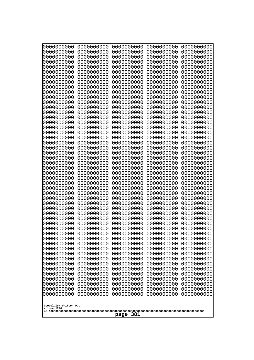| 0000000000                                                                                                               | 0000000000                                                                                     | 0000000000                                                                                     | 0000000000                                                                                     | 0000000000                                                                                     |
|--------------------------------------------------------------------------------------------------------------------------|------------------------------------------------------------------------------------------------|------------------------------------------------------------------------------------------------|------------------------------------------------------------------------------------------------|------------------------------------------------------------------------------------------------|
| 0000000000                                                                                                               | 0000000000                                                                                     | 0000000000                                                                                     | 0000000000                                                                                     | 0000000000                                                                                     |
| 0000000000                                                                                                               | 0000000000                                                                                     | 0000000000                                                                                     | 0000000000                                                                                     | 0000000000                                                                                     |
| 0000000000                                                                                                               | 0000000000                                                                                     | 0000000000                                                                                     | 0000000000                                                                                     | 0000000000                                                                                     |
| 0000000000                                                                                                               | 0000000000                                                                                     | 0000000000                                                                                     | 0000000000                                                                                     | 0000000000                                                                                     |
| 0000000000                                                                                                               | 0000000000                                                                                     | 0000000000                                                                                     | 0000000000                                                                                     | 0000000000                                                                                     |
| 0000000000                                                                                                               | 0000000000                                                                                     | 0000000000                                                                                     | 0000000000                                                                                     | 0000000000                                                                                     |
| 0000000000                                                                                                               | 0000000000                                                                                     | 0000000000                                                                                     | 0000000000                                                                                     | 0000000000                                                                                     |
| 0000000000                                                                                                               | 0000000000                                                                                     | 0000000000                                                                                     | 0000000000                                                                                     | 0000000000                                                                                     |
| 0000000000                                                                                                               | 0000000000                                                                                     | 0000000000                                                                                     | 0000000000                                                                                     | 0000000000                                                                                     |
| 0000000000                                                                                                               | 0000000000                                                                                     | 0000000000                                                                                     | 0000000000                                                                                     | 0000000000                                                                                     |
| 0000000000                                                                                                               | 0000000000                                                                                     | 0000000000                                                                                     | 0000000000                                                                                     | 0000000000                                                                                     |
| 0000000000                                                                                                               | 0000000000                                                                                     | 0000000000                                                                                     | 0000000000                                                                                     | 0000000000                                                                                     |
| 0000000000                                                                                                               | 0000000000                                                                                     | 0000000000                                                                                     | 0000000000                                                                                     | 0000000000                                                                                     |
| 0000000000                                                                                                               | 0000000000                                                                                     | 0000000000                                                                                     | 0000000000                                                                                     | 0000000000                                                                                     |
| 0000000000                                                                                                               | 0000000000                                                                                     | 0000000000                                                                                     | 0000000000                                                                                     | 0000000000                                                                                     |
| 0000000000                                                                                                               | 0000000000                                                                                     | 0000000000                                                                                     | 0000000000                                                                                     | 0000000000                                                                                     |
| 0000000000                                                                                                               | 0000000000                                                                                     | 0000000000                                                                                     | 0000000000                                                                                     | 0000000000                                                                                     |
| 0000000000                                                                                                               | 0000000000                                                                                     | 0000000000                                                                                     | 0000000000                                                                                     | 0000000000                                                                                     |
| 0000000000                                                                                                               | 0000000000                                                                                     | 0000000000                                                                                     | 0000000000                                                                                     | 0000000000                                                                                     |
| 0000000000                                                                                                               | 0000000000                                                                                     | 0000000000                                                                                     | 0000000000                                                                                     | 0000000000                                                                                     |
| 0000000000                                                                                                               | 0000000000                                                                                     | 0000000000                                                                                     | 0000000000                                                                                     | 0000000000                                                                                     |
| 0000000000                                                                                                               | 0000000000                                                                                     | 0000000000                                                                                     | 0000000000                                                                                     | 0000000000                                                                                     |
| 0000000000                                                                                                               | 0000000000                                                                                     | 0000000000                                                                                     | 0000000000                                                                                     | 0000000000                                                                                     |
| 0000000000                                                                                                               | 0000000000                                                                                     | 0000000000                                                                                     | 0000000000                                                                                     | 0000000000                                                                                     |
| 0000000000                                                                                                               | 0000000000                                                                                     | 0000000000                                                                                     | 0000000000                                                                                     | 0000000000                                                                                     |
| 0000000000                                                                                                               | 0000000000                                                                                     | 0000000000                                                                                     | 0000000000                                                                                     | 0000000000                                                                                     |
| 0000000000                                                                                                               | 0000000000                                                                                     | 0000000000                                                                                     | 0000000000                                                                                     | 0000000000                                                                                     |
| 0000000000                                                                                                               | 0000000000                                                                                     | 0000000000                                                                                     | 0000000000                                                                                     | 0000000000                                                                                     |
| 0000000000                                                                                                               | 0000000000                                                                                     | 0000000000                                                                                     | 0000000000                                                                                     | 0000000000                                                                                     |
| 0000000000                                                                                                               | 0000000000                                                                                     | 0000000000                                                                                     | 0000000000                                                                                     | 0000000000                                                                                     |
| 0000000000                                                                                                               | 0000000000                                                                                     | 0000000000                                                                                     | 0000000000                                                                                     | 0000000000                                                                                     |
| 0000000000                                                                                                               | 0000000000                                                                                     | 0000000000                                                                                     | 0000000000                                                                                     | 0000000000                                                                                     |
| 0000000000                                                                                                               | 0000000000                                                                                     | 0000000000                                                                                     | 0000000000                                                                                     | 0000000000                                                                                     |
| 0000000000                                                                                                               | 0000000000                                                                                     | 0000000000                                                                                     | 0000000000                                                                                     | 0000000000                                                                                     |
| 0000000000                                                                                                               | 0000000000                                                                                     | 0000000000                                                                                     | 0000000000                                                                                     | 0000000000                                                                                     |
| 0000000000                                                                                                               | 0000000000                                                                                     | 0000000000                                                                                     | 0000000000                                                                                     | 0000000000                                                                                     |
| 0000000000                                                                                                               | 0000000000                                                                                     | 0000000000                                                                                     | 0000000000                                                                                     | 0000000000                                                                                     |
| 0000000000                                                                                                               | 0000000000                                                                                     | 0000000000                                                                                     | 0000000000                                                                                     | 0000000000                                                                                     |
| 0000000000                                                                                                               | 0000000000                                                                                     | 0000000000                                                                                     | 0000000000                                                                                     | 0000000000                                                                                     |
| 0000000000                                                                                                               | 0000000000                                                                                     | 0000000000                                                                                     | 0000000000                                                                                     | 0000000000                                                                                     |
| 0000000000                                                                                                               | 0000000000                                                                                     | 0000000000                                                                                     | 0000000000                                                                                     | 0000000000                                                                                     |
| 0000000000                                                                                                               | 0000000000                                                                                     | 0000000000                                                                                     | 0000000000                                                                                     | 0000000000                                                                                     |
| 0000000000<br>0000000000<br>0000000000<br>0000000000<br>0000000000<br>0000000000<br>0000000000<br>Googolplex Written Out | 0000000000<br>0000000000<br>0000000000<br>0000000000<br>0000000000<br>0000000000<br>0000000000 | 0000000000<br>0000000000<br>0000000000<br>0000000000<br>0000000000<br>0000000000<br>0000000000 | 0000000000<br>0000000000<br>0000000000<br>0000000000<br>0000000000<br>0000000000<br>0000000000 | 0000000000<br>0000000000<br>0000000000<br>0000000000<br>0000000000<br>0000000000<br>0000000000 |
| volume 1720<br>381<br>page                                                                                               |                                                                                                |                                                                                                |                                                                                                |                                                                                                |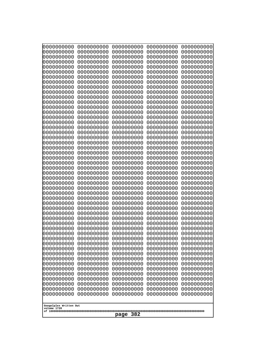| 0000000000                                           | 0000000000 | 0000000000 | 0000000000 | 0000000000 |
|------------------------------------------------------|------------|------------|------------|------------|
| 0000000000                                           | 0000000000 | 0000000000 | 0000000000 | 0000000000 |
| 0000000000                                           | 0000000000 | 0000000000 | 0000000000 | 0000000000 |
| 0000000000                                           | 0000000000 | 0000000000 | 0000000000 | 0000000000 |
| 0000000000                                           | 0000000000 | 0000000000 | 0000000000 | 0000000000 |
| 0000000000                                           | 0000000000 | 0000000000 | 0000000000 | 0000000000 |
| 0000000000                                           | 0000000000 | 0000000000 | 0000000000 | 0000000000 |
| 0000000000                                           | 0000000000 | 0000000000 | 0000000000 | 0000000000 |
| 0000000000                                           | 0000000000 | 0000000000 | 0000000000 | 0000000000 |
| 0000000000                                           | 0000000000 | 0000000000 | 0000000000 | 0000000000 |
| 0000000000                                           | 0000000000 | 0000000000 | 0000000000 | 0000000000 |
| 0000000000                                           | 0000000000 | 0000000000 | 0000000000 | 0000000000 |
| 0000000000                                           | 0000000000 | 0000000000 | 0000000000 | 0000000000 |
| 0000000000                                           | 0000000000 | 0000000000 | 0000000000 | 0000000000 |
| 0000000000                                           | 0000000000 | 0000000000 | 0000000000 | 0000000000 |
| 0000000000                                           | 0000000000 | 0000000000 | 0000000000 | 0000000000 |
| 0000000000                                           | 0000000000 | 0000000000 | 0000000000 | 0000000000 |
| 0000000000                                           | 0000000000 | 0000000000 | 0000000000 | 0000000000 |
| 0000000000                                           | 0000000000 | 0000000000 | 0000000000 | 0000000000 |
| 0000000000                                           | 0000000000 | 0000000000 | 0000000000 | 0000000000 |
| 0000000000                                           | 0000000000 | 0000000000 | 0000000000 | 0000000000 |
| 0000000000                                           | 0000000000 | 0000000000 | 0000000000 | 0000000000 |
| 0000000000                                           | 0000000000 | 0000000000 | 0000000000 | 0000000000 |
| 0000000000                                           | 0000000000 | 0000000000 | 0000000000 | 0000000000 |
| 0000000000                                           | 0000000000 | 0000000000 | 0000000000 | 0000000000 |
| 0000000000                                           | 0000000000 | 0000000000 | 0000000000 | 0000000000 |
| 0000000000                                           | 0000000000 | 0000000000 | 0000000000 | 0000000000 |
| 0000000000                                           | 0000000000 | 0000000000 | 0000000000 | 0000000000 |
| 0000000000                                           | 0000000000 | 0000000000 | 0000000000 | 0000000000 |
| 0000000000                                           | 0000000000 | 0000000000 | 0000000000 | 0000000000 |
| 0000000000                                           | 0000000000 | 0000000000 | 0000000000 | 0000000000 |
| 0000000000                                           | 0000000000 | 0000000000 | 0000000000 | 0000000000 |
| 0000000000                                           | 0000000000 | 0000000000 | 0000000000 | 0000000000 |
| 0000000000                                           | 0000000000 | 0000000000 | 0000000000 | 0000000000 |
| 0000000000                                           | 0000000000 | 0000000000 | 0000000000 | 0000000000 |
| 0000000000                                           | 0000000000 | 0000000000 | 0000000000 | 0000000000 |
| 0000000000                                           | 0000000000 | 0000000000 | 0000000000 | 0000000000 |
| 0000000000                                           | 0000000000 | 0000000000 | 0000000000 | 0000000000 |
| 0000000000                                           | 0000000000 | 0000000000 | 0000000000 | 0000000000 |
| 0000000000                                           | 0000000000 | 0000000000 | 0000000000 | 0000000000 |
| 0000000000                                           | 0000000000 | 0000000000 | 0000000000 | 0000000000 |
| 0000000000                                           | 0000000000 | 0000000000 | 0000000000 | 0000000000 |
| 0000000000                                           | 0000000000 | 0000000000 | 0000000000 | 0000000000 |
| 0000000000                                           | 0000000000 | 0000000000 | 0000000000 | 0000000000 |
| 0000000000                                           | 0000000000 | 0000000000 | 0000000000 | 0000000000 |
| 0000000000                                           | 0000000000 | 0000000000 | 0000000000 | 0000000000 |
| 0000000000                                           | 0000000000 | 0000000000 | 0000000000 | 0000000000 |
| 0000000000                                           | 0000000000 | 0000000000 | 0000000000 | 0000000000 |
| 0000000000                                           | 0000000000 | 0000000000 | 0000000000 | 0000000000 |
| 0000000000                                           | 0000000000 | 0000000000 | 0000000000 | 0000000000 |
| Googolplex Written Out<br>volume 1720<br>382<br>page |            |            |            |            |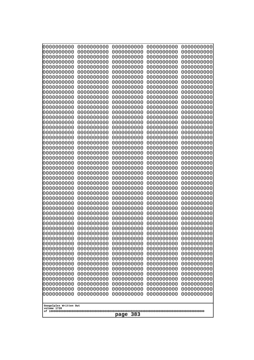| 0000000000<br>0000000000<br>0000000000<br>0000000000<br>0000000000<br>0000000000<br>0000000000<br>0000000000<br>0000000000<br>0000000000<br>0000000000<br>0000000000<br>0000000000<br>0000000000<br>0000000000<br>0000000000<br>0000000000<br>0000000000<br>0000000000<br>0000000000<br>0000000000<br>0000000000<br>0000000000<br>0000000000<br>0000000000 | 0000000000<br>0000000000<br>0000000000<br>0000000000<br>0000000000<br>0000000000<br>0000000000<br>0000000000<br>0000000000<br>0000000000<br>0000000000<br>0000000000<br>0000000000<br>0000000000<br>0000000000<br>0000000000<br>0000000000<br>0000000000<br>0000000000<br>0000000000<br>0000000000<br>0000000000<br>0000000000<br>0000000000<br>0000000000 | 0000000000<br>0000000000<br>0000000000<br>0000000000<br>0000000000<br>0000000000<br>0000000000<br>0000000000<br>0000000000<br>0000000000<br>0000000000<br>0000000000<br>0000000000<br>0000000000<br>0000000000<br>0000000000<br>0000000000<br>0000000000<br>0000000000<br>0000000000<br>0000000000<br>0000000000<br>0000000000<br>0000000000<br>0000000000 | 0000000000<br>0000000000<br>0000000000<br>0000000000<br>0000000000<br>0000000000<br>0000000000<br>0000000000<br>0000000000<br>0000000000<br>0000000000<br>0000000000<br>0000000000<br>0000000000<br>0000000000<br>0000000000<br>0000000000<br>0000000000<br>0000000000<br>0000000000<br>0000000000<br>0000000000<br>0000000000<br>0000000000<br>0000000000 | 0000000000<br>0000000000<br>0000000000<br>0000000000<br>0000000000<br>0000000000<br>0000000000<br>0000000000<br>0000000000<br>0000000000<br>0000000000<br>0000000000<br>0000000000<br>0000000000<br>0000000000<br>0000000000<br>0000000000<br>0000000000<br>0000000000<br>0000000000<br>0000000000<br>0000000000<br>0000000000<br>0000000000<br>0000000000 |
|------------------------------------------------------------------------------------------------------------------------------------------------------------------------------------------------------------------------------------------------------------------------------------------------------------------------------------------------------------|------------------------------------------------------------------------------------------------------------------------------------------------------------------------------------------------------------------------------------------------------------------------------------------------------------------------------------------------------------|------------------------------------------------------------------------------------------------------------------------------------------------------------------------------------------------------------------------------------------------------------------------------------------------------------------------------------------------------------|------------------------------------------------------------------------------------------------------------------------------------------------------------------------------------------------------------------------------------------------------------------------------------------------------------------------------------------------------------|------------------------------------------------------------------------------------------------------------------------------------------------------------------------------------------------------------------------------------------------------------------------------------------------------------------------------------------------------------|
|                                                                                                                                                                                                                                                                                                                                                            |                                                                                                                                                                                                                                                                                                                                                            |                                                                                                                                                                                                                                                                                                                                                            |                                                                                                                                                                                                                                                                                                                                                            |                                                                                                                                                                                                                                                                                                                                                            |
|                                                                                                                                                                                                                                                                                                                                                            |                                                                                                                                                                                                                                                                                                                                                            |                                                                                                                                                                                                                                                                                                                                                            |                                                                                                                                                                                                                                                                                                                                                            |                                                                                                                                                                                                                                                                                                                                                            |
|                                                                                                                                                                                                                                                                                                                                                            |                                                                                                                                                                                                                                                                                                                                                            |                                                                                                                                                                                                                                                                                                                                                            |                                                                                                                                                                                                                                                                                                                                                            |                                                                                                                                                                                                                                                                                                                                                            |
|                                                                                                                                                                                                                                                                                                                                                            |                                                                                                                                                                                                                                                                                                                                                            |                                                                                                                                                                                                                                                                                                                                                            |                                                                                                                                                                                                                                                                                                                                                            |                                                                                                                                                                                                                                                                                                                                                            |
|                                                                                                                                                                                                                                                                                                                                                            |                                                                                                                                                                                                                                                                                                                                                            |                                                                                                                                                                                                                                                                                                                                                            |                                                                                                                                                                                                                                                                                                                                                            |                                                                                                                                                                                                                                                                                                                                                            |
|                                                                                                                                                                                                                                                                                                                                                            |                                                                                                                                                                                                                                                                                                                                                            |                                                                                                                                                                                                                                                                                                                                                            |                                                                                                                                                                                                                                                                                                                                                            |                                                                                                                                                                                                                                                                                                                                                            |
|                                                                                                                                                                                                                                                                                                                                                            |                                                                                                                                                                                                                                                                                                                                                            |                                                                                                                                                                                                                                                                                                                                                            |                                                                                                                                                                                                                                                                                                                                                            |                                                                                                                                                                                                                                                                                                                                                            |
|                                                                                                                                                                                                                                                                                                                                                            |                                                                                                                                                                                                                                                                                                                                                            |                                                                                                                                                                                                                                                                                                                                                            |                                                                                                                                                                                                                                                                                                                                                            |                                                                                                                                                                                                                                                                                                                                                            |
|                                                                                                                                                                                                                                                                                                                                                            |                                                                                                                                                                                                                                                                                                                                                            |                                                                                                                                                                                                                                                                                                                                                            |                                                                                                                                                                                                                                                                                                                                                            |                                                                                                                                                                                                                                                                                                                                                            |
|                                                                                                                                                                                                                                                                                                                                                            |                                                                                                                                                                                                                                                                                                                                                            |                                                                                                                                                                                                                                                                                                                                                            |                                                                                                                                                                                                                                                                                                                                                            |                                                                                                                                                                                                                                                                                                                                                            |
|                                                                                                                                                                                                                                                                                                                                                            |                                                                                                                                                                                                                                                                                                                                                            |                                                                                                                                                                                                                                                                                                                                                            |                                                                                                                                                                                                                                                                                                                                                            |                                                                                                                                                                                                                                                                                                                                                            |
|                                                                                                                                                                                                                                                                                                                                                            |                                                                                                                                                                                                                                                                                                                                                            |                                                                                                                                                                                                                                                                                                                                                            |                                                                                                                                                                                                                                                                                                                                                            |                                                                                                                                                                                                                                                                                                                                                            |
| 0000000000<br>0000000000                                                                                                                                                                                                                                                                                                                                   | 0000000000<br>0000000000                                                                                                                                                                                                                                                                                                                                   | 0000000000<br>0000000000                                                                                                                                                                                                                                                                                                                                   | 0000000000<br>0000000000                                                                                                                                                                                                                                                                                                                                   | 0000000000<br>0000000000                                                                                                                                                                                                                                                                                                                                   |
| 0000000000                                                                                                                                                                                                                                                                                                                                                 | 0000000000                                                                                                                                                                                                                                                                                                                                                 | 0000000000                                                                                                                                                                                                                                                                                                                                                 | 0000000000                                                                                                                                                                                                                                                                                                                                                 | 0000000000                                                                                                                                                                                                                                                                                                                                                 |
| 0000000000<br>0000000000                                                                                                                                                                                                                                                                                                                                   | 0000000000<br>0000000000                                                                                                                                                                                                                                                                                                                                   | 0000000000<br>0000000000                                                                                                                                                                                                                                                                                                                                   | 0000000000<br>0000000000                                                                                                                                                                                                                                                                                                                                   | 0000000000<br>0000000000                                                                                                                                                                                                                                                                                                                                   |
| 0000000000<br>0000000000                                                                                                                                                                                                                                                                                                                                   | 0000000000<br>0000000000                                                                                                                                                                                                                                                                                                                                   | 0000000000<br>0000000000                                                                                                                                                                                                                                                                                                                                   | 0000000000<br>0000000000                                                                                                                                                                                                                                                                                                                                   | 0000000000<br>0000000000                                                                                                                                                                                                                                                                                                                                   |
| 0000000000                                                                                                                                                                                                                                                                                                                                                 | 0000000000                                                                                                                                                                                                                                                                                                                                                 | 0000000000                                                                                                                                                                                                                                                                                                                                                 | 0000000000                                                                                                                                                                                                                                                                                                                                                 | 0000000000                                                                                                                                                                                                                                                                                                                                                 |
| 0000000000<br>0000000000                                                                                                                                                                                                                                                                                                                                   | 0000000000<br>0000000000                                                                                                                                                                                                                                                                                                                                   | 0000000000<br>0000000000                                                                                                                                                                                                                                                                                                                                   | 0000000000<br>0000000000                                                                                                                                                                                                                                                                                                                                   | 0000000000<br>0000000000                                                                                                                                                                                                                                                                                                                                   |
| 0000000000                                                                                                                                                                                                                                                                                                                                                 | 0000000000                                                                                                                                                                                                                                                                                                                                                 | 0000000000                                                                                                                                                                                                                                                                                                                                                 | 0000000000                                                                                                                                                                                                                                                                                                                                                 | 0000000000                                                                                                                                                                                                                                                                                                                                                 |
| 0000000000<br>0000000000                                                                                                                                                                                                                                                                                                                                   | 0000000000<br>0000000000                                                                                                                                                                                                                                                                                                                                   | 0000000000<br>0000000000                                                                                                                                                                                                                                                                                                                                   | 0000000000<br>0000000000                                                                                                                                                                                                                                                                                                                                   | 0000000000<br>0000000000                                                                                                                                                                                                                                                                                                                                   |
| 0000000000<br>0000000000                                                                                                                                                                                                                                                                                                                                   | 0000000000<br>0000000000                                                                                                                                                                                                                                                                                                                                   | 0000000000<br>0000000000                                                                                                                                                                                                                                                                                                                                   | 0000000000<br>0000000000                                                                                                                                                                                                                                                                                                                                   | 0000000000<br>0000000000                                                                                                                                                                                                                                                                                                                                   |
| 0000000000                                                                                                                                                                                                                                                                                                                                                 | 0000000000                                                                                                                                                                                                                                                                                                                                                 | 0000000000                                                                                                                                                                                                                                                                                                                                                 | 0000000000                                                                                                                                                                                                                                                                                                                                                 | 0000000000                                                                                                                                                                                                                                                                                                                                                 |
| 0000000000<br>0000000000                                                                                                                                                                                                                                                                                                                                   | 0000000000<br>0000000000                                                                                                                                                                                                                                                                                                                                   | 0000000000<br>0000000000                                                                                                                                                                                                                                                                                                                                   | 0000000000<br>0000000000                                                                                                                                                                                                                                                                                                                                   | 0000000000<br>0000000000                                                                                                                                                                                                                                                                                                                                   |
| 0000000000<br>0000000000                                                                                                                                                                                                                                                                                                                                   | 0000000000<br>0000000000                                                                                                                                                                                                                                                                                                                                   | 0000000000<br>0000000000                                                                                                                                                                                                                                                                                                                                   | 0000000000<br>0000000000                                                                                                                                                                                                                                                                                                                                   | 0000000000<br>0000000000                                                                                                                                                                                                                                                                                                                                   |
| 0000000000                                                                                                                                                                                                                                                                                                                                                 | 0000000000                                                                                                                                                                                                                                                                                                                                                 | 0000000000                                                                                                                                                                                                                                                                                                                                                 | 0000000000                                                                                                                                                                                                                                                                                                                                                 | 0000000000                                                                                                                                                                                                                                                                                                                                                 |
| 0000000000<br>0000000000                                                                                                                                                                                                                                                                                                                                   | 0000000000<br>0000000000                                                                                                                                                                                                                                                                                                                                   | 0000000000<br>0000000000                                                                                                                                                                                                                                                                                                                                   | 0000000000<br>0000000000                                                                                                                                                                                                                                                                                                                                   | 0000000000<br>0000000000                                                                                                                                                                                                                                                                                                                                   |
| 0000000000<br>0000000000                                                                                                                                                                                                                                                                                                                                   | 0000000000<br>0000000000                                                                                                                                                                                                                                                                                                                                   | 0000000000<br>0000000000                                                                                                                                                                                                                                                                                                                                   | 0000000000<br>0000000000                                                                                                                                                                                                                                                                                                                                   | 0000000000<br>0000000000                                                                                                                                                                                                                                                                                                                                   |
|                                                                                                                                                                                                                                                                                                                                                            |                                                                                                                                                                                                                                                                                                                                                            |                                                                                                                                                                                                                                                                                                                                                            |                                                                                                                                                                                                                                                                                                                                                            |                                                                                                                                                                                                                                                                                                                                                            |
| Googolplex Written Out<br>volume 1720                                                                                                                                                                                                                                                                                                                      |                                                                                                                                                                                                                                                                                                                                                            |                                                                                                                                                                                                                                                                                                                                                            |                                                                                                                                                                                                                                                                                                                                                            |                                                                                                                                                                                                                                                                                                                                                            |
| 383<br>page                                                                                                                                                                                                                                                                                                                                                |                                                                                                                                                                                                                                                                                                                                                            |                                                                                                                                                                                                                                                                                                                                                            |                                                                                                                                                                                                                                                                                                                                                            |                                                                                                                                                                                                                                                                                                                                                            |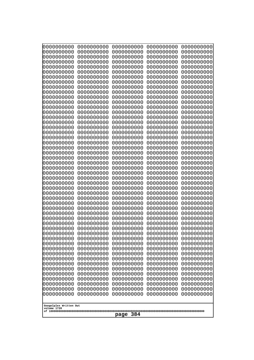| 10000000000              | 0000000000               | 0000000000               | 0000000000               | 0000000000               |
|--------------------------|--------------------------|--------------------------|--------------------------|--------------------------|
| 0000000000<br>0000000000 | 0000000000<br>0000000000 | 0000000000<br>0000000000 | 0000000000<br>0000000000 | 0000000000<br>0000000000 |
| 0000000000               | 0000000000               | 0000000000               | 0000000000               | 0000000000               |
| 0000000000               | 0000000000               | 0000000000               | 0000000000               | 0000000000               |
| 0000000000               | 0000000000               | 0000000000               | 0000000000               | 0000000000               |
| 0000000000<br>0000000000 | 0000000000<br>0000000000 | 0000000000<br>0000000000 | 0000000000<br>0000000000 | 0000000000<br>0000000000 |
| 0000000000               | 0000000000               | 0000000000               | 0000000000               | 0000000000               |
| 0000000000               | 0000000000               | 0000000000               | 0000000000               | 0000000000               |
| 0000000000               | 0000000000               | 0000000000               | 0000000000               | 0000000000               |
| 0000000000<br>0000000000 | 0000000000<br>0000000000 | 0000000000<br>0000000000 | 0000000000<br>0000000000 | 0000000000<br>0000000000 |
| 0000000000               | 0000000000               | 0000000000               | 0000000000               | 0000000000               |
| 0000000000               | 0000000000               | 0000000000               | 0000000000               | 0000000000               |
| 0000000000               | 0000000000               | 0000000000               | 0000000000               | 0000000000               |
| 0000000000<br>0000000000 | 0000000000<br>0000000000 | 0000000000<br>0000000000 | 0000000000<br>0000000000 | 0000000000<br>0000000000 |
| 0000000000               | 0000000000               | 0000000000               | 0000000000               | 0000000000               |
| 0000000000               | 0000000000               | 0000000000               | 0000000000               | 0000000000               |
| 0000000000               | 0000000000               | 0000000000               | 0000000000               | 0000000000               |
| 0000000000<br>0000000000 | 0000000000<br>0000000000 | 0000000000<br>0000000000 | 0000000000<br>0000000000 | 0000000000<br>0000000000 |
| 0000000000               | 0000000000               | 0000000000               | 0000000000               | 0000000000               |
| 0000000000               | 0000000000               | 0000000000               | 0000000000               | 0000000000               |
| 0000000000<br>0000000000 | 0000000000<br>0000000000 | 0000000000<br>0000000000 | 0000000000<br>0000000000 | 0000000000<br>0000000000 |
| 0000000000               | 0000000000               | 0000000000               | 0000000000               | 0000000000               |
| 0000000000               | 0000000000               | 0000000000               | 0000000000               | 0000000000               |
| 0000000000               | 0000000000               | 0000000000               | 0000000000               | 0000000000               |
| 0000000000<br>0000000000 | 0000000000<br>0000000000 | 0000000000<br>0000000000 | 0000000000<br>0000000000 | 0000000000<br>0000000000 |
| 0000000000               | 0000000000               | 0000000000               | 0000000000               | 0000000000               |
| 0000000000               | 0000000000               | 0000000000               | 0000000000               | 0000000000               |
| 0000000000<br>0000000000 | 0000000000<br>0000000000 | 0000000000               | 0000000000               | 0000000000               |
| 0000000000               | 0000000000               | 0000000000<br>0000000000 | 0000000000<br>0000000000 | 0000000000<br>0000000000 |
| 0000000000               | 0000000000               | 0000000000               | 0000000000               | 0000000000               |
| 0000000000               | 0000000000               | 0000000000               | 0000000000               | 0000000000               |
| 0000000000<br>0000000000 | 0000000000<br>0000000000 | 0000000000<br>0000000000 | 0000000000<br>0000000000 | 0000000000<br>0000000000 |
| 0000000000               | 0000000000               | 0000000000               | 0000000000               | 0000000000               |
| 0000000000               | 0000000000               | 0000000000               | 0000000000               | 0000000000               |
| 0000000000               | 0000000000               | 0000000000               | 0000000000               | 0000000000               |
| 0000000000<br>0000000000 | 0000000000<br>0000000000 | 0000000000<br>0000000000 | 0000000000<br>0000000000 | 0000000000<br>0000000000 |
| 0000000000               | 0000000000               | 0000000000               | 0000000000               | 0000000000               |
| 0000000000               | 0000000000               | 0000000000               | 0000000000               | 0000000000               |
| 0000000000               | 0000000000               | 0000000000               | 0000000000               | 0000000000               |
| 0000000000               | 0000000000               | 0000000000               | 0000000000               | 0000000000               |
| Googolplex Written Out   |                          |                          |                          |                          |
| volume 1720              |                          |                          |                          |                          |
| 384<br>page              |                          |                          |                          |                          |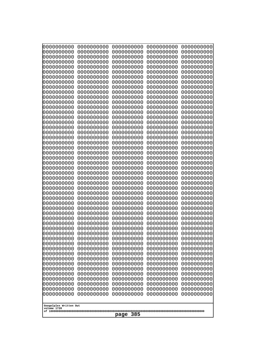| 0000000000<br>0000000000<br>0000000000<br>0000000000<br>0000000000<br>0000000000<br>0000000000<br>0000000000<br>0000000000<br>0000000000<br>0000000000<br>0000000000<br>0000000000<br>0000000000<br>0000000000<br>0000000000<br>0000000000<br>0000000000<br>0000000000<br>0000000000<br>0000000000<br>0000000000<br>0000000000<br>0000000000 | 0000000000<br>0000000000<br>0000000000<br>0000000000<br>0000000000<br>0000000000<br>0000000000<br>0000000000<br>0000000000<br>0000000000<br>0000000000<br>0000000000<br>0000000000<br>0000000000<br>0000000000<br>0000000000<br>0000000000<br>0000000000<br>0000000000<br>0000000000<br>0000000000<br>0000000000<br>0000000000<br>0000000000 | 0000000000<br>0000000000<br>0000000000<br>0000000000<br>0000000000<br>0000000000<br>0000000000<br>0000000000<br>0000000000<br>0000000000<br>0000000000<br>0000000000<br>0000000000<br>0000000000<br>0000000000<br>0000000000<br>0000000000<br>0000000000<br>0000000000<br>0000000000<br>0000000000<br>0000000000<br>0000000000<br>0000000000 | 0000000000<br>0000000000<br>0000000000<br>0000000000<br>0000000000<br>0000000000<br>0000000000<br>0000000000<br>0000000000<br>0000000000<br>0000000000<br>0000000000<br>0000000000<br>0000000000<br>0000000000<br>0000000000<br>0000000000<br>0000000000<br>0000000000<br>0000000000<br>0000000000<br>0000000000<br>0000000000<br>0000000000 | 0000000000<br>0000000000<br>0000000000<br>0000000000<br>0000000000<br>0000000000<br>0000000000<br>0000000000<br>0000000000<br>0000000000<br>0000000000<br>0000000000<br>0000000000<br>0000000000<br>0000000000<br>0000000000<br>0000000000<br>0000000000<br>0000000000<br>0000000000<br>0000000000<br>0000000000<br>0000000000<br>0000000000 |  |  |
|----------------------------------------------------------------------------------------------------------------------------------------------------------------------------------------------------------------------------------------------------------------------------------------------------------------------------------------------|----------------------------------------------------------------------------------------------------------------------------------------------------------------------------------------------------------------------------------------------------------------------------------------------------------------------------------------------|----------------------------------------------------------------------------------------------------------------------------------------------------------------------------------------------------------------------------------------------------------------------------------------------------------------------------------------------|----------------------------------------------------------------------------------------------------------------------------------------------------------------------------------------------------------------------------------------------------------------------------------------------------------------------------------------------|----------------------------------------------------------------------------------------------------------------------------------------------------------------------------------------------------------------------------------------------------------------------------------------------------------------------------------------------|--|--|
|                                                                                                                                                                                                                                                                                                                                              |                                                                                                                                                                                                                                                                                                                                              |                                                                                                                                                                                                                                                                                                                                              |                                                                                                                                                                                                                                                                                                                                              |                                                                                                                                                                                                                                                                                                                                              |  |  |
|                                                                                                                                                                                                                                                                                                                                              |                                                                                                                                                                                                                                                                                                                                              |                                                                                                                                                                                                                                                                                                                                              |                                                                                                                                                                                                                                                                                                                                              |                                                                                                                                                                                                                                                                                                                                              |  |  |
|                                                                                                                                                                                                                                                                                                                                              |                                                                                                                                                                                                                                                                                                                                              |                                                                                                                                                                                                                                                                                                                                              |                                                                                                                                                                                                                                                                                                                                              |                                                                                                                                                                                                                                                                                                                                              |  |  |
|                                                                                                                                                                                                                                                                                                                                              |                                                                                                                                                                                                                                                                                                                                              |                                                                                                                                                                                                                                                                                                                                              |                                                                                                                                                                                                                                                                                                                                              |                                                                                                                                                                                                                                                                                                                                              |  |  |
|                                                                                                                                                                                                                                                                                                                                              |                                                                                                                                                                                                                                                                                                                                              |                                                                                                                                                                                                                                                                                                                                              |                                                                                                                                                                                                                                                                                                                                              |                                                                                                                                                                                                                                                                                                                                              |  |  |
|                                                                                                                                                                                                                                                                                                                                              |                                                                                                                                                                                                                                                                                                                                              |                                                                                                                                                                                                                                                                                                                                              |                                                                                                                                                                                                                                                                                                                                              |                                                                                                                                                                                                                                                                                                                                              |  |  |
|                                                                                                                                                                                                                                                                                                                                              |                                                                                                                                                                                                                                                                                                                                              |                                                                                                                                                                                                                                                                                                                                              |                                                                                                                                                                                                                                                                                                                                              |                                                                                                                                                                                                                                                                                                                                              |  |  |
|                                                                                                                                                                                                                                                                                                                                              |                                                                                                                                                                                                                                                                                                                                              |                                                                                                                                                                                                                                                                                                                                              |                                                                                                                                                                                                                                                                                                                                              |                                                                                                                                                                                                                                                                                                                                              |  |  |
|                                                                                                                                                                                                                                                                                                                                              |                                                                                                                                                                                                                                                                                                                                              |                                                                                                                                                                                                                                                                                                                                              |                                                                                                                                                                                                                                                                                                                                              |                                                                                                                                                                                                                                                                                                                                              |  |  |
|                                                                                                                                                                                                                                                                                                                                              |                                                                                                                                                                                                                                                                                                                                              |                                                                                                                                                                                                                                                                                                                                              |                                                                                                                                                                                                                                                                                                                                              |                                                                                                                                                                                                                                                                                                                                              |  |  |
|                                                                                                                                                                                                                                                                                                                                              |                                                                                                                                                                                                                                                                                                                                              |                                                                                                                                                                                                                                                                                                                                              |                                                                                                                                                                                                                                                                                                                                              |                                                                                                                                                                                                                                                                                                                                              |  |  |
|                                                                                                                                                                                                                                                                                                                                              |                                                                                                                                                                                                                                                                                                                                              |                                                                                                                                                                                                                                                                                                                                              |                                                                                                                                                                                                                                                                                                                                              |                                                                                                                                                                                                                                                                                                                                              |  |  |
| 0000000000                                                                                                                                                                                                                                                                                                                                   | 0000000000                                                                                                                                                                                                                                                                                                                                   | 0000000000                                                                                                                                                                                                                                                                                                                                   | 0000000000                                                                                                                                                                                                                                                                                                                                   | 0000000000                                                                                                                                                                                                                                                                                                                                   |  |  |
| 0000000000<br>0000000000                                                                                                                                                                                                                                                                                                                     | 0000000000<br>0000000000                                                                                                                                                                                                                                                                                                                     | 0000000000<br>0000000000                                                                                                                                                                                                                                                                                                                     | 0000000000<br>0000000000                                                                                                                                                                                                                                                                                                                     | 0000000000<br>0000000000                                                                                                                                                                                                                                                                                                                     |  |  |
| 0000000000                                                                                                                                                                                                                                                                                                                                   | 0000000000                                                                                                                                                                                                                                                                                                                                   | 0000000000                                                                                                                                                                                                                                                                                                                                   | 0000000000                                                                                                                                                                                                                                                                                                                                   | 0000000000                                                                                                                                                                                                                                                                                                                                   |  |  |
| 0000000000                                                                                                                                                                                                                                                                                                                                   | 0000000000                                                                                                                                                                                                                                                                                                                                   | 0000000000                                                                                                                                                                                                                                                                                                                                   | 0000000000                                                                                                                                                                                                                                                                                                                                   | 0000000000                                                                                                                                                                                                                                                                                                                                   |  |  |
| 0000000000<br>0000000000                                                                                                                                                                                                                                                                                                                     | 0000000000<br>0000000000                                                                                                                                                                                                                                                                                                                     | 0000000000<br>0000000000                                                                                                                                                                                                                                                                                                                     | 0000000000<br>0000000000                                                                                                                                                                                                                                                                                                                     | 0000000000<br>0000000000                                                                                                                                                                                                                                                                                                                     |  |  |
| 0000000000                                                                                                                                                                                                                                                                                                                                   | 0000000000                                                                                                                                                                                                                                                                                                                                   | 0000000000                                                                                                                                                                                                                                                                                                                                   | 0000000000                                                                                                                                                                                                                                                                                                                                   | 0000000000                                                                                                                                                                                                                                                                                                                                   |  |  |
| 0000000000<br>0000000000                                                                                                                                                                                                                                                                                                                     | 0000000000<br>0000000000                                                                                                                                                                                                                                                                                                                     | 0000000000<br>0000000000                                                                                                                                                                                                                                                                                                                     | 0000000000<br>0000000000                                                                                                                                                                                                                                                                                                                     | 0000000000<br>0000000000                                                                                                                                                                                                                                                                                                                     |  |  |
| 0000000000                                                                                                                                                                                                                                                                                                                                   | 0000000000                                                                                                                                                                                                                                                                                                                                   | 0000000000                                                                                                                                                                                                                                                                                                                                   | 0000000000                                                                                                                                                                                                                                                                                                                                   | 0000000000                                                                                                                                                                                                                                                                                                                                   |  |  |
| 0000000000<br>0000000000                                                                                                                                                                                                                                                                                                                     | 0000000000<br>0000000000                                                                                                                                                                                                                                                                                                                     | 0000000000<br>0000000000                                                                                                                                                                                                                                                                                                                     | 0000000000<br>0000000000                                                                                                                                                                                                                                                                                                                     | 0000000000<br>0000000000                                                                                                                                                                                                                                                                                                                     |  |  |
| 0000000000                                                                                                                                                                                                                                                                                                                                   | 0000000000                                                                                                                                                                                                                                                                                                                                   | 0000000000                                                                                                                                                                                                                                                                                                                                   | 0000000000                                                                                                                                                                                                                                                                                                                                   | 0000000000                                                                                                                                                                                                                                                                                                                                   |  |  |
| 0000000000<br>0000000000                                                                                                                                                                                                                                                                                                                     | 0000000000<br>0000000000                                                                                                                                                                                                                                                                                                                     | 0000000000<br>0000000000                                                                                                                                                                                                                                                                                                                     | 0000000000<br>0000000000                                                                                                                                                                                                                                                                                                                     | 0000000000<br>0000000000                                                                                                                                                                                                                                                                                                                     |  |  |
| 0000000000                                                                                                                                                                                                                                                                                                                                   | 0000000000                                                                                                                                                                                                                                                                                                                                   | 0000000000                                                                                                                                                                                                                                                                                                                                   | 0000000000                                                                                                                                                                                                                                                                                                                                   | 0000000000                                                                                                                                                                                                                                                                                                                                   |  |  |
| 0000000000<br>0000000000                                                                                                                                                                                                                                                                                                                     | 0000000000<br>0000000000                                                                                                                                                                                                                                                                                                                     | 0000000000<br>0000000000                                                                                                                                                                                                                                                                                                                     | 0000000000<br>0000000000                                                                                                                                                                                                                                                                                                                     | 0000000000<br>0000000000                                                                                                                                                                                                                                                                                                                     |  |  |
| 0000000000                                                                                                                                                                                                                                                                                                                                   | 0000000000                                                                                                                                                                                                                                                                                                                                   | 0000000000                                                                                                                                                                                                                                                                                                                                   | 0000000000                                                                                                                                                                                                                                                                                                                                   | 0000000000                                                                                                                                                                                                                                                                                                                                   |  |  |
| 0000000000<br>0000000000                                                                                                                                                                                                                                                                                                                     | 0000000000<br>0000000000                                                                                                                                                                                                                                                                                                                     | 0000000000<br>0000000000                                                                                                                                                                                                                                                                                                                     | 0000000000<br>0000000000                                                                                                                                                                                                                                                                                                                     | 0000000000<br>0000000000                                                                                                                                                                                                                                                                                                                     |  |  |
| 0000000000                                                                                                                                                                                                                                                                                                                                   | 0000000000                                                                                                                                                                                                                                                                                                                                   | 0000000000                                                                                                                                                                                                                                                                                                                                   | 0000000000                                                                                                                                                                                                                                                                                                                                   | 0000000000                                                                                                                                                                                                                                                                                                                                   |  |  |
| 0000000000                                                                                                                                                                                                                                                                                                                                   | 0000000000                                                                                                                                                                                                                                                                                                                                   | 0000000000<br>0000000000                                                                                                                                                                                                                                                                                                                     | 0000000000<br>0000000000                                                                                                                                                                                                                                                                                                                     | 0000000000                                                                                                                                                                                                                                                                                                                                   |  |  |
| 0000000000<br>0000000000                                                                                                                                                                                                                                                                                                                     | 0000000000<br>0000000000                                                                                                                                                                                                                                                                                                                     | 0000000000                                                                                                                                                                                                                                                                                                                                   | 0000000000                                                                                                                                                                                                                                                                                                                                   | 0000000000<br>0000000000                                                                                                                                                                                                                                                                                                                     |  |  |
|                                                                                                                                                                                                                                                                                                                                              |                                                                                                                                                                                                                                                                                                                                              |                                                                                                                                                                                                                                                                                                                                              |                                                                                                                                                                                                                                                                                                                                              |                                                                                                                                                                                                                                                                                                                                              |  |  |
| Googolplex Written Out<br>volume 1720                                                                                                                                                                                                                                                                                                        |                                                                                                                                                                                                                                                                                                                                              |                                                                                                                                                                                                                                                                                                                                              |                                                                                                                                                                                                                                                                                                                                              |                                                                                                                                                                                                                                                                                                                                              |  |  |
| 385<br>page                                                                                                                                                                                                                                                                                                                                  |                                                                                                                                                                                                                                                                                                                                              |                                                                                                                                                                                                                                                                                                                                              |                                                                                                                                                                                                                                                                                                                                              |                                                                                                                                                                                                                                                                                                                                              |  |  |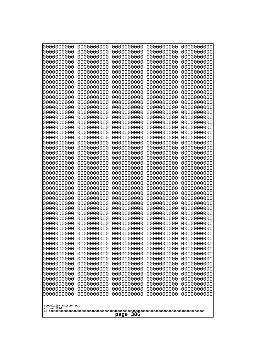| 0000000000                                           | 0000000000 | 0000000000 | 0000000000 | 0000000000 |
|------------------------------------------------------|------------|------------|------------|------------|
| 0000000000                                           | 0000000000 | 0000000000 | 0000000000 | 0000000000 |
| 0000000000                                           | 0000000000 | 0000000000 | 0000000000 | 0000000000 |
| 0000000000                                           | 0000000000 | 0000000000 | 0000000000 | 0000000000 |
| 0000000000                                           | 0000000000 | 0000000000 | 0000000000 | 0000000000 |
| 0000000000                                           | 0000000000 | 0000000000 | 0000000000 | 0000000000 |
| 0000000000                                           | 0000000000 | 0000000000 | 0000000000 | 0000000000 |
| 0000000000                                           | 0000000000 | 0000000000 | 0000000000 | 0000000000 |
| 0000000000                                           | 0000000000 | 0000000000 | 0000000000 | 0000000000 |
| 0000000000                                           | 0000000000 | 0000000000 | 0000000000 | 0000000000 |
| 0000000000                                           | 0000000000 | 0000000000 | 0000000000 | 0000000000 |
| 0000000000                                           | 0000000000 | 0000000000 | 0000000000 | 0000000000 |
| 0000000000                                           | 0000000000 | 0000000000 | 0000000000 | 0000000000 |
| 0000000000                                           | 0000000000 | 0000000000 | 0000000000 | 0000000000 |
| 0000000000                                           | 0000000000 | 0000000000 | 0000000000 | 0000000000 |
| 0000000000                                           | 0000000000 | 0000000000 | 0000000000 | 0000000000 |
| 0000000000                                           | 0000000000 | 0000000000 | 0000000000 | 0000000000 |
| 0000000000                                           | 0000000000 | 0000000000 | 0000000000 | 0000000000 |
| 0000000000                                           | 0000000000 | 0000000000 | 0000000000 | 0000000000 |
| 0000000000                                           | 0000000000 | 0000000000 | 0000000000 | 0000000000 |
| 0000000000                                           | 0000000000 | 0000000000 | 0000000000 | 0000000000 |
| 0000000000                                           | 0000000000 | 0000000000 | 0000000000 | 0000000000 |
| 0000000000                                           | 0000000000 | 0000000000 | 0000000000 | 0000000000 |
| 0000000000                                           | 0000000000 | 0000000000 | 0000000000 | 0000000000 |
| 0000000000                                           | 0000000000 | 0000000000 | 0000000000 | 0000000000 |
| 0000000000                                           | 0000000000 | 0000000000 | 0000000000 | 0000000000 |
| 0000000000                                           | 0000000000 | 0000000000 | 0000000000 | 0000000000 |
| 0000000000                                           | 0000000000 | 0000000000 | 0000000000 | 0000000000 |
| 0000000000                                           | 0000000000 | 0000000000 | 0000000000 | 0000000000 |
| 0000000000                                           | 0000000000 | 0000000000 | 0000000000 | 0000000000 |
| 0000000000                                           | 0000000000 | 0000000000 | 0000000000 | 0000000000 |
| 0000000000                                           | 0000000000 | 0000000000 | 0000000000 | 0000000000 |
| 0000000000                                           | 0000000000 | 0000000000 | 0000000000 | 0000000000 |
| 0000000000                                           | 0000000000 | 0000000000 | 0000000000 | 0000000000 |
| 0000000000                                           | 0000000000 | 0000000000 | 0000000000 | 0000000000 |
| 0000000000                                           | 0000000000 | 0000000000 | 0000000000 | 0000000000 |
| 0000000000                                           | 0000000000 | 0000000000 | 0000000000 | 0000000000 |
| 0000000000                                           | 0000000000 | 0000000000 | 0000000000 | 0000000000 |
| 0000000000                                           | 0000000000 | 0000000000 | 0000000000 | 0000000000 |
| 0000000000                                           | 0000000000 | 0000000000 | 0000000000 | 0000000000 |
| 0000000000                                           | 0000000000 | 0000000000 | 0000000000 | 0000000000 |
| 0000000000                                           | 0000000000 | 0000000000 | 0000000000 | 0000000000 |
| 0000000000                                           | 0000000000 | 0000000000 | 0000000000 | 0000000000 |
| 0000000000                                           | 0000000000 | 0000000000 | 0000000000 | 0000000000 |
| 0000000000                                           | 0000000000 | 0000000000 | 0000000000 | 0000000000 |
| 0000000000                                           | 0000000000 | 0000000000 | 0000000000 | 0000000000 |
| 0000000000                                           | 0000000000 | 0000000000 | 0000000000 | 0000000000 |
| 0000000000                                           | 0000000000 | 0000000000 | 0000000000 | 0000000000 |
| 0000000000                                           | 0000000000 | 0000000000 | 0000000000 | 0000000000 |
| 0000000000                                           | 0000000000 | 0000000000 | 0000000000 | 0000000000 |
| Googolplex Written Out<br>volume 1720<br>386<br>page |            |            |            |            |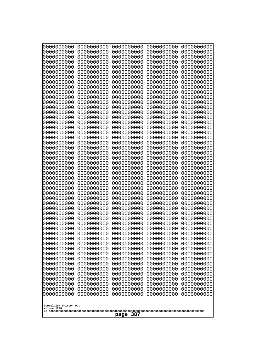| 000000000                | 0000000000               | 0000000000               | 0000000000               | 0000000000               |
|--------------------------|--------------------------|--------------------------|--------------------------|--------------------------|
| 0000000000               | 0000000000               | 0000000000               | 0000000000               | 0000000000               |
| 0000000000               | 0000000000               | 0000000000               | 0000000000               | 0000000000               |
| 0000000000               | 0000000000               | 0000000000               | 0000000000               | 0000000000               |
| 0000000000               | 0000000000               | 0000000000               | 0000000000               | 0000000000               |
| 0000000000               | 0000000000               | 0000000000               | 0000000000               | 0000000000               |
| 0000000000               | 0000000000               | 0000000000               | 0000000000               | 0000000000               |
| 0000000000               | 0000000000               | 0000000000               | 0000000000               | 0000000000               |
| 0000000000               | 0000000000<br>0000000000 | 0000000000<br>0000000000 | 0000000000               | 0000000000               |
| 0000000000<br>0000000000 | 0000000000               | 0000000000               | 0000000000<br>0000000000 | 0000000000<br>0000000000 |
| 0000000000               | 0000000000               | 0000000000               | 0000000000               | 0000000000               |
| 0000000000               | 0000000000               | 0000000000               | 0000000000               | 0000000000               |
| 0000000000               | 0000000000               | 0000000000               | 0000000000               | 0000000000               |
| 0000000000               | 0000000000               | 0000000000               | 0000000000               | 0000000000               |
| 0000000000               | 0000000000               | 0000000000               | 0000000000               | 0000000000               |
| 0000000000               | 0000000000               | 0000000000               | 0000000000               | 0000000000               |
| 0000000000               | 0000000000               | 0000000000               | 0000000000               | 0000000000               |
| 0000000000               | 0000000000               | 0000000000               | 0000000000               | 0000000000               |
| 0000000000               | 0000000000               | 0000000000               | 0000000000               | 0000000000               |
| 0000000000               | 0000000000               | 0000000000               | 0000000000               | 0000000000               |
| 0000000000               | 0000000000               | 0000000000               | 0000000000               | 0000000000               |
| 0000000000<br>0000000000 | 0000000000<br>0000000000 | 0000000000<br>0000000000 | 0000000000<br>0000000000 | 0000000000<br>0000000000 |
| 0000000000               | 0000000000               | 0000000000               | 0000000000               | 0000000000               |
| 0000000000               | 0000000000               | 0000000000               | 0000000000               | 0000000000               |
| 0000000000               | 0000000000               | 0000000000               | 0000000000               | 0000000000               |
| 0000000000               | 0000000000               | 0000000000               | 0000000000               | 0000000000               |
| 0000000000               | 0000000000               | 0000000000               | 0000000000               | 0000000000               |
| 0000000000               | 0000000000               | 0000000000               | 0000000000               | 0000000000               |
| 0000000000               | 0000000000               | 0000000000               | 0000000000               | 0000000000               |
| 0000000000               | 0000000000               | 0000000000               | 0000000000               | 0000000000               |
| 0000000000               | 0000000000               | 0000000000               | 0000000000               | 0000000000               |
| 0000000000<br>0000000000 | 0000000000<br>0000000000 | 0000000000<br>0000000000 | 0000000000<br>0000000000 | 0000000000<br>0000000000 |
| 0000000000               | 0000000000               | 0000000000               | 0000000000               | 0000000000               |
| 0000000000               | 0000000000               | 0000000000               | 0000000000               | 0000000000               |
| 0000000000               | 0000000000               | 0000000000               | 0000000000               | 0000000000               |
| 0000000000               | 0000000000               | 0000000000               | 0000000000               | 0000000000               |
| 0000000000               | 0000000000               | 0000000000               | 0000000000               | 0000000000               |
| 0000000000               | 0000000000               | 0000000000               | 0000000000               | 0000000000               |
| 0000000000               | 0000000000               | 0000000000               | 0000000000               | 0000000000               |
| 0000000000               | 0000000000               | 0000000000               | 0000000000               | 0000000000               |
| 0000000000               | 0000000000               | 0000000000               | 0000000000               | 0000000000               |
| 0000000000               | 0000000000               | 0000000000               | 0000000000               | 0000000000               |
| 0000000000<br>0000000000 | 0000000000<br>0000000000 | 0000000000<br>0000000000 | 0000000000<br>0000000000 | 0000000000<br>0000000000 |
| 0000000000               | 0000000000               | 0000000000               | 0000000000               | 0000000000               |
| 0000000000               | 0000000000               | 0000000000               | 0000000000               | 0000000000               |
| 0000000000               | 0000000000               | 0000000000               | 0000000000               | 0000000000               |
|                          |                          |                          |                          |                          |
| Googolplex Written Out   |                          |                          |                          |                          |
| volume 1720              |                          |                          |                          |                          |
| 387<br>page              |                          |                          |                          |                          |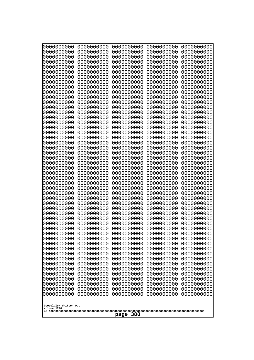| 10000000000              | 0000000000               | 0000000000               | 0000000000               | 0000000000               |  |
|--------------------------|--------------------------|--------------------------|--------------------------|--------------------------|--|
| 0000000000<br>0000000000 | 0000000000<br>0000000000 | 0000000000<br>0000000000 | 0000000000<br>0000000000 | 0000000000<br>0000000000 |  |
| 0000000000               | 0000000000               | 0000000000               | 0000000000               | 0000000000               |  |
| 0000000000               | 0000000000               | 0000000000               | 0000000000               | 0000000000               |  |
| 0000000000               | 0000000000               | 0000000000               | 0000000000               | 0000000000               |  |
| 0000000000<br>0000000000 | 0000000000<br>0000000000 | 0000000000<br>0000000000 | 0000000000<br>0000000000 | 0000000000<br>0000000000 |  |
| 0000000000               | 0000000000               | 0000000000               | 0000000000               | 0000000000               |  |
| 0000000000               | 0000000000               | 0000000000               | 0000000000               | 0000000000               |  |
| 0000000000               | 0000000000               | 0000000000               | 0000000000               | 0000000000               |  |
| 0000000000<br>0000000000 | 0000000000<br>0000000000 | 0000000000<br>0000000000 | 0000000000<br>0000000000 | 0000000000<br>0000000000 |  |
| 0000000000               | 0000000000               | 0000000000               | 0000000000               | 0000000000               |  |
| 0000000000               | 0000000000               | 0000000000               | 0000000000               | 0000000000               |  |
| 0000000000               | 0000000000               | 0000000000               | 0000000000               | 0000000000               |  |
| 0000000000<br>0000000000 | 0000000000<br>0000000000 | 0000000000<br>0000000000 | 0000000000<br>0000000000 | 0000000000<br>0000000000 |  |
| 0000000000               | 0000000000               | 0000000000               | 0000000000               | 0000000000               |  |
| 0000000000               | 0000000000               | 0000000000               | 0000000000               | 0000000000               |  |
| 0000000000<br>0000000000 | 0000000000<br>0000000000 | 0000000000<br>0000000000 | 0000000000<br>0000000000 | 0000000000<br>0000000000 |  |
| 0000000000               | 0000000000               | 0000000000               | 0000000000               | 0000000000               |  |
| 0000000000               | 0000000000               | 0000000000               | 0000000000               | 0000000000               |  |
| 0000000000               | 0000000000               | 0000000000               | 0000000000               | 0000000000               |  |
| 0000000000<br>0000000000 | 0000000000<br>0000000000 | 0000000000<br>0000000000 | 0000000000<br>0000000000 | 0000000000<br>0000000000 |  |
| 0000000000               | 0000000000               | 0000000000               | 0000000000               | 0000000000               |  |
| 0000000000               | 0000000000               | 0000000000               | 0000000000               | 0000000000               |  |
| 0000000000               | 0000000000               | 0000000000               | 0000000000               | 0000000000               |  |
| 0000000000<br>0000000000 | 0000000000<br>0000000000 | 0000000000<br>0000000000 | 0000000000<br>0000000000 | 0000000000<br>0000000000 |  |
| 0000000000               | 0000000000               | 0000000000               | 0000000000               | 0000000000               |  |
| 0000000000               | 0000000000               | 0000000000               | 0000000000               | 0000000000               |  |
| 0000000000<br>0000000000 | 0000000000<br>0000000000 | 0000000000<br>0000000000 | 0000000000<br>0000000000 | 0000000000<br>0000000000 |  |
| 0000000000               | 0000000000               | 0000000000               | 0000000000               | 0000000000               |  |
| 0000000000               | 0000000000               | 0000000000               | 0000000000               | 0000000000               |  |
| 0000000000               | 0000000000               | 0000000000               | 0000000000               | 0000000000               |  |
| 0000000000<br>0000000000 | 0000000000<br>0000000000 | 0000000000<br>0000000000 | 0000000000<br>0000000000 | 0000000000<br>0000000000 |  |
| 0000000000               | 0000000000               | 0000000000               | 0000000000               | 0000000000               |  |
| 0000000000               | 0000000000               | 0000000000               | 0000000000               | 0000000000               |  |
| 0000000000               | 0000000000               | 0000000000               | 0000000000               | 0000000000               |  |
| 0000000000<br>0000000000 | 0000000000<br>0000000000 | 0000000000<br>0000000000 | 0000000000<br>0000000000 | 0000000000<br>0000000000 |  |
| 0000000000               | 0000000000               | 0000000000               | 0000000000               | 0000000000               |  |
| 0000000000               | 0000000000               | 0000000000               | 0000000000               | 0000000000               |  |
| 0000000000               | 0000000000               | 0000000000               | 0000000000               | 0000000000               |  |
| 0000000000               | 0000000000               | 0000000000               | 0000000000               | 0000000000               |  |
| Googolplex Written Out   |                          |                          |                          |                          |  |
| volume 1720              |                          |                          |                          |                          |  |
|                          | 388<br>page              |                          |                          |                          |  |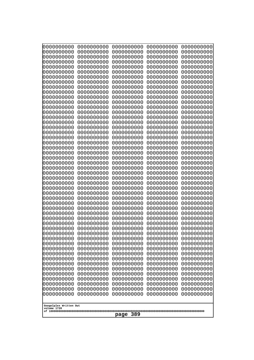| 0000000000                                                                                                                                                                                       | 0000000000 | 0000000000 | 0000000000 | 0000000000 |
|--------------------------------------------------------------------------------------------------------------------------------------------------------------------------------------------------|------------|------------|------------|------------|
| 0000000000                                                                                                                                                                                       | 0000000000 | 0000000000 | 0000000000 | 0000000000 |
| 0000000000                                                                                                                                                                                       | 0000000000 | 0000000000 | 0000000000 | 0000000000 |
| 0000000000                                                                                                                                                                                       | 0000000000 | 0000000000 | 0000000000 | 0000000000 |
| 0000000000                                                                                                                                                                                       | 0000000000 | 0000000000 | 0000000000 | 0000000000 |
| 0000000000                                                                                                                                                                                       | 0000000000 | 0000000000 | 0000000000 | 0000000000 |
| 0000000000                                                                                                                                                                                       | 0000000000 | 0000000000 | 0000000000 | 0000000000 |
| 0000000000                                                                                                                                                                                       | 0000000000 | 0000000000 | 0000000000 | 0000000000 |
| 0000000000                                                                                                                                                                                       | 0000000000 | 0000000000 | 0000000000 | 0000000000 |
| 0000000000                                                                                                                                                                                       | 0000000000 | 0000000000 | 0000000000 | 0000000000 |
| 0000000000                                                                                                                                                                                       | 0000000000 | 0000000000 | 0000000000 | 0000000000 |
| 0000000000                                                                                                                                                                                       | 0000000000 | 0000000000 | 0000000000 | 0000000000 |
| 0000000000                                                                                                                                                                                       | 0000000000 | 0000000000 | 0000000000 | 0000000000 |
| 0000000000                                                                                                                                                                                       | 0000000000 | 0000000000 | 0000000000 | 0000000000 |
| 0000000000                                                                                                                                                                                       | 0000000000 | 0000000000 | 0000000000 | 0000000000 |
| 0000000000                                                                                                                                                                                       | 0000000000 | 0000000000 | 0000000000 | 0000000000 |
| 0000000000                                                                                                                                                                                       | 0000000000 | 0000000000 | 0000000000 | 0000000000 |
| 0000000000                                                                                                                                                                                       | 0000000000 | 0000000000 | 0000000000 | 0000000000 |
| 0000000000                                                                                                                                                                                       | 0000000000 | 0000000000 | 0000000000 | 0000000000 |
| 0000000000                                                                                                                                                                                       | 0000000000 | 0000000000 | 0000000000 | 0000000000 |
| 0000000000                                                                                                                                                                                       | 0000000000 | 0000000000 | 0000000000 | 0000000000 |
|                                                                                                                                                                                                  |            |            |            |            |
| 0000000000                                                                                                                                                                                       | 0000000000 | 0000000000 | 0000000000 | 0000000000 |
| 0000000000                                                                                                                                                                                       | 0000000000 | 0000000000 | 0000000000 | 0000000000 |
| 0000000000                                                                                                                                                                                       | 0000000000 | 0000000000 | 0000000000 | 0000000000 |
| 0000000000                                                                                                                                                                                       | 0000000000 | 0000000000 | 0000000000 | 0000000000 |
| 0000000000                                                                                                                                                                                       | 0000000000 | 0000000000 | 0000000000 | 0000000000 |
| 0000000000                                                                                                                                                                                       | 0000000000 | 0000000000 | 0000000000 | 0000000000 |
| 0000000000                                                                                                                                                                                       | 0000000000 | 0000000000 | 0000000000 | 0000000000 |
| 0000000000                                                                                                                                                                                       | 0000000000 | 0000000000 | 0000000000 | 0000000000 |
| 0000000000                                                                                                                                                                                       | 0000000000 | 0000000000 | 0000000000 | 0000000000 |
| 0000000000                                                                                                                                                                                       | 0000000000 | 0000000000 | 0000000000 | 0000000000 |
| 0000000000                                                                                                                                                                                       | 0000000000 | 0000000000 | 0000000000 | 0000000000 |
| 0000000000                                                                                                                                                                                       | 0000000000 | 0000000000 | 0000000000 | 0000000000 |
| 0000000000                                                                                                                                                                                       | 0000000000 | 0000000000 | 0000000000 | 0000000000 |
| 0000000000                                                                                                                                                                                       | 0000000000 | 0000000000 | 0000000000 | 0000000000 |
| 0000000000                                                                                                                                                                                       | 0000000000 | 0000000000 | 0000000000 | 0000000000 |
| 0000000000                                                                                                                                                                                       | 0000000000 | 0000000000 | 0000000000 | 0000000000 |
| 0000000000                                                                                                                                                                                       | 0000000000 | 0000000000 | 0000000000 | 0000000000 |
| 0000000000                                                                                                                                                                                       | 0000000000 | 0000000000 | 0000000000 | 0000000000 |
| 0000000000                                                                                                                                                                                       | 0000000000 | 0000000000 | 0000000000 | 0000000000 |
| 0000000000                                                                                                                                                                                       | 0000000000 | 0000000000 | 0000000000 | 0000000000 |
| 0000000000                                                                                                                                                                                       | 0000000000 | 0000000000 | 0000000000 | 0000000000 |
| 0000000000                                                                                                                                                                                       | 0000000000 | 0000000000 | 0000000000 | 0000000000 |
| 0000000000                                                                                                                                                                                       | 0000000000 | 0000000000 | 0000000000 | 0000000000 |
| 0000000000                                                                                                                                                                                       | 0000000000 | 0000000000 | 0000000000 | 0000000000 |
| 0000000000                                                                                                                                                                                       | 0000000000 | 0000000000 | 0000000000 | 0000000000 |
| 0000000000                                                                                                                                                                                       | 0000000000 | 0000000000 | 0000000000 | 0000000000 |
| 0000000000                                                                                                                                                                                       | 0000000000 | 0000000000 | 0000000000 | 0000000000 |
| 0000000000<br>0000000000<br>0000000000<br>0000000000<br>0000000000<br>0000000000<br>0000000000<br>0000000000<br>0000000000<br>0000000000<br>Googolplex Written Out<br>volume 1720<br>389<br>page |            |            |            |            |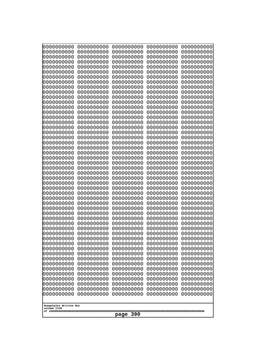| 10000000000              | 0000000000               | 0000000000               | 0000000000               | 0000000000               |
|--------------------------|--------------------------|--------------------------|--------------------------|--------------------------|
| 0000000000<br>0000000000 | 0000000000<br>0000000000 | 0000000000<br>0000000000 | 0000000000<br>0000000000 | 0000000000<br>0000000000 |
| 0000000000               | 0000000000               | 0000000000               | 0000000000               | 0000000000               |
| 0000000000               | 0000000000               | 0000000000               | 0000000000               | 0000000000               |
| 0000000000               | 0000000000               | 0000000000               | 0000000000               | 0000000000               |
| 0000000000<br>0000000000 | 0000000000<br>0000000000 | 0000000000<br>0000000000 | 0000000000<br>0000000000 | 0000000000<br>0000000000 |
| 0000000000               | 0000000000               | 0000000000               | 0000000000               | 0000000000               |
| 0000000000               | 0000000000               | 0000000000               | 0000000000               | 0000000000               |
| 0000000000               | 0000000000               | 0000000000               | 0000000000               | 0000000000               |
| 0000000000<br>0000000000 | 0000000000<br>0000000000 | 0000000000<br>0000000000 | 0000000000<br>0000000000 | 0000000000<br>0000000000 |
| 0000000000               | 0000000000               | 0000000000               | 0000000000               | 0000000000               |
| 0000000000               | 0000000000               | 0000000000               | 0000000000               | 0000000000               |
| 0000000000               | 0000000000               | 0000000000               | 0000000000               | 0000000000               |
| 0000000000<br>0000000000 | 0000000000<br>0000000000 | 0000000000<br>0000000000 | 0000000000<br>0000000000 | 0000000000<br>0000000000 |
| 0000000000               | 0000000000               | 0000000000               | 0000000000               | 0000000000               |
| 0000000000               | 0000000000               | 0000000000               | 0000000000               | 0000000000               |
| 0000000000<br>0000000000 | 0000000000<br>0000000000 | 0000000000<br>0000000000 | 0000000000<br>0000000000 | 0000000000<br>0000000000 |
| 0000000000               | 0000000000               | 0000000000               | 0000000000               | 0000000000               |
| 0000000000               | 0000000000               | 0000000000               | 0000000000               | 0000000000               |
| 0000000000               | 0000000000               | 0000000000               | 0000000000               | 0000000000               |
| 0000000000<br>0000000000 | 0000000000<br>0000000000 | 0000000000<br>0000000000 | 0000000000<br>0000000000 | 0000000000<br>0000000000 |
| 0000000000               | 0000000000               | 0000000000               | 0000000000               | 0000000000               |
| 0000000000               | 0000000000               | 0000000000               | 0000000000               | 0000000000               |
| 0000000000               | 0000000000               | 0000000000               | 0000000000               | 0000000000               |
| 0000000000<br>0000000000 | 0000000000<br>0000000000 | 0000000000<br>0000000000 | 0000000000<br>0000000000 | 0000000000<br>0000000000 |
| 0000000000               | 0000000000               | 0000000000               | 0000000000               | 0000000000               |
| 0000000000               | 0000000000               | 0000000000               | 0000000000               | 0000000000               |
| 0000000000<br>0000000000 | 0000000000<br>0000000000 | 0000000000<br>0000000000 | 0000000000<br>0000000000 | 0000000000<br>0000000000 |
| 0000000000               | 0000000000               | 0000000000               | 0000000000               | 0000000000               |
| 0000000000               | 0000000000               | 0000000000               | 0000000000               | 0000000000               |
| 0000000000               | 0000000000               | 0000000000               | 0000000000               | 0000000000               |
| 0000000000<br>0000000000 | 0000000000<br>0000000000 | 0000000000<br>0000000000 | 0000000000<br>0000000000 | 0000000000<br>0000000000 |
| 0000000000               | 0000000000               | 0000000000               | 0000000000               | 0000000000               |
| 0000000000               | 0000000000               | 0000000000               | 0000000000               | 0000000000               |
| 0000000000               | 0000000000               | 0000000000               | 0000000000               | 0000000000               |
| 0000000000<br>0000000000 | 0000000000<br>0000000000 | 0000000000<br>0000000000 | 0000000000<br>0000000000 | 0000000000<br>0000000000 |
| 0000000000               | 0000000000               | 0000000000               | 0000000000               | 0000000000               |
| 0000000000               | 0000000000               | 0000000000               | 0000000000               | 0000000000               |
| 0000000000               | 0000000000               | 0000000000               | 0000000000               | 0000000000               |
| 0000000000               | 0000000000               | 0000000000               | 0000000000               | 0000000000               |
| Googolplex Written Out   |                          |                          |                          |                          |
| volume 1720              |                          | 390<br>page              |                          |                          |
|                          |                          |                          |                          |                          |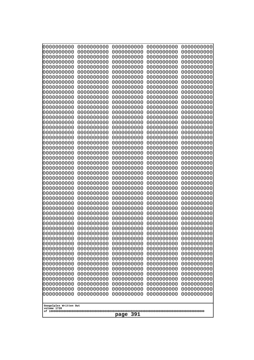| 0000000000                                                                                                                                            | 0000000000                                                                                                   | 0000000000                                                                                                                  | 0000000000                                                                                                   | 0000000000                                                                                                   |
|-------------------------------------------------------------------------------------------------------------------------------------------------------|--------------------------------------------------------------------------------------------------------------|-----------------------------------------------------------------------------------------------------------------------------|--------------------------------------------------------------------------------------------------------------|--------------------------------------------------------------------------------------------------------------|
| 0000000000                                                                                                                                            | 0000000000                                                                                                   | 0000000000                                                                                                                  | 0000000000                                                                                                   | 0000000000                                                                                                   |
| 0000000000                                                                                                                                            | 0000000000                                                                                                   | 0000000000                                                                                                                  | 0000000000                                                                                                   | 0000000000                                                                                                   |
| 0000000000                                                                                                                                            | 0000000000                                                                                                   | 0000000000                                                                                                                  | 0000000000                                                                                                   | 0000000000                                                                                                   |
| 0000000000                                                                                                                                            | 0000000000                                                                                                   | 0000000000                                                                                                                  | 0000000000                                                                                                   | 0000000000                                                                                                   |
| 0000000000                                                                                                                                            | 0000000000                                                                                                   | 0000000000                                                                                                                  | 0000000000                                                                                                   | 0000000000                                                                                                   |
| 0000000000                                                                                                                                            | 0000000000                                                                                                   | 0000000000                                                                                                                  | 0000000000                                                                                                   | 0000000000                                                                                                   |
| 0000000000                                                                                                                                            | 0000000000                                                                                                   | 0000000000                                                                                                                  | 0000000000                                                                                                   | 0000000000                                                                                                   |
| 0000000000                                                                                                                                            | 0000000000                                                                                                   | 0000000000                                                                                                                  | 0000000000                                                                                                   | 0000000000                                                                                                   |
| 0000000000                                                                                                                                            | 0000000000                                                                                                   | 0000000000                                                                                                                  | 0000000000                                                                                                   | 0000000000                                                                                                   |
| 0000000000                                                                                                                                            | 0000000000                                                                                                   | 0000000000                                                                                                                  | 0000000000                                                                                                   | 0000000000                                                                                                   |
| 0000000000                                                                                                                                            | 0000000000                                                                                                   | 0000000000                                                                                                                  | 0000000000                                                                                                   | 0000000000                                                                                                   |
| 0000000000                                                                                                                                            | 0000000000                                                                                                   | 0000000000                                                                                                                  | 0000000000                                                                                                   | 0000000000                                                                                                   |
| 0000000000                                                                                                                                            | 0000000000                                                                                                   | 0000000000                                                                                                                  | 0000000000                                                                                                   | 0000000000                                                                                                   |
| 0000000000                                                                                                                                            | 0000000000                                                                                                   | 0000000000                                                                                                                  | 0000000000                                                                                                   | 0000000000                                                                                                   |
| 0000000000                                                                                                                                            | 0000000000                                                                                                   | 0000000000                                                                                                                  | 0000000000                                                                                                   | 0000000000                                                                                                   |
| 0000000000                                                                                                                                            | 0000000000                                                                                                   | 0000000000                                                                                                                  | 0000000000                                                                                                   | 0000000000                                                                                                   |
| 0000000000                                                                                                                                            | 0000000000                                                                                                   | 0000000000                                                                                                                  | 0000000000                                                                                                   | 0000000000                                                                                                   |
| 0000000000                                                                                                                                            | 0000000000                                                                                                   | 0000000000                                                                                                                  | 0000000000                                                                                                   | 0000000000                                                                                                   |
| 0000000000                                                                                                                                            | 0000000000                                                                                                   | 0000000000                                                                                                                  | 0000000000                                                                                                   | 0000000000                                                                                                   |
| 0000000000                                                                                                                                            | 0000000000                                                                                                   | 0000000000                                                                                                                  | 0000000000                                                                                                   | 0000000000                                                                                                   |
| 0000000000                                                                                                                                            | 0000000000                                                                                                   | 0000000000                                                                                                                  | 0000000000                                                                                                   | 0000000000                                                                                                   |
| 0000000000                                                                                                                                            | 0000000000                                                                                                   | 0000000000                                                                                                                  | 0000000000                                                                                                   | 0000000000                                                                                                   |
| 0000000000                                                                                                                                            | 0000000000                                                                                                   | 0000000000                                                                                                                  | 0000000000                                                                                                   | 0000000000                                                                                                   |
| 0000000000                                                                                                                                            | 0000000000                                                                                                   | 0000000000                                                                                                                  | 0000000000                                                                                                   | 0000000000                                                                                                   |
| 0000000000                                                                                                                                            | 0000000000                                                                                                   | 0000000000                                                                                                                  | 0000000000                                                                                                   | 0000000000                                                                                                   |
| 0000000000                                                                                                                                            | 0000000000                                                                                                   | 0000000000                                                                                                                  | 0000000000                                                                                                   | 0000000000                                                                                                   |
| 0000000000                                                                                                                                            | 0000000000                                                                                                   | 0000000000                                                                                                                  | 0000000000                                                                                                   | 0000000000                                                                                                   |
| 0000000000                                                                                                                                            | 0000000000                                                                                                   | 0000000000                                                                                                                  | 0000000000                                                                                                   | 0000000000                                                                                                   |
| 0000000000                                                                                                                                            | 0000000000                                                                                                   | 0000000000                                                                                                                  | 0000000000                                                                                                   | 0000000000                                                                                                   |
| 0000000000                                                                                                                                            | 0000000000                                                                                                   | 0000000000                                                                                                                  | 0000000000                                                                                                   | 0000000000                                                                                                   |
| 0000000000                                                                                                                                            | 0000000000                                                                                                   | 0000000000                                                                                                                  | 0000000000                                                                                                   | 0000000000                                                                                                   |
| 0000000000                                                                                                                                            | 0000000000                                                                                                   | 0000000000                                                                                                                  | 0000000000                                                                                                   | 0000000000                                                                                                   |
| 0000000000                                                                                                                                            | 0000000000                                                                                                   | 0000000000                                                                                                                  | 0000000000                                                                                                   | 0000000000                                                                                                   |
| 0000000000                                                                                                                                            | 0000000000                                                                                                   | 0000000000                                                                                                                  | 0000000000                                                                                                   | 0000000000                                                                                                   |
| 0000000000                                                                                                                                            | 0000000000                                                                                                   | 0000000000                                                                                                                  | 0000000000                                                                                                   | 0000000000                                                                                                   |
| 0000000000                                                                                                                                            | 0000000000                                                                                                   | 0000000000                                                                                                                  | 0000000000                                                                                                   | 0000000000                                                                                                   |
| 0000000000                                                                                                                                            | 0000000000                                                                                                   | 0000000000                                                                                                                  | 0000000000                                                                                                   | 0000000000                                                                                                   |
| 0000000000                                                                                                                                            | 0000000000                                                                                                   | 0000000000                                                                                                                  | 0000000000                                                                                                   | 0000000000                                                                                                   |
| 0000000000                                                                                                                                            | 0000000000                                                                                                   | 0000000000                                                                                                                  | 0000000000                                                                                                   | 0000000000                                                                                                   |
| 0000000000                                                                                                                                            | 0000000000                                                                                                   | 0000000000                                                                                                                  | 0000000000                                                                                                   | 0000000000                                                                                                   |
| 0000000000                                                                                                                                            | 0000000000                                                                                                   | 0000000000                                                                                                                  | 0000000000                                                                                                   | 0000000000                                                                                                   |
| 0000000000<br>0000000000<br>0000000000<br>0000000000<br>0000000000<br>0000000000<br>0000000000<br>0000000000<br>Googolplex Written Out<br>volume 1720 | 0000000000<br>0000000000<br>0000000000<br>0000000000<br>0000000000<br>0000000000<br>0000000000<br>0000000000 | 0000000000<br>0000000000<br>0000000000<br>0000000000<br>0000000000<br>0000000000<br>0000000000<br>0000000000<br>391<br>page | 0000000000<br>0000000000<br>0000000000<br>0000000000<br>0000000000<br>0000000000<br>0000000000<br>0000000000 | 0000000000<br>0000000000<br>0000000000<br>0000000000<br>0000000000<br>0000000000<br>0000000000<br>0000000000 |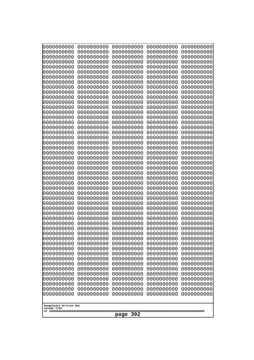| 0000000000                                           | 0000000000 | 0000000000 | 0000000000 | 0000000000 |
|------------------------------------------------------|------------|------------|------------|------------|
| 0000000000                                           | 0000000000 | 0000000000 | 0000000000 | 0000000000 |
| 0000000000                                           | 0000000000 | 0000000000 | 0000000000 | 0000000000 |
| 0000000000                                           | 0000000000 | 0000000000 | 0000000000 | 0000000000 |
| 0000000000                                           | 0000000000 | 0000000000 | 0000000000 | 0000000000 |
| 0000000000                                           | 0000000000 | 0000000000 | 0000000000 | 0000000000 |
| 0000000000                                           | 0000000000 | 0000000000 | 0000000000 | 0000000000 |
| 0000000000                                           | 0000000000 | 0000000000 | 0000000000 | 0000000000 |
| 0000000000                                           | 0000000000 | 0000000000 | 0000000000 | 0000000000 |
| 0000000000                                           | 0000000000 | 0000000000 | 0000000000 | 0000000000 |
| 0000000000                                           | 0000000000 | 0000000000 | 0000000000 | 0000000000 |
| 0000000000                                           | 0000000000 | 0000000000 | 0000000000 | 0000000000 |
| 0000000000                                           | 0000000000 | 0000000000 | 0000000000 | 0000000000 |
| 0000000000                                           | 0000000000 | 0000000000 | 0000000000 | 0000000000 |
| 0000000000                                           | 0000000000 | 0000000000 | 0000000000 | 0000000000 |
| 0000000000                                           | 0000000000 | 0000000000 | 0000000000 | 0000000000 |
| 0000000000                                           | 0000000000 | 0000000000 | 0000000000 | 0000000000 |
| 0000000000                                           | 0000000000 | 0000000000 | 0000000000 | 0000000000 |
| 0000000000                                           | 0000000000 | 0000000000 | 0000000000 | 0000000000 |
| 0000000000                                           | 0000000000 | 0000000000 | 0000000000 | 0000000000 |
| 0000000000                                           | 0000000000 | 0000000000 | 0000000000 | 0000000000 |
| 0000000000                                           | 0000000000 | 0000000000 | 0000000000 | 0000000000 |
| 0000000000                                           | 0000000000 | 0000000000 | 0000000000 | 0000000000 |
| 0000000000                                           | 0000000000 | 0000000000 | 0000000000 | 0000000000 |
| 0000000000                                           | 0000000000 | 0000000000 | 0000000000 | 0000000000 |
| 0000000000                                           | 0000000000 | 0000000000 | 0000000000 | 0000000000 |
| 0000000000                                           | 0000000000 | 0000000000 | 0000000000 | 0000000000 |
| 0000000000                                           | 0000000000 | 0000000000 | 0000000000 | 0000000000 |
| 0000000000                                           | 0000000000 | 0000000000 | 0000000000 | 0000000000 |
| 0000000000                                           | 0000000000 | 0000000000 | 0000000000 | 0000000000 |
| 0000000000                                           | 0000000000 | 0000000000 | 0000000000 | 0000000000 |
| 0000000000                                           | 0000000000 | 0000000000 | 0000000000 | 0000000000 |
| 0000000000                                           | 0000000000 | 0000000000 | 0000000000 | 0000000000 |
| 0000000000                                           | 0000000000 | 0000000000 | 0000000000 | 0000000000 |
| 0000000000                                           | 0000000000 | 0000000000 | 0000000000 | 0000000000 |
| 0000000000                                           | 0000000000 | 0000000000 | 0000000000 | 0000000000 |
| 0000000000                                           | 0000000000 | 0000000000 | 0000000000 | 0000000000 |
| 0000000000                                           | 0000000000 | 0000000000 | 0000000000 | 0000000000 |
| 0000000000                                           | 0000000000 | 0000000000 | 0000000000 | 0000000000 |
| 0000000000                                           | 0000000000 | 0000000000 | 0000000000 | 0000000000 |
| 0000000000                                           | 0000000000 | 0000000000 | 0000000000 | 0000000000 |
| 0000000000                                           | 0000000000 | 0000000000 | 0000000000 | 0000000000 |
| 0000000000                                           | 0000000000 | 0000000000 | 0000000000 | 0000000000 |
| 0000000000                                           | 0000000000 | 0000000000 | 0000000000 | 0000000000 |
| 0000000000                                           | 0000000000 | 0000000000 | 0000000000 | 0000000000 |
| 0000000000                                           | 0000000000 | 0000000000 | 0000000000 | 0000000000 |
| 0000000000                                           | 0000000000 | 0000000000 | 0000000000 | 0000000000 |
| 0000000000                                           | 0000000000 | 0000000000 | 0000000000 | 0000000000 |
| 0000000000                                           | 0000000000 | 0000000000 | 0000000000 | 0000000000 |
| 0000000000                                           | 0000000000 | 0000000000 | 0000000000 | 0000000000 |
| Googolplex Written Out<br>volume 1720<br>392<br>page |            |            |            |            |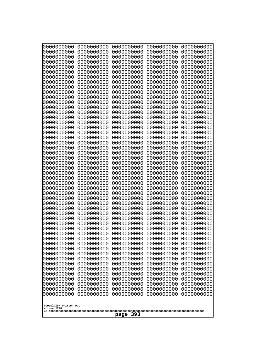| 0000000000<br>0000000000<br>0000000000<br>0000000000<br>0000000000<br>0000000000<br>0000000000<br>0000000000<br>0000000000<br>0000000000<br>0000000000<br>0000000000<br>0000000000<br>0000000000<br>0000000000<br>0000000000<br>0000000000<br>0000000000<br>0000000000<br>0000000000<br>0000000000<br>0000000000<br>0000000000<br>0000000000<br>0000000000 | 0000000000<br>0000000000<br>0000000000<br>0000000000<br>0000000000<br>0000000000<br>0000000000<br>0000000000<br>0000000000<br>0000000000<br>0000000000<br>0000000000<br>0000000000<br>0000000000<br>0000000000<br>0000000000<br>0000000000<br>0000000000<br>0000000000<br>0000000000<br>0000000000<br>0000000000<br>0000000000<br>0000000000<br>0000000000 | 0000000000<br>0000000000<br>0000000000<br>0000000000<br>0000000000<br>0000000000<br>0000000000<br>0000000000<br>0000000000<br>0000000000<br>0000000000<br>0000000000<br>0000000000<br>0000000000<br>0000000000<br>0000000000<br>0000000000<br>0000000000<br>0000000000<br>0000000000<br>0000000000<br>0000000000<br>0000000000<br>0000000000<br>0000000000 | 0000000000<br>0000000000<br>0000000000<br>0000000000<br>0000000000<br>0000000000<br>0000000000<br>0000000000<br>0000000000<br>0000000000<br>0000000000<br>0000000000<br>0000000000<br>0000000000<br>0000000000<br>0000000000<br>0000000000<br>0000000000<br>0000000000<br>0000000000<br>0000000000<br>0000000000<br>0000000000<br>0000000000<br>0000000000 | 0000000000<br>0000000000<br>0000000000<br>0000000000<br>0000000000<br>0000000000<br>0000000000<br>0000000000<br>0000000000<br>0000000000<br>0000000000<br>0000000000<br>0000000000<br>0000000000<br>0000000000<br>0000000000<br>0000000000<br>0000000000<br>0000000000<br>0000000000<br>0000000000<br>0000000000<br>0000000000<br>0000000000<br>0000000000 |
|------------------------------------------------------------------------------------------------------------------------------------------------------------------------------------------------------------------------------------------------------------------------------------------------------------------------------------------------------------|------------------------------------------------------------------------------------------------------------------------------------------------------------------------------------------------------------------------------------------------------------------------------------------------------------------------------------------------------------|------------------------------------------------------------------------------------------------------------------------------------------------------------------------------------------------------------------------------------------------------------------------------------------------------------------------------------------------------------|------------------------------------------------------------------------------------------------------------------------------------------------------------------------------------------------------------------------------------------------------------------------------------------------------------------------------------------------------------|------------------------------------------------------------------------------------------------------------------------------------------------------------------------------------------------------------------------------------------------------------------------------------------------------------------------------------------------------------|
|                                                                                                                                                                                                                                                                                                                                                            |                                                                                                                                                                                                                                                                                                                                                            |                                                                                                                                                                                                                                                                                                                                                            |                                                                                                                                                                                                                                                                                                                                                            |                                                                                                                                                                                                                                                                                                                                                            |
|                                                                                                                                                                                                                                                                                                                                                            |                                                                                                                                                                                                                                                                                                                                                            |                                                                                                                                                                                                                                                                                                                                                            |                                                                                                                                                                                                                                                                                                                                                            |                                                                                                                                                                                                                                                                                                                                                            |
|                                                                                                                                                                                                                                                                                                                                                            |                                                                                                                                                                                                                                                                                                                                                            |                                                                                                                                                                                                                                                                                                                                                            |                                                                                                                                                                                                                                                                                                                                                            |                                                                                                                                                                                                                                                                                                                                                            |
|                                                                                                                                                                                                                                                                                                                                                            |                                                                                                                                                                                                                                                                                                                                                            |                                                                                                                                                                                                                                                                                                                                                            |                                                                                                                                                                                                                                                                                                                                                            |                                                                                                                                                                                                                                                                                                                                                            |
|                                                                                                                                                                                                                                                                                                                                                            |                                                                                                                                                                                                                                                                                                                                                            |                                                                                                                                                                                                                                                                                                                                                            |                                                                                                                                                                                                                                                                                                                                                            |                                                                                                                                                                                                                                                                                                                                                            |
|                                                                                                                                                                                                                                                                                                                                                            |                                                                                                                                                                                                                                                                                                                                                            |                                                                                                                                                                                                                                                                                                                                                            |                                                                                                                                                                                                                                                                                                                                                            |                                                                                                                                                                                                                                                                                                                                                            |
|                                                                                                                                                                                                                                                                                                                                                            |                                                                                                                                                                                                                                                                                                                                                            |                                                                                                                                                                                                                                                                                                                                                            |                                                                                                                                                                                                                                                                                                                                                            |                                                                                                                                                                                                                                                                                                                                                            |
|                                                                                                                                                                                                                                                                                                                                                            |                                                                                                                                                                                                                                                                                                                                                            |                                                                                                                                                                                                                                                                                                                                                            |                                                                                                                                                                                                                                                                                                                                                            |                                                                                                                                                                                                                                                                                                                                                            |
|                                                                                                                                                                                                                                                                                                                                                            |                                                                                                                                                                                                                                                                                                                                                            |                                                                                                                                                                                                                                                                                                                                                            |                                                                                                                                                                                                                                                                                                                                                            |                                                                                                                                                                                                                                                                                                                                                            |
|                                                                                                                                                                                                                                                                                                                                                            |                                                                                                                                                                                                                                                                                                                                                            |                                                                                                                                                                                                                                                                                                                                                            |                                                                                                                                                                                                                                                                                                                                                            |                                                                                                                                                                                                                                                                                                                                                            |
|                                                                                                                                                                                                                                                                                                                                                            |                                                                                                                                                                                                                                                                                                                                                            |                                                                                                                                                                                                                                                                                                                                                            |                                                                                                                                                                                                                                                                                                                                                            |                                                                                                                                                                                                                                                                                                                                                            |
|                                                                                                                                                                                                                                                                                                                                                            |                                                                                                                                                                                                                                                                                                                                                            |                                                                                                                                                                                                                                                                                                                                                            |                                                                                                                                                                                                                                                                                                                                                            |                                                                                                                                                                                                                                                                                                                                                            |
| 0000000000                                                                                                                                                                                                                                                                                                                                                 | 0000000000                                                                                                                                                                                                                                                                                                                                                 | 0000000000                                                                                                                                                                                                                                                                                                                                                 | 0000000000                                                                                                                                                                                                                                                                                                                                                 | 0000000000                                                                                                                                                                                                                                                                                                                                                 |
| 0000000000<br>0000000000                                                                                                                                                                                                                                                                                                                                   | 0000000000<br>0000000000                                                                                                                                                                                                                                                                                                                                   | 0000000000<br>0000000000                                                                                                                                                                                                                                                                                                                                   | 0000000000<br>0000000000                                                                                                                                                                                                                                                                                                                                   | 0000000000<br>0000000000                                                                                                                                                                                                                                                                                                                                   |
| 0000000000<br>0000000000                                                                                                                                                                                                                                                                                                                                   | 0000000000<br>0000000000                                                                                                                                                                                                                                                                                                                                   | 0000000000<br>0000000000                                                                                                                                                                                                                                                                                                                                   | 0000000000<br>0000000000                                                                                                                                                                                                                                                                                                                                   | 0000000000<br>0000000000                                                                                                                                                                                                                                                                                                                                   |
| 0000000000                                                                                                                                                                                                                                                                                                                                                 | 0000000000                                                                                                                                                                                                                                                                                                                                                 | 0000000000                                                                                                                                                                                                                                                                                                                                                 | 0000000000                                                                                                                                                                                                                                                                                                                                                 | 0000000000                                                                                                                                                                                                                                                                                                                                                 |
| 0000000000<br>0000000000                                                                                                                                                                                                                                                                                                                                   | 0000000000<br>0000000000                                                                                                                                                                                                                                                                                                                                   | 0000000000<br>0000000000                                                                                                                                                                                                                                                                                                                                   | 0000000000<br>0000000000                                                                                                                                                                                                                                                                                                                                   | 0000000000<br>0000000000                                                                                                                                                                                                                                                                                                                                   |
| 0000000000<br>0000000000                                                                                                                                                                                                                                                                                                                                   | 0000000000<br>0000000000                                                                                                                                                                                                                                                                                                                                   | 0000000000<br>0000000000                                                                                                                                                                                                                                                                                                                                   | 0000000000<br>0000000000                                                                                                                                                                                                                                                                                                                                   | 0000000000<br>0000000000                                                                                                                                                                                                                                                                                                                                   |
| 0000000000                                                                                                                                                                                                                                                                                                                                                 | 0000000000                                                                                                                                                                                                                                                                                                                                                 | 0000000000                                                                                                                                                                                                                                                                                                                                                 | 0000000000                                                                                                                                                                                                                                                                                                                                                 | 0000000000                                                                                                                                                                                                                                                                                                                                                 |
| 0000000000<br>0000000000                                                                                                                                                                                                                                                                                                                                   | 0000000000<br>0000000000                                                                                                                                                                                                                                                                                                                                   | 0000000000<br>0000000000                                                                                                                                                                                                                                                                                                                                   | 0000000000<br>0000000000                                                                                                                                                                                                                                                                                                                                   | 0000000000<br>0000000000                                                                                                                                                                                                                                                                                                                                   |
| 0000000000                                                                                                                                                                                                                                                                                                                                                 | 0000000000                                                                                                                                                                                                                                                                                                                                                 | 0000000000                                                                                                                                                                                                                                                                                                                                                 | 0000000000                                                                                                                                                                                                                                                                                                                                                 | 0000000000                                                                                                                                                                                                                                                                                                                                                 |
| 0000000000<br>0000000000                                                                                                                                                                                                                                                                                                                                   | 0000000000<br>0000000000                                                                                                                                                                                                                                                                                                                                   | 0000000000<br>0000000000                                                                                                                                                                                                                                                                                                                                   | 0000000000<br>0000000000                                                                                                                                                                                                                                                                                                                                   | 0000000000<br>0000000000                                                                                                                                                                                                                                                                                                                                   |
| 0000000000<br>0000000000                                                                                                                                                                                                                                                                                                                                   | 0000000000<br>0000000000                                                                                                                                                                                                                                                                                                                                   | 0000000000<br>0000000000                                                                                                                                                                                                                                                                                                                                   | 0000000000<br>0000000000                                                                                                                                                                                                                                                                                                                                   | 0000000000<br>0000000000                                                                                                                                                                                                                                                                                                                                   |
| 0000000000                                                                                                                                                                                                                                                                                                                                                 | 0000000000                                                                                                                                                                                                                                                                                                                                                 | 0000000000                                                                                                                                                                                                                                                                                                                                                 | 0000000000                                                                                                                                                                                                                                                                                                                                                 | 0000000000                                                                                                                                                                                                                                                                                                                                                 |
| 0000000000<br>0000000000                                                                                                                                                                                                                                                                                                                                   | 0000000000<br>0000000000                                                                                                                                                                                                                                                                                                                                   | 0000000000<br>0000000000                                                                                                                                                                                                                                                                                                                                   | 0000000000<br>0000000000                                                                                                                                                                                                                                                                                                                                   | 0000000000<br>0000000000                                                                                                                                                                                                                                                                                                                                   |
| 0000000000<br>0000000000                                                                                                                                                                                                                                                                                                                                   | 0000000000<br>0000000000                                                                                                                                                                                                                                                                                                                                   | 0000000000<br>0000000000                                                                                                                                                                                                                                                                                                                                   | 0000000000<br>0000000000                                                                                                                                                                                                                                                                                                                                   | 0000000000<br>0000000000                                                                                                                                                                                                                                                                                                                                   |
| 0000000000                                                                                                                                                                                                                                                                                                                                                 | 0000000000                                                                                                                                                                                                                                                                                                                                                 | 0000000000                                                                                                                                                                                                                                                                                                                                                 | 0000000000                                                                                                                                                                                                                                                                                                                                                 | 0000000000                                                                                                                                                                                                                                                                                                                                                 |
| 0000000000                                                                                                                                                                                                                                                                                                                                                 | 0000000000                                                                                                                                                                                                                                                                                                                                                 | 0000000000                                                                                                                                                                                                                                                                                                                                                 | 0000000000                                                                                                                                                                                                                                                                                                                                                 | 0000000000                                                                                                                                                                                                                                                                                                                                                 |
| Googolplex Written Out<br>volume 1720                                                                                                                                                                                                                                                                                                                      |                                                                                                                                                                                                                                                                                                                                                            |                                                                                                                                                                                                                                                                                                                                                            |                                                                                                                                                                                                                                                                                                                                                            |                                                                                                                                                                                                                                                                                                                                                            |
| 393<br>page                                                                                                                                                                                                                                                                                                                                                |                                                                                                                                                                                                                                                                                                                                                            |                                                                                                                                                                                                                                                                                                                                                            |                                                                                                                                                                                                                                                                                                                                                            |                                                                                                                                                                                                                                                                                                                                                            |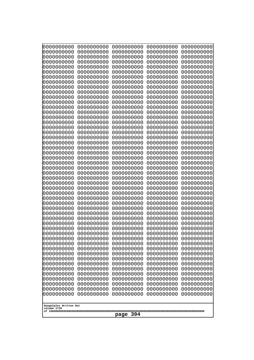| 0000000000                                                                                                                                                                                                                                                             | 0000000000 | 0000000000 | 0000000000 | 0000000000 |
|------------------------------------------------------------------------------------------------------------------------------------------------------------------------------------------------------------------------------------------------------------------------|------------|------------|------------|------------|
| 0000000000                                                                                                                                                                                                                                                             | 0000000000 | 0000000000 | 0000000000 | 0000000000 |
| 0000000000                                                                                                                                                                                                                                                             | 0000000000 | 0000000000 | 0000000000 | 0000000000 |
| 0000000000                                                                                                                                                                                                                                                             | 0000000000 | 0000000000 | 0000000000 | 0000000000 |
| 0000000000                                                                                                                                                                                                                                                             | 0000000000 | 0000000000 | 0000000000 | 0000000000 |
| 0000000000                                                                                                                                                                                                                                                             | 0000000000 | 0000000000 | 0000000000 | 0000000000 |
| 0000000000                                                                                                                                                                                                                                                             | 0000000000 | 0000000000 | 0000000000 | 0000000000 |
| 0000000000                                                                                                                                                                                                                                                             | 0000000000 | 0000000000 | 0000000000 | 0000000000 |
| 0000000000                                                                                                                                                                                                                                                             | 0000000000 | 0000000000 | 0000000000 | 0000000000 |
| 0000000000                                                                                                                                                                                                                                                             | 0000000000 | 0000000000 | 0000000000 | 0000000000 |
| 0000000000                                                                                                                                                                                                                                                             | 0000000000 | 0000000000 | 0000000000 | 0000000000 |
| 0000000000                                                                                                                                                                                                                                                             | 0000000000 | 0000000000 | 0000000000 | 0000000000 |
| 0000000000                                                                                                                                                                                                                                                             | 0000000000 | 0000000000 | 0000000000 | 0000000000 |
| 0000000000                                                                                                                                                                                                                                                             | 0000000000 | 0000000000 | 0000000000 | 0000000000 |
| 0000000000                                                                                                                                                                                                                                                             | 0000000000 | 0000000000 | 0000000000 | 0000000000 |
| 0000000000                                                                                                                                                                                                                                                             | 0000000000 | 0000000000 | 0000000000 | 0000000000 |
| 0000000000                                                                                                                                                                                                                                                             | 0000000000 | 0000000000 | 0000000000 | 0000000000 |
| 0000000000                                                                                                                                                                                                                                                             | 0000000000 | 0000000000 | 0000000000 | 0000000000 |
| 0000000000                                                                                                                                                                                                                                                             | 0000000000 | 0000000000 | 0000000000 | 0000000000 |
| 0000000000                                                                                                                                                                                                                                                             | 0000000000 | 0000000000 | 0000000000 | 0000000000 |
| 0000000000                                                                                                                                                                                                                                                             | 0000000000 | 0000000000 | 0000000000 | 0000000000 |
| 0000000000                                                                                                                                                                                                                                                             | 0000000000 | 0000000000 | 0000000000 | 0000000000 |
| 0000000000                                                                                                                                                                                                                                                             | 0000000000 | 0000000000 | 0000000000 | 0000000000 |
| 0000000000                                                                                                                                                                                                                                                             | 0000000000 | 0000000000 | 0000000000 | 0000000000 |
| 0000000000                                                                                                                                                                                                                                                             | 0000000000 | 0000000000 | 0000000000 | 0000000000 |
| 0000000000                                                                                                                                                                                                                                                             | 0000000000 | 0000000000 | 0000000000 | 0000000000 |
| 0000000000                                                                                                                                                                                                                                                             | 0000000000 | 0000000000 | 0000000000 | 0000000000 |
| 0000000000                                                                                                                                                                                                                                                             | 0000000000 | 0000000000 | 0000000000 | 0000000000 |
| 0000000000                                                                                                                                                                                                                                                             | 0000000000 | 0000000000 | 0000000000 | 0000000000 |
| 0000000000                                                                                                                                                                                                                                                             | 0000000000 | 0000000000 | 0000000000 | 0000000000 |
| 0000000000                                                                                                                                                                                                                                                             | 0000000000 | 0000000000 | 0000000000 | 0000000000 |
| 0000000000                                                                                                                                                                                                                                                             | 0000000000 | 0000000000 | 0000000000 | 0000000000 |
| 0000000000                                                                                                                                                                                                                                                             | 0000000000 | 0000000000 | 0000000000 | 0000000000 |
| 0000000000                                                                                                                                                                                                                                                             | 0000000000 | 0000000000 | 0000000000 | 0000000000 |
| 0000000000                                                                                                                                                                                                                                                             | 0000000000 | 0000000000 | 0000000000 | 0000000000 |
| 0000000000                                                                                                                                                                                                                                                             | 0000000000 | 0000000000 | 0000000000 | 0000000000 |
| 0000000000                                                                                                                                                                                                                                                             | 0000000000 | 0000000000 | 0000000000 | 0000000000 |
| 0000000000                                                                                                                                                                                                                                                             | 0000000000 | 0000000000 | 0000000000 | 0000000000 |
| 0000000000                                                                                                                                                                                                                                                             | 0000000000 | 0000000000 | 0000000000 | 0000000000 |
| 0000000000                                                                                                                                                                                                                                                             | 0000000000 | 0000000000 | 0000000000 | 0000000000 |
| 0000000000                                                                                                                                                                                                                                                             | 0000000000 | 0000000000 | 0000000000 | 0000000000 |
| 0000000000                                                                                                                                                                                                                                                             | 0000000000 | 0000000000 | 0000000000 | 0000000000 |
| 0000000000                                                                                                                                                                                                                                                             | 0000000000 | 0000000000 | 0000000000 | 0000000000 |
| 0000000000                                                                                                                                                                                                                                                             | 0000000000 | 0000000000 | 0000000000 | 0000000000 |
| 0000000000                                                                                                                                                                                                                                                             | 0000000000 | 0000000000 | 0000000000 | 0000000000 |
| 0000000000                                                                                                                                                                                                                                                             | 0000000000 | 0000000000 | 0000000000 | 0000000000 |
| 0000000000                                                                                                                                                                                                                                                             | 0000000000 | 0000000000 | 0000000000 | 0000000000 |
| 0000000000<br>0000000000<br>0000000000<br>0000000000<br>0000000000<br>0000000000<br>0000000000<br>0000000000<br>0000000000<br>0000000000<br>0000000000<br>0000000000<br>0000000000<br>0000000000<br>0000000000<br>Googolplex Written Out<br>volume 1720<br>394<br>page |            |            |            |            |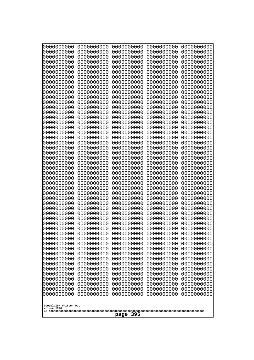| 0000000000                                                                                                                                                                                                                                              | 0000000000 | 0000000000 | 0000000000 | 0000000000 |
|---------------------------------------------------------------------------------------------------------------------------------------------------------------------------------------------------------------------------------------------------------|------------|------------|------------|------------|
| 0000000000                                                                                                                                                                                                                                              | 0000000000 | 0000000000 | 0000000000 | 0000000000 |
| 0000000000                                                                                                                                                                                                                                              | 0000000000 | 0000000000 | 0000000000 | 0000000000 |
| 0000000000                                                                                                                                                                                                                                              | 0000000000 | 0000000000 | 0000000000 | 0000000000 |
| 0000000000                                                                                                                                                                                                                                              | 0000000000 | 0000000000 | 0000000000 | 0000000000 |
| 0000000000                                                                                                                                                                                                                                              | 0000000000 | 0000000000 | 0000000000 | 0000000000 |
| 0000000000                                                                                                                                                                                                                                              | 0000000000 | 0000000000 | 0000000000 | 0000000000 |
| 0000000000                                                                                                                                                                                                                                              | 0000000000 | 0000000000 | 0000000000 | 0000000000 |
| 0000000000                                                                                                                                                                                                                                              | 0000000000 | 0000000000 | 0000000000 | 0000000000 |
| 0000000000                                                                                                                                                                                                                                              | 0000000000 | 0000000000 | 0000000000 | 0000000000 |
| 0000000000                                                                                                                                                                                                                                              | 0000000000 | 0000000000 | 0000000000 | 0000000000 |
| 0000000000                                                                                                                                                                                                                                              | 0000000000 | 0000000000 | 0000000000 | 0000000000 |
| 0000000000                                                                                                                                                                                                                                              | 0000000000 | 0000000000 | 0000000000 | 0000000000 |
| 0000000000                                                                                                                                                                                                                                              | 0000000000 | 0000000000 | 0000000000 | 0000000000 |
| 0000000000                                                                                                                                                                                                                                              | 0000000000 | 0000000000 | 0000000000 | 0000000000 |
| 0000000000                                                                                                                                                                                                                                              | 0000000000 | 0000000000 | 0000000000 | 0000000000 |
| 0000000000                                                                                                                                                                                                                                              | 0000000000 | 0000000000 | 0000000000 | 0000000000 |
| 0000000000                                                                                                                                                                                                                                              | 0000000000 | 0000000000 | 0000000000 | 0000000000 |
| 0000000000                                                                                                                                                                                                                                              | 0000000000 | 0000000000 | 0000000000 | 0000000000 |
| 0000000000                                                                                                                                                                                                                                              | 0000000000 | 0000000000 | 0000000000 | 0000000000 |
| 0000000000                                                                                                                                                                                                                                              | 0000000000 | 0000000000 | 0000000000 | 0000000000 |
| 0000000000                                                                                                                                                                                                                                              | 0000000000 | 0000000000 | 0000000000 | 0000000000 |
| 0000000000                                                                                                                                                                                                                                              | 0000000000 | 0000000000 | 0000000000 | 0000000000 |
| 0000000000                                                                                                                                                                                                                                              | 0000000000 | 0000000000 | 0000000000 | 0000000000 |
| 0000000000                                                                                                                                                                                                                                              | 0000000000 | 0000000000 | 0000000000 | 0000000000 |
| 0000000000                                                                                                                                                                                                                                              | 0000000000 | 0000000000 | 0000000000 | 0000000000 |
| 0000000000                                                                                                                                                                                                                                              | 0000000000 | 0000000000 | 0000000000 | 0000000000 |
| 0000000000                                                                                                                                                                                                                                              | 0000000000 | 0000000000 | 0000000000 | 0000000000 |
| 0000000000                                                                                                                                                                                                                                              | 0000000000 | 0000000000 | 0000000000 | 0000000000 |
| 0000000000                                                                                                                                                                                                                                              | 0000000000 | 0000000000 | 0000000000 | 0000000000 |
| 0000000000                                                                                                                                                                                                                                              | 0000000000 | 0000000000 | 0000000000 | 0000000000 |
| 0000000000                                                                                                                                                                                                                                              | 0000000000 | 0000000000 | 0000000000 | 0000000000 |
| 0000000000                                                                                                                                                                                                                                              | 0000000000 | 0000000000 | 0000000000 | 0000000000 |
| 0000000000                                                                                                                                                                                                                                              | 0000000000 | 0000000000 | 0000000000 | 0000000000 |
| 0000000000                                                                                                                                                                                                                                              | 0000000000 | 0000000000 | 0000000000 | 0000000000 |
| 0000000000                                                                                                                                                                                                                                              | 0000000000 | 0000000000 | 0000000000 | 0000000000 |
| 0000000000                                                                                                                                                                                                                                              | 0000000000 | 0000000000 | 0000000000 | 0000000000 |
| 0000000000                                                                                                                                                                                                                                              | 0000000000 | 0000000000 | 0000000000 | 0000000000 |
| 0000000000                                                                                                                                                                                                                                              | 0000000000 | 0000000000 | 0000000000 | 0000000000 |
| 0000000000                                                                                                                                                                                                                                              | 0000000000 | 0000000000 | 0000000000 | 0000000000 |
| 0000000000                                                                                                                                                                                                                                              | 0000000000 | 0000000000 | 0000000000 | 0000000000 |
| 0000000000                                                                                                                                                                                                                                              | 0000000000 | 0000000000 | 0000000000 | 0000000000 |
| 0000000000                                                                                                                                                                                                                                              | 0000000000 | 0000000000 | 0000000000 | 0000000000 |
| 0000000000                                                                                                                                                                                                                                              | 0000000000 | 0000000000 | 0000000000 | 0000000000 |
| 0000000000                                                                                                                                                                                                                                              | 0000000000 | 0000000000 | 0000000000 | 0000000000 |
| 0000000000                                                                                                                                                                                                                                              | 0000000000 | 0000000000 | 0000000000 | 0000000000 |
| 0000000000                                                                                                                                                                                                                                              | 0000000000 | 0000000000 | 0000000000 | 0000000000 |
| 0000000000<br>0000000000<br>0000000000<br>0000000000<br>0000000000<br>0000000000<br>0000000000<br>0000000000<br>0000000000<br>0000000000<br>0000000000<br>0000000000<br>0000000000<br>0000000000<br>0000000000<br>Googolplex Written Out<br>volume 1720 |            |            |            |            |
| 395<br>page                                                                                                                                                                                                                                             |            |            |            |            |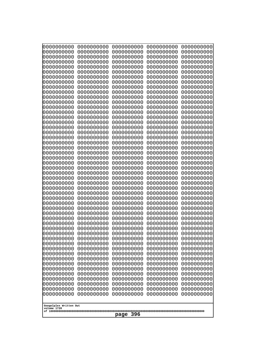| Googolplex Written Out<br>volume 1720 | 0000000000<br>0000000000<br>0000000000<br>0000000000<br>0000000000<br>0000000000<br>0000000000<br>0000000000<br>0000000000<br>0000000000<br>0000000000<br>0000000000<br>0000000000<br>0000000000<br>0000000000<br>0000000000<br>0000000000<br>0000000000<br>0000000000<br>0000000000<br>0000000000<br>0000000000<br>0000000000<br>0000000000<br>0000000000<br>0000000000<br>0000000000<br>0000000000<br>0000000000<br>0000000000<br>0000000000<br>0000000000<br>0000000000<br>0000000000<br>0000000000<br>0000000000<br>0000000000<br>10000000000<br>0000000000<br>0000000000<br>0000000000<br>0000000000<br>0000000000<br>0000000000<br>0000000000<br>0000000000<br>0000000000<br>0000000000<br>0000000000<br>0000000000 | 0000000000<br>0000000000<br>0000000000<br>0000000000<br>0000000000<br>0000000000<br>0000000000<br>0000000000<br>0000000000<br>0000000000<br>0000000000<br>0000000000<br>0000000000<br>0000000000<br>0000000000<br>0000000000<br>0000000000<br>0000000000<br>0000000000<br>0000000000<br>0000000000<br>0000000000<br>0000000000<br>0000000000<br>0000000000<br>0000000000<br>0000000000<br>0000000000<br>0000000000<br>0000000000<br>0000000000<br>0000000000<br>0000000000<br>0000000000<br>0000000000<br>0000000000<br>0000000000<br>0000000000<br>0000000000<br>0000000000<br>0000000000<br>0000000000<br>0000000000<br>0000000000<br>0000000000<br>0000000000<br>0000000000<br>0000000000<br>0000000000<br>0000000000 | 0000000000<br>0000000000<br>0000000000<br>0000000000<br>0000000000<br>0000000000<br>0000000000<br>0000000000<br>0000000000<br>0000000000<br>0000000000<br>0000000000<br>0000000000<br>0000000000<br>0000000000<br>0000000000<br>0000000000<br>0000000000<br>0000000000<br>0000000000<br>0000000000<br>0000000000<br>0000000000<br>0000000000<br>0000000000<br>0000000000<br>0000000000<br>0000000000<br>0000000000<br>0000000000<br>0000000000<br>0000000000<br>0000000000<br>0000000000<br>0000000000<br>0000000000<br>0000000000<br>0000000000<br>0000000000<br>0000000000<br>0000000000<br>0000000000<br>0000000000<br>0000000000<br>0000000000<br>0000000000<br>0000000000<br>0000000000<br>0000000000<br>0000000000 | 0000000000<br>0000000000<br>0000000000<br>0000000000<br>0000000000<br>0000000000<br>0000000000<br>0000000000<br>0000000000<br>0000000000<br>0000000000<br>0000000000<br>0000000000<br>0000000000<br>0000000000<br>0000000000<br>0000000000<br>0000000000<br>0000000000<br>0000000000<br>0000000000<br>0000000000<br>0000000000<br>0000000000<br>0000000000<br>0000000000<br>0000000000<br>0000000000<br>0000000000<br>0000000000<br>0000000000<br>0000000000<br>0000000000<br>0000000000<br>0000000000<br>0000000000<br>0000000000<br>0000000000<br>0000000000<br>0000000000<br>0000000000<br>0000000000<br>0000000000<br>0000000000<br>0000000000<br>0000000000<br>0000000000<br>0000000000<br>0000000000<br>0000000000 | 0000000000<br>0000000000<br>0000000000<br>0000000000<br>0000000000<br>0000000000<br>0000000000<br>0000000000<br>0000000000<br>0000000000<br>0000000000<br>0000000000<br>0000000000<br>0000000000<br>0000000000<br>0000000000<br>0000000000<br>0000000000<br>0000000000<br>0000000000<br>0000000000<br>0000000000<br>0000000000<br>0000000000<br>0000000000<br>0000000000<br>0000000000<br>0000000000<br>0000000000<br>0000000000<br>0000000000<br>0000000000<br>0000000000<br>0000000000<br>0000000000<br>0000000000<br>0000000000<br>0000000000<br>0000000000<br>0000000000<br>0000000000<br>0000000000<br>0000000000<br>0000000000<br>0000000000<br>0000000000<br>0000000000<br>0000000000<br>0000000000<br>0000000000 |  |
|---------------------------------------|---------------------------------------------------------------------------------------------------------------------------------------------------------------------------------------------------------------------------------------------------------------------------------------------------------------------------------------------------------------------------------------------------------------------------------------------------------------------------------------------------------------------------------------------------------------------------------------------------------------------------------------------------------------------------------------------------------------------------|--------------------------------------------------------------------------------------------------------------------------------------------------------------------------------------------------------------------------------------------------------------------------------------------------------------------------------------------------------------------------------------------------------------------------------------------------------------------------------------------------------------------------------------------------------------------------------------------------------------------------------------------------------------------------------------------------------------------------|--------------------------------------------------------------------------------------------------------------------------------------------------------------------------------------------------------------------------------------------------------------------------------------------------------------------------------------------------------------------------------------------------------------------------------------------------------------------------------------------------------------------------------------------------------------------------------------------------------------------------------------------------------------------------------------------------------------------------|--------------------------------------------------------------------------------------------------------------------------------------------------------------------------------------------------------------------------------------------------------------------------------------------------------------------------------------------------------------------------------------------------------------------------------------------------------------------------------------------------------------------------------------------------------------------------------------------------------------------------------------------------------------------------------------------------------------------------|--------------------------------------------------------------------------------------------------------------------------------------------------------------------------------------------------------------------------------------------------------------------------------------------------------------------------------------------------------------------------------------------------------------------------------------------------------------------------------------------------------------------------------------------------------------------------------------------------------------------------------------------------------------------------------------------------------------------------|--|
| 396<br>page                           |                                                                                                                                                                                                                                                                                                                                                                                                                                                                                                                                                                                                                                                                                                                           |                                                                                                                                                                                                                                                                                                                                                                                                                                                                                                                                                                                                                                                                                                                          |                                                                                                                                                                                                                                                                                                                                                                                                                                                                                                                                                                                                                                                                                                                          |                                                                                                                                                                                                                                                                                                                                                                                                                                                                                                                                                                                                                                                                                                                          |                                                                                                                                                                                                                                                                                                                                                                                                                                                                                                                                                                                                                                                                                                                          |  |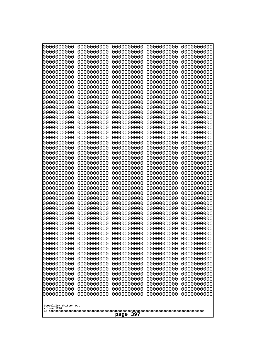| 000000000<br>0000000000  | 0000000000<br>0000000000 | 0000000000<br>0000000000 | 0000000000<br>0000000000 | 0000000000<br>0000000000 |  |
|--------------------------|--------------------------|--------------------------|--------------------------|--------------------------|--|
| 0000000000<br>0000000000 | 0000000000<br>0000000000 | 0000000000<br>0000000000 | 0000000000<br>0000000000 | 0000000000<br>0000000000 |  |
| 0000000000               | 0000000000               | 0000000000               | 0000000000               | 0000000000               |  |
| 0000000000<br>0000000000 | 0000000000<br>0000000000 | 0000000000<br>0000000000 | 0000000000<br>0000000000 | 0000000000<br>0000000000 |  |
| 0000000000               | 0000000000               | 0000000000               | 0000000000               | 0000000000               |  |
| 0000000000<br>0000000000 | 0000000000<br>0000000000 | 0000000000<br>0000000000 | 0000000000<br>0000000000 | 0000000000<br>0000000000 |  |
| 0000000000               | 0000000000               | 0000000000               | 0000000000               | 0000000000               |  |
| 0000000000<br>0000000000 | 0000000000<br>0000000000 | 0000000000<br>0000000000 | 0000000000<br>0000000000 | 0000000000<br>0000000000 |  |
| 0000000000               | 0000000000               | 0000000000               | 0000000000               | 0000000000               |  |
| 0000000000<br>0000000000 | 0000000000<br>0000000000 | 0000000000<br>0000000000 | 0000000000<br>0000000000 | 0000000000<br>0000000000 |  |
| 0000000000               | 0000000000               | 0000000000               | 0000000000               | 0000000000               |  |
| 0000000000<br>0000000000 | 0000000000<br>0000000000 | 0000000000<br>0000000000 | 0000000000<br>0000000000 | 0000000000<br>0000000000 |  |
| 0000000000               | 0000000000               | 0000000000               | 0000000000               | 0000000000               |  |
| 0000000000<br>0000000000 | 0000000000<br>0000000000 | 0000000000<br>0000000000 | 0000000000<br>0000000000 | 0000000000<br>0000000000 |  |
| 0000000000               | 0000000000               | 0000000000               | 0000000000               | 0000000000               |  |
| 0000000000<br>0000000000 | 0000000000<br>0000000000 | 0000000000<br>0000000000 | 0000000000<br>0000000000 | 0000000000<br>0000000000 |  |
| 0000000000               | 0000000000               | 0000000000               | 0000000000               | 0000000000               |  |
| 0000000000<br>0000000000 | 0000000000<br>0000000000 | 0000000000<br>0000000000 | 0000000000<br>0000000000 | 0000000000<br>0000000000 |  |
| 0000000000               | 0000000000               | 0000000000               | 0000000000               | 0000000000               |  |
| 0000000000<br>0000000000 | 0000000000<br>0000000000 | 0000000000<br>0000000000 | 0000000000<br>0000000000 | 0000000000<br>0000000000 |  |
| 0000000000               | 0000000000               | 0000000000               | 0000000000               | 0000000000               |  |
| 0000000000<br>0000000000 | 0000000000<br>0000000000 | 0000000000<br>0000000000 | 0000000000<br>0000000000 | 0000000000<br>0000000000 |  |
| 0000000000               | 0000000000               | 0000000000               | 0000000000               | 0000000000               |  |
| 0000000000<br>0000000000 | 0000000000<br>0000000000 | 0000000000<br>0000000000 | 0000000000<br>0000000000 | 0000000000<br>0000000000 |  |
| 0000000000               | 0000000000               | 0000000000               | 0000000000               | 0000000000               |  |
| 0000000000<br>0000000000 | 0000000000<br>0000000000 | 0000000000<br>0000000000 | 0000000000<br>0000000000 | 0000000000<br>0000000000 |  |
| 0000000000               | 0000000000               | 0000000000               | 0000000000               | 0000000000               |  |
| 0000000000<br>0000000000 | 0000000000<br>0000000000 | 0000000000<br>0000000000 | 0000000000<br>0000000000 | 0000000000<br>0000000000 |  |
| 0000000000               | 0000000000               | 0000000000               | 0000000000               | 0000000000               |  |
| 0000000000<br>0000000000 | 0000000000<br>0000000000 | 0000000000<br>0000000000 | 0000000000<br>0000000000 | 0000000000<br>0000000000 |  |
| 0000000000               | 0000000000               | 0000000000               | 0000000000               | 0000000000               |  |
| 0000000000<br>0000000000 | 0000000000<br>0000000000 | 0000000000<br>0000000000 | 0000000000<br>0000000000 | 0000000000<br>0000000000 |  |
| 0000000000               | 0000000000               | 0000000000               | 0000000000               | 0000000000               |  |
| Googolplex Written Out   |                          |                          |                          |                          |  |
| volume 1720              | 397<br>page              |                          |                          |                          |  |
|                          |                          |                          |                          |                          |  |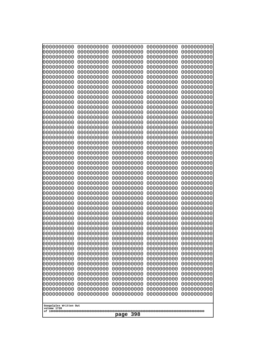| 10000000000              | 0000000000               | 0000000000               | 0000000000               | 0000000000               |
|--------------------------|--------------------------|--------------------------|--------------------------|--------------------------|
| 0000000000<br>0000000000 | 0000000000<br>0000000000 | 0000000000<br>0000000000 | 0000000000<br>0000000000 | 0000000000<br>0000000000 |
| 0000000000               | 0000000000               | 0000000000               | 0000000000               | 0000000000               |
| 0000000000               | 0000000000               | 0000000000               | 0000000000               | 0000000000               |
| 0000000000               | 0000000000               | 0000000000               | 0000000000               | 0000000000               |
| 0000000000<br>0000000000 | 0000000000<br>0000000000 | 0000000000<br>0000000000 | 0000000000<br>0000000000 | 0000000000<br>0000000000 |
| 0000000000               | 0000000000               | 0000000000               | 0000000000               | 0000000000               |
| 0000000000               | 0000000000               | 0000000000               | 0000000000               | 0000000000               |
| 0000000000               | 0000000000               | 0000000000               | 0000000000               | 0000000000               |
| 0000000000<br>0000000000 | 0000000000<br>0000000000 | 0000000000<br>0000000000 | 0000000000<br>0000000000 | 0000000000<br>0000000000 |
| 0000000000               | 0000000000               | 0000000000               | 0000000000               | 0000000000               |
| 0000000000               | 0000000000               | 0000000000               | 0000000000               | 0000000000               |
| 0000000000               | 0000000000               | 0000000000               | 0000000000               | 0000000000               |
| 0000000000<br>0000000000 | 0000000000<br>0000000000 | 0000000000<br>0000000000 | 0000000000<br>0000000000 | 0000000000<br>0000000000 |
| 0000000000               | 0000000000               | 0000000000               | 0000000000               | 0000000000               |
| 0000000000               | 0000000000               | 0000000000               | 0000000000               | 0000000000               |
| 0000000000               | 0000000000<br>0000000000 | 0000000000               | 0000000000               | 0000000000               |
| 0000000000<br>0000000000 | 0000000000               | 0000000000<br>0000000000 | 0000000000<br>0000000000 | 0000000000<br>0000000000 |
| 0000000000               | 0000000000               | 0000000000               | 0000000000               | 0000000000               |
| 0000000000               | 0000000000               | 0000000000               | 0000000000               | 0000000000               |
| 0000000000<br>0000000000 | 0000000000<br>0000000000 | 0000000000<br>0000000000 | 0000000000<br>0000000000 | 0000000000<br>0000000000 |
| 0000000000               | 0000000000               | 0000000000               | 0000000000               | 0000000000               |
| 0000000000               | 0000000000               | 0000000000               | 0000000000               | 0000000000               |
| 0000000000               | 0000000000               | 0000000000               | 0000000000               | 0000000000               |
| 0000000000<br>0000000000 | 0000000000<br>0000000000 | 0000000000<br>0000000000 | 0000000000<br>0000000000 | 0000000000<br>0000000000 |
| 0000000000               | 0000000000               | 0000000000               | 0000000000               | 0000000000               |
| 0000000000               | 0000000000               | 0000000000               | 0000000000               | 0000000000               |
| 0000000000<br>0000000000 | 0000000000<br>0000000000 | 0000000000               | 0000000000               | 0000000000               |
| 0000000000               | 0000000000               | 0000000000<br>0000000000 | 0000000000<br>0000000000 | 0000000000<br>0000000000 |
| 0000000000               | 0000000000               | 0000000000               | 0000000000               | 0000000000               |
| 0000000000               | 0000000000               | 0000000000               | 0000000000               | 0000000000               |
| 0000000000<br>0000000000 | 0000000000<br>0000000000 | 0000000000<br>0000000000 | 0000000000<br>0000000000 | 0000000000<br>0000000000 |
| 0000000000               | 0000000000               | 0000000000               | 0000000000               | 0000000000               |
| 0000000000               | 0000000000               | 0000000000               | 0000000000               | 0000000000               |
| 0000000000               | 0000000000               | 0000000000               | 0000000000               | 0000000000               |
| 0000000000<br>0000000000 | 0000000000<br>0000000000 | 0000000000<br>0000000000 | 0000000000<br>0000000000 | 0000000000<br>0000000000 |
| 0000000000               | 0000000000               | 0000000000               | 0000000000               | 0000000000               |
| 0000000000               | 0000000000               | 0000000000               | 0000000000               | 0000000000               |
| 0000000000               | 0000000000               | 0000000000               | 0000000000               | 0000000000               |
| 0000000000               | 0000000000               | 0000000000               | 0000000000               | 0000000000               |
| Googolplex Written Out   |                          |                          |                          |                          |
| volume 1720              |                          |                          |                          |                          |
| 398<br>page              |                          |                          |                          |                          |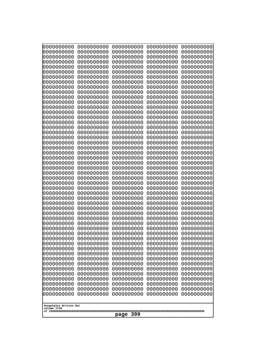| 10000000000              | 0000000000               | 0000000000               | 0000000000               | 0000000000               |  |
|--------------------------|--------------------------|--------------------------|--------------------------|--------------------------|--|
| 0000000000<br>0000000000 | 0000000000<br>0000000000 | 0000000000<br>0000000000 | 0000000000<br>0000000000 | 0000000000<br>0000000000 |  |
| 0000000000               | 0000000000               | 0000000000               | 0000000000               | 0000000000               |  |
| 0000000000               | 0000000000               | 0000000000               | 0000000000               | 0000000000               |  |
| 0000000000               | 0000000000               | 0000000000               | 0000000000               | 0000000000               |  |
| 0000000000<br>0000000000 | 0000000000<br>0000000000 | 0000000000<br>0000000000 | 0000000000<br>0000000000 | 0000000000<br>0000000000 |  |
| 0000000000               | 0000000000               | 0000000000               | 0000000000               | 0000000000               |  |
| 0000000000               | 0000000000               | 0000000000               | 0000000000               | 0000000000               |  |
| 0000000000               | 0000000000               | 0000000000               | 0000000000               | 0000000000               |  |
| 0000000000<br>0000000000 | 0000000000<br>0000000000 | 0000000000<br>0000000000 | 0000000000<br>0000000000 | 0000000000<br>0000000000 |  |
| 0000000000               | 0000000000               | 0000000000               | 0000000000               | 0000000000               |  |
| 0000000000               | 0000000000               | 0000000000               | 0000000000               | 0000000000               |  |
| 0000000000               | 0000000000               | 0000000000               | 0000000000               | 0000000000               |  |
| 0000000000<br>0000000000 | 0000000000<br>0000000000 | 0000000000<br>0000000000 | 0000000000<br>0000000000 | 0000000000<br>0000000000 |  |
| 0000000000               | 0000000000               | 0000000000               | 0000000000               | 0000000000               |  |
| 0000000000               | 0000000000               | 0000000000               | 0000000000               | 0000000000               |  |
| 0000000000               | 0000000000               | 0000000000               | 0000000000               | 0000000000               |  |
| 0000000000<br>0000000000 | 0000000000<br>0000000000 | 0000000000<br>0000000000 | 0000000000<br>0000000000 | 0000000000<br>0000000000 |  |
| 0000000000               | 0000000000               | 0000000000               | 0000000000               | 0000000000               |  |
| 0000000000               | 0000000000               | 0000000000               | 0000000000               | 0000000000               |  |
| 0000000000               | 0000000000               | 0000000000               | 0000000000               | 0000000000               |  |
| 0000000000<br>0000000000 | 0000000000<br>0000000000 | 0000000000<br>0000000000 | 0000000000<br>0000000000 | 0000000000<br>0000000000 |  |
| 0000000000               | 0000000000               | 0000000000               | 0000000000               | 0000000000               |  |
| 0000000000               | 0000000000               | 0000000000               | 0000000000               | 0000000000               |  |
| 0000000000               | 0000000000               | 0000000000               | 0000000000               | 0000000000               |  |
| 0000000000<br>0000000000 | 0000000000<br>0000000000 | 0000000000<br>0000000000 | 0000000000<br>0000000000 | 0000000000<br>0000000000 |  |
| 0000000000               | 0000000000               | 0000000000               | 0000000000               | 0000000000               |  |
| 0000000000               | 0000000000               | 0000000000               | 0000000000               | 0000000000               |  |
| 0000000000<br>0000000000 | 0000000000<br>0000000000 | 0000000000<br>0000000000 | 0000000000<br>0000000000 | 0000000000<br>0000000000 |  |
| 0000000000               | 0000000000               | 0000000000               | 0000000000               | 0000000000               |  |
| 0000000000               | 0000000000               | 0000000000               | 0000000000               | 0000000000               |  |
| 0000000000               | 0000000000               | 0000000000               | 0000000000               | 0000000000               |  |
| 0000000000<br>0000000000 | 0000000000<br>0000000000 | 0000000000<br>0000000000 | 0000000000<br>0000000000 | 0000000000<br>0000000000 |  |
| 0000000000               | 0000000000               | 0000000000               | 0000000000               | 0000000000               |  |
| 0000000000               | 0000000000               | 0000000000               | 0000000000               | 0000000000               |  |
| 0000000000               | 0000000000               | 0000000000               | 0000000000               | 0000000000               |  |
| 0000000000<br>0000000000 | 0000000000<br>0000000000 | 0000000000<br>0000000000 | 0000000000<br>0000000000 | 0000000000<br>0000000000 |  |
| 0000000000               | 0000000000               | 0000000000               | 0000000000               | 0000000000               |  |
| 0000000000               | 0000000000               | 0000000000               | 0000000000               | 0000000000               |  |
| 0000000000               | 0000000000               | 0000000000               | 0000000000               | 0000000000               |  |
|                          | Googolplex Written Out   |                          |                          |                          |  |
| volume 1720              |                          |                          |                          |                          |  |
| 399<br>page              |                          |                          |                          |                          |  |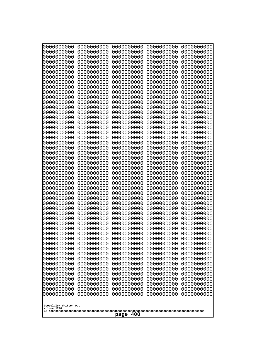| 000000000                | 0000000000               | 0000000000               | 0000000000               | 0000000000               |
|--------------------------|--------------------------|--------------------------|--------------------------|--------------------------|
| 0000000000               | 0000000000               | 0000000000               | 0000000000               | 0000000000               |
| 0000000000               | 0000000000               | 0000000000               | 0000000000               | 0000000000               |
| 0000000000               | 0000000000               | 0000000000               | 0000000000               | 0000000000               |
| 0000000000               | 0000000000               | 0000000000               | 0000000000               | 0000000000               |
| 0000000000               | 0000000000               | 0000000000               | 0000000000               | 0000000000               |
| 0000000000               | 0000000000               | 0000000000               | 0000000000               | 0000000000               |
| 0000000000               | 0000000000               | 0000000000               | 0000000000               | 0000000000               |
| 0000000000               | 0000000000<br>0000000000 | 0000000000<br>0000000000 | 0000000000               | 0000000000               |
| 0000000000<br>0000000000 | 0000000000               | 0000000000               | 0000000000<br>0000000000 | 0000000000<br>0000000000 |
| 0000000000               | 0000000000               | 0000000000               | 0000000000               | 0000000000               |
| 0000000000               | 0000000000               | 0000000000               | 0000000000               | 0000000000               |
| 0000000000               | 0000000000               | 0000000000               | 0000000000               | 0000000000               |
| 0000000000               | 0000000000               | 0000000000               | 0000000000               | 0000000000               |
| 0000000000               | 0000000000               | 0000000000               | 0000000000               | 0000000000               |
| 0000000000               | 0000000000               | 0000000000               | 0000000000               | 0000000000               |
| 0000000000               | 0000000000               | 0000000000               | 0000000000               | 0000000000               |
| 0000000000               | 0000000000               | 0000000000               | 0000000000               | 0000000000               |
| 0000000000               | 0000000000               | 0000000000               | 0000000000               | 0000000000               |
| 0000000000               | 0000000000               | 0000000000               | 0000000000               | 0000000000               |
| 0000000000<br>0000000000 | 0000000000<br>0000000000 | 0000000000<br>0000000000 | 0000000000<br>0000000000 | 0000000000<br>0000000000 |
| 0000000000               | 0000000000               | 0000000000               | 0000000000               | 0000000000               |
| 0000000000               | 0000000000               | 0000000000               | 0000000000               | 0000000000               |
| 0000000000               | 0000000000               | 0000000000               | 0000000000               | 0000000000               |
| 0000000000               | 0000000000               | 0000000000               | 0000000000               | 0000000000               |
| 0000000000               | 0000000000               | 0000000000               | 0000000000               | 0000000000               |
| 0000000000               | 0000000000               | 0000000000               | 0000000000               | 0000000000               |
| 0000000000               | 0000000000               | 0000000000               | 0000000000               | 0000000000               |
| 0000000000               | 0000000000               | 0000000000               | 0000000000               | 0000000000               |
| 0000000000               | 0000000000               | 0000000000               | 0000000000               | 0000000000               |
| 0000000000               | 0000000000               | 0000000000               | 0000000000               | 0000000000               |
| 0000000000<br>0000000000 | 0000000000<br>0000000000 | 0000000000<br>0000000000 | 0000000000<br>0000000000 | 0000000000<br>0000000000 |
| 0000000000               | 0000000000               | 0000000000               | 0000000000               | 0000000000               |
| 0000000000               | 0000000000               | 0000000000               | 0000000000               | 0000000000               |
| 0000000000               | 0000000000               | 0000000000               | 0000000000               | 0000000000               |
| 0000000000               | 0000000000               | 0000000000               | 0000000000               | 0000000000               |
| 0000000000               | 0000000000               | 0000000000               | 0000000000               | 0000000000               |
| 0000000000               | 0000000000               | 0000000000               | 0000000000               | 0000000000               |
| 0000000000               | 0000000000               | 0000000000               | 0000000000               | 0000000000               |
| 0000000000               | 0000000000               | 0000000000               | 0000000000               | 0000000000               |
| 0000000000               | 0000000000               | 0000000000               | 0000000000               | 0000000000               |
| 0000000000               | 0000000000               | 0000000000               | 0000000000               | 0000000000               |
| 0000000000<br>0000000000 | 0000000000<br>0000000000 | 0000000000<br>0000000000 | 0000000000<br>0000000000 | 0000000000<br>0000000000 |
| 0000000000               | 0000000000               | 0000000000               | 0000000000               | 0000000000               |
| 0000000000               | 0000000000               | 0000000000               | 0000000000               | 0000000000               |
| 0000000000               | 0000000000               | 0000000000               | 0000000000               | 0000000000               |
|                          |                          |                          |                          |                          |
| Googolplex Written Out   |                          |                          |                          |                          |
| volume 1720              |                          |                          |                          |                          |
| 400<br>page              |                          |                          |                          |                          |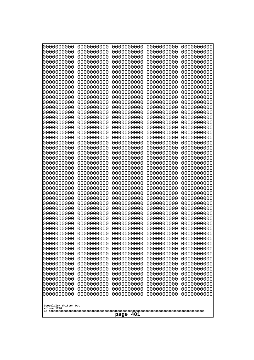| 10000000000                           | 0000000000               | 0000000000               | 0000000000               | 0000000000               |
|---------------------------------------|--------------------------|--------------------------|--------------------------|--------------------------|
| 0000000000<br>0000000000              | 0000000000<br>0000000000 | 0000000000<br>0000000000 | 0000000000<br>0000000000 | 0000000000<br>0000000000 |
| 0000000000                            | 0000000000               | 0000000000               | 0000000000               | 0000000000               |
| 0000000000                            | 0000000000               | 0000000000               | 0000000000               | 0000000000               |
| 0000000000                            | 0000000000               | 0000000000               | 0000000000               | 0000000000               |
| 0000000000<br>0000000000              | 0000000000<br>0000000000 | 0000000000<br>0000000000 | 0000000000<br>0000000000 | 0000000000<br>0000000000 |
| 0000000000                            | 0000000000               | 0000000000               | 0000000000               | 0000000000               |
| 0000000000                            | 0000000000               | 0000000000               | 0000000000               | 0000000000               |
| 0000000000<br>0000000000              | 0000000000<br>0000000000 | 0000000000<br>0000000000 | 0000000000<br>0000000000 | 0000000000<br>0000000000 |
| 0000000000                            | 0000000000               | 0000000000               | 0000000000               | 0000000000               |
| 0000000000                            | 0000000000               | 0000000000               | 0000000000               | 0000000000               |
| 0000000000                            | 0000000000               | 0000000000               | 0000000000               | 0000000000               |
| 0000000000<br>0000000000              | 0000000000<br>0000000000 | 0000000000<br>0000000000 | 0000000000<br>0000000000 | 0000000000<br>0000000000 |
| 0000000000                            | 0000000000               | 0000000000               | 0000000000               | 0000000000               |
| 0000000000                            | 0000000000               | 0000000000               | 0000000000               | 0000000000               |
| 0000000000<br>0000000000              | 0000000000<br>0000000000 | 0000000000<br>0000000000 | 0000000000<br>0000000000 | 0000000000<br>0000000000 |
| 0000000000                            | 0000000000               | 0000000000               | 0000000000               | 0000000000               |
| 0000000000                            | 0000000000               | 0000000000               | 0000000000               | 0000000000               |
| 0000000000                            | 0000000000               | 0000000000               | 0000000000               | 0000000000               |
| 0000000000<br>0000000000              | 0000000000<br>0000000000 | 0000000000<br>0000000000 | 0000000000<br>0000000000 | 0000000000<br>0000000000 |
| 0000000000                            | 0000000000               | 0000000000               | 0000000000               | 0000000000               |
| 0000000000                            | 0000000000               | 0000000000               | 0000000000               | 0000000000               |
| 0000000000<br>0000000000              | 0000000000<br>0000000000 | 0000000000<br>0000000000 | 0000000000<br>0000000000 | 0000000000<br>0000000000 |
| 0000000000                            | 0000000000               | 0000000000               | 0000000000               | 0000000000               |
| 0000000000                            | 0000000000               | 0000000000               | 0000000000               | 0000000000               |
| 0000000000                            | 0000000000               | 0000000000               | 0000000000               | 0000000000               |
| 0000000000<br>0000000000              | 0000000000<br>0000000000 | 0000000000<br>0000000000 | 0000000000<br>0000000000 | 0000000000<br>0000000000 |
| 0000000000                            | 0000000000               | 0000000000               | 0000000000               | 0000000000               |
| 0000000000                            | 0000000000               | 0000000000               | 0000000000               | 0000000000               |
| 0000000000<br>0000000000              | 0000000000<br>0000000000 | 0000000000<br>0000000000 | 0000000000<br>0000000000 | 0000000000<br>0000000000 |
| 0000000000                            | 0000000000               | 0000000000               | 0000000000               | 0000000000               |
| 0000000000                            | 0000000000               | 0000000000               | 0000000000               | 0000000000               |
| 0000000000<br>0000000000              | 0000000000<br>0000000000 | 0000000000<br>0000000000 | 0000000000<br>0000000000 | 0000000000<br>0000000000 |
| 0000000000                            | 0000000000               | 0000000000               | 0000000000               | 0000000000               |
| 0000000000                            | 0000000000               | 0000000000               | 0000000000               | 0000000000               |
| 0000000000                            | 0000000000               | 0000000000               | 0000000000               | 0000000000               |
| 0000000000<br>0000000000              | 0000000000<br>0000000000 | 0000000000<br>0000000000 | 0000000000<br>0000000000 | 0000000000<br>0000000000 |
| 0000000000                            | 0000000000               | 0000000000               | 0000000000               | 0000000000               |
| 0000000000                            | 0000000000               | 0000000000               | 0000000000               | 0000000000               |
|                                       |                          |                          |                          |                          |
| Googolplex Written Out<br>volume 1720 |                          |                          |                          |                          |
| 401<br>page                           |                          |                          |                          |                          |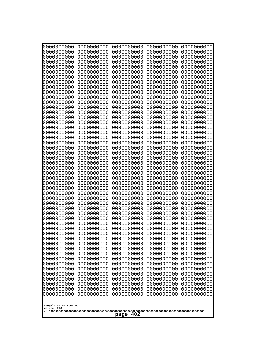| 10000000000              | 0000000000               | 0000000000               | 0000000000               | 0000000000               |
|--------------------------|--------------------------|--------------------------|--------------------------|--------------------------|
| 0000000000<br>0000000000 | 0000000000<br>0000000000 | 0000000000<br>0000000000 | 0000000000<br>0000000000 | 0000000000<br>0000000000 |
| 0000000000               | 0000000000               | 0000000000               | 0000000000               | 0000000000               |
| 0000000000               | 0000000000               | 0000000000               | 0000000000               | 0000000000               |
| 0000000000               | 0000000000               | 0000000000               | 0000000000               | 0000000000               |
| 0000000000<br>0000000000 | 0000000000<br>0000000000 | 0000000000<br>0000000000 | 0000000000<br>0000000000 | 0000000000<br>0000000000 |
| 0000000000               | 0000000000               | 0000000000               | 0000000000               | 0000000000               |
| 0000000000               | 0000000000               | 0000000000               | 0000000000               | 0000000000               |
| 0000000000               | 0000000000               | 0000000000               | 0000000000               | 0000000000               |
| 0000000000<br>0000000000 | 0000000000<br>0000000000 | 0000000000<br>0000000000 | 0000000000<br>0000000000 | 0000000000<br>0000000000 |
| 0000000000               | 0000000000               | 0000000000               | 0000000000               | 0000000000               |
| 0000000000               | 0000000000               | 0000000000               | 0000000000               | 0000000000               |
| 0000000000               | 0000000000               | 0000000000               | 0000000000               | 0000000000               |
| 0000000000<br>0000000000 | 0000000000<br>0000000000 | 0000000000<br>0000000000 | 0000000000<br>0000000000 | 0000000000<br>0000000000 |
| 0000000000               | 0000000000               | 0000000000               | 0000000000               | 0000000000               |
| 0000000000               | 0000000000               | 0000000000               | 0000000000               | 0000000000               |
| 0000000000               | 0000000000               | 0000000000               | 0000000000               | 0000000000               |
| 0000000000<br>0000000000 | 0000000000<br>0000000000 | 0000000000<br>0000000000 | 0000000000<br>0000000000 | 0000000000<br>0000000000 |
| 0000000000               | 0000000000               | 0000000000               | 0000000000               | 0000000000               |
| 0000000000               | 0000000000               | 0000000000               | 0000000000               | 0000000000               |
| 0000000000               | 0000000000<br>0000000000 | 0000000000<br>0000000000 | 0000000000<br>0000000000 | 0000000000               |
| 0000000000<br>0000000000 | 0000000000               | 0000000000               | 0000000000               | 0000000000<br>0000000000 |
| 0000000000               | 0000000000               | 0000000000               | 0000000000               | 0000000000               |
| 0000000000               | 0000000000               | 0000000000               | 0000000000               | 0000000000               |
| 0000000000<br>0000000000 | 0000000000<br>0000000000 | 0000000000<br>0000000000 | 0000000000<br>0000000000 | 0000000000<br>0000000000 |
| 0000000000               | 0000000000               | 0000000000               | 0000000000               | 0000000000               |
| 0000000000               | 0000000000               | 0000000000               | 0000000000               | 0000000000               |
| 0000000000               | 0000000000               | 0000000000               | 0000000000               | 0000000000               |
| 0000000000<br>0000000000 | 0000000000<br>0000000000 | 0000000000<br>0000000000 | 0000000000<br>0000000000 | 0000000000<br>0000000000 |
| 0000000000               | 0000000000               | 0000000000               | 0000000000               | 0000000000               |
| 0000000000               | 0000000000               | 0000000000               | 0000000000               | 0000000000               |
| 0000000000<br>0000000000 | 0000000000<br>0000000000 | 0000000000<br>0000000000 | 0000000000<br>0000000000 | 0000000000<br>0000000000 |
| 0000000000               | 0000000000               | 0000000000               | 0000000000               | 0000000000               |
| 0000000000               | 0000000000               | 0000000000               | 0000000000               | 0000000000               |
| 0000000000               | 0000000000               | 0000000000               | 0000000000               | 0000000000               |
| 0000000000<br>0000000000 | 0000000000<br>0000000000 | 0000000000<br>0000000000 | 0000000000<br>0000000000 | 0000000000<br>0000000000 |
| 0000000000               | 0000000000               | 0000000000               | 0000000000               | 0000000000               |
| 0000000000               | 0000000000               | 0000000000               | 0000000000               | 0000000000               |
| 0000000000               | 0000000000               | 0000000000               | 0000000000               | 0000000000               |
| 0000000000               | 0000000000               | 0000000000               | 0000000000               | 0000000000               |
| Googolplex Written Out   |                          |                          |                          |                          |
| volume 1720              |                          |                          |                          |                          |
| 402<br>page              |                          |                          |                          |                          |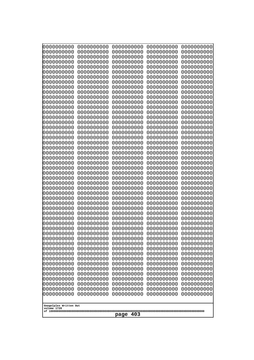| 10000000000<br>0000000000 | 0000000000<br>0000000000              | 0000000000<br>0000000000 | 0000000000<br>0000000000 | 0000000000<br>0000000000 |  |
|---------------------------|---------------------------------------|--------------------------|--------------------------|--------------------------|--|
| 0000000000                | 0000000000                            | 0000000000               | 0000000000               | 0000000000               |  |
| 0000000000                | 0000000000                            | 0000000000               | 0000000000               | 0000000000               |  |
| 0000000000                | 0000000000                            | 0000000000               | 0000000000               | 0000000000               |  |
| 0000000000<br>0000000000  | 0000000000<br>0000000000              | 0000000000<br>0000000000 | 0000000000<br>0000000000 | 0000000000<br>0000000000 |  |
| 0000000000                | 0000000000                            | 0000000000               | 0000000000               | 0000000000               |  |
| 0000000000                | 0000000000                            | 0000000000               | 0000000000               | 0000000000               |  |
| 0000000000                | 0000000000                            | 0000000000               | 0000000000               | 0000000000               |  |
| 0000000000<br>0000000000  | 0000000000<br>0000000000              | 0000000000<br>0000000000 | 0000000000<br>0000000000 | 0000000000<br>0000000000 |  |
| 0000000000                | 0000000000                            | 0000000000               | 0000000000               | 0000000000               |  |
| 0000000000                | 0000000000                            | 0000000000               | 0000000000               | 0000000000               |  |
| 0000000000                | 0000000000                            | 0000000000               | 0000000000               | 0000000000               |  |
| 0000000000<br>0000000000  | 0000000000<br>0000000000              | 0000000000<br>0000000000 | 0000000000<br>0000000000 | 0000000000<br>0000000000 |  |
| 0000000000                | 0000000000                            | 0000000000               | 0000000000               | 0000000000               |  |
| 0000000000                | 0000000000                            | 0000000000               | 0000000000               | 0000000000               |  |
| 0000000000                | 0000000000                            | 0000000000               | 0000000000               | 0000000000               |  |
| 0000000000<br>0000000000  | 0000000000<br>0000000000              | 0000000000<br>0000000000 | 0000000000<br>0000000000 | 0000000000<br>0000000000 |  |
| 0000000000                | 0000000000                            | 0000000000               | 0000000000               | 0000000000               |  |
| 0000000000                | 0000000000                            | 0000000000               | 0000000000               | 0000000000               |  |
| 0000000000                | 0000000000                            | 0000000000               | 0000000000               | 0000000000               |  |
| 0000000000<br>0000000000  | 0000000000<br>0000000000              | 0000000000<br>0000000000 | 0000000000<br>0000000000 | 0000000000<br>0000000000 |  |
| 0000000000                | 0000000000                            | 0000000000               | 0000000000               | 0000000000               |  |
| 0000000000                | 0000000000                            | 0000000000               | 0000000000               | 0000000000               |  |
| 0000000000<br>0000000000  | 0000000000<br>0000000000              | 0000000000<br>0000000000 | 0000000000<br>0000000000 | 0000000000<br>0000000000 |  |
| 0000000000                | 0000000000                            | 0000000000               | 0000000000               | 0000000000               |  |
| 0000000000                | 0000000000                            | 0000000000               | 0000000000               | 0000000000               |  |
| 0000000000<br>0000000000  | 0000000000<br>0000000000              | 0000000000<br>0000000000 | 0000000000<br>0000000000 | 0000000000               |  |
| 0000000000                | 0000000000                            | 0000000000               | 0000000000               | 0000000000<br>0000000000 |  |
| 0000000000                | 0000000000                            | 0000000000               | 0000000000               | 0000000000               |  |
| 0000000000                | 0000000000                            | 0000000000               | 0000000000               | 0000000000               |  |
| 0000000000<br>0000000000  | 0000000000<br>0000000000              | 0000000000<br>0000000000 | 0000000000<br>0000000000 | 0000000000<br>0000000000 |  |
| 0000000000                | 0000000000                            | 0000000000               | 0000000000               | 0000000000               |  |
| 0000000000                | 0000000000                            | 0000000000               | 0000000000               | 0000000000               |  |
| 0000000000                | 0000000000                            | 0000000000               | 0000000000               | 0000000000               |  |
| 0000000000<br>0000000000  | 0000000000<br>0000000000              | 0000000000<br>0000000000 | 0000000000<br>0000000000 | 0000000000<br>0000000000 |  |
| 0000000000                | 0000000000                            | 0000000000               | 0000000000               | 0000000000               |  |
| 0000000000                | 0000000000                            | 0000000000               | 0000000000               | 0000000000               |  |
| 0000000000<br>0000000000  | 0000000000<br>0000000000              | 0000000000<br>0000000000 | 0000000000<br>0000000000 | 0000000000<br>0000000000 |  |
| 0000000000                | 0000000000                            | 0000000000               | 0000000000               | 0000000000               |  |
|                           |                                       |                          |                          |                          |  |
|                           | Googolplex Written Out<br>volume 1720 |                          |                          |                          |  |
|                           | 403<br>page                           |                          |                          |                          |  |
|                           |                                       |                          |                          |                          |  |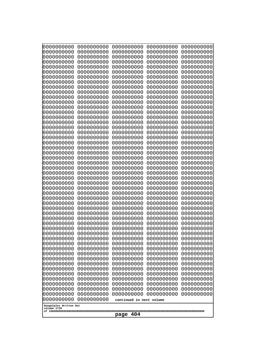| 0000000000<br>0000000000<br>1000000000<br>0000000000<br>0000000000<br>1000000000<br>0000000000<br>0000000000<br>0000000000<br>1000000000<br>0000000000<br>0000000000<br>0000000000<br>0000000000<br>0000000000<br>0000000000<br>0000000000<br>0000000000<br>0000000000<br>0000000000<br>0000000000<br>0000000000<br>0000000000<br>0000000000 | 0000000000<br>0000000000<br>0000000000<br>0000000000<br>0000000000<br>0000000000<br>0000000000<br>0000000000<br>0000000000<br>0000000000<br>0000000000<br>0000000000<br>0000000000<br>0000000000<br>0000000000<br>0000000000<br>0000000000<br>0000000000<br>0000000000<br>0000000000<br>0000000000<br>0000000000<br>0000000000<br>0000000000 | 0000000000<br>0000000000<br>0000000000<br>0000000000<br>0000000000<br>0000000000<br>0000000000<br>0000000000<br>0000000000<br>0000000000<br>0000000000<br>0000000000<br>0000000000<br>0000000000<br>0000000000<br>0000000000<br>0000000000<br>0000000000<br>0000000000<br>0000000000<br>0000000000<br>0000000000<br>0000000000<br>0000000000 | 0000000000<br>0000000000<br>0000000000<br>0000000000<br>0000000000<br>0000000000<br>0000000000<br>0000000000<br>0000000000<br>0000000000<br>0000000000<br>0000000000<br>0000000000<br>0000000000<br>0000000000<br>0000000000<br>0000000000<br>0000000000<br>0000000000<br>0000000000<br>0000000000<br>0000000000<br>0000000000<br>0000000000 | 0000000000<br>0000000000<br>0000000000<br>0000000000<br>0000000000<br>0000000000<br>0000000000<br>0000000000<br>0000000000<br>0000000000<br>0000000000<br>0000000000<br>0000000000<br>0000000000<br>0000000000<br>0000000000<br>0000000000<br>0000000000<br>0000000000<br>0000000000<br>0000000000<br>0000000000<br>0000000000<br>0000000000 |
|----------------------------------------------------------------------------------------------------------------------------------------------------------------------------------------------------------------------------------------------------------------------------------------------------------------------------------------------|----------------------------------------------------------------------------------------------------------------------------------------------------------------------------------------------------------------------------------------------------------------------------------------------------------------------------------------------|----------------------------------------------------------------------------------------------------------------------------------------------------------------------------------------------------------------------------------------------------------------------------------------------------------------------------------------------|----------------------------------------------------------------------------------------------------------------------------------------------------------------------------------------------------------------------------------------------------------------------------------------------------------------------------------------------|----------------------------------------------------------------------------------------------------------------------------------------------------------------------------------------------------------------------------------------------------------------------------------------------------------------------------------------------|
|                                                                                                                                                                                                                                                                                                                                              |                                                                                                                                                                                                                                                                                                                                              |                                                                                                                                                                                                                                                                                                                                              |                                                                                                                                                                                                                                                                                                                                              |                                                                                                                                                                                                                                                                                                                                              |
|                                                                                                                                                                                                                                                                                                                                              |                                                                                                                                                                                                                                                                                                                                              |                                                                                                                                                                                                                                                                                                                                              |                                                                                                                                                                                                                                                                                                                                              |                                                                                                                                                                                                                                                                                                                                              |
|                                                                                                                                                                                                                                                                                                                                              |                                                                                                                                                                                                                                                                                                                                              |                                                                                                                                                                                                                                                                                                                                              |                                                                                                                                                                                                                                                                                                                                              |                                                                                                                                                                                                                                                                                                                                              |
|                                                                                                                                                                                                                                                                                                                                              |                                                                                                                                                                                                                                                                                                                                              |                                                                                                                                                                                                                                                                                                                                              |                                                                                                                                                                                                                                                                                                                                              |                                                                                                                                                                                                                                                                                                                                              |
|                                                                                                                                                                                                                                                                                                                                              |                                                                                                                                                                                                                                                                                                                                              |                                                                                                                                                                                                                                                                                                                                              |                                                                                                                                                                                                                                                                                                                                              |                                                                                                                                                                                                                                                                                                                                              |
|                                                                                                                                                                                                                                                                                                                                              |                                                                                                                                                                                                                                                                                                                                              |                                                                                                                                                                                                                                                                                                                                              |                                                                                                                                                                                                                                                                                                                                              |                                                                                                                                                                                                                                                                                                                                              |
|                                                                                                                                                                                                                                                                                                                                              |                                                                                                                                                                                                                                                                                                                                              |                                                                                                                                                                                                                                                                                                                                              |                                                                                                                                                                                                                                                                                                                                              |                                                                                                                                                                                                                                                                                                                                              |
|                                                                                                                                                                                                                                                                                                                                              |                                                                                                                                                                                                                                                                                                                                              |                                                                                                                                                                                                                                                                                                                                              |                                                                                                                                                                                                                                                                                                                                              |                                                                                                                                                                                                                                                                                                                                              |
|                                                                                                                                                                                                                                                                                                                                              |                                                                                                                                                                                                                                                                                                                                              |                                                                                                                                                                                                                                                                                                                                              |                                                                                                                                                                                                                                                                                                                                              |                                                                                                                                                                                                                                                                                                                                              |
|                                                                                                                                                                                                                                                                                                                                              |                                                                                                                                                                                                                                                                                                                                              |                                                                                                                                                                                                                                                                                                                                              |                                                                                                                                                                                                                                                                                                                                              |                                                                                                                                                                                                                                                                                                                                              |
|                                                                                                                                                                                                                                                                                                                                              |                                                                                                                                                                                                                                                                                                                                              |                                                                                                                                                                                                                                                                                                                                              |                                                                                                                                                                                                                                                                                                                                              |                                                                                                                                                                                                                                                                                                                                              |
|                                                                                                                                                                                                                                                                                                                                              |                                                                                                                                                                                                                                                                                                                                              |                                                                                                                                                                                                                                                                                                                                              |                                                                                                                                                                                                                                                                                                                                              |                                                                                                                                                                                                                                                                                                                                              |
|                                                                                                                                                                                                                                                                                                                                              |                                                                                                                                                                                                                                                                                                                                              |                                                                                                                                                                                                                                                                                                                                              |                                                                                                                                                                                                                                                                                                                                              |                                                                                                                                                                                                                                                                                                                                              |
|                                                                                                                                                                                                                                                                                                                                              |                                                                                                                                                                                                                                                                                                                                              |                                                                                                                                                                                                                                                                                                                                              |                                                                                                                                                                                                                                                                                                                                              |                                                                                                                                                                                                                                                                                                                                              |
| 0000000000<br>0000000000                                                                                                                                                                                                                                                                                                                     | 0000000000<br>0000000000                                                                                                                                                                                                                                                                                                                     | 0000000000<br>0000000000                                                                                                                                                                                                                                                                                                                     | 0000000000<br>0000000000                                                                                                                                                                                                                                                                                                                     | 0000000000<br>0000000000                                                                                                                                                                                                                                                                                                                     |
| 0000000000                                                                                                                                                                                                                                                                                                                                   | 0000000000                                                                                                                                                                                                                                                                                                                                   | 0000000000                                                                                                                                                                                                                                                                                                                                   | 0000000000                                                                                                                                                                                                                                                                                                                                   | 0000000000                                                                                                                                                                                                                                                                                                                                   |
| 0000000000                                                                                                                                                                                                                                                                                                                                   | 0000000000                                                                                                                                                                                                                                                                                                                                   | 0000000000                                                                                                                                                                                                                                                                                                                                   | 0000000000                                                                                                                                                                                                                                                                                                                                   | 0000000000                                                                                                                                                                                                                                                                                                                                   |
| 0000000000<br>0000000000                                                                                                                                                                                                                                                                                                                     | 0000000000<br>0000000000                                                                                                                                                                                                                                                                                                                     | 0000000000<br>0000000000                                                                                                                                                                                                                                                                                                                     | 0000000000<br>0000000000                                                                                                                                                                                                                                                                                                                     | 0000000000<br>0000000000                                                                                                                                                                                                                                                                                                                     |
| 0000000000                                                                                                                                                                                                                                                                                                                                   | 0000000000                                                                                                                                                                                                                                                                                                                                   | 0000000000                                                                                                                                                                                                                                                                                                                                   | 0000000000                                                                                                                                                                                                                                                                                                                                   | 0000000000                                                                                                                                                                                                                                                                                                                                   |
| 0000000000<br>0000000000                                                                                                                                                                                                                                                                                                                     | 0000000000<br>0000000000                                                                                                                                                                                                                                                                                                                     | 0000000000<br>0000000000                                                                                                                                                                                                                                                                                                                     | 0000000000<br>0000000000                                                                                                                                                                                                                                                                                                                     | 0000000000<br>0000000000                                                                                                                                                                                                                                                                                                                     |
| 0000000000                                                                                                                                                                                                                                                                                                                                   | 0000000000                                                                                                                                                                                                                                                                                                                                   | 0000000000                                                                                                                                                                                                                                                                                                                                   | 0000000000                                                                                                                                                                                                                                                                                                                                   | 0000000000                                                                                                                                                                                                                                                                                                                                   |
| 0000000000                                                                                                                                                                                                                                                                                                                                   | 0000000000                                                                                                                                                                                                                                                                                                                                   | 0000000000                                                                                                                                                                                                                                                                                                                                   | 0000000000                                                                                                                                                                                                                                                                                                                                   | 0000000000                                                                                                                                                                                                                                                                                                                                   |
| 0000000000<br>0000000000                                                                                                                                                                                                                                                                                                                     | 0000000000<br>0000000000                                                                                                                                                                                                                                                                                                                     | 0000000000<br>0000000000                                                                                                                                                                                                                                                                                                                     | 0000000000<br>0000000000                                                                                                                                                                                                                                                                                                                     | 0000000000<br>0000000000                                                                                                                                                                                                                                                                                                                     |
| 0000000000                                                                                                                                                                                                                                                                                                                                   | 0000000000                                                                                                                                                                                                                                                                                                                                   | 0000000000                                                                                                                                                                                                                                                                                                                                   | 0000000000                                                                                                                                                                                                                                                                                                                                   | 0000000000                                                                                                                                                                                                                                                                                                                                   |
| 0000000000<br>0000000000                                                                                                                                                                                                                                                                                                                     | 0000000000<br>0000000000                                                                                                                                                                                                                                                                                                                     | 0000000000<br>0000000000                                                                                                                                                                                                                                                                                                                     | 0000000000<br>0000000000                                                                                                                                                                                                                                                                                                                     | 0000000000<br>0000000000                                                                                                                                                                                                                                                                                                                     |
| 0000000000                                                                                                                                                                                                                                                                                                                                   | 0000000000                                                                                                                                                                                                                                                                                                                                   | 0000000000                                                                                                                                                                                                                                                                                                                                   | 0000000000                                                                                                                                                                                                                                                                                                                                   | 0000000000                                                                                                                                                                                                                                                                                                                                   |
| 0000000000<br>0000000000                                                                                                                                                                                                                                                                                                                     | 0000000000                                                                                                                                                                                                                                                                                                                                   | 0000000000                                                                                                                                                                                                                                                                                                                                   | 0000000000                                                                                                                                                                                                                                                                                                                                   | 0000000000                                                                                                                                                                                                                                                                                                                                   |
| 0000000000                                                                                                                                                                                                                                                                                                                                   | 0000000000<br>0000000000                                                                                                                                                                                                                                                                                                                     | 0000000000<br>0000000000                                                                                                                                                                                                                                                                                                                     | 0000000000<br>0000000000                                                                                                                                                                                                                                                                                                                     | 0000000000<br>0000000000                                                                                                                                                                                                                                                                                                                     |
| 0000000000                                                                                                                                                                                                                                                                                                                                   | 0000000000                                                                                                                                                                                                                                                                                                                                   | 0000000000                                                                                                                                                                                                                                                                                                                                   | 0000000000                                                                                                                                                                                                                                                                                                                                   | 0000000000                                                                                                                                                                                                                                                                                                                                   |
| 0000000000<br>0000000000                                                                                                                                                                                                                                                                                                                     | 0000000000<br>0000000000                                                                                                                                                                                                                                                                                                                     | 0000000000<br>0000000000                                                                                                                                                                                                                                                                                                                     | 0000000000<br>0000000000                                                                                                                                                                                                                                                                                                                     | 0000000000<br>0000000000                                                                                                                                                                                                                                                                                                                     |
| 0000000000                                                                                                                                                                                                                                                                                                                                   | 0000000000                                                                                                                                                                                                                                                                                                                                   | 0000000000                                                                                                                                                                                                                                                                                                                                   | 0000000000                                                                                                                                                                                                                                                                                                                                   | 0000000000                                                                                                                                                                                                                                                                                                                                   |
| 0000000000                                                                                                                                                                                                                                                                                                                                   | 0000000000                                                                                                                                                                                                                                                                                                                                   | 0000000000                                                                                                                                                                                                                                                                                                                                   | 0000000000                                                                                                                                                                                                                                                                                                                                   | 0000000000                                                                                                                                                                                                                                                                                                                                   |
| 0000000000<br>0000000000                                                                                                                                                                                                                                                                                                                     | 0000000000<br>0000000000                                                                                                                                                                                                                                                                                                                     | 0000000000<br>continued in next volume                                                                                                                                                                                                                                                                                                       | 0000000000                                                                                                                                                                                                                                                                                                                                   | 0000000000                                                                                                                                                                                                                                                                                                                                   |
| Googolplex Written Out<br>volume 1720<br>404<br>page                                                                                                                                                                                                                                                                                         |                                                                                                                                                                                                                                                                                                                                              |                                                                                                                                                                                                                                                                                                                                              |                                                                                                                                                                                                                                                                                                                                              |                                                                                                                                                                                                                                                                                                                                              |